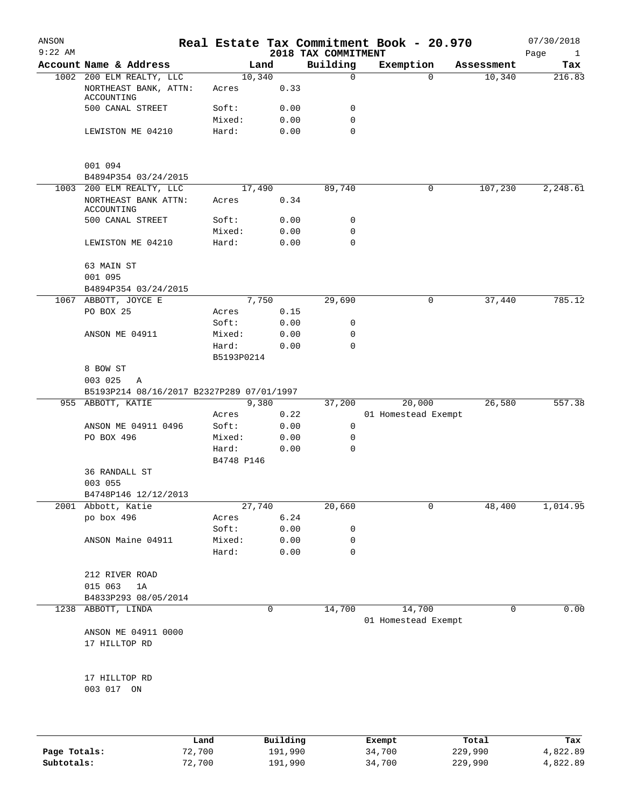| ANSON<br>$9:22$ AM |                                                                 |                     |                | 2018 TAX COMMITMENT        | Real Estate Tax Commitment Book - 20.970 |            | 07/30/2018<br>Page<br>$\mathbf{1}$ |
|--------------------|-----------------------------------------------------------------|---------------------|----------------|----------------------------|------------------------------------------|------------|------------------------------------|
|                    | Account Name & Address                                          |                     | Land           | Building                   | Exemption                                | Assessment | Tax                                |
|                    | 1002 200 ELM REALTY, LLC<br>NORTHEAST BANK, ATTN:<br>ACCOUNTING | Acres               | 10,340<br>0.33 | $\mathbf 0$                | $\Omega$                                 | 10,340     | 216.83                             |
|                    | 500 CANAL STREET                                                | Soft:               | 0.00           | 0                          |                                          |            |                                    |
|                    | LEWISTON ME 04210                                               | Mixed:<br>Hard:     | 0.00<br>0.00   | $\mathbf 0$<br>$\mathbf 0$ |                                          |            |                                    |
|                    |                                                                 |                     |                |                            |                                          |            |                                    |
|                    | 001 094                                                         |                     |                |                            |                                          |            |                                    |
|                    | B4894P354 03/24/2015                                            |                     |                |                            | 0                                        | 107,230    | 2,248.61                           |
|                    | 1003 200 ELM REALTY, LLC<br>NORTHEAST BANK ATTN:<br>ACCOUNTING  | Acres               | 17,490<br>0.34 | 89,740                     |                                          |            |                                    |
|                    | 500 CANAL STREET                                                | Soft:               | 0.00           | 0                          |                                          |            |                                    |
|                    |                                                                 | Mixed:              | 0.00           | 0                          |                                          |            |                                    |
|                    | LEWISTON ME 04210                                               | Hard:               | 0.00           | $\mathbf 0$                |                                          |            |                                    |
|                    | 63 MAIN ST<br>001 095                                           |                     |                |                            |                                          |            |                                    |
|                    | B4894P354 03/24/2015                                            |                     |                |                            |                                          |            |                                    |
|                    | 1067 ABBOTT, JOYCE E                                            |                     | 7,750          | 29,690                     | $\mathbf 0$                              | 37,440     | 785.12                             |
|                    | PO BOX 25                                                       | Acres               | 0.15           |                            |                                          |            |                                    |
|                    |                                                                 | Soft:               | 0.00           | 0                          |                                          |            |                                    |
|                    | ANSON ME 04911                                                  | Mixed:              | 0.00           | 0                          |                                          |            |                                    |
|                    |                                                                 | Hard:<br>B5193P0214 | 0.00           | $\mathbf 0$                |                                          |            |                                    |
|                    | 8 BOW ST                                                        |                     |                |                            |                                          |            |                                    |
|                    | 003 025<br>Α                                                    |                     |                |                            |                                          |            |                                    |
|                    | B5193P214 08/16/2017 B2327P289 07/01/1997                       |                     |                |                            |                                          |            |                                    |
|                    | 955 ABBOTT, KATIE                                               |                     | 9,380          | 37,200                     | 20,000                                   | 26,580     | 557.38                             |
|                    |                                                                 | Acres               | 0.22           |                            | 01 Homestead Exempt                      |            |                                    |
|                    | ANSON ME 04911 0496                                             | Soft:               | 0.00           | $\mathbf 0$                |                                          |            |                                    |
|                    | PO BOX 496                                                      | Mixed:              | 0.00           | 0                          |                                          |            |                                    |
|                    |                                                                 | Hard:               | 0.00           | $\mathbf 0$                |                                          |            |                                    |
|                    |                                                                 | B4748 P146          |                |                            |                                          |            |                                    |
|                    | 36 RANDALL ST                                                   |                     |                |                            |                                          |            |                                    |
|                    | 003 055<br>B4748P146 12/12/2013                                 |                     |                |                            |                                          |            |                                    |
|                    | 2001 Abbott, Katie                                              |                     | 27,740         | 20,660                     | 0                                        | 48,400     | 1,014.95                           |
|                    | po box 496                                                      | Acres               | 6.24           |                            |                                          |            |                                    |
|                    |                                                                 | Soft:               | 0.00           | 0                          |                                          |            |                                    |
|                    | ANSON Maine 04911                                               | Mixed:              | 0.00           | 0                          |                                          |            |                                    |
|                    |                                                                 | Hard:               | 0.00           | 0                          |                                          |            |                                    |
|                    | 212 RIVER ROAD                                                  |                     |                |                            |                                          |            |                                    |
|                    | 015 063<br>1A                                                   |                     |                |                            |                                          |            |                                    |
|                    | B4833P293 08/05/2014                                            |                     |                |                            |                                          |            |                                    |
|                    | 1238 ABBOTT, LINDA                                              |                     | 0              | 14,700                     | 14,700<br>01 Homestead Exempt            | 0          | 0.00                               |
|                    | ANSON ME 04911 0000<br>17 HILLTOP RD                            |                     |                |                            |                                          |            |                                    |
|                    | 17 HILLTOP RD<br>003 017 ON                                     |                     |                |                            |                                          |            |                                    |
|                    |                                                                 |                     |                |                            |                                          |            |                                    |

|              | Land   | Building | Exempt | Total   | Tax      |
|--------------|--------|----------|--------|---------|----------|
| Page Totals: | 72,700 | 191,990  | 34,700 | 229,990 | 4,822.89 |
| Subtotals:   | 72,700 | 191,990  | 34,700 | 229,990 | 4,822.89 |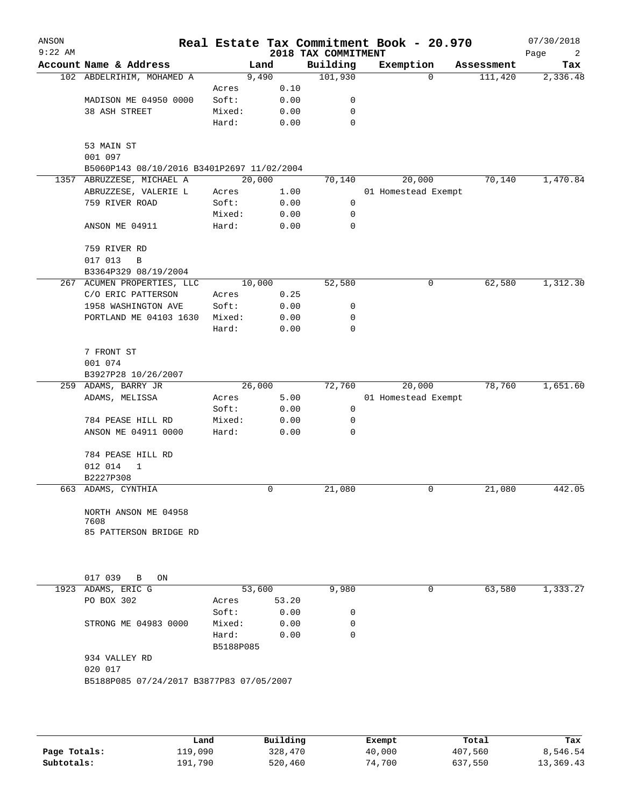| ANSON     |                                            |                    |          |                                 | Real Estate Tax Commitment Book - 20.970 |            | 07/30/2018      |
|-----------|--------------------------------------------|--------------------|----------|---------------------------------|------------------------------------------|------------|-----------------|
| $9:22$ AM | Account Name & Address                     |                    | Land     | 2018 TAX COMMITMENT<br>Building | Exemption                                | Assessment | Page<br>2       |
|           | 102 ABDELRIHIM, MOHAMED A                  |                    | 9,490    | 101,930                         | 0                                        | 111,420    | Tax<br>2,336.48 |
|           |                                            | Acres              | 0.10     |                                 |                                          |            |                 |
|           | MADISON ME 04950 0000                      | Soft:              | 0.00     | 0                               |                                          |            |                 |
|           | 38 ASH STREET                              | Mixed:             | 0.00     | 0                               |                                          |            |                 |
|           |                                            | Hard:              | 0.00     | 0                               |                                          |            |                 |
|           | 53 MAIN ST<br>001 097                      |                    |          |                                 |                                          |            |                 |
|           | B5060P143 08/10/2016 B3401P2697 11/02/2004 |                    |          |                                 |                                          |            |                 |
|           | 1357 ABRUZZESE, MICHAEL A                  |                    | 20,000   | 70,140                          | 20,000                                   | 70,140     | 1,470.84        |
|           | ABRUZZESE, VALERIE L                       | Acres              | 1.00     |                                 | 01 Homestead Exempt                      |            |                 |
|           | 759 RIVER ROAD                             | Soft:              | 0.00     | 0                               |                                          |            |                 |
|           |                                            | Mixed:             | 0.00     | $\mathbf 0$                     |                                          |            |                 |
|           | ANSON ME 04911                             | Hard:              | 0.00     | $\mathbf 0$                     |                                          |            |                 |
|           | 759 RIVER RD<br>017 013<br>В               |                    |          |                                 |                                          |            |                 |
|           | B3364P329 08/19/2004                       |                    |          |                                 |                                          |            |                 |
|           | 267 ACUMEN PROPERTIES, LLC                 |                    | 10,000   | 52,580                          | 0                                        | 62,580     | 1,312.30        |
|           | C/O ERIC PATTERSON                         | Acres              | 0.25     |                                 |                                          |            |                 |
|           | 1958 WASHINGTON AVE                        | Soft:              | 0.00     | 0                               |                                          |            |                 |
|           | PORTLAND ME 04103 1630                     | Mixed:             | 0.00     | 0                               |                                          |            |                 |
|           |                                            | Hard:              | 0.00     | 0                               |                                          |            |                 |
|           | 7 FRONT ST                                 |                    |          |                                 |                                          |            |                 |
|           | 001 074                                    |                    |          |                                 |                                          |            |                 |
|           | B3927P28 10/26/2007                        |                    |          |                                 |                                          |            |                 |
|           | 259 ADAMS, BARRY JR                        |                    | 26,000   | 72,760                          | 20,000                                   | 78,760     | 1,651.60        |
|           | ADAMS, MELISSA                             | Acres              | 5.00     |                                 | 01 Homestead Exempt                      |            |                 |
|           |                                            | Soft:              | 0.00     | $\mathbf 0$                     |                                          |            |                 |
|           | 784 PEASE HILL RD                          | Mixed:             | 0.00     | 0                               |                                          |            |                 |
|           | ANSON ME 04911 0000                        | Hard:              | 0.00     | 0                               |                                          |            |                 |
|           | 784 PEASE HILL RD                          |                    |          |                                 |                                          |            |                 |
|           | 012 014<br>1                               |                    |          |                                 |                                          |            |                 |
|           | B2227P308                                  |                    |          |                                 |                                          |            |                 |
|           | 663 ADAMS, CYNTHIA                         |                    | 0        | 21,080                          | 0                                        | 21,080     | 442.05          |
|           | NORTH ANSON ME 04958<br>7608               |                    |          |                                 |                                          |            |                 |
|           | 85 PATTERSON BRIDGE RD                     |                    |          |                                 |                                          |            |                 |
|           |                                            |                    |          |                                 |                                          |            |                 |
|           | 017 039<br>B<br>ON                         |                    |          |                                 |                                          |            |                 |
|           | 1923 ADAMS, ERIC G                         |                    | 53,600   | 9,980                           | 0                                        | 63,580     | 1,333.27        |
|           | PO BOX 302                                 | Acres              | 53.20    |                                 |                                          |            |                 |
|           |                                            | Soft:              | 0.00     | 0                               |                                          |            |                 |
|           | STRONG ME 04983 0000                       | Mixed:             | 0.00     | 0                               |                                          |            |                 |
|           |                                            | Hard:<br>B5188P085 | 0.00     | 0                               |                                          |            |                 |
|           | 934 VALLEY RD<br>020 017                   |                    |          |                                 |                                          |            |                 |
|           | B5188P085 07/24/2017 B3877P83 07/05/2007   |                    |          |                                 |                                          |            |                 |
|           |                                            |                    |          |                                 |                                          |            |                 |
|           |                                            |                    |          |                                 |                                          |            |                 |
|           |                                            | Land               | Building |                                 | Exempt                                   | Total      | Tax             |

|              | Land    | Building | Exempt | Total   | Tax       |
|--------------|---------|----------|--------|---------|-----------|
| Page Totals: | 119,090 | 328,470  | 40,000 | 407,560 | 8,546.54  |
| Subtotals:   | 191,790 | 520,460  | 74,700 | 637,550 | 13,369.43 |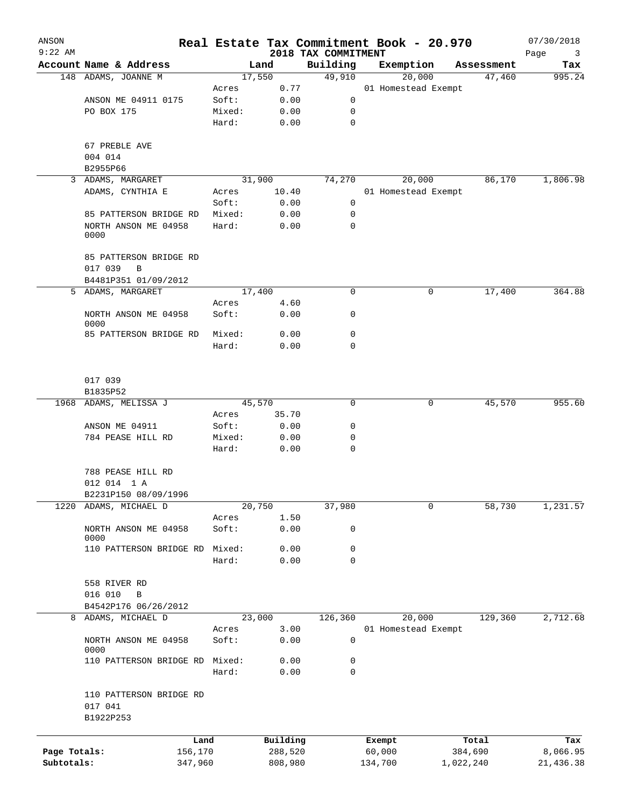| ANSON        |                              |        |                | Real Estate Tax Commitment Book - 20.970 |           |                               |                      | 07/30/2018    |
|--------------|------------------------------|--------|----------------|------------------------------------------|-----------|-------------------------------|----------------------|---------------|
| $9:22$ AM    | Account Name & Address       |        |                | 2018 TAX COMMITMENT<br>Building          |           |                               |                      | Page<br>3     |
|              | 148 ADAMS, JOANNE M          |        | Land<br>17,550 | 49,910                                   | Exemption |                               | Assessment<br>47,460 | Tax<br>995.24 |
|              |                              |        | 0.77           |                                          |           | 20,000<br>01 Homestead Exempt |                      |               |
|              |                              | Acres  |                | 0                                        |           |                               |                      |               |
|              | ANSON ME 04911 0175          | Soft:  | 0.00           |                                          |           |                               |                      |               |
|              | PO BOX 175                   | Mixed: | 0.00           | 0                                        |           |                               |                      |               |
|              |                              | Hard:  | 0.00           | 0                                        |           |                               |                      |               |
|              |                              |        |                |                                          |           |                               |                      |               |
|              | 67 PREBLE AVE                |        |                |                                          |           |                               |                      |               |
|              | 004 014                      |        |                |                                          |           |                               |                      |               |
|              | B2955P66                     |        |                |                                          |           |                               |                      |               |
| 3            | ADAMS, MARGARET              |        | 31,900         | 74,270                                   |           | 20,000                        | 86,170               | 1,806.98      |
|              | ADAMS, CYNTHIA E             | Acres  | 10.40          |                                          |           | 01 Homestead Exempt           |                      |               |
|              |                              | Soft:  | 0.00           | 0                                        |           |                               |                      |               |
|              | 85 PATTERSON BRIDGE RD       | Mixed: | 0.00           | 0                                        |           |                               |                      |               |
|              | NORTH ANSON ME 04958         | Hard:  | 0.00           | 0                                        |           |                               |                      |               |
|              | 0000                         |        |                |                                          |           |                               |                      |               |
|              |                              |        |                |                                          |           |                               |                      |               |
|              | 85 PATTERSON BRIDGE RD       |        |                |                                          |           |                               |                      |               |
|              | 017 039<br>B                 |        |                |                                          |           |                               |                      |               |
|              | B4481P351 01/09/2012         |        |                |                                          |           |                               | 17,400               |               |
|              | 5 ADAMS, MARGARET            |        | 17,400         | 0                                        |           | 0                             |                      | 364.88        |
|              |                              | Acres  | 4.60           |                                          |           |                               |                      |               |
|              | NORTH ANSON ME 04958<br>0000 | Soft:  | 0.00           | 0                                        |           |                               |                      |               |
|              | 85 PATTERSON BRIDGE RD       | Mixed: | 0.00           | 0                                        |           |                               |                      |               |
|              |                              | Hard:  | 0.00           | $\Omega$                                 |           |                               |                      |               |
|              |                              |        |                |                                          |           |                               |                      |               |
|              |                              |        |                |                                          |           |                               |                      |               |
|              | 017 039                      |        |                |                                          |           |                               |                      |               |
|              | B1835P52                     |        |                |                                          |           |                               |                      |               |
|              | 1968 ADAMS, MELISSA J        |        | 45,570         | 0                                        |           | 0                             | 45,570               | 955.60        |
|              |                              | Acres  | 35.70          |                                          |           |                               |                      |               |
|              | ANSON ME 04911               | Soft:  | 0.00           | 0                                        |           |                               |                      |               |
|              | 784 PEASE HILL RD            | Mixed: | 0.00           | 0                                        |           |                               |                      |               |
|              |                              | Hard:  | 0.00           | 0                                        |           |                               |                      |               |
|              |                              |        |                |                                          |           |                               |                      |               |
|              | 788 PEASE HILL RD            |        |                |                                          |           |                               |                      |               |
|              |                              |        |                |                                          |           |                               |                      |               |
|              | 012 014 1 A                  |        |                |                                          |           |                               |                      |               |
|              | B2231P150 08/09/1996         |        |                |                                          |           |                               |                      | 1,231.57      |
| 1220         | ADAMS, MICHAEL D             |        | 20,750         | 37,980                                   |           | 0                             | 58,730               |               |
|              |                              | Acres  | 1.50           |                                          |           |                               |                      |               |
|              | NORTH ANSON ME 04958<br>0000 | Soft:  | 0.00           | 0                                        |           |                               |                      |               |
|              | 110 PATTERSON BRIDGE RD      | Mixed: | 0.00           | 0                                        |           |                               |                      |               |
|              |                              | Hard:  | 0.00           | 0                                        |           |                               |                      |               |
|              |                              |        |                |                                          |           |                               |                      |               |
|              | 558 RIVER RD                 |        |                |                                          |           |                               |                      |               |
|              | 016 010<br>B                 |        |                |                                          |           |                               |                      |               |
|              | B4542P176 06/26/2012         |        |                |                                          |           |                               |                      |               |
|              | 8 ADAMS, MICHAEL D           |        | 23,000         | 126, 360                                 |           | 20,000                        | 129,360              | 2,712.68      |
|              |                              | Acres  | 3.00           |                                          |           | 01 Homestead Exempt           |                      |               |
|              | NORTH ANSON ME 04958         | Soft:  | 0.00           | 0                                        |           |                               |                      |               |
|              | 0000                         |        |                |                                          |           |                               |                      |               |
|              | 110 PATTERSON BRIDGE RD      | Mixed: | 0.00           | 0                                        |           |                               |                      |               |
|              |                              | Hard:  | 0.00           | 0                                        |           |                               |                      |               |
|              |                              |        |                |                                          |           |                               |                      |               |
|              | 110 PATTERSON BRIDGE RD      |        |                |                                          |           |                               |                      |               |
|              | 017 041                      |        |                |                                          |           |                               |                      |               |
|              | B1922P253                    |        |                |                                          |           |                               |                      |               |
|              |                              |        |                |                                          |           |                               |                      |               |
|              | Land                         |        | Building       |                                          | Exempt    |                               | Total                | Tax           |
| Page Totals: | 156,170                      |        | 288,520        |                                          | 60,000    |                               | 384,690              | 8,066.95      |
| Subtotals:   | 347,960                      |        | 808,980        |                                          | 134,700   |                               | 1,022,240            | 21,436.38     |
|              |                              |        |                |                                          |           |                               |                      |               |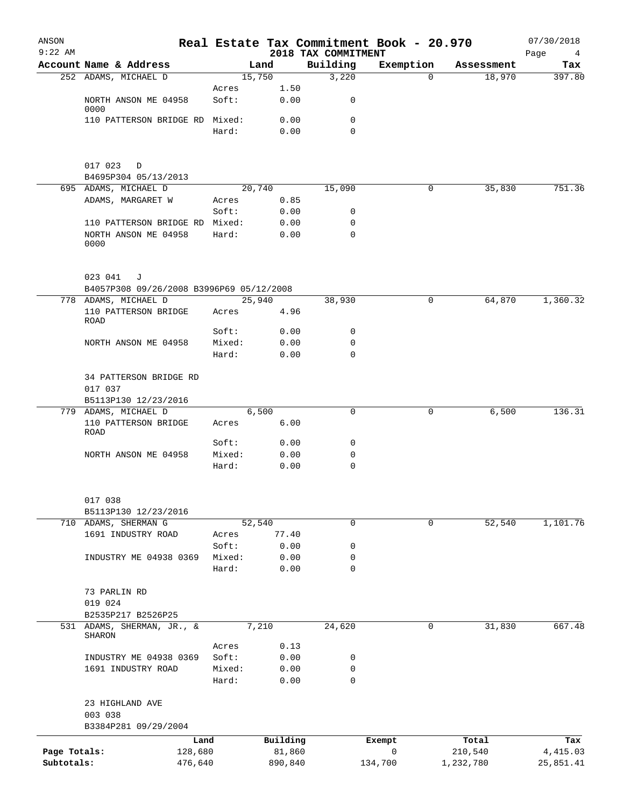| ANSON<br>$9:22$ AM |                                                                  |        |          | 2018 TAX COMMITMENT | Real Estate Tax Commitment Book - 20.970 |            | 07/30/2018<br>Page<br>$\overline{4}$ |
|--------------------|------------------------------------------------------------------|--------|----------|---------------------|------------------------------------------|------------|--------------------------------------|
|                    | Account Name & Address                                           |        | Land     | Building            | Exemption                                | Assessment | Tax                                  |
|                    | 252 ADAMS, MICHAEL D                                             |        | 15,750   | 3,220               | $\Omega$                                 | 18,970     | 397.80                               |
|                    |                                                                  | Acres  | 1.50     |                     |                                          |            |                                      |
|                    | NORTH ANSON ME 04958<br>0000                                     | Soft:  | 0.00     | 0                   |                                          |            |                                      |
|                    | 110 PATTERSON BRIDGE RD Mixed:                                   |        | 0.00     | 0                   |                                          |            |                                      |
|                    |                                                                  | Hard:  | 0.00     | $\Omega$            |                                          |            |                                      |
|                    |                                                                  |        |          |                     |                                          |            |                                      |
|                    |                                                                  |        |          |                     |                                          |            |                                      |
|                    | 017 023<br>$\Box$                                                |        |          |                     |                                          |            |                                      |
|                    | B4695P304 05/13/2013<br>695 ADAMS, MICHAEL D                     |        | 20,740   | 15,090              | 0                                        | 35,830     | 751.36                               |
|                    | ADAMS, MARGARET W                                                | Acres  | 0.85     |                     |                                          |            |                                      |
|                    |                                                                  | Soft:  | 0.00     | 0                   |                                          |            |                                      |
|                    | 110 PATTERSON BRIDGE RD Mixed:                                   |        | 0.00     | $\mathbf 0$         |                                          |            |                                      |
|                    | NORTH ANSON ME 04958                                             | Hard:  | 0.00     | $\mathbf 0$         |                                          |            |                                      |
|                    | 0000                                                             |        |          |                     |                                          |            |                                      |
|                    |                                                                  |        |          |                     |                                          |            |                                      |
|                    | 023 041<br>J                                                     |        |          |                     |                                          |            |                                      |
|                    | B4057P308 09/26/2008 B3996P69 05/12/2008<br>778 ADAMS, MICHAEL D |        | 25,940   | 38,930              | 0                                        | 64,870     | 1,360.32                             |
|                    | 110 PATTERSON BRIDGE                                             | Acres  | 4.96     |                     |                                          |            |                                      |
|                    | ROAD                                                             |        |          |                     |                                          |            |                                      |
|                    |                                                                  | Soft:  | 0.00     | 0                   |                                          |            |                                      |
|                    | NORTH ANSON ME 04958                                             | Mixed: | 0.00     | 0                   |                                          |            |                                      |
|                    |                                                                  | Hard:  | 0.00     | $\mathbf 0$         |                                          |            |                                      |
|                    | 34 PATTERSON BRIDGE RD                                           |        |          |                     |                                          |            |                                      |
|                    | 017 037                                                          |        |          |                     |                                          |            |                                      |
|                    | B5113P130 12/23/2016                                             |        |          |                     |                                          |            |                                      |
|                    | 779 ADAMS, MICHAEL D                                             |        | 6,500    | $\mathbf 0$         | 0                                        | 6,500      | 136.31                               |
|                    | 110 PATTERSON BRIDGE                                             | Acres  | 6.00     |                     |                                          |            |                                      |
|                    | ROAD                                                             | Soft:  | 0.00     | 0                   |                                          |            |                                      |
|                    | NORTH ANSON ME 04958                                             | Mixed: | 0.00     | 0                   |                                          |            |                                      |
|                    |                                                                  | Hard:  | 0.00     | $\mathbf 0$         |                                          |            |                                      |
|                    |                                                                  |        |          |                     |                                          |            |                                      |
|                    | 017 038                                                          |        |          |                     |                                          |            |                                      |
|                    | B5113P130 12/23/2016                                             |        |          |                     |                                          |            |                                      |
|                    | 710 ADAMS, SHERMAN G                                             |        | 52,540   | $\mathbf 0$         | 0                                        | 52,540     | 1,101.76                             |
|                    | 1691 INDUSTRY ROAD                                               | Acres  | 77.40    |                     |                                          |            |                                      |
|                    |                                                                  | Soft:  | 0.00     | 0                   |                                          |            |                                      |
|                    | INDUSTRY ME 04938 0369                                           | Mixed: | 0.00     | 0                   |                                          |            |                                      |
|                    |                                                                  | Hard:  | 0.00     | 0                   |                                          |            |                                      |
|                    | 73 PARLIN RD                                                     |        |          |                     |                                          |            |                                      |
|                    | 019 024                                                          |        |          |                     |                                          |            |                                      |
|                    | B2535P217 B2526P25                                               |        |          |                     |                                          |            |                                      |
| 531                | ADAMS, SHERMAN, JR., &                                           |        | 7,210    | 24,620              | 0                                        | 31,830     | 667.48                               |
|                    | <b>SHARON</b>                                                    | Acres  | 0.13     |                     |                                          |            |                                      |
|                    | INDUSTRY ME 04938 0369                                           | Soft:  | 0.00     | 0                   |                                          |            |                                      |
|                    | 1691 INDUSTRY ROAD                                               | Mixed: | 0.00     | $\mathbf 0$         |                                          |            |                                      |
|                    |                                                                  | Hard:  | 0.00     | $\mathbf 0$         |                                          |            |                                      |
|                    | 23 HIGHLAND AVE                                                  |        |          |                     |                                          |            |                                      |
|                    | 003 038                                                          |        |          |                     |                                          |            |                                      |
|                    | B3384P281 09/29/2004                                             |        |          |                     |                                          |            |                                      |
|                    |                                                                  | Land   | Building |                     | Exempt                                   | Total      | Tax                                  |
| Page Totals:       | 128,680                                                          |        | 81,860   |                     | 0                                        | 210,540    | 4, 415.03                            |
| Subtotals:         | 476,640                                                          |        | 890,840  |                     | 134,700                                  | 1,232,780  | 25,851.41                            |
|                    |                                                                  |        |          |                     |                                          |            |                                      |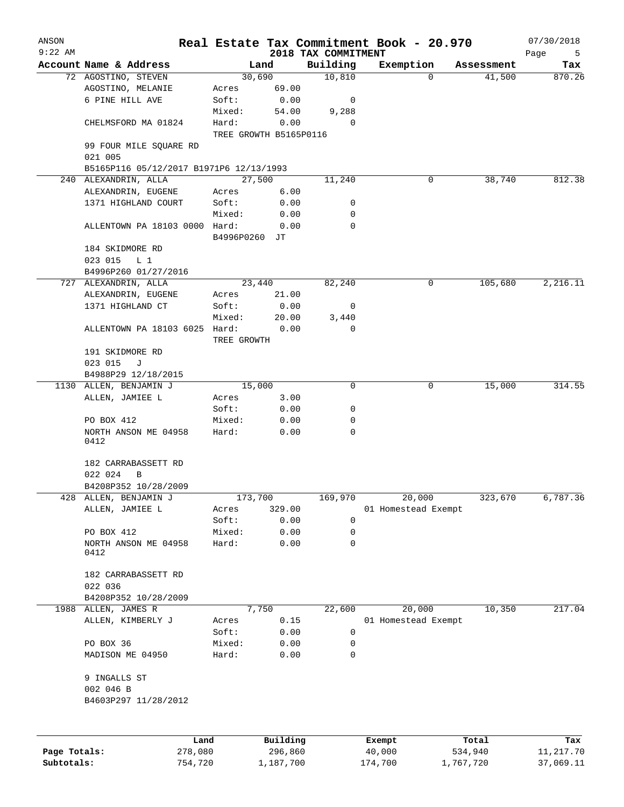| ANSON<br>$9:22$ AM |                                         |               |                        | 2018 TAX COMMITMENT | Real Estate Tax Commitment Book - 20.970 |            | 07/30/2018       |
|--------------------|-----------------------------------------|---------------|------------------------|---------------------|------------------------------------------|------------|------------------|
|                    | Account Name & Address                  |               | Land                   | Building            | Exemption                                | Assessment | Page<br>5<br>Tax |
|                    | 72 AGOSTINO, STEVEN                     |               | 30,690                 | 10,810              | $\Omega$                                 | 41,500     | 870.26           |
|                    | AGOSTINO, MELANIE                       | Acres         | 69.00                  |                     |                                          |            |                  |
|                    | 6 PINE HILL AVE                         | Soft:         | 0.00                   | 0                   |                                          |            |                  |
|                    |                                         | Mixed:        | 54.00                  | 9,288               |                                          |            |                  |
|                    | CHELMSFORD MA 01824                     | Hard:         | 0.00                   | $\Omega$            |                                          |            |                  |
|                    |                                         |               | TREE GROWTH B5165P0116 |                     |                                          |            |                  |
|                    | 99 FOUR MILE SQUARE RD<br>021 005       |               |                        |                     |                                          |            |                  |
|                    | B5165P116 05/12/2017 B1971P6 12/13/1993 |               |                        |                     |                                          |            |                  |
|                    | 240 ALEXANDRIN, ALLA                    |               | 27,500                 | 11,240              | 0                                        | 38,740     | 812.38           |
|                    | ALEXANDRIN, EUGENE                      | Acres         | 6.00                   |                     |                                          |            |                  |
|                    | 1371 HIGHLAND COURT                     | Soft:         | 0.00                   | 0                   |                                          |            |                  |
|                    |                                         | Mixed:        | 0.00                   | 0                   |                                          |            |                  |
|                    | ALLENTOWN PA 18103 0000 Hard:           | B4996P0260 JT | 0.00                   | $\Omega$            |                                          |            |                  |
|                    | 184 SKIDMORE RD                         |               |                        |                     |                                          |            |                  |
|                    | 023 015<br>L <sub>1</sub>               |               |                        |                     |                                          |            |                  |
|                    | B4996P260 01/27/2016                    |               |                        |                     |                                          |            |                  |
|                    | 727 ALEXANDRIN, ALLA                    |               | 23,440                 | 82,240              | 0                                        | 105,680    | 2,216.11         |
|                    | ALEXANDRIN, EUGENE                      | Acres         | 21.00                  |                     |                                          |            |                  |
|                    | 1371 HIGHLAND CT                        | Soft:         | 0.00                   | 0                   |                                          |            |                  |
|                    |                                         | Mixed:        | 20.00                  | 3,440               |                                          |            |                  |
|                    | ALLENTOWN PA 18103 6025 Hard:           | TREE GROWTH   | 0.00                   | $\mathbf 0$         |                                          |            |                  |
|                    | 191 SKIDMORE RD                         |               |                        |                     |                                          |            |                  |
|                    | 023 015<br>J                            |               |                        |                     |                                          |            |                  |
|                    | B4988P29 12/18/2015                     |               |                        |                     |                                          |            |                  |
|                    | 1130 ALLEN, BENJAMIN J                  | 15,000        |                        | 0                   | 0                                        | 15,000     | 314.55           |
|                    | ALLEN, JAMIEE L                         | Acres         | 3.00                   |                     |                                          |            |                  |
|                    |                                         | Soft:         | 0.00                   | 0                   |                                          |            |                  |
|                    | PO BOX 412                              | Mixed:        | 0.00                   | 0                   |                                          |            |                  |
|                    | NORTH ANSON ME 04958<br>0412            | Hard:         | 0.00                   | 0                   |                                          |            |                  |
|                    | 182 CARRABASSETT RD                     |               |                        |                     |                                          |            |                  |
|                    | 022 024<br>B                            |               |                        |                     |                                          |            |                  |
|                    | B4208P352 10/28/2009                    |               |                        |                     |                                          |            |                  |
| 428                | ALLEN, BENJAMIN J                       |               | 173,700                | 169,970             | 20,000                                   | 323,670    | 6,787.36         |
|                    | ALLEN, JAMIEE L                         | Acres         | 329.00                 |                     | 01 Homestead Exempt                      |            |                  |
|                    |                                         | Soft:         | 0.00                   | 0                   |                                          |            |                  |
|                    | PO BOX 412                              | Mixed:        | 0.00                   | 0                   |                                          |            |                  |
|                    | NORTH ANSON ME 04958<br>0412            | Hard:         | 0.00                   | 0                   |                                          |            |                  |
|                    | 182 CARRABASSETT RD                     |               |                        |                     |                                          |            |                  |
|                    | 022 036                                 |               |                        |                     |                                          |            |                  |
|                    | B4208P352 10/28/2009                    |               |                        |                     |                                          |            |                  |
|                    | 1988 ALLEN, JAMES R                     |               | 7,750                  | 22,600              | 20,000                                   | 10,350     | 217.04           |
|                    | ALLEN, KIMBERLY J                       | Acres         | 0.15                   |                     | 01 Homestead Exempt                      |            |                  |
|                    |                                         | Soft:         | 0.00                   | 0                   |                                          |            |                  |
|                    | PO BOX 36                               | Mixed:        | 0.00                   | 0                   |                                          |            |                  |
|                    | MADISON ME 04950                        | Hard:         | 0.00                   | 0                   |                                          |            |                  |
|                    | 9 INGALLS ST                            |               |                        |                     |                                          |            |                  |
|                    | 002 046 B                               |               |                        |                     |                                          |            |                  |
|                    | B4603P297 11/28/2012                    |               |                        |                     |                                          |            |                  |
|                    |                                         |               |                        |                     |                                          |            |                  |
|                    | Land                                    |               | Building               |                     | Exempt                                   | Total      | Tax              |
| Page Totals:       | 278,080                                 |               | 296,860                |                     | 40,000                                   | 534,940    | 11,217.70        |

**Subtotals:** 754,720 1,187,700 174,700 1,767,720 37,069.11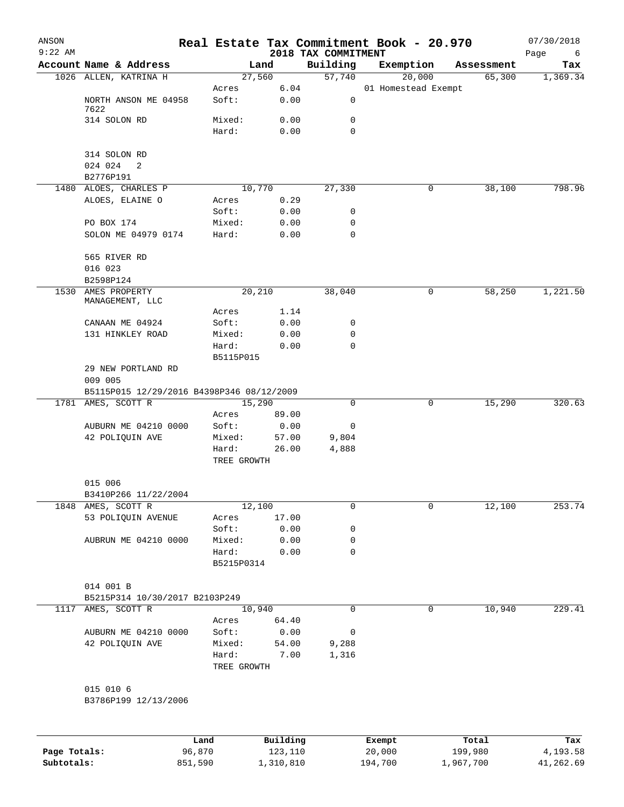| ANSON<br>$9:22$ AM |                                           |                      |           |                                 | Real Estate Tax Commitment Book - 20.970 |            | 07/30/2018       |
|--------------------|-------------------------------------------|----------------------|-----------|---------------------------------|------------------------------------------|------------|------------------|
|                    | Account Name & Address                    |                      | Land      | 2018 TAX COMMITMENT<br>Building | Exemption                                | Assessment | Page<br>6<br>Tax |
|                    | 1026 ALLEN, KATRINA H                     |                      | 27,560    | 57,740                          | 20,000                                   | 65,300     | 1,369.34         |
|                    |                                           | Acres                | 6.04      |                                 | 01 Homestead Exempt                      |            |                  |
|                    | NORTH ANSON ME 04958<br>7622              | Soft:                | 0.00      | 0                               |                                          |            |                  |
|                    | 314 SOLON RD                              | Mixed:               | 0.00      | 0                               |                                          |            |                  |
|                    |                                           | Hard:                | 0.00      | 0                               |                                          |            |                  |
|                    | 314 SOLON RD                              |                      |           |                                 |                                          |            |                  |
|                    | 024 024<br>2                              |                      |           |                                 |                                          |            |                  |
|                    | B2776P191                                 |                      |           |                                 |                                          |            |                  |
|                    | 1480 ALOES, CHARLES P                     |                      | 10,770    | 27,330                          | 0                                        | 38,100     | 798.96           |
|                    | ALOES, ELAINE O                           | Acres                | 0.29      |                                 |                                          |            |                  |
|                    |                                           | Soft:                | 0.00      | 0                               |                                          |            |                  |
|                    | PO BOX 174                                | Mixed:               | 0.00      | 0                               |                                          |            |                  |
|                    | SOLON ME 04979 0174                       | Hard:                | 0.00      | 0                               |                                          |            |                  |
|                    | 565 RIVER RD                              |                      |           |                                 |                                          |            |                  |
|                    | 016 023                                   |                      |           |                                 |                                          |            |                  |
|                    | B2598P124                                 |                      |           |                                 |                                          |            |                  |
| 1530               | AMES PROPERTY<br>MANAGEMENT, LLC          |                      | 20,210    | 38,040                          | 0                                        | 58,250     | 1,221.50         |
|                    |                                           | Acres                | 1.14      |                                 |                                          |            |                  |
|                    | CANAAN ME 04924                           | Soft:                | 0.00      | 0                               |                                          |            |                  |
|                    | 131 HINKLEY ROAD                          | Mixed:               | 0.00      | 0                               |                                          |            |                  |
|                    |                                           | Hard:                | 0.00      | 0                               |                                          |            |                  |
|                    |                                           | B5115P015            |           |                                 |                                          |            |                  |
|                    | 29 NEW PORTLAND RD                        |                      |           |                                 |                                          |            |                  |
|                    | 009 005                                   |                      |           |                                 |                                          |            |                  |
|                    | B5115P015 12/29/2016 B4398P346 08/12/2009 |                      |           |                                 |                                          |            |                  |
|                    | 1781 AMES, SCOTT R                        |                      | 15,290    | $\mathbf 0$                     | 0                                        | 15,290     | 320.63           |
|                    |                                           | Acres                | 89.00     |                                 |                                          |            |                  |
|                    | AUBURN ME 04210 0000                      | Soft:                | 0.00      | 0                               |                                          |            |                  |
|                    | 42 POLIQUIN AVE                           | Mixed:               | 57.00     | 9,804                           |                                          |            |                  |
|                    |                                           | Hard:<br>TREE GROWTH | 26.00     | 4,888                           |                                          |            |                  |
|                    | 015 006                                   |                      |           |                                 |                                          |            |                  |
|                    | B3410P266 11/22/2004                      |                      |           |                                 |                                          |            |                  |
| 1848               | AMES, SCOTT R                             |                      | 12,100    | 0                               | $\mathsf{O}$                             | 12,100     | 253.74           |
|                    | 53 POLIQUIN AVENUE                        | Acres                | 17.00     |                                 |                                          |            |                  |
|                    |                                           | Soft:                | 0.00      | 0                               |                                          |            |                  |
|                    | AUBRUN ME 04210 0000                      | Mixed:               | 0.00      | 0                               |                                          |            |                  |
|                    |                                           | Hard:<br>B5215P0314  | 0.00      | $\mathbf 0$                     |                                          |            |                  |
|                    |                                           |                      |           |                                 |                                          |            |                  |
|                    | 014 001 B                                 |                      |           |                                 |                                          |            |                  |
|                    | B5215P314 10/30/2017 B2103P249            |                      |           |                                 |                                          |            |                  |
| 1117               | AMES, SCOTT R                             |                      | 10,940    | 0                               | $\mathsf{O}$                             | 10,940     | 229.41           |
|                    |                                           | Acres                | 64.40     |                                 |                                          |            |                  |
|                    | AUBURN ME 04210 0000                      | Soft:                | 0.00      | 0                               |                                          |            |                  |
|                    | 42 POLIQUIN AVE                           | Mixed:               | 54.00     | 9,288                           |                                          |            |                  |
|                    |                                           | Hard:<br>TREE GROWTH | 7.00      | 1,316                           |                                          |            |                  |
|                    | 015 010 6                                 |                      |           |                                 |                                          |            |                  |
|                    | B3786P199 12/13/2006                      |                      |           |                                 |                                          |            |                  |
|                    |                                           | Land                 | Building  |                                 | Exempt                                   | Total      | Tax              |
| Page Totals:       | 96,870                                    |                      | 123,110   |                                 | 20,000                                   | 199,980    | 4,193.58         |
| Subtotals:         | 851,590                                   |                      | 1,310,810 |                                 | 194,700                                  | 1,967,700  | 41,262.69        |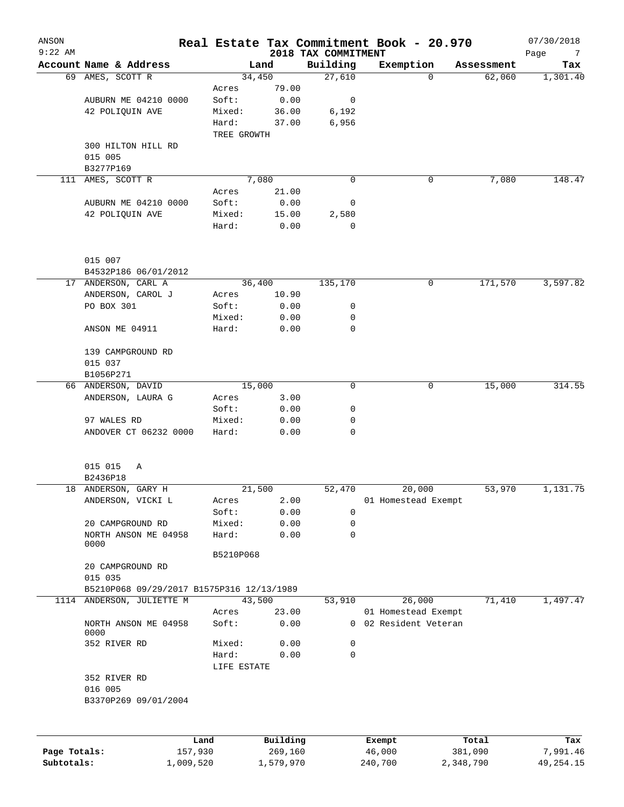| ANSON<br>$9:22$ AM |                                           |                      |                | 2018 TAX COMMITMENT | Real Estate Tax Commitment Book - 20.970 |            | 07/30/2018                     |
|--------------------|-------------------------------------------|----------------------|----------------|---------------------|------------------------------------------|------------|--------------------------------|
|                    | Account Name & Address                    |                      | Land           | Building            | Exemption                                | Assessment | Page<br>$7\phantom{.0}$<br>Tax |
|                    | 69 AMES, SCOTT R                          |                      | 34,450         | 27,610              | $\Omega$                                 | 62,060     | 1,301.40                       |
|                    |                                           | Acres                | 79.00          |                     |                                          |            |                                |
|                    | AUBURN ME 04210 0000                      | Soft:                | 0.00           | 0                   |                                          |            |                                |
|                    | 42 POLIQUIN AVE                           | Mixed:               | 36.00          | 6,192               |                                          |            |                                |
|                    |                                           | Hard:                | 37.00          | 6,956               |                                          |            |                                |
|                    |                                           | TREE GROWTH          |                |                     |                                          |            |                                |
|                    | 300 HILTON HILL RD                        |                      |                |                     |                                          |            |                                |
|                    | 015 005                                   |                      |                |                     |                                          |            |                                |
|                    | B3277P169                                 |                      |                |                     |                                          |            |                                |
| 111                | AMES, SCOTT R                             |                      | 7,080          | 0                   | 0                                        | 7,080      | 148.47                         |
|                    | AUBURN ME 04210 0000                      | Acres<br>Soft:       | 21.00<br>0.00  | 0                   |                                          |            |                                |
|                    | 42 POLIQUIN AVE                           | Mixed:               | 15.00          | 2,580               |                                          |            |                                |
|                    |                                           | Hard:                | 0.00           | $\mathbf 0$         |                                          |            |                                |
|                    |                                           |                      |                |                     |                                          |            |                                |
|                    | 015 007                                   |                      |                |                     |                                          |            |                                |
|                    | B4532P186 06/01/2012                      |                      |                |                     |                                          |            |                                |
|                    | 17 ANDERSON, CARL A                       |                      | 36,400         | 135,170             | 0                                        | 171,570    | 3,597.82                       |
|                    | ANDERSON, CAROL J                         | Acres                | 10.90          |                     |                                          |            |                                |
|                    | PO BOX 301                                | Soft:                | 0.00           | 0                   |                                          |            |                                |
|                    |                                           | Mixed:               | 0.00           | 0                   |                                          |            |                                |
|                    | ANSON ME 04911                            | Hard:                | 0.00           | 0                   |                                          |            |                                |
|                    | 139 CAMPGROUND RD                         |                      |                |                     |                                          |            |                                |
|                    | 015 037                                   |                      |                |                     |                                          |            |                                |
|                    | B1056P271                                 |                      |                |                     |                                          |            |                                |
|                    | 66 ANDERSON, DAVID<br>ANDERSON, LAURA G   |                      | 15,000<br>3.00 | 0                   | 0                                        | 15,000     | 314.55                         |
|                    |                                           | Acres<br>Soft:       | 0.00           | 0                   |                                          |            |                                |
|                    | 97 WALES RD                               | Mixed:               | 0.00           | 0                   |                                          |            |                                |
|                    | ANDOVER CT 06232 0000                     | Hard:                | 0.00           | 0                   |                                          |            |                                |
|                    |                                           |                      |                |                     |                                          |            |                                |
|                    | 015 015<br>Α                              |                      |                |                     |                                          |            |                                |
|                    | B2436P18                                  |                      |                |                     |                                          |            |                                |
|                    | 18 ANDERSON, GARY H                       |                      | 21,500         | 52,470              | 20,000                                   | 53,970     | 1,131.75                       |
|                    | ANDERSON, VICKI L                         | Acres                | 2.00           |                     | 01 Homestead Exempt                      |            |                                |
|                    |                                           | Soft:                | 0.00           | 0                   |                                          |            |                                |
|                    | 20 CAMPGROUND RD                          | Mixed:               | 0.00           | 0                   |                                          |            |                                |
|                    | NORTH ANSON ME 04958<br>0000              | Hard:                | 0.00           | 0                   |                                          |            |                                |
|                    |                                           | B5210P068            |                |                     |                                          |            |                                |
|                    | 20 CAMPGROUND RD                          |                      |                |                     |                                          |            |                                |
|                    | 015 035                                   |                      |                |                     |                                          |            |                                |
|                    | B5210P068 09/29/2017 B1575P316 12/13/1989 |                      |                |                     |                                          |            |                                |
| 1114               | ANDERSON, JULIETTE M                      |                      | 43,500         | 53,910              | 26,000                                   | 71,410     | 1,497.47                       |
|                    |                                           | Acres                | 23.00          |                     | 01 Homestead Exempt                      |            |                                |
|                    | NORTH ANSON ME 04958<br>0000              | Soft:                | 0.00           | $\Omega$            | 02 Resident Veteran                      |            |                                |
|                    | 352 RIVER RD                              | Mixed:               | 0.00           | 0                   |                                          |            |                                |
|                    |                                           | Hard:<br>LIFE ESTATE | 0.00           | 0                   |                                          |            |                                |
|                    | 352 RIVER RD                              |                      |                |                     |                                          |            |                                |
|                    | 016 005                                   |                      |                |                     |                                          |            |                                |
|                    | B3370P269 09/01/2004                      |                      |                |                     |                                          |            |                                |
|                    |                                           |                      |                |                     |                                          |            |                                |
|                    | Land                                      |                      | Building       |                     |                                          | Total      | Tax                            |
| Page Totals:       | 157,930                                   |                      | 269,160        |                     | Exempt<br>46,000                         | 381,090    | 7,991.46                       |

**Subtotals:** 1,009,520 1,579,970 240,700 2,348,790 49,254.15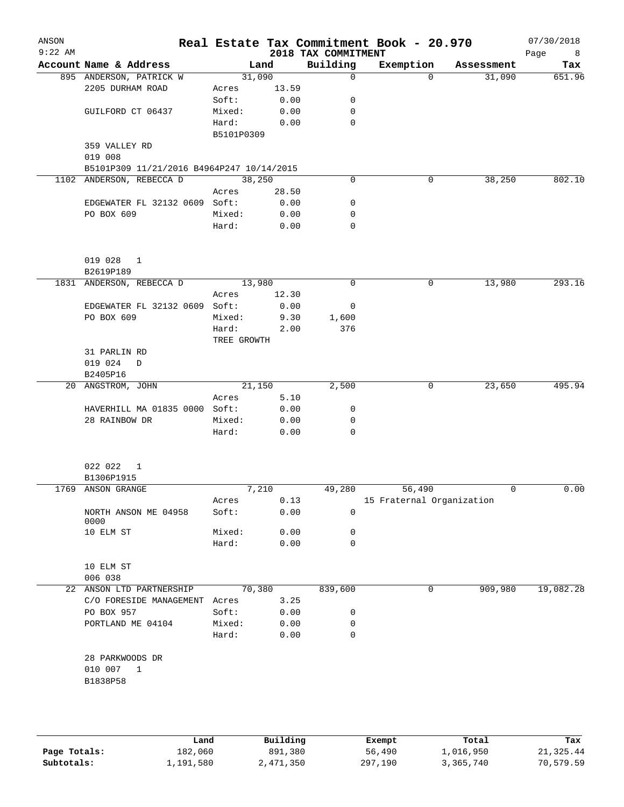| ANSON<br>$9:22$ AM |                                                                       |             |       | 2018 TAX COMMITMENT | Real Estate Tax Commitment Book - 20.970 |            | 07/30/2018<br>Page<br>8 |
|--------------------|-----------------------------------------------------------------------|-------------|-------|---------------------|------------------------------------------|------------|-------------------------|
|                    | Account Name & Address                                                |             | Land  | Building            | Exemption                                | Assessment | Tax                     |
|                    | 895 ANDERSON, PATRICK W                                               | 31,090      |       | 0                   | $\Omega$                                 | 31,090     | 651.96                  |
|                    | 2205 DURHAM ROAD                                                      | Acres       | 13.59 |                     |                                          |            |                         |
|                    |                                                                       | Soft:       | 0.00  | 0                   |                                          |            |                         |
|                    | GUILFORD CT 06437                                                     | Mixed:      | 0.00  | 0                   |                                          |            |                         |
|                    |                                                                       | Hard:       | 0.00  | 0                   |                                          |            |                         |
|                    |                                                                       | B5101P0309  |       |                     |                                          |            |                         |
|                    | 359 VALLEY RD                                                         |             |       |                     |                                          |            |                         |
|                    | 019 008                                                               |             |       |                     |                                          |            |                         |
|                    | B5101P309 11/21/2016 B4964P247 10/14/2015<br>1102 ANDERSON, REBECCA D | 38,250      |       | 0                   | 0                                        | 38,250     | 802.10                  |
|                    |                                                                       | Acres       | 28.50 |                     |                                          |            |                         |
|                    | EDGEWATER FL 32132 0609 Soft:                                         |             | 0.00  | 0                   |                                          |            |                         |
|                    | PO BOX 609                                                            | Mixed:      | 0.00  | 0                   |                                          |            |                         |
|                    |                                                                       | Hard:       | 0.00  | 0                   |                                          |            |                         |
|                    |                                                                       |             |       |                     |                                          |            |                         |
|                    | 019 028<br>1                                                          |             |       |                     |                                          |            |                         |
|                    | B2619P189                                                             |             |       |                     |                                          |            |                         |
| 1831               | ANDERSON, REBECCA D                                                   | 13,980      |       | 0                   | 0                                        | 13,980     | 293.16                  |
|                    |                                                                       | Acres       | 12.30 |                     |                                          |            |                         |
|                    | EDGEWATER FL 32132 0609 Soft:                                         |             | 0.00  | 0                   |                                          |            |                         |
|                    | PO BOX 609                                                            | Mixed:      | 9.30  | 1,600               |                                          |            |                         |
|                    |                                                                       | Hard:       | 2.00  | 376                 |                                          |            |                         |
|                    |                                                                       | TREE GROWTH |       |                     |                                          |            |                         |
|                    | 31 PARLIN RD                                                          |             |       |                     |                                          |            |                         |
|                    | 019 024<br>D<br>B2405P16                                              |             |       |                     |                                          |            |                         |
|                    | 20 ANGSTROM, JOHN                                                     | 21,150      |       | 2,500               | 0                                        | 23,650     | 495.94                  |
|                    |                                                                       | Acres       | 5.10  |                     |                                          |            |                         |
|                    | HAVERHILL MA 01835 0000 Soft:                                         |             | 0.00  | 0                   |                                          |            |                         |
|                    | 28 RAINBOW DR                                                         | Mixed:      | 0.00  | 0                   |                                          |            |                         |
|                    |                                                                       | Hard:       | 0.00  | 0                   |                                          |            |                         |
|                    | 022 022<br>1                                                          |             |       |                     |                                          |            |                         |
|                    | B1306P1915                                                            |             |       |                     |                                          |            |                         |
|                    | 1769 ANSON GRANGE                                                     |             | 7,210 | 49,280              | 56,490                                   | 0          | 0.00                    |
|                    |                                                                       | Acres       | 0.13  |                     | 15 Fraternal Organization                |            |                         |
|                    | NORTH ANSON ME 04958<br>0000                                          | Soft:       | 0.00  | 0                   |                                          |            |                         |
|                    | 10 ELM ST                                                             | Mixed:      | 0.00  | 0                   |                                          |            |                         |
|                    |                                                                       | Hard:       | 0.00  | 0                   |                                          |            |                         |
|                    | 10 ELM ST<br>006 038                                                  |             |       |                     |                                          |            |                         |
|                    | 22 ANSON LTD PARTNERSHIP                                              | 70,380      |       | 839,600             | 0                                        | 909,980    | 19,082.28               |
|                    | C/O FORESIDE MANAGEMENT Acres                                         |             | 3.25  |                     |                                          |            |                         |
|                    | PO BOX 957                                                            | Soft:       | 0.00  | 0                   |                                          |            |                         |
|                    | PORTLAND ME 04104                                                     | Mixed:      | 0.00  | 0                   |                                          |            |                         |
|                    |                                                                       | Hard:       | 0.00  | 0                   |                                          |            |                         |
|                    | 28 PARKWOODS DR                                                       |             |       |                     |                                          |            |                         |
|                    | 010 007<br>$\mathbf{1}$                                               |             |       |                     |                                          |            |                         |
|                    | B1838P58                                                              |             |       |                     |                                          |            |                         |
|                    |                                                                       |             |       |                     |                                          |            |                         |
|                    |                                                                       |             |       |                     |                                          |            |                         |
|                    |                                                                       |             |       |                     |                                          |            |                         |
|                    |                                                                       |             |       |                     |                                          |            |                         |

|              | Land      | Building  | Exempt  | Total     | Tax       |
|--------------|-----------|-----------|---------|-----------|-----------|
| Page Totals: | 182,060   | 891,380   | 56,490  | 1,016,950 | 21,325.44 |
| Subtotals:   | 1,191,580 | 2,471,350 | 297,190 | 3,365,740 | 70,579.59 |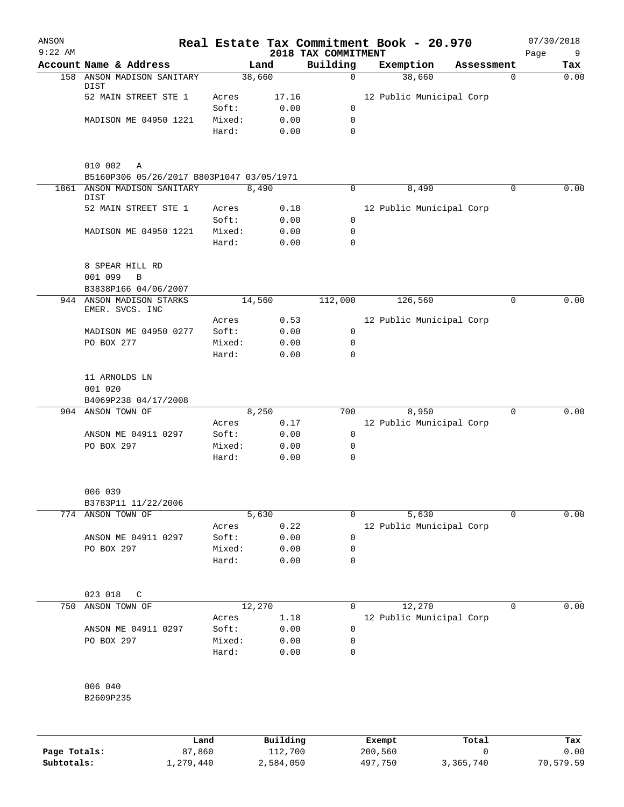| ANSON<br>$9:22$ AM |                                                           |                 |                      | 2018 TAX COMMITMENT        | Real Estate Tax Commitment Book - 20.970 |            |          | 07/30/2018<br>Page<br>9 |
|--------------------|-----------------------------------------------------------|-----------------|----------------------|----------------------------|------------------------------------------|------------|----------|-------------------------|
|                    | Account Name & Address                                    |                 | Land                 | Building                   | Exemption                                | Assessment |          | Tax                     |
|                    | 158 ANSON MADISON SANITARY                                |                 | 38,660               | $\mathbf 0$                | 38,660                                   |            | 0        | 0.00                    |
|                    | DIST<br>52 MAIN STREET STE 1                              | Acres           | 17.16                |                            | 12 Public Municipal Corp                 |            |          |                         |
|                    |                                                           | Soft:           | 0.00                 | $\mathbf 0$                |                                          |            |          |                         |
|                    | MADISON ME 04950 1221                                     | Mixed:          | 0.00                 | $\mathsf{O}$               |                                          |            |          |                         |
|                    |                                                           | Hard:           | 0.00                 | $\mathbf 0$                |                                          |            |          |                         |
|                    |                                                           |                 |                      |                            |                                          |            |          |                         |
|                    | 010 002<br>A<br>B5160P306 05/26/2017 B803P1047 03/05/1971 |                 |                      |                            |                                          |            |          |                         |
|                    | 1861 ANSON MADISON SANITARY                               |                 | 8,490                | 0                          | 8,490                                    |            | 0        | 0.00                    |
|                    | DIST                                                      |                 |                      |                            |                                          |            |          |                         |
|                    | 52 MAIN STREET STE 1                                      | Acres           | 0.18                 |                            | 12 Public Municipal Corp                 |            |          |                         |
|                    |                                                           | Soft:           | 0.00                 | 0                          |                                          |            |          |                         |
|                    | MADISON ME 04950 1221                                     | Mixed:<br>Hard: | 0.00<br>0.00         | $\mathbf 0$<br>$\mathbf 0$ |                                          |            |          |                         |
|                    | 8 SPEAR HILL RD                                           |                 |                      |                            |                                          |            |          |                         |
|                    | 001 099<br>B                                              |                 |                      |                            |                                          |            |          |                         |
|                    | B3838P166 04/06/2007                                      |                 |                      |                            |                                          |            |          |                         |
|                    | 944 ANSON MADISON STARKS<br>EMER. SVCS. INC               |                 | 14,560               | 112,000                    | 126,560                                  |            | 0        | 0.00                    |
|                    |                                                           | Acres           | 0.53                 |                            | 12 Public Municipal Corp                 |            |          |                         |
|                    | MADISON ME 04950 0277                                     | Soft:           | 0.00                 | 0                          |                                          |            |          |                         |
|                    | PO BOX 277                                                | Mixed:          | 0.00                 | 0                          |                                          |            |          |                         |
|                    |                                                           | Hard:           | 0.00                 | $\mathbf 0$                |                                          |            |          |                         |
|                    | 11 ARNOLDS LN                                             |                 |                      |                            |                                          |            |          |                         |
|                    | 001 020                                                   |                 |                      |                            |                                          |            |          |                         |
|                    | B4069P238 04/17/2008                                      |                 |                      |                            |                                          |            |          |                         |
|                    | 904 ANSON TOWN OF                                         |                 | 8,250                | 700                        | 8,950                                    |            | $\Omega$ | 0.00                    |
|                    |                                                           | Acres           | 0.17                 |                            | 12 Public Municipal Corp                 |            |          |                         |
|                    | ANSON ME 04911 0297                                       | Soft:           | 0.00                 | 0                          |                                          |            |          |                         |
|                    | PO BOX 297                                                | Mixed:<br>Hard: | 0.00<br>0.00         | 0<br>$\mathbf 0$           |                                          |            |          |                         |
|                    |                                                           |                 |                      |                            |                                          |            |          |                         |
|                    | 006 039                                                   |                 |                      |                            |                                          |            |          |                         |
|                    | B3783P11 11/22/2006                                       |                 |                      |                            |                                          |            |          |                         |
|                    | 774 ANSON TOWN OF                                         |                 | 5,630                | 0                          | 5,630                                    |            | $\Omega$ | 0.00                    |
|                    |                                                           | Acres           | 0.22                 |                            | 12 Public Municipal Corp                 |            |          |                         |
|                    | ANSON ME 04911 0297                                       | Soft:           | 0.00                 | $\mathbf 0$                |                                          |            |          |                         |
|                    | PO BOX 297                                                | Mixed:          | 0.00                 | 0                          |                                          |            |          |                         |
|                    |                                                           | Hard:           | 0.00                 | $\mathbf 0$                |                                          |            |          |                         |
|                    | 023 018<br>C                                              |                 |                      |                            |                                          |            |          |                         |
| 750                | ANSON TOWN OF                                             |                 | 12,270               | 0                          | 12,270                                   |            | 0        | 0.00                    |
|                    |                                                           | Acres           | 1.18                 |                            | 12 Public Municipal Corp                 |            |          |                         |
|                    | ANSON ME 04911 0297                                       | Soft:           | 0.00                 | 0                          |                                          |            |          |                         |
|                    | PO BOX 297                                                | Mixed:          | 0.00                 | 0                          |                                          |            |          |                         |
|                    |                                                           | Hard:           | 0.00                 | $\mathbf 0$                |                                          |            |          |                         |
|                    | 006 040                                                   |                 |                      |                            |                                          |            |          |                         |
|                    | B2609P235                                                 |                 |                      |                            |                                          |            |          |                         |
|                    |                                                           |                 |                      |                            |                                          |            |          |                         |
|                    |                                                           |                 | <b>D.,; 1,4; -</b> , |                            | <b>Ducamod</b>                           | መልዙል'      |          |                         |

|              | Land      | Building  | Exempt  | Total     | Tax       |
|--------------|-----------|-----------|---------|-----------|-----------|
| Page Totals: | 87,860    | 112,700   | 200,560 |           | 0.00      |
| Subtotals:   | ⊥,279,440 | 2,584,050 | 497.750 | 3,365,740 | 70,579.59 |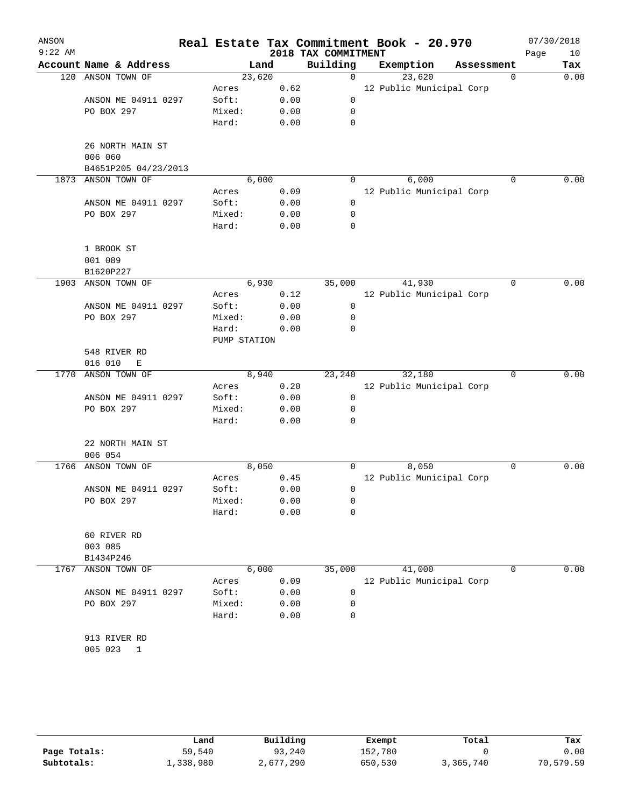| ANSON<br>$9:22$ AM |                             |              |      | 2018 TAX COMMITMENT | Real Estate Tax Commitment Book - 20.970 |            | 07/30/2018<br>Page<br>10 |
|--------------------|-----------------------------|--------------|------|---------------------|------------------------------------------|------------|--------------------------|
|                    | Account Name & Address      | Land         |      | Building            | Exemption                                | Assessment | Tax                      |
| 120                | ANSON TOWN OF               | 23,620       |      | 0                   | 23,620                                   |            | 0<br>0.00                |
|                    |                             | Acres        | 0.62 |                     | 12 Public Municipal Corp                 |            |                          |
|                    | ANSON ME 04911 0297         | Soft:        | 0.00 | 0                   |                                          |            |                          |
|                    | PO BOX 297                  | Mixed:       | 0.00 | 0                   |                                          |            |                          |
|                    |                             | Hard:        | 0.00 | 0                   |                                          |            |                          |
|                    | 26 NORTH MAIN ST<br>006 060 |              |      |                     |                                          |            |                          |
|                    | B4651P205 04/23/2013        |              |      |                     |                                          |            |                          |
| 1873               | ANSON TOWN OF               | 6,000        |      | 0                   | 6,000                                    |            | 0.00<br>0                |
|                    |                             | Acres        | 0.09 |                     | 12 Public Municipal Corp                 |            |                          |
|                    | ANSON ME 04911 0297         | Soft:        | 0.00 | 0                   |                                          |            |                          |
|                    | PO BOX 297                  | Mixed:       | 0.00 | 0                   |                                          |            |                          |
|                    |                             | Hard:        | 0.00 | 0                   |                                          |            |                          |
|                    | 1 BROOK ST                  |              |      |                     |                                          |            |                          |
|                    | 001 089                     |              |      |                     |                                          |            |                          |
|                    | B1620P227                   |              |      |                     |                                          |            |                          |
| 1903               | ANSON TOWN OF               | 6,930        |      | 35,000              | 41,930                                   |            | 0.00<br>0                |
|                    |                             | Acres        | 0.12 |                     | 12 Public Municipal Corp                 |            |                          |
|                    | ANSON ME 04911 0297         | Soft:        | 0.00 | 0                   |                                          |            |                          |
|                    | PO BOX 297                  | Mixed:       | 0.00 | 0                   |                                          |            |                          |
|                    |                             | Hard:        | 0.00 | 0                   |                                          |            |                          |
|                    |                             | PUMP STATION |      |                     |                                          |            |                          |
|                    | 548 RIVER RD                |              |      |                     |                                          |            |                          |
|                    | 016 010<br>Ε                |              |      |                     |                                          |            |                          |
| 1770               | ANSON TOWN OF               | 8,940        |      | 23,240              | 32,180                                   |            | 0.00<br>0                |
|                    |                             | Acres        | 0.20 |                     | 12 Public Municipal Corp                 |            |                          |
|                    | ANSON ME 04911 0297         | Soft:        | 0.00 | 0                   |                                          |            |                          |
|                    | PO BOX 297                  | Mixed:       | 0.00 | 0                   |                                          |            |                          |
|                    |                             | Hard:        | 0.00 | 0                   |                                          |            |                          |
|                    | 22 NORTH MAIN ST            |              |      |                     |                                          |            |                          |
|                    | 006 054                     |              |      |                     |                                          |            |                          |
| 1766               | ANSON TOWN OF               | 8,050        |      | 0                   | 8,050                                    |            | 0.00<br>0                |
|                    |                             | Acres        | 0.45 |                     | 12 Public Municipal Corp                 |            |                          |
|                    | ANSON ME 04911 0297         | Soft:        | 0.00 | 0                   |                                          |            |                          |
|                    | PO BOX 297                  | Mixed:       | 0.00 | 0                   |                                          |            |                          |
|                    |                             | Hard:        | 0.00 | 0                   |                                          |            |                          |
|                    | 60 RIVER RD                 |              |      |                     |                                          |            |                          |
|                    | 003 085                     |              |      |                     |                                          |            |                          |
|                    | B1434P246                   |              |      |                     |                                          |            |                          |
| 1767               | ANSON TOWN OF               | 6,000        |      | 35,000              | 41,000                                   |            | 0.00<br>0                |
|                    |                             | Acres        | 0.09 |                     | 12 Public Municipal Corp                 |            |                          |
|                    | ANSON ME 04911 0297         | Soft:        | 0.00 | 0                   |                                          |            |                          |
|                    | PO BOX 297                  | Mixed:       | 0.00 | 0                   |                                          |            |                          |
|                    |                             | Hard:        | 0.00 | 0                   |                                          |            |                          |
|                    | 913 RIVER RD                |              |      |                     |                                          |            |                          |
|                    | 005 023<br>1                |              |      |                     |                                          |            |                          |
|                    |                             |              |      |                     |                                          |            |                          |

|              | Land      | Building  | Exempt  | Total     | Tax       |
|--------------|-----------|-----------|---------|-----------|-----------|
| Page Totals: | 59,540    | 93,240    | 152,780 |           | 0.00      |
| Subtotals:   | 1,338,980 | 2,677,290 | 650,530 | 3,365,740 | 70,579.59 |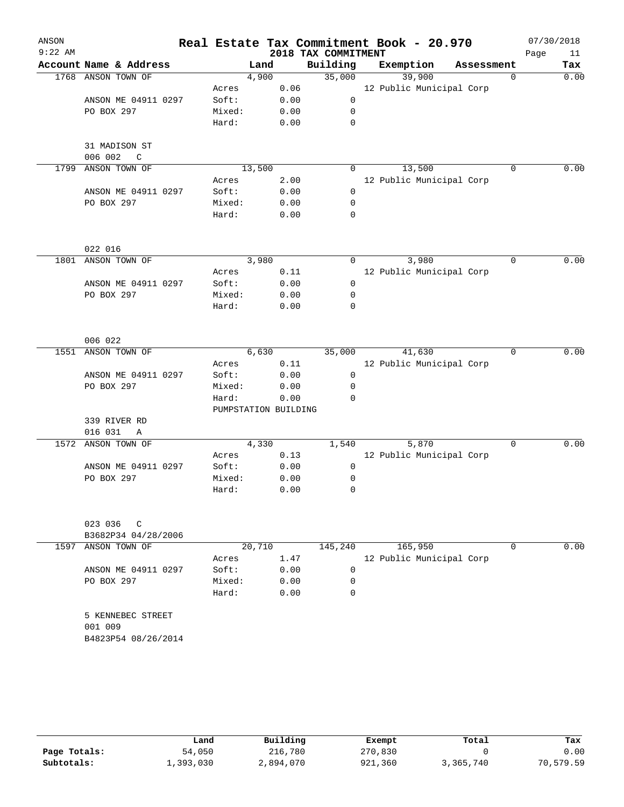| ANSON     |                                          |                 |                      |                     | Real Estate Tax Commitment Book - 20.970 |            | 07/30/2018 |      |
|-----------|------------------------------------------|-----------------|----------------------|---------------------|------------------------------------------|------------|------------|------|
| $9:22$ AM |                                          |                 |                      | 2018 TAX COMMITMENT |                                          |            | Page       | 11   |
|           | Account Name & Address                   |                 | Land                 | Building            | Exemption                                | Assessment |            | Tax  |
| 1768      | ANSON TOWN OF                            |                 | 4,900                | 35,000              | 39,900                                   | $\Omega$   |            | 0.00 |
|           |                                          | Acres           | 0.06                 |                     | 12 Public Municipal Corp                 |            |            |      |
|           | ANSON ME 04911 0297                      | Soft:           | 0.00                 | $\mathbf 0$         |                                          |            |            |      |
|           | PO BOX 297                               | Mixed:          | 0.00                 | $\mathbf 0$         |                                          |            |            |      |
|           |                                          | Hard:           | 0.00                 | 0                   |                                          |            |            |      |
|           | 31 MADISON ST<br>006 002<br>$\mathbb{C}$ |                 |                      |                     |                                          |            |            |      |
| 1799      | ANSON TOWN OF                            |                 | 13,500               | 0                   | 13,500                                   | $\Omega$   |            | 0.00 |
|           |                                          | Acres           | 2.00                 |                     | 12 Public Municipal Corp                 |            |            |      |
|           | ANSON ME 04911 0297                      | Soft:           | 0.00                 | $\mathbf 0$         |                                          |            |            |      |
|           | PO BOX 297                               | Mixed:          | 0.00                 | 0                   |                                          |            |            |      |
|           |                                          | Hard:           | 0.00                 | 0                   |                                          |            |            |      |
|           | 022 016                                  |                 |                      |                     |                                          |            |            |      |
| 1801      | ANSON TOWN OF                            |                 | 3,980                | $\Omega$            | 3,980                                    | $\Omega$   |            | 0.00 |
|           |                                          | Acres           | 0.11                 |                     | 12 Public Municipal Corp                 |            |            |      |
|           | ANSON ME 04911 0297                      | Soft:           | 0.00                 | $\mathbf 0$         |                                          |            |            |      |
|           | PO BOX 297                               | Mixed:          | 0.00                 | 0                   |                                          |            |            |      |
|           |                                          | Hard:           | 0.00                 | 0                   |                                          |            |            |      |
|           | 006 022                                  |                 |                      |                     |                                          |            |            |      |
| 1551      | ANSON TOWN OF                            |                 | 6,630                | 35,000              | 41,630                                   | 0          |            | 0.00 |
|           |                                          | Acres           | 0.11                 |                     | 12 Public Municipal Corp                 |            |            |      |
|           | ANSON ME 04911 0297                      | Soft:           | 0.00                 | 0                   |                                          |            |            |      |
|           | PO BOX 297                               | Mixed:          | 0.00                 | 0                   |                                          |            |            |      |
|           |                                          | Hard:           | 0.00                 | $\Omega$            |                                          |            |            |      |
|           |                                          |                 | PUMPSTATION BUILDING |                     |                                          |            |            |      |
|           | 339 RIVER RD                             |                 |                      |                     |                                          |            |            |      |
|           | 016 031<br>$\mathbb{A}$                  |                 |                      |                     |                                          |            |            |      |
| 1572      | ANSON TOWN OF                            |                 | 4,330                | 1,540               | 5,870                                    | $\Omega$   |            | 0.00 |
|           |                                          | Acres           | 0.13                 |                     | 12 Public Municipal Corp                 |            |            |      |
|           | ANSON ME 04911 0297                      | Soft:           | 0.00                 | 0                   |                                          |            |            |      |
|           | PO BOX 297                               | Mixed:          | 0.00                 | 0                   |                                          |            |            |      |
|           |                                          | Hard:           | 0.00                 | 0                   |                                          |            |            |      |
|           | 023 036<br>C                             |                 |                      |                     |                                          |            |            |      |
|           | B3682P34 04/28/2006                      |                 |                      |                     |                                          |            |            |      |
|           | 1597 ANSON TOWN OF                       |                 | 20,710               | 145,240             | 165,950                                  | $\Omega$   |            | 0.00 |
|           |                                          | Acres           | 1.47                 |                     | 12 Public Municipal Corp                 |            |            |      |
|           | ANSON ME 04911 0297                      | Soft:           | 0.00                 | $\mathbf 0$         |                                          |            |            |      |
|           | PO BOX 297                               | Mixed:<br>Hard: | 0.00<br>0.00         | 0<br>0              |                                          |            |            |      |
|           |                                          |                 |                      |                     |                                          |            |            |      |
|           | 5 KENNEBEC STREET<br>001 009             |                 |                      |                     |                                          |            |            |      |
|           | B4823P54 08/26/2014                      |                 |                      |                     |                                          |            |            |      |

|              | Land      | Building  | Exempt  | Total     | Tax       |
|--------------|-----------|-----------|---------|-----------|-----------|
| Page Totals: | 54,050    | 216,780   | 270,830 |           | 0.00      |
| Subtotals:   | 1,393,030 | 2,894,070 | 921,360 | 3,365,740 | 70,579.59 |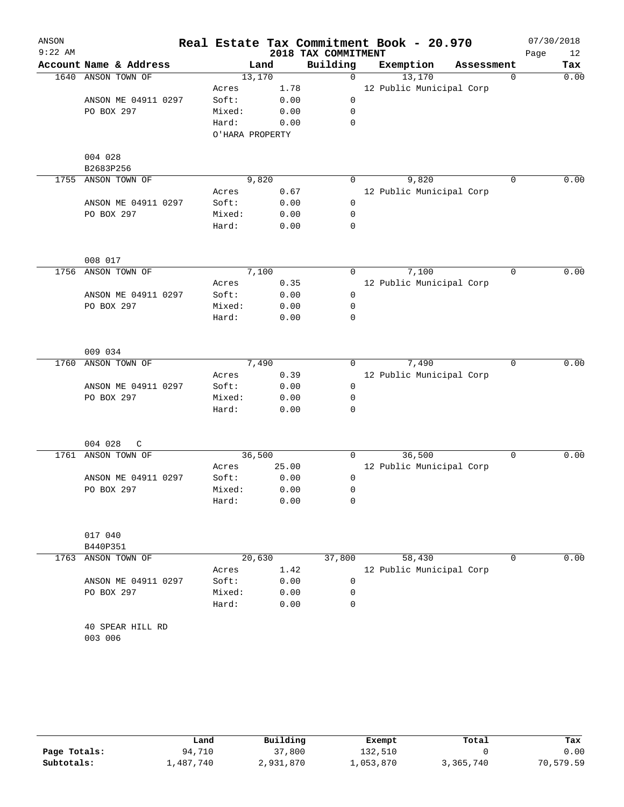| ANSON<br>$9:22$ AM |                                   |                 |       | 2018 TAX COMMITMENT | Real Estate Tax Commitment Book - 20.970 |            |             | 07/30/2018<br>Page<br>12 |
|--------------------|-----------------------------------|-----------------|-------|---------------------|------------------------------------------|------------|-------------|--------------------------|
|                    | Account Name & Address            |                 | Land  | Building            | Exemption                                | Assessment |             | Tax                      |
| 1640               | ANSON TOWN OF                     | 13,170          |       | $\mathbf 0$         | 13,170                                   |            | 0           | 0.00                     |
|                    |                                   | Acres           | 1.78  |                     | 12 Public Municipal Corp                 |            |             |                          |
|                    | ANSON ME 04911 0297               | Soft:           | 0.00  | 0                   |                                          |            |             |                          |
|                    | PO BOX 297                        | Mixed:          | 0.00  | 0                   |                                          |            |             |                          |
|                    |                                   | Hard:           | 0.00  | 0                   |                                          |            |             |                          |
|                    |                                   | O'HARA PROPERTY |       |                     |                                          |            |             |                          |
|                    | 004 028                           |                 |       |                     |                                          |            |             |                          |
|                    | B2683P256                         |                 |       |                     |                                          |            |             |                          |
| 1755               | ANSON TOWN OF                     | 9,820           |       | 0                   | 9,820                                    |            | $\mathbf 0$ | 0.00                     |
|                    |                                   | Acres           | 0.67  |                     | 12 Public Municipal Corp                 |            |             |                          |
|                    | ANSON ME 04911 0297               | Soft:           | 0.00  | 0                   |                                          |            |             |                          |
|                    | PO BOX 297                        | Mixed:          | 0.00  | 0                   |                                          |            |             |                          |
|                    |                                   | Hard:           | 0.00  | 0                   |                                          |            |             |                          |
|                    | 008 017                           |                 |       |                     |                                          |            |             |                          |
| 1756               | ANSON TOWN OF                     | 7,100           |       | 0                   | 7,100                                    |            | $\mathbf 0$ | 0.00                     |
|                    |                                   | Acres           | 0.35  |                     | 12 Public Municipal Corp                 |            |             |                          |
|                    | ANSON ME 04911 0297               | Soft:           | 0.00  | 0                   |                                          |            |             |                          |
|                    | PO BOX 297                        | Mixed:          | 0.00  | 0                   |                                          |            |             |                          |
|                    |                                   | Hard:           | 0.00  | 0                   |                                          |            |             |                          |
|                    |                                   |                 |       |                     |                                          |            |             |                          |
|                    | 009 034                           |                 |       |                     |                                          |            |             |                          |
| 1760               | ANSON TOWN OF                     | 7,490           |       | 0                   | 7,490                                    |            | $\mathbf 0$ | 0.00                     |
|                    |                                   | Acres           | 0.39  |                     | 12 Public Municipal Corp                 |            |             |                          |
|                    | ANSON ME 04911 0297               | Soft:           | 0.00  | 0                   |                                          |            |             |                          |
|                    | PO BOX 297                        | Mixed:          | 0.00  | 0                   |                                          |            |             |                          |
|                    |                                   | Hard:           | 0.00  | 0                   |                                          |            |             |                          |
|                    | 004 028<br>C                      |                 |       |                     |                                          |            |             |                          |
| 1761               | ANSON TOWN OF                     | 36,500          |       | 0                   | 36,500                                   |            | 0           | 0.00                     |
|                    |                                   | Acres           | 25.00 |                     | 12 Public Municipal Corp                 |            |             |                          |
|                    | ANSON ME 04911 0297               | Soft:           | 0.00  | 0                   |                                          |            |             |                          |
|                    | PO BOX 297                        | Mixed:          | 0.00  | 0                   |                                          |            |             |                          |
|                    |                                   | Hard:           | 0.00  | 0                   |                                          |            |             |                          |
|                    | 017 040                           |                 |       |                     |                                          |            |             |                          |
|                    | B440P351                          |                 |       |                     |                                          |            |             |                          |
| 1763               | ANSON TOWN OF                     | 20,630          |       | 37,800              | 58,430                                   |            | 0           | 0.00                     |
|                    |                                   | Acres           | 1.42  |                     |                                          |            |             |                          |
|                    |                                   |                 |       |                     | 12 Public Municipal Corp                 |            |             |                          |
|                    | ANSON ME 04911 0297<br>PO BOX 297 | Soft:           | 0.00  | 0                   |                                          |            |             |                          |
|                    |                                   | Mixed:          | 0.00  | 0                   |                                          |            |             |                          |
|                    |                                   | Hard:           | 0.00  | 0                   |                                          |            |             |                          |
|                    | 40 SPEAR HILL RD<br>003 006       |                 |       |                     |                                          |            |             |                          |

|              | Land      | Building  | Exempt    | Total     | Tax       |
|--------------|-----------|-----------|-----------|-----------|-----------|
| Page Totals: | 94,710    | 37,800    | 132,510   |           | 0.00      |
| Subtotals:   | 1,487,740 | 2,931,870 | 1,053,870 | 3,365,740 | 70,579.59 |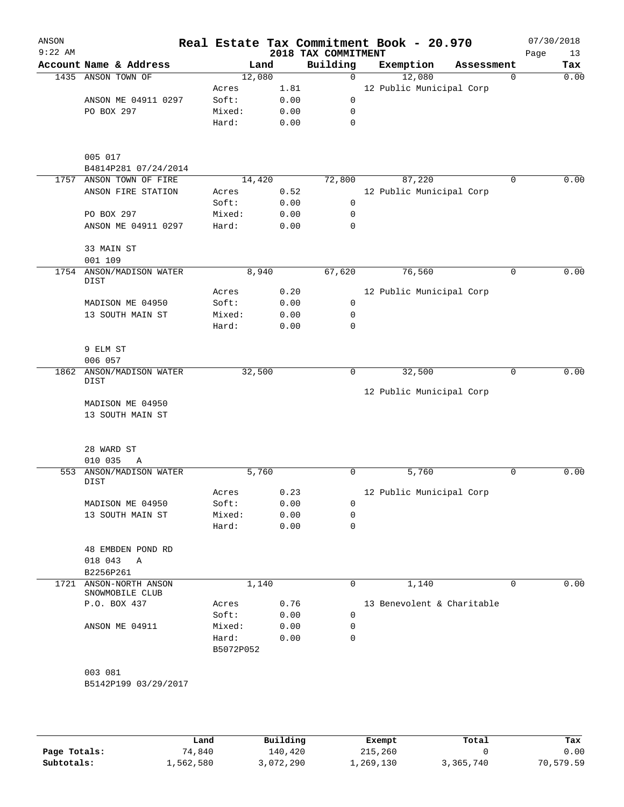| ANSON<br>$9:22$ AM |                                            |                 |              | 2018 TAX COMMITMENT | Real Estate Tax Commitment Book - 20.970 |   | 07/30/2018<br>Page<br>13 |
|--------------------|--------------------------------------------|-----------------|--------------|---------------------|------------------------------------------|---|--------------------------|
|                    | Account Name & Address                     | Land            |              | Building            | Exemption<br>Assessment                  |   | Tax                      |
|                    | 1435 ANSON TOWN OF                         | 12,080          |              | 0                   | 12,080                                   | 0 | 0.00                     |
|                    |                                            | Acres           | 1.81         |                     | 12 Public Municipal Corp                 |   |                          |
|                    | ANSON ME 04911 0297                        | Soft:           | 0.00         | 0                   |                                          |   |                          |
|                    | PO BOX 297                                 | Mixed:          | 0.00         | 0                   |                                          |   |                          |
|                    |                                            | Hard:           | 0.00         | $\mathbf 0$         |                                          |   |                          |
|                    | 005 017                                    |                 |              |                     |                                          |   |                          |
| 1757               | B4814P281 07/24/2014<br>ANSON TOWN OF FIRE | 14,420          |              | 72,800              | 87,220                                   | 0 | 0.00                     |
|                    | ANSON FIRE STATION                         | Acres           | 0.52         |                     | 12 Public Municipal Corp                 |   |                          |
|                    |                                            | Soft:           | 0.00         | 0                   |                                          |   |                          |
|                    | PO BOX 297                                 | Mixed:          | 0.00         | 0                   |                                          |   |                          |
|                    | ANSON ME 04911 0297                        | Hard:           | 0.00         | 0                   |                                          |   |                          |
|                    | 33 MAIN ST                                 |                 |              |                     |                                          |   |                          |
|                    | 001 109                                    |                 |              |                     |                                          |   |                          |
| 1754               | ANSON/MADISON WATER<br>DIST                | 8,940           |              | 67,620              | 76,560                                   | 0 | 0.00                     |
|                    |                                            | Acres           | 0.20         |                     | 12 Public Municipal Corp                 |   |                          |
|                    | MADISON ME 04950                           | Soft:           | 0.00         | 0                   |                                          |   |                          |
|                    | 13 SOUTH MAIN ST                           | Mixed:          | 0.00         | 0                   |                                          |   |                          |
|                    |                                            | Hard:           | 0.00         | $\mathbf 0$         |                                          |   |                          |
|                    | 9 ELM ST                                   |                 |              |                     |                                          |   |                          |
|                    | 006 057                                    |                 |              |                     |                                          |   |                          |
| 1862               | ANSON/MADISON WATER<br>DIST                | 32,500          |              | 0                   | 32,500                                   | 0 | 0.00                     |
|                    |                                            |                 |              |                     | 12 Public Municipal Corp                 |   |                          |
|                    | MADISON ME 04950<br>13 SOUTH MAIN ST       |                 |              |                     |                                          |   |                          |
|                    |                                            |                 |              |                     |                                          |   |                          |
|                    | 28 WARD ST                                 |                 |              |                     |                                          |   |                          |
|                    | 010 035<br>Α                               |                 |              |                     |                                          |   |                          |
| 553                | ANSON/MADISON WATER<br><b>DIST</b>         | 5,760           |              | 0                   | 5,760                                    | 0 | 0.00                     |
|                    |                                            | Acres           | 0.23         |                     | 12 Public Municipal Corp                 |   |                          |
|                    | MADISON ME 04950<br>13 SOUTH MAIN ST       | Soft:<br>Mixed: | 0.00<br>0.00 | 0<br>0              |                                          |   |                          |
|                    |                                            | Hard:           | 0.00         | 0                   |                                          |   |                          |
|                    | 48 EMBDEN POND RD                          |                 |              |                     |                                          |   |                          |
|                    | 018 043<br>Α                               |                 |              |                     |                                          |   |                          |
|                    | B2256P261                                  |                 |              |                     |                                          |   |                          |
| 1721               | ANSON-NORTH ANSON<br>SNOWMOBILE CLUB       | 1,140           |              | 0                   | 1,140                                    | 0 | 0.00                     |
|                    | P.O. BOX 437                               | Acres           | 0.76         |                     | 13 Benevolent & Charitable               |   |                          |
|                    |                                            | Soft:           | 0.00         | 0                   |                                          |   |                          |
|                    | ANSON ME 04911                             | Mixed:          | 0.00         | 0                   |                                          |   |                          |
|                    |                                            | Hard:           | 0.00         | 0                   |                                          |   |                          |
|                    |                                            | B5072P052       |              |                     |                                          |   |                          |
|                    | 003 081                                    |                 |              |                     |                                          |   |                          |
|                    | B5142P199 03/29/2017                       |                 |              |                     |                                          |   |                          |
|                    |                                            |                 |              |                     |                                          |   |                          |
|                    |                                            |                 |              |                     |                                          |   |                          |

|              | Land      | Building | Exempt    | Total     | Tax       |
|--------------|-----------|----------|-----------|-----------|-----------|
| Page Totals: | 74,840    | 140,420  | 215,260   |           | 0.00      |
| Subtotals:   | 1,562,580 | ,072,290 | 1,269,130 | 3,365,740 | 70,579.59 |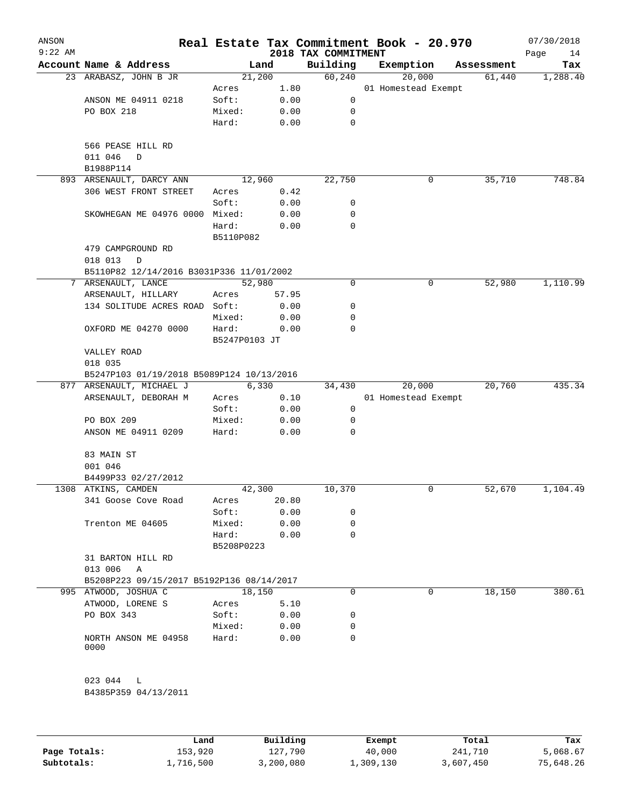| ANSON<br>$9:22$ AM |                                                           |                     |       | 2018 TAX COMMITMENT | Real Estate Tax Commitment Book - 20.970 |            | 07/30/2018<br>Page<br>14 |
|--------------------|-----------------------------------------------------------|---------------------|-------|---------------------|------------------------------------------|------------|--------------------------|
|                    | Account Name & Address                                    | Land                |       | Building            | Exemption                                | Assessment | Tax                      |
|                    | 23 ARABASZ, JOHN B JR                                     | 21,200              |       | 60, 240             | 20,000                                   | 61,440     | 1,288.40                 |
|                    |                                                           | Acres               | 1.80  |                     | 01 Homestead Exempt                      |            |                          |
|                    | ANSON ME 04911 0218                                       | Soft:               | 0.00  | 0                   |                                          |            |                          |
|                    | PO BOX 218                                                | Mixed:              | 0.00  | 0                   |                                          |            |                          |
|                    |                                                           | Hard:               | 0.00  | $\mathbf 0$         |                                          |            |                          |
|                    | 566 PEASE HILL RD<br>011 046<br>D                         |                     |       |                     |                                          |            |                          |
|                    | B1988P114                                                 |                     |       |                     |                                          |            |                          |
|                    | 893 ARSENAULT, DARCY ANN                                  | 12,960              |       | 22,750              | 0                                        | 35,710     | 748.84                   |
|                    | 306 WEST FRONT STREET                                     | Acres               | 0.42  |                     |                                          |            |                          |
|                    |                                                           | Soft:               | 0.00  | 0                   |                                          |            |                          |
|                    | SKOWHEGAN ME 04976 0000 Mixed:                            |                     | 0.00  | 0                   |                                          |            |                          |
|                    |                                                           | Hard:<br>B5110P082  | 0.00  | $\mathbf 0$         |                                          |            |                          |
|                    | 479 CAMPGROUND RD                                         |                     |       |                     |                                          |            |                          |
|                    | 018 013<br>D                                              |                     |       |                     |                                          |            |                          |
|                    | B5110P82 12/14/2016 B3031P336 11/01/2002                  |                     |       |                     |                                          |            |                          |
|                    | 7 ARSENAULT, LANCE                                        | 52,980              |       | 0                   | 0                                        | 52,980     | 1,110.99                 |
|                    | ARSENAULT, HILLARY                                        | Acres               | 57.95 |                     |                                          |            |                          |
|                    | 134 SOLITUDE ACRES ROAD Soft:                             |                     | 0.00  | 0                   |                                          |            |                          |
|                    |                                                           | Mixed:              | 0.00  | $\mathbf 0$         |                                          |            |                          |
|                    | OXFORD ME 04270 0000                                      | Hard:               | 0.00  | 0                   |                                          |            |                          |
|                    |                                                           | B5247P0103 JT       |       |                     |                                          |            |                          |
|                    | VALLEY ROAD<br>018 035                                    |                     |       |                     |                                          |            |                          |
|                    | B5247P103 01/19/2018 B5089P124 10/13/2016                 |                     |       |                     |                                          |            |                          |
|                    | 877 ARSENAULT, MICHAEL J                                  | 6,330               |       | 34,430              | 20,000                                   | 20,760     | 435.34                   |
|                    | ARSENAULT, DEBORAH M                                      | Acres               | 0.10  |                     | 01 Homestead Exempt                      |            |                          |
|                    |                                                           | Soft:               | 0.00  | 0                   |                                          |            |                          |
|                    | PO BOX 209                                                | Mixed:              | 0.00  | 0                   |                                          |            |                          |
|                    | ANSON ME 04911 0209                                       | Hard:               | 0.00  | 0                   |                                          |            |                          |
|                    | 83 MAIN ST                                                |                     |       |                     |                                          |            |                          |
|                    | 001 046                                                   |                     |       |                     |                                          |            |                          |
|                    | B4499P33 02/27/2012                                       |                     |       |                     |                                          |            |                          |
|                    | 1308 ATKINS, CAMDEN                                       | 42,300              |       | 10,370              | 0                                        | 52,670     | 1,104.49                 |
|                    | 341 Goose Cove Road                                       | Acres               | 20.80 |                     |                                          |            |                          |
|                    |                                                           | Soft:               | 0.00  | 0                   |                                          |            |                          |
|                    | Trenton ME 04605                                          | Mixed:              | 0.00  | 0                   |                                          |            |                          |
|                    |                                                           | Hard:<br>B5208P0223 | 0.00  | 0                   |                                          |            |                          |
|                    | 31 BARTON HILL RD                                         |                     |       |                     |                                          |            |                          |
|                    | 013 006<br>A<br>B5208P223 09/15/2017 B5192P136 08/14/2017 |                     |       |                     |                                          |            |                          |
|                    | 995 ATWOOD, JOSHUA C                                      | 18,150              |       | 0                   | 0                                        | 18,150     | 380.61                   |
|                    | ATWOOD, LORENE S                                          | Acres               | 5.10  |                     |                                          |            |                          |
|                    | PO BOX 343                                                | Soft:               | 0.00  | 0                   |                                          |            |                          |
|                    |                                                           | Mixed:              | 0.00  | 0                   |                                          |            |                          |
|                    |                                                           |                     |       | $\Omega$            |                                          |            |                          |
|                    | NORTH ANSON ME 04958<br>0000                              | Hard:               | 0.00  |                     |                                          |            |                          |
|                    | 023 044 L                                                 |                     |       |                     |                                          |            |                          |
|                    |                                                           |                     |       |                     |                                          |            |                          |
|                    | B4385P359 04/13/2011                                      |                     |       |                     |                                          |            |                          |

|              | Land      | Building  | Exempt    | Total     | Tax       |
|--------------|-----------|-----------|-----------|-----------|-----------|
| Page Totals: | 153,920   | 127,790   | 40,000    | 241,710   | 5,068.67  |
| Subtotals:   | 1,716,500 | 3,200,080 | 1,309,130 | 3,607,450 | 75,648.26 |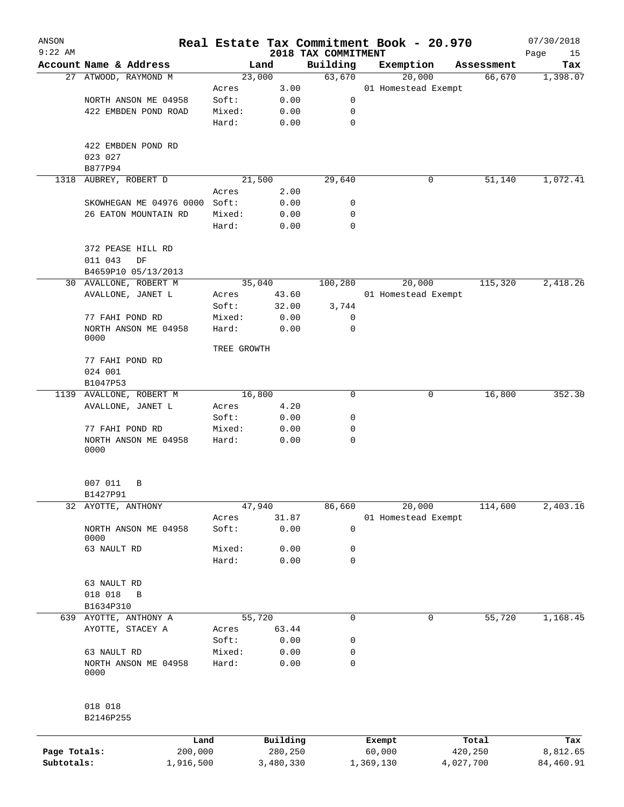| ANSON        |                              |             |           |                                 | Real Estate Tax Commitment Book - 20.970 |            | 07/30/2018        |
|--------------|------------------------------|-------------|-----------|---------------------------------|------------------------------------------|------------|-------------------|
| $9:22$ AM    | Account Name & Address       |             | Land      | 2018 TAX COMMITMENT<br>Building | Exemption                                | Assessment | Page<br>15<br>Tax |
|              | 27 ATWOOD, RAYMOND M         |             | 23,000    | 63,670                          | 20,000                                   | 66,670     | 1,398.07          |
|              |                              | Acres       | 3.00      |                                 | 01 Homestead Exempt                      |            |                   |
|              | NORTH ANSON ME 04958         | Soft:       | 0.00      | 0                               |                                          |            |                   |
|              | 422 EMBDEN POND ROAD         | Mixed:      | 0.00      | 0                               |                                          |            |                   |
|              |                              | Hard:       | 0.00      | $\mathbf 0$                     |                                          |            |                   |
|              | 422 EMBDEN POND RD           |             |           |                                 |                                          |            |                   |
|              | 023 027<br>B877P94           |             |           |                                 |                                          |            |                   |
| 1318         | AUBREY, ROBERT D             |             | 21,500    | 29,640                          | 0                                        | 51,140     | 1,072.41          |
|              |                              | Acres       | 2.00      |                                 |                                          |            |                   |
|              | SKOWHEGAN ME 04976 0000      | Soft:       | 0.00      | 0                               |                                          |            |                   |
|              | 26 EATON MOUNTAIN RD         | Mixed:      | 0.00      | 0                               |                                          |            |                   |
|              |                              | Hard:       | 0.00      | 0                               |                                          |            |                   |
|              | 372 PEASE HILL RD            |             |           |                                 |                                          |            |                   |
|              | 011 043<br>DF                |             |           |                                 |                                          |            |                   |
|              | B4659P10 05/13/2013          |             |           |                                 |                                          |            |                   |
|              | 30 AVALLONE, ROBERT M        |             | 35,040    | 100,280                         | 20,000                                   | 115,320    | 2,418.26          |
|              | AVALLONE, JANET L            | Acres       | 43.60     |                                 | 01 Homestead Exempt                      |            |                   |
|              |                              | Soft:       | 32.00     | 3,744                           |                                          |            |                   |
|              | 77 FAHI POND RD              | Mixed:      | 0.00      | 0                               |                                          |            |                   |
|              | NORTH ANSON ME 04958<br>0000 | Hard:       | 0.00      | 0                               |                                          |            |                   |
|              |                              | TREE GROWTH |           |                                 |                                          |            |                   |
|              | 77 FAHI POND RD              |             |           |                                 |                                          |            |                   |
|              | 024 001                      |             |           |                                 |                                          |            |                   |
|              | B1047P53                     |             |           |                                 |                                          |            |                   |
| 1139         | AVALLONE, ROBERT M           |             | 16,800    | 0                               | 0                                        | 16,800     | 352.30            |
|              | AVALLONE, JANET L            | Acres       | 4.20      |                                 |                                          |            |                   |
|              |                              | Soft:       | 0.00      | 0                               |                                          |            |                   |
|              | 77 FAHI POND RD              | Mixed:      | 0.00      | 0                               |                                          |            |                   |
|              | NORTH ANSON ME 04958<br>0000 | Hard:       | 0.00      | $\mathbf 0$                     |                                          |            |                   |
|              |                              |             |           |                                 |                                          |            |                   |
|              | 007 011<br>B                 |             |           |                                 |                                          |            |                   |
|              | B1427P91                     |             |           |                                 |                                          |            |                   |
|              | 32 AYOTTE, ANTHONY           |             | 47,940    | 86,660                          | 20,000                                   | 114,600    | 2,403.16          |
|              |                              | Acres       | 31.87     |                                 | 01 Homestead Exempt                      |            |                   |
|              | NORTH ANSON ME 04958<br>0000 | Soft:       | 0.00      | 0                               |                                          |            |                   |
|              | 63 NAULT RD                  | Mixed:      | 0.00      | 0                               |                                          |            |                   |
|              |                              | Hard:       | 0.00      | 0                               |                                          |            |                   |
|              | 63 NAULT RD                  |             |           |                                 |                                          |            |                   |
|              | 018 018<br>B                 |             |           |                                 |                                          |            |                   |
|              | B1634P310                    |             |           |                                 |                                          |            |                   |
|              | 639 AYOTTE, ANTHONY A        |             | 55,720    | $\mathbf 0$                     | 0                                        | 55,720     | 1,168.45          |
|              | AYOTTE, STACEY A             | Acres       | 63.44     |                                 |                                          |            |                   |
|              |                              | Soft:       | 0.00      | 0                               |                                          |            |                   |
|              | 63 NAULT RD                  | Mixed:      | 0.00      | 0                               |                                          |            |                   |
|              | NORTH ANSON ME 04958<br>0000 | Hard:       | 0.00      | 0                               |                                          |            |                   |
|              | 018 018                      |             |           |                                 |                                          |            |                   |
|              | B2146P255                    |             |           |                                 |                                          |            |                   |
|              |                              | Land        | Building  |                                 | Exempt                                   | Total      | Tax               |
| Page Totals: | 200,000                      |             | 280,250   |                                 | 60,000                                   | 420,250    | 8,812.65          |
| Subtotals:   | 1,916,500                    |             | 3,480,330 |                                 | 1,369,130                                | 4,027,700  | 84,460.91         |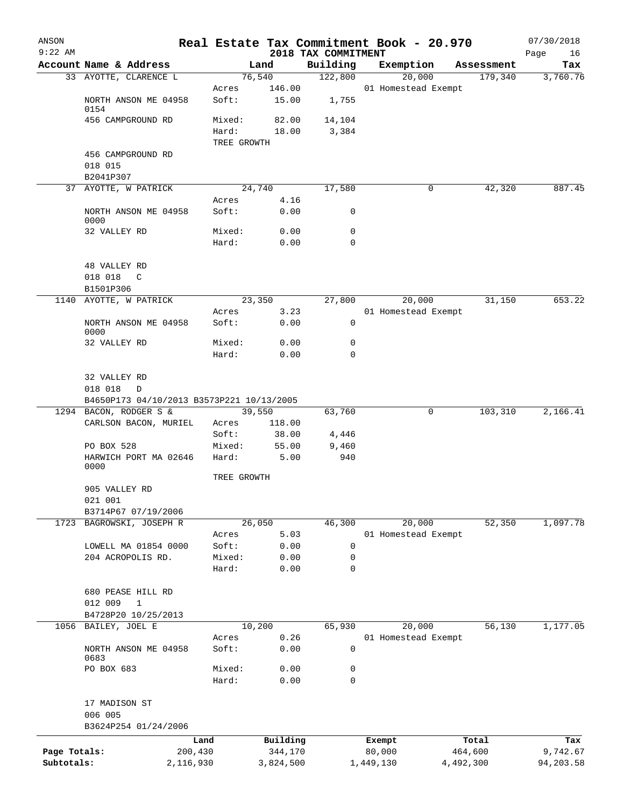| ANSON<br>$9:22$ AM |                                           |                 |               | 2018 TAX COMMITMENT | Real Estate Tax Commitment Book - 20.970 |            | 07/30/2018<br>Page<br>16 |
|--------------------|-------------------------------------------|-----------------|---------------|---------------------|------------------------------------------|------------|--------------------------|
|                    | Account Name & Address                    |                 | Land          | Building            | Exemption                                | Assessment | Tax                      |
|                    | 33 AYOTTE, CLARENCE L                     |                 | 76,540        | 122,800             | 20,000                                   | 179,340    | 3,760.76                 |
|                    |                                           | Acres           | 146.00        |                     | 01 Homestead Exempt                      |            |                          |
|                    | NORTH ANSON ME 04958                      | Soft:           | 15.00         | 1,755               |                                          |            |                          |
|                    | 0154<br>456 CAMPGROUND RD                 | Mixed:          | 82.00         | 14,104              |                                          |            |                          |
|                    |                                           | Hard:           | 18.00         | 3,384               |                                          |            |                          |
|                    |                                           | TREE GROWTH     |               |                     |                                          |            |                          |
|                    | 456 CAMPGROUND RD                         |                 |               |                     |                                          |            |                          |
|                    | 018 015                                   |                 |               |                     |                                          |            |                          |
|                    | B2041P307                                 |                 |               |                     |                                          |            |                          |
|                    | 37 AYOTTE, W PATRICK                      |                 | 24,740        | 17,580              | 0                                        | 42,320     | 887.45                   |
|                    |                                           | Acres           | 4.16          |                     |                                          |            |                          |
|                    | NORTH ANSON ME 04958<br>0000              | Soft:           | 0.00          | 0                   |                                          |            |                          |
|                    | 32 VALLEY RD                              | Mixed:          | 0.00          | 0                   |                                          |            |                          |
|                    |                                           | Hard:           | 0.00          | $\mathbf 0$         |                                          |            |                          |
|                    |                                           |                 |               |                     |                                          |            |                          |
|                    | 48 VALLEY RD                              |                 |               |                     |                                          |            |                          |
|                    | 018 018<br>$\mathbb{C}$                   |                 |               |                     |                                          |            |                          |
|                    | B1501P306                                 |                 |               |                     |                                          |            |                          |
|                    | 1140 AYOTTE, W PATRICK                    |                 | 23,350        | 27,800              | 20,000                                   | 31,150     | 653.22                   |
|                    |                                           | Acres           | 3.23          |                     | 01 Homestead Exempt                      |            |                          |
|                    | NORTH ANSON ME 04958<br>0000              | Soft:           | 0.00          | 0                   |                                          |            |                          |
|                    | 32 VALLEY RD                              | Mixed:          | 0.00          | $\mathbf 0$         |                                          |            |                          |
|                    |                                           | Hard:           | 0.00          | $\mathbf 0$         |                                          |            |                          |
|                    |                                           |                 |               |                     |                                          |            |                          |
|                    | 32 VALLEY RD                              |                 |               |                     |                                          |            |                          |
|                    | 018 018<br>D                              |                 |               |                     |                                          |            |                          |
|                    | B4650P173 04/10/2013 B3573P221 10/13/2005 |                 |               |                     |                                          |            |                          |
|                    | 1294 BACON, RODGER S &                    |                 | 39,550        | 63,760              | 0                                        | 103,310    | 2,166.41                 |
|                    | CARLSON BACON, MURIEL                     | Acres           | 118.00        |                     |                                          |            |                          |
|                    |                                           | Soft:           | 38.00         | 4,446               |                                          |            |                          |
|                    | PO BOX 528<br>HARWICH PORT MA 02646       | Mixed:<br>Hard: | 55.00<br>5.00 | 9,460<br>940        |                                          |            |                          |
|                    | 0000                                      |                 |               |                     |                                          |            |                          |
|                    |                                           | TREE GROWTH     |               |                     |                                          |            |                          |
|                    | 905 VALLEY RD                             |                 |               |                     |                                          |            |                          |
|                    | 021 001                                   |                 |               |                     |                                          |            |                          |
|                    | B3714P67 07/19/2006                       |                 |               |                     |                                          |            |                          |
| 1723               | BAGROWSKI, JOSEPH R                       |                 | 26,050        | 46,300              | 20,000                                   | 52,350     | 1,097.78                 |
|                    |                                           | Acres           | 5.03          |                     | 01 Homestead Exempt                      |            |                          |
|                    | LOWELL MA 01854 0000                      | Soft:           | 0.00          | $\mathbf 0$         |                                          |            |                          |
|                    | 204 ACROPOLIS RD.                         | Mixed:<br>Hard: | 0.00<br>0.00  | 0<br>$\mathbf 0$    |                                          |            |                          |
|                    |                                           |                 |               |                     |                                          |            |                          |
|                    | 680 PEASE HILL RD                         |                 |               |                     |                                          |            |                          |
|                    | 012 009<br>1                              |                 |               |                     |                                          |            |                          |
|                    | B4728P20 10/25/2013                       |                 |               |                     |                                          |            |                          |
| 1056               | BAILEY, JOEL E                            |                 | 10,200        | 65,930              | 20,000                                   | 56,130     | 1,177.05                 |
|                    |                                           | Acres           | 0.26          |                     | 01 Homestead Exempt                      |            |                          |
|                    | NORTH ANSON ME 04958<br>0683              | Soft:           | 0.00          | $\mathsf 0$         |                                          |            |                          |
|                    | PO BOX 683                                | Mixed:          | 0.00          | 0                   |                                          |            |                          |
|                    |                                           | Hard:           | 0.00          | 0                   |                                          |            |                          |
|                    |                                           |                 |               |                     |                                          |            |                          |
|                    | 17 MADISON ST                             |                 |               |                     |                                          |            |                          |
|                    | 006 005                                   |                 |               |                     |                                          |            |                          |
|                    | B3624P254 01/24/2006                      |                 |               |                     |                                          |            |                          |
|                    |                                           | Land            | Building      |                     | Exempt                                   | Total      | Tax                      |
| Page Totals:       |                                           | 200,430         | 344,170       |                     | 80,000                                   | 464,600    | 9,742.67                 |
| Subtotals:         |                                           | 2,116,930       | 3,824,500     |                     | 1,449,130                                | 4,492,300  | 94,203.58                |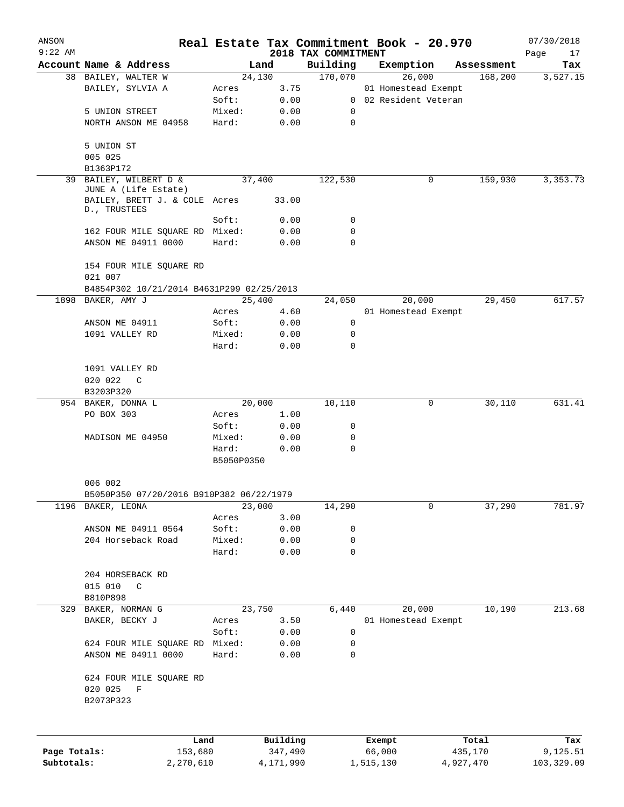| ANSON<br>$9:22$ AM |                                                      |                     |           | 2018 TAX COMMITMENT | Real Estate Tax Commitment Book - 20.970 |           |            | 07/30/2018<br>Page<br>17 |
|--------------------|------------------------------------------------------|---------------------|-----------|---------------------|------------------------------------------|-----------|------------|--------------------------|
|                    | Account Name & Address                               |                     | Land      | Building            | Exemption                                |           | Assessment | Tax                      |
|                    | 38 BAILEY, WALTER W                                  |                     | 24,130    | 170,070             | 26,000                                   |           | 168,200    | 3,527.15                 |
|                    | BAILEY, SYLVIA A                                     | Acres               | 3.75      |                     | 01 Homestead Exempt                      |           |            |                          |
|                    |                                                      | Soft:               | 0.00      |                     | 0 02 Resident Veteran                    |           |            |                          |
|                    | 5 UNION STREET                                       | Mixed:              | 0.00      | 0                   |                                          |           |            |                          |
|                    | NORTH ANSON ME 04958                                 | Hard:               | 0.00      | 0                   |                                          |           |            |                          |
|                    | 5 UNION ST                                           |                     |           |                     |                                          |           |            |                          |
|                    | 005 025                                              |                     |           |                     |                                          |           |            |                          |
|                    | B1363P172                                            |                     |           |                     |                                          |           |            |                          |
| 39                 | BAILEY, WILBERT D &                                  |                     | 37,400    | 122,530             |                                          | 0         | 159,930    | 3, 353. 73               |
|                    | JUNE A (Life Estate)                                 |                     |           |                     |                                          |           |            |                          |
|                    | BAILEY, BRETT J. & COLE Acres<br>D., TRUSTEES        |                     | 33.00     |                     |                                          |           |            |                          |
|                    |                                                      | Soft:               | 0.00      | 0                   |                                          |           |            |                          |
|                    | 162 FOUR MILE SQUARE RD Mixed:                       |                     | 0.00      | 0                   |                                          |           |            |                          |
|                    | ANSON ME 04911 0000                                  | Hard:               | 0.00      | $\Omega$            |                                          |           |            |                          |
|                    | 154 FOUR MILE SQUARE RD                              |                     |           |                     |                                          |           |            |                          |
|                    | 021 007<br>B4854P302 10/21/2014 B4631P299 02/25/2013 |                     |           |                     |                                          |           |            |                          |
|                    | 1898 BAKER, AMY J                                    |                     | 25,400    | 24,050              | 20,000                                   |           | 29,450     | 617.57                   |
|                    |                                                      | Acres               | 4.60      |                     | 01 Homestead Exempt                      |           |            |                          |
|                    | ANSON ME 04911                                       | Soft:               | 0.00      | 0                   |                                          |           |            |                          |
|                    | 1091 VALLEY RD                                       | Mixed:              | 0.00      | 0                   |                                          |           |            |                          |
|                    |                                                      | Hard:               | 0.00      | $\Omega$            |                                          |           |            |                          |
|                    |                                                      |                     |           |                     |                                          |           |            |                          |
|                    | 1091 VALLEY RD                                       |                     |           |                     |                                          |           |            |                          |
|                    | 020 022<br>C                                         |                     |           |                     |                                          |           |            |                          |
|                    | B3203P320                                            |                     |           |                     |                                          |           |            |                          |
|                    | 954 BAKER, DONNA L                                   |                     | 20,000    | 10,110              |                                          | 0         | 30,110     | 631.41                   |
|                    | PO BOX 303                                           | Acres               | 1.00      |                     |                                          |           |            |                          |
|                    |                                                      | Soft:               | 0.00      | 0                   |                                          |           |            |                          |
|                    | MADISON ME 04950                                     | Mixed:              | 0.00      | 0                   |                                          |           |            |                          |
|                    |                                                      | Hard:<br>B5050P0350 | 0.00      | $\mathbf 0$         |                                          |           |            |                          |
|                    | 006 002                                              |                     |           |                     |                                          |           |            |                          |
|                    | B5050P350 07/20/2016 B910P382 06/22/1979             |                     |           |                     |                                          |           |            |                          |
|                    | 1196 BAKER, LEONA                                    |                     | 23,000    | 14,290              |                                          | 0         | 37,290     | 781.97                   |
|                    |                                                      | Acres               | 3.00      |                     |                                          |           |            |                          |
|                    | ANSON ME 04911 0564                                  | Soft:               | 0.00      | 0                   |                                          |           |            |                          |
|                    | 204 Horseback Road                                   | Mixed:              | 0.00      | 0                   |                                          |           |            |                          |
|                    |                                                      | Hard:               | 0.00      | 0                   |                                          |           |            |                          |
|                    |                                                      |                     |           |                     |                                          |           |            |                          |
|                    | 204 HORSEBACK RD                                     |                     |           |                     |                                          |           |            |                          |
|                    | 015 010<br>C                                         |                     |           |                     |                                          |           |            |                          |
|                    | B810P898                                             |                     |           |                     |                                          |           |            |                          |
|                    | 329 BAKER, NORMAN G                                  |                     | 23,750    | 6,440               | 20,000                                   |           | 10,190     | 213.68                   |
|                    | BAKER, BECKY J                                       | Acres               | 3.50      |                     | 01 Homestead Exempt                      |           |            |                          |
|                    |                                                      | Soft:               | 0.00      | 0                   |                                          |           |            |                          |
|                    | 624 FOUR MILE SQUARE RD                              | Mixed:              | 0.00      | 0                   |                                          |           |            |                          |
|                    | ANSON ME 04911 0000                                  | Hard:               | 0.00      | 0                   |                                          |           |            |                          |
|                    | 624 FOUR MILE SQUARE RD                              |                     |           |                     |                                          |           |            |                          |
|                    | 020 025<br>F                                         |                     |           |                     |                                          |           |            |                          |
|                    | B2073P323                                            |                     |           |                     |                                          |           |            |                          |
|                    |                                                      |                     |           |                     |                                          |           |            |                          |
|                    |                                                      | Land                | Building  |                     | Exempt                                   |           | Total      | Tax                      |
| Page Totals:       | 153,680                                              |                     | 347,490   |                     | 66,000                                   |           | 435,170    | 9,125.51                 |
| Subtotals:         | 2,270,610                                            |                     | 4,171,990 |                     | 1,515,130                                | 4,927,470 |            | 103,329.09               |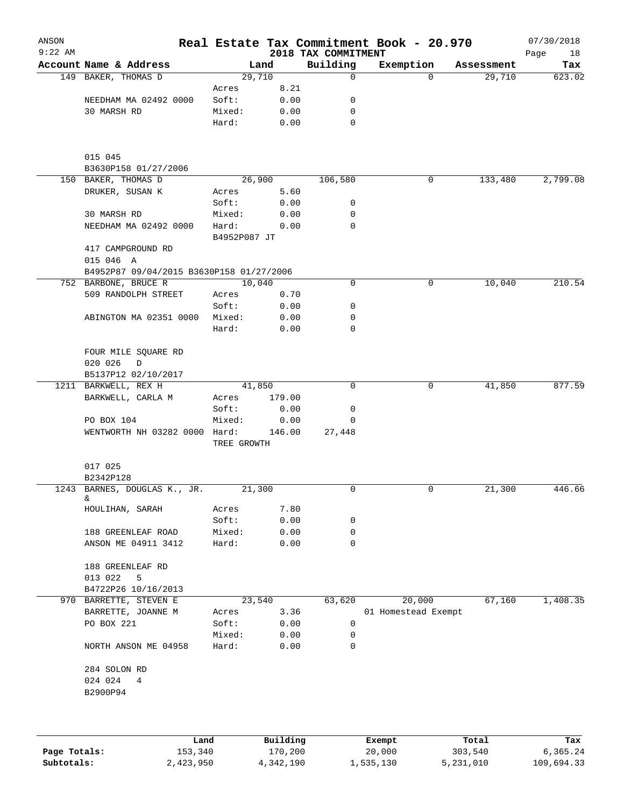| ANSON     |                                          |              |                |                         | Real Estate Tax Commitment Book - 20.970 |                      | 07/30/2018    |
|-----------|------------------------------------------|--------------|----------------|-------------------------|------------------------------------------|----------------------|---------------|
| $9:22$ AM | Account Name & Address                   |              |                | 2018 TAX COMMITMENT     |                                          |                      | Page<br>18    |
|           | 149 BAKER, THOMAS D                      |              | Land<br>29,710 | Building<br>$\mathbf 0$ | Exemption<br>$\Omega$                    | Assessment<br>29,710 | Tax<br>623.02 |
|           |                                          | Acres        | 8.21           |                         |                                          |                      |               |
|           | NEEDHAM MA 02492 0000                    | Soft:        | 0.00           | 0                       |                                          |                      |               |
|           | 30 MARSH RD                              | Mixed:       | 0.00           | 0                       |                                          |                      |               |
|           |                                          | Hard:        | 0.00           | $\mathbf 0$             |                                          |                      |               |
|           |                                          |              |                |                         |                                          |                      |               |
|           | 015 045                                  |              |                |                         |                                          |                      |               |
|           | B3630P158 01/27/2006                     |              |                |                         |                                          |                      |               |
|           | 150 BAKER, THOMAS D                      |              | 26,900         | 106,580                 | 0                                        | 133,480              | 2,799.08      |
|           | DRUKER, SUSAN K                          | Acres        | 5.60           |                         |                                          |                      |               |
|           |                                          | Soft:        | 0.00           | 0                       |                                          |                      |               |
|           | 30 MARSH RD                              | Mixed:       | 0.00           | 0                       |                                          |                      |               |
|           | NEEDHAM MA 02492 0000                    | Hard:        | 0.00           | $\Omega$                |                                          |                      |               |
|           |                                          | B4952P087 JT |                |                         |                                          |                      |               |
|           | 417 CAMPGROUND RD                        |              |                |                         |                                          |                      |               |
|           | 015 046 A                                |              |                |                         |                                          |                      |               |
|           | B4952P87 09/04/2015 B3630P158 01/27/2006 |              |                |                         |                                          |                      |               |
|           | 752 BARBONE, BRUCE R                     |              | 10,040         | 0                       | 0                                        | 10,040               | 210.54        |
|           | 509 RANDOLPH STREET                      | Acres        | 0.70           |                         |                                          |                      |               |
|           |                                          | Soft:        | 0.00           | 0                       |                                          |                      |               |
|           | ABINGTON MA 02351 0000                   | Mixed:       | 0.00           | 0                       |                                          |                      |               |
|           |                                          | Hard:        | 0.00           | 0                       |                                          |                      |               |
|           | FOUR MILE SQUARE RD                      |              |                |                         |                                          |                      |               |
|           | 020 026<br>$\mathbf D$                   |              |                |                         |                                          |                      |               |
|           | B5137P12 02/10/2017                      |              |                |                         |                                          |                      |               |
|           | 1211 BARKWELL, REX H                     |              | 41,850         | $\Omega$                | 0                                        | 41,850               | 877.59        |
|           | BARKWELL, CARLA M                        | Acres        | 179.00         |                         |                                          |                      |               |
|           |                                          | Soft:        | 0.00           | 0                       |                                          |                      |               |
|           | PO BOX 104                               | Mixed:       | 0.00           | 0                       |                                          |                      |               |
|           | WENTWORTH NH 03282 0000 Hard:            |              | 146.00         | 27,448                  |                                          |                      |               |
|           |                                          | TREE GROWTH  |                |                         |                                          |                      |               |
|           | 017 025                                  |              |                |                         |                                          |                      |               |
|           | B2342P128                                |              |                |                         |                                          |                      |               |
|           | 1243 BARNES, DOUGLAS K., JR.             |              | 21,300         | 0                       | 0                                        | 21,300               | 446.66        |
|           | &                                        |              |                |                         |                                          |                      |               |
|           | HOULIHAN, SARAH                          | Acres        | 7.80           |                         |                                          |                      |               |
|           |                                          | Soft:        | 0.00           | 0                       |                                          |                      |               |
|           | 188 GREENLEAF ROAD                       | Mixed:       | 0.00           | 0                       |                                          |                      |               |
|           | ANSON ME 04911 3412                      | Hard:        | 0.00           | 0                       |                                          |                      |               |
|           | 188 GREENLEAF RD                         |              |                |                         |                                          |                      |               |
|           | 013 022<br>5                             |              |                |                         |                                          |                      |               |
|           | B4722P26 10/16/2013                      |              |                |                         |                                          |                      |               |
|           | 970 BARRETTE, STEVEN E                   |              | 23,540         | 63,620                  | 20,000                                   | 67,160               | 1,408.35      |
|           | BARRETTE, JOANNE M                       | Acres        | 3.36           |                         | 01 Homestead Exempt                      |                      |               |
|           | PO BOX 221                               | Soft:        | 0.00           | 0                       |                                          |                      |               |
|           |                                          | Mixed:       | 0.00           | 0                       |                                          |                      |               |
|           | NORTH ANSON ME 04958                     | Hard:        | 0.00           | 0                       |                                          |                      |               |
|           | 284 SOLON RD                             |              |                |                         |                                          |                      |               |
|           | 024 024<br>4                             |              |                |                         |                                          |                      |               |
|           | B2900P94                                 |              |                |                         |                                          |                      |               |
|           |                                          |              |                |                         |                                          |                      |               |
|           |                                          |              |                |                         |                                          |                      |               |
|           | Land                                     |              | Building       |                         | Exempt                                   | Total                | Tax           |

|              | Land      | Building  | Exempt    | Total     | Tax        |
|--------------|-----------|-----------|-----------|-----------|------------|
| Page Totals: | 153,340   | 170,200   | 20,000    | 303,540   | 6,365.24   |
| Subtotals:   | 2,423,950 | 4,342,190 | 1,535,130 | 5,231,010 | 109,694.33 |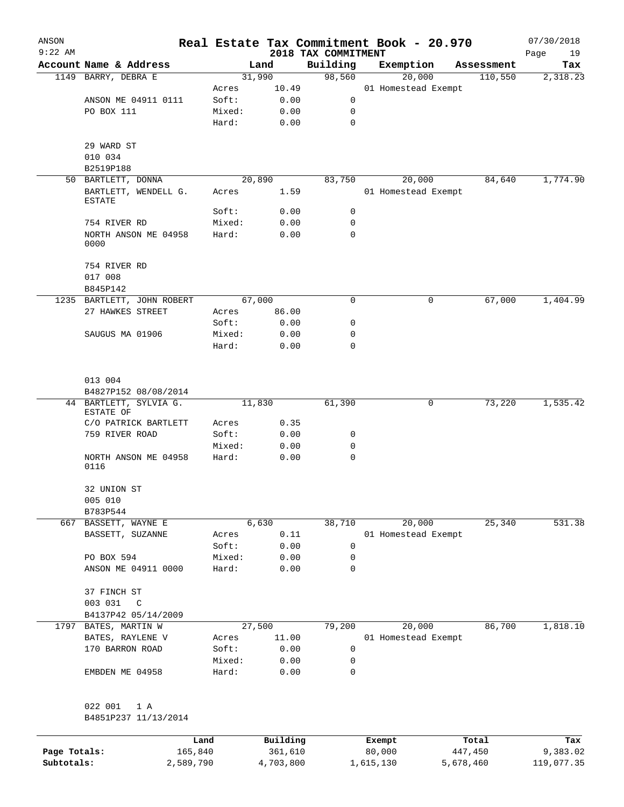| ANSON        |                                   |                 |              | Real Estate Tax Commitment Book - 20.970 |                     |   |            | 07/30/2018        |
|--------------|-----------------------------------|-----------------|--------------|------------------------------------------|---------------------|---|------------|-------------------|
| $9:22$ AM    | Account Name & Address            |                 | Land         | 2018 TAX COMMITMENT<br>Building          | Exemption           |   | Assessment | Page<br>19<br>Tax |
|              | 1149 BARRY, DEBRA E               |                 | 31,990       | 98,560                                   | 20,000              |   | 110,550    | 2,318.23          |
|              |                                   | Acres           | 10.49        |                                          | 01 Homestead Exempt |   |            |                   |
|              | ANSON ME 04911 0111               | Soft:           | 0.00         | 0                                        |                     |   |            |                   |
|              | PO BOX 111                        | Mixed:          | 0.00         | 0                                        |                     |   |            |                   |
|              |                                   | Hard:           | 0.00         | 0                                        |                     |   |            |                   |
|              | 29 WARD ST                        |                 |              |                                          |                     |   |            |                   |
|              | 010 034                           |                 |              |                                          |                     |   |            |                   |
|              | B2519P188                         |                 |              |                                          |                     |   |            |                   |
|              | 50 BARTLETT, DONNA                |                 | 20,890       | 83,750                                   | 20,000              |   | 84,640     | 1,774.90          |
|              | BARTLETT, WENDELL G.<br>ESTATE    | Acres           | 1.59         |                                          | 01 Homestead Exempt |   |            |                   |
|              |                                   | Soft:           | 0.00         | 0                                        |                     |   |            |                   |
|              | 754 RIVER RD                      | Mixed:          | 0.00         | 0                                        |                     |   |            |                   |
|              | NORTH ANSON ME 04958<br>0000      | Hard:           | 0.00         | 0                                        |                     |   |            |                   |
|              | 754 RIVER RD<br>017 008           |                 |              |                                          |                     |   |            |                   |
|              | B845P142                          |                 |              |                                          |                     |   |            |                   |
|              | 1235 BARTLETT, JOHN ROBERT        |                 | 67,000       | 0                                        |                     | 0 | 67,000     | 1,404.99          |
|              | 27 HAWKES STREET                  | Acres           | 86.00        |                                          |                     |   |            |                   |
|              |                                   | Soft:           | 0.00         | 0                                        |                     |   |            |                   |
|              | SAUGUS MA 01906                   | Mixed:          | 0.00         | 0                                        |                     |   |            |                   |
|              |                                   | Hard:           | 0.00         | $\Omega$                                 |                     |   |            |                   |
|              |                                   |                 |              |                                          |                     |   |            |                   |
|              | 013 004                           |                 |              |                                          |                     |   |            |                   |
|              | B4827P152 08/08/2014              |                 |              |                                          |                     |   |            |                   |
|              | 44 BARTLETT, SYLVIA G.            |                 | 11,830       | 61,390                                   |                     | 0 | 73,220     | 1,535.42          |
|              | ESTATE OF                         |                 |              |                                          |                     |   |            |                   |
|              | C/O PATRICK BARTLETT              | Acres           | 0.35         |                                          |                     |   |            |                   |
|              | 759 RIVER ROAD                    | Soft:           | 0.00         | 0                                        |                     |   |            |                   |
|              | NORTH ANSON ME 04958              | Mixed:<br>Hard: | 0.00<br>0.00 | 0<br>0                                   |                     |   |            |                   |
|              | 0116                              |                 |              |                                          |                     |   |            |                   |
|              | 32 UNION ST                       |                 |              |                                          |                     |   |            |                   |
|              | 005 010                           |                 |              |                                          |                     |   |            |                   |
|              | B783P544                          |                 |              |                                          |                     |   |            |                   |
|              | 667 BASSETT, WAYNE E              |                 | 6,630        | 38,710                                   | 20,000              |   | 25,340     | 531.38            |
|              | BASSETT, SUZANNE                  | Acres           | 0.11         |                                          | 01 Homestead Exempt |   |            |                   |
|              |                                   | Soft:           | 0.00         | 0                                        |                     |   |            |                   |
|              | PO BOX 594<br>ANSON ME 04911 0000 | Mixed:<br>Hard: | 0.00<br>0.00 | 0<br>0                                   |                     |   |            |                   |
|              |                                   |                 |              |                                          |                     |   |            |                   |
|              | 37 FINCH ST                       |                 |              |                                          |                     |   |            |                   |
|              | 003 031<br>C                      |                 |              |                                          |                     |   |            |                   |
|              | B4137P42 05/14/2009               |                 |              |                                          |                     |   |            |                   |
| 1797         | BATES, MARTIN W                   |                 | 27,500       | 79,200                                   | 20,000              |   | 86,700     | 1,818.10          |
|              | BATES, RAYLENE V                  | Acres           | 11.00        |                                          | 01 Homestead Exempt |   |            |                   |
|              | 170 BARRON ROAD                   | Soft:           | 0.00         | 0                                        |                     |   |            |                   |
|              |                                   | Mixed:          | 0.00         | $\mathbf 0$                              |                     |   |            |                   |
|              | EMBDEN ME 04958                   | Hard:           | 0.00         | 0                                        |                     |   |            |                   |
|              | 022 001<br>1 A                    |                 |              |                                          |                     |   |            |                   |
|              | B4851P237 11/13/2014              |                 |              |                                          |                     |   |            |                   |
|              |                                   | Land            | Building     |                                          | Exempt              |   | Total      | Tax               |
| Page Totals: | 165,840                           |                 | 361,610      |                                          | 80,000              |   | 447,450    | 9,383.02          |

**Subtotals:** 2,589,790 4,703,800 1,615,130 5,678,460 119,077.35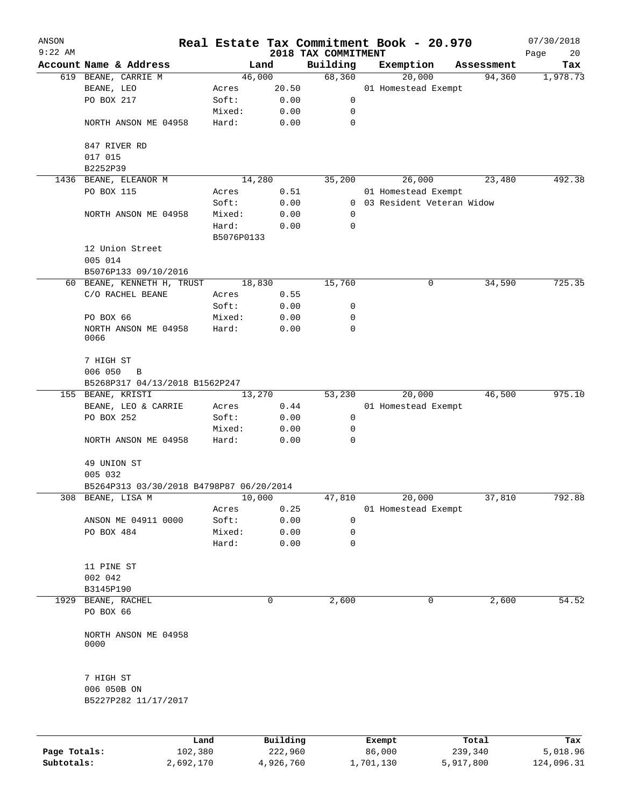| ANSON     |                                                |                 |                 | Real Estate Tax Commitment Book - 20.970 |                             |                               |            | 07/30/2018      |
|-----------|------------------------------------------------|-----------------|-----------------|------------------------------------------|-----------------------------|-------------------------------|------------|-----------------|
| $9:22$ AM |                                                |                 |                 | 2018 TAX COMMITMENT                      |                             |                               |            | Page<br>20      |
|           | Account Name & Address                         |                 | Land            | Building                                 | Exemption                   |                               | Assessment | Tax<br>1,978.73 |
|           | 619 BEANE, CARRIE M<br>BEANE, LEO              |                 | 46,000<br>20.50 | 68,360                                   |                             | 20,000<br>01 Homestead Exempt | 94,360     |                 |
|           | PO BOX 217                                     | Acres<br>Soft:  | 0.00            | 0                                        |                             |                               |            |                 |
|           |                                                |                 |                 |                                          |                             |                               |            |                 |
|           | NORTH ANSON ME 04958                           | Mixed:<br>Hard: | 0.00<br>0.00    | 0<br>0                                   |                             |                               |            |                 |
|           |                                                |                 |                 |                                          |                             |                               |            |                 |
|           | 847 RIVER RD                                   |                 |                 |                                          |                             |                               |            |                 |
|           | 017 015                                        |                 |                 |                                          |                             |                               |            |                 |
|           | B2252P39                                       |                 | 14,280          |                                          |                             |                               |            | 492.38          |
| 1436      | BEANE, ELEANOR M                               |                 |                 | 35,200                                   |                             | 26,000                        | 23,480     |                 |
|           | PO BOX 115                                     | Acres<br>Soft:  | 0.51            |                                          | 0 03 Resident Veteran Widow | 01 Homestead Exempt           |            |                 |
|           |                                                |                 | 0.00            |                                          |                             |                               |            |                 |
|           | NORTH ANSON ME 04958                           | Mixed:          | 0.00            | 0                                        |                             |                               |            |                 |
|           |                                                | Hard:           | 0.00            | 0                                        |                             |                               |            |                 |
|           |                                                | B5076P0133      |                 |                                          |                             |                               |            |                 |
|           | 12 Union Street                                |                 |                 |                                          |                             |                               |            |                 |
|           | 005 014                                        |                 |                 |                                          |                             |                               |            |                 |
|           | B5076P133 09/10/2016                           |                 |                 |                                          |                             |                               |            |                 |
|           | 60 BEANE, KENNETH H, TRUST                     |                 | 18,830          | 15,760                                   |                             | 0                             | 34,590     | 725.35          |
|           | C/O RACHEL BEANE                               | Acres           | 0.55            |                                          |                             |                               |            |                 |
|           |                                                | Soft:           | 0.00            | 0                                        |                             |                               |            |                 |
|           | PO BOX 66                                      | Mixed:          | 0.00            | 0                                        |                             |                               |            |                 |
|           | NORTH ANSON ME 04958<br>0066                   | Hard:           | 0.00            | 0                                        |                             |                               |            |                 |
|           | 7 HIGH ST                                      |                 |                 |                                          |                             |                               |            |                 |
|           | 006 050<br>B<br>B5268P317 04/13/2018 B1562P247 |                 |                 |                                          |                             |                               |            |                 |
|           | 155 BEANE, KRISTI                              |                 | 13,270          | 53,230                                   |                             | 20,000                        | 46,500     | 975.10          |
|           | BEANE, LEO & CARRIE                            | Acres           | 0.44            |                                          |                             | 01 Homestead Exempt           |            |                 |
|           | PO BOX 252                                     | Soft:           | 0.00            | 0                                        |                             |                               |            |                 |
|           |                                                | Mixed:          | 0.00            | 0                                        |                             |                               |            |                 |
|           | NORTH ANSON ME 04958                           | Hard:           | 0.00            | 0                                        |                             |                               |            |                 |
|           | 49 UNION ST                                    |                 |                 |                                          |                             |                               |            |                 |
|           | 005 032                                        |                 |                 |                                          |                             |                               |            |                 |
|           | B5264P313 03/30/2018 B4798P87 06/20/2014       |                 |                 |                                          |                             |                               |            |                 |
|           | 308 BEANE, LISA M                              |                 | 10,000          | 47,810                                   |                             | 20,000                        | 37,810     | 792.88          |
|           |                                                | Acres           | 0.25            |                                          |                             | 01 Homestead Exempt           |            |                 |
|           | ANSON ME 04911 0000                            | Soft:           | 0.00            | 0                                        |                             |                               |            |                 |
|           | PO BOX 484                                     | Mixed:          | 0.00            | 0                                        |                             |                               |            |                 |
|           |                                                | Hard:           | 0.00            | 0                                        |                             |                               |            |                 |
|           | 11 PINE ST                                     |                 |                 |                                          |                             |                               |            |                 |
|           | 002 042                                        |                 |                 |                                          |                             |                               |            |                 |
|           | B3145P190                                      |                 |                 |                                          |                             |                               |            |                 |
|           | 1929 BEANE, RACHEL                             |                 | 0               | 2,600                                    |                             | 0                             | 2,600      | 54.52           |
|           | PO BOX 66                                      |                 |                 |                                          |                             |                               |            |                 |
|           | NORTH ANSON ME 04958<br>0000                   |                 |                 |                                          |                             |                               |            |                 |
|           | 7 HIGH ST                                      |                 |                 |                                          |                             |                               |            |                 |
|           | 006 050B ON<br>B5227P282 11/17/2017            |                 |                 |                                          |                             |                               |            |                 |
|           |                                                |                 |                 |                                          |                             |                               |            |                 |
|           |                                                | Land            | Building        |                                          | Exempt                      |                               | Total      | Tax             |

|              | .         | <u>DULLULUM</u> | <b>BY CITING</b> | ----      | $-0.0$     |
|--------------|-----------|-----------------|------------------|-----------|------------|
| Page Totals: | 102,380   | 222,960         | 86,000           | 239,340   | 5,018.96   |
| Subtotals:   | 2,692,170 | 4,926,760       | 1,701,130        | 5,917,800 | 124,096.31 |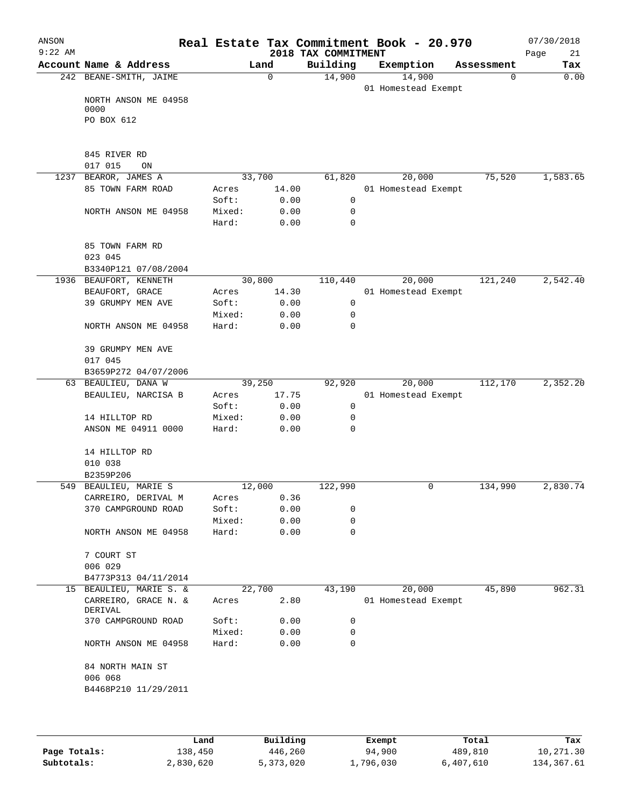| ANSON<br>$9:22$ AM |                                            |                |                 | 2018 TAX COMMITMENT | Real Estate Tax Commitment Book - 20.970 |            | 07/30/2018<br>Page<br>21 |
|--------------------|--------------------------------------------|----------------|-----------------|---------------------|------------------------------------------|------------|--------------------------|
|                    | Account Name & Address                     |                | Land            | Building            | Exemption                                | Assessment | Tax                      |
|                    | 242 BEANE-SMITH, JAIME                     |                | $\mathbf 0$     | 14,900              | 14,900                                   | 0          | 0.00                     |
|                    |                                            |                |                 |                     | 01 Homestead Exempt                      |            |                          |
|                    | NORTH ANSON ME 04958<br>0000               |                |                 |                     |                                          |            |                          |
|                    | PO BOX 612                                 |                |                 |                     |                                          |            |                          |
|                    |                                            |                |                 |                     |                                          |            |                          |
|                    |                                            |                |                 |                     |                                          |            |                          |
|                    | 845 RIVER RD                               |                |                 |                     |                                          |            |                          |
|                    | 017 015<br>ON                              |                |                 |                     |                                          |            |                          |
|                    | 1237 BEAROR, JAMES A                       |                | 33,700          | 61,820              | 20,000                                   | 75,520     | 1,583.65                 |
|                    | 85 TOWN FARM ROAD                          | Acres<br>Soft: | 14.00<br>0.00   | $\mathsf{O}$        | 01 Homestead Exempt                      |            |                          |
|                    | NORTH ANSON ME 04958                       | Mixed:         | 0.00            | 0                   |                                          |            |                          |
|                    |                                            | Hard:          | 0.00            | $\mathbf 0$         |                                          |            |                          |
|                    |                                            |                |                 |                     |                                          |            |                          |
|                    | 85 TOWN FARM RD                            |                |                 |                     |                                          |            |                          |
|                    | 023 045                                    |                |                 |                     |                                          |            |                          |
|                    | B3340P121 07/08/2004                       |                |                 |                     |                                          |            |                          |
|                    | 1936 BEAUFORT, KENNETH                     |                | 30,800          | 110,440             | 20,000                                   | 121,240    | 2,542.40                 |
|                    | BEAUFORT, GRACE                            | Acres          | 14.30           |                     | 01 Homestead Exempt                      |            |                          |
|                    | 39 GRUMPY MEN AVE                          | Soft:          | 0.00            | 0                   |                                          |            |                          |
|                    |                                            | Mixed:         | 0.00            | 0                   |                                          |            |                          |
|                    | NORTH ANSON ME 04958                       | Hard:          | 0.00            | 0                   |                                          |            |                          |
|                    |                                            |                |                 |                     |                                          |            |                          |
|                    | 39 GRUMPY MEN AVE                          |                |                 |                     |                                          |            |                          |
|                    | 017 045                                    |                |                 |                     |                                          |            |                          |
|                    | B3659P272 04/07/2006                       |                |                 |                     |                                          |            |                          |
|                    | 63 BEAULIEU, DANA W<br>BEAULIEU, NARCISA B | Acres          | 39,250<br>17.75 | 92,920              | 20,000<br>01 Homestead Exempt            | 112,170    | 2,352.20                 |
|                    |                                            | Soft:          | 0.00            | $\mathsf{O}$        |                                          |            |                          |
|                    | 14 HILLTOP RD                              | Mixed:         | 0.00            | 0                   |                                          |            |                          |
|                    | ANSON ME 04911 0000                        | Hard:          | 0.00            | 0                   |                                          |            |                          |
|                    |                                            |                |                 |                     |                                          |            |                          |
|                    | 14 HILLTOP RD                              |                |                 |                     |                                          |            |                          |
|                    | 010 038                                    |                |                 |                     |                                          |            |                          |
|                    | B2359P206                                  |                |                 |                     |                                          |            |                          |
|                    | 549 BEAULIEU, MARIE S                      |                | 12,000          | 122,990             | 0                                        | 134,990    | 2,830.74                 |
|                    | CARREIRO, DERIVAL M                        | Acres          | 0.36            |                     |                                          |            |                          |
|                    | 370 CAMPGROUND ROAD                        | Soft:          | 0.00            | 0                   |                                          |            |                          |
|                    |                                            | Mixed:         | 0.00            | 0                   |                                          |            |                          |
|                    | NORTH ANSON ME 04958                       | Hard:          | 0.00            | 0                   |                                          |            |                          |
|                    |                                            |                |                 |                     |                                          |            |                          |
|                    | 7 COURT ST<br>006 029                      |                |                 |                     |                                          |            |                          |
|                    | B4773P313 04/11/2014                       |                |                 |                     |                                          |            |                          |
| 15                 | BEAULIEU, MARIE S. &                       |                | 22,700          | 43,190              | 20,000                                   | 45,890     | 962.31                   |
|                    | CARREIRO, GRACE N. &<br>DERIVAL            | Acres          | 2.80            |                     | 01 Homestead Exempt                      |            |                          |
|                    | 370 CAMPGROUND ROAD                        | Soft:          | 0.00            | 0                   |                                          |            |                          |
|                    |                                            | Mixed:         | 0.00            | 0                   |                                          |            |                          |
|                    | NORTH ANSON ME 04958                       | Hard:          | 0.00            | 0                   |                                          |            |                          |
|                    |                                            |                |                 |                     |                                          |            |                          |
|                    | 84 NORTH MAIN ST                           |                |                 |                     |                                          |            |                          |
|                    | 006 068                                    |                |                 |                     |                                          |            |                          |
|                    | B4468P210 11/29/2011                       |                |                 |                     |                                          |            |                          |
|                    |                                            |                |                 |                     |                                          |            |                          |
|                    |                                            |                |                 |                     |                                          |            |                          |

|              | Land      | Building  | Exempt    | Total     | Tax        |
|--------------|-----------|-----------|-----------|-----------|------------|
|              |           |           |           |           |            |
| Page Totals: | 138,450   | 446,260   | 94,900    | 489,810   | 10,271.30  |
| Subtotals:   | 2,830,620 | 5,373,020 | 1,796,030 | 6,407,610 | 134,367.61 |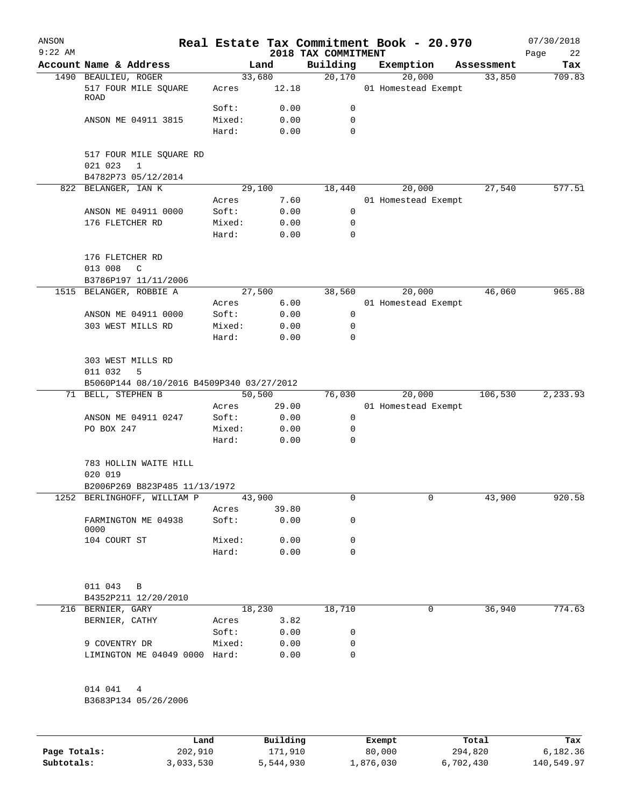| ANSON<br>$9:22$ AM |                                           |                 |                 |                                 | Real Estate Tax Commitment Book - 20.970 |            | 07/30/2018        |
|--------------------|-------------------------------------------|-----------------|-----------------|---------------------------------|------------------------------------------|------------|-------------------|
|                    | Account Name & Address                    |                 | Land            | 2018 TAX COMMITMENT<br>Building | Exemption                                | Assessment | Page<br>22<br>Tax |
|                    | 1490 BEAULIEU, ROGER                      |                 | 33,680          | 20,170                          | 20,000                                   | 33,850     | 709.83            |
|                    | 517 FOUR MILE SQUARE<br>ROAD              | Acres           | 12.18           |                                 | 01 Homestead Exempt                      |            |                   |
|                    |                                           | Soft:           | 0.00            | 0                               |                                          |            |                   |
|                    | ANSON ME 04911 3815                       | Mixed:          | 0.00            | 0                               |                                          |            |                   |
|                    |                                           | Hard:           | 0.00            | 0                               |                                          |            |                   |
|                    | 517 FOUR MILE SQUARE RD                   |                 |                 |                                 |                                          |            |                   |
|                    | 021 023<br>$\mathbf{1}$                   |                 |                 |                                 |                                          |            |                   |
|                    | B4782P73 05/12/2014                       |                 |                 |                                 |                                          |            |                   |
|                    | 822 BELANGER, IAN K                       |                 | 29,100          | 18,440                          | 20,000                                   | 27,540     | 577.51            |
|                    |                                           | Acres           | 7.60            | $\mathbf 0$                     | 01 Homestead Exempt                      |            |                   |
|                    | ANSON ME 04911 0000<br>176 FLETCHER RD    | Soft:<br>Mixed: | 0.00<br>0.00    | $\mathbf 0$                     |                                          |            |                   |
|                    |                                           | Hard:           | 0.00            | $\mathbf 0$                     |                                          |            |                   |
|                    | 176 FLETCHER RD                           |                 |                 |                                 |                                          |            |                   |
|                    | 013 008<br>C                              |                 |                 |                                 |                                          |            |                   |
|                    | B3786P197 11/11/2006                      |                 |                 |                                 |                                          |            |                   |
|                    | 1515 BELANGER, ROBBIE A                   |                 | 27,500          | 38,560                          | 20,000                                   | 46,060     | 965.88            |
|                    |                                           | Acres           | 6.00            |                                 | 01 Homestead Exempt                      |            |                   |
|                    | ANSON ME 04911 0000                       | Soft:           | 0.00            | 0                               |                                          |            |                   |
|                    | 303 WEST MILLS RD                         | Mixed:          | 0.00            | 0                               |                                          |            |                   |
|                    |                                           | Hard:           | 0.00            | 0                               |                                          |            |                   |
|                    | 303 WEST MILLS RD                         |                 |                 |                                 |                                          |            |                   |
|                    | 011 032<br>5                              |                 |                 |                                 |                                          |            |                   |
|                    | B5060P144 08/10/2016 B4509P340 03/27/2012 |                 |                 |                                 |                                          |            |                   |
| 71                 | BELL, STEPHEN B                           |                 | 50,500          | 76,030                          | 20,000                                   | 106,530    | 2, 233.93         |
|                    |                                           | Acres           | 29.00           |                                 | 01 Homestead Exempt                      |            |                   |
|                    | ANSON ME 04911 0247                       | Soft:           | 0.00            | 0                               |                                          |            |                   |
|                    | PO BOX 247                                | Mixed:          | 0.00            | 0                               |                                          |            |                   |
|                    |                                           | Hard:           | 0.00            | $\mathbf 0$                     |                                          |            |                   |
|                    | 783 HOLLIN WAITE HILL                     |                 |                 |                                 |                                          |            |                   |
|                    | 020 019                                   |                 |                 |                                 |                                          |            |                   |
|                    | B2006P269 B823P485 11/13/1972             |                 |                 |                                 |                                          |            |                   |
|                    | 1252 BERLINGHOFF, WILLIAM P               |                 | 43,900<br>39.80 | 0                               | $\overline{0}$                           | 43,900     | 920.58            |
|                    | FARMINGTON ME 04938                       | Acres<br>Soft:  | 0.00            | 0                               |                                          |            |                   |
|                    | 0000                                      |                 |                 |                                 |                                          |            |                   |
|                    | 104 COURT ST                              | Mixed:          | 0.00            | 0                               |                                          |            |                   |
|                    |                                           | Hard:           | 0.00            | 0                               |                                          |            |                   |
|                    | 011 043 B                                 |                 |                 |                                 |                                          |            |                   |
|                    | B4352P211 12/20/2010                      |                 |                 |                                 |                                          |            |                   |
|                    | 216 BERNIER, GARY                         |                 | 18,230          | 18,710                          | 0                                        | 36,940     | 774.63            |
|                    | BERNIER, CATHY                            | Acres           | 3.82            |                                 |                                          |            |                   |
|                    |                                           | Soft:           | 0.00            | 0                               |                                          |            |                   |
|                    | 9 COVENTRY DR                             | Mixed:          | 0.00            | 0                               |                                          |            |                   |
|                    | LIMINGTON ME 04049 0000 Hard:             |                 | 0.00            | 0                               |                                          |            |                   |
|                    | 014 041 4                                 |                 |                 |                                 |                                          |            |                   |
|                    | B3683P134 05/26/2006                      |                 |                 |                                 |                                          |            |                   |
|                    |                                           |                 |                 |                                 |                                          |            |                   |
|                    | Land                                      |                 | Building        |                                 | Exempt                                   | Total      | Tax               |

|              | Land      | Building  | Exempt    | Total     | Tax        |
|--------------|-----------|-----------|-----------|-----------|------------|
| Page Totals: | 202,910   | 171,910   | 80,000    | 294,820   | 6,182.36   |
| Subtotals:   | 3,033,530 | 5,544,930 | 1,876,030 | 6,702,430 | 140,549.97 |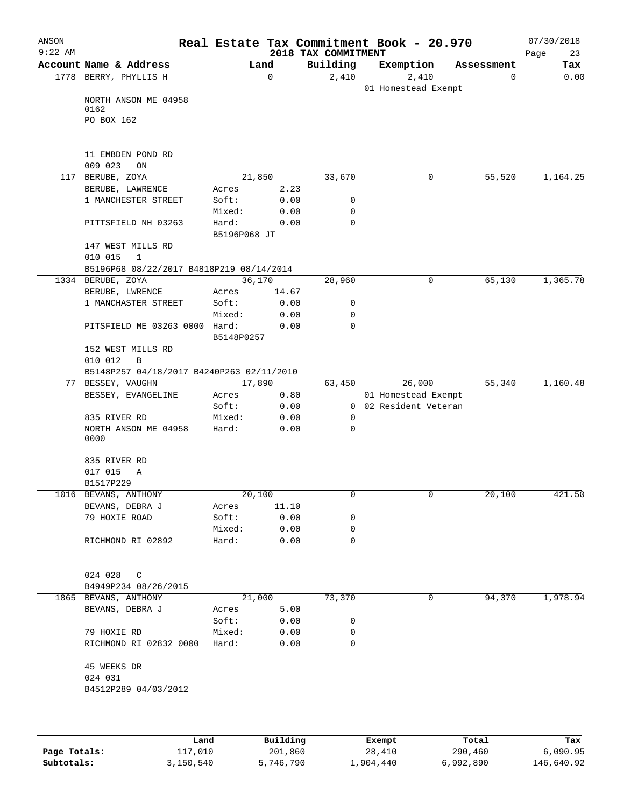| ANSON<br>$9:22$ AM |                                           |              |          | 2018 TAX COMMITMENT | Real Estate Tax Commitment Book - 20.970 |            | 07/30/2018<br>Page<br>23 |
|--------------------|-------------------------------------------|--------------|----------|---------------------|------------------------------------------|------------|--------------------------|
|                    | Account Name & Address                    |              | Land     | Building            | Exemption                                | Assessment | Tax                      |
|                    | 1778 BERRY, PHYLLIS H                     |              | $\Omega$ | 2,410               | 2,410                                    | 0          | 0.00                     |
|                    | NORTH ANSON ME 04958                      |              |          |                     | 01 Homestead Exempt                      |            |                          |
|                    | 0162                                      |              |          |                     |                                          |            |                          |
|                    | PO BOX 162                                |              |          |                     |                                          |            |                          |
|                    |                                           |              |          |                     |                                          |            |                          |
|                    | 11 EMBDEN POND RD                         |              |          |                     |                                          |            |                          |
|                    | 009 023<br>ON                             |              |          |                     |                                          |            |                          |
|                    | 117 BERUBE, ZOYA                          |              | 21,850   | 33,670              | 0                                        | 55,520     | 1,164.25                 |
|                    | BERUBE, LAWRENCE                          | Acres        | 2.23     |                     |                                          |            |                          |
|                    | 1 MANCHESTER STREET                       | Soft:        | 0.00     | 0                   |                                          |            |                          |
|                    |                                           | Mixed:       | 0.00     | 0                   |                                          |            |                          |
|                    | PITTSFIELD NH 03263                       | Hard:        | 0.00     | $\mathbf 0$         |                                          |            |                          |
|                    |                                           | B5196P068 JT |          |                     |                                          |            |                          |
|                    | 147 WEST MILLS RD                         |              |          |                     |                                          |            |                          |
|                    | 010 015<br>1                              |              |          |                     |                                          |            |                          |
|                    | B5196P68 08/22/2017 B4818P219 08/14/2014  |              |          |                     |                                          |            |                          |
|                    | 1334 BERUBE, ZOYA                         |              | 36,170   | 28,960              | 0                                        | 65,130     | 1,365.78                 |
|                    | BERUBE, LWRENCE                           | Acres        | 14.67    |                     |                                          |            |                          |
|                    | 1 MANCHASTER STREET                       | Soft:        | 0.00     | 0                   |                                          |            |                          |
|                    |                                           | Mixed:       | 0.00     | 0                   |                                          |            |                          |
|                    | PITSFIELD ME 03263 0000 Hard:             |              | 0.00     | $\Omega$            |                                          |            |                          |
|                    | 152 WEST MILLS RD                         | B5148P0257   |          |                     |                                          |            |                          |
|                    | 010 012<br>B                              |              |          |                     |                                          |            |                          |
|                    | B5148P257 04/18/2017 B4240P263 02/11/2010 |              |          |                     |                                          |            |                          |
|                    | 77 BESSEY, VAUGHN                         |              | 17,890   | 63,450              | 26,000                                   | 55,340     | 1,160.48                 |
|                    | BESSEY, EVANGELINE                        | Acres        | 0.80     |                     | 01 Homestead Exempt                      |            |                          |
|                    |                                           | Soft:        | 0.00     |                     | 0 02 Resident Veteran                    |            |                          |
|                    | 835 RIVER RD                              | Mixed:       | 0.00     | 0                   |                                          |            |                          |
|                    | NORTH ANSON ME 04958                      | Hard:        | 0.00     | 0                   |                                          |            |                          |
|                    | 0000                                      |              |          |                     |                                          |            |                          |
|                    | 835 RIVER RD                              |              |          |                     |                                          |            |                          |
|                    | 017 015<br>Α                              |              |          |                     |                                          |            |                          |
|                    | B1517P229                                 |              |          |                     |                                          |            |                          |
|                    | 1016 BEVANS, ANTHONY                      |              | 20,100   | U                   | $\cup$                                   | 20,100     | 421.50                   |
|                    | BEVANS, DEBRA J                           | Acres        | 11.10    |                     |                                          |            |                          |
|                    | 79 HOXIE ROAD                             | Soft:        | 0.00     | 0                   |                                          |            |                          |
|                    |                                           | Mixed:       | 0.00     | 0                   |                                          |            |                          |
|                    | RICHMOND RI 02892                         | Hard:        | 0.00     | 0                   |                                          |            |                          |
|                    | 024 028<br>$\mathbb{C}$                   |              |          |                     |                                          |            |                          |
|                    | B4949P234 08/26/2015                      |              |          |                     |                                          |            |                          |
|                    | 1865 BEVANS, ANTHONY                      |              | 21,000   | 73,370              | 0                                        | 94,370     | 1,978.94                 |
|                    | BEVANS, DEBRA J                           | Acres        | 5.00     |                     |                                          |            |                          |
|                    |                                           | Soft:        | 0.00     | 0                   |                                          |            |                          |
|                    | 79 HOXIE RD                               | Mixed:       | 0.00     | 0                   |                                          |            |                          |
|                    | RICHMOND RI 02832 0000                    | Hard:        | 0.00     | $\mathbf 0$         |                                          |            |                          |
|                    | 45 WEEKS DR                               |              |          |                     |                                          |            |                          |
|                    | 024 031                                   |              |          |                     |                                          |            |                          |
|                    | B4512P289 04/03/2012                      |              |          |                     |                                          |            |                          |
|                    |                                           |              |          |                     |                                          |            |                          |
|                    | Land                                      |              | Building |                     | Exempt                                   | Total      | Tax                      |

|              | ⊥and      | Building  | Exempt    | Total     | тах        |
|--------------|-----------|-----------|-----------|-----------|------------|
| Page Totals: | 117,010   | 201,860   | 28,410    | 290,460   | 6,090.95   |
| Subtotals:   | 3,150,540 | 5,746,790 | 1,904,440 | 6,992,890 | 146,640.92 |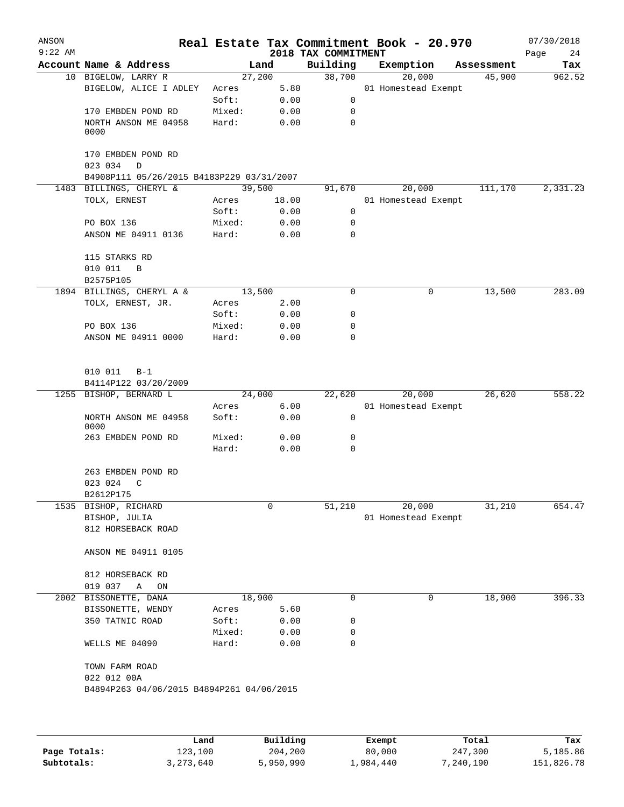| ANSON     |                                                                      |        |                |                     | Real Estate Tax Commitment Book - 20.970 |                      | 07/30/2018    |
|-----------|----------------------------------------------------------------------|--------|----------------|---------------------|------------------------------------------|----------------------|---------------|
| $9:22$ AM | Account Name & Address                                               |        |                | 2018 TAX COMMITMENT |                                          |                      | Page<br>24    |
|           | 10 BIGELOW, LARRY R                                                  |        | Land<br>27,200 | Building<br>38,700  | Exemption<br>20,000                      | Assessment<br>45,900 | Tax<br>962.52 |
|           | BIGELOW, ALICE I ADLEY                                               | Acres  | 5.80           |                     | 01 Homestead Exempt                      |                      |               |
|           |                                                                      | Soft:  | 0.00           | 0                   |                                          |                      |               |
|           | 170 EMBDEN POND RD                                                   | Mixed: | 0.00           | 0                   |                                          |                      |               |
|           | NORTH ANSON ME 04958                                                 | Hard:  | 0.00           | 0                   |                                          |                      |               |
|           | 0000                                                                 |        |                |                     |                                          |                      |               |
|           | 170 EMBDEN POND RD                                                   |        |                |                     |                                          |                      |               |
|           | 023 034<br>$\mathbb D$                                               |        |                |                     |                                          |                      |               |
|           | B4908P111 05/26/2015 B4183P229 03/31/2007<br>1483 BILLINGS, CHERYL & |        | 39,500         | 91,670              | 20,000                                   | 111,170              | 2,331.23      |
|           | TOLX, ERNEST                                                         | Acres  | 18.00          |                     | 01 Homestead Exempt                      |                      |               |
|           |                                                                      | Soft:  | 0.00           | 0                   |                                          |                      |               |
|           | PO BOX 136                                                           | Mixed: | 0.00           | 0                   |                                          |                      |               |
|           | ANSON ME 04911 0136                                                  | Hard:  | 0.00           | 0                   |                                          |                      |               |
|           | 115 STARKS RD                                                        |        |                |                     |                                          |                      |               |
|           | 010 011<br>B                                                         |        |                |                     |                                          |                      |               |
|           | B2575P105                                                            |        |                |                     |                                          |                      |               |
|           | 1894 BILLINGS, CHERYL A &                                            |        | 13,500         | 0                   | 0                                        | 13,500               | 283.09        |
|           | TOLX, ERNEST, JR.                                                    | Acres  | 2.00           |                     |                                          |                      |               |
|           |                                                                      | Soft:  | 0.00           | 0                   |                                          |                      |               |
|           | PO BOX 136                                                           | Mixed: | 0.00           | 0                   |                                          |                      |               |
|           | ANSON ME 04911 0000                                                  | Hard:  | 0.00           | 0                   |                                          |                      |               |
|           | 010 011<br>$B-1$<br>B4114P122 03/20/2009                             |        |                |                     |                                          |                      |               |
|           | 1255 BISHOP, BERNARD L                                               |        | 24,000         | 22,620              | 20,000                                   | 26,620               | 558.22        |
|           |                                                                      | Acres  | 6.00           |                     | 01 Homestead Exempt                      |                      |               |
|           | NORTH ANSON ME 04958<br>0000                                         | Soft:  | 0.00           | 0                   |                                          |                      |               |
|           | 263 EMBDEN POND RD                                                   | Mixed: | 0.00           | 0                   |                                          |                      |               |
|           |                                                                      | Hard:  | 0.00           | 0                   |                                          |                      |               |
|           | 263 EMBDEN POND RD                                                   |        |                |                     |                                          |                      |               |
|           | 023 024<br>$\mathsf{C}$                                              |        |                |                     |                                          |                      |               |
|           | B2612P175                                                            |        |                |                     |                                          |                      |               |
|           | 1535 BISHOP, RICHARD                                                 |        | 0              | 51,210              | 20,000                                   | 31,210               | 654.47        |
|           | BISHOP, JULIA                                                        |        |                |                     | 01 Homestead Exempt                      |                      |               |
|           | 812 HORSEBACK ROAD                                                   |        |                |                     |                                          |                      |               |
|           | ANSON ME 04911 0105                                                  |        |                |                     |                                          |                      |               |
|           | 812 HORSEBACK RD                                                     |        |                |                     |                                          |                      |               |
|           | 019 037<br>Α<br>ON                                                   |        |                |                     |                                          |                      |               |
|           | 2002 BISSONETTE, DANA                                                |        | 18,900         | 0                   | 0                                        | 18,900               | 396.33        |
|           | BISSONETTE, WENDY                                                    | Acres  | 5.60           |                     |                                          |                      |               |
|           | 350 TATNIC ROAD                                                      | Soft:  | 0.00           | 0                   |                                          |                      |               |
|           |                                                                      | Mixed: | 0.00           | 0                   |                                          |                      |               |
|           | WELLS ME 04090                                                       | Hard:  | 0.00           | 0                   |                                          |                      |               |
|           | TOWN FARM ROAD                                                       |        |                |                     |                                          |                      |               |
|           | 022 012 00A                                                          |        |                |                     |                                          |                      |               |
|           | B4894P263 04/06/2015 B4894P261 04/06/2015                            |        |                |                     |                                          |                      |               |
|           |                                                                      |        |                |                     |                                          |                      |               |
|           |                                                                      | Land   | Building       |                     | Exempt                                   | Total                | Tax           |

|              | Land        | Building  | Exempt    | Total     | Tax        |
|--------------|-------------|-----------|-----------|-----------|------------|
| Page Totals: | 123,100     | 204,200   | 80,000    | 247,300   | 5,185.86   |
| Subtotals:   | 3, 273, 640 | 5,950,990 | 1,984,440 | 7,240,190 | 151,826.78 |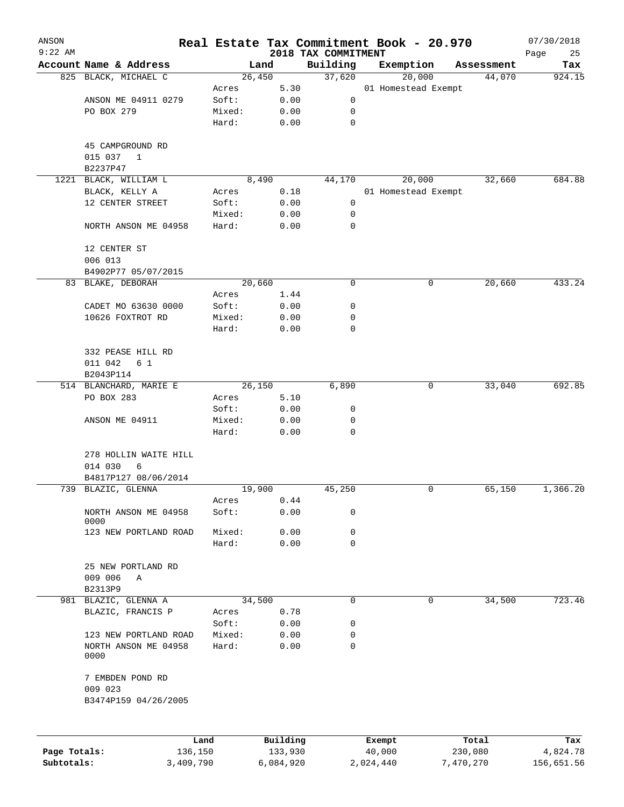| ANSON        |                              |        |          |                                 | Real Estate Tax Commitment Book - 20.970 |            | 07/30/2018        |
|--------------|------------------------------|--------|----------|---------------------------------|------------------------------------------|------------|-------------------|
| $9:22$ AM    | Account Name & Address       |        | Land     | 2018 TAX COMMITMENT<br>Building | Exemption                                | Assessment | Page<br>25<br>Tax |
|              | 825 BLACK, MICHAEL C         |        | 26,450   | 37,620                          | 20,000                                   | 44,070     | 924.15            |
|              |                              | Acres  | 5.30     |                                 | 01 Homestead Exempt                      |            |                   |
|              | ANSON ME 04911 0279          | Soft:  | 0.00     | 0                               |                                          |            |                   |
|              | PO BOX 279                   | Mixed: | 0.00     | 0                               |                                          |            |                   |
|              |                              | Hard:  | 0.00     | $\mathbf 0$                     |                                          |            |                   |
|              | 45 CAMPGROUND RD             |        |          |                                 |                                          |            |                   |
|              | 015 037<br>$\mathbf{1}$      |        |          |                                 |                                          |            |                   |
|              | B2237P47                     |        |          |                                 |                                          |            |                   |
|              | 1221 BLACK, WILLIAM L        |        | 8,490    | 44,170                          | 20,000                                   | 32,660     | 684.88            |
|              | BLACK, KELLY A               | Acres  | 0.18     |                                 | 01 Homestead Exempt                      |            |                   |
|              | 12 CENTER STREET             | Soft:  | 0.00     | 0                               |                                          |            |                   |
|              |                              | Mixed: | 0.00     | 0                               |                                          |            |                   |
|              | NORTH ANSON ME 04958         | Hard:  | 0.00     | 0                               |                                          |            |                   |
|              | 12 CENTER ST<br>006 013      |        |          |                                 |                                          |            |                   |
|              | B4902P77 05/07/2015          |        |          |                                 |                                          |            |                   |
|              | 83 BLAKE, DEBORAH            |        | 20,660   | 0                               | 0                                        | 20,660     | 433.24            |
|              |                              | Acres  | 1.44     |                                 |                                          |            |                   |
|              | CADET MO 63630 0000          | Soft:  | 0.00     | 0                               |                                          |            |                   |
|              | 10626 FOXTROT RD             | Mixed: | 0.00     | 0                               |                                          |            |                   |
|              |                              | Hard:  | 0.00     | 0                               |                                          |            |                   |
|              |                              |        |          |                                 |                                          |            |                   |
|              | 332 PEASE HILL RD            |        |          |                                 |                                          |            |                   |
|              | 011 042<br>6 1               |        |          |                                 |                                          |            |                   |
|              | B2043P114                    |        |          |                                 |                                          |            |                   |
|              | 514 BLANCHARD, MARIE E       |        | 26,150   | 6,890                           | 0                                        | 33,040     | 692.85            |
|              | PO BOX 283                   | Acres  | 5.10     |                                 |                                          |            |                   |
|              |                              | Soft:  | 0.00     | 0                               |                                          |            |                   |
|              | ANSON ME 04911               | Mixed: | 0.00     | 0                               |                                          |            |                   |
|              |                              | Hard:  | 0.00     | 0                               |                                          |            |                   |
|              | 278 HOLLIN WAITE HILL        |        |          |                                 |                                          |            |                   |
|              | 014 030<br>6                 |        |          |                                 |                                          |            |                   |
|              | B4817P127 08/06/2014         |        |          |                                 |                                          |            |                   |
|              | 739 BLAZIC, GLENNA           |        | 19,900   | 45,250                          | 0                                        | 65,150     | 1,366.20          |
|              |                              | Acres  | 0.44     |                                 |                                          |            |                   |
|              | NORTH ANSON ME 04958<br>0000 | Soft:  | 0.00     | 0                               |                                          |            |                   |
|              | 123 NEW PORTLAND ROAD        | Mixed: | 0.00     | 0                               |                                          |            |                   |
|              |                              | Hard:  | 0.00     | $\Omega$                        |                                          |            |                   |
|              | 25 NEW PORTLAND RD           |        |          |                                 |                                          |            |                   |
|              | 009 006<br>Α                 |        |          |                                 |                                          |            |                   |
|              | B2313P9                      |        |          |                                 |                                          |            |                   |
|              | 981 BLAZIC, GLENNA A         |        | 34,500   | 0                               | 0                                        | 34,500     | 723.46            |
|              | BLAZIC, FRANCIS P            | Acres  | 0.78     |                                 |                                          |            |                   |
|              |                              | Soft:  | 0.00     | 0                               |                                          |            |                   |
|              | 123 NEW PORTLAND ROAD        | Mixed: | 0.00     | 0                               |                                          |            |                   |
|              | NORTH ANSON ME 04958<br>0000 | Hard:  | 0.00     | 0                               |                                          |            |                   |
|              | 7 EMBDEN POND RD             |        |          |                                 |                                          |            |                   |
|              | 009 023                      |        |          |                                 |                                          |            |                   |
|              | B3474P159 04/26/2005         |        |          |                                 |                                          |            |                   |
|              |                              |        |          |                                 |                                          |            |                   |
|              | Land                         |        | Building |                                 | Exempt                                   | Total      | Tax               |
| Page Totals: | 136,150                      |        | 133,930  |                                 | 40,000                                   | 230,080    | 4,824.78          |

**Subtotals:** 3,409,790 6,084,920 2,024,440 7,470,270 156,651.56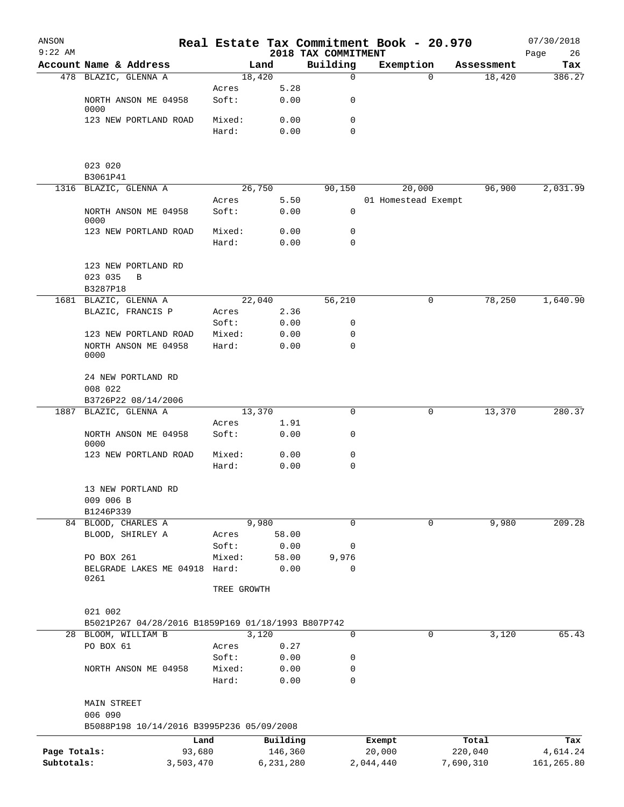| ANSON        |                                                      |                 |              |                                 | Real Estate Tax Commitment Book - 20.970 |             |            | 07/30/2018        |
|--------------|------------------------------------------------------|-----------------|--------------|---------------------------------|------------------------------------------|-------------|------------|-------------------|
| $9:22$ AM    | Account Name & Address                               |                 | Land         | 2018 TAX COMMITMENT<br>Building | Exemption                                |             | Assessment | 26<br>Page<br>Tax |
|              | 478 BLAZIC, GLENNA A                                 |                 | 18,420       | $\mathbf 0$                     |                                          | $\Omega$    | 18,420     | 386.27            |
|              |                                                      | Acres           | 5.28         |                                 |                                          |             |            |                   |
|              | NORTH ANSON ME 04958<br>0000                         | Soft:           | 0.00         | 0                               |                                          |             |            |                   |
|              | 123 NEW PORTLAND ROAD                                | Mixed:          | 0.00         | 0                               |                                          |             |            |                   |
|              |                                                      | Hard:           | 0.00         | $\mathbf 0$                     |                                          |             |            |                   |
|              | 023 020                                              |                 |              |                                 |                                          |             |            |                   |
|              | B3061P41                                             |                 |              |                                 |                                          |             |            |                   |
|              | 1316 BLAZIC, GLENNA A                                |                 | 26,750       | 90,150                          | 20,000                                   |             | 96,900     | 2,031.99          |
|              |                                                      | Acres           | 5.50         |                                 | 01 Homestead Exempt                      |             |            |                   |
|              | NORTH ANSON ME 04958<br>0000                         | Soft:           | 0.00         | 0                               |                                          |             |            |                   |
|              | 123 NEW PORTLAND ROAD                                | Mixed:          | 0.00         | 0                               |                                          |             |            |                   |
|              |                                                      | Hard:           | 0.00         | $\mathbf 0$                     |                                          |             |            |                   |
|              | 123 NEW PORTLAND RD<br>023 035<br>B                  |                 |              |                                 |                                          |             |            |                   |
|              | B3287P18                                             |                 |              |                                 |                                          |             |            |                   |
|              | 1681 BLAZIC, GLENNA A                                |                 | 22,040       | 56,210                          |                                          | 0           | 78,250     | 1,640.90          |
|              | BLAZIC, FRANCIS P                                    | Acres           | 2.36         |                                 |                                          |             |            |                   |
|              |                                                      | Soft:           | 0.00         | 0                               |                                          |             |            |                   |
|              | 123 NEW PORTLAND ROAD                                | Mixed:          | 0.00         | 0                               |                                          |             |            |                   |
|              | NORTH ANSON ME 04958<br>0000                         | Hard:           | 0.00         | $\mathbf 0$                     |                                          |             |            |                   |
|              | 24 NEW PORTLAND RD<br>008 022                        |                 |              |                                 |                                          |             |            |                   |
|              | B3726P22 08/14/2006                                  |                 |              |                                 |                                          |             |            |                   |
| 1887         | BLAZIC, GLENNA A                                     |                 | 13,370       | 0                               |                                          | 0           | 13,370     | 280.37            |
|              | NORTH ANSON ME 04958<br>0000                         | Acres<br>Soft:  | 1.91<br>0.00 | 0                               |                                          |             |            |                   |
|              | 123 NEW PORTLAND ROAD                                | Mixed:          | 0.00         | 0                               |                                          |             |            |                   |
|              |                                                      | Hard:           | 0.00         | 0                               |                                          |             |            |                   |
|              | 13 NEW PORTLAND RD<br>009 006 B<br>B1246P339         |                 |              |                                 |                                          |             |            |                   |
|              | 84 BLOOD, CHARLES A                                  |                 | 9,980        | $\mathbf 0$                     |                                          | $\mathbf 0$ | 9,980      | 209.28            |
|              | BLOOD, SHIRLEY A                                     | Acres           | 58.00        |                                 |                                          |             |            |                   |
|              |                                                      | Soft:           | 0.00         | 0                               |                                          |             |            |                   |
|              | PO BOX 261                                           | Mixed:          | 58.00        | 9,976                           |                                          |             |            |                   |
|              | BELGRADE LAKES ME 04918                              | Hard:           | 0.00         | 0                               |                                          |             |            |                   |
|              | 0261                                                 | TREE GROWTH     |              |                                 |                                          |             |            |                   |
|              | 021 002                                              |                 |              |                                 |                                          |             |            |                   |
|              | B5021P267 04/28/2016 B1859P169 01/18/1993 B807P742   |                 |              |                                 |                                          |             |            |                   |
|              | 28 BLOOM, WILLIAM B                                  |                 | 3,120        | $\mathbf 0$                     |                                          | 0           | 3,120      | 65.43             |
|              | PO BOX 61                                            | Acres           | 0.27         |                                 |                                          |             |            |                   |
|              |                                                      | Soft:           | 0.00         | 0                               |                                          |             |            |                   |
|              | NORTH ANSON ME 04958                                 | Mixed:<br>Hard: | 0.00<br>0.00 | 0<br>0                          |                                          |             |            |                   |
|              | <b>MAIN STREET</b>                                   |                 |              |                                 |                                          |             |            |                   |
|              | 006 090<br>B5088P198 10/14/2016 B3995P236 05/09/2008 |                 |              |                                 |                                          |             |            |                   |
|              |                                                      | Land            | Building     |                                 | Exempt                                   |             | Total      | Tax               |
| Page Totals: |                                                      | 93,680          | 146,360      |                                 | 20,000                                   |             | 220,040    | 4,614.24          |
| Subtotals:   | 3,503,470                                            |                 | 6,231,280    |                                 | 2,044,440                                | 7,690,310   |            | 161,265.80        |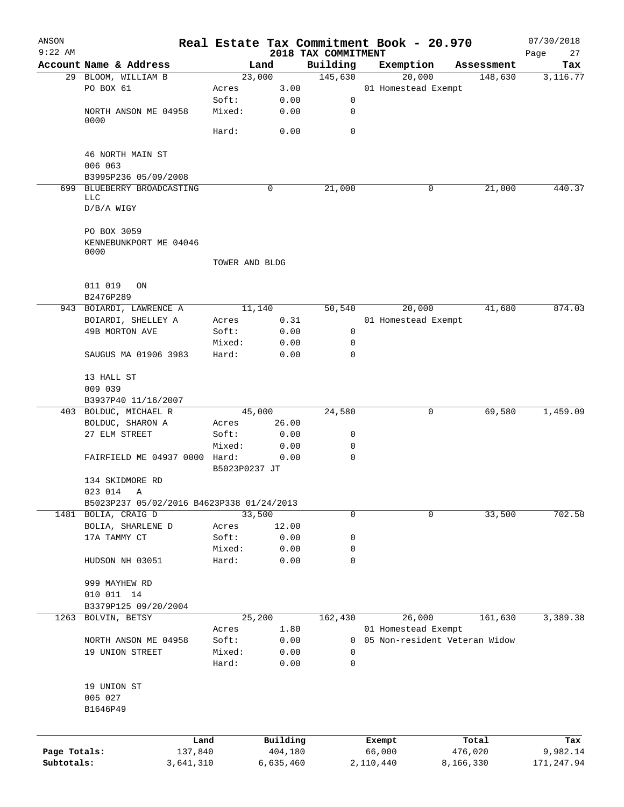| ANSON<br>$9:22$ AM |                                              |                |                | 2018 TAX COMMITMENT | Real Estate Tax Commitment Book - 20.970 |                               | 07/30/2018<br>Page<br>27 |
|--------------------|----------------------------------------------|----------------|----------------|---------------------|------------------------------------------|-------------------------------|--------------------------|
|                    | Account Name & Address                       |                | Land           | Building            | Exemption                                | Assessment                    | Tax                      |
|                    | 29 BLOOM, WILLIAM B                          |                | 23,000         | 145,630             | 20,000                                   | 148,630                       | 3,116.77                 |
|                    | PO BOX 61                                    | Acres          | 3.00           |                     | 01 Homestead Exempt                      |                               |                          |
|                    |                                              | Soft:          | 0.00           | 0                   |                                          |                               |                          |
|                    | NORTH ANSON ME 04958<br>0000                 | Mixed:         | 0.00           | 0                   |                                          |                               |                          |
|                    |                                              | Hard:          | 0.00           | $\mathbf 0$         |                                          |                               |                          |
|                    | 46 NORTH MAIN ST<br>006 063                  |                |                |                     |                                          |                               |                          |
|                    | B3995P236 05/09/2008                         |                |                |                     |                                          |                               |                          |
| 699                | BLUEBERRY BROADCASTING                       |                | 0              | 21,000              | 0                                        | 21,000                        | 440.37                   |
|                    | LLC<br>$D/B/A$ WIGY                          |                |                |                     |                                          |                               |                          |
|                    | PO BOX 3059                                  |                |                |                     |                                          |                               |                          |
|                    | KENNEBUNKPORT ME 04046<br>0000               |                |                |                     |                                          |                               |                          |
|                    |                                              | TOWER AND BLDG |                |                     |                                          |                               |                          |
|                    | 011 019<br>ON<br>B2476P289                   |                |                |                     |                                          |                               |                          |
|                    | 943 BOIARDI, LAWRENCE A                      |                | 11,140         | 50,540              | 20,000                                   | 41,680                        | 874.03                   |
|                    | BOIARDI, SHELLEY A                           | Acres          | 0.31           |                     | 01 Homestead Exempt                      |                               |                          |
|                    | 49B MORTON AVE                               | Soft:          | 0.00           | 0                   |                                          |                               |                          |
|                    |                                              | Mixed:         | 0.00           | 0                   |                                          |                               |                          |
|                    | SAUGUS MA 01906 3983                         | Hard:          | 0.00           | $\mathbf 0$         |                                          |                               |                          |
|                    | 13 HALL ST                                   |                |                |                     |                                          |                               |                          |
|                    | 009 039                                      |                |                |                     |                                          |                               |                          |
|                    | B3937P40 11/16/2007<br>403 BOLDUC, MICHAEL R |                | 45,000         | 24,580              | 0                                        | 69,580                        | 1,459.09                 |
|                    | BOLDUC, SHARON A                             | Acres          | 26.00          |                     |                                          |                               |                          |
|                    | 27 ELM STREET                                | Soft:          | 0.00           | 0                   |                                          |                               |                          |
|                    |                                              | Mixed:         | 0.00           | 0                   |                                          |                               |                          |
|                    | FAIRFIELD ME 04937 0000 Hard:                | B5023P0237 JT  | 0.00           | $\mathbf 0$         |                                          |                               |                          |
|                    | 134 SKIDMORE RD                              |                |                |                     |                                          |                               |                          |
|                    | 023 014 A                                    |                |                |                     |                                          |                               |                          |
|                    | B5023P237 05/02/2016 B4623P338 01/24/2013    |                |                |                     |                                          |                               |                          |
|                    | 1481 BOLIA, CRAIG D                          |                | 33,500         | 0                   | 0                                        | 33,500                        | 702.50                   |
|                    | BOLIA, SHARLENE D                            | Acres          | 12.00          |                     |                                          |                               |                          |
|                    | 17A TAMMY CT                                 | Soft:          | 0.00           | 0                   |                                          |                               |                          |
|                    |                                              | Mixed:         | 0.00           | 0                   |                                          |                               |                          |
|                    | HUDSON NH 03051                              | Hard:          | 0.00           | $\mathbf 0$         |                                          |                               |                          |
|                    | 999 MAYHEW RD                                |                |                |                     |                                          |                               |                          |
|                    | 010 011 14                                   |                |                |                     |                                          |                               |                          |
|                    | B3379P125 09/20/2004                         |                |                |                     |                                          |                               |                          |
| 1263               | BOLVIN, BETSY                                |                | 25,200<br>1.80 | 162,430             | 26,000<br>01 Homestead Exempt            | 161,630                       | 3,389.38                 |
|                    | NORTH ANSON ME 04958                         | Acres<br>Soft: | 0.00           | 0                   |                                          | 05 Non-resident Veteran Widow |                          |
|                    | 19 UNION STREET                              | Mixed:         | 0.00           | 0                   |                                          |                               |                          |
|                    |                                              | Hard:          | 0.00           | 0                   |                                          |                               |                          |
|                    | 19 UNION ST                                  |                |                |                     |                                          |                               |                          |
|                    | 005 027                                      |                |                |                     |                                          |                               |                          |
|                    | B1646P49                                     |                |                |                     |                                          |                               |                          |
|                    | Land                                         |                | Building       |                     | Exempt                                   | Total                         | Tax                      |
| Page Totals:       | 137,840                                      |                | 404,180        |                     | 66,000                                   | 476,020                       | 9,982.14                 |
| Subtotals:         | 3,641,310                                    |                | 6,635,460      |                     | 2,110,440                                | 8,166,330                     | 171,247.94               |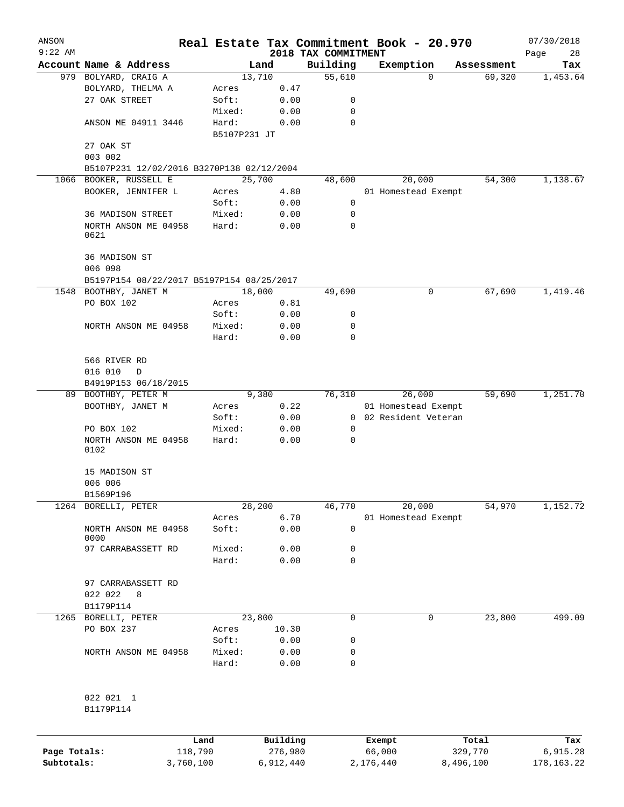| ANSON        |                                                      |              |          |                                 | Real Estate Tax Commitment Book - 20.970 |                      | 07/30/2018        |
|--------------|------------------------------------------------------|--------------|----------|---------------------------------|------------------------------------------|----------------------|-------------------|
| $9:22$ AM    | Account Name & Address                               |              | Land     | 2018 TAX COMMITMENT<br>Building |                                          |                      | Page<br>28<br>Tax |
|              | 979 BOLYARD, CRAIG A                                 |              | 13,710   | 55,610                          | Exemption<br>0                           | Assessment<br>69,320 | 1,453.64          |
|              | BOLYARD, THELMA A                                    | Acres        | 0.47     |                                 |                                          |                      |                   |
|              | 27 OAK STREET                                        | Soft:        | 0.00     | 0                               |                                          |                      |                   |
|              |                                                      | Mixed:       | 0.00     | 0                               |                                          |                      |                   |
|              | ANSON ME 04911 3446                                  | Hard:        | 0.00     | 0                               |                                          |                      |                   |
|              |                                                      | B5107P231 JT |          |                                 |                                          |                      |                   |
|              | 27 OAK ST                                            |              |          |                                 |                                          |                      |                   |
|              | 003 002                                              |              |          |                                 |                                          |                      |                   |
|              | B5107P231 12/02/2016 B3270P138 02/12/2004            |              |          |                                 |                                          |                      |                   |
| 1066         | BOOKER, RUSSELL E                                    |              | 25,700   | 48,600                          | 20,000                                   | 54,300               | 1,138.67          |
|              | BOOKER, JENNIFER L                                   | Acres        | 4.80     |                                 | 01 Homestead Exempt                      |                      |                   |
|              |                                                      | Soft:        | 0.00     | 0                               |                                          |                      |                   |
|              | 36 MADISON STREET                                    | Mixed:       | 0.00     | 0                               |                                          |                      |                   |
|              | NORTH ANSON ME 04958                                 | Hard:        | 0.00     | 0                               |                                          |                      |                   |
|              | 0621                                                 |              |          |                                 |                                          |                      |                   |
|              | 36 MADISON ST                                        |              |          |                                 |                                          |                      |                   |
|              | 006 098<br>B5197P154 08/22/2017 B5197P154 08/25/2017 |              |          |                                 |                                          |                      |                   |
| 1548         | BOOTHBY, JANET M                                     |              | 18,000   | 49,690                          | 0                                        | 67,690               | 1,419.46          |
|              | PO BOX 102                                           | Acres        | 0.81     |                                 |                                          |                      |                   |
|              |                                                      | Soft:        | 0.00     | 0                               |                                          |                      |                   |
|              | NORTH ANSON ME 04958                                 | Mixed:       | 0.00     | 0                               |                                          |                      |                   |
|              |                                                      | Hard:        | 0.00     | 0                               |                                          |                      |                   |
|              |                                                      |              |          |                                 |                                          |                      |                   |
|              | 566 RIVER RD                                         |              |          |                                 |                                          |                      |                   |
|              | 016 010<br>D                                         |              |          |                                 |                                          |                      |                   |
|              | B4919P153 06/18/2015                                 |              |          |                                 |                                          |                      |                   |
| 89           | BOOTHBY, PETER M                                     |              | 9,380    | 76,310                          | 26,000                                   | 59,690               | 1,251.70          |
|              | BOOTHBY, JANET M                                     | Acres        | 0.22     |                                 | 01 Homestead Exempt                      |                      |                   |
|              |                                                      | Soft:        | 0.00     | $\overline{0}$                  | 02 Resident Veteran                      |                      |                   |
|              | PO BOX 102                                           | Mixed:       | 0.00     | 0                               |                                          |                      |                   |
|              | NORTH ANSON ME 04958<br>0102                         | Hard:        | 0.00     | 0                               |                                          |                      |                   |
|              | 15 MADISON ST                                        |              |          |                                 |                                          |                      |                   |
|              | 006 006                                              |              |          |                                 |                                          |                      |                   |
|              | B1569P196                                            |              |          |                                 |                                          |                      |                   |
| 1264         | BORELLI, PETER                                       |              | 28,200   | 46,770                          | 20,000                                   | 54,970               | 1,152.72          |
|              |                                                      | Acres        | 6.70     |                                 | 01 Homestead Exempt                      |                      |                   |
|              | NORTH ANSON ME 04958<br>0000                         | Soft:        | 0.00     | 0                               |                                          |                      |                   |
|              | 97 CARRABASSETT RD                                   | Mixed:       | 0.00     | 0                               |                                          |                      |                   |
|              |                                                      | Hard:        | 0.00     | 0                               |                                          |                      |                   |
|              | 97 CARRABASSETT RD                                   |              |          |                                 |                                          |                      |                   |
|              | 022 022<br>8                                         |              |          |                                 |                                          |                      |                   |
|              | B1179P114                                            |              |          |                                 |                                          |                      |                   |
|              | 1265 BORELLI, PETER                                  |              | 23,800   | 0                               | 0                                        | 23,800               | 499.09            |
|              | PO BOX 237                                           | Acres        | 10.30    |                                 |                                          |                      |                   |
|              |                                                      | Soft:        | 0.00     | 0                               |                                          |                      |                   |
|              | NORTH ANSON ME 04958                                 | Mixed:       | 0.00     | 0                               |                                          |                      |                   |
|              |                                                      | Hard:        | 0.00     | 0                               |                                          |                      |                   |
|              |                                                      |              |          |                                 |                                          |                      |                   |
|              | 022 021 1<br>B1179P114                               |              |          |                                 |                                          |                      |                   |
|              |                                                      |              |          |                                 |                                          |                      |                   |
|              | Land                                                 |              | Building |                                 | Exempt                                   | Total                | Tax               |
| Page Totals: | 118,790                                              |              | 276,980  |                                 | 66,000                                   | 329,770              | 6,915.28          |

**Subtotals:** 3,760,100 6,912,440 2,176,440 8,496,100 178,163.22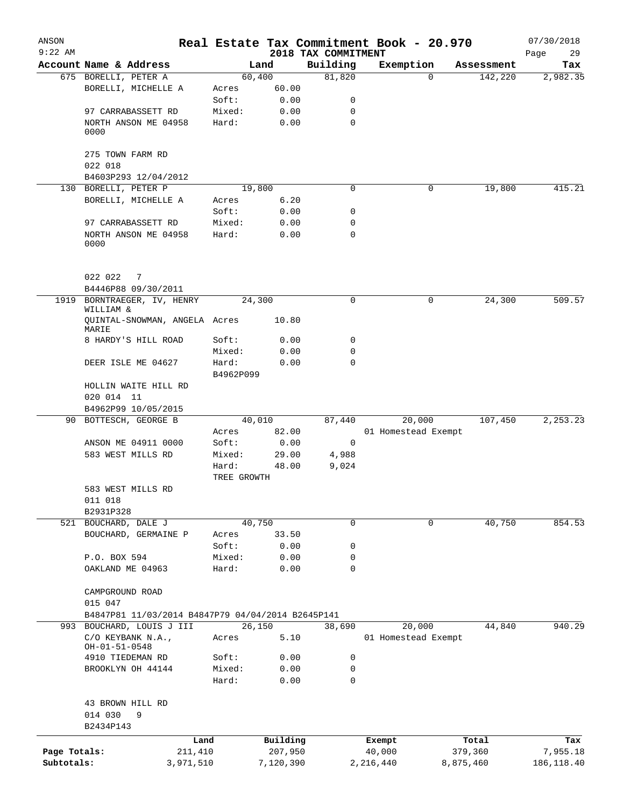| ANSON<br>$9:22$ AM |                                                   |                      |           |                                 | Real Estate Tax Commitment Book - 20.970 |            | 07/30/2018        |
|--------------------|---------------------------------------------------|----------------------|-----------|---------------------------------|------------------------------------------|------------|-------------------|
|                    | Account Name & Address                            |                      | Land      | 2018 TAX COMMITMENT<br>Building | Exemption                                | Assessment | Page<br>29<br>Tax |
|                    | 675 BORELLI, PETER A                              | 60,400               |           | 81,820                          | $\Omega$                                 | 142,220    | 2,982.35          |
|                    | BORELLI, MICHELLE A                               | Acres                | 60.00     |                                 |                                          |            |                   |
|                    |                                                   | Soft:                | 0.00      | 0                               |                                          |            |                   |
|                    | 97 CARRABASSETT RD                                | Mixed:               | 0.00      | 0                               |                                          |            |                   |
|                    | NORTH ANSON ME 04958                              | Hard:                | 0.00      | $\mathbf 0$                     |                                          |            |                   |
|                    | 0000                                              |                      |           |                                 |                                          |            |                   |
|                    | 275 TOWN FARM RD                                  |                      |           |                                 |                                          |            |                   |
|                    | 022 018                                           |                      |           |                                 |                                          |            |                   |
|                    | B4603P293 12/04/2012                              |                      |           |                                 |                                          |            |                   |
| 130                | BORELLI, PETER P                                  | 19,800               |           | 0                               | 0                                        | 19,800     | 415.21            |
|                    | BORELLI, MICHELLE A                               | Acres                | 6.20      |                                 |                                          |            |                   |
|                    |                                                   | Soft:                | 0.00      | 0                               |                                          |            |                   |
|                    | 97 CARRABASSETT RD                                | Mixed:               | 0.00      | 0                               |                                          |            |                   |
|                    | NORTH ANSON ME 04958<br>0000                      | Hard:                | 0.00      | $\mathbf 0$                     |                                          |            |                   |
|                    | 022 022<br>7                                      |                      |           |                                 |                                          |            |                   |
|                    | B4446P88 09/30/2011                               |                      |           |                                 |                                          |            |                   |
| 1919               | BORNTRAEGER, IV, HENRY<br>WILLIAM &               | 24,300               |           | $\Omega$                        | 0                                        | 24,300     | 509.57            |
|                    | QUINTAL-SNOWMAN, ANGELA Acres<br>MARIE            |                      | 10.80     |                                 |                                          |            |                   |
|                    | 8 HARDY'S HILL ROAD                               | Soft:                | 0.00      | 0                               |                                          |            |                   |
|                    |                                                   | Mixed:               | 0.00      | 0                               |                                          |            |                   |
|                    | DEER ISLE ME 04627                                | Hard:<br>B4962P099   | 0.00      | $\Omega$                        |                                          |            |                   |
|                    | HOLLIN WAITE HILL RD                              |                      |           |                                 |                                          |            |                   |
|                    | 020 014 11                                        |                      |           |                                 |                                          |            |                   |
|                    | B4962P99 10/05/2015                               |                      |           |                                 |                                          |            |                   |
|                    | 90 BOTTESCH, GEORGE B                             |                      | 40,010    | 87,440                          | 20,000                                   | 107,450    | 2,253.23          |
|                    |                                                   | Acres                | 82.00     |                                 | 01 Homestead Exempt                      |            |                   |
|                    | ANSON ME 04911 0000                               | Soft:                | 0.00      | 0                               |                                          |            |                   |
|                    | 583 WEST MILLS RD                                 | Mixed:               | 29.00     | 4,988                           |                                          |            |                   |
|                    |                                                   | Hard:<br>TREE GROWTH | 48.00     | 9,024                           |                                          |            |                   |
|                    | 583 WEST MILLS RD                                 |                      |           |                                 |                                          |            |                   |
|                    | 011 018                                           |                      |           |                                 |                                          |            |                   |
|                    | B2931P328                                         |                      |           |                                 |                                          |            |                   |
|                    | 521 BOUCHARD, DALE J                              | 40,750               |           | 0                               | 0                                        | 40,750     | 854.53            |
|                    | BOUCHARD, GERMAINE P                              | Acres                | 33.50     |                                 |                                          |            |                   |
|                    |                                                   | Soft:                | 0.00      | 0                               |                                          |            |                   |
|                    | P.O. BOX 594                                      | Mixed:               | 0.00      | 0                               |                                          |            |                   |
|                    | OAKLAND ME 04963                                  | Hard:                | 0.00      | 0                               |                                          |            |                   |
|                    | CAMPGROUND ROAD<br>015 047                        |                      |           |                                 |                                          |            |                   |
|                    | B4847P81 11/03/2014 B4847P79 04/04/2014 B2645P141 |                      |           |                                 |                                          |            |                   |
| 993                | BOUCHARD, LOUIS J III                             | 26,150               |           | 38,690                          | 20,000                                   | 44,840     | 940.29            |
|                    | C/O KEYBANK N.A.,                                 | Acres                | 5.10      |                                 | 01 Homestead Exempt                      |            |                   |
|                    | $OH - 01 - 51 - 0548$                             |                      |           |                                 |                                          |            |                   |
|                    | 4910 TIEDEMAN RD                                  | Soft:                | 0.00      | 0                               |                                          |            |                   |
|                    | BROOKLYN OH 44144                                 | Mixed:               | 0.00      | 0                               |                                          |            |                   |
|                    |                                                   | Hard:                | 0.00      | $\mathbf 0$                     |                                          |            |                   |
|                    | 43 BROWN HILL RD                                  |                      |           |                                 |                                          |            |                   |
|                    | 014 030<br>9                                      |                      |           |                                 |                                          |            |                   |
|                    | B2434P143                                         |                      |           |                                 |                                          |            |                   |
|                    | Land                                              |                      | Building  |                                 | Exempt                                   | Total      | Tax               |
| Page Totals:       | 211,410                                           |                      | 207,950   |                                 | 40,000                                   | 379,360    | 7,955.18          |
| Subtotals:         | 3,971,510                                         |                      | 7,120,390 |                                 | 2,216,440                                | 8,875,460  | 186, 118.40       |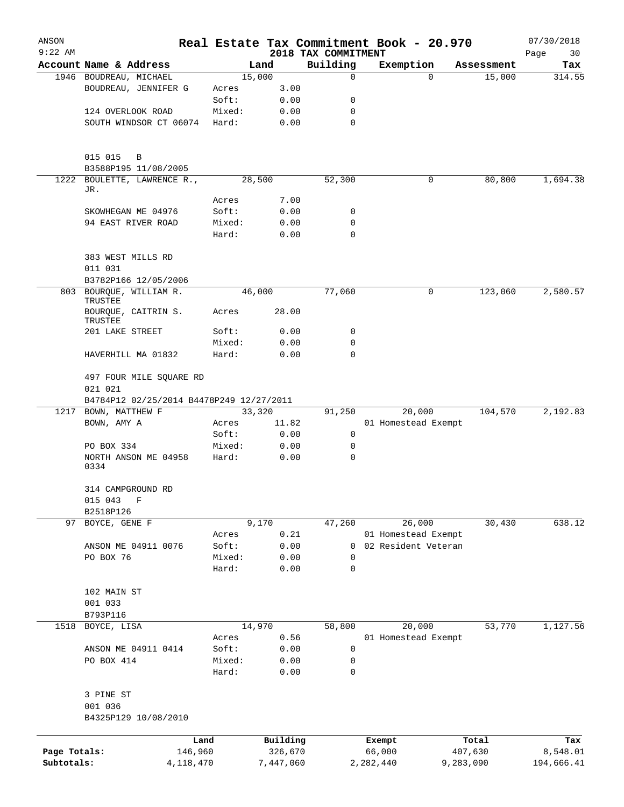| ANSON        |                                          |                |              |                     | Real Estate Tax Commitment Book - 20.970 |            | 07/30/2018 |
|--------------|------------------------------------------|----------------|--------------|---------------------|------------------------------------------|------------|------------|
| $9:22$ AM    |                                          |                |              | 2018 TAX COMMITMENT |                                          |            | Page<br>30 |
|              | Account Name & Address                   |                | Land         | Building            | Exemption                                | Assessment | Tax        |
|              | 1946 BOUDREAU, MICHAEL                   |                | 15,000       | $\mathbf 0$         | $\mathbf 0$                              | 15,000     | 314.55     |
|              | BOUDREAU, JENNIFER G                     | Acres<br>Soft: | 3.00<br>0.00 | 0                   |                                          |            |            |
|              | 124 OVERLOOK ROAD                        | Mixed:         | 0.00         | 0                   |                                          |            |            |
|              | SOUTH WINDSOR CT 06074                   | Hard:          | 0.00         | $\mathbf 0$         |                                          |            |            |
|              |                                          |                |              |                     |                                          |            |            |
|              | 015 015<br>B                             |                |              |                     |                                          |            |            |
|              | B3588P195 11/08/2005                     |                |              |                     |                                          |            |            |
| 1222         | BOULETTE, LAWRENCE R.,<br>JR.            |                | 28,500       | 52,300              | 0                                        | 80,800     | 1,694.38   |
|              |                                          | Acres          | 7.00         |                     |                                          |            |            |
|              | SKOWHEGAN ME 04976                       | Soft:          | 0.00         | 0                   |                                          |            |            |
|              | 94 EAST RIVER ROAD                       | Mixed:         | 0.00         | 0                   |                                          |            |            |
|              |                                          | Hard:          | 0.00         | 0                   |                                          |            |            |
|              | 383 WEST MILLS RD<br>011 031             |                |              |                     |                                          |            |            |
|              | B3782P166 12/05/2006                     |                |              |                     |                                          |            |            |
|              | 803 BOURQUE, WILLIAM R.<br>TRUSTEE       |                | 46,000       | 77,060              | $\mathbf 0$                              | 123,060    | 2,580.57   |
|              | BOURQUE, CAITRIN S.<br>TRUSTEE           | Acres          | 28.00        |                     |                                          |            |            |
|              | 201 LAKE STREET                          | Soft:          | 0.00         | 0                   |                                          |            |            |
|              |                                          | Mixed:         | 0.00         | 0                   |                                          |            |            |
|              | HAVERHILL MA 01832                       | Hard:          | 0.00         | $\mathbf 0$         |                                          |            |            |
|              | 497 FOUR MILE SQUARE RD<br>021 021       |                |              |                     |                                          |            |            |
|              | B4784P12 02/25/2014 B4478P249 12/27/2011 |                |              |                     |                                          |            |            |
| 1217         | BOWN, MATTHEW F                          |                | 33,320       | 91,250              | 20,000                                   | 104,570    | 2,192.83   |
|              | BOWN, AMY A                              | Acres          | 11.82        |                     | 01 Homestead Exempt                      |            |            |
|              |                                          | Soft:          | 0.00         | 0                   |                                          |            |            |
|              | PO BOX 334                               | Mixed:         | 0.00         | 0                   |                                          |            |            |
|              | NORTH ANSON ME 04958<br>0334             | Hard:          | 0.00         | $\mathbf 0$         |                                          |            |            |
|              | 314 CAMPGROUND RD                        |                |              |                     |                                          |            |            |
|              | 015 043<br>F                             |                |              |                     |                                          |            |            |
|              | B2518P126                                |                |              |                     |                                          |            |            |
| 97           | BOYCE, GENE F                            |                | 9,170        | 47,260              | 26,000                                   | 30,430     | 638.12     |
|              |                                          | Acres          | 0.21         |                     | 01 Homestead Exempt                      |            |            |
|              | ANSON ME 04911 0076                      | Soft:          | 0.00         | 0                   | 02 Resident Veteran                      |            |            |
|              | PO BOX 76                                | Mixed:         | 0.00         | 0                   |                                          |            |            |
|              |                                          | Hard:          | 0.00         | 0                   |                                          |            |            |
|              | 102 MAIN ST                              |                |              |                     |                                          |            |            |
|              | 001 033                                  |                |              |                     |                                          |            |            |
|              | B793P116                                 |                |              |                     |                                          |            |            |
| 1518         | BOYCE, LISA                              |                | 14,970       | 58,800              | 20,000                                   | 53,770     | 1,127.56   |
|              |                                          | Acres          | 0.56         |                     | 01 Homestead Exempt                      |            |            |
|              | ANSON ME 04911 0414                      | Soft:          | 0.00         | 0                   |                                          |            |            |
|              | PO BOX 414                               | Mixed:         | 0.00         | 0                   |                                          |            |            |
|              |                                          | Hard:          | 0.00         | $\mathbf 0$         |                                          |            |            |
|              | 3 PINE ST                                |                |              |                     |                                          |            |            |
|              | 001 036                                  |                |              |                     |                                          |            |            |
|              | B4325P129 10/08/2010                     |                |              |                     |                                          |            |            |
|              |                                          | Land           | Building     |                     | Exempt                                   | Total      | Tax        |
| Page Totals: | 146,960                                  |                | 326,670      |                     | 66,000                                   | 407,630    | 8,548.01   |
| Subtotals:   | 4, 118, 470                              |                | 7,447,060    |                     | 2,282,440                                | 9,283,090  | 194,666.41 |
|              |                                          |                |              |                     |                                          |            |            |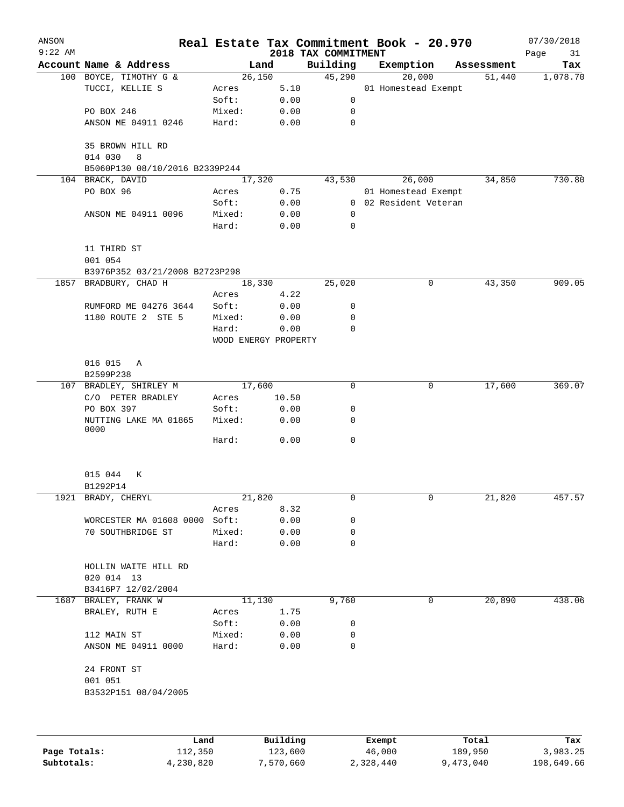| ANSON<br>$9:22$ AM |                                    |                 | 2018 TAX COMMITMENT          |              | Real Estate Tax Commitment Book - 20.970 |            | 07/30/2018<br>Page<br>31 |
|--------------------|------------------------------------|-----------------|------------------------------|--------------|------------------------------------------|------------|--------------------------|
|                    | Account Name & Address             |                 | Land                         | Building     | Exemption                                | Assessment | Tax                      |
|                    | 100 BOYCE, TIMOTHY G &             |                 | 26,150                       | 45,290       | 20,000                                   | 51,440     | 1,078.70                 |
|                    | TUCCI, KELLIE S                    | Acres           | 5.10                         |              | 01 Homestead Exempt                      |            |                          |
|                    |                                    | Soft:           | 0.00                         | 0            |                                          |            |                          |
|                    | PO BOX 246                         | Mixed:          | 0.00                         | 0            |                                          |            |                          |
|                    | ANSON ME 04911 0246                | Hard:           | 0.00                         | $\mathbf 0$  |                                          |            |                          |
|                    | 35 BROWN HILL RD<br>014 030<br>8   |                 |                              |              |                                          |            |                          |
|                    | B5060P130 08/10/2016 B2339P244     |                 |                              |              |                                          |            |                          |
|                    | 104 BRACK, DAVID                   |                 | 17,320                       | 43,530       | 26,000                                   | 34,850     | 730.80                   |
|                    | PO BOX 96                          | Acres           | 0.75                         |              | 01 Homestead Exempt                      |            |                          |
|                    |                                    | Soft:           | 0.00                         |              | 0 02 Resident Veteran                    |            |                          |
|                    | ANSON ME 04911 0096                | Mixed:          | 0.00                         | 0            |                                          |            |                          |
|                    |                                    | Hard:           | 0.00                         | $\mathbf 0$  |                                          |            |                          |
|                    | 11 THIRD ST                        |                 |                              |              |                                          |            |                          |
|                    | 001 054                            |                 |                              |              |                                          |            |                          |
|                    | B3976P352 03/21/2008 B2723P298     |                 |                              |              |                                          |            |                          |
|                    | 1857 BRADBURY, CHAD H              |                 | 18,330                       | 25,020       | 0                                        | 43,350     | 909.05                   |
|                    |                                    | Acres           | 4.22                         |              |                                          |            |                          |
|                    | RUMFORD ME 04276 3644              | Soft:           | 0.00                         | 0            |                                          |            |                          |
|                    | 1180 ROUTE 2 STE 5                 | Mixed:          | 0.00                         | 0            |                                          |            |                          |
|                    |                                    | Hard:           | 0.00<br>WOOD ENERGY PROPERTY | 0            |                                          |            |                          |
|                    |                                    |                 |                              |              |                                          |            |                          |
|                    | 016 015<br>Α<br>B2599P238          |                 |                              |              |                                          |            |                          |
|                    | 107 BRADLEY, SHIRLEY M             |                 | 17,600                       | 0            | 0                                        | 17,600     | 369.07                   |
|                    | C/O PETER BRADLEY                  | Acres           | 10.50                        |              |                                          |            |                          |
|                    | PO BOX 397                         | Soft:           | 0.00                         | 0            |                                          |            |                          |
|                    | NUTTING LAKE MA 01865<br>0000      | Mixed:          | 0.00                         | 0            |                                          |            |                          |
|                    |                                    | Hard:           | 0.00                         | $\mathsf{O}$ |                                          |            |                          |
|                    | 015 044<br>К<br>B1292P14           |                 |                              |              |                                          |            |                          |
|                    |                                    |                 |                              |              |                                          |            |                          |
|                    | 1921 BRADY, CHERYL                 |                 | 21,820                       | 0            | 0                                        | 21,820     | 457.57                   |
|                    |                                    | Acres           | 8.32                         |              |                                          |            |                          |
|                    | WORCESTER MA 01608 0000            | Soft:           | 0.00                         | 0            |                                          |            |                          |
|                    | 70 SOUTHBRIDGE ST                  | Mixed:<br>Hard: | 0.00<br>0.00                 | 0<br>0       |                                          |            |                          |
|                    |                                    |                 |                              |              |                                          |            |                          |
|                    | HOLLIN WAITE HILL RD<br>020 014 13 |                 |                              |              |                                          |            |                          |
|                    | B3416P7 12/02/2004                 |                 |                              |              |                                          |            |                          |
| 1687               | BRALEY, FRANK W                    |                 | 11,130                       | 9,760        | 0                                        | 20,890     | 438.06                   |
|                    | BRALEY, RUTH E                     | Acres           | 1.75                         |              |                                          |            |                          |
|                    |                                    | Soft:           | 0.00                         | 0            |                                          |            |                          |
|                    | 112 MAIN ST                        | Mixed:          | 0.00                         | 0            |                                          |            |                          |
|                    | ANSON ME 04911 0000                | Hard:           | 0.00                         | 0            |                                          |            |                          |
|                    | 24 FRONT ST                        |                 |                              |              |                                          |            |                          |
|                    | 001 051<br>B3532P151 08/04/2005    |                 |                              |              |                                          |            |                          |
|                    |                                    |                 |                              |              |                                          |            |                          |
|                    |                                    |                 |                              |              |                                          |            |                          |
|                    | Land                               |                 | Building                     |              | Exempt                                   | Total      | Tax                      |

|              | ⊥and      | Building  | Exempt    | Total     | Tax        |
|--------------|-----------|-----------|-----------|-----------|------------|
| Page Totals: | 112,350   | 123,600   | 46,000    | 189,950   | 3,983.25   |
| Subtotals:   | 4,230,820 | 7,570,660 | 2,328,440 | 9,473,040 | 198,649.66 |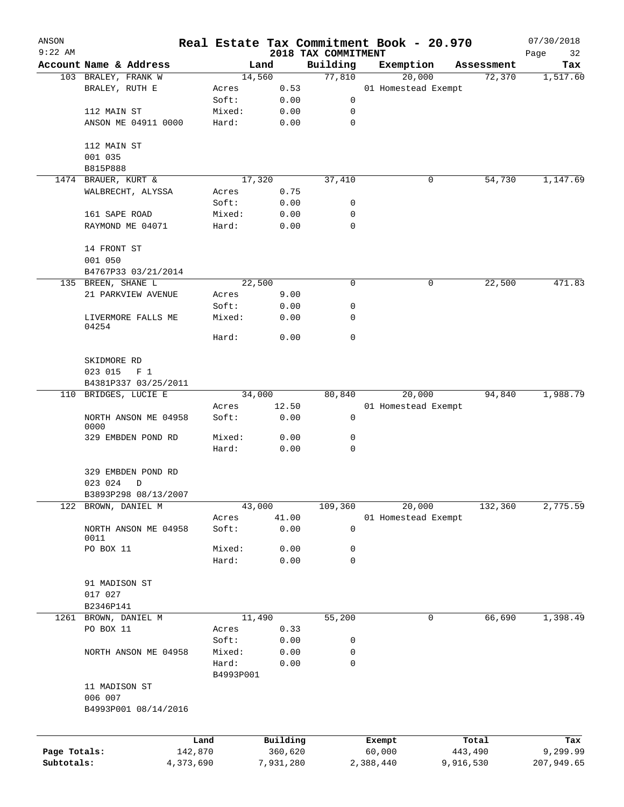| ANSON<br>$9:22$ AM |                              |           |           |                                 | Real Estate Tax Commitment Book - 20.970 |            | 07/30/2018        |
|--------------------|------------------------------|-----------|-----------|---------------------------------|------------------------------------------|------------|-------------------|
|                    | Account Name & Address       |           | Land      | 2018 TAX COMMITMENT<br>Building | Exemption                                | Assessment | Page<br>32<br>Tax |
|                    | 103 BRALEY, FRANK W          |           | 14,560    | 77,810                          | 20,000                                   | 72,370     | 1,517.60          |
|                    | BRALEY, RUTH E               | Acres     | 0.53      |                                 | 01 Homestead Exempt                      |            |                   |
|                    |                              | Soft:     | 0.00      | 0                               |                                          |            |                   |
|                    | 112 MAIN ST                  | Mixed:    | 0.00      | 0                               |                                          |            |                   |
|                    | ANSON ME 04911 0000          | Hard:     | 0.00      | $\mathbf 0$                     |                                          |            |                   |
|                    | 112 MAIN ST                  |           |           |                                 |                                          |            |                   |
|                    | 001 035                      |           |           |                                 |                                          |            |                   |
|                    | B815P888                     |           |           |                                 |                                          |            |                   |
|                    | 1474 BRAUER, KURT &          |           | 17,320    | 37,410                          | 0                                        | 54,730     | 1,147.69          |
|                    | WALBRECHT, ALYSSA            | Acres     | 0.75      |                                 |                                          |            |                   |
|                    |                              | Soft:     | 0.00      | 0                               |                                          |            |                   |
|                    | 161 SAPE ROAD                | Mixed:    | 0.00      | 0                               |                                          |            |                   |
|                    | RAYMOND ME 04071             | Hard:     | 0.00      | 0                               |                                          |            |                   |
|                    | 14 FRONT ST                  |           |           |                                 |                                          |            |                   |
|                    | 001 050                      |           |           |                                 |                                          |            |                   |
|                    | B4767P33 03/21/2014          |           |           |                                 |                                          |            |                   |
|                    | 135 BREEN, SHANE L           |           | 22,500    | 0                               | 0                                        | 22,500     | 471.83            |
|                    | 21 PARKVIEW AVENUE           | Acres     | 9.00      |                                 |                                          |            |                   |
|                    |                              | Soft:     | 0.00      | 0                               |                                          |            |                   |
|                    | LIVERMORE FALLS ME<br>04254  | Mixed:    | 0.00      | 0                               |                                          |            |                   |
|                    |                              | Hard:     | 0.00      | $\mathbf 0$                     |                                          |            |                   |
|                    | SKIDMORE RD                  |           |           |                                 |                                          |            |                   |
|                    | 023 015<br>F <sub>1</sub>    |           |           |                                 |                                          |            |                   |
|                    | B4381P337 03/25/2011         |           |           |                                 |                                          |            |                   |
|                    | 110 BRIDGES, LUCIE E         |           | 34,000    | 80,840                          | 20,000                                   | 94,840     | 1,988.79          |
|                    |                              | Acres     | 12.50     |                                 | 01 Homestead Exempt                      |            |                   |
|                    | NORTH ANSON ME 04958<br>0000 | Soft:     | 0.00      | 0                               |                                          |            |                   |
|                    | 329 EMBDEN POND RD           | Mixed:    | 0.00      | 0                               |                                          |            |                   |
|                    |                              | Hard:     | 0.00      | 0                               |                                          |            |                   |
|                    | 329 EMBDEN POND RD           |           |           |                                 |                                          |            |                   |
|                    | 023 024<br>D                 |           |           |                                 |                                          |            |                   |
|                    | B3893P298 08/13/2007         |           |           |                                 |                                          |            |                   |
| 122                | BROWN, DANIEL M              |           | 43,000    | 109,360                         | 20,000                                   | 132,360    | 2,775.59          |
|                    |                              | Acres     | 41.00     |                                 | 01 Homestead Exempt                      |            |                   |
|                    | NORTH ANSON ME 04958<br>0011 | Soft:     | 0.00      | 0                               |                                          |            |                   |
|                    | PO BOX 11                    | Mixed:    | 0.00      | 0                               |                                          |            |                   |
|                    |                              | Hard:     | 0.00      | 0                               |                                          |            |                   |
|                    | 91 MADISON ST                |           |           |                                 |                                          |            |                   |
|                    | 017 027                      |           |           |                                 |                                          |            |                   |
|                    | B2346P141                    |           |           |                                 |                                          |            |                   |
|                    | 1261 BROWN, DANIEL M         |           | 11,490    | 55,200                          | 0                                        | 66,690     | 1,398.49          |
|                    | PO BOX 11                    | Acres     | 0.33      |                                 |                                          |            |                   |
|                    |                              | Soft:     | 0.00      | 0                               |                                          |            |                   |
|                    | NORTH ANSON ME 04958         | Mixed:    | 0.00      | 0                               |                                          |            |                   |
|                    |                              | Hard:     | 0.00      | 0                               |                                          |            |                   |
|                    |                              | B4993P001 |           |                                 |                                          |            |                   |
|                    | 11 MADISON ST                |           |           |                                 |                                          |            |                   |
|                    | 006 007                      |           |           |                                 |                                          |            |                   |
|                    | B4993P001 08/14/2016         |           |           |                                 |                                          |            |                   |
|                    |                              | Land      | Building  |                                 | Exempt                                   | Total      | Tax               |
| Page Totals:       |                              | 142,870   | 360,620   |                                 | 60,000                                   | 443,490    | 9,299.99          |
| Subtotals:         |                              | 4,373,690 | 7,931,280 |                                 | 2,388,440                                | 9,916,530  | 207,949.65        |
|                    |                              |           |           |                                 |                                          |            |                   |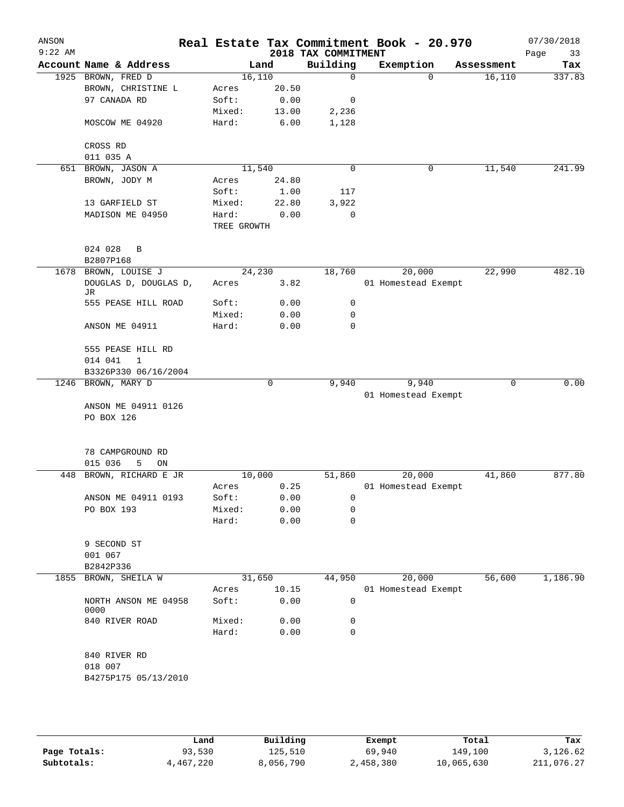| ANSON<br>$9:22$ AM |                              |                      |        | 2018 TAX COMMITMENT | Real Estate Tax Commitment Book - 20.970 |             | 07/30/2018<br>Page<br>33 |
|--------------------|------------------------------|----------------------|--------|---------------------|------------------------------------------|-------------|--------------------------|
|                    | Account Name & Address       |                      | Land   | Building            | Exemption                                | Assessment  | Tax                      |
|                    | 1925 BROWN, FRED D           |                      | 16,110 | $\mathbf 0$         | $\Omega$                                 | 16, 110     | 337.83                   |
|                    | BROWN, CHRISTINE L           | Acres                | 20.50  |                     |                                          |             |                          |
|                    | 97 CANADA RD                 | Soft:                | 0.00   | 0                   |                                          |             |                          |
|                    |                              | Mixed:               | 13.00  | 2,236               |                                          |             |                          |
|                    | MOSCOW ME 04920              | Hard:                | 6.00   | 1,128               |                                          |             |                          |
|                    | CROSS RD                     |                      |        |                     |                                          |             |                          |
|                    | 011 035 A                    |                      |        |                     |                                          |             |                          |
| 651                | BROWN, JASON A               |                      | 11,540 | $\mathbf 0$         | 0                                        | 11,540      | 241.99                   |
|                    | BROWN, JODY M                | Acres                | 24.80  |                     |                                          |             |                          |
|                    |                              | Soft:                | 1.00   | 117                 |                                          |             |                          |
|                    | 13 GARFIELD ST               | Mixed:               | 22.80  | 3,922               |                                          |             |                          |
|                    | MADISON ME 04950             | Hard:<br>TREE GROWTH | 0.00   | 0                   |                                          |             |                          |
|                    | 024 028<br>B                 |                      |        |                     |                                          |             |                          |
|                    | B2807P168                    |                      |        |                     |                                          |             |                          |
|                    | 1678 BROWN, LOUISE J         |                      | 24,230 | 18,760              | 20,000                                   | 22,990      | 482.10                   |
|                    | DOUGLAS D, DOUGLAS D,<br>JR  | Acres                | 3.82   |                     | 01 Homestead Exempt                      |             |                          |
|                    | 555 PEASE HILL ROAD          | Soft:                | 0.00   | 0                   |                                          |             |                          |
|                    |                              | Mixed:               | 0.00   | $\mathbf 0$         |                                          |             |                          |
|                    | ANSON ME 04911               | Hard:                | 0.00   | 0                   |                                          |             |                          |
|                    | 555 PEASE HILL RD            |                      |        |                     |                                          |             |                          |
|                    | 014 041<br>1                 |                      |        |                     |                                          |             |                          |
|                    | B3326P330 06/16/2004         |                      |        |                     |                                          |             |                          |
|                    | 1246 BROWN, MARY D           |                      | 0      | 9,940               | 9,940                                    | $\mathbf 0$ | 0.00                     |
|                    |                              |                      |        |                     | 01 Homestead Exempt                      |             |                          |
|                    | ANSON ME 04911 0126          |                      |        |                     |                                          |             |                          |
|                    | PO BOX 126                   |                      |        |                     |                                          |             |                          |
|                    | 78 CAMPGROUND RD             |                      |        |                     |                                          |             |                          |
|                    | 015 036<br>5<br>ON           |                      |        |                     |                                          |             |                          |
| 448                | BROWN, RICHARD E JR          |                      | 10,000 | 51,860              | 20,000                                   | 41,860      | 877.80                   |
|                    |                              | Acres                | 0.25   |                     | 01 Homestead Exempt                      |             |                          |
|                    | ANSON ME 04911 0193          | Soft:                | 0.00   | 0                   |                                          |             |                          |
|                    | PO BOX 193                   | Mixed:               | 0.00   | 0                   |                                          |             |                          |
|                    |                              | Hard:                | 0.00   | 0                   |                                          |             |                          |
|                    | 9 SECOND ST                  |                      |        |                     |                                          |             |                          |
|                    | 001 067                      |                      |        |                     |                                          |             |                          |
|                    | B2842P336                    |                      |        |                     |                                          |             |                          |
| 1855               | BROWN, SHEILA W              |                      | 31,650 | 44,950              | 20,000                                   | 56,600      | 1,186.90                 |
|                    |                              | Acres                | 10.15  |                     | 01 Homestead Exempt                      |             |                          |
|                    | NORTH ANSON ME 04958<br>0000 | Soft:                | 0.00   | $\mathbf 0$         |                                          |             |                          |
|                    | 840 RIVER ROAD               | Mixed:               | 0.00   | 0                   |                                          |             |                          |
|                    |                              | Hard:                | 0.00   | 0                   |                                          |             |                          |
|                    | 840 RIVER RD                 |                      |        |                     |                                          |             |                          |
|                    | 018 007                      |                      |        |                     |                                          |             |                          |
|                    | B4275P175 05/13/2010         |                      |        |                     |                                          |             |                          |
|                    |                              |                      |        |                     |                                          |             |                          |
|                    |                              |                      |        |                     |                                          |             |                          |

|              | Land      | Building  | Exempt    | Total      | Tax        |
|--------------|-----------|-----------|-----------|------------|------------|
| Page Totals: | 93,530    | 125,510   | 69,940    | 149,100    | 3,126.62   |
| Subtotals:   | 4,467,220 | 8,056,790 | 2,458,380 | 10,065,630 | 211,076.27 |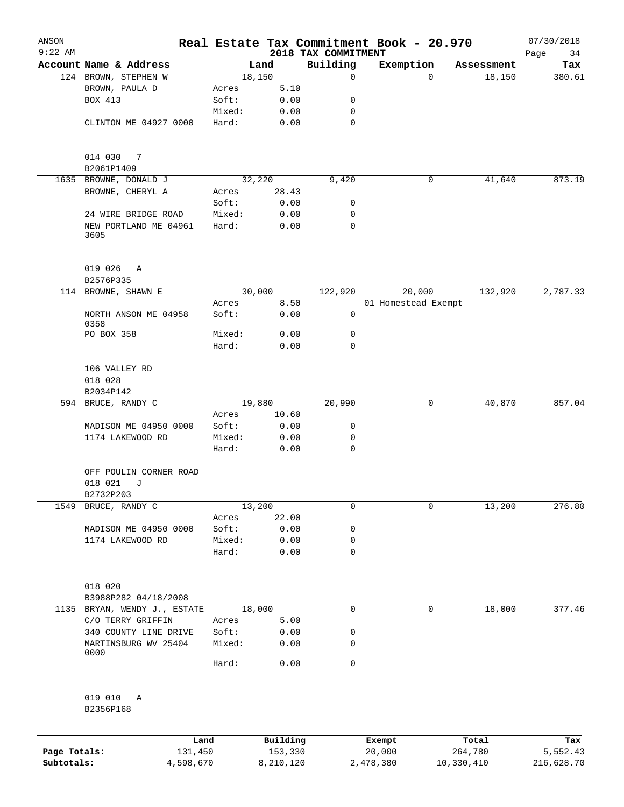| ANSON        |                                              |           |                 |           |                          | Real Estate Tax Commitment Book - 20.970 |            |                      | 07/30/2018    |
|--------------|----------------------------------------------|-----------|-----------------|-----------|--------------------------|------------------------------------------|------------|----------------------|---------------|
| $9:22$ AM    | Account Name & Address                       |           |                 |           | 2018 TAX COMMITMENT      |                                          |            |                      | Page<br>34    |
|              | 124 BROWN, STEPHEN W                         |           | 18,150          | Land      | Building<br>$\mathsf{O}$ | Exemption                                | 0          | Assessment<br>18,150 | Tax<br>380.61 |
|              | BROWN, PAULA D                               |           | Acres           | 5.10      |                          |                                          |            |                      |               |
|              | BOX 413                                      |           | Soft:           | 0.00      | 0                        |                                          |            |                      |               |
|              |                                              |           | Mixed:          | 0.00      | 0                        |                                          |            |                      |               |
|              | CLINTON ME 04927 0000                        |           | Hard:           | 0.00      | $\mathbf 0$              |                                          |            |                      |               |
|              |                                              |           |                 |           |                          |                                          |            |                      |               |
|              | 014 030<br>7                                 |           |                 |           |                          |                                          |            |                      |               |
|              | B2061P1409                                   |           |                 |           |                          |                                          |            |                      |               |
|              | 1635 BROWNE, DONALD J                        |           | 32,220          |           | 9,420                    |                                          | 0          | 41,640               | 873.19        |
|              | BROWNE, CHERYL A                             |           | Acres           | 28.43     |                          |                                          |            |                      |               |
|              |                                              |           | Soft:           | 0.00      | 0                        |                                          |            |                      |               |
|              | 24 WIRE BRIDGE ROAD                          |           | Mixed:          | 0.00      | 0                        |                                          |            |                      |               |
|              | NEW PORTLAND ME 04961<br>3605                |           | Hard:           | 0.00      | $\mathbf 0$              |                                          |            |                      |               |
|              | 019 026<br>Α                                 |           |                 |           |                          |                                          |            |                      |               |
|              | B2576P335                                    |           |                 |           |                          |                                          |            |                      |               |
|              | 114 BROWNE, SHAWN E                          |           | 30,000          |           | 122,920                  | 20,000                                   |            | 132,920              | 2,787.33      |
|              |                                              |           | Acres           | 8.50      |                          | 01 Homestead Exempt                      |            |                      |               |
|              | NORTH ANSON ME 04958<br>0358                 |           | Soft:           | 0.00      | 0                        |                                          |            |                      |               |
|              | PO BOX 358                                   |           | Mixed:          | 0.00      | 0                        |                                          |            |                      |               |
|              |                                              |           | Hard:           | 0.00      | $\mathbf 0$              |                                          |            |                      |               |
|              | 106 VALLEY RD                                |           |                 |           |                          |                                          |            |                      |               |
|              | 018 028<br>B2034P142                         |           |                 |           |                          |                                          |            |                      |               |
|              | 594 BRUCE, RANDY C                           |           | 19,880          |           | 20,990                   |                                          | 0          | 40,870               | 857.04        |
|              |                                              |           | Acres           | 10.60     |                          |                                          |            |                      |               |
|              | MADISON ME 04950 0000                        |           | Soft:           | 0.00      | 0                        |                                          |            |                      |               |
|              | 1174 LAKEWOOD RD                             |           | Mixed:          | 0.00      | 0                        |                                          |            |                      |               |
|              |                                              |           | Hard:           | 0.00      | 0                        |                                          |            |                      |               |
|              | OFF POULIN CORNER ROAD                       |           |                 |           |                          |                                          |            |                      |               |
|              | 018 021<br>J                                 |           |                 |           |                          |                                          |            |                      |               |
| 1549         | B2732P203<br>BRUCE, RANDY C                  |           | 13,200          |           | $\mathbf 0$              |                                          | 0          | 13,200               | 276.80        |
|              |                                              |           | Acres           | 22.00     |                          |                                          |            |                      |               |
|              | MADISON ME 04950 0000                        |           | Soft:           | 0.00      | 0                        |                                          |            |                      |               |
|              | 1174 LAKEWOOD RD                             |           | Mixed:          | 0.00      | 0                        |                                          |            |                      |               |
|              |                                              |           | Hard:           | 0.00      | $\mathbf 0$              |                                          |            |                      |               |
|              |                                              |           |                 |           |                          |                                          |            |                      |               |
|              | 018 020                                      |           |                 |           |                          |                                          |            |                      |               |
|              | B3988P282 04/18/2008                         |           |                 |           | $\mathsf{O}$             |                                          |            |                      | 377.46        |
| 1135         | BRYAN, WENDY J., ESTATE<br>C/O TERRY GRIFFIN |           | 18,000<br>Acres | 5.00      |                          |                                          | 0          | 18,000               |               |
|              | 340 COUNTY LINE DRIVE                        |           | Soft:           | 0.00      | 0                        |                                          |            |                      |               |
|              | MARTINSBURG WV 25404                         |           | Mixed:          | 0.00      | 0                        |                                          |            |                      |               |
|              | 0000                                         |           |                 |           |                          |                                          |            |                      |               |
|              |                                              |           | Hard:           | 0.00      | $\mathbf 0$              |                                          |            |                      |               |
|              | 019 010<br>Α                                 |           |                 |           |                          |                                          |            |                      |               |
|              | B2356P168                                    |           |                 |           |                          |                                          |            |                      |               |
|              |                                              | Land      |                 | Building  |                          | Exempt                                   |            | Total                | Tax           |
| Page Totals: |                                              | 131,450   |                 | 153,330   |                          | 20,000                                   |            | 264,780              | 5,552.43      |
| Subtotals:   |                                              | 4,598,670 |                 | 8,210,120 |                          | 2,478,380                                | 10,330,410 |                      | 216,628.70    |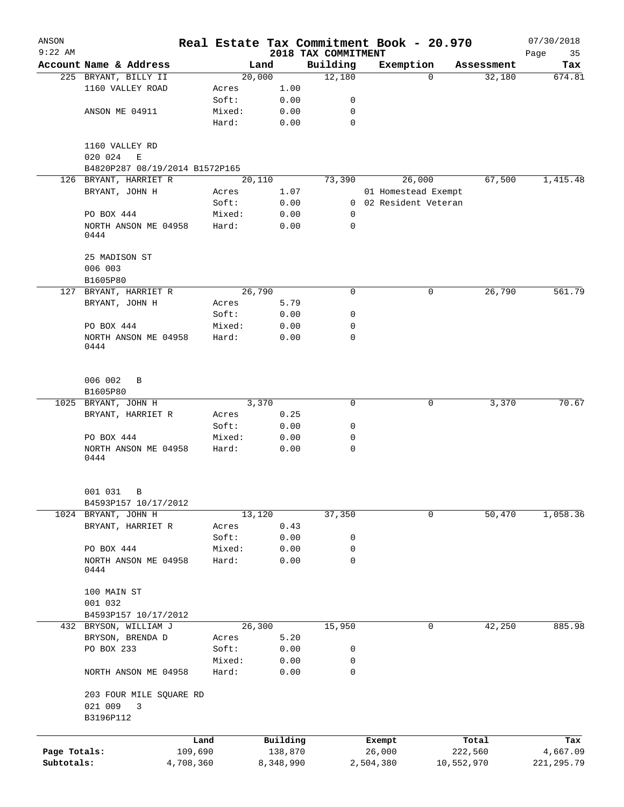| ANSON                      |                                                |                      |        |                     |                      | Real Estate Tax Commitment Book - 20.970 |                     |                          |                       | 07/30/2018              |
|----------------------------|------------------------------------------------|----------------------|--------|---------------------|----------------------|------------------------------------------|---------------------|--------------------------|-----------------------|-------------------------|
| $9:22$ AM                  |                                                |                      |        |                     |                      | 2018 TAX COMMITMENT                      |                     |                          |                       | Page<br>35              |
|                            | Account Name & Address<br>225 BRYANT, BILLY II |                      |        | Land<br>20,000      |                      | Building<br>12,180                       |                     | Exemption<br>$\mathbf 0$ | Assessment<br>32,180  | Tax<br>674.81           |
|                            | 1160 VALLEY ROAD                               |                      | Acres  |                     | 1.00                 |                                          |                     |                          |                       |                         |
|                            |                                                |                      | Soft:  |                     | 0.00                 | 0                                        |                     |                          |                       |                         |
|                            | ANSON ME 04911                                 |                      | Mixed: |                     | 0.00                 | 0                                        |                     |                          |                       |                         |
|                            |                                                |                      | Hard:  |                     | 0.00                 | $\mathbf 0$                              |                     |                          |                       |                         |
|                            |                                                |                      |        |                     |                      |                                          |                     |                          |                       |                         |
|                            | 1160 VALLEY RD                                 |                      |        |                     |                      |                                          |                     |                          |                       |                         |
|                            | 020 024<br>E                                   |                      |        |                     |                      |                                          |                     |                          |                       |                         |
|                            | B4820P287 08/19/2014 B1572P165                 |                      |        |                     |                      |                                          |                     |                          |                       |                         |
|                            | 126 BRYANT, HARRIET R                          |                      |        | $\overline{20,110}$ |                      | 73,390                                   |                     | 26,000                   | 67,500                | 1,415.48                |
|                            | BRYANT, JOHN H                                 |                      | Acres  |                     | 1.07                 |                                          |                     | 01 Homestead Exempt      |                       |                         |
|                            |                                                |                      | Soft:  |                     | 0.00                 |                                          |                     | 0 02 Resident Veteran    |                       |                         |
|                            | PO BOX 444                                     |                      | Mixed: |                     | 0.00                 | 0                                        |                     |                          |                       |                         |
|                            | NORTH ANSON ME 04958                           |                      | Hard:  |                     | 0.00                 | 0                                        |                     |                          |                       |                         |
|                            | 0444                                           |                      |        |                     |                      |                                          |                     |                          |                       |                         |
|                            | 25 MADISON ST                                  |                      |        |                     |                      |                                          |                     |                          |                       |                         |
|                            | 006 003                                        |                      |        |                     |                      |                                          |                     |                          |                       |                         |
|                            | B1605P80                                       |                      |        |                     |                      |                                          |                     |                          |                       |                         |
|                            | 127 BRYANT, HARRIET R                          |                      |        | 26,790              |                      | $\mathbf 0$                              |                     | 0                        | 26,790                | 561.79                  |
|                            | BRYANT, JOHN H                                 |                      | Acres  |                     | 5.79                 |                                          |                     |                          |                       |                         |
|                            |                                                |                      | Soft:  |                     | 0.00                 | 0                                        |                     |                          |                       |                         |
|                            | PO BOX 444                                     |                      | Mixed: |                     | 0.00                 | 0                                        |                     |                          |                       |                         |
|                            | NORTH ANSON ME 04958                           |                      | Hard:  |                     | 0.00                 | 0                                        |                     |                          |                       |                         |
|                            | 0444                                           |                      |        |                     |                      |                                          |                     |                          |                       |                         |
|                            | 006 002<br>B                                   |                      |        |                     |                      |                                          |                     |                          |                       |                         |
|                            | B1605P80                                       |                      |        |                     |                      |                                          |                     |                          |                       |                         |
|                            | 1025 BRYANT, JOHN H                            |                      |        | 3,370               |                      | 0                                        |                     | 0                        | 3,370                 | 70.67                   |
|                            | BRYANT, HARRIET R                              |                      | Acres  |                     | 0.25                 |                                          |                     |                          |                       |                         |
|                            |                                                |                      | Soft:  |                     | 0.00                 | 0                                        |                     |                          |                       |                         |
|                            | PO BOX 444                                     |                      | Mixed: |                     | 0.00                 | 0                                        |                     |                          |                       |                         |
|                            | NORTH ANSON ME 04958                           |                      | Hard:  |                     | 0.00                 | $\mathbf 0$                              |                     |                          |                       |                         |
|                            | 0444                                           |                      |        |                     |                      |                                          |                     |                          |                       |                         |
|                            | 001 031<br>В                                   |                      |        |                     |                      |                                          |                     |                          |                       |                         |
|                            | B4593P157 10/17/2012                           |                      |        |                     |                      |                                          |                     |                          |                       |                         |
|                            | 1024 BRYANT, JOHN H                            |                      |        | 13,120              |                      | 37,350                                   |                     | 0                        | 50,470                | 1,058.36                |
|                            | BRYANT, HARRIET R                              |                      | Acres  |                     | 0.43                 |                                          |                     |                          |                       |                         |
|                            |                                                |                      | Soft:  |                     | 0.00                 | 0                                        |                     |                          |                       |                         |
|                            | PO BOX 444                                     |                      | Mixed: |                     | 0.00                 | 0                                        |                     |                          |                       |                         |
|                            | NORTH ANSON ME 04958<br>0444                   |                      | Hard:  |                     | 0.00                 | $\mathbf 0$                              |                     |                          |                       |                         |
|                            | 100 MAIN ST                                    |                      |        |                     |                      |                                          |                     |                          |                       |                         |
|                            | 001 032                                        |                      |        |                     |                      |                                          |                     |                          |                       |                         |
|                            | B4593P157 10/17/2012                           |                      |        |                     |                      |                                          |                     |                          |                       |                         |
|                            | 432 BRYSON, WILLIAM J                          |                      |        | 26,300              |                      | 15,950                                   |                     | 0                        | 42,250                | 885.98                  |
|                            | BRYSON, BRENDA D                               |                      | Acres  |                     | 5.20                 |                                          |                     |                          |                       |                         |
|                            | PO BOX 233                                     |                      | Soft:  |                     | 0.00                 | 0                                        |                     |                          |                       |                         |
|                            |                                                |                      | Mixed: |                     | 0.00                 | 0                                        |                     |                          |                       |                         |
|                            | NORTH ANSON ME 04958                           |                      | Hard:  |                     | 0.00                 | $\mathbf 0$                              |                     |                          |                       |                         |
|                            | 203 FOUR MILE SQUARE RD<br>021 009<br>3        |                      |        |                     |                      |                                          |                     |                          |                       |                         |
|                            | B3196P112                                      |                      |        |                     |                      |                                          |                     |                          |                       |                         |
|                            |                                                | Land                 |        |                     | Building             |                                          | Exempt              |                          | Total                 | Tax                     |
| Page Totals:<br>Subtotals: |                                                | 109,690<br>4,708,360 |        |                     | 138,870<br>8,348,990 |                                          | 26,000<br>2,504,380 |                          | 222,560<br>10,552,970 | 4,667.09<br>221, 295.79 |
|                            |                                                |                      |        |                     |                      |                                          |                     |                          |                       |                         |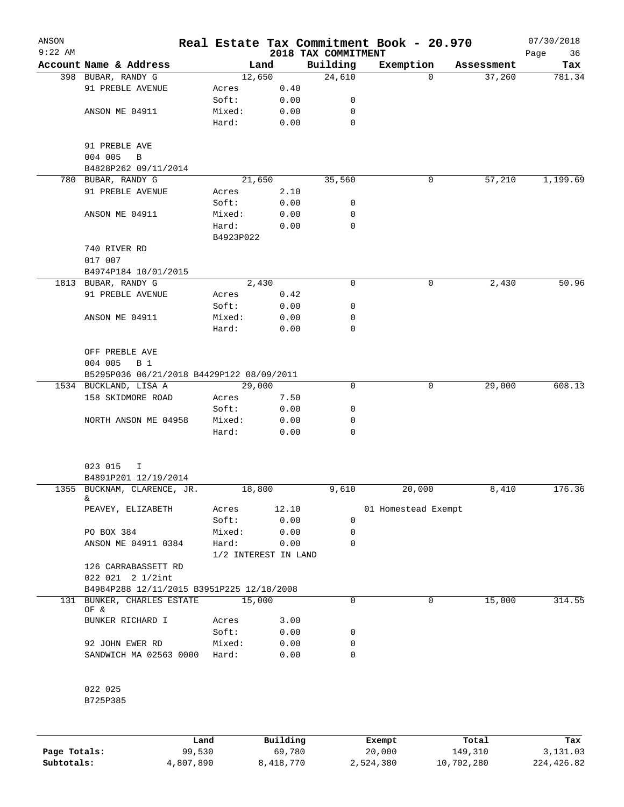| ANSON<br>$9:22$ AM |                                           |                      |       | 2018 TAX COMMITMENT | Real Estate Tax Commitment Book - 20.970 |            | 07/30/2018<br>36<br>Page |
|--------------------|-------------------------------------------|----------------------|-------|---------------------|------------------------------------------|------------|--------------------------|
|                    | Account Name & Address                    |                      | Land  | Building            | Exemption                                | Assessment | Tax                      |
|                    | 398 BUBAR, RANDY G                        | 12,650               |       | 24,610              | $\Omega$                                 | 37,260     | 781.34                   |
|                    | 91 PREBLE AVENUE                          | Acres                | 0.40  |                     |                                          |            |                          |
|                    |                                           | Soft:                | 0.00  | 0                   |                                          |            |                          |
|                    | ANSON ME 04911                            | Mixed:               | 0.00  | 0                   |                                          |            |                          |
|                    |                                           | Hard:                | 0.00  | $\mathbf 0$         |                                          |            |                          |
|                    | 91 PREBLE AVE                             |                      |       |                     |                                          |            |                          |
|                    | 004 005<br>B                              |                      |       |                     |                                          |            |                          |
|                    | B4828P262 09/11/2014                      |                      |       |                     |                                          |            |                          |
|                    | 780 BUBAR, RANDY G                        | 21,650               |       | 35,560              | 0                                        | 57,210     | 1,199.69                 |
|                    | 91 PREBLE AVENUE                          | Acres                | 2.10  |                     |                                          |            |                          |
|                    |                                           | Soft:                | 0.00  | 0                   |                                          |            |                          |
|                    | ANSON ME 04911                            | Mixed:               | 0.00  | 0                   |                                          |            |                          |
|                    |                                           | Hard:                | 0.00  | 0                   |                                          |            |                          |
|                    |                                           | B4923P022            |       |                     |                                          |            |                          |
|                    | 740 RIVER RD                              |                      |       |                     |                                          |            |                          |
|                    | 017 007                                   |                      |       |                     |                                          |            |                          |
|                    | B4974P184 10/01/2015                      |                      |       |                     |                                          |            |                          |
|                    | 1813 BUBAR, RANDY G                       |                      | 2,430 | 0                   | 0                                        | 2,430      | 50.96                    |
|                    | 91 PREBLE AVENUE                          | Acres                | 0.42  |                     |                                          |            |                          |
|                    |                                           | Soft:                | 0.00  | 0                   |                                          |            |                          |
|                    | ANSON ME 04911                            | Mixed:               | 0.00  | 0                   |                                          |            |                          |
|                    |                                           | Hard:                | 0.00  | $\mathbf 0$         |                                          |            |                          |
|                    |                                           |                      |       |                     |                                          |            |                          |
|                    | OFF PREBLE AVE                            |                      |       |                     |                                          |            |                          |
|                    | 004 005<br><b>B</b> 1                     |                      |       |                     |                                          |            |                          |
|                    | B5295P036 06/21/2018 B4429P122 08/09/2011 |                      |       |                     |                                          |            |                          |
|                    | 1534 BUCKLAND, LISA A                     | 29,000               |       | 0                   | 0                                        | 29,000     | 608.13                   |
|                    | 158 SKIDMORE ROAD                         | Acres                | 7.50  |                     |                                          |            |                          |
|                    |                                           | Soft:                |       | 0                   |                                          |            |                          |
|                    |                                           |                      | 0.00  |                     |                                          |            |                          |
|                    | NORTH ANSON ME 04958                      | Mixed:               | 0.00  | 0                   |                                          |            |                          |
|                    |                                           | Hard:                | 0.00  | 0                   |                                          |            |                          |
|                    | 023 015<br>I                              |                      |       |                     |                                          |            |                          |
|                    | B4891P201 12/19/2014                      |                      |       |                     |                                          |            |                          |
|                    | 1355 BUCKNAM, CLARENCE, JR.<br>&          | 18,800               |       | 9,610               | 20,000                                   | 8,410      | 176.36                   |
|                    | PEAVEY, ELIZABETH                         | Acres                | 12.10 |                     | 01 Homestead Exempt                      |            |                          |
|                    |                                           | Soft:                | 0.00  | 0                   |                                          |            |                          |
|                    | PO BOX 384                                | Mixed:               | 0.00  | 0                   |                                          |            |                          |
|                    | ANSON ME 04911 0384                       | Hard:                | 0.00  | 0                   |                                          |            |                          |
|                    |                                           |                      |       |                     |                                          |            |                          |
|                    |                                           | 1/2 INTEREST IN LAND |       |                     |                                          |            |                          |
|                    | 126 CARRABASSETT RD                       |                      |       |                     |                                          |            |                          |
|                    | 022 021 2 1/2int                          |                      |       |                     |                                          |            |                          |
|                    | B4984P288 12/11/2015 B3951P225 12/18/2008 |                      |       |                     |                                          |            |                          |
|                    | 131 BUNKER, CHARLES ESTATE<br>OF &        | 15,000               |       | 0                   | 0                                        | 15,000     | 314.55                   |
|                    | BUNKER RICHARD I                          | Acres                | 3.00  |                     |                                          |            |                          |
|                    |                                           | Soft:                | 0.00  | 0                   |                                          |            |                          |
|                    | 92 JOHN EWER RD                           | Mixed:               | 0.00  | 0                   |                                          |            |                          |
|                    |                                           |                      |       |                     |                                          |            |                          |
|                    | SANDWICH MA 02563 0000                    | Hard:                | 0.00  | 0                   |                                          |            |                          |
|                    | 022 025                                   |                      |       |                     |                                          |            |                          |
|                    | B725P385                                  |                      |       |                     |                                          |            |                          |
|                    |                                           |                      |       |                     |                                          |            |                          |
|                    |                                           |                      |       |                     |                                          |            |                          |

|              | Land      | Building  | Exempt    | Total      | Tax        |
|--------------|-----------|-----------|-----------|------------|------------|
| Page Totals: | 99,530    | 69,780    | 20,000    | 149,310    | 3,131.03   |
| Subtotals:   | 4,807,890 | 8,418,770 | 2,524,380 | 10,702,280 | 224,426.82 |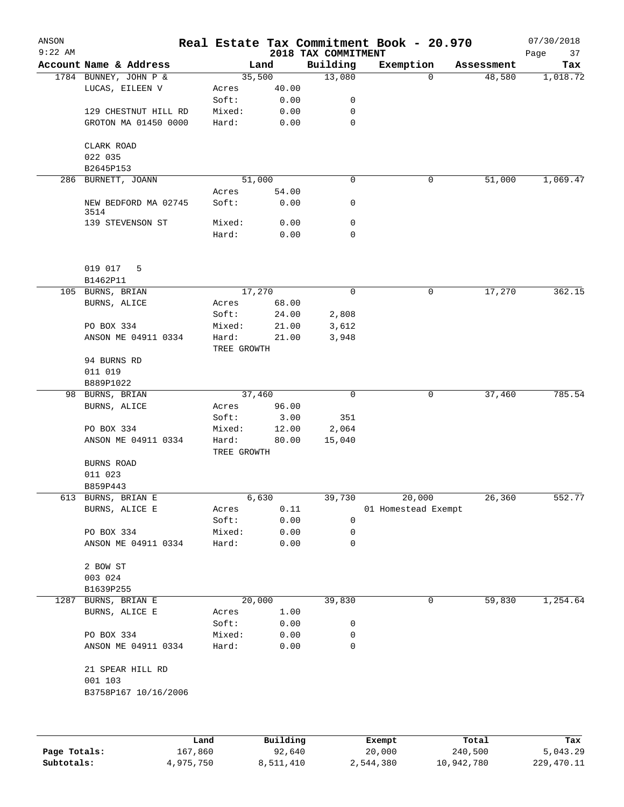| ANSON<br>$9:22$ AM |                                 |                      |          |                                 | Real Estate Tax Commitment Book - 20.970 |            | 07/30/2018        |
|--------------------|---------------------------------|----------------------|----------|---------------------------------|------------------------------------------|------------|-------------------|
|                    | Account Name & Address          |                      | Land     | 2018 TAX COMMITMENT<br>Building | Exemption                                | Assessment | Page<br>37<br>Tax |
|                    | 1784 BUNNEY, JOHN P &           |                      | 35,500   | 13,080                          | 0                                        | 48,580     | 1,018.72          |
|                    | LUCAS, EILEEN V                 | Acres                | 40.00    |                                 |                                          |            |                   |
|                    |                                 | Soft:                | 0.00     | 0                               |                                          |            |                   |
|                    | 129 CHESTNUT HILL RD            | Mixed:               | 0.00     | 0                               |                                          |            |                   |
|                    | GROTON MA 01450 0000            | Hard:                | 0.00     | $\mathbf 0$                     |                                          |            |                   |
|                    | CLARK ROAD                      |                      |          |                                 |                                          |            |                   |
|                    | 022 035                         |                      |          |                                 |                                          |            |                   |
|                    | B2645P153                       |                      |          |                                 |                                          |            |                   |
|                    | 286 BURNETT, JOANN              |                      | 51,000   | 0                               | 0                                        | 51,000     | 1,069.47          |
|                    |                                 | Acres                | 54.00    |                                 |                                          |            |                   |
|                    | NEW BEDFORD MA 02745<br>3514    | Soft:                | 0.00     | 0                               |                                          |            |                   |
|                    | 139 STEVENSON ST                | Mixed:               | 0.00     | 0                               |                                          |            |                   |
|                    |                                 | Hard:                | 0.00     | 0                               |                                          |            |                   |
|                    | 019 017<br>5                    |                      |          |                                 |                                          |            |                   |
|                    | B1462P11                        |                      |          |                                 |                                          |            |                   |
| 105                | BURNS, BRIAN                    |                      | 17,270   | 0                               | 0                                        | 17,270     | 362.15            |
|                    | BURNS, ALICE                    | Acres                | 68.00    |                                 |                                          |            |                   |
|                    |                                 | Soft:                | 24.00    | 2,808                           |                                          |            |                   |
|                    | PO BOX 334                      | Mixed:               | 21.00    | 3,612                           |                                          |            |                   |
|                    | ANSON ME 04911 0334             | Hard:<br>TREE GROWTH | 21.00    | 3,948                           |                                          |            |                   |
|                    | 94 BURNS RD                     |                      |          |                                 |                                          |            |                   |
|                    | 011 019                         |                      |          |                                 |                                          |            |                   |
|                    | B889P1022                       |                      |          |                                 |                                          |            |                   |
| 98                 | BURNS, BRIAN                    |                      | 37,460   | 0                               | 0                                        | 37,460     | 785.54            |
|                    | BURNS, ALICE                    | Acres                | 96.00    |                                 |                                          |            |                   |
|                    |                                 | Soft:                | 3.00     | 351                             |                                          |            |                   |
|                    | PO BOX 334                      | Mixed:               | 12.00    | 2,064                           |                                          |            |                   |
|                    | ANSON ME 04911 0334             | Hard:<br>TREE GROWTH | 80.00    | 15,040                          |                                          |            |                   |
|                    | BURNS ROAD                      |                      |          |                                 |                                          |            |                   |
|                    | 011 023                         |                      |          |                                 |                                          |            |                   |
|                    | B859P443                        |                      |          |                                 |                                          |            |                   |
|                    | 613 BURNS, BRIAN E              |                      | 6,630    | 39,730                          | 20,000                                   | 26,360     | 552.77            |
|                    | BURNS, ALICE E                  | Acres                | 0.11     |                                 | 01 Homestead Exempt                      |            |                   |
|                    |                                 | Soft:                | 0.00     | 0                               |                                          |            |                   |
|                    | PO BOX 334                      | Mixed:               | 0.00     | 0                               |                                          |            |                   |
|                    | ANSON ME 04911 0334             | Hard:                | 0.00     | 0                               |                                          |            |                   |
|                    | 2 BOW ST                        |                      |          |                                 |                                          |            |                   |
|                    | 003 024                         |                      |          |                                 |                                          |            |                   |
|                    | B1639P255                       |                      |          |                                 |                                          |            |                   |
| 1287               | BURNS, BRIAN E                  |                      | 20,000   | 39,830                          | 0                                        | 59,830     | 1,254.64          |
|                    | BURNS, ALICE E                  | Acres                | 1.00     |                                 |                                          |            |                   |
|                    |                                 | Soft:                | 0.00     | 0                               |                                          |            |                   |
|                    | PO BOX 334                      | Mixed:               | 0.00     | 0                               |                                          |            |                   |
|                    | ANSON ME 04911 0334             | Hard:                | 0.00     | 0                               |                                          |            |                   |
|                    | 21 SPEAR HILL RD                |                      |          |                                 |                                          |            |                   |
|                    | 001 103<br>B3758P167 10/16/2006 |                      |          |                                 |                                          |            |                   |
|                    |                                 |                      |          |                                 |                                          |            |                   |
|                    |                                 | Land                 | Building |                                 | Exempt                                   | Total      | Tax               |
|                    |                                 |                      |          |                                 |                                          |            |                   |

**Page Totals:** 167,860 92,640 20,000 240,500 5,043.29 **Subtotals:** 4,975,750 8,511,410 2,544,380 10,942,780 229,470.11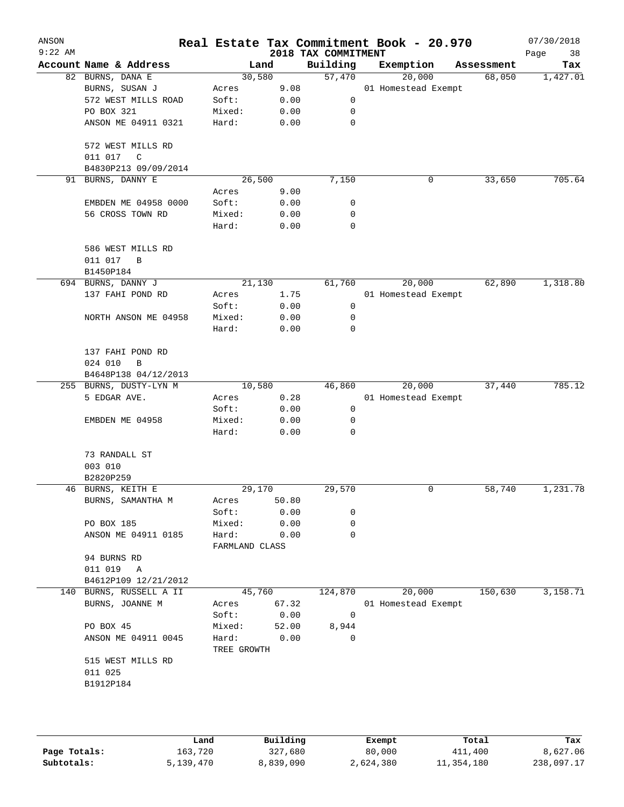| ANSON<br>$9:22$ AM |                                                           |                         |       | 2018 TAX COMMITMENT | Real Estate Tax Commitment Book - 20.970 |            | 07/30/2018<br>Page<br>38 |
|--------------------|-----------------------------------------------------------|-------------------------|-------|---------------------|------------------------------------------|------------|--------------------------|
|                    | Account Name & Address                                    | Land                    |       | Building            | Exemption                                | Assessment | Tax                      |
|                    | 82 BURNS, DANA E                                          | 30,580                  |       | 57,470              | 20,000                                   | 68,050     | 1,427.01                 |
|                    | BURNS, SUSAN J                                            | Acres                   | 9.08  |                     | 01 Homestead Exempt                      |            |                          |
|                    | 572 WEST MILLS ROAD                                       | Soft:                   | 0.00  | 0                   |                                          |            |                          |
|                    | PO BOX 321                                                | Mixed:                  | 0.00  | 0                   |                                          |            |                          |
|                    | ANSON ME 04911 0321                                       | Hard:                   | 0.00  | $\mathbf 0$         |                                          |            |                          |
|                    | 572 WEST MILLS RD<br>011 017<br>C<br>B4830P213 09/09/2014 |                         |       |                     |                                          |            |                          |
|                    | 91 BURNS, DANNY E                                         | 26,500                  |       | 7,150               | 0                                        | 33,650     | 705.64                   |
|                    |                                                           | Acres                   | 9.00  |                     |                                          |            |                          |
|                    | EMBDEN ME 04958 0000                                      | Soft:                   | 0.00  | 0                   |                                          |            |                          |
|                    | 56 CROSS TOWN RD                                          | Mixed:                  | 0.00  | 0                   |                                          |            |                          |
|                    |                                                           | Hard:                   | 0.00  | $\mathbf 0$         |                                          |            |                          |
|                    | 586 WEST MILLS RD<br>011 017<br>B<br>B1450P184            |                         |       |                     |                                          |            |                          |
|                    | 694 BURNS, DANNY J                                        | 21,130                  |       | 61,760              | 20,000                                   | 62,890     | 1,318.80                 |
|                    | 137 FAHI POND RD                                          | Acres                   | 1.75  |                     | 01 Homestead Exempt                      |            |                          |
|                    |                                                           | Soft:                   | 0.00  | $\mathsf 0$         |                                          |            |                          |
|                    | NORTH ANSON ME 04958                                      | Mixed:                  | 0.00  | 0                   |                                          |            |                          |
|                    |                                                           | Hard:                   | 0.00  | 0                   |                                          |            |                          |
|                    | 137 FAHI POND RD<br>024 010<br>B<br>B4648P138 04/12/2013  |                         |       |                     |                                          |            |                          |
|                    | 255 BURNS, DUSTY-LYN M                                    | 10,580                  |       | 46,860              | 20,000                                   | 37,440     | 785.12                   |
|                    | 5 EDGAR AVE.                                              | Acres                   | 0.28  |                     | 01 Homestead Exempt                      |            |                          |
|                    |                                                           | Soft:                   | 0.00  | 0                   |                                          |            |                          |
|                    | EMBDEN ME 04958                                           | Mixed:                  | 0.00  | 0                   |                                          |            |                          |
|                    |                                                           | Hard:                   | 0.00  | 0                   |                                          |            |                          |
|                    | 73 RANDALL ST                                             |                         |       |                     |                                          |            |                          |
|                    | 003 010                                                   |                         |       |                     |                                          |            |                          |
|                    | B2820P259                                                 |                         |       |                     |                                          |            |                          |
|                    | 46 BURNS, KEITH E                                         | 29,170                  |       | 29,570              | 0                                        | 58,740     | 1,231.78                 |
|                    | BURNS, SAMANTHA M                                         | Acres                   | 50.80 |                     |                                          |            |                          |
|                    |                                                           | Soft:                   | 0.00  | 0                   |                                          |            |                          |
|                    | PO BOX 185                                                | Mixed:                  | 0.00  | 0                   |                                          |            |                          |
|                    | ANSON ME 04911 0185                                       | Hard:<br>FARMLAND CLASS | 0.00  | 0                   |                                          |            |                          |
|                    | 94 BURNS RD                                               |                         |       |                     |                                          |            |                          |
|                    | 011 019<br>Α                                              |                         |       |                     |                                          |            |                          |
|                    | B4612P109 12/21/2012                                      |                         |       |                     |                                          |            |                          |
|                    | 140 BURNS, RUSSELL A II                                   | 45,760                  |       | 124,870             | 20,000                                   | 150,630    | 3,158.71                 |
|                    | BURNS, JOANNE M                                           | Acres                   | 67.32 |                     | 01 Homestead Exempt                      |            |                          |
|                    |                                                           | Soft:                   | 0.00  | $\mathbf 0$         |                                          |            |                          |
|                    | PO BOX 45                                                 | Mixed:                  | 52.00 | 8,944               |                                          |            |                          |
|                    | ANSON ME 04911 0045                                       | Hard:                   | 0.00  | $\Omega$            |                                          |            |                          |
|                    | 515 WEST MILLS RD                                         | TREE GROWTH             |       |                     |                                          |            |                          |
|                    | 011 025                                                   |                         |       |                     |                                          |            |                          |
|                    | B1912P184                                                 |                         |       |                     |                                          |            |                          |
|                    |                                                           |                         |       |                     |                                          |            |                          |
|                    |                                                           |                         |       |                     |                                          |            |                          |
|                    |                                                           |                         |       |                     |                                          |            |                          |

|              | Land      | Building  | Exempt    | Total      | Tax        |
|--------------|-----------|-----------|-----------|------------|------------|
| Page Totals: | 163,720   | 327,680   | 80,000    | 411,400    | 8,627.06   |
| Subtotals:   | 5,139,470 | 8,839,090 | 2,624,380 | 11,354,180 | 238,097.17 |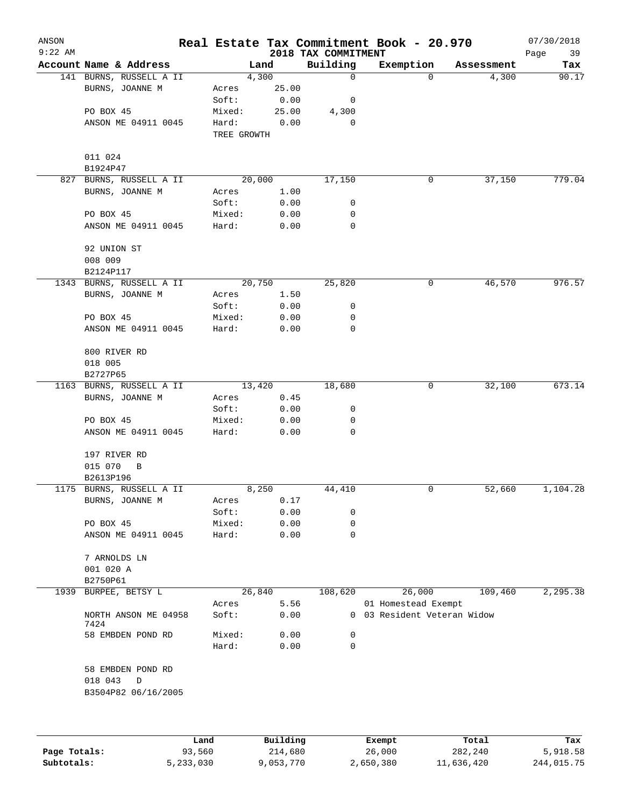| ANSON<br>$9:22$ AM |                                     |             |        | 2018 TAX COMMITMENT | Real Estate Tax Commitment Book - 20.970 |            | 07/30/2018<br>Page<br>39 |
|--------------------|-------------------------------------|-------------|--------|---------------------|------------------------------------------|------------|--------------------------|
|                    | Account Name & Address              |             | Land   | Building            | Exemption                                | Assessment | Tax                      |
|                    | 141 BURNS, RUSSELL A II             |             | 4,300  | $\mathbf 0$         | 0                                        | 4,300      | 90.17                    |
|                    | BURNS, JOANNE M                     | Acres       | 25.00  |                     |                                          |            |                          |
|                    |                                     | Soft:       | 0.00   | 0                   |                                          |            |                          |
|                    | PO BOX 45                           | Mixed:      | 25.00  | 4,300               |                                          |            |                          |
|                    | ANSON ME 04911 0045                 | Hard:       | 0.00   | 0                   |                                          |            |                          |
|                    |                                     | TREE GROWTH |        |                     |                                          |            |                          |
|                    | 011 024                             |             |        |                     |                                          |            |                          |
|                    | B1924P47                            |             |        |                     |                                          |            |                          |
|                    | 827 BURNS, RUSSELL A II             |             | 20,000 | 17,150              | 0                                        | 37,150     | 779.04                   |
|                    | BURNS, JOANNE M                     | Acres       | 1.00   |                     |                                          |            |                          |
|                    |                                     | Soft:       | 0.00   | 0                   |                                          |            |                          |
|                    | PO BOX 45                           | Mixed:      | 0.00   | 0                   |                                          |            |                          |
|                    | ANSON ME 04911 0045                 | Hard:       | 0.00   | 0                   |                                          |            |                          |
|                    | 92 UNION ST                         |             |        |                     |                                          |            |                          |
|                    | 008 009                             |             |        |                     |                                          |            |                          |
|                    | B2124P117                           |             |        |                     |                                          |            |                          |
|                    | 1343 BURNS, RUSSELL A II            |             | 20,750 | 25,820              | 0                                        | 46,570     | 976.57                   |
|                    | BURNS, JOANNE M                     | Acres       | 1.50   |                     |                                          |            |                          |
|                    |                                     | Soft:       | 0.00   | 0                   |                                          |            |                          |
|                    | PO BOX 45                           | Mixed:      | 0.00   | 0                   |                                          |            |                          |
|                    | ANSON ME 04911 0045                 | Hard:       | 0.00   | 0                   |                                          |            |                          |
|                    | 800 RIVER RD                        |             |        |                     |                                          |            |                          |
|                    | 018 005                             |             |        |                     |                                          |            |                          |
|                    | B2727P65                            |             |        |                     |                                          |            |                          |
|                    | 1163 BURNS, RUSSELL A II            |             | 13,420 | 18,680              | 0                                        | 32,100     | 673.14                   |
|                    | BURNS, JOANNE M                     | Acres       | 0.45   |                     |                                          |            |                          |
|                    |                                     | Soft:       | 0.00   | 0                   |                                          |            |                          |
|                    | PO BOX 45                           | Mixed:      | 0.00   | 0                   |                                          |            |                          |
|                    | ANSON ME 04911 0045                 | Hard:       | 0.00   | 0                   |                                          |            |                          |
|                    | 197 RIVER RD                        |             |        |                     |                                          |            |                          |
|                    | 015 070<br>B                        |             |        |                     |                                          |            |                          |
|                    | B2613P196                           |             |        |                     |                                          |            |                          |
|                    | 1175 BURNS, RUSSELL A II            |             | 8,250  | 44,410              | 0                                        | 52,660     | 1,104.28                 |
|                    | BURNS, JOANNE M                     | Acres       | 0.17   |                     |                                          |            |                          |
|                    |                                     | Soft:       | 0.00   | 0                   |                                          |            |                          |
|                    | PO BOX 45                           | Mixed:      | 0.00   | 0                   |                                          |            |                          |
|                    | ANSON ME 04911 0045                 | Hard:       | 0.00   | 0                   |                                          |            |                          |
|                    | 7 ARNOLDS LN                        |             |        |                     |                                          |            |                          |
|                    | 001 020 A                           |             |        |                     |                                          |            |                          |
|                    | B2750P61                            |             |        |                     |                                          |            |                          |
| 1939               | BURPEE, BETSY L                     |             | 26,840 | 108,620             | 26,000                                   | 109,460    | 2,295.38                 |
|                    |                                     | Acres       | 5.56   |                     | 01 Homestead Exempt                      |            |                          |
|                    | NORTH ANSON ME 04958<br>7424        | Soft:       | 0.00   |                     | 0 03 Resident Veteran Widow              |            |                          |
|                    | 58 EMBDEN POND RD                   | Mixed:      | 0.00   | 0                   |                                          |            |                          |
|                    |                                     | Hard:       | 0.00   | $\mathbf 0$         |                                          |            |                          |
|                    | 58 EMBDEN POND RD                   |             |        |                     |                                          |            |                          |
|                    | 018 043<br>D<br>B3504P82 06/16/2005 |             |        |                     |                                          |            |                          |
|                    |                                     |             |        |                     |                                          |            |                          |
|                    |                                     |             |        |                     |                                          |            |                          |
|                    |                                     |             |        |                     |                                          |            |                          |

|              | Land      | Building  | Exempt    | Total      | Tax        |
|--------------|-----------|-----------|-----------|------------|------------|
| Page Totals: | 93,560    | 214,680   | 26,000    | 282,240    | 5,918.58   |
| Subtotals:   | 5,233,030 | 9,053,770 | 2,650,380 | 11,636,420 | 244,015.75 |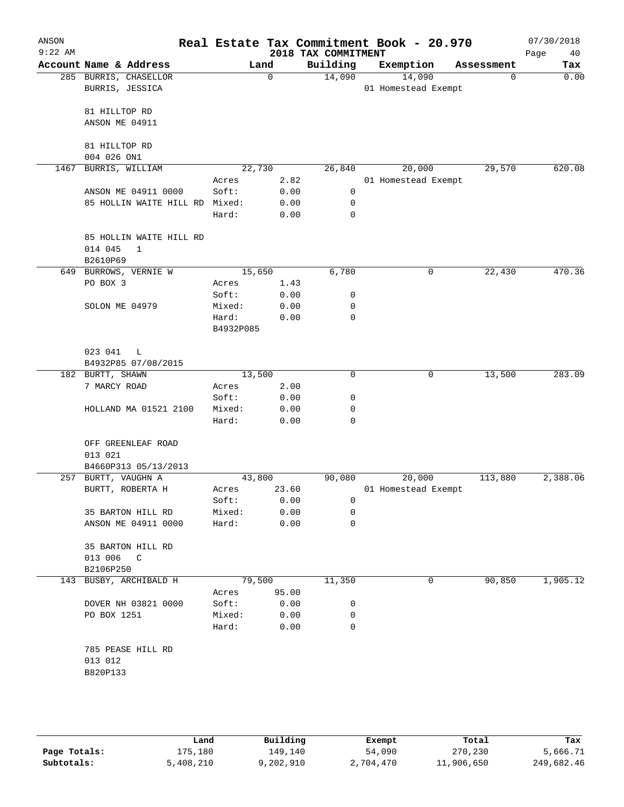| ANSON<br>$9:22$ AM |                                                                |                |              | 2018 TAX COMMITMENT | Real Estate Tax Commitment Book - 20.970 |            |          | 07/30/2018<br>Page<br>40 |
|--------------------|----------------------------------------------------------------|----------------|--------------|---------------------|------------------------------------------|------------|----------|--------------------------|
|                    | Account Name & Address                                         |                | Land         | Building            | Exemption                                | Assessment |          | Tax                      |
|                    | 285 BURRIS, CHASELLOR<br>BURRIS, JESSICA                       |                | $\Omega$     | 14,090              | 14,090<br>01 Homestead Exempt            |            | $\Omega$ | 0.00                     |
|                    | 81 HILLTOP RD<br>ANSON ME 04911                                |                |              |                     |                                          |            |          |                          |
|                    | 81 HILLTOP RD                                                  |                |              |                     |                                          |            |          |                          |
|                    | 004 026 ON1                                                    |                |              |                     |                                          |            |          |                          |
|                    | 1467 BURRIS, WILLIAM                                           | 22,730         |              | 26,840              | 20,000                                   |            | 29,570   | 620.08                   |
|                    | ANSON ME 04911 0000                                            | Acres<br>Soft: | 2.82<br>0.00 | 0                   | 01 Homestead Exempt                      |            |          |                          |
|                    | 85 HOLLIN WAITE HILL RD Mixed:                                 |                | 0.00         | 0                   |                                          |            |          |                          |
|                    |                                                                | Hard:          | 0.00         | 0                   |                                          |            |          |                          |
|                    | 85 HOLLIN WAITE HILL RD<br>014 045<br>$\mathbf{1}$<br>B2610P69 |                |              |                     |                                          |            |          |                          |
|                    | 649 BURROWS, VERNIE W                                          | 15,650         |              | 6,780               | 0                                        |            | 22,430   | 470.36                   |
|                    | PO BOX 3                                                       | Acres          | 1.43         |                     |                                          |            |          |                          |
|                    |                                                                | Soft:          | 0.00         | 0                   |                                          |            |          |                          |
|                    | SOLON ME 04979                                                 | Mixed:         | 0.00         | 0                   |                                          |            |          |                          |
|                    |                                                                | Hard:          | 0.00         | $\mathbf 0$         |                                          |            |          |                          |
|                    |                                                                | B4932P085      |              |                     |                                          |            |          |                          |
|                    | 023 041<br>L<br>B4932P85 07/08/2015                            |                |              |                     |                                          |            |          |                          |
|                    | 182 BURTT, SHAWN                                               | 13,500         |              | 0                   | 0                                        |            | 13,500   | 283.09                   |
|                    | 7 MARCY ROAD                                                   | Acres          | 2.00         |                     |                                          |            |          |                          |
|                    |                                                                | Soft:          | 0.00         | 0                   |                                          |            |          |                          |
|                    | HOLLAND MA 01521 2100                                          | Mixed:         | 0.00         | 0                   |                                          |            |          |                          |
|                    |                                                                | Hard:          | 0.00         | 0                   |                                          |            |          |                          |
|                    | OFF GREENLEAF ROAD<br>013 021                                  |                |              |                     |                                          |            |          |                          |
|                    | B4660P313 05/13/2013                                           |                |              |                     |                                          |            |          |                          |
|                    | 257 BURTT, VAUGHN A                                            | 43,800         |              | 90,080              | 20,000                                   |            | 113,880  | 2,388.06                 |
|                    | BURTT, ROBERTA H                                               | Acres          | 23.60        |                     | 01 Homestead Exempt                      |            |          |                          |
|                    |                                                                | Soft:          | 0.00         | 0                   |                                          |            |          |                          |
|                    | 35 BARTON HILL RD                                              | Mixed:         | 0.00         | 0                   |                                          |            |          |                          |
|                    | ANSON ME 04911 0000                                            | Hard:          | 0.00         | 0                   |                                          |            |          |                          |
|                    | 35 BARTON HILL RD<br>013 006 C                                 |                |              |                     |                                          |            |          |                          |
|                    | B2106P250                                                      |                |              |                     |                                          |            |          |                          |
|                    | 143 BUSBY, ARCHIBALD H                                         |                | 79,500       | 11,350              | 0                                        |            | 90,850   | 1,905.12                 |
|                    |                                                                | Acres          | 95.00        |                     |                                          |            |          |                          |
|                    | DOVER NH 03821 0000                                            | Soft:          | 0.00         | 0                   |                                          |            |          |                          |
|                    | PO BOX 1251                                                    | Mixed:         | 0.00         | 0                   |                                          |            |          |                          |
|                    |                                                                | Hard:          | 0.00         | $\mathbf 0$         |                                          |            |          |                          |
|                    | 785 PEASE HILL RD<br>013 012<br>B820P133                       |                |              |                     |                                          |            |          |                          |
|                    |                                                                |                |              |                     |                                          |            |          |                          |

|              | Land      | Building  | Exempt    | Total      | Tax        |
|--------------|-----------|-----------|-----------|------------|------------|
| Page Totals: | 175,180   | 149,140   | 54,090    | 270,230    | 5,666.71   |
| Subtotals:   | 5,408,210 | 9,202,910 | 2,704,470 | 11,906,650 | 249,682.46 |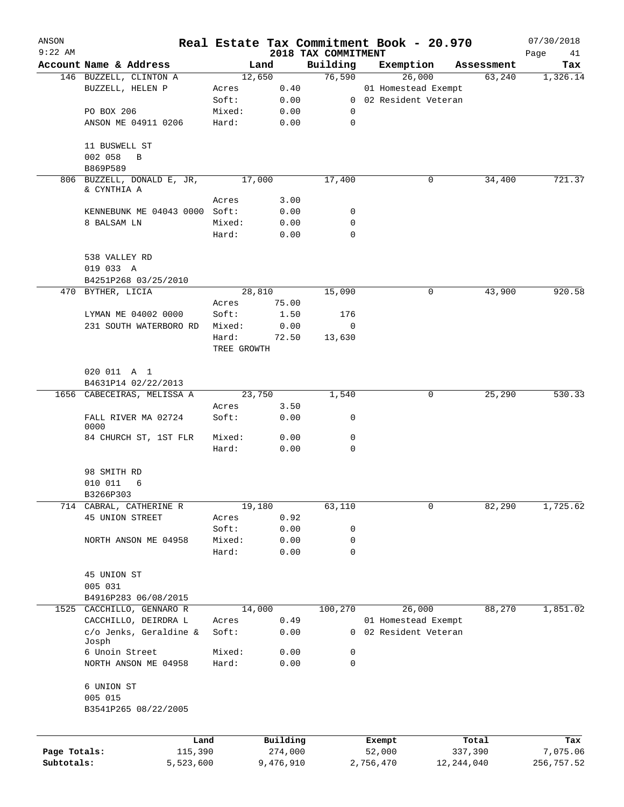| ANSON<br>$9:22$ AM |                               |             |                     |                                 | Real Estate Tax Commitment Book - 20.970 |                  | 07/30/2018        |
|--------------------|-------------------------------|-------------|---------------------|---------------------------------|------------------------------------------|------------------|-------------------|
|                    | Account Name & Address        |             | Land                | 2018 TAX COMMITMENT<br>Building | Exemption                                | Assessment       | Page<br>41<br>Tax |
|                    | 146 BUZZELL, CLINTON A        |             | 12,650              | 76,590                          | 26,000                                   | 63,240           | 1,326.14          |
|                    | BUZZELL, HELEN P              | Acres       | 0.40                |                                 | 01 Homestead Exempt                      |                  |                   |
|                    |                               | Soft:       | 0.00                |                                 | 0 02 Resident Veteran                    |                  |                   |
|                    | PO BOX 206                    | Mixed:      | 0.00                | 0                               |                                          |                  |                   |
|                    | ANSON ME 04911 0206           | Hard:       | 0.00                | 0                               |                                          |                  |                   |
|                    | 11 BUSWELL ST                 |             |                     |                                 |                                          |                  |                   |
|                    | 002 058<br>B                  |             |                     |                                 |                                          |                  |                   |
|                    | B869P589                      |             |                     |                                 |                                          |                  |                   |
|                    | 806 BUZZELL, DONALD E, JR,    |             | 17,000              | 17,400                          | 0                                        | 34,400           | 721.37            |
|                    | & CYNTHIA A                   |             |                     |                                 |                                          |                  |                   |
|                    |                               | Acres       | 3.00                |                                 |                                          |                  |                   |
|                    | KENNEBUNK ME 04043 0000 Soft: |             | 0.00                | 0                               |                                          |                  |                   |
|                    | 8 BALSAM LN                   | Mixed:      | 0.00                | 0                               |                                          |                  |                   |
|                    |                               | Hard:       | 0.00                | 0                               |                                          |                  |                   |
|                    | 538 VALLEY RD                 |             |                     |                                 |                                          |                  |                   |
|                    | 019 033 A                     |             |                     |                                 |                                          |                  |                   |
|                    | B4251P268 03/25/2010          |             |                     |                                 |                                          |                  |                   |
| 470                | BYTHER, LICIA                 |             | 28,810              | 15,090                          | 0                                        | 43,900           | 920.58            |
|                    |                               | Acres       | 75.00               |                                 |                                          |                  |                   |
|                    | LYMAN ME 04002 0000           | Soft:       | 1.50                | 176                             |                                          |                  |                   |
|                    | 231 SOUTH WATERBORO RD        | Mixed:      | 0.00                | 0                               |                                          |                  |                   |
|                    |                               | Hard:       | 72.50               | 13,630                          |                                          |                  |                   |
|                    |                               | TREE GROWTH |                     |                                 |                                          |                  |                   |
|                    | 020 011 A 1                   |             |                     |                                 |                                          |                  |                   |
|                    | B4631P14 02/22/2013           |             |                     |                                 |                                          |                  |                   |
|                    | 1656 CABECEIRAS, MELISSA A    |             | 23,750              | 1,540                           | 0                                        | 25,290           | 530.33            |
|                    |                               | Acres       | 3.50                |                                 |                                          |                  |                   |
|                    | FALL RIVER MA 02724<br>0000   | Soft:       | 0.00                | 0                               |                                          |                  |                   |
|                    | 84 CHURCH ST, 1ST FLR         | Mixed:      | 0.00                | 0                               |                                          |                  |                   |
|                    |                               | Hard:       | 0.00                | 0                               |                                          |                  |                   |
|                    | 98 SMITH RD                   |             |                     |                                 |                                          |                  |                   |
|                    | 010 011<br>6                  |             |                     |                                 |                                          |                  |                   |
|                    | B3266P303                     |             |                     |                                 |                                          |                  |                   |
| 714                | CABRAL, CATHERINE R           |             | 19,180              | 63,110                          | 0                                        | 82,290           | 1,725.62          |
|                    | 45 UNION STREET               | Acres       | 0.92                |                                 |                                          |                  |                   |
|                    |                               | Soft:       | 0.00                | 0                               |                                          |                  |                   |
|                    | NORTH ANSON ME 04958          | Mixed:      | 0.00                | 0                               |                                          |                  |                   |
|                    |                               | Hard:       | 0.00                | 0                               |                                          |                  |                   |
|                    | 45 UNION ST                   |             |                     |                                 |                                          |                  |                   |
|                    | 005 031                       |             |                     |                                 |                                          |                  |                   |
|                    | B4916P283 06/08/2015          |             |                     |                                 |                                          |                  |                   |
| 1525               | CACCHILLO, GENNARO R          |             | 14,000              | 100, 270                        | 26,000                                   | 88,270           | 1,851.02          |
|                    | CACCHILLO, DEIRDRA L          | Acres       | 0.49                |                                 | 01 Homestead Exempt                      |                  |                   |
|                    | c/o Jenks, Geraldine &        | Soft:       | 0.00                | 0                               | 02 Resident Veteran                      |                  |                   |
|                    | Josph                         |             |                     |                                 |                                          |                  |                   |
|                    | 6 Unoin Street                | Mixed:      | 0.00                | 0                               |                                          |                  |                   |
|                    | NORTH ANSON ME 04958          | Hard:       | 0.00                | 0                               |                                          |                  |                   |
|                    | 6 UNION ST                    |             |                     |                                 |                                          |                  |                   |
|                    | 005 015                       |             |                     |                                 |                                          |                  |                   |
|                    | B3541P265 08/22/2005          |             |                     |                                 |                                          |                  |                   |
|                    |                               |             |                     |                                 |                                          |                  |                   |
| Page Totals:       | Land<br>115,390               |             | Building<br>274,000 |                                 | Exempt<br>52,000                         | Total<br>337,390 | Tax<br>7,075.06   |
| Subtotals:         | 5,523,600                     |             | 9,476,910           |                                 | 2,756,470                                | 12, 244, 040     | 256,757.52        |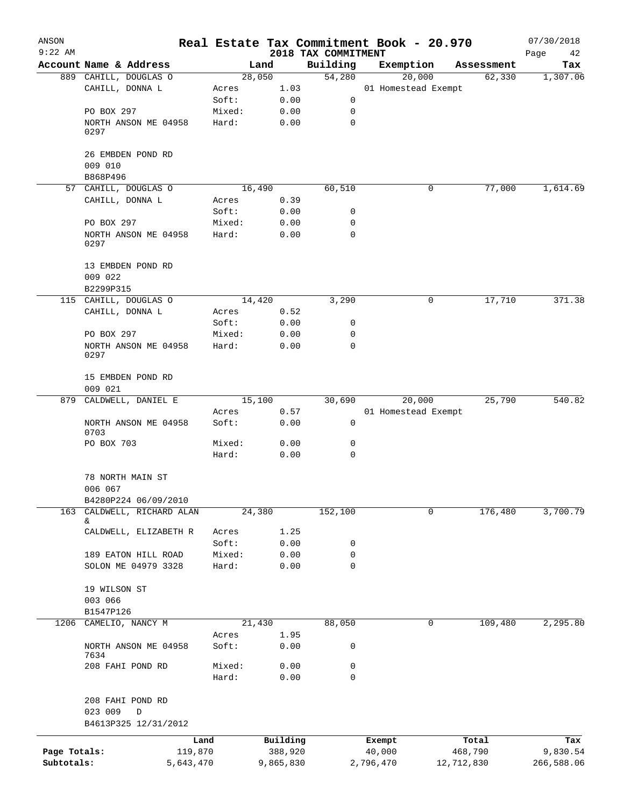| ANSON<br>$9:22$ AM         |                                                     |                 |                      |                                 | Real Estate Tax Commitment Book - 20.970 |                       | 07/30/2018             |
|----------------------------|-----------------------------------------------------|-----------------|----------------------|---------------------------------|------------------------------------------|-----------------------|------------------------|
|                            | Account Name & Address                              |                 | Land                 | 2018 TAX COMMITMENT<br>Building | Exemption                                | Assessment            | Page<br>42<br>Tax      |
|                            | 889 CAHILL, DOUGLAS O                               |                 | 28,050               | 54,280                          | 20,000                                   | 62,330                | 1,307.06               |
|                            | CAHILL, DONNA L                                     | Acres           | 1.03                 |                                 | 01 Homestead Exempt                      |                       |                        |
|                            |                                                     | Soft:           | 0.00                 | 0                               |                                          |                       |                        |
|                            | PO BOX 297                                          | Mixed:          | 0.00                 | 0                               |                                          |                       |                        |
|                            | NORTH ANSON ME 04958<br>0297                        | Hard:           | 0.00                 | 0                               |                                          |                       |                        |
|                            | 26 EMBDEN POND RD<br>009 010                        |                 |                      |                                 |                                          |                       |                        |
|                            | B868P496                                            |                 |                      |                                 |                                          |                       |                        |
|                            | 57 CAHILL, DOUGLAS O                                |                 | 16,490               | 60,510                          | 0                                        | 77,000                | 1,614.69               |
|                            | CAHILL, DONNA L                                     | Acres           | 0.39                 |                                 |                                          |                       |                        |
|                            |                                                     | Soft:           | 0.00                 | 0                               |                                          |                       |                        |
|                            | PO BOX 297                                          | Mixed:          | 0.00                 | 0                               |                                          |                       |                        |
|                            | NORTH ANSON ME 04958<br>0297                        | Hard:           | 0.00                 | $\mathbf 0$                     |                                          |                       |                        |
|                            | 13 EMBDEN POND RD                                   |                 |                      |                                 |                                          |                       |                        |
|                            | 009 022                                             |                 |                      |                                 |                                          |                       |                        |
|                            | B2299P315<br>115 CAHILL, DOUGLAS O                  |                 | 14,420               |                                 | 0                                        |                       | 371.38                 |
|                            | CAHILL, DONNA L                                     | Acres           | 0.52                 | 3,290                           |                                          | 17,710                |                        |
|                            |                                                     | Soft:           | 0.00                 | 0                               |                                          |                       |                        |
|                            | PO BOX 297                                          | Mixed:          | 0.00                 | 0                               |                                          |                       |                        |
|                            | NORTH ANSON ME 04958<br>0297                        | Hard:           | 0.00                 | 0                               |                                          |                       |                        |
|                            | 15 EMBDEN POND RD<br>009 021                        |                 |                      |                                 |                                          |                       |                        |
| 879                        | CALDWELL, DANIEL E                                  |                 | 15,100               | 30,690                          | 20,000                                   | 25,790                | 540.82                 |
|                            |                                                     | Acres           | 0.57                 |                                 | 01 Homestead Exempt                      |                       |                        |
|                            | NORTH ANSON ME 04958<br>0703                        | Soft:           | 0.00                 | 0                               |                                          |                       |                        |
|                            | PO BOX 703                                          | Mixed:<br>Hard: | 0.00<br>0.00         | 0<br>$\mathbf 0$                |                                          |                       |                        |
|                            | 78 NORTH MAIN ST<br>006 067<br>B4280P224 06/09/2010 |                 |                      |                                 |                                          |                       |                        |
| 163                        | CALDWELL, RICHARD ALAN                              |                 | 24,380               | 152,100                         | 0                                        | 176,480               | 3,700.79               |
|                            | &.                                                  |                 |                      |                                 |                                          |                       |                        |
|                            | CALDWELL, ELIZABETH R                               | Acres           | 1.25                 |                                 |                                          |                       |                        |
|                            |                                                     | Soft:           | 0.00                 | 0                               |                                          |                       |                        |
|                            | 189 EATON HILL ROAD                                 | Mixed:          | 0.00                 | 0                               |                                          |                       |                        |
|                            | SOLON ME 04979 3328                                 | Hard:           | 0.00                 | 0                               |                                          |                       |                        |
|                            | 19 WILSON ST<br>003 066                             |                 |                      |                                 |                                          |                       |                        |
|                            | B1547P126                                           |                 |                      |                                 |                                          |                       |                        |
| 1206                       | CAMELIO, NANCY M                                    |                 | 21,430               | 88,050                          | 0                                        | 109,480               | 2,295.80               |
|                            |                                                     | Acres           | 1.95                 |                                 |                                          |                       |                        |
|                            | NORTH ANSON ME 04958<br>7634                        | Soft:           | 0.00                 | 0                               |                                          |                       |                        |
|                            | 208 FAHI POND RD                                    | Mixed:<br>Hard: | 0.00<br>0.00         | 0<br>0                          |                                          |                       |                        |
|                            | 208 FAHI POND RD                                    |                 |                      |                                 |                                          |                       |                        |
|                            | 023 009<br>D                                        |                 |                      |                                 |                                          |                       |                        |
|                            | B4613P325 12/31/2012                                |                 |                      |                                 |                                          |                       |                        |
|                            |                                                     | Land            | Building             |                                 | Exempt                                   | Total                 | Tax                    |
| Page Totals:<br>Subtotals: | 119,870<br>5,643,470                                |                 | 388,920<br>9,865,830 |                                 | 40,000<br>2,796,470                      | 468,790<br>12,712,830 | 9,830.54<br>266,588.06 |
|                            |                                                     |                 |                      |                                 |                                          |                       |                        |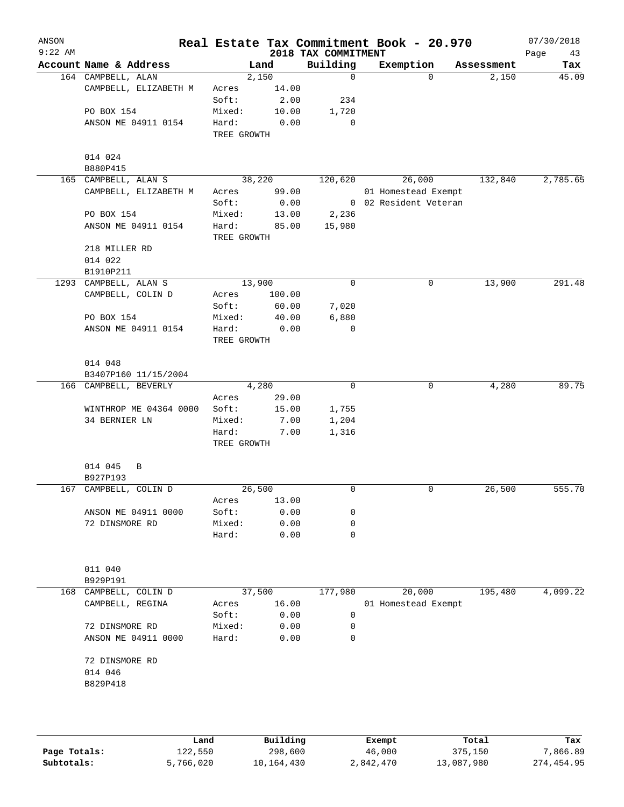| ANSON<br>$9:22$ AM |                        |             |                         |                                 | Real Estate Tax Commitment Book - 20.970 |            | 07/30/2018        |
|--------------------|------------------------|-------------|-------------------------|---------------------------------|------------------------------------------|------------|-------------------|
|                    | Account Name & Address |             | Land                    | 2018 TAX COMMITMENT<br>Building | Exemption                                | Assessment | Page<br>43<br>Tax |
|                    | 164 CAMPBELL, ALAN     |             | 2,150                   | $\mathbf 0$                     | $\Omega$                                 | 2,150      | 45.09             |
|                    | CAMPBELL, ELIZABETH M  | Acres       | 14.00                   |                                 |                                          |            |                   |
|                    |                        | Soft:       | 2.00                    | 234                             |                                          |            |                   |
|                    | PO BOX 154             | Mixed:      | 10.00                   | 1,720                           |                                          |            |                   |
|                    | ANSON ME 04911 0154    | Hard:       | 0.00                    | $\mathbf 0$                     |                                          |            |                   |
|                    |                        | TREE GROWTH |                         |                                 |                                          |            |                   |
|                    | 014 024                |             |                         |                                 |                                          |            |                   |
|                    | B880P415               |             |                         |                                 |                                          |            |                   |
|                    | 165 CAMPBELL, ALAN S   |             | 38,220                  | 120,620                         | 26,000                                   | 132,840    | 2,785.65          |
|                    | CAMPBELL, ELIZABETH M  | Acres       | 99.00                   |                                 | 01 Homestead Exempt                      |            |                   |
|                    |                        | Soft:       | 0.00                    |                                 | 0 02 Resident Veteran                    |            |                   |
|                    | PO BOX 154             | Mixed:      | 13.00                   | 2,236                           |                                          |            |                   |
|                    | ANSON ME 04911 0154    | Hard:       | 85.00                   | 15,980                          |                                          |            |                   |
|                    |                        | TREE GROWTH |                         |                                 |                                          |            |                   |
|                    | 218 MILLER RD          |             |                         |                                 |                                          |            |                   |
|                    | 014 022                |             |                         |                                 |                                          |            |                   |
|                    | B1910P211              |             |                         |                                 |                                          |            |                   |
|                    | 1293 CAMPBELL, ALAN S  |             | 13,900                  | 0                               | 0                                        | 13,900     | 291.48            |
|                    | CAMPBELL, COLIN D      | Acres       | 100.00                  |                                 |                                          |            |                   |
|                    |                        | Soft:       | 60.00                   | 7,020                           |                                          |            |                   |
|                    | PO BOX 154             | Mixed:      | 40.00                   | 6,880                           |                                          |            |                   |
|                    |                        |             |                         | 0                               |                                          |            |                   |
|                    | ANSON ME 04911 0154    | Hard:       | 0.00                    |                                 |                                          |            |                   |
|                    |                        | TREE GROWTH |                         |                                 |                                          |            |                   |
|                    | 014 048                |             |                         |                                 |                                          |            |                   |
|                    | B3407P160 11/15/2004   |             |                         |                                 |                                          |            |                   |
|                    | 166 CAMPBELL, BEVERLY  |             | 4,280                   | 0                               | 0                                        | 4,280      | 89.75             |
|                    |                        | Acres       | 29.00                   |                                 |                                          |            |                   |
|                    | WINTHROP ME 04364 0000 | Soft:       | 15.00                   | 1,755                           |                                          |            |                   |
|                    | 34 BERNIER LN          | Mixed:      | 7.00                    | 1,204                           |                                          |            |                   |
|                    |                        | Hard:       | 7.00                    | 1,316                           |                                          |            |                   |
|                    |                        | TREE GROWTH |                         |                                 |                                          |            |                   |
|                    | 014 045<br>В           |             |                         |                                 |                                          |            |                   |
|                    | B927P193               |             |                         |                                 |                                          |            |                   |
|                    | 167 CAMPBELL, COLIN D  |             | 26,500                  | 0                               | 0                                        | 26,500     | 555.70            |
|                    |                        | Acres       | 13.00                   |                                 |                                          |            |                   |
|                    | ANSON ME 04911 0000    | Soft:       | 0.00                    | 0                               |                                          |            |                   |
|                    | 72 DINSMORE RD         | Mixed:      | 0.00                    | 0                               |                                          |            |                   |
|                    |                        | Hard:       | 0.00                    | 0                               |                                          |            |                   |
|                    |                        |             |                         |                                 |                                          |            |                   |
|                    | 011 040                |             |                         |                                 |                                          |            |                   |
|                    | B929P191               |             |                         |                                 |                                          |            |                   |
| 168                | CAMPBELL, COLIN D      |             | 37,500                  | 177,980                         | 20,000                                   | 195,480    | 4,099.22          |
|                    | CAMPBELL, REGINA       | Acres       | 16.00                   |                                 | 01 Homestead Exempt                      |            |                   |
|                    |                        | Soft:       | 0.00                    | 0                               |                                          |            |                   |
|                    | 72 DINSMORE RD         | Mixed:      | 0.00                    | 0                               |                                          |            |                   |
|                    |                        |             |                         |                                 |                                          |            |                   |
|                    | ANSON ME 04911 0000    | Hard:       | 0.00                    | 0                               |                                          |            |                   |
|                    | 72 DINSMORE RD         |             |                         |                                 |                                          |            |                   |
|                    | 014 046                |             |                         |                                 |                                          |            |                   |
|                    | B829P418               |             |                         |                                 |                                          |            |                   |
|                    |                        |             |                         |                                 |                                          |            |                   |
|                    |                        |             |                         |                                 |                                          |            |                   |
|                    |                        |             | $D_{11}$ + 1.4 + $\sim$ |                                 | Premot                                   | $T - 1$    | m.                |

|              | Land      | Building   | Exempt    | Total      | Tax        |
|--------------|-----------|------------|-----------|------------|------------|
| Page Totals: | 122,550   | 298,600    | 46,000    | 375,150    | 7,866.89   |
| Subtotals:   | 5,766,020 | 10,164,430 | 2,842,470 | 13,087,980 | 274,454.95 |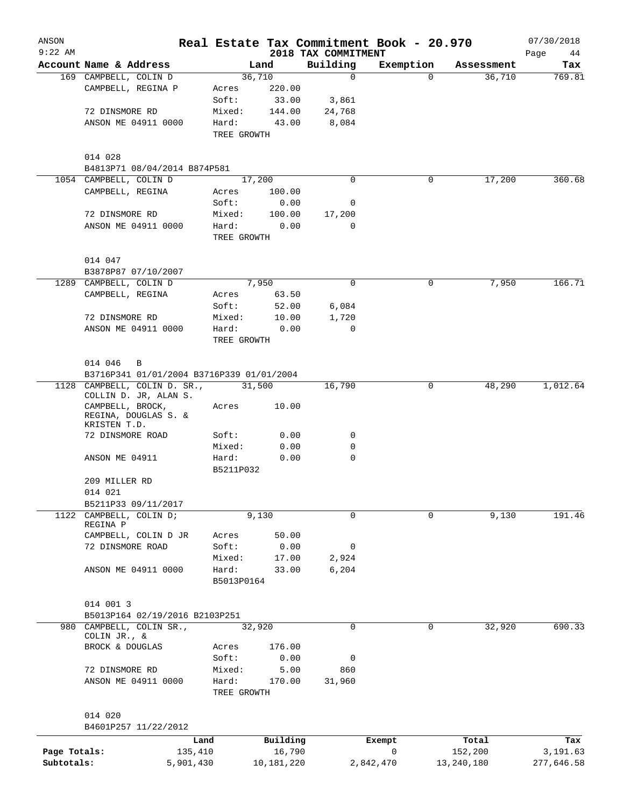| ANSON<br>$9:22$ AM |                                           |             |            | Real Estate Tax Commitment Book - 20.970<br>2018 TAX COMMITMENT |           |            |            | 07/30/2018<br>Page<br>44 |
|--------------------|-------------------------------------------|-------------|------------|-----------------------------------------------------------------|-----------|------------|------------|--------------------------|
|                    | Account Name & Address                    |             | Land       | Building                                                        | Exemption |            | Assessment | Tax                      |
|                    | 169 CAMPBELL, COLIN D                     |             | 36,710     | $\mathbf 0$                                                     |           | 0          | 36,710     | 769.81                   |
|                    | CAMPBELL, REGINA P                        | Acres       | 220.00     |                                                                 |           |            |            |                          |
|                    |                                           | Soft:       | 33.00      | 3,861                                                           |           |            |            |                          |
|                    | 72 DINSMORE RD                            | Mixed:      | 144.00     | 24,768                                                          |           |            |            |                          |
|                    | ANSON ME 04911 0000                       | Hard:       | 43.00      | 8,084                                                           |           |            |            |                          |
|                    |                                           | TREE GROWTH |            |                                                                 |           |            |            |                          |
|                    | 014 028                                   |             |            |                                                                 |           |            |            |                          |
|                    | B4813P71 08/04/2014 B874P581              |             |            |                                                                 |           |            |            |                          |
|                    | 1054 CAMPBELL, COLIN D                    |             | 17,200     | 0                                                               | 0         |            | 17,200     | 360.68                   |
|                    | CAMPBELL, REGINA                          | Acres       | 100.00     |                                                                 |           |            |            |                          |
|                    |                                           | Soft:       | 0.00       | 0                                                               |           |            |            |                          |
|                    | 72 DINSMORE RD                            | Mixed:      | 100.00     | 17,200                                                          |           |            |            |                          |
|                    | ANSON ME 04911 0000                       | Hard:       | 0.00       | 0                                                               |           |            |            |                          |
|                    |                                           | TREE GROWTH |            |                                                                 |           |            |            |                          |
|                    | 014 047                                   |             |            |                                                                 |           |            |            |                          |
|                    | B3878P87 07/10/2007                       |             |            |                                                                 |           |            |            |                          |
|                    | 1289 CAMPBELL, COLIN D                    |             | 7,950      | $\mathbf 0$                                                     |           | 0          | 7,950      | 166.71                   |
|                    | CAMPBELL, REGINA                          | Acres       | 63.50      |                                                                 |           |            |            |                          |
|                    |                                           | Soft:       | 52.00      | 6,084                                                           |           |            |            |                          |
|                    | 72 DINSMORE RD                            | Mixed:      | 10.00      | 1,720                                                           |           |            |            |                          |
|                    | ANSON ME 04911 0000                       | Hard:       | 0.00       | 0                                                               |           |            |            |                          |
|                    |                                           | TREE GROWTH |            |                                                                 |           |            |            |                          |
|                    | 014 046<br>B                              |             |            |                                                                 |           |            |            |                          |
|                    | B3716P341 01/01/2004 B3716P339 01/01/2004 |             |            |                                                                 |           |            |            |                          |
|                    | 1128 CAMPBELL, COLIN D. SR.,              |             | 31,500     | 16,790                                                          |           | 0          | 48,290     | 1,012.64                 |
|                    | COLLIN D. JR, ALAN S.                     |             |            |                                                                 |           |            |            |                          |
|                    | CAMPBELL, BROCK,<br>REGINA, DOUGLAS S. &  | Acres       | 10.00      |                                                                 |           |            |            |                          |
|                    | KRISTEN T.D.<br>72 DINSMORE ROAD          | Soft:       | 0.00       | 0                                                               |           |            |            |                          |
|                    |                                           | Mixed:      | 0.00       | 0                                                               |           |            |            |                          |
|                    | ANSON ME 04911                            | Hard:       | 0.00       | 0                                                               |           |            |            |                          |
|                    |                                           | B5211P032   |            |                                                                 |           |            |            |                          |
|                    | 209 MILLER RD                             |             |            |                                                                 |           |            |            |                          |
|                    | 014 021                                   |             |            |                                                                 |           |            |            |                          |
|                    | B5211P33 09/11/2017                       |             |            |                                                                 |           |            |            |                          |
|                    | 1122 CAMPBELL, COLIN D;                   |             | 9,130      | $\Omega$                                                        |           | 0          | 9,130      | 191.46                   |
|                    | REGINA P<br>CAMPBELL, COLIN D JR          | Acres       | 50.00      |                                                                 |           |            |            |                          |
|                    | 72 DINSMORE ROAD                          | Soft:       | 0.00       | 0                                                               |           |            |            |                          |
|                    |                                           | Mixed:      | 17.00      | 2,924                                                           |           |            |            |                          |
|                    | ANSON ME 04911 0000                       | Hard:       | 33.00      | 6,204                                                           |           |            |            |                          |
|                    |                                           | B5013P0164  |            |                                                                 |           |            |            |                          |
|                    |                                           |             |            |                                                                 |           |            |            |                          |
|                    | 014 001 3                                 |             |            |                                                                 |           |            |            |                          |
|                    | B5013P164 02/19/2016 B2103P251            |             |            | 0                                                               |           | 0          |            | 690.33                   |
|                    | 980 CAMPBELL, COLIN SR.,<br>COLIN JR., &  |             | 32,920     |                                                                 |           |            | 32,920     |                          |
|                    | BROCK & DOUGLAS                           | Acres       | 176.00     |                                                                 |           |            |            |                          |
|                    |                                           | Soft:       | 0.00       | 0                                                               |           |            |            |                          |
|                    | 72 DINSMORE RD                            | Mixed:      | 5.00       | 860                                                             |           |            |            |                          |
|                    | ANSON ME 04911 0000                       | Hard:       | 170.00     | 31,960                                                          |           |            |            |                          |
|                    |                                           | TREE GROWTH |            |                                                                 |           |            |            |                          |
|                    | 014 020                                   |             |            |                                                                 |           |            |            |                          |
|                    | B4601P257 11/22/2012                      |             |            |                                                                 |           |            |            |                          |
|                    | Land                                      |             | Building   |                                                                 | Exempt    |            | Total      | Tax                      |
| Page Totals:       | 135,410                                   |             | 16,790     |                                                                 | 0         | 152,200    |            | 3,191.63                 |
| Subtotals:         | 5,901,430                                 |             | 10,181,220 |                                                                 | 2,842,470 | 13,240,180 |            | 277,646.58               |
|                    |                                           |             |            |                                                                 |           |            |            |                          |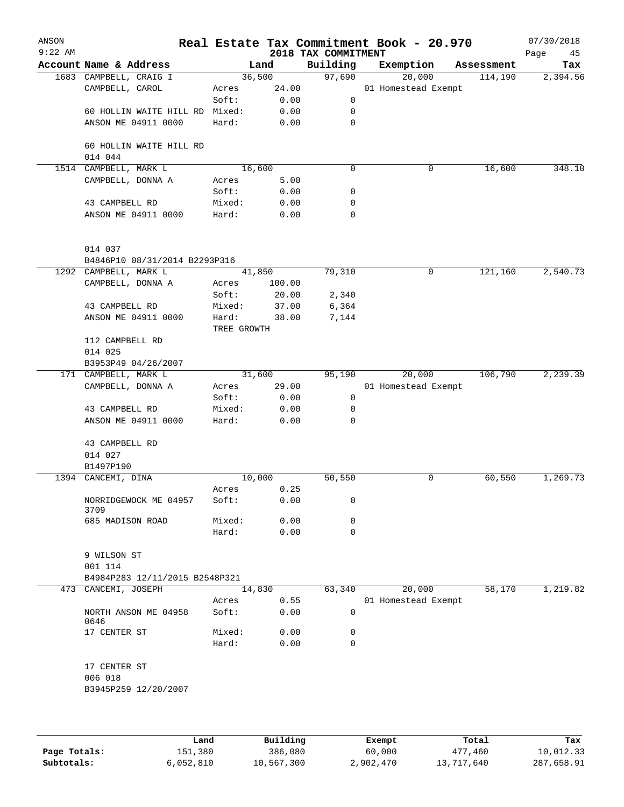| ANSON<br>$9:22$ AM |                                           |                |               | 2018 TAX COMMITMENT | Real Estate Tax Commitment Book - 20.970 |            | 07/30/2018<br>Page<br>45 |
|--------------------|-------------------------------------------|----------------|---------------|---------------------|------------------------------------------|------------|--------------------------|
|                    | Account Name & Address                    |                | Land          | Building            | Exemption                                | Assessment | Tax                      |
|                    | 1683 CAMPBELL, CRAIG I                    | 36,500         |               | 97,690              | 20,000                                   | 114,190    | 2,394.56                 |
|                    | CAMPBELL, CAROL                           | Acres          | 24.00         |                     | 01 Homestead Exempt                      |            |                          |
|                    |                                           | Soft:          | 0.00          | 0                   |                                          |            |                          |
|                    | 60 HOLLIN WAITE HILL RD                   | Mixed:         | 0.00          | 0                   |                                          |            |                          |
|                    | ANSON ME 04911 0000                       | Hard:          | 0.00          | 0                   |                                          |            |                          |
|                    | 60 HOLLIN WAITE HILL RD<br>014 044        |                |               |                     |                                          |            |                          |
|                    | 1514 CAMPBELL, MARK L                     | 16,600         |               | 0                   | 0                                        | 16,600     | 348.10                   |
|                    | CAMPBELL, DONNA A                         | Acres          | 5.00          |                     |                                          |            |                          |
|                    |                                           | Soft:          | 0.00          | 0                   |                                          |            |                          |
|                    | 43 CAMPBELL RD                            | Mixed:         | 0.00          | 0                   |                                          |            |                          |
|                    | ANSON ME 04911 0000                       | Hard:          | 0.00          | 0                   |                                          |            |                          |
|                    | 014 037                                   |                |               |                     |                                          |            |                          |
|                    | B4846P10 08/31/2014 B2293P316             |                |               |                     |                                          |            |                          |
|                    | 1292 CAMPBELL, MARK L                     | 41,850         |               | 79,310              | 0                                        | 121,160    | 2,540.73                 |
|                    | CAMPBELL, DONNA A                         | Acres          | 100.00        |                     |                                          |            |                          |
|                    |                                           | Soft:          | 20.00         | 2,340               |                                          |            |                          |
|                    | 43 CAMPBELL RD                            | Mixed:         | 37.00         | 6,364               |                                          |            |                          |
|                    | ANSON ME 04911 0000                       | Hard:          | 38.00         | 7,144               |                                          |            |                          |
|                    |                                           | TREE GROWTH    |               |                     |                                          |            |                          |
|                    | 112 CAMPBELL RD                           |                |               |                     |                                          |            |                          |
|                    | 014 025                                   |                |               |                     |                                          |            |                          |
|                    | B3953P49 04/26/2007                       |                |               |                     |                                          |            | 2, 239.39                |
|                    | 171 CAMPBELL, MARK L                      | 31,600         |               | 95,190              | 20,000                                   | 106,790    |                          |
|                    | CAMPBELL, DONNA A                         | Acres<br>Soft: | 29.00<br>0.00 | 0                   | 01 Homestead Exempt                      |            |                          |
|                    | 43 CAMPBELL RD                            | Mixed:         | 0.00          | 0                   |                                          |            |                          |
|                    | ANSON ME 04911 0000                       | Hard:          | 0.00          | $\Omega$            |                                          |            |                          |
|                    | 43 CAMPBELL RD                            |                |               |                     |                                          |            |                          |
|                    | 014 027                                   |                |               |                     |                                          |            |                          |
|                    | B1497P190                                 |                |               |                     |                                          |            |                          |
|                    | 1394 CANCEMI, DINA                        | 10,000         |               | 50,550              | 0                                        | 60,550     | 1,269.73                 |
|                    |                                           | Acres          | 0.25          |                     |                                          |            |                          |
|                    | NORRIDGEWOCK ME 04957<br>3709             | Soft:          | 0.00          | 0                   |                                          |            |                          |
|                    | 685 MADISON ROAD                          | Mixed:         | 0.00          | 0                   |                                          |            |                          |
|                    |                                           | Hard:          | 0.00          | 0                   |                                          |            |                          |
|                    | 9 WILSON ST                               |                |               |                     |                                          |            |                          |
|                    | 001 114<br>B4984P283 12/11/2015 B2548P321 |                |               |                     |                                          |            |                          |
|                    | 473 CANCEMI, JOSEPH                       | 14,830         |               | 63,340              | 20,000                                   | 58,170     | 1,219.82                 |
|                    |                                           | Acres          | 0.55          |                     | 01 Homestead Exempt                      |            |                          |
|                    | NORTH ANSON ME 04958<br>0646              | Soft:          | 0.00          | 0                   |                                          |            |                          |
|                    | 17 CENTER ST                              | Mixed:         | 0.00          | 0                   |                                          |            |                          |
|                    |                                           | Hard:          | 0.00          | 0                   |                                          |            |                          |
|                    | 17 CENTER ST                              |                |               |                     |                                          |            |                          |
|                    | 006 018                                   |                |               |                     |                                          |            |                          |
|                    | B3945P259 12/20/2007                      |                |               |                     |                                          |            |                          |
|                    |                                           |                |               |                     |                                          |            |                          |
|                    |                                           |                |               |                     |                                          |            |                          |
|                    |                                           |                |               |                     |                                          |            |                          |

|              | Land      | Building   | Exempt    | Total      | Tax        |
|--------------|-----------|------------|-----------|------------|------------|
| Page Totals: | 151,380   | 386,080    | 60,000    | 477,460    | 10,012.33  |
| Subtotals:   | 6,052,810 | 10,567,300 | 2,902,470 | 13,717,640 | 287,658.91 |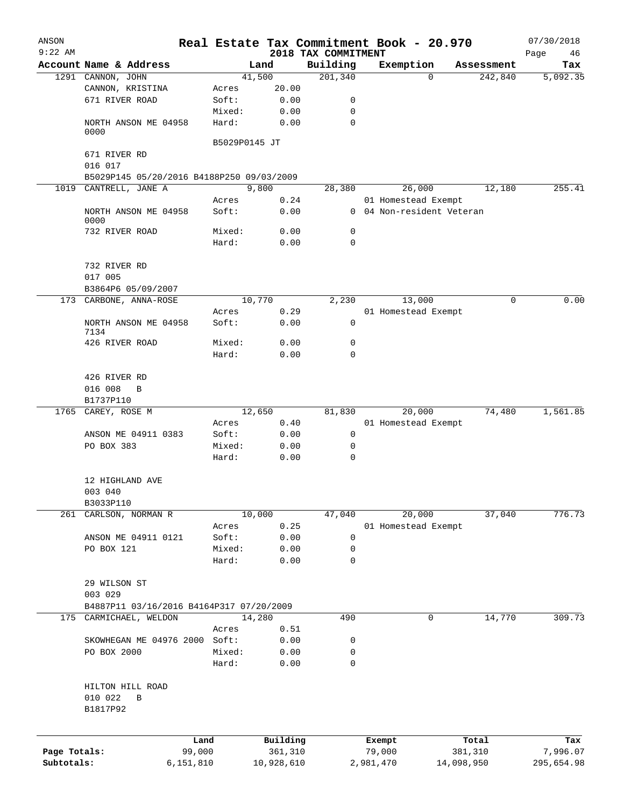| ANSON        |                                           |                 |              |                                 | Real Estate Tax Commitment Book - 20.970 |                       | 07/30/2018      |
|--------------|-------------------------------------------|-----------------|--------------|---------------------------------|------------------------------------------|-----------------------|-----------------|
| $9:22$ AM    | Account Name & Address                    |                 | Land         | 2018 TAX COMMITMENT<br>Building | Exemption                                |                       | Page<br>46      |
|              | 1291 CANNON, JOHN                         |                 | 41,500       | 201,340                         | $\Omega$                                 | Assessment<br>242,840 | Tax<br>5,092.35 |
|              | CANNON, KRISTINA                          | Acres           | 20.00        |                                 |                                          |                       |                 |
|              | 671 RIVER ROAD                            | Soft:           | 0.00         | 0                               |                                          |                       |                 |
|              |                                           | Mixed:          | 0.00         | 0                               |                                          |                       |                 |
|              | NORTH ANSON ME 04958                      | Hard:           | 0.00         | $\mathbf 0$                     |                                          |                       |                 |
|              | 0000                                      |                 |              |                                 |                                          |                       |                 |
|              |                                           | B5029P0145 JT   |              |                                 |                                          |                       |                 |
|              | 671 RIVER RD                              |                 |              |                                 |                                          |                       |                 |
|              | 016 017                                   |                 |              |                                 |                                          |                       |                 |
|              | B5029P145 05/20/2016 B4188P250 09/03/2009 |                 |              |                                 |                                          |                       |                 |
|              | 1019 CANTRELL, JANE A                     |                 | 9,800        | 28,380                          | 26,000                                   | 12,180                | 255.41          |
|              |                                           | Acres           | 0.24         |                                 | 01 Homestead Exempt                      |                       |                 |
|              | NORTH ANSON ME 04958<br>0000              | Soft:           | 0.00         |                                 | 0 04 Non-resident Veteran                |                       |                 |
|              | 732 RIVER ROAD                            | Mixed:          | 0.00         | 0                               |                                          |                       |                 |
|              |                                           | Hard:           | 0.00         | $\mathbf 0$                     |                                          |                       |                 |
|              |                                           |                 |              |                                 |                                          |                       |                 |
|              | 732 RIVER RD                              |                 |              |                                 |                                          |                       |                 |
|              | 017 005                                   |                 |              |                                 |                                          |                       |                 |
|              | B3864P6 05/09/2007                        |                 |              |                                 |                                          |                       |                 |
|              | 173 CARBONE, ANNA-ROSE                    |                 | 10,770       | 2,230                           | 13,000                                   | 0                     | 0.00            |
|              |                                           | Acres           | 0.29         |                                 | 01 Homestead Exempt                      |                       |                 |
|              | NORTH ANSON ME 04958                      | Soft:           | 0.00         | $\mathbf 0$                     |                                          |                       |                 |
|              | 7134                                      |                 |              |                                 |                                          |                       |                 |
|              | 426 RIVER ROAD                            | Mixed:          | 0.00         | 0                               |                                          |                       |                 |
|              |                                           | Hard:           | 0.00         | $\mathbf 0$                     |                                          |                       |                 |
|              |                                           |                 |              |                                 |                                          |                       |                 |
|              | 426 RIVER RD<br>016 008<br>B              |                 |              |                                 |                                          |                       |                 |
|              | B1737P110                                 |                 |              |                                 |                                          |                       |                 |
| 1765         | CAREY, ROSE M                             |                 | 12,650       | 81,830                          | 20,000                                   | 74,480                | 1,561.85        |
|              |                                           | Acres           | 0.40         |                                 | 01 Homestead Exempt                      |                       |                 |
|              | ANSON ME 04911 0383                       | Soft:           | 0.00         | 0                               |                                          |                       |                 |
|              | PO BOX 383                                | Mixed:          | 0.00         | 0                               |                                          |                       |                 |
|              |                                           | Hard:           | 0.00         | 0                               |                                          |                       |                 |
|              |                                           |                 |              |                                 |                                          |                       |                 |
|              | 12 HIGHLAND AVE                           |                 |              |                                 |                                          |                       |                 |
|              | 003 040                                   |                 |              |                                 |                                          |                       |                 |
|              | B3033P110                                 |                 |              |                                 |                                          |                       |                 |
|              | 261 CARLSON, NORMAN R                     |                 | 10,000       | 47,040                          | 20,000                                   | 37,040                | 776.73          |
|              |                                           | Acres           | 0.25         |                                 | 01 Homestead Exempt                      |                       |                 |
|              | ANSON ME 04911 0121                       | Soft:           | 0.00         | 0                               |                                          |                       |                 |
|              | PO BOX 121                                | Mixed:          | 0.00         | 0                               |                                          |                       |                 |
|              |                                           | Hard:           | 0.00         | $\mathbf 0$                     |                                          |                       |                 |
|              |                                           |                 |              |                                 |                                          |                       |                 |
|              | 29 WILSON ST                              |                 |              |                                 |                                          |                       |                 |
|              | 003 029                                   |                 |              |                                 |                                          |                       |                 |
|              | B4887P11 03/16/2016 B4164P317 07/20/2009  |                 |              |                                 |                                          |                       |                 |
|              | 175 CARMICHAEL, WELDON                    |                 | 14,280       | 490                             | 0                                        | 14,770                | 309.73          |
|              |                                           | Acres           | 0.51         | 0                               |                                          |                       |                 |
|              | SKOWHEGAN ME 04976 2000<br>PO BOX 2000    | Soft:<br>Mixed: | 0.00<br>0.00 | 0                               |                                          |                       |                 |
|              |                                           |                 |              | $\mathbf 0$                     |                                          |                       |                 |
|              |                                           | Hard:           | 0.00         |                                 |                                          |                       |                 |
|              | HILTON HILL ROAD                          |                 |              |                                 |                                          |                       |                 |
|              | 010 022<br>B                              |                 |              |                                 |                                          |                       |                 |
|              | B1817P92                                  |                 |              |                                 |                                          |                       |                 |
|              |                                           |                 |              |                                 |                                          |                       |                 |
|              |                                           |                 |              |                                 |                                          |                       |                 |
|              | Land                                      |                 | Building     |                                 | Exempt                                   | Total                 | Tax             |
| Page Totals: | 99,000                                    |                 | 361,310      |                                 | 79,000                                   | 381,310               | 7,996.07        |
| Subtotals:   | 6,151,810                                 |                 | 10,928,610   |                                 | 2,981,470                                | 14,098,950            | 295,654.98      |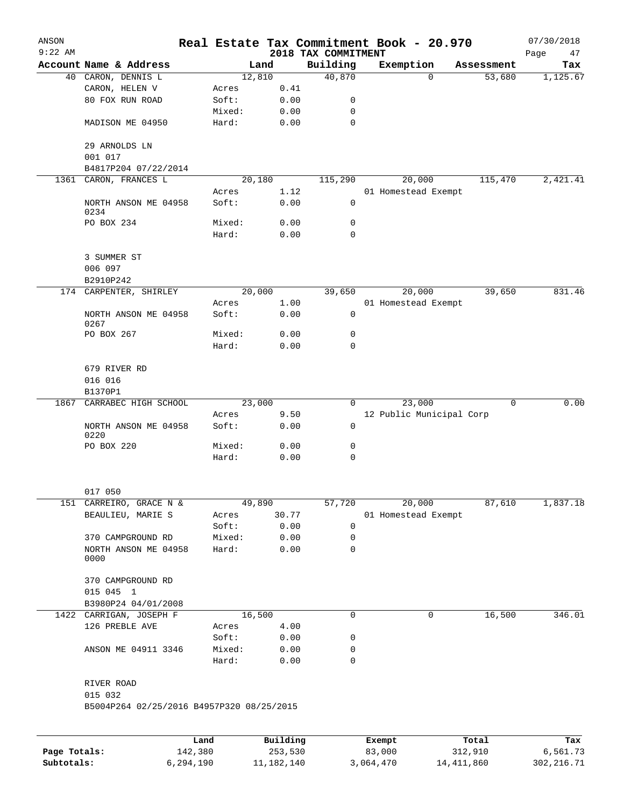| ANSON<br>$9:22$ AM |                                           |         |          |      | Real Estate Tax Commitment Book - 20.970<br>2018 TAX COMMITMENT |                          |          |            | 07/30/2018<br>Page<br>47 |
|--------------------|-------------------------------------------|---------|----------|------|-----------------------------------------------------------------|--------------------------|----------|------------|--------------------------|
|                    | Account Name & Address                    |         | Land     |      | Building                                                        | Exemption                |          | Assessment | Tax                      |
|                    | 40 CARON, DENNIS L                        |         | 12,810   |      | 40,870                                                          |                          | $\Omega$ | 53,680     | 1,125.67                 |
|                    | CARON, HELEN V                            | Acres   |          | 0.41 |                                                                 |                          |          |            |                          |
|                    | 80 FOX RUN ROAD                           | Soft:   |          | 0.00 | 0                                                               |                          |          |            |                          |
|                    |                                           | Mixed:  |          | 0.00 | 0                                                               |                          |          |            |                          |
|                    | MADISON ME 04950                          | Hard:   |          | 0.00 | 0                                                               |                          |          |            |                          |
|                    | 29 ARNOLDS LN                             |         |          |      |                                                                 |                          |          |            |                          |
|                    | 001 017<br>B4817P204 07/22/2014           |         |          |      |                                                                 |                          |          |            |                          |
|                    | 1361 CARON, FRANCES L                     |         | 20,180   |      | 115,290                                                         | 20,000                   |          | 115,470    | 2,421.41                 |
|                    |                                           | Acres   |          | 1.12 |                                                                 | 01 Homestead Exempt      |          |            |                          |
|                    | NORTH ANSON ME 04958<br>0234              | Soft:   |          | 0.00 | $\mathbf 0$                                                     |                          |          |            |                          |
|                    | PO BOX 234                                | Mixed:  |          | 0.00 | 0                                                               |                          |          |            |                          |
|                    |                                           | Hard:   |          | 0.00 | 0                                                               |                          |          |            |                          |
|                    | 3 SUMMER ST                               |         |          |      |                                                                 |                          |          |            |                          |
|                    | 006 097                                   |         |          |      |                                                                 |                          |          |            |                          |
|                    | B2910P242<br>174 CARPENTER, SHIRLEY       |         | 20,000   |      | 39,650                                                          | 20,000                   |          | 39,650     | 831.46                   |
|                    |                                           | Acres   |          | 1.00 |                                                                 | 01 Homestead Exempt      |          |            |                          |
|                    | NORTH ANSON ME 04958<br>0267              | Soft:   |          | 0.00 | 0                                                               |                          |          |            |                          |
|                    | PO BOX 267                                | Mixed:  |          | 0.00 | 0                                                               |                          |          |            |                          |
|                    |                                           | Hard:   |          | 0.00 | $\Omega$                                                        |                          |          |            |                          |
|                    | 679 RIVER RD<br>016 016                   |         |          |      |                                                                 |                          |          |            |                          |
|                    | B1370P1                                   |         |          |      |                                                                 |                          |          |            |                          |
| 1867               | CARRABEC HIGH SCHOOL                      |         | 23,000   |      | $\overline{0}$                                                  | 23,000                   |          | 0          | 0.00                     |
|                    |                                           | Acres   |          | 9.50 |                                                                 | 12 Public Municipal Corp |          |            |                          |
|                    | NORTH ANSON ME 04958<br>0220              | Soft:   |          | 0.00 | 0                                                               |                          |          |            |                          |
|                    | PO BOX 220                                | Mixed:  |          | 0.00 | 0                                                               |                          |          |            |                          |
|                    |                                           | Hard:   |          | 0.00 | 0                                                               |                          |          |            |                          |
|                    |                                           |         |          |      |                                                                 |                          |          |            |                          |
| 151                | 017 050<br>CARREIRO, GRACE N &            |         | 49,890   |      | 57,720                                                          | 20,000                   |          | 87,610     | 1,837.18                 |
|                    | BEAULIEU, MARIE S                         | Acres   | 30.77    |      |                                                                 | 01 Homestead Exempt      |          |            |                          |
|                    |                                           | Soft:   |          | 0.00 | 0                                                               |                          |          |            |                          |
|                    | 370 CAMPGROUND RD                         | Mixed:  |          | 0.00 | 0                                                               |                          |          |            |                          |
|                    | NORTH ANSON ME 04958                      | Hard:   |          | 0.00 | 0                                                               |                          |          |            |                          |
|                    | 0000                                      |         |          |      |                                                                 |                          |          |            |                          |
|                    | 370 CAMPGROUND RD                         |         |          |      |                                                                 |                          |          |            |                          |
|                    | 015 045 1                                 |         |          |      |                                                                 |                          |          |            |                          |
|                    | B3980P24 04/01/2008                       |         |          |      |                                                                 |                          |          |            |                          |
| 1422               | CARRIGAN, JOSEPH F                        |         | 16,500   |      | 0                                                               |                          | 0        | 16,500     | 346.01                   |
|                    | 126 PREBLE AVE                            | Acres   |          | 4.00 |                                                                 |                          |          |            |                          |
|                    |                                           | Soft:   |          | 0.00 | 0                                                               |                          |          |            |                          |
|                    | ANSON ME 04911 3346                       | Mixed:  |          | 0.00 | 0                                                               |                          |          |            |                          |
|                    |                                           | Hard:   |          | 0.00 | 0                                                               |                          |          |            |                          |
|                    | RIVER ROAD<br>015 032                     |         |          |      |                                                                 |                          |          |            |                          |
|                    | B5004P264 02/25/2016 B4957P320 08/25/2015 |         |          |      |                                                                 |                          |          |            |                          |
|                    |                                           |         |          |      |                                                                 |                          |          |            |                          |
|                    |                                           | Land    | Building |      |                                                                 | Exempt                   |          | Total      | Tax                      |
| Page Totals:       |                                           | 142,380 | 253,530  |      |                                                                 | 83,000                   |          | 312,910    | 6,561.73                 |

**Subtotals:** 6,294,190 11,182,140 3,064,470 14,411,860 302,216.71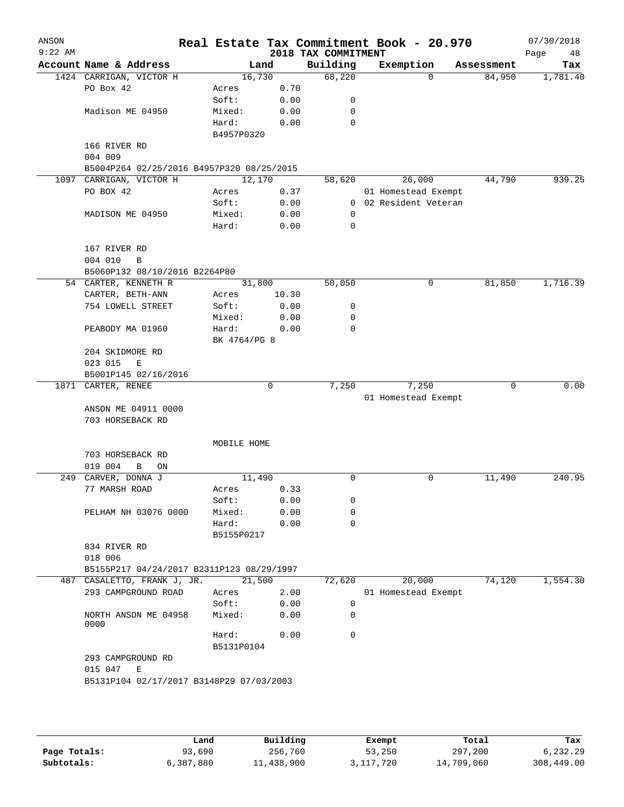| Account Name & Address<br>1424 CARRIGAN, VICTOR H<br>PO Box 42<br>Madison ME 04950<br>166 RIVER RD<br>004 009<br>B5004P264 02/25/2016 B4957P320 08/25/2015<br>1097 CARRIGAN, VICTOR H<br>PO BOX 42<br>MADISON ME 04950<br>167 RIVER RD<br>004 010<br>B<br>B5060P132 08/10/2016 B2264P80 | 16,730<br>Acres<br>Soft:<br>Mixed:<br>Hard:<br>B4957P0320<br>12,170<br>Acres<br>Soft:<br>Mixed:<br>Hard:        | Land<br>0.70<br>0.00<br>0.00<br>0.00<br>0.37<br>0.00<br>0.00<br>0.00 | 2018 TAX COMMITMENT<br>Building<br>68,220<br>0<br>0<br>0<br>58,620<br>0                                                                                                   |                                                              | Exemption<br>$\Omega$<br>26,000<br>01 Homestead Exempt | Assessment<br>84,950<br>44,790 | Page<br>48<br>Tax                               |
|-----------------------------------------------------------------------------------------------------------------------------------------------------------------------------------------------------------------------------------------------------------------------------------------|-----------------------------------------------------------------------------------------------------------------|----------------------------------------------------------------------|---------------------------------------------------------------------------------------------------------------------------------------------------------------------------|--------------------------------------------------------------|--------------------------------------------------------|--------------------------------|-------------------------------------------------|
|                                                                                                                                                                                                                                                                                         |                                                                                                                 |                                                                      |                                                                                                                                                                           |                                                              |                                                        |                                | 1,781.40                                        |
|                                                                                                                                                                                                                                                                                         |                                                                                                                 |                                                                      |                                                                                                                                                                           |                                                              |                                                        |                                |                                                 |
|                                                                                                                                                                                                                                                                                         |                                                                                                                 |                                                                      |                                                                                                                                                                           |                                                              |                                                        |                                |                                                 |
|                                                                                                                                                                                                                                                                                         |                                                                                                                 |                                                                      |                                                                                                                                                                           |                                                              |                                                        |                                |                                                 |
|                                                                                                                                                                                                                                                                                         |                                                                                                                 |                                                                      |                                                                                                                                                                           |                                                              |                                                        |                                |                                                 |
|                                                                                                                                                                                                                                                                                         |                                                                                                                 |                                                                      |                                                                                                                                                                           |                                                              |                                                        |                                |                                                 |
|                                                                                                                                                                                                                                                                                         |                                                                                                                 |                                                                      |                                                                                                                                                                           |                                                              |                                                        |                                |                                                 |
|                                                                                                                                                                                                                                                                                         |                                                                                                                 |                                                                      |                                                                                                                                                                           |                                                              |                                                        |                                |                                                 |
|                                                                                                                                                                                                                                                                                         |                                                                                                                 |                                                                      |                                                                                                                                                                           |                                                              |                                                        |                                | 939.25                                          |
|                                                                                                                                                                                                                                                                                         |                                                                                                                 |                                                                      |                                                                                                                                                                           |                                                              |                                                        |                                |                                                 |
|                                                                                                                                                                                                                                                                                         |                                                                                                                 |                                                                      |                                                                                                                                                                           |                                                              |                                                        |                                |                                                 |
|                                                                                                                                                                                                                                                                                         |                                                                                                                 |                                                                      |                                                                                                                                                                           |                                                              |                                                        |                                |                                                 |
|                                                                                                                                                                                                                                                                                         |                                                                                                                 |                                                                      |                                                                                                                                                                           |                                                              | 0 02 Resident Veteran                                  |                                |                                                 |
|                                                                                                                                                                                                                                                                                         |                                                                                                                 |                                                                      |                                                                                                                                                                           |                                                              |                                                        |                                |                                                 |
|                                                                                                                                                                                                                                                                                         |                                                                                                                 |                                                                      | 0                                                                                                                                                                         |                                                              |                                                        |                                |                                                 |
|                                                                                                                                                                                                                                                                                         |                                                                                                                 |                                                                      |                                                                                                                                                                           |                                                              |                                                        |                                |                                                 |
|                                                                                                                                                                                                                                                                                         |                                                                                                                 |                                                                      |                                                                                                                                                                           |                                                              |                                                        |                                |                                                 |
|                                                                                                                                                                                                                                                                                         |                                                                                                                 |                                                                      |                                                                                                                                                                           |                                                              |                                                        |                                |                                                 |
| 54 CARTER, KENNETH R                                                                                                                                                                                                                                                                    | 31,800                                                                                                          |                                                                      | 50,050                                                                                                                                                                    |                                                              | 0                                                      | 81,850                         | 1,716.39                                        |
| CARTER, BETH-ANN                                                                                                                                                                                                                                                                        | Acres                                                                                                           | 10.30                                                                |                                                                                                                                                                           |                                                              |                                                        |                                |                                                 |
| 754 LOWELL STREET                                                                                                                                                                                                                                                                       | Soft:                                                                                                           | 0.00                                                                 | 0                                                                                                                                                                         |                                                              |                                                        |                                |                                                 |
|                                                                                                                                                                                                                                                                                         | Mixed:                                                                                                          | 0.00                                                                 | 0                                                                                                                                                                         |                                                              |                                                        |                                |                                                 |
| PEABODY MA 01960                                                                                                                                                                                                                                                                        | Hard:                                                                                                           | 0.00                                                                 | 0                                                                                                                                                                         |                                                              |                                                        |                                |                                                 |
|                                                                                                                                                                                                                                                                                         |                                                                                                                 |                                                                      |                                                                                                                                                                           |                                                              |                                                        |                                |                                                 |
| 204 SKIDMORE RD                                                                                                                                                                                                                                                                         |                                                                                                                 |                                                                      |                                                                                                                                                                           |                                                              |                                                        |                                |                                                 |
| 023 015<br>Е                                                                                                                                                                                                                                                                            |                                                                                                                 |                                                                      |                                                                                                                                                                           |                                                              |                                                        |                                |                                                 |
| B5001P145 02/16/2016                                                                                                                                                                                                                                                                    |                                                                                                                 |                                                                      |                                                                                                                                                                           |                                                              |                                                        |                                |                                                 |
|                                                                                                                                                                                                                                                                                         |                                                                                                                 |                                                                      |                                                                                                                                                                           |                                                              |                                                        |                                | 0.00                                            |
|                                                                                                                                                                                                                                                                                         |                                                                                                                 |                                                                      |                                                                                                                                                                           |                                                              |                                                        |                                |                                                 |
|                                                                                                                                                                                                                                                                                         |                                                                                                                 |                                                                      |                                                                                                                                                                           |                                                              |                                                        |                                |                                                 |
|                                                                                                                                                                                                                                                                                         |                                                                                                                 |                                                                      |                                                                                                                                                                           |                                                              |                                                        |                                |                                                 |
|                                                                                                                                                                                                                                                                                         |                                                                                                                 |                                                                      |                                                                                                                                                                           |                                                              |                                                        |                                |                                                 |
| 703 HORSEBACK RD                                                                                                                                                                                                                                                                        |                                                                                                                 |                                                                      |                                                                                                                                                                           |                                                              |                                                        |                                |                                                 |
| 019 004<br>В<br>ON                                                                                                                                                                                                                                                                      |                                                                                                                 |                                                                      |                                                                                                                                                                           |                                                              |                                                        |                                |                                                 |
| CARVER, DONNA J                                                                                                                                                                                                                                                                         |                                                                                                                 |                                                                      | 0                                                                                                                                                                         |                                                              | 0                                                      | 11,490                         | 240.95                                          |
| 77 MARSH ROAD                                                                                                                                                                                                                                                                           | Acres                                                                                                           | 0.33                                                                 |                                                                                                                                                                           |                                                              |                                                        |                                |                                                 |
|                                                                                                                                                                                                                                                                                         | Soft:                                                                                                           | 0.00                                                                 | 0                                                                                                                                                                         |                                                              |                                                        |                                |                                                 |
|                                                                                                                                                                                                                                                                                         |                                                                                                                 |                                                                      | 0                                                                                                                                                                         |                                                              |                                                        |                                |                                                 |
|                                                                                                                                                                                                                                                                                         |                                                                                                                 |                                                                      |                                                                                                                                                                           |                                                              |                                                        |                                |                                                 |
| 834 RIVER RD                                                                                                                                                                                                                                                                            |                                                                                                                 |                                                                      |                                                                                                                                                                           |                                                              |                                                        |                                |                                                 |
| 018 006                                                                                                                                                                                                                                                                                 |                                                                                                                 |                                                                      |                                                                                                                                                                           |                                                              |                                                        |                                |                                                 |
|                                                                                                                                                                                                                                                                                         |                                                                                                                 |                                                                      |                                                                                                                                                                           |                                                              |                                                        |                                |                                                 |
| 487 CASALETTO, FRANK J, JR.                                                                                                                                                                                                                                                             |                                                                                                                 |                                                                      | 72,620                                                                                                                                                                    |                                                              | 20,000                                                 | 74,120                         | 1,554.30                                        |
| 293 CAMPGROUND ROAD                                                                                                                                                                                                                                                                     | Acres                                                                                                           | 2.00                                                                 |                                                                                                                                                                           |                                                              |                                                        |                                |                                                 |
|                                                                                                                                                                                                                                                                                         | Soft:                                                                                                           |                                                                      | 0                                                                                                                                                                         |                                                              |                                                        |                                |                                                 |
| NORTH ANSON ME 04958<br>0000                                                                                                                                                                                                                                                            | Mixed:                                                                                                          |                                                                      | 0                                                                                                                                                                         |                                                              |                                                        |                                |                                                 |
|                                                                                                                                                                                                                                                                                         | Hard:                                                                                                           |                                                                      | $\mathbf 0$                                                                                                                                                               |                                                              |                                                        |                                |                                                 |
|                                                                                                                                                                                                                                                                                         |                                                                                                                 |                                                                      |                                                                                                                                                                           |                                                              |                                                        |                                |                                                 |
| 015 047                                                                                                                                                                                                                                                                                 |                                                                                                                 |                                                                      |                                                                                                                                                                           |                                                              |                                                        |                                |                                                 |
|                                                                                                                                                                                                                                                                                         |                                                                                                                 |                                                                      |                                                                                                                                                                           |                                                              |                                                        |                                |                                                 |
|                                                                                                                                                                                                                                                                                         | 1871 CARTER, RENEE<br>ANSON ME 04911 0000<br>703 HORSEBACK RD<br>PELHAM NH 03076 0000<br>293 CAMPGROUND RD<br>Е | Mixed:<br>Hard:                                                      | BK 4764/PG 8<br>0<br>MOBILE HOME<br>11,490<br>B5155P0217<br>B5155P217 04/24/2017 B2311P123 08/29/1997<br>21,500<br>B5131P0104<br>B5131P104 02/17/2017 B3148P29 07/03/2003 | 7,250<br>0.00<br>0.00<br>$\mathbf 0$<br>0.00<br>0.00<br>0.00 |                                                        | 7,250                          | 0<br>01 Homestead Exempt<br>01 Homestead Exempt |

|              | Land      | Building   | Exempt      | Total      | Tax        |
|--------------|-----------|------------|-------------|------------|------------|
| Page Totals: | 93,690    | 256,760    | 53,250      | 297,200    | 6,232.29   |
| Subtotals:   | 6,387,880 | 11,438,900 | 3, 117, 720 | 14,709,060 | 308,449.00 |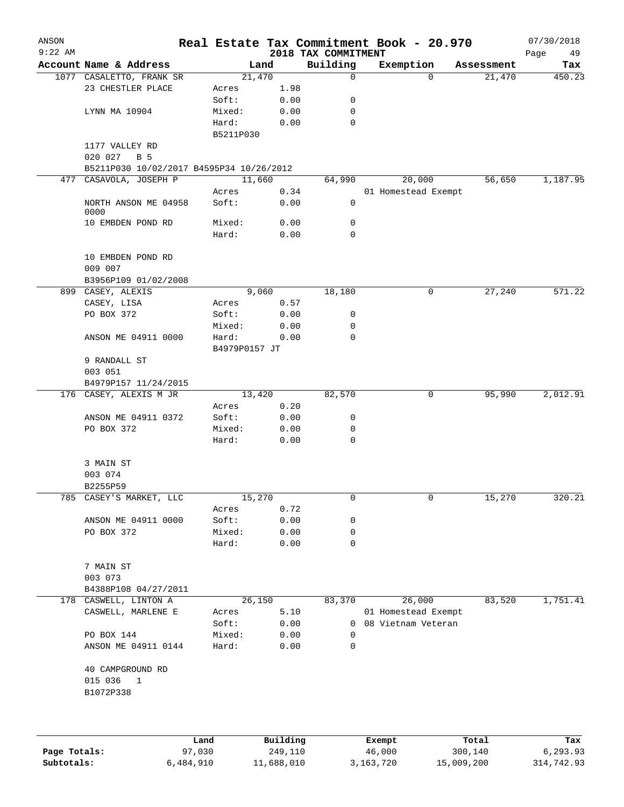| ANSON<br>$9:22$ AM |                                          |                        |              |                                 | Real Estate Tax Commitment Book - 20.970 |            | 07/30/2018        |
|--------------------|------------------------------------------|------------------------|--------------|---------------------------------|------------------------------------------|------------|-------------------|
|                    | Account Name & Address                   |                        | Land         | 2018 TAX COMMITMENT<br>Building | Exemption                                | Assessment | Page<br>49<br>Tax |
|                    | 1077 CASALETTO, FRANK SR                 |                        | 21,470       | $\mathbf 0$                     | $\Omega$                                 | 21,470     | 450.23            |
|                    | 23 CHESTLER PLACE                        | Acres                  | 1.98         |                                 |                                          |            |                   |
|                    |                                          | Soft:                  | 0.00         | 0                               |                                          |            |                   |
|                    | LYNN MA 10904                            | Mixed:                 | 0.00         | 0                               |                                          |            |                   |
|                    |                                          | Hard:                  | 0.00         | $\mathbf 0$                     |                                          |            |                   |
|                    |                                          | B5211P030              |              |                                 |                                          |            |                   |
|                    | 1177 VALLEY RD                           |                        |              |                                 |                                          |            |                   |
|                    | 020 027<br>B 5                           |                        |              |                                 |                                          |            |                   |
|                    | B5211P030 10/02/2017 B4595P34 10/26/2012 |                        |              |                                 |                                          |            |                   |
|                    | 477 CASAVOLA, JOSEPH P                   | 11,660                 |              | 64,990                          | 20,000                                   | 56,650     | 1,187.95          |
|                    |                                          | Acres                  | 0.34         |                                 | 01 Homestead Exempt                      |            |                   |
|                    | NORTH ANSON ME 04958<br>0000             | Soft:                  | 0.00         | 0                               |                                          |            |                   |
|                    | 10 EMBDEN POND RD                        | Mixed:                 | 0.00         | 0                               |                                          |            |                   |
|                    |                                          | Hard:                  | 0.00         | 0                               |                                          |            |                   |
|                    | 10 EMBDEN POND RD<br>009 007             |                        |              |                                 |                                          |            |                   |
|                    | B3956P109 01/02/2008                     |                        |              |                                 |                                          |            |                   |
|                    | 899 CASEY, ALEXIS                        |                        | 9,060        | 18,180                          | 0                                        | 27,240     | 571.22            |
|                    | CASEY, LISA                              | Acres                  | 0.57         |                                 |                                          |            |                   |
|                    | PO BOX 372                               | Soft:                  | 0.00         | 0                               |                                          |            |                   |
|                    |                                          | Mixed:                 | 0.00         | 0                               |                                          |            |                   |
|                    | ANSON ME 04911 0000                      | Hard:<br>B4979P0157 JT | 0.00         | 0                               |                                          |            |                   |
|                    | 9 RANDALL ST                             |                        |              |                                 |                                          |            |                   |
|                    | 003 051                                  |                        |              |                                 |                                          |            |                   |
|                    | B4979P157 11/24/2015                     |                        |              |                                 |                                          |            |                   |
|                    | 176 CASEY, ALEXIS M JR                   |                        | 13,420       | 82,570                          | 0                                        | 95,990     | 2,012.91          |
|                    |                                          | Acres                  | 0.20         |                                 |                                          |            |                   |
|                    | ANSON ME 04911 0372                      | Soft:                  | 0.00         | 0                               |                                          |            |                   |
|                    | PO BOX 372                               | Mixed:                 | 0.00         | 0                               |                                          |            |                   |
|                    |                                          | Hard:                  | 0.00         | 0                               |                                          |            |                   |
|                    | 3 MAIN ST                                |                        |              |                                 |                                          |            |                   |
|                    | 003 074                                  |                        |              |                                 |                                          |            |                   |
|                    | B2255P59                                 |                        |              |                                 |                                          |            |                   |
|                    | 785 CASEY'S MARKET, LLC                  | 15,270                 |              | 0                               | 0                                        | 15,270     | 320.21            |
|                    |                                          | Acres                  | 0.72         |                                 |                                          |            |                   |
|                    | ANSON ME 04911 0000<br>PO BOX 372        | Soft:<br>Mixed:        | 0.00<br>0.00 | 0<br>0                          |                                          |            |                   |
|                    |                                          | Hard:                  | 0.00         | 0                               |                                          |            |                   |
|                    |                                          |                        |              |                                 |                                          |            |                   |
|                    | 7 MAIN ST                                |                        |              |                                 |                                          |            |                   |
|                    | 003 073                                  |                        |              |                                 |                                          |            |                   |
|                    | B4388P108 04/27/2011                     |                        |              |                                 |                                          |            |                   |
|                    | 178 CASWELL, LINTON A                    |                        | 26,150       | 83,370                          | 26,000                                   | 83,520     | 1,751.41          |
|                    | CASWELL, MARLENE E                       | Acres                  | 5.10         |                                 | 01 Homestead Exempt                      |            |                   |
|                    | PO BOX 144                               | Soft:                  | 0.00         | $\Omega$                        | 0 08 Vietnam Veteran                     |            |                   |
|                    | ANSON ME 04911 0144                      | Mixed:<br>Hard:        | 0.00<br>0.00 | 0                               |                                          |            |                   |
|                    |                                          |                        |              |                                 |                                          |            |                   |
|                    | 40 CAMPGROUND RD                         |                        |              |                                 |                                          |            |                   |
|                    | 015 036<br>$\mathbf{1}$                  |                        |              |                                 |                                          |            |                   |
|                    | B1072P338                                |                        |              |                                 |                                          |            |                   |
|                    |                                          |                        |              |                                 |                                          |            |                   |
|                    |                                          |                        |              |                                 |                                          |            |                   |
|                    |                                          | Land,                  | Building     |                                 | Exempt                                   | Total      | Tax               |

|              | Land      | Building   | Exempt      | Total      | Tax        |
|--------------|-----------|------------|-------------|------------|------------|
| Page Totals: | 97,030    | 249,110    | 46,000      | 300,140    | 6.293.93   |
| Subtotals:   | 6,484,910 | 11,688,010 | 3, 163, 720 | 15,009,200 | 314,742.93 |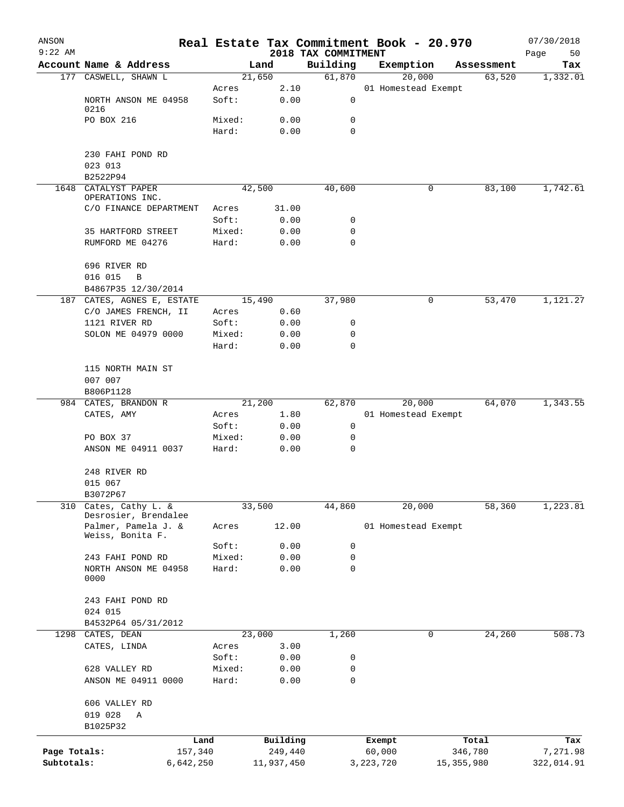| ANSON<br>$9:22$ AM |                                           |        |            | 2018 TAX COMMITMENT | Real Estate Tax Commitment Book - 20.970 |              | 07/30/2018        |
|--------------------|-------------------------------------------|--------|------------|---------------------|------------------------------------------|--------------|-------------------|
|                    | Account Name & Address                    |        | Land       | Building            | Exemption                                | Assessment   | Page<br>50<br>Tax |
|                    | 177 CASWELL, SHAWN L                      |        | 21,650     | 61,870              | 20,000                                   | 63,520       | 1,332.01          |
|                    |                                           | Acres  | 2.10       |                     | 01 Homestead Exempt                      |              |                   |
|                    | NORTH ANSON ME 04958<br>0216              | Soft:  | 0.00       | 0                   |                                          |              |                   |
|                    | PO BOX 216                                | Mixed: | 0.00       | 0                   |                                          |              |                   |
|                    |                                           | Hard:  | 0.00       | 0                   |                                          |              |                   |
|                    | 230 FAHI POND RD                          |        |            |                     |                                          |              |                   |
|                    | 023 013                                   |        |            |                     |                                          |              |                   |
| 1648               | B2522P94<br>CATALYST PAPER                |        | 42,500     | 40,600              | 0                                        | 83,100       | 1,742.61          |
|                    | OPERATIONS INC.                           |        |            |                     |                                          |              |                   |
|                    | C/O FINANCE DEPARTMENT                    | Acres  | 31.00      |                     |                                          |              |                   |
|                    |                                           | Soft:  | 0.00       | 0                   |                                          |              |                   |
|                    | 35 HARTFORD STREET                        | Mixed: | 0.00       | 0                   |                                          |              |                   |
|                    | RUMFORD ME 04276                          | Hard:  | 0.00       | $\mathbf 0$         |                                          |              |                   |
|                    | 696 RIVER RD                              |        |            |                     |                                          |              |                   |
|                    | 016 015<br>B                              |        |            |                     |                                          |              |                   |
|                    | B4867P35 12/30/2014                       |        |            |                     |                                          |              |                   |
|                    | 187 CATES, AGNES E, ESTATE                |        | 15,490     | 37,980              | 0                                        | 53,470       | 1,121.27          |
|                    | C/O JAMES FRENCH, II                      | Acres  | 0.60       |                     |                                          |              |                   |
|                    | 1121 RIVER RD                             | Soft:  | 0.00       | 0                   |                                          |              |                   |
|                    | SOLON ME 04979 0000                       | Mixed: | 0.00       | 0                   |                                          |              |                   |
|                    |                                           | Hard:  | 0.00       | $\mathbf 0$         |                                          |              |                   |
|                    | 115 NORTH MAIN ST                         |        |            |                     |                                          |              |                   |
|                    | 007 007                                   |        |            |                     |                                          |              |                   |
|                    | B806P1128                                 |        |            |                     |                                          |              |                   |
|                    | 984 CATES, BRANDON R                      |        | 21,200     | 62,870              | 20,000                                   | 64,070       | 1,343.55          |
|                    | CATES, AMY                                | Acres  | 1.80       |                     | 01 Homestead Exempt                      |              |                   |
|                    |                                           | Soft:  | 0.00       | 0                   |                                          |              |                   |
|                    | PO BOX 37                                 | Mixed: | 0.00       | 0                   |                                          |              |                   |
|                    | ANSON ME 04911 0037                       | Hard:  | 0.00       | 0                   |                                          |              |                   |
|                    | 248 RIVER RD                              |        |            |                     |                                          |              |                   |
|                    | 015 067                                   |        |            |                     |                                          |              |                   |
|                    | B3072P67                                  |        |            |                     |                                          |              |                   |
| 310                | Cates, Cathy L. &<br>Desrosier, Brendalee |        | 33,500     | 44,860              | 20,000                                   | 58,360       | 1,223.81          |
|                    | Palmer, Pamela J. &<br>Weiss, Bonita F.   | Acres  | 12.00      |                     | 01 Homestead Exempt                      |              |                   |
|                    |                                           | Soft:  | 0.00       | 0                   |                                          |              |                   |
|                    | 243 FAHI POND RD                          | Mixed: | 0.00       | 0                   |                                          |              |                   |
|                    | NORTH ANSON ME 04958<br>0000              | Hard:  | 0.00       | 0                   |                                          |              |                   |
|                    | 243 FAHI POND RD                          |        |            |                     |                                          |              |                   |
|                    | 024 015                                   |        |            |                     |                                          |              |                   |
|                    | B4532P64 05/31/2012                       |        |            |                     |                                          |              |                   |
| 1298               | CATES, DEAN                               |        | 23,000     | 1,260               | 0                                        | 24,260       | 508.73            |
|                    | CATES, LINDA                              | Acres  | 3.00       |                     |                                          |              |                   |
|                    |                                           | Soft:  | 0.00       | 0                   |                                          |              |                   |
|                    | 628 VALLEY RD                             | Mixed: | 0.00       | 0                   |                                          |              |                   |
|                    | ANSON ME 04911 0000                       | Hard:  | 0.00       | 0                   |                                          |              |                   |
|                    | 606 VALLEY RD                             |        |            |                     |                                          |              |                   |
|                    | 019 028<br>Α                              |        |            |                     |                                          |              |                   |
|                    | B1025P32                                  |        |            |                     |                                          |              |                   |
|                    | Land                                      |        | Building   |                     | Exempt                                   | Total        | Tax               |
| Page Totals:       | 157,340                                   |        | 249,440    |                     | 60,000                                   | 346,780      | 7,271.98          |
| Subtotals:         | 6,642,250                                 |        | 11,937,450 |                     | 3,223,720                                | 15, 355, 980 | 322,014.91        |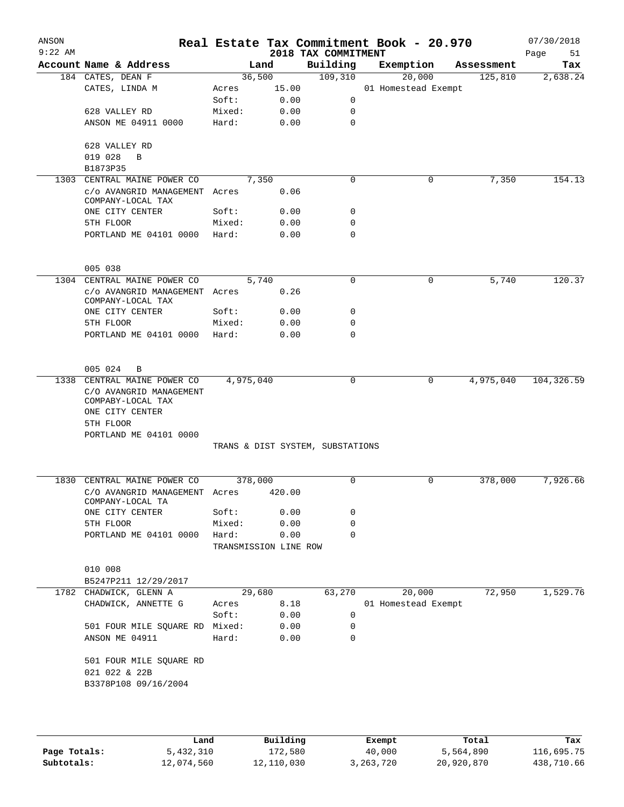| ANSON<br>$9:22$ AM |                                                                 |        |                       | 2018 TAX COMMITMENT              | Real Estate Tax Commitment Book - 20.970 |            | 07/30/2018<br>Page<br>51 |
|--------------------|-----------------------------------------------------------------|--------|-----------------------|----------------------------------|------------------------------------------|------------|--------------------------|
|                    | Account Name & Address                                          |        | Land                  | Building                         | Exemption                                | Assessment | Tax                      |
|                    | 184 CATES, DEAN F                                               |        | 36,500                | 109,310                          | 20,000                                   | 125,810    | 2,638.24                 |
|                    | CATES, LINDA M                                                  | Acres  | 15.00                 |                                  | 01 Homestead Exempt                      |            |                          |
|                    |                                                                 | Soft:  | 0.00                  | 0                                |                                          |            |                          |
|                    | 628 VALLEY RD                                                   | Mixed: | 0.00                  | $\mathbf 0$                      |                                          |            |                          |
|                    | ANSON ME 04911 0000                                             | Hard:  | 0.00                  | $\mathbf 0$                      |                                          |            |                          |
|                    | 628 VALLEY RD                                                   |        |                       |                                  |                                          |            |                          |
|                    | 019 028<br>$\mathbf B$                                          |        |                       |                                  |                                          |            |                          |
|                    | B1873P35                                                        |        |                       |                                  |                                          |            |                          |
|                    | 1303 CENTRAL MAINE POWER CO                                     |        | 7,350                 | $\mathbf 0$                      | 0                                        | 7,350      | 154.13                   |
|                    | c/o AVANGRID MANAGEMENT Acres<br>COMPANY-LOCAL TAX              |        | 0.06                  |                                  |                                          |            |                          |
|                    | ONE CITY CENTER                                                 | Soft:  | 0.00                  | $\mathbf 0$                      |                                          |            |                          |
|                    | 5TH FLOOR                                                       | Mixed: | 0.00                  | 0                                |                                          |            |                          |
|                    | PORTLAND ME 04101 0000                                          | Hard:  | 0.00                  | 0                                |                                          |            |                          |
|                    | 005 038                                                         |        |                       |                                  |                                          |            |                          |
|                    | 1304 CENTRAL MAINE POWER CO                                     |        | 5,740                 | 0                                | 0                                        | 5,740      | 120.37                   |
|                    | c/o AVANGRID MANAGEMENT Acres<br>COMPANY-LOCAL TAX              |        | 0.26                  |                                  |                                          |            |                          |
|                    | ONE CITY CENTER                                                 | Soft:  | 0.00                  | 0                                |                                          |            |                          |
|                    | 5TH FLOOR                                                       | Mixed: | 0.00                  | 0                                |                                          |            |                          |
|                    | PORTLAND ME 04101 0000                                          | Hard:  | 0.00                  | $\Omega$                         |                                          |            |                          |
|                    | 005 024<br>B                                                    |        |                       |                                  |                                          |            |                          |
| 1338               | CENTRAL MAINE POWER CO                                          |        | 4,975,040             | 0                                | 0                                        | 4,975,040  | 104,326.59               |
|                    | C/O AVANGRID MANAGEMENT<br>COMPABY-LOCAL TAX<br>ONE CITY CENTER |        |                       |                                  |                                          |            |                          |
|                    | 5TH FLOOR                                                       |        |                       |                                  |                                          |            |                          |
|                    | PORTLAND ME 04101 0000                                          |        |                       |                                  |                                          |            |                          |
|                    |                                                                 |        |                       | TRANS & DIST SYSTEM, SUBSTATIONS |                                          |            |                          |
|                    | 1830 CENTRAL MAINE POWER CO                                     |        | 378,000               | 0                                | $\Omega$                                 | 378,000    | 7,926.66                 |
|                    | C/O AVANGRID MANAGEMENT Acres 420.00                            |        |                       |                                  |                                          |            |                          |
|                    | COMPANY-LOCAL TA                                                |        |                       |                                  |                                          |            |                          |
|                    | ONE CITY CENTER                                                 | Soft:  | 0.00                  | 0                                |                                          |            |                          |
|                    | 5TH FLOOR                                                       | Mixed: | 0.00                  | 0                                |                                          |            |                          |
|                    | PORTLAND ME 04101 0000                                          | Hard:  | 0.00                  | $\mathbf 0$                      |                                          |            |                          |
|                    |                                                                 |        | TRANSMISSION LINE ROW |                                  |                                          |            |                          |
|                    | 010 008                                                         |        |                       |                                  |                                          |            |                          |
|                    | B5247P211 12/29/2017                                            |        |                       |                                  |                                          |            |                          |
|                    | 1782 CHADWICK, GLENN A                                          |        | 29,680                | 63,270                           | 20,000                                   | 72,950     | 1,529.76                 |
|                    | CHADWICK, ANNETTE G                                             | Acres  | 8.18                  |                                  | 01 Homestead Exempt                      |            |                          |
|                    |                                                                 | Soft:  | 0.00                  | $\mathbf 0$                      |                                          |            |                          |
|                    | 501 FOUR MILE SQUARE RD Mixed:                                  |        | 0.00                  | 0                                |                                          |            |                          |
|                    | ANSON ME 04911                                                  | Hard:  | 0.00                  | $\mathbf 0$                      |                                          |            |                          |
|                    | 501 FOUR MILE SQUARE RD<br>021 022 & 22B                        |        |                       |                                  |                                          |            |                          |
|                    | B3378P108 09/16/2004                                            |        |                       |                                  |                                          |            |                          |
|                    |                                                                 |        |                       |                                  |                                          |            |                          |
|                    |                                                                 |        |                       |                                  |                                          |            |                          |

|              | Land       | Building   | Exempt      | Total      | Tax        |
|--------------|------------|------------|-------------|------------|------------|
| Page Totals: | 5,432,310  | 172,580    | 40,000      | 5,564,890  | 116,695.75 |
| Subtotals:   | 12,074,560 | 12,110,030 | 3, 263, 720 | 20,920,870 | 438,710.66 |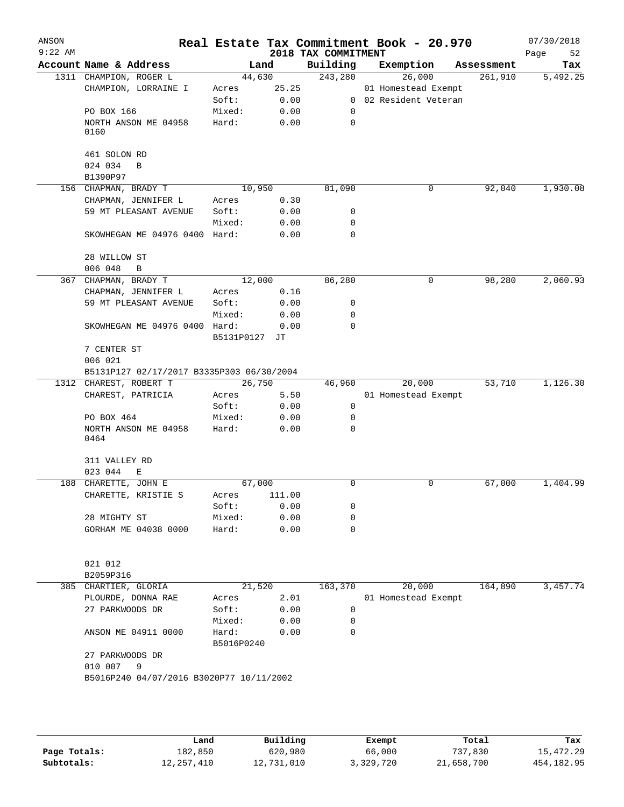| ANSON<br>$9:22$ AM |                                                                     |                     |              | 2018 TAX COMMITMENT | Real Estate Tax Commitment Book - 20.970 |            | 07/30/2018<br>Page<br>52 |
|--------------------|---------------------------------------------------------------------|---------------------|--------------|---------------------|------------------------------------------|------------|--------------------------|
|                    | Account Name & Address                                              |                     | Land         | Building            | Exemption                                | Assessment | Tax                      |
|                    | 1311 CHAMPION, ROGER L                                              |                     | 44,630       | 243,280             | 26,000                                   | 261,910    | 5,492.25                 |
|                    | CHAMPION, LORRAINE I                                                | Acres               | 25.25        |                     | 01 Homestead Exempt                      |            |                          |
|                    |                                                                     | Soft:               | 0.00         |                     | 0 02 Resident Veteran                    |            |                          |
|                    | PO BOX 166                                                          | Mixed:              | 0.00         | 0                   |                                          |            |                          |
|                    | NORTH ANSON ME 04958                                                | Hard:               | 0.00         | $\mathbf 0$         |                                          |            |                          |
|                    | 0160                                                                |                     |              |                     |                                          |            |                          |
|                    |                                                                     |                     |              |                     |                                          |            |                          |
|                    | 461 SOLON RD                                                        |                     |              |                     |                                          |            |                          |
|                    | 024 034<br>B                                                        |                     |              |                     |                                          |            |                          |
|                    | B1390P97                                                            |                     |              |                     |                                          |            |                          |
|                    | 156 CHAPMAN, BRADY T                                                |                     | 10,950       | 81,090              | 0                                        | 92,040     | 1,930.08                 |
|                    | CHAPMAN, JENNIFER L                                                 | Acres               | 0.30         |                     |                                          |            |                          |
|                    | 59 MT PLEASANT AVENUE                                               | Soft:               | 0.00         | 0                   |                                          |            |                          |
|                    |                                                                     | Mixed:              | 0.00         | 0                   |                                          |            |                          |
|                    | SKOWHEGAN ME 04976 0400 Hard:                                       |                     | 0.00         | $\mathbf 0$         |                                          |            |                          |
|                    |                                                                     |                     |              |                     |                                          |            |                          |
|                    | 28 WILLOW ST                                                        |                     |              |                     |                                          |            |                          |
|                    | 006 048<br>B                                                        |                     |              |                     |                                          |            | 2,060.93                 |
|                    | 367 CHAPMAN, BRADY T                                                |                     | 12,000       | 86,280              | 0                                        | 98,280     |                          |
|                    | CHAPMAN, JENNIFER L<br>59 MT PLEASANT AVENUE                        | Acres               | 0.16         |                     |                                          |            |                          |
|                    |                                                                     | Soft:               | 0.00         | 0                   |                                          |            |                          |
|                    |                                                                     | Mixed:              | 0.00         | 0                   |                                          |            |                          |
|                    | SKOWHEGAN ME 04976 0400 Hard:                                       |                     | 0.00         | $\Omega$            |                                          |            |                          |
|                    |                                                                     | B5131P0127          | JТ           |                     |                                          |            |                          |
|                    | 7 CENTER ST<br>006 021                                              |                     |              |                     |                                          |            |                          |
|                    |                                                                     |                     |              |                     |                                          |            |                          |
|                    | B5131P127 02/17/2017 B3335P303 06/30/2004<br>1312 CHAREST, ROBERT T |                     | 26,750       |                     | 20,000                                   | 53,710     | 1,126.30                 |
|                    | CHAREST, PATRICIA                                                   |                     | 5.50         | 46,960              | 01 Homestead Exempt                      |            |                          |
|                    |                                                                     | Acres<br>Soft:      | 0.00         | $\mathbf 0$         |                                          |            |                          |
|                    | PO BOX 464                                                          | Mixed:              |              | 0                   |                                          |            |                          |
|                    |                                                                     |                     | 0.00         | $\mathbf 0$         |                                          |            |                          |
|                    | NORTH ANSON ME 04958<br>0464                                        | Hard:               | 0.00         |                     |                                          |            |                          |
|                    | 311 VALLEY RD                                                       |                     |              |                     |                                          |            |                          |
|                    | 023 044<br>Е                                                        |                     |              |                     |                                          |            |                          |
|                    | 188 CHARETTE, JOHN E                                                |                     | 67,000       | 0                   | 0                                        | 67,000     | 1,404.99                 |
|                    | CHARETTE, KRISTIE S                                                 |                     | Acres 111.00 |                     |                                          |            |                          |
|                    |                                                                     | Soft:               | 0.00         | 0                   |                                          |            |                          |
|                    | 28 MIGHTY ST                                                        | Mixed:              | 0.00         | 0                   |                                          |            |                          |
|                    | GORHAM ME 04038 0000                                                | Hard:               | 0.00         | 0                   |                                          |            |                          |
|                    |                                                                     |                     |              |                     |                                          |            |                          |
|                    | 021 012                                                             |                     |              |                     |                                          |            |                          |
|                    | B2059P316<br>385 CHARTIER, GLORIA                                   |                     | 21,520       | 163,370             | 20,000                                   | 164,890    | 3,457.74                 |
|                    |                                                                     | Acres               | 2.01         |                     |                                          |            |                          |
|                    | PLOURDE, DONNA RAE                                                  |                     |              | 0                   | 01 Homestead Exempt                      |            |                          |
|                    | 27 PARKWOODS DR                                                     | Soft:               | 0.00         |                     |                                          |            |                          |
|                    |                                                                     | Mixed:              | 0.00         | 0                   |                                          |            |                          |
|                    | ANSON ME 04911 0000                                                 | Hard:<br>B5016P0240 | 0.00         | $\mathbf 0$         |                                          |            |                          |
|                    | 27 PARKWOODS DR                                                     |                     |              |                     |                                          |            |                          |
|                    | 010 007<br>9                                                        |                     |              |                     |                                          |            |                          |
|                    | B5016P240 04/07/2016 B3020P77 10/11/2002                            |                     |              |                     |                                          |            |                          |
|                    |                                                                     |                     |              |                     |                                          |            |                          |
|                    |                                                                     |                     |              |                     |                                          |            |                          |
|                    |                                                                     |                     |              |                     |                                          |            |                          |

|              | Land       | Building   | Exempt    | Total      | Tax         |
|--------------|------------|------------|-----------|------------|-------------|
| Page Totals: | 182,850    | 620,980    | 66,000    | 737,830    | 15,472.29   |
| Subtotals:   | 12,257,410 | 12,731,010 | 3,329,720 | 21,658,700 | 454, 182.95 |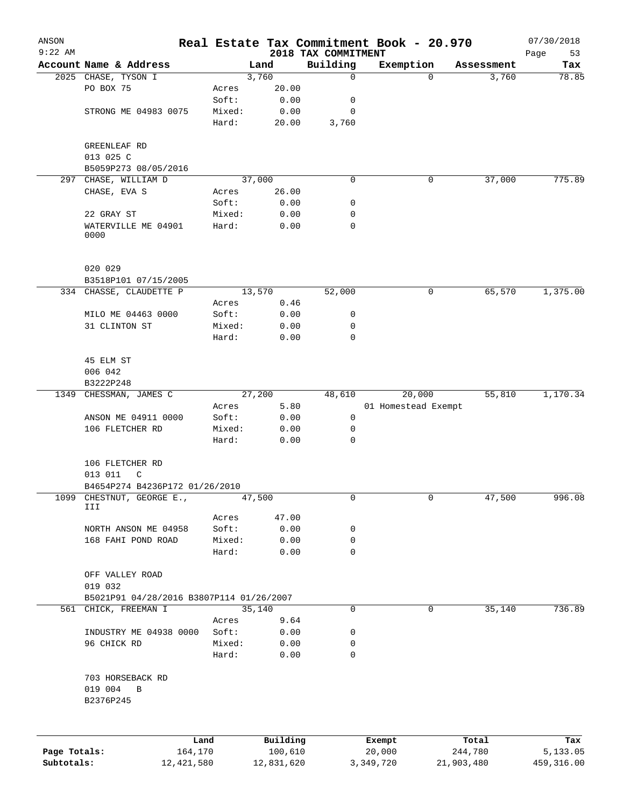| ANSON<br>$9:22$ AM |                                                          |        |          | 2018 TAX COMMITMENT | Real Estate Tax Commitment Book - 20.970 |             | 07/30/2018<br>Page<br>53 |
|--------------------|----------------------------------------------------------|--------|----------|---------------------|------------------------------------------|-------------|--------------------------|
|                    | Account Name & Address                                   |        | Land     | Building            | Exemption                                | Assessment  | Tax                      |
|                    | 2025 CHASE, TYSON I                                      |        | 3,760    | 0                   | $\Omega$                                 | 3,760       | 78.85                    |
|                    | PO BOX 75                                                | Acres  | 20.00    |                     |                                          |             |                          |
|                    |                                                          | Soft:  | 0.00     | 0                   |                                          |             |                          |
|                    | STRONG ME 04983 0075                                     | Mixed: | 0.00     | 0                   |                                          |             |                          |
|                    |                                                          | Hard:  | 20.00    | 3,760               |                                          |             |                          |
|                    | GREENLEAF RD                                             |        |          |                     |                                          |             |                          |
|                    | 013 025 C                                                |        |          |                     |                                          |             |                          |
|                    | B5059P273 08/05/2016                                     |        |          |                     |                                          |             |                          |
| 297                | CHASE, WILLIAM D                                         |        | 37,000   | 0                   | 0                                        | 37,000      | 775.89                   |
|                    | CHASE, EVA S                                             | Acres  | 26.00    |                     |                                          |             |                          |
|                    |                                                          | Soft:  | 0.00     | 0                   |                                          |             |                          |
|                    | 22 GRAY ST                                               | Mixed: | 0.00     | 0                   |                                          |             |                          |
|                    | WATERVILLE ME 04901<br>0000                              | Hard:  | 0.00     | 0                   |                                          |             |                          |
|                    | 020 029                                                  |        |          |                     |                                          |             |                          |
|                    | B3518P101 07/15/2005                                     |        |          |                     |                                          |             |                          |
|                    | 334 CHASSE, CLAUDETTE P                                  |        | 13,570   | 52,000              | 0                                        | 65,570      | 1,375.00                 |
|                    |                                                          | Acres  | 0.46     |                     |                                          |             |                          |
|                    | MILO ME 04463 0000                                       | Soft:  | 0.00     | 0                   |                                          |             |                          |
|                    | 31 CLINTON ST                                            | Mixed: | 0.00     | 0                   |                                          |             |                          |
|                    |                                                          | Hard:  | 0.00     | $\mathbf 0$         |                                          |             |                          |
|                    | 45 ELM ST                                                |        |          |                     |                                          |             |                          |
|                    | 006 042                                                  |        |          |                     |                                          |             |                          |
|                    | B3222P248                                                |        |          |                     |                                          |             |                          |
| 1349               | CHESSMAN, JAMES C                                        |        | 27,200   | 48,610              | 20,000                                   | 55,810      | 1,170.34                 |
|                    |                                                          | Acres  | 5.80     |                     | 01 Homestead Exempt                      |             |                          |
|                    | ANSON ME 04911 0000                                      | Soft:  | 0.00     | 0                   |                                          |             |                          |
|                    | 106 FLETCHER RD                                          | Mixed: | 0.00     | 0                   |                                          |             |                          |
|                    |                                                          | Hard:  | 0.00     | 0                   |                                          |             |                          |
|                    | 106 FLETCHER RD<br>013 011<br>C                          |        |          |                     |                                          |             |                          |
|                    | B4654P274 B4236P172 01/26/2010                           |        |          |                     |                                          |             |                          |
| 1099               | CHESTNUT, GEORGE E.,                                     |        | 47,500   | 0                   |                                          | 0<br>47,500 | 996.08                   |
|                    | III                                                      | Acres  | 47.00    |                     |                                          |             |                          |
|                    | NORTH ANSON ME 04958                                     | Soft:  | 0.00     | 0                   |                                          |             |                          |
|                    | 168 FAHI POND ROAD                                       | Mixed: | 0.00     | 0                   |                                          |             |                          |
|                    |                                                          | Hard:  | 0.00     | 0                   |                                          |             |                          |
|                    | OFF VALLEY ROAD<br>019 032                               |        |          |                     |                                          |             |                          |
|                    | B5021P91 04/28/2016 B3807P114 01/26/2007                 |        |          |                     |                                          |             |                          |
|                    | 561 CHICK, FREEMAN I                                     |        | 35,140   | 0                   | 0                                        | 35,140      | 736.89                   |
|                    |                                                          | Acres  | 9.64     |                     |                                          |             |                          |
|                    | INDUSTRY ME 04938 0000                                   | Soft:  | 0.00     | 0                   |                                          |             |                          |
|                    | 96 CHICK RD                                              | Mixed: | 0.00     | 0                   |                                          |             |                          |
|                    |                                                          | Hard:  | 0.00     | 0                   |                                          |             |                          |
|                    | 703 HORSEBACK RD<br>019 004<br>$\, {\bf B}$<br>B2376P245 |        |          |                     |                                          |             |                          |
|                    |                                                          |        |          |                     |                                          |             |                          |
|                    |                                                          | Land   | Building |                     | Exempt                                   | Total       | Tax                      |
| Page Totals:       | 164,170                                                  |        | 100,610  |                     | 20,000                                   | 244,780     | 5,133.05                 |

**Subtotals:** 12,421,580 12,831,620 3,349,720 21,903,480 459,316.00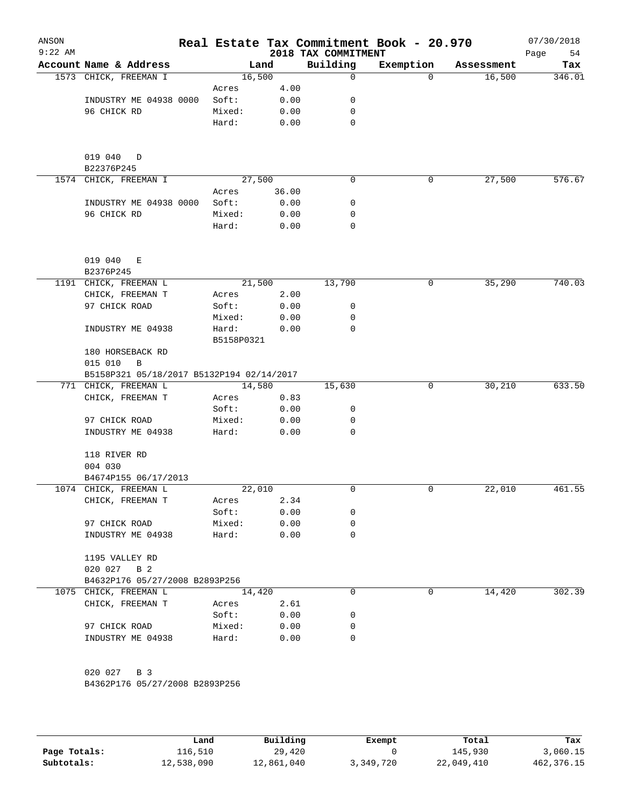| ANSON<br>$9:22$ AM |                                                         |                     |              | 2018 TAX COMMITMENT | Real Estate Tax Commitment Book - 20.970 |            | 07/30/2018<br>Page<br>54 |
|--------------------|---------------------------------------------------------|---------------------|--------------|---------------------|------------------------------------------|------------|--------------------------|
|                    | Account Name & Address                                  |                     | Land         | Building            | Exemption                                | Assessment | Tax                      |
|                    | 1573 CHICK, FREEMAN I                                   |                     | 16,500       | 0                   | 0                                        | 16,500     | 346.01                   |
|                    |                                                         | Acres               | 4.00         |                     |                                          |            |                          |
|                    | INDUSTRY ME 04938 0000                                  | Soft:               | 0.00         | 0                   |                                          |            |                          |
|                    | 96 CHICK RD                                             | Mixed:              | 0.00         | 0                   |                                          |            |                          |
|                    |                                                         | Hard:               | 0.00         | 0                   |                                          |            |                          |
|                    | 019 040<br>D<br>B22376P245                              |                     |              |                     |                                          |            |                          |
|                    | 1574 CHICK, FREEMAN I                                   |                     | 27,500       | 0                   | 0                                        | 27,500     | 576.67                   |
|                    |                                                         | Acres               | 36.00        |                     |                                          |            |                          |
|                    | INDUSTRY ME 04938 0000                                  | Soft:               | 0.00         | 0                   |                                          |            |                          |
|                    | 96 CHICK RD                                             | Mixed:              | 0.00         | 0                   |                                          |            |                          |
|                    |                                                         | Hard:               | 0.00         | 0                   |                                          |            |                          |
|                    | 019 040<br>Е                                            |                     |              |                     |                                          |            |                          |
|                    | B2376P245                                               |                     |              |                     |                                          |            |                          |
|                    | 1191 CHICK, FREEMAN L                                   |                     | 21,500       | 13,790              | 0                                        | 35,290     | 740.03                   |
|                    | CHICK, FREEMAN T                                        | Acres               | 2.00         |                     |                                          |            |                          |
|                    | 97 CHICK ROAD                                           | Soft:               | 0.00         | 0                   |                                          |            |                          |
|                    |                                                         | Mixed:              | 0.00         | 0                   |                                          |            |                          |
|                    | INDUSTRY ME 04938                                       | Hard:<br>B5158P0321 | 0.00         | 0                   |                                          |            |                          |
|                    | 180 HORSEBACK RD<br>015 010<br>B                        |                     |              |                     |                                          |            |                          |
|                    | B5158P321 05/18/2017 B5132P194 02/14/2017               |                     |              |                     |                                          |            |                          |
|                    | 771 CHICK, FREEMAN L                                    |                     | 14,580       | 15,630              | 0                                        | 30,210     | 633.50                   |
|                    | CHICK, FREEMAN T                                        | Acres               | 0.83         |                     |                                          |            |                          |
|                    |                                                         | Soft:               | 0.00         | 0                   |                                          |            |                          |
|                    | 97 CHICK ROAD                                           | Mixed:              | 0.00         | 0                   |                                          |            |                          |
|                    | INDUSTRY ME 04938                                       | Hard:               | 0.00         | 0                   |                                          |            |                          |
|                    | 118 RIVER RD                                            |                     |              |                     |                                          |            |                          |
|                    | 004 030                                                 |                     |              |                     |                                          |            |                          |
|                    | B4674P155 06/17/2013<br>1074 CHICK, FREEMAN L           |                     | 22,010       | 0                   | 0                                        | 22,010     | 461.55                   |
|                    | CHICK, FREEMAN T                                        | Acres               | 2.34         |                     |                                          |            |                          |
|                    |                                                         | Soft:               | 0.00         | 0                   |                                          |            |                          |
|                    | 97 CHICK ROAD                                           | Mixed:              | 0.00         | 0                   |                                          |            |                          |
|                    | INDUSTRY ME 04938                                       | Hard:               | 0.00         | 0                   |                                          |            |                          |
|                    | 1195 VALLEY RD                                          |                     |              |                     |                                          |            |                          |
|                    | 020 027 B 2                                             |                     |              |                     |                                          |            |                          |
|                    | B4632P176 05/27/2008 B2893P256<br>1075 CHICK, FREEMAN L |                     |              | 0                   | 0                                        |            | 302.39                   |
|                    |                                                         |                     | 14,420       |                     |                                          | 14,420     |                          |
|                    | CHICK, FREEMAN T                                        | Acres<br>Soft:      | 2.61<br>0.00 | 0                   |                                          |            |                          |
|                    | 97 CHICK ROAD                                           | Mixed:              | 0.00         | 0                   |                                          |            |                          |
|                    | INDUSTRY ME 04938                                       | Hard:               | 0.00         | 0                   |                                          |            |                          |
|                    |                                                         |                     |              |                     |                                          |            |                          |
|                    | 020 027 B 3                                             |                     |              |                     |                                          |            |                          |
|                    | B4362P176 05/27/2008 B2893P256                          |                     |              |                     |                                          |            |                          |
|                    |                                                         |                     |              |                     |                                          |            |                          |

|              | Land       | Building   | Exempt    | Total      | Tax          |
|--------------|------------|------------|-----------|------------|--------------|
| Page Totals: | 116,510    | 29,420     |           | 145,930    | 3,060.15     |
| Subtotals:   | 12,538,090 | 12,861,040 | 3,349,720 | 22,049,410 | 462, 376. 15 |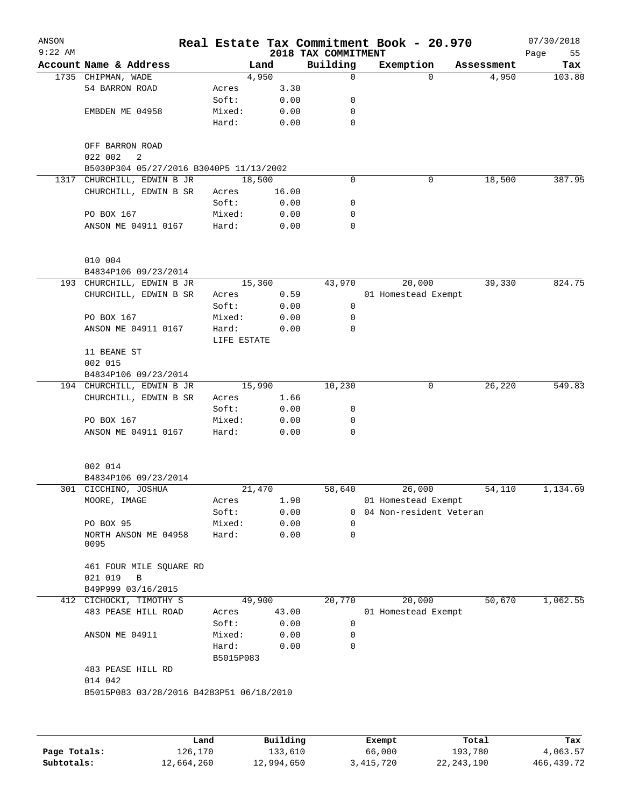| ANSON<br>$9:22$ AM |                                                    |           |             |          | 2018 TAX COMMITMENT | Real Estate Tax Commitment Book - 20.970 |            | 07/30/2018<br>55<br>Page |
|--------------------|----------------------------------------------------|-----------|-------------|----------|---------------------|------------------------------------------|------------|--------------------------|
|                    | Account Name & Address                             |           | Land        |          | Building            | Exemption                                | Assessment | Tax                      |
|                    | 1735 CHIPMAN, WADE                                 |           | 4,950       |          | $\mathbf 0$         | $\Omega$                                 | 4,950      | 103.80                   |
|                    | 54 BARRON ROAD                                     | Acres     |             | 3.30     |                     |                                          |            |                          |
|                    |                                                    | Soft:     |             | 0.00     | 0                   |                                          |            |                          |
|                    | EMBDEN ME 04958                                    | Mixed:    |             | 0.00     | 0                   |                                          |            |                          |
|                    |                                                    | Hard:     |             | 0.00     | 0                   |                                          |            |                          |
|                    | OFF BARRON ROAD<br>022 002<br>2                    |           |             |          |                     |                                          |            |                          |
|                    | B5030P304 05/27/2016 B3040P5 11/13/2002            |           |             |          |                     |                                          |            |                          |
|                    | 1317 CHURCHILL, EDWIN B JR                         |           | 18,500      |          | $\mathbf 0$         | 0                                        | 18,500     | 387.95                   |
|                    | CHURCHILL, EDWIN B SR                              | Acres     |             | 16.00    |                     |                                          |            |                          |
|                    |                                                    | Soft:     |             | 0.00     | 0                   |                                          |            |                          |
|                    | PO BOX 167                                         | Mixed:    |             | 0.00     | 0                   |                                          |            |                          |
|                    | ANSON ME 04911 0167                                | Hard:     |             | 0.00     | 0                   |                                          |            |                          |
|                    | 010 004                                            |           |             |          |                     |                                          |            |                          |
|                    | B4834P106 09/23/2014                               |           |             |          |                     |                                          |            | 824.75                   |
|                    | 193 CHURCHILL, EDWIN B JR<br>CHURCHILL, EDWIN B SR |           | 15,360      |          | 43,970              | 20,000                                   | 39,330     |                          |
|                    |                                                    | Acres     |             | 0.59     |                     | 01 Homestead Exempt                      |            |                          |
|                    | PO BOX 167                                         | Soft:     |             | 0.00     | 0<br>0              |                                          |            |                          |
|                    |                                                    | Mixed:    |             | 0.00     | $\mathbf 0$         |                                          |            |                          |
|                    | ANSON ME 04911 0167                                | Hard:     |             | 0.00     |                     |                                          |            |                          |
|                    |                                                    |           | LIFE ESTATE |          |                     |                                          |            |                          |
|                    | 11 BEANE ST                                        |           |             |          |                     |                                          |            |                          |
|                    | 002 015                                            |           |             |          |                     |                                          |            |                          |
|                    | B4834P106 09/23/2014                               |           |             |          |                     |                                          |            |                          |
|                    | 194 CHURCHILL, EDWIN B JR                          |           | 15,990      |          | 10,230              | 0                                        | 26,220     | 549.83                   |
|                    | CHURCHILL, EDWIN B SR                              | Acres     |             | 1.66     |                     |                                          |            |                          |
|                    |                                                    | Soft:     |             | 0.00     | 0                   |                                          |            |                          |
|                    | PO BOX 167                                         | Mixed:    |             | 0.00     | 0                   |                                          |            |                          |
|                    | ANSON ME 04911 0167                                | Hard:     |             | 0.00     | $\Omega$            |                                          |            |                          |
|                    | 002 014                                            |           |             |          |                     |                                          |            |                          |
|                    | B4834P106 09/23/2014                               |           |             |          |                     |                                          |            |                          |
|                    | 301 CICCHINO, JOSHUA                               |           | 21,470      |          | 58,640              | 26,000                                   | 54,110     | 1,134.69                 |
|                    | MOORE, IMAGE                                       | Acres     |             | 1.98     |                     | 01 Homestead Exempt                      |            |                          |
|                    |                                                    | Soft:     |             | 0.00     |                     | 0 04 Non-resident Veteran                |            |                          |
|                    | PO BOX 95                                          | Mixed:    |             | 0.00     | $\Omega$            |                                          |            |                          |
|                    | NORTH ANSON ME 04958<br>0095                       | Hard:     |             | 0.00     | 0                   |                                          |            |                          |
|                    | 461 FOUR MILE SQUARE RD                            |           |             |          |                     |                                          |            |                          |
|                    | 021 019<br>B                                       |           |             |          |                     |                                          |            |                          |
|                    | B49P999 03/16/2015                                 |           |             |          |                     |                                          |            |                          |
|                    | 412 CICHOCKI, TIMOTHY S                            |           | 49,900      |          | 20,770              | 20,000                                   | 50,670     | 1,062.55                 |
|                    | 483 PEASE HILL ROAD                                | Acres     |             | 43.00    |                     | 01 Homestead Exempt                      |            |                          |
|                    |                                                    | Soft:     |             | 0.00     | 0                   |                                          |            |                          |
|                    | ANSON ME 04911                                     | Mixed:    |             | 0.00     | 0                   |                                          |            |                          |
|                    |                                                    | Hard:     |             | 0.00     | 0                   |                                          |            |                          |
|                    |                                                    | B5015P083 |             |          |                     |                                          |            |                          |
|                    | 483 PEASE HILL RD                                  |           |             |          |                     |                                          |            |                          |
|                    | 014 042                                            |           |             |          |                     |                                          |            |                          |
|                    | B5015P083 03/28/2016 B4283P51 06/18/2010           |           |             |          |                     |                                          |            |                          |
|                    |                                                    |           |             |          |                     |                                          |            |                          |
|                    |                                                    | Land      |             | Building |                     | Exempt                                   | Total      | Tax                      |

|              | Land       | Building   | Exempt      | Total        | Tax        |
|--------------|------------|------------|-------------|--------------|------------|
| Page Totals: | 126.170    | 133,610    | 66,000      | 193,780      | 4,063.57   |
| Subtotals:   | 12,664,260 | 12,994,650 | 3, 415, 720 | 22, 243, 190 | 466,439.72 |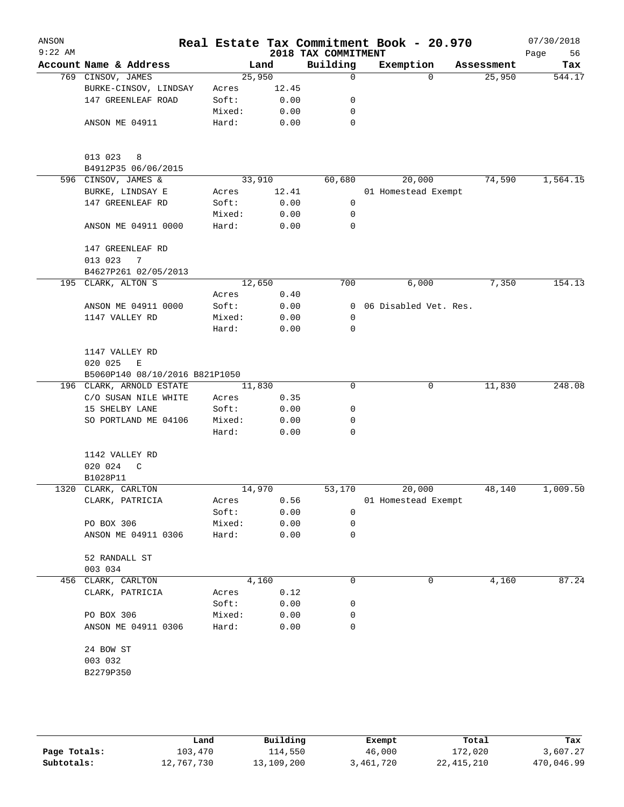| ANSON<br>$9:22$ AM |                                |        |       | 2018 TAX COMMITMENT | Real Estate Tax Commitment Book - 20.970 |            | 07/30/2018<br>Page<br>56 |
|--------------------|--------------------------------|--------|-------|---------------------|------------------------------------------|------------|--------------------------|
|                    | Account Name & Address         |        | Land  | Building            | Exemption                                | Assessment | Tax                      |
|                    | 769 CINSOV, JAMES              | 25,950 |       | 0                   | $\Omega$                                 | 25,950     | 544.17                   |
|                    | BURKE-CINSOV, LINDSAY          | Acres  | 12.45 |                     |                                          |            |                          |
|                    | 147 GREENLEAF ROAD             | Soft:  | 0.00  | 0                   |                                          |            |                          |
|                    |                                | Mixed: | 0.00  | 0                   |                                          |            |                          |
|                    | ANSON ME 04911                 | Hard:  | 0.00  | 0                   |                                          |            |                          |
|                    | 013 023<br>8                   |        |       |                     |                                          |            |                          |
|                    | B4912P35 06/06/2015            |        |       |                     |                                          |            |                          |
|                    | 596 CINSOV, JAMES &            | 33,910 |       | 60,680              | 20,000                                   | 74,590     | 1,564.15                 |
|                    | BURKE, LINDSAY E               | Acres  | 12.41 |                     | 01 Homestead Exempt                      |            |                          |
|                    | 147 GREENLEAF RD               | Soft:  | 0.00  | 0                   |                                          |            |                          |
|                    |                                | Mixed: | 0.00  | $\mathbf 0$         |                                          |            |                          |
|                    | ANSON ME 04911 0000            | Hard:  | 0.00  | 0                   |                                          |            |                          |
|                    | 147 GREENLEAF RD               |        |       |                     |                                          |            |                          |
|                    | 013 023<br>7                   |        |       |                     |                                          |            |                          |
|                    | B4627P261 02/05/2013           |        |       |                     |                                          |            |                          |
|                    | 195 CLARK, ALTON S             | 12,650 |       | 700                 | 6,000                                    | 7,350      | 154.13                   |
|                    |                                | Acres  | 0.40  |                     |                                          |            |                          |
|                    | ANSON ME 04911 0000            | Soft:  | 0.00  | $\mathbf 0$         | 06 Disabled Vet. Res.                    |            |                          |
|                    | 1147 VALLEY RD                 | Mixed: | 0.00  | $\mathbf 0$         |                                          |            |                          |
|                    |                                | Hard:  | 0.00  | 0                   |                                          |            |                          |
|                    | 1147 VALLEY RD                 |        |       |                     |                                          |            |                          |
|                    | 020 025<br>E                   |        |       |                     |                                          |            |                          |
|                    | B5060P140 08/10/2016 B821P1050 |        |       |                     |                                          |            |                          |
|                    | 196 CLARK, ARNOLD ESTATE       | 11,830 |       | $\Omega$            | 0                                        | 11,830     | 248.08                   |
|                    | C/O SUSAN NILE WHITE           | Acres  | 0.35  |                     |                                          |            |                          |
|                    | 15 SHELBY LANE                 | Soft:  | 0.00  | 0                   |                                          |            |                          |
|                    | SO PORTLAND ME 04106           | Mixed: | 0.00  | 0                   |                                          |            |                          |
|                    |                                | Hard:  | 0.00  | 0                   |                                          |            |                          |
|                    | 1142 VALLEY RD                 |        |       |                     |                                          |            |                          |
|                    | 020 024<br>$\mathsf{C}$        |        |       |                     |                                          |            |                          |
|                    | B1028P11                       |        |       |                     |                                          |            |                          |
|                    | 1320 CLARK, CARLTON            | 14,970 |       | 53,170              | 20,000                                   | 48,140     | 1,009.50                 |
|                    | CLARK, PATRICIA                | Acres  | 0.56  |                     | 01 Homestead Exempt                      |            |                          |
|                    |                                | Soft:  | 0.00  | 0                   |                                          |            |                          |
|                    | PO BOX 306                     | Mixed: | 0.00  | 0                   |                                          |            |                          |
|                    | ANSON ME 04911 0306            | Hard:  | 0.00  | 0                   |                                          |            |                          |
|                    | 52 RANDALL ST                  |        |       |                     |                                          |            |                          |
|                    | 003 034                        |        |       |                     |                                          |            |                          |
| 456                | CLARK, CARLTON                 |        | 4,160 | 0                   | 0                                        | 4,160      | 87.24                    |
|                    | CLARK, PATRICIA                | Acres  | 0.12  |                     |                                          |            |                          |
|                    |                                | Soft:  | 0.00  | 0                   |                                          |            |                          |
|                    | PO BOX 306                     | Mixed: | 0.00  | 0                   |                                          |            |                          |
|                    | ANSON ME 04911 0306            | Hard:  | 0.00  | 0                   |                                          |            |                          |
|                    | 24 BOW ST                      |        |       |                     |                                          |            |                          |
|                    | 003 032                        |        |       |                     |                                          |            |                          |
|                    | B2279P350                      |        |       |                     |                                          |            |                          |
|                    |                                |        |       |                     |                                          |            |                          |
|                    |                                |        |       |                     |                                          |            |                          |

|              | Land       | Building   | Exempt    | Total      | Tax        |
|--------------|------------|------------|-----------|------------|------------|
| Page Totals: | 103,470    | 114,550    | 46,000    | 172,020    | 3,607.27   |
| Subtotals:   | 12,767,730 | 13,109,200 | 3,461,720 | 22,415,210 | 470,046.99 |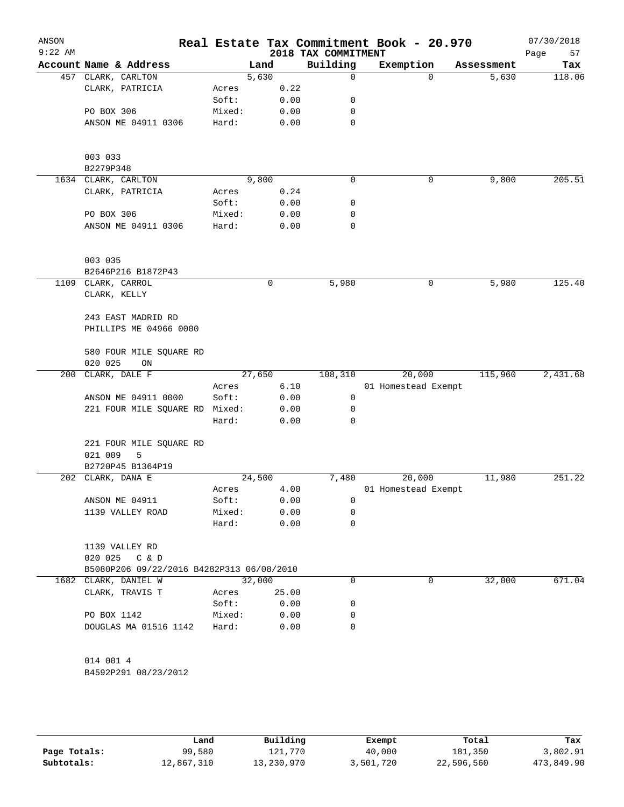| ANSON     |                                           |        |               |              |                                 | Real Estate Tax Commitment Book - 20.970 |          |                     | 07/30/2018    |
|-----------|-------------------------------------------|--------|---------------|--------------|---------------------------------|------------------------------------------|----------|---------------------|---------------|
| $9:22$ AM | Account Name & Address                    |        |               |              | 2018 TAX COMMITMENT<br>Building |                                          |          |                     | Page<br>57    |
|           | 457 CLARK, CARLTON                        |        | Land<br>5,630 |              | $\Omega$                        | Exemption                                | $\Omega$ | Assessment<br>5,630 | Tax<br>118.06 |
|           | CLARK, PATRICIA                           | Acres  |               | 0.22         |                                 |                                          |          |                     |               |
|           |                                           | Soft:  |               | 0.00         | 0                               |                                          |          |                     |               |
|           | PO BOX 306                                | Mixed: |               | 0.00         | 0                               |                                          |          |                     |               |
|           | ANSON ME 04911 0306                       | Hard:  |               | 0.00         | 0                               |                                          |          |                     |               |
|           |                                           |        |               |              |                                 |                                          |          |                     |               |
|           | 003 033                                   |        |               |              |                                 |                                          |          |                     |               |
|           | B2279P348                                 |        |               |              |                                 |                                          |          |                     |               |
|           | 1634 CLARK, CARLTON                       |        | 9,800         |              | 0                               |                                          | 0        | 9,800               | 205.51        |
|           | CLARK, PATRICIA                           | Acres  |               | 0.24         |                                 |                                          |          |                     |               |
|           |                                           | Soft:  |               | 0.00         | 0                               |                                          |          |                     |               |
|           | PO BOX 306                                | Mixed: |               | 0.00         | 0                               |                                          |          |                     |               |
|           | ANSON ME 04911 0306                       | Hard:  |               | 0.00         | 0                               |                                          |          |                     |               |
|           | 003 035                                   |        |               |              |                                 |                                          |          |                     |               |
|           | B2646P216 B1872P43                        |        |               |              |                                 |                                          |          |                     |               |
|           | 1109 CLARK, CARROL                        |        |               | 0            | 5,980                           |                                          | 0        | 5,980               | 125.40        |
|           | CLARK, KELLY                              |        |               |              |                                 |                                          |          |                     |               |
|           | 243 EAST MADRID RD                        |        |               |              |                                 |                                          |          |                     |               |
|           | PHILLIPS ME 04966 0000                    |        |               |              |                                 |                                          |          |                     |               |
|           | 580 FOUR MILE SQUARE RD                   |        |               |              |                                 |                                          |          |                     |               |
|           | 020 025<br>ON                             |        |               |              |                                 |                                          |          |                     |               |
| 200       | CLARK, DALE F                             |        | 27,650        |              | 108,310                         | 20,000                                   |          | 115,960             | 2,431.68      |
|           |                                           | Acres  |               | 6.10         |                                 | 01 Homestead Exempt                      |          |                     |               |
|           | ANSON ME 04911 0000                       | Soft:  |               | 0.00         | 0<br>0                          |                                          |          |                     |               |
|           | 221 FOUR MILE SQUARE RD Mixed:            | Hard:  |               | 0.00<br>0.00 | 0                               |                                          |          |                     |               |
|           |                                           |        |               |              |                                 |                                          |          |                     |               |
|           | 221 FOUR MILE SQUARE RD<br>021 009<br>5   |        |               |              |                                 |                                          |          |                     |               |
|           | B2720P45 B1364P19                         |        |               |              |                                 |                                          |          |                     |               |
|           | 202 CLARK, DANA E                         |        | 24,500        |              | 7,480                           | 20,000                                   |          | 11,980              | 251.22        |
|           |                                           | Acres  |               | 4.00         |                                 | 01 Homestead Exempt                      |          |                     |               |
|           | ANSON ME 04911                            | Soft:  |               | 0.00         | 0                               |                                          |          |                     |               |
|           | 1139 VALLEY ROAD                          | Mixed: |               | 0.00         | 0                               |                                          |          |                     |               |
|           |                                           | Hard:  |               | 0.00         | 0                               |                                          |          |                     |               |
|           | 1139 VALLEY RD                            |        |               |              |                                 |                                          |          |                     |               |
|           | 020 025 C & D                             |        |               |              |                                 |                                          |          |                     |               |
|           | B5080P206 09/22/2016 B4282P313 06/08/2010 |        |               |              |                                 |                                          |          |                     |               |
|           | 1682 CLARK, DANIEL W                      |        | 32,000        |              | 0                               |                                          | 0        | 32,000              | 671.04        |
|           | CLARK, TRAVIS T                           | Acres  |               | 25.00        |                                 |                                          |          |                     |               |
|           |                                           | Soft:  |               | 0.00         | 0                               |                                          |          |                     |               |
|           | PO BOX 1142                               | Mixed: |               | 0.00         | 0                               |                                          |          |                     |               |
|           | DOUGLAS MA 01516 1142                     | Hard:  |               | 0.00         | 0                               |                                          |          |                     |               |
|           | 014 001 4                                 |        |               |              |                                 |                                          |          |                     |               |
|           | B4592P291 08/23/2012                      |        |               |              |                                 |                                          |          |                     |               |
|           |                                           |        |               |              |                                 |                                          |          |                     |               |

|              | Land       | Building   | Exempt    | Total      | Tax        |
|--------------|------------|------------|-----------|------------|------------|
| Page Totals: | 99,580     | 121,770    | 40,000    | 181,350    | 3,802.91   |
| Subtotals:   | 12,867,310 | 13,230,970 | 3,501,720 | 22,596,560 | 473,849.90 |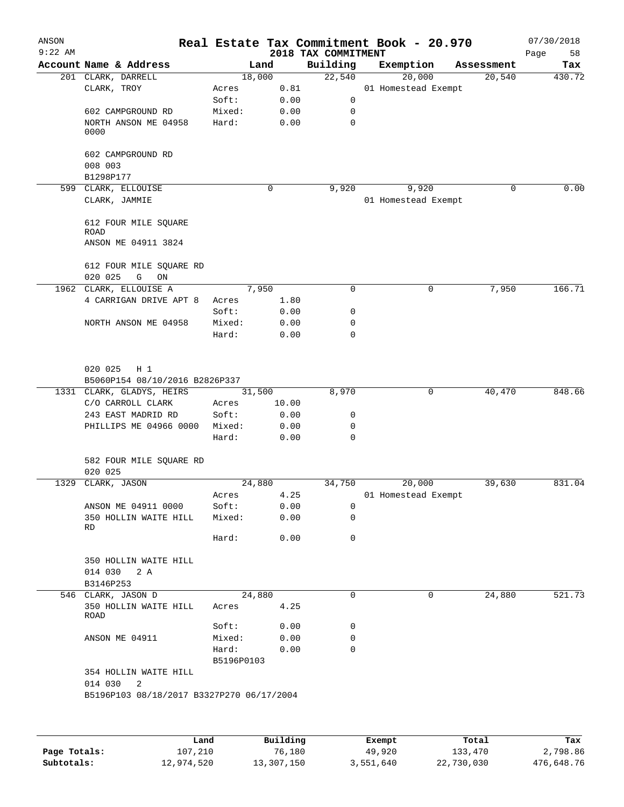| ANSON<br>$9:22$ AM |                                           |                     |          |                                 | Real Estate Tax Commitment Book - 20.970 |             | 07/30/2018        |
|--------------------|-------------------------------------------|---------------------|----------|---------------------------------|------------------------------------------|-------------|-------------------|
|                    | Account Name & Address                    |                     | Land     | 2018 TAX COMMITMENT<br>Building | Exemption                                | Assessment  | Page<br>58<br>Tax |
|                    | 201 CLARK, DARRELL                        |                     | 18,000   | 22,540                          | 20,000                                   | 20,540      | 430.72            |
|                    | CLARK, TROY                               | Acres               | 0.81     |                                 | 01 Homestead Exempt                      |             |                   |
|                    |                                           | Soft:               | 0.00     | 0                               |                                          |             |                   |
|                    | 602 CAMPGROUND RD                         | Mixed:              | 0.00     | 0                               |                                          |             |                   |
|                    | NORTH ANSON ME 04958                      | Hard:               | 0.00     | 0                               |                                          |             |                   |
|                    | 0000                                      |                     |          |                                 |                                          |             |                   |
|                    | 602 CAMPGROUND RD                         |                     |          |                                 |                                          |             |                   |
|                    | 008 003                                   |                     |          |                                 |                                          |             |                   |
|                    | B1298P177                                 |                     |          |                                 |                                          |             |                   |
|                    | 599 CLARK, ELLOUISE                       |                     | 0        | 9,920                           | 9,920                                    | $\Omega$    | 0.00              |
|                    | CLARK, JAMMIE                             |                     |          |                                 | 01 Homestead Exempt                      |             |                   |
|                    | 612 FOUR MILE SQUARE                      |                     |          |                                 |                                          |             |                   |
|                    | ROAD                                      |                     |          |                                 |                                          |             |                   |
|                    | ANSON ME 04911 3824                       |                     |          |                                 |                                          |             |                   |
|                    | 612 FOUR MILE SQUARE RD                   |                     |          |                                 |                                          |             |                   |
|                    | 020 025<br>G<br>ON                        |                     |          |                                 |                                          |             |                   |
|                    | 1962 CLARK, ELLOUISE A                    |                     | 7,950    | $\Omega$                        |                                          | 7,950<br>0  | 166.71            |
|                    | 4 CARRIGAN DRIVE APT 8                    | Acres               | 1.80     |                                 |                                          |             |                   |
|                    |                                           | Soft:               | 0.00     | 0                               |                                          |             |                   |
|                    | NORTH ANSON ME 04958                      | Mixed:              | 0.00     | 0                               |                                          |             |                   |
|                    |                                           | Hard:               | 0.00     | $\Omega$                        |                                          |             |                   |
|                    | 020 025<br>$H_1$                          |                     |          |                                 |                                          |             |                   |
|                    |                                           |                     |          |                                 |                                          |             |                   |
|                    | B5060P154 08/10/2016 B2826P337            |                     |          |                                 |                                          |             | 848.66            |
|                    | 1331 CLARK, GLADYS, HEIRS                 |                     | 31,500   | 8,970                           |                                          | 40,470<br>0 |                   |
|                    | C/O CARROLL CLARK                         | Acres               | 10.00    |                                 |                                          |             |                   |
|                    | 243 EAST MADRID RD                        | Soft:               | 0.00     | 0                               |                                          |             |                   |
|                    | PHILLIPS ME 04966 0000                    | Mixed:              | 0.00     | 0                               |                                          |             |                   |
|                    |                                           | Hard:               | 0.00     | 0                               |                                          |             |                   |
|                    | 582 FOUR MILE SQUARE RD<br>020 025        |                     |          |                                 |                                          |             |                   |
|                    | 1329 CLARK, JASON                         |                     | 24,880   | 34,750                          | 20,000                                   | 39,630      | 831.04            |
|                    |                                           | Acres               | 4.25     |                                 | 01 Homestead Exempt                      |             |                   |
|                    | ANSON ME 04911 0000                       | Soft:               | 0.00     | 0                               |                                          |             |                   |
|                    | 350 HOLLIN WAITE HILL                     | Mixed:              | 0.00     | 0                               |                                          |             |                   |
|                    | RD                                        | Hard:               | 0.00     | 0                               |                                          |             |                   |
|                    | 350 HOLLIN WAITE HILL                     |                     |          |                                 |                                          |             |                   |
|                    | 014 030<br>2 A                            |                     |          |                                 |                                          |             |                   |
|                    | B3146P253                                 |                     |          |                                 |                                          |             |                   |
|                    | 546 CLARK, JASON D                        |                     | 24,880   | 0                               |                                          | 24,880<br>0 | 521.73            |
|                    | 350 HOLLIN WAITE HILL<br>ROAD             | Acres               | 4.25     |                                 |                                          |             |                   |
|                    |                                           | Soft:               | 0.00     | 0                               |                                          |             |                   |
|                    | ANSON ME 04911                            | Mixed:              | 0.00     | 0                               |                                          |             |                   |
|                    |                                           | Hard:<br>B5196P0103 | 0.00     | 0                               |                                          |             |                   |
|                    | 354 HOLLIN WAITE HILL                     |                     |          |                                 |                                          |             |                   |
|                    | 014 030<br>2                              |                     |          |                                 |                                          |             |                   |
|                    | B5196P103 08/18/2017 B3327P270 06/17/2004 |                     |          |                                 |                                          |             |                   |
|                    |                                           |                     |          |                                 |                                          |             |                   |
|                    | Land                                      |                     | Building |                                 | Exempt                                   | Total       | Tax               |

|              | Land       | Building   | Exempt    | Total      | Tax        |
|--------------|------------|------------|-----------|------------|------------|
| Page Totals: | 107,210    | 76,180     | 49,920    | 133,470    | 2,798.86   |
| Subtotals:   | 12,974,520 | 13,307,150 | 3,551,640 | 22,730,030 | 476,648.76 |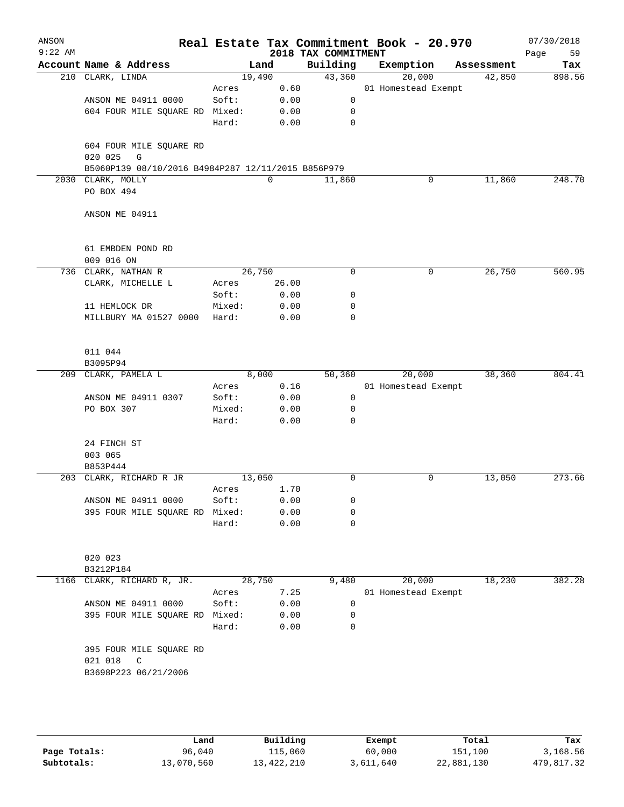| ANSON<br>$9:22$ AM |                                                    |            |       | 2018 TAX COMMITMENT | Real Estate Tax Commitment Book - 20.970 |            | 07/30/2018<br>59<br>Page |
|--------------------|----------------------------------------------------|------------|-------|---------------------|------------------------------------------|------------|--------------------------|
|                    | Account Name & Address                             | Land       |       | Building            | Exemption                                | Assessment | Tax                      |
|                    | 210 CLARK, LINDA                                   | 19,490     |       | 43,360              | 20,000                                   | 42,850     | 898.56                   |
|                    |                                                    | Acres      | 0.60  |                     | 01 Homestead Exempt                      |            |                          |
|                    | ANSON ME 04911 0000                                | Soft:      | 0.00  | $\mathbf 0$         |                                          |            |                          |
|                    | 604 FOUR MILE SQUARE RD Mixed:                     |            | 0.00  | 0                   |                                          |            |                          |
|                    |                                                    | Hard:      | 0.00  | $\mathbf 0$         |                                          |            |                          |
|                    |                                                    |            |       |                     |                                          |            |                          |
|                    | 604 FOUR MILE SQUARE RD                            |            |       |                     |                                          |            |                          |
|                    | 020 025<br>$\mathbb{G}$                            |            |       |                     |                                          |            |                          |
|                    | B5060P139 08/10/2016 B4984P287 12/11/2015 B856P979 |            |       |                     |                                          |            |                          |
|                    | 2030 CLARK, MOLLY                                  |            | 0     | 11,860              | 0                                        | 11,860     | 248.70                   |
|                    | PO BOX 494                                         |            |       |                     |                                          |            |                          |
|                    |                                                    |            |       |                     |                                          |            |                          |
|                    | ANSON ME 04911                                     |            |       |                     |                                          |            |                          |
|                    |                                                    |            |       |                     |                                          |            |                          |
|                    |                                                    |            |       |                     |                                          |            |                          |
|                    | 61 EMBDEN POND RD                                  |            |       |                     |                                          |            |                          |
|                    | 009 016 ON                                         |            |       |                     |                                          |            |                          |
|                    | 736 CLARK, NATHAN R                                | 26,750     |       | 0                   | 0                                        | 26,750     | 560.95                   |
|                    | CLARK, MICHELLE L                                  | Acres      | 26.00 |                     |                                          |            |                          |
|                    |                                                    | Soft:      | 0.00  | 0                   |                                          |            |                          |
|                    | 11 HEMLOCK DR                                      | Mixed:     | 0.00  | $\mathbf 0$         |                                          |            |                          |
|                    | MILLBURY MA 01527 0000                             | Hard:      | 0.00  | $\mathbf 0$         |                                          |            |                          |
|                    |                                                    |            |       |                     |                                          |            |                          |
|                    |                                                    |            |       |                     |                                          |            |                          |
|                    | 011 044                                            |            |       |                     |                                          |            |                          |
|                    | B3095P94                                           |            |       |                     |                                          |            |                          |
|                    | 209 CLARK, PAMELA L                                | 8,000      |       | 50,360              | 20,000                                   | 38,360     | 804.41                   |
|                    |                                                    | Acres      | 0.16  |                     | 01 Homestead Exempt                      |            |                          |
|                    | ANSON ME 04911 0307                                | Soft:      | 0.00  | $\mathbf 0$         |                                          |            |                          |
|                    | PO BOX 307                                         | Mixed:     | 0.00  | 0                   |                                          |            |                          |
|                    |                                                    | Hard:      | 0.00  | $\mathbf 0$         |                                          |            |                          |
|                    |                                                    |            |       |                     |                                          |            |                          |
|                    | 24 FINCH ST                                        |            |       |                     |                                          |            |                          |
|                    | 003 065                                            |            |       |                     |                                          |            |                          |
|                    | B853P444                                           |            |       |                     |                                          |            |                          |
|                    | 203 CLARK, RICHARD R JR                            | 13,050     |       | 0                   | 0                                        | 13,050     | 273.66                   |
|                    |                                                    | Acres 1.70 |       |                     |                                          |            |                          |
|                    | ANSON ME 04911 0000                                | Soft:      | 0.00  | 0                   |                                          |            |                          |
|                    | 395 FOUR MILE SQUARE RD Mixed:                     |            | 0.00  | 0                   |                                          |            |                          |
|                    |                                                    | Hard:      | 0.00  | 0                   |                                          |            |                          |
|                    |                                                    |            |       |                     |                                          |            |                          |
|                    |                                                    |            |       |                     |                                          |            |                          |
|                    | 020 023                                            |            |       |                     |                                          |            |                          |
|                    | B3212P184                                          |            |       |                     |                                          |            |                          |
| 1166               | CLARK, RICHARD R, JR.                              | 28,750     |       | 9,480               | 20,000                                   | 18,230     | 382.28                   |
|                    |                                                    | Acres      | 7.25  |                     | 01 Homestead Exempt                      |            |                          |
|                    | ANSON ME 04911 0000                                | Soft:      | 0.00  | 0                   |                                          |            |                          |
|                    | 395 FOUR MILE SQUARE RD                            | Mixed:     | 0.00  | 0                   |                                          |            |                          |
|                    |                                                    | Hard:      | 0.00  | 0                   |                                          |            |                          |
|                    |                                                    |            |       |                     |                                          |            |                          |
|                    | 395 FOUR MILE SQUARE RD                            |            |       |                     |                                          |            |                          |
|                    | 021 018<br>C                                       |            |       |                     |                                          |            |                          |
|                    | B3698P223 06/21/2006                               |            |       |                     |                                          |            |                          |
|                    |                                                    |            |       |                     |                                          |            |                          |
|                    |                                                    |            |       |                     |                                          |            |                          |
|                    |                                                    |            |       |                     |                                          |            |                          |
|                    |                                                    |            |       |                     |                                          |            |                          |

|              | Land       | Building   | Exempt    | Total      | Tax        |
|--------------|------------|------------|-----------|------------|------------|
| Page Totals: | 96,040     | 115,060    | 60,000    | 151,100    | 3,168.56   |
| Subtotals:   | 13,070,560 | 13,422,210 | 3,611,640 | 22,881,130 | 479,817.32 |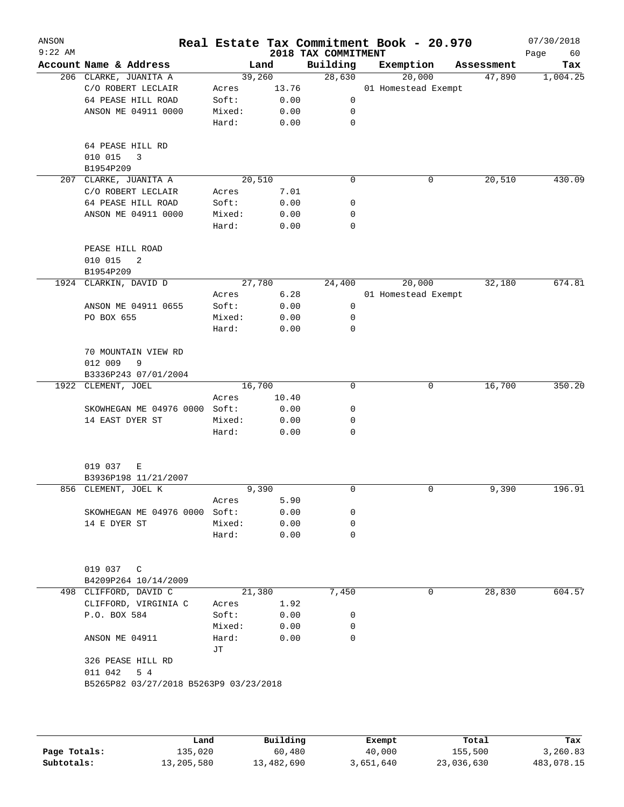| ANSON<br>$9:22$ AM |                                        |                 |              |                                 | Real Estate Tax Commitment Book - 20.970 |            | 07/30/2018        |
|--------------------|----------------------------------------|-----------------|--------------|---------------------------------|------------------------------------------|------------|-------------------|
|                    | Account Name & Address                 |                 | Land         | 2018 TAX COMMITMENT<br>Building | Exemption                                | Assessment | Page<br>60<br>Tax |
|                    | 206 CLARKE, JUANITA A                  | 39,260          |              | 28,630                          | 20,000                                   | 47,890     | 1,004.25          |
|                    | C/O ROBERT LECLAIR                     | Acres           | 13.76        |                                 | 01 Homestead Exempt                      |            |                   |
|                    | 64 PEASE HILL ROAD                     | Soft:           | 0.00         | 0                               |                                          |            |                   |
|                    | ANSON ME 04911 0000                    | Mixed:          | 0.00         | 0                               |                                          |            |                   |
|                    |                                        | Hard:           | 0.00         | $\mathbf 0$                     |                                          |            |                   |
|                    | 64 PEASE HILL RD<br>010 015<br>3       |                 |              |                                 |                                          |            |                   |
|                    | B1954P209                              |                 |              |                                 |                                          |            |                   |
|                    | 207 CLARKE, JUANITA A                  | 20,510          |              | 0                               | 0                                        | 20,510     | 430.09            |
|                    | C/O ROBERT LECLAIR                     | Acres           | 7.01         |                                 |                                          |            |                   |
|                    | 64 PEASE HILL ROAD                     | Soft:           | 0.00         | 0                               |                                          |            |                   |
|                    | ANSON ME 04911 0000                    | Mixed:          | 0.00         | 0                               |                                          |            |                   |
|                    |                                        | Hard:           | 0.00         | $\Omega$                        |                                          |            |                   |
|                    | PEASE HILL ROAD<br>010 015<br>2        |                 |              |                                 |                                          |            |                   |
|                    | B1954P209                              |                 |              |                                 |                                          |            |                   |
|                    | 1924 CLARKIN, DAVID D                  | 27,780          |              | 24,400                          | 20,000                                   | 32,180     | 674.81            |
|                    |                                        | Acres           | 6.28         |                                 | 01 Homestead Exempt                      |            |                   |
|                    | ANSON ME 04911 0655                    | Soft:           | 0.00         | 0                               |                                          |            |                   |
|                    | PO BOX 655                             | Mixed:<br>Hard: | 0.00<br>0.00 | 0<br>0                          |                                          |            |                   |
|                    | 70 MOUNTAIN VIEW RD<br>012 009<br>9    |                 |              |                                 |                                          |            |                   |
|                    | B3336P243 07/01/2004                   |                 |              |                                 |                                          |            |                   |
|                    | 1922 CLEMENT, JOEL                     | 16,700          |              | 0                               | 0                                        | 16,700     | 350.20            |
|                    |                                        | Acres           | 10.40        |                                 |                                          |            |                   |
|                    | SKOWHEGAN ME 04976 0000 Soft:          |                 | 0.00         | 0                               |                                          |            |                   |
|                    | 14 EAST DYER ST                        | Mixed:          | 0.00         | 0                               |                                          |            |                   |
|                    |                                        | Hard:           | 0.00         | 0                               |                                          |            |                   |
|                    | 019 037<br>Е<br>B3936P198 11/21/2007   |                 |              |                                 |                                          |            |                   |
|                    | 856 CLEMENT, JOEL K                    | 9,390           |              | 0                               | 0                                        | 9,390      | 196.91            |
|                    |                                        | Acres           | 5.90         |                                 |                                          |            |                   |
|                    | SKOWHEGAN ME 04976 0000                | Soft:           | 0.00         | 0                               |                                          |            |                   |
|                    | 14 E DYER ST                           | Mixed:          | 0.00         | 0                               |                                          |            |                   |
|                    |                                        | Hard:           | 0.00         | 0                               |                                          |            |                   |
|                    | 019 037 C<br>B4209P264 10/14/2009      |                 |              |                                 |                                          |            |                   |
|                    | 498 CLIFFORD, DAVID C                  | 21,380          |              | 7,450                           | 0                                        | 28,830     | 604.57            |
|                    | CLIFFORD, VIRGINIA C                   | Acres           | 1.92         |                                 |                                          |            |                   |
|                    | P.O. BOX 584                           | Soft:           | 0.00         | 0                               |                                          |            |                   |
|                    |                                        | Mixed:          | 0.00         | 0                               |                                          |            |                   |
|                    | ANSON ME 04911                         | Hard:           | 0.00         | $\Omega$                        |                                          |            |                   |
|                    | 326 PEASE HILL RD                      | JТ              |              |                                 |                                          |            |                   |
|                    | 011 042<br>5 4                         |                 |              |                                 |                                          |            |                   |
|                    | B5265P82 03/27/2018 B5263P9 03/23/2018 |                 |              |                                 |                                          |            |                   |
|                    |                                        |                 |              |                                 |                                          |            |                   |
|                    |                                        |                 |              |                                 |                                          |            |                   |
|                    |                                        |                 |              |                                 |                                          |            |                   |
|                    |                                        |                 |              |                                 |                                          |            |                   |
|                    |                                        |                 |              |                                 |                                          |            |                   |

|              | Land       | Building   | Exempt    | Total      | Tax        |
|--------------|------------|------------|-----------|------------|------------|
| Page Totals: | 135,020    | 60,480     | 40,000    | 155,500    | 3,260.83   |
| Subtotals:   | 13,205,580 | 13,482,690 | 3,651,640 | 23,036,630 | 483,078.15 |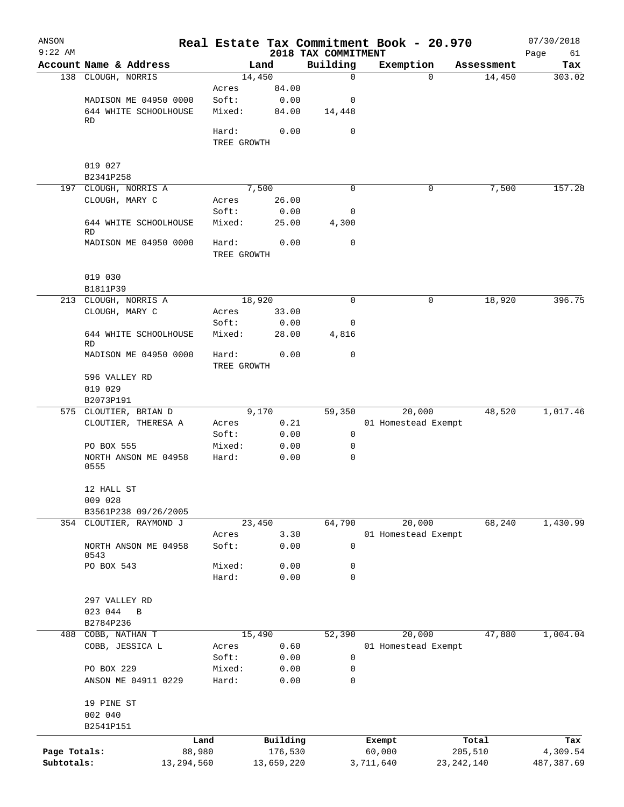| ANSON<br>$9:22$ AM |                              |            |                      |            | 2018 TAX COMMITMENT | Real Estate Tax Commitment Book - 20.970 |              | 07/30/2018<br>Page | 61     |
|--------------------|------------------------------|------------|----------------------|------------|---------------------|------------------------------------------|--------------|--------------------|--------|
|                    | Account Name & Address       |            |                      | Land       | Building            | Exemption                                | Assessment   |                    | Tax    |
|                    | 138 CLOUGH, NORRIS           |            | 14,450               |            | $\mathbf 0$         |                                          | 0            | 14,450             | 303.02 |
|                    |                              |            | Acres                | 84.00      |                     |                                          |              |                    |        |
|                    | MADISON ME 04950 0000        |            | Soft:                | 0.00       | 0                   |                                          |              |                    |        |
|                    | 644 WHITE SCHOOLHOUSE        |            | Mixed:               | 84.00      | 14,448              |                                          |              |                    |        |
|                    | RD                           |            |                      |            |                     |                                          |              |                    |        |
|                    |                              |            | Hard:                | 0.00       | 0                   |                                          |              |                    |        |
|                    |                              |            | TREE GROWTH          |            |                     |                                          |              |                    |        |
|                    | 019 027                      |            |                      |            |                     |                                          |              |                    |        |
|                    | B2341P258                    |            |                      |            |                     |                                          |              |                    |        |
|                    | 197 CLOUGH, NORRIS A         |            |                      | 7,500      | 0                   |                                          | 0            | 7,500              | 157.28 |
|                    | CLOUGH, MARY C               |            | Acres                | 26.00      |                     |                                          |              |                    |        |
|                    |                              |            | Soft:                | 0.00       | 0                   |                                          |              |                    |        |
|                    | 644 WHITE SCHOOLHOUSE        |            | Mixed:               | 25.00      | 4,300               |                                          |              |                    |        |
|                    | RD                           |            |                      |            |                     |                                          |              |                    |        |
|                    | MADISON ME 04950 0000        |            | Hard:                | 0.00       | 0                   |                                          |              |                    |        |
|                    |                              |            | TREE GROWTH          |            |                     |                                          |              |                    |        |
|                    | 019 030                      |            |                      |            |                     |                                          |              |                    |        |
|                    | B1811P39                     |            |                      |            |                     |                                          |              |                    |        |
|                    | 213 CLOUGH, NORRIS A         |            | 18,920               |            | 0                   |                                          | 0            | 18,920             | 396.75 |
|                    | CLOUGH, MARY C               |            | Acres                | 33.00      |                     |                                          |              |                    |        |
|                    |                              |            | Soft:                | 0.00       | 0                   |                                          |              |                    |        |
|                    | 644 WHITE SCHOOLHOUSE        |            | Mixed:               | 28.00      | 4,816               |                                          |              |                    |        |
|                    | RD                           |            |                      |            |                     |                                          |              |                    |        |
|                    | MADISON ME 04950 0000        |            | Hard:<br>TREE GROWTH | 0.00       | 0                   |                                          |              |                    |        |
|                    | 596 VALLEY RD                |            |                      |            |                     |                                          |              |                    |        |
|                    | 019 029                      |            |                      |            |                     |                                          |              |                    |        |
|                    | B2073P191                    |            |                      |            |                     |                                          |              |                    |        |
|                    | 575 CLOUTIER, BRIAN D        |            |                      | 9,170      | 59,350              | 20,000                                   |              | 1,017.46<br>48,520 |        |
|                    | CLOUTIER, THERESA A          |            | Acres                | 0.21       |                     | 01 Homestead Exempt                      |              |                    |        |
|                    |                              |            | Soft:                | 0.00       | 0                   |                                          |              |                    |        |
|                    | PO BOX 555                   |            | Mixed:               | 0.00       | 0                   |                                          |              |                    |        |
|                    | NORTH ANSON ME 04958<br>0555 |            | Hard:                | 0.00       | 0                   |                                          |              |                    |        |
|                    | 12 HALL ST                   |            |                      |            |                     |                                          |              |                    |        |
|                    | 009 028                      |            |                      |            |                     |                                          |              |                    |        |
|                    | B3561P238 09/26/2005         |            |                      |            |                     |                                          |              |                    |        |
|                    | 354 CLOUTIER, RAYMOND J      |            | 23,450               |            | 64,790              | 20,000                                   |              | 68,240<br>1,430.99 |        |
|                    |                              |            | Acres                | 3.30       |                     | 01 Homestead Exempt                      |              |                    |        |
|                    | NORTH ANSON ME 04958         |            | Soft:                | 0.00       | 0                   |                                          |              |                    |        |
|                    | 0543                         |            |                      |            |                     |                                          |              |                    |        |
|                    | PO BOX 543                   |            | Mixed:               | 0.00       | 0                   |                                          |              |                    |        |
|                    |                              |            | Hard:                | 0.00       | $\mathbf 0$         |                                          |              |                    |        |
|                    |                              |            |                      |            |                     |                                          |              |                    |        |
|                    | 297 VALLEY RD<br>023 044     |            |                      |            |                     |                                          |              |                    |        |
|                    | $\mathbf B$<br>B2784P236     |            |                      |            |                     |                                          |              |                    |        |
| 488                | COBB, NATHAN T               |            | 15,490               |            | 52,390              | 20,000                                   |              | 1,004.04<br>47,880 |        |
|                    | COBB, JESSICA L              |            | Acres                | 0.60       |                     | 01 Homestead Exempt                      |              |                    |        |
|                    |                              |            | Soft:                | 0.00       | 0                   |                                          |              |                    |        |
|                    | PO BOX 229                   |            | Mixed:               | 0.00       | 0                   |                                          |              |                    |        |
|                    | ANSON ME 04911 0229          |            | Hard:                | 0.00       | 0                   |                                          |              |                    |        |
|                    |                              |            |                      |            |                     |                                          |              |                    |        |
|                    | 19 PINE ST                   |            |                      |            |                     |                                          |              |                    |        |
|                    | 002 040                      |            |                      |            |                     |                                          |              |                    |        |
|                    | B2541P151                    |            |                      |            |                     |                                          |              |                    |        |
|                    |                              | Land       |                      | Building   |                     | Exempt                                   | Total        |                    | Tax    |
| Page Totals:       |                              | 88,980     |                      | 176,530    |                     | 60,000                                   | 205,510      | 4,309.54           |        |
| Subtotals:         |                              | 13,294,560 |                      | 13,659,220 |                     | 3,711,640                                | 23, 242, 140 | 487, 387.69        |        |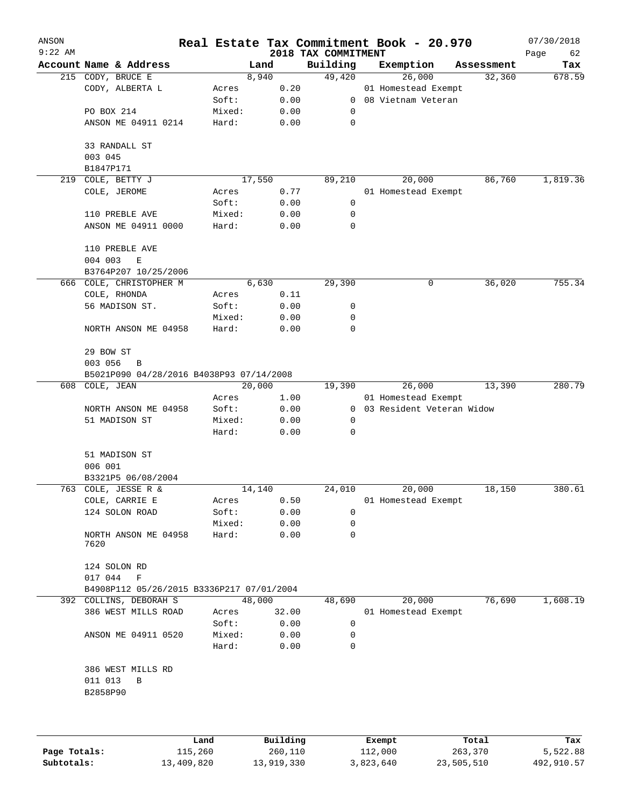| ANSON<br>$9:22$ AM |                                                 |        |       | 2018 TAX COMMITMENT | Real Estate Tax Commitment Book - 20.970 |            | 07/30/2018<br>Page<br>62 |
|--------------------|-------------------------------------------------|--------|-------|---------------------|------------------------------------------|------------|--------------------------|
|                    | Account Name & Address                          | Land   |       | Building            | Exemption                                | Assessment | Tax                      |
|                    | 215 CODY, BRUCE E                               | 8,940  |       | 49,420              | 26,000                                   | 32,360     | 678.59                   |
|                    | CODY, ALBERTA L                                 | Acres  | 0.20  |                     | 01 Homestead Exempt                      |            |                          |
|                    |                                                 | Soft:  | 0.00  | $\overline{0}$      | 08 Vietnam Veteran                       |            |                          |
|                    | PO BOX 214                                      | Mixed: | 0.00  | 0                   |                                          |            |                          |
|                    | ANSON ME 04911 0214                             | Hard:  | 0.00  | 0                   |                                          |            |                          |
|                    | 33 RANDALL ST<br>003 045                        |        |       |                     |                                          |            |                          |
|                    | B1847P171                                       |        |       |                     |                                          |            |                          |
| 219                | COLE, BETTY J                                   | 17,550 |       | 89,210              | 20,000                                   | 86,760     | 1,819.36                 |
|                    | COLE, JEROME                                    | Acres  | 0.77  |                     | 01 Homestead Exempt                      |            |                          |
|                    |                                                 | Soft:  | 0.00  | 0                   |                                          |            |                          |
|                    | 110 PREBLE AVE                                  | Mixed: | 0.00  | 0                   |                                          |            |                          |
|                    | ANSON ME 04911 0000                             | Hard:  | 0.00  | 0                   |                                          |            |                          |
|                    |                                                 |        |       |                     |                                          |            |                          |
|                    | 110 PREBLE AVE                                  |        |       |                     |                                          |            |                          |
|                    | 004 003<br>E                                    |        |       |                     |                                          |            |                          |
|                    | B3764P207 10/25/2006<br>666 COLE, CHRISTOPHER M |        |       | 29,390              |                                          |            | 755.34                   |
|                    |                                                 | 6,630  |       |                     | 0                                        | 36,020     |                          |
|                    | COLE, RHONDA                                    | Acres  | 0.11  |                     |                                          |            |                          |
|                    | 56 MADISON ST.                                  | Soft:  | 0.00  | 0                   |                                          |            |                          |
|                    |                                                 | Mixed: | 0.00  | 0                   |                                          |            |                          |
|                    | NORTH ANSON ME 04958                            | Hard:  | 0.00  | 0                   |                                          |            |                          |
|                    | 29 BOW ST                                       |        |       |                     |                                          |            |                          |
|                    | 003 056<br>B                                    |        |       |                     |                                          |            |                          |
|                    | B5021P090 04/28/2016 B4038P93 07/14/2008        |        |       |                     |                                          |            |                          |
| 608                | COLE, JEAN                                      | 20,000 |       | 19,390              | 26,000                                   | 13,390     | 280.79                   |
|                    |                                                 | Acres  | 1.00  |                     | 01 Homestead Exempt                      |            |                          |
|                    | NORTH ANSON ME 04958                            | Soft:  | 0.00  | $\overline{0}$      | 03 Resident Veteran Widow                |            |                          |
|                    | 51 MADISON ST                                   | Mixed: | 0.00  | 0                   |                                          |            |                          |
|                    |                                                 | Hard:  | 0.00  | 0                   |                                          |            |                          |
|                    | 51 MADISON ST                                   |        |       |                     |                                          |            |                          |
|                    | 006 001                                         |        |       |                     |                                          |            |                          |
|                    | B3321P5 06/08/2004                              |        |       |                     |                                          |            |                          |
|                    | 763 COLE, JESSE R &                             | 14,140 |       | 24,010              | 20,000                                   | 18,150     | 380.61                   |
|                    | COLE, CARRIE E                                  | Acres  | 0.50  |                     | 01 Homestead Exempt                      |            |                          |
|                    | 124 SOLON ROAD                                  | Soft:  | 0.00  | 0                   |                                          |            |                          |
|                    |                                                 | Mixed: | 0.00  | 0                   |                                          |            |                          |
|                    | NORTH ANSON ME 04958<br>7620                    | Hard:  | 0.00  | 0                   |                                          |            |                          |
|                    | 124 SOLON RD                                    |        |       |                     |                                          |            |                          |
|                    | 017 044<br>F                                    |        |       |                     |                                          |            |                          |
|                    | B4908P112 05/26/2015 B3336P217 07/01/2004       |        |       |                     |                                          |            |                          |
|                    | 392 COLLINS, DEBORAH S                          | 48,000 |       | 48,690              | 20,000                                   | 76,690     | 1,608.19                 |
|                    | 386 WEST MILLS ROAD                             | Acres  | 32.00 |                     | 01 Homestead Exempt                      |            |                          |
|                    |                                                 | Soft:  | 0.00  | $\mathbf 0$         |                                          |            |                          |
|                    | ANSON ME 04911 0520                             | Mixed: | 0.00  | 0                   |                                          |            |                          |
|                    |                                                 | Hard:  | 0.00  | 0                   |                                          |            |                          |
|                    | 386 WEST MILLS RD                               |        |       |                     |                                          |            |                          |
|                    | 011 013<br>В                                    |        |       |                     |                                          |            |                          |
|                    | B2858P90                                        |        |       |                     |                                          |            |                          |
|                    |                                                 |        |       |                     |                                          |            |                          |
|                    |                                                 |        |       |                     |                                          |            |                          |
|                    |                                                 |        |       |                     |                                          |            |                          |

|              | Land       | Building   | Exempt    | Total      | Tax        |
|--------------|------------|------------|-----------|------------|------------|
| Page Totals: | 115,260    | 260,110    | 112,000   | 263,370    | 5,522.88   |
| Subtotals:   | 13,409,820 | 13,919,330 | 3,823,640 | 23,505,510 | 492,910.57 |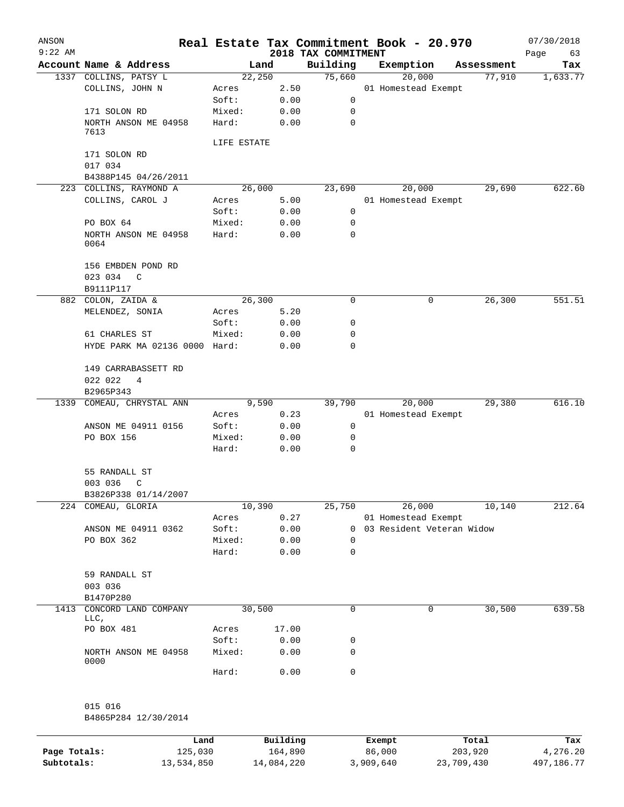| ANSON        |                                   |                 |              |                                 | Real Estate Tax Commitment Book - 20.970 |   |            | 07/30/2018        |
|--------------|-----------------------------------|-----------------|--------------|---------------------------------|------------------------------------------|---|------------|-------------------|
| $9:22$ AM    | Account Name & Address            | Land            |              | 2018 TAX COMMITMENT<br>Building | Exemption                                |   | Assessment | Page<br>63<br>Tax |
|              | 1337 COLLINS, PATSY L             | 22,250          |              | 75,660                          | 20,000                                   |   | 77,910     | 1,633.77          |
|              | COLLINS, JOHN N                   | Acres           | 2.50         |                                 | 01 Homestead Exempt                      |   |            |                   |
|              |                                   | Soft:           | 0.00         | 0                               |                                          |   |            |                   |
|              | 171 SOLON RD                      | Mixed:          | 0.00         | 0                               |                                          |   |            |                   |
|              | NORTH ANSON ME 04958<br>7613      | Hard:           | 0.00         | $\mathbf 0$                     |                                          |   |            |                   |
|              |                                   | LIFE ESTATE     |              |                                 |                                          |   |            |                   |
|              | 171 SOLON RD                      |                 |              |                                 |                                          |   |            |                   |
|              | 017 034                           |                 |              |                                 |                                          |   |            |                   |
|              | B4388P145 04/26/2011              |                 |              |                                 |                                          |   |            |                   |
|              | 223 COLLINS, RAYMOND A            | 26,000          |              | 23,690                          | 20,000                                   |   | 29,690     | 622.60            |
|              | COLLINS, CAROL J                  | Acres           | 5.00         |                                 | 01 Homestead Exempt                      |   |            |                   |
|              |                                   | Soft:           | 0.00         | 0                               |                                          |   |            |                   |
|              | PO BOX 64                         | Mixed:          | 0.00         | 0                               |                                          |   |            |                   |
|              | NORTH ANSON ME 04958<br>0064      | Hard:           | 0.00         | 0                               |                                          |   |            |                   |
|              | 156 EMBDEN POND RD                |                 |              |                                 |                                          |   |            |                   |
|              | 023 034<br>C                      |                 |              |                                 |                                          |   |            |                   |
|              | B9111P117                         |                 |              |                                 |                                          |   |            |                   |
|              | 882 COLON, ZAIDA &                | 26,300          |              | 0                               |                                          | 0 | 26,300     | 551.51            |
|              | MELENDEZ, SONIA                   | Acres           | 5.20         |                                 |                                          |   |            |                   |
|              |                                   | Soft:           | 0.00         | 0                               |                                          |   |            |                   |
|              | 61 CHARLES ST                     | Mixed:          | 0.00         | 0                               |                                          |   |            |                   |
|              | HYDE PARK MA 02136 0000 Hard:     |                 | 0.00         | 0                               |                                          |   |            |                   |
|              | 149 CARRABASSETT RD               |                 |              |                                 |                                          |   |            |                   |
|              | 022 022<br>4                      |                 |              |                                 |                                          |   |            |                   |
|              | B2965P343                         |                 |              |                                 |                                          |   |            |                   |
| 1339         | COMEAU, CHRYSTAL ANN              | 9,590           |              | 39,790                          | 20,000                                   |   | 29,380     | 616.10            |
|              |                                   | Acres           | 0.23         |                                 | 01 Homestead Exempt                      |   |            |                   |
|              | ANSON ME 04911 0156<br>PO BOX 156 | Soft:<br>Mixed: | 0.00<br>0.00 | 0<br>0                          |                                          |   |            |                   |
|              |                                   | Hard:           | 0.00         | 0                               |                                          |   |            |                   |
|              | 55 RANDALL ST                     |                 |              |                                 |                                          |   |            |                   |
|              | 003 036<br>C                      |                 |              |                                 |                                          |   |            |                   |
|              | B3826P338 01/14/2007              |                 |              |                                 |                                          |   |            |                   |
| 224          | COMEAU, GLORIA                    | 10,390          |              | 25,750                          | 26,000                                   |   | 10,140     | 212.64            |
|              |                                   | Acres           | 0.27         |                                 | 01 Homestead Exempt                      |   |            |                   |
|              | ANSON ME 04911 0362               | Soft:           | 0.00         | 0                               | 03 Resident Veteran Widow                |   |            |                   |
|              | PO BOX 362                        | Mixed:          | 0.00         | 0                               |                                          |   |            |                   |
|              |                                   | Hard:           | 0.00         | 0                               |                                          |   |            |                   |
|              | 59 RANDALL ST                     |                 |              |                                 |                                          |   |            |                   |
|              | 003 036<br>B1470P280              |                 |              |                                 |                                          |   |            |                   |
| 1413         | CONCORD LAND COMPANY<br>LLC,      | 30,500          |              | 0                               |                                          | 0 | 30,500     | 639.58            |
|              | PO BOX 481                        | Acres           | 17.00        |                                 |                                          |   |            |                   |
|              |                                   | Soft:           | 0.00         | 0                               |                                          |   |            |                   |
|              | NORTH ANSON ME 04958<br>0000      | Mixed:          | 0.00         | 0                               |                                          |   |            |                   |
|              |                                   | Hard:           | 0.00         | 0                               |                                          |   |            |                   |
|              | 015 016                           |                 |              |                                 |                                          |   |            |                   |
|              | B4865P284 12/30/2014              |                 |              |                                 |                                          |   |            |                   |
|              | Land                              |                 | Building     |                                 | Exempt                                   |   | Total      | Tax               |
| Page Totals: | 125,030                           |                 | 164,890      |                                 | 86,000                                   |   | 203,920    | 4,276.20          |

**Subtotals:** 13,534,850 14,084,220 3,909,640 23,709,430 497,186.77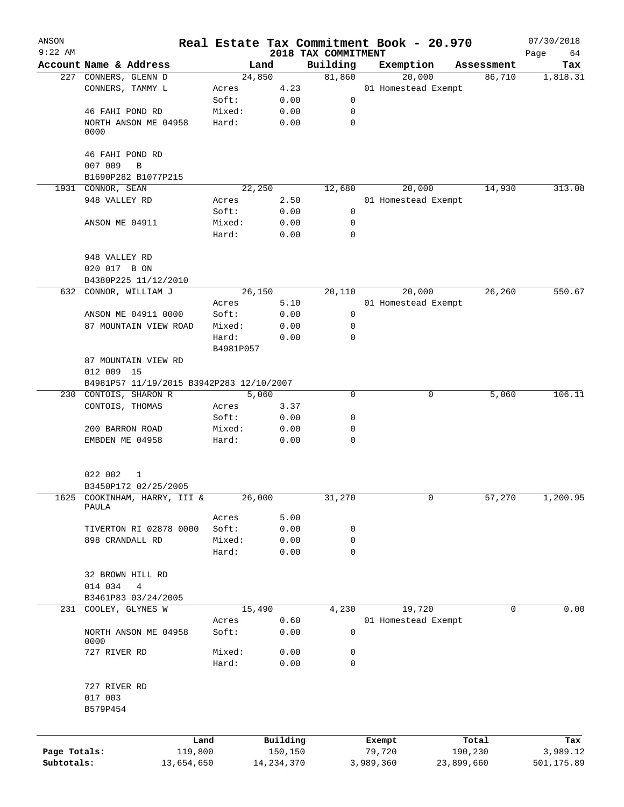| ANSON<br>$9:22$ AM         |                                          |                 |                         |                                 | Real Estate Tax Commitment Book - 20.970 |            |            | 07/30/2018             |
|----------------------------|------------------------------------------|-----------------|-------------------------|---------------------------------|------------------------------------------|------------|------------|------------------------|
|                            | Account Name & Address                   |                 | Land                    | 2018 TAX COMMITMENT<br>Building | Exemption                                |            | Assessment | Page<br>64<br>Tax      |
|                            | 227 CONNERS, GLENN D                     |                 | 24,850                  | 81,860                          | 20,000                                   |            | 86,710     | 1,818.31               |
|                            | CONNERS, TAMMY L                         | Acres           | 4.23                    |                                 | 01 Homestead Exempt                      |            |            |                        |
|                            |                                          | Soft:           | 0.00                    | 0                               |                                          |            |            |                        |
|                            | 46 FAHI POND RD                          | Mixed:          | 0.00                    | 0                               |                                          |            |            |                        |
|                            | NORTH ANSON ME 04958<br>0000             | Hard:           | 0.00                    | $\mathbf 0$                     |                                          |            |            |                        |
|                            | 46 FAHI POND RD                          |                 |                         |                                 |                                          |            |            |                        |
|                            | 007 009<br>B                             |                 |                         |                                 |                                          |            |            |                        |
|                            | B1690P282 B1077P215                      |                 |                         |                                 |                                          |            |            |                        |
|                            | 1931 CONNOR, SEAN                        |                 | 22,250                  | 12,680                          | 20,000                                   |            | 14,930     | 313.08                 |
|                            | 948 VALLEY RD                            | Acres           | 2.50                    |                                 | 01 Homestead Exempt                      |            |            |                        |
|                            |                                          | Soft:           | 0.00                    | $\mathsf{O}$                    |                                          |            |            |                        |
|                            | ANSON ME 04911                           | Mixed:<br>Hard: | 0.00<br>0.00            | 0<br>$\mathbf 0$                |                                          |            |            |                        |
|                            | 948 VALLEY RD                            |                 |                         |                                 |                                          |            |            |                        |
|                            | 020 017 B ON                             |                 |                         |                                 |                                          |            |            |                        |
|                            | B4380P225 11/12/2010                     |                 |                         |                                 |                                          |            |            |                        |
|                            | 632 CONNOR, WILLIAM J                    |                 | 26,150                  | 20,110                          | 20,000                                   |            | 26,260     | 550.67                 |
|                            |                                          | Acres           | 5.10                    |                                 | 01 Homestead Exempt                      |            |            |                        |
|                            | ANSON ME 04911 0000                      | Soft:           | 0.00                    | 0                               |                                          |            |            |                        |
|                            | 87 MOUNTAIN VIEW ROAD                    | Mixed:          | 0.00                    | 0                               |                                          |            |            |                        |
|                            |                                          | Hard:           | 0.00                    | 0                               |                                          |            |            |                        |
|                            |                                          | B4981P057       |                         |                                 |                                          |            |            |                        |
|                            | 87 MOUNTAIN VIEW RD                      |                 |                         |                                 |                                          |            |            |                        |
|                            | 012 009 15                               |                 |                         |                                 |                                          |            |            |                        |
|                            | B4981P57 11/19/2015 B3942P283 12/10/2007 |                 |                         |                                 |                                          |            |            |                        |
|                            | 230 CONTOIS, SHARON R                    |                 | 5,060                   | 0                               |                                          | 0          | 5,060      | 106.11                 |
|                            | CONTOIS, THOMAS                          | Acres           | 3.37                    |                                 |                                          |            |            |                        |
|                            |                                          | Soft:           | 0.00                    | 0                               |                                          |            |            |                        |
|                            | 200 BARRON ROAD                          | Mixed:          | 0.00                    | 0                               |                                          |            |            |                        |
|                            | EMBDEN ME 04958                          | Hard:           | 0.00                    | 0                               |                                          |            |            |                        |
|                            | 022 002<br>1<br>B3450P172 02/25/2005     |                 |                         |                                 |                                          |            |            |                        |
| 1625                       | COOKINHAM, HARRY, III &                  |                 | 26,000                  | 31,270                          |                                          | 0          | 57,270     | 1,200.95               |
|                            | PAULA                                    |                 |                         |                                 |                                          |            |            |                        |
|                            |                                          | Acres           | 5.00                    |                                 |                                          |            |            |                        |
|                            | TIVERTON RI 02878 0000                   | Soft:           | 0.00                    | 0                               |                                          |            |            |                        |
|                            | 898 CRANDALL RD                          | Mixed:          | 0.00                    | 0                               |                                          |            |            |                        |
|                            |                                          | Hard:           | 0.00                    | $\mathbf 0$                     |                                          |            |            |                        |
|                            | 32 BROWN HILL RD                         |                 |                         |                                 |                                          |            |            |                        |
|                            | 014 034<br>4                             |                 |                         |                                 |                                          |            |            |                        |
|                            | B3461P83 03/24/2005                      |                 |                         |                                 |                                          |            |            |                        |
|                            | 231 COOLEY, GLYNES W                     |                 | 15,490                  | 4,230                           | 19,720                                   |            | 0          | 0.00                   |
|                            |                                          | Acres           | 0.60                    |                                 | 01 Homestead Exempt                      |            |            |                        |
|                            | NORTH ANSON ME 04958<br>0000             | Soft:           | 0.00                    | 0                               |                                          |            |            |                        |
|                            | 727 RIVER RD                             | Mixed:          | 0.00                    | 0                               |                                          |            |            |                        |
|                            |                                          | Hard:           | 0.00                    | $\mathbf 0$                     |                                          |            |            |                        |
|                            | 727 RIVER RD                             |                 |                         |                                 |                                          |            |            |                        |
|                            | 017 003<br>B579P454                      |                 |                         |                                 |                                          |            |            |                        |
|                            |                                          |                 |                         |                                 |                                          |            |            |                        |
|                            |                                          | Land            | Building                |                                 | Exempt                                   |            | Total      | Tax                    |
| Page Totals:<br>Subtotals: | 13,654,650                               | 119,800         | 150,150<br>14, 234, 370 |                                 | 79,720<br>3,989,360                      | 23,899,660 | 190,230    | 3,989.12<br>501,175.89 |
|                            |                                          |                 |                         |                                 |                                          |            |            |                        |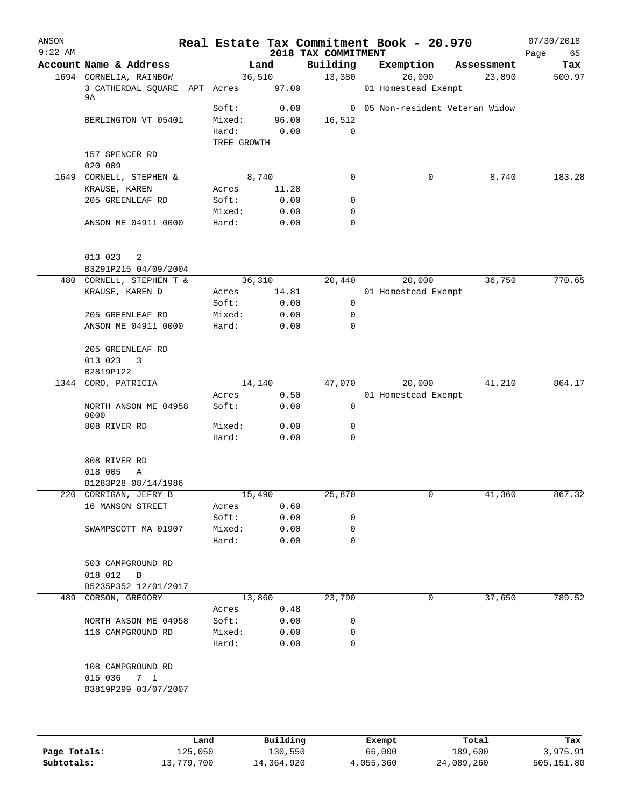| ANSON<br>$9:22$ AM |                                                                    |                |              | 2018 TAX COMMITMENT | Real Estate Tax Commitment Book - 20.970 |                                 | 07/30/2018<br>65<br>Page |
|--------------------|--------------------------------------------------------------------|----------------|--------------|---------------------|------------------------------------------|---------------------------------|--------------------------|
|                    | Account Name & Address                                             | Land           |              | Building            | Exemption                                | Assessment                      | Tax                      |
|                    | 1694 CORNELIA, RAINBOW<br>3 CATHERDAL SOUARE APT Acres 97.00<br>9A | 36,510         |              | 13,380              | 26,000<br>01 Homestead Exempt            | 23,890                          | 500.97                   |
|                    |                                                                    | Soft:          | 0.00         |                     |                                          | 0 05 Non-resident Veteran Widow |                          |
|                    | BERLINGTON VT 05401                                                | Mixed:         | 96.00        | 16,512              |                                          |                                 |                          |
|                    |                                                                    | Hard:          | 0.00         | 0                   |                                          |                                 |                          |
|                    |                                                                    | TREE GROWTH    |              |                     |                                          |                                 |                          |
|                    | 157 SPENCER RD<br>020 009                                          |                |              |                     |                                          |                                 |                          |
|                    | 1649 CORNELL, STEPHEN &                                            | 8,740          |              | $\Omega$            | 0                                        | 8,740                           | 183.28                   |
|                    | KRAUSE, KAREN                                                      | Acres          | 11.28        |                     |                                          |                                 |                          |
|                    | 205 GREENLEAF RD                                                   | Soft:          | 0.00         | 0                   |                                          |                                 |                          |
|                    |                                                                    | Mixed:         | 0.00         | $\mathbf 0$         |                                          |                                 |                          |
|                    | ANSON ME 04911 0000                                                | Hard:          | 0.00         | $\mathbf 0$         |                                          |                                 |                          |
|                    | 013 023<br>-2                                                      |                |              |                     |                                          |                                 |                          |
|                    | B3291P215 04/09/2004                                               |                |              |                     |                                          |                                 |                          |
|                    | 480 CORNELL, STEPHEN T &                                           | 36,310         |              | 20,440              | 20,000                                   | 36,750                          | 770.65                   |
|                    | KRAUSE, KAREN D                                                    | Acres<br>Soft: | 14.81        | 0                   | 01 Homestead Exempt                      |                                 |                          |
|                    | 205 GREENLEAF RD                                                   | Mixed:         | 0.00<br>0.00 | 0                   |                                          |                                 |                          |
|                    | ANSON ME 04911 0000                                                | Hard:          | 0.00         | $\mathbf 0$         |                                          |                                 |                          |
|                    |                                                                    |                |              |                     |                                          |                                 |                          |
|                    | 205 GREENLEAF RD                                                   |                |              |                     |                                          |                                 |                          |
|                    | 013 023<br>$\overline{\mathbf{3}}$                                 |                |              |                     |                                          |                                 |                          |
|                    | B2819P122                                                          |                |              |                     |                                          |                                 |                          |
|                    | 1344 CORO, PATRICIA                                                | 14,140         |              | 47,070              | 20,000                                   | 41,210                          | 864.17                   |
|                    |                                                                    | Acres          | 0.50         |                     | 01 Homestead Exempt                      |                                 |                          |
|                    | NORTH ANSON ME 04958<br>0000                                       | Soft:          | 0.00         | 0                   |                                          |                                 |                          |
|                    | 808 RIVER RD                                                       | Mixed:         | 0.00         | 0                   |                                          |                                 |                          |
|                    |                                                                    | Hard:          | 0.00         | $\mathbf 0$         |                                          |                                 |                          |
|                    | 808 RIVER RD<br>018 005<br>Α                                       |                |              |                     |                                          |                                 |                          |
|                    | B1283P28 08/14/1986                                                |                |              |                     |                                          |                                 |                          |
|                    | 220 CORRIGAN, JEFRY B                                              |                | 15,490       | 25,870              |                                          | 41,360                          | 867.32                   |
|                    | 16 MANSON STREET                                                   | Acres          | 0.60         |                     |                                          |                                 |                          |
|                    |                                                                    | Soft:          | 0.00         | 0                   |                                          |                                 |                          |
|                    | SWAMPSCOTT MA 01907                                                | Mixed:         | 0.00         | 0                   |                                          |                                 |                          |
|                    |                                                                    | Hard:          | 0.00         | $\mathbf 0$         |                                          |                                 |                          |
|                    | 503 CAMPGROUND RD                                                  |                |              |                     |                                          |                                 |                          |
|                    | 018 012 B                                                          |                |              |                     |                                          |                                 |                          |
|                    | B5235P352 12/01/2017<br>489 CORSON, GREGORY                        |                | 13,860       | 23,790              | 0                                        | 37,650                          | 789.52                   |
|                    |                                                                    | Acres          | 0.48         |                     |                                          |                                 |                          |
|                    | NORTH ANSON ME 04958                                               | Soft:          | 0.00         | 0                   |                                          |                                 |                          |
|                    | 116 CAMPGROUND RD                                                  | Mixed:         | 0.00         | $\mathbf 0$         |                                          |                                 |                          |
|                    |                                                                    | Hard:          | 0.00         | 0                   |                                          |                                 |                          |
|                    | 108 CAMPGROUND RD<br>015 036 7 1<br>B3819P299 03/07/2007           |                |              |                     |                                          |                                 |                          |
|                    |                                                                    |                |              |                     |                                          |                                 |                          |

|              | Land       | Building   | Exempt    | Total      | Tax        |
|--------------|------------|------------|-----------|------------|------------|
| Page Totals: | 125,050    | 130,550    | 66,000    | 189,600    | 3,975.91   |
| Subtotals:   | 13,779,700 | 14,364,920 | 4,055,360 | 24,089,260 | 505,151.80 |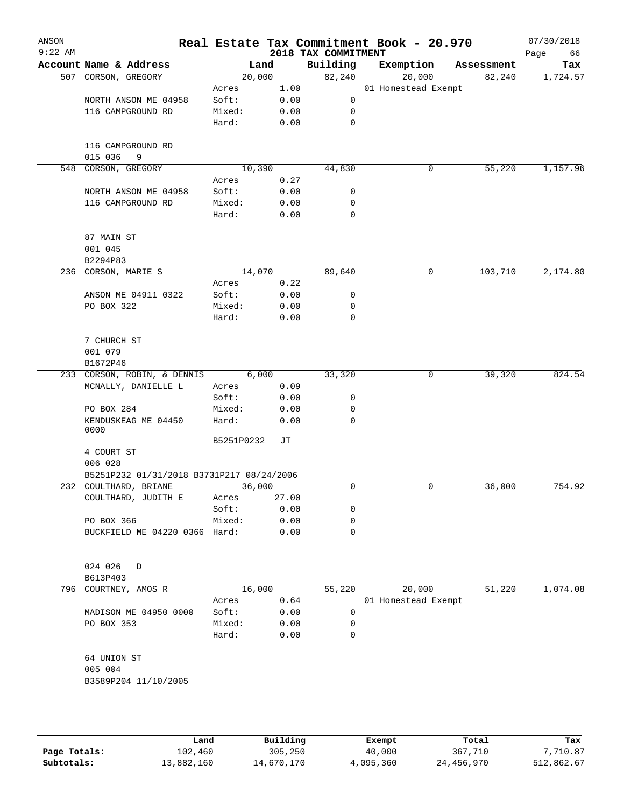| ANSON<br>$9:22$ AM |                                           |                 |              | 2018 TAX COMMITMENT | Real Estate Tax Commitment Book - 20.970 |            | 07/30/2018<br>66<br>Page |
|--------------------|-------------------------------------------|-----------------|--------------|---------------------|------------------------------------------|------------|--------------------------|
|                    | Account Name & Address                    | Land            |              | Building            | Exemption                                | Assessment | Tax                      |
|                    | 507 CORSON, GREGORY                       | 20,000          |              | 82,240              | 20,000                                   | 82,240     | 1,724.57                 |
|                    |                                           | Acres           | 1.00         |                     | 01 Homestead Exempt                      |            |                          |
|                    | NORTH ANSON ME 04958                      | Soft:           | 0.00         | 0                   |                                          |            |                          |
|                    | 116 CAMPGROUND RD                         | Mixed:          | 0.00         | 0                   |                                          |            |                          |
|                    |                                           | Hard:           | 0.00         | 0                   |                                          |            |                          |
|                    | 116 CAMPGROUND RD<br>015 036<br>9         |                 |              |                     |                                          |            |                          |
| 548                | CORSON, GREGORY                           | 10,390          |              | 44,830              | 0                                        | 55,220     | 1,157.96                 |
|                    |                                           | Acres           | 0.27         |                     |                                          |            |                          |
|                    | NORTH ANSON ME 04958                      | Soft:           | 0.00         | 0                   |                                          |            |                          |
|                    | 116 CAMPGROUND RD                         | Mixed:          | 0.00         | 0                   |                                          |            |                          |
|                    |                                           | Hard:           | 0.00         | $\mathbf 0$         |                                          |            |                          |
|                    | 87 MAIN ST                                |                 |              |                     |                                          |            |                          |
|                    | 001 045                                   |                 |              |                     |                                          |            |                          |
|                    | B2294P83                                  |                 |              |                     |                                          |            |                          |
|                    | 236 CORSON, MARIE S                       | 14,070          |              | 89,640              | 0                                        | 103,710    | 2,174.80                 |
|                    |                                           | Acres           | 0.22         |                     |                                          |            |                          |
|                    | ANSON ME 04911 0322                       | Soft:           | 0.00         | 0                   |                                          |            |                          |
|                    | PO BOX 322                                | Mixed:          | 0.00         | 0                   |                                          |            |                          |
|                    |                                           | Hard:           | 0.00         | $\mathbf 0$         |                                          |            |                          |
|                    | 7 CHURCH ST                               |                 |              |                     |                                          |            |                          |
|                    | 001 079                                   |                 |              |                     |                                          |            |                          |
|                    | B1672P46                                  |                 |              |                     |                                          |            |                          |
|                    | 233 CORSON, ROBIN, & DENNIS               | 6,000           |              | 33,320              | 0                                        | 39,320     | 824.54                   |
|                    | MCNALLY, DANIELLE L                       | Acres           | 0.09         |                     |                                          |            |                          |
|                    |                                           | Soft:           | 0.00         | 0                   |                                          |            |                          |
|                    | PO BOX 284                                | Mixed:          | 0.00         | 0                   |                                          |            |                          |
|                    | KENDUSKEAG ME 04450<br>0000               | Hard:           | 0.00         | $\Omega$            |                                          |            |                          |
|                    |                                           | B5251P0232      | JT           |                     |                                          |            |                          |
|                    | 4 COURT ST                                |                 |              |                     |                                          |            |                          |
|                    | 006 028                                   |                 |              |                     |                                          |            |                          |
|                    | B5251P232 01/31/2018 B3731P217 08/24/2006 |                 |              |                     |                                          |            |                          |
|                    | 232 COULTHARD, BRIANE                     | 36,000          |              | 0                   | 0                                        | 36,000     | 754.92                   |
|                    | COULTHARD, JUDITH E                       | Acres           | 27.00        |                     |                                          |            |                          |
|                    |                                           | Soft:           | 0.00         | 0                   |                                          |            |                          |
|                    | PO BOX 366                                | Mixed:          | 0.00         | 0                   |                                          |            |                          |
|                    | BUCKFIELD ME 04220 0366 Hard:             |                 | 0.00         | 0                   |                                          |            |                          |
|                    |                                           |                 |              |                     |                                          |            |                          |
|                    | 024 026<br>D                              |                 |              |                     |                                          |            |                          |
|                    | B613P403                                  |                 |              |                     |                                          |            |                          |
|                    | 796 COURTNEY, AMOS R                      | 16,000          |              | 55,220              | 20,000                                   | 51,220     | 1,074.08                 |
|                    |                                           | Acres           | 0.64         |                     | 01 Homestead Exempt                      |            |                          |
|                    | MADISON ME 04950 0000                     | Soft:           | 0.00         | 0                   |                                          |            |                          |
|                    | PO BOX 353                                | Mixed:<br>Hard: | 0.00<br>0.00 | 0<br>0              |                                          |            |                          |
|                    | 64 UNION ST                               |                 |              |                     |                                          |            |                          |
|                    | 005 004                                   |                 |              |                     |                                          |            |                          |
|                    | B3589P204 11/10/2005                      |                 |              |                     |                                          |            |                          |
|                    |                                           |                 |              |                     |                                          |            |                          |
|                    |                                           |                 |              |                     |                                          |            |                          |
|                    |                                           |                 |              |                     |                                          |            |                          |
|                    |                                           |                 |              |                     |                                          |            |                          |

|              | Land       | Building   | Exempt    | Total      | Tax        |
|--------------|------------|------------|-----------|------------|------------|
| Page Totals: | 102,460    | 305,250    | 40,000    | 367,710    | 7,710.87   |
| Subtotals:   | 13,882,160 | 14,670,170 | 4,095,360 | 24,456,970 | 512,862.67 |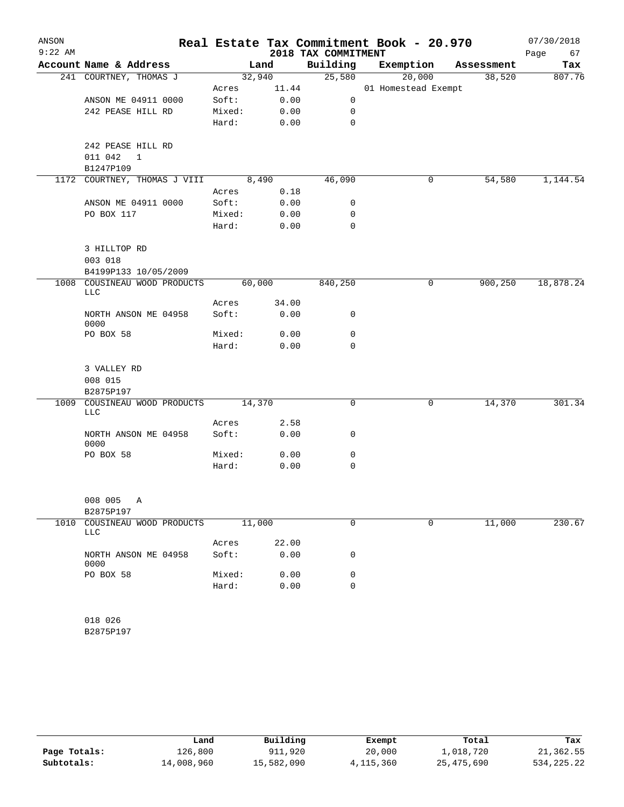| ANSON<br>$9:22$ AM |                                              |        |        | 2018 TAX COMMITMENT | Real Estate Tax Commitment Book - 20.970 |            | 07/30/2018<br>Page<br>67 |
|--------------------|----------------------------------------------|--------|--------|---------------------|------------------------------------------|------------|--------------------------|
|                    | Account Name & Address                       |        | Land   | Building            | Exemption                                | Assessment | Tax                      |
|                    | 241 COURTNEY, THOMAS J                       |        | 32,940 | 25,580              | 20,000                                   | 38,520     | 807.76                   |
|                    |                                              | Acres  | 11.44  |                     | 01 Homestead Exempt                      |            |                          |
|                    | ANSON ME 04911 0000                          | Soft:  | 0.00   | 0                   |                                          |            |                          |
|                    | 242 PEASE HILL RD                            | Mixed: | 0.00   | 0                   |                                          |            |                          |
|                    |                                              | Hard:  | 0.00   | $\mathbf 0$         |                                          |            |                          |
|                    | 242 PEASE HILL RD<br>011 042<br>$\mathbf{1}$ |        |        |                     |                                          |            |                          |
|                    | B1247P109                                    |        |        |                     |                                          |            |                          |
|                    | 1172 COURTNEY, THOMAS J VIII                 |        | 8,490  | 46,090              | 0                                        | 54,580     | 1,144.54                 |
|                    |                                              | Acres  | 0.18   |                     |                                          |            |                          |
|                    | ANSON ME 04911 0000                          | Soft:  | 0.00   | 0                   |                                          |            |                          |
|                    | PO BOX 117                                   | Mixed: | 0.00   | $\mathsf{O}$        |                                          |            |                          |
|                    |                                              | Hard:  | 0.00   | $\mathbf 0$         |                                          |            |                          |
|                    | 3 HILLTOP RD<br>003 018                      |        |        |                     |                                          |            |                          |
|                    | B4199P133 10/05/2009                         |        |        |                     |                                          |            |                          |
| 1008               | COUSINEAU WOOD PRODUCTS<br>LLC               |        | 60,000 | 840,250             | 0                                        | 900,250    | 18,878.24                |
|                    |                                              | Acres  | 34.00  |                     |                                          |            |                          |
|                    | NORTH ANSON ME 04958<br>0000                 | Soft:  | 0.00   | 0                   |                                          |            |                          |
|                    | PO BOX 58                                    | Mixed: | 0.00   | 0                   |                                          |            |                          |
|                    |                                              | Hard:  | 0.00   | $\Omega$            |                                          |            |                          |
|                    | 3 VALLEY RD                                  |        |        |                     |                                          |            |                          |
|                    | 008 015                                      |        |        |                     |                                          |            |                          |
|                    | B2875P197                                    |        |        |                     |                                          |            |                          |
|                    | 1009 COUSINEAU WOOD PRODUCTS                 |        | 14,370 | 0                   | 0                                        | 14,370     | 301.34                   |
|                    | <b>LLC</b>                                   |        |        |                     |                                          |            |                          |
|                    |                                              | Acres  | 2.58   |                     |                                          |            |                          |
|                    | NORTH ANSON ME 04958<br>0000                 | Soft:  | 0.00   | 0                   |                                          |            |                          |
|                    | PO BOX 58                                    | Mixed: | 0.00   | 0                   |                                          |            |                          |
|                    |                                              | Hard:  | 0.00   | $\mathbf 0$         |                                          |            |                          |
|                    |                                              |        |        |                     |                                          |            |                          |
|                    | 008 005<br>Α<br>B2875P197                    |        |        |                     |                                          |            |                          |
| 1010               | COUSINEAU WOOD PRODUCTS                      |        | 11,000 | 0                   | 0                                        | 11,000     | 230.67                   |
|                    | LLC                                          |        |        |                     |                                          |            |                          |
|                    |                                              | Acres  | 22.00  |                     |                                          |            |                          |
|                    | NORTH ANSON ME 04958<br>0000                 | Soft:  | 0.00   | 0                   |                                          |            |                          |
|                    | PO BOX 58                                    | Mixed: | 0.00   | 0                   |                                          |            |                          |
|                    |                                              | Hard:  | 0.00   | 0                   |                                          |            |                          |
|                    | 018 026                                      |        |        |                     |                                          |            |                          |
|                    | B2875P197                                    |        |        |                     |                                          |            |                          |
|                    |                                              |        |        |                     |                                          |            |                          |

|              | Land       | Building   | Exempt    | Total      | Tax          |
|--------------|------------|------------|-----------|------------|--------------|
| Page Totals: | 126,800    | 911,920    | 20,000    | 1,018,720  | 21,362.55    |
| Subtotals:   | 14,008,960 | 15,582,090 | 4,115,360 | 25,475,690 | 534, 225, 22 |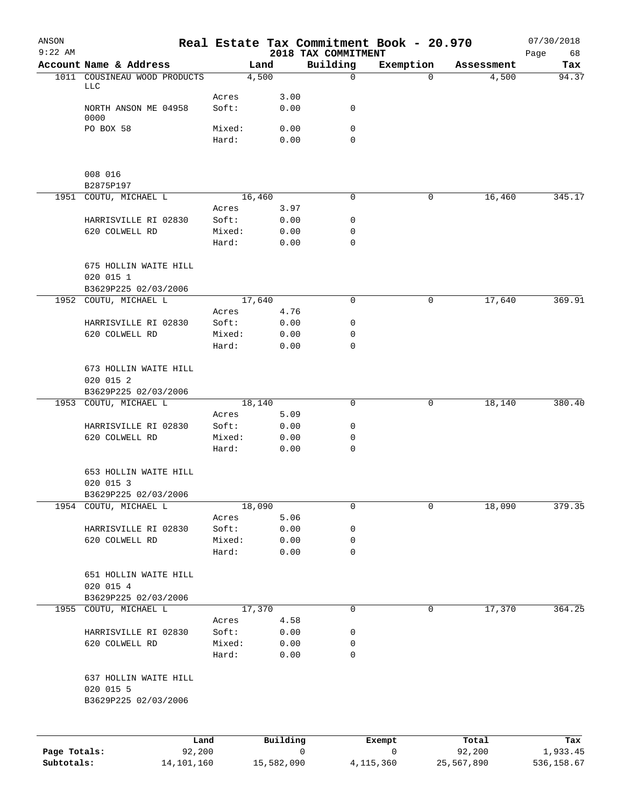| ANSON<br>$9:22$ AM |                                                            |                 |                |   | Real Estate Tax Commitment Book - 20.970<br>2018 TAX COMMITMENT |             |                 | 07/30/2018<br>68<br>Page |
|--------------------|------------------------------------------------------------|-----------------|----------------|---|-----------------------------------------------------------------|-------------|-----------------|--------------------------|
|                    | Account Name & Address                                     |                 | Land           |   | Building                                                        | Exemption   | Assessment      | Tax                      |
|                    | 1011 COUSINEAU WOOD PRODUCTS                               |                 | 4,500          |   | $\mathbf 0$                                                     | $\Omega$    | 4,500           | 94.37                    |
|                    | LLC                                                        | Acres           | 3.00           |   |                                                                 |             |                 |                          |
|                    | NORTH ANSON ME 04958                                       | Soft:           | 0.00           |   | 0                                                               |             |                 |                          |
|                    | 0000                                                       |                 |                |   |                                                                 |             |                 |                          |
|                    | PO BOX 58                                                  | Mixed:          | 0.00           |   | $\mathbf 0$                                                     |             |                 |                          |
|                    |                                                            | Hard:           | 0.00           |   | 0                                                               |             |                 |                          |
|                    | 008 016                                                    |                 |                |   |                                                                 |             |                 |                          |
|                    | B2875P197                                                  |                 |                |   |                                                                 |             |                 |                          |
|                    | 1951 COUTU, MICHAEL L                                      |                 | 16,460         |   | 0                                                               | 0           | 16,460          | 345.17                   |
|                    |                                                            | Acres           | 3.97           |   |                                                                 |             |                 |                          |
|                    | HARRISVILLE RI 02830                                       | Soft:           | 0.00           |   | 0                                                               |             |                 |                          |
|                    | 620 COLWELL RD                                             | Mixed:<br>Hard: | 0.00           |   | 0<br>$\mathbf 0$                                                |             |                 |                          |
|                    |                                                            |                 | 0.00           |   |                                                                 |             |                 |                          |
|                    | 675 HOLLIN WAITE HILL                                      |                 |                |   |                                                                 |             |                 |                          |
|                    | 020 015 1                                                  |                 |                |   |                                                                 |             |                 |                          |
|                    | B3629P225 02/03/2006                                       |                 |                |   |                                                                 |             |                 |                          |
|                    | 1952 COUTU, MICHAEL L                                      | Acres           | 17,640<br>4.76 |   | 0                                                               | 0           | 17,640          | 369.91                   |
|                    | HARRISVILLE RI 02830                                       | Soft:           | 0.00           |   | 0                                                               |             |                 |                          |
|                    | 620 COLWELL RD                                             | Mixed:          | 0.00           |   | 0                                                               |             |                 |                          |
|                    |                                                            | Hard:           | 0.00           |   | 0                                                               |             |                 |                          |
|                    | 673 HOLLIN WAITE HILL<br>020 015 2                         |                 |                |   |                                                                 |             |                 |                          |
|                    | B3629P225 02/03/2006                                       |                 |                |   |                                                                 |             |                 |                          |
|                    | 1953 COUTU, MICHAEL L                                      |                 | 18,140         |   | 0                                                               | 0           | 18,140          | 380.40                   |
|                    |                                                            | Acres           | 5.09           |   | 0                                                               |             |                 |                          |
|                    | HARRISVILLE RI 02830<br>620 COLWELL RD                     | Soft:<br>Mixed: | 0.00<br>0.00   |   | 0                                                               |             |                 |                          |
|                    |                                                            | Hard:           | 0.00           |   | 0                                                               |             |                 |                          |
|                    | 653 HOLLIN WAITE HILL<br>020 015 3<br>B3629P225 02/03/2006 |                 |                |   |                                                                 |             |                 |                          |
|                    | 1954 COUTU, MICHAEL L                                      |                 | 18,090         |   | 0                                                               | 0           | 18,090          | 379.35                   |
|                    |                                                            | Acres           | 5.06           |   |                                                                 |             |                 |                          |
|                    | HARRISVILLE RI 02830                                       | Soft:           | 0.00           |   | 0                                                               |             |                 |                          |
|                    | 620 COLWELL RD                                             | Mixed:          | 0.00           |   | 0                                                               |             |                 |                          |
|                    |                                                            | Hard:           | 0.00           |   | $\mathbf 0$                                                     |             |                 |                          |
|                    | 651 HOLLIN WAITE HILL<br>020 015 4                         |                 |                |   |                                                                 |             |                 |                          |
|                    | B3629P225 02/03/2006<br>1955 COUTU, MICHAEL L              |                 | 17,370         |   | 0                                                               | 0           | 17,370          | 364.25                   |
|                    |                                                            | Acres           | 4.58           |   |                                                                 |             |                 |                          |
|                    | HARRISVILLE RI 02830                                       | Soft:           | 0.00           |   | 0                                                               |             |                 |                          |
|                    | 620 COLWELL RD                                             | Mixed:          | 0.00           |   | 0                                                               |             |                 |                          |
|                    |                                                            | Hard:           | 0.00           |   | 0                                                               |             |                 |                          |
|                    | 637 HOLLIN WAITE HILL<br>020 015 5<br>B3629P225 02/03/2006 |                 |                |   |                                                                 |             |                 |                          |
|                    |                                                            |                 |                |   |                                                                 |             |                 |                          |
| Page Totals:       | Land<br>92,200                                             |                 | Building       | 0 |                                                                 | Exempt<br>0 | Total<br>92,200 | Tax<br>1,933.45          |
|                    |                                                            |                 |                |   |                                                                 |             |                 |                          |

**Subtotals:** 14,101,160 15,582,090 4,115,360 25,567,890 536,158.67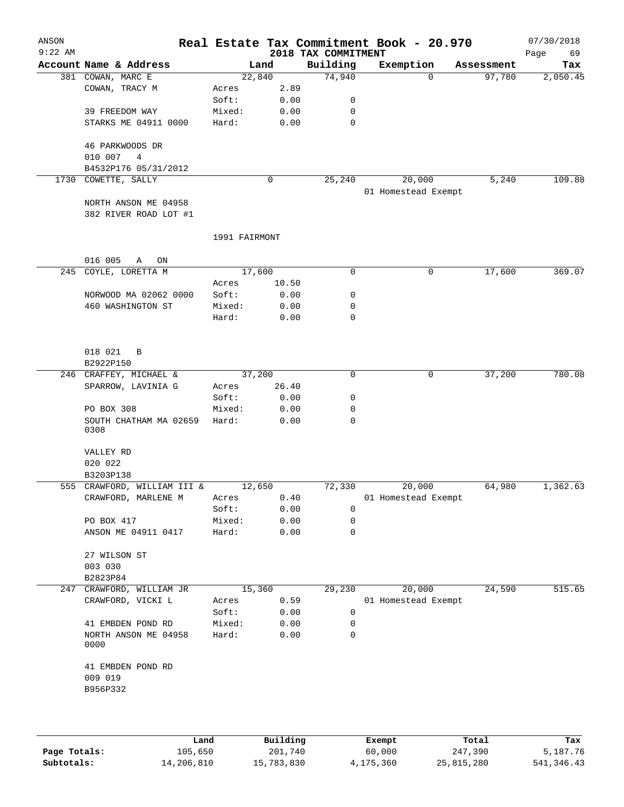| ANSON<br>$9:22$ AM |                                               |               |       | 2018 TAX COMMITMENT | Real Estate Tax Commitment Book - 20.970 |            | 07/30/2018        |
|--------------------|-----------------------------------------------|---------------|-------|---------------------|------------------------------------------|------------|-------------------|
|                    | Account Name & Address                        |               | Land  | Building            | Exemption                                | Assessment | Page<br>69<br>Tax |
|                    | 381 COWAN, MARC E                             | 22,840        |       | 74,940              | $\Omega$                                 | 97,780     | 2,050.45          |
|                    | COWAN, TRACY M                                | Acres         | 2.89  |                     |                                          |            |                   |
|                    |                                               | Soft:         | 0.00  | 0                   |                                          |            |                   |
|                    | 39 FREEDOM WAY                                | Mixed:        | 0.00  | 0                   |                                          |            |                   |
|                    | STARKS ME 04911 0000                          | Hard:         | 0.00  | $\mathbf 0$         |                                          |            |                   |
|                    | 46 PARKWOODS DR                               |               |       |                     |                                          |            |                   |
|                    | 010 007<br>4                                  |               |       |                     |                                          |            |                   |
|                    | B4532P176 05/31/2012                          |               |       |                     |                                          |            |                   |
|                    | 1730 COWETTE, SALLY                           |               | 0     | 25,240              | 20,000                                   | 5,240      | 109.88            |
|                    |                                               |               |       |                     | 01 Homestead Exempt                      |            |                   |
|                    | NORTH ANSON ME 04958<br>382 RIVER ROAD LOT #1 |               |       |                     |                                          |            |                   |
|                    |                                               | 1991 FAIRMONT |       |                     |                                          |            |                   |
|                    | 016 005<br>Α<br>ON                            |               |       |                     |                                          |            |                   |
|                    | 245 COYLE, LORETTA M                          | 17,600        |       | 0                   | 0                                        | 17,600     | 369.07            |
|                    |                                               | Acres         | 10.50 |                     |                                          |            |                   |
|                    | NORWOOD MA 02062 0000                         | Soft:         | 0.00  | 0                   |                                          |            |                   |
|                    | 460 WASHINGTON ST                             | Mixed:        | 0.00  | 0                   |                                          |            |                   |
|                    |                                               | Hard:         | 0.00  | 0                   |                                          |            |                   |
|                    | 018 021<br>B                                  |               |       |                     |                                          |            |                   |
|                    | B2922P150                                     |               |       |                     |                                          |            |                   |
|                    | 246 CRAFFEY, MICHAEL &                        | 37,200        |       | $\mathbf 0$         | 0                                        | 37,200     | 780.08            |
|                    | SPARROW, LAVINIA G                            | Acres         | 26.40 |                     |                                          |            |                   |
|                    |                                               | Soft:         | 0.00  | 0                   |                                          |            |                   |
|                    | PO BOX 308                                    | Mixed:        | 0.00  | 0                   |                                          |            |                   |
|                    | SOUTH CHATHAM MA 02659<br>0308                | Hard:         | 0.00  | 0                   |                                          |            |                   |
|                    | VALLEY RD<br>020 022                          |               |       |                     |                                          |            |                   |
|                    | B3203P138                                     |               |       |                     |                                          |            |                   |
|                    | 555 CRAWFORD, WILLIAM III &                   | 12,650        |       | 72,330              | 20,000                                   | 64,980     | 1,362.63          |
|                    | CRAWFORD, MARLENE M                           | Acres         | 0.40  |                     | 01 Homestead Exempt                      |            |                   |
|                    |                                               | Soft:         | 0.00  | 0                   |                                          |            |                   |
|                    | PO BOX 417                                    | Mixed:        | 0.00  | 0                   |                                          |            |                   |
|                    | ANSON ME 04911 0417                           | Hard:         | 0.00  | 0                   |                                          |            |                   |
|                    | 27 WILSON ST                                  |               |       |                     |                                          |            |                   |
|                    | 003 030                                       |               |       |                     |                                          |            |                   |
| 247                | B2823P84<br>CRAWFORD, WILLIAM JR              | 15,360        |       | 29,230              | 20,000                                   | 24,590     | 515.65            |
|                    | CRAWFORD, VICKI L                             | Acres         | 0.59  |                     | 01 Homestead Exempt                      |            |                   |
|                    |                                               | Soft:         | 0.00  | 0                   |                                          |            |                   |
|                    | 41 EMBDEN POND RD                             | Mixed:        | 0.00  | 0                   |                                          |            |                   |
|                    | NORTH ANSON ME 04958<br>0000                  | Hard:         | 0.00  | 0                   |                                          |            |                   |
|                    | 41 EMBDEN POND RD                             |               |       |                     |                                          |            |                   |
|                    | 009 019                                       |               |       |                     |                                          |            |                   |
|                    | B956P332                                      |               |       |                     |                                          |            |                   |
|                    |                                               |               |       |                     |                                          |            |                   |
|                    |                                               |               |       |                     |                                          |            |                   |
|                    |                                               |               |       |                     |                                          |            |                   |

|              | Land       | Building   | Exempt    | Total      | Tax         |
|--------------|------------|------------|-----------|------------|-------------|
| Page Totals: | 105,650    | 201,740    | 60,000    | 247,390    | 5,187.76    |
| Subtotals:   | 14,206,810 | 15,783,830 | 4,175,360 | 25,815,280 | 541, 346.43 |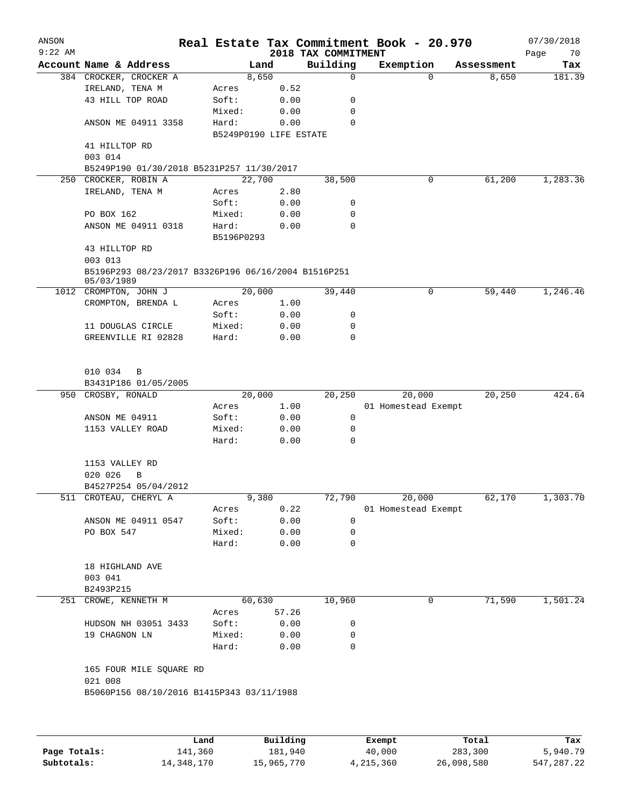| ANSON<br>$9:22$ AM |                                                                   |            |                        | 2018 TAX COMMITMENT | Real Estate Tax Commitment Book - 20.970 |                        | 07/30/2018<br>Page<br>70 |
|--------------------|-------------------------------------------------------------------|------------|------------------------|---------------------|------------------------------------------|------------------------|--------------------------|
|                    | Account Name & Address                                            |            | Land                   | Building            | Exemption                                | Assessment             | Tax                      |
|                    | 384 CROCKER, CROCKER A                                            |            | 8,650                  | $\mathbf 0$         |                                          | 8,650<br>$\Omega$      | 181.39                   |
|                    | IRELAND, TENA M                                                   | Acres      | 0.52                   |                     |                                          |                        |                          |
|                    | 43 HILL TOP ROAD                                                  | Soft:      | 0.00                   | 0                   |                                          |                        |                          |
|                    |                                                                   | Mixed:     | 0.00                   | 0                   |                                          |                        |                          |
|                    | ANSON ME 04911 3358                                               | Hard:      | 0.00                   | 0                   |                                          |                        |                          |
|                    |                                                                   |            | B5249P0190 LIFE ESTATE |                     |                                          |                        |                          |
|                    | 41 HILLTOP RD                                                     |            |                        |                     |                                          |                        |                          |
|                    | 003 014                                                           |            |                        |                     |                                          |                        |                          |
|                    | B5249P190 01/30/2018 B5231P257 11/30/2017                         |            |                        |                     |                                          |                        |                          |
|                    | 250 CROCKER, ROBIN A                                              |            | 22,700                 | 38,500              |                                          | 61,200<br>0            | 1,283.36                 |
|                    | IRELAND, TENA M                                                   | Acres      | 2.80                   |                     |                                          |                        |                          |
|                    |                                                                   | Soft:      | 0.00                   | 0                   |                                          |                        |                          |
|                    | PO BOX 162                                                        | Mixed:     | 0.00                   | 0                   |                                          |                        |                          |
|                    | ANSON ME 04911 0318                                               | Hard:      | 0.00                   | $\mathbf 0$         |                                          |                        |                          |
|                    |                                                                   | B5196P0293 |                        |                     |                                          |                        |                          |
|                    | 43 HILLTOP RD                                                     |            |                        |                     |                                          |                        |                          |
|                    | 003 013                                                           |            |                        |                     |                                          |                        |                          |
|                    | B5196P293 08/23/2017 B3326P196 06/16/2004 B1516P251<br>05/03/1989 |            |                        |                     |                                          |                        |                          |
|                    | 1012 CROMPTON, JOHN J                                             |            | 20,000                 | 39,440              |                                          | 59,440<br>0            | 1,246.46                 |
|                    | CROMPTON, BRENDA L                                                | Acres      | 1.00                   |                     |                                          |                        |                          |
|                    |                                                                   | Soft:      | 0.00                   | 0                   |                                          |                        |                          |
|                    | 11 DOUGLAS CIRCLE                                                 | Mixed:     | 0.00                   | 0                   |                                          |                        |                          |
|                    | GREENVILLE RI 02828                                               | Hard:      | 0.00                   | 0                   |                                          |                        |                          |
|                    | 010 034<br>B<br>B3431P186 01/05/2005                              |            |                        |                     |                                          |                        |                          |
|                    | 950 CROSBY, RONALD                                                |            | 20,000                 | 20,250              | 20,000                                   | 20,250                 | 424.64                   |
|                    |                                                                   | Acres      | 1.00                   |                     | 01 Homestead Exempt                      |                        |                          |
|                    | ANSON ME 04911                                                    | Soft:      | 0.00                   | 0                   |                                          |                        |                          |
|                    | 1153 VALLEY ROAD                                                  | Mixed:     | 0.00                   | 0                   |                                          |                        |                          |
|                    |                                                                   | Hard:      | 0.00                   | $\mathbf 0$         |                                          |                        |                          |
|                    | 1153 VALLEY RD<br>020 026<br>В                                    |            |                        |                     |                                          |                        |                          |
|                    | B4527P254 05/04/2012                                              |            |                        |                     |                                          |                        |                          |
|                    | 511 CROTEAU, CHERYL A                                             |            | 9,380                  | 72,790              | 20,000                                   | 62,170                 | 1,303.70                 |
|                    |                                                                   | Acres      | 0.22                   |                     | 01 Homestead Exempt                      |                        |                          |
|                    | ANSON ME 04911 0547                                               | Soft:      | 0.00                   | 0                   |                                          |                        |                          |
|                    | PO BOX 547                                                        | Mixed:     | 0.00                   | 0                   |                                          |                        |                          |
|                    |                                                                   | Hard:      | 0.00                   | 0                   |                                          |                        |                          |
|                    | 18 HIGHLAND AVE                                                   |            |                        |                     |                                          |                        |                          |
|                    | 003 041                                                           |            |                        |                     |                                          |                        |                          |
|                    | B2493P215                                                         |            |                        |                     |                                          |                        |                          |
|                    | 251 CROWE, KENNETH M                                              |            | 60,630                 | 10,960              |                                          | 71,590<br>$\mathbf{0}$ | 1,501.24                 |
|                    |                                                                   | Acres      | 57.26                  |                     |                                          |                        |                          |
|                    | HUDSON NH 03051 3433                                              | Soft:      | 0.00                   | 0                   |                                          |                        |                          |
|                    | 19 CHAGNON LN                                                     | Mixed:     | 0.00                   | 0                   |                                          |                        |                          |
|                    |                                                                   | Hard:      | 0.00                   | 0                   |                                          |                        |                          |
|                    | 165 FOUR MILE SQUARE RD<br>021 008                                |            |                        |                     |                                          |                        |                          |
|                    | B5060P156 08/10/2016 B1415P343 03/11/1988                         |            |                        |                     |                                          |                        |                          |
|                    |                                                                   |            |                        |                     |                                          |                        |                          |
|                    |                                                                   | Land       | Building               |                     | Exempt                                   | Total                  | Tax                      |
|                    |                                                                   |            |                        |                     |                                          |                        |                          |

|              | Land       | Building   | Exempt    | Total      | Tax        |
|--------------|------------|------------|-----------|------------|------------|
| Page Totals: | 141,360    | 181,940    | 40,000    | 283,300    | 5,940.79   |
| Subtotals:   | 14,348,170 | 15,965,770 | 4,215,360 | 26,098,580 | 547,287.22 |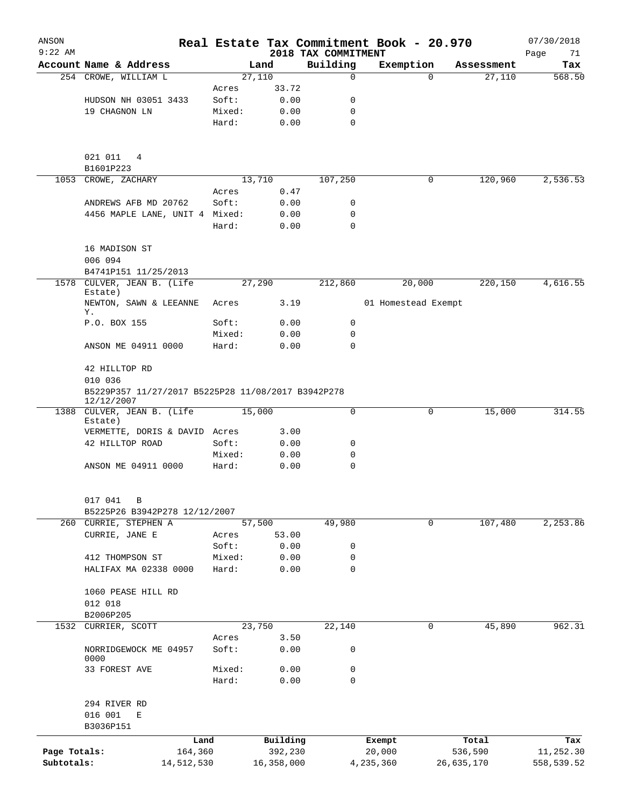| ANSON<br>$9:22$ AM |                                                                  |            |                |              | 2018 TAX COMMITMENT | Real Estate Tax Commitment Book - 20.970 |                        | 07/30/2018<br>Page<br>71 |
|--------------------|------------------------------------------------------------------|------------|----------------|--------------|---------------------|------------------------------------------|------------------------|--------------------------|
|                    | Account Name & Address                                           |            |                | Land         | Building            | Exemption                                | Assessment             | Tax                      |
|                    | 254 CROWE, WILLIAM L                                             |            |                | 27,110       | $\mathbf 0$         |                                          | 27,110<br>$\Omega$     | 568.50                   |
|                    |                                                                  |            | Acres          | 33.72        |                     |                                          |                        |                          |
|                    | HUDSON NH 03051 3433                                             |            | Soft:          | 0.00         | 0                   |                                          |                        |                          |
|                    | 19 CHAGNON LN                                                    |            | Mixed:         | 0.00         | 0                   |                                          |                        |                          |
|                    |                                                                  |            | Hard:          | 0.00         | $\mathbf 0$         |                                          |                        |                          |
|                    | 021 011<br>4                                                     |            |                |              |                     |                                          |                        |                          |
|                    | B1601P223                                                        |            |                |              |                     |                                          |                        |                          |
|                    | 1053 CROWE, ZACHARY                                              |            |                | 13,710       | 107,250             |                                          | 120,960<br>0           | 2,536.53                 |
|                    |                                                                  |            | Acres          | 0.47         |                     |                                          |                        |                          |
|                    | ANDREWS AFB MD 20762                                             |            | Soft:          | 0.00         | 0                   |                                          |                        |                          |
|                    | 4456 MAPLE LANE, UNIT 4 Mixed:                                   |            | Hard:          | 0.00<br>0.00 | 0<br>$\Omega$       |                                          |                        |                          |
|                    | 16 MADISON ST                                                    |            |                |              |                     |                                          |                        |                          |
|                    | 006 094                                                          |            |                |              |                     |                                          |                        |                          |
| 1578               | B4741P151 11/25/2013<br>CULVER, JEAN B. (Life<br>Estate)         |            |                | 27,290       | 212,860             | 20,000                                   | 220,150                | 4,616.55                 |
|                    | NEWTON, SAWN & LEEANNE<br>Υ.                                     |            | Acres          | 3.19         |                     | 01 Homestead Exempt                      |                        |                          |
|                    | P.O. BOX 155                                                     |            | Soft:          | 0.00         | 0                   |                                          |                        |                          |
|                    |                                                                  |            | Mixed:         | 0.00         | 0                   |                                          |                        |                          |
|                    | ANSON ME 04911 0000                                              |            | Hard:          | 0.00         | 0                   |                                          |                        |                          |
|                    | 42 HILLTOP RD<br>010 036                                         |            |                |              |                     |                                          |                        |                          |
|                    | B5229P357 11/27/2017 B5225P28 11/08/2017 B3942P278<br>12/12/2007 |            |                |              |                     |                                          |                        |                          |
|                    | 1388 CULVER, JEAN B. (Life                                       |            |                | 15,000       | 0                   |                                          | 15,000<br>0            | 314.55                   |
|                    | Estate)                                                          |            |                |              |                     |                                          |                        |                          |
|                    | VERMETTE, DORIS & DAVID Acres                                    |            |                | 3.00         |                     |                                          |                        |                          |
|                    | 42 HILLTOP ROAD                                                  |            | Soft:          | 0.00         | 0                   |                                          |                        |                          |
|                    |                                                                  |            | Mixed:         | 0.00         | 0                   |                                          |                        |                          |
|                    | ANSON ME 04911 0000                                              |            | Hard:          | 0.00         | 0                   |                                          |                        |                          |
|                    | 017 041<br>B                                                     |            |                |              |                     |                                          |                        |                          |
|                    | B5225P26 B3942P278 12/12/2007                                    |            |                |              |                     |                                          |                        |                          |
|                    | 260 CURRIE, STEPHEN A                                            |            |                | 57,500       | 49,980              |                                          | $\mathbf 0$<br>107,480 | 2, 253.86                |
|                    | CURRIE, JANE E                                                   |            | Acres          | 53.00        |                     |                                          |                        |                          |
|                    |                                                                  |            | Soft:          | 0.00         | 0                   |                                          |                        |                          |
|                    | 412 THOMPSON ST                                                  |            | Mixed:         | 0.00         | 0                   |                                          |                        |                          |
|                    | HALIFAX MA 02338 0000                                            |            | Hard:          | 0.00         | 0                   |                                          |                        |                          |
|                    | 1060 PEASE HILL RD                                               |            |                |              |                     |                                          |                        |                          |
|                    | 012 018                                                          |            |                |              |                     |                                          |                        |                          |
|                    | B2006P205                                                        |            |                |              |                     |                                          |                        |                          |
| 1532               | CURRIER, SCOTT                                                   |            |                | 23,750       | 22,140              |                                          | 0<br>45,890            | 962.31                   |
|                    | NORRIDGEWOCK ME 04957                                            |            | Acres<br>Soft: | 3.50<br>0.00 | 0                   |                                          |                        |                          |
|                    | 0000<br>33 FOREST AVE                                            |            | Mixed:         | 0.00         | 0                   |                                          |                        |                          |
|                    |                                                                  |            | Hard:          | 0.00         | 0                   |                                          |                        |                          |
|                    | 294 RIVER RD                                                     |            |                |              |                     |                                          |                        |                          |
|                    | 016 001<br>Е<br>B3036P151                                        |            |                |              |                     |                                          |                        |                          |
|                    |                                                                  | Land       |                | Building     |                     | Exempt                                   | Total                  | Tax                      |
| Page Totals:       |                                                                  | 164,360    |                | 392,230      |                     | 20,000                                   | 536,590                | 11,252.30                |
| Subtotals:         |                                                                  | 14,512,530 |                | 16,358,000   |                     | 4,235,360                                | 26,635,170             | 558,539.52               |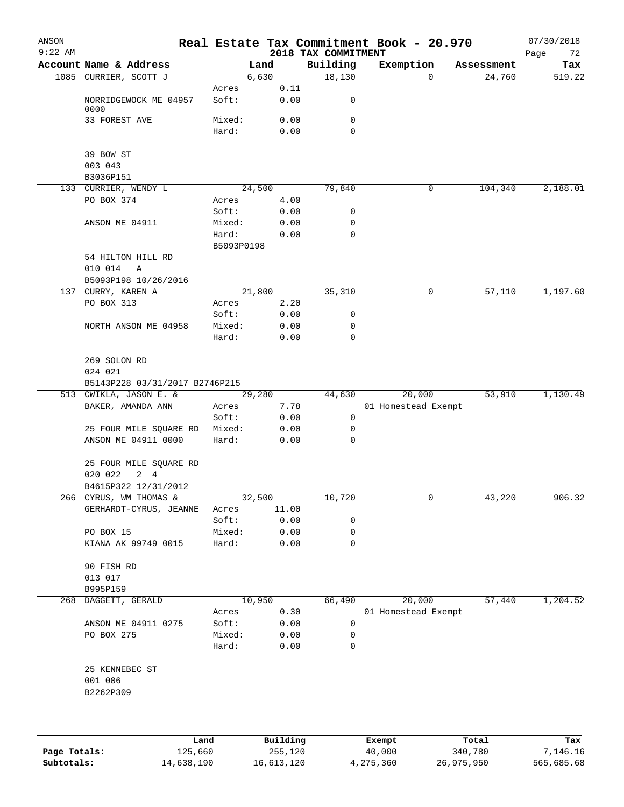| ANSON<br>$9:22$ AM |                                                  |                 |              | 2018 TAX COMMITMENT | Real Estate Tax Commitment Book - 20.970 |            | 07/30/2018<br>Page<br>72 |
|--------------------|--------------------------------------------------|-----------------|--------------|---------------------|------------------------------------------|------------|--------------------------|
|                    | Account Name & Address                           |                 | Land         | Building            | Exemption                                | Assessment | Tax                      |
|                    | 1085 CURRIER, SCOTT J                            |                 | 6,630        | 18,130              | $\mathbf 0$                              | 24,760     | 519.22                   |
|                    |                                                  | Acres           | 0.11         |                     |                                          |            |                          |
|                    | NORRIDGEWOCK ME 04957                            | Soft:           | 0.00         | 0                   |                                          |            |                          |
|                    | 0000<br>33 FOREST AVE                            | Mixed:          | 0.00         | 0                   |                                          |            |                          |
|                    |                                                  | Hard:           | 0.00         | $\mathbf 0$         |                                          |            |                          |
|                    |                                                  |                 |              |                     |                                          |            |                          |
|                    | 39 BOW ST                                        |                 |              |                     |                                          |            |                          |
|                    | 003 043                                          |                 |              |                     |                                          |            |                          |
|                    | B3036P151                                        |                 |              |                     |                                          |            |                          |
|                    | 133 CURRIER, WENDY L                             |                 | 24,500       | 79,840              | 0                                        | 104,340    | 2,188.01                 |
|                    | PO BOX 374                                       | Acres           | 4.00         |                     |                                          |            |                          |
|                    |                                                  | Soft:           | 0.00         | 0                   |                                          |            |                          |
|                    | ANSON ME 04911                                   | Mixed:<br>Hard: | 0.00<br>0.00 | 0<br>$\mathbf 0$    |                                          |            |                          |
|                    |                                                  | B5093P0198      |              |                     |                                          |            |                          |
|                    | 54 HILTON HILL RD                                |                 |              |                     |                                          |            |                          |
|                    | 010 014<br>Α                                     |                 |              |                     |                                          |            |                          |
|                    | B5093P198 10/26/2016                             |                 |              |                     |                                          |            |                          |
|                    | 137 CURRY, KAREN A                               |                 | 21,800       | 35,310              | 0                                        | 57,110     | 1,197.60                 |
|                    | PO BOX 313                                       | Acres           | 2.20         |                     |                                          |            |                          |
|                    |                                                  | Soft:           | 0.00         | 0                   |                                          |            |                          |
|                    | NORTH ANSON ME 04958                             | Mixed:          | 0.00         | 0                   |                                          |            |                          |
|                    |                                                  | Hard:           | 0.00         | $\mathbf 0$         |                                          |            |                          |
|                    |                                                  |                 |              |                     |                                          |            |                          |
|                    | 269 SOLON RD                                     |                 |              |                     |                                          |            |                          |
|                    | 024 021<br>B5143P228 03/31/2017 B2746P215        |                 |              |                     |                                          |            |                          |
|                    | 513 CWIKLA, JASON E. &                           |                 | 29,280       | 44,630              | 20,000                                   | 53,910     | 1,130.49                 |
|                    | BAKER, AMANDA ANN                                | Acres           | 7.78         |                     | 01 Homestead Exempt                      |            |                          |
|                    |                                                  | Soft:           | 0.00         | 0                   |                                          |            |                          |
|                    | 25 FOUR MILE SQUARE RD                           | Mixed:          | 0.00         | 0                   |                                          |            |                          |
|                    | ANSON ME 04911 0000                              | Hard:           | 0.00         | 0                   |                                          |            |                          |
|                    |                                                  |                 |              |                     |                                          |            |                          |
|                    | 25 FOUR MILE SQUARE RD<br>020 022<br>$2 \quad 4$ |                 |              |                     |                                          |            |                          |
|                    | B4615P322 12/31/2012                             |                 |              |                     |                                          |            |                          |
|                    | 266 CYRUS, WM THOMAS &                           |                 | 32,500       | 10,720              | 0                                        | 43,220     | 906.32                   |
|                    | GERHARDT-CYRUS, JEANNE                           | Acres           | 11.00        |                     |                                          |            |                          |
|                    |                                                  | Soft:           | 0.00         | 0                   |                                          |            |                          |
|                    | PO BOX 15                                        | Mixed:          | 0.00         | 0                   |                                          |            |                          |
|                    | KIANA AK 99749 0015                              | Hard:           | 0.00         | 0                   |                                          |            |                          |
|                    |                                                  |                 |              |                     |                                          |            |                          |
|                    | 90 FISH RD                                       |                 |              |                     |                                          |            |                          |
|                    | 013 017                                          |                 |              |                     |                                          |            |                          |
| 268                | B995P159<br>DAGGETT, GERALD                      |                 | 10,950       | 66,490              | 20,000                                   | 57,440     | 1,204.52                 |
|                    |                                                  | Acres           | 0.30         |                     | 01 Homestead Exempt                      |            |                          |
|                    | ANSON ME 04911 0275                              | Soft:           | 0.00         | 0                   |                                          |            |                          |
|                    | PO BOX 275                                       | Mixed:          | 0.00         | 0                   |                                          |            |                          |
|                    |                                                  | Hard:           | 0.00         | 0                   |                                          |            |                          |
|                    |                                                  |                 |              |                     |                                          |            |                          |
|                    | 25 KENNEBEC ST<br>001 006                        |                 |              |                     |                                          |            |                          |
|                    | B2262P309                                        |                 |              |                     |                                          |            |                          |
|                    |                                                  |                 |              |                     |                                          |            |                          |
|                    |                                                  |                 |              |                     |                                          |            |                          |
|                    |                                                  |                 |              |                     |                                          |            |                          |
|                    |                                                  | Land            | Building     |                     | Exempt                                   | Total      | Tax                      |

|              | Land       | Building   | Exempt    | Total      | Tax        |
|--------------|------------|------------|-----------|------------|------------|
| Page Totals: | 125,660    | 255,120    | 40,000    | 340,780    | 7,146.16   |
| Subtotals:   | 14,638,190 | 16,613,120 | 4,275,360 | 26,975,950 | 565,685.68 |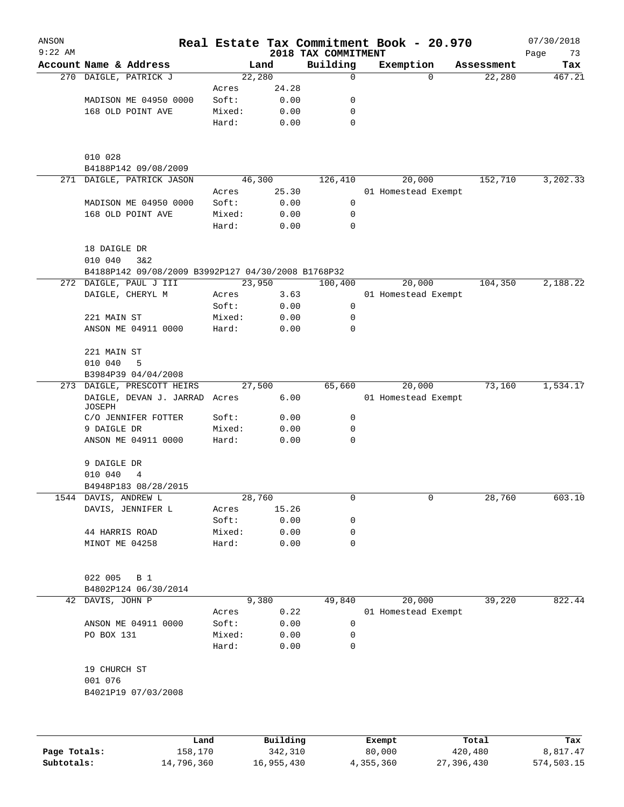| ANSON<br>$9:22$ AM |                                                             |        |                | 2018 TAX COMMITMENT | Real Estate Tax Commitment Book - 20.970 |            | 07/30/2018        |
|--------------------|-------------------------------------------------------------|--------|----------------|---------------------|------------------------------------------|------------|-------------------|
|                    | Account Name & Address                                      |        | Land           | Building            | Exemption                                | Assessment | Page<br>73<br>Tax |
|                    | 270 DAIGLE, PATRICK J                                       |        | 22,280         | 0                   | $\Omega$                                 | 22,280     | 467.21            |
|                    |                                                             | Acres  | 24.28          |                     |                                          |            |                   |
|                    | MADISON ME 04950 0000                                       | Soft:  | 0.00           | 0                   |                                          |            |                   |
|                    | 168 OLD POINT AVE                                           | Mixed: | 0.00           | 0                   |                                          |            |                   |
|                    |                                                             | Hard:  | 0.00           | $\mathbf 0$         |                                          |            |                   |
|                    | 010 028<br>B4188P142 09/08/2009                             |        |                |                     |                                          |            |                   |
|                    | 271 DAIGLE, PATRICK JASON                                   |        | 46,300         | 126,410             | 20,000                                   | 152,710    | 3,202.33          |
|                    |                                                             | Acres  | 25.30          |                     | 01 Homestead Exempt                      |            |                   |
|                    | MADISON ME 04950 0000                                       | Soft:  | 0.00           | 0                   |                                          |            |                   |
|                    | 168 OLD POINT AVE                                           | Mixed: | 0.00           | 0                   |                                          |            |                   |
|                    |                                                             | Hard:  | 0.00           | 0                   |                                          |            |                   |
|                    | 18 DAIGLE DR<br>010 040<br>3&2                              |        |                |                     |                                          |            |                   |
|                    | B4188P142 09/08/2009 B3992P127 04/30/2008 B1768P32          |        |                |                     |                                          |            |                   |
|                    | 272 DAIGLE, PAUL J III                                      |        | 23,950         | 100,400             | 20,000                                   | 104,350    | 2,188.22          |
|                    | DAIGLE, CHERYL M                                            | Acres  | 3.63           |                     | 01 Homestead Exempt                      |            |                   |
|                    |                                                             | Soft:  | 0.00           | 0                   |                                          |            |                   |
|                    | 221 MAIN ST                                                 | Mixed: | 0.00           | 0                   |                                          |            |                   |
|                    | ANSON ME 04911 0000                                         | Hard:  | 0.00           | $\Omega$            |                                          |            |                   |
|                    | 221 MAIN ST                                                 |        |                |                     |                                          |            |                   |
|                    | 010 040<br>5                                                |        |                |                     |                                          |            |                   |
|                    | B3984P39 04/04/2008                                         |        |                |                     |                                          |            |                   |
|                    | 273 DAIGLE, PRESCOTT HEIRS<br>DAIGLE, DEVAN J. JARRAD Acres |        | 27,500<br>6.00 | 65,660              | 20,000<br>01 Homestead Exempt            | 73,160     | 1,534.17          |
|                    | JOSEPH<br>C/O JENNIFER FOTTER                               | Soft:  | 0.00           | 0                   |                                          |            |                   |
|                    | 9 DAIGLE DR                                                 | Mixed: | 0.00           | 0                   |                                          |            |                   |
|                    | ANSON ME 04911 0000                                         | Hard:  | 0.00           | 0                   |                                          |            |                   |
|                    | 9 DAIGLE DR                                                 |        |                |                     |                                          |            |                   |
|                    | 010 040<br>4                                                |        |                |                     |                                          |            |                   |
|                    | B4948P183 08/28/2015                                        |        |                |                     |                                          |            |                   |
|                    | 1544 DAVIS, ANDREW L                                        |        | 28,760         | 0                   | 0                                        | 28,760     | 603.10            |
|                    | DAVIS, JENNIFER L                                           | Acres  | 15.26          |                     |                                          |            |                   |
|                    |                                                             | Soft:  | 0.00           | 0                   |                                          |            |                   |
|                    | 44 HARRIS ROAD                                              | Mixed: | 0.00           | 0                   |                                          |            |                   |
|                    | MINOT ME 04258                                              | Hard:  | 0.00           | 0                   |                                          |            |                   |
|                    | 022 005<br>B 1                                              |        |                |                     |                                          |            |                   |
|                    | B4802P124 06/30/2014                                        |        |                |                     |                                          |            |                   |
|                    | 42 DAVIS, JOHN P                                            |        | 9,380          | 49,840              | 20,000                                   | 39,220     | 822.44            |
|                    |                                                             | Acres  | 0.22           |                     | 01 Homestead Exempt                      |            |                   |
|                    | ANSON ME 04911 0000                                         | Soft:  | 0.00           | 0                   |                                          |            |                   |
|                    | PO BOX 131                                                  | Mixed: | 0.00           | 0                   |                                          |            |                   |
|                    |                                                             | Hard:  | 0.00           | $\mathbf 0$         |                                          |            |                   |
|                    | 19 CHURCH ST                                                |        |                |                     |                                          |            |                   |
|                    | 001 076<br>B4021P19 07/03/2008                              |        |                |                     |                                          |            |                   |
|                    |                                                             |        |                |                     |                                          |            |                   |
|                    |                                                             |        |                |                     |                                          |            |                   |
|                    | Land                                                        |        | Building       |                     | Exempt                                   | Total      | Tax               |

|              | Land.      | Building   | Exempt    | тосат      | rax.       |
|--------------|------------|------------|-----------|------------|------------|
| Page Totals: | 158,170    | 342,310    | 80,000    | 420,480    | 8,817.47   |
| Subtotals:   | 14,796,360 | 16,955,430 | 4,355,360 | 27,396,430 | 574,503.15 |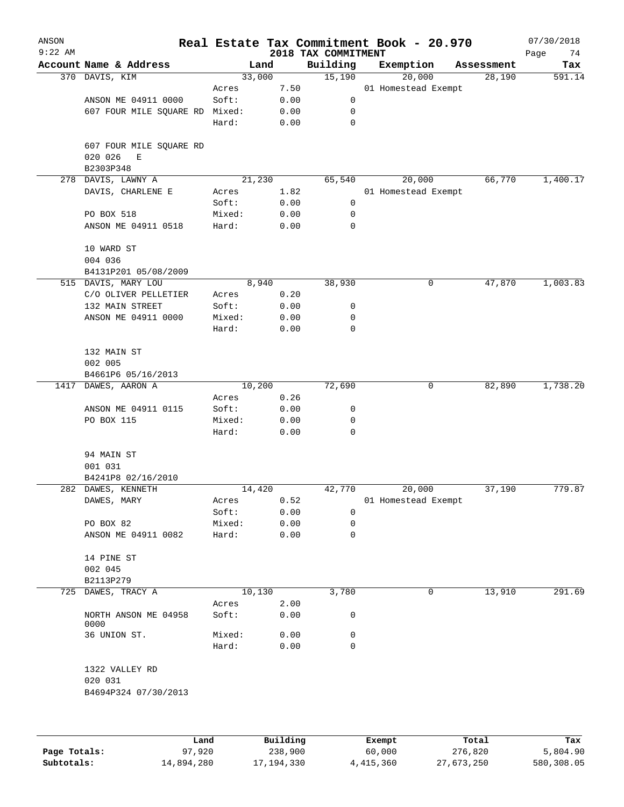| ANSON               |                                |        |          |                                 | Real Estate Tax Commitment Book - 20.970 |            | 07/30/2018        |
|---------------------|--------------------------------|--------|----------|---------------------------------|------------------------------------------|------------|-------------------|
| $9:22$ AM           | Account Name & Address         |        | Land     | 2018 TAX COMMITMENT<br>Building | Exemption                                | Assessment | Page<br>74<br>Tax |
|                     | 370 DAVIS, KIM                 |        | 33,000   | 15,190                          | 20,000                                   | 28,190     | 591.14            |
|                     |                                | Acres  | 7.50     |                                 | 01 Homestead Exempt                      |            |                   |
|                     | ANSON ME 04911 0000            | Soft:  | 0.00     | 0                               |                                          |            |                   |
|                     | 607 FOUR MILE SQUARE RD Mixed: |        | 0.00     | 0                               |                                          |            |                   |
|                     |                                | Hard:  | 0.00     | $\mathbf 0$                     |                                          |            |                   |
|                     |                                |        |          |                                 |                                          |            |                   |
|                     | 607 FOUR MILE SQUARE RD        |        |          |                                 |                                          |            |                   |
|                     | 020 026<br>Е                   |        |          |                                 |                                          |            |                   |
|                     | B2303P348                      |        |          |                                 |                                          |            |                   |
| 278                 | DAVIS, LAWNY A                 |        | 21,230   | 65,540                          | 20,000                                   | 66,770     | 1,400.17          |
|                     | DAVIS, CHARLENE E              | Acres  | 1.82     |                                 | 01 Homestead Exempt                      |            |                   |
|                     |                                | Soft:  | 0.00     | 0                               |                                          |            |                   |
|                     | PO BOX 518                     | Mixed: | 0.00     | 0                               |                                          |            |                   |
|                     | ANSON ME 04911 0518            | Hard:  | 0.00     | 0                               |                                          |            |                   |
|                     | 10 WARD ST                     |        |          |                                 |                                          |            |                   |
|                     | 004 036                        |        |          |                                 |                                          |            |                   |
|                     | B4131P201 05/08/2009           |        |          |                                 |                                          |            |                   |
|                     | 515 DAVIS, MARY LOU            |        | 8,940    | 38,930                          | 0                                        | 47,870     | 1,003.83          |
|                     | C/O OLIVER PELLETIER           | Acres  | 0.20     |                                 |                                          |            |                   |
|                     | 132 MAIN STREET                | Soft:  | 0.00     | 0                               |                                          |            |                   |
|                     | ANSON ME 04911 0000            | Mixed: | 0.00     | 0                               |                                          |            |                   |
|                     |                                | Hard:  | 0.00     | 0                               |                                          |            |                   |
|                     | 132 MAIN ST                    |        |          |                                 |                                          |            |                   |
|                     | 002 005                        |        |          |                                 |                                          |            |                   |
|                     | B4661P6 05/16/2013             |        |          |                                 |                                          |            |                   |
| 1417 DAWES, AARON A |                                |        | 10,200   | 72,690                          | 0                                        | 82,890     | 1,738.20          |
|                     |                                | Acres  | 0.26     |                                 |                                          |            |                   |
|                     |                                |        |          |                                 |                                          |            |                   |
|                     | ANSON ME 04911 0115            | Soft:  | 0.00     | 0                               |                                          |            |                   |
|                     | PO BOX 115                     | Mixed: | 0.00     | 0                               |                                          |            |                   |
|                     |                                | Hard:  | 0.00     | 0                               |                                          |            |                   |
|                     | 94 MAIN ST                     |        |          |                                 |                                          |            |                   |
|                     | 001 031                        |        |          |                                 |                                          |            |                   |
|                     | B4241P8 02/16/2010             |        |          |                                 |                                          |            |                   |
|                     | 282 DAWES, KENNETH             |        | 14,420   | 42,770                          | 20,000                                   | 37,190     | 779.87            |
|                     | DAWES, MARY                    | Acres  | 0.52     |                                 | 01 Homestead Exempt                      |            |                   |
|                     |                                | Soft:  | 0.00     | 0                               |                                          |            |                   |
|                     | PO BOX 82                      | Mixed: | 0.00     | 0                               |                                          |            |                   |
|                     | ANSON ME 04911 0082            | Hard:  | 0.00     | 0                               |                                          |            |                   |
|                     |                                |        |          |                                 |                                          |            |                   |
|                     | 14 PINE ST                     |        |          |                                 |                                          |            |                   |
|                     | 002 045                        |        |          |                                 |                                          |            |                   |
|                     | B2113P279                      |        |          |                                 |                                          |            |                   |
| 725                 | DAWES, TRACY A                 |        | 10,130   | 3,780                           | 0                                        | 13,910     | 291.69            |
|                     |                                | Acres  | 2.00     |                                 |                                          |            |                   |
|                     | NORTH ANSON ME 04958<br>0000   | Soft:  | 0.00     | 0                               |                                          |            |                   |
|                     | 36 UNION ST.                   | Mixed: | 0.00     | 0                               |                                          |            |                   |
|                     |                                | Hard:  | 0.00     | 0                               |                                          |            |                   |
|                     | 1322 VALLEY RD                 |        |          |                                 |                                          |            |                   |
|                     | 020 031                        |        |          |                                 |                                          |            |                   |
|                     | B4694P324 07/30/2013           |        |          |                                 |                                          |            |                   |
|                     |                                |        |          |                                 |                                          |            |                   |
|                     |                                |        |          |                                 |                                          |            |                   |
|                     |                                | Land   | Building |                                 | Exempt                                   | Total      | Tax               |

|              | Land       | Building   | Exempt    | Total      | Tax        |
|--------------|------------|------------|-----------|------------|------------|
| Page Totals: | 97,920     | 238,900    | 60,000    | 276,820    | 5,804.90   |
| Subtotals:   | 14,894,280 | 17,194,330 | 4,415,360 | 27,673,250 | 580,308.05 |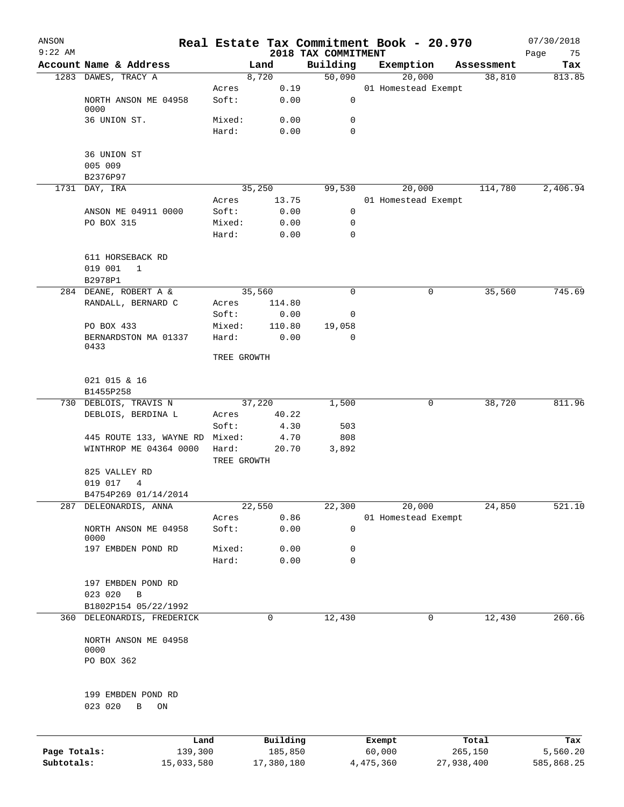| ANSON        |                                                                    |                      |               |                     | Real Estate Tax Commitment Book - 20.970 |   |                      | 07/30/2018    |
|--------------|--------------------------------------------------------------------|----------------------|---------------|---------------------|------------------------------------------|---|----------------------|---------------|
| $9:22$ AM    |                                                                    |                      |               | 2018 TAX COMMITMENT |                                          |   |                      | Page<br>75    |
|              | Account Name & Address<br>1283 DAWES, TRACY A                      |                      | Land<br>8,720 | Building<br>50,090  | Exemption                                |   | Assessment<br>38,810 | Tax<br>813.85 |
|              |                                                                    | Acres                | 0.19          |                     | 20,000<br>01 Homestead Exempt            |   |                      |               |
|              | NORTH ANSON ME 04958<br>0000                                       | Soft:                | 0.00          | 0                   |                                          |   |                      |               |
|              | 36 UNION ST.                                                       | Mixed:               | 0.00          | 0                   |                                          |   |                      |               |
|              |                                                                    | Hard:                | 0.00          | 0                   |                                          |   |                      |               |
|              | 36 UNION ST                                                        |                      |               |                     |                                          |   |                      |               |
|              | 005 009                                                            |                      |               |                     |                                          |   |                      |               |
|              | B2376P97                                                           |                      |               |                     |                                          |   |                      |               |
|              | 1731 DAY, IRA                                                      |                      | 35,250        | 99,530              | 20,000                                   |   | 114,780              | 2,406.94      |
|              |                                                                    | Acres                | 13.75         |                     | 01 Homestead Exempt                      |   |                      |               |
|              | ANSON ME 04911 0000                                                | Soft:                | 0.00          | 0                   |                                          |   |                      |               |
|              | PO BOX 315                                                         | Mixed:               | 0.00          | 0                   |                                          |   |                      |               |
|              |                                                                    | Hard:                | 0.00          | 0                   |                                          |   |                      |               |
|              | 611 HORSEBACK RD                                                   |                      |               |                     |                                          |   |                      |               |
|              | 019 001<br>1                                                       |                      |               |                     |                                          |   |                      |               |
|              | B2978P1                                                            |                      |               |                     |                                          |   |                      |               |
|              | 284 DEANE, ROBERT A &                                              |                      | 35,560        | 0                   |                                          | 0 | 35,560               | 745.69        |
|              | RANDALL, BERNARD C                                                 | Acres                | 114.80        |                     |                                          |   |                      |               |
|              |                                                                    | Soft:                | 0.00          | 0                   |                                          |   |                      |               |
|              | PO BOX 433                                                         | Mixed:               | 110.80        | 19,058              |                                          |   |                      |               |
|              | BERNARDSTON MA 01337<br>0433                                       | Hard:                | 0.00          | $\Omega$            |                                          |   |                      |               |
|              |                                                                    | TREE GROWTH          |               |                     |                                          |   |                      |               |
|              | 021 015 & 16<br>B1455P258                                          |                      |               |                     |                                          |   |                      |               |
|              | 730 DEBLOIS, TRAVIS N                                              |                      | 37,220        | 1,500               |                                          | 0 | 38,720               | 811.96        |
|              | DEBLOIS, BERDINA L                                                 | Acres                | 40.22         |                     |                                          |   |                      |               |
|              |                                                                    | Soft:                | 4.30          | 503                 |                                          |   |                      |               |
|              | 445 ROUTE 133, WAYNE RD                                            | Mixed:               | 4.70          | 808                 |                                          |   |                      |               |
|              | WINTHROP ME 04364 0000                                             | Hard:<br>TREE GROWTH | 20.70         | 3,892               |                                          |   |                      |               |
|              | 825 VALLEY RD                                                      |                      |               |                     |                                          |   |                      |               |
|              | 019 017<br>4                                                       |                      |               |                     |                                          |   |                      |               |
|              | B4754P269 01/14/2014                                               |                      |               |                     |                                          |   |                      |               |
| 287          | DELEONARDIS, ANNA                                                  |                      | 22,550        | 22,300              | 20,000                                   |   | 24,850               | 521.10        |
|              |                                                                    | Acres                | 0.86          |                     | 01 Homestead Exempt                      |   |                      |               |
|              | NORTH ANSON ME 04958<br>0000                                       | Soft:                | 0.00          | 0                   |                                          |   |                      |               |
|              | 197 EMBDEN POND RD                                                 | Mixed:               | 0.00          | 0                   |                                          |   |                      |               |
|              |                                                                    | Hard:                | 0.00          | 0                   |                                          |   |                      |               |
|              | 197 EMBDEN POND RD                                                 |                      |               |                     |                                          |   |                      |               |
|              | 023 020<br>$\, {\bf B}$                                            |                      |               |                     |                                          |   |                      |               |
|              | B1802P154 05/22/1992                                               |                      |               |                     |                                          |   |                      |               |
| 360          | DELEONARDIS, FREDERICK                                             |                      | 0             | 12,430              |                                          | 0 | 12,430               | 260.66        |
|              |                                                                    |                      |               |                     |                                          |   |                      |               |
|              | NORTH ANSON ME 04958<br>0000                                       |                      |               |                     |                                          |   |                      |               |
|              | PO BOX 362                                                         |                      |               |                     |                                          |   |                      |               |
|              |                                                                    |                      |               |                     |                                          |   |                      |               |
|              | 199 EMBDEN POND RD<br>023 020<br>$\, {\bf B}$<br>$\mathop{\rm ON}$ |                      |               |                     |                                          |   |                      |               |
|              |                                                                    |                      |               |                     |                                          |   |                      |               |
|              | Land                                                               |                      | Building      |                     | Exempt                                   |   | Total                | Tax           |
| Page Totals: | 139,300                                                            |                      | 185,850       |                     | 60,000                                   |   | 265,150              | 5,560.20      |
| Subtotals:   | 15,033,580                                                         |                      | 17,380,180    |                     | 4,475,360                                |   | 27,938,400           | 585,868.25    |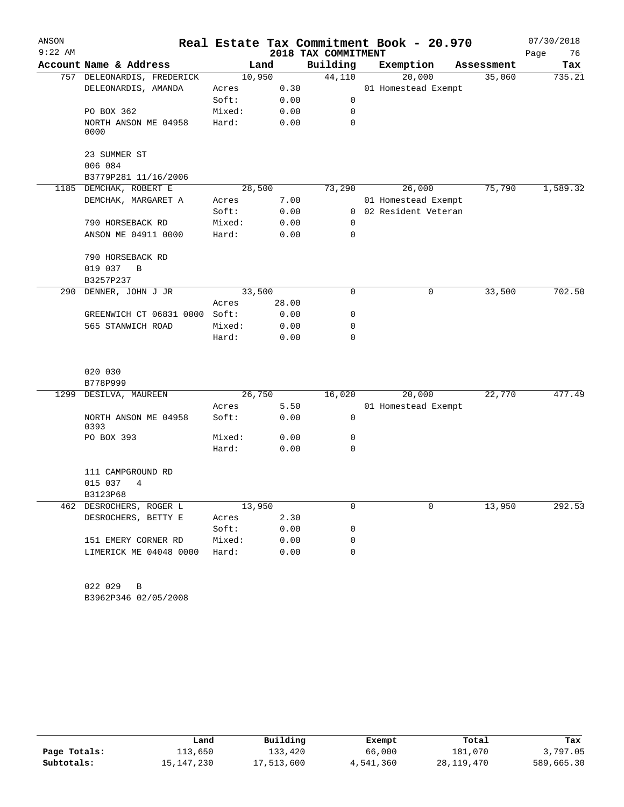| ANSON     |                               |        |        |                     | Real Estate Tax Commitment Book - 20.970 |            | 07/30/2018 |
|-----------|-------------------------------|--------|--------|---------------------|------------------------------------------|------------|------------|
| $9:22$ AM |                               |        |        | 2018 TAX COMMITMENT |                                          |            | 76<br>Page |
|           | Account Name & Address        |        | Land   | Building            | Exemption                                | Assessment | Tax        |
|           | 757 DELEONARDIS, FREDERICK    |        | 10,950 | 44,110              | 20,000                                   | 35,060     | 735.21     |
|           | DELEONARDIS, AMANDA           | Acres  | 0.30   |                     | 01 Homestead Exempt                      |            |            |
|           |                               | Soft:  | 0.00   | $\mathbf 0$         |                                          |            |            |
|           | PO BOX 362                    | Mixed: | 0.00   | $\mathbf 0$         |                                          |            |            |
|           | NORTH ANSON ME 04958<br>0000  | Hard:  | 0.00   | 0                   |                                          |            |            |
|           | 23 SUMMER ST<br>006 084       |        |        |                     |                                          |            |            |
|           | B3779P281 11/16/2006          |        |        |                     |                                          |            |            |
|           | 1185 DEMCHAK, ROBERT E        |        | 28,500 | 73,290              | 26,000                                   | 75,790     | 1,589.32   |
|           | DEMCHAK, MARGARET A           | Acres  | 7.00   |                     | 01 Homestead Exempt                      |            |            |
|           |                               | Soft:  | 0.00   |                     | 0 02 Resident Veteran                    |            |            |
|           | 790 HORSEBACK RD              | Mixed: | 0.00   | 0                   |                                          |            |            |
|           | ANSON ME 04911 0000           | Hard:  | 0.00   | 0                   |                                          |            |            |
|           |                               |        |        |                     |                                          |            |            |
|           | 790 HORSEBACK RD              |        |        |                     |                                          |            |            |
|           |                               |        |        |                     |                                          |            |            |
|           | 019 037<br>B                  |        |        |                     |                                          |            |            |
|           | B3257P237                     |        |        |                     |                                          | 33,500     |            |
|           | 290 DENNER, JOHN J JR         |        | 33,500 | 0                   | 0                                        |            | 702.50     |
|           |                               | Acres  | 28.00  |                     |                                          |            |            |
|           | GREENWICH CT 06831 0000 Soft: |        | 0.00   | 0                   |                                          |            |            |
|           | 565 STANWICH ROAD             | Mixed: | 0.00   | 0                   |                                          |            |            |
|           |                               | Hard:  | 0.00   | $\Omega$            |                                          |            |            |
|           | 020 030                       |        |        |                     |                                          |            |            |
|           | B778P999                      |        |        |                     |                                          |            |            |
|           | 1299 DESILVA, MAUREEN         |        | 26,750 | 16,020              | 20,000                                   | 22,770     | 477.49     |
|           |                               | Acres  | 5.50   |                     | 01 Homestead Exempt                      |            |            |
|           | NORTH ANSON ME 04958<br>0393  | Soft:  | 0.00   | 0                   |                                          |            |            |
|           | PO BOX 393                    | Mixed: | 0.00   | 0                   |                                          |            |            |
|           |                               | Hard:  | 0.00   | 0                   |                                          |            |            |
|           | 111 CAMPGROUND RD             |        |        |                     |                                          |            |            |
|           | 015 037<br>4                  |        |        |                     |                                          |            |            |
|           | B3123P68                      |        |        |                     |                                          |            |            |
|           | 462 DESROCHERS, ROGER L       |        | 13,950 | 0                   | 0                                        | 13,950     | 292.53     |
|           | DESROCHERS, BETTY E           | Acres  | 2.30   |                     |                                          |            |            |
|           |                               | Soft:  | 0.00   | 0                   |                                          |            |            |
|           |                               |        |        | 0                   |                                          |            |            |
|           | 151 EMERY CORNER RD           | Mixed: | 0.00   |                     |                                          |            |            |
|           | LIMERICK ME 04048 0000        | Hard:  | 0.00   | 0                   |                                          |            |            |
|           |                               |        |        |                     |                                          |            |            |

B3962P346 02/05/2008 022 029 B

|              | Land       | Building   | Exempt    | Total      | Tax        |
|--------------|------------|------------|-----------|------------|------------|
| Page Totals: | 113,650    | 133,420    | 66,000    | 181,070    | 3,797.05   |
| Subtotals:   | 15,147,230 | 17,513,600 | 4,541,360 | 28,119,470 | 589,665.30 |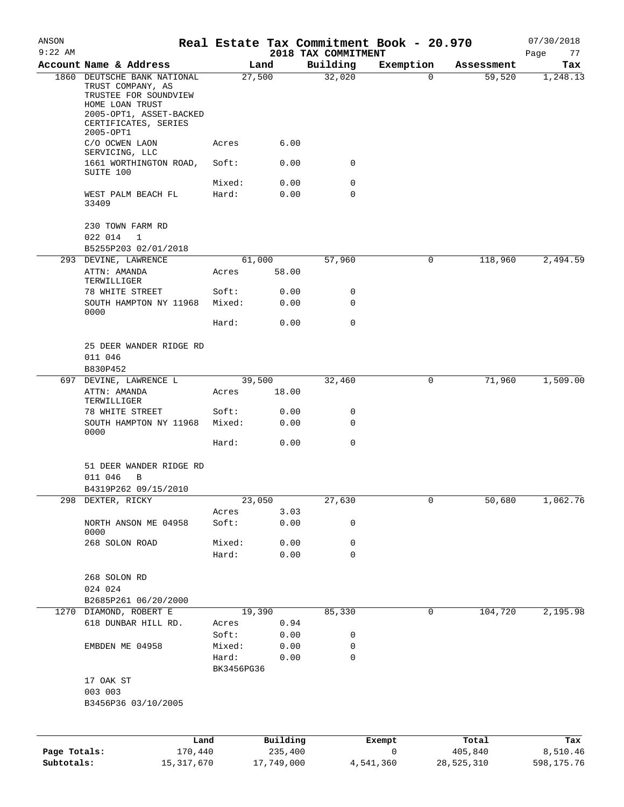| ANSON<br>$9:22$ AM         |                                                                                                                         |                 |                       | 2018 TAX COMMITMENT | Real Estate Tax Commitment Book - 20.970 |                       | 07/30/2018             |
|----------------------------|-------------------------------------------------------------------------------------------------------------------------|-----------------|-----------------------|---------------------|------------------------------------------|-----------------------|------------------------|
|                            | Account Name & Address                                                                                                  |                 | Land                  | Building            | Exemption                                | Assessment            | Page<br>77<br>Tax      |
|                            | 1860 DEUTSCHE BANK NATIONAL<br>TRUST COMPANY, AS<br>TRUSTEE FOR SOUNDVIEW<br>HOME LOAN TRUST<br>2005-OPT1, ASSET-BACKED |                 | 27,500                | 32,020              | 0                                        | 59,520                | 1,248.13               |
|                            | CERTIFICATES, SERIES<br>2005-OPT1                                                                                       |                 |                       |                     |                                          |                       |                        |
|                            | C/O OCWEN LAON<br>SERVICING, LLC<br>1661 WORTHINGTON ROAD,                                                              | Acres<br>Soft:  | 6.00<br>0.00          | 0                   |                                          |                       |                        |
|                            | SUITE 100                                                                                                               | Mixed:          | 0.00                  | 0                   |                                          |                       |                        |
|                            | WEST PALM BEACH FL<br>33409                                                                                             | Hard:           | 0.00                  | $\mathbf 0$         |                                          |                       |                        |
|                            | 230 TOWN FARM RD<br>022 014<br>1                                                                                        |                 |                       |                     |                                          |                       |                        |
|                            | B5255P203 02/01/2018                                                                                                    |                 |                       |                     |                                          |                       |                        |
|                            | 293 DEVINE, LAWRENCE<br>ATTN: AMANDA<br>TERWILLIGER                                                                     | Acres           | 61,000<br>58.00       | 57,960              | 0                                        | 118,960               | 2,494.59               |
|                            | 78 WHITE STREET                                                                                                         | Soft:           | 0.00                  | 0                   |                                          |                       |                        |
|                            | SOUTH HAMPTON NY 11968<br>0000                                                                                          | Mixed:          | 0.00                  | 0                   |                                          |                       |                        |
|                            |                                                                                                                         | Hard:           | 0.00                  | $\mathbf 0$         |                                          |                       |                        |
|                            | 25 DEER WANDER RIDGE RD<br>011 046<br>B830P452                                                                          |                 |                       |                     |                                          |                       |                        |
|                            | 697 DEVINE, LAWRENCE L                                                                                                  |                 | 39,500                | 32,460              | 0                                        | 71,960                | 1,509.00               |
|                            | ATTN: AMANDA<br>TERWILLIGER                                                                                             | Acres           | 18.00                 |                     |                                          |                       |                        |
|                            | 78 WHITE STREET<br>SOUTH HAMPTON NY 11968                                                                               | Soft:<br>Mixed: | 0.00<br>0.00          | 0<br>0              |                                          |                       |                        |
|                            | 0000                                                                                                                    | Hard:           | 0.00                  | $\mathbf 0$         |                                          |                       |                        |
|                            | 51 DEER WANDER RIDGE RD<br>011 046<br>B                                                                                 |                 |                       |                     |                                          |                       |                        |
|                            | B4319P262 09/15/2010                                                                                                    |                 |                       |                     |                                          |                       |                        |
|                            | 298 DEXTER, RICKY                                                                                                       |                 | 23,050                | 27,630              | 0                                        | 50,680                | 1,062.76               |
|                            | NORTH ANSON ME 04958<br>0000                                                                                            | Acres<br>Soft:  | 3.03<br>0.00          | 0                   |                                          |                       |                        |
|                            | 268 SOLON ROAD                                                                                                          | Mixed:          | 0.00                  | 0                   |                                          |                       |                        |
|                            |                                                                                                                         | Hard:           | 0.00                  | $\mathbf 0$         |                                          |                       |                        |
|                            | 268 SOLON RD<br>024 024                                                                                                 |                 |                       |                     |                                          |                       |                        |
|                            | B2685P261 06/20/2000                                                                                                    |                 |                       |                     |                                          |                       |                        |
|                            | 1270 DIAMOND, ROBERT E                                                                                                  |                 | 19,390                | 85,330              | 0                                        | 104,720               | 2,195.98               |
|                            | 618 DUNBAR HILL RD.                                                                                                     | Acres           | 0.94                  |                     |                                          |                       |                        |
|                            |                                                                                                                         | Soft:           | 0.00                  | 0                   |                                          |                       |                        |
|                            | EMBDEN ME 04958                                                                                                         | Mixed:<br>Hard: | 0.00<br>0.00          | 0<br>0              |                                          |                       |                        |
|                            |                                                                                                                         | BK3456PG36      |                       |                     |                                          |                       |                        |
|                            | 17 OAK ST<br>003 003<br>B3456P36 03/10/2005                                                                             |                 |                       |                     |                                          |                       |                        |
|                            |                                                                                                                         |                 |                       |                     |                                          |                       |                        |
|                            | Land                                                                                                                    |                 | Building              |                     | Exempt                                   | Total                 | Tax                    |
| Page Totals:<br>Subtotals: | 170,440<br>15, 317, 670                                                                                                 |                 | 235,400<br>17,749,000 |                     | $\mathsf{O}$<br>4,541,360                | 405,840<br>28,525,310 | 8,510.46<br>598,175.76 |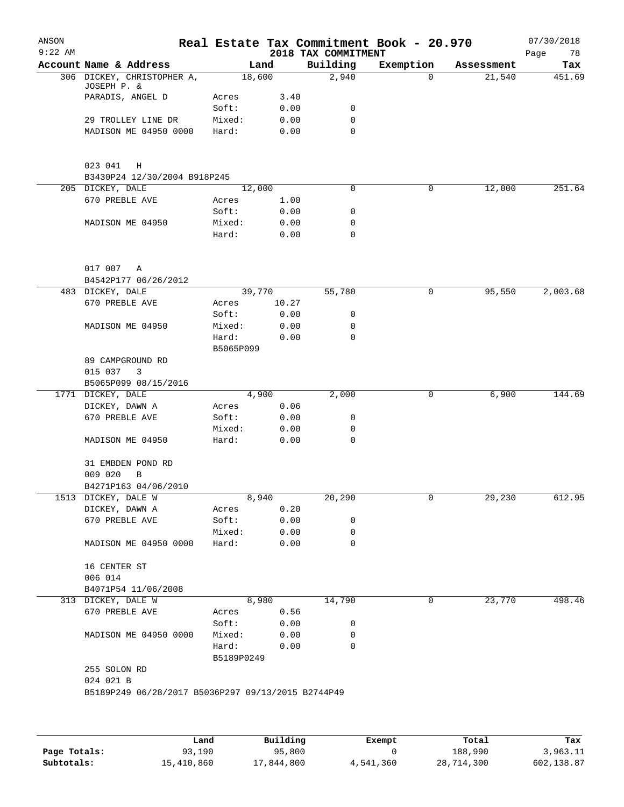| ANSON<br>$9:22$ AM |                                                    |            |       | 2018 TAX COMMITMENT | Real Estate Tax Commitment Book - 20.970 |            | 07/30/2018<br>Page<br>78 |
|--------------------|----------------------------------------------------|------------|-------|---------------------|------------------------------------------|------------|--------------------------|
|                    | Account Name & Address                             | Land       |       | Building            | Exemption                                | Assessment | Tax                      |
|                    | 306 DICKEY, CHRISTOPHER A,<br>JOSEPH P. &          | 18,600     |       | 2,940               | $\Omega$                                 | 21,540     | 451.69                   |
|                    | PARADIS, ANGEL D                                   | Acres      | 3.40  |                     |                                          |            |                          |
|                    |                                                    | Soft:      | 0.00  | 0                   |                                          |            |                          |
|                    | 29 TROLLEY LINE DR                                 | Mixed:     | 0.00  | 0                   |                                          |            |                          |
|                    | MADISON ME 04950 0000                              | Hard:      | 0.00  | $\mathbf 0$         |                                          |            |                          |
|                    |                                                    |            |       |                     |                                          |            |                          |
|                    | 023 041<br>Η<br>B3430P24 12/30/2004 B918P245       |            |       |                     |                                          |            |                          |
|                    | 205 DICKEY, DALE                                   | 12,000     |       | 0                   | 0                                        | 12,000     | 251.64                   |
|                    | 670 PREBLE AVE                                     | Acres      | 1.00  |                     |                                          |            |                          |
|                    |                                                    | Soft:      | 0.00  | 0                   |                                          |            |                          |
|                    | MADISON ME 04950                                   | Mixed:     | 0.00  | $\mathbf 0$         |                                          |            |                          |
|                    |                                                    | Hard:      | 0.00  | $\mathbf 0$         |                                          |            |                          |
|                    | 017 007 A                                          |            |       |                     |                                          |            |                          |
|                    | B4542P177 06/26/2012                               |            |       |                     |                                          |            |                          |
|                    | 483 DICKEY, DALE                                   | 39,770     |       | 55,780              | 0                                        | 95,550     | 2,003.68                 |
|                    |                                                    |            |       |                     |                                          |            |                          |
|                    | 670 PREBLE AVE                                     | Acres      | 10.27 |                     |                                          |            |                          |
|                    |                                                    | Soft:      | 0.00  | 0                   |                                          |            |                          |
|                    | MADISON ME 04950                                   | Mixed:     | 0.00  | $\mathbf 0$         |                                          |            |                          |
|                    |                                                    | Hard:      | 0.00  | $\mathbf 0$         |                                          |            |                          |
|                    |                                                    | B5065P099  |       |                     |                                          |            |                          |
|                    | 89 CAMPGROUND RD                                   |            |       |                     |                                          |            |                          |
|                    | 015 037<br>3                                       |            |       |                     |                                          |            |                          |
|                    | B5065P099 08/15/2016                               |            |       |                     |                                          |            |                          |
|                    | 1771 DICKEY, DALE                                  | 4,900      |       | 2,000               | 0                                        | 6,900      | 144.69                   |
|                    | DICKEY, DAWN A                                     | Acres      | 0.06  |                     |                                          |            |                          |
|                    | 670 PREBLE AVE                                     | Soft:      | 0.00  | 0                   |                                          |            |                          |
|                    |                                                    | Mixed:     | 0.00  | 0                   |                                          |            |                          |
|                    | MADISON ME 04950                                   | Hard:      | 0.00  | $\mathbf 0$         |                                          |            |                          |
|                    | 31 EMBDEN POND RD                                  |            |       |                     |                                          |            |                          |
|                    | 009 020<br>B                                       |            |       |                     |                                          |            |                          |
|                    | B4271P163 04/06/2010                               |            |       |                     |                                          |            |                          |
|                    | 1513 DICKEY, DALE W                                | 8,940      |       | 20,290              | 0                                        | 29,230     | 612.95                   |
|                    | DICKEY, DAWN A                                     | Acres      | 0.20  |                     |                                          |            |                          |
|                    | 670 PREBLE AVE                                     | Soft:      | 0.00  | 0                   |                                          |            |                          |
|                    |                                                    | Mixed:     | 0.00  | 0                   |                                          |            |                          |
|                    | MADISON ME 04950 0000                              | Hard:      | 0.00  | 0                   |                                          |            |                          |
|                    |                                                    |            |       |                     |                                          |            |                          |
|                    | 16 CENTER ST                                       |            |       |                     |                                          |            |                          |
|                    | 006 014                                            |            |       |                     |                                          |            |                          |
|                    | B4071P54 11/06/2008                                |            |       |                     |                                          |            |                          |
|                    | 313 DICKEY, DALE W                                 | 8,980      |       | 14,790              | 0                                        | 23,770     | 498.46                   |
|                    | 670 PREBLE AVE                                     | Acres      | 0.56  |                     |                                          |            |                          |
|                    |                                                    | Soft:      | 0.00  | 0                   |                                          |            |                          |
|                    | MADISON ME 04950 0000                              | Mixed:     | 0.00  | 0                   |                                          |            |                          |
|                    |                                                    | Hard:      | 0.00  | $\mathbf 0$         |                                          |            |                          |
|                    |                                                    | B5189P0249 |       |                     |                                          |            |                          |
|                    | 255 SOLON RD                                       |            |       |                     |                                          |            |                          |
|                    | 024 021 B                                          |            |       |                     |                                          |            |                          |
|                    | B5189P249 06/28/2017 B5036P297 09/13/2015 B2744P49 |            |       |                     |                                          |            |                          |
|                    |                                                    |            |       |                     |                                          |            |                          |
|                    |                                                    |            |       |                     |                                          |            |                          |
|                    |                                                    |            |       |                     |                                          |            |                          |
|                    |                                                    |            |       |                     |                                          |            |                          |

|              | Land       | Building   | Exempt    | Total      | Tax        |
|--------------|------------|------------|-----------|------------|------------|
| Page Totals: | 93,190     | 95,800     |           | 188,990    | 3,963.11   |
| Subtotals:   | 15,410,860 | 17,844,800 | 4,541,360 | 28,714,300 | 602,138.87 |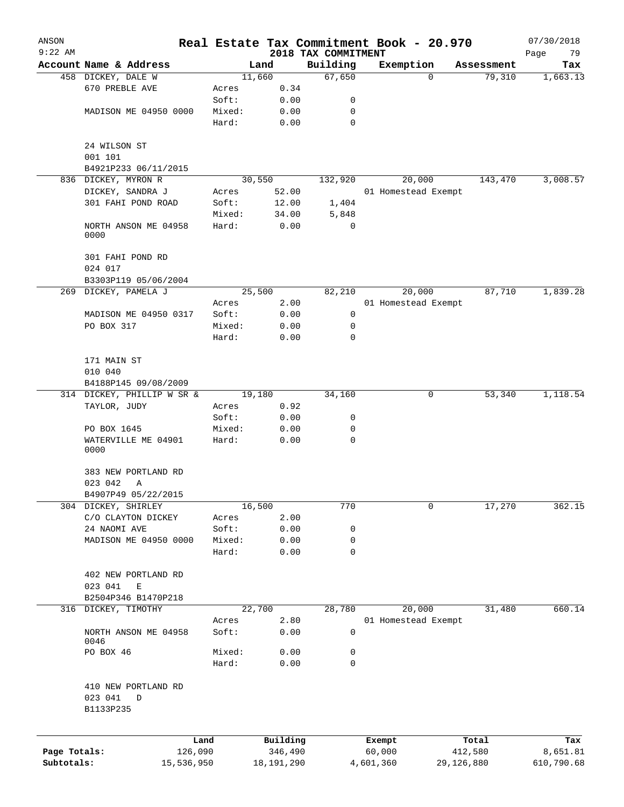| ANSON<br>$9:22$ AM |                                        |        |                |                                 | Real Estate Tax Commitment Book - 20.970 |                    | 07/30/2018        |
|--------------------|----------------------------------------|--------|----------------|---------------------------------|------------------------------------------|--------------------|-------------------|
|                    | Account Name & Address                 |        | Land           | 2018 TAX COMMITMENT<br>Building | Exemption                                | Assessment         | Page<br>79<br>Tax |
|                    | 458 DICKEY, DALE W                     |        | 11,660         | 67,650                          |                                          | $\Omega$<br>79,310 | 1,663.13          |
|                    | 670 PREBLE AVE                         | Acres  | 0.34           |                                 |                                          |                    |                   |
|                    |                                        | Soft:  | 0.00           | 0                               |                                          |                    |                   |
|                    | MADISON ME 04950 0000                  | Mixed: | 0.00           | 0                               |                                          |                    |                   |
|                    |                                        | Hard:  | 0.00           | $\mathbf 0$                     |                                          |                    |                   |
|                    | 24 WILSON ST                           |        |                |                                 |                                          |                    |                   |
|                    | 001 101                                |        |                |                                 |                                          |                    |                   |
|                    | B4921P233 06/11/2015                   |        |                |                                 |                                          |                    |                   |
|                    | 836 DICKEY, MYRON R                    |        | 30,550         | 132,920                         | 20,000                                   | 143,470            | 3,008.57          |
|                    | DICKEY, SANDRA J                       | Acres  | 52.00          |                                 | 01 Homestead Exempt                      |                    |                   |
|                    | 301 FAHI POND ROAD                     | Soft:  | 12.00          | 1,404                           |                                          |                    |                   |
|                    |                                        | Mixed: | 34.00          | 5,848                           |                                          |                    |                   |
|                    | NORTH ANSON ME 04958<br>0000           | Hard:  | 0.00           | $\mathbf 0$                     |                                          |                    |                   |
|                    | 301 FAHI POND RD                       |        |                |                                 |                                          |                    |                   |
|                    | 024 017                                |        |                |                                 |                                          |                    |                   |
|                    | B3303P119 05/06/2004                   |        |                |                                 |                                          |                    |                   |
| 269                | DICKEY, PAMELA J                       |        | 25,500         | 82,210                          | 20,000                                   | 87,710             | 1,839.28          |
|                    |                                        | Acres  | 2.00           |                                 | 01 Homestead Exempt                      |                    |                   |
|                    | MADISON ME 04950 0317                  | Soft:  | 0.00           | 0                               |                                          |                    |                   |
|                    | PO BOX 317                             | Mixed: | 0.00           | 0                               |                                          |                    |                   |
|                    |                                        | Hard:  | 0.00           | 0                               |                                          |                    |                   |
|                    | 171 MAIN ST<br>010 040                 |        |                |                                 |                                          |                    |                   |
|                    | B4188P145 09/08/2009                   |        |                |                                 |                                          |                    |                   |
|                    | 314 DICKEY, PHILLIP W SR &             |        | 19,180         | 34,160                          |                                          | 0<br>53,340        | 1,118.54          |
|                    | TAYLOR, JUDY                           | Acres  | 0.92           |                                 |                                          |                    |                   |
|                    |                                        | Soft:  | 0.00           | 0                               |                                          |                    |                   |
|                    | PO BOX 1645                            | Mixed: | 0.00           | 0                               |                                          |                    |                   |
|                    | WATERVILLE ME 04901<br>0000            | Hard:  | 0.00           | $\mathbf 0$                     |                                          |                    |                   |
|                    | 383 NEW PORTLAND RD                    |        |                |                                 |                                          |                    |                   |
|                    | 023 042<br>Α                           |        |                |                                 |                                          |                    |                   |
|                    | B4907P49 05/22/2015                    |        |                |                                 |                                          |                    |                   |
| 304                | DICKEY, SHIRLEY                        |        | 16,500         | 770                             |                                          | 17,270<br>0        | 362.15            |
|                    | C/O CLAYTON DICKEY                     | Acres  | 2.00           |                                 |                                          |                    |                   |
|                    | 24 NAOMI AVE                           | Soft:  | 0.00           | 0                               |                                          |                    |                   |
|                    | MADISON ME 04950 0000                  | Mixed: | 0.00           | 0                               |                                          |                    |                   |
|                    |                                        | Hard:  | 0.00           | $\mathbf 0$                     |                                          |                    |                   |
|                    | 402 NEW PORTLAND RD                    |        |                |                                 |                                          |                    |                   |
|                    | 023 041<br>E                           |        |                |                                 |                                          |                    |                   |
|                    | B2504P346 B1470P218<br>DICKEY, TIMOTHY |        |                |                                 |                                          |                    | 660.14            |
| 316                |                                        | Acres  | 22,700<br>2.80 | 28,780                          | 20,000<br>01 Homestead Exempt            | 31,480             |                   |
|                    | NORTH ANSON ME 04958<br>0046           | Soft:  | 0.00           | 0                               |                                          |                    |                   |
|                    | PO BOX 46                              | Mixed: | 0.00           | 0                               |                                          |                    |                   |
|                    |                                        | Hard:  | 0.00           | 0                               |                                          |                    |                   |
|                    | 410 NEW PORTLAND RD                    |        |                |                                 |                                          |                    |                   |
|                    | 023 041<br>D<br>B1133P235              |        |                |                                 |                                          |                    |                   |
|                    |                                        |        |                |                                 |                                          |                    |                   |
|                    |                                        | Land   | Building       |                                 | Exempt                                   | Total              | Tax               |
| Page Totals:       | 126,090                                |        | 346,490        |                                 | 60,000                                   | 412,580            | 8,651.81          |
| Subtotals:         | 15,536,950                             |        | 18,191,290     |                                 | 4,601,360                                | 29,126,880         | 610,790.68        |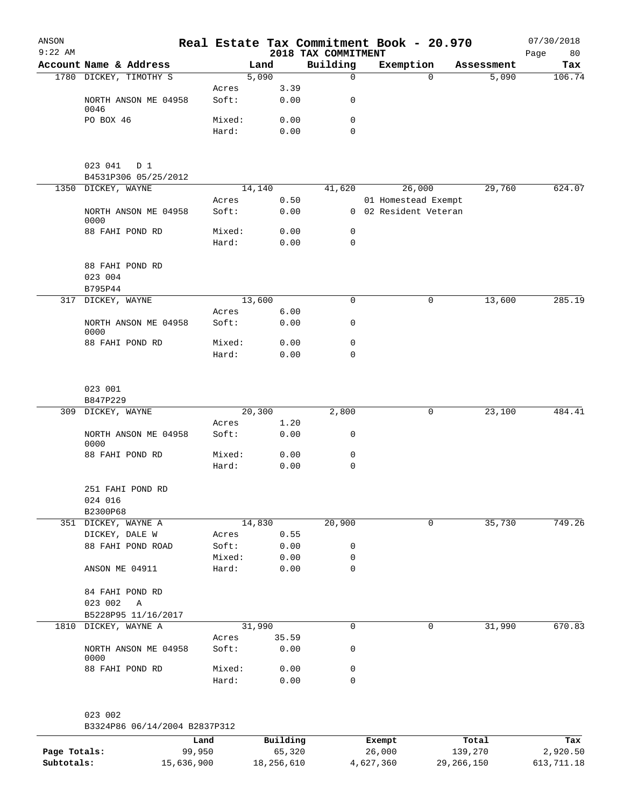|                         |                                                                                                                                                                                                                                                                                                     |                                                                      |                                                                                                                                  |                                                                     |                                                                                 | 07/30/2018                                                                                                                                                        |
|-------------------------|-----------------------------------------------------------------------------------------------------------------------------------------------------------------------------------------------------------------------------------------------------------------------------------------------------|----------------------------------------------------------------------|----------------------------------------------------------------------------------------------------------------------------------|---------------------------------------------------------------------|---------------------------------------------------------------------------------|-------------------------------------------------------------------------------------------------------------------------------------------------------------------|
|                         |                                                                                                                                                                                                                                                                                                     |                                                                      |                                                                                                                                  |                                                                     |                                                                                 | Page<br>80                                                                                                                                                        |
|                         |                                                                                                                                                                                                                                                                                                     |                                                                      |                                                                                                                                  |                                                                     |                                                                                 | Tax                                                                                                                                                               |
|                         |                                                                                                                                                                                                                                                                                                     |                                                                      |                                                                                                                                  |                                                                     |                                                                                 | 106.74                                                                                                                                                            |
| NORTH ANSON ME 04958    | Soft:                                                                                                                                                                                                                                                                                               | 0.00                                                                 | 0                                                                                                                                |                                                                     |                                                                                 |                                                                                                                                                                   |
| PO BOX 46               | Mixed:                                                                                                                                                                                                                                                                                              | 0.00                                                                 | 0                                                                                                                                |                                                                     |                                                                                 |                                                                                                                                                                   |
|                         | Hard:                                                                                                                                                                                                                                                                                               | 0.00                                                                 | $\mathbf 0$                                                                                                                      |                                                                     |                                                                                 |                                                                                                                                                                   |
| 023 041 D 1             |                                                                                                                                                                                                                                                                                                     |                                                                      |                                                                                                                                  |                                                                     |                                                                                 |                                                                                                                                                                   |
| B4531P306 05/25/2012    |                                                                                                                                                                                                                                                                                                     |                                                                      |                                                                                                                                  |                                                                     |                                                                                 |                                                                                                                                                                   |
|                         |                                                                                                                                                                                                                                                                                                     |                                                                      |                                                                                                                                  |                                                                     |                                                                                 | 624.07                                                                                                                                                            |
|                         |                                                                                                                                                                                                                                                                                                     |                                                                      |                                                                                                                                  |                                                                     |                                                                                 |                                                                                                                                                                   |
| 0000                    |                                                                                                                                                                                                                                                                                                     |                                                                      |                                                                                                                                  |                                                                     |                                                                                 |                                                                                                                                                                   |
| 88 FAHI POND RD         | Mixed:                                                                                                                                                                                                                                                                                              | 0.00                                                                 | 0                                                                                                                                |                                                                     |                                                                                 |                                                                                                                                                                   |
|                         | Hard:                                                                                                                                                                                                                                                                                               | 0.00                                                                 | 0                                                                                                                                |                                                                     |                                                                                 |                                                                                                                                                                   |
| 88 FAHI POND RD         |                                                                                                                                                                                                                                                                                                     |                                                                      |                                                                                                                                  |                                                                     |                                                                                 |                                                                                                                                                                   |
|                         |                                                                                                                                                                                                                                                                                                     |                                                                      |                                                                                                                                  |                                                                     |                                                                                 |                                                                                                                                                                   |
|                         |                                                                                                                                                                                                                                                                                                     |                                                                      |                                                                                                                                  |                                                                     |                                                                                 |                                                                                                                                                                   |
|                         |                                                                                                                                                                                                                                                                                                     |                                                                      |                                                                                                                                  |                                                                     |                                                                                 | 285.19                                                                                                                                                            |
| NORTH ANSON ME 04958    | Soft:                                                                                                                                                                                                                                                                                               | 0.00                                                                 | 0                                                                                                                                |                                                                     |                                                                                 |                                                                                                                                                                   |
| 88 FAHI POND RD         | Mixed:                                                                                                                                                                                                                                                                                              | 0.00                                                                 | 0                                                                                                                                |                                                                     |                                                                                 |                                                                                                                                                                   |
|                         | Hard:                                                                                                                                                                                                                                                                                               | 0.00                                                                 | 0                                                                                                                                |                                                                     |                                                                                 |                                                                                                                                                                   |
| 023 001                 |                                                                                                                                                                                                                                                                                                     |                                                                      |                                                                                                                                  |                                                                     |                                                                                 |                                                                                                                                                                   |
| B847P229                |                                                                                                                                                                                                                                                                                                     |                                                                      |                                                                                                                                  |                                                                     |                                                                                 |                                                                                                                                                                   |
| 309 DICKEY, WAYNE       |                                                                                                                                                                                                                                                                                                     |                                                                      |                                                                                                                                  | 0                                                                   |                                                                                 | 484.41                                                                                                                                                            |
|                         |                                                                                                                                                                                                                                                                                                     |                                                                      |                                                                                                                                  |                                                                     |                                                                                 |                                                                                                                                                                   |
|                         |                                                                                                                                                                                                                                                                                                     |                                                                      |                                                                                                                                  |                                                                     |                                                                                 |                                                                                                                                                                   |
| 88 FAHI POND RD         | Mixed:                                                                                                                                                                                                                                                                                              | 0.00                                                                 | 0                                                                                                                                |                                                                     |                                                                                 |                                                                                                                                                                   |
|                         | Hard:                                                                                                                                                                                                                                                                                               | 0.00                                                                 | $\mathbf 0$                                                                                                                      |                                                                     |                                                                                 |                                                                                                                                                                   |
| 251 FAHI POND RD        |                                                                                                                                                                                                                                                                                                     |                                                                      |                                                                                                                                  |                                                                     |                                                                                 |                                                                                                                                                                   |
|                         |                                                                                                                                                                                                                                                                                                     |                                                                      |                                                                                                                                  |                                                                     |                                                                                 |                                                                                                                                                                   |
|                         |                                                                                                                                                                                                                                                                                                     |                                                                      |                                                                                                                                  |                                                                     |                                                                                 | 749.26                                                                                                                                                            |
|                         |                                                                                                                                                                                                                                                                                                     |                                                                      |                                                                                                                                  |                                                                     |                                                                                 |                                                                                                                                                                   |
| 88 FAHI POND ROAD       | Soft:                                                                                                                                                                                                                                                                                               | 0.00                                                                 | 0                                                                                                                                |                                                                     |                                                                                 |                                                                                                                                                                   |
|                         | Mixed:                                                                                                                                                                                                                                                                                              | 0.00                                                                 | 0                                                                                                                                |                                                                     |                                                                                 |                                                                                                                                                                   |
| ANSON ME 04911          | Hard:                                                                                                                                                                                                                                                                                               | 0.00                                                                 | 0                                                                                                                                |                                                                     |                                                                                 |                                                                                                                                                                   |
| 84 FAHI POND RD         |                                                                                                                                                                                                                                                                                                     |                                                                      |                                                                                                                                  |                                                                     |                                                                                 |                                                                                                                                                                   |
| 023 002<br>A            |                                                                                                                                                                                                                                                                                                     |                                                                      |                                                                                                                                  |                                                                     |                                                                                 |                                                                                                                                                                   |
|                         |                                                                                                                                                                                                                                                                                                     |                                                                      |                                                                                                                                  |                                                                     |                                                                                 |                                                                                                                                                                   |
|                         |                                                                                                                                                                                                                                                                                                     |                                                                      |                                                                                                                                  |                                                                     |                                                                                 | 670.83                                                                                                                                                            |
| NORTH ANSON ME 04958    | Soft:                                                                                                                                                                                                                                                                                               | 0.00                                                                 | 0                                                                                                                                |                                                                     |                                                                                 |                                                                                                                                                                   |
|                         |                                                                                                                                                                                                                                                                                                     |                                                                      |                                                                                                                                  |                                                                     |                                                                                 |                                                                                                                                                                   |
| 0000<br>88 FAHI POND RD | Mixed:                                                                                                                                                                                                                                                                                              | 0.00                                                                 | 0                                                                                                                                |                                                                     |                                                                                 |                                                                                                                                                                   |
| 1810                    | Account Name & Address<br>1780 DICKEY, TIMOTHY S<br>0046<br>1350 DICKEY, WAYNE<br>NORTH ANSON ME 04958<br>023 004<br>B795P44<br>317 DICKEY, WAYNE<br>0000<br>NORTH ANSON ME 04958<br>0000<br>024 016<br>B2300P68<br>351 DICKEY, WAYNE A<br>DICKEY, DALE W<br>B5228P95 11/16/2017<br>DICKEY, WAYNE A | Acres<br>Acres<br>Soft:<br>Acres<br>Acres<br>Soft:<br>Acres<br>Acres | Land<br>5,090<br>3.39<br>14,140<br>0.50<br>0.00<br>13,600<br>6.00<br>20,300<br>1.20<br>0.00<br>14,830<br>0.55<br>31,990<br>35.59 | Building<br>$\mathbf 0$<br>0<br>2,800<br>0<br>20,900<br>$\mathbf 0$ | 2018 TAX COMMITMENT<br>Exemption<br>$\Omega$<br>41,620<br>26,000<br>0<br>0<br>0 | Real Estate Tax Commitment Book - 20.970<br>Assessment<br>5,090<br>29,760<br>01 Homestead Exempt<br>0 02 Resident Veteran<br>13,600<br>23,100<br>35,730<br>31,990 |

023 002

B3324P86 06/14/2004 B2837P312

|              | Land       | Building   | Exempt    | Total      | Tax        |
|--------------|------------|------------|-----------|------------|------------|
| Page Totals: | 99,950     | 65,320     | 26,000    | 139,270    | 2,920.50   |
| Subtotals:   | 15,636,900 | 18,256,610 | 4,627,360 | 29,266,150 | 613,711.18 |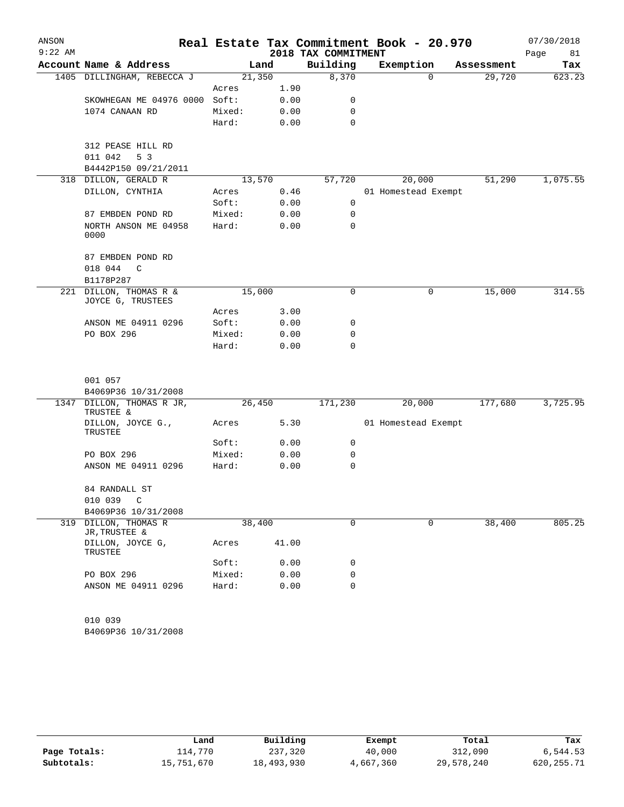| ANSON     |                                        |                 |              |                     | Real Estate Tax Commitment Book - 20.970 |            | 07/30/2018 |
|-----------|----------------------------------------|-----------------|--------------|---------------------|------------------------------------------|------------|------------|
| $9:22$ AM |                                        |                 |              | 2018 TAX COMMITMENT |                                          |            | Page<br>81 |
|           | Account Name & Address                 | Land            |              | Building            | Exemption                                | Assessment | Tax        |
|           | 1405 DILLINGHAM, REBECCA J             | 21,350          |              | 8,370               | $\Omega$                                 | 29,720     | 623.23     |
|           | SKOWHEGAN ME 04976 0000                | Acres<br>Soft:  | 1.90         |                     |                                          |            |            |
|           |                                        |                 | 0.00         | 0<br>0              |                                          |            |            |
|           | 1074 CANAAN RD                         | Mixed:<br>Hard: | 0.00<br>0.00 | 0                   |                                          |            |            |
|           |                                        |                 |              |                     |                                          |            |            |
|           | 312 PEASE HILL RD                      |                 |              |                     |                                          |            |            |
|           | 011 042<br>5 <sub>3</sub>              |                 |              |                     |                                          |            |            |
|           | B4442P150 09/21/2011                   |                 |              |                     |                                          |            |            |
|           | 318 DILLON, GERALD R                   | 13,570          |              | 57,720              | 20,000                                   | 51,290     | 1,075.55   |
|           | DILLON, CYNTHIA                        | Acres           | 0.46         |                     | 01 Homestead Exempt                      |            |            |
|           |                                        | Soft:           | 0.00         | 0                   |                                          |            |            |
|           | 87 EMBDEN POND RD                      | Mixed:          | 0.00         | 0                   |                                          |            |            |
|           | NORTH ANSON ME 04958<br>0000           | Hard:           | 0.00         | $\mathbf 0$         |                                          |            |            |
|           | 87 EMBDEN POND RD                      |                 |              |                     |                                          |            |            |
|           | 018 044<br>C                           |                 |              |                     |                                          |            |            |
|           | B1178P287                              |                 |              |                     |                                          |            |            |
| 221       | DILLON, THOMAS R &                     | 15,000          |              | 0                   | 0                                        | 15,000     | 314.55     |
|           | JOYCE G, TRUSTEES                      |                 |              |                     |                                          |            |            |
|           |                                        | Acres           | 3.00         |                     |                                          |            |            |
|           | ANSON ME 04911 0296                    | Soft:           | 0.00         | 0                   |                                          |            |            |
|           | PO BOX 296                             | Mixed:          | 0.00         | 0                   |                                          |            |            |
|           |                                        | Hard:           | 0.00         | 0                   |                                          |            |            |
|           | 001 057                                |                 |              |                     |                                          |            |            |
|           | B4069P36 10/31/2008                    |                 |              |                     |                                          |            |            |
|           | 1347 DILLON, THOMAS R JR,<br>TRUSTEE & | 26,450          |              | 171,230             | 20,000                                   | 177,680    | 3,725.95   |
|           | DILLON, JOYCE G.,<br>TRUSTEE           | Acres           | 5.30         |                     | 01 Homestead Exempt                      |            |            |
|           |                                        | Soft:           | 0.00         | 0                   |                                          |            |            |
|           | PO BOX 296                             | Mixed:          | 0.00         | 0                   |                                          |            |            |
|           | ANSON ME 04911 0296                    | Hard:           | 0.00         | 0                   |                                          |            |            |
|           | 84 RANDALL ST                          |                 |              |                     |                                          |            |            |
|           | 010 039<br>C                           |                 |              |                     |                                          |            |            |
|           | B4069P36 10/31/2008                    |                 |              |                     |                                          |            |            |
| 319       | DILLON, THOMAS R<br>JR, TRUSTEE &      | 38,400          |              | 0                   | 0                                        | 38,400     | 805.25     |
|           | DILLON, JOYCE G,<br>TRUSTEE            | Acres           | 41.00        |                     |                                          |            |            |
|           |                                        | Soft:           | 0.00         | 0                   |                                          |            |            |
|           | PO BOX 296                             | Mixed:          | 0.00         | 0                   |                                          |            |            |
|           | ANSON ME 04911 0296                    | Hard:           | 0.00         | 0                   |                                          |            |            |
|           | 010 039                                |                 |              |                     |                                          |            |            |
|           | B4069P36 10/31/2008                    |                 |              |                     |                                          |            |            |
|           |                                        |                 |              |                     |                                          |            |            |

|              | Land       | Building   |           | Total      | Tax          |
|--------------|------------|------------|-----------|------------|--------------|
|              |            |            | Exempt    |            |              |
| Page Totals: | 114,770    | 237,320    | 40,000    | 312,090    | 6,544.53     |
| Subtotals:   | 15,751,670 | 18,493,930 | 4,667,360 | 29,578,240 | 620, 255. 71 |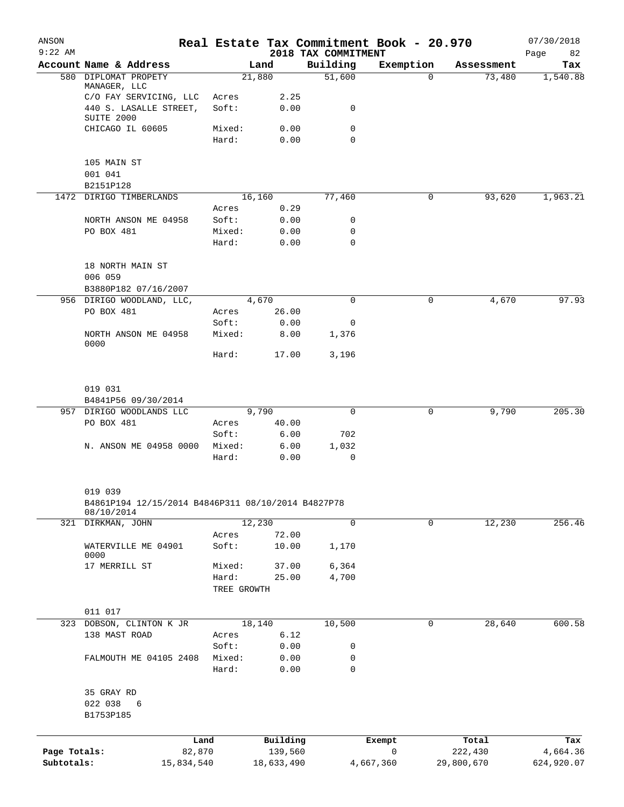| ANSON<br>$9:22$ AM |                                                               |                |                |                       | 2018 TAX COMMITMENT | Real Estate Tax Commitment Book - 20.970 |                       | 07/30/2018<br>Page<br>82 |
|--------------------|---------------------------------------------------------------|----------------|----------------|-----------------------|---------------------|------------------------------------------|-----------------------|--------------------------|
|                    | Account Name & Address                                        |                |                | Land                  | Building            | Exemption                                | Assessment            | Tax                      |
| 580                | DIPLOMAT PROPETY<br>MANAGER, LLC                              |                |                | 21,880                | 51,600              | 0                                        | 73,480                | 1,540.88                 |
|                    | C/O FAY SERVICING, LLC                                        |                | Acres          | 2.25                  |                     |                                          |                       |                          |
|                    | 440 S. LASALLE STREET,<br>SUITE 2000                          |                | Soft:          | 0.00                  | 0                   |                                          |                       |                          |
|                    | CHICAGO IL 60605                                              |                | Mixed:         | 0.00                  | 0                   |                                          |                       |                          |
|                    |                                                               |                | Hard:          | 0.00                  | $\mathbf 0$         |                                          |                       |                          |
|                    | 105 MAIN ST<br>001 041                                        |                |                |                       |                     |                                          |                       |                          |
|                    | B2151P128                                                     |                |                |                       |                     |                                          |                       |                          |
| 1472               | DIRIGO TIMBERLANDS                                            |                |                | 16,160                | 77,460              | 0                                        | 93,620                | 1,963.21                 |
|                    |                                                               |                | Acres          | 0.29                  |                     |                                          |                       |                          |
|                    | NORTH ANSON ME 04958                                          |                | Soft:          | 0.00                  | 0                   |                                          |                       |                          |
|                    | PO BOX 481                                                    |                | Mixed:         | 0.00                  | 0                   |                                          |                       |                          |
|                    |                                                               |                | Hard:          | 0.00                  | $\mathbf 0$         |                                          |                       |                          |
|                    | 18 NORTH MAIN ST                                              |                |                |                       |                     |                                          |                       |                          |
|                    | 006 059                                                       |                |                |                       |                     |                                          |                       |                          |
|                    | B3880P182 07/16/2007                                          |                |                |                       |                     |                                          |                       |                          |
|                    | 956 DIRIGO WOODLAND, LLC,<br>PO BOX 481                       |                |                | 4,670<br>26.00        | $\mathbf 0$         | 0                                        | 4,670                 | 97.93                    |
|                    |                                                               |                | Acres<br>Soft: | 0.00                  | 0                   |                                          |                       |                          |
|                    | NORTH ANSON ME 04958                                          |                | Mixed:         | 8.00                  | 1,376               |                                          |                       |                          |
|                    | 0000                                                          |                |                |                       |                     |                                          |                       |                          |
|                    |                                                               |                | Hard:          | 17.00                 | 3,196               |                                          |                       |                          |
|                    |                                                               |                |                |                       |                     |                                          |                       |                          |
|                    | 019 031                                                       |                |                |                       |                     |                                          |                       |                          |
|                    | B4841P56 09/30/2014                                           |                |                |                       |                     |                                          |                       |                          |
|                    | 957 DIRIGO WOODLANDS LLC                                      |                |                | 9,790                 | $\mathbf 0$         | 0                                        | 9,790                 | 205.30                   |
|                    | PO BOX 481                                                    |                | Acres<br>Soft: | 40.00<br>6.00         | 702                 |                                          |                       |                          |
|                    | N. ANSON ME 04958 0000                                        |                | Mixed:         | 6.00                  | 1,032               |                                          |                       |                          |
|                    |                                                               |                | Hard:          | 0.00                  | 0                   |                                          |                       |                          |
|                    |                                                               |                |                |                       |                     |                                          |                       |                          |
|                    | 019 039<br>B4861P194 12/15/2014 B4846P311 08/10/2014 B4827P78 |                |                |                       |                     |                                          |                       |                          |
|                    | 08/10/2014                                                    |                |                |                       |                     |                                          |                       |                          |
|                    | 321 DIRKMAN, JOHN                                             |                |                | 12,230                | 0                   | 0                                        | 12,230                | 256.46                   |
|                    |                                                               |                | Acres          | 72.00                 |                     |                                          |                       |                          |
|                    | WATERVILLE ME 04901<br>0000                                   |                | Soft:          | 10.00                 | 1,170               |                                          |                       |                          |
|                    | 17 MERRILL ST                                                 |                | Mixed:         | 37.00                 | 6,364               |                                          |                       |                          |
|                    |                                                               |                | Hard:          | 25.00                 | 4,700               |                                          |                       |                          |
|                    |                                                               |                | TREE GROWTH    |                       |                     |                                          |                       |                          |
|                    | 011 017                                                       |                |                |                       |                     |                                          |                       |                          |
|                    | 323 DOBSON, CLINTON K JR                                      |                |                | 18,140                | 10,500              | 0                                        | 28,640                | 600.58                   |
|                    | 138 MAST ROAD                                                 |                | Acres          | 6.12                  |                     |                                          |                       |                          |
|                    |                                                               |                | Soft:          | 0.00                  | 0                   |                                          |                       |                          |
|                    | FALMOUTH ME 04105 2408                                        |                | Mixed:         | 0.00                  | 0                   |                                          |                       |                          |
|                    |                                                               |                | Hard:          | 0.00                  | 0                   |                                          |                       |                          |
|                    | 35 GRAY RD                                                    |                |                |                       |                     |                                          |                       |                          |
|                    | 022 038<br>6<br>B1753P185                                     |                |                |                       |                     |                                          |                       |                          |
|                    |                                                               |                |                |                       |                     |                                          |                       |                          |
| Page Totals:       |                                                               | Land<br>82,870 |                | Building              |                     | Exempt<br>0                              | Total                 | Tax                      |
| Subtotals:         |                                                               | 15,834,540     |                | 139,560<br>18,633,490 |                     | 4,667,360                                | 222,430<br>29,800,670 | 4,664.36<br>624,920.07   |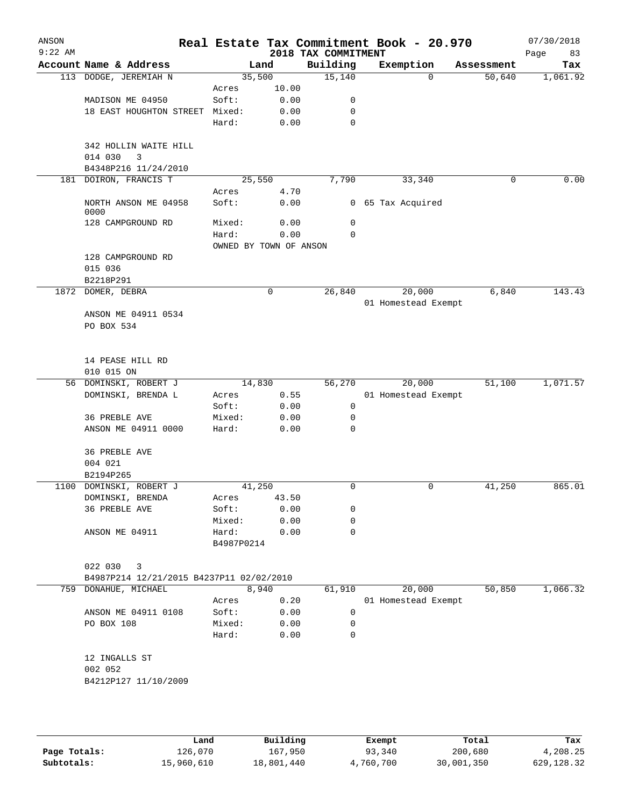| ANSON<br>$9:22$ AM |                                          |                        |       | 2018 TAX COMMITMENT | Real Estate Tax Commitment Book - 20.970 |            | 07/30/2018<br>Page<br>83 |
|--------------------|------------------------------------------|------------------------|-------|---------------------|------------------------------------------|------------|--------------------------|
|                    | Account Name & Address                   |                        | Land  | Building            | Exemption                                | Assessment | Tax                      |
|                    | 113 DODGE, JEREMIAH N                    | 35,500                 |       | 15,140              | $\Omega$                                 | 50,640     | 1,061.92                 |
|                    |                                          | Acres                  | 10.00 |                     |                                          |            |                          |
|                    | MADISON ME 04950                         | Soft:                  | 0.00  | 0                   |                                          |            |                          |
|                    | 18 EAST HOUGHTON STREET                  | Mixed:                 | 0.00  | $\mathbf 0$         |                                          |            |                          |
|                    |                                          | Hard:                  | 0.00  | $\mathbf 0$         |                                          |            |                          |
|                    | 342 HOLLIN WAITE HILL                    |                        |       |                     |                                          |            |                          |
|                    | 3<br>014 030                             |                        |       |                     |                                          |            |                          |
|                    | B4348P216 11/24/2010                     |                        |       |                     |                                          |            |                          |
|                    | 181 DOIRON, FRANCIS T                    | 25,550                 |       | 7,790               | 33,340                                   | 0          | 0.00                     |
|                    |                                          | Acres                  | 4.70  |                     |                                          |            |                          |
|                    | NORTH ANSON ME 04958<br>0000             | Soft:                  | 0.00  |                     | 0 65 Tax Acquired                        |            |                          |
|                    | 128 CAMPGROUND RD                        | Mixed:                 | 0.00  | 0                   |                                          |            |                          |
|                    |                                          | Hard:                  | 0.00  | 0                   |                                          |            |                          |
|                    |                                          | OWNED BY TOWN OF ANSON |       |                     |                                          |            |                          |
|                    | 128 CAMPGROUND RD                        |                        |       |                     |                                          |            |                          |
|                    | 015 036                                  |                        |       |                     |                                          |            |                          |
|                    | B2218P291                                |                        |       |                     |                                          |            |                          |
|                    | 1872 DOMER, DEBRA                        |                        | 0     | 26,840              | 20,000                                   | 6,840      | 143.43                   |
|                    | ANSON ME 04911 0534                      |                        |       |                     | 01 Homestead Exempt                      |            |                          |
|                    | PO BOX 534                               |                        |       |                     |                                          |            |                          |
|                    |                                          |                        |       |                     |                                          |            |                          |
|                    |                                          |                        |       |                     |                                          |            |                          |
|                    | 14 PEASE HILL RD                         |                        |       |                     |                                          |            |                          |
|                    | 010 015 ON                               |                        |       |                     |                                          |            |                          |
|                    | 56 DOMINSKI, ROBERT J                    | 14,830                 |       | 56,270              | 20,000                                   | 51,100     | 1,071.57                 |
|                    | DOMINSKI, BRENDA L                       | Acres                  | 0.55  |                     | 01 Homestead Exempt                      |            |                          |
|                    |                                          | Soft:                  | 0.00  | 0                   |                                          |            |                          |
|                    | 36 PREBLE AVE                            | Mixed:                 | 0.00  | 0                   |                                          |            |                          |
|                    | ANSON ME 04911 0000                      | Hard:                  | 0.00  | 0                   |                                          |            |                          |
|                    | 36 PREBLE AVE                            |                        |       |                     |                                          |            |                          |
|                    | 004 021                                  |                        |       |                     |                                          |            |                          |
|                    | B2194P265                                |                        |       |                     |                                          |            |                          |
|                    | 1100 DOMINSKI, ROBERT J                  | 41,250                 |       | 0                   | 0                                        | 41,250     | 865.01                   |
|                    | DOMINSKI, BRENDA                         | Acres                  | 43.50 |                     |                                          |            |                          |
|                    | 36 PREBLE AVE                            | Soft:                  | 0.00  | 0                   |                                          |            |                          |
|                    | ANSON ME 04911                           | Mixed:                 | 0.00  | 0<br>$\mathbf 0$    |                                          |            |                          |
|                    |                                          | Hard:<br>B4987P0214    | 0.00  |                     |                                          |            |                          |
|                    |                                          |                        |       |                     |                                          |            |                          |
|                    | 022 030<br>3                             |                        |       |                     |                                          |            |                          |
|                    | B4987P214 12/21/2015 B4237P11 02/02/2010 |                        |       |                     |                                          |            |                          |
|                    | 759 DONAHUE, MICHAEL                     | 8,940                  |       | 61,910              | 20,000                                   | 50,850     | 1,066.32                 |
|                    |                                          | Acres                  | 0.20  |                     | 01 Homestead Exempt                      |            |                          |
|                    | ANSON ME 04911 0108                      | Soft:                  | 0.00  | 0                   |                                          |            |                          |
|                    | PO BOX 108                               | Mixed:                 | 0.00  | 0                   |                                          |            |                          |
|                    |                                          | Hard:                  | 0.00  | $\mathbf 0$         |                                          |            |                          |
|                    |                                          |                        |       |                     |                                          |            |                          |
|                    | 12 INGALLS ST<br>002 052                 |                        |       |                     |                                          |            |                          |
|                    | B4212P127 11/10/2009                     |                        |       |                     |                                          |            |                          |
|                    |                                          |                        |       |                     |                                          |            |                          |
|                    |                                          |                        |       |                     |                                          |            |                          |
|                    |                                          |                        |       |                     |                                          |            |                          |

|              | Land       | Building   | Exempt    | Total      | Tax         |
|--------------|------------|------------|-----------|------------|-------------|
| Page Totals: | 126,070    | 167,950    | 93,340    | 200,680    | 4,208.25    |
| Subtotals:   | 15,960,610 | 18,801,440 | 4,760,700 | 30,001,350 | 629, 128.32 |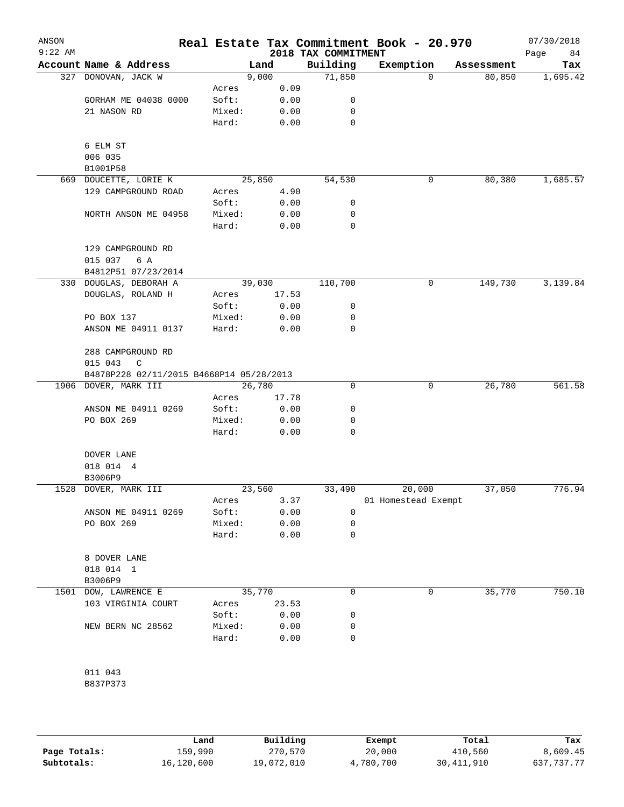| ANSON<br>$9:22$ AM |                                          |                 |              | 2018 TAX COMMITMENT | Real Estate Tax Commitment Book - 20.970 |            | 07/30/2018<br>Page<br>84 |
|--------------------|------------------------------------------|-----------------|--------------|---------------------|------------------------------------------|------------|--------------------------|
|                    | Account Name & Address                   |                 | Land         | Building            | Exemption                                | Assessment | Tax                      |
|                    | 327 DONOVAN, JACK W                      |                 | 9,000        | 71,850              | 0                                        | 80,850     | 1,695.42                 |
|                    |                                          | Acres           | 0.09         |                     |                                          |            |                          |
|                    | GORHAM ME 04038 0000                     | Soft:           | 0.00         | 0                   |                                          |            |                          |
|                    | 21 NASON RD                              | Mixed:          | 0.00         | 0                   |                                          |            |                          |
|                    |                                          | Hard:           | 0.00         | 0                   |                                          |            |                          |
|                    | 6 ELM ST                                 |                 |              |                     |                                          |            |                          |
|                    | 006 035                                  |                 |              |                     |                                          |            |                          |
|                    | B1001P58                                 |                 |              |                     |                                          |            |                          |
|                    | 669 DOUCETTE, LORIE K                    |                 | 25,850       | 54,530              | 0                                        | 80,380     | 1,685.57                 |
|                    | 129 CAMPGROUND ROAD                      | Acres           | 4.90         |                     |                                          |            |                          |
|                    |                                          | Soft:           | 0.00         | 0                   |                                          |            |                          |
|                    | NORTH ANSON ME 04958                     | Mixed:          | 0.00         | 0                   |                                          |            |                          |
|                    |                                          | Hard:           | 0.00         | 0                   |                                          |            |                          |
|                    | 129 CAMPGROUND RD                        |                 |              |                     |                                          |            |                          |
|                    | 015 037<br>6 A                           |                 |              |                     |                                          |            |                          |
|                    | B4812P51 07/23/2014                      |                 |              |                     |                                          |            |                          |
|                    | 330 DOUGLAS, DEBORAH A                   |                 | 39,030       | 110,700             | 0                                        | 149,730    | 3,139.84                 |
|                    | DOUGLAS, ROLAND H                        | Acres           | 17.53        |                     |                                          |            |                          |
|                    |                                          | Soft:           | 0.00         | 0                   |                                          |            |                          |
|                    | PO BOX 137                               | Mixed:          | 0.00         | 0                   |                                          |            |                          |
|                    | ANSON ME 04911 0137                      | Hard:           | 0.00         | 0                   |                                          |            |                          |
|                    | 288 CAMPGROUND RD                        |                 |              |                     |                                          |            |                          |
|                    | 015 043<br>C                             |                 |              |                     |                                          |            |                          |
|                    | B4878P228 02/11/2015 B4668P14 05/28/2013 |                 |              |                     |                                          |            |                          |
|                    | 1906 DOVER, MARK III                     |                 | 26,780       | $\mathbf 0$         | 0                                        | 26,780     | 561.58                   |
|                    |                                          | Acres           | 17.78        |                     |                                          |            |                          |
|                    | ANSON ME 04911 0269                      | Soft:           | 0.00         | 0                   |                                          |            |                          |
|                    | PO BOX 269                               | Mixed:          | 0.00         | 0                   |                                          |            |                          |
|                    |                                          | Hard:           | 0.00         | 0                   |                                          |            |                          |
|                    | DOVER LANE                               |                 |              |                     |                                          |            |                          |
|                    | 018 014 4                                |                 |              |                     |                                          |            |                          |
|                    | B3006P9                                  |                 |              |                     |                                          |            |                          |
|                    | 1528 DOVER, MARK III                     |                 | 23,560       | 33,490              | 20,000                                   | 37,050     | 776.94                   |
|                    |                                          | Acres           | 3.37         |                     | 01 Homestead Exempt                      |            |                          |
|                    | ANSON ME 04911 0269                      | Soft:           | 0.00         | 0                   |                                          |            |                          |
|                    | PO BOX 269                               | Mixed:          | 0.00         | 0                   |                                          |            |                          |
|                    |                                          | Hard:           | 0.00         | 0                   |                                          |            |                          |
|                    | 8 DOVER LANE                             |                 |              |                     |                                          |            |                          |
|                    | 018 014 1                                |                 |              |                     |                                          |            |                          |
|                    | B3006P9                                  |                 |              |                     |                                          |            |                          |
| 1501               | DOW, LAWRENCE E                          |                 | 35,770       | 0                   | 0                                        | 35,770     | 750.10                   |
|                    | 103 VIRGINIA COURT                       | Acres           | 23.53        |                     |                                          |            |                          |
|                    |                                          | Soft:           | 0.00         | 0                   |                                          |            |                          |
|                    | NEW BERN NC 28562                        | Mixed:<br>Hard: | 0.00<br>0.00 | 0<br>0              |                                          |            |                          |
|                    |                                          |                 |              |                     |                                          |            |                          |
|                    | 011 043                                  |                 |              |                     |                                          |            |                          |
|                    | B837P373                                 |                 |              |                     |                                          |            |                          |
|                    |                                          |                 |              |                     |                                          |            |                          |

|              | Land       | Building   | Exempt    | Total        | Tax        |
|--------------|------------|------------|-----------|--------------|------------|
| Page Totals: | 159,990    | 270,570    | 20,000    | 410,560      | 8,609.45   |
| Subtotals:   | 16,120,600 | 19,072,010 | 4,780,700 | 30, 411, 910 | 637,737.77 |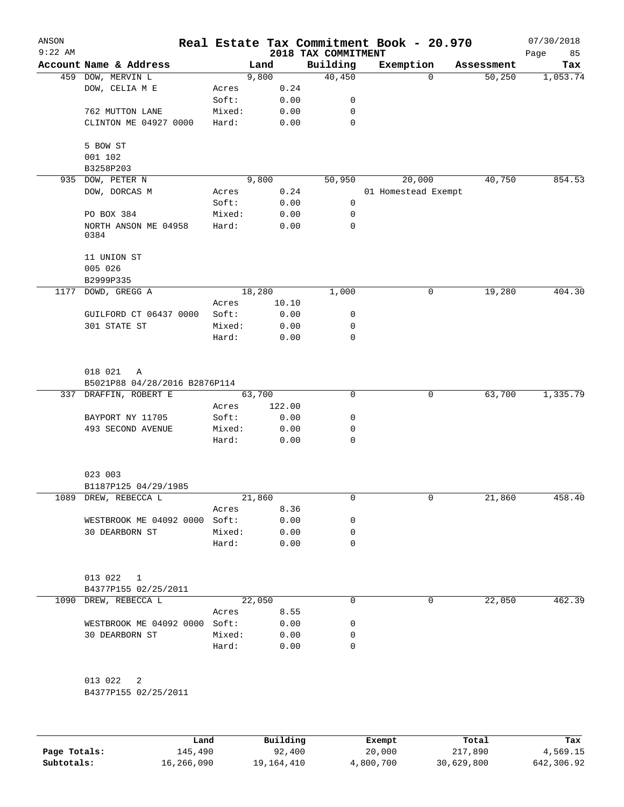| ANSON<br>$9:22$ AM |                                                 |                 |        |              | 2018 TAX COMMITMENT | Real Estate Tax Commitment Book - 20.970 |            | 07/30/2018<br>Page<br>85 |
|--------------------|-------------------------------------------------|-----------------|--------|--------------|---------------------|------------------------------------------|------------|--------------------------|
|                    | Account Name & Address                          |                 | Land   |              | Building            | Exemption                                | Assessment | Tax                      |
|                    | 459 DOW, MERVIN L                               |                 | 9,800  |              | 40,450              | $\Omega$                                 | 50,250     | 1,053.74                 |
|                    | DOW, CELIA M E                                  | Acres           |        | 0.24         |                     |                                          |            |                          |
|                    |                                                 | Soft:           |        | 0.00         | 0                   |                                          |            |                          |
|                    | 762 MUTTON LANE                                 | Mixed:          |        | 0.00         | $\mathbf 0$         |                                          |            |                          |
|                    | CLINTON ME 04927 0000                           | Hard:           |        | 0.00         | 0                   |                                          |            |                          |
|                    |                                                 |                 |        |              |                     |                                          |            |                          |
|                    | 5 BOW ST                                        |                 |        |              |                     |                                          |            |                          |
|                    | 001 102                                         |                 |        |              |                     |                                          |            |                          |
|                    | B3258P203<br>935 DOW, PETER N                   |                 | 9,800  |              | 50,950              | 20,000                                   | 40,750     | 854.53                   |
|                    | DOW, DORCAS M                                   | Acres           |        | 0.24         |                     | 01 Homestead Exempt                      |            |                          |
|                    |                                                 | Soft:           |        | 0.00         | 0                   |                                          |            |                          |
|                    | PO BOX 384                                      | Mixed:          |        | 0.00         | 0                   |                                          |            |                          |
|                    | NORTH ANSON ME 04958                            | Hard:           |        | 0.00         | $\mathbf 0$         |                                          |            |                          |
|                    | 0384                                            |                 |        |              |                     |                                          |            |                          |
|                    | 11 UNION ST                                     |                 |        |              |                     |                                          |            |                          |
|                    | 005 026                                         |                 |        |              |                     |                                          |            |                          |
|                    | B2999P335                                       |                 |        |              |                     |                                          |            |                          |
|                    | 1177 DOWD, GREGG A                              |                 | 18,280 |              | 1,000               | 0                                        | 19,280     | 404.30                   |
|                    |                                                 | Acres           |        | 10.10        |                     |                                          |            |                          |
|                    | GUILFORD CT 06437 0000                          | Soft:           |        | 0.00         | 0                   |                                          |            |                          |
|                    | 301 STATE ST                                    | Mixed:          |        | 0.00         | 0                   |                                          |            |                          |
|                    |                                                 | Hard:           |        | 0.00         | $\mathbf 0$         |                                          |            |                          |
|                    |                                                 |                 |        |              |                     |                                          |            |                          |
|                    | 018 021<br>A                                    |                 |        |              |                     |                                          |            |                          |
|                    | B5021P88 04/28/2016 B2876P114                   |                 |        |              |                     |                                          |            |                          |
|                    | 337 DRAFFIN, ROBERT E                           |                 | 63,700 |              | $\mathbf 0$         | $\mathsf{O}$                             | 63,700     | 1,335.79                 |
|                    |                                                 | Acres           |        | 122.00       |                     |                                          |            |                          |
|                    | BAYPORT NY 11705<br>493 SECOND AVENUE           | Soft:<br>Mixed: |        | 0.00<br>0.00 | 0<br>0              |                                          |            |                          |
|                    |                                                 | Hard:           |        | 0.00         | 0                   |                                          |            |                          |
|                    |                                                 |                 |        |              |                     |                                          |            |                          |
|                    | 023 003                                         |                 |        |              |                     |                                          |            |                          |
|                    | B1187P125 04/29/1985                            |                 |        |              |                     |                                          |            |                          |
|                    | 1089 DREW, REBECCA L                            |                 | 21,860 |              | 0                   | 0                                        | 21,860     | 458.40                   |
|                    |                                                 | Acres           |        | 8.36         |                     |                                          |            |                          |
|                    | WESTBROOK ME 04092 0000 Soft:                   |                 |        | 0.00         | 0                   |                                          |            |                          |
|                    | 30 DEARBORN ST                                  | Mixed:          |        | 0.00         | 0                   |                                          |            |                          |
|                    |                                                 | Hard:           |        | 0.00         | 0                   |                                          |            |                          |
|                    |                                                 |                 |        |              |                     |                                          |            |                          |
|                    | 013 022<br>$\mathbf{1}$<br>B4377P155 02/25/2011 |                 |        |              |                     |                                          |            |                          |
| 1090               | DREW, REBECCA L                                 |                 | 22,050 |              | $\Omega$            | 0                                        | 22,050     | 462.39                   |
|                    |                                                 | Acres           |        | 8.55         |                     |                                          |            |                          |
|                    | WESTBROOK ME 04092 0000 Soft:                   |                 |        | 0.00         | 0                   |                                          |            |                          |
|                    | 30 DEARBORN ST                                  | Mixed:          |        | 0.00         | 0                   |                                          |            |                          |
|                    |                                                 | Hard:           |        | 0.00         | $\mathbf 0$         |                                          |            |                          |
|                    |                                                 |                 |        |              |                     |                                          |            |                          |
|                    | 013 022<br>2                                    |                 |        |              |                     |                                          |            |                          |
|                    | B4377P155 02/25/2011                            |                 |        |              |                     |                                          |            |                          |
|                    |                                                 |                 |        |              |                     |                                          |            |                          |
|                    |                                                 |                 |        |              |                     |                                          |            |                          |

|              | Land       | Building   | Exempt    | Total      | Tax        |
|--------------|------------|------------|-----------|------------|------------|
| Page Totals: | 145,490    | 92,400     | 20,000    | 217,890    | 4,569.15   |
| Subtotals:   | 16,266,090 | 19,164,410 | 4,800,700 | 30,629,800 | 642,306.92 |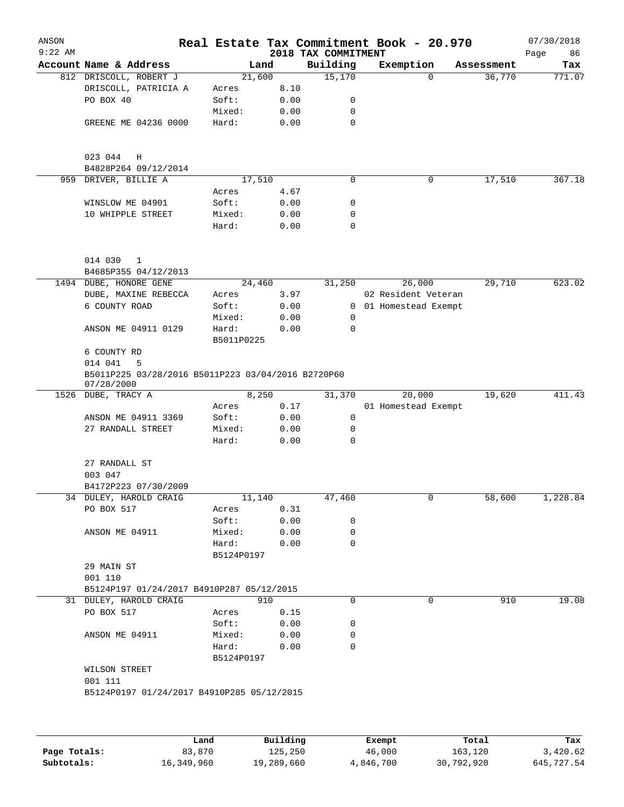| ANSON<br>$9:22$ AM |                                                                  |                     |      | 2018 TAX COMMITMENT | Real Estate Tax Commitment Book - 20.970 |            | 07/30/2018<br>Page<br>86 |
|--------------------|------------------------------------------------------------------|---------------------|------|---------------------|------------------------------------------|------------|--------------------------|
|                    | Account Name & Address                                           |                     | Land | Building            | Exemption                                | Assessment | Tax                      |
|                    | 812 DRISCOLL, ROBERT J                                           | 21,600              |      | 15,170              | $\Omega$                                 | 36,770     | 771.07                   |
|                    | DRISCOLL, PATRICIA A                                             | Acres               | 8.10 |                     |                                          |            |                          |
|                    | PO BOX 40                                                        | Soft:               | 0.00 | 0                   |                                          |            |                          |
|                    |                                                                  | Mixed:              | 0.00 | 0                   |                                          |            |                          |
|                    | GREENE ME 04236 0000                                             | Hard:               | 0.00 | $\mathbf 0$         |                                          |            |                          |
|                    | 023 044<br>Η                                                     |                     |      |                     |                                          |            |                          |
| 959                | B4828P264 09/12/2014<br>DRIVER, BILLIE A                         | 17,510              |      | 0                   | 0                                        | 17,510     | 367.18                   |
|                    |                                                                  | Acres               | 4.67 |                     |                                          |            |                          |
|                    | WINSLOW ME 04901                                                 | Soft:               | 0.00 | 0                   |                                          |            |                          |
|                    | 10 WHIPPLE STREET                                                | Mixed:              | 0.00 | 0                   |                                          |            |                          |
|                    |                                                                  | Hard:               | 0.00 | 0                   |                                          |            |                          |
|                    | 014 030<br>$\mathbf{1}$                                          |                     |      |                     |                                          |            |                          |
|                    | B4685P355 04/12/2013                                             |                     |      |                     |                                          |            |                          |
|                    | 1494 DUBE, HONORE GENE                                           | 24,460              |      | 31,250              | 26,000                                   | 29,710     | 623.02                   |
|                    | DUBE, MAXINE REBECCA                                             | Acres               | 3.97 |                     | 02 Resident Veteran                      |            |                          |
|                    | 6 COUNTY ROAD                                                    | Soft:               | 0.00 |                     | 0 01 Homestead Exempt                    |            |                          |
|                    |                                                                  | Mixed:              | 0.00 | 0                   |                                          |            |                          |
|                    | ANSON ME 04911 0129                                              | Hard:<br>B5011P0225 | 0.00 | 0                   |                                          |            |                          |
|                    | 6 COUNTY RD                                                      |                     |      |                     |                                          |            |                          |
|                    | 014 041<br>5                                                     |                     |      |                     |                                          |            |                          |
|                    | B5011P225 03/28/2016 B5011P223 03/04/2016 B2720P60<br>07/28/2000 |                     |      |                     |                                          |            |                          |
|                    | 1526 DUBE, TRACY A                                               | 8,250               |      | 31,370              | 20,000                                   | 19,620     | 411.43                   |
|                    |                                                                  | Acres               | 0.17 |                     | 01 Homestead Exempt                      |            |                          |
|                    | ANSON ME 04911 3369                                              | Soft:               | 0.00 | 0                   |                                          |            |                          |
|                    | 27 RANDALL STREET                                                | Mixed:              | 0.00 | 0                   |                                          |            |                          |
|                    |                                                                  | Hard:               | 0.00 | 0                   |                                          |            |                          |
|                    | 27 RANDALL ST<br>003 047                                         |                     |      |                     |                                          |            |                          |
|                    | B4172P223 07/30/2009                                             |                     |      |                     |                                          |            |                          |
|                    | 34 DULEY, HAROLD CRAIG                                           | 11,140              |      | 47,460              | 0                                        | 58,600     | $1,228.\overline{84}$    |
|                    | PO BOX 517                                                       | Acres               | 0.31 |                     |                                          |            |                          |
|                    |                                                                  | Soft:               | 0.00 | 0                   |                                          |            |                          |
|                    | ANSON ME 04911                                                   | Mixed:              | 0.00 | 0                   |                                          |            |                          |
|                    |                                                                  | Hard:               | 0.00 | $\mathbf 0$         |                                          |            |                          |
|                    |                                                                  | B5124P0197          |      |                     |                                          |            |                          |
|                    | 29 MAIN ST<br>001 110                                            |                     |      |                     |                                          |            |                          |
|                    | B5124P197 01/24/2017 B4910P287 05/12/2015                        |                     |      |                     |                                          |            |                          |
|                    | 31 DULEY, HAROLD CRAIG                                           |                     | 910  | 0                   | 0                                        | 910        | 19.08                    |
|                    | PO BOX 517                                                       | Acres               | 0.15 |                     |                                          |            |                          |
|                    |                                                                  | Soft:               | 0.00 | 0                   |                                          |            |                          |
|                    | ANSON ME 04911                                                   | Mixed:              | 0.00 | 0                   |                                          |            |                          |
|                    |                                                                  | Hard:               | 0.00 | 0                   |                                          |            |                          |
|                    |                                                                  | B5124P0197          |      |                     |                                          |            |                          |
|                    | WILSON STREET                                                    |                     |      |                     |                                          |            |                          |
|                    | 001 111                                                          |                     |      |                     |                                          |            |                          |
|                    | B5124P0197 01/24/2017 B4910P285 05/12/2015                       |                     |      |                     |                                          |            |                          |
|                    |                                                                  |                     |      |                     |                                          |            |                          |
|                    |                                                                  |                     |      |                     |                                          |            |                          |
|                    |                                                                  |                     |      |                     |                                          |            |                          |

|              | Land       | Building   | Exempt    | Total      | Tax        |
|--------------|------------|------------|-----------|------------|------------|
| Page Totals: | 83,870     | 125,250    | 46,000    | 163,120    | 3,420.62   |
| Subtotals:   | 16,349,960 | 19,289,660 | 4,846,700 | 30,792,920 | 645,727.54 |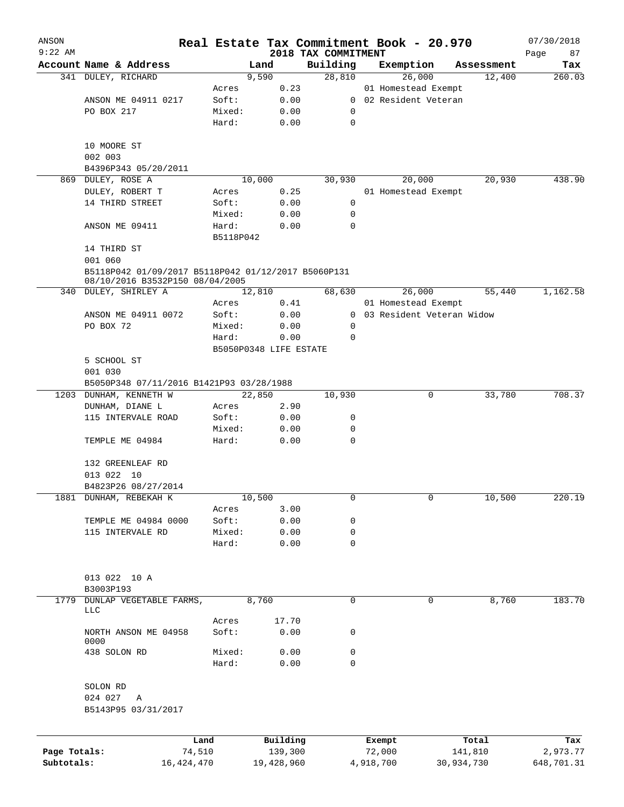| ANSON<br>$9:22$ AM |                                                                                        |                 |                        |                                 | Real Estate Tax Commitment Book - 20.970 |            | 07/30/2018        |
|--------------------|----------------------------------------------------------------------------------------|-----------------|------------------------|---------------------------------|------------------------------------------|------------|-------------------|
|                    | Account Name & Address                                                                 |                 | Land                   | 2018 TAX COMMITMENT<br>Building | Exemption                                | Assessment | Page<br>87<br>Tax |
|                    | 341 DULEY, RICHARD                                                                     |                 | 9,590                  | 28,810                          | 26,000                                   | 12,400     | 260.03            |
|                    |                                                                                        | Acres           | 0.23                   |                                 | 01 Homestead Exempt                      |            |                   |
|                    | ANSON ME 04911 0217                                                                    | Soft:           | 0.00                   | $\mathbf{0}$                    | 02 Resident Veteran                      |            |                   |
|                    | PO BOX 217                                                                             | Mixed:          | 0.00                   | 0                               |                                          |            |                   |
|                    |                                                                                        | Hard:           | 0.00                   | 0                               |                                          |            |                   |
|                    | 10 MOORE ST                                                                            |                 |                        |                                 |                                          |            |                   |
|                    | 002 003                                                                                |                 |                        |                                 |                                          |            |                   |
|                    | B4396P343 05/20/2011                                                                   |                 |                        |                                 |                                          |            |                   |
| 869                | DULEY, ROSE A                                                                          |                 | 10,000                 | 30,930                          | 20,000                                   | 20,930     | 438.90            |
|                    | DULEY, ROBERT T                                                                        | Acres           | 0.25                   |                                 | 01 Homestead Exempt                      |            |                   |
|                    | 14 THIRD STREET                                                                        | Soft:           | 0.00                   | 0                               |                                          |            |                   |
|                    | ANSON ME 09411                                                                         | Mixed:<br>Hard: | 0.00<br>0.00           | 0<br>0                          |                                          |            |                   |
|                    |                                                                                        | B5118P042       |                        |                                 |                                          |            |                   |
|                    | 14 THIRD ST                                                                            |                 |                        |                                 |                                          |            |                   |
|                    | 001 060                                                                                |                 |                        |                                 |                                          |            |                   |
|                    | B5118P042 01/09/2017 B5118P042 01/12/2017 B5060P131<br>08/10/2016 B3532P150 08/04/2005 |                 |                        |                                 |                                          |            |                   |
| 340                | DULEY, SHIRLEY A                                                                       |                 | 12,810                 | 68,630                          | 26,000                                   | 55,440     | 1,162.58          |
|                    |                                                                                        | Acres           | 0.41                   |                                 | 01 Homestead Exempt                      |            |                   |
|                    | ANSON ME 04911 0072                                                                    | Soft:           | 0.00                   | $\mathbf{0}$                    | 03 Resident Veteran Widow                |            |                   |
|                    | PO BOX 72                                                                              | Mixed:          | 0.00                   | 0                               |                                          |            |                   |
|                    |                                                                                        | Hard:           | 0.00                   | 0                               |                                          |            |                   |
|                    |                                                                                        |                 | B5050P0348 LIFE ESTATE |                                 |                                          |            |                   |
|                    | 5 SCHOOL ST                                                                            |                 |                        |                                 |                                          |            |                   |
|                    | 001 030                                                                                |                 |                        |                                 |                                          |            |                   |
|                    | B5050P348 07/11/2016 B1421P93 03/28/1988                                               |                 |                        |                                 |                                          |            |                   |
|                    | 1203 DUNHAM, KENNETH W                                                                 |                 | 22,850                 | 10,930                          | 0                                        | 33,780     | 708.37            |
|                    | DUNHAM, DIANE L                                                                        | Acres           | 2.90                   |                                 |                                          |            |                   |
|                    | 115 INTERVALE ROAD                                                                     | Soft:           | 0.00                   | 0                               |                                          |            |                   |
|                    |                                                                                        | Mixed:          | 0.00                   | 0                               |                                          |            |                   |
|                    | TEMPLE ME 04984                                                                        | Hard:           | 0.00                   | 0                               |                                          |            |                   |
|                    | 132 GREENLEAF RD                                                                       |                 |                        |                                 |                                          |            |                   |
|                    | 013 022 10                                                                             |                 |                        |                                 |                                          |            |                   |
|                    | B4823P26 08/27/2014                                                                    |                 |                        |                                 |                                          |            |                   |
|                    | 1881 DUNHAM, REBEKAH K                                                                 |                 | 10,500                 | 0                               | 0                                        | 10,500     | 220.19            |
|                    |                                                                                        | Acres           | 3.00                   |                                 |                                          |            |                   |
|                    | TEMPLE ME 04984 0000                                                                   | Soft:           | 0.00                   | 0                               |                                          |            |                   |
|                    | 115 INTERVALE RD                                                                       | Mixed:          | 0.00                   | 0                               |                                          |            |                   |
|                    |                                                                                        | Hard:           | 0.00                   | 0                               |                                          |            |                   |
|                    | 013 022 10 A                                                                           |                 |                        |                                 |                                          |            |                   |
|                    | B3003P193                                                                              |                 |                        |                                 |                                          |            |                   |
| 1779               | DUNLAP VEGETABLE FARMS,<br>LLC                                                         |                 | 8,760                  | 0                               | 0                                        | 8,760      | 183.70            |
|                    |                                                                                        | Acres           | 17.70                  |                                 |                                          |            |                   |
|                    | NORTH ANSON ME 04958<br>0000                                                           | Soft:           | 0.00                   | 0                               |                                          |            |                   |
|                    | 438 SOLON RD                                                                           | Mixed:          | 0.00                   | 0                               |                                          |            |                   |
|                    |                                                                                        | Hard:           | 0.00                   | $\Omega$                        |                                          |            |                   |
|                    | SOLON RD                                                                               |                 |                        |                                 |                                          |            |                   |
|                    | 024 027<br>Α                                                                           |                 |                        |                                 |                                          |            |                   |
|                    | B5143P95 03/31/2017                                                                    |                 |                        |                                 |                                          |            |                   |
|                    |                                                                                        | Land            | Building               |                                 | Exempt                                   | Total      | Tax               |
| Page Totals:       |                                                                                        | 74,510          | 139,300                |                                 | 72,000                                   | 141,810    | 2,973.77          |
| Subtotals:         |                                                                                        | 16, 424, 470    | 19,428,960             |                                 | 4,918,700<br>30,934,730                  |            | 648,701.31        |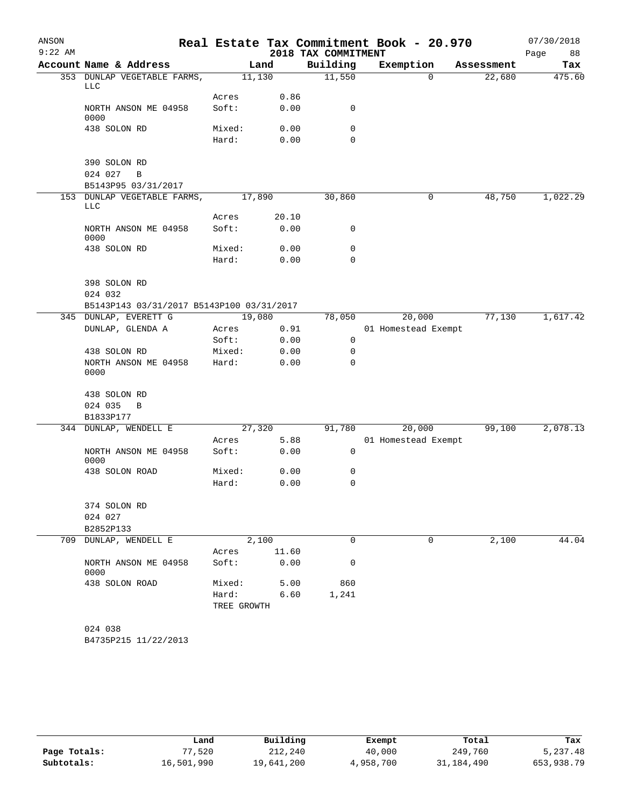| ANSON     |                                           |             |       |                     | Real Estate Tax Commitment Book - 20.970 |            | 07/30/2018 |
|-----------|-------------------------------------------|-------------|-------|---------------------|------------------------------------------|------------|------------|
| $9:22$ AM |                                           |             |       | 2018 TAX COMMITMENT |                                          |            | Page<br>88 |
|           | Account Name & Address                    |             | Land  | Building            | Exemption                                | Assessment | Tax        |
|           | 353 DUNLAP VEGETABLE FARMS,               | 11,130      |       | 11,550              | $\Omega$                                 | 22,680     | 475.60     |
|           | LLC                                       |             |       |                     |                                          |            |            |
|           | NORTH ANSON ME 04958                      | Acres       | 0.86  |                     |                                          |            |            |
|           | 0000                                      | Soft:       | 0.00  | 0                   |                                          |            |            |
|           | 438 SOLON RD                              | Mixed:      | 0.00  | 0                   |                                          |            |            |
|           |                                           | Hard:       | 0.00  | 0                   |                                          |            |            |
|           |                                           |             |       |                     |                                          |            |            |
|           | 390 SOLON RD                              |             |       |                     |                                          |            |            |
|           | 024 027<br>$\, {\bf B}$                   |             |       |                     |                                          |            |            |
|           | B5143P95 03/31/2017                       |             |       |                     |                                          |            |            |
|           | 153 DUNLAP VEGETABLE FARMS,               | 17,890      |       | 30,860              | 0                                        | 48,750     | 1,022.29   |
|           | LLC                                       | Acres       | 20.10 |                     |                                          |            |            |
|           | NORTH ANSON ME 04958                      | Soft:       | 0.00  | 0                   |                                          |            |            |
|           | 0000                                      |             |       |                     |                                          |            |            |
|           | 438 SOLON RD                              | Mixed:      | 0.00  | 0                   |                                          |            |            |
|           |                                           | Hard:       | 0.00  | 0                   |                                          |            |            |
|           |                                           |             |       |                     |                                          |            |            |
|           | 398 SOLON RD                              |             |       |                     |                                          |            |            |
|           | 024 032                                   |             |       |                     |                                          |            |            |
|           | B5143P143 03/31/2017 B5143P100 03/31/2017 |             |       |                     |                                          |            |            |
|           | 345 DUNLAP, EVERETT G                     | 19,080      |       | 78,050              | 20,000                                   | 77,130     | 1,617.42   |
|           | DUNLAP, GLENDA A                          | Acres       | 0.91  |                     | 01 Homestead Exempt                      |            |            |
|           |                                           | Soft:       | 0.00  | $\mathbf 0$         |                                          |            |            |
|           | 438 SOLON RD                              | Mixed:      | 0.00  | 0                   |                                          |            |            |
|           | NORTH ANSON ME 04958                      | Hard:       | 0.00  | 0                   |                                          |            |            |
|           | 0000                                      |             |       |                     |                                          |            |            |
|           | 438 SOLON RD                              |             |       |                     |                                          |            |            |
|           | 024 035<br>$\, {\bf B}$                   |             |       |                     |                                          |            |            |
|           | B1833P177                                 |             |       |                     |                                          |            |            |
| 344       | DUNLAP, WENDELL E                         | 27,320      |       | 91,780              | 20,000                                   | 99,100     | 2,078.13   |
|           |                                           | Acres       | 5.88  |                     | 01 Homestead Exempt                      |            |            |
|           | NORTH ANSON ME 04958                      | Soft:       | 0.00  | 0                   |                                          |            |            |
|           | 0000                                      |             |       |                     |                                          |            |            |
|           | 438 SOLON ROAD                            | Mixed:      | 0.00  | 0                   |                                          |            |            |
|           |                                           | Hard:       | 0.00  | 0                   |                                          |            |            |
|           |                                           |             |       |                     |                                          |            |            |
|           | 374 SOLON RD                              |             |       |                     |                                          |            |            |
|           | 024 027<br>B2852P133                      |             |       |                     |                                          |            |            |
|           | 709 DUNLAP, WENDELL E                     |             | 2,100 | 0                   | 0                                        | 2,100      | 44.04      |
|           |                                           | Acres       | 11.60 |                     |                                          |            |            |
|           | NORTH ANSON ME 04958                      | Soft:       | 0.00  | 0                   |                                          |            |            |
|           | 0000                                      |             |       |                     |                                          |            |            |
|           | 438 SOLON ROAD                            | Mixed:      | 5.00  | 860                 |                                          |            |            |
|           |                                           | Hard:       | 6.60  | 1,241               |                                          |            |            |
|           |                                           | TREE GROWTH |       |                     |                                          |            |            |
|           |                                           |             |       |                     |                                          |            |            |
|           | 024 038                                   |             |       |                     |                                          |            |            |
|           | B4735P215 11/22/2013                      |             |       |                     |                                          |            |            |

|              | Land       | Building   | Exempt    | Total      | Tax        |
|--------------|------------|------------|-----------|------------|------------|
| Page Totals: | .520       | 212,240    | 40,000    | 249,760    | 5,237.48   |
| Subtotals:   | 16,501,990 | 19,641,200 | 4,958,700 | 31,184,490 | 653,938.79 |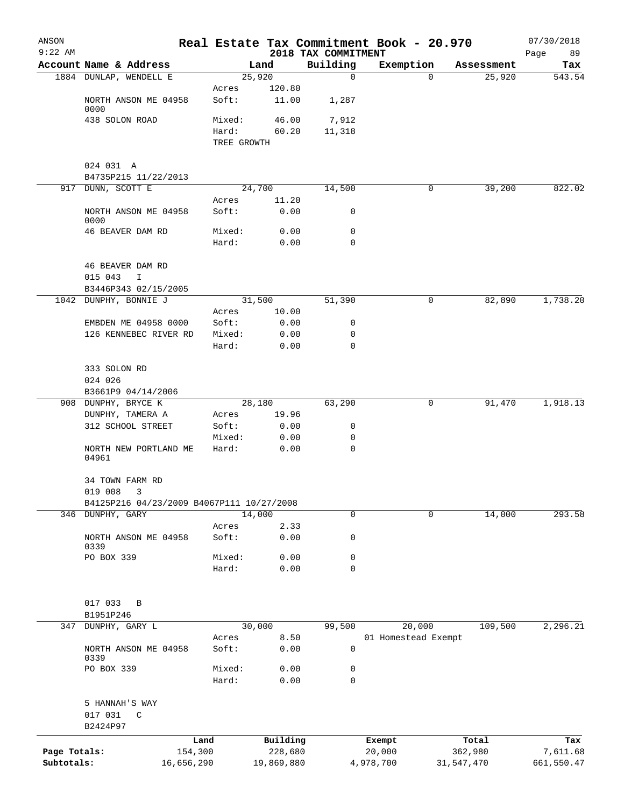| ANSON<br>$9:22$ AM |                                                        |            |                      |                 | 2018 TAX COMMITMENT | Real Estate Tax Commitment Book - 20.970 |            | 07/30/2018<br>Page<br>89 |
|--------------------|--------------------------------------------------------|------------|----------------------|-----------------|---------------------|------------------------------------------|------------|--------------------------|
|                    | Account Name & Address                                 |            |                      | Land            | Building            | Exemption                                | Assessment | Tax                      |
|                    | 1884 DUNLAP, WENDELL E                                 |            | 25,920               |                 | $\mathbf 0$         | 0                                        | 25,920     | 543.54                   |
|                    | NORTH ANSON ME 04958                                   |            | Acres<br>Soft:       | 120.80<br>11.00 | 1,287               |                                          |            |                          |
|                    | 0000<br>438 SOLON ROAD                                 |            | Mixed:               | 46.00           | 7,912               |                                          |            |                          |
|                    |                                                        |            | Hard:<br>TREE GROWTH | 60.20           | 11,318              |                                          |            |                          |
|                    | 024 031 A<br>B4735P215 11/22/2013                      |            |                      |                 |                     |                                          |            |                          |
|                    | 917 DUNN, SCOTT E                                      |            | 24,700               |                 | 14,500              | 0                                        | 39,200     | 822.02                   |
|                    |                                                        |            | Acres                | 11.20           |                     |                                          |            |                          |
|                    | NORTH ANSON ME 04958<br>0000                           |            | Soft:                | 0.00            | 0                   |                                          |            |                          |
|                    | 46 BEAVER DAM RD                                       |            | Mixed:<br>Hard:      | 0.00<br>0.00    | 0<br>$\mathbf 0$    |                                          |            |                          |
|                    | 46 BEAVER DAM RD                                       |            |                      |                 |                     |                                          |            |                          |
|                    | 015 043<br>I                                           |            |                      |                 |                     |                                          |            |                          |
|                    | B3446P343 02/15/2005<br>1042 DUNPHY, BONNIE J          |            | 31,500               |                 | 51,390              | 0                                        | 82,890     | 1,738.20                 |
|                    |                                                        |            | Acres                | 10.00           |                     |                                          |            |                          |
|                    | EMBDEN ME 04958 0000                                   |            | Soft:                | 0.00            | 0                   |                                          |            |                          |
|                    | 126 KENNEBEC RIVER RD                                  |            | Mixed:               | 0.00            | 0                   |                                          |            |                          |
|                    |                                                        |            | Hard:                | 0.00            | 0                   |                                          |            |                          |
|                    | 333 SOLON RD<br>024 026                                |            |                      |                 |                     |                                          |            |                          |
|                    | B3661P9 04/14/2006                                     |            |                      |                 |                     |                                          |            |                          |
|                    | 908 DUNPHY, BRYCE K                                    |            | 28,180               |                 | 63,290              | 0                                        | 91,470     | 1,918.13                 |
|                    | DUNPHY, TAMERA A                                       |            | Acres                | 19.96           |                     |                                          |            |                          |
|                    | 312 SCHOOL STREET                                      |            | Soft:                | 0.00            | 0                   |                                          |            |                          |
|                    |                                                        |            | Mixed:               | 0.00            | 0                   |                                          |            |                          |
|                    | NORTH NEW PORTLAND ME<br>04961                         |            | Hard:                | 0.00            | 0                   |                                          |            |                          |
|                    | 34 TOWN FARM RD                                        |            |                      |                 |                     |                                          |            |                          |
|                    | 019 008 3<br>B4125P216 04/23/2009 B4067P111 10/27/2008 |            |                      |                 |                     |                                          |            |                          |
|                    | 346 DUNPHY, GARY                                       |            | 14,000               |                 | $\mathbf 0$         | 0                                        | 14,000     | 293.58                   |
|                    |                                                        |            | Acres                | 2.33            |                     |                                          |            |                          |
|                    | NORTH ANSON ME 04958<br>0339                           |            | Soft:                | 0.00            | 0                   |                                          |            |                          |
|                    | PO BOX 339                                             |            | Mixed:               | 0.00            | 0                   |                                          |            |                          |
|                    |                                                        |            | Hard:                | 0.00            | 0                   |                                          |            |                          |
|                    | 017 033<br>B                                           |            |                      |                 |                     |                                          |            |                          |
|                    | B1951P246                                              |            |                      |                 |                     |                                          |            |                          |
| 347                | DUNPHY, GARY L                                         |            | 30,000               |                 | 99,500              | 20,000                                   | 109,500    | 2,296.21                 |
|                    | NORTH ANSON ME 04958<br>0339                           |            | Acres<br>Soft:       | 8.50<br>0.00    | 0                   | 01 Homestead Exempt                      |            |                          |
|                    | PO BOX 339                                             |            | Mixed:               | 0.00            | 0                   |                                          |            |                          |
|                    |                                                        |            | Hard:                | 0.00            | 0                   |                                          |            |                          |
|                    | 5 HANNAH'S WAY                                         |            |                      |                 |                     |                                          |            |                          |
|                    | 017 031<br>C<br>B2424P97                               |            |                      |                 |                     |                                          |            |                          |
|                    |                                                        | Land       |                      | Building        |                     | Exempt                                   | Total      | Tax                      |
| Page Totals:       |                                                        | 154,300    |                      | 228,680         |                     | 20,000                                   | 362,980    | 7,611.68                 |
| Subtotals:         |                                                        | 16,656,290 |                      | 19,869,880      |                     | 4,978,700                                | 31,547,470 | 661,550.47               |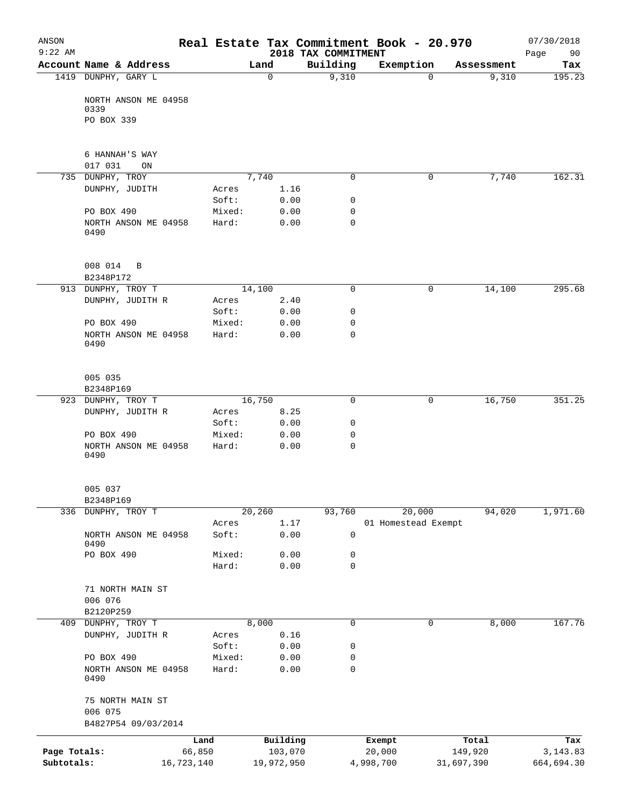| ANSON<br>$9:22$ AM |                                 |            |                |             |              | 2018 TAX COMMITMENT | Real Estate Tax Commitment Book - 20.970 |            |            | 07/30/2018<br>90<br>Page |
|--------------------|---------------------------------|------------|----------------|-------------|--------------|---------------------|------------------------------------------|------------|------------|--------------------------|
|                    | Account Name & Address          |            |                | Land        |              | Building            | Exemption                                |            | Assessment | Tax                      |
|                    | 1419 DUNPHY, GARY L             |            |                | $\mathbf 0$ |              | 9,310               |                                          | $\Omega$   | 9,310      | 195.23                   |
|                    | NORTH ANSON ME 04958<br>0339    |            |                |             |              |                     |                                          |            |            |                          |
|                    | PO BOX 339                      |            |                |             |              |                     |                                          |            |            |                          |
|                    | 6 HANNAH'S WAY                  |            |                |             |              |                     |                                          |            |            |                          |
|                    | 017 031<br>ON                   |            |                |             |              |                     |                                          |            |            |                          |
|                    | 735 DUNPHY, TROY                |            |                | 7,740       |              | 0                   |                                          | 0          | 7,740      | 162.31                   |
|                    | DUNPHY, JUDITH                  |            | Acres          |             | 1.16         |                     |                                          |            |            |                          |
|                    |                                 |            | Soft:          |             | 0.00         | 0                   |                                          |            |            |                          |
|                    | PO BOX 490                      |            | Mixed:         |             | 0.00         | 0                   |                                          |            |            |                          |
|                    | NORTH ANSON ME 04958<br>0490    |            | Hard:          |             | 0.00         | $\mathbf 0$         |                                          |            |            |                          |
|                    | 008 014<br>B                    |            |                |             |              |                     |                                          |            |            |                          |
|                    | B2348P172                       |            |                |             |              |                     |                                          |            |            |                          |
|                    | 913 DUNPHY, TROY T              |            |                | 14,100      |              | $\mathbf 0$         |                                          | 0          | 14,100     | 295.68                   |
|                    | DUNPHY, JUDITH R                |            | Acres<br>Soft: |             | 2.40         | 0                   |                                          |            |            |                          |
|                    | PO BOX 490                      |            | Mixed:         |             | 0.00<br>0.00 | 0                   |                                          |            |            |                          |
|                    | NORTH ANSON ME 04958<br>0490    |            | Hard:          |             | 0.00         | $\mathbf 0$         |                                          |            |            |                          |
|                    | 005 035<br>B2348P169            |            |                |             |              |                     |                                          |            |            |                          |
|                    | 923 DUNPHY, TROY T              |            |                | 16,750      |              | 0                   |                                          | 0          | 16,750     | 351.25                   |
|                    | DUNPHY, JUDITH R                |            | Acres          |             | 8.25         |                     |                                          |            |            |                          |
|                    |                                 |            | Soft:          |             | 0.00         | 0                   |                                          |            |            |                          |
|                    | PO BOX 490                      |            | Mixed:         |             | 0.00         | 0                   |                                          |            |            |                          |
|                    | NORTH ANSON ME 04958<br>0490    |            | Hard:          |             | 0.00         | $\mathbf 0$         |                                          |            |            |                          |
|                    | 005 037                         |            |                |             |              |                     |                                          |            |            |                          |
|                    | B2348P169<br>336 DUNPHY, TROY T |            |                | 20,260      |              | 93,760              | 20,000                                   |            | 94,020     | 1,971.60                 |
|                    |                                 |            | Acres          |             | 1.17         |                     | 01 Homestead Exempt                      |            |            |                          |
|                    | NORTH ANSON ME 04958<br>0490    |            | Soft:          |             | 0.00         | 0                   |                                          |            |            |                          |
|                    | PO BOX 490                      |            | Mixed:         |             | 0.00         | 0                   |                                          |            |            |                          |
|                    |                                 |            | Hard:          |             | 0.00         | 0                   |                                          |            |            |                          |
|                    | 71 NORTH MAIN ST<br>006 076     |            |                |             |              |                     |                                          |            |            |                          |
|                    | B2120P259                       |            |                |             |              |                     |                                          |            |            |                          |
|                    | 409 DUNPHY, TROY T              |            |                | 8,000       |              | 0                   |                                          | 0          | 8,000      | 167.76                   |
|                    | DUNPHY, JUDITH R                |            | Acres          |             | 0.16         |                     |                                          |            |            |                          |
|                    |                                 |            | Soft:          |             | 0.00         | 0                   |                                          |            |            |                          |
|                    | PO BOX 490                      |            | Mixed:         |             | 0.00         | 0                   |                                          |            |            |                          |
|                    | NORTH ANSON ME 04958<br>0490    |            | Hard:          |             | 0.00         | 0                   |                                          |            |            |                          |
|                    | 75 NORTH MAIN ST<br>006 075     |            |                |             |              |                     |                                          |            |            |                          |
|                    | B4827P54 09/03/2014             |            |                |             |              |                     |                                          |            |            |                          |
|                    |                                 | Land       |                | Building    |              |                     | Exempt                                   |            | Total      | Tax                      |
| Page Totals:       |                                 | 66,850     |                |             | 103,070      |                     | 20,000                                   |            | 149,920    | 3, 143.83                |
| Subtotals:         |                                 | 16,723,140 |                | 19,972,950  |              |                     | 4,998,700                                | 31,697,390 |            | 664,694.30               |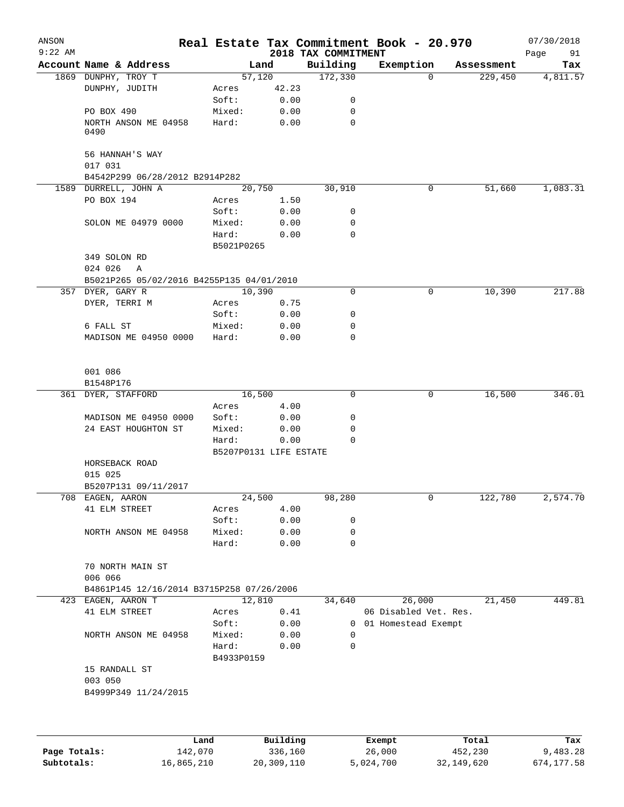| ANSON<br>$9:22$ AM |                                           |                     |                        | 2018 TAX COMMITMENT | Real Estate Tax Commitment Book - 20.970 |            | 07/30/2018<br>Page<br>91 |
|--------------------|-------------------------------------------|---------------------|------------------------|---------------------|------------------------------------------|------------|--------------------------|
|                    | Account Name & Address                    |                     | Land                   | Building            | Exemption                                | Assessment | Tax                      |
|                    | 1869 DUNPHY, TROY T                       |                     | 57,120                 | 172,330             | $\Omega$                                 | 229,450    | 4,811.57                 |
|                    | DUNPHY, JUDITH                            | Acres               | 42.23                  |                     |                                          |            |                          |
|                    |                                           | Soft:               | 0.00                   | 0                   |                                          |            |                          |
|                    | PO BOX 490                                | Mixed:              | 0.00                   | 0                   |                                          |            |                          |
|                    | NORTH ANSON ME 04958<br>0490              | Hard:               | 0.00                   | 0                   |                                          |            |                          |
|                    | 56 HANNAH'S WAY<br>017 031                |                     |                        |                     |                                          |            |                          |
|                    | B4542P299 06/28/2012 B2914P282            |                     |                        |                     |                                          |            |                          |
|                    | 1589 DURRELL, JOHN A                      |                     | 20,750                 | 30,910              | 0                                        | 51,660     | 1,083.31                 |
|                    | PO BOX 194                                | Acres               | 1.50                   |                     |                                          |            |                          |
|                    |                                           | Soft:               | 0.00                   | 0                   |                                          |            |                          |
|                    | SOLON ME 04979 0000                       | Mixed:              | 0.00                   | 0                   |                                          |            |                          |
|                    |                                           | Hard:<br>B5021P0265 | 0.00                   | $\mathbf 0$         |                                          |            |                          |
|                    | 349 SOLON RD                              |                     |                        |                     |                                          |            |                          |
|                    | 024 026<br>A                              |                     |                        |                     |                                          |            |                          |
|                    | B5021P265 05/02/2016 B4255P135 04/01/2010 |                     |                        |                     |                                          |            |                          |
|                    | 357 DYER, GARY R                          |                     | 10,390                 | $\mathbf 0$         | 0                                        | 10,390     | 217.88                   |
|                    | DYER, TERRI M                             | Acres               | 0.75                   |                     |                                          |            |                          |
|                    |                                           | Soft:               | 0.00                   | 0                   |                                          |            |                          |
|                    | 6 FALL ST                                 | Mixed:              | 0.00                   | 0                   |                                          |            |                          |
|                    | MADISON ME 04950 0000                     | Hard:               | 0.00                   | 0                   |                                          |            |                          |
|                    | 001 086<br>B1548P176                      |                     |                        |                     |                                          |            |                          |
|                    | 361 DYER, STAFFORD                        |                     | 16,500                 | 0                   | 0                                        | 16,500     | 346.01                   |
|                    |                                           | Acres               | 4.00                   |                     |                                          |            |                          |
|                    | MADISON ME 04950 0000                     | Soft:               | 0.00                   | 0                   |                                          |            |                          |
|                    | 24 EAST HOUGHTON ST                       | Mixed:              | 0.00                   | 0                   |                                          |            |                          |
|                    |                                           | Hard:               | 0.00                   | 0                   |                                          |            |                          |
|                    |                                           |                     | B5207P0131 LIFE ESTATE |                     |                                          |            |                          |
|                    | HORSEBACK ROAD<br>015 025                 |                     |                        |                     |                                          |            |                          |
|                    | B5207P131 09/11/2017                      |                     |                        |                     |                                          |            |                          |
|                    | 708 EAGEN, AARON                          |                     | 24,500                 | 98,280              | 0                                        | 122,780    | 2,574.70                 |
|                    | 41 ELM STREET                             | Acres               | 4.00                   |                     |                                          |            |                          |
|                    |                                           | Soft:               | 0.00                   | 0                   |                                          |            |                          |
|                    | NORTH ANSON ME 04958                      | Mixed:              | 0.00                   | 0                   |                                          |            |                          |
|                    |                                           | Hard:               | 0.00                   | 0                   |                                          |            |                          |
|                    | 70 NORTH MAIN ST<br>006 066               |                     |                        |                     |                                          |            |                          |
|                    | B4861P145 12/16/2014 B3715P258 07/26/2006 |                     |                        |                     |                                          |            |                          |
|                    | 423 EAGEN, AARON T                        |                     | 12,810                 | 34,640              | 26,000                                   | 21,450     | 449.81                   |
|                    | 41 ELM STREET                             | Acres               | 0.41                   |                     | 06 Disabled Vet. Res.                    |            |                          |
|                    |                                           | Soft:               | 0.00                   |                     | 0 01 Homestead Exempt                    |            |                          |
|                    | NORTH ANSON ME 04958                      | Mixed:              | 0.00                   | 0                   |                                          |            |                          |
|                    |                                           | Hard:<br>B4933P0159 | 0.00                   | $\Omega$            |                                          |            |                          |
|                    | 15 RANDALL ST                             |                     |                        |                     |                                          |            |                          |
|                    | 003 050                                   |                     |                        |                     |                                          |            |                          |
|                    | B4999P349 11/24/2015                      |                     |                        |                     |                                          |            |                          |
|                    |                                           |                     |                        |                     |                                          |            |                          |
|                    |                                           | Land.               | Building               |                     | $F$ vomnt                                | $T$ ctal   | To y                     |

|              | Land       | Building   | Exempt    | Total      | Tax        |
|--------------|------------|------------|-----------|------------|------------|
| Page Totals: | 142,070    | 336,160    | 26,000    | 452,230    | 9,483.28   |
| Subtotals:   | 16,865,210 | 20,309,110 | 5,024,700 | 32,149,620 | 674,177.58 |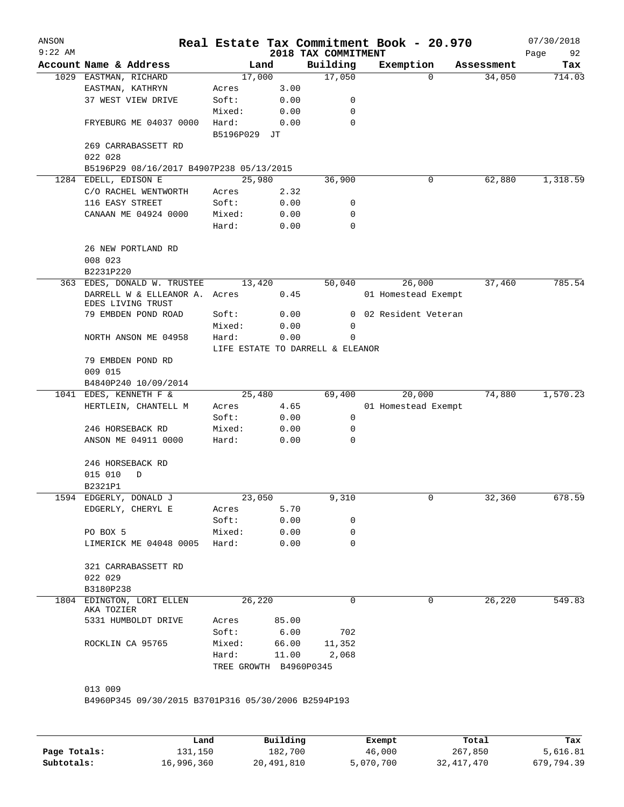| $9:22$ AM |                                                                |                |                                          | 2018 TAX COMMITMENT | Real Estate Tax Commitment Book - 20.970 |            | 07/30/2018<br>Page<br>92 |
|-----------|----------------------------------------------------------------|----------------|------------------------------------------|---------------------|------------------------------------------|------------|--------------------------|
|           | Account Name & Address                                         |                | Land                                     | Building            | Exemption                                | Assessment | Tax                      |
|           | 1029 EASTMAN, RICHARD                                          | 17,000         |                                          | 17,050              | $\Omega$                                 | 34,050     | 714.03                   |
|           | EASTMAN, KATHRYN                                               | Acres          | 3.00                                     |                     |                                          |            |                          |
|           | 37 WEST VIEW DRIVE                                             | Soft:          | 0.00                                     | 0                   |                                          |            |                          |
|           |                                                                | Mixed:         | 0.00                                     | $\mathbf 0$         |                                          |            |                          |
|           | FRYEBURG ME 04037 0000                                         | Hard:          | 0.00                                     | 0                   |                                          |            |                          |
|           |                                                                | B5196P029 JT   |                                          |                     |                                          |            |                          |
|           | 269 CARRABASSETT RD<br>022 028                                 |                |                                          |                     |                                          |            |                          |
|           | B5196P29 08/16/2017 B4907P238 05/13/2015                       |                |                                          |                     |                                          |            |                          |
|           | 1284 EDELL, EDISON E                                           | 25,980         |                                          | 36,900              | 0                                        | 62,880     | 1,318.59                 |
|           | C/O RACHEL WENTWORTH                                           | Acres          | 2.32                                     |                     |                                          |            |                          |
|           | 116 EASY STREET                                                | Soft:          | 0.00                                     | 0                   |                                          |            |                          |
|           | CANAAN ME 04924 0000                                           | Mixed:         | 0.00                                     | 0                   |                                          |            |                          |
|           |                                                                | Hard:          | 0.00                                     | 0                   |                                          |            |                          |
|           | 26 NEW PORTLAND RD<br>008 023                                  |                |                                          |                     |                                          |            |                          |
|           | B2231P220                                                      |                |                                          |                     |                                          |            |                          |
| 363       | EDES, DONALD W. TRUSTEE                                        | 13,420         |                                          | 50,040              | 26,000                                   | 37,460     | 785.54                   |
|           | DARRELL W & ELLEANOR A.<br>EDES LIVING TRUST                   | Acres          | 0.45                                     |                     | 01 Homestead Exempt                      |            |                          |
|           | 79 EMBDEN POND ROAD                                            | Soft:          | 0.00                                     | 0                   | 02 Resident Veteran                      |            |                          |
|           |                                                                | Mixed:         | 0.00                                     | 0                   |                                          |            |                          |
|           | NORTH ANSON ME 04958                                           | Hard:          | 0.00<br>LIFE ESTATE TO DARRELL & ELEANOR | 0                   |                                          |            |                          |
|           | 79 EMBDEN POND RD<br>009 015                                   |                |                                          |                     |                                          |            |                          |
|           | B4840P240 10/09/2014                                           |                |                                          |                     |                                          |            |                          |
|           | 1041 EDES, KENNETH F &                                         | 25,480         |                                          | 69,400              | 20,000                                   | 74,880     | 1,570.23                 |
|           | HERTLEIN, CHANTELL M                                           | Acres          | 4.65                                     |                     | 01 Homestead Exempt                      |            |                          |
|           |                                                                | Soft:          | 0.00                                     | 0                   |                                          |            |                          |
|           | 246 HORSEBACK RD                                               | Mixed:         | 0.00                                     | 0                   |                                          |            |                          |
|           | ANSON ME 04911 0000                                            | Hard:          | 0.00                                     | 0                   |                                          |            |                          |
|           | 246 HORSEBACK RD                                               |                |                                          |                     |                                          |            |                          |
|           | 015 010<br>D                                                   |                |                                          |                     |                                          |            |                          |
|           | B2321P1                                                        |                |                                          |                     |                                          |            |                          |
|           | 1594 EDGERLY, DONALD J                                         | 23,050         |                                          | 9,310               | 0                                        | 32,360     | 678.59                   |
|           | EDGERLY, CHERYL E                                              | Acres          | 5.70                                     |                     |                                          |            |                          |
|           |                                                                | Soft:          | 0.00                                     | 0                   |                                          |            |                          |
|           | PO BOX 5                                                       | Mixed:         | 0.00                                     | 0                   |                                          |            |                          |
|           | LIMERICK ME 04048 0005                                         | Hard:          | 0.00                                     | $\Omega$            |                                          |            |                          |
|           | 321 CARRABASSETT RD                                            |                |                                          |                     |                                          |            |                          |
|           | 022 029                                                        |                |                                          |                     |                                          |            |                          |
|           | B3180P238                                                      |                |                                          |                     |                                          |            |                          |
|           | 1804 EDINGTON, LORI ELLEN<br>AKA TOZIER                        | 26,220         |                                          | $\Omega$            | 0                                        | 26,220     | 549.83                   |
|           | 5331 HUMBOLDT DRIVE                                            | Acres<br>Soft: | 85.00<br>6.00                            | 702                 |                                          |            |                          |
|           | ROCKLIN CA 95765                                               | Mixed:         | 66.00                                    | 11,352              |                                          |            |                          |
|           |                                                                | Hard:          | 11.00                                    | 2,068               |                                          |            |                          |
|           |                                                                |                | TREE GROWTH B4960P0345                   |                     |                                          |            |                          |
|           |                                                                |                |                                          |                     |                                          |            |                          |
|           |                                                                |                |                                          |                     |                                          |            |                          |
|           | 013 009<br>B4960P345 09/30/2015 B3701P316 05/30/2006 B2594P193 |                |                                          |                     |                                          |            |                          |

|              | Land       | Building   | Exempt    | Total      | Tax        |
|--------------|------------|------------|-----------|------------|------------|
| Page Totals: | 131,150    | 182,700    | 46,000    | 267,850    | 5,616.81   |
| Subtotals:   | 16,996,360 | 20,491,810 | 5,070,700 | 32,417,470 | 679,794.39 |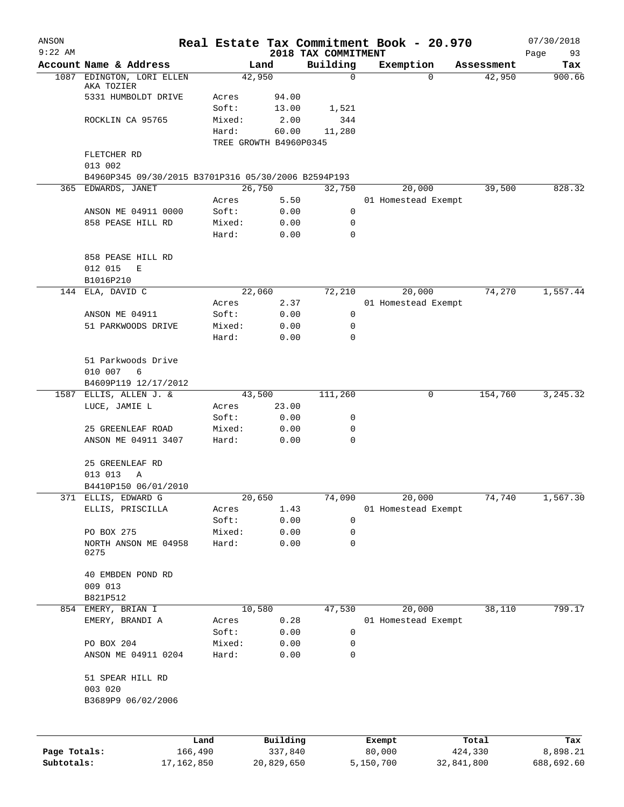| ANSON                      |                                                     |                       |        |                        |                                 | Real Estate Tax Commitment Book - 20.970 |                       | 07/30/2018             |
|----------------------------|-----------------------------------------------------|-----------------------|--------|------------------------|---------------------------------|------------------------------------------|-----------------------|------------------------|
| $9:22$ AM                  | Account Name & Address                              |                       |        | Land                   | 2018 TAX COMMITMENT<br>Building | Exemption                                | Assessment            | Page<br>93<br>Tax      |
| 1087                       | EDINGTON, LORI ELLEN                                |                       |        | 42,950                 | 0                               | $\Omega$                                 | 42,950                | 900.66                 |
|                            | AKA TOZIER                                          |                       |        |                        |                                 |                                          |                       |                        |
|                            | 5331 HUMBOLDT DRIVE                                 |                       | Acres  | 94.00                  |                                 |                                          |                       |                        |
|                            |                                                     |                       | Soft:  | 13.00                  | 1,521                           |                                          |                       |                        |
|                            | ROCKLIN CA 95765                                    |                       | Mixed: | 2.00                   | 344                             |                                          |                       |                        |
|                            |                                                     |                       | Hard:  | 60.00                  | 11,280                          |                                          |                       |                        |
|                            |                                                     |                       |        | TREE GROWTH B4960P0345 |                                 |                                          |                       |                        |
|                            | FLETCHER RD                                         |                       |        |                        |                                 |                                          |                       |                        |
|                            | 013 002                                             |                       |        |                        |                                 |                                          |                       |                        |
|                            | B4960P345 09/30/2015 B3701P316 05/30/2006 B2594P193 |                       |        |                        |                                 |                                          |                       | 828.32                 |
|                            | 365 EDWARDS, JANET                                  |                       |        | 26,750                 | 32,750                          | 20,000                                   | 39,500                |                        |
|                            |                                                     |                       | Acres  | 5.50                   |                                 | 01 Homestead Exempt                      |                       |                        |
|                            | ANSON ME 04911 0000                                 |                       | Soft:  | 0.00                   | 0                               |                                          |                       |                        |
|                            | 858 PEASE HILL RD                                   |                       | Mixed: | 0.00                   | 0                               |                                          |                       |                        |
|                            |                                                     |                       | Hard:  | 0.00                   | $\mathbf 0$                     |                                          |                       |                        |
|                            |                                                     |                       |        |                        |                                 |                                          |                       |                        |
|                            | 858 PEASE HILL RD                                   |                       |        |                        |                                 |                                          |                       |                        |
|                            | 012 015<br>E                                        |                       |        |                        |                                 |                                          |                       |                        |
|                            | B1016P210<br>ELA, DAVID C                           |                       |        |                        |                                 |                                          |                       |                        |
| 144                        |                                                     |                       |        | 22,060                 | 72,210                          | 20,000                                   | 74,270                | 1,557.44               |
|                            |                                                     |                       | Acres  | 2.37                   |                                 | 01 Homestead Exempt                      |                       |                        |
|                            | ANSON ME 04911                                      |                       | Soft:  | 0.00                   | 0                               |                                          |                       |                        |
|                            | 51 PARKWOODS DRIVE                                  |                       | Mixed: | 0.00                   | 0                               |                                          |                       |                        |
|                            |                                                     |                       | Hard:  | 0.00                   | 0                               |                                          |                       |                        |
|                            |                                                     |                       |        |                        |                                 |                                          |                       |                        |
|                            | 51 Parkwoods Drive                                  |                       |        |                        |                                 |                                          |                       |                        |
|                            | 010 007<br>6                                        |                       |        |                        |                                 |                                          |                       |                        |
|                            | B4609P119 12/17/2012                                |                       |        |                        |                                 |                                          |                       |                        |
| 1587                       | ELLIS, ALLEN J. &                                   |                       |        | 43,500                 | 111,260                         | 0                                        | 154,760               | 3, 245.32              |
|                            | LUCE, JAMIE L                                       |                       | Acres  | 23.00                  |                                 |                                          |                       |                        |
|                            |                                                     |                       | Soft:  | 0.00                   | 0                               |                                          |                       |                        |
|                            | 25 GREENLEAF ROAD                                   |                       | Mixed: | 0.00                   | 0                               |                                          |                       |                        |
|                            | ANSON ME 04911 3407                                 |                       | Hard:  | 0.00                   | 0                               |                                          |                       |                        |
|                            |                                                     |                       |        |                        |                                 |                                          |                       |                        |
|                            | 25 GREENLEAF RD                                     |                       |        |                        |                                 |                                          |                       |                        |
|                            | 013 013<br>Α                                        |                       |        |                        |                                 |                                          |                       |                        |
|                            | B4410P150 06/01/2010                                |                       |        |                        |                                 |                                          |                       |                        |
|                            | 371 ELLIS, EDWARD G                                 |                       |        | 20,650                 | 74,090                          | 20,000                                   | 74,740                | 1,567.30               |
|                            | ELLIS, PRISCILLA                                    |                       | Acres  | 1.43                   |                                 | 01 Homestead Exempt                      |                       |                        |
|                            |                                                     |                       | Soft:  | 0.00                   | 0                               |                                          |                       |                        |
|                            | PO BOX 275                                          |                       | Mixed: | 0.00                   | 0                               |                                          |                       |                        |
|                            | NORTH ANSON ME 04958<br>0275                        |                       | Hard:  | 0.00                   | 0                               |                                          |                       |                        |
|                            |                                                     |                       |        |                        |                                 |                                          |                       |                        |
|                            | 40 EMBDEN POND RD                                   |                       |        |                        |                                 |                                          |                       |                        |
|                            | 009 013                                             |                       |        |                        |                                 |                                          |                       |                        |
|                            | B821P512                                            |                       |        |                        |                                 |                                          |                       |                        |
| 854                        | EMERY, BRIAN I                                      |                       |        | 10,580                 | 47,530                          | 20,000                                   | 38,110                | 799.17                 |
|                            | EMERY, BRANDI A                                     |                       | Acres  | 0.28                   |                                 | 01 Homestead Exempt                      |                       |                        |
|                            |                                                     |                       | Soft:  | 0.00                   | 0                               |                                          |                       |                        |
|                            | PO BOX 204                                          |                       | Mixed: | 0.00                   | 0                               |                                          |                       |                        |
|                            | ANSON ME 04911 0204                                 |                       | Hard:  | 0.00                   | 0                               |                                          |                       |                        |
|                            |                                                     |                       |        |                        |                                 |                                          |                       |                        |
|                            | 51 SPEAR HILL RD                                    |                       |        |                        |                                 |                                          |                       |                        |
|                            | 003 020                                             |                       |        |                        |                                 |                                          |                       |                        |
|                            | B3689P9 06/02/2006                                  |                       |        |                        |                                 |                                          |                       |                        |
|                            |                                                     |                       |        |                        |                                 |                                          |                       |                        |
|                            |                                                     |                       |        |                        |                                 |                                          |                       |                        |
|                            |                                                     |                       |        |                        |                                 |                                          |                       |                        |
|                            |                                                     | Land                  |        | Building               |                                 | Exempt                                   | Total                 | Tax                    |
| Page Totals:<br>Subtotals: |                                                     | 166,490<br>17,162,850 |        | 337,840                |                                 | 80,000<br>5,150,700                      | 424,330<br>32,841,800 | 8,898.21<br>688,692.60 |
|                            |                                                     |                       |        | 20,829,650             |                                 |                                          |                       |                        |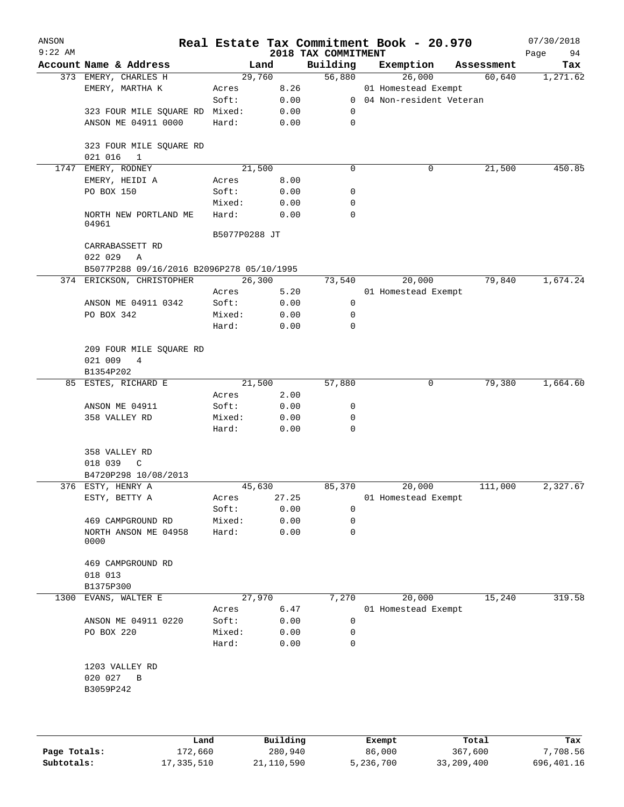| ANSON<br>$9:22$ AM |                                                      |               |        | 2018 TAX COMMITMENT | Real Estate Tax Commitment Book - 20.970 |            | 07/30/2018<br>Page<br>94 |
|--------------------|------------------------------------------------------|---------------|--------|---------------------|------------------------------------------|------------|--------------------------|
|                    | Account Name & Address                               |               | Land   | Building            | Exemption                                | Assessment | Tax                      |
|                    | 373 EMERY, CHARLES H                                 |               | 29,760 | 56,880              | 26,000                                   | 60,640     | 1,271.62                 |
|                    | EMERY, MARTHA K                                      | Acres         | 8.26   |                     | 01 Homestead Exempt                      |            |                          |
|                    |                                                      | Soft:         | 0.00   |                     | 0 04 Non-resident Veteran                |            |                          |
|                    | 323 FOUR MILE SQUARE RD                              | Mixed:        | 0.00   | 0                   |                                          |            |                          |
|                    | ANSON ME 04911 0000                                  | Hard:         | 0.00   | $\mathbf 0$         |                                          |            |                          |
|                    | 323 FOUR MILE SQUARE RD<br>021 016<br>1              |               |        |                     |                                          |            |                          |
|                    | 1747 EMERY, RODNEY                                   |               | 21,500 | $\mathbf 0$         | 0                                        | 21,500     | 450.85                   |
|                    | EMERY, HEIDI A                                       | Acres         | 8.00   |                     |                                          |            |                          |
|                    | PO BOX 150                                           | Soft:         | 0.00   | 0                   |                                          |            |                          |
|                    |                                                      | Mixed:        | 0.00   | 0                   |                                          |            |                          |
|                    | NORTH NEW PORTLAND ME<br>04961                       | Hard:         | 0.00   | 0                   |                                          |            |                          |
|                    |                                                      | B5077P0288 JT |        |                     |                                          |            |                          |
|                    | CARRABASSETT RD<br>022 029<br>Α                      |               |        |                     |                                          |            |                          |
|                    | B5077P288 09/16/2016 B2096P278 05/10/1995            |               |        |                     |                                          |            |                          |
|                    | 374 ERICKSON, CHRISTOPHER                            |               | 26,300 | 73,540              | 20,000                                   | 79,840     | 1,674.24                 |
|                    |                                                      | Acres         | 5.20   |                     | 01 Homestead Exempt                      |            |                          |
|                    | ANSON ME 04911 0342                                  | Soft:         | 0.00   | 0                   |                                          |            |                          |
|                    | PO BOX 342                                           | Mixed:        | 0.00   | 0                   |                                          |            |                          |
|                    |                                                      | Hard:         | 0.00   | 0                   |                                          |            |                          |
|                    | 209 FOUR MILE SQUARE RD<br>021 009<br>$\overline{4}$ |               |        |                     |                                          |            |                          |
|                    | B1354P202                                            |               |        |                     |                                          |            |                          |
|                    | 85 ESTES, RICHARD E                                  |               | 21,500 | 57,880              | 0                                        | 79,380     | 1,664.60                 |
|                    |                                                      | Acres         | 2.00   |                     |                                          |            |                          |
|                    | ANSON ME 04911                                       | Soft:         | 0.00   | 0                   |                                          |            |                          |
|                    | 358 VALLEY RD                                        | Mixed:        | 0.00   | 0                   |                                          |            |                          |
|                    |                                                      | Hard:         | 0.00   | 0                   |                                          |            |                          |
|                    | 358 VALLEY RD                                        |               |        |                     |                                          |            |                          |
|                    | 018 039<br>$\mathbb C$                               |               |        |                     |                                          |            |                          |
|                    | B4720P298 10/08/2013                                 |               |        |                     |                                          |            |                          |
|                    | 376 ESTY, HENRY A                                    |               | 45,630 | 85,370              | 20,000                                   | 111,000    | 2,327.67                 |
|                    | ESTY, BETTY A                                        | Acres         | 27.25  |                     | 01 Homestead Exempt                      |            |                          |
|                    |                                                      | Soft:         | 0.00   | 0                   |                                          |            |                          |
|                    | 469 CAMPGROUND RD                                    | Mixed:        | 0.00   | 0                   |                                          |            |                          |
|                    | NORTH ANSON ME 04958<br>0000                         | Hard:         | 0.00   | $\mathbf 0$         |                                          |            |                          |
|                    | 469 CAMPGROUND RD                                    |               |        |                     |                                          |            |                          |
|                    | 018 013                                              |               |        |                     |                                          |            |                          |
|                    | B1375P300                                            |               |        |                     |                                          |            |                          |
| 1300               | EVANS, WALTER E                                      |               | 27,970 | 7,270               | 20,000                                   | 15,240     | 319.58                   |
|                    |                                                      | Acres         | 6.47   |                     | 01 Homestead Exempt                      |            |                          |
|                    | ANSON ME 04911 0220                                  | Soft:         | 0.00   | 0                   |                                          |            |                          |
|                    | PO BOX 220                                           | Mixed:        | 0.00   | 0                   |                                          |            |                          |
|                    |                                                      | Hard:         | 0.00   | 0                   |                                          |            |                          |
|                    | 1203 VALLEY RD                                       |               |        |                     |                                          |            |                          |
|                    | 020 027<br>B                                         |               |        |                     |                                          |            |                          |
|                    | B3059P242                                            |               |        |                     |                                          |            |                          |
|                    |                                                      |               |        |                     |                                          |            |                          |
|                    |                                                      |               |        |                     |                                          |            |                          |
|                    |                                                      |               |        |                     |                                          |            |                          |

|              | Land       | Building     | Exempt    | Total      | Tax        |
|--------------|------------|--------------|-----------|------------|------------|
| Page Totals: | 172,660    | 280,940      | 86,000    | 367,600    | 7,708.56   |
| Subtotals:   | 17,335,510 | 21, 110, 590 | 5,236,700 | 33,209,400 | 696,401.16 |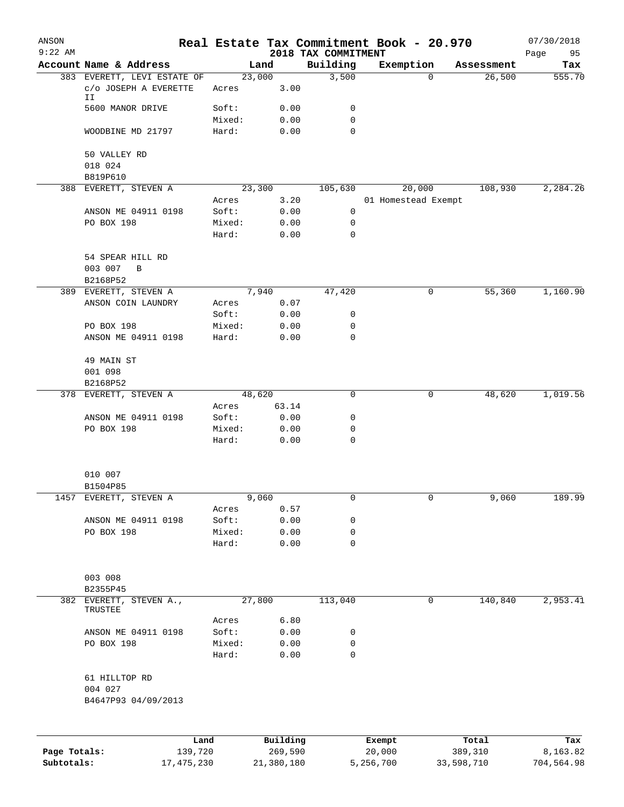| ANSON        |                                             |                 |                 |                     | Real Estate Tax Commitment Book - 20.970 |                  |                     |                  | 07/30/2018        |
|--------------|---------------------------------------------|-----------------|-----------------|---------------------|------------------------------------------|------------------|---------------------|------------------|-------------------|
| $9:22$ AM    | Account Name & Address                      |                 |                 | Land                | 2018 TAX COMMITMENT<br>Building          | Exemption        |                     | Assessment       | 95<br>Page<br>Tax |
|              | 383 EVERETT, LEVI ESTATE OF                 |                 |                 | 23,000              | 3,500                                    |                  | $\Omega$            | 26,500           | 555.70            |
|              | C/O JOSEPH A EVERETTE<br>IΙ                 |                 | Acres           | 3.00                |                                          |                  |                     |                  |                   |
|              | 5600 MANOR DRIVE                            |                 | Soft:           | 0.00                | 0                                        |                  |                     |                  |                   |
|              |                                             |                 | Mixed:          | 0.00                | 0                                        |                  |                     |                  |                   |
|              | WOODBINE MD 21797                           |                 | Hard:           | 0.00                | $\mathbf 0$                              |                  |                     |                  |                   |
|              | 50 VALLEY RD                                |                 |                 |                     |                                          |                  |                     |                  |                   |
|              | 018 024                                     |                 |                 |                     |                                          |                  |                     |                  |                   |
|              | B819P610<br>388 EVERETT, STEVEN A           |                 |                 | 23,300              | 105,630                                  |                  | 20,000              | 108,930          | 2,284.26          |
|              |                                             |                 | Acres           | 3.20                |                                          |                  | 01 Homestead Exempt |                  |                   |
|              | ANSON ME 04911 0198                         |                 | Soft:           | 0.00                | $\mathbf 0$                              |                  |                     |                  |                   |
|              | PO BOX 198                                  |                 | Mixed:          | 0.00                | 0                                        |                  |                     |                  |                   |
|              |                                             |                 | Hard:           | 0.00                | 0                                        |                  |                     |                  |                   |
|              | 54 SPEAR HILL RD<br>003 007<br>B            |                 |                 |                     |                                          |                  |                     |                  |                   |
|              | B2168P52                                    |                 |                 |                     |                                          |                  |                     |                  |                   |
|              | 389 EVERETT, STEVEN A<br>ANSON COIN LAUNDRY |                 | Acres           | 7,940<br>0.07       | 47,420                                   |                  | 0                   | 55,360           | 1,160.90          |
|              |                                             |                 | Soft:           | 0.00                | 0                                        |                  |                     |                  |                   |
|              | PO BOX 198                                  |                 | Mixed:          | 0.00                | 0                                        |                  |                     |                  |                   |
|              | ANSON ME 04911 0198                         |                 | Hard:           | 0.00                | 0                                        |                  |                     |                  |                   |
|              | 49 MAIN ST                                  |                 |                 |                     |                                          |                  |                     |                  |                   |
|              | 001 098                                     |                 |                 |                     |                                          |                  |                     |                  |                   |
|              | B2168P52                                    |                 |                 |                     |                                          |                  |                     |                  |                   |
|              | 378 EVERETT, STEVEN A                       |                 |                 | 48,620              | 0                                        |                  | 0                   | 48,620           | 1,019.56          |
|              |                                             |                 | Acres           | 63.14               |                                          |                  |                     |                  |                   |
|              | ANSON ME 04911 0198                         |                 | Soft:           | 0.00                | 0                                        |                  |                     |                  |                   |
|              | PO BOX 198                                  |                 | Mixed:          | 0.00                | 0                                        |                  |                     |                  |                   |
|              |                                             |                 | Hard:           | 0.00                | 0                                        |                  |                     |                  |                   |
|              | 010 007                                     |                 |                 |                     |                                          |                  |                     |                  |                   |
|              | B1504P85                                    |                 |                 |                     |                                          |                  |                     |                  |                   |
|              | 1457 EVERETT, STEVEN A                      |                 |                 | 9,060               | 0                                        |                  | 0                   | 9,060            | 189.99            |
|              |                                             |                 | Acres           | 0.57                |                                          |                  |                     |                  |                   |
|              | ANSON ME 04911 0198                         |                 | Soft:           | 0.00                | 0<br>0                                   |                  |                     |                  |                   |
|              | PO BOX 198                                  |                 | Mixed:<br>Hard: | 0.00<br>0.00        | 0                                        |                  |                     |                  |                   |
|              |                                             |                 |                 |                     |                                          |                  |                     |                  |                   |
|              | 003 008<br>B2355P45                         |                 |                 |                     |                                          |                  |                     |                  |                   |
|              | 382 EVERETT, STEVEN A.,<br>TRUSTEE          |                 |                 | 27,800              | 113,040                                  |                  | 0                   | 140,840          | 2,953.41          |
|              |                                             |                 | Acres           | 6.80                |                                          |                  |                     |                  |                   |
|              | ANSON ME 04911 0198                         |                 | Soft:           | 0.00                | 0                                        |                  |                     |                  |                   |
|              | PO BOX 198                                  |                 | Mixed:<br>Hard: | 0.00<br>0.00        | 0<br>0                                   |                  |                     |                  |                   |
|              |                                             |                 |                 |                     |                                          |                  |                     |                  |                   |
|              | 61 HILLTOP RD<br>004 027                    |                 |                 |                     |                                          |                  |                     |                  |                   |
|              | B4647P93 04/09/2013                         |                 |                 |                     |                                          |                  |                     |                  |                   |
|              |                                             |                 |                 |                     |                                          |                  |                     |                  |                   |
| Page Totals: |                                             | Land<br>139,720 |                 | Building<br>269,590 |                                          | Exempt<br>20,000 |                     | Total<br>389,310 | Tax<br>8,163.82   |
| Subtotals:   |                                             | 17, 475, 230    |                 | 21,380,180          |                                          | 5,256,700        |                     | 33,598,710       | 704,564.98        |
|              |                                             |                 |                 |                     |                                          |                  |                     |                  |                   |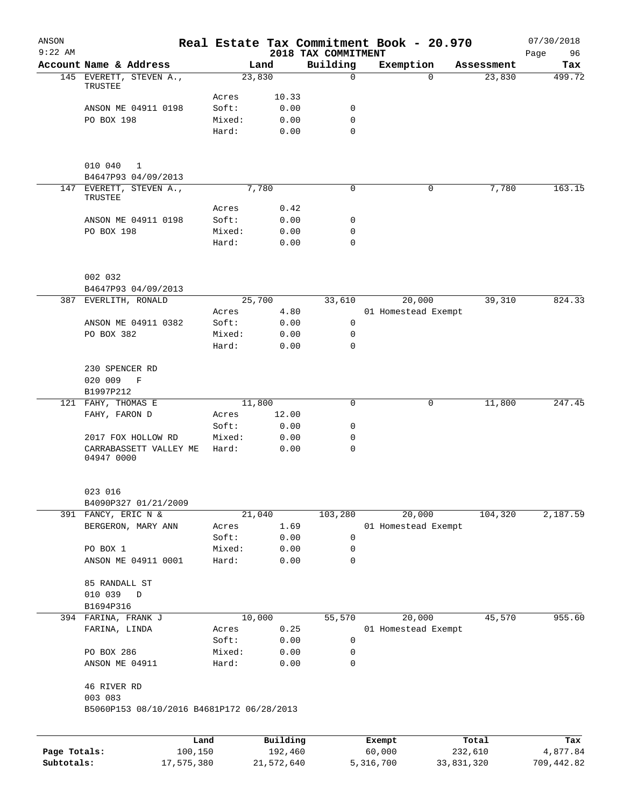| ANSON<br>$9:22$ AM |                                           |        |          | 2018 TAX COMMITMENT | Real Estate Tax Commitment Book - 20.970 |            | 07/30/2018<br>Page<br>96 |
|--------------------|-------------------------------------------|--------|----------|---------------------|------------------------------------------|------------|--------------------------|
|                    | Account Name & Address                    |        | Land     | Building            | Exemption                                | Assessment | Tax                      |
|                    | 145 EVERETT, STEVEN A.,                   |        | 23,830   | 0                   | $\Omega$                                 | 23,830     | 499.72                   |
|                    | TRUSTEE                                   | Acres  | 10.33    |                     |                                          |            |                          |
|                    | ANSON ME 04911 0198                       | Soft:  | 0.00     | 0                   |                                          |            |                          |
|                    | PO BOX 198                                | Mixed: | 0.00     | 0                   |                                          |            |                          |
|                    |                                           | Hard:  | 0.00     | 0                   |                                          |            |                          |
|                    |                                           |        |          |                     |                                          |            |                          |
|                    | 010 040<br>1<br>B4647P93 04/09/2013       |        |          |                     |                                          |            |                          |
|                    | 147 EVERETT, STEVEN A.,<br>TRUSTEE        |        | 7,780    | 0                   | 0                                        | 7,780      | 163.15                   |
|                    |                                           | Acres  | 0.42     |                     |                                          |            |                          |
|                    | ANSON ME 04911 0198                       | Soft:  | 0.00     | 0                   |                                          |            |                          |
|                    | PO BOX 198                                | Mixed: | 0.00     | 0                   |                                          |            |                          |
|                    |                                           | Hard:  | 0.00     | 0                   |                                          |            |                          |
|                    | 002 032                                   |        |          |                     |                                          |            |                          |
|                    | B4647P93 04/09/2013                       |        |          |                     |                                          |            |                          |
|                    | 387 EVERLITH, RONALD                      |        | 25,700   | 33,610              | 20,000                                   | 39,310     | 824.33                   |
|                    |                                           | Acres  | 4.80     |                     | 01 Homestead Exempt                      |            |                          |
|                    | ANSON ME 04911 0382                       | Soft:  | 0.00     | 0                   |                                          |            |                          |
|                    | PO BOX 382                                | Mixed: | 0.00     | 0                   |                                          |            |                          |
|                    |                                           | Hard:  | 0.00     | 0                   |                                          |            |                          |
|                    | 230 SPENCER RD                            |        |          |                     |                                          |            |                          |
|                    | 020 009<br>F                              |        |          |                     |                                          |            |                          |
|                    | B1997P212                                 |        |          |                     |                                          |            |                          |
|                    | 121 FAHY, THOMAS E                        |        | 11,800   | 0                   | 0                                        | 11,800     | 247.45                   |
|                    | FAHY, FARON D                             | Acres  | 12.00    |                     |                                          |            |                          |
|                    |                                           | Soft:  | 0.00     | 0                   |                                          |            |                          |
|                    | 2017 FOX HOLLOW RD                        | Mixed: | 0.00     | 0                   |                                          |            |                          |
|                    | CARRABASSETT VALLEY ME<br>04947 0000      | Hard:  | 0.00     | 0                   |                                          |            |                          |
|                    | 023 016                                   |        |          |                     |                                          |            |                          |
|                    | B4090P327 01/21/2009                      |        |          |                     |                                          |            |                          |
|                    | 391 FANCY, ERIC N &                       |        | 21,040   | 103,280             | 20,000                                   | 104,320    | 2,187.59                 |
|                    | BERGERON, MARY ANN                        | Acres  | 1.69     |                     | 01 Homestead Exempt                      |            |                          |
|                    |                                           | Soft:  | 0.00     | 0                   |                                          |            |                          |
|                    | PO BOX 1                                  | Mixed: | 0.00     | 0                   |                                          |            |                          |
|                    | ANSON ME 04911 0001                       | Hard:  | 0.00     | 0                   |                                          |            |                          |
|                    | 85 RANDALL ST                             |        |          |                     |                                          |            |                          |
|                    | 010 039<br>$\mathbf D$                    |        |          |                     |                                          |            |                          |
|                    | B1694P316                                 |        |          |                     |                                          |            |                          |
|                    | 394 FARINA, FRANK J                       |        | 10,000   | 55,570              | 20,000                                   | 45,570     | 955.60                   |
|                    | FARINA, LINDA                             | Acres  | 0.25     |                     | 01 Homestead Exempt                      |            |                          |
|                    |                                           | Soft:  | 0.00     | 0                   |                                          |            |                          |
|                    | PO BOX 286                                | Mixed: | 0.00     | 0                   |                                          |            |                          |
|                    | ANSON ME 04911                            | Hard:  | 0.00     | 0                   |                                          |            |                          |
|                    | 46 RIVER RD<br>003 083                    |        |          |                     |                                          |            |                          |
|                    | B5060P153 08/10/2016 B4681P172 06/28/2013 |        |          |                     |                                          |            |                          |
|                    |                                           | Land   | Building |                     | Exempt                                   | Total      | Tax                      |
| Page Totals:       | 100,150                                   |        | 192,460  |                     | 60,000                                   | 232,610    | 4,877.84                 |

**Subtotals:** 17,575,380 21,572,640 5,316,700 33,831,320 709,442.82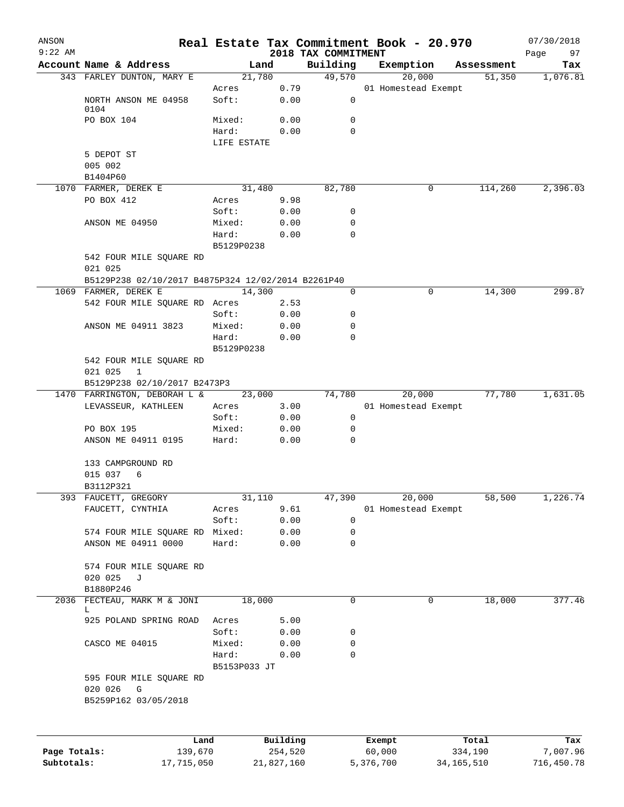| ANSON<br>$9:22$ AM |                                                     |                 |          | 2018 TAX COMMITMENT | Real Estate Tax Commitment Book - 20.970 |            | 07/30/2018<br>97<br>Page |
|--------------------|-----------------------------------------------------|-----------------|----------|---------------------|------------------------------------------|------------|--------------------------|
|                    | Account Name & Address                              | Land            |          | Building            | Exemption                                | Assessment | Tax                      |
|                    | 343 FARLEY DUNTON, MARY E                           | 21,780          |          | 49,570              | 20,000                                   | 51,350     | 1,076.81                 |
|                    |                                                     | Acres           | 0.79     |                     | 01 Homestead Exempt                      |            |                          |
|                    | NORTH ANSON ME 04958                                | Soft:           | 0.00     | $\mathbf 0$         |                                          |            |                          |
|                    | 0104                                                |                 |          |                     |                                          |            |                          |
|                    | PO BOX 104                                          | Mixed:          | 0.00     | 0                   |                                          |            |                          |
|                    |                                                     | Hard:           | 0.00     | $\Omega$            |                                          |            |                          |
|                    |                                                     | LIFE ESTATE     |          |                     |                                          |            |                          |
|                    | 5 DEPOT ST                                          |                 |          |                     |                                          |            |                          |
|                    | 005 002                                             |                 |          |                     |                                          |            |                          |
|                    | B1404P60                                            |                 |          |                     |                                          |            |                          |
|                    | 1070 FARMER, DEREK E                                | 31,480          |          | 82,780              | 0                                        | 114,260    | 2,396.03                 |
|                    | PO BOX 412                                          | Acres           | 9.98     |                     |                                          |            |                          |
|                    |                                                     | Soft:           | 0.00     | 0                   |                                          |            |                          |
|                    | ANSON ME 04950                                      | Mixed:          | 0.00     | 0                   |                                          |            |                          |
|                    |                                                     | Hard:           | 0.00     | $\mathbf 0$         |                                          |            |                          |
|                    |                                                     | B5129P0238      |          |                     |                                          |            |                          |
|                    | 542 FOUR MILE SQUARE RD                             |                 |          |                     |                                          |            |                          |
|                    | 021 025                                             |                 |          |                     |                                          |            |                          |
|                    | B5129P238 02/10/2017 B4875P324 12/02/2014 B2261P40  |                 |          |                     |                                          |            |                          |
|                    | 1069 FARMER, DEREK E                                | 14,300          |          | 0                   | 0                                        | 14,300     | 299.87                   |
|                    | 542 FOUR MILE SQUARE RD Acres                       |                 | 2.53     |                     |                                          |            |                          |
|                    |                                                     | Soft:           | 0.00     | 0                   |                                          |            |                          |
|                    | ANSON ME 04911 3823                                 | Mixed:          | 0.00     | 0                   |                                          |            |                          |
|                    |                                                     | Hard:           | 0.00     | 0                   |                                          |            |                          |
|                    |                                                     | B5129P0238      |          |                     |                                          |            |                          |
|                    | 542 FOUR MILE SQUARE RD                             |                 |          |                     |                                          |            |                          |
|                    | 021 025<br>$\mathbf{1}$                             |                 |          |                     |                                          |            |                          |
|                    | B5129P238 02/10/2017 B2473P3                        |                 |          | 74,780              | 20,000                                   | 77,780     | 1,631.05                 |
|                    | 1470 FARRINGTON, DEBORAH L &<br>LEVASSEUR, KATHLEEN | 23,000<br>Acres | 3.00     |                     | 01 Homestead Exempt                      |            |                          |
|                    |                                                     | Soft:           | 0.00     | $\mathbf 0$         |                                          |            |                          |
|                    | PO BOX 195                                          | Mixed:          | 0.00     | 0                   |                                          |            |                          |
|                    | ANSON ME 04911 0195                                 | Hard:           | 0.00     | 0                   |                                          |            |                          |
|                    |                                                     |                 |          |                     |                                          |            |                          |
|                    | 133 CAMPGROUND RD                                   |                 |          |                     |                                          |            |                          |
|                    | 015 037 6                                           |                 |          |                     |                                          |            |                          |
|                    | B3112P321                                           |                 |          |                     |                                          |            |                          |
|                    | 393 FAUCETT, GREGORY                                | 31,110          |          | 47,390              | 20,000                                   | 58,500     | 1,226.74                 |
|                    | FAUCETT, CYNTHIA                                    | Acres           | 9.61     |                     | 01 Homestead Exempt                      |            |                          |
|                    |                                                     | Soft:           | 0.00     | 0                   |                                          |            |                          |
|                    | 574 FOUR MILE SQUARE RD Mixed:                      |                 | 0.00     | 0                   |                                          |            |                          |
|                    | ANSON ME 04911 0000                                 | Hard:           | 0.00     | 0                   |                                          |            |                          |
|                    |                                                     |                 |          |                     |                                          |            |                          |
|                    | 574 FOUR MILE SQUARE RD                             |                 |          |                     |                                          |            |                          |
|                    | 020 025<br>J                                        |                 |          |                     |                                          |            |                          |
|                    | B1880P246                                           |                 |          |                     |                                          |            |                          |
| 2036               | FECTEAU, MARK M & JONI                              | 18,000          |          | 0                   | 0                                        | 18,000     | 377.46                   |
|                    | L                                                   |                 |          |                     |                                          |            |                          |
|                    | 925 POLAND SPRING ROAD                              | Acres           | 5.00     |                     |                                          |            |                          |
|                    |                                                     | Soft:           | 0.00     | 0                   |                                          |            |                          |
|                    | CASCO ME 04015                                      | Mixed:          | 0.00     | 0                   |                                          |            |                          |
|                    |                                                     | Hard:           | 0.00     | 0                   |                                          |            |                          |
|                    |                                                     | B5153P033 JT    |          |                     |                                          |            |                          |
|                    | 595 FOUR MILE SQUARE RD                             |                 |          |                     |                                          |            |                          |
|                    | 020 026<br>G                                        |                 |          |                     |                                          |            |                          |
|                    | B5259P162 03/05/2018                                |                 |          |                     |                                          |            |                          |
|                    |                                                     |                 |          |                     |                                          |            |                          |
|                    |                                                     |                 |          |                     |                                          |            |                          |
|                    |                                                     |                 |          |                     |                                          |            |                          |
|                    | Land                                                |                 | Building |                     | Exempt                                   | Total      | Tax                      |
| Page Totals:       | 139,670                                             |                 | 254,520  |                     | 60,000                                   | 334,190    | 7,007.96                 |

**Subtotals:** 17,715,050 21,827,160 5,376,700 34,165,510 716,450.78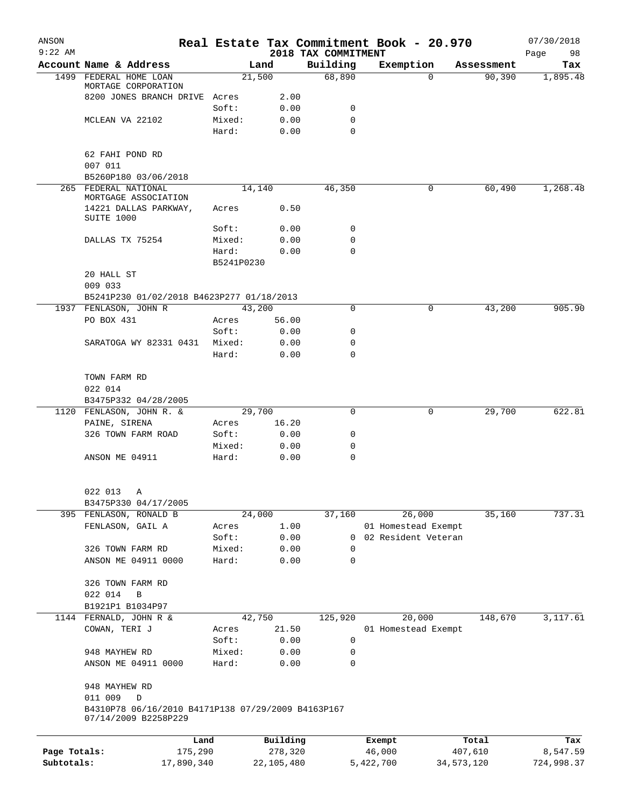| ANSON<br>$9:22$ AM |                                                                            |                 |                     | 2018 TAX COMMITMENT | Real Estate Tax Commitment Book - 20.970 |              |                  | 07/30/2018<br>Page<br>98 |
|--------------------|----------------------------------------------------------------------------|-----------------|---------------------|---------------------|------------------------------------------|--------------|------------------|--------------------------|
|                    | Account Name & Address                                                     |                 | Land                | Building            | Exemption                                |              | Assessment       | Tax                      |
| 1499               | FEDERAL HOME LOAN                                                          |                 | 21,500              | 68,890              |                                          | $\Omega$     | 90, 390          | 1,895.48                 |
|                    | MORTAGE CORPORATION                                                        |                 |                     |                     |                                          |              |                  |                          |
|                    | 8200 JONES BRANCH DRIVE                                                    | Acres           | 2.00                |                     |                                          |              |                  |                          |
|                    |                                                                            | Soft:           | 0.00                | 0                   |                                          |              |                  |                          |
|                    | MCLEAN VA 22102                                                            | Mixed:          | 0.00                | 0                   |                                          |              |                  |                          |
|                    |                                                                            | Hard:           | 0.00                | $\Omega$            |                                          |              |                  |                          |
|                    | 62 FAHI POND RD                                                            |                 |                     |                     |                                          |              |                  |                          |
|                    | 007 011                                                                    |                 |                     |                     |                                          |              |                  |                          |
|                    | B5260P180 03/06/2018                                                       |                 |                     |                     |                                          |              |                  |                          |
|                    | 265 FEDERAL NATIONAL                                                       |                 | 14,140              | 46,350              |                                          | 0            | 60,490           | 1,268.48                 |
|                    | MORTGAGE ASSOCIATION                                                       |                 |                     |                     |                                          |              |                  |                          |
|                    | 14221 DALLAS PARKWAY,                                                      | Acres           | 0.50                |                     |                                          |              |                  |                          |
|                    | SUITE 1000                                                                 |                 |                     |                     |                                          |              |                  |                          |
|                    | DALLAS TX 75254                                                            | Soft:<br>Mixed: | 0.00<br>0.00        | 0<br>0              |                                          |              |                  |                          |
|                    |                                                                            | Hard:           | 0.00                | $\Omega$            |                                          |              |                  |                          |
|                    |                                                                            | B5241P0230      |                     |                     |                                          |              |                  |                          |
|                    | 20 HALL ST                                                                 |                 |                     |                     |                                          |              |                  |                          |
|                    | 009 033                                                                    |                 |                     |                     |                                          |              |                  |                          |
|                    | B5241P230 01/02/2018 B4623P277 01/18/2013                                  |                 |                     |                     |                                          |              |                  |                          |
|                    | 1937 FENLASON, JOHN R                                                      |                 | 43,200              | 0                   |                                          | 0            | 43,200           | 905.90                   |
|                    | PO BOX 431                                                                 | Acres           | 56.00               |                     |                                          |              |                  |                          |
|                    |                                                                            | Soft:           | 0.00                | 0                   |                                          |              |                  |                          |
|                    | SARATOGA WY 82331 0431                                                     | Mixed:          | 0.00                | 0                   |                                          |              |                  |                          |
|                    |                                                                            | Hard:           | 0.00                | 0                   |                                          |              |                  |                          |
|                    |                                                                            |                 |                     |                     |                                          |              |                  |                          |
|                    | TOWN FARM RD                                                               |                 |                     |                     |                                          |              |                  |                          |
|                    | 022 014                                                                    |                 |                     |                     |                                          |              |                  |                          |
|                    | B3475P332 04/28/2005                                                       |                 |                     |                     |                                          |              |                  |                          |
|                    | 1120 FENLASON, JOHN R. &                                                   |                 | 29,700              | 0                   |                                          | 0            | 29,700           | 622.81                   |
|                    | PAINE, SIRENA                                                              | Acres           | 16.20               |                     |                                          |              |                  |                          |
|                    | 326 TOWN FARM ROAD                                                         | Soft:           | 0.00                | 0                   |                                          |              |                  |                          |
|                    |                                                                            | Mixed:          | 0.00                | 0                   |                                          |              |                  |                          |
|                    | ANSON ME 04911                                                             | Hard:           | 0.00                | 0                   |                                          |              |                  |                          |
|                    | 022 013                                                                    |                 |                     |                     |                                          |              |                  |                          |
|                    | A<br>B3475P330 04/17/2005                                                  |                 |                     |                     |                                          |              |                  |                          |
|                    | 395 FENLASON, RONALD B                                                     |                 | 24,000              | 37,160              | 26,000                                   |              | 35,160           | 737.31                   |
|                    | FENLASON, GAIL A                                                           | Acres           | 1.00                |                     | 01 Homestead Exempt                      |              |                  |                          |
|                    |                                                                            | Soft:           | 0.00                | 0                   | 02 Resident Veteran                      |              |                  |                          |
|                    | 326 TOWN FARM RD                                                           | Mixed:          | 0.00                | 0                   |                                          |              |                  |                          |
|                    | ANSON ME 04911 0000                                                        | Hard:           | 0.00                | $\mathbf 0$         |                                          |              |                  |                          |
|                    |                                                                            |                 |                     |                     |                                          |              |                  |                          |
|                    | 326 TOWN FARM RD                                                           |                 |                     |                     |                                          |              |                  |                          |
|                    | 022 014<br>В                                                               |                 |                     |                     |                                          |              |                  |                          |
|                    | B1921P1 B1034P97                                                           |                 |                     |                     |                                          |              |                  |                          |
|                    | 1144 FERNALD, JOHN R &                                                     |                 | 42,750              | 125,920             | 20,000                                   |              | 148,670          | 3,117.61                 |
|                    | COWAN, TERI J                                                              | Acres           | 21.50               |                     | 01 Homestead Exempt                      |              |                  |                          |
|                    |                                                                            | Soft:           | 0.00                | 0                   |                                          |              |                  |                          |
|                    | 948 MAYHEW RD                                                              | Mixed:          | 0.00                | 0                   |                                          |              |                  |                          |
|                    | ANSON ME 04911 0000                                                        | Hard:           | 0.00                | 0                   |                                          |              |                  |                          |
|                    | 948 MAYHEW RD                                                              |                 |                     |                     |                                          |              |                  |                          |
|                    | 011 009<br>D                                                               |                 |                     |                     |                                          |              |                  |                          |
|                    | B4310P78 06/16/2010 B4171P138 07/29/2009 B4163P167<br>07/14/2009 B2258P229 |                 |                     |                     |                                          |              |                  |                          |
|                    |                                                                            |                 |                     |                     |                                          |              |                  |                          |
| Page Totals:       | 175,290                                                                    | Land            | Building<br>278,320 |                     | Exempt<br>46,000                         |              | Total<br>407,610 | Tax<br>8,547.59          |
| Subtotals:         | 17,890,340                                                                 |                 | 22,105,480          |                     | 5,422,700                                | 34, 573, 120 |                  | 724,998.37               |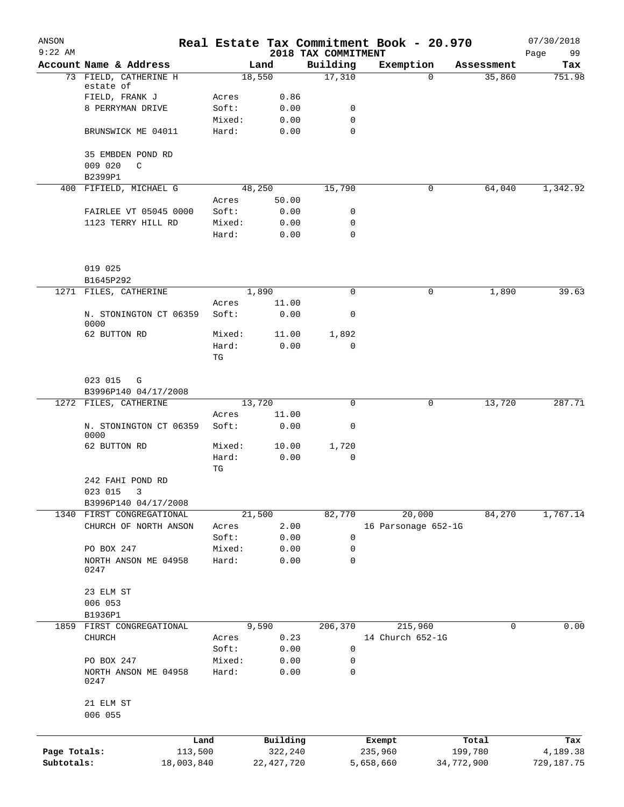| ANSON<br>$9:22$ AM |                                |                 |              | 2018 TAX COMMITMENT | Real Estate Tax Commitment Book - 20.970 |            | 07/30/2018<br>99 |
|--------------------|--------------------------------|-----------------|--------------|---------------------|------------------------------------------|------------|------------------|
|                    | Account Name & Address         |                 | Land         | Building            | Exemption                                | Assessment | Page<br>Tax      |
|                    | 73 FIELD, CATHERINE H          |                 | 18,550       | 17,310              | $\Omega$                                 | 35,860     | 751.98           |
|                    | estate of                      |                 |              |                     |                                          |            |                  |
|                    | FIELD, FRANK J                 | Acres           | 0.86         |                     |                                          |            |                  |
|                    | 8 PERRYMAN DRIVE               | Soft:           | 0.00         | 0                   |                                          |            |                  |
|                    |                                | Mixed:          | 0.00         | 0                   |                                          |            |                  |
|                    | BRUNSWICK ME 04011             | Hard:           | 0.00         | $\Omega$            |                                          |            |                  |
|                    | 35 EMBDEN POND RD              |                 |              |                     |                                          |            |                  |
|                    | 009 020<br>C                   |                 |              |                     |                                          |            |                  |
|                    | B2399P1                        |                 |              |                     |                                          |            |                  |
|                    | 400 FIFIELD, MICHAEL G         |                 | 48,250       | 15,790              | 0                                        | 64,040     | 1,342.92         |
|                    |                                | Acres           | 50.00        |                     |                                          |            |                  |
|                    | FAIRLEE VT 05045 0000          | Soft:           | 0.00         | 0                   |                                          |            |                  |
|                    | 1123 TERRY HILL RD             | Mixed:          | 0.00         | 0                   |                                          |            |                  |
|                    |                                | Hard:           | 0.00         | 0                   |                                          |            |                  |
|                    | 019 025                        |                 |              |                     |                                          |            |                  |
|                    | B1645P292                      |                 |              |                     |                                          |            |                  |
|                    | 1271 FILES, CATHERINE          |                 | 1,890        | $\mathbf 0$         | 0                                        | 1,890      | 39.63            |
|                    |                                | Acres           | 11.00        |                     |                                          |            |                  |
|                    | N. STONINGTON CT 06359<br>0000 | Soft:           | 0.00         | 0                   |                                          |            |                  |
|                    | 62 BUTTON RD                   | Mixed:          | 11.00        | 1,892               |                                          |            |                  |
|                    |                                | Hard:           | 0.00         | 0                   |                                          |            |                  |
|                    |                                | TG              |              |                     |                                          |            |                  |
|                    | 023 015<br>G                   |                 |              |                     |                                          |            |                  |
|                    | B3996P140 04/17/2008           |                 |              |                     |                                          |            |                  |
|                    | 1272 FILES, CATHERINE          |                 | 13,720       | $\mathbf 0$         | 0                                        | 13,720     | 287.71           |
|                    |                                | Acres           | 11.00        |                     |                                          |            |                  |
|                    | N. STONINGTON CT 06359<br>0000 | Soft:           | 0.00         | 0                   |                                          |            |                  |
|                    | 62 BUTTON RD                   | Mixed:          | 10.00        | 1,720               |                                          |            |                  |
|                    |                                | Hard:           | 0.00         | 0                   |                                          |            |                  |
|                    |                                | TG              |              |                     |                                          |            |                  |
|                    | 242 FAHI POND RD               |                 |              |                     |                                          |            |                  |
|                    | 023 015 3                      |                 |              |                     |                                          |            |                  |
|                    | B3996P140 04/17/2008           |                 |              |                     |                                          |            |                  |
|                    | 1340 FIRST CONGREGATIONAL      |                 | 21,500       | 82,770              | 20,000                                   | 84,270     | 1,767.14         |
|                    | CHURCH OF NORTH ANSON          | Acres           | 2.00         |                     | 16 Parsonage 652-1G                      |            |                  |
|                    |                                | Soft:           | 0.00         | 0                   |                                          |            |                  |
|                    | PO BOX 247                     | Mixed:<br>Hard: | 0.00<br>0.00 | 0<br>$\mathbf 0$    |                                          |            |                  |
|                    | NORTH ANSON ME 04958<br>0247   |                 |              |                     |                                          |            |                  |
|                    | 23 ELM ST                      |                 |              |                     |                                          |            |                  |
|                    | 006 053                        |                 |              |                     |                                          |            |                  |
|                    | B1936P1                        |                 |              |                     |                                          |            |                  |
| 1859               | FIRST CONGREGATIONAL           |                 | 9,590        | 206,370             | 215,960                                  | 0          | 0.00             |
|                    | CHURCH                         | Acres           | 0.23         |                     | 14 Church 652-1G                         |            |                  |
|                    |                                | Soft:           | 0.00         | 0                   |                                          |            |                  |
|                    | PO BOX 247                     | Mixed:          | 0.00         | 0                   |                                          |            |                  |
|                    | NORTH ANSON ME 04958<br>0247   | Hard:           | 0.00         | $\mathbf 0$         |                                          |            |                  |
|                    | 21 ELM ST<br>006 055           |                 |              |                     |                                          |            |                  |
|                    |                                |                 |              |                     |                                          |            |                  |
|                    |                                | Land            | Building     |                     | Exempt                                   | Total      | Tax              |
| Page Totals:       |                                | 113,500         | 322,240      |                     | 235,960                                  | 199,780    | 4,189.38         |
| Subtotals:         | 18,003,840                     |                 | 22, 427, 720 |                     | 5,658,660                                | 34,772,900 | 729,187.75       |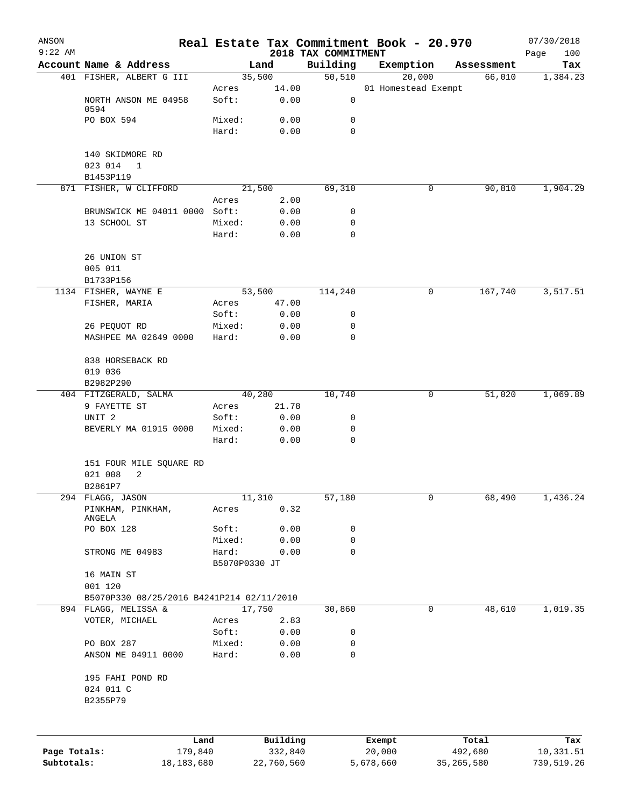| ANSON<br>$9:22$ AM |                                               |                 |              | 2018 TAX COMMITMENT | Real Estate Tax Commitment Book - 20.970 |            | 07/30/2018<br>100<br>Page |
|--------------------|-----------------------------------------------|-----------------|--------------|---------------------|------------------------------------------|------------|---------------------------|
|                    | Account Name & Address                        |                 | Land         | Building            | Exemption                                | Assessment | Tax                       |
|                    | 401 FISHER, ALBERT G III                      |                 | 35,500       | 50,510              | 20,000                                   | 66,010     | 1,384.23                  |
|                    |                                               | Acres           | 14.00        |                     | 01 Homestead Exempt                      |            |                           |
|                    | NORTH ANSON ME 04958                          | Soft:           | 0.00         | 0                   |                                          |            |                           |
|                    | 0594<br>PO BOX 594                            | Mixed:          | 0.00         | 0                   |                                          |            |                           |
|                    |                                               | Hard:           | 0.00         | $\mathbf 0$         |                                          |            |                           |
|                    |                                               |                 |              |                     |                                          |            |                           |
|                    | 140 SKIDMORE RD                               |                 |              |                     |                                          |            |                           |
|                    | 023 014<br>$\overline{1}$                     |                 |              |                     |                                          |            |                           |
|                    | B1453P119                                     |                 |              |                     |                                          |            |                           |
|                    | 871 FISHER, W CLIFFORD                        |                 | 21,500       | 69,310              | 0                                        | 90,810     | 1,904.29                  |
|                    |                                               | Acres           | 2.00         |                     |                                          |            |                           |
|                    | BRUNSWICK ME 04011 0000 Soft:<br>13 SCHOOL ST | Mixed:          | 0.00<br>0.00 | 0<br>0              |                                          |            |                           |
|                    |                                               | Hard:           | 0.00         | 0                   |                                          |            |                           |
|                    |                                               |                 |              |                     |                                          |            |                           |
|                    | 26 UNION ST                                   |                 |              |                     |                                          |            |                           |
|                    | 005 011                                       |                 |              |                     |                                          |            |                           |
|                    | B1733P156                                     |                 |              |                     |                                          |            |                           |
|                    | 1134 FISHER, WAYNE E                          |                 | 53,500       | 114,240             | 0                                        | 167,740    | 3,517.51                  |
|                    | FISHER, MARIA                                 | Acres           | 47.00        |                     |                                          |            |                           |
|                    |                                               | Soft:<br>Mixed: | 0.00         | 0<br>0              |                                          |            |                           |
|                    | 26 PEQUOT RD<br>MASHPEE MA 02649 0000         | Hard:           | 0.00<br>0.00 | 0                   |                                          |            |                           |
|                    |                                               |                 |              |                     |                                          |            |                           |
|                    | 838 HORSEBACK RD                              |                 |              |                     |                                          |            |                           |
|                    | 019 036                                       |                 |              |                     |                                          |            |                           |
|                    | B2982P290                                     |                 |              |                     |                                          |            |                           |
|                    | 404 FITZGERALD, SALMA                         |                 | 40,280       | 10,740              | 0                                        | 51,020     | 1,069.89                  |
|                    | 9 FAYETTE ST                                  | Acres           | 21.78        |                     |                                          |            |                           |
|                    | UNIT <sub>2</sub>                             | Soft:           | 0.00         | 0<br>0              |                                          |            |                           |
|                    | BEVERLY MA 01915 0000                         | Mixed:<br>Hard: | 0.00<br>0.00 | 0                   |                                          |            |                           |
|                    |                                               |                 |              |                     |                                          |            |                           |
|                    | 151 FOUR MILE SQUARE RD                       |                 |              |                     |                                          |            |                           |
|                    | 021 008<br>2                                  |                 |              |                     |                                          |            |                           |
|                    | B2861P7                                       |                 |              |                     |                                          |            |                           |
|                    | 294 FLAGG, JASON                              | 11,310          |              | 57,180              | 0                                        | 68,490     | 1,436.24                  |
|                    | PINKHAM, PINKHAM,<br>ANGELA                   | Acres           | 0.32         |                     |                                          |            |                           |
|                    | PO BOX 128                                    | Soft:           | 0.00         | 0                   |                                          |            |                           |
|                    |                                               | Mixed:          | 0.00         | 0                   |                                          |            |                           |
|                    | STRONG ME 04983                               | Hard:           | 0.00         | 0                   |                                          |            |                           |
|                    |                                               | B5070P0330 JT   |              |                     |                                          |            |                           |
|                    | 16 MAIN ST                                    |                 |              |                     |                                          |            |                           |
|                    | 001 120                                       |                 |              |                     |                                          |            |                           |
|                    | B5070P330 08/25/2016 B4241P214 02/11/2010     |                 |              |                     |                                          |            |                           |
|                    | 894 FLAGG, MELISSA &<br>VOTER, MICHAEL        |                 | 17,750       | 30,860              | 0                                        | 48,610     | 1,019.35                  |
|                    |                                               | Acres<br>Soft:  | 2.83<br>0.00 | 0                   |                                          |            |                           |
|                    | PO BOX 287                                    | Mixed:          | 0.00         | 0                   |                                          |            |                           |
|                    | ANSON ME 04911 0000                           | Hard:           | 0.00         | 0                   |                                          |            |                           |
|                    |                                               |                 |              |                     |                                          |            |                           |
|                    | 195 FAHI POND RD                              |                 |              |                     |                                          |            |                           |
|                    | 024 011 C                                     |                 |              |                     |                                          |            |                           |
|                    | B2355P79                                      |                 |              |                     |                                          |            |                           |
|                    |                                               |                 |              |                     |                                          |            |                           |
|                    |                                               |                 |              |                     |                                          |            |                           |
|                    | Land                                          |                 | Building     |                     | Exempt                                   | Total      | Tax                       |
| Page Totals:       | 179,840                                       |                 | 332,840      |                     | 20,000                                   | 492,680    | 10,331.51                 |

**Subtotals:** 18,183,680 22,760,560 5,678,660 35,265,580 739,519.26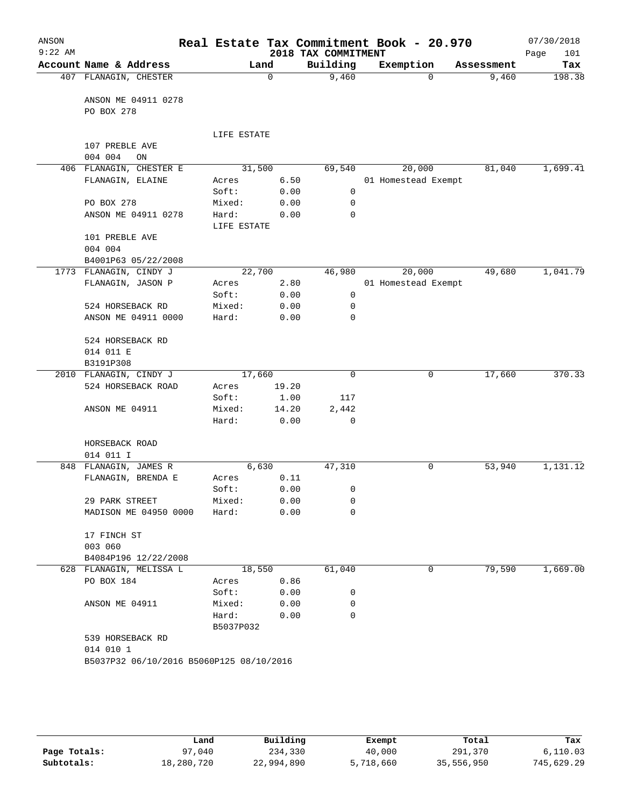| ANSON<br>$9:22$ AM |                                          |             |       | 2018 TAX COMMITMENT | Real Estate Tax Commitment Book - 20.970 |            | 07/30/2018<br>Page<br>101 |
|--------------------|------------------------------------------|-------------|-------|---------------------|------------------------------------------|------------|---------------------------|
|                    | Account Name & Address                   |             | Land  | Building            | Exemption                                | Assessment | Tax                       |
|                    | 407 FLANAGIN, CHESTER                    |             | 0     | 9,460               | $\Omega$                                 | 9,460      | 198.38                    |
|                    |                                          |             |       |                     |                                          |            |                           |
|                    | ANSON ME 04911 0278                      |             |       |                     |                                          |            |                           |
|                    | PO BOX 278                               |             |       |                     |                                          |            |                           |
|                    |                                          |             |       |                     |                                          |            |                           |
|                    | 107 PREBLE AVE                           | LIFE ESTATE |       |                     |                                          |            |                           |
|                    | 004 004<br>ON                            |             |       |                     |                                          |            |                           |
|                    | 406 FLANAGIN, CHESTER E                  | 31,500      |       | 69,540              | 20,000                                   | 81,040     | 1,699.41                  |
|                    | FLANAGIN, ELAINE                         | Acres       | 6.50  |                     | 01 Homestead Exempt                      |            |                           |
|                    |                                          | Soft:       | 0.00  | 0                   |                                          |            |                           |
|                    | PO BOX 278                               | Mixed:      | 0.00  | 0                   |                                          |            |                           |
|                    | ANSON ME 04911 0278                      | Hard:       | 0.00  | 0                   |                                          |            |                           |
|                    |                                          | LIFE ESTATE |       |                     |                                          |            |                           |
|                    | 101 PREBLE AVE                           |             |       |                     |                                          |            |                           |
|                    | 004 004                                  |             |       |                     |                                          |            |                           |
|                    | B4001P63 05/22/2008                      |             |       |                     |                                          |            |                           |
|                    | 1773 FLANAGIN, CINDY J                   | 22,700      |       | 46,980              | 20,000                                   | 49,680     | 1,041.79                  |
|                    | FLANAGIN, JASON P                        | Acres       | 2.80  |                     | 01 Homestead Exempt                      |            |                           |
|                    |                                          | Soft:       | 0.00  | 0                   |                                          |            |                           |
|                    | 524 HORSEBACK RD                         | Mixed:      | 0.00  | 0                   |                                          |            |                           |
|                    | ANSON ME 04911 0000                      | Hard:       | 0.00  | 0                   |                                          |            |                           |
|                    |                                          |             |       |                     |                                          |            |                           |
|                    | 524 HORSEBACK RD                         |             |       |                     |                                          |            |                           |
|                    | 014 011 E                                |             |       |                     |                                          |            |                           |
|                    | B3191P308                                |             |       |                     |                                          |            |                           |
|                    | 2010 FLANAGIN, CINDY J                   | 17,660      |       | $\mathbf 0$         | 0                                        | 17,660     | 370.33                    |
|                    | 524 HORSEBACK ROAD                       | Acres       | 19.20 |                     |                                          |            |                           |
|                    |                                          | Soft:       | 1.00  | 117                 |                                          |            |                           |
|                    | ANSON ME 04911                           | Mixed:      | 14.20 | 2,442               |                                          |            |                           |
|                    |                                          | Hard:       | 0.00  | $\mathbf 0$         |                                          |            |                           |
|                    |                                          |             |       |                     |                                          |            |                           |
|                    | HORSEBACK ROAD                           |             |       |                     |                                          |            |                           |
|                    | 014 011 I                                |             |       |                     |                                          |            |                           |
| 848                | FLANAGIN, JAMES R                        | 6,630       |       | 47,310              | 0                                        | 53,940     | 1,131.12                  |
|                    | FLANAGIN, BRENDA E                       | Acres       | 0.11  |                     |                                          |            |                           |
|                    |                                          | Soft:       | 0.00  | 0                   |                                          |            |                           |
|                    | 29 PARK STREET                           | Mixed:      | 0.00  | 0<br>0              |                                          |            |                           |
|                    | MADISON ME 04950 0000                    | Hard:       | 0.00  |                     |                                          |            |                           |
|                    | 17 FINCH ST                              |             |       |                     |                                          |            |                           |
|                    | 003 060                                  |             |       |                     |                                          |            |                           |
|                    | B4084P196 12/22/2008                     |             |       |                     |                                          |            |                           |
|                    | 628 FLANAGIN, MELISSA L                  | 18,550      |       | 61,040              | 0                                        | 79,590     | 1,669.00                  |
|                    | PO BOX 184                               | Acres       | 0.86  |                     |                                          |            |                           |
|                    |                                          | Soft:       | 0.00  | 0                   |                                          |            |                           |
|                    | ANSON ME 04911                           | Mixed:      | 0.00  | 0                   |                                          |            |                           |
|                    |                                          | Hard:       | 0.00  | 0                   |                                          |            |                           |
|                    |                                          | B5037P032   |       |                     |                                          |            |                           |
|                    | 539 HORSEBACK RD                         |             |       |                     |                                          |            |                           |
|                    | 014 010 1                                |             |       |                     |                                          |            |                           |
|                    | B5037P32 06/10/2016 B5060P125 08/10/2016 |             |       |                     |                                          |            |                           |
|                    |                                          |             |       |                     |                                          |            |                           |
|                    |                                          |             |       |                     |                                          |            |                           |

|              | Land       | Building   | Exempt    | Total      | Tax        |
|--------------|------------|------------|-----------|------------|------------|
| Page Totals: | 97,040     | 234,330    | 40,000    | 291,370    | 6.110.03   |
| Subtotals:   | 18,280,720 | 22,994,890 | 5,718,660 | 35,556,950 | 745,629.29 |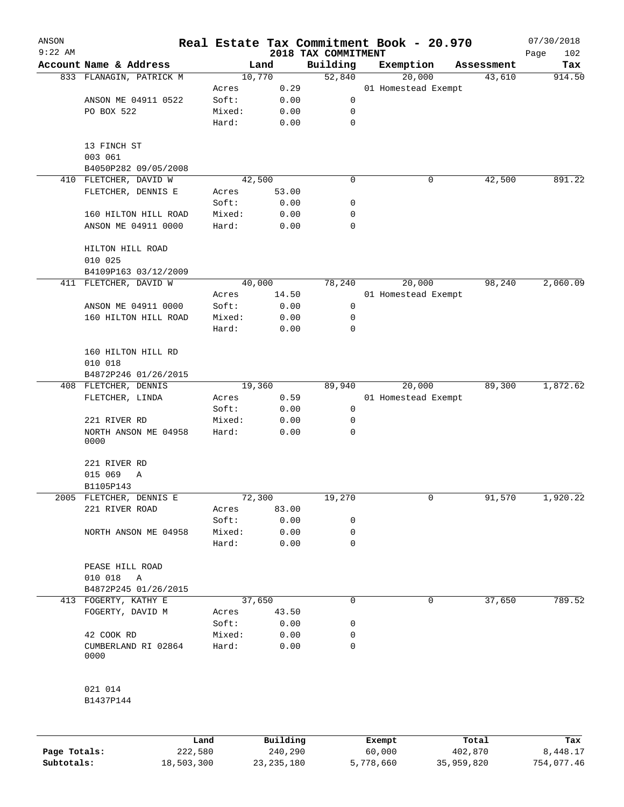| ANSON<br>$9:22$ AM |                                 |        |        |                                 | Real Estate Tax Commitment Book - 20.970 |            | 07/30/2018         |
|--------------------|---------------------------------|--------|--------|---------------------------------|------------------------------------------|------------|--------------------|
|                    | Account Name & Address          |        | Land   | 2018 TAX COMMITMENT<br>Building | Exemption                                | Assessment | 102<br>Page<br>Tax |
|                    | 833 FLANAGIN, PATRICK M         |        | 10,770 | 52,840                          | 20,000                                   | 43,610     | 914.50             |
|                    |                                 | Acres  | 0.29   |                                 | 01 Homestead Exempt                      |            |                    |
|                    | ANSON ME 04911 0522             | Soft:  | 0.00   | 0                               |                                          |            |                    |
|                    | PO BOX 522                      | Mixed: | 0.00   | 0                               |                                          |            |                    |
|                    |                                 | Hard:  | 0.00   | 0                               |                                          |            |                    |
|                    | 13 FINCH ST<br>003 061          |        |        |                                 |                                          |            |                    |
|                    | B4050P282 09/05/2008            |        |        |                                 |                                          |            |                    |
|                    | 410 FLETCHER, DAVID W           |        | 42,500 | 0                               | 0                                        | 42,500     | 891.22             |
|                    | FLETCHER, DENNIS E              | Acres  | 53.00  |                                 |                                          |            |                    |
|                    |                                 | Soft:  | 0.00   | 0                               |                                          |            |                    |
|                    | 160 HILTON HILL ROAD            | Mixed: | 0.00   | 0                               |                                          |            |                    |
|                    | ANSON ME 04911 0000             | Hard:  | 0.00   | 0                               |                                          |            |                    |
|                    | HILTON HILL ROAD<br>010 025     |        |        |                                 |                                          |            |                    |
|                    | B4109P163 03/12/2009            |        |        |                                 |                                          |            |                    |
|                    | 411 FLETCHER, DAVID W           |        | 40,000 | 78,240                          | 20,000                                   | 98,240     | 2,060.09           |
|                    |                                 | Acres  | 14.50  |                                 | 01 Homestead Exempt                      |            |                    |
|                    | ANSON ME 04911 0000             | Soft:  | 0.00   | 0                               |                                          |            |                    |
|                    | 160 HILTON HILL ROAD            | Mixed: | 0.00   | 0                               |                                          |            |                    |
|                    |                                 | Hard:  | 0.00   | 0                               |                                          |            |                    |
|                    | 160 HILTON HILL RD<br>010 018   |        |        |                                 |                                          |            |                    |
|                    | B4872P246 01/26/2015            |        |        |                                 |                                          |            |                    |
|                    | 408 FLETCHER, DENNIS            |        | 19,360 | 89,940                          | 20,000                                   | 89,300     | 1,872.62           |
|                    | FLETCHER, LINDA                 | Acres  | 0.59   |                                 | 01 Homestead Exempt                      |            |                    |
|                    |                                 | Soft:  | 0.00   | $\mathbf 0$                     |                                          |            |                    |
|                    | 221 RIVER RD                    | Mixed: | 0.00   | 0                               |                                          |            |                    |
|                    | NORTH ANSON ME 04958<br>0000    | Hard:  | 0.00   | 0                               |                                          |            |                    |
|                    | 221 RIVER RD                    |        |        |                                 |                                          |            |                    |
|                    | 015 069<br>Α                    |        |        |                                 |                                          |            |                    |
|                    | B1105P143                       |        |        |                                 |                                          |            |                    |
|                    | 2005 FLETCHER, DENNIS E         |        | 72,300 | 19,270                          | 0                                        | 91,570     | 1,920.22           |
|                    | 221 RIVER ROAD                  | Acres  | 83.00  |                                 |                                          |            |                    |
|                    |                                 | Soft:  | 0.00   | 0                               |                                          |            |                    |
|                    | NORTH ANSON ME 04958            | Mixed: | 0.00   | 0                               |                                          |            |                    |
|                    |                                 | Hard:  | 0.00   | 0                               |                                          |            |                    |
|                    | PEASE HILL ROAD<br>010 018<br>A |        |        |                                 |                                          |            |                    |
|                    | B4872P245 01/26/2015            |        |        |                                 |                                          |            |                    |
|                    | 413 FOGERTY, KATHY E            |        | 37,650 | 0                               | 0                                        | 37,650     | 789.52             |
|                    | FOGERTY, DAVID M                | Acres  | 43.50  |                                 |                                          |            |                    |
|                    |                                 | Soft:  | 0.00   | 0                               |                                          |            |                    |
|                    | 42 COOK RD                      | Mixed: | 0.00   | 0                               |                                          |            |                    |
|                    | CUMBERLAND RI 02864<br>0000     | Hard:  | 0.00   | 0                               |                                          |            |                    |
|                    | 021 014                         |        |        |                                 |                                          |            |                    |
|                    | B1437P144                       |        |        |                                 |                                          |            |                    |
|                    |                                 |        |        |                                 |                                          |            |                    |

|              | Land       | Building   | Exempt    | Total      | Tax        |
|--------------|------------|------------|-----------|------------|------------|
| Page Totals: | 222,580    | 240,290    | 60,000    | 402,870    | 8,448.17   |
| Subtotals:   | 18,503,300 | 23,235,180 | 5,778,660 | 35,959,820 | 754,077.46 |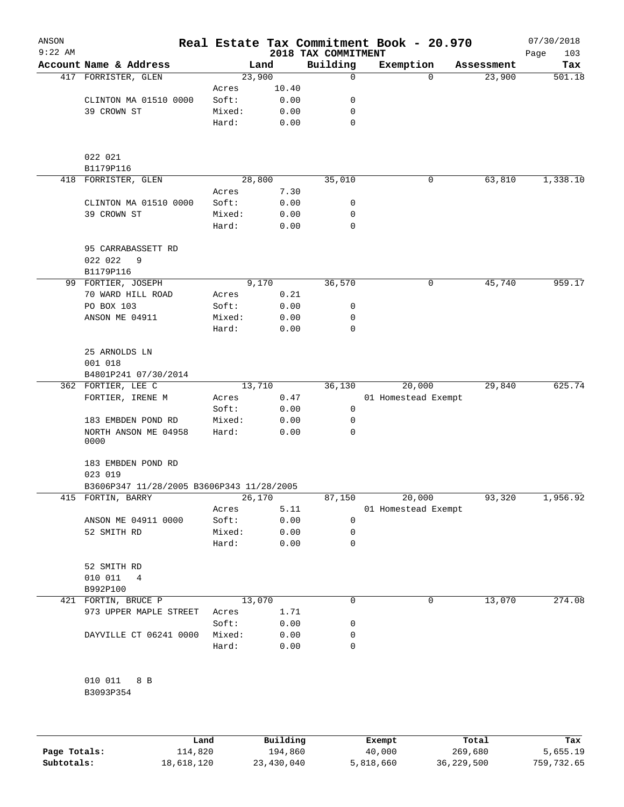| ANSON<br>$9:22$ AM |                                           |        |        | 2018 TAX COMMITMENT | Real Estate Tax Commitment Book - 20.970 |            | 07/30/2018<br>103<br>Page |
|--------------------|-------------------------------------------|--------|--------|---------------------|------------------------------------------|------------|---------------------------|
|                    | Account Name & Address                    |        | Land   | Building            | Exemption                                | Assessment | Tax                       |
|                    | 417 FORRISTER, GLEN                       |        | 23,900 | 0                   | 0                                        | 23,900     | 501.18                    |
|                    |                                           | Acres  | 10.40  |                     |                                          |            |                           |
|                    | CLINTON MA 01510 0000                     | Soft:  | 0.00   | 0                   |                                          |            |                           |
|                    | 39 CROWN ST                               | Mixed: | 0.00   | 0                   |                                          |            |                           |
|                    |                                           | Hard:  | 0.00   | 0                   |                                          |            |                           |
|                    | 022 021<br>B1179P116                      |        |        |                     |                                          |            |                           |
|                    | 418 FORRISTER, GLEN                       |        | 28,800 | 35,010              | 0                                        | 63,810     | 1,338.10                  |
|                    |                                           | Acres  | 7.30   |                     |                                          |            |                           |
|                    | CLINTON MA 01510 0000                     | Soft:  | 0.00   | 0                   |                                          |            |                           |
|                    | 39 CROWN ST                               | Mixed: | 0.00   | 0                   |                                          |            |                           |
|                    |                                           | Hard:  | 0.00   | 0                   |                                          |            |                           |
|                    | 95 CARRABASSETT RD<br>022 022<br>9        |        |        |                     |                                          |            |                           |
|                    | B1179P116                                 |        |        |                     |                                          |            |                           |
|                    | 99 FORTIER, JOSEPH                        |        | 9,170  | 36,570              | 0                                        | 45,740     | 959.17                    |
|                    | 70 WARD HILL ROAD                         | Acres  | 0.21   |                     |                                          |            |                           |
|                    | PO BOX 103                                | Soft:  | 0.00   | 0                   |                                          |            |                           |
|                    | ANSON ME 04911                            | Mixed: | 0.00   | 0                   |                                          |            |                           |
|                    |                                           | Hard:  | 0.00   | 0                   |                                          |            |                           |
|                    | 25 ARNOLDS LN                             |        |        |                     |                                          |            |                           |
|                    | 001 018                                   |        |        |                     |                                          |            |                           |
|                    | B4801P241 07/30/2014                      |        |        |                     |                                          |            |                           |
|                    | 362 FORTIER, LEE C                        |        | 13,710 | 36,130              | 20,000                                   | 29,840     | 625.74                    |
|                    | FORTIER, IRENE M                          | Acres  | 0.47   |                     | 01 Homestead Exempt                      |            |                           |
|                    |                                           | Soft:  | 0.00   | 0                   |                                          |            |                           |
|                    | 183 EMBDEN POND RD                        | Mixed: | 0.00   | 0                   |                                          |            |                           |
|                    | NORTH ANSON ME 04958<br>0000              | Hard:  | 0.00   | 0                   |                                          |            |                           |
|                    | 183 EMBDEN POND RD                        |        |        |                     |                                          |            |                           |
|                    | 023 019                                   |        |        |                     |                                          |            |                           |
|                    | B3606P347 11/28/2005 B3606P343 11/28/2005 |        |        |                     |                                          |            |                           |
|                    | 415 FORTIN, BARRY                         |        | 26,170 | 87,150              | 20,000                                   | 93,320     | 1,956.92                  |
|                    |                                           | Acres  | 5.11   |                     | 01 Homestead Exempt                      |            |                           |
|                    | ANSON ME 04911 0000                       | Soft:  | 0.00   | 0                   |                                          |            |                           |
|                    | 52 SMITH RD                               | Mixed: | 0.00   | 0                   |                                          |            |                           |
|                    |                                           | Hard:  | 0.00   | 0                   |                                          |            |                           |
|                    | 52 SMITH RD                               |        |        |                     |                                          |            |                           |
|                    | 010 011<br>4                              |        |        |                     |                                          |            |                           |
|                    | B992P100                                  |        |        |                     |                                          |            |                           |
|                    | 421 FORTIN, BRUCE P                       |        | 13,070 | 0                   | 0                                        | 13,070     | 274.08                    |
|                    | 973 UPPER MAPLE STREET                    | Acres  | 1.71   |                     |                                          |            |                           |
|                    |                                           | Soft:  | 0.00   | 0                   |                                          |            |                           |
|                    | DAYVILLE CT 06241 0000                    | Mixed: | 0.00   | 0                   |                                          |            |                           |
|                    |                                           | Hard:  | 0.00   | 0                   |                                          |            |                           |
|                    | 010 011<br>8 B                            |        |        |                     |                                          |            |                           |
|                    | B3093P354                                 |        |        |                     |                                          |            |                           |
|                    |                                           |        |        |                     |                                          |            |                           |

|              | Land       | Building   | Exempt    | Total      | Tax        |
|--------------|------------|------------|-----------|------------|------------|
| Page Totals: | 114,820    | 194,860    | 40,000    | 269,680    | 5,655.19   |
| Subtotals:   | 18,618,120 | 23,430,040 | 5,818,660 | 36,229,500 | 759,732.65 |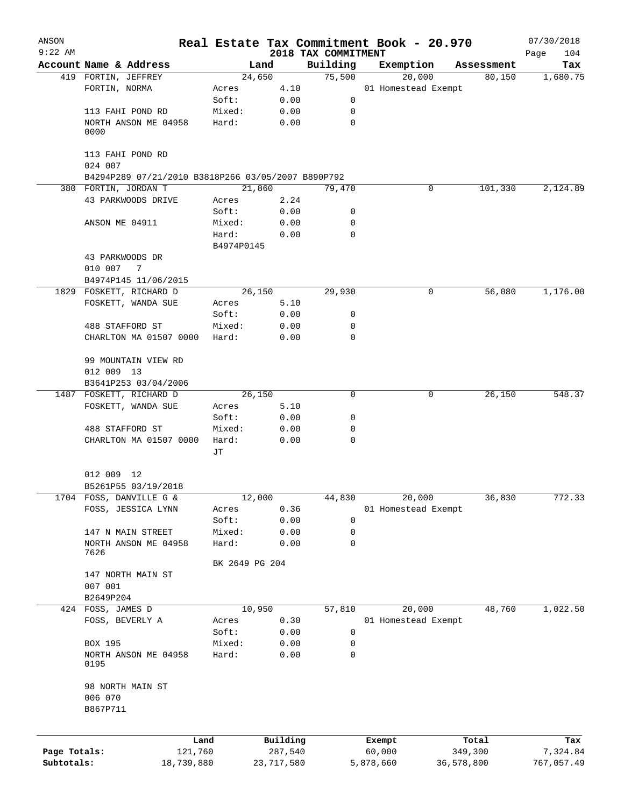| ANSON                      |                                                                            |                |                       |                     | Real Estate Tax Commitment Book - 20.970 |                       | 07/30/2018             |
|----------------------------|----------------------------------------------------------------------------|----------------|-----------------------|---------------------|------------------------------------------|-----------------------|------------------------|
| $9:22$ AM                  |                                                                            |                |                       | 2018 TAX COMMITMENT |                                          |                       | Page<br>104            |
|                            | Account Name & Address                                                     |                | Land                  | Building            | Exemption                                | Assessment            | Tax                    |
|                            | 419 FORTIN, JEFFREY                                                        |                | 24,650                | 75,500              | 20,000                                   | 80,150                | 1,680.75               |
|                            | FORTIN, NORMA                                                              | Acres          | 4.10                  |                     | 01 Homestead Exempt                      |                       |                        |
|                            |                                                                            | Soft:          | 0.00                  | 0                   |                                          |                       |                        |
|                            | 113 FAHI POND RD                                                           | Mixed:         | 0.00                  | 0                   |                                          |                       |                        |
|                            | NORTH ANSON ME 04958<br>0000                                               | Hard:          | 0.00                  | 0                   |                                          |                       |                        |
|                            | 113 FAHI POND RD                                                           |                |                       |                     |                                          |                       |                        |
|                            | 024 007                                                                    |                |                       |                     |                                          |                       |                        |
|                            | B4294P289 07/21/2010 B3818P266 03/05/2007 B890P792<br>380 FORTIN, JORDAN T |                | 21,860                | 79,470              | 0                                        | 101,330               | 2,124.89               |
|                            | 43 PARKWOODS DRIVE                                                         | Acres          | 2.24                  |                     |                                          |                       |                        |
|                            |                                                                            | Soft:          | 0.00                  | 0                   |                                          |                       |                        |
|                            | ANSON ME 04911                                                             | Mixed:         | 0.00                  | 0                   |                                          |                       |                        |
|                            |                                                                            | Hard:          | 0.00                  | 0                   |                                          |                       |                        |
|                            |                                                                            | B4974P0145     |                       |                     |                                          |                       |                        |
|                            | 43 PARKWOODS DR<br>010 007<br>$\overline{7}$                               |                |                       |                     |                                          |                       |                        |
|                            |                                                                            |                |                       |                     |                                          |                       |                        |
|                            | B4974P145 11/06/2015<br>1829 FOSKETT, RICHARD D                            |                | 26,150                | 29,930              | 0                                        | 56,080                | 1,176.00               |
|                            | FOSKETT, WANDA SUE                                                         |                | 5.10                  |                     |                                          |                       |                        |
|                            |                                                                            | Acres<br>Soft: | 0.00                  | 0                   |                                          |                       |                        |
|                            | 488 STAFFORD ST                                                            | Mixed:         | 0.00                  | 0                   |                                          |                       |                        |
|                            |                                                                            |                |                       | 0                   |                                          |                       |                        |
|                            | CHARLTON MA 01507 0000                                                     | Hard:          | 0.00                  |                     |                                          |                       |                        |
|                            | 99 MOUNTAIN VIEW RD<br>012 009 13                                          |                |                       |                     |                                          |                       |                        |
|                            | B3641P253 03/04/2006                                                       |                |                       |                     |                                          |                       |                        |
|                            | 1487 FOSKETT, RICHARD D                                                    |                | 26,150                | 0                   | 0                                        | 26,150                | 548.37                 |
|                            | FOSKETT, WANDA SUE                                                         | Acres          | 5.10                  |                     |                                          |                       |                        |
|                            |                                                                            | Soft:          | 0.00                  | 0                   |                                          |                       |                        |
|                            | 488 STAFFORD ST                                                            | Mixed:         | 0.00                  | 0                   |                                          |                       |                        |
|                            | CHARLTON MA 01507 0000                                                     | Hard:          | 0.00                  | 0                   |                                          |                       |                        |
|                            |                                                                            | JТ             |                       |                     |                                          |                       |                        |
|                            | 012 009 12<br>B5261P55 03/19/2018                                          |                |                       |                     |                                          |                       |                        |
|                            | 1704 FOSS, DANVILLE G &                                                    |                | 12,000                | 44,830              | 20,000                                   | 36,830                | 772.33                 |
|                            | FOSS, JESSICA LYNN                                                         | Acres          | 0.36                  |                     | 01 Homestead Exempt                      |                       |                        |
|                            |                                                                            | Soft:          | 0.00                  | 0                   |                                          |                       |                        |
|                            | 147 N MAIN STREET                                                          | Mixed:         | 0.00                  | 0                   |                                          |                       |                        |
|                            | NORTH ANSON ME 04958<br>7626                                               | Hard:          | 0.00                  | 0                   |                                          |                       |                        |
|                            |                                                                            | BK 2649 PG 204 |                       |                     |                                          |                       |                        |
|                            | 147 NORTH MAIN ST<br>007 001                                               |                |                       |                     |                                          |                       |                        |
|                            | B2649P204                                                                  |                |                       |                     |                                          |                       |                        |
| 424                        | FOSS, JAMES D                                                              |                | 10,950                | 57,810              | 20,000                                   | 48,760                | 1,022.50               |
|                            | FOSS, BEVERLY A                                                            | Acres          | 0.30                  |                     | 01 Homestead Exempt                      |                       |                        |
|                            |                                                                            | Soft:          | 0.00                  | 0                   |                                          |                       |                        |
|                            | BOX 195                                                                    | Mixed:         | 0.00                  | 0                   |                                          |                       |                        |
|                            | NORTH ANSON ME 04958<br>0195                                               | Hard:          | 0.00                  | 0                   |                                          |                       |                        |
|                            | 98 NORTH MAIN ST<br>006 070<br>B867P711                                    |                |                       |                     |                                          |                       |                        |
|                            |                                                                            |                |                       |                     |                                          |                       |                        |
|                            | Land                                                                       |                | Building              |                     | Exempt                                   | Total                 | Tax                    |
| Page Totals:<br>Subtotals: | 121,760<br>18,739,880                                                      |                | 287,540<br>23,717,580 |                     | 60,000<br>5,878,660                      | 349,300<br>36,578,800 | 7,324.84<br>767,057.49 |
|                            |                                                                            |                |                       |                     |                                          |                       |                        |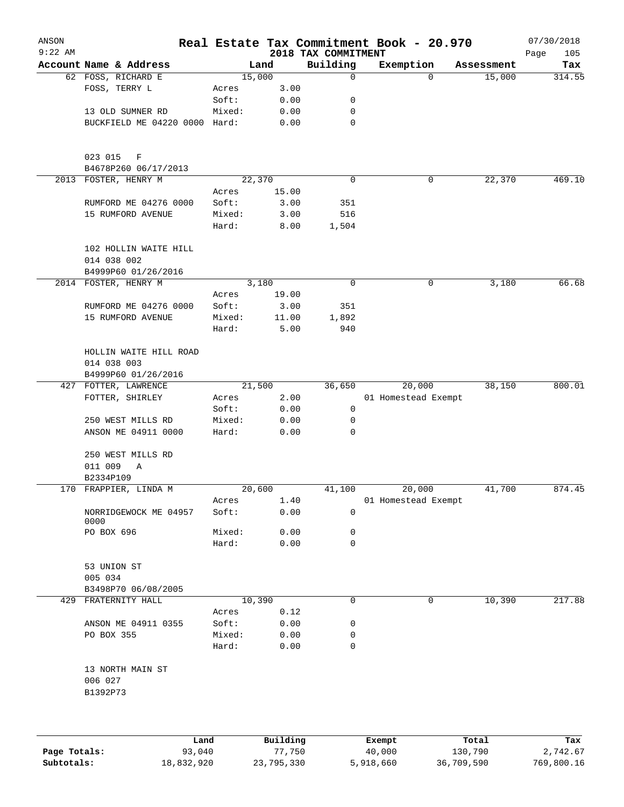| ANSON<br>$9:22$ AM |                                             |                 |              | 2018 TAX COMMITMENT | Real Estate Tax Commitment Book - 20.970 |            | 07/30/2018<br>Page<br>105 |
|--------------------|---------------------------------------------|-----------------|--------------|---------------------|------------------------------------------|------------|---------------------------|
|                    | Account Name & Address                      |                 | Land         | Building            | Exemption                                | Assessment | Tax                       |
|                    | 62 FOSS, RICHARD E                          |                 | 15,000       | $\mathbf 0$         | 0                                        | 15,000     | 314.55                    |
|                    | FOSS, TERRY L                               | Acres           | 3.00         |                     |                                          |            |                           |
|                    |                                             | Soft:           | 0.00         | 0                   |                                          |            |                           |
|                    | 13 OLD SUMNER RD                            | Mixed:          | 0.00         | 0                   |                                          |            |                           |
|                    | BUCKFIELD ME 04220 0000 Hard:               |                 | 0.00         | $\mathbf 0$         |                                          |            |                           |
|                    | 023 015<br>F<br>B4678P260 06/17/2013        |                 |              |                     |                                          |            |                           |
|                    | 2013 FOSTER, HENRY M                        |                 | 22,370       | $\mathbf 0$         | 0                                        | 22,370     | 469.10                    |
|                    |                                             | Acres           | 15.00        |                     |                                          |            |                           |
|                    | RUMFORD ME 04276 0000                       | Soft:           | 3.00         | 351                 |                                          |            |                           |
|                    | 15 RUMFORD AVENUE                           | Mixed:          | 3.00         | 516                 |                                          |            |                           |
|                    |                                             | Hard:           | 8.00         | 1,504               |                                          |            |                           |
|                    | 102 HOLLIN WAITE HILL<br>014 038 002        |                 |              |                     |                                          |            |                           |
|                    | B4999P60 01/26/2016                         |                 |              |                     |                                          |            |                           |
|                    | 2014 FOSTER, HENRY M                        |                 | 3,180        | 0                   | 0                                        | 3,180      | 66.68                     |
|                    |                                             | Acres           | 19.00        |                     |                                          |            |                           |
|                    | RUMFORD ME 04276 0000                       | Soft:           | 3.00         | 351                 |                                          |            |                           |
|                    | 15 RUMFORD AVENUE                           | Mixed:          | 11.00        | 1,892               |                                          |            |                           |
|                    |                                             | Hard:           | 5.00         | 940                 |                                          |            |                           |
|                    | HOLLIN WAITE HILL ROAD                      |                 |              |                     |                                          |            |                           |
|                    | 014 038 003                                 |                 |              |                     |                                          |            |                           |
|                    | B4999P60 01/26/2016<br>427 FOTTER, LAWRENCE |                 | 21,500       | 36,650              | 20,000                                   | 38,150     | 800.01                    |
|                    | FOTTER, SHIRLEY                             | Acres           | 2.00         |                     | 01 Homestead Exempt                      |            |                           |
|                    |                                             | Soft:           | 0.00         | 0                   |                                          |            |                           |
|                    | 250 WEST MILLS RD                           | Mixed:          | 0.00         | 0                   |                                          |            |                           |
|                    | ANSON ME 04911 0000                         | Hard:           | 0.00         | $\mathbf 0$         |                                          |            |                           |
|                    | 250 WEST MILLS RD                           |                 |              |                     |                                          |            |                           |
|                    | 011 009<br>Α                                |                 |              |                     |                                          |            |                           |
|                    | B2334P109                                   |                 |              |                     |                                          |            |                           |
|                    | 170 FRAPPIER, LINDA M                       |                 | 20,600       | 41,100              | 20,000                                   | 41,700     | 874.45                    |
|                    | NORRIDGEWOCK ME 04957<br>0000               | Acres<br>Soft:  | 1.40<br>0.00 | $\mathbf 0$         | 01 Homestead Exempt                      |            |                           |
|                    | PO BOX 696                                  | Mixed:          | 0.00         | 0                   |                                          |            |                           |
|                    |                                             | Hard:           | 0.00         | 0                   |                                          |            |                           |
|                    | 53 UNION ST                                 |                 |              |                     |                                          |            |                           |
|                    | 005 034                                     |                 |              |                     |                                          |            |                           |
|                    | B3498P70 06/08/2005                         |                 |              |                     |                                          |            |                           |
|                    | 429 FRATERNITY HALL                         |                 | 10,390       | 0                   | 0                                        | 10,390     | 217.88                    |
|                    |                                             | Acres           | 0.12         |                     |                                          |            |                           |
|                    | ANSON ME 04911 0355                         | Soft:           | 0.00         | 0                   |                                          |            |                           |
|                    | PO BOX 355                                  | Mixed:<br>Hard: | 0.00<br>0.00 | 0<br>0              |                                          |            |                           |
|                    | 13 NORTH MAIN ST                            |                 |              |                     |                                          |            |                           |
|                    | 006 027<br>B1392P73                         |                 |              |                     |                                          |            |                           |
|                    |                                             |                 |              |                     |                                          |            |                           |
|                    | Land                                        |                 | Building     |                     | Exempt                                   | Total      | Tax                       |

|              | Land       | Building   | Exempt    | Total      | Tax        |
|--------------|------------|------------|-----------|------------|------------|
| Page Totals: | 93,040     | 77.750     | 40,000    | 130,790    | 2,742.67   |
| Subtotals:   | 18,832,920 | 23,795,330 | 5,918,660 | 36,709,590 | 769,800.16 |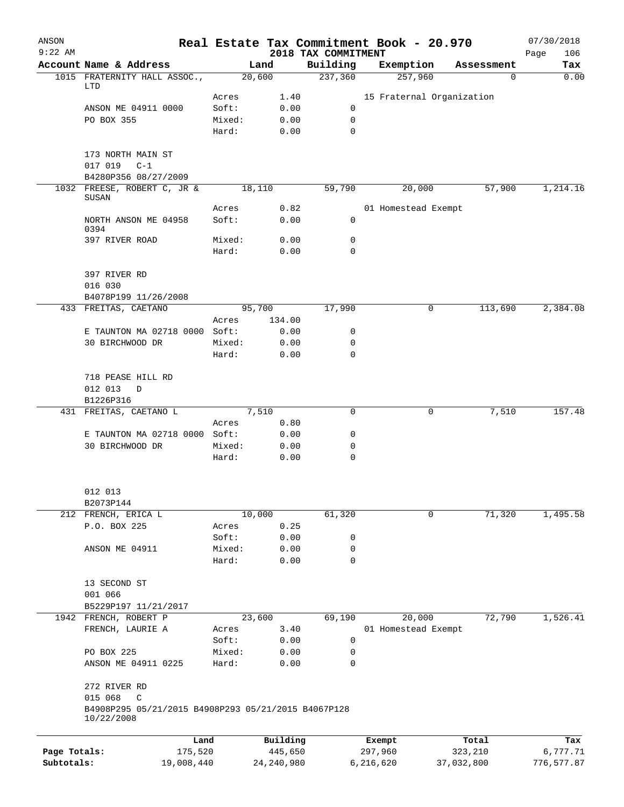| ANSON        |                                                                   |                |        |              |                                 | Real Estate Tax Commitment Book - 20.970 |            |            | 07/30/2018         |
|--------------|-------------------------------------------------------------------|----------------|--------|--------------|---------------------------------|------------------------------------------|------------|------------|--------------------|
| $9:22$ AM    | Account Name & Address                                            |                | Land   |              | 2018 TAX COMMITMENT<br>Building | Exemption                                |            | Assessment | 106<br>Page<br>Tax |
|              | 1015 FRATERNITY HALL ASSOC.,                                      |                | 20,600 |              | 237,360                         | 257,960                                  |            | 0          | 0.00               |
|              | LTD                                                               |                |        |              |                                 |                                          |            |            |                    |
|              | ANSON ME 04911 0000                                               | Acres<br>Soft: |        | 1.40<br>0.00 | 0                               | 15 Fraternal Organization                |            |            |                    |
|              | PO BOX 355                                                        | Mixed:         |        | 0.00         | 0                               |                                          |            |            |                    |
|              |                                                                   | Hard:          |        | 0.00         | $\Omega$                        |                                          |            |            |                    |
|              | 173 NORTH MAIN ST                                                 |                |        |              |                                 |                                          |            |            |                    |
|              | 017 019 C-1                                                       |                |        |              |                                 |                                          |            |            |                    |
|              | B4280P356 08/27/2009                                              |                |        |              |                                 |                                          |            |            |                    |
|              | 1032 FREESE, ROBERT C, JR &<br>SUSAN                              |                | 18,110 |              | 59,790                          | 20,000                                   |            | 57,900     | 1,214.16           |
|              |                                                                   | Acres          |        | 0.82         |                                 | 01 Homestead Exempt                      |            |            |                    |
|              | NORTH ANSON ME 04958<br>0394                                      | Soft:          |        | 0.00         | 0                               |                                          |            |            |                    |
|              | 397 RIVER ROAD                                                    | Mixed:         |        | 0.00         | 0                               |                                          |            |            |                    |
|              |                                                                   | Hard:          |        | 0.00         | 0                               |                                          |            |            |                    |
|              | 397 RIVER RD                                                      |                |        |              |                                 |                                          |            |            |                    |
|              | 016 030<br>B4078P199 11/26/2008                                   |                |        |              |                                 |                                          |            |            |                    |
|              | 433 FREITAS, CAETANO                                              |                | 95,700 |              | 17,990                          |                                          | 0          | 113,690    | 2,384.08           |
|              |                                                                   | Acres          |        | 134.00       |                                 |                                          |            |            |                    |
|              | E TAUNTON MA 02718 0000 Soft:                                     |                |        | 0.00         | 0                               |                                          |            |            |                    |
|              | 30 BIRCHWOOD DR                                                   | Mixed:         |        | 0.00         | 0                               |                                          |            |            |                    |
|              |                                                                   | Hard:          |        | 0.00         | $\mathbf 0$                     |                                          |            |            |                    |
|              | 718 PEASE HILL RD                                                 |                |        |              |                                 |                                          |            |            |                    |
|              | 012 013<br>D                                                      |                |        |              |                                 |                                          |            |            |                    |
|              | B1226P316                                                         |                |        |              |                                 |                                          |            |            |                    |
|              | 431 FREITAS, CAETANO L                                            |                | 7,510  |              | 0                               |                                          | 0          | 7,510      | 157.48             |
|              |                                                                   | Acres          |        | 0.80         |                                 |                                          |            |            |                    |
|              | E TAUNTON MA 02718 0000 Soft:                                     |                |        | 0.00         | 0                               |                                          |            |            |                    |
|              | 30 BIRCHWOOD DR                                                   | Mixed:         |        | 0.00         | 0                               |                                          |            |            |                    |
|              |                                                                   | Hard:          |        | 0.00         | $\mathbf 0$                     |                                          |            |            |                    |
|              | 012 013                                                           |                |        |              |                                 |                                          |            |            |                    |
|              | B2073P144                                                         |                |        |              |                                 |                                          |            |            |                    |
|              | 212 FRENCH, ERICA L                                               |                | 10,000 |              | 61,320                          |                                          | 0          | 71,320     | 1,495.58           |
|              | P.O. BOX 225                                                      | Acres          |        | 0.25         |                                 |                                          |            |            |                    |
|              |                                                                   | Soft:          |        | 0.00         | 0                               |                                          |            |            |                    |
|              | ANSON ME 04911                                                    | Mixed:         |        | 0.00         | 0                               |                                          |            |            |                    |
|              |                                                                   | Hard:          |        | 0.00         | $\mathbf 0$                     |                                          |            |            |                    |
|              | 13 SECOND ST                                                      |                |        |              |                                 |                                          |            |            |                    |
|              | 001 066                                                           |                |        |              |                                 |                                          |            |            |                    |
|              | B5229P197 11/21/2017                                              |                |        |              |                                 |                                          |            |            |                    |
|              | 1942 FRENCH, ROBERT P                                             |                | 23,600 |              | 69,190                          | 20,000                                   |            | 72,790     | 1,526.41           |
|              | FRENCH, LAURIE A                                                  | Acres          |        | 3.40         |                                 | 01 Homestead Exempt                      |            |            |                    |
|              |                                                                   | Soft:          |        | 0.00         | 0                               |                                          |            |            |                    |
|              | PO BOX 225                                                        | Mixed:         |        | 0.00         | 0                               |                                          |            |            |                    |
|              | ANSON ME 04911 0225                                               | Hard:          |        | 0.00         | 0                               |                                          |            |            |                    |
|              | 272 RIVER RD                                                      |                |        |              |                                 |                                          |            |            |                    |
|              | 015 068<br>C                                                      |                |        |              |                                 |                                          |            |            |                    |
|              | B4908P295 05/21/2015 B4908P293 05/21/2015 B4067P128<br>10/22/2008 |                |        |              |                                 |                                          |            |            |                    |
|              |                                                                   | Land           |        | Building     |                                 | Exempt                                   |            | Total      | Tax                |
| Page Totals: |                                                                   | 175,520        |        | 445,650      |                                 | 297,960                                  | 323,210    |            | 6,777.71           |
| Subtotals:   |                                                                   | 19,008,440     |        | 24, 240, 980 |                                 | 6,216,620                                | 37,032,800 |            | 776,577.87         |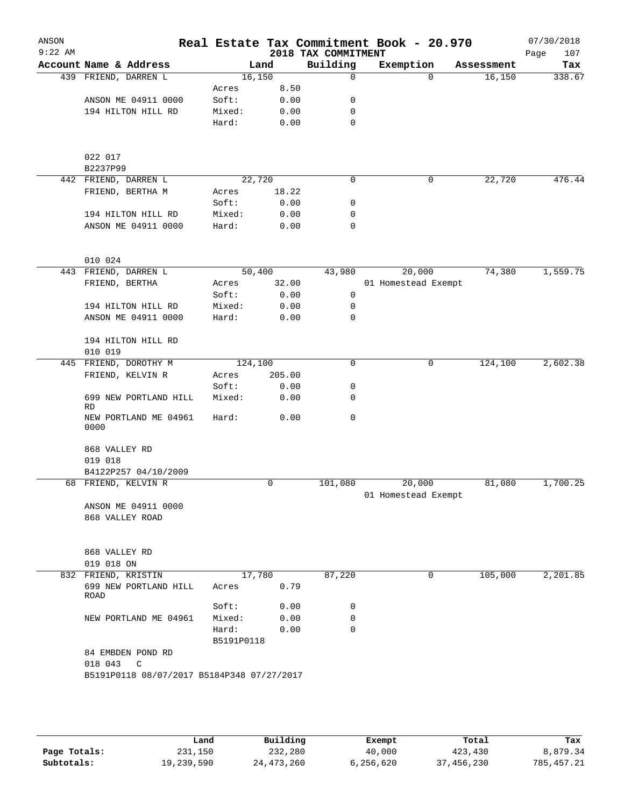| ANSON<br>$9:22$ AM |                                              |                 |        | 2018 TAX COMMITMENT | Real Estate Tax Commitment Book - 20.970 |            | 07/30/2018<br>Page<br>107 |
|--------------------|----------------------------------------------|-----------------|--------|---------------------|------------------------------------------|------------|---------------------------|
|                    | Account Name & Address                       |                 | Land   | Building            | Exemption                                | Assessment | Tax                       |
|                    | 439 FRIEND, DARREN L                         | 16,150          |        | 0                   | $\Omega$                                 | 16,150     | 338.67                    |
|                    |                                              | Acres           | 8.50   |                     |                                          |            |                           |
|                    | ANSON ME 04911 0000                          | Soft:           | 0.00   | 0                   |                                          |            |                           |
|                    | 194 HILTON HILL RD                           | Mixed:          | 0.00   | 0                   |                                          |            |                           |
|                    |                                              | Hard:           | 0.00   | 0                   |                                          |            |                           |
|                    | 022 017<br>B2237P99                          |                 |        |                     |                                          |            |                           |
|                    | 442 FRIEND, DARREN L                         | 22,720          |        | 0                   | 0                                        | 22,720     | 476.44                    |
|                    | FRIEND, BERTHA M                             | Acres           | 18.22  |                     |                                          |            |                           |
|                    |                                              | Soft:           | 0.00   | 0                   |                                          |            |                           |
|                    | 194 HILTON HILL RD                           | Mixed:          | 0.00   | 0                   |                                          |            |                           |
|                    | ANSON ME 04911 0000                          | Hard:           | 0.00   | 0                   |                                          |            |                           |
|                    | 010 024                                      |                 |        |                     |                                          |            |                           |
|                    | 443 FRIEND, DARREN L                         | 50,400          |        | 43,980              | 20,000                                   | 74,380     | 1,559.75                  |
|                    | FRIEND, BERTHA                               | Acres           | 32.00  |                     | 01 Homestead Exempt                      |            |                           |
|                    |                                              | Soft:           | 0.00   | 0                   |                                          |            |                           |
|                    | 194 HILTON HILL RD                           | Mixed:          | 0.00   | 0                   |                                          |            |                           |
|                    | ANSON ME 04911 0000                          | Hard:           | 0.00   | 0                   |                                          |            |                           |
|                    | 194 HILTON HILL RD                           |                 |        |                     |                                          |            |                           |
|                    | 010 019                                      |                 |        |                     |                                          |            |                           |
|                    | 445 FRIEND, DOROTHY M                        | 124,100         |        | 0                   | $\mathbf 0$                              | 124,100    | 2,602.38                  |
|                    | FRIEND, KELVIN R                             | Acres           | 205.00 |                     |                                          |            |                           |
|                    |                                              | Soft:           | 0.00   | 0                   |                                          |            |                           |
|                    | 699 NEW PORTLAND HILL<br><b>RD</b>           | Mixed:          | 0.00   | 0                   |                                          |            |                           |
|                    | NEW PORTLAND ME 04961<br>0000                | Hard:           | 0.00   | 0                   |                                          |            |                           |
|                    | 868 VALLEY RD                                |                 |        |                     |                                          |            |                           |
|                    | 019 018                                      |                 |        |                     |                                          |            |                           |
|                    | B4122P257 04/10/2009<br>68 FRIEND, KELVIN R  |                 | 0      |                     |                                          |            | 1,700.25                  |
|                    |                                              |                 |        | 101,080             | 20,000<br>01 Homestead Exempt            | 81,080     |                           |
|                    | ANSON ME 04911 0000                          |                 |        |                     |                                          |            |                           |
|                    | 868 VALLEY ROAD                              |                 |        |                     |                                          |            |                           |
|                    | 868 VALLEY RD                                |                 |        |                     |                                          |            |                           |
|                    | 019 018 ON                                   |                 |        |                     |                                          |            |                           |
|                    | 832 FRIEND, KRISTIN<br>699 NEW PORTLAND HILL | 17,780<br>Acres | 0.79   | 87,220              | 0                                        | 105,000    | 2,201.85                  |
|                    | ROAD                                         | Soft:           | 0.00   | 0                   |                                          |            |                           |
|                    | NEW PORTLAND ME 04961                        | Mixed:          | 0.00   | 0                   |                                          |            |                           |
|                    |                                              | Hard:           | 0.00   | $\mathbf 0$         |                                          |            |                           |
|                    |                                              | B5191P0118      |        |                     |                                          |            |                           |
|                    | 84 EMBDEN POND RD<br>018 043<br>$\mathbf C$  |                 |        |                     |                                          |            |                           |
|                    | B5191P0118 08/07/2017 B5184P348 07/27/2017   |                 |        |                     |                                          |            |                           |
|                    |                                              |                 |        |                     |                                          |            |                           |
|                    |                                              |                 |        |                     |                                          |            |                           |
|                    |                                              |                 |        |                     |                                          |            |                           |

|              | Land       | Building     | Exempt    | Total      | Tax         |
|--------------|------------|--------------|-----------|------------|-------------|
| Page Totals: | 231,150    | 232,280      | 40,000    | 423,430    | 8,879.34    |
| Subtotals:   | 19,239,590 | 24, 473, 260 | 6,256,620 | 37,456,230 | 785, 457.21 |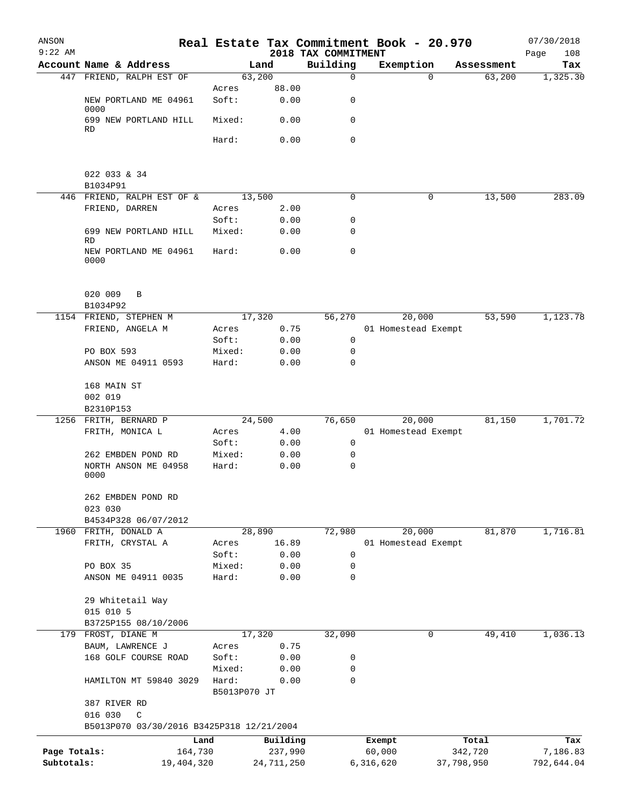| ANSON<br>$9:22$ AM |                                                           |            | Real Estate Tax Commitment Book - 20.970 |              | 2018 TAX COMMITMENT |             |           |                     |            | 07/30/2018         |
|--------------------|-----------------------------------------------------------|------------|------------------------------------------|--------------|---------------------|-------------|-----------|---------------------|------------|--------------------|
|                    | Account Name & Address                                    |            |                                          | Land         | Building            |             | Exemption |                     | Assessment | 108<br>Page<br>Tax |
|                    | 447 FRIEND, RALPH EST OF                                  |            | 63,200                                   |              |                     | $\mathbf 0$ |           | $\Omega$            | 63,200     | 1,325.30           |
|                    |                                                           |            | Acres                                    | 88.00        |                     |             |           |                     |            |                    |
|                    | NEW PORTLAND ME 04961<br>0000                             |            | Soft:                                    | 0.00         |                     | 0           |           |                     |            |                    |
|                    | 699 NEW PORTLAND HILL<br>RD                               |            | Mixed:                                   | 0.00         |                     | 0           |           |                     |            |                    |
|                    |                                                           |            | Hard:                                    | 0.00         |                     | 0           |           |                     |            |                    |
|                    | 022 033 & 34                                              |            |                                          |              |                     |             |           |                     |            |                    |
|                    | B1034P91                                                  |            |                                          |              |                     |             |           |                     |            |                    |
|                    | 446 FRIEND, RALPH EST OF &                                |            | 13,500                                   |              |                     | 0           |           | 0                   | 13,500     | 283.09             |
|                    | FRIEND, DARREN                                            |            | Acres<br>Soft:                           | 2.00<br>0.00 |                     | 0           |           |                     |            |                    |
|                    | 699 NEW PORTLAND HILL<br>RD                               |            | Mixed:                                   | 0.00         |                     | 0           |           |                     |            |                    |
|                    | NEW PORTLAND ME 04961<br>0000                             |            | Hard:                                    | 0.00         |                     | $\mathbf 0$ |           |                     |            |                    |
|                    | 020 009<br>B<br>B1034P92                                  |            |                                          |              |                     |             |           |                     |            |                    |
|                    | 1154 FRIEND, STEPHEN M                                    |            | 17,320                                   |              |                     | 56,270      |           | 20,000              | 53,590     | 1,123.78           |
|                    | FRIEND, ANGELA M                                          |            | Acres                                    | 0.75         |                     |             |           | 01 Homestead Exempt |            |                    |
|                    |                                                           |            | Soft:                                    | 0.00         |                     | 0           |           |                     |            |                    |
|                    | PO BOX 593                                                |            | Mixed:                                   | 0.00         |                     | 0           |           |                     |            |                    |
|                    | ANSON ME 04911 0593                                       |            | Hard:                                    | 0.00         |                     | 0           |           |                     |            |                    |
|                    | 168 MAIN ST<br>002 019                                    |            |                                          |              |                     |             |           |                     |            |                    |
|                    | B2310P153                                                 |            |                                          |              |                     |             |           |                     |            |                    |
|                    | 1256 FRITH, BERNARD P                                     |            | 24,500                                   |              |                     | 76,650      |           | 20,000              | 81,150     | 1,701.72           |
|                    | FRITH, MONICA L                                           |            | Acres                                    | 4.00         |                     |             |           | 01 Homestead Exempt |            |                    |
|                    |                                                           |            | Soft:                                    | 0.00         |                     | 0           |           |                     |            |                    |
|                    | 262 EMBDEN POND RD                                        |            | Mixed:                                   | 0.00         |                     | 0           |           |                     |            |                    |
|                    | NORTH ANSON ME 04958<br>0000                              |            | Hard:                                    | 0.00         |                     | 0           |           |                     |            |                    |
|                    | 262 EMBDEN POND RD                                        |            |                                          |              |                     |             |           |                     |            |                    |
|                    | 023 030<br>B4534P328 06/07/2012                           |            |                                          |              |                     |             |           |                     |            |                    |
|                    | 1960 FRITH, DONALD A                                      |            | 28,890                                   |              |                     | 72,980      |           | 20,000              | 81,870     | 1,716.81           |
|                    | FRITH, CRYSTAL A                                          |            | Acres                                    | 16.89        |                     |             |           | 01 Homestead Exempt |            |                    |
|                    |                                                           |            | Soft:                                    | 0.00         |                     | 0           |           |                     |            |                    |
|                    | PO BOX 35                                                 |            | Mixed:                                   | 0.00         |                     | 0           |           |                     |            |                    |
|                    | ANSON ME 04911 0035                                       |            | Hard:                                    | 0.00         |                     | 0           |           |                     |            |                    |
|                    | 29 Whitetail Way                                          |            |                                          |              |                     |             |           |                     |            |                    |
|                    | 015 010 5                                                 |            |                                          |              |                     |             |           |                     |            |                    |
|                    | B3725P155 08/10/2006                                      |            |                                          |              |                     |             |           |                     |            |                    |
|                    | 179 FROST, DIANE M                                        |            | 17,320                                   |              |                     | 32,090      |           | 0                   | 49,410     | 1,036.13           |
|                    | BAUM, LAWRENCE J                                          |            | Acres                                    | 0.75         |                     |             |           |                     |            |                    |
|                    | 168 GOLF COURSE ROAD                                      |            | Soft:                                    | 0.00         |                     | 0           |           |                     |            |                    |
|                    |                                                           |            | Mixed:                                   | 0.00         |                     | 0           |           |                     |            |                    |
|                    | HAMILTON MT 59840 3029                                    |            | Hard:<br>B5013P070 JT                    | 0.00         |                     | 0           |           |                     |            |                    |
|                    | 387 RIVER RD                                              |            |                                          |              |                     |             |           |                     |            |                    |
|                    | 016 030<br>C<br>B5013P070 03/30/2016 B3425P318 12/21/2004 |            |                                          |              |                     |             |           |                     |            |                    |
|                    |                                                           | Land       |                                          | Building     |                     |             | Exempt    |                     | Total      | Tax                |
| Page Totals:       |                                                           | 164,730    |                                          | 237,990      |                     |             | 60,000    |                     | 342,720    | 7,186.83           |
| Subtotals:         |                                                           | 19,404,320 |                                          | 24,711,250   |                     |             | 6,316,620 |                     | 37,798,950 | 792,644.04         |
|                    |                                                           |            |                                          |              |                     |             |           |                     |            |                    |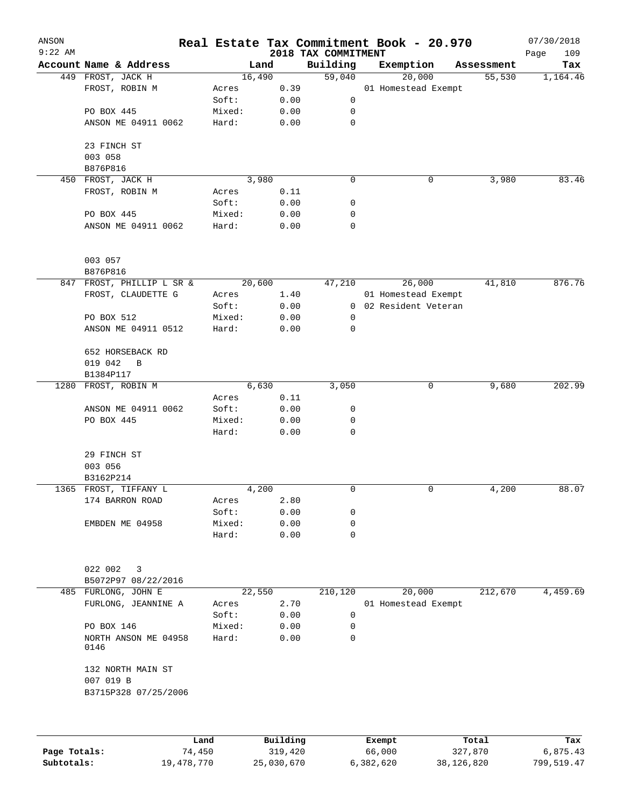| ANSON<br>$9:22$ AM |                                   |        |         | 2018 TAX COMMITMENT | Real Estate Tax Commitment Book - 20.970 |            | 07/30/2018<br>109 |
|--------------------|-----------------------------------|--------|---------|---------------------|------------------------------------------|------------|-------------------|
|                    | Account Name & Address            |        | Land    | Building            | Exemption                                | Assessment | Page<br>Tax       |
|                    | 449 FROST, JACK H                 |        | 16,490  | 59,040              | 20,000                                   | 55,530     | 1,164.46          |
|                    | FROST, ROBIN M                    | Acres  | 0.39    |                     | 01 Homestead Exempt                      |            |                   |
|                    |                                   | Soft:  | 0.00    | 0                   |                                          |            |                   |
|                    | PO BOX 445                        | Mixed: | 0.00    | 0                   |                                          |            |                   |
|                    | ANSON ME 04911 0062               | Hard:  | 0.00    | 0                   |                                          |            |                   |
|                    | 23 FINCH ST                       |        |         |                     |                                          |            |                   |
|                    | 003 058                           |        |         |                     |                                          |            |                   |
|                    | B876P816                          |        |         |                     |                                          |            |                   |
|                    | 450 FROST, JACK H                 |        | 3,980   | 0                   | 0                                        | 3,980      | 83.46             |
|                    | FROST, ROBIN M                    | Acres  | 0.11    |                     |                                          |            |                   |
|                    |                                   | Soft:  | 0.00    | 0                   |                                          |            |                   |
|                    | PO BOX 445                        | Mixed: | 0.00    | 0                   |                                          |            |                   |
|                    | ANSON ME 04911 0062               | Hard:  | 0.00    | 0                   |                                          |            |                   |
|                    | 003 057                           |        |         |                     |                                          |            |                   |
|                    | B876P816                          |        |         |                     |                                          |            |                   |
|                    | 847 FROST, PHILLIP L SR &         |        | 20,600  | 47,210              | 26,000                                   | 41,810     | 876.76            |
|                    | FROST, CLAUDETTE G                | Acres  | 1.40    |                     | 01 Homestead Exempt                      |            |                   |
|                    |                                   | Soft:  | 0.00    | $\overline{0}$      | 02 Resident Veteran                      |            |                   |
|                    | PO BOX 512                        | Mixed: | 0.00    | 0                   |                                          |            |                   |
|                    | ANSON ME 04911 0512               | Hard:  | 0.00    | 0                   |                                          |            |                   |
|                    | 652 HORSEBACK RD                  |        |         |                     |                                          |            |                   |
|                    | 019 042<br>B                      |        |         |                     |                                          |            |                   |
|                    | B1384P117                         |        |         |                     |                                          |            |                   |
|                    | 1280 FROST, ROBIN M               |        | 6,630   | 3,050               | 0                                        | 9,680      | 202.99            |
|                    |                                   | Acres  | 0.11    |                     |                                          |            |                   |
|                    | ANSON ME 04911 0062               | Soft:  | 0.00    | 0                   |                                          |            |                   |
|                    | PO BOX 445                        | Mixed: | 0.00    | 0                   |                                          |            |                   |
|                    |                                   | Hard:  | 0.00    | 0                   |                                          |            |                   |
|                    | 29 FINCH ST                       |        |         |                     |                                          |            |                   |
|                    | 003 056                           |        |         |                     |                                          |            |                   |
|                    | B3162P214                         |        |         |                     |                                          |            |                   |
|                    | 1365 FROST, TIFFANY L             |        | 4,200   | 0                   | 0                                        | 4,200      | 88.07             |
|                    | 174 BARRON ROAD                   | Acres  | 2.80    |                     |                                          |            |                   |
|                    |                                   | Soft:  | 0.00    | 0                   |                                          |            |                   |
|                    | EMBDEN ME 04958                   | Mixed: | 0.00    | 0                   |                                          |            |                   |
|                    |                                   | Hard:  | 0.00    | 0                   |                                          |            |                   |
|                    | 022 002<br>3                      |        |         |                     |                                          |            |                   |
|                    | B5072P97 08/22/2016               |        |         |                     |                                          |            |                   |
|                    | 485 FURLONG, JOHN E               |        | 22,550  | 210,120             | 20,000                                   | 212,670    | 4,459.69          |
|                    | FURLONG, JEANNINE A               | Acres  | 2.70    |                     | 01 Homestead Exempt                      |            |                   |
|                    |                                   | Soft:  | 0.00    | 0                   |                                          |            |                   |
|                    | PO BOX 146                        | Mixed: | 0.00    | 0                   |                                          |            |                   |
|                    | NORTH ANSON ME 04958<br>0146      | Hard:  | 0.00    | 0                   |                                          |            |                   |
|                    | 132 NORTH MAIN ST                 |        |         |                     |                                          |            |                   |
|                    | 007 019 B<br>B3715P328 07/25/2006 |        |         |                     |                                          |            |                   |
|                    |                                   |        |         |                     |                                          |            |                   |
|                    |                                   |        |         |                     |                                          |            |                   |
|                    |                                   |        | 2 T 2 2 |                     |                                          |            | m.                |

|              | Land       | Building   | Exempt    | Total      | Tax        |
|--------------|------------|------------|-----------|------------|------------|
| Page Totals: | 74,450     | 319,420    | 66,000    | 327,870    | 6,875.43   |
| Subtotals:   | 19,478,770 | 25,030,670 | 6,382,620 | 38,126,820 | 799,519.47 |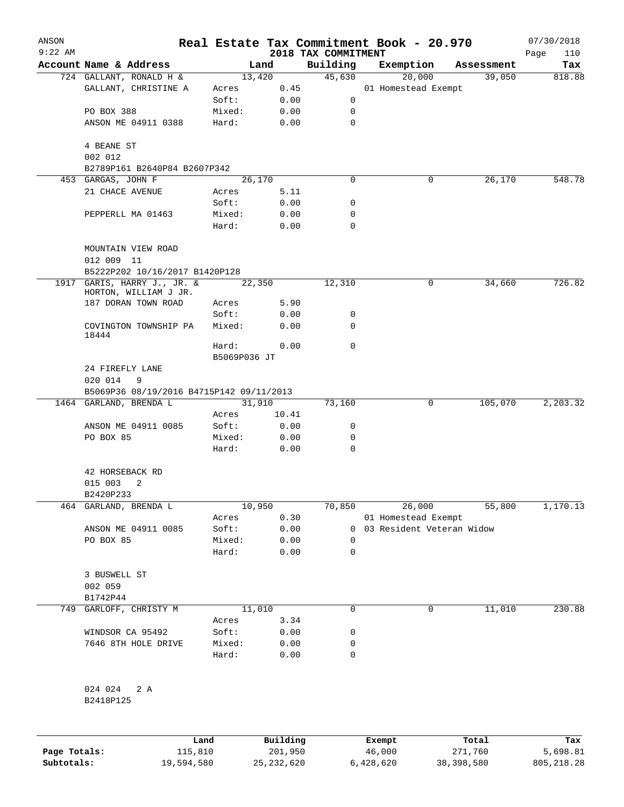| ANSON        |                                                      |                 |                |                     | Real Estate Tax Commitment Book - 20.970 |                      | 07/30/2018    |
|--------------|------------------------------------------------------|-----------------|----------------|---------------------|------------------------------------------|----------------------|---------------|
| $9:22$ AM    |                                                      |                 |                | 2018 TAX COMMITMENT |                                          |                      | 110<br>Page   |
|              | Account Name & Address<br>724 GALLANT, RONALD H &    |                 | Land<br>13,420 | Building<br>45,630  | Exemption                                | Assessment<br>39,050 | Tax<br>818.88 |
|              | GALLANT, CHRISTINE A                                 | Acres           | 0.45           |                     | 20,000<br>01 Homestead Exempt            |                      |               |
|              |                                                      | Soft:           | 0.00           | 0                   |                                          |                      |               |
|              | PO BOX 388                                           | Mixed:          | 0.00           | 0                   |                                          |                      |               |
|              | ANSON ME 04911 0388                                  | Hard:           | 0.00           | $\mathbf 0$         |                                          |                      |               |
|              | 4 BEANE ST                                           |                 |                |                     |                                          |                      |               |
|              | 002 012                                              |                 |                |                     |                                          |                      |               |
|              | B2789P161 B2640P84 B2607P342                         |                 |                |                     |                                          |                      |               |
|              | 453 GARGAS, JOHN F                                   |                 | 26,170         | $\Omega$            | 0                                        | 26,170               | 548.78        |
|              | 21 CHACE AVENUE                                      | Acres<br>Soft:  | 5.11<br>0.00   | 0                   |                                          |                      |               |
|              | PEPPERLL MA 01463                                    | Mixed:          | 0.00           | 0                   |                                          |                      |               |
|              |                                                      | Hard:           | 0.00           | $\Omega$            |                                          |                      |               |
|              | MOUNTAIN VIEW ROAD                                   |                 |                |                     |                                          |                      |               |
|              | 012 009 11                                           |                 |                |                     |                                          |                      |               |
|              | B5222P202 10/16/2017 B1420P128                       |                 |                |                     |                                          |                      |               |
|              | 1917 GARIS, HARRY J., JR. &<br>HORTON, WILLIAM J JR. |                 | 22,350         | 12,310              | 0                                        | 34,660               | 726.82        |
|              | 187 DORAN TOWN ROAD                                  | Acres           | 5.90           |                     |                                          |                      |               |
|              |                                                      | Soft:           | 0.00           | 0                   |                                          |                      |               |
|              | COVINGTON TOWNSHIP PA<br>18444                       | Mixed:          | 0.00           | $\Omega$            |                                          |                      |               |
|              |                                                      | Hard:           | 0.00           | 0                   |                                          |                      |               |
|              |                                                      | B5069P036 JT    |                |                     |                                          |                      |               |
|              | 24 FIREFLY LANE                                      |                 |                |                     |                                          |                      |               |
|              | 020 014<br>9                                         |                 |                |                     |                                          |                      |               |
|              | B5069P36 08/19/2016 B4715P142 09/11/2013             |                 |                |                     |                                          |                      |               |
|              | 1464 GARLAND, BRENDA L                               |                 | 31,910         | 73,160              | 0                                        | 105,070              | 2,203.32      |
|              |                                                      | Acres           | 10.41          |                     |                                          |                      |               |
|              | ANSON ME 04911 0085                                  | Soft:           | 0.00           | 0                   |                                          |                      |               |
|              | PO BOX 85                                            | Mixed:<br>Hard: | 0.00<br>0.00   | 0<br>0              |                                          |                      |               |
|              | 42 HORSEBACK RD                                      |                 |                |                     |                                          |                      |               |
|              | 015 003<br>2                                         |                 |                |                     |                                          |                      |               |
|              | B2420P233                                            |                 |                |                     |                                          |                      |               |
| 464          | GARLAND, BRENDA L                                    |                 | 10,950         | 70,850              | 26,000                                   | 55,800               | 1,170.13      |
|              |                                                      | Acres           | 0.30           |                     | 01 Homestead Exempt                      |                      |               |
|              | ANSON ME 04911 0085                                  | Soft:           | 0.00           | 0                   | 03 Resident Veteran Widow                |                      |               |
|              | PO BOX 85                                            | Mixed:          | 0.00           | 0                   |                                          |                      |               |
|              |                                                      | Hard:           | 0.00           | 0                   |                                          |                      |               |
|              | 3 BUSWELL ST                                         |                 |                |                     |                                          |                      |               |
|              | 002 059                                              |                 |                |                     |                                          |                      |               |
|              | B1742P44                                             |                 |                |                     |                                          |                      |               |
| 749          | GARLOFF, CHRISTY M                                   |                 | 11,010         | 0                   | 0                                        | 11,010               | 230.88        |
|              |                                                      | Acres           | 3.34           |                     |                                          |                      |               |
|              | WINDSOR CA 95492                                     | Soft:           | 0.00           | 0                   |                                          |                      |               |
|              | 7646 8TH HOLE DRIVE                                  | Mixed:          | 0.00           | 0                   |                                          |                      |               |
|              |                                                      | Hard:           | 0.00           | 0                   |                                          |                      |               |
|              | 024 024<br>2 A                                       |                 |                |                     |                                          |                      |               |
|              | B2418P125                                            |                 |                |                     |                                          |                      |               |
|              |                                                      | Land            | Building       |                     | Exempt                                   | Total                | Tax           |
| Page Totals: | 115,810                                              |                 | 201,950        |                     | 46,000                                   | 271,760              | 5,698.81      |
| Subtotals:   | 19,594,580                                           |                 | 25, 232, 620   |                     | 6,428,620                                | 38, 398, 580         | 805, 218.28   |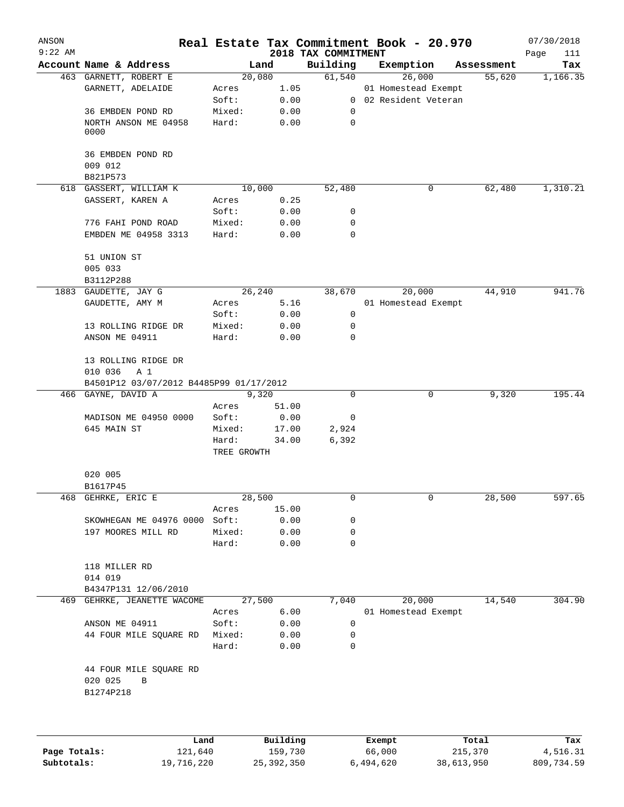| 2018 TAX COMMITMENT<br>Building<br>Account Name & Address<br>Land<br>Exemption<br>Assessment<br>Tax<br>20,080<br>61,540<br>26,000<br>1,166.35<br>463 GARNETT, ROBERT E<br>55,620<br>GARNETT, ADELAIDE<br>1.05<br>01 Homestead Exempt<br>Acres<br>Soft:<br>0.00<br>0 02 Resident Veteran<br>36 EMBDEN POND RD<br>Mixed:<br>0.00<br>0<br>Hard:<br>0.00<br>0<br>NORTH ANSON ME 04958<br>0000<br>36 EMBDEN POND RD<br>009 012<br>B821P573<br>1,310.21<br>618 GASSERT, WILLIAM K<br>10,000<br>52,480<br>0<br>62,480<br>GASSERT, KAREN A<br>0.25<br>Acres<br>Soft:<br>0.00<br>0<br>776 FAHI POND ROAD<br>Mixed:<br>0.00<br>0<br>EMBDEN ME 04958 3313<br>Hard:<br>0.00<br>0<br>51 UNION ST<br>005 033<br>B3112P288<br>20,000<br>GAUDETTE, JAY G<br>26, 240<br>38,670<br>44,910<br>1883<br>GAUDETTE, AMY M<br>5.16<br>Acres<br>01 Homestead Exempt<br>Soft:<br>0.00<br>0<br>13 ROLLING RIDGE DR<br>Mixed:<br>0.00<br>0<br>ANSON ME 04911<br>Hard:<br>0.00<br>0<br>13 ROLLING RIDGE DR<br>010 036<br>A 1<br>B4501P12 03/07/2012 B4485P99 01/17/2012<br>466 GAYNE, DAVID A<br>9,320<br>0<br>0<br>9,320<br>Acres<br>51.00<br>MADISON ME 04950 0000<br>Soft:<br>0.00<br>0<br>645 MAIN ST<br>Mixed:<br>2,924<br>17.00<br>6,392<br>Hard:<br>34.00<br>TREE GROWTH<br>020 005<br>B1617P45<br>468 GEHRKE, ERIC E<br>28,500<br>0<br>0<br>28,500<br>597.65<br>15.00<br>Acres<br>SKOWHEGAN ME 04976 0000 Soft:<br>0.00<br>0<br>197 MOORES MILL RD<br>Mixed:<br>0.00<br>0<br>Hard:<br>0.00<br>0<br>118 MILLER RD<br>014 019<br>B4347P131 12/06/2010<br>469 GEHRKE, JEANETTE WACOME<br>27,500<br>7,040<br>20,000<br>14,540<br>6.00<br>01 Homestead Exempt<br>Acres<br>ANSON ME 04911<br>Soft:<br>0.00<br>0<br>44 FOUR MILE SQUARE RD<br>Mixed:<br>0.00<br>$\Omega$<br>Hard:<br>0.00<br>0<br>44 FOUR MILE SQUARE RD<br>020 025<br>B<br>B1274P218<br>$D_{11}$ in $I$ in $\sim$<br><b>Tond</b><br>$T - - 1$<br>π-<br>$P$ <sub>re</sub> $m$ $+$ | ANSON<br>$9:22$ AM |  |  | Real Estate Tax Commitment Book - 20.970 | 07/30/2018  |
|-----------------------------------------------------------------------------------------------------------------------------------------------------------------------------------------------------------------------------------------------------------------------------------------------------------------------------------------------------------------------------------------------------------------------------------------------------------------------------------------------------------------------------------------------------------------------------------------------------------------------------------------------------------------------------------------------------------------------------------------------------------------------------------------------------------------------------------------------------------------------------------------------------------------------------------------------------------------------------------------------------------------------------------------------------------------------------------------------------------------------------------------------------------------------------------------------------------------------------------------------------------------------------------------------------------------------------------------------------------------------------------------------------------------------------------------------------------------------------------------------------------------------------------------------------------------------------------------------------------------------------------------------------------------------------------------------------------------------------------------------------------------------------------------------------------------------------------------------------------------------------------------------------------------------|--------------------|--|--|------------------------------------------|-------------|
|                                                                                                                                                                                                                                                                                                                                                                                                                                                                                                                                                                                                                                                                                                                                                                                                                                                                                                                                                                                                                                                                                                                                                                                                                                                                                                                                                                                                                                                                                                                                                                                                                                                                                                                                                                                                                                                                                                                       |                    |  |  |                                          | Page<br>111 |
|                                                                                                                                                                                                                                                                                                                                                                                                                                                                                                                                                                                                                                                                                                                                                                                                                                                                                                                                                                                                                                                                                                                                                                                                                                                                                                                                                                                                                                                                                                                                                                                                                                                                                                                                                                                                                                                                                                                       |                    |  |  |                                          |             |
|                                                                                                                                                                                                                                                                                                                                                                                                                                                                                                                                                                                                                                                                                                                                                                                                                                                                                                                                                                                                                                                                                                                                                                                                                                                                                                                                                                                                                                                                                                                                                                                                                                                                                                                                                                                                                                                                                                                       |                    |  |  |                                          |             |
|                                                                                                                                                                                                                                                                                                                                                                                                                                                                                                                                                                                                                                                                                                                                                                                                                                                                                                                                                                                                                                                                                                                                                                                                                                                                                                                                                                                                                                                                                                                                                                                                                                                                                                                                                                                                                                                                                                                       |                    |  |  |                                          |             |
|                                                                                                                                                                                                                                                                                                                                                                                                                                                                                                                                                                                                                                                                                                                                                                                                                                                                                                                                                                                                                                                                                                                                                                                                                                                                                                                                                                                                                                                                                                                                                                                                                                                                                                                                                                                                                                                                                                                       |                    |  |  |                                          |             |
|                                                                                                                                                                                                                                                                                                                                                                                                                                                                                                                                                                                                                                                                                                                                                                                                                                                                                                                                                                                                                                                                                                                                                                                                                                                                                                                                                                                                                                                                                                                                                                                                                                                                                                                                                                                                                                                                                                                       |                    |  |  |                                          |             |
|                                                                                                                                                                                                                                                                                                                                                                                                                                                                                                                                                                                                                                                                                                                                                                                                                                                                                                                                                                                                                                                                                                                                                                                                                                                                                                                                                                                                                                                                                                                                                                                                                                                                                                                                                                                                                                                                                                                       |                    |  |  |                                          |             |
|                                                                                                                                                                                                                                                                                                                                                                                                                                                                                                                                                                                                                                                                                                                                                                                                                                                                                                                                                                                                                                                                                                                                                                                                                                                                                                                                                                                                                                                                                                                                                                                                                                                                                                                                                                                                                                                                                                                       |                    |  |  |                                          |             |
|                                                                                                                                                                                                                                                                                                                                                                                                                                                                                                                                                                                                                                                                                                                                                                                                                                                                                                                                                                                                                                                                                                                                                                                                                                                                                                                                                                                                                                                                                                                                                                                                                                                                                                                                                                                                                                                                                                                       |                    |  |  |                                          |             |
|                                                                                                                                                                                                                                                                                                                                                                                                                                                                                                                                                                                                                                                                                                                                                                                                                                                                                                                                                                                                                                                                                                                                                                                                                                                                                                                                                                                                                                                                                                                                                                                                                                                                                                                                                                                                                                                                                                                       |                    |  |  |                                          |             |
|                                                                                                                                                                                                                                                                                                                                                                                                                                                                                                                                                                                                                                                                                                                                                                                                                                                                                                                                                                                                                                                                                                                                                                                                                                                                                                                                                                                                                                                                                                                                                                                                                                                                                                                                                                                                                                                                                                                       |                    |  |  |                                          |             |
|                                                                                                                                                                                                                                                                                                                                                                                                                                                                                                                                                                                                                                                                                                                                                                                                                                                                                                                                                                                                                                                                                                                                                                                                                                                                                                                                                                                                                                                                                                                                                                                                                                                                                                                                                                                                                                                                                                                       |                    |  |  |                                          |             |
|                                                                                                                                                                                                                                                                                                                                                                                                                                                                                                                                                                                                                                                                                                                                                                                                                                                                                                                                                                                                                                                                                                                                                                                                                                                                                                                                                                                                                                                                                                                                                                                                                                                                                                                                                                                                                                                                                                                       |                    |  |  |                                          |             |
|                                                                                                                                                                                                                                                                                                                                                                                                                                                                                                                                                                                                                                                                                                                                                                                                                                                                                                                                                                                                                                                                                                                                                                                                                                                                                                                                                                                                                                                                                                                                                                                                                                                                                                                                                                                                                                                                                                                       |                    |  |  |                                          |             |
|                                                                                                                                                                                                                                                                                                                                                                                                                                                                                                                                                                                                                                                                                                                                                                                                                                                                                                                                                                                                                                                                                                                                                                                                                                                                                                                                                                                                                                                                                                                                                                                                                                                                                                                                                                                                                                                                                                                       |                    |  |  |                                          |             |
|                                                                                                                                                                                                                                                                                                                                                                                                                                                                                                                                                                                                                                                                                                                                                                                                                                                                                                                                                                                                                                                                                                                                                                                                                                                                                                                                                                                                                                                                                                                                                                                                                                                                                                                                                                                                                                                                                                                       |                    |  |  |                                          | 941.76      |
|                                                                                                                                                                                                                                                                                                                                                                                                                                                                                                                                                                                                                                                                                                                                                                                                                                                                                                                                                                                                                                                                                                                                                                                                                                                                                                                                                                                                                                                                                                                                                                                                                                                                                                                                                                                                                                                                                                                       |                    |  |  |                                          |             |
|                                                                                                                                                                                                                                                                                                                                                                                                                                                                                                                                                                                                                                                                                                                                                                                                                                                                                                                                                                                                                                                                                                                                                                                                                                                                                                                                                                                                                                                                                                                                                                                                                                                                                                                                                                                                                                                                                                                       |                    |  |  |                                          |             |
|                                                                                                                                                                                                                                                                                                                                                                                                                                                                                                                                                                                                                                                                                                                                                                                                                                                                                                                                                                                                                                                                                                                                                                                                                                                                                                                                                                                                                                                                                                                                                                                                                                                                                                                                                                                                                                                                                                                       |                    |  |  |                                          |             |
|                                                                                                                                                                                                                                                                                                                                                                                                                                                                                                                                                                                                                                                                                                                                                                                                                                                                                                                                                                                                                                                                                                                                                                                                                                                                                                                                                                                                                                                                                                                                                                                                                                                                                                                                                                                                                                                                                                                       |                    |  |  |                                          |             |
|                                                                                                                                                                                                                                                                                                                                                                                                                                                                                                                                                                                                                                                                                                                                                                                                                                                                                                                                                                                                                                                                                                                                                                                                                                                                                                                                                                                                                                                                                                                                                                                                                                                                                                                                                                                                                                                                                                                       |                    |  |  |                                          |             |
|                                                                                                                                                                                                                                                                                                                                                                                                                                                                                                                                                                                                                                                                                                                                                                                                                                                                                                                                                                                                                                                                                                                                                                                                                                                                                                                                                                                                                                                                                                                                                                                                                                                                                                                                                                                                                                                                                                                       |                    |  |  |                                          |             |
|                                                                                                                                                                                                                                                                                                                                                                                                                                                                                                                                                                                                                                                                                                                                                                                                                                                                                                                                                                                                                                                                                                                                                                                                                                                                                                                                                                                                                                                                                                                                                                                                                                                                                                                                                                                                                                                                                                                       |                    |  |  |                                          | 195.44      |
|                                                                                                                                                                                                                                                                                                                                                                                                                                                                                                                                                                                                                                                                                                                                                                                                                                                                                                                                                                                                                                                                                                                                                                                                                                                                                                                                                                                                                                                                                                                                                                                                                                                                                                                                                                                                                                                                                                                       |                    |  |  |                                          |             |
|                                                                                                                                                                                                                                                                                                                                                                                                                                                                                                                                                                                                                                                                                                                                                                                                                                                                                                                                                                                                                                                                                                                                                                                                                                                                                                                                                                                                                                                                                                                                                                                                                                                                                                                                                                                                                                                                                                                       |                    |  |  |                                          |             |
|                                                                                                                                                                                                                                                                                                                                                                                                                                                                                                                                                                                                                                                                                                                                                                                                                                                                                                                                                                                                                                                                                                                                                                                                                                                                                                                                                                                                                                                                                                                                                                                                                                                                                                                                                                                                                                                                                                                       |                    |  |  |                                          |             |
|                                                                                                                                                                                                                                                                                                                                                                                                                                                                                                                                                                                                                                                                                                                                                                                                                                                                                                                                                                                                                                                                                                                                                                                                                                                                                                                                                                                                                                                                                                                                                                                                                                                                                                                                                                                                                                                                                                                       |                    |  |  |                                          |             |
|                                                                                                                                                                                                                                                                                                                                                                                                                                                                                                                                                                                                                                                                                                                                                                                                                                                                                                                                                                                                                                                                                                                                                                                                                                                                                                                                                                                                                                                                                                                                                                                                                                                                                                                                                                                                                                                                                                                       |                    |  |  |                                          |             |
|                                                                                                                                                                                                                                                                                                                                                                                                                                                                                                                                                                                                                                                                                                                                                                                                                                                                                                                                                                                                                                                                                                                                                                                                                                                                                                                                                                                                                                                                                                                                                                                                                                                                                                                                                                                                                                                                                                                       |                    |  |  |                                          |             |
|                                                                                                                                                                                                                                                                                                                                                                                                                                                                                                                                                                                                                                                                                                                                                                                                                                                                                                                                                                                                                                                                                                                                                                                                                                                                                                                                                                                                                                                                                                                                                                                                                                                                                                                                                                                                                                                                                                                       |                    |  |  |                                          |             |
|                                                                                                                                                                                                                                                                                                                                                                                                                                                                                                                                                                                                                                                                                                                                                                                                                                                                                                                                                                                                                                                                                                                                                                                                                                                                                                                                                                                                                                                                                                                                                                                                                                                                                                                                                                                                                                                                                                                       |                    |  |  |                                          |             |
|                                                                                                                                                                                                                                                                                                                                                                                                                                                                                                                                                                                                                                                                                                                                                                                                                                                                                                                                                                                                                                                                                                                                                                                                                                                                                                                                                                                                                                                                                                                                                                                                                                                                                                                                                                                                                                                                                                                       |                    |  |  |                                          |             |
|                                                                                                                                                                                                                                                                                                                                                                                                                                                                                                                                                                                                                                                                                                                                                                                                                                                                                                                                                                                                                                                                                                                                                                                                                                                                                                                                                                                                                                                                                                                                                                                                                                                                                                                                                                                                                                                                                                                       |                    |  |  |                                          |             |
|                                                                                                                                                                                                                                                                                                                                                                                                                                                                                                                                                                                                                                                                                                                                                                                                                                                                                                                                                                                                                                                                                                                                                                                                                                                                                                                                                                                                                                                                                                                                                                                                                                                                                                                                                                                                                                                                                                                       |                    |  |  |                                          |             |
|                                                                                                                                                                                                                                                                                                                                                                                                                                                                                                                                                                                                                                                                                                                                                                                                                                                                                                                                                                                                                                                                                                                                                                                                                                                                                                                                                                                                                                                                                                                                                                                                                                                                                                                                                                                                                                                                                                                       |                    |  |  |                                          |             |
|                                                                                                                                                                                                                                                                                                                                                                                                                                                                                                                                                                                                                                                                                                                                                                                                                                                                                                                                                                                                                                                                                                                                                                                                                                                                                                                                                                                                                                                                                                                                                                                                                                                                                                                                                                                                                                                                                                                       |                    |  |  |                                          |             |
|                                                                                                                                                                                                                                                                                                                                                                                                                                                                                                                                                                                                                                                                                                                                                                                                                                                                                                                                                                                                                                                                                                                                                                                                                                                                                                                                                                                                                                                                                                                                                                                                                                                                                                                                                                                                                                                                                                                       |                    |  |  |                                          | 304.90      |
|                                                                                                                                                                                                                                                                                                                                                                                                                                                                                                                                                                                                                                                                                                                                                                                                                                                                                                                                                                                                                                                                                                                                                                                                                                                                                                                                                                                                                                                                                                                                                                                                                                                                                                                                                                                                                                                                                                                       |                    |  |  |                                          |             |
|                                                                                                                                                                                                                                                                                                                                                                                                                                                                                                                                                                                                                                                                                                                                                                                                                                                                                                                                                                                                                                                                                                                                                                                                                                                                                                                                                                                                                                                                                                                                                                                                                                                                                                                                                                                                                                                                                                                       |                    |  |  |                                          |             |
|                                                                                                                                                                                                                                                                                                                                                                                                                                                                                                                                                                                                                                                                                                                                                                                                                                                                                                                                                                                                                                                                                                                                                                                                                                                                                                                                                                                                                                                                                                                                                                                                                                                                                                                                                                                                                                                                                                                       |                    |  |  |                                          |             |
|                                                                                                                                                                                                                                                                                                                                                                                                                                                                                                                                                                                                                                                                                                                                                                                                                                                                                                                                                                                                                                                                                                                                                                                                                                                                                                                                                                                                                                                                                                                                                                                                                                                                                                                                                                                                                                                                                                                       |                    |  |  |                                          |             |
|                                                                                                                                                                                                                                                                                                                                                                                                                                                                                                                                                                                                                                                                                                                                                                                                                                                                                                                                                                                                                                                                                                                                                                                                                                                                                                                                                                                                                                                                                                                                                                                                                                                                                                                                                                                                                                                                                                                       |                    |  |  |                                          |             |
|                                                                                                                                                                                                                                                                                                                                                                                                                                                                                                                                                                                                                                                                                                                                                                                                                                                                                                                                                                                                                                                                                                                                                                                                                                                                                                                                                                                                                                                                                                                                                                                                                                                                                                                                                                                                                                                                                                                       |                    |  |  |                                          |             |
|                                                                                                                                                                                                                                                                                                                                                                                                                                                                                                                                                                                                                                                                                                                                                                                                                                                                                                                                                                                                                                                                                                                                                                                                                                                                                                                                                                                                                                                                                                                                                                                                                                                                                                                                                                                                                                                                                                                       |                    |  |  |                                          |             |

|              | Land       | Building   | Exempt    | Total      | Tax        |
|--------------|------------|------------|-----------|------------|------------|
| Page Totals: | 121,640    | 159,730    | 66,000    | 215,370    | 4,516.31   |
| Subtotals:   | 19,716,220 | 25,392,350 | 6,494,620 | 38,613,950 | 809,734.59 |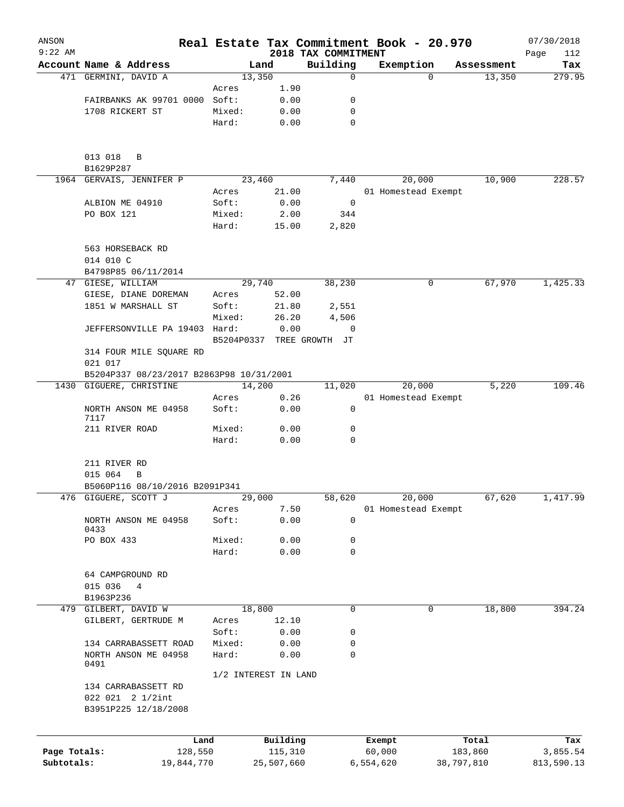| ANSON<br>$9:22$ AM |                                                                 |                 |                      | Real Estate Tax Commitment Book - 20.970 |                     |          |            | 07/30/2018         |
|--------------------|-----------------------------------------------------------------|-----------------|----------------------|------------------------------------------|---------------------|----------|------------|--------------------|
|                    | Account Name & Address                                          |                 | Land                 | 2018 TAX COMMITMENT<br>Building          | Exemption           |          | Assessment | Page<br>112<br>Tax |
|                    | 471 GERMINI, DAVID A                                            |                 | 13,350               | 0                                        |                     | $\Omega$ | 13,350     | 279.95             |
|                    |                                                                 | Acres           | 1.90                 |                                          |                     |          |            |                    |
|                    | FAIRBANKS AK 99701 0000                                         | Soft:           | 0.00                 | 0                                        |                     |          |            |                    |
|                    | 1708 RICKERT ST                                                 | Mixed:          | 0.00                 | 0                                        |                     |          |            |                    |
|                    |                                                                 | Hard:           | 0.00                 | 0                                        |                     |          |            |                    |
|                    | 013 018<br>B                                                    |                 |                      |                                          |                     |          |            |                    |
|                    | B1629P287                                                       |                 |                      |                                          |                     |          |            |                    |
|                    | 1964 GERVAIS, JENNIFER P                                        |                 | 23,460               | 7,440                                    |                     | 20,000   | 10,900     | 228.57             |
|                    |                                                                 | Acres           | 21.00                |                                          | 01 Homestead Exempt |          |            |                    |
|                    | ALBION ME 04910                                                 | Soft:           | 0.00                 | $\overline{0}$                           |                     |          |            |                    |
|                    | PO BOX 121                                                      | Mixed:<br>Hard: | 2.00<br>15.00        | 344<br>2,820                             |                     |          |            |                    |
|                    | 563 HORSEBACK RD                                                |                 |                      |                                          |                     |          |            |                    |
|                    | 014 010 C                                                       |                 |                      |                                          |                     |          |            |                    |
|                    | B4798P85 06/11/2014                                             |                 |                      |                                          |                     |          |            |                    |
|                    | 47 GIESE, WILLIAM                                               |                 | 29,740               | 38,230                                   |                     | 0        | 67,970     | 1,425.33           |
|                    | GIESE, DIANE DOREMAN                                            | Acres           | 52.00                |                                          |                     |          |            |                    |
|                    | 1851 W MARSHALL ST                                              | Soft:           | 21.80                | 2,551                                    |                     |          |            |                    |
|                    |                                                                 | Mixed:          | 26.20                | 4,506                                    |                     |          |            |                    |
|                    | JEFFERSONVILLE PA 19403 Hard:                                   |                 | 0.00                 | 0                                        |                     |          |            |                    |
|                    | 314 FOUR MILE SQUARE RD<br>021 017                              | B5204P0337      |                      | TREE GROWTH JT                           |                     |          |            |                    |
|                    | B5204P337 08/23/2017 B2863P98 10/31/2001                        |                 |                      |                                          |                     |          |            |                    |
|                    | 1430 GIGUERE, CHRISTINE                                         |                 | 14,200               | 11,020                                   |                     | 20,000   | 5,220      | 109.46             |
|                    |                                                                 | Acres           | 0.26                 |                                          | 01 Homestead Exempt |          |            |                    |
|                    | NORTH ANSON ME 04958<br>7117                                    | Soft:           | 0.00                 | 0                                        |                     |          |            |                    |
|                    | 211 RIVER ROAD                                                  | Mixed:          | 0.00                 | 0                                        |                     |          |            |                    |
|                    |                                                                 | Hard:           | 0.00                 | 0                                        |                     |          |            |                    |
|                    | 211 RIVER RD<br>015 064<br>В                                    |                 |                      |                                          |                     |          |            |                    |
|                    | B5060P116 08/10/2016 B2091P341                                  |                 |                      |                                          |                     |          |            |                    |
|                    | 476 GIGUERE, SCOTT J                                            |                 | 29,000               | 58,620                                   |                     | 20,000   | 67,620     | 1,417.99           |
|                    | NORTH ANSON ME 04958<br>0433                                    | Acres<br>Soft:  | 7.50<br>0.00         | 0                                        | 01 Homestead Exempt |          |            |                    |
|                    | PO BOX 433                                                      | Mixed:          | 0.00                 | 0                                        |                     |          |            |                    |
|                    |                                                                 | Hard:           | 0.00                 | 0                                        |                     |          |            |                    |
|                    | 64 CAMPGROUND RD                                                |                 |                      |                                          |                     |          |            |                    |
|                    | 015 036<br>4                                                    |                 |                      |                                          |                     |          |            |                    |
|                    | B1963P236                                                       |                 |                      |                                          |                     |          |            |                    |
|                    | 479 GILBERT, DAVID W                                            |                 | 18,800               | 0                                        |                     | 0        | 18,800     | 394.24             |
|                    | GILBERT, GERTRUDE M                                             | Acres           | 12.10                |                                          |                     |          |            |                    |
|                    |                                                                 | Soft:           | 0.00                 | 0                                        |                     |          |            |                    |
|                    | 134 CARRABASSETT ROAD                                           | Mixed:          | 0.00                 | 0                                        |                     |          |            |                    |
|                    | NORTH ANSON ME 04958<br>0491                                    | Hard:           | 0.00                 | 0                                        |                     |          |            |                    |
|                    |                                                                 |                 | 1/2 INTEREST IN LAND |                                          |                     |          |            |                    |
|                    | 134 CARRABASSETT RD<br>022 021 2 1/2int<br>B3951P225 12/18/2008 |                 |                      |                                          |                     |          |            |                    |
|                    | Land                                                            |                 | Building             |                                          | Exempt              |          | Total      | Tax                |
| Page Totals:       | 128,550                                                         |                 | 115,310              |                                          | 60,000              |          | 183,860    | 3,855.54           |
| Subtotals:         | 19,844,770                                                      |                 | 25,507,660           |                                          | 6,554,620           |          | 38,797,810 | 813,590.13         |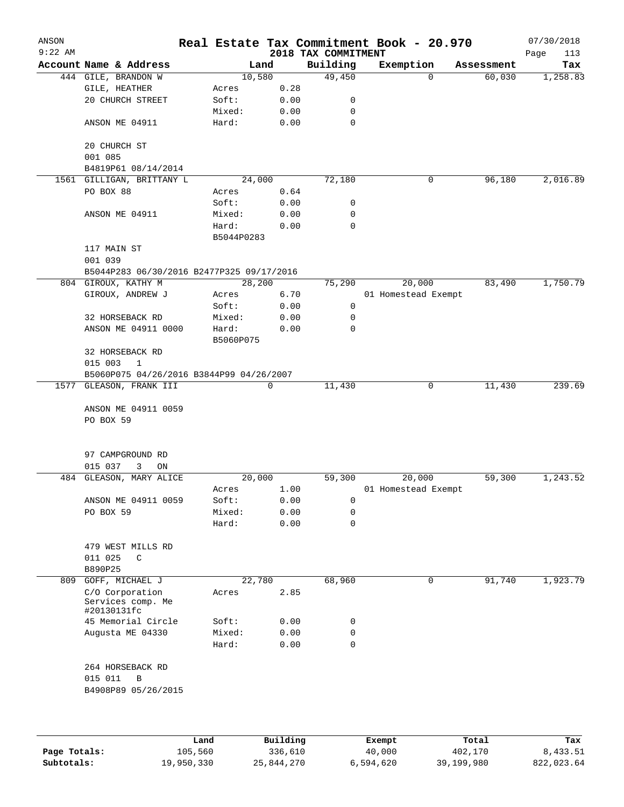| ANSON<br>$9:22$ AM |                                                     |            |             | 2018 TAX COMMITMENT | Real Estate Tax Commitment Book - 20.970 |            | 07/30/2018<br>Page<br>113 |
|--------------------|-----------------------------------------------------|------------|-------------|---------------------|------------------------------------------|------------|---------------------------|
|                    | Account Name & Address                              |            | Land        | Building            | Exemption                                | Assessment | Tax                       |
|                    | 444 GILE, BRANDON W                                 | 10,580     |             | 49,450              | $\Omega$                                 | 60,030     | 1,258.83                  |
|                    | GILE, HEATHER                                       | Acres      | 0.28        |                     |                                          |            |                           |
|                    | 20 CHURCH STREET                                    | Soft:      | 0.00        | 0                   |                                          |            |                           |
|                    |                                                     | Mixed:     | 0.00        | 0                   |                                          |            |                           |
|                    | ANSON ME 04911                                      | Hard:      | 0.00        | $\mathbf 0$         |                                          |            |                           |
|                    | 20 CHURCH ST<br>001 085                             |            |             |                     |                                          |            |                           |
|                    | B4819P61 08/14/2014                                 |            |             |                     |                                          |            |                           |
|                    | 1561 GILLIGAN, BRITTANY L                           | 24,000     |             | 72,180              | 0                                        | 96,180     | 2,016.89                  |
|                    | PO BOX 88                                           | Acres      | 0.64        |                     |                                          |            |                           |
|                    |                                                     | Soft:      | 0.00        | 0                   |                                          |            |                           |
|                    | ANSON ME 04911                                      | Mixed:     | 0.00        | 0                   |                                          |            |                           |
|                    |                                                     | Hard:      | 0.00        | 0                   |                                          |            |                           |
|                    |                                                     | B5044P0283 |             |                     |                                          |            |                           |
|                    | 117 MAIN ST<br>001 039                              |            |             |                     |                                          |            |                           |
|                    | B5044P283 06/30/2016 B2477P325 09/17/2016           |            |             |                     |                                          |            |                           |
|                    | 804 GIROUX, KATHY M                                 | 28,200     |             | 75,290              | 20,000                                   | 83,490     | 1,750.79                  |
|                    | GIROUX, ANDREW J                                    | Acres      | 6.70        |                     | 01 Homestead Exempt                      |            |                           |
|                    |                                                     | Soft:      | 0.00        | 0                   |                                          |            |                           |
|                    | 32 HORSEBACK RD                                     | Mixed:     | 0.00        | 0                   |                                          |            |                           |
|                    | ANSON ME 04911 0000                                 | Hard:      | 0.00        | $\mathbf 0$         |                                          |            |                           |
|                    |                                                     | B5060P075  |             |                     |                                          |            |                           |
|                    | 32 HORSEBACK RD                                     |            |             |                     |                                          |            |                           |
|                    | 015 003<br>$\mathbf{1}$                             |            |             |                     |                                          |            |                           |
|                    | B5060P075 04/26/2016 B3844P99 04/26/2007            |            |             |                     |                                          |            |                           |
|                    | 1577 GLEASON, FRANK III                             |            | $\mathbf 0$ | 11,430              | 0                                        | 11,430     | 239.69                    |
|                    | ANSON ME 04911 0059<br>PO BOX 59                    |            |             |                     |                                          |            |                           |
|                    | 97 CAMPGROUND RD<br>015 037<br>3<br>ON              |            |             |                     |                                          |            |                           |
|                    | 484 GLEASON, MARY ALICE                             | 20,000     |             | 59,300              | 20,000                                   | 59,300     | 1,243.52                  |
|                    |                                                     | Acres      | 1.00        |                     | 01 Homestead Exempt                      |            |                           |
|                    | ANSON ME 04911 0059                                 | Soft:      | 0.00        | 0                   |                                          |            |                           |
|                    | PO BOX 59                                           | Mixed:     | 0.00        | 0                   |                                          |            |                           |
|                    |                                                     | Hard:      | 0.00        | $\mathbf 0$         |                                          |            |                           |
|                    | 479 WEST MILLS RD                                   |            |             |                     |                                          |            |                           |
|                    | 011 025<br>C                                        |            |             |                     |                                          |            |                           |
|                    | B890P25                                             |            |             |                     |                                          |            |                           |
|                    | 809 GOFF, MICHAEL J                                 | 22,780     |             | 68,960              | 0                                        | 91,740     | 1,923.79                  |
|                    | C/O Corporation<br>Services comp. Me<br>#20130131fc | Acres      | 2.85        |                     |                                          |            |                           |
|                    |                                                     |            |             |                     |                                          |            |                           |
|                    | 45 Memorial Circle                                  | Soft:      | 0.00        | 0                   |                                          |            |                           |
|                    | Augusta ME 04330                                    | Mixed:     | 0.00        | 0                   |                                          |            |                           |
|                    |                                                     | Hard:      | 0.00        | $\mathbf 0$         |                                          |            |                           |
|                    | 264 HORSEBACK RD                                    |            |             |                     |                                          |            |                           |
|                    | 015 011<br>B                                        |            |             |                     |                                          |            |                           |
|                    | B4908P89 05/26/2015                                 |            |             |                     |                                          |            |                           |
|                    |                                                     |            |             |                     |                                          |            |                           |
|                    |                                                     |            |             |                     |                                          |            |                           |

|              | Land       | Building   | Exempt    | Total      | Tax        |
|--------------|------------|------------|-----------|------------|------------|
| Page Totals: | 105,560    | 336,610    | 40,000    | 402,170    | 8,433.51   |
| Subtotals:   | 19,950,330 | 25,844,270 | 6,594,620 | 39,199,980 | 822,023.64 |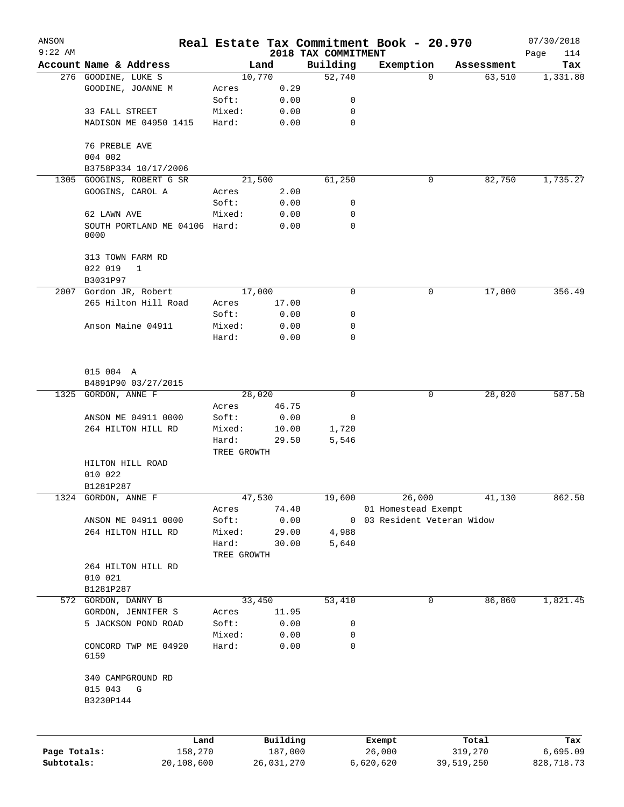| ANSON<br>$9:22$ AM         |                                                      |                       |             |               |                                 | Real Estate Tax Commitment Book - 20.970           |                       | 07/30/2018             |
|----------------------------|------------------------------------------------------|-----------------------|-------------|---------------|---------------------------------|----------------------------------------------------|-----------------------|------------------------|
|                            | Account Name & Address                               |                       | Land        |               | 2018 TAX COMMITMENT<br>Building | Exemption                                          | Assessment            | Page<br>114<br>Tax     |
|                            | 276 GOODINE, LUKE S                                  |                       | 10,770      |               | 52,740                          | $\Omega$                                           | 63,510                | 1,331.80               |
|                            | GOODINE, JOANNE M                                    | Acres                 |             | 0.29          |                                 |                                                    |                       |                        |
|                            |                                                      | Soft:                 |             | 0.00          | 0                               |                                                    |                       |                        |
|                            | 33 FALL STREET                                       | Mixed:                |             | 0.00          | $\mathbf 0$                     |                                                    |                       |                        |
|                            | MADISON ME 04950 1415                                | Hard:                 |             | 0.00          | $\mathbf 0$                     |                                                    |                       |                        |
|                            | 76 PREBLE AVE                                        |                       |             |               |                                 |                                                    |                       |                        |
|                            | 004 002                                              |                       |             |               |                                 |                                                    |                       |                        |
|                            | B3758P334 10/17/2006                                 |                       |             |               |                                 |                                                    |                       |                        |
| 1305                       | GOOGINS, ROBERT G SR                                 |                       | 21,500      |               | 61,250                          | 0                                                  | 82,750                | 1,735.27               |
|                            | GOOGINS, CAROL A                                     | Acres                 |             | 2.00          |                                 |                                                    |                       |                        |
|                            |                                                      | Soft:                 |             | 0.00          | 0                               |                                                    |                       |                        |
|                            | 62 LAWN AVE<br>SOUTH PORTLAND ME 04106 Hard:<br>0000 | Mixed:                |             | 0.00<br>0.00  | 0<br>0                          |                                                    |                       |                        |
|                            | 313 TOWN FARM RD<br>022 019<br>1<br>B3031P97         |                       |             |               |                                 |                                                    |                       |                        |
|                            | 2007 Gordon JR, Robert                               |                       | 17,000      |               | $\mathbf 0$                     | 0                                                  | 17,000                | 356.49                 |
|                            | 265 Hilton Hill Road                                 | Acres                 |             | 17.00         |                                 |                                                    |                       |                        |
|                            |                                                      | Soft:                 |             | 0.00          | 0                               |                                                    |                       |                        |
|                            | Anson Maine 04911                                    | Mixed:<br>Hard:       |             | 0.00<br>0.00  | 0<br>0                          |                                                    |                       |                        |
|                            | 015 004 A                                            |                       |             |               |                                 |                                                    |                       |                        |
|                            | B4891P90 03/27/2015                                  |                       |             |               |                                 |                                                    |                       |                        |
|                            | 1325 GORDON, ANNE F                                  |                       | 28,020      |               | 0                               | 0                                                  | 28,020                | 587.58                 |
|                            |                                                      | Acres                 |             | 46.75         |                                 |                                                    |                       |                        |
|                            | ANSON ME 04911 0000<br>264 HILTON HILL RD            | Soft:<br>Mixed:       |             | 0.00<br>10.00 | 0<br>1,720                      |                                                    |                       |                        |
|                            |                                                      | Hard:                 |             | 29.50         | 5,546                           |                                                    |                       |                        |
|                            | HILTON HILL ROAD                                     |                       | TREE GROWTH |               |                                 |                                                    |                       |                        |
|                            | 010 022                                              |                       |             |               |                                 |                                                    |                       |                        |
|                            | B1281P287                                            |                       |             |               |                                 |                                                    |                       |                        |
|                            | 1324 GORDON, ANNE F                                  |                       | 47,530      |               | 19,600                          | 26,000                                             | 41,130                | 862.50                 |
|                            | ANSON ME 04911 0000                                  | Acres<br>Soft:        |             | 74.40<br>0.00 |                                 | 01 Homestead Exempt<br>0 03 Resident Veteran Widow |                       |                        |
|                            | 264 HILTON HILL RD                                   | Mixed:                |             | 29.00         | 4,988                           |                                                    |                       |                        |
|                            |                                                      | Hard:                 |             | 30.00         | 5,640                           |                                                    |                       |                        |
|                            |                                                      |                       | TREE GROWTH |               |                                 |                                                    |                       |                        |
|                            | 264 HILTON HILL RD                                   |                       |             |               |                                 |                                                    |                       |                        |
|                            | 010 021<br>B1281P287                                 |                       |             |               |                                 |                                                    |                       |                        |
|                            | 572 GORDON, DANNY B                                  |                       | 33,450      |               | 53,410                          | 0                                                  | 86,860                | 1,821.45               |
|                            | GORDON, JENNIFER S                                   | Acres                 |             | 11.95         |                                 |                                                    |                       |                        |
|                            | 5 JACKSON POND ROAD                                  | Soft:                 |             | 0.00          | 0                               |                                                    |                       |                        |
|                            |                                                      | Mixed:                |             | 0.00          | 0                               |                                                    |                       |                        |
|                            | CONCORD TWP ME 04920<br>6159                         | Hard:                 |             | 0.00          | $\mathbf 0$                     |                                                    |                       |                        |
|                            | 340 CAMPGROUND RD<br>015 043<br>G<br>B3230P144       |                       |             |               |                                 |                                                    |                       |                        |
|                            |                                                      |                       |             |               |                                 |                                                    |                       |                        |
|                            |                                                      | Land                  |             | Building      |                                 | Exempt                                             | Total                 | Tax                    |
| Page Totals:<br>Subtotals: |                                                      | 158,270<br>20,108,600 | 26,031,270  | 187,000       |                                 | 26,000<br>6,620,620                                | 319,270<br>39,519,250 | 6,695.09<br>828,718.73 |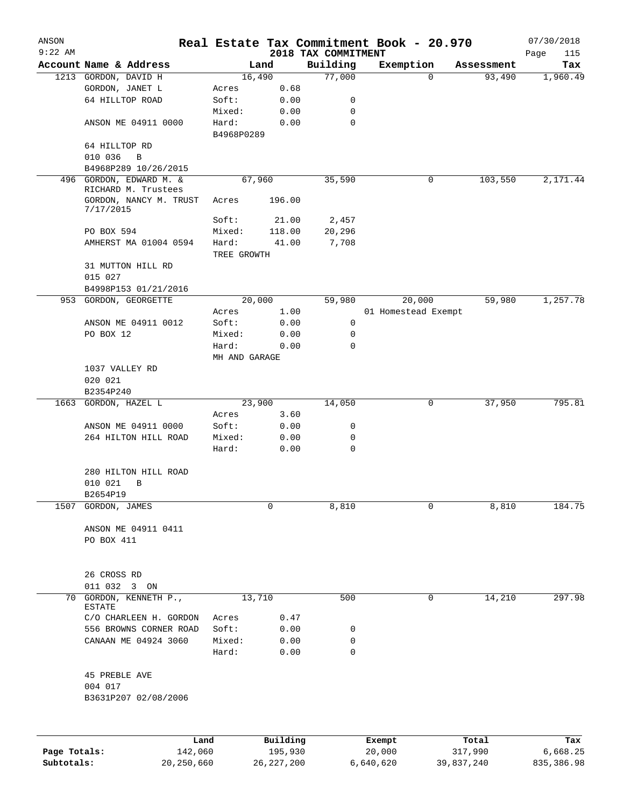| ANSON        |                                                |                      |                |                     | Real Estate Tax Commitment Book - 20.970 |                           | 07/30/2018      |
|--------------|------------------------------------------------|----------------------|----------------|---------------------|------------------------------------------|---------------------------|-----------------|
| $9:22$ AM    |                                                |                      |                | 2018 TAX COMMITMENT |                                          |                           | Page<br>115     |
|              | Account Name & Address<br>1213 GORDON, DAVID H |                      | Land<br>16,490 | Building<br>77,000  | Exemption                                | Assessment<br>93,490<br>0 | Tax<br>1,960.49 |
|              | GORDON, JANET L                                | Acres                | 0.68           |                     |                                          |                           |                 |
|              | 64 HILLTOP ROAD                                | Soft:                | 0.00           | 0                   |                                          |                           |                 |
|              |                                                | Mixed:               | 0.00           | 0                   |                                          |                           |                 |
|              | ANSON ME 04911 0000                            | Hard:<br>B4968P0289  | 0.00           | 0                   |                                          |                           |                 |
|              | 64 HILLTOP RD                                  |                      |                |                     |                                          |                           |                 |
|              | 010 036<br>B                                   |                      |                |                     |                                          |                           |                 |
|              | B4968P289 10/26/2015                           |                      |                |                     |                                          |                           |                 |
|              | 496 GORDON, EDWARD M. &<br>RICHARD M. Trustees |                      | 67,960         | 35,590              |                                          | 103,550<br>$\mathbf 0$    | 2,171.44        |
|              | GORDON, NANCY M. TRUST<br>7/17/2015            | Acres                | 196.00         |                     |                                          |                           |                 |
|              |                                                | Soft:                | 21.00          | 2,457               |                                          |                           |                 |
|              | PO BOX 594                                     | Mixed:               | 118.00         | 20,296              |                                          |                           |                 |
|              | AMHERST MA 01004 0594                          | Hard:<br>TREE GROWTH | 41.00          | 7,708               |                                          |                           |                 |
|              | 31 MUTTON HILL RD<br>015 027                   |                      |                |                     |                                          |                           |                 |
|              | B4998P153 01/21/2016                           |                      |                |                     |                                          |                           |                 |
|              | 953 GORDON, GEORGETTE                          |                      | 20,000         | 59,980              | 20,000                                   | 59,980                    | 1,257.78        |
|              |                                                | Acres                | 1.00           |                     | 01 Homestead Exempt                      |                           |                 |
|              | ANSON ME 04911 0012                            | Soft:                | 0.00           | 0                   |                                          |                           |                 |
|              | PO BOX 12                                      | Mixed:               | 0.00           | 0                   |                                          |                           |                 |
|              |                                                | Hard:                | 0.00           | 0                   |                                          |                           |                 |
|              |                                                |                      | MH AND GARAGE  |                     |                                          |                           |                 |
|              | 1037 VALLEY RD                                 |                      |                |                     |                                          |                           |                 |
|              | 020 021                                        |                      |                |                     |                                          |                           |                 |
|              | B2354P240                                      |                      |                |                     |                                          |                           |                 |
|              | 1663 GORDON, HAZEL L                           |                      | 23,900         | 14,050              |                                          | 37,950<br>0               | 795.81          |
|              |                                                | Acres                | 3.60           |                     |                                          |                           |                 |
|              | ANSON ME 04911 0000                            | Soft:                | 0.00           | 0                   |                                          |                           |                 |
|              | 264 HILTON HILL ROAD                           | Mixed:               | 0.00           | 0                   |                                          |                           |                 |
|              |                                                | Hard:                | 0.00           | 0                   |                                          |                           |                 |
|              | 280 HILTON HILL ROAD<br>010 021<br>B           |                      |                |                     |                                          |                           |                 |
|              | B2654P19                                       |                      |                |                     |                                          |                           |                 |
| 1507         | GORDON, JAMES                                  |                      | 0              | 8,810               |                                          | 0<br>8,810                | 184.75          |
|              | ANSON ME 04911 0411<br>PO BOX 411              |                      |                |                     |                                          |                           |                 |
|              |                                                |                      |                |                     |                                          |                           |                 |
|              | 26 CROSS RD                                    |                      |                |                     |                                          |                           |                 |
|              | 011 032<br>$3$ ON                              |                      |                |                     |                                          |                           |                 |
| 70           | GORDON, KENNETH P.,<br><b>ESTATE</b>           |                      | 13,710         | 500                 |                                          | 14,210<br>$\mathbf 0$     | 297.98          |
|              | C/O CHARLEEN H. GORDON                         | Acres                | 0.47           |                     |                                          |                           |                 |
|              | 556 BROWNS CORNER ROAD                         | Soft:                | 0.00           | 0                   |                                          |                           |                 |
|              | CANAAN ME 04924 3060                           | Mixed:<br>Hard:      | 0.00<br>0.00   | 0<br>0              |                                          |                           |                 |
|              |                                                |                      |                |                     |                                          |                           |                 |
|              | 45 PREBLE AVE<br>004 017                       |                      |                |                     |                                          |                           |                 |
|              | B3631P207 02/08/2006                           |                      |                |                     |                                          |                           |                 |
|              |                                                |                      |                |                     |                                          |                           |                 |
|              |                                                | Land                 | Building       |                     | Exempt                                   | Total                     | Tax             |
| Page Totals: |                                                | 142,060              | 195,930        |                     | 20,000                                   | 317,990                   | 6,668.25        |
| Subtotals:   | 20, 250, 660                                   |                      | 26, 227, 200   |                     | 6,640,620                                | 39,837,240                | 835, 386.98     |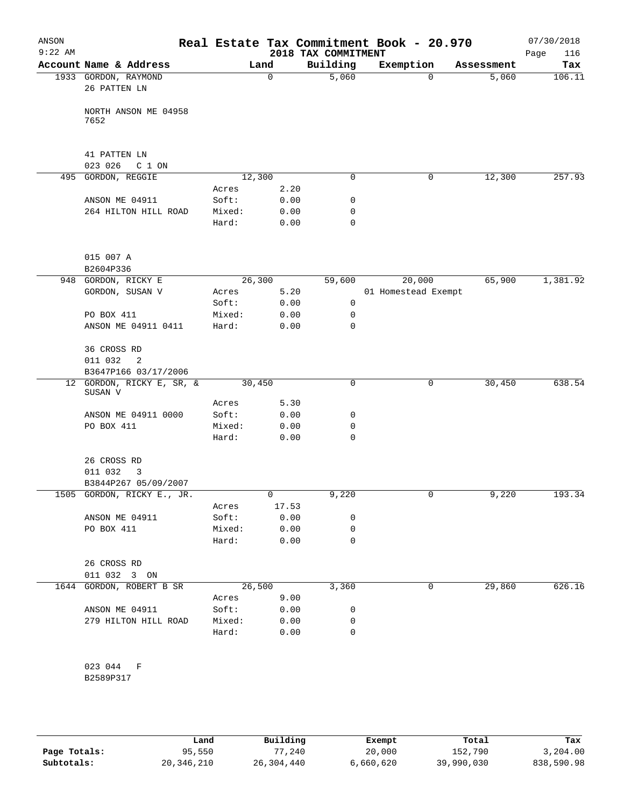| ANSON<br>$9:22$ AM |                                                    |                 |              | 2018 TAX COMMITMENT | Real Estate Tax Commitment Book - 20.970 |          |            | 07/30/2018<br>116<br>Page |
|--------------------|----------------------------------------------------|-----------------|--------------|---------------------|------------------------------------------|----------|------------|---------------------------|
|                    | Account Name & Address                             |                 | Land         | Building            | Exemption                                |          | Assessment | Tax                       |
|                    | 1933 GORDON, RAYMOND<br>26 PATTEN LN               |                 | $\mathbf 0$  | 5,060               |                                          | $\Omega$ | 5,060      | 106.11                    |
|                    | NORTH ANSON ME 04958<br>7652                       |                 |              |                     |                                          |          |            |                           |
|                    |                                                    |                 |              |                     |                                          |          |            |                           |
|                    | 41 PATTEN LN<br>023 026<br>C 1 ON                  |                 |              |                     |                                          |          |            |                           |
|                    | 495 GORDON, REGGIE                                 | 12,300          |              | 0                   |                                          | 0        | 12,300     | 257.93                    |
|                    |                                                    | Acres           | 2.20         |                     |                                          |          |            |                           |
|                    | ANSON ME 04911                                     | Soft:           | 0.00         | 0                   |                                          |          |            |                           |
|                    | 264 HILTON HILL ROAD                               | Mixed:          | 0.00         | 0                   |                                          |          |            |                           |
|                    |                                                    | Hard:           | 0.00         | 0                   |                                          |          |            |                           |
|                    | 015 007 A<br>B2604P336                             |                 |              |                     |                                          |          |            |                           |
|                    | 948 GORDON, RICKY E                                | 26,300          |              | 59,600              | 20,000                                   |          | 65,900     | 1,381.92                  |
|                    | GORDON, SUSAN V                                    | Acres           | 5.20         |                     | 01 Homestead Exempt                      |          |            |                           |
|                    |                                                    | Soft:           | 0.00         | 0                   |                                          |          |            |                           |
|                    | PO BOX 411                                         | Mixed:          | 0.00         | 0                   |                                          |          |            |                           |
|                    | ANSON ME 04911 0411                                | Hard:           | 0.00         | 0                   |                                          |          |            |                           |
|                    | 36 CROSS RD                                        |                 |              |                     |                                          |          |            |                           |
|                    | 011 032<br>2<br>B3647P166 03/17/2006               |                 |              |                     |                                          |          |            |                           |
|                    | 12 GORDON, RICKY E, SR, &<br>SUSAN V               | 30,450          |              | 0                   |                                          | 0        | 30,450     | 638.54                    |
|                    |                                                    | Acres           | 5.30         |                     |                                          |          |            |                           |
|                    | ANSON ME 04911 0000                                | Soft:           | 0.00         | 0                   |                                          |          |            |                           |
|                    | PO BOX 411                                         | Mixed:          | 0.00         | 0                   |                                          |          |            |                           |
|                    |                                                    | Hard:           | 0.00         | 0                   |                                          |          |            |                           |
|                    | 26 CROSS RD                                        |                 |              |                     |                                          |          |            |                           |
|                    | 011 032<br>3                                       |                 |              |                     |                                          |          |            |                           |
|                    | B3844P267 05/09/2007<br>1505 GORDON, RICKY E., JR. |                 | 0            | 9,220               |                                          | 0        | 9,220      | 193.34                    |
|                    |                                                    | Acres           | 17.53        |                     |                                          |          |            |                           |
|                    | ANSON ME 04911                                     | Soft:           | 0.00         | 0                   |                                          |          |            |                           |
|                    | PO BOX 411                                         | Mixed:          | 0.00         | 0                   |                                          |          |            |                           |
|                    |                                                    | Hard:           | 0.00         | 0                   |                                          |          |            |                           |
|                    | 26 CROSS RD                                        |                 |              |                     |                                          |          |            |                           |
|                    | 011 032 3 ON                                       |                 |              |                     |                                          |          |            |                           |
|                    | 1644 GORDON, ROBERT B SR                           |                 | 26,500       | 3,360               |                                          | 0        | 29,860     | 626.16                    |
|                    |                                                    | Acres           | 9.00         |                     |                                          |          |            |                           |
|                    | ANSON ME 04911                                     | Soft:           | 0.00         | 0                   |                                          |          |            |                           |
|                    | 279 HILTON HILL ROAD                               | Mixed:<br>Hard: | 0.00<br>0.00 | 0<br>0              |                                          |          |            |                           |
|                    |                                                    |                 |              |                     |                                          |          |            |                           |
|                    | 023 044 F                                          |                 |              |                     |                                          |          |            |                           |
|                    | B2589P317                                          |                 |              |                     |                                          |          |            |                           |

|              | Land       | Building   | Exempt    | Total      | Tax        |
|--------------|------------|------------|-----------|------------|------------|
| Page Totals: | 95,550     | 77,240     | 20,000    | 152,790    | 3,204.00   |
| Subtotals:   | 20,346,210 | 26,304,440 | 6,660,620 | 39,990,030 | 838,590.98 |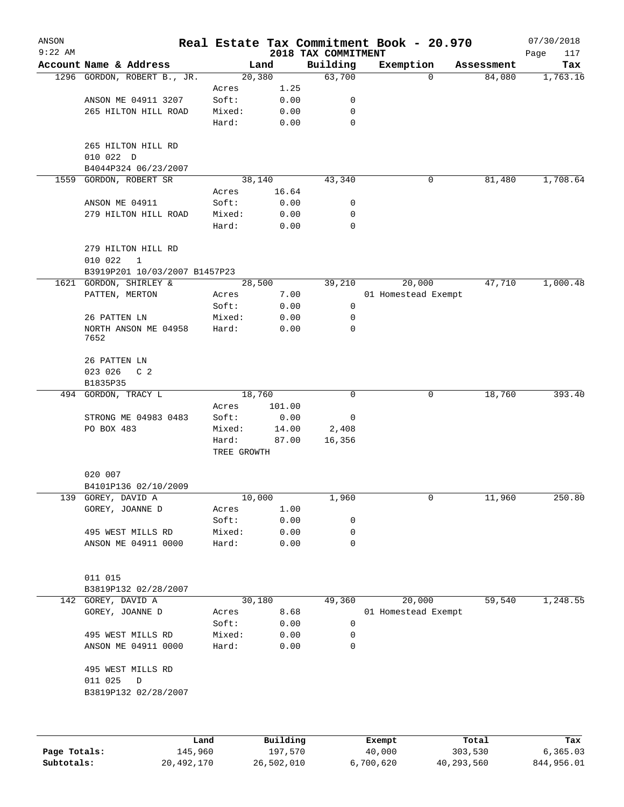| ANSON<br>$9:22$ AM |                               |                      |          |                                 | Real Estate Tax Commitment Book - 20.970 |            | 07/30/2018         |
|--------------------|-------------------------------|----------------------|----------|---------------------------------|------------------------------------------|------------|--------------------|
|                    | Account Name & Address        |                      | Land     | 2018 TAX COMMITMENT<br>Building | Exemption                                | Assessment | Page<br>117<br>Tax |
|                    | 1296 GORDON, ROBERT B., JR.   |                      | 20,380   | 63,700                          | 0                                        | 84,080     | 1,763.16           |
|                    |                               | Acres                | 1.25     |                                 |                                          |            |                    |
|                    | ANSON ME 04911 3207           | Soft:                | 0.00     | 0                               |                                          |            |                    |
|                    | 265 HILTON HILL ROAD          | Mixed:               | 0.00     | 0                               |                                          |            |                    |
|                    |                               | Hard:                | 0.00     | 0                               |                                          |            |                    |
|                    | 265 HILTON HILL RD            |                      |          |                                 |                                          |            |                    |
|                    | 010 022 D                     |                      |          |                                 |                                          |            |                    |
|                    | B4044P324 06/23/2007          |                      |          |                                 |                                          |            |                    |
| 1559               | GORDON, ROBERT SR             |                      | 38,140   | 43,340                          | 0                                        | 81,480     | 1,708.64           |
|                    |                               | Acres                | 16.64    |                                 |                                          |            |                    |
|                    | ANSON ME 04911                | Soft:                | 0.00     | 0                               |                                          |            |                    |
|                    | 279 HILTON HILL ROAD          | Mixed:               | 0.00     | 0                               |                                          |            |                    |
|                    |                               | Hard:                | 0.00     | 0                               |                                          |            |                    |
|                    | 279 HILTON HILL RD            |                      |          |                                 |                                          |            |                    |
|                    | 010 022<br>$\mathbf{1}$       |                      |          |                                 |                                          |            |                    |
|                    | B3919P201 10/03/2007 B1457P23 |                      |          |                                 |                                          |            |                    |
|                    | 1621 GORDON, SHIRLEY &        |                      | 28,500   | 39,210                          | 20,000                                   | 47,710     | 1,000.48           |
|                    | PATTEN, MERTON                | Acres                | 7.00     |                                 | 01 Homestead Exempt                      |            |                    |
|                    |                               | Soft:                | 0.00     | 0                               |                                          |            |                    |
|                    | 26 PATTEN LN                  | Mixed:               | 0.00     | 0                               |                                          |            |                    |
|                    | NORTH ANSON ME 04958<br>7652  | Hard:                | 0.00     | 0                               |                                          |            |                    |
|                    | 26 PATTEN LN                  |                      |          |                                 |                                          |            |                    |
|                    | 023 026<br>C <sub>2</sub>     |                      |          |                                 |                                          |            |                    |
|                    | B1835P35                      |                      |          |                                 |                                          |            |                    |
|                    | 494 GORDON, TRACY L           |                      | 18,760   | 0                               | 0                                        | 18,760     | 393.40             |
|                    |                               | Acres                | 101.00   |                                 |                                          |            |                    |
|                    | STRONG ME 04983 0483          | Soft:                | 0.00     | 0                               |                                          |            |                    |
|                    | PO BOX 483                    | Mixed:               | 14.00    | 2,408                           |                                          |            |                    |
|                    |                               | Hard:<br>TREE GROWTH | 87.00    | 16,356                          |                                          |            |                    |
|                    | 020 007                       |                      |          |                                 |                                          |            |                    |
|                    | B4101P136 02/10/2009          |                      |          |                                 |                                          |            |                    |
|                    | 139 GOREY, DAVID A            |                      | 10,000   | 1,960                           | 0                                        | 11,960     | 250.80             |
|                    | GOREY, JOANNE D               | Acres                | 1.00     |                                 |                                          |            |                    |
|                    |                               | Soft:                | 0.00     | 0                               |                                          |            |                    |
|                    | 495 WEST MILLS RD             | Mixed:               | 0.00     | 0                               |                                          |            |                    |
|                    | ANSON ME 04911 0000           | Hard:                | 0.00     | 0                               |                                          |            |                    |
|                    |                               |                      |          |                                 |                                          |            |                    |
|                    | 011 015                       |                      |          |                                 |                                          |            |                    |
|                    | B3819P132 02/28/2007          |                      |          |                                 |                                          |            |                    |
|                    | 142 GOREY, DAVID A            |                      | 30,180   | 49,360                          | 20,000                                   | 59,540     | 1,248.55           |
|                    | GOREY, JOANNE D               | Acres                | 8.68     |                                 | 01 Homestead Exempt                      |            |                    |
|                    |                               | Soft:                | 0.00     | 0                               |                                          |            |                    |
|                    | 495 WEST MILLS RD             | Mixed:               | 0.00     | 0                               |                                          |            |                    |
|                    | ANSON ME 04911 0000           | Hard:                | 0.00     | 0                               |                                          |            |                    |
|                    | 495 WEST MILLS RD             |                      |          |                                 |                                          |            |                    |
|                    | 011 025<br>D                  |                      |          |                                 |                                          |            |                    |
|                    | B3819P132 02/28/2007          |                      |          |                                 |                                          |            |                    |
|                    |                               |                      |          |                                 |                                          |            |                    |
|                    |                               | Land                 | Building |                                 | Exempt                                   | Total      | Tax                |

**Page Totals:** 145,960 197,570 40,000 303,530 6,365.03 **Subtotals:** 20,492,170 26,502,010 6,700,620 40,293,560 844,956.01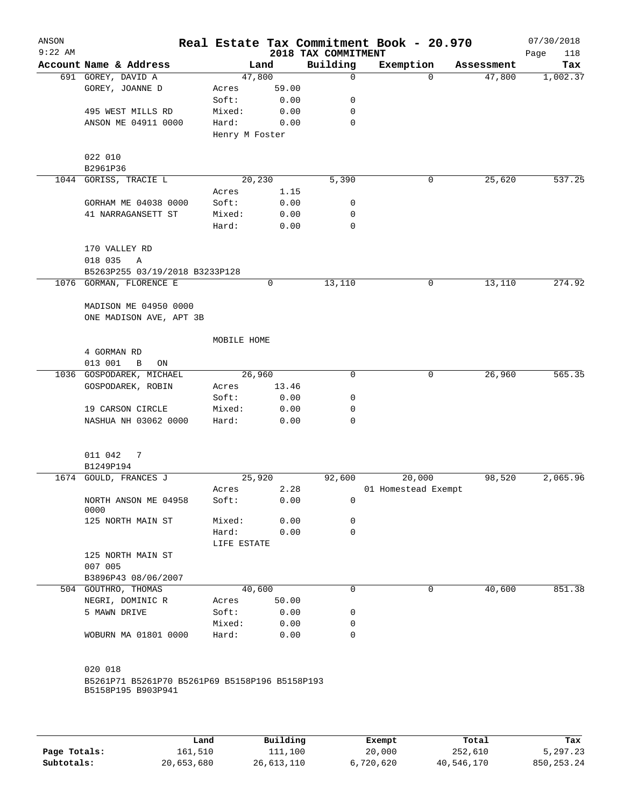| ANSON<br>$9:22$ AM |                                                           |                |       | 2018 TAX COMMITMENT | Real Estate Tax Commitment Book - 20.970 |            | 07/30/2018<br>Page<br>118 |
|--------------------|-----------------------------------------------------------|----------------|-------|---------------------|------------------------------------------|------------|---------------------------|
|                    | Account Name & Address                                    |                | Land  | Building            | Exemption                                | Assessment | Tax                       |
|                    | 691 GOREY, DAVID A                                        | 47,800         |       | $\mathbf 0$         | $\Omega$                                 | 47,800     | 1,002.37                  |
|                    | GOREY, JOANNE D                                           | Acres          | 59.00 |                     |                                          |            |                           |
|                    |                                                           | Soft:          | 0.00  | 0                   |                                          |            |                           |
|                    | 495 WEST MILLS RD                                         | Mixed:         | 0.00  | 0                   |                                          |            |                           |
|                    | ANSON ME 04911 0000                                       | Hard:          | 0.00  | 0                   |                                          |            |                           |
|                    |                                                           | Henry M Foster |       |                     |                                          |            |                           |
|                    |                                                           |                |       |                     |                                          |            |                           |
|                    | 022 010                                                   |                |       |                     |                                          |            |                           |
|                    | B2961P36                                                  |                |       |                     |                                          |            |                           |
|                    | 1044 GORISS, TRACIE L                                     | 20,230         |       | 5,390               | 0                                        | 25,620     | 537.25                    |
|                    |                                                           | Acres          | 1.15  |                     |                                          |            |                           |
|                    | GORHAM ME 04038 0000                                      | Soft:          | 0.00  | 0                   |                                          |            |                           |
|                    | 41 NARRAGANSETT ST                                        | Mixed:         | 0.00  | 0                   |                                          |            |                           |
|                    |                                                           | Hard:          | 0.00  | 0                   |                                          |            |                           |
|                    |                                                           |                |       |                     |                                          |            |                           |
|                    | 170 VALLEY RD                                             |                |       |                     |                                          |            |                           |
|                    |                                                           |                |       |                     |                                          |            |                           |
|                    | 018 035<br>Α                                              |                |       |                     |                                          |            |                           |
|                    | B5263P255 03/19/2018 B3233P128<br>1076 GORMAN, FLORENCE E |                |       |                     |                                          |            |                           |
|                    |                                                           |                | 0     | 13,110              | 0                                        | 13,110     | 274.92                    |
|                    |                                                           |                |       |                     |                                          |            |                           |
|                    | MADISON ME 04950 0000                                     |                |       |                     |                                          |            |                           |
|                    | ONE MADISON AVE, APT 3B                                   |                |       |                     |                                          |            |                           |
|                    |                                                           |                |       |                     |                                          |            |                           |
|                    |                                                           | MOBILE HOME    |       |                     |                                          |            |                           |
|                    | 4 GORMAN RD                                               |                |       |                     |                                          |            |                           |
|                    | 013 001<br>B<br>ON                                        |                |       |                     |                                          |            |                           |
|                    | 1036 GOSPODAREK, MICHAEL                                  | 26,960         |       | 0                   | 0                                        | 26,960     | 565.35                    |
|                    | GOSPODAREK, ROBIN                                         | Acres          | 13.46 |                     |                                          |            |                           |
|                    |                                                           | Soft:          | 0.00  | 0                   |                                          |            |                           |
|                    | 19 CARSON CIRCLE                                          | Mixed:         | 0.00  | 0                   |                                          |            |                           |
|                    | NASHUA NH 03062 0000                                      | Hard:          | 0.00  | $\Omega$            |                                          |            |                           |
|                    |                                                           |                |       |                     |                                          |            |                           |
|                    |                                                           |                |       |                     |                                          |            |                           |
|                    | 011 042<br>7                                              |                |       |                     |                                          |            |                           |
|                    | B1249P194                                                 |                |       |                     |                                          |            |                           |
|                    | 1674 GOULD, FRANCES J                                     | 25,920         |       | 92,600              | 20,000                                   | 98,520     | 2,065.96                  |
|                    |                                                           | Acres          | 2.28  |                     | 01 Homestead Exempt                      |            |                           |
|                    | NORTH ANSON ME 04958                                      | Soft:          | 0.00  | 0                   |                                          |            |                           |
|                    | 0000                                                      |                |       |                     |                                          |            |                           |
|                    | 125 NORTH MAIN ST                                         | Mixed:         | 0.00  | 0                   |                                          |            |                           |
|                    |                                                           | Hard:          | 0.00  | 0                   |                                          |            |                           |
|                    |                                                           | LIFE ESTATE    |       |                     |                                          |            |                           |
|                    | 125 NORTH MAIN ST                                         |                |       |                     |                                          |            |                           |
|                    | 007 005                                                   |                |       |                     |                                          |            |                           |
|                    | B3896P43 08/06/2007                                       |                |       |                     |                                          |            |                           |
|                    | 504 GOUTHRO, THOMAS                                       | 40,600         |       | $\Omega$            | 0                                        | 40,600     | 851.38                    |
|                    | NEGRI, DOMINIC R                                          | Acres          | 50.00 |                     |                                          |            |                           |
|                    | 5 MAWN DRIVE                                              | Soft:          | 0.00  | 0                   |                                          |            |                           |
|                    |                                                           | Mixed:         | 0.00  | 0                   |                                          |            |                           |
|                    | WOBURN MA 01801 0000                                      | Hard:          | 0.00  | $\mathbf 0$         |                                          |            |                           |
|                    |                                                           |                |       |                     |                                          |            |                           |
|                    |                                                           |                |       |                     |                                          |            |                           |
|                    | 020 018                                                   |                |       |                     |                                          |            |                           |
|                    | B5261P71 B5261P70 B5261P69 B5158P196 B5158P193            |                |       |                     |                                          |            |                           |
|                    | B5158P195 B903P941                                        |                |       |                     |                                          |            |                           |
|                    |                                                           |                |       |                     |                                          |            |                           |
|                    |                                                           |                |       |                     |                                          |            |                           |
|                    |                                                           |                |       |                     |                                          |            |                           |
|                    |                                                           |                |       |                     |                                          |            |                           |

|              | Land       | Building   | Exempt    | Total      | Tax          |
|--------------|------------|------------|-----------|------------|--------------|
| Page Totals: | 161,510    | 111,100    | 20,000    | 252,610    | 5,297.23     |
| Subtotals:   | 20,653,680 | 26,613,110 | 6,720,620 | 40,546,170 | 850, 253, 24 |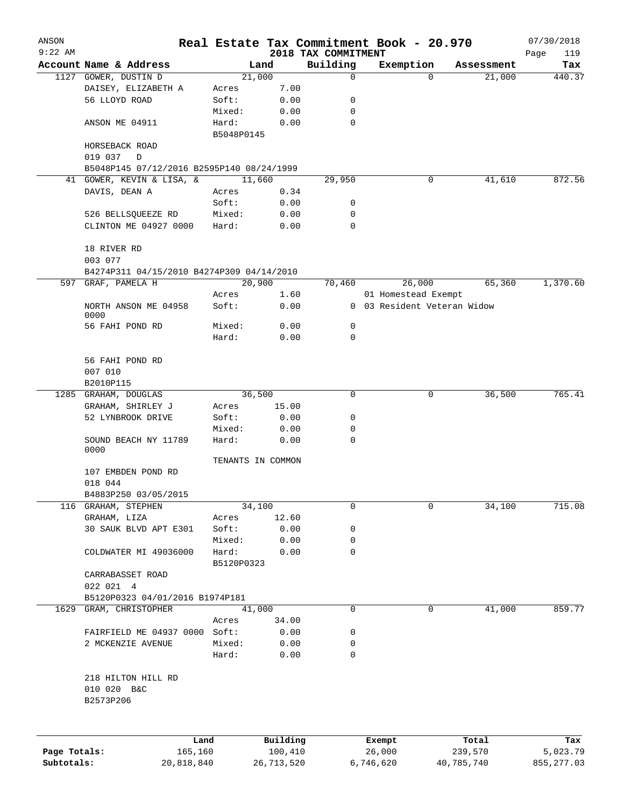| ANSON        |                                           |                     |                   | Real Estate Tax Commitment Book - 20.970 |                             |          |            | 07/30/2018  |
|--------------|-------------------------------------------|---------------------|-------------------|------------------------------------------|-----------------------------|----------|------------|-------------|
| $9:22$ AM    |                                           |                     |                   | 2018 TAX COMMITMENT                      |                             |          |            | 119<br>Page |
|              | Account Name & Address                    |                     | Land              | Building                                 | Exemption                   |          | Assessment | Tax         |
|              | 1127 GOWER, DUSTIN D                      |                     | 21,000            | 0                                        |                             | $\Omega$ | 21,000     | 440.37      |
|              | DAISEY, ELIZABETH A<br>56 LLOYD ROAD      | Acres               | 7.00              |                                          |                             |          |            |             |
|              |                                           | Soft:               | 0.00              | 0                                        |                             |          |            |             |
|              |                                           | Mixed:              | 0.00              | 0<br>0                                   |                             |          |            |             |
|              | ANSON ME 04911                            | Hard:<br>B5048P0145 | 0.00              |                                          |                             |          |            |             |
|              | HORSEBACK ROAD                            |                     |                   |                                          |                             |          |            |             |
|              | 019 037<br>D                              |                     |                   |                                          |                             |          |            |             |
|              | B5048P145 07/12/2016 B2595P140 08/24/1999 |                     |                   |                                          |                             |          |            |             |
|              | 41 GOWER, KEVIN & LISA, &                 |                     | 11,660            | 29,950                                   |                             | 0        | 41,610     | 872.56      |
|              | DAVIS, DEAN A                             | Acres               | 0.34              |                                          |                             |          |            |             |
|              |                                           | Soft:               | 0.00              | 0                                        |                             |          |            |             |
|              | 526 BELLSQUEEZE RD                        | Mixed:              | 0.00              | 0                                        |                             |          |            |             |
|              | CLINTON ME 04927 0000                     | Hard:               | 0.00              | 0                                        |                             |          |            |             |
|              |                                           |                     |                   |                                          |                             |          |            |             |
|              | 18 RIVER RD                               |                     |                   |                                          |                             |          |            |             |
|              | 003 077                                   |                     |                   |                                          |                             |          |            |             |
|              | B4274P311 04/15/2010 B4274P309 04/14/2010 |                     |                   |                                          |                             |          |            |             |
|              | 597 GRAF, PAMELA H                        |                     | 20,900            | 70,460                                   |                             | 26,000   | 65,360     | 1,370.60    |
|              |                                           | Acres               | 1.60              |                                          | 01 Homestead Exempt         |          |            |             |
|              | NORTH ANSON ME 04958                      | Soft:               | 0.00              |                                          | 0 03 Resident Veteran Widow |          |            |             |
|              | 0000                                      |                     |                   |                                          |                             |          |            |             |
|              | 56 FAHI POND RD                           | Mixed:              | 0.00              | 0                                        |                             |          |            |             |
|              |                                           | Hard:               | 0.00              | 0                                        |                             |          |            |             |
|              |                                           |                     |                   |                                          |                             |          |            |             |
|              | 56 FAHI POND RD                           |                     |                   |                                          |                             |          |            |             |
|              | 007 010                                   |                     |                   |                                          |                             |          |            |             |
|              | B2010P115                                 |                     |                   |                                          |                             |          |            |             |
| 1285         | GRAHAM, DOUGLAS                           |                     | 36,500            | 0                                        |                             | 0        | 36,500     | 765.41      |
|              | GRAHAM, SHIRLEY J                         | Acres               | 15.00             |                                          |                             |          |            |             |
|              | 52 LYNBROOK DRIVE                         | Soft:               | 0.00              | 0                                        |                             |          |            |             |
|              |                                           | Mixed:              | 0.00              | 0                                        |                             |          |            |             |
|              | SOUND BEACH NY 11789<br>0000              | Hard:               | 0.00              | $\mathbf 0$                              |                             |          |            |             |
|              |                                           |                     | TENANTS IN COMMON |                                          |                             |          |            |             |
|              | 107 EMBDEN POND RD                        |                     |                   |                                          |                             |          |            |             |
|              | 018 044                                   |                     |                   |                                          |                             |          |            |             |
|              | B4883P250 03/05/2015                      |                     |                   |                                          |                             |          |            |             |
| 116          | GRAHAM, STEPHEN                           |                     | 34,100            | 0                                        |                             | 0        | 34,100     | 715.08      |
|              | GRAHAM, LIZA                              | Acres               | 12.60             |                                          |                             |          |            |             |
|              | 30 SAUK BLVD APT E301                     | Soft:               | 0.00              | 0                                        |                             |          |            |             |
|              |                                           | Mixed:              | 0.00              | 0                                        |                             |          |            |             |
|              | COLDWATER MI 49036000                     | Hard:               | 0.00              | 0                                        |                             |          |            |             |
|              |                                           | B5120P0323          |                   |                                          |                             |          |            |             |
|              | CARRABASSET ROAD                          |                     |                   |                                          |                             |          |            |             |
|              | 022 021 4                                 |                     |                   |                                          |                             |          |            |             |
|              | B5120P0323 04/01/2016 B1974P181           |                     |                   |                                          |                             |          |            |             |
| 1629         | GRAM, CHRISTOPHER                         |                     | 41,000            | 0                                        |                             | 0        | 41,000     | 859.77      |
|              |                                           | Acres               | 34.00             |                                          |                             |          |            |             |
|              | FAIRFIELD ME 04937 0000                   | Soft:               | 0.00              | 0                                        |                             |          |            |             |
|              | 2 MCKENZIE AVENUE                         | Mixed:              | 0.00              | 0                                        |                             |          |            |             |
|              |                                           | Hard:               | 0.00              | 0                                        |                             |          |            |             |
|              |                                           |                     |                   |                                          |                             |          |            |             |
|              | 218 HILTON HILL RD                        |                     |                   |                                          |                             |          |            |             |
|              | 010 020 B&C                               |                     |                   |                                          |                             |          |            |             |
|              | B2573P206                                 |                     |                   |                                          |                             |          |            |             |
|              |                                           |                     |                   |                                          |                             |          |            |             |
|              |                                           |                     |                   |                                          |                             |          |            |             |
|              | Land                                      |                     | Building          |                                          | Exempt                      |          | Total      | Tax         |
| Page Totals: | 165,160                                   |                     | 100,410           |                                          | 26,000                      |          | 239,570    | 5,023.79    |
| Subtotals:   | 20,818,840                                |                     | 26,713,520        |                                          | 6,746,620                   |          | 40,785,740 | 855, 277.03 |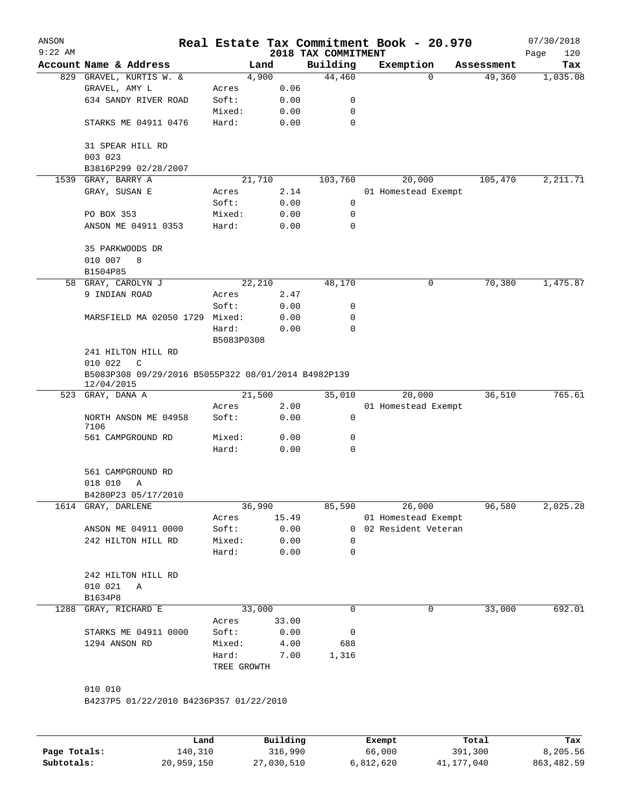| ANSON<br>$9:22$ AM |                                                                   |             |       | 2018 TAX COMMITMENT | Real Estate Tax Commitment Book - 20.970 |            | 07/30/2018<br>Page<br>120 |
|--------------------|-------------------------------------------------------------------|-------------|-------|---------------------|------------------------------------------|------------|---------------------------|
|                    | Account Name & Address                                            | Land        |       | Building            | Exemption                                | Assessment | Tax                       |
|                    | 829 GRAVEL, KURTIS W. &                                           | 4,900       |       | 44,460              | $\Omega$                                 | 49,360     | 1,035.08                  |
|                    | GRAVEL, AMY L                                                     | Acres       | 0.06  |                     |                                          |            |                           |
|                    | 634 SANDY RIVER ROAD                                              | Soft:       | 0.00  | 0                   |                                          |            |                           |
|                    |                                                                   | Mixed:      | 0.00  | 0                   |                                          |            |                           |
|                    | STARKS ME 04911 0476                                              | Hard:       | 0.00  | 0                   |                                          |            |                           |
|                    | 31 SPEAR HILL RD                                                  |             |       |                     |                                          |            |                           |
|                    | 003 023                                                           |             |       |                     |                                          |            |                           |
|                    | B3816P299 02/28/2007                                              |             |       |                     |                                          |            |                           |
| 1539               | GRAY, BARRY A                                                     | 21,710      |       | 103,760             | 20,000                                   | 105,470    | 2, 211.71                 |
|                    | GRAY, SUSAN E                                                     | Acres       | 2.14  |                     | 01 Homestead Exempt                      |            |                           |
|                    |                                                                   | Soft:       | 0.00  | 0                   |                                          |            |                           |
|                    | PO BOX 353                                                        | Mixed:      | 0.00  | 0                   |                                          |            |                           |
|                    | ANSON ME 04911 0353                                               | Hard:       | 0.00  | $\mathbf 0$         |                                          |            |                           |
|                    | 35 PARKWOODS DR                                                   |             |       |                     |                                          |            |                           |
|                    | 010 007<br>8<br>B1504P85                                          |             |       |                     |                                          |            |                           |
|                    | 58 GRAY, CAROLYN J                                                | 22,210      |       | 48,170              | 0                                        | 70,380     | 1,475.87                  |
|                    | 9 INDIAN ROAD                                                     | Acres       | 2.47  |                     |                                          |            |                           |
|                    |                                                                   | Soft:       | 0.00  | 0                   |                                          |            |                           |
|                    | MARSFIELD MA 02050 1729 Mixed:                                    |             | 0.00  | 0                   |                                          |            |                           |
|                    |                                                                   | Hard:       | 0.00  | 0                   |                                          |            |                           |
|                    |                                                                   | B5083P0308  |       |                     |                                          |            |                           |
|                    | 241 HILTON HILL RD                                                |             |       |                     |                                          |            |                           |
|                    | 010 022<br>C                                                      |             |       |                     |                                          |            |                           |
|                    | B5083P308 09/29/2016 B5055P322 08/01/2014 B4982P139<br>12/04/2015 |             |       |                     |                                          |            |                           |
|                    | 523 GRAY, DANA A                                                  | 21,500      |       | 35,010              | 20,000                                   | 36,510     | 765.61                    |
|                    |                                                                   | Acres       | 2.00  |                     | 01 Homestead Exempt                      |            |                           |
|                    | NORTH ANSON ME 04958<br>7106                                      | Soft:       | 0.00  | 0                   |                                          |            |                           |
|                    | 561 CAMPGROUND RD                                                 | Mixed:      | 0.00  | 0                   |                                          |            |                           |
|                    |                                                                   | Hard:       | 0.00  | 0                   |                                          |            |                           |
|                    | 561 CAMPGROUND RD                                                 |             |       |                     |                                          |            |                           |
|                    | 018 010<br>Α                                                      |             |       |                     |                                          |            |                           |
|                    | B4280P23 05/17/2010                                               |             |       |                     |                                          |            |                           |
|                    | 1614 GRAY, DARLENE                                                | 36,990      |       | 85,590              | 26,000                                   | 96,580     | 2,025.28                  |
|                    |                                                                   | Acres       | 15.49 |                     | 01 Homestead Exempt                      |            |                           |
|                    | ANSON ME 04911 0000                                               | Soft:       | 0.00  |                     | 0 02 Resident Veteran                    |            |                           |
|                    | 242 HILTON HILL RD                                                | Mixed:      | 0.00  | $\Omega$            |                                          |            |                           |
|                    |                                                                   | Hard:       | 0.00  | 0                   |                                          |            |                           |
|                    | 242 HILTON HILL RD                                                |             |       |                     |                                          |            |                           |
|                    | 010 021<br>Α                                                      |             |       |                     |                                          |            |                           |
|                    | B1634P8                                                           |             |       |                     |                                          |            |                           |
| 1288               | GRAY, RICHARD E                                                   | 33,000      |       | 0                   | 0                                        | 33,000     | 692.01                    |
|                    |                                                                   | Acres       | 33.00 |                     |                                          |            |                           |
|                    | STARKS ME 04911 0000                                              | Soft:       | 0.00  | 0                   |                                          |            |                           |
|                    | 1294 ANSON RD                                                     | Mixed:      | 4.00  | 688                 |                                          |            |                           |
|                    |                                                                   | Hard:       | 7.00  | 1,316               |                                          |            |                           |
|                    |                                                                   | TREE GROWTH |       |                     |                                          |            |                           |
|                    | 010 010                                                           |             |       |                     |                                          |            |                           |
|                    | B4237P5 01/22/2010 B4236P357 01/22/2010                           |             |       |                     |                                          |            |                           |
|                    |                                                                   |             |       |                     |                                          |            |                           |
|                    |                                                                   |             |       |                     |                                          |            |                           |

|              | Land       | Building   | Exempt    | Total      | Tax         |
|--------------|------------|------------|-----------|------------|-------------|
| Page Totals: | 140,310    | 316,990    | 66,000    | 391,300    | 8,205.56    |
| Subtotals:   | 20,959,150 | 27,030,510 | 6,812,620 | 41,177,040 | 863, 482.59 |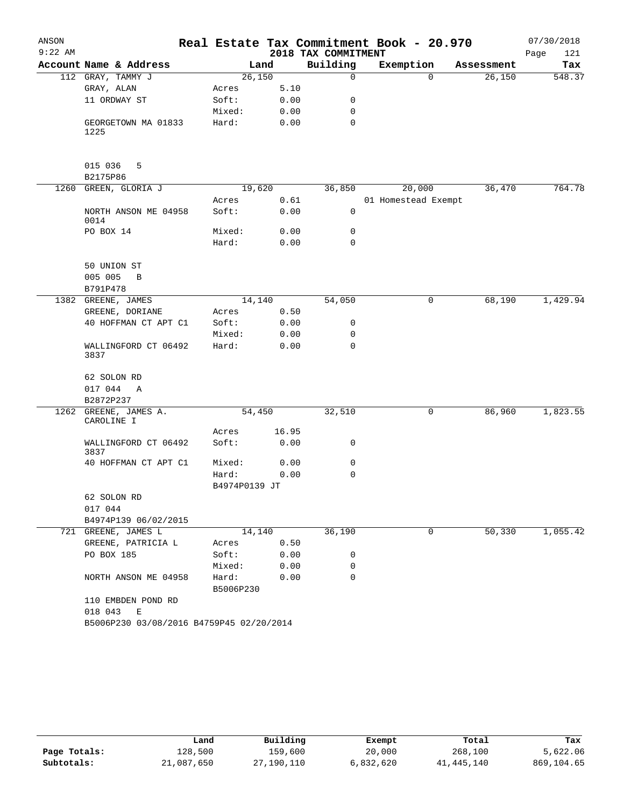| ANSON     |                                          |                    |       |                     | Real Estate Tax Commitment Book - 20.970 |            | 07/30/2018  |
|-----------|------------------------------------------|--------------------|-------|---------------------|------------------------------------------|------------|-------------|
| $9:22$ AM |                                          |                    |       | 2018 TAX COMMITMENT |                                          |            | Page<br>121 |
|           | Account Name & Address                   |                    | Land  | Building            | Exemption                                | Assessment | Tax         |
|           | 112 GRAY, TAMMY J                        | 26,150             |       | $\Omega$            | $\Omega$                                 | 26,150     | 548.37      |
|           | GRAY, ALAN                               | Acres              | 5.10  |                     |                                          |            |             |
|           | 11 ORDWAY ST                             | Soft:              | 0.00  | 0                   |                                          |            |             |
|           |                                          | Mixed:             | 0.00  | 0                   |                                          |            |             |
|           | GEORGETOWN MA 01833<br>1225              | Hard:              | 0.00  | 0                   |                                          |            |             |
|           | 015 036<br>5<br>B2175P86                 |                    |       |                     |                                          |            |             |
|           | 1260 GREEN, GLORIA J                     | 19,620             |       | 36,850              | 20,000                                   | 36,470     | 764.78      |
|           |                                          | Acres              | 0.61  |                     | 01 Homestead Exempt                      |            |             |
|           | NORTH ANSON ME 04958<br>0014             | Soft:              | 0.00  | $\mathbf 0$         |                                          |            |             |
|           | PO BOX 14                                | Mixed:             | 0.00  | 0                   |                                          |            |             |
|           |                                          | Hard:              | 0.00  | $\Omega$            |                                          |            |             |
|           |                                          |                    |       |                     |                                          |            |             |
|           | 50 UNION ST                              |                    |       |                     |                                          |            |             |
|           | 005 005<br>B                             |                    |       |                     |                                          |            |             |
|           | B791P478                                 |                    |       |                     |                                          |            |             |
|           | 1382 GREENE, JAMES                       | 14,140             |       | 54,050              | 0                                        | 68,190     | 1,429.94    |
|           | GREENE, DORIANE                          | Acres              | 0.50  |                     |                                          |            |             |
|           | 40 HOFFMAN CT APT C1                     | Soft:              | 0.00  | 0                   |                                          |            |             |
|           |                                          | Mixed:             | 0.00  | 0                   |                                          |            |             |
|           | WALLINGFORD CT 06492<br>3837             | Hard:              | 0.00  | $\Omega$            |                                          |            |             |
|           | 62 SOLON RD                              |                    |       |                     |                                          |            |             |
|           | 017 044 A                                |                    |       |                     |                                          |            |             |
|           | B2872P237                                |                    |       |                     |                                          |            |             |
| 1262      | GREENE, JAMES A.                         | 54,450             |       | 32,510              | 0                                        | 86,960     | 1,823.55    |
|           | CAROLINE I                               |                    |       |                     |                                          |            |             |
|           |                                          | Acres              | 16.95 |                     |                                          |            |             |
|           | WALLINGFORD CT 06492<br>3837             | Soft:              | 0.00  | 0                   |                                          |            |             |
|           | 40 HOFFMAN CT APT C1                     | Mixed:             | 0.00  | 0                   |                                          |            |             |
|           |                                          | Hard:              | 0.00  | 0                   |                                          |            |             |
|           |                                          | B4974P0139 JT      |       |                     |                                          |            |             |
|           | 62 SOLON RD                              |                    |       |                     |                                          |            |             |
|           | 017 044                                  |                    |       |                     |                                          |            |             |
|           | B4974P139 06/02/2015                     |                    |       |                     |                                          |            |             |
|           | 721 GREENE, JAMES L                      | 14,140             |       | 36,190              | 0                                        | 50,330     | 1,055.42    |
|           | GREENE, PATRICIA L                       | Acres              | 0.50  |                     |                                          |            |             |
|           | PO BOX 185                               | Soft:              | 0.00  | 0                   |                                          |            |             |
|           |                                          | Mixed:             | 0.00  | 0                   |                                          |            |             |
|           | NORTH ANSON ME 04958                     | Hard:<br>B5006P230 | 0.00  | $\Omega$            |                                          |            |             |
|           | 110 EMBDEN POND RD<br>018 043<br>Е       |                    |       |                     |                                          |            |             |
|           | B5006P230 03/08/2016 B4759P45 02/20/2014 |                    |       |                     |                                          |            |             |

|              | Land       | Building   | Exempt    | Total      | Tax        |
|--------------|------------|------------|-----------|------------|------------|
| Page Totals: | 128,500    | 159,600    | 20,000    | 268,100    | 5,622.06   |
| Subtotals:   | 21,087,650 | 27,190,110 | 6,832,620 | 41,445,140 | 869,104.65 |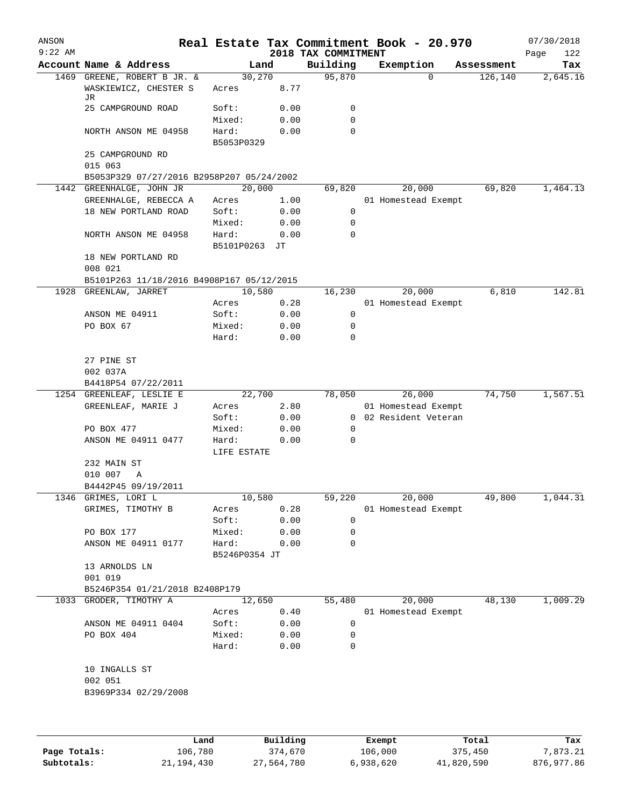| ANSON     |                                                                       |                      |              |                                 | Real Estate Tax Commitment Book - 20.970 |            | 07/30/2018         |
|-----------|-----------------------------------------------------------------------|----------------------|--------------|---------------------------------|------------------------------------------|------------|--------------------|
| $9:22$ AM | Account Name & Address                                                |                      | Land         | 2018 TAX COMMITMENT<br>Building | Exemption                                | Assessment | Page<br>122<br>Tax |
|           | 1469 GREENE, ROBERT B JR. &                                           |                      | 30,270       | 95,870                          | 0                                        | 126,140    | 2,645.16           |
|           | WASKIEWICZ, CHESTER S<br>JR                                           | Acres                | 8.77         |                                 |                                          |            |                    |
|           | 25 CAMPGROUND ROAD                                                    | Soft:                | 0.00         | 0                               |                                          |            |                    |
|           |                                                                       | Mixed:               | 0.00         | 0                               |                                          |            |                    |
|           | NORTH ANSON ME 04958                                                  | Hard:<br>B5053P0329  | 0.00         | 0                               |                                          |            |                    |
|           | 25 CAMPGROUND RD                                                      |                      |              |                                 |                                          |            |                    |
|           | 015 063                                                               |                      |              |                                 |                                          |            |                    |
|           | B5053P329 07/27/2016 B2958P207 05/24/2002<br>1442 GREENHALGE, JOHN JR |                      | 20,000       | 69,820                          | 20,000                                   | 69,820     | 1,464.13           |
|           | GREENHALGE, REBECCA A                                                 | Acres                | 1.00         |                                 | 01 Homestead Exempt                      |            |                    |
|           | 18 NEW PORTLAND ROAD                                                  | Soft:                | 0.00         | 0                               |                                          |            |                    |
|           |                                                                       | Mixed:               | 0.00         | 0                               |                                          |            |                    |
|           | NORTH ANSON ME 04958                                                  | Hard:<br>B5101P0263  | 0.00<br>JТ   | 0                               |                                          |            |                    |
|           | 18 NEW PORTLAND RD                                                    |                      |              |                                 |                                          |            |                    |
|           | 008 021                                                               |                      |              |                                 |                                          |            |                    |
|           | B5101P263 11/18/2016 B4908P167 05/12/2015                             |                      |              |                                 |                                          |            |                    |
| 1928      | GREENLAW, JARRET                                                      |                      | 10,580       | 16,230                          | 20,000                                   | 6,810      | 142.81             |
|           |                                                                       | Acres                | 0.28         |                                 | 01 Homestead Exempt                      |            |                    |
|           | ANSON ME 04911                                                        | Soft:                | 0.00         | 0                               |                                          |            |                    |
|           | PO BOX 67                                                             | Mixed:<br>Hard:      | 0.00<br>0.00 | 0<br>0                          |                                          |            |                    |
|           | 27 PINE ST                                                            |                      |              |                                 |                                          |            |                    |
|           | 002 037A                                                              |                      |              |                                 |                                          |            |                    |
|           | B4418P54 07/22/2011                                                   |                      |              |                                 |                                          |            |                    |
|           | 1254 GREENLEAF, LESLIE E                                              |                      | 22,700       | 78,050                          | 26,000                                   | 74,750     | 1,567.51           |
|           | GREENLEAF, MARIE J                                                    | Acres                | 2.80         |                                 | 01 Homestead Exempt                      |            |                    |
|           | PO BOX 477                                                            | Soft:<br>Mixed:      | 0.00<br>0.00 | 0                               | 0 02 Resident Veteran                    |            |                    |
|           | ANSON ME 04911 0477                                                   | Hard:<br>LIFE ESTATE | 0.00         | $\mathsf{O}$                    |                                          |            |                    |
|           | 232 MAIN ST                                                           |                      |              |                                 |                                          |            |                    |
|           | 010 007<br>Α                                                          |                      |              |                                 |                                          |            |                    |
|           | B4442P45 09/19/2011                                                   |                      |              |                                 |                                          |            |                    |
|           | 1346 GRIMES, LORI L                                                   |                      | 10,580       | 59,220                          | 20,000                                   | 49,800     | 1,044.31           |
|           | GRIMES, TIMOTHY B                                                     | Acres                | 0.28         |                                 | 01 Homestead Exempt                      |            |                    |
|           |                                                                       | Soft:                | 0.00         | 0                               |                                          |            |                    |
|           | PO BOX 177                                                            | Mixed:               | 0.00         | 0                               |                                          |            |                    |
|           | ANSON ME 04911 0177                                                   | Hard:                | 0.00         | 0                               |                                          |            |                    |
|           |                                                                       | B5246P0354 JT        |              |                                 |                                          |            |                    |
|           | 13 ARNOLDS LN<br>001 019                                              |                      |              |                                 |                                          |            |                    |
|           | B5246P354 01/21/2018 B2408P179                                        |                      |              |                                 |                                          |            |                    |
|           | 1033 GRODER, TIMOTHY A                                                |                      | 12,650       | 55,480                          | 20,000                                   | 48,130     | 1,009.29           |
|           |                                                                       | Acres                | 0.40         |                                 | 01 Homestead Exempt                      |            |                    |
|           | ANSON ME 04911 0404                                                   | Soft:                | 0.00         | 0                               |                                          |            |                    |
|           | PO BOX 404                                                            | Mixed:               | 0.00         | 0                               |                                          |            |                    |
|           |                                                                       | Hard:                | 0.00         | $\mathbf 0$                     |                                          |            |                    |
|           | 10 INGALLS ST<br>002 051                                              |                      |              |                                 |                                          |            |                    |
|           | B3969P334 02/29/2008                                                  |                      |              |                                 |                                          |            |                    |
|           |                                                                       |                      |              |                                 |                                          |            |                    |
|           |                                                                       | Land                 | Building     |                                 | Exempt                                   | Total      | Tax                |
|           |                                                                       |                      |              |                                 |                                          |            |                    |

|              | Land       | Building   | Exempt    | Total      | Tax        |
|--------------|------------|------------|-----------|------------|------------|
| Page Totals: | 106,780    | 374,670    | 106,000   | 375,450    | 7,873.21   |
| Subtotals:   | 21,194,430 | 27,564,780 | 6,938,620 | 41,820,590 | 876,977.86 |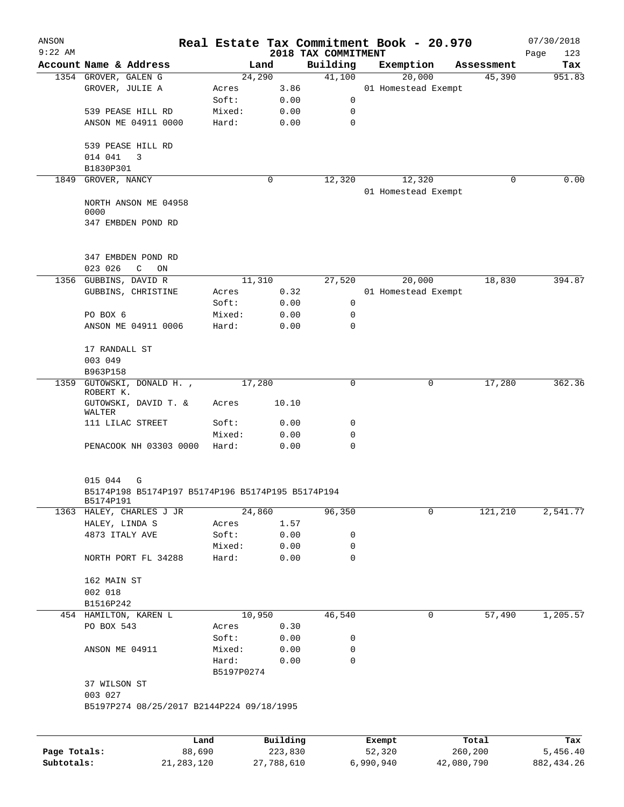| ANSON        |                                                                |                |              |                                 | Real Estate Tax Commitment Book - 20.970 |                     | 07/30/2018         |
|--------------|----------------------------------------------------------------|----------------|--------------|---------------------------------|------------------------------------------|---------------------|--------------------|
| $9:22$ AM    | Account Name & Address                                         |                | Land         | 2018 TAX COMMITMENT<br>Building |                                          | Assessment          | Page<br>123<br>Tax |
|              | 1354 GROVER, GALEN G                                           |                | 24,290       | 41,100                          | Exemption<br>20,000                      | 45,390              | 951.83             |
|              | GROVER, JULIE A                                                | Acres          | 3.86         |                                 | 01 Homestead Exempt                      |                     |                    |
|              |                                                                | Soft:          | 0.00         | 0                               |                                          |                     |                    |
|              | 539 PEASE HILL RD                                              | Mixed:         | 0.00         | 0                               |                                          |                     |                    |
|              | ANSON ME 04911 0000                                            | Hard:          | 0.00         | $\mathbf 0$                     |                                          |                     |                    |
|              |                                                                |                |              |                                 |                                          |                     |                    |
|              | 539 PEASE HILL RD                                              |                |              |                                 |                                          |                     |                    |
|              | 014 041<br>3                                                   |                |              |                                 |                                          |                     |                    |
|              | B1830P301                                                      |                |              |                                 |                                          |                     |                    |
| 1849         | GROVER, NANCY                                                  |                | 0            | 12,320                          | 12,320                                   | 0                   | 0.00               |
|              | NORTH ANSON ME 04958                                           |                |              |                                 | 01 Homestead Exempt                      |                     |                    |
|              | 0000                                                           |                |              |                                 |                                          |                     |                    |
|              | 347 EMBDEN POND RD                                             |                |              |                                 |                                          |                     |                    |
|              | 347 EMBDEN POND RD<br>023 026<br>C<br>ON                       |                |              |                                 |                                          |                     |                    |
|              | 1356 GUBBINS, DAVID R                                          |                | 11,310       | 27,520                          | 20,000                                   | 18,830              | 394.87             |
|              | GUBBINS, CHRISTINE                                             | Acres          | 0.32         |                                 | 01 Homestead Exempt                      |                     |                    |
|              |                                                                | Soft:          | 0.00         | 0                               |                                          |                     |                    |
|              | PO BOX 6                                                       | Mixed:         | 0.00         | 0                               |                                          |                     |                    |
|              | ANSON ME 04911 0006                                            | Hard:          | 0.00         | $\Omega$                        |                                          |                     |                    |
|              | 17 RANDALL ST                                                  |                |              |                                 |                                          |                     |                    |
|              | 003 049                                                        |                |              |                                 |                                          |                     |                    |
|              | B963P158                                                       |                |              |                                 |                                          |                     |                    |
| 1359         | GUTOWSKI, DONALD H.,<br>ROBERT K.                              |                | 17,280       | 0                               |                                          | 17,280<br>0         | 362.36             |
|              | GUTOWSKI, DAVID T. &<br>WALTER                                 | Acres          | 10.10        |                                 |                                          |                     |                    |
|              | 111 LILAC STREET                                               | Soft:          | 0.00         | 0                               |                                          |                     |                    |
|              |                                                                | Mixed:         | 0.00         | 0                               |                                          |                     |                    |
|              | PENACOOK NH 03303 0000                                         | Hard:          | 0.00         | 0                               |                                          |                     |                    |
|              | 015 044<br>G                                                   |                |              |                                 |                                          |                     |                    |
|              | B5174P198 B5174P197 B5174P196 B5174P195 B5174P194<br>B5174P191 |                |              |                                 |                                          |                     |                    |
|              | 1363 HALEY, CHARLES J JR                                       |                | 24,860       | 96,350                          |                                          | $\Omega$<br>121,210 | 2,541.77           |
|              | HALEY, LINDA S                                                 | Acres          | 1.57         |                                 |                                          |                     |                    |
|              | 4873 ITALY AVE                                                 | Soft:          | 0.00         | 0                               |                                          |                     |                    |
|              |                                                                | Mixed:         | 0.00         | 0                               |                                          |                     |                    |
|              | NORTH PORT FL 34288                                            | Hard:          | 0.00         | 0                               |                                          |                     |                    |
|              | 162 MAIN ST                                                    |                |              |                                 |                                          |                     |                    |
|              | 002 018                                                        |                |              |                                 |                                          |                     |                    |
|              | B1516P242                                                      |                |              |                                 |                                          |                     |                    |
|              | 454 HAMILTON, KAREN L                                          |                | 10,950       | 46,540                          |                                          | 57,490<br>0         | 1,205.57           |
|              | PO BOX 543                                                     | Acres<br>Soft: | 0.30<br>0.00 | 0                               |                                          |                     |                    |
|              | ANSON ME 04911                                                 | Mixed:         | 0.00         | 0                               |                                          |                     |                    |
|              |                                                                | Hard:          | 0.00         | 0                               |                                          |                     |                    |
|              |                                                                | B5197P0274     |              |                                 |                                          |                     |                    |
|              | 37 WILSON ST<br>003 027                                        |                |              |                                 |                                          |                     |                    |
|              | B5197P274 08/25/2017 B2144P224 09/18/1995                      |                |              |                                 |                                          |                     |                    |
|              |                                                                |                |              |                                 |                                          |                     |                    |
|              |                                                                | Land           | Building     |                                 | Exempt                                   | Total               | Tax                |
| Page Totals: |                                                                | 88,690         | 223,830      |                                 | 52,320                                   | 260,200             | 5,456.40           |

**Subtotals:** 21,283,120 27,788,610 6,990,940 42,080,790 882,434.26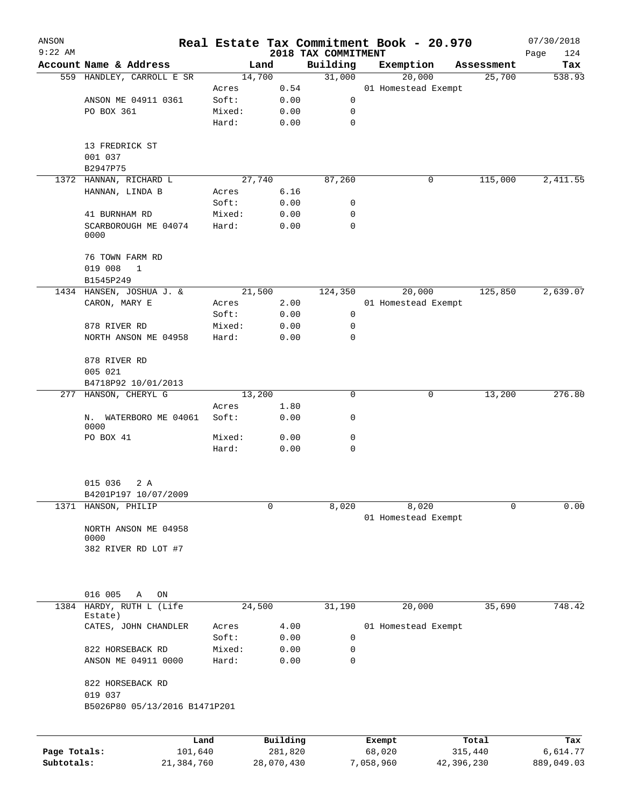| ANSON<br>$9:22$ AM |                                          |                 |              |                                 | Real Estate Tax Commitment Book - 20.970 |            | 07/30/2018         |
|--------------------|------------------------------------------|-----------------|--------------|---------------------------------|------------------------------------------|------------|--------------------|
|                    | Account Name & Address                   |                 | Land         | 2018 TAX COMMITMENT<br>Building | Exemption                                | Assessment | 124<br>Page<br>Tax |
|                    | 559 HANDLEY, CARROLL E SR                |                 | 14,700       | 31,000                          | 20,000                                   | 25,700     | 538.93             |
|                    |                                          | Acres           | 0.54         |                                 | 01 Homestead Exempt                      |            |                    |
|                    | ANSON ME 04911 0361                      | Soft:           | 0.00         | 0                               |                                          |            |                    |
|                    | PO BOX 361                               | Mixed:          | 0.00         | 0                               |                                          |            |                    |
|                    |                                          | Hard:           | 0.00         | 0                               |                                          |            |                    |
|                    | 13 FREDRICK ST                           |                 |              |                                 |                                          |            |                    |
|                    | 001 037                                  |                 |              |                                 |                                          |            |                    |
|                    | B2947P75                                 |                 |              |                                 |                                          |            |                    |
|                    | 1372 HANNAN, RICHARD L                   |                 | 27,740       | 87,260                          | 0                                        | 115,000    | 2,411.55           |
|                    | HANNAN, LINDA B                          | Acres           | 6.16         |                                 |                                          |            |                    |
|                    |                                          | Soft:           | 0.00         | 0                               |                                          |            |                    |
|                    | 41 BURNHAM RD                            | Mixed:          | 0.00         | 0<br>0                          |                                          |            |                    |
|                    | SCARBOROUGH ME 04074<br>0000             | Hard:           | 0.00         |                                 |                                          |            |                    |
|                    | 76 TOWN FARM RD                          |                 |              |                                 |                                          |            |                    |
|                    | 019 008<br>1<br>B1545P249                |                 |              |                                 |                                          |            |                    |
|                    | 1434 HANSEN, JOSHUA J. &                 |                 | 21,500       | 124,350                         | 20,000                                   | 125,850    | 2,639.07           |
|                    | CARON, MARY E                            | Acres           | 2.00         |                                 | 01 Homestead Exempt                      |            |                    |
|                    |                                          | Soft:           | 0.00         | 0                               |                                          |            |                    |
|                    | 878 RIVER RD                             | Mixed:          | 0.00         | 0                               |                                          |            |                    |
|                    | NORTH ANSON ME 04958                     | Hard:           | 0.00         | 0                               |                                          |            |                    |
|                    | 878 RIVER RD                             |                 |              |                                 |                                          |            |                    |
|                    | 005 021                                  |                 |              |                                 |                                          |            |                    |
|                    | B4718P92 10/01/2013                      |                 |              |                                 |                                          |            |                    |
|                    | 277 HANSON, CHERYL G                     |                 | 13,200       | 0                               | 0                                        | 13,200     | 276.80             |
|                    | N. WATERBORO ME 04061                    | Acres<br>Soft:  | 1.80         |                                 |                                          |            |                    |
|                    | 0000                                     |                 | 0.00         | 0                               |                                          |            |                    |
|                    | PO BOX 41                                | Mixed:<br>Hard: | 0.00<br>0.00 | 0<br>0                          |                                          |            |                    |
|                    |                                          |                 |              |                                 |                                          |            |                    |
|                    | 015 036<br>2 A<br>B4201P197 10/07/2009   |                 |              |                                 |                                          |            |                    |
|                    | 1371 HANSON, PHILIP                      |                 | 0            | 8,020                           | 8,020                                    | 0          | 0.00               |
|                    |                                          |                 |              |                                 | 01 Homestead Exempt                      |            |                    |
|                    | NORTH ANSON ME 04958<br>0000             |                 |              |                                 |                                          |            |                    |
|                    | 382 RIVER RD LOT #7                      |                 |              |                                 |                                          |            |                    |
|                    |                                          |                 |              |                                 |                                          |            |                    |
|                    | 016 005<br>Α<br>ON                       |                 |              |                                 |                                          |            |                    |
| 1384               | HARDY, RUTH L (Life<br>Estate)           |                 | 24,500       | 31,190                          | 20,000                                   | 35,690     | 748.42             |
|                    | CATES, JOHN CHANDLER                     | Acres<br>Soft:  | 4.00<br>0.00 | 0                               | 01 Homestead Exempt                      |            |                    |
|                    | 822 HORSEBACK RD                         | Mixed:          | 0.00         | 0                               |                                          |            |                    |
|                    | ANSON ME 04911 0000                      | Hard:           | 0.00         | 0                               |                                          |            |                    |
|                    | 822 HORSEBACK RD                         |                 |              |                                 |                                          |            |                    |
|                    | 019 037<br>B5026P80 05/13/2016 B1471P201 |                 |              |                                 |                                          |            |                    |
|                    |                                          |                 |              |                                 |                                          |            |                    |
|                    | Land                                     |                 | Building     |                                 | Exempt                                   | Total      | Tax                |
| Page Totals:       | 101,640                                  |                 | 281,820      |                                 | 68,020                                   | 315,440    | 6,614.77           |

**Subtotals:** 21,384,760 28,070,430 7,058,960 42,396,230 889,049.03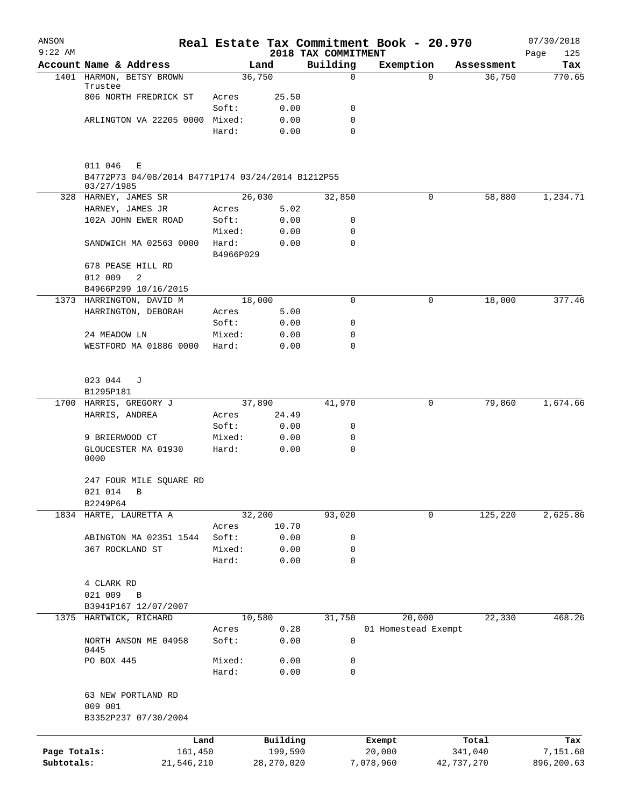| ANSON<br>$9:22$ AM         |                                                                                 |                 |                         | 2018 TAX COMMITMENT | Real Estate Tax Commitment Book - 20.970 |                       | 07/30/2018<br>Page<br>125 |
|----------------------------|---------------------------------------------------------------------------------|-----------------|-------------------------|---------------------|------------------------------------------|-----------------------|---------------------------|
|                            | Account Name & Address                                                          |                 | Land                    | Building            | Exemption                                | Assessment            | Tax                       |
|                            | 1401 HARMON, BETSY BROWN                                                        |                 | 36,750                  | $\mathbf 0$         | $\Omega$                                 | 36,750                | 770.65                    |
|                            | Trustee                                                                         |                 |                         |                     |                                          |                       |                           |
|                            | 806 NORTH FREDRICK ST                                                           | Acres           | 25.50                   |                     |                                          |                       |                           |
|                            | ARLINGTON VA 22205 0000 Mixed:                                                  | Soft:           | 0.00<br>0.00            | 0<br>0              |                                          |                       |                           |
|                            |                                                                                 | Hard:           | 0.00                    | 0                   |                                          |                       |                           |
|                            | 011 046<br>Ε<br>B4772P73 04/08/2014 B4771P174 03/24/2014 B1212P55<br>03/27/1985 |                 |                         |                     |                                          |                       |                           |
|                            | 328 HARNEY, JAMES SR                                                            |                 | 26,030                  | 32,850              | 0                                        | 58,880                | 1,234.71                  |
|                            | HARNEY, JAMES JR                                                                | Acres<br>Soft:  | 5.02                    |                     |                                          |                       |                           |
|                            | 102A JOHN EWER ROAD                                                             | Mixed:          | 0.00<br>0.00            | 0<br>0              |                                          |                       |                           |
|                            | SANDWICH MA 02563 0000                                                          | Hard:           | 0.00                    | $\mathbf 0$         |                                          |                       |                           |
|                            |                                                                                 | B4966P029       |                         |                     |                                          |                       |                           |
|                            | 678 PEASE HILL RD                                                               |                 |                         |                     |                                          |                       |                           |
|                            | 012 009<br>2                                                                    |                 |                         |                     |                                          |                       |                           |
|                            | B4966P299 10/16/2015<br>1373 HARRINGTON, DAVID M                                |                 | 18,000                  | 0                   | 0                                        | 18,000                | 377.46                    |
|                            | HARRINGTON, DEBORAH                                                             | Acres           | 5.00                    |                     |                                          |                       |                           |
|                            |                                                                                 | Soft:           | 0.00                    | 0                   |                                          |                       |                           |
|                            | 24 MEADOW LN                                                                    | Mixed:          | 0.00                    | 0                   |                                          |                       |                           |
|                            | WESTFORD MA 01886 0000                                                          | Hard:           | 0.00                    | 0                   |                                          |                       |                           |
|                            |                                                                                 |                 |                         |                     |                                          |                       |                           |
|                            | 023 044<br>J                                                                    |                 |                         |                     |                                          |                       |                           |
|                            | B1295P181                                                                       |                 |                         |                     |                                          |                       |                           |
|                            | 1700 HARRIS, GREGORY J                                                          |                 | 37,890                  | 41,970              | 0                                        | 79,860                | 1,674.66                  |
|                            | HARRIS, ANDREA                                                                  | Acres           | 24.49                   |                     |                                          |                       |                           |
|                            |                                                                                 | Soft:           | 0.00                    | 0                   |                                          |                       |                           |
|                            | 9 BRIERWOOD CT<br>GLOUCESTER MA 01930                                           | Mixed:<br>Hard: | 0.00<br>0.00            | 0<br>$\mathbf 0$    |                                          |                       |                           |
|                            | 0000                                                                            |                 |                         |                     |                                          |                       |                           |
|                            | 247 FOUR MILE SQUARE RD                                                         |                 |                         |                     |                                          |                       |                           |
|                            | 021 014 B                                                                       |                 |                         |                     |                                          |                       |                           |
|                            | B2249P64                                                                        |                 |                         |                     |                                          |                       |                           |
|                            | 1834 HARTE, LAURETTA A                                                          |                 | 32,200                  | 93,020              | 0                                        | 125,220               | 2,625.86                  |
|                            |                                                                                 | Acres           | 10.70                   |                     |                                          |                       |                           |
|                            | ABINGTON MA 02351 1544                                                          | Soft:           | 0.00                    | 0                   |                                          |                       |                           |
|                            | 367 ROCKLAND ST                                                                 | Mixed:          | 0.00                    | 0                   |                                          |                       |                           |
|                            |                                                                                 | Hard:           | 0.00                    | 0                   |                                          |                       |                           |
|                            | 4 CLARK RD                                                                      |                 |                         |                     |                                          |                       |                           |
|                            | 021 009<br>B                                                                    |                 |                         |                     |                                          |                       |                           |
|                            | B3941P167 12/07/2007                                                            |                 |                         |                     |                                          |                       |                           |
| 1375                       | HARTWICK, RICHARD                                                               |                 | 10,580                  | 31,750              | 20,000                                   | 22,330                | 468.26                    |
|                            |                                                                                 | Acres           | 0.28                    |                     | 01 Homestead Exempt                      |                       |                           |
|                            | NORTH ANSON ME 04958<br>0445                                                    | Soft:           | 0.00                    | 0                   |                                          |                       |                           |
|                            | PO BOX 445                                                                      | Mixed:          | 0.00                    | 0                   |                                          |                       |                           |
|                            |                                                                                 | Hard:           | 0.00                    | 0                   |                                          |                       |                           |
|                            | 63 NEW PORTLAND RD<br>009 001<br>B3352P237 07/30/2004                           |                 |                         |                     |                                          |                       |                           |
|                            |                                                                                 |                 |                         |                     |                                          |                       |                           |
|                            | Land                                                                            |                 | Building                |                     | Exempt                                   | Total                 | Tax                       |
| Page Totals:<br>Subtotals: | 161,450<br>21,546,210                                                           |                 | 199,590<br>28, 270, 020 |                     | 20,000<br>7,078,960                      | 341,040<br>42,737,270 | 7,151.60<br>896,200.63    |
|                            |                                                                                 |                 |                         |                     |                                          |                       |                           |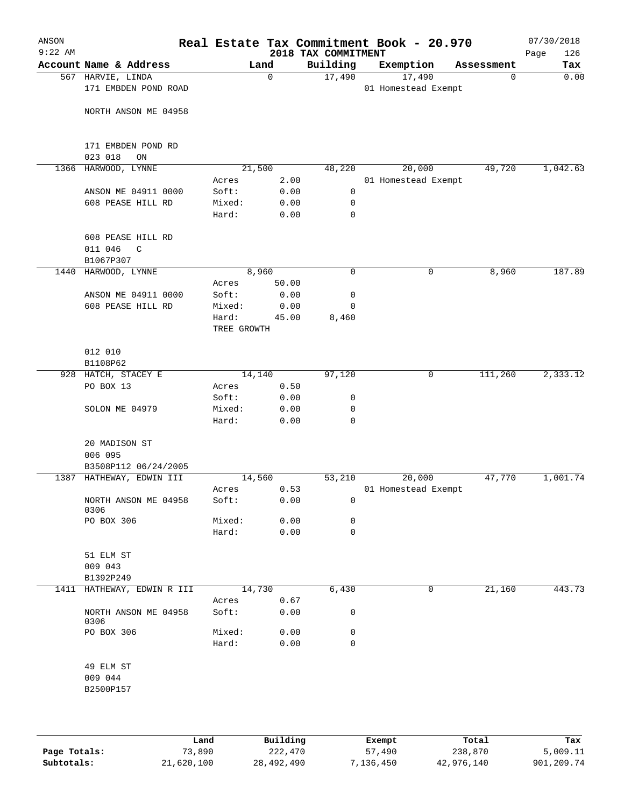| ANSON<br>$9:22$ AM |                                                           |                      |              | Real Estate Tax Commitment Book - 20.970<br>2018 TAX COMMITMENT |                               |            | 07/30/2018<br>126<br>Page |
|--------------------|-----------------------------------------------------------|----------------------|--------------|-----------------------------------------------------------------|-------------------------------|------------|---------------------------|
|                    | Account Name & Address                                    |                      | Land         | Building                                                        | Exemption                     | Assessment | Tax                       |
|                    | 567 HARVIE, LINDA<br>171 EMBDEN POND ROAD                 |                      | 0            | 17,490                                                          | 17,490<br>01 Homestead Exempt | 0          | 0.00                      |
|                    | NORTH ANSON ME 04958                                      |                      |              |                                                                 |                               |            |                           |
|                    | 171 EMBDEN POND RD<br>023 018<br>ON                       |                      |              |                                                                 |                               |            |                           |
|                    | 1366 HARWOOD, LYNNE                                       |                      | 21,500       | 48,220                                                          | 20,000                        | 49,720     | 1,042.63                  |
|                    |                                                           | Acres                | 2.00         |                                                                 | 01 Homestead Exempt           |            |                           |
|                    | ANSON ME 04911 0000                                       | Soft:                | 0.00         | $\mathbf 0$                                                     |                               |            |                           |
|                    | 608 PEASE HILL RD                                         | Mixed:<br>Hard:      | 0.00<br>0.00 | 0<br>$\mathbf 0$                                                |                               |            |                           |
|                    | 608 PEASE HILL RD<br>011 046<br>$\mathsf{C}$<br>B1067P307 |                      |              |                                                                 |                               |            |                           |
| 1440               | HARWOOD, LYNNE                                            |                      | 8,960        | $\mathbf 0$                                                     | 0                             | 8,960      | 187.89                    |
|                    |                                                           | Acres                | 50.00        |                                                                 |                               |            |                           |
|                    | ANSON ME 04911 0000                                       | Soft:                | 0.00         | 0                                                               |                               |            |                           |
|                    | 608 PEASE HILL RD                                         | Mixed:               | 0.00         | 0                                                               |                               |            |                           |
|                    |                                                           | Hard:<br>TREE GROWTH | 45.00        | 8,460                                                           |                               |            |                           |
|                    | 012 010                                                   |                      |              |                                                                 |                               |            |                           |
|                    | B1108P62                                                  |                      |              |                                                                 |                               |            |                           |
|                    | 928 HATCH, STACEY E                                       |                      | 14,140       | 97,120                                                          | 0                             | 111,260    | 2,333.12                  |
|                    | PO BOX 13                                                 | Acres                | 0.50         |                                                                 |                               |            |                           |
|                    |                                                           | Soft:                | 0.00         | 0                                                               |                               |            |                           |
|                    | SOLON ME 04979                                            | Mixed:               | 0.00         | 0                                                               |                               |            |                           |
|                    |                                                           | Hard:                | 0.00         | $\mathbf 0$                                                     |                               |            |                           |
|                    | 20 MADISON ST<br>006 095                                  |                      |              |                                                                 |                               |            |                           |
|                    | B3508P112 06/24/2005                                      |                      |              |                                                                 |                               |            |                           |
|                    | 1387 HATHEWAY, EDWIN III                                  |                      | 14,560       | 53,210                                                          | 20,000                        | 47,770     | 1,001.74                  |
|                    |                                                           | Acres                | 0.53         |                                                                 | 01 Homestead Exempt           |            |                           |
|                    | NORTH ANSON ME 04958<br>0306                              | Soft:                | 0.00         | 0                                                               |                               |            |                           |
|                    | PO BOX 306                                                | Mixed:               | 0.00         | 0                                                               |                               |            |                           |
|                    |                                                           | Hard:                | 0.00         | $\mathbf 0$                                                     |                               |            |                           |
|                    | 51 ELM ST                                                 |                      |              |                                                                 |                               |            |                           |
|                    | 009 043<br>B1392P249                                      |                      |              |                                                                 |                               |            |                           |
|                    | 1411 HATHEWAY, EDWIN R III                                |                      | 14,730       | 6,430                                                           | 0                             | 21,160     | 443.73                    |
|                    |                                                           | Acres                | 0.67         |                                                                 |                               |            |                           |
|                    | NORTH ANSON ME 04958<br>0306                              | Soft:                | 0.00         | 0                                                               |                               |            |                           |
|                    | PO BOX 306                                                | Mixed:               | 0.00         | 0                                                               |                               |            |                           |
|                    |                                                           | Hard:                | 0.00         | 0                                                               |                               |            |                           |
|                    | 49 ELM ST                                                 |                      |              |                                                                 |                               |            |                           |
|                    | 009 044                                                   |                      |              |                                                                 |                               |            |                           |
|                    | B2500P157                                                 |                      |              |                                                                 |                               |            |                           |
|                    |                                                           |                      |              |                                                                 |                               |            |                           |
|                    |                                                           |                      |              |                                                                 |                               |            |                           |
|                    |                                                           |                      |              |                                                                 |                               |            |                           |

|              | Land       | Building   | Exempt    | Total      | Tax        |
|--------------|------------|------------|-----------|------------|------------|
| Page Totals: | 73,890     | 222,470    | 57,490    | 238,870    | 5,009.11   |
| Subtotals:   | 21,620,100 | 28,492,490 | 7,136,450 | 42,976,140 | 901,209.74 |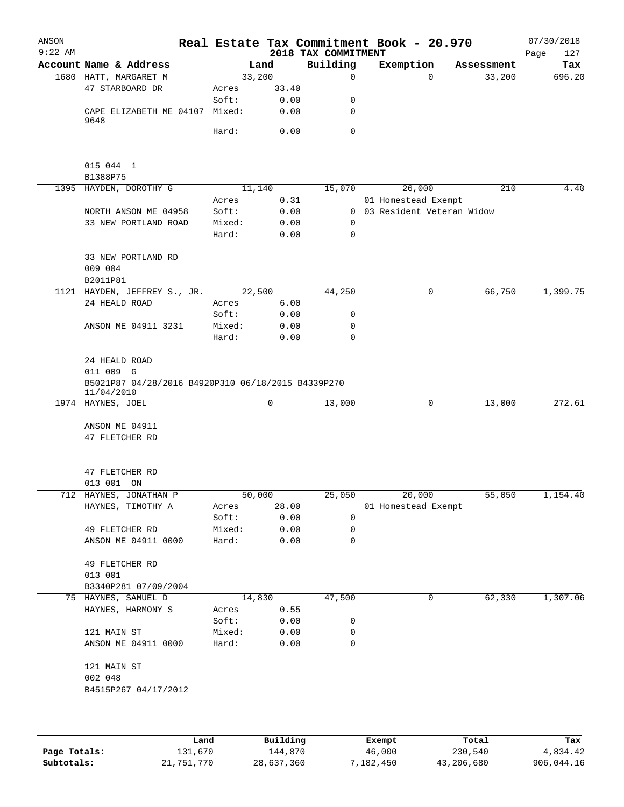| ANSON<br>$9:22$ AM |                                                                  |                 |              | 2018 TAX COMMITMENT | Real Estate Tax Commitment Book - 20.970 |            | 07/30/2018<br>Page<br>127 |
|--------------------|------------------------------------------------------------------|-----------------|--------------|---------------------|------------------------------------------|------------|---------------------------|
|                    | Account Name & Address                                           |                 | Land         | Building            | Exemption                                | Assessment | Tax                       |
|                    | 1680 HATT, MARGARET M                                            | 33,200          |              | $\Omega$            | $\Omega$                                 | 33,200     | 696.20                    |
|                    | 47 STARBOARD DR                                                  | Acres           | 33.40        |                     |                                          |            |                           |
|                    |                                                                  | Soft:           | 0.00         | 0                   |                                          |            |                           |
|                    | CAPE ELIZABETH ME 04107 Mixed:                                   |                 | 0.00         | 0                   |                                          |            |                           |
|                    | 9648                                                             |                 |              | $\mathbf 0$         |                                          |            |                           |
|                    |                                                                  | Hard:           | 0.00         |                     |                                          |            |                           |
|                    |                                                                  |                 |              |                     |                                          |            |                           |
|                    | 015 044 1                                                        |                 |              |                     |                                          |            |                           |
|                    | B1388P75                                                         |                 |              |                     |                                          |            |                           |
|                    | 1395 HAYDEN, DOROTHY G                                           |                 | 11,140       | 15,070              | 26,000                                   | 210        | 4.40                      |
|                    |                                                                  | Acres           | 0.31         |                     | 01 Homestead Exempt                      |            |                           |
|                    | NORTH ANSON ME 04958                                             | Soft:           | 0.00         |                     | 0 03 Resident Veteran Widow              |            |                           |
|                    | 33 NEW PORTLAND ROAD                                             | Mixed:          | 0.00         | $\mathbf 0$         |                                          |            |                           |
|                    |                                                                  | Hard:           | 0.00         | $\mathbf 0$         |                                          |            |                           |
|                    |                                                                  |                 |              |                     |                                          |            |                           |
|                    | 33 NEW PORTLAND RD                                               |                 |              |                     |                                          |            |                           |
|                    | 009 004                                                          |                 |              |                     |                                          |            |                           |
|                    | B2011P81                                                         |                 |              |                     |                                          |            |                           |
|                    | 1121 HAYDEN, JEFFREY S., JR.                                     |                 | 22,500       | 44,250              | 0                                        | 66,750     | 1,399.75                  |
|                    | 24 HEALD ROAD                                                    | Acres           | 6.00         |                     |                                          |            |                           |
|                    |                                                                  | Soft:           | 0.00         | 0<br>$\mathbf 0$    |                                          |            |                           |
|                    | ANSON ME 04911 3231                                              | Mixed:<br>Hard: | 0.00<br>0.00 | $\mathbf 0$         |                                          |            |                           |
|                    |                                                                  |                 |              |                     |                                          |            |                           |
|                    | 24 HEALD ROAD<br>011 009 G                                       |                 |              |                     |                                          |            |                           |
|                    | B5021P87 04/28/2016 B4920P310 06/18/2015 B4339P270<br>11/04/2010 |                 |              |                     |                                          |            |                           |
|                    | 1974 HAYNES, JOEL                                                |                 | 0            | 13,000              | 0                                        | 13,000     | 272.61                    |
|                    | ANSON ME 04911<br>47 FLETCHER RD                                 |                 |              |                     |                                          |            |                           |
|                    | 47 FLETCHER RD<br>013 001 ON                                     |                 |              |                     |                                          |            |                           |
|                    | 712 HAYNES, JONATHAN P                                           | 50,000          |              | 25,050              | 20,000                                   | 55,050     | 1,154.40                  |
|                    | HAYNES, TIMOTHY A                                                | Acres           | 28.00        |                     | 01 Homestead Exempt                      |            |                           |
|                    |                                                                  | Soft:           | 0.00         | 0                   |                                          |            |                           |
|                    | 49 FLETCHER RD                                                   | Mixed:          | 0.00         | 0                   |                                          |            |                           |
|                    | ANSON ME 04911 0000                                              | Hard:           | 0.00         | 0                   |                                          |            |                           |
|                    | 49 FLETCHER RD                                                   |                 |              |                     |                                          |            |                           |
|                    | 013 001                                                          |                 |              |                     |                                          |            |                           |
|                    | B3340P281 07/09/2004                                             |                 |              |                     |                                          |            |                           |
|                    | 75 HAYNES, SAMUEL D                                              |                 | 14,830       | 47,500              | 0                                        | 62,330     | 1,307.06                  |
|                    | HAYNES, HARMONY S                                                | Acres<br>Soft:  | 0.55<br>0.00 | 0                   |                                          |            |                           |
|                    | 121 MAIN ST                                                      | Mixed:          | 0.00         | 0                   |                                          |            |                           |
|                    | ANSON ME 04911 0000                                              | Hard:           | 0.00         | 0                   |                                          |            |                           |
|                    | 121 MAIN ST<br>002 048                                           |                 |              |                     |                                          |            |                           |
|                    | B4515P267 04/17/2012                                             |                 |              |                     |                                          |            |                           |
|                    |                                                                  |                 |              |                     |                                          |            |                           |
|                    |                                                                  |                 |              |                     |                                          |            |                           |

|              | Land       | Building   | Exempt    | Total      | Tax        |
|--------------|------------|------------|-----------|------------|------------|
| Page Totals: | 131,670    | 144,870    | 46,000    | 230,540    | 4,834.42   |
| Subtotals:   | 21,751,770 | 28,637,360 | 7,182,450 | 43,206,680 | 906,044.16 |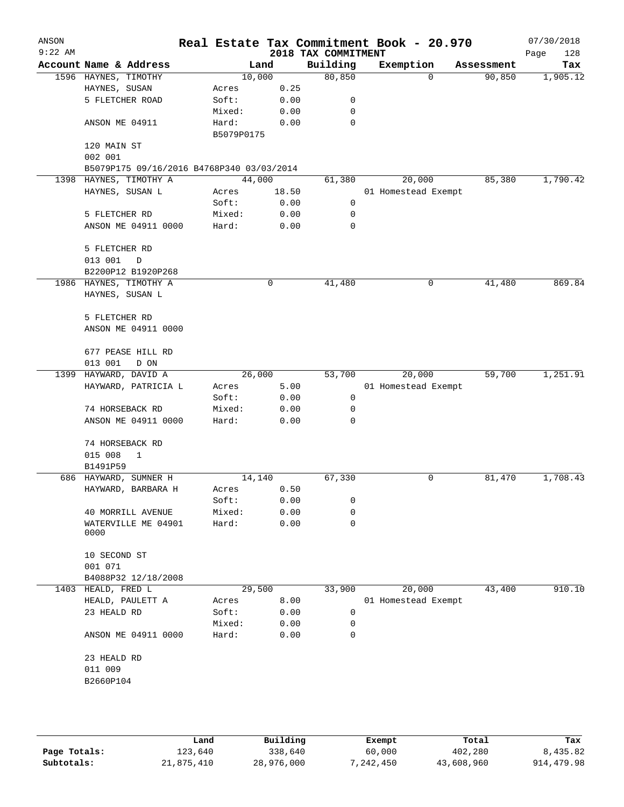| ANSON<br>$9:22$ AM |                                           |                     |        | 2018 TAX COMMITMENT | Real Estate Tax Commitment Book - 20.970 |            | 07/30/2018<br>Page<br>128 |
|--------------------|-------------------------------------------|---------------------|--------|---------------------|------------------------------------------|------------|---------------------------|
|                    | Account Name & Address                    |                     | Land   | Building            | Exemption                                | Assessment | Tax                       |
|                    | 1596 HAYNES, TIMOTHY                      |                     | 10,000 | 80,850              | $\mathbf 0$                              | 90,850     | 1,905.12                  |
|                    | HAYNES, SUSAN                             | Acres               | 0.25   |                     |                                          |            |                           |
|                    | 5 FLETCHER ROAD                           | Soft:               | 0.00   | 0                   |                                          |            |                           |
|                    |                                           | Mixed:              | 0.00   | 0                   |                                          |            |                           |
|                    | ANSON ME 04911                            | Hard:<br>B5079P0175 | 0.00   | $\mathbf 0$         |                                          |            |                           |
|                    | 120 MAIN ST                               |                     |        |                     |                                          |            |                           |
|                    | 002 001                                   |                     |        |                     |                                          |            |                           |
|                    | B5079P175 09/16/2016 B4768P340 03/03/2014 |                     |        |                     |                                          |            |                           |
|                    | 1398 HAYNES, TIMOTHY A                    |                     | 44,000 | 61,380              | 20,000                                   | 85,380     | 1,790.42                  |
|                    | HAYNES, SUSAN L                           | Acres               | 18.50  |                     | 01 Homestead Exempt                      |            |                           |
|                    |                                           | Soft:               | 0.00   | 0                   |                                          |            |                           |
|                    | 5 FLETCHER RD                             | Mixed:              | 0.00   | 0                   |                                          |            |                           |
|                    | ANSON ME 04911 0000                       | Hard:               | 0.00   | 0                   |                                          |            |                           |
|                    | 5 FLETCHER RD                             |                     |        |                     |                                          |            |                           |
|                    | 013 001<br>D                              |                     |        |                     |                                          |            |                           |
|                    | B2200P12 B1920P268                        |                     |        |                     |                                          |            |                           |
|                    | 1986 HAYNES, TIMOTHY A                    |                     | 0      | 41,480              | 0                                        | 41,480     | 869.84                    |
|                    | HAYNES, SUSAN L                           |                     |        |                     |                                          |            |                           |
|                    | 5 FLETCHER RD                             |                     |        |                     |                                          |            |                           |
|                    | ANSON ME 04911 0000                       |                     |        |                     |                                          |            |                           |
|                    | 677 PEASE HILL RD                         |                     |        |                     |                                          |            |                           |
|                    | 013 001<br>D ON                           |                     |        |                     |                                          |            |                           |
| 1399               | HAYWARD, DAVID A                          |                     | 26,000 | 53,700              | 20,000                                   | 59,700     | 1,251.91                  |
|                    | HAYWARD, PATRICIA L                       | Acres               | 5.00   |                     | 01 Homestead Exempt                      |            |                           |
|                    |                                           | Soft:               | 0.00   | 0                   |                                          |            |                           |
|                    | 74 HORSEBACK RD                           | Mixed:              | 0.00   | 0                   |                                          |            |                           |
|                    | ANSON ME 04911 0000                       | Hard:               | 0.00   | 0                   |                                          |            |                           |
|                    | 74 HORSEBACK RD                           |                     |        |                     |                                          |            |                           |
|                    | 015 008<br>1                              |                     |        |                     |                                          |            |                           |
|                    | B1491P59                                  |                     |        |                     |                                          |            |                           |
|                    | 686 HAYWARD, SUMNER H                     |                     | 14,140 | 67,330              | 0                                        | 81,470     | 1,708.43                  |
|                    | HAYWARD, BARBARA H                        | Acres               | 0.50   |                     |                                          |            |                           |
|                    |                                           | Soft:               | 0.00   | 0                   |                                          |            |                           |
|                    | 40 MORRILL AVENUE                         | Mixed:              | 0.00   | 0                   |                                          |            |                           |
|                    | WATERVILLE ME 04901<br>0000               | Hard:               | 0.00   | 0                   |                                          |            |                           |
|                    | 10 SECOND ST                              |                     |        |                     |                                          |            |                           |
|                    | 001 071                                   |                     |        |                     |                                          |            |                           |
|                    | B4088P32 12/18/2008                       |                     |        |                     |                                          |            |                           |
| 1403               | HEALD, FRED L                             |                     | 29,500 | 33,900              | 20,000                                   | 43,400     | 910.10                    |
|                    | HEALD, PAULETT A                          | Acres               | 8.00   |                     | 01 Homestead Exempt                      |            |                           |
|                    | 23 HEALD RD                               | Soft:               | 0.00   | 0                   |                                          |            |                           |
|                    |                                           | Mixed:              | 0.00   | 0                   |                                          |            |                           |
|                    | ANSON ME 04911 0000                       | Hard:               | 0.00   | 0                   |                                          |            |                           |
|                    | 23 HEALD RD                               |                     |        |                     |                                          |            |                           |
|                    | 011 009                                   |                     |        |                     |                                          |            |                           |
|                    | B2660P104                                 |                     |        |                     |                                          |            |                           |
|                    |                                           |                     |        |                     |                                          |            |                           |
|                    |                                           |                     |        |                     |                                          |            |                           |
|                    |                                           |                     |        |                     |                                          |            |                           |

|              | Land       | Building   | Exempt    | Total      | Tax        |
|--------------|------------|------------|-----------|------------|------------|
| Page Totals: | 123,640    | 338,640    | 60,000    | 402,280    | 8,435.82   |
| Subtotals:   | 21,875,410 | 28,976,000 | 7,242,450 | 43,608,960 | 914,479.98 |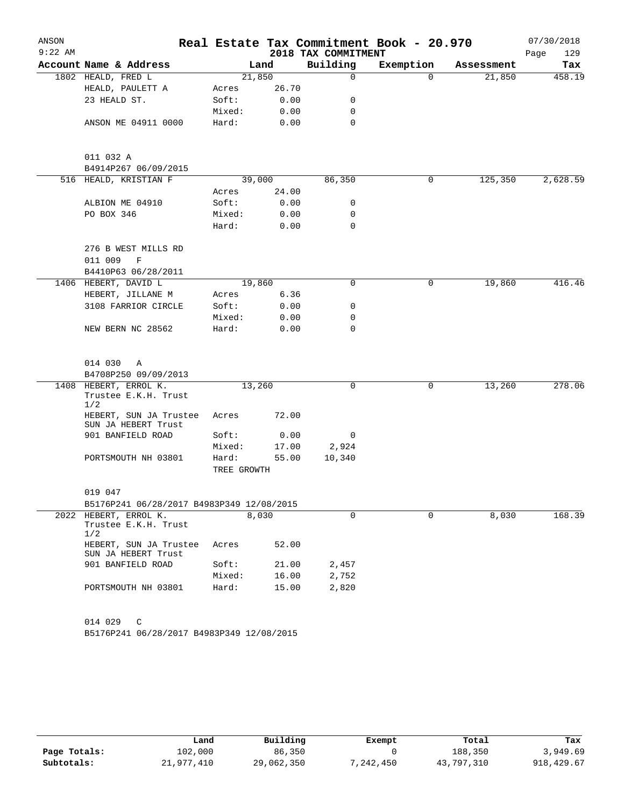| ANSON     |                                                      |             |        |                     | Real Estate Tax Commitment Book - 20.970 |            | 07/30/2018  |
|-----------|------------------------------------------------------|-------------|--------|---------------------|------------------------------------------|------------|-------------|
| $9:22$ AM |                                                      |             |        | 2018 TAX COMMITMENT |                                          |            | Page<br>129 |
|           | Account Name & Address                               |             | Land   | Building            | Exemption                                | Assessment | Tax         |
|           | 1802 HEALD, FRED L                                   |             | 21,850 | 0                   | $\Omega$                                 | 21,850     | 458.19      |
|           | HEALD, PAULETT A                                     | Acres       | 26.70  |                     |                                          |            |             |
|           | 23 HEALD ST.                                         | Soft:       | 0.00   | 0                   |                                          |            |             |
|           |                                                      | Mixed:      | 0.00   | 0                   |                                          |            |             |
|           | ANSON ME 04911 0000                                  | Hard:       | 0.00   | 0                   |                                          |            |             |
|           | 011 032 A                                            |             |        |                     |                                          |            |             |
|           | B4914P267 06/09/2015                                 |             |        |                     |                                          |            |             |
|           | 516 HEALD, KRISTIAN F                                |             | 39,000 | 86,350              | 0                                        | 125,350    | 2,628.59    |
|           |                                                      | Acres       | 24.00  |                     |                                          |            |             |
|           | ALBION ME 04910                                      | Soft:       | 0.00   | 0                   |                                          |            |             |
|           | PO BOX 346                                           | Mixed:      | 0.00   | 0                   |                                          |            |             |
|           |                                                      | Hard:       | 0.00   | 0                   |                                          |            |             |
|           | 276 B WEST MILLS RD                                  |             |        |                     |                                          |            |             |
|           | 011 009<br>$\mathbf F$                               |             |        |                     |                                          |            |             |
|           | B4410P63 06/28/2011                                  |             |        |                     |                                          |            |             |
|           | 1406 HEBERT, DAVID L                                 |             | 19,860 | 0                   | 0                                        | 19,860     | 416.46      |
|           | HEBERT, JILLANE M                                    | Acres       | 6.36   |                     |                                          |            |             |
|           | 3108 FARRIOR CIRCLE                                  | Soft:       | 0.00   | 0                   |                                          |            |             |
|           |                                                      | Mixed:      | 0.00   | 0                   |                                          |            |             |
|           | NEW BERN NC 28562                                    | Hard:       | 0.00   | 0                   |                                          |            |             |
|           | 014 030<br>Α                                         |             |        |                     |                                          |            |             |
|           | B4708P250 09/09/2013                                 |             |        |                     |                                          |            |             |
| 1408      | HEBERT, ERROL K.                                     |             | 13,260 | 0                   | 0                                        | 13,260     | 278.06      |
|           | Trustee E.K.H. Trust<br>1/2                          |             |        |                     |                                          |            |             |
|           | HEBERT, SUN JA Trustee<br>SUN JA HEBERT Trust        | Acres       | 72.00  |                     |                                          |            |             |
|           | 901 BANFIELD ROAD                                    | Soft:       | 0.00   | 0                   |                                          |            |             |
|           |                                                      | Mixed:      | 17.00  | 2,924               |                                          |            |             |
|           | PORTSMOUTH NH 03801                                  | Hard:       | 55.00  | 10,340              |                                          |            |             |
|           |                                                      | TREE GROWTH |        |                     |                                          |            |             |
|           | 019 047                                              |             |        |                     |                                          |            |             |
|           | B5176P241 06/28/2017 B4983P349 12/08/2015            |             |        |                     |                                          |            |             |
|           | 2022 HEBERT, ERROL K.<br>Trustee E.K.H. Trust<br>1/2 |             | 8,030  | $\Omega$            | $\Omega$                                 | 8,030      | 168.39      |
|           | HEBERT, SUN JA Trustee<br>SUN JA HEBERT Trust        | Acres       | 52.00  |                     |                                          |            |             |
|           | 901 BANFIELD ROAD                                    | Soft:       | 21.00  | 2,457               |                                          |            |             |
|           |                                                      | Mixed:      | 16.00  | 2,752               |                                          |            |             |
|           | PORTSMOUTH NH 03801                                  | Hard:       | 15.00  | 2,820               |                                          |            |             |
|           |                                                      |             |        |                     |                                          |            |             |
|           | 014 029<br>C                                         |             |        |                     |                                          |            |             |
|           | B5176P241 06/28/2017 B4983P349 12/08/2015            |             |        |                     |                                          |            |             |

|              | Land       | Building   | Exempt    | Total      | Tax         |
|--------------|------------|------------|-----------|------------|-------------|
| Page Totals: | 102,000    | 86,350     |           | 188,350    | 3,949.69    |
| Subtotals:   | 21,977,410 | 29,062,350 | 7,242,450 | 43,797,310 | 918, 429.67 |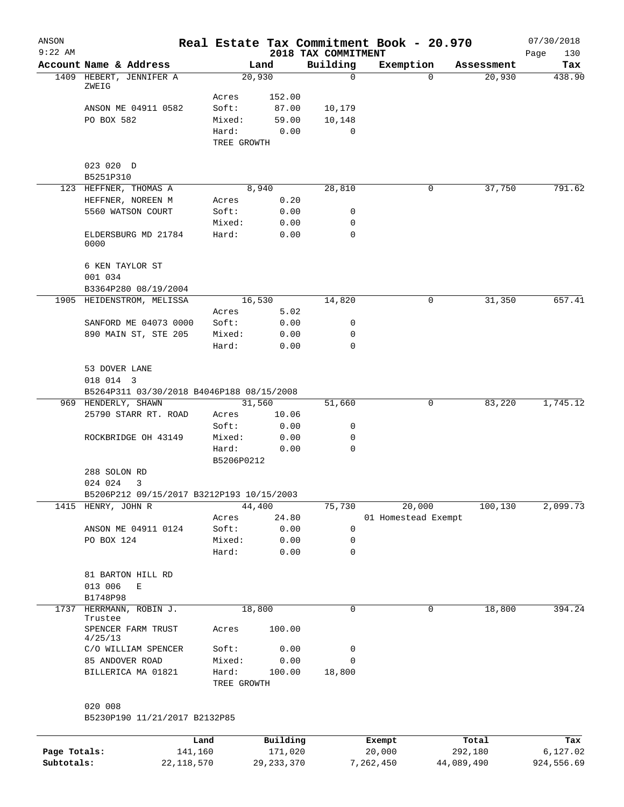| ANSON<br>$9:22$ AM |                                           |             |              | 2018 TAX COMMITMENT | Real Estate Tax Commitment Book - 20.970 |            | 07/30/2018<br>Page<br>130 |
|--------------------|-------------------------------------------|-------------|--------------|---------------------|------------------------------------------|------------|---------------------------|
|                    | Account Name & Address                    |             | Land         | Building            | Exemption                                | Assessment | Tax                       |
|                    | 1409 HEBERT, JENNIFER A                   |             | 20,930       | $\mathbf 0$         | $\Omega$                                 | 20,930     | 438.90                    |
|                    | ZWEIG                                     |             |              |                     |                                          |            |                           |
|                    |                                           | Acres       | 152.00       |                     |                                          |            |                           |
|                    | ANSON ME 04911 0582                       | Soft:       | 87.00        | 10,179              |                                          |            |                           |
|                    | PO BOX 582                                | Mixed:      | 59.00        | 10,148              |                                          |            |                           |
|                    |                                           | Hard:       | 0.00         | $\mathbf 0$         |                                          |            |                           |
|                    |                                           | TREE GROWTH |              |                     |                                          |            |                           |
|                    |                                           |             |              |                     |                                          |            |                           |
|                    | 023 020 D<br>B5251P310                    |             |              |                     |                                          |            |                           |
|                    | 123 HEFFNER, THOMAS A                     |             | 8,940        | 28,810              | 0                                        | 37,750     | 791.62                    |
|                    | HEFFNER, NOREEN M                         | Acres       | 0.20         |                     |                                          |            |                           |
|                    | 5560 WATSON COURT                         | Soft:       | 0.00         | 0                   |                                          |            |                           |
|                    |                                           | Mixed:      | 0.00         | 0                   |                                          |            |                           |
|                    | ELDERSBURG MD 21784                       | Hard:       | 0.00         | 0                   |                                          |            |                           |
|                    | 0000                                      |             |              |                     |                                          |            |                           |
|                    | 6 KEN TAYLOR ST                           |             |              |                     |                                          |            |                           |
|                    | 001 034                                   |             |              |                     |                                          |            |                           |
|                    | B3364P280 08/19/2004                      |             |              |                     |                                          |            |                           |
|                    | 1905 HEIDENSTROM, MELISSA                 |             | 16,530       | 14,820              | 0                                        | 31,350     | 657.41                    |
|                    |                                           | Acres       | 5.02         |                     |                                          |            |                           |
|                    | SANFORD ME 04073 0000                     | Soft:       | 0.00         | 0                   |                                          |            |                           |
|                    | 890 MAIN ST, STE 205                      | Mixed:      | 0.00         | 0                   |                                          |            |                           |
|                    |                                           | Hard:       | 0.00         | 0                   |                                          |            |                           |
|                    |                                           |             |              |                     |                                          |            |                           |
|                    | 53 DOVER LANE                             |             |              |                     |                                          |            |                           |
|                    | 018 014 3                                 |             |              |                     |                                          |            |                           |
|                    | B5264P311 03/30/2018 B4046P188 08/15/2008 |             |              |                     |                                          |            |                           |
|                    | 969 HENDERLY, SHAWN                       |             | 31,560       | 51,660              | 0                                        | 83,220     | 1,745.12                  |
|                    | 25790 STARR RT. ROAD                      | Acres       | 10.06        |                     |                                          |            |                           |
|                    |                                           | Soft:       | 0.00         | 0                   |                                          |            |                           |
|                    | ROCKBRIDGE OH 43149                       | Mixed:      | 0.00         | 0                   |                                          |            |                           |
|                    |                                           | Hard:       | 0.00         | 0                   |                                          |            |                           |
|                    |                                           | B5206P0212  |              |                     |                                          |            |                           |
|                    | 288 SOLON RD                              |             |              |                     |                                          |            |                           |
|                    | 024 024<br>3                              |             |              |                     |                                          |            |                           |
|                    | B5206P212 09/15/2017 B3212P193 10/15/2003 |             |              |                     |                                          |            |                           |
| 1415               | HENRY, JOHN R                             |             | 44,400       | 75,730              | 20,000                                   | 100,130    | 2,099.73                  |
|                    |                                           | Acres       | 24.80        |                     | 01 Homestead Exempt                      |            |                           |
|                    | ANSON ME 04911 0124                       | Soft:       | 0.00         | $\mathbf 0$         |                                          |            |                           |
|                    | PO BOX 124                                | Mixed:      | 0.00         | 0                   |                                          |            |                           |
|                    |                                           | Hard:       | 0.00         | $\mathbf 0$         |                                          |            |                           |
|                    |                                           |             |              |                     |                                          |            |                           |
|                    | 81 BARTON HILL RD                         |             |              |                     |                                          |            |                           |
|                    | 013 006<br>Ε                              |             |              |                     |                                          |            |                           |
|                    | B1748P98                                  |             |              |                     |                                          |            |                           |
| 1737               | HERRMANN, ROBIN J.                        |             | 18,800       | $\mathbf 0$         | 0                                        | 18,800     | 394.24                    |
|                    | Trustee                                   |             |              |                     |                                          |            |                           |
|                    | SPENCER FARM TRUST<br>4/25/13             | Acres       | 100.00       |                     |                                          |            |                           |
|                    | C/O WILLIAM SPENCER                       | Soft:       | 0.00         | 0                   |                                          |            |                           |
|                    | 85 ANDOVER ROAD                           | Mixed:      | 0.00         | 0                   |                                          |            |                           |
|                    |                                           | Hard:       |              | 18,800              |                                          |            |                           |
|                    | BILLERICA MA 01821                        | TREE GROWTH | 100.00       |                     |                                          |            |                           |
|                    |                                           |             |              |                     |                                          |            |                           |
|                    | 020 008<br>B5230P190 11/21/2017 B2132P85  |             |              |                     |                                          |            |                           |
|                    |                                           |             |              |                     |                                          |            |                           |
|                    |                                           | Land        | Building     |                     | Exempt                                   | Total      | Tax                       |
| Page Totals:       |                                           | 141,160     | 171,020      |                     | 20,000                                   | 292,180    | 6,127.02                  |
| Subtotals:         | 22, 118, 570                              |             | 29, 233, 370 |                     | 7,262,450                                | 44,089,490 | 924,556.69                |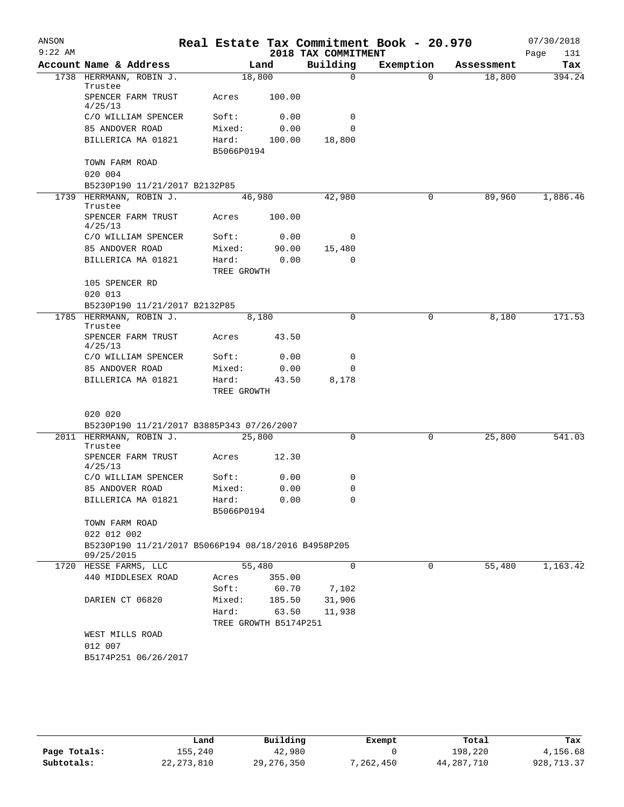| 2018 TAX COMMITMENT<br>Page<br>131<br>Account Name & Address<br>Building<br>Exemption<br>Tax<br>Land<br>Assessment<br>$\Omega$<br>1738 HERRMANN, ROBIN J.<br>18,800<br>$\Omega$<br>18,800<br>394.24<br>Trustee<br>SPENCER FARM TRUST<br>Acres<br>100.00<br>4/25/13<br>C/O WILLIAM SPENCER<br>Soft:<br>0.00<br>0<br>85 ANDOVER ROAD<br>Mixed:<br>0.00<br>0<br>BILLERICA MA 01821<br>Hard:<br>100.00<br>18,800<br>B5066P0194<br>TOWN FARM ROAD<br>020 004<br>B5230P190 11/21/2017 B2132P85<br>1,886.46<br>1739 HERRMANN, ROBIN J.<br>46,980<br>42,980<br>0<br>89,960<br>Trustee<br>SPENCER FARM TRUST<br>Acres<br>100.00<br>4/25/13<br>C/O WILLIAM SPENCER<br>Soft:<br>0.00<br>0<br>85 ANDOVER ROAD<br>15,480<br>Mixed:<br>90.00<br>BILLERICA MA 01821<br>Hard:<br>0.00<br>$\Omega$<br>TREE GROWTH<br>105 SPENCER RD<br>020 013<br>B5230P190 11/21/2017 B2132P85<br>1785 HERRMANN, ROBIN J.<br>0<br>171.53<br>0<br>8,180<br>8,180<br>Trustee<br>SPENCER FARM TRUST<br>Acres<br>43.50<br>4/25/13<br>C/O WILLIAM SPENCER<br>Soft:<br>0.00<br>0<br>85 ANDOVER ROAD<br>Mixed:<br>0.00<br>0<br>Hard:<br>BILLERICA MA 01821<br>43.50<br>8,178<br>TREE GROWTH<br>020 020<br>B5230P190 11/21/2017 B3885P343 07/26/2007<br>25,800<br>541.03<br>2011 HERRMANN, ROBIN J.<br>25,800<br>0<br>0<br>Trustee<br>SPENCER FARM TRUST<br>12.30<br>Acres<br>4/25/13<br>C/O WILLIAM SPENCER<br>0<br>Soft:<br>0.00<br>85 ANDOVER ROAD<br>$\Omega$<br>Mixed:<br>0.00<br>BILLERICA MA 01821<br>Hard:<br>0.00<br>0<br>B5066P0194<br>TOWN FARM ROAD<br>022 012 002<br>B5230P190 11/21/2017 B5066P194 08/18/2016 B4958P205<br>09/25/2015<br>55,480<br>$\mathbf 0$<br>55,480<br>1720 HESSE FARMS, LLC<br>0<br>1,163.42<br>440 MIDDLESEX ROAD<br>355.00<br>Acres<br>Soft:<br>60.70<br>7,102<br>31,906<br>DARIEN CT 06820<br>Mixed:<br>185.50<br>Hard:<br>63.50<br>11,938<br>TREE GROWTH B5174P251<br>WEST MILLS ROAD<br>012 007<br>B5174P251 06/26/2017 | ANSON<br>$9:22$ AM |  |  | Real Estate Tax Commitment Book - 20.970 | 07/30/2018 |
|--------------------------------------------------------------------------------------------------------------------------------------------------------------------------------------------------------------------------------------------------------------------------------------------------------------------------------------------------------------------------------------------------------------------------------------------------------------------------------------------------------------------------------------------------------------------------------------------------------------------------------------------------------------------------------------------------------------------------------------------------------------------------------------------------------------------------------------------------------------------------------------------------------------------------------------------------------------------------------------------------------------------------------------------------------------------------------------------------------------------------------------------------------------------------------------------------------------------------------------------------------------------------------------------------------------------------------------------------------------------------------------------------------------------------------------------------------------------------------------------------------------------------------------------------------------------------------------------------------------------------------------------------------------------------------------------------------------------------------------------------------------------------------------------------------------------------------------------------------------------------------------------------------------------------|--------------------|--|--|------------------------------------------|------------|
|                                                                                                                                                                                                                                                                                                                                                                                                                                                                                                                                                                                                                                                                                                                                                                                                                                                                                                                                                                                                                                                                                                                                                                                                                                                                                                                                                                                                                                                                                                                                                                                                                                                                                                                                                                                                                                                                                                                          |                    |  |  |                                          |            |
|                                                                                                                                                                                                                                                                                                                                                                                                                                                                                                                                                                                                                                                                                                                                                                                                                                                                                                                                                                                                                                                                                                                                                                                                                                                                                                                                                                                                                                                                                                                                                                                                                                                                                                                                                                                                                                                                                                                          |                    |  |  |                                          |            |
|                                                                                                                                                                                                                                                                                                                                                                                                                                                                                                                                                                                                                                                                                                                                                                                                                                                                                                                                                                                                                                                                                                                                                                                                                                                                                                                                                                                                                                                                                                                                                                                                                                                                                                                                                                                                                                                                                                                          |                    |  |  |                                          |            |
|                                                                                                                                                                                                                                                                                                                                                                                                                                                                                                                                                                                                                                                                                                                                                                                                                                                                                                                                                                                                                                                                                                                                                                                                                                                                                                                                                                                                                                                                                                                                                                                                                                                                                                                                                                                                                                                                                                                          |                    |  |  |                                          |            |
|                                                                                                                                                                                                                                                                                                                                                                                                                                                                                                                                                                                                                                                                                                                                                                                                                                                                                                                                                                                                                                                                                                                                                                                                                                                                                                                                                                                                                                                                                                                                                                                                                                                                                                                                                                                                                                                                                                                          |                    |  |  |                                          |            |
|                                                                                                                                                                                                                                                                                                                                                                                                                                                                                                                                                                                                                                                                                                                                                                                                                                                                                                                                                                                                                                                                                                                                                                                                                                                                                                                                                                                                                                                                                                                                                                                                                                                                                                                                                                                                                                                                                                                          |                    |  |  |                                          |            |
|                                                                                                                                                                                                                                                                                                                                                                                                                                                                                                                                                                                                                                                                                                                                                                                                                                                                                                                                                                                                                                                                                                                                                                                                                                                                                                                                                                                                                                                                                                                                                                                                                                                                                                                                                                                                                                                                                                                          |                    |  |  |                                          |            |
|                                                                                                                                                                                                                                                                                                                                                                                                                                                                                                                                                                                                                                                                                                                                                                                                                                                                                                                                                                                                                                                                                                                                                                                                                                                                                                                                                                                                                                                                                                                                                                                                                                                                                                                                                                                                                                                                                                                          |                    |  |  |                                          |            |
|                                                                                                                                                                                                                                                                                                                                                                                                                                                                                                                                                                                                                                                                                                                                                                                                                                                                                                                                                                                                                                                                                                                                                                                                                                                                                                                                                                                                                                                                                                                                                                                                                                                                                                                                                                                                                                                                                                                          |                    |  |  |                                          |            |
|                                                                                                                                                                                                                                                                                                                                                                                                                                                                                                                                                                                                                                                                                                                                                                                                                                                                                                                                                                                                                                                                                                                                                                                                                                                                                                                                                                                                                                                                                                                                                                                                                                                                                                                                                                                                                                                                                                                          |                    |  |  |                                          |            |
|                                                                                                                                                                                                                                                                                                                                                                                                                                                                                                                                                                                                                                                                                                                                                                                                                                                                                                                                                                                                                                                                                                                                                                                                                                                                                                                                                                                                                                                                                                                                                                                                                                                                                                                                                                                                                                                                                                                          |                    |  |  |                                          |            |
|                                                                                                                                                                                                                                                                                                                                                                                                                                                                                                                                                                                                                                                                                                                                                                                                                                                                                                                                                                                                                                                                                                                                                                                                                                                                                                                                                                                                                                                                                                                                                                                                                                                                                                                                                                                                                                                                                                                          |                    |  |  |                                          |            |
|                                                                                                                                                                                                                                                                                                                                                                                                                                                                                                                                                                                                                                                                                                                                                                                                                                                                                                                                                                                                                                                                                                                                                                                                                                                                                                                                                                                                                                                                                                                                                                                                                                                                                                                                                                                                                                                                                                                          |                    |  |  |                                          |            |
|                                                                                                                                                                                                                                                                                                                                                                                                                                                                                                                                                                                                                                                                                                                                                                                                                                                                                                                                                                                                                                                                                                                                                                                                                                                                                                                                                                                                                                                                                                                                                                                                                                                                                                                                                                                                                                                                                                                          |                    |  |  |                                          |            |
|                                                                                                                                                                                                                                                                                                                                                                                                                                                                                                                                                                                                                                                                                                                                                                                                                                                                                                                                                                                                                                                                                                                                                                                                                                                                                                                                                                                                                                                                                                                                                                                                                                                                                                                                                                                                                                                                                                                          |                    |  |  |                                          |            |
|                                                                                                                                                                                                                                                                                                                                                                                                                                                                                                                                                                                                                                                                                                                                                                                                                                                                                                                                                                                                                                                                                                                                                                                                                                                                                                                                                                                                                                                                                                                                                                                                                                                                                                                                                                                                                                                                                                                          |                    |  |  |                                          |            |
|                                                                                                                                                                                                                                                                                                                                                                                                                                                                                                                                                                                                                                                                                                                                                                                                                                                                                                                                                                                                                                                                                                                                                                                                                                                                                                                                                                                                                                                                                                                                                                                                                                                                                                                                                                                                                                                                                                                          |                    |  |  |                                          |            |
|                                                                                                                                                                                                                                                                                                                                                                                                                                                                                                                                                                                                                                                                                                                                                                                                                                                                                                                                                                                                                                                                                                                                                                                                                                                                                                                                                                                                                                                                                                                                                                                                                                                                                                                                                                                                                                                                                                                          |                    |  |  |                                          |            |
|                                                                                                                                                                                                                                                                                                                                                                                                                                                                                                                                                                                                                                                                                                                                                                                                                                                                                                                                                                                                                                                                                                                                                                                                                                                                                                                                                                                                                                                                                                                                                                                                                                                                                                                                                                                                                                                                                                                          |                    |  |  |                                          |            |
|                                                                                                                                                                                                                                                                                                                                                                                                                                                                                                                                                                                                                                                                                                                                                                                                                                                                                                                                                                                                                                                                                                                                                                                                                                                                                                                                                                                                                                                                                                                                                                                                                                                                                                                                                                                                                                                                                                                          |                    |  |  |                                          |            |
|                                                                                                                                                                                                                                                                                                                                                                                                                                                                                                                                                                                                                                                                                                                                                                                                                                                                                                                                                                                                                                                                                                                                                                                                                                                                                                                                                                                                                                                                                                                                                                                                                                                                                                                                                                                                                                                                                                                          |                    |  |  |                                          |            |
|                                                                                                                                                                                                                                                                                                                                                                                                                                                                                                                                                                                                                                                                                                                                                                                                                                                                                                                                                                                                                                                                                                                                                                                                                                                                                                                                                                                                                                                                                                                                                                                                                                                                                                                                                                                                                                                                                                                          |                    |  |  |                                          |            |
|                                                                                                                                                                                                                                                                                                                                                                                                                                                                                                                                                                                                                                                                                                                                                                                                                                                                                                                                                                                                                                                                                                                                                                                                                                                                                                                                                                                                                                                                                                                                                                                                                                                                                                                                                                                                                                                                                                                          |                    |  |  |                                          |            |
|                                                                                                                                                                                                                                                                                                                                                                                                                                                                                                                                                                                                                                                                                                                                                                                                                                                                                                                                                                                                                                                                                                                                                                                                                                                                                                                                                                                                                                                                                                                                                                                                                                                                                                                                                                                                                                                                                                                          |                    |  |  |                                          |            |
|                                                                                                                                                                                                                                                                                                                                                                                                                                                                                                                                                                                                                                                                                                                                                                                                                                                                                                                                                                                                                                                                                                                                                                                                                                                                                                                                                                                                                                                                                                                                                                                                                                                                                                                                                                                                                                                                                                                          |                    |  |  |                                          |            |
|                                                                                                                                                                                                                                                                                                                                                                                                                                                                                                                                                                                                                                                                                                                                                                                                                                                                                                                                                                                                                                                                                                                                                                                                                                                                                                                                                                                                                                                                                                                                                                                                                                                                                                                                                                                                                                                                                                                          |                    |  |  |                                          |            |
|                                                                                                                                                                                                                                                                                                                                                                                                                                                                                                                                                                                                                                                                                                                                                                                                                                                                                                                                                                                                                                                                                                                                                                                                                                                                                                                                                                                                                                                                                                                                                                                                                                                                                                                                                                                                                                                                                                                          |                    |  |  |                                          |            |
|                                                                                                                                                                                                                                                                                                                                                                                                                                                                                                                                                                                                                                                                                                                                                                                                                                                                                                                                                                                                                                                                                                                                                                                                                                                                                                                                                                                                                                                                                                                                                                                                                                                                                                                                                                                                                                                                                                                          |                    |  |  |                                          |            |
|                                                                                                                                                                                                                                                                                                                                                                                                                                                                                                                                                                                                                                                                                                                                                                                                                                                                                                                                                                                                                                                                                                                                                                                                                                                                                                                                                                                                                                                                                                                                                                                                                                                                                                                                                                                                                                                                                                                          |                    |  |  |                                          |            |
|                                                                                                                                                                                                                                                                                                                                                                                                                                                                                                                                                                                                                                                                                                                                                                                                                                                                                                                                                                                                                                                                                                                                                                                                                                                                                                                                                                                                                                                                                                                                                                                                                                                                                                                                                                                                                                                                                                                          |                    |  |  |                                          |            |
|                                                                                                                                                                                                                                                                                                                                                                                                                                                                                                                                                                                                                                                                                                                                                                                                                                                                                                                                                                                                                                                                                                                                                                                                                                                                                                                                                                                                                                                                                                                                                                                                                                                                                                                                                                                                                                                                                                                          |                    |  |  |                                          |            |
|                                                                                                                                                                                                                                                                                                                                                                                                                                                                                                                                                                                                                                                                                                                                                                                                                                                                                                                                                                                                                                                                                                                                                                                                                                                                                                                                                                                                                                                                                                                                                                                                                                                                                                                                                                                                                                                                                                                          |                    |  |  |                                          |            |
|                                                                                                                                                                                                                                                                                                                                                                                                                                                                                                                                                                                                                                                                                                                                                                                                                                                                                                                                                                                                                                                                                                                                                                                                                                                                                                                                                                                                                                                                                                                                                                                                                                                                                                                                                                                                                                                                                                                          |                    |  |  |                                          |            |
|                                                                                                                                                                                                                                                                                                                                                                                                                                                                                                                                                                                                                                                                                                                                                                                                                                                                                                                                                                                                                                                                                                                                                                                                                                                                                                                                                                                                                                                                                                                                                                                                                                                                                                                                                                                                                                                                                                                          |                    |  |  |                                          |            |
|                                                                                                                                                                                                                                                                                                                                                                                                                                                                                                                                                                                                                                                                                                                                                                                                                                                                                                                                                                                                                                                                                                                                                                                                                                                                                                                                                                                                                                                                                                                                                                                                                                                                                                                                                                                                                                                                                                                          |                    |  |  |                                          |            |
|                                                                                                                                                                                                                                                                                                                                                                                                                                                                                                                                                                                                                                                                                                                                                                                                                                                                                                                                                                                                                                                                                                                                                                                                                                                                                                                                                                                                                                                                                                                                                                                                                                                                                                                                                                                                                                                                                                                          |                    |  |  |                                          |            |
|                                                                                                                                                                                                                                                                                                                                                                                                                                                                                                                                                                                                                                                                                                                                                                                                                                                                                                                                                                                                                                                                                                                                                                                                                                                                                                                                                                                                                                                                                                                                                                                                                                                                                                                                                                                                                                                                                                                          |                    |  |  |                                          |            |
|                                                                                                                                                                                                                                                                                                                                                                                                                                                                                                                                                                                                                                                                                                                                                                                                                                                                                                                                                                                                                                                                                                                                                                                                                                                                                                                                                                                                                                                                                                                                                                                                                                                                                                                                                                                                                                                                                                                          |                    |  |  |                                          |            |
|                                                                                                                                                                                                                                                                                                                                                                                                                                                                                                                                                                                                                                                                                                                                                                                                                                                                                                                                                                                                                                                                                                                                                                                                                                                                                                                                                                                                                                                                                                                                                                                                                                                                                                                                                                                                                                                                                                                          |                    |  |  |                                          |            |
|                                                                                                                                                                                                                                                                                                                                                                                                                                                                                                                                                                                                                                                                                                                                                                                                                                                                                                                                                                                                                                                                                                                                                                                                                                                                                                                                                                                                                                                                                                                                                                                                                                                                                                                                                                                                                                                                                                                          |                    |  |  |                                          |            |
|                                                                                                                                                                                                                                                                                                                                                                                                                                                                                                                                                                                                                                                                                                                                                                                                                                                                                                                                                                                                                                                                                                                                                                                                                                                                                                                                                                                                                                                                                                                                                                                                                                                                                                                                                                                                                                                                                                                          |                    |  |  |                                          |            |
|                                                                                                                                                                                                                                                                                                                                                                                                                                                                                                                                                                                                                                                                                                                                                                                                                                                                                                                                                                                                                                                                                                                                                                                                                                                                                                                                                                                                                                                                                                                                                                                                                                                                                                                                                                                                                                                                                                                          |                    |  |  |                                          |            |
|                                                                                                                                                                                                                                                                                                                                                                                                                                                                                                                                                                                                                                                                                                                                                                                                                                                                                                                                                                                                                                                                                                                                                                                                                                                                                                                                                                                                                                                                                                                                                                                                                                                                                                                                                                                                                                                                                                                          |                    |  |  |                                          |            |
|                                                                                                                                                                                                                                                                                                                                                                                                                                                                                                                                                                                                                                                                                                                                                                                                                                                                                                                                                                                                                                                                                                                                                                                                                                                                                                                                                                                                                                                                                                                                                                                                                                                                                                                                                                                                                                                                                                                          |                    |  |  |                                          |            |

|              | Land         | Building     | Exempt    | Total      | Tax         |
|--------------|--------------|--------------|-----------|------------|-------------|
| Page Totals: | 155,240      | 42,980       |           | 198,220    | 4,156.68    |
| Subtotals:   | 22, 273, 810 | 29, 276, 350 | 7,262,450 | 44,287,710 | 928, 713.37 |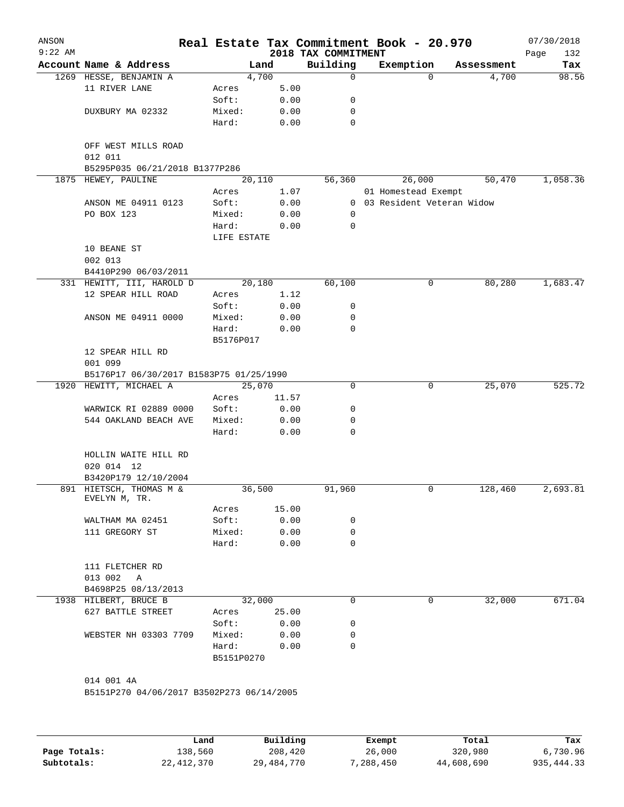| ANSON     |                                           |                     |       |                     | Real Estate Tax Commitment Book - 20.970 |                     | 07/30/2018         |
|-----------|-------------------------------------------|---------------------|-------|---------------------|------------------------------------------|---------------------|--------------------|
| $9:22$ AM | Account Name & Address                    |                     |       | 2018 TAX COMMITMENT |                                          |                     | Page<br>132<br>Tax |
|           | 1269 HESSE, BENJAMIN A                    | 4,700               | Land  | Building<br>0       | Exemption<br>$\Omega$                    | Assessment<br>4,700 | 98.56              |
|           | 11 RIVER LANE                             | Acres               | 5.00  |                     |                                          |                     |                    |
|           |                                           | Soft:               | 0.00  | 0                   |                                          |                     |                    |
|           | DUXBURY MA 02332                          | Mixed:              | 0.00  | 0                   |                                          |                     |                    |
|           |                                           | Hard:               | 0.00  | 0                   |                                          |                     |                    |
|           | OFF WEST MILLS ROAD<br>012 011            |                     |       |                     |                                          |                     |                    |
|           | B5295P035 06/21/2018 B1377P286            |                     |       |                     |                                          |                     |                    |
| 1875      | HEWEY, PAULINE                            | 20,110              |       | 56,360              | 26,000                                   | 50,470              | 1,058.36           |
|           |                                           | Acres               | 1.07  |                     | 01 Homestead Exempt                      |                     |                    |
|           | ANSON ME 04911 0123                       | Soft:               | 0.00  |                     | 0 03 Resident Veteran Widow              |                     |                    |
|           | PO BOX 123                                | Mixed:              | 0.00  | $\mathbf 0$         |                                          |                     |                    |
|           |                                           | Hard:               | 0.00  | 0                   |                                          |                     |                    |
|           |                                           | LIFE ESTATE         |       |                     |                                          |                     |                    |
|           | 10 BEANE ST<br>002 013                    |                     |       |                     |                                          |                     |                    |
|           | B4410P290 06/03/2011                      |                     |       |                     |                                          |                     |                    |
|           | 331 HEWITT, III, HAROLD D                 | 20,180              |       | 60,100              | 0                                        | 80,280              | 1,683.47           |
|           | 12 SPEAR HILL ROAD                        | Acres               | 1.12  |                     |                                          |                     |                    |
|           |                                           | Soft:               | 0.00  | 0                   |                                          |                     |                    |
|           | ANSON ME 04911 0000                       | Mixed:              | 0.00  | 0                   |                                          |                     |                    |
|           |                                           | Hard:               | 0.00  | 0                   |                                          |                     |                    |
|           |                                           | B5176P017           |       |                     |                                          |                     |                    |
|           | 12 SPEAR HILL RD<br>001 099               |                     |       |                     |                                          |                     |                    |
|           | B5176P17 06/30/2017 B1583P75 01/25/1990   |                     |       |                     |                                          |                     |                    |
|           | 1920 HEWITT, MICHAEL A                    | 25,070              |       | 0                   | 0                                        | 25,070              | 525.72             |
|           |                                           | Acres               | 11.57 |                     |                                          |                     |                    |
|           | WARWICK RI 02889 0000                     | Soft:               | 0.00  | 0                   |                                          |                     |                    |
|           | 544 OAKLAND BEACH AVE                     | Mixed:              | 0.00  | 0                   |                                          |                     |                    |
|           |                                           | Hard:               | 0.00  | 0                   |                                          |                     |                    |
|           | HOLLIN WAITE HILL RD                      |                     |       |                     |                                          |                     |                    |
|           | 020 014 12                                |                     |       |                     |                                          |                     |                    |
|           | B3420P179 12/10/2004                      |                     |       |                     |                                          |                     |                    |
|           | 891 HIETSCH, THOMAS M &<br>EVELYN M, TR.  | 36,500              |       | 91,960              | 0                                        | 128,460             | 2,693.81           |
|           |                                           | Acres               | 15.00 |                     |                                          |                     |                    |
|           | WALTHAM MA 02451                          | Soft:               | 0.00  | 0                   |                                          |                     |                    |
|           | 111 GREGORY ST                            | Mixed:              | 0.00  | 0                   |                                          |                     |                    |
|           |                                           | Hard:               | 0.00  | $\Omega$            |                                          |                     |                    |
|           | 111 FLETCHER RD                           |                     |       |                     |                                          |                     |                    |
|           | 013 002<br>A                              |                     |       |                     |                                          |                     |                    |
|           | B4698P25 08/13/2013                       |                     |       |                     |                                          |                     |                    |
|           | 1938 HILBERT, BRUCE B                     | 32,000              |       | 0                   | 0                                        | 32,000              | 671.04             |
|           | 627 BATTLE STREET                         | Acres               | 25.00 |                     |                                          |                     |                    |
|           |                                           | Soft:               | 0.00  | 0                   |                                          |                     |                    |
|           | WEBSTER NH 03303 7709                     | Mixed:              | 0.00  | 0                   |                                          |                     |                    |
|           |                                           | Hard:<br>B5151P0270 | 0.00  | 0                   |                                          |                     |                    |
|           | 014 001 4A                                |                     |       |                     |                                          |                     |                    |
|           | B5151P270 04/06/2017 B3502P273 06/14/2005 |                     |       |                     |                                          |                     |                    |
|           |                                           |                     |       |                     |                                          |                     |                    |
|           |                                           |                     |       |                     |                                          |                     |                    |
|           |                                           |                     |       |                     |                                          |                     |                    |

|              | Land         | Building     | Exempt    | Total      | Tax        |
|--------------|--------------|--------------|-----------|------------|------------|
| Page Totals: | 138,560      | 208,420      | 26,000    | 320,980    | 6,730.96   |
| Subtotals:   | 22, 412, 370 | 29, 484, 770 | 7,288,450 | 44,608,690 | 935,444.33 |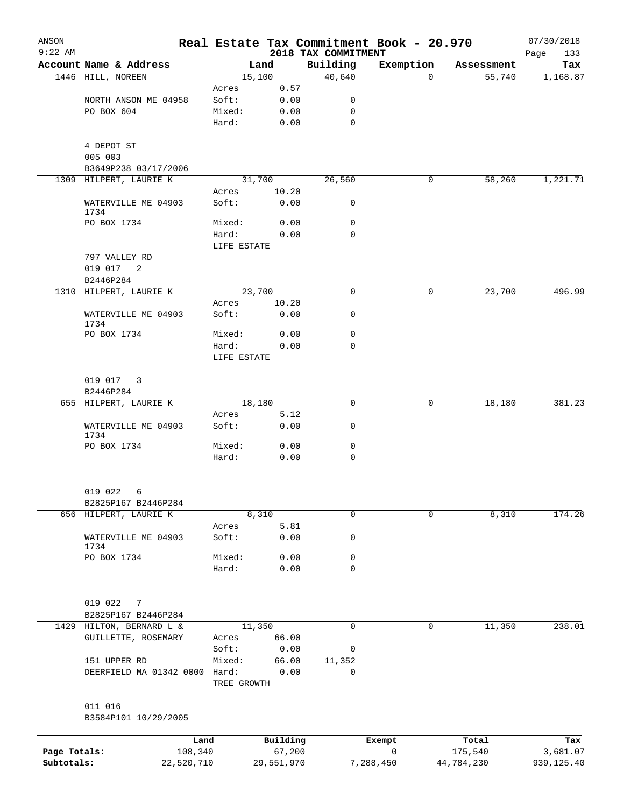| ANSON        |                                       |             |            |                                 | Real Estate Tax Commitment Book - 20.970 |            | 07/30/2018         |
|--------------|---------------------------------------|-------------|------------|---------------------------------|------------------------------------------|------------|--------------------|
| $9:22$ AM    | Account Name & Address                |             | Land       | 2018 TAX COMMITMENT<br>Building | Exemption                                | Assessment | Page<br>133<br>Tax |
|              | 1446 HILL, NOREEN                     |             | 15,100     | 40,640                          | $\Omega$                                 | 55,740     | 1,168.87           |
|              |                                       | Acres       | 0.57       |                                 |                                          |            |                    |
|              | NORTH ANSON ME 04958                  | Soft:       | 0.00       | 0                               |                                          |            |                    |
|              | PO BOX 604                            | Mixed:      | 0.00       | 0                               |                                          |            |                    |
|              |                                       | Hard:       | 0.00       | 0                               |                                          |            |                    |
|              | 4 DEPOT ST                            |             |            |                                 |                                          |            |                    |
|              | 005 003                               |             |            |                                 |                                          |            |                    |
|              | B3649P238 03/17/2006                  |             |            |                                 |                                          |            |                    |
|              | 1309 HILPERT, LAURIE K                |             | 31,700     | 26,560                          | 0                                        | 58,260     | 1,221.71           |
|              |                                       | Acres       | 10.20      |                                 |                                          |            |                    |
|              | WATERVILLE ME 04903<br>1734           | Soft:       | 0.00       | 0                               |                                          |            |                    |
|              | PO BOX 1734                           | Mixed:      | 0.00       | $\mathbf 0$                     |                                          |            |                    |
|              |                                       | Hard:       | 0.00       | $\mathbf 0$                     |                                          |            |                    |
|              |                                       | LIFE ESTATE |            |                                 |                                          |            |                    |
|              | 797 VALLEY RD                         |             |            |                                 |                                          |            |                    |
|              | 019 017<br>$\overline{\phantom{0}}^2$ |             |            |                                 |                                          |            |                    |
|              | B2446P284                             |             |            |                                 |                                          |            |                    |
|              | 1310 HILPERT, LAURIE K                |             | 23,700     | $\mathbf 0$                     | 0                                        | 23,700     | 496.99             |
|              |                                       | Acres       | 10.20      |                                 |                                          |            |                    |
|              | WATERVILLE ME 04903<br>1734           | Soft:       | 0.00       | 0                               |                                          |            |                    |
|              | PO BOX 1734                           | Mixed:      | 0.00       | 0                               |                                          |            |                    |
|              |                                       | Hard:       | 0.00       | $\mathbf 0$                     |                                          |            |                    |
|              |                                       | LIFE ESTATE |            |                                 |                                          |            |                    |
|              | 019 017                               |             |            |                                 |                                          |            |                    |
|              | 3<br>B2446P284                        |             |            |                                 |                                          |            |                    |
|              | 655 HILPERT, LAURIE K                 |             | 18,180     | $\mathbf 0$                     | 0                                        | 18,180     | 381.23             |
|              |                                       | Acres       | 5.12       |                                 |                                          |            |                    |
|              | WATERVILLE ME 04903                   | Soft:       | 0.00       | 0                               |                                          |            |                    |
|              | 1734<br>PO BOX 1734                   | Mixed:      | 0.00       | 0                               |                                          |            |                    |
|              |                                       | Hard:       | 0.00       | $\mathbf 0$                     |                                          |            |                    |
|              |                                       |             |            |                                 |                                          |            |                    |
|              | 019 022<br>6                          |             |            |                                 |                                          |            |                    |
|              | B2825P167 B2446P284                   |             |            |                                 |                                          |            |                    |
|              | 656 HILPERT, LAURIE K                 |             | 8,310      | 0                               | $\Omega$                                 | 8,310      | 174.26             |
|              |                                       | Acres       | 5.81       |                                 |                                          |            |                    |
|              | WATERVILLE ME 04903<br>1734           | Soft:       | 0.00       | 0                               |                                          |            |                    |
|              | PO BOX 1734                           | Mixed:      | 0.00       | 0                               |                                          |            |                    |
|              |                                       | Hard:       | 0.00       | $\mathbf 0$                     |                                          |            |                    |
|              |                                       |             |            |                                 |                                          |            |                    |
|              | 019 022<br>7                          |             |            |                                 |                                          |            |                    |
|              | B2825P167 B2446P284                   |             |            |                                 |                                          |            |                    |
| 1429         | HILTON, BERNARD L &                   |             | 11,350     | 0                               | 0                                        | 11,350     | 238.01             |
|              | GUILLETTE, ROSEMARY                   | Acres       | 66.00      |                                 |                                          |            |                    |
|              |                                       | Soft:       | 0.00       | 0                               |                                          |            |                    |
|              | 151 UPPER RD                          | Mixed:      | 66.00      | 11,352                          |                                          |            |                    |
|              | DEERFIELD MA 01342 0000 Hard:         |             | 0.00       | $\Omega$                        |                                          |            |                    |
|              |                                       | TREE GROWTH |            |                                 |                                          |            |                    |
|              | 011 016                               |             |            |                                 |                                          |            |                    |
|              | B3584P101 10/29/2005                  |             |            |                                 |                                          |            |                    |
|              | Land                                  |             | Building   |                                 | Exempt                                   | Total      | Tax                |
| Page Totals: | 108,340                               |             | 67,200     |                                 | $\mathsf{O}$                             | 175,540    | 3,681.07           |
| Subtotals:   | 22,520,710                            |             | 29,551,970 |                                 | 7,288,450                                | 44,784,230 | 939,125.40         |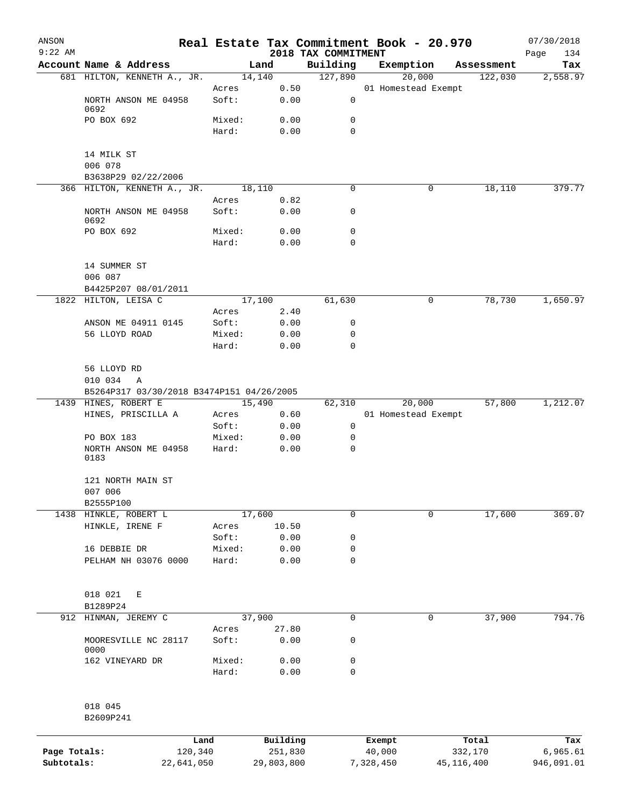| ANSON        |                                           |         |            |                                 | Real Estate Tax Commitment Book - 20.970 |              | 07/30/2018         |
|--------------|-------------------------------------------|---------|------------|---------------------------------|------------------------------------------|--------------|--------------------|
| $9:22$ AM    | Account Name & Address                    |         | Land       | 2018 TAX COMMITMENT<br>Building | Exemption                                | Assessment   | Page<br>134<br>Tax |
|              | 681 HILTON, KENNETH A., JR.               | 14,140  |            | 127,890                         | 20,000                                   | 122,030      | 2,558.97           |
|              |                                           | Acres   | 0.50       |                                 | 01 Homestead Exempt                      |              |                    |
|              | NORTH ANSON ME 04958<br>0692              | Soft:   | 0.00       | 0                               |                                          |              |                    |
|              | PO BOX 692                                | Mixed:  | 0.00       | 0                               |                                          |              |                    |
|              |                                           | Hard:   | 0.00       | $\mathbf 0$                     |                                          |              |                    |
|              | 14 MILK ST                                |         |            |                                 |                                          |              |                    |
|              | 006 078                                   |         |            |                                 |                                          |              |                    |
|              | B3638P29 02/22/2006                       |         |            |                                 |                                          |              |                    |
|              | 366 HILTON, KENNETH A., JR.               | 18, 110 |            | $\mathbf 0$                     | 0                                        | 18, 110      | 379.77             |
|              |                                           | Acres   | 0.82       |                                 |                                          |              |                    |
|              | NORTH ANSON ME 04958<br>0692              | Soft:   | 0.00       | 0                               |                                          |              |                    |
|              | PO BOX 692                                | Mixed:  | 0.00       | 0                               |                                          |              |                    |
|              |                                           | Hard:   | 0.00       | $\mathbf 0$                     |                                          |              |                    |
|              | 14 SUMMER ST                              |         |            |                                 |                                          |              |                    |
|              | 006 087                                   |         |            |                                 |                                          |              |                    |
|              | B4425P207 08/01/2011                      |         |            |                                 |                                          |              |                    |
|              | 1822 HILTON, LEISA C                      | 17,100  |            | 61,630                          | 0                                        | 78,730       | 1,650.97           |
|              |                                           | Acres   | 2.40       |                                 |                                          |              |                    |
|              | ANSON ME 04911 0145                       | Soft:   | 0.00       | 0                               |                                          |              |                    |
|              | 56 LLOYD ROAD                             | Mixed:  | 0.00       | 0                               |                                          |              |                    |
|              |                                           | Hard:   | 0.00       | $\mathbf 0$                     |                                          |              |                    |
|              | 56 LLOYD RD                               |         |            |                                 |                                          |              |                    |
|              | 010 034<br>A                              |         |            |                                 |                                          |              |                    |
|              | B5264P317 03/30/2018 B3474P151 04/26/2005 |         |            |                                 |                                          |              |                    |
|              | 1439 HINES, ROBERT E                      | 15,490  |            | 62,310                          | 20,000                                   | 57,800       | 1,212.07           |
|              | HINES, PRISCILLA A                        | Acres   | 0.60       |                                 | 01 Homestead Exempt                      |              |                    |
|              |                                           | Soft:   | 0.00       | 0                               |                                          |              |                    |
|              | PO BOX 183                                | Mixed:  | 0.00       | 0                               |                                          |              |                    |
|              | NORTH ANSON ME 04958<br>0183              | Hard:   | 0.00       | $\mathbf 0$                     |                                          |              |                    |
|              | 121 NORTH MAIN ST                         |         |            |                                 |                                          |              |                    |
|              | 007 006                                   |         |            |                                 |                                          |              |                    |
|              | B2555P100<br>1438 HINKLE, ROBERT L        | 17,600  |            | $\mathbf 0$                     | 0                                        | 17,600       | 369.07             |
|              | HINKLE, IRENE F                           | Acres   | 10.50      |                                 |                                          |              |                    |
|              |                                           | Soft:   | 0.00       | 0                               |                                          |              |                    |
|              | 16 DEBBIE DR                              | Mixed:  | 0.00       | $\mathbf 0$                     |                                          |              |                    |
|              | PELHAM NH 03076 0000                      | Hard:   | 0.00       | $\mathbf 0$                     |                                          |              |                    |
|              |                                           |         |            |                                 |                                          |              |                    |
|              | 018 021<br>Е                              |         |            |                                 |                                          |              |                    |
|              | B1289P24                                  |         |            |                                 |                                          |              |                    |
|              | 912 HINMAN, JEREMY C                      | 37,900  |            | $\mathbf 0$                     | 0                                        | 37,900       | 794.76             |
|              |                                           | Acres   | 27.80      |                                 |                                          |              |                    |
|              | MOORESVILLE NC 28117<br>0000              | Soft:   | 0.00       | 0                               |                                          |              |                    |
|              | 162 VINEYARD DR                           | Mixed:  | 0.00       | $\mathsf 0$                     |                                          |              |                    |
|              |                                           | Hard:   | 0.00       | $\mathbf 0$                     |                                          |              |                    |
|              |                                           |         |            |                                 |                                          |              |                    |
|              | 018 045                                   |         |            |                                 |                                          |              |                    |
|              | B2609P241                                 |         |            |                                 |                                          |              |                    |
|              | Land                                      |         | Building   |                                 | Exempt                                   | Total        | Tax                |
| Page Totals: | 120,340                                   |         | 251,830    |                                 | 40,000                                   | 332,170      | 6,965.61           |
| Subtotals:   | 22,641,050                                |         | 29,803,800 |                                 | 7,328,450                                | 45, 116, 400 | 946,091.01         |
|              |                                           |         |            |                                 |                                          |              |                    |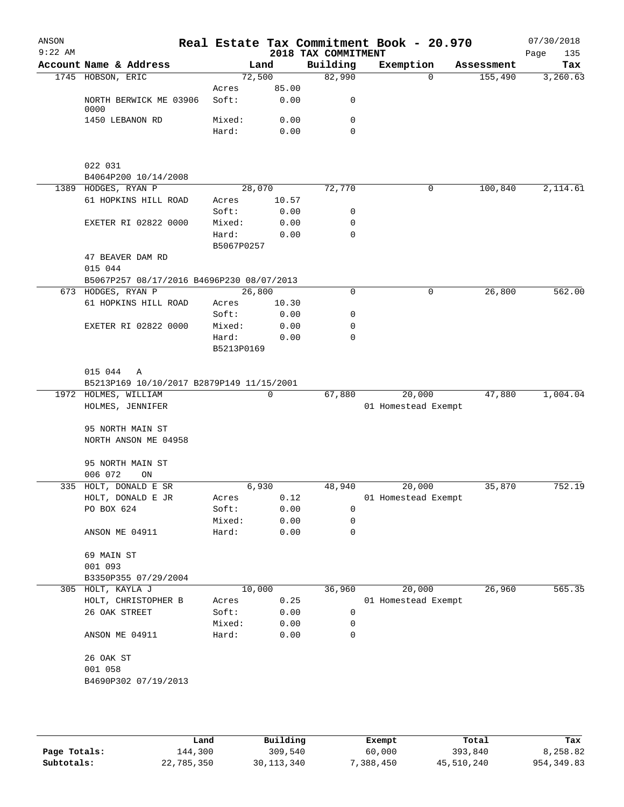| ANSON<br>$9:22$ AM |                                             |            |       | 2018 TAX COMMITMENT | Real Estate Tax Commitment Book - 20.970 |                     | 07/30/2018<br>Page<br>135 |
|--------------------|---------------------------------------------|------------|-------|---------------------|------------------------------------------|---------------------|---------------------------|
|                    | Account Name & Address                      |            | Land  | Building            | Exemption                                | Assessment          | Tax                       |
|                    | 1745 HOBSON, ERIC                           | 72,500     |       | 82,990              |                                          | 155,490<br>$\Omega$ | 3,260.63                  |
|                    |                                             | Acres      | 85.00 |                     |                                          |                     |                           |
|                    | NORTH BERWICK ME 03906<br>0000              | Soft:      | 0.00  | 0                   |                                          |                     |                           |
|                    | 1450 LEBANON RD                             | Mixed:     | 0.00  | 0                   |                                          |                     |                           |
|                    |                                             | Hard:      | 0.00  | $\mathbf 0$         |                                          |                     |                           |
|                    | 022 031                                     |            |       |                     |                                          |                     |                           |
|                    | B4064P200 10/14/2008<br>1389 HODGES, RYAN P | 28,070     |       | 72,770              |                                          | 0<br>100,840        | 2,114.61                  |
|                    | 61 HOPKINS HILL ROAD                        | Acres      | 10.57 |                     |                                          |                     |                           |
|                    |                                             | Soft:      | 0.00  | 0                   |                                          |                     |                           |
|                    | <b>EXETER RI 02822 0000</b>                 | Mixed:     | 0.00  | 0                   |                                          |                     |                           |
|                    |                                             | Hard:      | 0.00  | 0                   |                                          |                     |                           |
|                    |                                             | B5067P0257 |       |                     |                                          |                     |                           |
|                    | 47 BEAVER DAM RD<br>015 044                 |            |       |                     |                                          |                     |                           |
|                    | B5067P257 08/17/2016 B4696P230 08/07/2013   |            |       |                     |                                          |                     |                           |
|                    | 673 HODGES, RYAN P                          | 26,800     |       | 0                   |                                          | 26,800<br>0         | 562.00                    |
|                    | 61 HOPKINS HILL ROAD                        | Acres      | 10.30 |                     |                                          |                     |                           |
|                    |                                             | Soft:      | 0.00  | 0                   |                                          |                     |                           |
|                    | EXETER RI 02822 0000                        | Mixed:     | 0.00  | 0                   |                                          |                     |                           |
|                    |                                             | Hard:      | 0.00  | $\Omega$            |                                          |                     |                           |
|                    |                                             | B5213P0169 |       |                     |                                          |                     |                           |
|                    | 015 044 A                                   |            |       |                     |                                          |                     |                           |
|                    | B5213P169 10/10/2017 B2879P149 11/15/2001   |            |       |                     |                                          |                     |                           |
|                    | 1972 HOLMES, WILLIAM                        |            | 0     | 67,880              | 20,000                                   | 47,880              | 1,004.04                  |
|                    | HOLMES, JENNIFER                            |            |       |                     | 01 Homestead Exempt                      |                     |                           |
|                    | 95 NORTH MAIN ST<br>NORTH ANSON ME 04958    |            |       |                     |                                          |                     |                           |
|                    | 95 NORTH MAIN ST                            |            |       |                     |                                          |                     |                           |
|                    | 006 072<br>ON                               |            |       |                     |                                          |                     |                           |
|                    | 335 HOLT, DONALD E SR                       | 6,930      |       | 48,940              | 20,000                                   | 35,870              | 752.19                    |
|                    | HOLT, DONALD E JR                           | Acres      | 0.12  |                     | 01 Homestead Exempt                      |                     |                           |
|                    | PO BOX 624                                  | Soft:      | 0.00  | 0                   |                                          |                     |                           |
|                    |                                             | Mixed:     | 0.00  | 0                   |                                          |                     |                           |
|                    | ANSON ME 04911                              | Hard:      | 0.00  | $\mathbf 0$         |                                          |                     |                           |
|                    | 69 MAIN ST                                  |            |       |                     |                                          |                     |                           |
|                    | 001 093                                     |            |       |                     |                                          |                     |                           |
|                    | B3350P355 07/29/2004                        |            |       |                     |                                          |                     |                           |
| 305                | HOLT, KAYLA J                               | 10,000     |       | 36,960              | 20,000                                   | 26,960              | 565.35                    |
|                    | HOLT, CHRISTOPHER B                         | Acres      | 0.25  |                     | 01 Homestead Exempt                      |                     |                           |
|                    | 26 OAK STREET                               | Soft:      | 0.00  | 0                   |                                          |                     |                           |
|                    |                                             | Mixed:     | 0.00  | 0                   |                                          |                     |                           |
|                    | ANSON ME 04911                              | Hard:      | 0.00  | 0                   |                                          |                     |                           |
|                    | 26 OAK ST                                   |            |       |                     |                                          |                     |                           |
|                    | 001 058                                     |            |       |                     |                                          |                     |                           |
|                    | B4690P302 07/19/2013                        |            |       |                     |                                          |                     |                           |
|                    |                                             |            |       |                     |                                          |                     |                           |
|                    |                                             |            |       |                     |                                          |                     |                           |
|                    |                                             |            |       |                     |                                          |                     |                           |

|              | Land       | Building     | Exempt    | Total      | Tax         |
|--------------|------------|--------------|-----------|------------|-------------|
| Page Totals: | 144,300    | 309,540      | 60,000    | 393,840    | 8,258.82    |
| Subtotals:   | 22,785,350 | 30, 113, 340 | 7,388,450 | 45,510,240 | 954, 349.83 |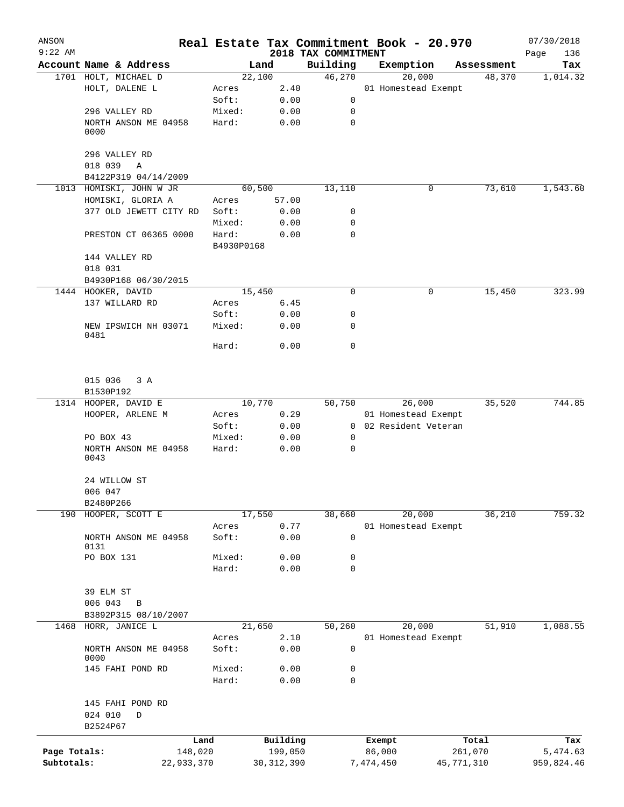| ANSON        |                              |            |                |                     | Real Estate Tax Commitment Book - 20.970 |                      | 07/30/2018  |
|--------------|------------------------------|------------|----------------|---------------------|------------------------------------------|----------------------|-------------|
| $9:22$ AM    | Account Name & Address       |            |                | 2018 TAX COMMITMENT |                                          |                      | Page<br>136 |
|              | 1701 HOLT, MICHAEL D         |            | Land<br>22,100 | Building<br>46,270  | Exemption                                | Assessment<br>48,370 | Tax         |
|              | HOLT, DALENE L               | Acres      | 2.40           |                     | 20,000<br>01 Homestead Exempt            |                      | 1,014.32    |
|              |                              | Soft:      | 0.00           | 0                   |                                          |                      |             |
|              | 296 VALLEY RD                | Mixed:     | 0.00           | 0                   |                                          |                      |             |
|              | NORTH ANSON ME 04958         | Hard:      | 0.00           | $\mathbf 0$         |                                          |                      |             |
|              | 0000                         |            |                |                     |                                          |                      |             |
|              | 296 VALLEY RD                |            |                |                     |                                          |                      |             |
|              | 018 039<br>Α                 |            |                |                     |                                          |                      |             |
|              | B4122P319 04/14/2009         |            |                |                     |                                          |                      |             |
|              | 1013 HOMISKI, JOHN W JR      |            | 60,500         | 13,110              | 0                                        | 73,610               | 1,543.60    |
|              | HOMISKI, GLORIA A            | Acres      | 57.00          |                     |                                          |                      |             |
|              | 377 OLD JEWETT CITY RD       | Soft:      | 0.00           | 0                   |                                          |                      |             |
|              |                              | Mixed:     | 0.00           | 0                   |                                          |                      |             |
|              | PRESTON CT 06365 0000        | Hard:      | 0.00           | 0                   |                                          |                      |             |
|              |                              | B4930P0168 |                |                     |                                          |                      |             |
|              | 144 VALLEY RD                |            |                |                     |                                          |                      |             |
|              | 018 031                      |            |                |                     |                                          |                      |             |
|              | B4930P168 06/30/2015         |            |                |                     |                                          |                      |             |
| 1444         | HOOKER, DAVID                |            | 15,450         | $\mathbf 0$         | 0                                        | 15,450               | 323.99      |
|              | 137 WILLARD RD               | Acres      | 6.45           |                     |                                          |                      |             |
|              |                              | Soft:      | 0.00           | 0                   |                                          |                      |             |
|              | NEW IPSWICH NH 03071<br>0481 | Mixed:     | 0.00           | 0                   |                                          |                      |             |
|              |                              | Hard:      | 0.00           | $\mathbf 0$         |                                          |                      |             |
|              | 015 036<br>3 A               |            |                |                     |                                          |                      |             |
|              | B1530P192                    |            |                |                     |                                          |                      |             |
|              | 1314 HOOPER, DAVID E         |            | 10,770         | 50,750              | 26,000                                   | 35,520               | 744.85      |
|              | HOOPER, ARLENE M             | Acres      | 0.29           |                     | 01 Homestead Exempt                      |                      |             |
|              |                              | Soft:      | 0.00           |                     | 0 02 Resident Veteran                    |                      |             |
|              | PO BOX 43                    | Mixed:     | 0.00           | 0                   |                                          |                      |             |
|              | NORTH ANSON ME 04958<br>0043 | Hard:      | 0.00           | 0                   |                                          |                      |             |
|              | 24 WILLOW ST                 |            |                |                     |                                          |                      |             |
|              | 006 047                      |            |                |                     |                                          |                      |             |
|              | B2480P266                    |            |                |                     | 20,000                                   |                      |             |
|              | 190 HOOPER, SCOTT E          | Acres      | 17,550<br>0.77 | 38,660              | 01 Homestead Exempt                      | 36,210               | 759.32      |
|              | NORTH ANSON ME 04958         | Soft:      | 0.00           | $\mathbf 0$         |                                          |                      |             |
|              | 0131                         |            |                |                     |                                          |                      |             |
|              | PO BOX 131                   | Mixed:     | 0.00           | 0                   |                                          |                      |             |
|              |                              | Hard:      | 0.00           | 0                   |                                          |                      |             |
|              | 39 ELM ST                    |            |                |                     |                                          |                      |             |
|              | 006 043<br>$\, {\bf B}$      |            |                |                     |                                          |                      |             |
|              | B3892P315 08/10/2007         |            |                |                     |                                          |                      |             |
| 1468         | HORR, JANICE L               |            | 21,650         | 50,260              | 20,000                                   | 51,910               | 1,088.55    |
|              |                              | Acres      | 2.10           |                     | 01 Homestead Exempt                      |                      |             |
|              | NORTH ANSON ME 04958<br>0000 | Soft:      | 0.00           | $\mathsf 0$         |                                          |                      |             |
|              | 145 FAHI POND RD             | Mixed:     | 0.00           | 0                   |                                          |                      |             |
|              |                              | Hard:      | 0.00           | $\mathbf 0$         |                                          |                      |             |
|              | 145 FAHI POND RD             |            |                |                     |                                          |                      |             |
|              | 024 010<br>D                 |            |                |                     |                                          |                      |             |
|              | B2524P67                     |            |                |                     |                                          |                      |             |
|              |                              | Land       | Building       |                     | Exempt                                   | Total                | Tax         |
| Page Totals: | 148,020                      |            | 199,050        |                     | 86,000                                   | 261,070              | 5,474.63    |
| Subtotals:   | 22,933,370                   |            | 30, 312, 390   |                     | 7,474,450                                | 45,771,310           | 959,824.46  |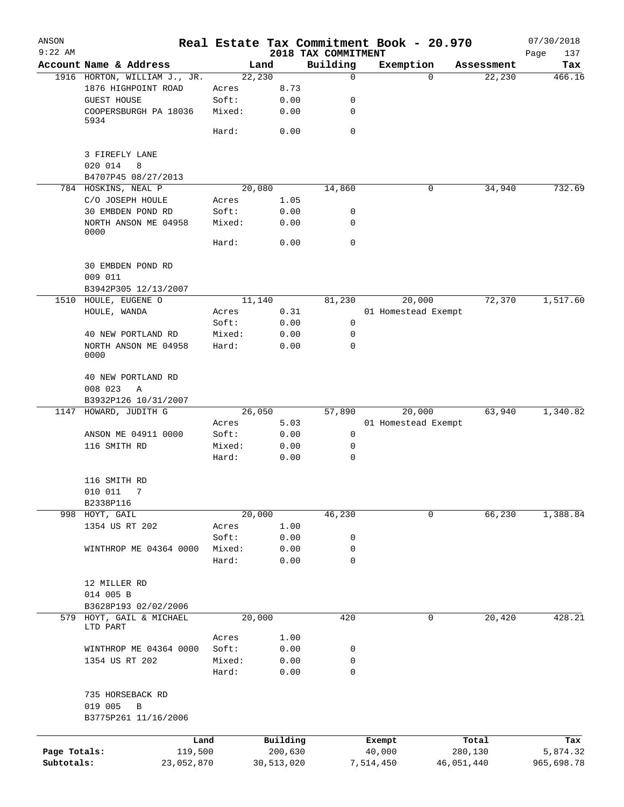| ANSON        |                                      |                 |              |                                 | Real Estate Tax Commitment Book - 20.970 |                  |            | 07/30/2018         |
|--------------|--------------------------------------|-----------------|--------------|---------------------------------|------------------------------------------|------------------|------------|--------------------|
| $9:22$ AM    | Account Name & Address               |                 | Land         | 2018 TAX COMMITMENT<br>Building | Exemption                                |                  | Assessment | Page<br>137<br>Tax |
|              | 1916 HORTON, WILLIAM J., JR.         | 22,230          |              | 0                               |                                          | 0                | 22,230     | 466.16             |
|              | 1876 HIGHPOINT ROAD                  | Acres           | 8.73         |                                 |                                          |                  |            |                    |
|              | <b>GUEST HOUSE</b>                   | Soft:           | 0.00         | 0                               |                                          |                  |            |                    |
|              | COOPERSBURGH PA 18036<br>5934        | Mixed:          | 0.00         | 0                               |                                          |                  |            |                    |
|              |                                      | Hard:           | 0.00         | 0                               |                                          |                  |            |                    |
|              | 3 FIREFLY LANE                       |                 |              |                                 |                                          |                  |            |                    |
|              | 020 014<br>8<br>B4707P45 08/27/2013  |                 |              |                                 |                                          |                  |            |                    |
|              | 784 HOSKINS, NEAL P                  | 20,080          |              | 14,860                          |                                          | 0                | 34,940     | 732.69             |
|              | C/O JOSEPH HOULE                     | Acres           | 1.05         |                                 |                                          |                  |            |                    |
|              | 30 EMBDEN POND RD                    | Soft:           | 0.00         | 0                               |                                          |                  |            |                    |
|              | NORTH ANSON ME 04958<br>0000         | Mixed:          | 0.00         | 0                               |                                          |                  |            |                    |
|              |                                      | Hard:           | 0.00         | $\mathbf 0$                     |                                          |                  |            |                    |
|              | 30 EMBDEN POND RD                    |                 |              |                                 |                                          |                  |            |                    |
|              | 009 011                              |                 |              |                                 |                                          |                  |            |                    |
|              | B3942P305 12/13/2007                 |                 |              |                                 |                                          |                  |            |                    |
|              | 1510 HOULE, EUGENE O                 | 11,140          |              | 81,230                          | 20,000                                   |                  | 72,370     | 1,517.60           |
|              | HOULE, WANDA                         | Acres           | 0.31         |                                 | 01 Homestead Exempt                      |                  |            |                    |
|              |                                      | Soft:           | 0.00         | 0                               |                                          |                  |            |                    |
|              | 40 NEW PORTLAND RD                   | Mixed:          | 0.00         | 0                               |                                          |                  |            |                    |
|              | NORTH ANSON ME 04958<br>0000         | Hard:           | 0.00         | 0                               |                                          |                  |            |                    |
|              | 40 NEW PORTLAND RD                   |                 |              |                                 |                                          |                  |            |                    |
|              | 008 023<br>Α                         |                 |              |                                 |                                          |                  |            |                    |
| 1147         | B3932P126 10/31/2007                 |                 |              |                                 | 20,000                                   |                  | 63,940     |                    |
|              | HOWARD, JUDITH G                     | 26,050          |              | 57,890                          |                                          |                  |            | 1,340.82           |
|              |                                      | Acres<br>Soft:  | 5.03<br>0.00 | 0                               | 01 Homestead Exempt                      |                  |            |                    |
|              | ANSON ME 04911 0000<br>116 SMITH RD  | Mixed:          |              | 0                               |                                          |                  |            |                    |
|              |                                      | Hard:           | 0.00<br>0.00 | $\mathbf 0$                     |                                          |                  |            |                    |
|              | 116 SMITH RD                         |                 |              |                                 |                                          |                  |            |                    |
|              | 010 011<br>7                         |                 |              |                                 |                                          |                  |            |                    |
|              | B2338P116                            |                 |              |                                 |                                          |                  |            |                    |
|              | 998 HOYT, GAIL                       | 20,000          |              | 46,230                          |                                          | 0                | 66,230     | 1,388.84           |
|              | 1354 US RT 202                       | Acres           | 1.00         |                                 |                                          |                  |            |                    |
|              |                                      | Soft:           | 0.00         | 0                               |                                          |                  |            |                    |
|              | WINTHROP ME 04364 0000               | Mixed:          | 0.00         | 0                               |                                          |                  |            |                    |
|              |                                      | Hard:           | 0.00         | 0                               |                                          |                  |            |                    |
|              | 12 MILLER RD                         |                 |              |                                 |                                          |                  |            |                    |
|              | 014 005 B                            |                 |              |                                 |                                          |                  |            |                    |
|              | B3628P193 02/02/2006                 |                 |              |                                 |                                          |                  |            |                    |
|              | 579 HOYT, GAIL & MICHAEL<br>LTD PART | 20,000          |              | 420                             |                                          | 0                | 20,420     | 428.21             |
|              |                                      | Acres           | 1.00         |                                 |                                          |                  |            |                    |
|              | WINTHROP ME 04364 0000               | Soft:           | 0.00         | 0                               |                                          |                  |            |                    |
|              | 1354 US RT 202                       | Mixed:<br>Hard: | 0.00<br>0.00 | 0<br>$\mathbf 0$                |                                          |                  |            |                    |
|              | 735 HORSEBACK RD                     |                 |              |                                 |                                          |                  |            |                    |
|              | 019 005<br>B<br>B3775P261 11/16/2006 |                 |              |                                 |                                          |                  |            |                    |
|              |                                      |                 | Building     |                                 |                                          |                  |            |                    |
| Page Totals: | Land<br>119,500                      |                 | 200,630      |                                 | Exempt<br>40,000                         | Total<br>280,130 |            | Tax<br>5,874.32    |
| Subtotals:   | 23,052,870                           |                 | 30,513,020   |                                 | 7,514,450                                | 46,051,440       |            | 965,698.78         |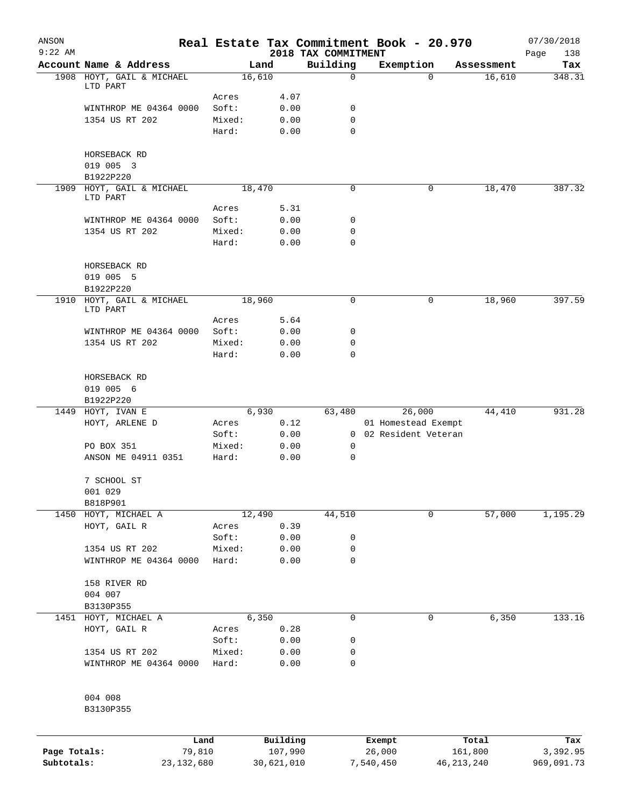| ANSON<br>$9:22$ AM |                                       |              |        |            | 2018 TAX COMMITMENT | Real Estate Tax Commitment Book - 20.970 |              | 07/30/2018<br>138<br>Page |
|--------------------|---------------------------------------|--------------|--------|------------|---------------------|------------------------------------------|--------------|---------------------------|
|                    | Account Name & Address                |              |        | Land       | Building            | Exemption                                | Assessment   | Tax                       |
|                    | 1908 HOYT, GAIL & MICHAEL             |              |        | 16,610     | $\mathbf 0$         | $\Omega$                                 | 16,610       | 348.31                    |
|                    | LTD PART                              |              |        |            |                     |                                          |              |                           |
|                    |                                       |              | Acres  | 4.07       |                     |                                          |              |                           |
|                    | WINTHROP ME 04364 0000                |              | Soft:  | 0.00       | 0                   |                                          |              |                           |
|                    | 1354 US RT 202                        |              | Mixed: | 0.00       | 0                   |                                          |              |                           |
|                    |                                       |              | Hard:  | 0.00       | 0                   |                                          |              |                           |
|                    |                                       |              |        |            |                     |                                          |              |                           |
|                    | HORSEBACK RD                          |              |        |            |                     |                                          |              |                           |
|                    | 019 005 3                             |              |        |            |                     |                                          |              |                           |
|                    | B1922P220                             |              |        |            | 0                   | 0                                        |              | 387.32                    |
|                    | 1909 HOYT, GAIL & MICHAEL<br>LTD PART |              |        | 18,470     |                     |                                          | 18,470       |                           |
|                    |                                       |              | Acres  | 5.31       |                     |                                          |              |                           |
|                    | WINTHROP ME 04364 0000                |              | Soft:  | 0.00       | 0                   |                                          |              |                           |
|                    | 1354 US RT 202                        |              | Mixed: | 0.00       | 0                   |                                          |              |                           |
|                    |                                       |              | Hard:  | 0.00       | 0                   |                                          |              |                           |
|                    |                                       |              |        |            |                     |                                          |              |                           |
|                    | HORSEBACK RD                          |              |        |            |                     |                                          |              |                           |
|                    | 019 005 5                             |              |        |            |                     |                                          |              |                           |
|                    | B1922P220                             |              |        |            |                     |                                          |              |                           |
|                    | 1910 HOYT, GAIL & MICHAEL             |              |        | 18,960     | 0                   | 0                                        | 18,960       | 397.59                    |
|                    | LTD PART                              |              |        |            |                     |                                          |              |                           |
|                    |                                       |              | Acres  | 5.64       |                     |                                          |              |                           |
|                    | WINTHROP ME 04364 0000                |              | Soft:  | 0.00       | 0                   |                                          |              |                           |
|                    | 1354 US RT 202                        |              | Mixed: | 0.00       | 0                   |                                          |              |                           |
|                    |                                       |              | Hard:  | 0.00       | 0                   |                                          |              |                           |
|                    |                                       |              |        |            |                     |                                          |              |                           |
|                    | HORSEBACK RD<br>019 005 6             |              |        |            |                     |                                          |              |                           |
|                    | B1922P220                             |              |        |            |                     |                                          |              |                           |
| 1449               | HOYT, IVAN E                          |              |        | 6,930      | 63,480              | 26,000                                   | 44,410       | 931.28                    |
|                    | HOYT, ARLENE D                        |              | Acres  | 0.12       |                     | 01 Homestead Exempt                      |              |                           |
|                    |                                       |              | Soft:  | 0.00       |                     | 0 02 Resident Veteran                    |              |                           |
|                    | PO BOX 351                            |              | Mixed: | 0.00       | 0                   |                                          |              |                           |
|                    | ANSON ME 04911 0351                   |              | Hard:  | 0.00       | 0                   |                                          |              |                           |
|                    |                                       |              |        |            |                     |                                          |              |                           |
|                    | 7 SCHOOL ST                           |              |        |            |                     |                                          |              |                           |
|                    | 001 029                               |              |        |            |                     |                                          |              |                           |
|                    | B818P901                              |              |        |            |                     |                                          |              |                           |
|                    | 1450 HOYT, MICHAEL A                  |              |        | 12,490     | 44,510              | 0                                        | 57,000       | 1,195.29                  |
|                    | HOYT, GAIL R                          |              | Acres  | 0.39       |                     |                                          |              |                           |
|                    |                                       |              | Soft:  | 0.00       | 0                   |                                          |              |                           |
|                    | 1354 US RT 202                        |              | Mixed: | 0.00       | 0                   |                                          |              |                           |
|                    | WINTHROP ME 04364 0000                |              | Hard:  | 0.00       | 0                   |                                          |              |                           |
|                    |                                       |              |        |            |                     |                                          |              |                           |
|                    | 158 RIVER RD                          |              |        |            |                     |                                          |              |                           |
|                    | 004 007                               |              |        |            |                     |                                          |              |                           |
|                    | B3130P355                             |              |        |            |                     |                                          |              |                           |
|                    | 1451 HOYT, MICHAEL A                  |              |        | 6,350      | 0                   | 0                                        | 6,350        | 133.16                    |
|                    | HOYT, GAIL R                          |              | Acres  | 0.28       |                     |                                          |              |                           |
|                    |                                       |              | Soft:  | 0.00       | 0                   |                                          |              |                           |
|                    | 1354 US RT 202                        |              | Mixed: | 0.00       | 0                   |                                          |              |                           |
|                    | WINTHROP ME 04364 0000                |              | Hard:  | 0.00       | 0                   |                                          |              |                           |
|                    |                                       |              |        |            |                     |                                          |              |                           |
|                    | 004 008                               |              |        |            |                     |                                          |              |                           |
|                    | B3130P355                             |              |        |            |                     |                                          |              |                           |
|                    |                                       |              |        |            |                     |                                          |              |                           |
|                    |                                       | Land         |        | Building   |                     | Exempt                                   | Total        | Tax                       |
| Page Totals:       |                                       | 79,810       |        | 107,990    |                     | 26,000                                   | 161,800      | 3,392.95                  |
| Subtotals:         |                                       | 23, 132, 680 |        | 30,621,010 |                     | 7,540,450                                | 46, 213, 240 | 969,091.73                |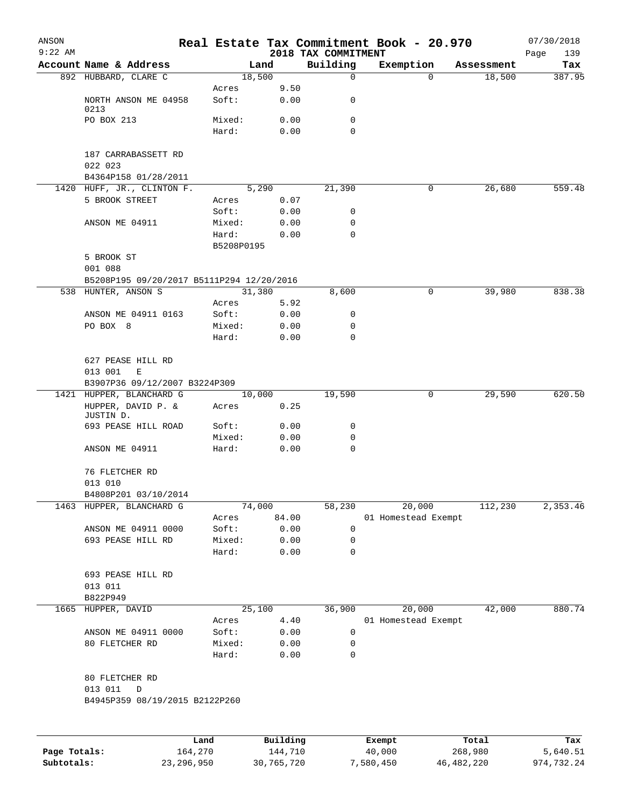| ANSON        |                                                |                 |              |                     | Real Estate Tax Commitment Book - 20.970 |                      | 07/30/2018    |
|--------------|------------------------------------------------|-----------------|--------------|---------------------|------------------------------------------|----------------------|---------------|
| $9:22$ AM    |                                                |                 |              | 2018 TAX COMMITMENT |                                          |                      | Page<br>139   |
|              | Account Name & Address<br>892 HUBBARD, CLARE C | Land<br>18,500  |              | Building<br>0       | Exemption<br>0                           | Assessment<br>18,500 | Tax<br>387.95 |
|              |                                                | Acres           | 9.50         |                     |                                          |                      |               |
|              | NORTH ANSON ME 04958<br>0213                   | Soft:           | 0.00         | 0                   |                                          |                      |               |
|              | PO BOX 213                                     | Mixed:          | 0.00         | 0                   |                                          |                      |               |
|              |                                                | Hard:           | 0.00         | $\Omega$            |                                          |                      |               |
|              | 187 CARRABASSETT RD                            |                 |              |                     |                                          |                      |               |
|              | 022 023                                        |                 |              |                     |                                          |                      |               |
|              | B4364P158 01/28/2011                           |                 |              |                     |                                          |                      |               |
|              | 1420 HUFF, JR., CLINTON F.                     | 5,290           |              | 21,390              | 0                                        | 26,680               | 559.48        |
|              | 5 BROOK STREET                                 | Acres<br>Soft:  | 0.07<br>0.00 | 0                   |                                          |                      |               |
|              | ANSON ME 04911                                 | Mixed:          | 0.00         | 0                   |                                          |                      |               |
|              |                                                | Hard:           | 0.00         | 0                   |                                          |                      |               |
|              |                                                | B5208P0195      |              |                     |                                          |                      |               |
|              | 5 BROOK ST                                     |                 |              |                     |                                          |                      |               |
|              | 001 088                                        |                 |              |                     |                                          |                      |               |
|              | B5208P195 09/20/2017 B5111P294 12/20/2016      |                 |              |                     |                                          |                      |               |
|              | 538 HUNTER, ANSON S                            | 31,380          |              | 8,600               | 0                                        | 39,980               | 838.38        |
|              |                                                | Acres           | 5.92         |                     |                                          |                      |               |
|              | ANSON ME 04911 0163<br>PO BOX 8                | Soft:<br>Mixed: | 0.00<br>0.00 | 0<br>0              |                                          |                      |               |
|              |                                                | Hard:           | 0.00         | 0                   |                                          |                      |               |
|              |                                                |                 |              |                     |                                          |                      |               |
|              | 627 PEASE HILL RD                              |                 |              |                     |                                          |                      |               |
|              | 013 001<br>E                                   |                 |              |                     |                                          |                      |               |
|              | B3907P36 09/12/2007 B3224P309                  |                 |              |                     |                                          |                      |               |
|              | 1421 HUPPER, BLANCHARD G                       | 10,000          |              | 19,590              | 0                                        | 29,590               | 620.50        |
|              | HUPPER, DAVID P. &<br>JUSTIN D.                | Acres           | 0.25         |                     |                                          |                      |               |
|              | 693 PEASE HILL ROAD                            | Soft:           | 0.00         | 0                   |                                          |                      |               |
|              | ANSON ME 04911                                 | Mixed:<br>Hard: | 0.00<br>0.00 | 0<br>0              |                                          |                      |               |
|              |                                                |                 |              |                     |                                          |                      |               |
|              | 76 FLETCHER RD<br>013 010                      |                 |              |                     |                                          |                      |               |
|              | B4808P201 03/10/2014                           |                 |              |                     |                                          |                      |               |
| 1463         | HUPPER, BLANCHARD G                            | 74,000          |              | 58,230              | 20,000                                   | 112,230              | 2,353.46      |
|              |                                                | Acres           | 84.00        |                     | 01 Homestead Exempt                      |                      |               |
|              | ANSON ME 04911 0000                            | Soft:           | 0.00         | 0                   |                                          |                      |               |
|              | 693 PEASE HILL RD                              | Mixed:          | 0.00         | 0                   |                                          |                      |               |
|              |                                                | Hard:           | 0.00         | 0                   |                                          |                      |               |
|              | 693 PEASE HILL RD                              |                 |              |                     |                                          |                      |               |
|              | 013 011                                        |                 |              |                     |                                          |                      |               |
|              | B822P949                                       |                 |              |                     |                                          |                      |               |
| 1665         | HUPPER, DAVID                                  | 25,100          |              | 36,900              | 20,000                                   | 42,000               | 880.74        |
|              |                                                | Acres           | 4.40         |                     | 01 Homestead Exempt                      |                      |               |
|              | ANSON ME 04911 0000                            | Soft:           | 0.00         | 0                   |                                          |                      |               |
|              | 80 FLETCHER RD                                 | Mixed:          | 0.00         | 0                   |                                          |                      |               |
|              |                                                | Hard:           | 0.00         | 0                   |                                          |                      |               |
|              | 80 FLETCHER RD                                 |                 |              |                     |                                          |                      |               |
|              | 013 011<br>D                                   |                 |              |                     |                                          |                      |               |
|              | B4945P359 08/19/2015 B2122P260                 |                 |              |                     |                                          |                      |               |
|              |                                                |                 |              |                     |                                          |                      |               |
|              |                                                |                 |              |                     |                                          |                      |               |
|              |                                                | Land            | Building     |                     | Exempt<br>40,000                         | Total                | Tax           |
| Page Totals: | 164,270                                        |                 | 144,710      |                     |                                          | 268,980              | 5,640.51      |

**Subtotals:** 23,296,950 30,765,720 7,580,450 46,482,220 974,732.24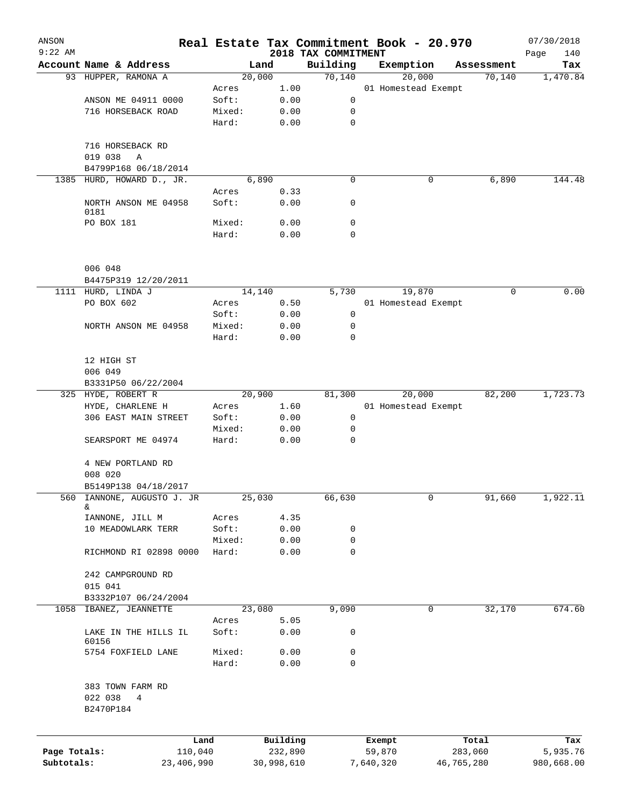| ANSON<br>$9:22$ AM |                                      |        |            |                                 | Real Estate Tax Commitment Book - 20.970 |                      | 07/30/2018         |
|--------------------|--------------------------------------|--------|------------|---------------------------------|------------------------------------------|----------------------|--------------------|
|                    | Account Name & Address               |        | Land       | 2018 TAX COMMITMENT<br>Building |                                          |                      | Page<br>140<br>Tax |
|                    | 93 HUPPER, RAMONA A                  |        | 20,000     | 70,140                          | Exemption<br>20,000                      | Assessment<br>70,140 | 1,470.84           |
|                    |                                      | Acres  | 1.00       |                                 | 01 Homestead Exempt                      |                      |                    |
|                    | ANSON ME 04911 0000                  | Soft:  | 0.00       | 0                               |                                          |                      |                    |
|                    | 716 HORSEBACK ROAD                   | Mixed: | 0.00       | 0                               |                                          |                      |                    |
|                    |                                      | Hard:  | 0.00       | $\mathbf 0$                     |                                          |                      |                    |
|                    | 716 HORSEBACK RD                     |        |            |                                 |                                          |                      |                    |
|                    | 019 038<br>Α<br>B4799P168 06/18/2014 |        |            |                                 |                                          |                      |                    |
| 1385               | HURD, HOWARD D., JR.                 |        | 6,890      | 0                               | 0                                        | 6,890                | 144.48             |
|                    |                                      | Acres  | 0.33       |                                 |                                          |                      |                    |
|                    | NORTH ANSON ME 04958<br>0181         | Soft:  | 0.00       | 0                               |                                          |                      |                    |
|                    | PO BOX 181                           | Mixed: | 0.00       | 0                               |                                          |                      |                    |
|                    |                                      | Hard:  | 0.00       | $\mathbf 0$                     |                                          |                      |                    |
|                    | 006 048                              |        |            |                                 |                                          |                      |                    |
|                    | B4475P319 12/20/2011                 |        |            |                                 |                                          |                      |                    |
|                    | 1111 HURD, LINDA J                   |        | 14,140     | 5,730                           | 19,870                                   | 0                    | 0.00               |
|                    | PO BOX 602                           | Acres  | 0.50       |                                 | 01 Homestead Exempt                      |                      |                    |
|                    |                                      | Soft:  | 0.00       | 0                               |                                          |                      |                    |
|                    | NORTH ANSON ME 04958                 | Mixed: | 0.00       | 0                               |                                          |                      |                    |
|                    |                                      | Hard:  | 0.00       | 0                               |                                          |                      |                    |
|                    | 12 HIGH ST                           |        |            |                                 |                                          |                      |                    |
|                    | 006 049                              |        |            |                                 |                                          |                      |                    |
|                    | B3331P50 06/22/2004                  |        |            |                                 |                                          |                      |                    |
|                    | 325 HYDE, ROBERT R                   |        | 20,900     | 81,300                          | 20,000                                   | 82,200               | 1,723.73           |
|                    | HYDE, CHARLENE H                     | Acres  | 1.60       |                                 | 01 Homestead Exempt                      |                      |                    |
|                    | 306 EAST MAIN STREET                 | Soft:  | 0.00       | 0                               |                                          |                      |                    |
|                    |                                      | Mixed: | 0.00       | 0                               |                                          |                      |                    |
|                    | SEARSPORT ME 04974                   | Hard:  | 0.00       | $\mathbf 0$                     |                                          |                      |                    |
|                    | 4 NEW PORTLAND RD                    |        |            |                                 |                                          |                      |                    |
|                    | 008 020                              |        |            |                                 |                                          |                      |                    |
|                    | B5149P138 04/18/2017                 |        |            |                                 |                                          |                      |                    |
| 560                | IANNONE, AUGUSTO J. JR<br>&.         |        | 25,030     | 66,630                          | 0                                        | 91,660               | 1,922.11           |
|                    | IANNONE, JILL M                      | Acres  | 4.35       |                                 |                                          |                      |                    |
|                    | 10 MEADOWLARK TERR                   | Soft:  | 0.00       | 0                               |                                          |                      |                    |
|                    |                                      | Mixed: | 0.00       | 0                               |                                          |                      |                    |
|                    | RICHMOND RI 02898 0000               | Hard:  | 0.00       | $\mathbf 0$                     |                                          |                      |                    |
|                    | 242 CAMPGROUND RD                    |        |            |                                 |                                          |                      |                    |
|                    | 015 041                              |        |            |                                 |                                          |                      |                    |
|                    | B3332P107 06/24/2004                 |        |            |                                 |                                          |                      |                    |
| 1058               | IBANEZ, JEANNETTE                    |        | 23,080     | 9,090                           | 0                                        | 32,170               | 674.60             |
|                    |                                      | Acres  | 5.05       |                                 |                                          |                      |                    |
|                    | LAKE IN THE HILLS IL<br>60156        | Soft:  | 0.00       | 0                               |                                          |                      |                    |
|                    | 5754 FOXFIELD LANE                   | Mixed: | 0.00       | 0                               |                                          |                      |                    |
|                    |                                      | Hard:  | 0.00       | 0                               |                                          |                      |                    |
|                    | 383 TOWN FARM RD                     |        |            |                                 |                                          |                      |                    |
|                    | 022 038<br>$4\overline{ }$           |        |            |                                 |                                          |                      |                    |
|                    | B2470P184                            |        |            |                                 |                                          |                      |                    |
|                    |                                      | Land   | Building   |                                 | Exempt                                   | Total                | Tax                |
| Page Totals:       | 110,040                              |        | 232,890    |                                 | 59,870                                   | 283,060              | 5,935.76           |
| Subtotals:         | 23,406,990                           |        | 30,998,610 |                                 | 7,640,320                                | 46,765,280           | 980,668.00         |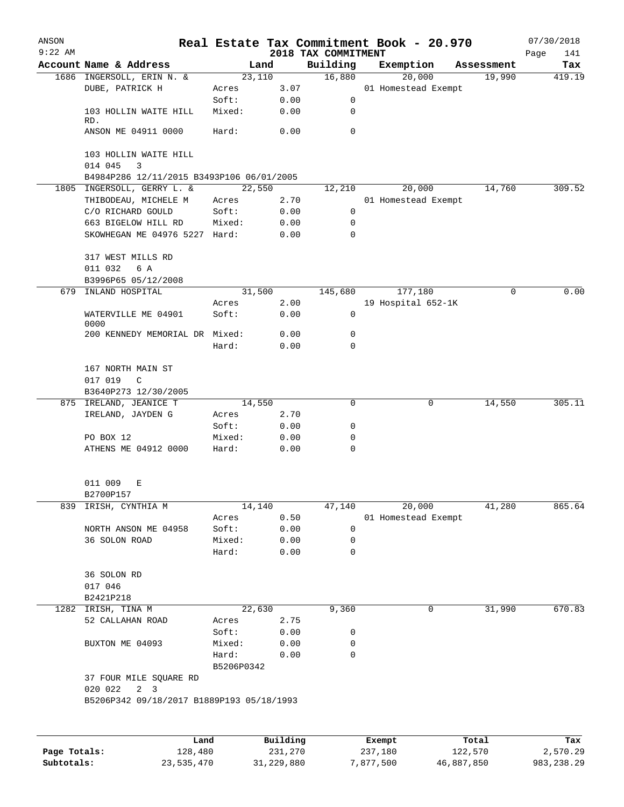| ANSON        |                                                           |                     |                     | Real Estate Tax Commitment Book - 20.970 |                   |                     |                  | 07/30/2018         |
|--------------|-----------------------------------------------------------|---------------------|---------------------|------------------------------------------|-------------------|---------------------|------------------|--------------------|
| $9:22$ AM    | Account Name & Address                                    | Land                |                     | 2018 TAX COMMITMENT<br>Building          | Exemption         |                     | Assessment       | 141<br>Page<br>Tax |
|              | 1686 INGERSOLL, ERIN N. &                                 | 23,110              |                     | 16,880                                   |                   | 20,000              | 19,990           | 419.19             |
|              | DUBE, PATRICK H                                           | Acres               | 3.07                |                                          |                   | 01 Homestead Exempt |                  |                    |
|              |                                                           | Soft:               | 0.00                | 0                                        |                   |                     |                  |                    |
|              | 103 HOLLIN WAITE HILL                                     | Mixed:              | 0.00                | 0                                        |                   |                     |                  |                    |
|              | RD.<br>ANSON ME 04911 0000                                | Hard:               | 0.00                | 0                                        |                   |                     |                  |                    |
|              |                                                           |                     |                     |                                          |                   |                     |                  |                    |
|              | 103 HOLLIN WAITE HILL                                     |                     |                     |                                          |                   |                     |                  |                    |
|              | 014 045<br>3<br>B4984P286 12/11/2015 B3493P106 06/01/2005 |                     |                     |                                          |                   |                     |                  |                    |
|              | 1805 INGERSOLL, GERRY L. &                                | 22,550              |                     | 12,210                                   |                   | 20,000              | 14,760           | 309.52             |
|              | THIBODEAU, MICHELE M                                      | Acres               | 2.70                |                                          |                   | 01 Homestead Exempt |                  |                    |
|              | C/O RICHARD GOULD                                         | Soft:               | 0.00                | 0                                        |                   |                     |                  |                    |
|              | 663 BIGELOW HILL RD                                       | Mixed:              | 0.00                | 0                                        |                   |                     |                  |                    |
|              | SKOWHEGAN ME 04976 5227 Hard:                             |                     | 0.00                | 0                                        |                   |                     |                  |                    |
|              | 317 WEST MILLS RD                                         |                     |                     |                                          |                   |                     |                  |                    |
|              | 6 A<br>011 032                                            |                     |                     |                                          |                   |                     |                  |                    |
|              | B3996P65 05/12/2008                                       |                     |                     |                                          |                   |                     |                  |                    |
| 679          | INLAND HOSPITAL                                           | 31,500              |                     | 145,680                                  |                   | 177,180             | 0                | 0.00               |
|              |                                                           | Acres               | 2.00                |                                          |                   | 19 Hospital 652-1K  |                  |                    |
|              | WATERVILLE ME 04901                                       | Soft:               | 0.00                | $\mathbf 0$                              |                   |                     |                  |                    |
|              | 0000<br>200 KENNEDY MEMORIAL DR Mixed:                    |                     | 0.00                | 0                                        |                   |                     |                  |                    |
|              |                                                           | Hard:               | 0.00                | $\Omega$                                 |                   |                     |                  |                    |
|              |                                                           |                     |                     |                                          |                   |                     |                  |                    |
|              | 167 NORTH MAIN ST                                         |                     |                     |                                          |                   |                     |                  |                    |
|              | 017 019<br>C<br>B3640P273 12/30/2005                      |                     |                     |                                          |                   |                     |                  |                    |
|              | 875 IRELAND, JEANICE T                                    | 14,550              |                     | 0                                        |                   | 0                   | 14,550           | 305.11             |
|              | IRELAND, JAYDEN G                                         | Acres               | 2.70                |                                          |                   |                     |                  |                    |
|              |                                                           | Soft:               | 0.00                | 0                                        |                   |                     |                  |                    |
|              | PO BOX 12                                                 | Mixed:              | 0.00                | 0                                        |                   |                     |                  |                    |
|              | ATHENS ME 04912 0000                                      | Hard:               | 0.00                | 0                                        |                   |                     |                  |                    |
|              | 011 009<br>Е                                              |                     |                     |                                          |                   |                     |                  |                    |
|              | B2700P157                                                 |                     |                     |                                          |                   |                     |                  |                    |
| 839          | IRISH, CYNTHIA M                                          | 14,140              |                     | 47,140                                   |                   | 20,000              | 41,280           | 865.64             |
|              |                                                           | Acres               | 0.50                |                                          |                   | 01 Homestead Exempt |                  |                    |
|              | NORTH ANSON ME 04958                                      | Soft:               | 0.00                | 0                                        |                   |                     |                  |                    |
|              | 36 SOLON ROAD                                             | Mixed:              | 0.00                | 0                                        |                   |                     |                  |                    |
|              |                                                           | Hard:               | 0.00                | 0                                        |                   |                     |                  |                    |
|              | 36 SOLON RD                                               |                     |                     |                                          |                   |                     |                  |                    |
|              | 017 046                                                   |                     |                     |                                          |                   |                     |                  |                    |
|              | B2421P218                                                 |                     |                     |                                          |                   |                     |                  |                    |
|              | 1282 IRISH, TINA M                                        | 22,630              |                     | 9,360                                    |                   | 0                   | 31,990           | 670.83             |
|              | 52 CALLAHAN ROAD                                          | Acres               | 2.75                |                                          |                   |                     |                  |                    |
|              |                                                           | Soft:               | 0.00                | 0                                        |                   |                     |                  |                    |
|              | BUXTON ME 04093                                           | Mixed:              | 0.00                | 0                                        |                   |                     |                  |                    |
|              |                                                           | Hard:<br>B5206P0342 | 0.00                | 0                                        |                   |                     |                  |                    |
|              | 37 FOUR MILE SQUARE RD<br>020 022<br>$2 \quad 3$          |                     |                     |                                          |                   |                     |                  |                    |
|              | B5206P342 09/18/2017 B1889P193 05/18/1993                 |                     |                     |                                          |                   |                     |                  |                    |
|              |                                                           |                     |                     |                                          |                   |                     |                  |                    |
|              |                                                           |                     |                     |                                          |                   |                     |                  |                    |
| Page Totals: | Land<br>128,480                                           |                     | Building<br>231,270 |                                          | Exempt<br>237,180 |                     | Total<br>122,570 | Tax<br>2,570.29    |
|              |                                                           |                     |                     |                                          |                   |                     |                  |                    |

**Subtotals:** 23,535,470 31,229,880 7,877,500 46,887,850 983,238.29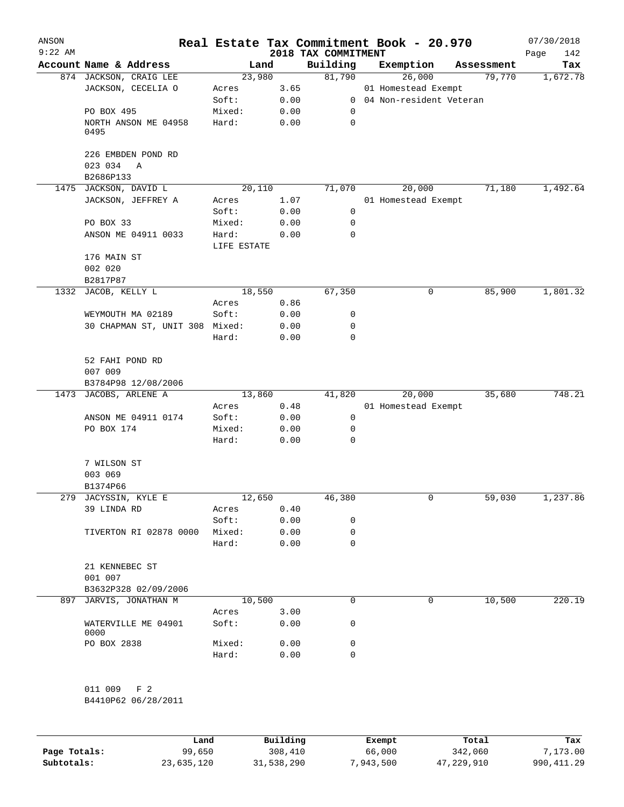| ANSON<br>$9:22$ AM |                                    |                      |      | 2018 TAX COMMITMENT | Real Estate Tax Commitment Book - 20.970 |            | 07/30/2018<br>142<br>Page |
|--------------------|------------------------------------|----------------------|------|---------------------|------------------------------------------|------------|---------------------------|
|                    | Account Name & Address             | Land                 |      | Building            | Exemption                                | Assessment | Tax                       |
|                    | 874 JACKSON, CRAIG LEE             | 23,980               |      | 81,790              | 26,000                                   | 79,770     | 1,672.78                  |
|                    | JACKSON, CECELIA O                 | Acres                | 3.65 |                     | 01 Homestead Exempt                      |            |                           |
|                    |                                    | Soft:                | 0.00 |                     | 0 04 Non-resident Veteran                |            |                           |
|                    | PO BOX 495                         | Mixed:               | 0.00 | 0                   |                                          |            |                           |
|                    | NORTH ANSON ME 04958<br>0495       | Hard:                | 0.00 | 0                   |                                          |            |                           |
|                    | 226 EMBDEN POND RD<br>023 034<br>A |                      |      |                     |                                          |            |                           |
|                    | B2686P133                          |                      |      |                     |                                          |            |                           |
|                    | 1475 JACKSON, DAVID L              | 20,110               |      | 71,070              | 20,000                                   | 71,180     | 1,492.64                  |
|                    | JACKSON, JEFFREY A                 | Acres                | 1.07 |                     | 01 Homestead Exempt                      |            |                           |
|                    |                                    | Soft:                | 0.00 | 0                   |                                          |            |                           |
|                    | PO BOX 33                          | Mixed:               | 0.00 | 0                   |                                          |            |                           |
|                    | ANSON ME 04911 0033                | Hard:<br>LIFE ESTATE | 0.00 | 0                   |                                          |            |                           |
|                    | 176 MAIN ST                        |                      |      |                     |                                          |            |                           |
|                    | 002 020                            |                      |      |                     |                                          |            |                           |
|                    | B2817P87                           |                      |      |                     |                                          |            |                           |
|                    | 1332 JACOB, KELLY L                | 18,550               |      | 67,350              | 0                                        | 85,900     | 1,801.32                  |
|                    |                                    | Acres                | 0.86 |                     |                                          |            |                           |
|                    | WEYMOUTH MA 02189                  | Soft:                | 0.00 | 0                   |                                          |            |                           |
|                    | 30 CHAPMAN ST, UNIT 308            | Mixed:               | 0.00 | 0                   |                                          |            |                           |
|                    |                                    | Hard:                | 0.00 | 0                   |                                          |            |                           |
|                    | 52 FAHI POND RD<br>007 009         |                      |      |                     |                                          |            |                           |
|                    | B3784P98 12/08/2006                |                      |      |                     |                                          |            |                           |
|                    | 1473 JACOBS, ARLENE A              | 13,860               |      | 41,820              | 20,000                                   | 35,680     | 748.21                    |
|                    |                                    | Acres                | 0.48 |                     | 01 Homestead Exempt                      |            |                           |
|                    | ANSON ME 04911 0174                | Soft:                | 0.00 | 0                   |                                          |            |                           |
|                    | PO BOX 174                         | Mixed:               | 0.00 | 0                   |                                          |            |                           |
|                    |                                    | Hard:                | 0.00 | 0                   |                                          |            |                           |
|                    | 7 WILSON ST                        |                      |      |                     |                                          |            |                           |
|                    | 003 069                            |                      |      |                     |                                          |            |                           |
|                    | B1374P66                           |                      |      |                     |                                          |            |                           |
|                    | 279 JACYSSIN, KYLE E               | 12,650               |      | 46,380              | 0                                        | 59,030     | 1,237.86                  |
|                    | 39 LINDA RD                        | Acres                | 0.40 |                     |                                          |            |                           |
|                    |                                    | Soft:                | 0.00 | 0                   |                                          |            |                           |
|                    | TIVERTON RI 02878 0000             | Mixed:               | 0.00 | 0                   |                                          |            |                           |
|                    |                                    | Hard:                | 0.00 | 0                   |                                          |            |                           |
|                    | 21 KENNEBEC ST<br>001 007          |                      |      |                     |                                          |            |                           |
|                    | B3632P328 02/09/2006               |                      |      |                     |                                          |            |                           |
|                    | 897 JARVIS, JONATHAN M             | 10,500               |      | 0                   | $\Omega$                                 | 10,500     | 220.19                    |
|                    |                                    | Acres                | 3.00 |                     |                                          |            |                           |
|                    | WATERVILLE ME 04901<br>0000        | Soft:                | 0.00 | 0                   |                                          |            |                           |
|                    | PO BOX 2838                        | Mixed:               | 0.00 | 0                   |                                          |            |                           |
|                    |                                    | Hard:                | 0.00 | 0                   |                                          |            |                           |
|                    | 011 009 F 2<br>B4410P62 06/28/2011 |                      |      |                     |                                          |            |                           |

|              | Land       | Building   | Exempt    | Total      | Tax          |
|--------------|------------|------------|-----------|------------|--------------|
| Page Totals: | 99,650     | 308,410    | 66,000    | 342,060    | 7,173,00     |
| Subtotals:   | 23,635,120 | 31,538,290 | 7,943,500 | 47,229,910 | 990, 411, 29 |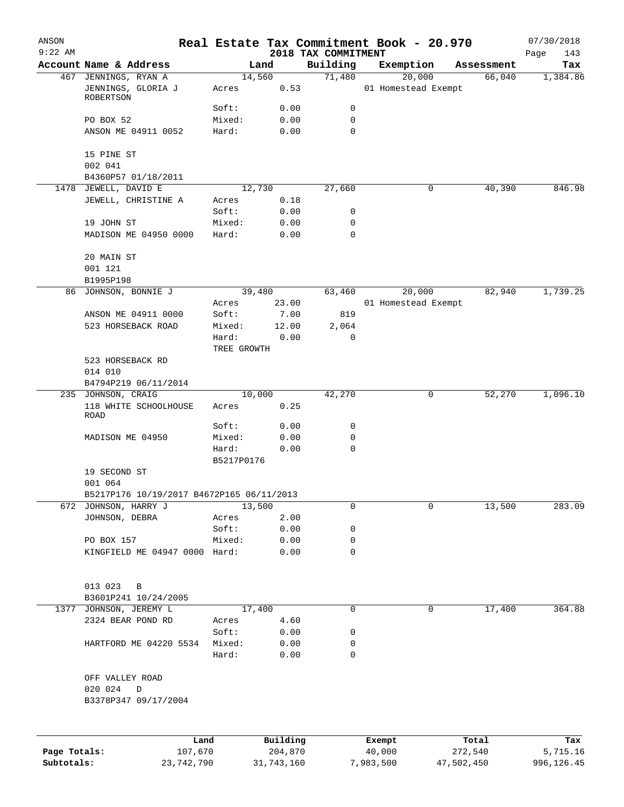| ANSON        |                                            |                 |            |                     | Real Estate Tax Commitment Book - 20.970 |            | 07/30/2018  |
|--------------|--------------------------------------------|-----------------|------------|---------------------|------------------------------------------|------------|-------------|
| $9:22$ AM    |                                            |                 |            | 2018 TAX COMMITMENT |                                          |            | Page<br>143 |
|              | Account Name & Address                     | Land            |            | Building            | Exemption                                | Assessment | Tax         |
|              | 467 JENNINGS, RYAN A<br>JENNINGS, GLORIA J | 14,560<br>Acres | 0.53       | 71,480              | 20,000<br>01 Homestead Exempt            | 66,040     | 1,384.86    |
|              | ROBERTSON                                  |                 |            |                     |                                          |            |             |
|              |                                            | Soft:           | 0.00       | 0                   |                                          |            |             |
|              | PO BOX 52                                  | Mixed:          | 0.00       | 0                   |                                          |            |             |
|              | ANSON ME 04911 0052                        | Hard:           | 0.00       | $\Omega$            |                                          |            |             |
|              | 15 PINE ST                                 |                 |            |                     |                                          |            |             |
|              | 002 041<br>B4360P57 01/18/2011             |                 |            |                     |                                          |            |             |
| 1478         | JEWELL, DAVID E                            | 12,730          |            | 27,660              | 0                                        | 40,390     | 846.98      |
|              | JEWELL, CHRISTINE A                        | Acres           | 0.18       |                     |                                          |            |             |
|              |                                            | Soft:           | 0.00       | 0                   |                                          |            |             |
|              | 19 JOHN ST                                 | Mixed:          | 0.00       | 0                   |                                          |            |             |
|              | MADISON ME 04950 0000                      | Hard:           | 0.00       | 0                   |                                          |            |             |
|              | 20 MAIN ST                                 |                 |            |                     |                                          |            |             |
|              | 001 121                                    |                 |            |                     |                                          |            |             |
|              | B1995P198                                  |                 |            |                     |                                          |            |             |
| 86           | JOHNSON, BONNIE J                          | 39,480          |            | 63,460              | 20,000                                   | 82,940     | 1,739.25    |
|              |                                            | Acres           | 23.00      |                     | 01 Homestead Exempt                      |            |             |
|              | ANSON ME 04911 0000                        | Soft:           | 7.00       | 819                 |                                          |            |             |
|              | 523 HORSEBACK ROAD                         | Mixed:          | 12.00      | 2,064               |                                          |            |             |
|              |                                            | Hard:           | 0.00       | 0                   |                                          |            |             |
|              |                                            | TREE GROWTH     |            |                     |                                          |            |             |
|              | 523 HORSEBACK RD<br>014 010                |                 |            |                     |                                          |            |             |
|              | B4794P219 06/11/2014                       |                 |            |                     |                                          |            |             |
|              | 235 JOHNSON, CRAIG                         | 10,000          |            | 42,270              | 0                                        | 52,270     | 1,096.10    |
|              | 118 WHITE SCHOOLHOUSE<br>ROAD              | Acres           | 0.25       |                     |                                          |            |             |
|              |                                            | Soft:           | 0.00       | 0                   |                                          |            |             |
|              | MADISON ME 04950                           | Mixed:          | 0.00       | 0                   |                                          |            |             |
|              |                                            | Hard:           | 0.00       | 0                   |                                          |            |             |
|              |                                            | B5217P0176      |            |                     |                                          |            |             |
|              | 19 SECOND ST                               |                 |            |                     |                                          |            |             |
|              | 001 064                                    |                 |            |                     |                                          |            |             |
|              | B5217P176 10/19/2017 B4672P165 06/11/2013  |                 |            |                     |                                          |            |             |
| 672          | JOHNSON, HARRY J                           | 13,500          |            | 0                   | 0                                        | 13,500     | 283.09      |
|              | JOHNSON, DEBRA                             | Acres           | 2.00       |                     |                                          |            |             |
|              |                                            | Soft:           | 0.00       | 0                   |                                          |            |             |
|              | PO BOX 157                                 | Mixed:          | 0.00       | 0                   |                                          |            |             |
|              | KINGFIELD ME 04947 0000 Hard:              |                 | 0.00       | 0                   |                                          |            |             |
|              | 013 023<br>B                               |                 |            |                     |                                          |            |             |
|              | B3601P241 10/24/2005                       |                 |            |                     |                                          |            |             |
| 1377         | JOHNSON, JEREMY L                          | 17,400          |            | 0                   | 0                                        | 17,400     | 364.88      |
|              | 2324 BEAR POND RD                          | Acres           | 4.60       |                     |                                          |            |             |
|              |                                            | Soft:           | 0.00       | 0                   |                                          |            |             |
|              | HARTFORD ME 04220 5534                     | Mixed:          | 0.00       | 0                   |                                          |            |             |
|              |                                            | Hard:           | 0.00       | 0                   |                                          |            |             |
|              | OFF VALLEY ROAD                            |                 |            |                     |                                          |            |             |
|              | 020 024<br>$\mathbb D$                     |                 |            |                     |                                          |            |             |
|              | B3378P347 09/17/2004                       |                 |            |                     |                                          |            |             |
|              |                                            |                 |            |                     |                                          |            |             |
|              | Land                                       |                 | Building   |                     | Exempt                                   | Total      | Tax         |
| Page Totals: | 107,670                                    |                 | 204,870    |                     | 40,000                                   | 272,540    | 5,715.16    |
| Subtotals:   | 23,742,790                                 |                 | 31,743,160 |                     | 7,983,500                                | 47,502,450 | 996,126.45  |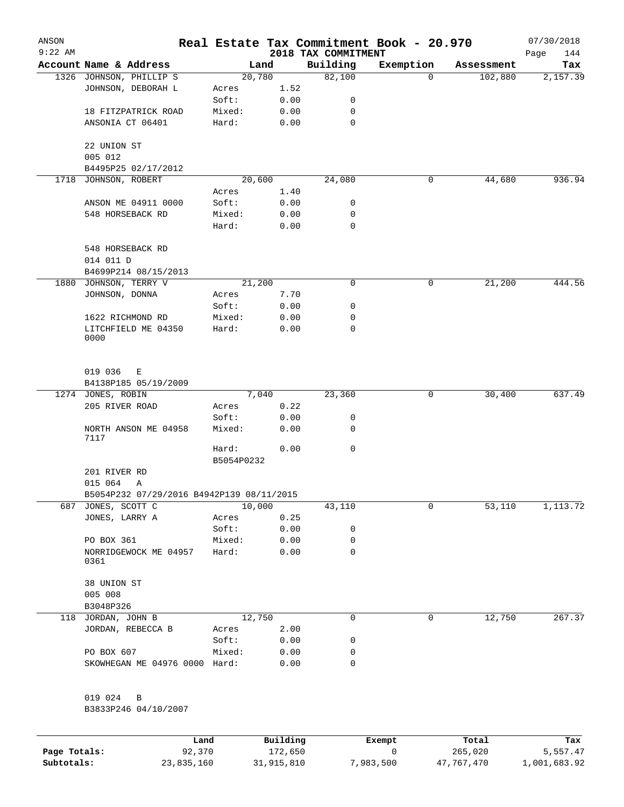| ANSON<br>$9:22$ AM |                                           |                     |      | 2018 TAX COMMITMENT | Real Estate Tax Commitment Book - 20.970 |            | 07/30/2018<br>144<br>Page |
|--------------------|-------------------------------------------|---------------------|------|---------------------|------------------------------------------|------------|---------------------------|
|                    | Account Name & Address                    | Land                |      | Building            | Exemption                                | Assessment | Tax                       |
|                    | 1326 JOHNSON, PHILLIP S                   | 20,780              |      | 82,100              | 0                                        | 102,880    | 2,157.39                  |
|                    | JOHNSON, DEBORAH L                        | Acres               | 1.52 |                     |                                          |            |                           |
|                    |                                           | Soft:               | 0.00 | 0                   |                                          |            |                           |
|                    | 18 FITZPATRICK ROAD                       | Mixed:              | 0.00 | 0                   |                                          |            |                           |
|                    | ANSONIA CT 06401                          | Hard:               | 0.00 | 0                   |                                          |            |                           |
|                    | 22 UNION ST                               |                     |      |                     |                                          |            |                           |
|                    | 005 012                                   |                     |      |                     |                                          |            |                           |
|                    | B4495P25 02/17/2012                       |                     |      |                     |                                          |            |                           |
|                    | 1718 JOHNSON, ROBERT                      | 20,600              |      | 24,080              | 0                                        | 44,680     | 936.94                    |
|                    |                                           | Acres               | 1.40 |                     |                                          |            |                           |
|                    | ANSON ME 04911 0000                       | Soft:               | 0.00 | 0                   |                                          |            |                           |
|                    | 548 HORSEBACK RD                          | Mixed:              | 0.00 | 0                   |                                          |            |                           |
|                    |                                           | Hard:               | 0.00 | 0                   |                                          |            |                           |
|                    | 548 HORSEBACK RD                          |                     |      |                     |                                          |            |                           |
|                    | 014 011 D<br>B4699P214 08/15/2013         |                     |      |                     |                                          |            |                           |
|                    | 1880 JOHNSON, TERRY V                     | 21,200              |      | 0                   | 0                                        | 21,200     | 444.56                    |
|                    | JOHNSON, DONNA                            | Acres               | 7.70 |                     |                                          |            |                           |
|                    |                                           | Soft:               | 0.00 | 0                   |                                          |            |                           |
|                    | 1622 RICHMOND RD                          | Mixed:              | 0.00 | 0                   |                                          |            |                           |
|                    | LITCHFIELD ME 04350                       | Hard:               |      | 0                   |                                          |            |                           |
|                    | 0000                                      |                     | 0.00 |                     |                                          |            |                           |
|                    | 019 036<br>Е                              |                     |      |                     |                                          |            |                           |
|                    | B4138P185 05/19/2009                      |                     |      |                     |                                          |            |                           |
|                    | 1274 JONES, ROBIN                         | 7,040               |      | 23,360              | 0                                        | 30,400     | 637.49                    |
|                    | 205 RIVER ROAD                            | Acres               | 0.22 |                     |                                          |            |                           |
|                    |                                           | Soft:               | 0.00 | 0                   |                                          |            |                           |
|                    | NORTH ANSON ME 04958<br>7117              | Mixed:              | 0.00 | 0                   |                                          |            |                           |
|                    |                                           | Hard:<br>B5054P0232 | 0.00 | 0                   |                                          |            |                           |
|                    | 201 RIVER RD                              |                     |      |                     |                                          |            |                           |
|                    | 015 064<br>Α                              |                     |      |                     |                                          |            |                           |
|                    | B5054P232 07/29/2016 B4942P139 08/11/2015 |                     |      |                     |                                          |            |                           |
| 687                | JONES, SCOTT C                            | 10,000              |      | 43,110              | 0                                        | 53,110     | 1,113.72                  |
|                    | JONES, LARRY A                            | Acres               | 0.25 |                     |                                          |            |                           |
|                    |                                           | Soft:               | 0.00 | 0                   |                                          |            |                           |
|                    | PO BOX 361                                | Mixed:              | 0.00 | 0                   |                                          |            |                           |
|                    | NORRIDGEWOCK ME 04957<br>0361             | Hard:               | 0.00 | 0                   |                                          |            |                           |
|                    | 38 UNION ST                               |                     |      |                     |                                          |            |                           |
|                    | 005 008                                   |                     |      |                     |                                          |            |                           |
|                    | B3048P326                                 |                     |      |                     |                                          |            |                           |
|                    | 118 JORDAN, JOHN B                        | 12,750              |      | 0                   | 0                                        | 12,750     | 267.37                    |
|                    | JORDAN, REBECCA B                         | Acres               | 2.00 |                     |                                          |            |                           |
|                    |                                           | Soft:               | 0.00 | 0                   |                                          |            |                           |
|                    | PO BOX 607                                | Mixed:              | 0.00 | 0                   |                                          |            |                           |
|                    | SKOWHEGAN ME 04976 0000 Hard:             |                     | 0.00 | 0                   |                                          |            |                           |
|                    | 019 024<br>B                              |                     |      |                     |                                          |            |                           |
|                    | B3833P246 04/10/2007                      |                     |      |                     |                                          |            |                           |
|                    |                                           |                     |      |                     |                                          |            |                           |

|              | Land       | Building   | Exempt    | Total      | Tax          |
|--------------|------------|------------|-----------|------------|--------------|
| Page Totals: | 92,370     | 172,650    |           | 265,020    | 5,557.47     |
| Subtotals:   | 23,835,160 | 31,915,810 | 7,983,500 | 47,767,470 | 1,001,683.92 |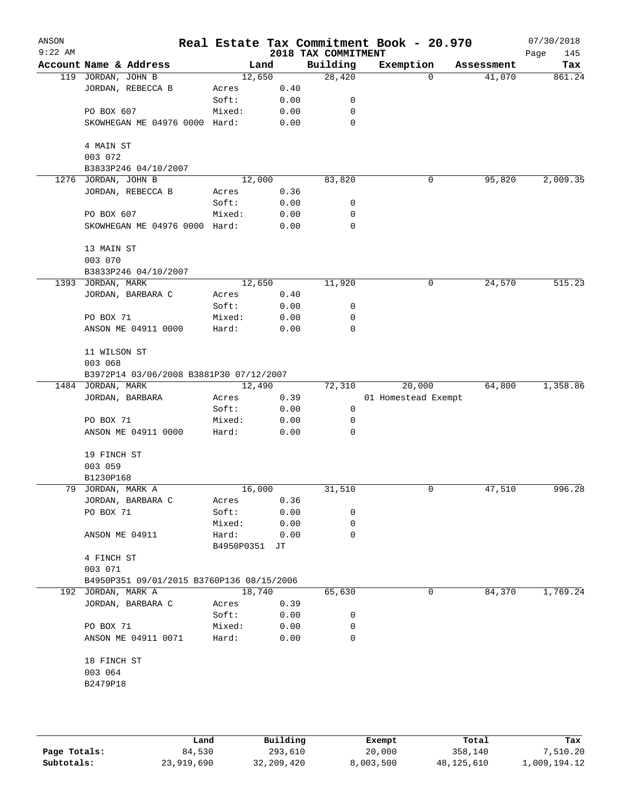| ANSON<br>$9:22$ AM |                                           |            |      | 2018 TAX COMMITMENT | Real Estate Tax Commitment Book - 20.970 |            | 07/30/2018<br>Page<br>145 |
|--------------------|-------------------------------------------|------------|------|---------------------|------------------------------------------|------------|---------------------------|
|                    | Account Name & Address                    | Land       |      | Building            | Exemption                                | Assessment | Tax                       |
| 119                | JORDAN, JOHN B                            | 12,650     |      | 28,420              | 0                                        | 41,070     | 861.24                    |
|                    | JORDAN, REBECCA B                         | Acres      | 0.40 |                     |                                          |            |                           |
|                    |                                           | Soft:      | 0.00 | 0                   |                                          |            |                           |
|                    | PO BOX 607                                | Mixed:     | 0.00 | 0                   |                                          |            |                           |
|                    | SKOWHEGAN ME 04976 0000 Hard:             |            | 0.00 | 0                   |                                          |            |                           |
|                    | 4 MAIN ST                                 |            |      |                     |                                          |            |                           |
|                    | 003 072                                   |            |      |                     |                                          |            |                           |
|                    | B3833P246 04/10/2007                      |            |      |                     |                                          |            |                           |
| 1276               | JORDAN, JOHN B                            | 12,000     |      | 83,820              | 0                                        | 95,820     | 2,009.35                  |
|                    | JORDAN, REBECCA B                         | Acres      | 0.36 |                     |                                          |            |                           |
|                    |                                           | Soft:      | 0.00 | 0                   |                                          |            |                           |
|                    | PO BOX 607                                | Mixed:     | 0.00 | 0                   |                                          |            |                           |
|                    | SKOWHEGAN ME 04976 0000 Hard:             |            | 0.00 | 0                   |                                          |            |                           |
|                    | 13 MAIN ST                                |            |      |                     |                                          |            |                           |
|                    | 003 070                                   |            |      |                     |                                          |            |                           |
|                    | B3833P246 04/10/2007<br>1393 JORDAN, MARK | 12,650     |      | 11,920              | 0                                        | 24,570     | 515.23                    |
|                    | JORDAN, BARBARA C                         | Acres      | 0.40 |                     |                                          |            |                           |
|                    |                                           | Soft:      | 0.00 | 0                   |                                          |            |                           |
|                    | PO BOX 71                                 | Mixed:     | 0.00 | 0                   |                                          |            |                           |
|                    | ANSON ME 04911 0000                       | Hard:      | 0.00 | 0                   |                                          |            |                           |
|                    | 11 WILSON ST                              |            |      |                     |                                          |            |                           |
|                    | 003 068                                   |            |      |                     |                                          |            |                           |
|                    | B3972P14 03/06/2008 B3881P30 07/12/2007   |            |      |                     |                                          |            |                           |
| 1484               | JORDAN, MARK                              | 12,490     |      | 72,310              | 20,000                                   | 64,800     | 1,358.86                  |
|                    | JORDAN, BARBARA                           | Acres      | 0.39 |                     | 01 Homestead Exempt                      |            |                           |
|                    |                                           | Soft:      | 0.00 | 0                   |                                          |            |                           |
|                    | PO BOX 71                                 | Mixed:     | 0.00 | 0                   |                                          |            |                           |
|                    | ANSON ME 04911 0000                       | Hard:      | 0.00 | 0                   |                                          |            |                           |
|                    | 19 FINCH ST                               |            |      |                     |                                          |            |                           |
|                    | 003 059                                   |            |      |                     |                                          |            |                           |
|                    | B1230P168                                 |            |      |                     |                                          |            |                           |
|                    | 79 JORDAN, MARK A                         | 16,000     |      | 31,510              | 0                                        | 47,510     | 996.28                    |
|                    | JORDAN, BARBARA C                         | Acres      | 0.36 |                     |                                          |            |                           |
|                    | PO BOX 71                                 | Soft:      | 0.00 | 0                   |                                          |            |                           |
|                    |                                           | Mixed:     | 0.00 | 0                   |                                          |            |                           |
|                    | ANSON ME 04911                            | Hard:      | 0.00 | 0                   |                                          |            |                           |
|                    |                                           | B4950P0351 | JT   |                     |                                          |            |                           |
|                    | 4 FINCH ST                                |            |      |                     |                                          |            |                           |
|                    | 003 071                                   |            |      |                     |                                          |            |                           |
|                    | B4950P351 09/01/2015 B3760P136 08/15/2006 |            |      |                     |                                          |            |                           |
|                    | 192 JORDAN, MARK A                        | 18,740     |      | 65,630              | 0                                        | 84,370     | 1,769.24                  |
|                    | JORDAN, BARBARA C                         | Acres      | 0.39 |                     |                                          |            |                           |
|                    |                                           | Soft:      | 0.00 | 0                   |                                          |            |                           |
|                    | PO BOX 71                                 | Mixed:     | 0.00 | 0                   |                                          |            |                           |
|                    | ANSON ME 04911 0071                       | Hard:      | 0.00 | 0                   |                                          |            |                           |
|                    | 18 FINCH ST                               |            |      |                     |                                          |            |                           |
|                    | 003 064                                   |            |      |                     |                                          |            |                           |
|                    | B2479P18                                  |            |      |                     |                                          |            |                           |
|                    |                                           |            |      |                     |                                          |            |                           |
|                    |                                           |            |      |                     |                                          |            |                           |
|                    |                                           |            |      |                     |                                          |            |                           |

|              | Land       | Building     | Exempt    | Total        | Tax          |
|--------------|------------|--------------|-----------|--------------|--------------|
| Page Totals: | 84,530     | 293,610      | 20,000    | 358,140      | 7,510.20     |
| Subtotals:   | 23,919,690 | 32, 209, 420 | 8,003,500 | 48, 125, 610 | 1,009,194.12 |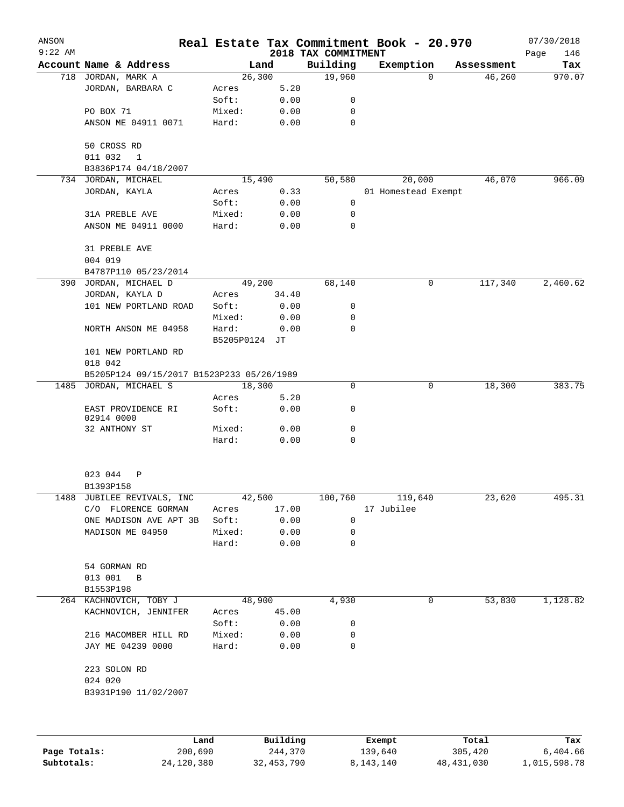| ANSON<br>$9:22$ AM |                                           |               |                     |                                 | Real Estate Tax Commitment Book - 20.970 |                    | 07/30/2018         |
|--------------------|-------------------------------------------|---------------|---------------------|---------------------------------|------------------------------------------|--------------------|--------------------|
|                    | Account Name & Address                    |               | Land                | 2018 TAX COMMITMENT<br>Building | Exemption                                | Assessment         | Page<br>146<br>Tax |
|                    | 718 JORDAN, MARK A                        |               | 26,300              | 19,960                          |                                          | 46,260<br>$\Omega$ | 970.07             |
|                    | JORDAN, BARBARA C                         | Acres         | 5.20                |                                 |                                          |                    |                    |
|                    |                                           | Soft:         | 0.00                | 0                               |                                          |                    |                    |
|                    | PO BOX 71                                 | Mixed:        | 0.00                | 0                               |                                          |                    |                    |
|                    | ANSON ME 04911 0071                       | Hard:         | 0.00                | 0                               |                                          |                    |                    |
|                    | 50 CROSS RD                               |               |                     |                                 |                                          |                    |                    |
|                    | 011 032<br>$\mathbf{1}$                   |               |                     |                                 |                                          |                    |                    |
|                    | B3836P174 04/18/2007                      |               |                     |                                 |                                          |                    |                    |
|                    | 734 JORDAN, MICHAEL                       |               | 15,490              | 50,580                          | 20,000                                   | 46,070             | 966.09             |
|                    | JORDAN, KAYLA                             | Acres         | 0.33                |                                 | 01 Homestead Exempt                      |                    |                    |
|                    |                                           | Soft:         | 0.00                | 0                               |                                          |                    |                    |
|                    | 31A PREBLE AVE                            | Mixed:        | 0.00                | 0                               |                                          |                    |                    |
|                    | ANSON ME 04911 0000                       | Hard:         | 0.00                | 0                               |                                          |                    |                    |
|                    | 31 PREBLE AVE<br>004 019                  |               |                     |                                 |                                          |                    |                    |
|                    | B4787P110 05/23/2014                      |               |                     |                                 |                                          |                    |                    |
|                    | 390 JORDAN, MICHAEL D                     |               | 49,200              | 68,140                          | 0                                        | 117,340            | 2,460.62           |
|                    | JORDAN, KAYLA D                           | Acres         | 34.40               |                                 |                                          |                    |                    |
|                    | 101 NEW PORTLAND ROAD                     | Soft:         | 0.00                | 0                               |                                          |                    |                    |
|                    |                                           | Mixed:        | 0.00                | 0                               |                                          |                    |                    |
|                    | NORTH ANSON ME 04958                      | Hard:         | 0.00                | 0                               |                                          |                    |                    |
|                    |                                           | B5205P0124 JT |                     |                                 |                                          |                    |                    |
|                    | 101 NEW PORTLAND RD<br>018 042            |               |                     |                                 |                                          |                    |                    |
|                    | B5205P124 09/15/2017 B1523P233 05/26/1989 |               |                     |                                 |                                          |                    |                    |
|                    | 1485 JORDAN, MICHAEL S                    |               | 18,300              | 0                               |                                          | 18,300<br>0        | 383.75             |
|                    |                                           | Acres         | 5.20                |                                 |                                          |                    |                    |
|                    | EAST PROVIDENCE RI<br>02914 0000          | Soft:         | 0.00                | 0                               |                                          |                    |                    |
|                    | 32 ANTHONY ST                             | Mixed:        | 0.00                | 0                               |                                          |                    |                    |
|                    |                                           | Hard:         | 0.00                | $\mathbf 0$                     |                                          |                    |                    |
|                    |                                           |               |                     |                                 |                                          |                    |                    |
|                    | 023 044<br>Ρ                              |               |                     |                                 |                                          |                    |                    |
|                    | B1393P158                                 |               |                     |                                 |                                          |                    |                    |
| 1488               | JUBILEE REVIVALS, INC                     |               | 42,500              | 100,760                         | 119,640                                  | 23,620             | 495.31             |
|                    | C/O FLORENCE GORMAN                       | Acres         | 17.00               |                                 | 17 Jubilee                               |                    |                    |
|                    | ONE MADISON AVE APT 3B                    | Soft:         | 0.00                | 0                               |                                          |                    |                    |
|                    | MADISON ME 04950                          | Mixed:        | 0.00                | 0                               |                                          |                    |                    |
|                    |                                           | Hard:         | 0.00                | 0                               |                                          |                    |                    |
|                    | 54 GORMAN RD                              |               |                     |                                 |                                          |                    |                    |
|                    | 013 001<br>B                              |               |                     |                                 |                                          |                    |                    |
|                    | B1553P198                                 |               |                     |                                 |                                          |                    |                    |
|                    | 264 KACHNOVICH, TOBY J                    |               | 48,900              | 4,930                           |                                          | 53,830<br>0        | 1,128.82           |
|                    | KACHNOVICH, JENNIFER                      | Acres         | 45.00               |                                 |                                          |                    |                    |
|                    |                                           | Soft:         | 0.00                | 0                               |                                          |                    |                    |
|                    | 216 MACOMBER HILL RD                      | Mixed:        | 0.00                | 0                               |                                          |                    |                    |
|                    | JAY ME 04239 0000                         | Hard:         | 0.00                | 0                               |                                          |                    |                    |
|                    | 223 SOLON RD<br>024 020                   |               |                     |                                 |                                          |                    |                    |
|                    | B3931P190 11/02/2007                      |               |                     |                                 |                                          |                    |                    |
|                    |                                           |               |                     |                                 |                                          |                    |                    |
|                    |                                           |               |                     |                                 |                                          |                    |                    |
| Page Totals:       | Land<br>200,690                           |               | Building<br>244,370 |                                 | Exempt<br>139,640                        | Total<br>305,420   | Tax<br>6,404.66    |

**Subtotals:** 24,120,380 32,453,790 8,143,140 48,431,030 1,015,598.78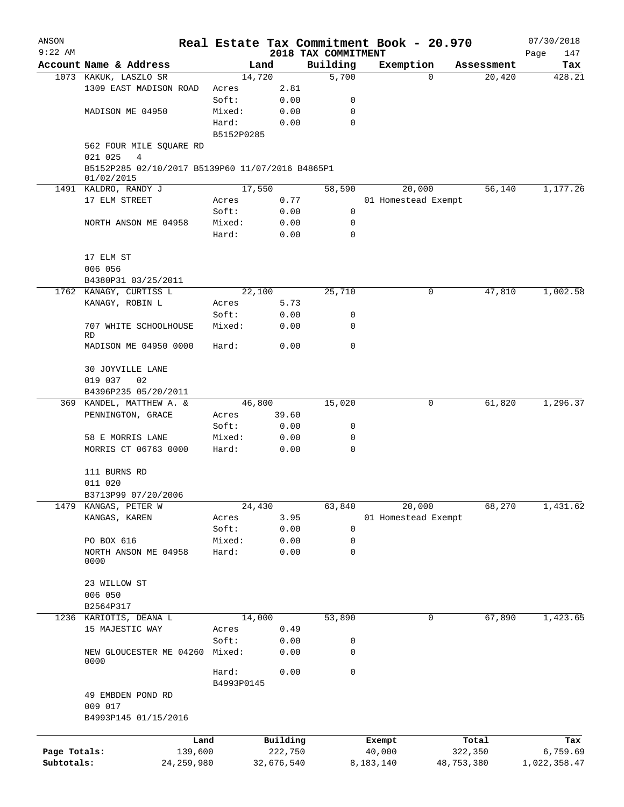| ANSON        |                                                                |                     |            |                                 | Real Estate Tax Commitment Book - 20.970 |   |            | 07/30/2018         |
|--------------|----------------------------------------------------------------|---------------------|------------|---------------------------------|------------------------------------------|---|------------|--------------------|
| $9:22$ AM    | Account Name & Address                                         |                     | Land       | 2018 TAX COMMITMENT<br>Building | Exemption                                |   | Assessment | Page<br>147<br>Tax |
|              | 1073 KAKUK, LASZLO SR                                          |                     | 14,720     | 5,700                           |                                          | 0 | 20,420     | 428.21             |
|              | 1309 EAST MADISON ROAD                                         | Acres               | 2.81       |                                 |                                          |   |            |                    |
|              |                                                                | Soft:               | 0.00       | 0                               |                                          |   |            |                    |
|              | MADISON ME 04950                                               | Mixed:              | 0.00       | 0                               |                                          |   |            |                    |
|              |                                                                | Hard:               | 0.00       | $\mathbf 0$                     |                                          |   |            |                    |
|              |                                                                | B5152P0285          |            |                                 |                                          |   |            |                    |
|              | 562 FOUR MILE SQUARE RD<br>021 025<br>4                        |                     |            |                                 |                                          |   |            |                    |
|              | B5152P285 02/10/2017 B5139P60 11/07/2016 B4865P1<br>01/02/2015 |                     |            |                                 |                                          |   |            |                    |
|              | 1491 KALDRO, RANDY J                                           |                     | 17,550     | 58,590                          | 20,000                                   |   | 56,140     | 1,177.26           |
|              | 17 ELM STREET                                                  | Acres               | 0.77       |                                 | 01 Homestead Exempt                      |   |            |                    |
|              |                                                                | Soft:               | 0.00       | 0                               |                                          |   |            |                    |
|              | NORTH ANSON ME 04958                                           | Mixed:              | 0.00       | 0                               |                                          |   |            |                    |
|              |                                                                | Hard:               | 0.00       | 0                               |                                          |   |            |                    |
|              | 17 ELM ST                                                      |                     |            |                                 |                                          |   |            |                    |
|              | 006 056                                                        |                     |            |                                 |                                          |   |            |                    |
|              | B4380P31 03/25/2011                                            |                     |            |                                 |                                          |   |            |                    |
|              | 1762 KANAGY, CURTISS L                                         |                     | 22,100     | 25,710                          |                                          | 0 | 47,810     | 1,002.58           |
|              | KANAGY, ROBIN L                                                | Acres               | 5.73       |                                 |                                          |   |            |                    |
|              |                                                                | Soft:               | 0.00       | 0                               |                                          |   |            |                    |
|              | 707 WHITE SCHOOLHOUSE                                          | Mixed:              | 0.00       | 0                               |                                          |   |            |                    |
|              | <b>RD</b><br>MADISON ME 04950 0000                             | Hard:               | 0.00       | $\mathbf 0$                     |                                          |   |            |                    |
|              | 30 JOYVILLE LANE                                               |                     |            |                                 |                                          |   |            |                    |
|              | 019 037<br>02                                                  |                     |            |                                 |                                          |   |            |                    |
|              | B4396P235 05/20/2011                                           |                     |            |                                 |                                          |   |            |                    |
|              | 369 KANDEL, MATTHEW A. &                                       |                     | 46,800     | 15,020                          |                                          | 0 | 61,820     | 1,296.37           |
|              | PENNINGTON, GRACE                                              | Acres               | 39.60      |                                 |                                          |   |            |                    |
|              |                                                                | Soft:               | 0.00       | 0                               |                                          |   |            |                    |
|              | 58 E MORRIS LANE                                               | Mixed:              | 0.00       | 0                               |                                          |   |            |                    |
|              | MORRIS CT 06763 0000                                           | Hard:               | 0.00       | 0                               |                                          |   |            |                    |
|              | 111 BURNS RD                                                   |                     |            |                                 |                                          |   |            |                    |
|              | 011 020                                                        |                     |            |                                 |                                          |   |            |                    |
|              | B3713P99 07/20/2006                                            |                     |            |                                 |                                          |   |            |                    |
| 1479         | KANGAS, PETER W                                                |                     | 24,430     | 63,840                          | 20,000                                   |   | 68,270     | 1,431.62           |
|              | KANGAS, KAREN                                                  | Acres               | 3.95       |                                 | 01 Homestead Exempt                      |   |            |                    |
|              |                                                                | Soft:               | 0.00       | 0                               |                                          |   |            |                    |
|              | PO BOX 616                                                     | Mixed:              | 0.00       | 0                               |                                          |   |            |                    |
|              | NORTH ANSON ME 04958<br>0000                                   | Hard:               | 0.00       | 0                               |                                          |   |            |                    |
|              | 23 WILLOW ST                                                   |                     |            |                                 |                                          |   |            |                    |
|              | 006 050                                                        |                     |            |                                 |                                          |   |            |                    |
|              | B2564P317                                                      |                     |            |                                 |                                          |   |            |                    |
|              | 1236 KARIOTIS, DEANA L                                         |                     | 14,000     | 53,890                          |                                          | 0 | 67,890     | 1,423.65           |
|              | 15 MAJESTIC WAY                                                | Acres               | 0.49       |                                 |                                          |   |            |                    |
|              |                                                                | Soft:               | 0.00       | 0                               |                                          |   |            |                    |
|              | NEW GLOUCESTER ME 04260<br>0000                                | Mixed:              | 0.00       | 0                               |                                          |   |            |                    |
|              |                                                                | Hard:<br>B4993P0145 | 0.00       | 0                               |                                          |   |            |                    |
|              | 49 EMBDEN POND RD<br>009 017                                   |                     |            |                                 |                                          |   |            |                    |
|              | B4993P145 01/15/2016                                           |                     |            |                                 |                                          |   |            |                    |
|              | Land                                                           |                     | Building   |                                 | Exempt                                   |   | Total      | Tax                |
| Page Totals: | 139,600                                                        |                     | 222,750    |                                 | 40,000                                   |   | 322,350    | 6,759.69           |
| Subtotals:   | 24, 259, 980                                                   |                     | 32,676,540 |                                 | 8,183,140                                |   | 48,753,380 | 1,022,358.47       |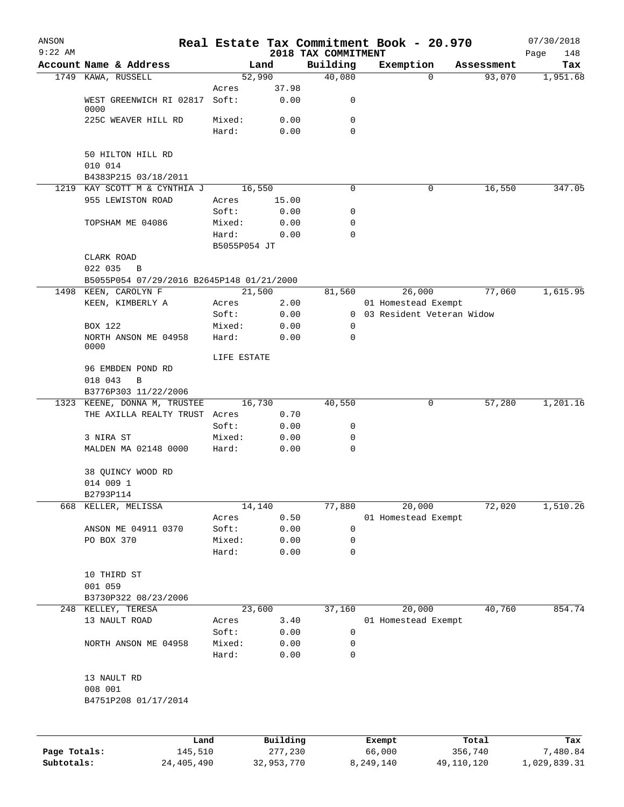| ANSON<br>$9:22$ AM |                                           |                       |          |                                 |        | Real Estate Tax Commitment Book - 20.970 |            | 07/30/2018         |
|--------------------|-------------------------------------------|-----------------------|----------|---------------------------------|--------|------------------------------------------|------------|--------------------|
|                    | Account Name & Address                    |                       | Land     | 2018 TAX COMMITMENT<br>Building |        | Exemption                                | Assessment | Page<br>148<br>Tax |
|                    | 1749 KAWA, RUSSELL                        | 52,990                |          | 40,080                          |        | 0                                        | 93,070     | 1,951.68           |
|                    |                                           | Acres                 | 37.98    |                                 |        |                                          |            |                    |
|                    | WEST GREENWICH RI 02817<br>0000           | Soft:                 | 0.00     | 0                               |        |                                          |            |                    |
|                    | 225C WEAVER HILL RD                       | Mixed:                | 0.00     | 0                               |        |                                          |            |                    |
|                    |                                           | Hard:                 | 0.00     | 0                               |        |                                          |            |                    |
|                    | 50 HILTON HILL RD                         |                       |          |                                 |        |                                          |            |                    |
|                    | 010 014                                   |                       |          |                                 |        |                                          |            |                    |
|                    | B4383P215 03/18/2011                      |                       |          |                                 |        |                                          |            |                    |
| 1219               | KAY SCOTT M & CYNTHIA J                   | 16,550                |          | 0                               |        | 0                                        | 16,550     | 347.05             |
|                    | 955 LEWISTON ROAD                         | Acres                 | 15.00    |                                 |        |                                          |            |                    |
|                    |                                           | Soft:                 | 0.00     | 0                               |        |                                          |            |                    |
|                    | TOPSHAM ME 04086                          | Mixed:                | 0.00     | 0                               |        |                                          |            |                    |
|                    |                                           | Hard:<br>B5055P054 JT | 0.00     | 0                               |        |                                          |            |                    |
|                    | CLARK ROAD                                |                       |          |                                 |        |                                          |            |                    |
|                    | 022 035<br>B                              |                       |          |                                 |        |                                          |            |                    |
|                    | B5055P054 07/29/2016 B2645P148 01/21/2000 |                       |          |                                 |        |                                          |            |                    |
| 1498               | KEEN, CAROLYN F                           | 21,500                |          | 81,560                          |        | 26,000                                   | 77,060     | 1,615.95           |
|                    | KEEN, KIMBERLY A                          | Acres                 | 2.00     |                                 |        | 01 Homestead Exempt                      |            |                    |
|                    |                                           | Soft:                 | 0.00     | 0                               |        | 03 Resident Veteran Widow                |            |                    |
|                    | BOX 122                                   | Mixed:                | 0.00     | 0                               |        |                                          |            |                    |
|                    | NORTH ANSON ME 04958<br>0000              | Hard:                 | 0.00     | 0                               |        |                                          |            |                    |
|                    |                                           | LIFE ESTATE           |          |                                 |        |                                          |            |                    |
|                    | 96 EMBDEN POND RD<br>018 043<br>B         |                       |          |                                 |        |                                          |            |                    |
|                    | B3776P303 11/22/2006                      |                       |          |                                 |        |                                          |            |                    |
|                    | 1323 KEENE, DONNA M, TRUSTEE              | 16,730                |          | 40,550                          |        | 0                                        | 57,280     | 1,201.16           |
|                    | THE AXILLA REALTY TRUST                   | Acres                 | 0.70     |                                 |        |                                          |            |                    |
|                    |                                           | Soft:                 | 0.00     | 0                               |        |                                          |            |                    |
|                    | 3 NIRA ST                                 | Mixed:                | 0.00     | 0                               |        |                                          |            |                    |
|                    | MALDEN MA 02148 0000                      | Hard:                 | 0.00     | $\mathbf 0$                     |        |                                          |            |                    |
|                    | 38 QUINCY WOOD RD                         |                       |          |                                 |        |                                          |            |                    |
|                    | 014 009 1                                 |                       |          |                                 |        |                                          |            |                    |
|                    | B2793P114                                 |                       |          |                                 |        |                                          |            |                    |
| 668                | KELLER, MELISSA                           | 14,140                |          | 77,880                          |        | 20,000                                   | 72,020     | 1,510.26           |
|                    |                                           | Acres                 | 0.50     |                                 |        | 01 Homestead Exempt                      |            |                    |
|                    | ANSON ME 04911 0370                       | Soft:                 | 0.00     | 0                               |        |                                          |            |                    |
|                    | PO BOX 370                                | Mixed:                | 0.00     | 0                               |        |                                          |            |                    |
|                    |                                           | Hard:                 | 0.00     | $\mathbf 0$                     |        |                                          |            |                    |
|                    | 10 THIRD ST                               |                       |          |                                 |        |                                          |            |                    |
|                    | 001 059                                   |                       |          |                                 |        |                                          |            |                    |
|                    | B3730P322 08/23/2006                      |                       |          |                                 |        |                                          |            |                    |
| 248                | KELLEY, TERESA                            | 23,600                |          | 37,160                          |        | 20,000                                   | 40,760     | 854.74             |
|                    | 13 NAULT ROAD                             | Acres                 | 3.40     |                                 |        | 01 Homestead Exempt                      |            |                    |
|                    |                                           | Soft:                 | 0.00     | 0                               |        |                                          |            |                    |
|                    | NORTH ANSON ME 04958                      | Mixed:                | 0.00     | 0                               |        |                                          |            |                    |
|                    |                                           | Hard:                 | 0.00     | 0                               |        |                                          |            |                    |
|                    | 13 NAULT RD                               |                       |          |                                 |        |                                          |            |                    |
|                    | 008 001                                   |                       |          |                                 |        |                                          |            |                    |
|                    | B4751P208 01/17/2014                      |                       |          |                                 |        |                                          |            |                    |
|                    |                                           |                       |          |                                 |        |                                          |            |                    |
|                    | Land                                      |                       | Building |                                 | Exempt |                                          | Total      | Tax                |
| Page Totals:       | 145,510                                   |                       | 277,230  |                                 | 66,000 |                                          | 356,740    | 7,480.84           |

**Subtotals:** 24,405,490 32,953,770 8,249,140 49,110,120 1,029,839.31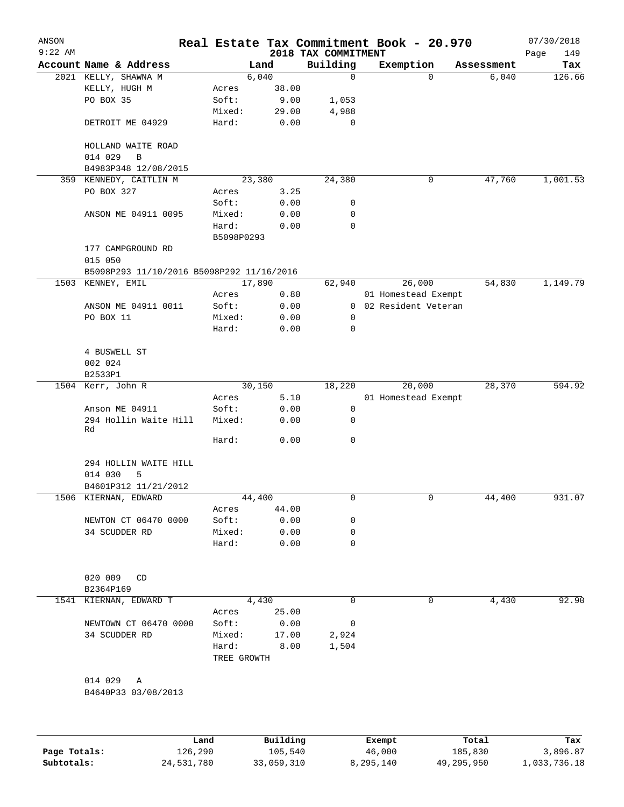| ANSON        |                                           |             |                     | Real Estate Tax Commitment Book - 20.970 |                       |             |                     | 07/30/2018      |
|--------------|-------------------------------------------|-------------|---------------------|------------------------------------------|-----------------------|-------------|---------------------|-----------------|
| $9:22$ AM    | Account Name & Address                    |             | Land                | 2018 TAX COMMITMENT<br>Building          | Exemption             |             |                     | 149<br>Page     |
|              | 2021 KELLY, SHAWNA M                      |             | 6,040               | $\mathbf 0$                              |                       | $\mathbf 0$ | Assessment<br>6,040 | Tax<br>126.66   |
|              | KELLY, HUGH M                             | Acres       | 38.00               |                                          |                       |             |                     |                 |
|              | PO BOX 35                                 | Soft:       | 9.00                | 1,053                                    |                       |             |                     |                 |
|              |                                           | Mixed:      | 29.00               | 4,988                                    |                       |             |                     |                 |
|              | DETROIT ME 04929                          | Hard:       | 0.00                | 0                                        |                       |             |                     |                 |
|              |                                           |             |                     |                                          |                       |             |                     |                 |
|              | HOLLAND WAITE ROAD                        |             |                     |                                          |                       |             |                     |                 |
|              | 014 029<br>B                              |             |                     |                                          |                       |             |                     |                 |
|              | B4983P348 12/08/2015                      |             |                     |                                          |                       |             |                     |                 |
|              | 359 KENNEDY, CAITLIN M                    |             | 23,380              | 24,380                                   |                       | 0           | 47,760              | 1,001.53        |
|              | PO BOX 327                                | Acres       | 3.25                |                                          |                       |             |                     |                 |
|              |                                           | Soft:       | 0.00                | 0                                        |                       |             |                     |                 |
|              | ANSON ME 04911 0095                       | Mixed:      | 0.00                | 0                                        |                       |             |                     |                 |
|              |                                           | Hard:       | 0.00                | 0                                        |                       |             |                     |                 |
|              |                                           | B5098P0293  |                     |                                          |                       |             |                     |                 |
|              | 177 CAMPGROUND RD                         |             |                     |                                          |                       |             |                     |                 |
|              | 015 050                                   |             |                     |                                          |                       |             |                     |                 |
|              | B5098P293 11/10/2016 B5098P292 11/16/2016 |             |                     |                                          |                       |             |                     |                 |
|              | 1503 KENNEY, EMIL                         |             | 17,890              | 62,940                                   | 26,000                |             | 54,830              | 1,149.79        |
|              |                                           | Acres       | 0.80                |                                          | 01 Homestead Exempt   |             |                     |                 |
|              | ANSON ME 04911 0011                       | Soft:       | 0.00                |                                          | 0 02 Resident Veteran |             |                     |                 |
|              | PO BOX 11                                 | Mixed:      | 0.00                | 0                                        |                       |             |                     |                 |
|              |                                           | Hard:       | 0.00                | 0                                        |                       |             |                     |                 |
|              |                                           |             |                     |                                          |                       |             |                     |                 |
|              | 4 BUSWELL ST                              |             |                     |                                          |                       |             |                     |                 |
|              | 002 024                                   |             |                     |                                          |                       |             |                     |                 |
|              | B2533P1                                   |             |                     |                                          |                       |             |                     |                 |
|              | 1504 Kerr, John R                         |             | 30,150              | 18,220                                   | 20,000                |             | 28,370              | 594.92          |
|              |                                           | Acres       | 5.10                |                                          | 01 Homestead Exempt   |             |                     |                 |
|              | Anson ME 04911                            | Soft:       | 0.00                | 0                                        |                       |             |                     |                 |
|              | 294 Hollin Waite Hill<br>Rd               | Mixed:      | 0.00                | 0                                        |                       |             |                     |                 |
|              |                                           | Hard:       | 0.00                | $\mathbf 0$                              |                       |             |                     |                 |
|              | 294 HOLLIN WAITE HILL                     |             |                     |                                          |                       |             |                     |                 |
|              | 014 030<br>5                              |             |                     |                                          |                       |             |                     |                 |
|              | B4601P312 11/21/2012                      |             |                     |                                          |                       |             |                     |                 |
|              | 1506 KIERNAN, EDWARD                      |             | 44,400              | 0                                        |                       | 0           | 44,400              | 931.07          |
|              |                                           | Acres       | 44.00               |                                          |                       |             |                     |                 |
|              | NEWTON CT 06470 0000                      | Soft:       | 0.00                | 0                                        |                       |             |                     |                 |
|              | 34 SCUDDER RD                             | Mixed:      | 0.00                | 0                                        |                       |             |                     |                 |
|              |                                           | Hard:       | 0.00                | 0                                        |                       |             |                     |                 |
|              |                                           |             |                     |                                          |                       |             |                     |                 |
|              | 020 009<br>CD                             |             |                     |                                          |                       |             |                     |                 |
|              | B2364P169                                 |             |                     |                                          |                       |             |                     |                 |
|              | 1541 KIERNAN, EDWARD T                    |             | 4,430               | 0                                        |                       | $\mathbf 0$ | 4,430               | 92.90           |
|              |                                           | Acres       | 25.00               |                                          |                       |             |                     |                 |
|              | NEWTOWN CT 06470 0000                     | Soft:       | 0.00                | 0                                        |                       |             |                     |                 |
|              | 34 SCUDDER RD                             | Mixed:      | 17.00               | 2,924                                    |                       |             |                     |                 |
|              |                                           | Hard:       | 8.00                | 1,504                                    |                       |             |                     |                 |
|              |                                           | TREE GROWTH |                     |                                          |                       |             |                     |                 |
|              | 014 029<br>Α                              |             |                     |                                          |                       |             |                     |                 |
|              | B4640P33 03/08/2013                       |             |                     |                                          |                       |             |                     |                 |
|              |                                           |             |                     |                                          |                       |             |                     |                 |
|              |                                           |             |                     |                                          |                       |             |                     |                 |
| Page Totals: | Land<br>126,290                           |             | Building<br>105,540 |                                          | Exempt<br>46,000      |             | Total<br>185,830    | Tax<br>3,896.87 |
|              |                                           |             |                     |                                          |                       |             |                     |                 |

**Subtotals:** 24,531,780 33,059,310 8,295,140 49,295,950 1,033,736.18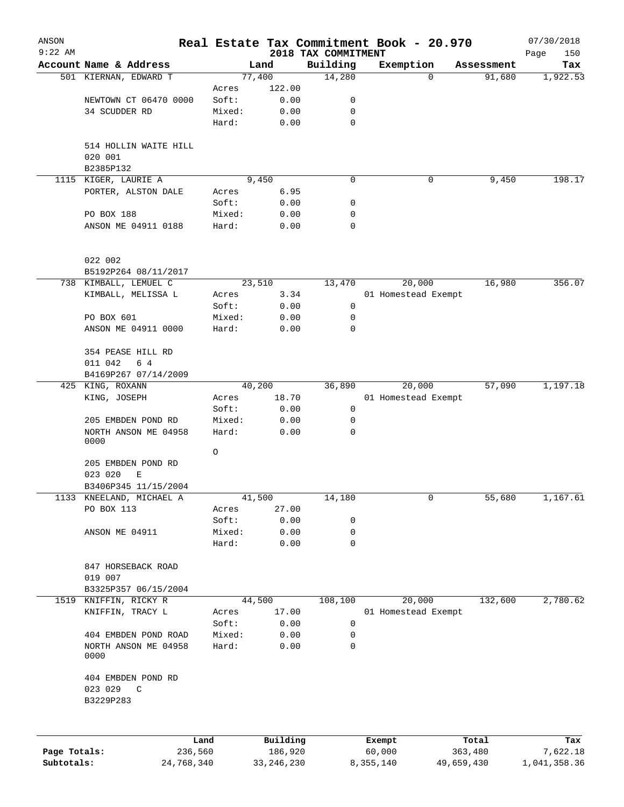| ANSON<br>$9:22$ AM |                                   |                 |                     |                                 | Real Estate Tax Commitment Book - 20.970 |            |                  | 07/30/2018         |
|--------------------|-----------------------------------|-----------------|---------------------|---------------------------------|------------------------------------------|------------|------------------|--------------------|
|                    | Account Name & Address            |                 | Land                | 2018 TAX COMMITMENT<br>Building | Exemption                                |            | Assessment       | Page<br>150<br>Tax |
|                    | 501 KIERNAN, EDWARD T             |                 | 77,400              | 14,280                          |                                          | $\Omega$   | 91,680           | 1,922.53           |
|                    |                                   | Acres           | 122.00              |                                 |                                          |            |                  |                    |
|                    | NEWTOWN CT 06470 0000             | Soft:           | 0.00                | 0                               |                                          |            |                  |                    |
|                    | 34 SCUDDER RD                     | Mixed:          | 0.00                | 0                               |                                          |            |                  |                    |
|                    |                                   | Hard:           | 0.00                | $\mathbf 0$                     |                                          |            |                  |                    |
|                    | 514 HOLLIN WAITE HILL             |                 |                     |                                 |                                          |            |                  |                    |
|                    | 020 001                           |                 |                     |                                 |                                          |            |                  |                    |
|                    | B2385P132                         |                 |                     |                                 |                                          |            |                  |                    |
|                    | 1115 KIGER, LAURIE A              |                 | 9,450               | 0                               |                                          | 0          | 9,450            | 198.17             |
|                    | PORTER, ALSTON DALE               | Acres           | 6.95                |                                 |                                          |            |                  |                    |
|                    |                                   | Soft:           | 0.00                | 0                               |                                          |            |                  |                    |
|                    | PO BOX 188<br>ANSON ME 04911 0188 | Mixed:<br>Hard: | 0.00<br>0.00        | 0<br>0                          |                                          |            |                  |                    |
|                    |                                   |                 |                     |                                 |                                          |            |                  |                    |
|                    | 022 002<br>B5192P264 08/11/2017   |                 |                     |                                 |                                          |            |                  |                    |
|                    | 738 KIMBALL, LEMUEL C             |                 | 23,510              | 13,470                          | 20,000                                   |            | 16,980           | 356.07             |
|                    | KIMBALL, MELISSA L                | Acres           | 3.34                |                                 | 01 Homestead Exempt                      |            |                  |                    |
|                    |                                   | Soft:           | 0.00                | 0                               |                                          |            |                  |                    |
|                    | PO BOX 601                        | Mixed:          | 0.00                | 0                               |                                          |            |                  |                    |
|                    | ANSON ME 04911 0000               | Hard:           | 0.00                | 0                               |                                          |            |                  |                    |
|                    | 354 PEASE HILL RD                 |                 |                     |                                 |                                          |            |                  |                    |
|                    | 011 042<br>6 4                    |                 |                     |                                 |                                          |            |                  |                    |
|                    | B4169P267 07/14/2009              |                 |                     |                                 |                                          |            |                  |                    |
|                    | 425 KING, ROXANN                  |                 | 40,200              | 36,890                          | 20,000                                   |            | 57,090           | 1,197.18           |
|                    | KING, JOSEPH                      | Acres           | 18.70               |                                 | 01 Homestead Exempt                      |            |                  |                    |
|                    |                                   | Soft:           | 0.00                | 0                               |                                          |            |                  |                    |
|                    | 205 EMBDEN POND RD                | Mixed:          | 0.00                | 0                               |                                          |            |                  |                    |
|                    | NORTH ANSON ME 04958<br>0000      | Hard:           | 0.00                | 0                               |                                          |            |                  |                    |
|                    |                                   | O               |                     |                                 |                                          |            |                  |                    |
|                    | 205 EMBDEN POND RD                |                 |                     |                                 |                                          |            |                  |                    |
|                    | 023 020<br>Е                      |                 |                     |                                 |                                          |            |                  |                    |
|                    | B3406P345 11/15/2004              |                 |                     |                                 |                                          |            |                  |                    |
| 1133               | KNEELAND, MICHAEL A               |                 | 41,500              | 14,180                          |                                          | 0          | 55,680           | 1,167.61           |
|                    | PO BOX 113                        | Acres           | 27.00               |                                 |                                          |            |                  |                    |
|                    |                                   | Soft:           | 0.00                | 0                               |                                          |            |                  |                    |
|                    | ANSON ME 04911                    | Mixed:          | 0.00                | 0                               |                                          |            |                  |                    |
|                    |                                   | Hard:           | 0.00                | $\mathbf 0$                     |                                          |            |                  |                    |
|                    | 847 HORSEBACK ROAD                |                 |                     |                                 |                                          |            |                  |                    |
|                    | 019 007                           |                 |                     |                                 |                                          |            |                  |                    |
|                    | B3325P357 06/15/2004              |                 |                     |                                 |                                          |            |                  |                    |
|                    | 1519 KNIFFIN, RICKY R             |                 | 44,500              | 108,100                         | 20,000                                   |            | 132,600          | 2,780.62           |
|                    | KNIFFIN, TRACY L                  | Acres           | 17.00               |                                 | 01 Homestead Exempt                      |            |                  |                    |
|                    |                                   | Soft:           | 0.00                | 0                               |                                          |            |                  |                    |
|                    | 404 EMBDEN POND ROAD              | Mixed:          | 0.00                | 0                               |                                          |            |                  |                    |
|                    | NORTH ANSON ME 04958<br>0000      | Hard:           | 0.00                | $\mathbf 0$                     |                                          |            |                  |                    |
|                    | 404 EMBDEN POND RD                |                 |                     |                                 |                                          |            |                  |                    |
|                    | 023 029<br>$\mathbb{C}$           |                 |                     |                                 |                                          |            |                  |                    |
|                    | B3229P283                         |                 |                     |                                 |                                          |            |                  |                    |
|                    |                                   |                 |                     |                                 |                                          |            |                  |                    |
| Page Totals:       | 236,560                           | Land            | Building<br>186,920 |                                 | Exempt<br>60,000                         |            | Total<br>363,480 | Tax<br>7,622.18    |
| Subtotals:         | 24,768,340                        |                 | 33, 246, 230        |                                 | 8,355,140                                | 49,659,430 |                  | 1,041,358.36       |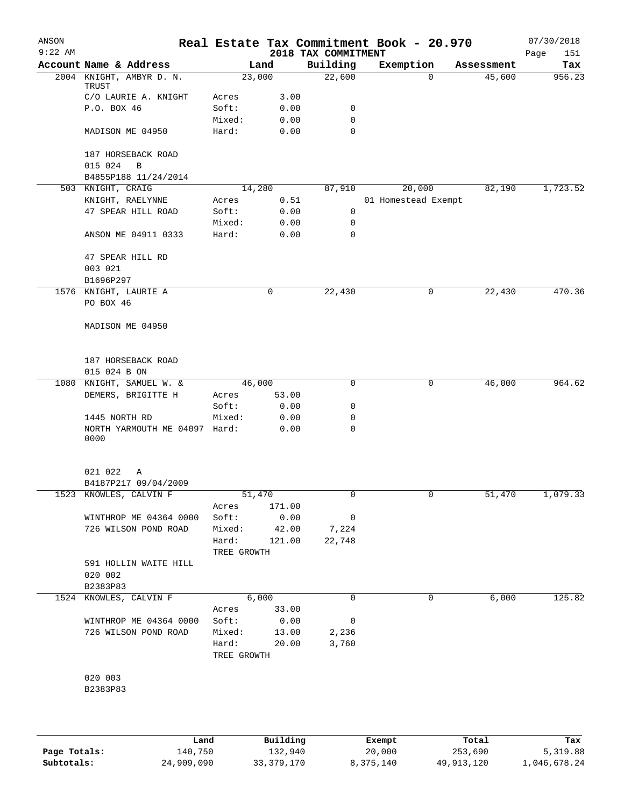| ANSON     |                                    |                 |              |                                 | Real Estate Tax Commitment Book - 20.970 |            | 07/30/2018         |
|-----------|------------------------------------|-----------------|--------------|---------------------------------|------------------------------------------|------------|--------------------|
| $9:22$ AM | Account Name & Address             |                 | Land         | 2018 TAX COMMITMENT<br>Building | Exemption                                | Assessment | Page<br>151<br>Tax |
|           | 2004 KNIGHT, AMBYR D. N.           |                 | 23,000       | 22,600                          | $\mathbf 0$                              | 45,600     | 956.23             |
|           | TRUST                              |                 |              |                                 |                                          |            |                    |
|           | C/O LAURIE A. KNIGHT               | Acres           | 3.00         |                                 |                                          |            |                    |
|           | P.O. BOX 46                        | Soft:<br>Mixed: | 0.00<br>0.00 | 0<br>0                          |                                          |            |                    |
|           | MADISON ME 04950                   | Hard:           | 0.00         | $\mathbf 0$                     |                                          |            |                    |
|           | 187 HORSEBACK ROAD                 |                 |              |                                 |                                          |            |                    |
|           | 015 024<br>B                       |                 |              |                                 |                                          |            |                    |
|           | B4855P188 11/24/2014               |                 |              |                                 |                                          |            |                    |
|           | 503 KNIGHT, CRAIG                  |                 | 14,280       | 87,910                          | 20,000                                   | 82,190     | 1,723.52           |
|           | KNIGHT, RAELYNNE                   | Acres           | 0.51         |                                 | 01 Homestead Exempt                      |            |                    |
|           | 47 SPEAR HILL ROAD                 | Soft:           | 0.00<br>0.00 | 0<br>$\mathbf 0$                |                                          |            |                    |
|           | ANSON ME 04911 0333                | Mixed:<br>Hard: | 0.00         | 0                               |                                          |            |                    |
|           |                                    |                 |              |                                 |                                          |            |                    |
|           | 47 SPEAR HILL RD                   |                 |              |                                 |                                          |            |                    |
|           | 003 021                            |                 |              |                                 |                                          |            |                    |
|           | B1696P297                          |                 |              |                                 |                                          |            |                    |
|           | 1576 KNIGHT, LAURIE A              |                 | $\mathbf 0$  | 22,430                          | $\mathbf 0$                              | 22,430     | 470.36             |
|           | PO BOX 46                          |                 |              |                                 |                                          |            |                    |
|           | MADISON ME 04950                   |                 |              |                                 |                                          |            |                    |
|           |                                    |                 |              |                                 |                                          |            |                    |
|           | 187 HORSEBACK ROAD                 |                 |              |                                 |                                          |            |                    |
|           | 015 024 B ON                       |                 |              |                                 |                                          |            |                    |
| 1080      | KNIGHT, SAMUEL W. &                |                 | 46,000       | $\mathbf 0$                     | $\mathbf 0$                              | 46,000     | 964.62             |
|           | DEMERS, BRIGITTE H                 | Acres           | 53.00        |                                 |                                          |            |                    |
|           |                                    | Soft:           | 0.00         | 0                               |                                          |            |                    |
|           | 1445 NORTH RD                      | Mixed:          | 0.00         | 0                               |                                          |            |                    |
|           | NORTH YARMOUTH ME 04097 Hard:      |                 | 0.00         | 0                               |                                          |            |                    |
|           | 0000                               |                 |              |                                 |                                          |            |                    |
|           | 021 022<br>Α                       |                 |              |                                 |                                          |            |                    |
|           | B4187P217 09/04/2009               |                 |              |                                 |                                          |            |                    |
|           | 1523 KNOWLES, CALVIN F             | 51,470          |              |                                 |                                          | 51,470     | 1,079.33           |
|           |                                    | Acres           | 171.00       |                                 |                                          |            |                    |
|           | WINTHROP ME 04364 0000             |                 | Soft: 0.00   | $\mathbf 0$                     |                                          |            |                    |
|           | 726 WILSON POND ROAD               |                 | Mixed: 42.00 | 7,224                           |                                          |            |                    |
|           |                                    |                 | Hard: 121.00 | 22,748                          |                                          |            |                    |
|           |                                    | TREE GROWTH     |              |                                 |                                          |            |                    |
|           | 591 HOLLIN WAITE HILL              |                 |              |                                 |                                          |            |                    |
|           | 020 002                            |                 |              |                                 |                                          |            |                    |
|           | B2383P83<br>1524 KNOWLES, CALVIN F |                 | 6,000        | 0                               | 0                                        | 6,000      | 125.82             |
|           |                                    |                 | Acres 33.00  |                                 |                                          |            |                    |
|           | WINTHROP ME 04364 0000             |                 | Soft: 0.00   | 0                               |                                          |            |                    |
|           | 726 WILSON POND ROAD               |                 | Mixed: 13.00 | 2,236                           |                                          |            |                    |
|           |                                    | TREE GROWTH     | Hard: 20.00  | 3,760                           |                                          |            |                    |
|           |                                    |                 |              |                                 |                                          |            |                    |
|           | 020 003                            |                 |              |                                 |                                          |            |                    |
|           | B2383P83                           |                 |              |                                 |                                          |            |                    |
|           |                                    |                 |              |                                 |                                          |            |                    |
|           |                                    |                 |              |                                 |                                          |            |                    |
|           |                                    |                 |              |                                 |                                          |            |                    |
|           |                                    |                 |              |                                 |                                          |            |                    |

|              | Land       | Building   | Exempt    | Total      | Tax          |
|--------------|------------|------------|-----------|------------|--------------|
| Page Totals: | 140,750    | 132,940    | 20,000    | 253,690    | 5,319.88     |
| Subtotals:   | 24,909,090 | 33,379,170 | 8,375,140 | 49,913,120 | 1,046,678.24 |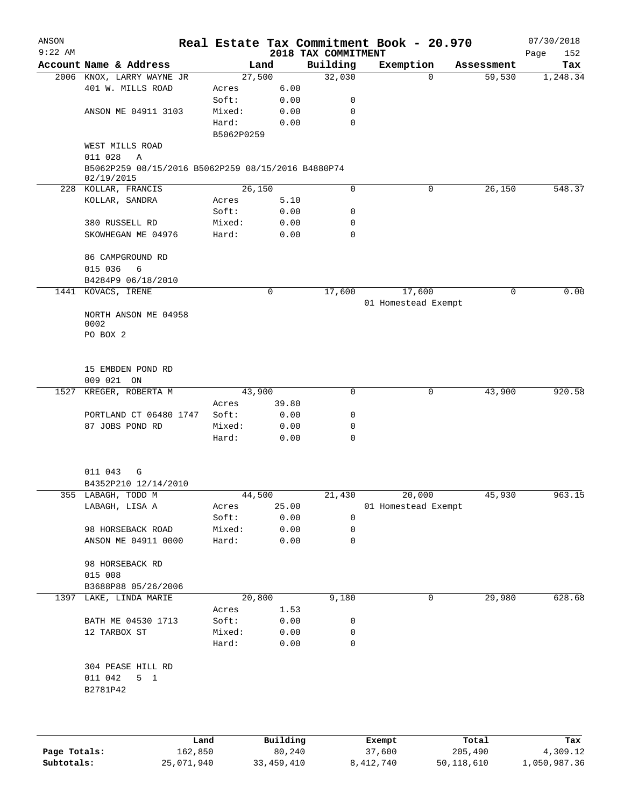| ANSON     |                                                                  |            |                |                     | Real Estate Tax Commitment Book - 20.970 |                      | 07/30/2018      |
|-----------|------------------------------------------------------------------|------------|----------------|---------------------|------------------------------------------|----------------------|-----------------|
| $9:22$ AM |                                                                  |            |                | 2018 TAX COMMITMENT |                                          |                      | Page<br>152     |
|           | Account Name & Address                                           |            | Land<br>27,500 | Building<br>32,030  | Exemption<br>$\Omega$                    | Assessment<br>59,530 | Tax<br>1,248.34 |
|           | 2006 KNOX, LARRY WAYNE JR<br>401 W. MILLS ROAD                   | Acres      | 6.00           |                     |                                          |                      |                 |
|           |                                                                  | Soft:      | 0.00           | 0                   |                                          |                      |                 |
|           | ANSON ME 04911 3103                                              | Mixed:     | 0.00           | $\mathbf 0$         |                                          |                      |                 |
|           |                                                                  | Hard:      | 0.00           | $\mathbf 0$         |                                          |                      |                 |
|           |                                                                  | B5062P0259 |                |                     |                                          |                      |                 |
|           | WEST MILLS ROAD                                                  |            |                |                     |                                          |                      |                 |
|           | 011 028<br>Α                                                     |            |                |                     |                                          |                      |                 |
|           | B5062P259 08/15/2016 B5062P259 08/15/2016 B4880P74<br>02/19/2015 |            |                |                     |                                          |                      |                 |
|           | 228 KOLLAR, FRANCIS                                              | 26,150     |                | 0                   | 0                                        | 26,150               | 548.37          |
|           | KOLLAR, SANDRA                                                   | Acres      | 5.10           |                     |                                          |                      |                 |
|           |                                                                  | Soft:      | 0.00           | 0                   |                                          |                      |                 |
|           | 380 RUSSELL RD                                                   | Mixed:     | 0.00           | 0                   |                                          |                      |                 |
|           | SKOWHEGAN ME 04976                                               | Hard:      | 0.00           | $\mathbf 0$         |                                          |                      |                 |
|           | 86 CAMPGROUND RD                                                 |            |                |                     |                                          |                      |                 |
|           | 015 036<br>6                                                     |            |                |                     |                                          |                      |                 |
|           | B4284P9 06/18/2010                                               |            |                |                     |                                          |                      |                 |
|           | 1441 KOVACS, IRENE                                               |            | 0              | 17,600              | 17,600                                   | 0                    | 0.00            |
|           |                                                                  |            |                |                     | 01 Homestead Exempt                      |                      |                 |
|           | NORTH ANSON ME 04958<br>0002                                     |            |                |                     |                                          |                      |                 |
|           | PO BOX 2                                                         |            |                |                     |                                          |                      |                 |
|           |                                                                  |            |                |                     |                                          |                      |                 |
|           | 15 EMBDEN POND RD                                                |            |                |                     |                                          |                      |                 |
|           | 009 021 ON                                                       |            |                |                     |                                          |                      |                 |
| 1527      | KREGER, ROBERTA M                                                |            | 43,900         | $\mathbf 0$         | 0                                        | 43,900               | 920.58          |
|           |                                                                  | Acres      | 39.80          |                     |                                          |                      |                 |
|           | PORTLAND CT 06480 1747                                           | Soft:      | 0.00           | 0                   |                                          |                      |                 |
|           | 87 JOBS POND RD                                                  | Mixed:     | 0.00           | $\mathbf 0$         |                                          |                      |                 |
|           |                                                                  | Hard:      | 0.00           | 0                   |                                          |                      |                 |
|           | 011 043<br>G                                                     |            |                |                     |                                          |                      |                 |
|           | B4352P210 12/14/2010                                             |            |                |                     |                                          |                      |                 |
|           | 355 LABAGH, TODD M                                               |            | 44,500         | 21,430              | 20,000                                   | 45,930               | 963.15          |
|           | LABAGH, LISA A                                                   | Acres      | 25.00          |                     | 01 Homestead Exempt                      |                      |                 |
|           |                                                                  | Soft:      | 0.00           | $\mathbf 0$         |                                          |                      |                 |
|           | 98 HORSEBACK ROAD                                                | Mixed:     | 0.00           | 0                   |                                          |                      |                 |
|           | ANSON ME 04911 0000                                              | Hard:      | 0.00           | $\mathbf 0$         |                                          |                      |                 |
|           | 98 HORSEBACK RD                                                  |            |                |                     |                                          |                      |                 |
|           | 015 008                                                          |            |                |                     |                                          |                      |                 |
|           | B3688P88 05/26/2006                                              |            |                |                     |                                          |                      |                 |
|           | 1397 LAKE, LINDA MARIE                                           |            | 20,800         | 9,180               | 0                                        | 29,980               | 628.68          |
|           |                                                                  | Acres      | 1.53           |                     |                                          |                      |                 |
|           | BATH ME 04530 1713                                               | Soft:      | 0.00           | 0                   |                                          |                      |                 |
|           | 12 TARBOX ST                                                     | Mixed:     | 0.00           | 0                   |                                          |                      |                 |
|           |                                                                  | Hard:      | 0.00           | 0                   |                                          |                      |                 |
|           | 304 PEASE HILL RD                                                |            |                |                     |                                          |                      |                 |
|           | 011 042<br>$5 \quad 1$                                           |            |                |                     |                                          |                      |                 |
|           | B2781P42                                                         |            |                |                     |                                          |                      |                 |
|           |                                                                  |            |                |                     |                                          |                      |                 |
|           |                                                                  | Land       | Building       |                     | Exempt                                   | Total                | Tax             |
|           |                                                                  |            |                |                     |                                          |                      |                 |

**Page Totals:** 162,850 80,240 37,600 205,490 4,309.12 **Subtotals:** 25,071,940 33,459,410 8,412,740 50,118,610 1,050,987.36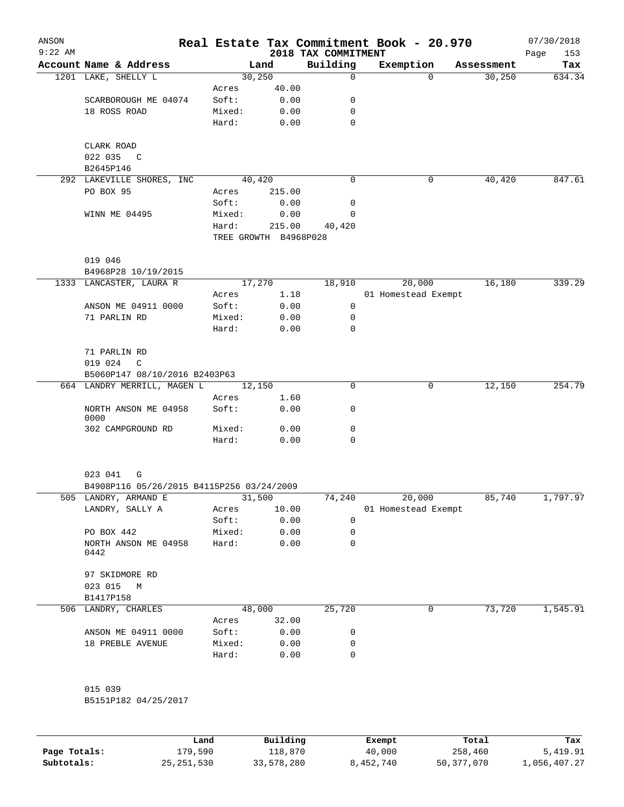| ANSON<br>$9:22$ AM |                                                           |                       |          | 2018 TAX COMMITMENT | Real Estate Tax Commitment Book - 20.970 |            | 07/30/2018<br>Page<br>153 |
|--------------------|-----------------------------------------------------------|-----------------------|----------|---------------------|------------------------------------------|------------|---------------------------|
|                    | Account Name & Address                                    |                       | Land     | Building            | Exemption                                | Assessment | Tax                       |
|                    | 1201 LAKE, SHELLY L                                       | 30, 250               |          | $\Omega$            | $\Omega$                                 | 30,250     | 634.34                    |
|                    |                                                           | Acres                 | 40.00    |                     |                                          |            |                           |
|                    | SCARBOROUGH ME 04074                                      | Soft:                 | 0.00     | 0                   |                                          |            |                           |
|                    | 18 ROSS ROAD                                              | Mixed:                | 0.00     | 0                   |                                          |            |                           |
|                    |                                                           | Hard:                 | 0.00     | 0                   |                                          |            |                           |
|                    | CLARK ROAD                                                |                       |          |                     |                                          |            |                           |
|                    | 022 035<br>$\mathbb{C}$                                   |                       |          |                     |                                          |            |                           |
|                    | B2645P146                                                 |                       |          |                     |                                          |            |                           |
|                    | 292 LAKEVILLE SHORES, INC                                 | 40,420                |          | $\mathbf 0$         | 0                                        | 40,420     | 847.61                    |
|                    | PO BOX 95                                                 | Acres                 | 215.00   |                     |                                          |            |                           |
|                    |                                                           | Soft:                 | 0.00     | 0                   |                                          |            |                           |
|                    | WINN ME 04495                                             | Mixed:                | 0.00     | 0                   |                                          |            |                           |
|                    |                                                           | Hard:                 | 215.00   | 40,420              |                                          |            |                           |
|                    |                                                           | TREE GROWTH B4968P028 |          |                     |                                          |            |                           |
|                    |                                                           |                       |          |                     |                                          |            |                           |
|                    | 019 046<br>B4968P28 10/19/2015                            |                       |          |                     |                                          |            |                           |
|                    | 1333 LANCASTER, LAURA R                                   | 17,270                |          | 18,910              | 20,000                                   | 16,180     | 339.29                    |
|                    |                                                           | Acres                 | 1.18     |                     | 01 Homestead Exempt                      |            |                           |
|                    | ANSON ME 04911 0000                                       | Soft:                 | 0.00     | 0                   |                                          |            |                           |
|                    | 71 PARLIN RD                                              | Mixed:                | 0.00     | 0                   |                                          |            |                           |
|                    |                                                           | Hard:                 | 0.00     | $\mathbf 0$         |                                          |            |                           |
|                    |                                                           |                       |          |                     |                                          |            |                           |
|                    | 71 PARLIN RD                                              |                       |          |                     |                                          |            |                           |
|                    | 019 024<br>C                                              |                       |          |                     |                                          |            |                           |
|                    | B5060P147 08/10/2016 B2403P63                             |                       |          |                     |                                          |            |                           |
|                    | 664 LANDRY MERRILL, MAGEN L                               | 12,150                |          | 0                   | 0                                        | 12,150     | 254.79                    |
|                    |                                                           | Acres                 | 1.60     |                     |                                          |            |                           |
|                    | NORTH ANSON ME 04958<br>0000                              | Soft:                 | 0.00     | 0                   |                                          |            |                           |
|                    | 302 CAMPGROUND RD                                         | Mixed:                | 0.00     | 0                   |                                          |            |                           |
|                    |                                                           | Hard:                 | 0.00     | 0                   |                                          |            |                           |
|                    |                                                           |                       |          |                     |                                          |            |                           |
|                    | 023 041<br>G<br>B4908P116 05/26/2015 B4115P256 03/24/2009 |                       |          |                     |                                          |            |                           |
|                    | 505 LANDRY, ARMAND E                                      |                       |          | 74,240              |                                          |            |                           |
|                    | LANDRY, SALLY A                                           | 31,500                |          |                     | 20,000                                   | 85,740     | 1,797.97                  |
|                    |                                                           | Acres                 | 10.00    |                     | 01 Homestead Exempt                      |            |                           |
|                    |                                                           | Soft:<br>Mixed:       | 0.00     | 0                   |                                          |            |                           |
|                    | PO BOX 442                                                |                       | 0.00     | 0                   |                                          |            |                           |
|                    | NORTH ANSON ME 04958<br>0442                              | Hard:                 | 0.00     | 0                   |                                          |            |                           |
|                    | 97 SKIDMORE RD                                            |                       |          |                     |                                          |            |                           |
|                    | 023 015<br>M                                              |                       |          |                     |                                          |            |                           |
|                    | B1417P158                                                 |                       |          |                     |                                          |            |                           |
|                    | 506 LANDRY, CHARLES                                       | 48,000                |          | 25,720              | 0                                        | 73,720     | 1,545.91                  |
|                    |                                                           | Acres                 | 32.00    |                     |                                          |            |                           |
|                    | ANSON ME 04911 0000                                       | Soft:                 | 0.00     | 0                   |                                          |            |                           |
|                    | 18 PREBLE AVENUE                                          | Mixed:                | 0.00     | 0                   |                                          |            |                           |
|                    |                                                           | Hard:                 | 0.00     | 0                   |                                          |            |                           |
|                    |                                                           |                       |          |                     |                                          |            |                           |
|                    | 015 039                                                   |                       |          |                     |                                          |            |                           |
|                    | B5151P182 04/25/2017                                      |                       |          |                     |                                          |            |                           |
|                    |                                                           |                       |          |                     |                                          |            |                           |
|                    |                                                           | Land                  | Building |                     | <b>Exempt</b>                            | Total      | Tax                       |

|              | Land         | Building   | Exempt    | Total      | Tax          |
|--------------|--------------|------------|-----------|------------|--------------|
| Page Totals: | 179,590      | 118,870    | 40,000    | 258,460    | 5,419.91     |
| Subtotals:   | 25, 251, 530 | 33,578,280 | 8,452,740 | 50,377,070 | 1,056,407.27 |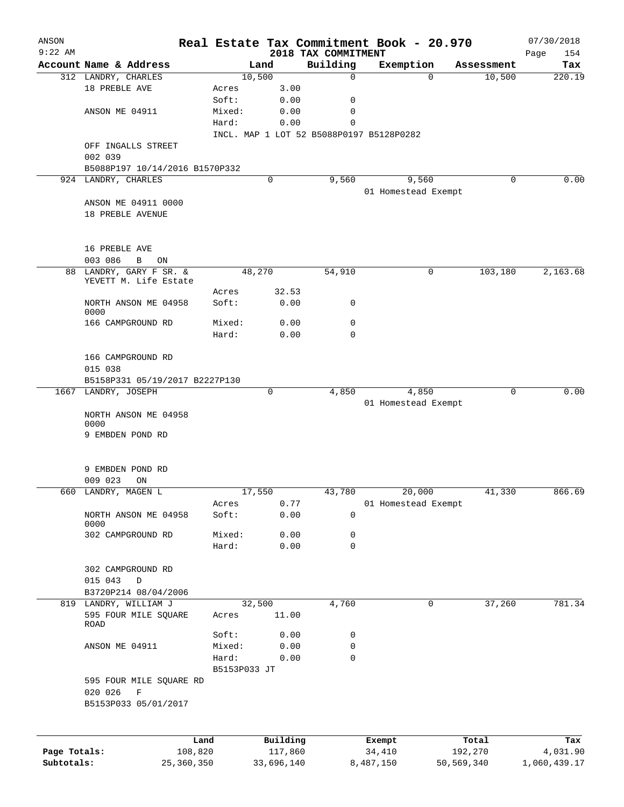| ANSON<br>$9:22$ AM         |                                |              |                       | 2018 TAX COMMITMENT | Real Estate Tax Commitment Book - 20.970 |                       | 07/30/2018<br>154<br>Page |
|----------------------------|--------------------------------|--------------|-----------------------|---------------------|------------------------------------------|-----------------------|---------------------------|
|                            | Account Name & Address         |              | Land                  | Building            | Exemption                                | Assessment            | Tax                       |
|                            | 312 LANDRY, CHARLES            |              | 10,500                | 0                   | $\Omega$                                 | 10,500                | 220.19                    |
|                            | 18 PREBLE AVE                  | Acres        | 3.00                  |                     |                                          |                       |                           |
|                            |                                | Soft:        | 0.00                  | 0                   |                                          |                       |                           |
|                            | ANSON ME 04911                 | Mixed:       | 0.00                  | 0                   |                                          |                       |                           |
|                            |                                | Hard:        | 0.00                  | 0                   |                                          |                       |                           |
|                            |                                |              |                       |                     | INCL. MAP 1 LOT 52 B5088P0197 B5128P0282 |                       |                           |
|                            | OFF INGALLS STREET             |              |                       |                     |                                          |                       |                           |
|                            | 002 039                        |              |                       |                     |                                          |                       |                           |
|                            | B5088P197 10/14/2016 B1570P332 |              |                       |                     |                                          |                       |                           |
|                            | 924 LANDRY, CHARLES            |              | 0                     | 9,560               | 9,560                                    | 0                     | 0.00                      |
|                            |                                |              |                       |                     | 01 Homestead Exempt                      |                       |                           |
|                            | ANSON ME 04911 0000            |              |                       |                     |                                          |                       |                           |
|                            | 18 PREBLE AVENUE               |              |                       |                     |                                          |                       |                           |
|                            |                                |              |                       |                     |                                          |                       |                           |
|                            | 16 PREBLE AVE                  |              |                       |                     |                                          |                       |                           |
|                            | 003 086<br>B<br>ON             |              |                       |                     |                                          |                       |                           |
| 88                         | LANDRY, GARY F SR. &           |              | 48,270                | 54,910              | 0                                        | 103,180               | 2,163.68                  |
|                            | YEVETT M. Life Estate          |              |                       |                     |                                          |                       |                           |
|                            |                                | Acres        | 32.53                 |                     |                                          |                       |                           |
|                            | NORTH ANSON ME 04958           | Soft:        | 0.00                  | 0                   |                                          |                       |                           |
|                            | 0000<br>166 CAMPGROUND RD      | Mixed:       | 0.00                  | 0                   |                                          |                       |                           |
|                            |                                | Hard:        | 0.00                  | $\Omega$            |                                          |                       |                           |
|                            |                                |              |                       |                     |                                          |                       |                           |
|                            | 166 CAMPGROUND RD              |              |                       |                     |                                          |                       |                           |
|                            | 015 038                        |              |                       |                     |                                          |                       |                           |
|                            | B5158P331 05/19/2017 B2227P130 |              |                       |                     |                                          |                       |                           |
|                            | 1667 LANDRY, JOSEPH            |              | 0                     | 4,850               | 4,850                                    | 0                     | 0.00                      |
|                            |                                |              |                       |                     | 01 Homestead Exempt                      |                       |                           |
|                            | NORTH ANSON ME 04958           |              |                       |                     |                                          |                       |                           |
|                            | 0000                           |              |                       |                     |                                          |                       |                           |
|                            | 9 EMBDEN POND RD               |              |                       |                     |                                          |                       |                           |
|                            |                                |              |                       |                     |                                          |                       |                           |
|                            | 9 EMBDEN POND RD               |              |                       |                     |                                          |                       |                           |
|                            | 009 023<br>ON                  |              |                       |                     |                                          |                       |                           |
| 660                        | LANDRY, MAGEN L                |              | 17,550                | 43,780              | 20,000                                   | 41,330                | 866.69                    |
|                            |                                | Acres        | 0.77                  |                     | 01 Homestead Exempt                      |                       |                           |
|                            | NORTH ANSON ME 04958           | Soft:        | 0.00                  | 0                   |                                          |                       |                           |
|                            | 0000                           |              |                       |                     |                                          |                       |                           |
|                            | 302 CAMPGROUND RD              | Mixed:       | 0.00                  | 0                   |                                          |                       |                           |
|                            |                                | Hard:        | 0.00                  | 0                   |                                          |                       |                           |
|                            | 302 CAMPGROUND RD              |              |                       |                     |                                          |                       |                           |
|                            | 015 043<br>D                   |              |                       |                     |                                          |                       |                           |
|                            | B3720P214 08/04/2006           |              |                       |                     |                                          |                       |                           |
|                            | 819 LANDRY, WILLIAM J          |              | 32,500                | 4,760               | 0                                        | 37,260                | 781.34                    |
|                            | 595 FOUR MILE SQUARE           | Acres        | 11.00                 |                     |                                          |                       |                           |
|                            | ROAD                           |              |                       |                     |                                          |                       |                           |
|                            |                                | Soft:        | 0.00                  | 0                   |                                          |                       |                           |
|                            | ANSON ME 04911                 | Mixed:       | 0.00                  | 0                   |                                          |                       |                           |
|                            |                                | Hard:        | 0.00                  | 0                   |                                          |                       |                           |
|                            | 595 FOUR MILE SQUARE RD        | B5153P033 JT |                       |                     |                                          |                       |                           |
|                            | 020 026<br>F                   |              |                       |                     |                                          |                       |                           |
|                            | B5153P033 05/01/2017           |              |                       |                     |                                          |                       |                           |
|                            |                                |              |                       |                     |                                          |                       |                           |
|                            |                                |              |                       |                     |                                          |                       |                           |
|                            |                                | Land         | Building              |                     | Exempt                                   | Total                 | Tax                       |
| Page Totals:<br>Subtotals: | 108,820<br>25,360,350          |              | 117,860<br>33,696,140 |                     | 34,410<br>8,487,150                      | 192,270<br>50,569,340 | 4,031.90<br>1,060,439.17  |
|                            |                                |              |                       |                     |                                          |                       |                           |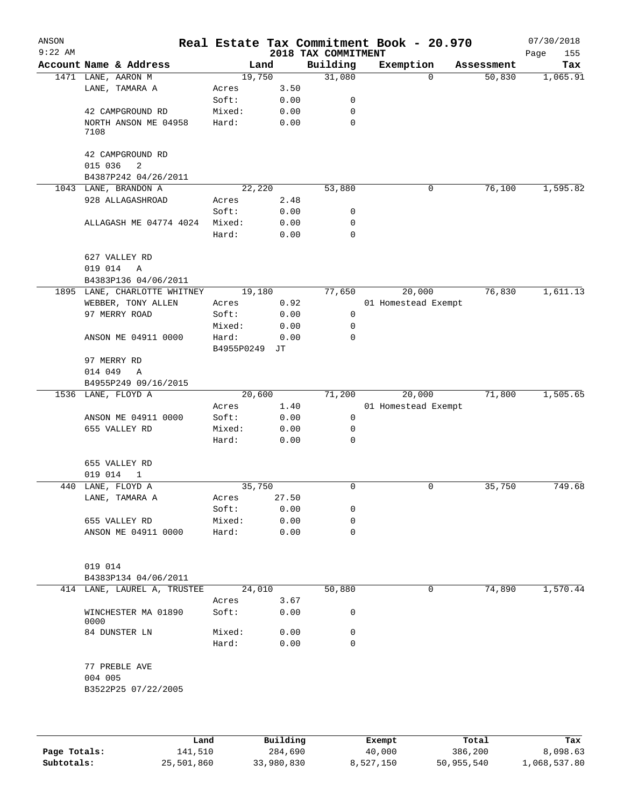| ANSON<br>$9:22$ AM |                                  |                     |            | 2018 TAX COMMITMENT | Real Estate Tax Commitment Book - 20.970 |            | 07/30/2018<br>Page<br>155 |
|--------------------|----------------------------------|---------------------|------------|---------------------|------------------------------------------|------------|---------------------------|
|                    | Account Name & Address           |                     | Land       | Building            | Exemption                                | Assessment | Tax                       |
|                    | 1471 LANE, AARON M               | 19,750              |            | 31,080              | $\Omega$                                 | 50,830     | 1,065.91                  |
|                    | LANE, TAMARA A                   | Acres               | 3.50       |                     |                                          |            |                           |
|                    |                                  | Soft:               | 0.00       | 0                   |                                          |            |                           |
|                    | 42 CAMPGROUND RD                 | Mixed:              | 0.00       | 0                   |                                          |            |                           |
|                    | NORTH ANSON ME 04958<br>7108     | Hard:               | 0.00       | 0                   |                                          |            |                           |
|                    | 42 CAMPGROUND RD<br>015 036<br>2 |                     |            |                     |                                          |            |                           |
|                    | B4387P242 04/26/2011             |                     |            |                     |                                          |            |                           |
|                    | 1043 LANE, BRANDON A             | 22,220              |            | 53,880              | 0                                        | 76,100     | 1,595.82                  |
|                    | 928 ALLAGASHROAD                 | Acres               | 2.48       |                     |                                          |            |                           |
|                    |                                  | Soft:               | 0.00       | 0                   |                                          |            |                           |
|                    | ALLAGASH ME 04774 4024           | Mixed:              | 0.00       | 0                   |                                          |            |                           |
|                    |                                  | Hard:               | 0.00       | $\mathbf 0$         |                                          |            |                           |
|                    | 627 VALLEY RD                    |                     |            |                     |                                          |            |                           |
|                    | 019 014<br>A                     |                     |            |                     |                                          |            |                           |
|                    | B4383P136 04/06/2011             |                     |            |                     |                                          |            |                           |
|                    | 1895 LANE, CHARLOTTE WHITNEY     | 19,180              |            | 77,650              | 20,000                                   | 76,830     | 1,611.13                  |
|                    | WEBBER, TONY ALLEN               | Acres               | 0.92       |                     | 01 Homestead Exempt                      |            |                           |
|                    | 97 MERRY ROAD                    | Soft:               | 0.00       | 0                   |                                          |            |                           |
|                    |                                  | Mixed:              | 0.00       | 0                   |                                          |            |                           |
|                    | ANSON ME 04911 0000              | Hard:<br>B4955P0249 | 0.00<br>JТ | $\Omega$            |                                          |            |                           |
|                    | 97 MERRY RD                      |                     |            |                     |                                          |            |                           |
|                    | 014 049<br>$\mathbb{A}$          |                     |            |                     |                                          |            |                           |
|                    | B4955P249 09/16/2015             |                     |            |                     |                                          |            |                           |
|                    | 1536 LANE, FLOYD A               | 20,600              |            | 71,200              | 20,000                                   | 71,800     | 1,505.65                  |
|                    |                                  | Acres               | 1.40       |                     | 01 Homestead Exempt                      |            |                           |
|                    | ANSON ME 04911 0000              | Soft:               | 0.00       | 0                   |                                          |            |                           |
|                    | 655 VALLEY RD                    | Mixed:              | 0.00       | 0                   |                                          |            |                           |
|                    |                                  | Hard:               | 0.00       | $\mathbf 0$         |                                          |            |                           |
|                    | 655 VALLEY RD                    |                     |            |                     |                                          |            |                           |
|                    | 019 014<br>$\mathbf{1}$          |                     |            |                     |                                          |            |                           |
| 440                | LANE, FLOYD A                    | 35,750              |            | 0                   | 0                                        | 35,750     | 749.68                    |
|                    | LANE, TAMARA A                   | Acres               | 27.50      |                     |                                          |            |                           |
|                    |                                  | Soft:               | 0.00       | 0                   |                                          |            |                           |
|                    | 655 VALLEY RD                    | Mixed:              | 0.00       | 0                   |                                          |            |                           |
|                    | ANSON ME 04911 0000              | Hard:               | 0.00       | $\mathbf 0$         |                                          |            |                           |
|                    | 019 014                          |                     |            |                     |                                          |            |                           |
|                    | B4383P134 04/06/2011             |                     |            |                     |                                          |            |                           |
|                    | 414 LANE, LAUREL A, TRUSTEE      | 24,010              |            | 50,880              | 0                                        | 74,890     | 1,570.44                  |
|                    |                                  | Acres               | 3.67       |                     |                                          |            |                           |
|                    | WINCHESTER MA 01890<br>0000      | Soft:               | 0.00       | 0                   |                                          |            |                           |
|                    | 84 DUNSTER LN                    | Mixed:              | 0.00       | 0                   |                                          |            |                           |
|                    |                                  | Hard:               | 0.00       | $\Omega$            |                                          |            |                           |
|                    | 77 PREBLE AVE                    |                     |            |                     |                                          |            |                           |
|                    | 004 005                          |                     |            |                     |                                          |            |                           |
|                    | B3522P25 07/22/2005              |                     |            |                     |                                          |            |                           |
|                    |                                  |                     |            |                     |                                          |            |                           |
|                    |                                  |                     |            |                     |                                          |            |                           |

|              | Land       | Building   | Exempt    | Total      | Tax          |
|--------------|------------|------------|-----------|------------|--------------|
| Page Totals: | 141,510    | 284,690    | 40,000    | 386,200    | 8,098.63     |
| Subtotals:   | 25,501,860 | 33,980,830 | 8,527,150 | 50,955,540 | 1,068,537.80 |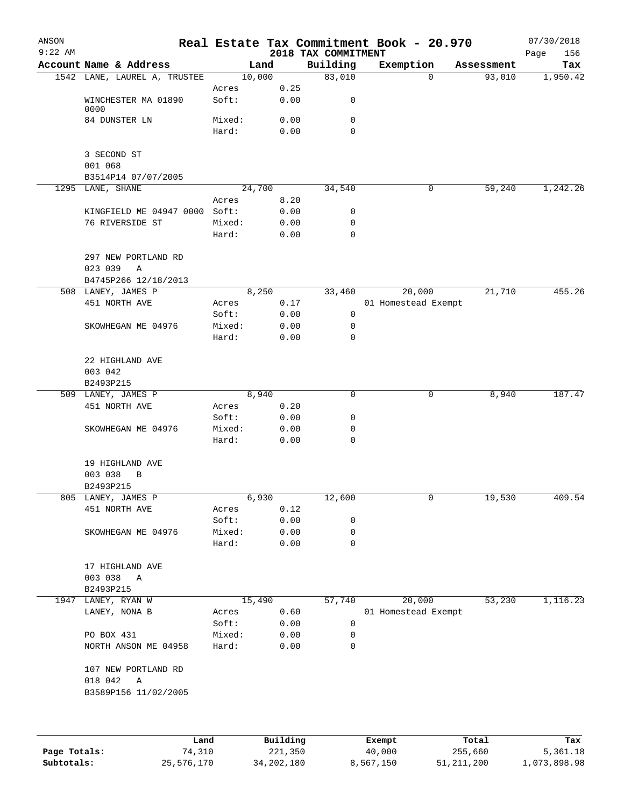| ANSON     |                                |        |          |                                 | Real Estate Tax Commitment Book - 20.970 |                      | 07/30/2018      |
|-----------|--------------------------------|--------|----------|---------------------------------|------------------------------------------|----------------------|-----------------|
| $9:22$ AM | Account Name & Address         |        | Land     | 2018 TAX COMMITMENT<br>Building |                                          |                      | 156<br>Page     |
|           | 1542 LANE, LAUREL A, TRUSTEE   |        | 10,000   | 83,010                          | Exemption<br>$\Omega$                    | Assessment<br>93,010 | Tax<br>1,950.42 |
|           |                                | Acres  | 0.25     |                                 |                                          |                      |                 |
|           | WINCHESTER MA 01890<br>0000    | Soft:  | 0.00     | 0                               |                                          |                      |                 |
|           | 84 DUNSTER LN                  | Mixed: | 0.00     | 0                               |                                          |                      |                 |
|           |                                | Hard:  | 0.00     | 0                               |                                          |                      |                 |
|           | 3 SECOND ST                    |        |          |                                 |                                          |                      |                 |
|           | 001 068<br>B3514P14 07/07/2005 |        |          |                                 |                                          |                      |                 |
|           | 1295 LANE, SHANE               |        | 24,700   | 34,540                          | 0                                        | 59,240               | 1,242.26        |
|           |                                | Acres  | 8.20     |                                 |                                          |                      |                 |
|           | KINGFIELD ME 04947 0000        | Soft:  | 0.00     | 0                               |                                          |                      |                 |
|           | 76 RIVERSIDE ST                | Mixed: | 0.00     | 0                               |                                          |                      |                 |
|           |                                | Hard:  | 0.00     | 0                               |                                          |                      |                 |
|           | 297 NEW PORTLAND RD            |        |          |                                 |                                          |                      |                 |
|           | 023 039<br>Α                   |        |          |                                 |                                          |                      |                 |
|           | B4745P266 12/18/2013           |        |          |                                 |                                          |                      |                 |
|           | 508 LANEY, JAMES P             |        | 8,250    | 33,460                          | 20,000                                   | 21,710               | 455.26          |
|           | 451 NORTH AVE                  | Acres  | 0.17     |                                 | 01 Homestead Exempt                      |                      |                 |
|           |                                | Soft:  | 0.00     | 0                               |                                          |                      |                 |
|           | SKOWHEGAN ME 04976             | Mixed: | 0.00     | 0                               |                                          |                      |                 |
|           |                                | Hard:  | 0.00     | 0                               |                                          |                      |                 |
|           | 22 HIGHLAND AVE                |        |          |                                 |                                          |                      |                 |
|           | 003 042                        |        |          |                                 |                                          |                      |                 |
|           | B2493P215                      |        |          |                                 |                                          |                      |                 |
|           | 509 LANEY, JAMES P             |        | 8,940    | 0                               | 0                                        | 8,940                | 187.47          |
|           | 451 NORTH AVE                  | Acres  | 0.20     |                                 |                                          |                      |                 |
|           |                                | Soft:  | 0.00     | 0                               |                                          |                      |                 |
|           | SKOWHEGAN ME 04976             | Mixed: | 0.00     | 0                               |                                          |                      |                 |
|           |                                | Hard:  | 0.00     | 0                               |                                          |                      |                 |
|           | 19 HIGHLAND AVE                |        |          |                                 |                                          |                      |                 |
|           | 003 038<br>B                   |        |          |                                 |                                          |                      |                 |
|           | B2493P215                      |        |          |                                 |                                          |                      |                 |
|           | 805 LANEY, JAMES P             |        | 6,930    | 12,600                          | 0                                        | 19,530               | 409.54          |
|           | 451 NORTH AVE                  | Acres  | 0.12     |                                 |                                          |                      |                 |
|           |                                | Soft:  | 0.00     | 0                               |                                          |                      |                 |
|           | SKOWHEGAN ME 04976             | Mixed: | 0.00     | 0                               |                                          |                      |                 |
|           |                                | Hard:  | 0.00     | 0                               |                                          |                      |                 |
|           | 17 HIGHLAND AVE                |        |          |                                 |                                          |                      |                 |
|           | 003 038<br>A                   |        |          |                                 |                                          |                      |                 |
|           | B2493P215                      |        |          |                                 |                                          |                      |                 |
|           | 1947 LANEY, RYAN W             |        | 15,490   | 57,740                          | 20,000                                   | 53,230               | 1,116.23        |
|           | LANEY, NONA B                  | Acres  | 0.60     |                                 | 01 Homestead Exempt                      |                      |                 |
|           |                                | Soft:  | 0.00     | 0                               |                                          |                      |                 |
|           | PO BOX 431                     | Mixed: | 0.00     | 0                               |                                          |                      |                 |
|           | NORTH ANSON ME 04958           | Hard:  | 0.00     | 0                               |                                          |                      |                 |
|           | 107 NEW PORTLAND RD            |        |          |                                 |                                          |                      |                 |
|           | 018 042<br>A                   |        |          |                                 |                                          |                      |                 |
|           | B3589P156 11/02/2005           |        |          |                                 |                                          |                      |                 |
|           |                                |        |          |                                 |                                          |                      |                 |
|           |                                | Land   | Building |                                 | Exempt                                   | Total                | Tax             |

**Page Totals:** 74,310 221,350 40,000 255,660 5,361.18 **Subtotals:** 25,576,170 34,202,180 8,567,150 51,211,200 1,073,898.98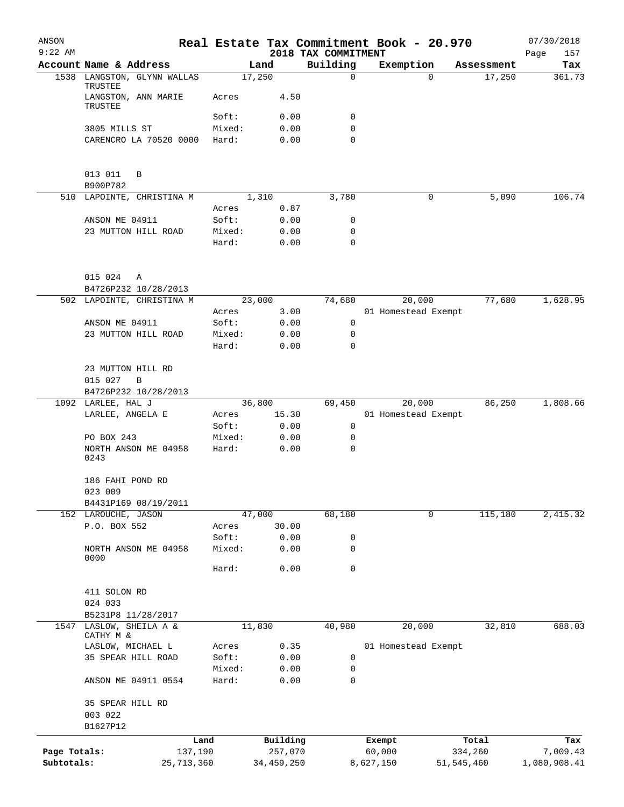| ANSON<br>$9:22$ AM |                                        |         |              | 2018 TAX COMMITMENT | Real Estate Tax Commitment Book - 20.970 |              |            | 07/30/2018<br>157<br>Page |
|--------------------|----------------------------------------|---------|--------------|---------------------|------------------------------------------|--------------|------------|---------------------------|
|                    | Account Name & Address                 |         | Land         | Building            | Exemption                                |              | Assessment | Tax                       |
|                    | 1538 LANGSTON, GLYNN WALLAS<br>TRUSTEE |         | 17,250       | 0                   |                                          | $\Omega$     | 17,250     | 361.73                    |
|                    | LANGSTON, ANN MARIE<br>TRUSTEE         | Acres   | 4.50         |                     |                                          |              |            |                           |
|                    |                                        | Soft:   | 0.00         | 0                   |                                          |              |            |                           |
|                    | 3805 MILLS ST                          | Mixed:  | 0.00         | 0                   |                                          |              |            |                           |
|                    | CARENCRO LA 70520 0000                 | Hard:   | 0.00         | 0                   |                                          |              |            |                           |
|                    | 013 011<br>B<br>B900P782               |         |              |                     |                                          |              |            |                           |
|                    | 510 LAPOINTE, CHRISTINA M              |         | 1,310        | 3,780               |                                          | 0            | 5,090      | 106.74                    |
|                    |                                        | Acres   | 0.87         |                     |                                          |              |            |                           |
|                    | ANSON ME 04911                         | Soft:   | 0.00         | 0                   |                                          |              |            |                           |
|                    | 23 MUTTON HILL ROAD                    | Mixed:  | 0.00         | 0                   |                                          |              |            |                           |
|                    |                                        | Hard:   | 0.00         | $\mathbf 0$         |                                          |              |            |                           |
|                    | 015 024<br>Α                           |         |              |                     |                                          |              |            |                           |
|                    | B4726P232 10/28/2013                   |         |              |                     |                                          |              |            |                           |
|                    | 502 LAPOINTE, CHRISTINA M              |         | 23,000       | 74,680              | 20,000                                   |              | 77,680     | 1,628.95                  |
|                    |                                        | Acres   | 3.00         |                     | 01 Homestead Exempt                      |              |            |                           |
|                    | ANSON ME 04911                         | Soft:   | 0.00         | 0                   |                                          |              |            |                           |
|                    | 23 MUTTON HILL ROAD                    | Mixed:  | 0.00         | 0                   |                                          |              |            |                           |
|                    |                                        | Hard:   | 0.00         | 0                   |                                          |              |            |                           |
|                    | 23 MUTTON HILL RD                      |         |              |                     |                                          |              |            |                           |
|                    | 015 027<br>B                           |         |              |                     |                                          |              |            |                           |
|                    | B4726P232 10/28/2013                   |         |              |                     |                                          |              |            |                           |
|                    | 1092 LARLEE, HAL J                     |         | 36,800       | 69,450              | 20,000                                   |              | 86,250     | 1,808.66                  |
|                    | LARLEE, ANGELA E                       | Acres   | 15.30        |                     | 01 Homestead Exempt                      |              |            |                           |
|                    |                                        | Soft:   | 0.00         | 0                   |                                          |              |            |                           |
|                    | PO BOX 243                             | Mixed:  | 0.00         | 0                   |                                          |              |            |                           |
|                    | NORTH ANSON ME 04958                   | Hard:   | 0.00         | $\mathbf 0$         |                                          |              |            |                           |
|                    | 0243                                   |         |              |                     |                                          |              |            |                           |
|                    | 186 FAHI POND RD<br>023 009            |         |              |                     |                                          |              |            |                           |
|                    | B4431P169 08/19/2011                   |         |              |                     |                                          |              |            |                           |
|                    | 152 LAROUCHE, JASON                    |         | 47,000       | 68,180              |                                          | 0            | 115,180    | 2,415.32                  |
|                    | P.O. BOX 552                           | Acres   | 30.00        |                     |                                          |              |            |                           |
|                    |                                        | Soft:   | 0.00         | 0                   |                                          |              |            |                           |
|                    | NORTH ANSON ME 04958                   | Mixed:  | 0.00         | 0                   |                                          |              |            |                           |
|                    | 0000                                   | Hard:   | 0.00         | 0                   |                                          |              |            |                           |
|                    |                                        |         |              |                     |                                          |              |            |                           |
|                    | 411 SOLON RD                           |         |              |                     |                                          |              |            |                           |
|                    | 024 033                                |         |              |                     |                                          |              |            |                           |
|                    | B5231P8 11/28/2017                     |         |              |                     |                                          |              |            |                           |
| 1547               | LASLOW, SHEILA A &                     |         | 11,830       | 40,980              | 20,000                                   |              | 32,810     | 688.03                    |
|                    | CATHY M &                              |         |              |                     |                                          |              |            |                           |
|                    | LASLOW, MICHAEL L                      | Acres   | 0.35         |                     | 01 Homestead Exempt                      |              |            |                           |
|                    | 35 SPEAR HILL ROAD                     | Soft:   | 0.00         | 0                   |                                          |              |            |                           |
|                    |                                        | Mixed:  | 0.00         | 0                   |                                          |              |            |                           |
|                    | ANSON ME 04911 0554                    | Hard:   | 0.00         | 0                   |                                          |              |            |                           |
|                    | 35 SPEAR HILL RD                       |         |              |                     |                                          |              |            |                           |
|                    | 003 022                                |         |              |                     |                                          |              |            |                           |
|                    | B1627P12                               |         |              |                     |                                          |              |            |                           |
|                    |                                        | Land    | Building     |                     | Exempt                                   | Total        |            | Tax                       |
| Page Totals:       |                                        | 137,190 | 257,070      |                     | 60,000                                   | 334,260      |            | 7,009.43                  |
| Subtotals:         | 25, 713, 360                           |         | 34, 459, 250 |                     | 8,627,150                                | 51, 545, 460 |            | 1,080,908.41              |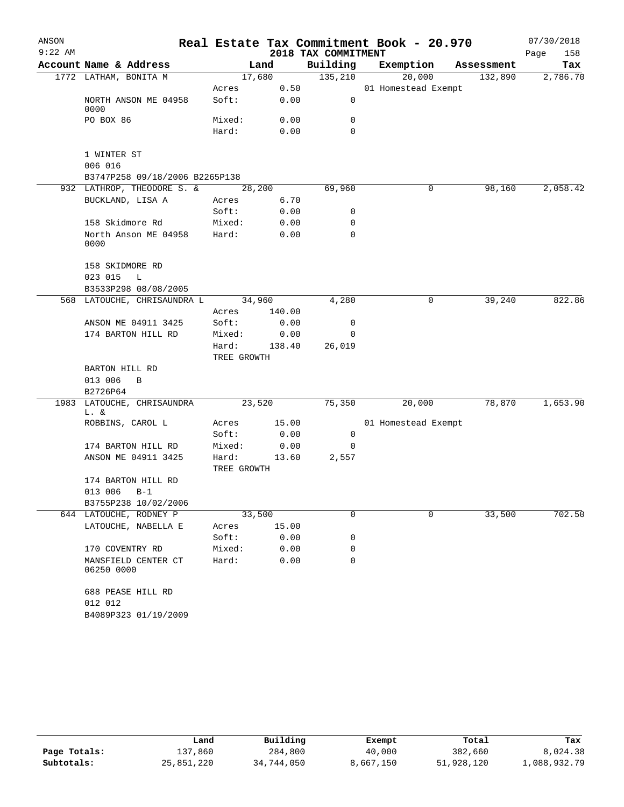| ANSON<br>$9:22$ AM |                                    |                      |        | 2018 TAX COMMITMENT | Real Estate Tax Commitment Book - 20.970 |            | 07/30/2018<br>Page<br>158 |
|--------------------|------------------------------------|----------------------|--------|---------------------|------------------------------------------|------------|---------------------------|
|                    | Account Name & Address             |                      | Land   | Building            | Exemption                                | Assessment | Tax                       |
|                    | 1772 LATHAM, BONITA M              |                      | 17,680 | 135,210             | 20,000                                   | 132,890    | 2,786.70                  |
|                    |                                    | Acres                | 0.50   |                     | 01 Homestead Exempt                      |            |                           |
|                    | NORTH ANSON ME 04958<br>0000       | Soft:                | 0.00   | 0                   |                                          |            |                           |
|                    | PO BOX 86                          | Mixed:               | 0.00   | 0                   |                                          |            |                           |
|                    |                                    | Hard:                | 0.00   | 0                   |                                          |            |                           |
|                    | 1 WINTER ST                        |                      |        |                     |                                          |            |                           |
|                    | 006 016                            |                      |        |                     |                                          |            |                           |
|                    | B3747P258 09/18/2006 B2265P138     |                      |        |                     |                                          |            |                           |
|                    | 932 LATHROP, THEODORE S. &         |                      | 28,200 | 69,960              | 0                                        | 98,160     | 2,058.42                  |
|                    | BUCKLAND, LISA A                   | Acres                | 6.70   |                     |                                          |            |                           |
|                    |                                    | Soft:                | 0.00   | 0                   |                                          |            |                           |
|                    | 158 Skidmore Rd                    | Mixed:               | 0.00   | 0                   |                                          |            |                           |
|                    | North Anson ME 04958<br>0000       | Hard:                | 0.00   | 0                   |                                          |            |                           |
|                    | 158 SKIDMORE RD                    |                      |        |                     |                                          |            |                           |
|                    | 023 015<br>L                       |                      |        |                     |                                          |            |                           |
|                    | B3533P298 08/08/2005               |                      |        |                     |                                          |            |                           |
|                    | 568 LATOUCHE, CHRISAUNDRA L        |                      | 34,960 | 4,280               | 0                                        | 39,240     | 822.86                    |
|                    |                                    | Acres                | 140.00 |                     |                                          |            |                           |
|                    | ANSON ME 04911 3425                | Soft:                | 0.00   | 0                   |                                          |            |                           |
|                    | 174 BARTON HILL RD                 | Mixed:               | 0.00   | 0                   |                                          |            |                           |
|                    |                                    | Hard:<br>TREE GROWTH | 138.40 | 26,019              |                                          |            |                           |
|                    | BARTON HILL RD                     |                      |        |                     |                                          |            |                           |
|                    | 013 006<br>B                       |                      |        |                     |                                          |            |                           |
|                    | B2726P64                           |                      |        |                     |                                          |            |                           |
|                    | 1983 LATOUCHE, CHRISAUNDRA<br>L. & |                      | 23,520 | 75,350              | 20,000                                   | 78,870     | 1,653.90                  |
|                    | ROBBINS, CAROL L                   | Acres                | 15.00  |                     | 01 Homestead Exempt                      |            |                           |
|                    |                                    | Soft:                | 0.00   | 0                   |                                          |            |                           |
|                    | 174 BARTON HILL RD                 | Mixed:               | 0.00   | $\mathbf 0$         |                                          |            |                           |
|                    | ANSON ME 04911 3425                | Hard:                | 13.60  | 2,557               |                                          |            |                           |
|                    |                                    | TREE GROWTH          |        |                     |                                          |            |                           |
|                    | 174 BARTON HILL RD                 |                      |        |                     |                                          |            |                           |
|                    | 013 006<br>$B-1$                   |                      |        |                     |                                          |            |                           |
|                    | B3755P238 10/02/2006               |                      |        |                     |                                          |            |                           |
|                    | 644 LATOUCHE, RODNEY P             |                      | 33,500 | 0                   | 0                                        | 33,500     | 702.50                    |
|                    | LATOUCHE, NABELLA E                | Acres                | 15.00  |                     |                                          |            |                           |
|                    |                                    | Soft:                | 0.00   | 0                   |                                          |            |                           |
|                    | 170 COVENTRY RD                    | Mixed:               | 0.00   | 0                   |                                          |            |                           |
|                    | MANSFIELD CENTER CT<br>06250 0000  | Hard:                | 0.00   | 0                   |                                          |            |                           |
|                    | 688 PEASE HILL RD<br>012 012       |                      |        |                     |                                          |            |                           |
|                    | B4089P323 01/19/2009               |                      |        |                     |                                          |            |                           |
|                    |                                    |                      |        |                     |                                          |            |                           |

|              | Land       | Building   | Exempt    | Total      | Tax          |
|--------------|------------|------------|-----------|------------|--------------|
| Page Totals: | 137,860    | 284,800    | 40,000    | 382,660    | 8,024.38     |
| Subtotals:   | 25,851,220 | 34,744,050 | 8,667,150 | 51,928,120 | 1,088,932.79 |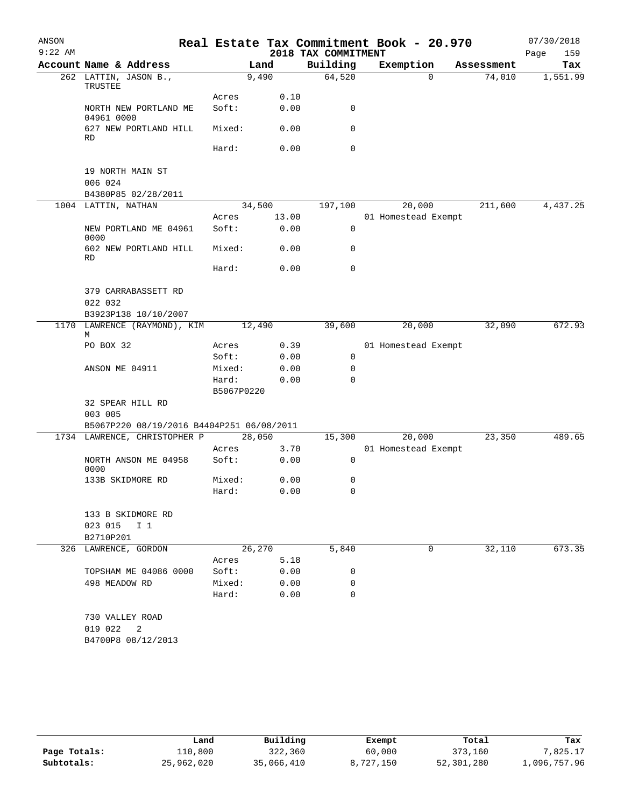| ANSON     |                                           |                     |        | Real Estate Tax Commitment Book - 20.970 |                     |            | 07/30/2018  |
|-----------|-------------------------------------------|---------------------|--------|------------------------------------------|---------------------|------------|-------------|
| $9:22$ AM |                                           |                     |        | 2018 TAX COMMITMENT                      |                     |            | Page<br>159 |
|           | Account Name & Address                    |                     | Land   | Building                                 | Exemption           | Assessment | Tax         |
|           | 262 LATTIN, JASON B.,<br>TRUSTEE          |                     | 9,490  | 64,520                                   | $\Omega$            | 74,010     | 1,551.99    |
|           |                                           | Acres               | 0.10   |                                          |                     |            |             |
|           | NORTH NEW PORTLAND ME<br>04961 0000       | Soft:               | 0.00   | 0                                        |                     |            |             |
|           | 627 NEW PORTLAND HILL<br>RD.              | Mixed:              | 0.00   | 0                                        |                     |            |             |
|           |                                           | Hard:               | 0.00   | $\mathbf 0$                              |                     |            |             |
|           | 19 NORTH MAIN ST<br>006 024               |                     |        |                                          |                     |            |             |
|           | B4380P85 02/28/2011                       |                     |        |                                          |                     |            |             |
|           | 1004 LATTIN, NATHAN                       |                     | 34,500 | 197,100                                  | 20,000              | 211,600    | 4,437.25    |
|           |                                           | Acres               | 13.00  |                                          | 01 Homestead Exempt |            |             |
|           | NEW PORTLAND ME 04961<br>0000             | Soft:               | 0.00   | $\mathbf 0$                              |                     |            |             |
|           | 602 NEW PORTLAND HILL<br>RD               | Mixed:              | 0.00   | 0                                        |                     |            |             |
|           |                                           | Hard:               | 0.00   | 0                                        |                     |            |             |
|           | 379 CARRABASSETT RD                       |                     |        |                                          |                     |            |             |
|           | 022 032                                   |                     |        |                                          |                     |            |             |
|           | B3923P138 10/10/2007                      |                     |        |                                          |                     |            |             |
|           | 1170 LAWRENCE (RAYMOND), KIM<br>M         |                     | 12,490 | 39,600                                   | 20,000              | 32,090     | 672.93      |
|           | PO BOX 32                                 | Acres               | 0.39   |                                          | 01 Homestead Exempt |            |             |
|           |                                           | Soft:               | 0.00   | 0                                        |                     |            |             |
|           | ANSON ME 04911                            | Mixed:              | 0.00   | 0                                        |                     |            |             |
|           |                                           | Hard:<br>B5067P0220 | 0.00   | $\Omega$                                 |                     |            |             |
|           | 32 SPEAR HILL RD<br>003 005               |                     |        |                                          |                     |            |             |
|           | B5067P220 08/19/2016 B4404P251 06/08/2011 |                     |        |                                          |                     |            |             |
|           | 1734 LAWRENCE, CHRISTOPHER P              |                     | 28,050 | 15,300                                   | 20,000              | 23,350     | 489.65      |
|           |                                           | Acres               | 3.70   |                                          | 01 Homestead Exempt |            |             |
|           | NORTH ANSON ME 04958<br>0000              | Soft:               | 0.00   | 0                                        |                     |            |             |
|           | 133B SKIDMORE RD                          | Mixed:              | 0.00   | 0                                        |                     |            |             |
|           |                                           | Hard:               | 0.00   | $\Omega$                                 |                     |            |             |
|           | 133 B SKIDMORE RD                         |                     |        |                                          |                     |            |             |
|           | 023 015<br>I <sub>1</sub>                 |                     |        |                                          |                     |            |             |
|           | B2710P201                                 |                     |        |                                          |                     |            |             |
|           | 326 LAWRENCE, GORDON                      |                     | 26,270 | 5,840                                    | 0                   | 32,110     | 673.35      |
|           |                                           | Acres               | 5.18   |                                          |                     |            |             |
|           | TOPSHAM ME 04086 0000                     | Soft:               | 0.00   | 0                                        |                     |            |             |
|           | 498 MEADOW RD                             | Mixed:              | 0.00   | 0                                        |                     |            |             |
|           |                                           | Hard:               | 0.00   | 0                                        |                     |            |             |
|           | 730 VALLEY ROAD                           |                     |        |                                          |                     |            |             |
|           | 019 022<br>$\overline{\phantom{0}}^2$     |                     |        |                                          |                     |            |             |
|           | B4700P8 08/12/2013                        |                     |        |                                          |                     |            |             |
|           |                                           |                     |        |                                          |                     |            |             |

|              | Land       | Building   | Exempt    | Total      | Tax          |
|--------------|------------|------------|-----------|------------|--------------|
| Page Totals: | 110,800    | 322,360    | 60,000    | 373,160    | 7.825.17     |
| Subtotals:   | 25,962,020 | 35,066,410 | 8,727,150 | 52,301,280 | 1,096,757.96 |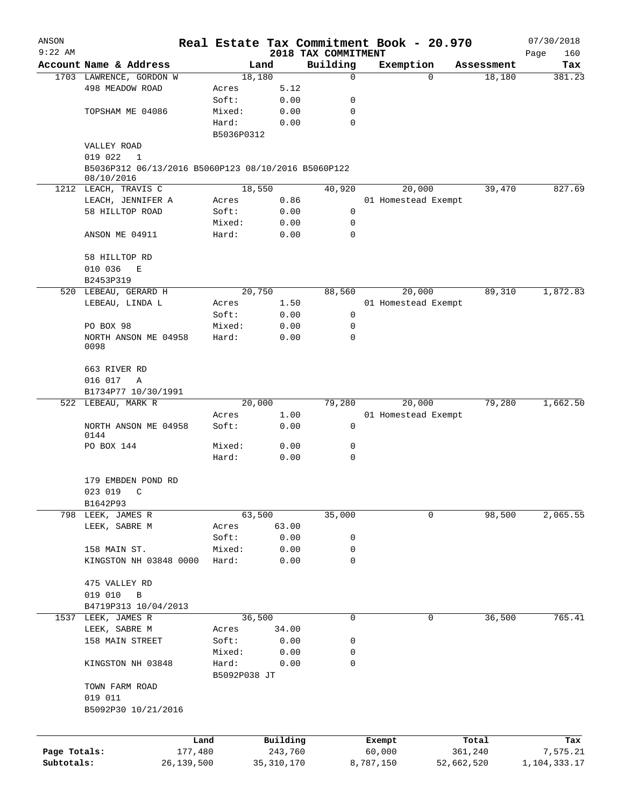| ANSON<br>$9:22$ AM |                                                     |                       |              |                                 | Real Estate Tax Commitment Book - 20.970 |            | 07/30/2018         |
|--------------------|-----------------------------------------------------|-----------------------|--------------|---------------------------------|------------------------------------------|------------|--------------------|
|                    | Account Name & Address                              |                       | Land         | 2018 TAX COMMITMENT<br>Building | Exemption                                | Assessment | Page<br>160<br>Tax |
|                    | 1703 LAWRENCE, GORDON W                             |                       | 18,180       | 0                               | $\Omega$                                 | 18,180     | 381.23             |
|                    | 498 MEADOW ROAD                                     | Acres                 | 5.12         |                                 |                                          |            |                    |
|                    |                                                     | Soft:                 | 0.00         | 0                               |                                          |            |                    |
|                    | TOPSHAM ME 04086                                    | Mixed:                | 0.00         | 0                               |                                          |            |                    |
|                    |                                                     | Hard:<br>B5036P0312   | 0.00         | $\mathbf 0$                     |                                          |            |                    |
|                    | VALLEY ROAD                                         |                       |              |                                 |                                          |            |                    |
|                    | 019 022<br>1                                        |                       |              |                                 |                                          |            |                    |
|                    | B5036P312 06/13/2016 B5060P123 08/10/2016 B5060P122 |                       |              |                                 |                                          |            |                    |
|                    | 08/10/2016<br>1212 LEACH, TRAVIS C                  |                       | 18,550       | 40,920                          | 20,000                                   | 39,470     | 827.69             |
|                    | LEACH, JENNIFER A                                   | Acres                 | 0.86         |                                 | 01 Homestead Exempt                      |            |                    |
|                    | 58 HILLTOP ROAD                                     | Soft:                 | 0.00         | 0                               |                                          |            |                    |
|                    |                                                     | Mixed:                | 0.00         | 0                               |                                          |            |                    |
|                    | ANSON ME 04911                                      | Hard:                 | 0.00         | 0                               |                                          |            |                    |
|                    | 58 HILLTOP RD                                       |                       |              |                                 |                                          |            |                    |
|                    | 010 036<br>E                                        |                       |              |                                 |                                          |            |                    |
|                    | B2453P319                                           |                       |              |                                 |                                          |            |                    |
| 520                | LEBEAU, GERARD H                                    |                       | 20,750       | 88,560                          | 20,000                                   | 89,310     | 1,872.83           |
|                    | LEBEAU, LINDA L                                     | Acres                 | 1.50         |                                 | 01 Homestead Exempt                      |            |                    |
|                    |                                                     | Soft:                 | 0.00         | 0                               |                                          |            |                    |
|                    | PO BOX 98                                           | Mixed:                | 0.00         | 0                               |                                          |            |                    |
|                    | NORTH ANSON ME 04958<br>0098                        | Hard:                 | 0.00         | 0                               |                                          |            |                    |
|                    | 663 RIVER RD                                        |                       |              |                                 |                                          |            |                    |
|                    | 016 017<br>Α                                        |                       |              |                                 |                                          |            |                    |
|                    | B1734P77 10/30/1991                                 |                       |              |                                 |                                          |            |                    |
|                    | 522 LEBEAU, MARK R                                  |                       | 20,000       | 79,280                          | 20,000                                   | 79,280     | 1,662.50           |
|                    |                                                     | Acres                 | 1.00         |                                 | 01 Homestead Exempt                      |            |                    |
|                    | NORTH ANSON ME 04958<br>0144                        | Soft:                 | 0.00         | $\mathbf 0$                     |                                          |            |                    |
|                    | PO BOX 144                                          | Mixed:                | 0.00         | 0                               |                                          |            |                    |
|                    |                                                     | Hard:                 | 0.00         | $\mathbf 0$                     |                                          |            |                    |
|                    | 179 EMBDEN POND RD                                  |                       |              |                                 |                                          |            |                    |
|                    | 023 019<br>$\mathcal{C}$                            |                       |              |                                 |                                          |            |                    |
|                    | B1642P93                                            |                       |              |                                 |                                          |            |                    |
|                    | 798 LEEK, JAMES R                                   |                       | 63,500       | 35,000                          | 0                                        | 98,500     | 2,065.55           |
|                    | LEEK, SABRE M                                       | Acres                 | 63.00        |                                 |                                          |            |                    |
|                    |                                                     | Soft:                 | 0.00         | 0                               |                                          |            |                    |
|                    | 158 MAIN ST.                                        | Mixed:                | 0.00         | 0                               |                                          |            |                    |
|                    | KINGSTON NH 03848 0000                              | Hard:                 | 0.00         | 0                               |                                          |            |                    |
|                    | 475 VALLEY RD                                       |                       |              |                                 |                                          |            |                    |
|                    | 019 010<br>$\, {\bf B}$                             |                       |              |                                 |                                          |            |                    |
|                    | B4719P313 10/04/2013                                |                       |              |                                 |                                          |            |                    |
|                    | 1537 LEEK, JAMES R                                  |                       | 36,500       | 0                               | 0                                        | 36,500     | 765.41             |
|                    | LEEK, SABRE M                                       | Acres                 | 34.00        |                                 |                                          |            |                    |
|                    | 158 MAIN STREET                                     | Soft:                 | 0.00         | 0                               |                                          |            |                    |
|                    |                                                     | Mixed:                | 0.00         | 0                               |                                          |            |                    |
|                    | KINGSTON NH 03848                                   | Hard:<br>B5092P038 JT | 0.00         | 0                               |                                          |            |                    |
|                    | TOWN FARM ROAD                                      |                       |              |                                 |                                          |            |                    |
|                    | 019 011<br>B5092P30 10/21/2016                      |                       |              |                                 |                                          |            |                    |
|                    |                                                     |                       |              |                                 |                                          |            |                    |
|                    | Land                                                |                       | Building     |                                 | Exempt                                   | Total      | Tax                |
| Page Totals:       | 177,480                                             |                       | 243,760      |                                 | 60,000                                   | 361,240    | 7,575.21           |
| Subtotals:         | 26,139,500                                          |                       | 35, 310, 170 |                                 | 8,787,150                                | 52,662,520 | 1,104,333.17       |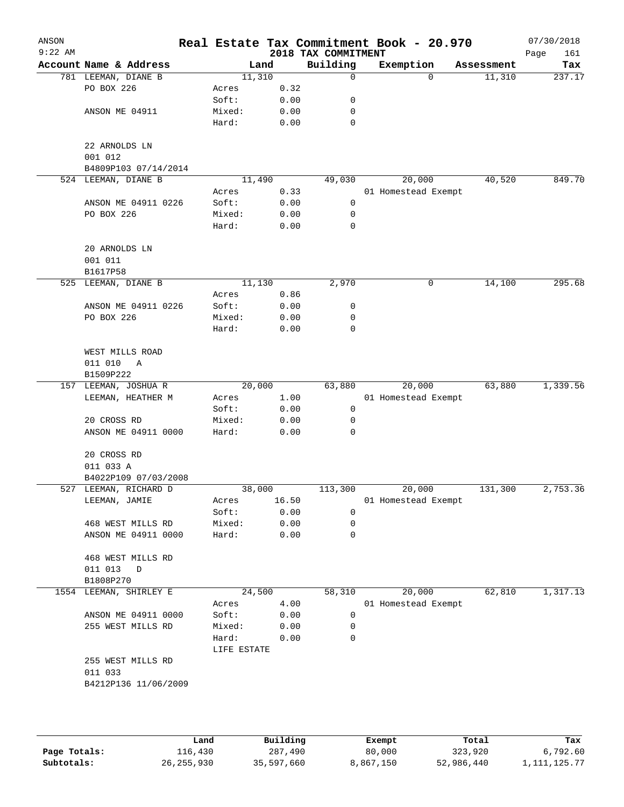| ANSON     |                              |             |        |                     | Real Estate Tax Commitment Book - 20.970 |            | 07/30/2018  |
|-----------|------------------------------|-------------|--------|---------------------|------------------------------------------|------------|-------------|
| $9:22$ AM |                              |             |        | 2018 TAX COMMITMENT |                                          |            | 161<br>Page |
|           | Account Name & Address       |             | Land   | Building            | Exemption                                | Assessment | Tax         |
|           | 781 LEEMAN, DIANE B          |             | 11,310 | 0                   | $\Omega$                                 | 11,310     | 237.17      |
|           | PO BOX 226                   | Acres       | 0.32   |                     |                                          |            |             |
|           |                              | Soft:       | 0.00   | 0                   |                                          |            |             |
|           | ANSON ME 04911               | Mixed:      | 0.00   | 0                   |                                          |            |             |
|           |                              | Hard:       | 0.00   | $\mathbf 0$         |                                          |            |             |
|           | 22 ARNOLDS LN                |             |        |                     |                                          |            |             |
|           | 001 012                      |             |        |                     |                                          |            |             |
|           | B4809P103 07/14/2014         |             |        |                     |                                          |            |             |
|           | 524 LEEMAN, DIANE B          |             | 11,490 | 49,030              | 20,000                                   | 40,520     | 849.70      |
|           |                              | Acres       | 0.33   |                     | 01 Homestead Exempt                      |            |             |
|           | ANSON ME 04911 0226          | Soft:       | 0.00   | 0                   |                                          |            |             |
|           | PO BOX 226                   | Mixed:      | 0.00   | 0                   |                                          |            |             |
|           |                              | Hard:       | 0.00   | 0                   |                                          |            |             |
|           |                              |             |        |                     |                                          |            |             |
|           | 20 ARNOLDS LN                |             |        |                     |                                          |            |             |
|           | 001 011                      |             |        |                     |                                          |            |             |
|           | B1617P58                     |             |        |                     |                                          |            |             |
| 525       | LEEMAN, DIANE B              |             | 11,130 | 2,970               | 0                                        | 14,100     | 295.68      |
|           |                              | Acres       | 0.86   |                     |                                          |            |             |
|           | ANSON ME 04911 0226          | Soft:       | 0.00   | 0                   |                                          |            |             |
|           | PO BOX 226                   | Mixed:      | 0.00   | 0                   |                                          |            |             |
|           |                              | Hard:       | 0.00   | 0                   |                                          |            |             |
|           |                              |             |        |                     |                                          |            |             |
|           | WEST MILLS ROAD              |             |        |                     |                                          |            |             |
|           | 011 010<br>A                 |             |        |                     |                                          |            |             |
|           | B1509P222                    |             |        |                     |                                          |            |             |
|           | 157 LEEMAN, JOSHUA R         |             | 20,000 | 63,880              | 20,000                                   | 63,880     | 1,339.56    |
|           | LEEMAN, HEATHER M            | Acres       | 1.00   |                     | 01 Homestead Exempt                      |            |             |
|           |                              | Soft:       | 0.00   | 0                   |                                          |            |             |
|           | 20 CROSS RD                  | Mixed:      | 0.00   | 0                   |                                          |            |             |
|           | ANSON ME 04911 0000          | Hard:       | 0.00   | 0                   |                                          |            |             |
|           |                              |             |        |                     |                                          |            |             |
|           | 20 CROSS RD                  |             |        |                     |                                          |            |             |
|           | 011 033 A                    |             |        |                     |                                          |            |             |
|           | B4022P109 07/03/2008         |             |        |                     |                                          |            |             |
|           | 527 LEEMAN, RICHARD D        |             | 38,000 | 113,300             | 20,000                                   | 131,300    | 2,753.36    |
|           | LEEMAN, JAMIE                | Acres       | 16.50  |                     | 01 Homestead Exempt                      |            |             |
|           |                              | Soft:       | 0.00   | 0                   |                                          |            |             |
|           | 468 WEST MILLS RD            | Mixed:      | 0.00   | 0                   |                                          |            |             |
|           | ANSON ME 04911 0000          | Hard:       | 0.00   | $\mathbf 0$         |                                          |            |             |
|           |                              |             |        |                     |                                          |            |             |
|           | 468 WEST MILLS RD            |             |        |                     |                                          |            |             |
|           | 011 013<br>D                 |             |        |                     |                                          |            |             |
|           | B1808P270                    |             |        |                     |                                          |            |             |
|           | 1554 LEEMAN, SHIRLEY E       |             | 24,500 | 58,310              | 20,000                                   | 62,810     | 1,317.13    |
|           |                              | Acres       | 4.00   |                     | 01 Homestead Exempt                      |            |             |
|           | ANSON ME 04911 0000          | Soft:       | 0.00   | 0                   |                                          |            |             |
|           | 255 WEST MILLS RD            | Mixed:      | 0.00   | 0                   |                                          |            |             |
|           |                              | Hard:       | 0.00   | 0                   |                                          |            |             |
|           |                              | LIFE ESTATE |        |                     |                                          |            |             |
|           | 255 WEST MILLS RD<br>011 033 |             |        |                     |                                          |            |             |
|           |                              |             |        |                     |                                          |            |             |
|           | B4212P136 11/06/2009         |             |        |                     |                                          |            |             |
|           |                              |             |        |                     |                                          |            |             |
|           |                              |             |        |                     |                                          |            |             |

|              | Land         | Building   | Exempt    | Total      | Tax             |
|--------------|--------------|------------|-----------|------------|-----------------|
| Page Totals: | 116,430      | 287,490    | 80,000    | 323,920    | 6,792.60        |
| Subtotals:   | 26, 255, 930 | 35,597,660 | 8,867,150 | 52,986,440 | 1, 111, 125. 77 |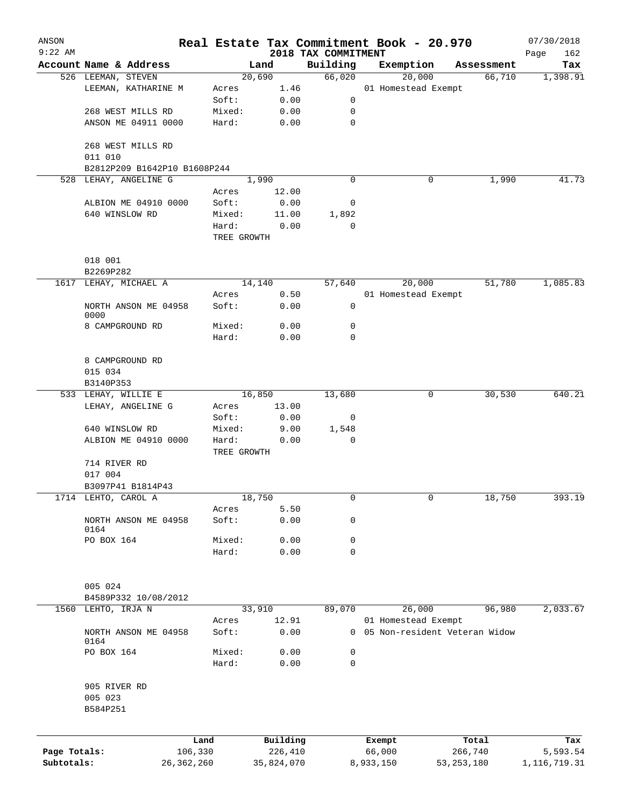| ANSON        |                              |                      |                     |                                 | Real Estate Tax Commitment Book - 20.970 |                                 | 07/30/2018         |
|--------------|------------------------------|----------------------|---------------------|---------------------------------|------------------------------------------|---------------------------------|--------------------|
| $9:22$ AM    | Account Name & Address       |                      | Land                | 2018 TAX COMMITMENT<br>Building | Exemption                                | Assessment                      | Page<br>162<br>Tax |
|              | 526 LEEMAN, STEVEN           |                      | 20,690              | 66,020                          | 20,000                                   | 66,710                          | 1,398.91           |
|              | LEEMAN, KATHARINE M          | Acres                | 1.46                |                                 | 01 Homestead Exempt                      |                                 |                    |
|              |                              | Soft:                | 0.00                | 0                               |                                          |                                 |                    |
|              | 268 WEST MILLS RD            | Mixed:               | 0.00                | 0                               |                                          |                                 |                    |
|              | ANSON ME 04911 0000          | Hard:                | 0.00                | $\mathbf 0$                     |                                          |                                 |                    |
|              | 268 WEST MILLS RD<br>011 010 |                      |                     |                                 |                                          |                                 |                    |
|              | B2812P209 B1642P10 B1608P244 |                      |                     |                                 |                                          |                                 |                    |
|              | 528 LEHAY, ANGELINE G        |                      | 1,990               | 0                               | 0                                        | 1,990                           | 41.73              |
|              |                              | Acres                | 12.00               |                                 |                                          |                                 |                    |
|              | ALBION ME 04910 0000         | Soft:                | 0.00                | 0                               |                                          |                                 |                    |
|              | 640 WINSLOW RD               | Mixed:               | 11.00               | 1,892                           |                                          |                                 |                    |
|              |                              | Hard:                | 0.00                | 0                               |                                          |                                 |                    |
|              |                              | TREE GROWTH          |                     |                                 |                                          |                                 |                    |
|              |                              |                      |                     |                                 |                                          |                                 |                    |
|              | 018 001<br>B2269P282         |                      |                     |                                 |                                          |                                 |                    |
|              | 1617 LEHAY, MICHAEL A        |                      | 14,140              | 57,640                          | 20,000                                   | 51,780                          | 1,085.83           |
|              |                              | Acres                | 0.50                |                                 | 01 Homestead Exempt                      |                                 |                    |
|              | NORTH ANSON ME 04958         | Soft:                | 0.00                | 0                               |                                          |                                 |                    |
|              | 0000                         |                      |                     |                                 |                                          |                                 |                    |
|              | 8 CAMPGROUND RD              | Mixed:               | 0.00                | 0                               |                                          |                                 |                    |
|              |                              | Hard:                | 0.00                | 0                               |                                          |                                 |                    |
|              | 8 CAMPGROUND RD              |                      |                     |                                 |                                          |                                 |                    |
|              | 015 034                      |                      |                     |                                 |                                          |                                 |                    |
|              |                              |                      |                     |                                 |                                          |                                 |                    |
|              | B3140P353                    |                      |                     |                                 | 0                                        |                                 | 640.21             |
|              | 533 LEHAY, WILLIE E          | Acres                | 16,850<br>13.00     | 13,680                          |                                          | 30,530                          |                    |
|              | LEHAY, ANGELINE G            | Soft:                |                     |                                 |                                          |                                 |                    |
|              |                              |                      | 0.00                | 0                               |                                          |                                 |                    |
|              | 640 WINSLOW RD               | Mixed:               | 9.00<br>0.00        | 1,548<br>0                      |                                          |                                 |                    |
|              | ALBION ME 04910 0000         | Hard:<br>TREE GROWTH |                     |                                 |                                          |                                 |                    |
|              | 714 RIVER RD                 |                      |                     |                                 |                                          |                                 |                    |
|              | 017 004                      |                      |                     |                                 |                                          |                                 |                    |
|              | B3097P41 B1814P43            |                      |                     |                                 |                                          |                                 |                    |
|              | 1714 LEHTO, CAROL A          |                      | 18,750              | 0                               | 0                                        | 18,750                          | 393.19             |
|              |                              | Acres                | 5.50                |                                 |                                          |                                 |                    |
|              | NORTH ANSON ME 04958         | Soft:                | 0.00                | 0                               |                                          |                                 |                    |
|              | 0164                         |                      |                     |                                 |                                          |                                 |                    |
|              | PO BOX 164                   | Mixed:               | 0.00                | 0                               |                                          |                                 |                    |
|              |                              | Hard:                | 0.00                | $\mathbf 0$                     |                                          |                                 |                    |
|              |                              |                      |                     |                                 |                                          |                                 |                    |
|              | 005 024                      |                      |                     |                                 |                                          |                                 |                    |
|              | B4589P332 10/08/2012         |                      |                     |                                 |                                          |                                 |                    |
| 1560         | LEHTO, IRJA N                |                      | 33,910              | 89,070                          | 26,000                                   | 96,980                          | 2,033.67           |
|              |                              | Acres                | 12.91               |                                 | 01 Homestead Exempt                      |                                 |                    |
|              | NORTH ANSON ME 04958<br>0164 | Soft:                | 0.00                |                                 |                                          | 0 05 Non-resident Veteran Widow |                    |
|              | PO BOX 164                   | Mixed:               | 0.00                | 0                               |                                          |                                 |                    |
|              |                              | Hard:                | 0.00                | 0                               |                                          |                                 |                    |
|              |                              |                      |                     |                                 |                                          |                                 |                    |
|              | 905 RIVER RD                 |                      |                     |                                 |                                          |                                 |                    |
|              | 005 023                      |                      |                     |                                 |                                          |                                 |                    |
|              | B584P251                     |                      |                     |                                 |                                          |                                 |                    |
|              |                              |                      |                     |                                 |                                          |                                 |                    |
| Page Totals: |                              | Land<br>106,330      | Building<br>226,410 |                                 | Exempt<br>66,000                         | Total<br>266,740                | Tax<br>5,593.54    |
| Subtotals:   |                              | 26, 362, 260         | 35,824,070          |                                 | 8,933,150                                | 53,253,180                      | 1, 116, 719. 31    |
|              |                              |                      |                     |                                 |                                          |                                 |                    |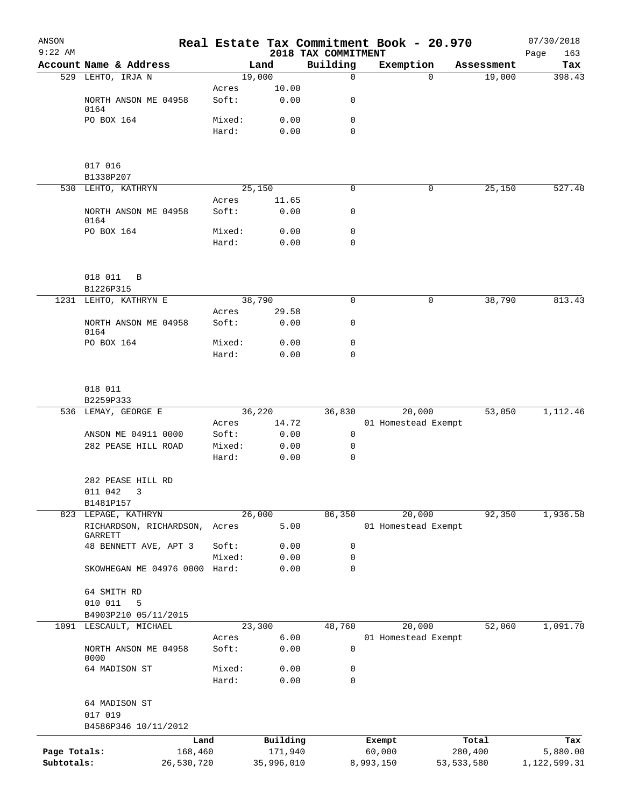| ANSON<br>$9:22$ AM |                                    |            |                |               | Real Estate Tax Commitment Book - 20.970<br>2018 TAX COMMITMENT |                     |              |            | 07/30/2018<br>163<br>Page |
|--------------------|------------------------------------|------------|----------------|---------------|-----------------------------------------------------------------|---------------------|--------------|------------|---------------------------|
|                    | Account Name & Address             |            | Land           |               | Building                                                        | Exemption           |              | Assessment | Tax                       |
|                    | 529 LEHTO, IRJA N                  |            | 19,000         |               | $\Omega$                                                        |                     | $\Omega$     | 19,000     | 398.43                    |
|                    |                                    |            | Acres          | 10.00         |                                                                 |                     |              |            |                           |
|                    | NORTH ANSON ME 04958<br>0164       |            | Soft:          | 0.00          | 0                                                               |                     |              |            |                           |
|                    | PO BOX 164                         |            | Mixed:         | 0.00          | $\mathbf 0$                                                     |                     |              |            |                           |
|                    |                                    |            | Hard:          | 0.00          | $\Omega$                                                        |                     |              |            |                           |
|                    | 017 016                            |            |                |               |                                                                 |                     |              |            |                           |
|                    | B1338P207                          |            |                |               |                                                                 |                     |              |            |                           |
|                    | 530 LEHTO, KATHRYN                 |            | 25,150         |               | 0                                                               |                     | 0            | 25,150     | 527.40                    |
|                    |                                    |            | Acres          | 11.65         |                                                                 |                     |              |            |                           |
|                    | NORTH ANSON ME 04958<br>0164       |            | Soft:          | 0.00          | 0                                                               |                     |              |            |                           |
|                    | PO BOX 164                         |            | Mixed:         | 0.00          | 0                                                               |                     |              |            |                           |
|                    |                                    |            | Hard:          | 0.00          | $\mathbf 0$                                                     |                     |              |            |                           |
|                    | 018 011<br>B                       |            |                |               |                                                                 |                     |              |            |                           |
|                    | B1226P315                          |            |                |               |                                                                 |                     |              |            |                           |
|                    | 1231 LEHTO, KATHRYN E              |            | 38,790         |               | 0                                                               |                     | 0            | 38,790     | 813.43                    |
|                    | NORTH ANSON ME 04958<br>0164       |            | Acres<br>Soft: | 29.58<br>0.00 | 0                                                               |                     |              |            |                           |
|                    | PO BOX 164                         |            | Mixed:         | 0.00          | 0                                                               |                     |              |            |                           |
|                    |                                    |            | Hard:          | 0.00          | 0                                                               |                     |              |            |                           |
|                    | 018 011                            |            |                |               |                                                                 |                     |              |            |                           |
|                    | B2259P333<br>536 LEMAY, GEORGE E   |            | 36,220         |               | 36,830                                                          | 20,000              |              | 53,050     | 1,112.46                  |
|                    |                                    |            | Acres          | 14.72         |                                                                 | 01 Homestead Exempt |              |            |                           |
|                    | ANSON ME 04911 0000                |            | Soft:          | 0.00          | 0                                                               |                     |              |            |                           |
|                    | 282 PEASE HILL ROAD                |            | Mixed:         | 0.00          | 0                                                               |                     |              |            |                           |
|                    |                                    |            | Hard:          | 0.00          | $\mathbf 0$                                                     |                     |              |            |                           |
|                    | 282 PEASE HILL RD<br>011 042 3     |            |                |               |                                                                 |                     |              |            |                           |
|                    | B1481P157                          |            |                |               |                                                                 |                     |              |            |                           |
|                    | 823 LEPAGE, KATHRYN                |            | 26,000         |               | 86,350                                                          | 20,000              |              | 92,350     | 1,936.58                  |
|                    | RICHARDSON, RICHARDSON,<br>GARRETT | Acres      |                | 5.00          |                                                                 | 01 Homestead Exempt |              |            |                           |
|                    | 48 BENNETT AVE, APT 3              |            | Soft:          | 0.00          | 0                                                               |                     |              |            |                           |
|                    |                                    |            | Mixed:         | 0.00          | 0                                                               |                     |              |            |                           |
|                    | SKOWHEGAN ME 04976 0000 Hard:      |            |                | 0.00          | 0                                                               |                     |              |            |                           |
|                    | 64 SMITH RD<br>010 011<br>5        |            |                |               |                                                                 |                     |              |            |                           |
|                    | B4903P210 05/11/2015               |            |                |               |                                                                 |                     |              |            |                           |
| 1091               | LESCAULT, MICHAEL                  |            | 23,300         |               | 48,760                                                          | 20,000              |              | 52,060     | 1,091.70                  |
|                    |                                    |            | Acres          | 6.00          |                                                                 | 01 Homestead Exempt |              |            |                           |
|                    | NORTH ANSON ME 04958<br>0000       |            | Soft:          | 0.00          | 0                                                               |                     |              |            |                           |
|                    | 64 MADISON ST                      |            | Mixed:         | 0.00          | 0                                                               |                     |              |            |                           |
|                    |                                    |            | Hard:          | 0.00          | 0                                                               |                     |              |            |                           |
|                    | 64 MADISON ST<br>017 019           |            |                |               |                                                                 |                     |              |            |                           |
|                    | B4586P346 10/11/2012               |            |                |               |                                                                 |                     |              |            |                           |
|                    |                                    | Land       |                | Building      |                                                                 | Exempt              |              | Total      | Tax                       |
| Page Totals:       |                                    | 168,460    |                | 171,940       |                                                                 | 60,000              |              | 280,400    | 5,880.00                  |
| Subtotals:         |                                    | 26,530,720 |                | 35,996,010    |                                                                 | 8,993,150           | 53, 533, 580 |            | 1,122,599.31              |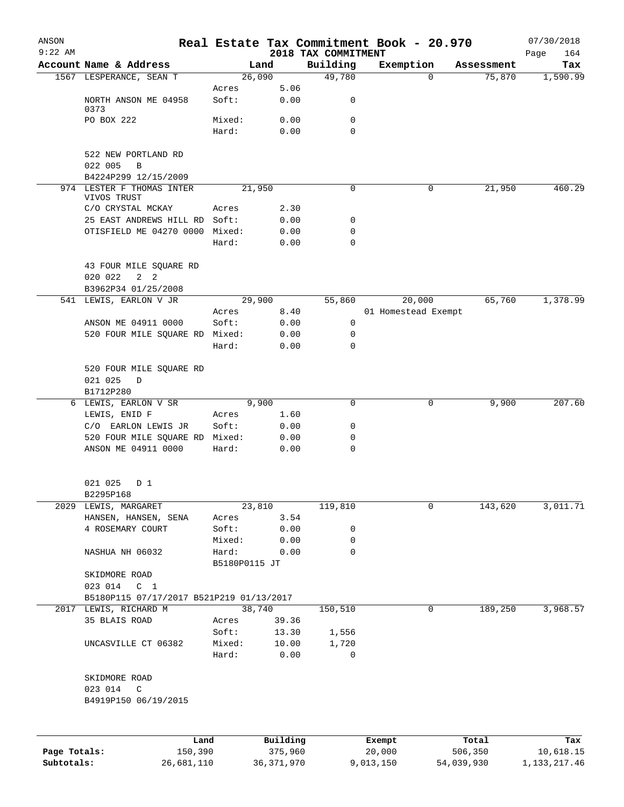| ANSON<br>$9:22$ AM |                                                 |               |              |                                 | Real Estate Tax Commitment Book - 20.970 |            | 07/30/2018         |
|--------------------|-------------------------------------------------|---------------|--------------|---------------------------------|------------------------------------------|------------|--------------------|
|                    | Account Name & Address                          |               | Land         | 2018 TAX COMMITMENT<br>Building | Exemption                                | Assessment | Page<br>164<br>Tax |
|                    | 1567 LESPERANCE, SEAN T                         |               | 26,090       | 49,780                          | $\Omega$                                 | 75,870     | 1,590.99           |
|                    |                                                 | Acres         | 5.06         |                                 |                                          |            |                    |
|                    | NORTH ANSON ME 04958<br>0373                    | Soft:         | 0.00         | 0                               |                                          |            |                    |
|                    | PO BOX 222                                      | Mixed:        | 0.00         | 0                               |                                          |            |                    |
|                    |                                                 | Hard:         | 0.00         | $\Omega$                        |                                          |            |                    |
|                    | 522 NEW PORTLAND RD                             |               |              |                                 |                                          |            |                    |
|                    | 022 005<br>$\, {\bf B}$<br>B4224P299 12/15/2009 |               |              |                                 |                                          |            |                    |
| 974                | LESTER F THOMAS INTER                           |               | 21,950       | 0                               | $\mathbf 0$                              | 21,950     | 460.29             |
|                    | VIVOS TRUST                                     |               |              |                                 |                                          |            |                    |
|                    | C/O CRYSTAL MCKAY                               | Acres         | 2.30         |                                 |                                          |            |                    |
|                    | 25 EAST ANDREWS HILL RD Soft:                   |               | 0.00         | 0                               |                                          |            |                    |
|                    | OTISFIELD ME 04270 0000 Mixed:                  |               | 0.00         | 0                               |                                          |            |                    |
|                    |                                                 | Hard:         | 0.00         | 0                               |                                          |            |                    |
|                    | 43 FOUR MILE SQUARE RD                          |               |              |                                 |                                          |            |                    |
|                    | 020 022<br>$2 \quad 2$                          |               |              |                                 |                                          |            |                    |
|                    | B3962P34 01/25/2008                             |               |              |                                 |                                          |            |                    |
|                    | 541 LEWIS, EARLON V JR                          |               | 29,900       | 55,860                          | 20,000                                   | 65,760     | 1,378.99           |
|                    |                                                 | Acres         | 8.40         | 0                               | 01 Homestead Exempt                      |            |                    |
|                    | ANSON ME 04911 0000                             | Soft:         | 0.00         | 0                               |                                          |            |                    |
|                    | 520 FOUR MILE SQUARE RD Mixed:                  | Hard:         | 0.00<br>0.00 | 0                               |                                          |            |                    |
|                    |                                                 |               |              |                                 |                                          |            |                    |
|                    | 520 FOUR MILE SQUARE RD<br>021 025              |               |              |                                 |                                          |            |                    |
|                    | D<br>B1712P280                                  |               |              |                                 |                                          |            |                    |
|                    | 6 LEWIS, EARLON V SR                            |               | 9,900        | 0                               | 0                                        | 9,900      | 207.60             |
|                    | LEWIS, ENID F                                   | Acres         | 1.60         |                                 |                                          |            |                    |
|                    | C/O EARLON LEWIS JR                             | Soft:         | 0.00         | 0                               |                                          |            |                    |
|                    | 520 FOUR MILE SQUARE RD Mixed:                  |               | 0.00         | 0                               |                                          |            |                    |
|                    | ANSON ME 04911 0000                             | Hard:         | 0.00         | 0                               |                                          |            |                    |
|                    |                                                 |               |              |                                 |                                          |            |                    |
|                    | 021 025<br>D 1<br>B2295P168                     |               |              |                                 |                                          |            |                    |
|                    | 2029 LEWIS, MARGARET                            |               | 23,810       | 119,810                         | 0                                        | 143,620    | 3,011.71           |
|                    | HANSEN, HANSEN, SENA                            | Acres         | 3.54         |                                 |                                          |            |                    |
|                    | 4 ROSEMARY COURT                                | Soft:         | 0.00         | 0                               |                                          |            |                    |
|                    |                                                 | Mixed:        | 0.00         | 0                               |                                          |            |                    |
|                    | NASHUA NH 06032                                 | Hard:         | 0.00         | 0                               |                                          |            |                    |
|                    |                                                 | B5180P0115 JT |              |                                 |                                          |            |                    |
|                    | SKIDMORE ROAD                                   |               |              |                                 |                                          |            |                    |
|                    | 023 014 C 1                                     |               |              |                                 |                                          |            |                    |
|                    | B5180P115 07/17/2017 B521P219 01/13/2017        |               |              |                                 |                                          |            |                    |
|                    | 2017 LEWIS, RICHARD M                           |               | 38,740       | 150,510                         | 0                                        | 189,250    | 3,968.57           |
|                    | 35 BLAIS ROAD                                   | Acres         | 39.36        |                                 |                                          |            |                    |
|                    |                                                 | Soft:         | 13.30        | 1,556                           |                                          |            |                    |
|                    | UNCASVILLE CT 06382                             | Mixed:        | 10.00        | 1,720                           |                                          |            |                    |
|                    |                                                 | Hard:         | 0.00         | 0                               |                                          |            |                    |
|                    | SKIDMORE ROAD                                   |               |              |                                 |                                          |            |                    |
|                    | 023 014<br>$\mathsf{C}$                         |               |              |                                 |                                          |            |                    |
|                    | B4919P150 06/19/2015                            |               |              |                                 |                                          |            |                    |
|                    |                                                 |               |              |                                 |                                          |            |                    |
|                    | Land                                            |               | Building     |                                 | Exempt                                   | Total      | Tax                |
| Page Totals:       | 150,390                                         |               | 375,960      |                                 | 20,000                                   | 506,350    | 10,618.15          |

**Subtotals:** 26,681,110 36,371,970 9,013,150 54,039,930 1,133,217.46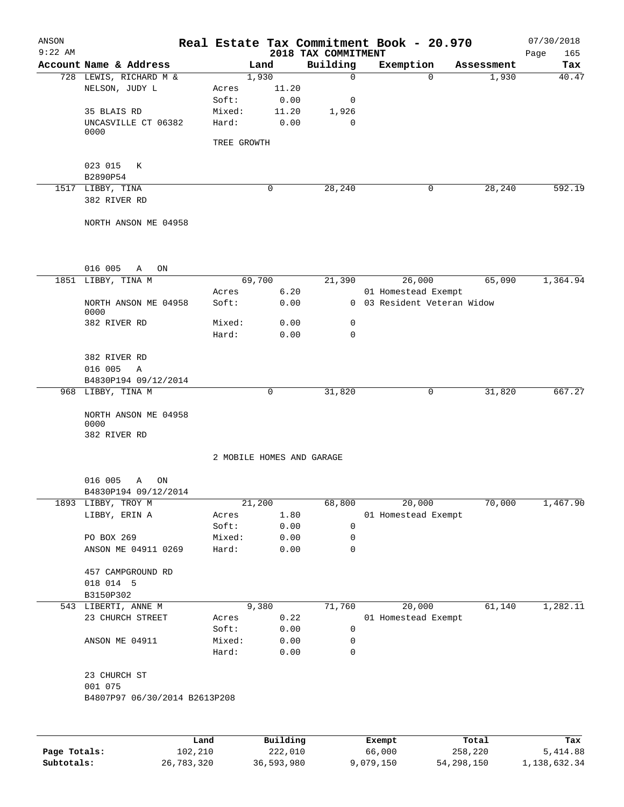| ANSON<br>$9:22$ AM |                                              |             |                     | 2018 TAX COMMITMENT       | Real Estate Tax Commitment Book - 20.970 |                  | 07/30/2018<br>165<br>Page |
|--------------------|----------------------------------------------|-------------|---------------------|---------------------------|------------------------------------------|------------------|---------------------------|
|                    | Account Name & Address                       |             | Land                | Building                  | Exemption                                | Assessment       | Tax                       |
|                    | 728 LEWIS, RICHARD M &                       |             | 1,930               | $\mathbf 0$               | $\Omega$                                 | 1,930            | 40.47                     |
|                    | NELSON, JUDY L                               | Acres       | 11.20               |                           |                                          |                  |                           |
|                    |                                              | Soft:       | 0.00                | 0                         |                                          |                  |                           |
|                    | 35 BLAIS RD                                  | Mixed:      | 11.20               | 1,926                     |                                          |                  |                           |
|                    | UNCASVILLE CT 06382<br>0000                  | Hard:       | 0.00                | 0                         |                                          |                  |                           |
|                    |                                              | TREE GROWTH |                     |                           |                                          |                  |                           |
|                    | 023 015<br>К                                 |             |                     |                           |                                          |                  |                           |
|                    | B2890P54                                     |             |                     |                           |                                          |                  |                           |
|                    | 1517 LIBBY, TINA                             |             | $\mathbf 0$         | 28,240                    | 0                                        | 28,240           | 592.19                    |
|                    | 382 RIVER RD                                 |             |                     |                           |                                          |                  |                           |
|                    | NORTH ANSON ME 04958                         |             |                     |                           |                                          |                  |                           |
|                    |                                              |             |                     |                           |                                          |                  |                           |
|                    | 016 005<br>Α<br>ON                           |             | 69,700              |                           | 26,000                                   | 65,090           | 1,364.94                  |
|                    | 1851 LIBBY, TINA M                           | Acres       | 6.20                | 21,390                    | 01 Homestead Exempt                      |                  |                           |
|                    |                                              |             |                     |                           | 0 03 Resident Veteran Widow              |                  |                           |
|                    | NORTH ANSON ME 04958<br>0000                 | Soft:       | 0.00                |                           |                                          |                  |                           |
|                    | 382 RIVER RD                                 | Mixed:      | 0.00                | 0                         |                                          |                  |                           |
|                    |                                              | Hard:       | 0.00                | $\mathbf 0$               |                                          |                  |                           |
|                    | 382 RIVER RD                                 |             |                     |                           |                                          |                  |                           |
|                    | 016 005<br>Α                                 |             |                     |                           |                                          |                  |                           |
|                    | B4830P194 09/12/2014                         |             |                     |                           |                                          |                  |                           |
|                    | 968 LIBBY, TINA M                            |             | $\mathbf 0$         | 31,820                    | 0                                        | 31,820           | 667.27                    |
|                    | NORTH ANSON ME 04958<br>0000<br>382 RIVER RD |             |                     |                           |                                          |                  |                           |
|                    |                                              |             |                     | 2 MOBILE HOMES AND GARAGE |                                          |                  |                           |
|                    |                                              |             |                     |                           |                                          |                  |                           |
|                    | 016 005<br>A<br>ON                           |             |                     |                           |                                          |                  |                           |
| 1893               | B4830P194 09/12/2014<br>LIBBY, TROY M        |             | 21,200              | 68,800                    | 20,000                                   | 70,000           | 1,467.90                  |
|                    | LIBBY, ERIN A                                | Acres       | 1.80                |                           | 01 Homestead Exempt                      |                  |                           |
|                    |                                              | Soft:       | 0.00                | 0                         |                                          |                  |                           |
|                    | PO BOX 269                                   | Mixed:      | 0.00                | 0                         |                                          |                  |                           |
|                    | ANSON ME 04911 0269                          | Hard:       | 0.00                | 0                         |                                          |                  |                           |
|                    | 457 CAMPGROUND RD                            |             |                     |                           |                                          |                  |                           |
|                    | 018 014 5                                    |             |                     |                           |                                          |                  |                           |
|                    | B3150P302                                    |             |                     |                           |                                          |                  |                           |
|                    | 543 LIBERTI, ANNE M                          |             | 9,380               | 71,760                    | 20,000                                   | 61,140           | 1,282.11                  |
|                    | 23 CHURCH STREET                             | Acres       | 0.22                |                           | 01 Homestead Exempt                      |                  |                           |
|                    |                                              | Soft:       | 0.00                | 0                         |                                          |                  |                           |
|                    | ANSON ME 04911                               | Mixed:      | 0.00                | 0                         |                                          |                  |                           |
|                    |                                              | Hard:       | 0.00                | 0                         |                                          |                  |                           |
|                    | 23 CHURCH ST                                 |             |                     |                           |                                          |                  |                           |
|                    | 001 075<br>B4807P97 06/30/2014 B2613P208     |             |                     |                           |                                          |                  |                           |
|                    |                                              |             |                     |                           |                                          |                  |                           |
|                    |                                              |             |                     |                           |                                          |                  |                           |
|                    | 102,210                                      | Land        | Building<br>222,010 |                           | Exempt<br>66,000                         | Total<br>258,220 | Tax<br>5,414.88           |
| Page Totals:       |                                              |             |                     |                           |                                          |                  |                           |

**Subtotals:** 26,783,320 36,593,980 9,079,150 54,298,150 1,138,632.34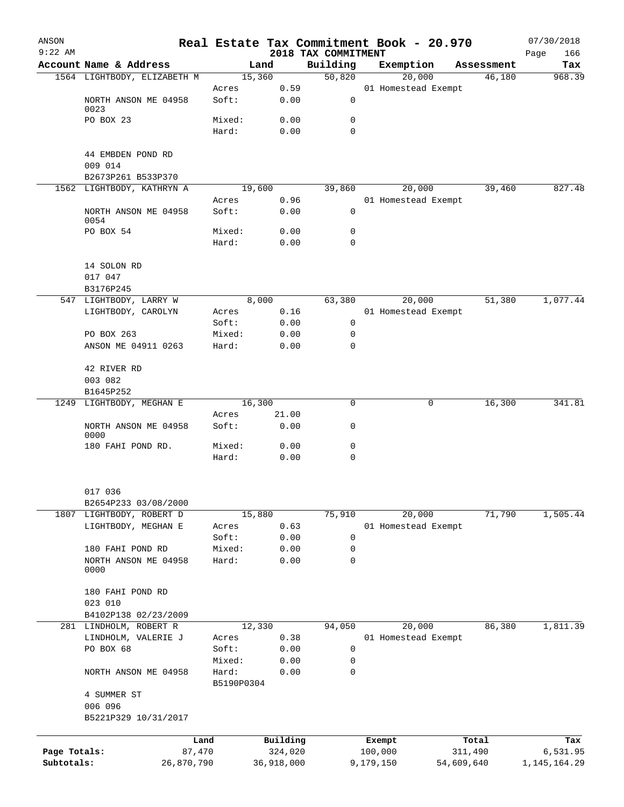| ANSON        |                               |                     |            |                     | Real Estate Tax Commitment Book - 20.970 |            |                      | 07/30/2018     |
|--------------|-------------------------------|---------------------|------------|---------------------|------------------------------------------|------------|----------------------|----------------|
| $9:22$ AM    | Account Name & Address        |                     |            | 2018 TAX COMMITMENT |                                          |            |                      | 166<br>Page    |
|              | 1564 LIGHTBODY, ELIZABETH M   | Land<br>15,360      |            | Building<br>50,820  | Exemption<br>20,000                      |            | Assessment<br>46,180 | Tax<br>968.39  |
|              |                               | Acres               | 0.59       |                     | 01 Homestead Exempt                      |            |                      |                |
|              | NORTH ANSON ME 04958<br>0023  | Soft:               | 0.00       | 0                   |                                          |            |                      |                |
|              | PO BOX 23                     | Mixed:              | 0.00       | 0                   |                                          |            |                      |                |
|              |                               | Hard:               | 0.00       | $\Omega$            |                                          |            |                      |                |
|              | 44 EMBDEN POND RD             |                     |            |                     |                                          |            |                      |                |
|              | 009 014<br>B2673P261 B533P370 |                     |            |                     |                                          |            |                      |                |
|              | 1562 LIGHTBODY, KATHRYN A     | 19,600              |            | 39,860              | 20,000                                   |            | 39,460               | 827.48         |
|              |                               | Acres               | 0.96       |                     | 01 Homestead Exempt                      |            |                      |                |
|              | NORTH ANSON ME 04958<br>0054  | Soft:               | 0.00       | $\mathbf 0$         |                                          |            |                      |                |
|              | PO BOX 54                     | Mixed:              | 0.00       | 0                   |                                          |            |                      |                |
|              |                               | Hard:               | 0.00       | $\Omega$            |                                          |            |                      |                |
|              | 14 SOLON RD                   |                     |            |                     |                                          |            |                      |                |
|              | 017 047                       |                     |            |                     |                                          |            |                      |                |
|              | B3176P245                     |                     |            |                     |                                          |            |                      |                |
|              | 547 LIGHTBODY, LARRY W        | 8,000               |            | 63,380              | 20,000                                   |            | 51,380               | 1,077.44       |
|              | LIGHTBODY, CAROLYN            | Acres               | 0.16       |                     | 01 Homestead Exempt                      |            |                      |                |
|              |                               | Soft:               | 0.00       | 0                   |                                          |            |                      |                |
|              | PO BOX 263                    | Mixed:              | 0.00       | 0                   |                                          |            |                      |                |
|              | ANSON ME 04911 0263           | Hard:               | 0.00       | $\Omega$            |                                          |            |                      |                |
|              | 42 RIVER RD                   |                     |            |                     |                                          |            |                      |                |
|              | 003 082                       |                     |            |                     |                                          |            |                      |                |
|              | B1645P252                     |                     |            |                     |                                          |            |                      |                |
|              | 1249 LIGHTBODY, MEGHAN E      | 16,300              |            | 0                   |                                          | 0          | 16,300               | 341.81         |
|              |                               | Acres               | 21.00      |                     |                                          |            |                      |                |
|              | NORTH ANSON ME 04958<br>0000  | Soft:               | 0.00       | 0                   |                                          |            |                      |                |
|              | 180 FAHI POND RD.             | Mixed:              | 0.00       | 0                   |                                          |            |                      |                |
|              |                               | Hard:               | 0.00       | $\mathbf 0$         |                                          |            |                      |                |
|              | 017 036                       |                     |            |                     |                                          |            |                      |                |
|              | B2654P233 03/08/2000          |                     |            |                     |                                          |            |                      |                |
|              | 1807 LIGHTBODY, ROBERT D      | 15,880              |            | 75,910              | 20,000                                   |            | 71,790               | 1,505.44       |
|              | LIGHTBODY, MEGHAN E           | Acres               | 0.63       |                     | 01 Homestead Exempt                      |            |                      |                |
|              |                               | Soft:               | 0.00       | $\mathsf 0$         |                                          |            |                      |                |
|              | 180 FAHI POND RD              | Mixed:              | 0.00       | 0                   |                                          |            |                      |                |
|              | NORTH ANSON ME 04958<br>0000  | Hard:               | 0.00       | 0                   |                                          |            |                      |                |
|              | 180 FAHI POND RD              |                     |            |                     |                                          |            |                      |                |
|              | 023 010                       |                     |            |                     |                                          |            |                      |                |
|              | B4102P138 02/23/2009          |                     |            |                     |                                          |            |                      |                |
|              | 281 LINDHOLM, ROBERT R        | 12,330              |            | 94,050              | 20,000                                   |            | 86,380               | 1,811.39       |
|              | LINDHOLM, VALERIE J           | Acres               | 0.38       |                     | 01 Homestead Exempt                      |            |                      |                |
|              | PO BOX 68                     | Soft:               | 0.00       | 0                   |                                          |            |                      |                |
|              |                               | Mixed:              | 0.00       | 0                   |                                          |            |                      |                |
|              | NORTH ANSON ME 04958          | Hard:<br>B5190P0304 | 0.00       | 0                   |                                          |            |                      |                |
|              | 4 SUMMER ST<br>006 096        |                     |            |                     |                                          |            |                      |                |
|              | B5221P329 10/31/2017          |                     |            |                     |                                          |            |                      |                |
|              | Land                          |                     | Building   |                     | Exempt                                   |            | Total                | Tax            |
| Page Totals: | 87,470                        |                     | 324,020    |                     | 100,000                                  | 311,490    |                      | 6,531.95       |
| Subtotals:   | 26,870,790                    |                     | 36,918,000 |                     | 9,179,150                                | 54,609,640 |                      | 1, 145, 164.29 |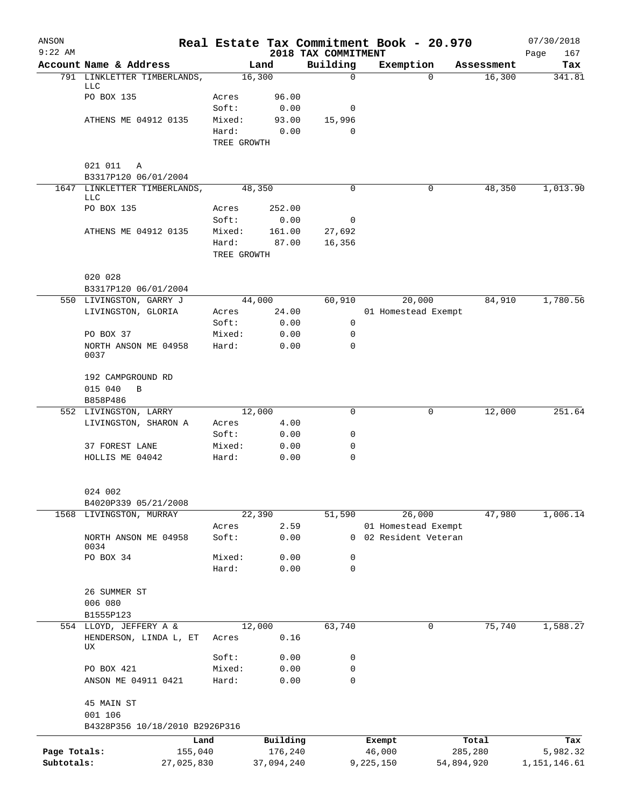| ANSON<br>$9:22$ AM |                                           |                      |            | 2018 TAX COMMITMENT | Real Estate Tax Commitment Book - 20.970 |            | 07/30/2018<br>Page<br>167 |
|--------------------|-------------------------------------------|----------------------|------------|---------------------|------------------------------------------|------------|---------------------------|
|                    | Account Name & Address                    |                      | Land       | Building            | Exemption                                | Assessment | Tax                       |
|                    | 791 LINKLETTER TIMBERLANDS,<br><b>LLC</b> |                      | 16,300     | $\mathbf 0$         | $\Omega$                                 | 16,300     | 341.81                    |
|                    | PO BOX 135                                | Acres                | 96.00      |                     |                                          |            |                           |
|                    |                                           | Soft:                | 0.00       | 0                   |                                          |            |                           |
|                    | ATHENS ME 04912 0135                      | Mixed:               | 93.00      | 15,996              |                                          |            |                           |
|                    |                                           | Hard:<br>TREE GROWTH | 0.00       | 0                   |                                          |            |                           |
|                    |                                           |                      |            |                     |                                          |            |                           |
|                    | 021 011<br>A<br>B3317P120 06/01/2004      |                      |            |                     |                                          |            |                           |
|                    | 1647 LINKLETTER TIMBERLANDS,              |                      | 48,350     | 0                   | 0                                        | 48,350     | 1,013.90                  |
|                    | LLC<br>PO BOX 135                         | Acres                | 252.00     |                     |                                          |            |                           |
|                    |                                           | Soft:                | 0.00       | 0                   |                                          |            |                           |
|                    | ATHENS ME 04912 0135                      | Mixed:               | 161.00     | 27,692              |                                          |            |                           |
|                    |                                           | Hard:                | 87.00      | 16,356              |                                          |            |                           |
|                    |                                           | TREE GROWTH          |            |                     |                                          |            |                           |
|                    | 020 028                                   |                      |            |                     |                                          |            |                           |
|                    | B3317P120 06/01/2004                      |                      |            |                     |                                          |            |                           |
|                    | 550 LIVINGSTON, GARRY J                   |                      | 44,000     | 60,910              | 20,000                                   | 84,910     | 1,780.56                  |
|                    | LIVINGSTON, GLORIA                        | Acres                | 24.00      |                     | 01 Homestead Exempt                      |            |                           |
|                    |                                           | Soft:                | 0.00       | 0                   |                                          |            |                           |
|                    | PO BOX 37                                 | Mixed:               | 0.00       | 0                   |                                          |            |                           |
|                    | NORTH ANSON ME 04958<br>0037              | Hard:                | 0.00       | 0                   |                                          |            |                           |
|                    | 192 CAMPGROUND RD                         |                      |            |                     |                                          |            |                           |
|                    | 015 040<br>B                              |                      |            |                     |                                          |            |                           |
|                    | B858P486                                  |                      |            |                     |                                          |            |                           |
|                    | 552 LIVINGSTON, LARRY                     |                      | 12,000     | 0                   | 0                                        | 12,000     | 251.64                    |
|                    | LIVINGSTON, SHARON A                      | Acres                | 4.00       |                     |                                          |            |                           |
|                    |                                           | Soft:                | 0.00       | 0                   |                                          |            |                           |
|                    | 37 FOREST LANE                            | Mixed:               | 0.00       | 0                   |                                          |            |                           |
|                    | HOLLIS ME 04042                           | Hard:                | 0.00       | $\mathbf 0$         |                                          |            |                           |
|                    | 024 002                                   |                      |            |                     |                                          |            |                           |
|                    | B4020P339 05/21/2008                      |                      |            |                     |                                          |            |                           |
|                    | 1568 LIVINGSTON, MURRAY                   |                      | 22,390     | 51,590              | 26,000                                   | 47,980     | 1,006.14                  |
|                    |                                           | Acres                | 2.59       |                     | 01 Homestead Exempt                      |            |                           |
|                    | NORTH ANSON ME 04958<br>0034              | Soft:                | 0.00       |                     | 0 02 Resident Veteran                    |            |                           |
|                    | PO BOX 34                                 | Mixed:               | 0.00       | 0                   |                                          |            |                           |
|                    |                                           | Hard:                | 0.00       | 0                   |                                          |            |                           |
|                    | 26 SUMMER ST                              |                      |            |                     |                                          |            |                           |
|                    | 006 080                                   |                      |            |                     |                                          |            |                           |
|                    | B1555P123                                 |                      |            |                     |                                          |            |                           |
|                    | 554 LLOYD, JEFFERY A &                    |                      | 12,000     | 63,740              | 0                                        | 75,740     | 1,588.27                  |
|                    | HENDERSON, LINDA L, ET<br>UX              | Acres                | 0.16       |                     |                                          |            |                           |
|                    |                                           | Soft:                | 0.00       | 0                   |                                          |            |                           |
|                    | PO BOX 421                                | Mixed:               | 0.00       | 0                   |                                          |            |                           |
|                    | ANSON ME 04911 0421                       | Hard:                | 0.00       | 0                   |                                          |            |                           |
|                    | 45 MAIN ST<br>001 106                     |                      |            |                     |                                          |            |                           |
|                    | B4328P356 10/18/2010 B2926P316            |                      |            |                     |                                          |            |                           |
|                    |                                           | Land                 | Building   |                     | Exempt                                   | Total      | Tax                       |
| Page Totals:       | 155,040                                   |                      | 176,240    |                     | 46,000                                   | 285,280    | 5,982.32                  |
| Subtotals:         | 27,025,830                                |                      | 37,094,240 |                     | 9,225,150                                | 54,894,920 | 1, 151, 146.61            |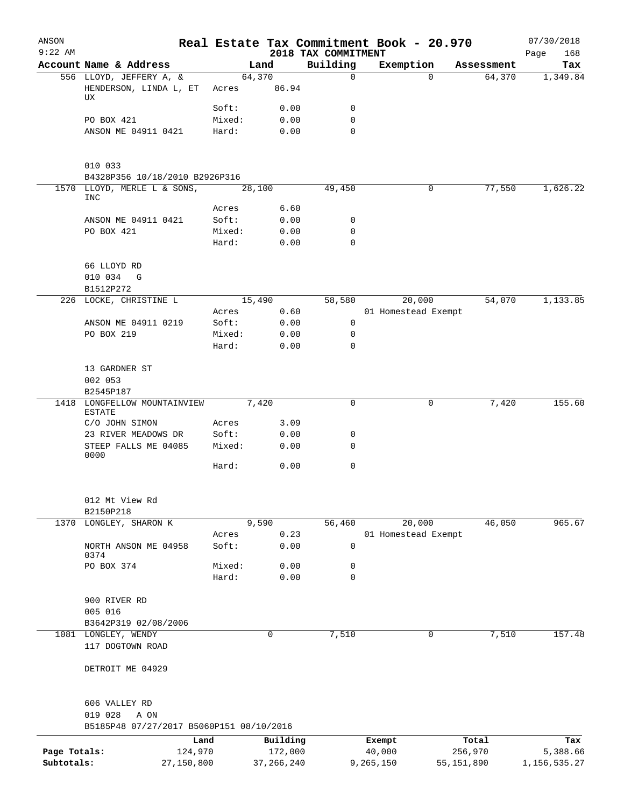| ANSON<br>$9:22$ AM         |                                               |                       |                         | 2018 TAX COMMITMENT | Real Estate Tax Commitment Book - 20.970 |                         | 07/30/2018<br>Page<br>168   |
|----------------------------|-----------------------------------------------|-----------------------|-------------------------|---------------------|------------------------------------------|-------------------------|-----------------------------|
|                            | Account Name & Address                        |                       | Land                    | Building            | Exemption                                | Assessment              | Tax                         |
|                            | 556 LLOYD, JEFFERY A, &                       |                       | 64,370                  | $\Omega$            | $\Omega$                                 | 64,370                  | 1,349.84                    |
|                            | HENDERSON, LINDA L, ET<br>UX                  | Acres                 | 86.94                   |                     |                                          |                         |                             |
|                            |                                               | Soft:                 | 0.00                    | 0                   |                                          |                         |                             |
|                            | PO BOX 421                                    | Mixed:                | 0.00                    | $\mathbf 0$         |                                          |                         |                             |
|                            | ANSON ME 04911 0421                           | Hard:                 | 0.00                    | $\Omega$            |                                          |                         |                             |
|                            | 010 033<br>B4328P356 10/18/2010 B2926P316     |                       |                         |                     |                                          |                         |                             |
|                            | 1570 LLOYD, MERLE L & SONS,<br>INC            |                       | 28,100                  | 49,450              | 0                                        | 77,550                  | 1,626.22                    |
|                            |                                               | Acres                 | 6.60                    |                     |                                          |                         |                             |
|                            | ANSON ME 04911 0421                           | Soft:                 | 0.00                    | 0                   |                                          |                         |                             |
|                            | PO BOX 421                                    | Mixed:                | 0.00                    | 0                   |                                          |                         |                             |
|                            |                                               | Hard:                 | 0.00                    | $\mathbf 0$         |                                          |                         |                             |
|                            | 66 LLOYD RD<br>010 034 G                      |                       |                         |                     |                                          |                         |                             |
|                            | B1512P272                                     |                       |                         |                     |                                          |                         |                             |
|                            | 226 LOCKE, CHRISTINE L                        |                       | 15,490                  | 58,580              | 20,000                                   | 54,070                  | 1,133.85                    |
|                            |                                               | Acres                 | 0.60                    |                     | 01 Homestead Exempt                      |                         |                             |
|                            | ANSON ME 04911 0219                           | Soft:                 | 0.00                    | 0                   |                                          |                         |                             |
|                            | PO BOX 219                                    | Mixed:                | 0.00                    | $\mathbf 0$         |                                          |                         |                             |
|                            |                                               | Hard:                 | 0.00                    | $\Omega$            |                                          |                         |                             |
|                            | 13 GARDNER ST                                 |                       |                         |                     |                                          |                         |                             |
|                            | 002 053<br>B2545P187                          |                       |                         |                     |                                          |                         |                             |
|                            | 1418 LONGFELLOW MOUNTAINVIEW<br><b>ESTATE</b> |                       | 7,420                   | 0                   | 0                                        | 7,420                   | 155.60                      |
|                            | C/O JOHN SIMON                                | Acres                 | 3.09                    |                     |                                          |                         |                             |
|                            | 23 RIVER MEADOWS DR                           | Soft:                 | 0.00                    | 0                   |                                          |                         |                             |
|                            | STEEP FALLS ME 04085<br>0000                  | Mixed:                | 0.00                    | 0                   |                                          |                         |                             |
|                            |                                               | Hard:                 | 0.00                    | 0                   |                                          |                         |                             |
|                            | 012 Mt View Rd<br>B2150P218                   |                       |                         |                     |                                          |                         |                             |
| 1370                       | LONGLEY, SHARON K                             |                       | 9,590                   | 56,460              | 20,000                                   | 46,050                  | 965.67                      |
|                            |                                               | Acres                 | 0.23                    |                     | 01 Homestead Exempt                      |                         |                             |
|                            | NORTH ANSON ME 04958<br>0374                  | Soft:                 | 0.00                    | $\mathsf{O}$        |                                          |                         |                             |
|                            | PO BOX 374                                    | Mixed:<br>Hard:       | 0.00<br>0.00            | 0<br>$\mathbf 0$    |                                          |                         |                             |
|                            |                                               |                       |                         |                     |                                          |                         |                             |
|                            | 900 RIVER RD                                  |                       |                         |                     |                                          |                         |                             |
|                            | 005 016                                       |                       |                         |                     |                                          |                         |                             |
|                            | B3642P319 02/08/2006                          |                       | 0                       |                     | 0                                        |                         | 157.48                      |
|                            | 1081 LONGLEY, WENDY<br>117 DOGTOWN ROAD       |                       |                         | 7,510               |                                          | 7,510                   |                             |
|                            | DETROIT ME 04929                              |                       |                         |                     |                                          |                         |                             |
|                            | 606 VALLEY RD<br>019 028<br>A ON              |                       |                         |                     |                                          |                         |                             |
|                            | B5185P48 07/27/2017 B5060P151 08/10/2016      |                       |                         |                     |                                          |                         |                             |
|                            |                                               | Land                  | Building                |                     | Exempt                                   | Total                   | Tax                         |
| Page Totals:<br>Subtotals: |                                               | 124,970<br>27,150,800 | 172,000<br>37, 266, 240 |                     | 40,000<br>9,265,150                      | 256,970<br>55, 151, 890 | 5,388.66<br>1, 156, 535. 27 |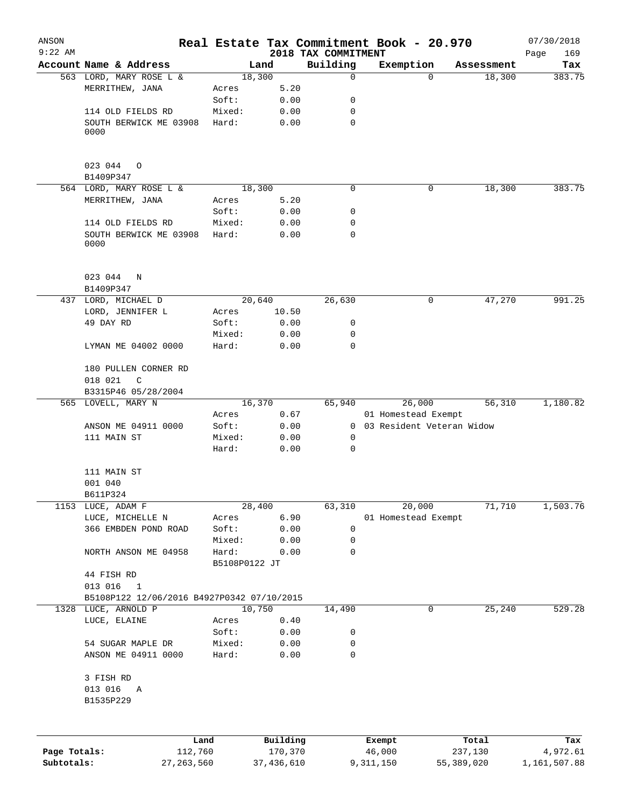| ANSON        |                                            |                        |          |                                 | Real Estate Tax Commitment Book - 20.970 |                      | 07/30/2018    |
|--------------|--------------------------------------------|------------------------|----------|---------------------------------|------------------------------------------|----------------------|---------------|
| $9:22$ AM    | Account Name & Address                     |                        |          | 2018 TAX COMMITMENT<br>Building |                                          |                      | 169<br>Page   |
|              | 563 LORD, MARY ROSE L &                    | Land<br>18,300         |          | $\mathbf 0$                     | Exemption<br>$\Omega$                    | Assessment<br>18,300 | Tax<br>383.75 |
|              | MERRITHEW, JANA                            | Acres                  | 5.20     |                                 |                                          |                      |               |
|              |                                            | Soft:                  | 0.00     | 0                               |                                          |                      |               |
|              | 114 OLD FIELDS RD                          | Mixed:                 | 0.00     | 0                               |                                          |                      |               |
|              | SOUTH BERWICK ME 03908<br>0000             | Hard:                  | 0.00     | 0                               |                                          |                      |               |
|              | 023 044 0<br>B1409P347                     |                        |          |                                 |                                          |                      |               |
|              | 564 LORD, MARY ROSE L &                    | 18,300                 |          | 0                               | 0                                        | 18,300               | 383.75        |
|              | MERRITHEW, JANA                            | Acres                  | 5.20     |                                 |                                          |                      |               |
|              |                                            | Soft:                  | 0.00     | 0                               |                                          |                      |               |
|              | 114 OLD FIELDS RD                          | Mixed:                 | 0.00     | 0                               |                                          |                      |               |
|              | SOUTH BERWICK ME 03908<br>0000             | Hard:                  | 0.00     | 0                               |                                          |                      |               |
|              | 023 044<br>N<br>B1409P347                  |                        |          |                                 |                                          |                      |               |
|              | 437 LORD, MICHAEL D                        | 20,640                 |          | 26,630                          | 0                                        | 47,270               | 991.25        |
|              | LORD, JENNIFER L                           | Acres                  | 10.50    |                                 |                                          |                      |               |
|              | 49 DAY RD                                  | Soft:                  | 0.00     | 0                               |                                          |                      |               |
|              |                                            | Mixed:                 | 0.00     | 0                               |                                          |                      |               |
|              | LYMAN ME 04002 0000                        | Hard:                  | 0.00     | $\mathbf 0$                     |                                          |                      |               |
|              | 180 PULLEN CORNER RD<br>018 021<br>C       |                        |          |                                 |                                          |                      |               |
|              | B3315P46 05/28/2004                        |                        |          |                                 |                                          |                      |               |
|              | 565 LOVELL, MARY N                         | 16,370                 |          | 65,940                          | 26,000                                   | 56,310               | 1,180.82      |
|              |                                            | Acres                  | 0.67     |                                 | 01 Homestead Exempt                      |                      |               |
|              | ANSON ME 04911 0000                        | Soft:                  | 0.00     |                                 | 0 03 Resident Veteran Widow              |                      |               |
|              | 111 MAIN ST                                | Mixed:                 | 0.00     | 0                               |                                          |                      |               |
|              |                                            | Hard:                  | 0.00     | 0                               |                                          |                      |               |
|              | 111 MAIN ST                                |                        |          |                                 |                                          |                      |               |
|              | 001 040                                    |                        |          |                                 |                                          |                      |               |
|              | B611P324                                   |                        |          |                                 |                                          |                      |               |
| 1153         | LUCE, ADAM F                               | 28,400                 |          | 63,310                          | 20,000                                   | 71,710               | 1,503.76      |
|              | LUCE, MICHELLE N                           | Acres                  | 6.90     |                                 | 01 Homestead Exempt                      |                      |               |
|              | 366 EMBDEN POND ROAD                       | Soft:                  | 0.00     | 0                               |                                          |                      |               |
|              |                                            | Mixed:                 | 0.00     | 0                               |                                          |                      |               |
|              | NORTH ANSON ME 04958                       | Hard:<br>B5108P0122 JT | 0.00     | 0                               |                                          |                      |               |
|              | 44 FISH RD<br>013 016<br>$\mathbf{1}$      |                        |          |                                 |                                          |                      |               |
|              | B5108P122 12/06/2016 B4927P0342 07/10/2015 |                        |          |                                 |                                          |                      |               |
|              | 1328 LUCE, ARNOLD P                        | 10,750                 |          | 14,490                          | 0                                        | 25,240               | 529.28        |
|              | LUCE, ELAINE                               | Acres                  | 0.40     |                                 |                                          |                      |               |
|              |                                            | Soft:                  | 0.00     | 0                               |                                          |                      |               |
|              | 54 SUGAR MAPLE DR                          | Mixed:                 | 0.00     | 0                               |                                          |                      |               |
|              | ANSON ME 04911 0000                        | Hard:                  | 0.00     | 0                               |                                          |                      |               |
|              | 3 FISH RD                                  |                        |          |                                 |                                          |                      |               |
|              | 013 016<br>A<br>B1535P229                  |                        |          |                                 |                                          |                      |               |
|              |                                            |                        |          |                                 |                                          |                      |               |
|              | Land                                       |                        | Building |                                 | Exempt                                   | Total                | Tax           |
| Page Totals: | 112,760                                    |                        | 170,370  |                                 | 46,000                                   | 237,130              | 4,972.61      |

**Subtotals:** 27,263,560 37,436,610 9,311,150 55,389,020 1,161,507.88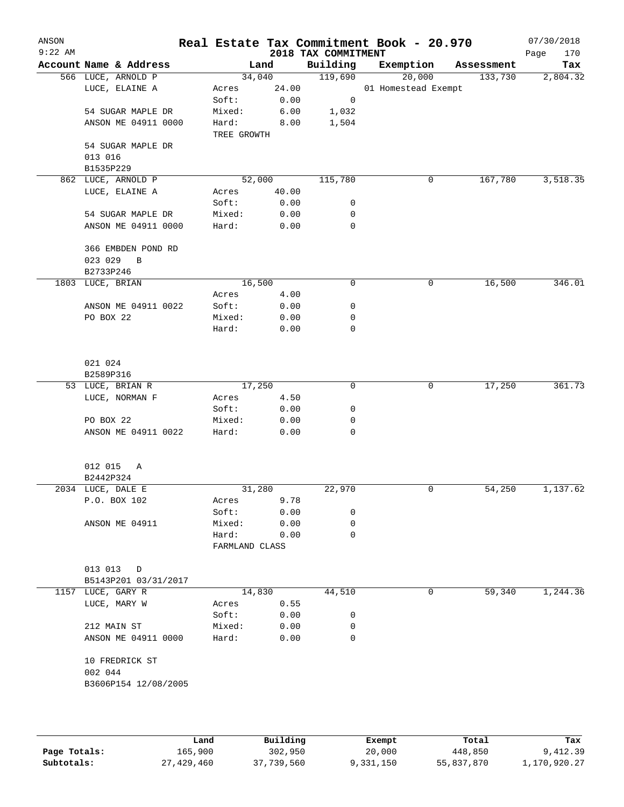| $9:22$ AM<br>2018 TAX COMMITMENT<br>Page<br>Account Name & Address<br>Building<br>Exemption<br>Land<br>Assessment<br>119,690<br>566 LUCE, ARNOLD P<br>34,040<br>20,000<br>133,730<br>24.00<br>01 Homestead Exempt<br>LUCE, ELAINE A<br>Acres<br>Soft:<br>0.00<br>$\mathsf{O}$<br>54 SUGAR MAPLE DR<br>Mixed:<br>6.00<br>1,032<br>ANSON ME 04911 0000<br>Hard:<br>8.00<br>1,504<br>TREE GROWTH<br>54 SUGAR MAPLE DR<br>013 016<br>B1535P229<br>862 LUCE, ARNOLD P<br>52,000<br>115,780<br>167,780<br>0<br>LUCE, ELAINE A<br>40.00<br>Acres<br>Soft:<br>0.00<br>0<br>54 SUGAR MAPLE DR<br>Mixed:<br>0.00<br>0<br>$\mathbf 0$<br>ANSON ME 04911 0000<br>Hard:<br>0.00<br>366 EMBDEN POND RD<br>023 029<br>B<br>B2733P246<br>16,500<br>$\mathsf{O}$<br>16,500<br>1803 LUCE, BRIAN<br>0<br>Acres<br>4.00<br>0<br>ANSON ME 04911 0022<br>Soft:<br>0.00<br>PO BOX 22<br>Mixed:<br>0<br>0.00<br>$\mathbf 0$<br>Hard:<br>0.00<br>021 024<br>B2589P316<br>$\mathbf 0$<br>53 LUCE, BRIAN R<br>17,250<br>0<br>17,250<br>LUCE, NORMAN F<br>4.50<br>Acres<br>0.00<br>0<br>Soft:<br>PO BOX 22<br>Mixed:<br>0.00<br>0<br>ANSON ME 04911 0022<br>Hard:<br>0.00<br>0<br>012 015<br>A<br>B2442P324<br>1,137.62<br>31,280<br>22,970<br>54,250<br>2034 LUCE, DALE E<br>0<br>P.O. BOX 102<br>9.78<br>Acres<br>Soft:<br>0.00<br>0<br>ANSON ME 04911<br>0.00<br>0<br>Mixed:<br>Hard:<br>$\mathbf 0$<br>0.00<br>FARMLAND CLASS<br>013 013<br>$\Box$<br>B5143P201 03/31/2017<br>1157 LUCE, GARY R<br>14,830<br>44,510<br>0<br>59,340<br>LUCE, MARY W<br>0.55<br>Acres<br>Soft:<br>0.00<br>0<br>212 MAIN ST<br>Mixed:<br>0.00<br>0<br>ANSON ME 04911 0000<br>0.00<br>0<br>Hard:<br>10 FREDRICK ST<br>002 044<br>B3606P154 12/08/2005 |  |  |  | 170      |
|-----------------------------------------------------------------------------------------------------------------------------------------------------------------------------------------------------------------------------------------------------------------------------------------------------------------------------------------------------------------------------------------------------------------------------------------------------------------------------------------------------------------------------------------------------------------------------------------------------------------------------------------------------------------------------------------------------------------------------------------------------------------------------------------------------------------------------------------------------------------------------------------------------------------------------------------------------------------------------------------------------------------------------------------------------------------------------------------------------------------------------------------------------------------------------------------------------------------------------------------------------------------------------------------------------------------------------------------------------------------------------------------------------------------------------------------------------------------------------------------------------------------------------------------------------------------------------------------------------------------------------------------------------------------------------------------------------------|--|--|--|----------|
|                                                                                                                                                                                                                                                                                                                                                                                                                                                                                                                                                                                                                                                                                                                                                                                                                                                                                                                                                                                                                                                                                                                                                                                                                                                                                                                                                                                                                                                                                                                                                                                                                                                                                                           |  |  |  | Tax      |
|                                                                                                                                                                                                                                                                                                                                                                                                                                                                                                                                                                                                                                                                                                                                                                                                                                                                                                                                                                                                                                                                                                                                                                                                                                                                                                                                                                                                                                                                                                                                                                                                                                                                                                           |  |  |  | 2,804.32 |
|                                                                                                                                                                                                                                                                                                                                                                                                                                                                                                                                                                                                                                                                                                                                                                                                                                                                                                                                                                                                                                                                                                                                                                                                                                                                                                                                                                                                                                                                                                                                                                                                                                                                                                           |  |  |  |          |
|                                                                                                                                                                                                                                                                                                                                                                                                                                                                                                                                                                                                                                                                                                                                                                                                                                                                                                                                                                                                                                                                                                                                                                                                                                                                                                                                                                                                                                                                                                                                                                                                                                                                                                           |  |  |  |          |
|                                                                                                                                                                                                                                                                                                                                                                                                                                                                                                                                                                                                                                                                                                                                                                                                                                                                                                                                                                                                                                                                                                                                                                                                                                                                                                                                                                                                                                                                                                                                                                                                                                                                                                           |  |  |  |          |
|                                                                                                                                                                                                                                                                                                                                                                                                                                                                                                                                                                                                                                                                                                                                                                                                                                                                                                                                                                                                                                                                                                                                                                                                                                                                                                                                                                                                                                                                                                                                                                                                                                                                                                           |  |  |  |          |
|                                                                                                                                                                                                                                                                                                                                                                                                                                                                                                                                                                                                                                                                                                                                                                                                                                                                                                                                                                                                                                                                                                                                                                                                                                                                                                                                                                                                                                                                                                                                                                                                                                                                                                           |  |  |  |          |
|                                                                                                                                                                                                                                                                                                                                                                                                                                                                                                                                                                                                                                                                                                                                                                                                                                                                                                                                                                                                                                                                                                                                                                                                                                                                                                                                                                                                                                                                                                                                                                                                                                                                                                           |  |  |  |          |
|                                                                                                                                                                                                                                                                                                                                                                                                                                                                                                                                                                                                                                                                                                                                                                                                                                                                                                                                                                                                                                                                                                                                                                                                                                                                                                                                                                                                                                                                                                                                                                                                                                                                                                           |  |  |  |          |
|                                                                                                                                                                                                                                                                                                                                                                                                                                                                                                                                                                                                                                                                                                                                                                                                                                                                                                                                                                                                                                                                                                                                                                                                                                                                                                                                                                                                                                                                                                                                                                                                                                                                                                           |  |  |  |          |
|                                                                                                                                                                                                                                                                                                                                                                                                                                                                                                                                                                                                                                                                                                                                                                                                                                                                                                                                                                                                                                                                                                                                                                                                                                                                                                                                                                                                                                                                                                                                                                                                                                                                                                           |  |  |  | 3,518.35 |
|                                                                                                                                                                                                                                                                                                                                                                                                                                                                                                                                                                                                                                                                                                                                                                                                                                                                                                                                                                                                                                                                                                                                                                                                                                                                                                                                                                                                                                                                                                                                                                                                                                                                                                           |  |  |  |          |
|                                                                                                                                                                                                                                                                                                                                                                                                                                                                                                                                                                                                                                                                                                                                                                                                                                                                                                                                                                                                                                                                                                                                                                                                                                                                                                                                                                                                                                                                                                                                                                                                                                                                                                           |  |  |  |          |
|                                                                                                                                                                                                                                                                                                                                                                                                                                                                                                                                                                                                                                                                                                                                                                                                                                                                                                                                                                                                                                                                                                                                                                                                                                                                                                                                                                                                                                                                                                                                                                                                                                                                                                           |  |  |  |          |
|                                                                                                                                                                                                                                                                                                                                                                                                                                                                                                                                                                                                                                                                                                                                                                                                                                                                                                                                                                                                                                                                                                                                                                                                                                                                                                                                                                                                                                                                                                                                                                                                                                                                                                           |  |  |  |          |
|                                                                                                                                                                                                                                                                                                                                                                                                                                                                                                                                                                                                                                                                                                                                                                                                                                                                                                                                                                                                                                                                                                                                                                                                                                                                                                                                                                                                                                                                                                                                                                                                                                                                                                           |  |  |  |          |
|                                                                                                                                                                                                                                                                                                                                                                                                                                                                                                                                                                                                                                                                                                                                                                                                                                                                                                                                                                                                                                                                                                                                                                                                                                                                                                                                                                                                                                                                                                                                                                                                                                                                                                           |  |  |  |          |
|                                                                                                                                                                                                                                                                                                                                                                                                                                                                                                                                                                                                                                                                                                                                                                                                                                                                                                                                                                                                                                                                                                                                                                                                                                                                                                                                                                                                                                                                                                                                                                                                                                                                                                           |  |  |  |          |
|                                                                                                                                                                                                                                                                                                                                                                                                                                                                                                                                                                                                                                                                                                                                                                                                                                                                                                                                                                                                                                                                                                                                                                                                                                                                                                                                                                                                                                                                                                                                                                                                                                                                                                           |  |  |  |          |
|                                                                                                                                                                                                                                                                                                                                                                                                                                                                                                                                                                                                                                                                                                                                                                                                                                                                                                                                                                                                                                                                                                                                                                                                                                                                                                                                                                                                                                                                                                                                                                                                                                                                                                           |  |  |  | 346.01   |
|                                                                                                                                                                                                                                                                                                                                                                                                                                                                                                                                                                                                                                                                                                                                                                                                                                                                                                                                                                                                                                                                                                                                                                                                                                                                                                                                                                                                                                                                                                                                                                                                                                                                                                           |  |  |  |          |
|                                                                                                                                                                                                                                                                                                                                                                                                                                                                                                                                                                                                                                                                                                                                                                                                                                                                                                                                                                                                                                                                                                                                                                                                                                                                                                                                                                                                                                                                                                                                                                                                                                                                                                           |  |  |  |          |
|                                                                                                                                                                                                                                                                                                                                                                                                                                                                                                                                                                                                                                                                                                                                                                                                                                                                                                                                                                                                                                                                                                                                                                                                                                                                                                                                                                                                                                                                                                                                                                                                                                                                                                           |  |  |  |          |
|                                                                                                                                                                                                                                                                                                                                                                                                                                                                                                                                                                                                                                                                                                                                                                                                                                                                                                                                                                                                                                                                                                                                                                                                                                                                                                                                                                                                                                                                                                                                                                                                                                                                                                           |  |  |  |          |
|                                                                                                                                                                                                                                                                                                                                                                                                                                                                                                                                                                                                                                                                                                                                                                                                                                                                                                                                                                                                                                                                                                                                                                                                                                                                                                                                                                                                                                                                                                                                                                                                                                                                                                           |  |  |  |          |
|                                                                                                                                                                                                                                                                                                                                                                                                                                                                                                                                                                                                                                                                                                                                                                                                                                                                                                                                                                                                                                                                                                                                                                                                                                                                                                                                                                                                                                                                                                                                                                                                                                                                                                           |  |  |  |          |
|                                                                                                                                                                                                                                                                                                                                                                                                                                                                                                                                                                                                                                                                                                                                                                                                                                                                                                                                                                                                                                                                                                                                                                                                                                                                                                                                                                                                                                                                                                                                                                                                                                                                                                           |  |  |  |          |
|                                                                                                                                                                                                                                                                                                                                                                                                                                                                                                                                                                                                                                                                                                                                                                                                                                                                                                                                                                                                                                                                                                                                                                                                                                                                                                                                                                                                                                                                                                                                                                                                                                                                                                           |  |  |  | 361.73   |
|                                                                                                                                                                                                                                                                                                                                                                                                                                                                                                                                                                                                                                                                                                                                                                                                                                                                                                                                                                                                                                                                                                                                                                                                                                                                                                                                                                                                                                                                                                                                                                                                                                                                                                           |  |  |  |          |
|                                                                                                                                                                                                                                                                                                                                                                                                                                                                                                                                                                                                                                                                                                                                                                                                                                                                                                                                                                                                                                                                                                                                                                                                                                                                                                                                                                                                                                                                                                                                                                                                                                                                                                           |  |  |  |          |
|                                                                                                                                                                                                                                                                                                                                                                                                                                                                                                                                                                                                                                                                                                                                                                                                                                                                                                                                                                                                                                                                                                                                                                                                                                                                                                                                                                                                                                                                                                                                                                                                                                                                                                           |  |  |  |          |
|                                                                                                                                                                                                                                                                                                                                                                                                                                                                                                                                                                                                                                                                                                                                                                                                                                                                                                                                                                                                                                                                                                                                                                                                                                                                                                                                                                                                                                                                                                                                                                                                                                                                                                           |  |  |  |          |
|                                                                                                                                                                                                                                                                                                                                                                                                                                                                                                                                                                                                                                                                                                                                                                                                                                                                                                                                                                                                                                                                                                                                                                                                                                                                                                                                                                                                                                                                                                                                                                                                                                                                                                           |  |  |  |          |
|                                                                                                                                                                                                                                                                                                                                                                                                                                                                                                                                                                                                                                                                                                                                                                                                                                                                                                                                                                                                                                                                                                                                                                                                                                                                                                                                                                                                                                                                                                                                                                                                                                                                                                           |  |  |  |          |
|                                                                                                                                                                                                                                                                                                                                                                                                                                                                                                                                                                                                                                                                                                                                                                                                                                                                                                                                                                                                                                                                                                                                                                                                                                                                                                                                                                                                                                                                                                                                                                                                                                                                                                           |  |  |  |          |
|                                                                                                                                                                                                                                                                                                                                                                                                                                                                                                                                                                                                                                                                                                                                                                                                                                                                                                                                                                                                                                                                                                                                                                                                                                                                                                                                                                                                                                                                                                                                                                                                                                                                                                           |  |  |  |          |
|                                                                                                                                                                                                                                                                                                                                                                                                                                                                                                                                                                                                                                                                                                                                                                                                                                                                                                                                                                                                                                                                                                                                                                                                                                                                                                                                                                                                                                                                                                                                                                                                                                                                                                           |  |  |  |          |
|                                                                                                                                                                                                                                                                                                                                                                                                                                                                                                                                                                                                                                                                                                                                                                                                                                                                                                                                                                                                                                                                                                                                                                                                                                                                                                                                                                                                                                                                                                                                                                                                                                                                                                           |  |  |  |          |
|                                                                                                                                                                                                                                                                                                                                                                                                                                                                                                                                                                                                                                                                                                                                                                                                                                                                                                                                                                                                                                                                                                                                                                                                                                                                                                                                                                                                                                                                                                                                                                                                                                                                                                           |  |  |  |          |
|                                                                                                                                                                                                                                                                                                                                                                                                                                                                                                                                                                                                                                                                                                                                                                                                                                                                                                                                                                                                                                                                                                                                                                                                                                                                                                                                                                                                                                                                                                                                                                                                                                                                                                           |  |  |  |          |
|                                                                                                                                                                                                                                                                                                                                                                                                                                                                                                                                                                                                                                                                                                                                                                                                                                                                                                                                                                                                                                                                                                                                                                                                                                                                                                                                                                                                                                                                                                                                                                                                                                                                                                           |  |  |  |          |
|                                                                                                                                                                                                                                                                                                                                                                                                                                                                                                                                                                                                                                                                                                                                                                                                                                                                                                                                                                                                                                                                                                                                                                                                                                                                                                                                                                                                                                                                                                                                                                                                                                                                                                           |  |  |  |          |
|                                                                                                                                                                                                                                                                                                                                                                                                                                                                                                                                                                                                                                                                                                                                                                                                                                                                                                                                                                                                                                                                                                                                                                                                                                                                                                                                                                                                                                                                                                                                                                                                                                                                                                           |  |  |  |          |
|                                                                                                                                                                                                                                                                                                                                                                                                                                                                                                                                                                                                                                                                                                                                                                                                                                                                                                                                                                                                                                                                                                                                                                                                                                                                                                                                                                                                                                                                                                                                                                                                                                                                                                           |  |  |  | 1,244.36 |
|                                                                                                                                                                                                                                                                                                                                                                                                                                                                                                                                                                                                                                                                                                                                                                                                                                                                                                                                                                                                                                                                                                                                                                                                                                                                                                                                                                                                                                                                                                                                                                                                                                                                                                           |  |  |  |          |
|                                                                                                                                                                                                                                                                                                                                                                                                                                                                                                                                                                                                                                                                                                                                                                                                                                                                                                                                                                                                                                                                                                                                                                                                                                                                                                                                                                                                                                                                                                                                                                                                                                                                                                           |  |  |  |          |
|                                                                                                                                                                                                                                                                                                                                                                                                                                                                                                                                                                                                                                                                                                                                                                                                                                                                                                                                                                                                                                                                                                                                                                                                                                                                                                                                                                                                                                                                                                                                                                                                                                                                                                           |  |  |  |          |
|                                                                                                                                                                                                                                                                                                                                                                                                                                                                                                                                                                                                                                                                                                                                                                                                                                                                                                                                                                                                                                                                                                                                                                                                                                                                                                                                                                                                                                                                                                                                                                                                                                                                                                           |  |  |  |          |
|                                                                                                                                                                                                                                                                                                                                                                                                                                                                                                                                                                                                                                                                                                                                                                                                                                                                                                                                                                                                                                                                                                                                                                                                                                                                                                                                                                                                                                                                                                                                                                                                                                                                                                           |  |  |  |          |
|                                                                                                                                                                                                                                                                                                                                                                                                                                                                                                                                                                                                                                                                                                                                                                                                                                                                                                                                                                                                                                                                                                                                                                                                                                                                                                                                                                                                                                                                                                                                                                                                                                                                                                           |  |  |  |          |
|                                                                                                                                                                                                                                                                                                                                                                                                                                                                                                                                                                                                                                                                                                                                                                                                                                                                                                                                                                                                                                                                                                                                                                                                                                                                                                                                                                                                                                                                                                                                                                                                                                                                                                           |  |  |  |          |
|                                                                                                                                                                                                                                                                                                                                                                                                                                                                                                                                                                                                                                                                                                                                                                                                                                                                                                                                                                                                                                                                                                                                                                                                                                                                                                                                                                                                                                                                                                                                                                                                                                                                                                           |  |  |  |          |
|                                                                                                                                                                                                                                                                                                                                                                                                                                                                                                                                                                                                                                                                                                                                                                                                                                                                                                                                                                                                                                                                                                                                                                                                                                                                                                                                                                                                                                                                                                                                                                                                                                                                                                           |  |  |  |          |

|              | Land       | Building   | Exempt    | Total      | Tax          |
|--------------|------------|------------|-----------|------------|--------------|
| Page Totals: | 165,900    | 302,950    | 20,000    | 448,850    | 9,412.39     |
| Subtotals:   | 27,429,460 | 37,739,560 | 9,331,150 | 55,837,870 | 1,170,920.27 |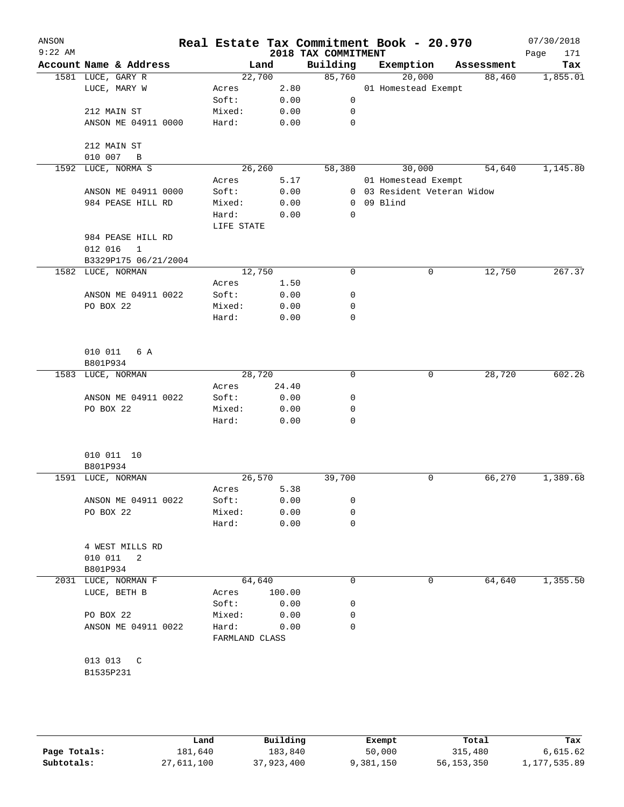| ANSON<br>$9:22$ AM |                                                   |                         |        | 2018 TAX COMMITMENT | Real Estate Tax Commitment Book - 20.970 |            | 07/30/2018<br>Page<br>171 |
|--------------------|---------------------------------------------------|-------------------------|--------|---------------------|------------------------------------------|------------|---------------------------|
|                    | Account Name & Address                            |                         | Land   | Building            | Exemption                                | Assessment | Tax                       |
|                    | 1581 LUCE, GARY R                                 | 22,700                  |        | 85,760              | 20,000                                   | 88,460     | 1,855.01                  |
|                    | LUCE, MARY W                                      | Acres                   | 2.80   |                     | 01 Homestead Exempt                      |            |                           |
|                    |                                                   | Soft:                   | 0.00   | $\mathsf{O}$        |                                          |            |                           |
|                    | 212 MAIN ST                                       | Mixed:                  | 0.00   | $\mathbf 0$         |                                          |            |                           |
|                    | ANSON ME 04911 0000                               | Hard:                   | 0.00   | 0                   |                                          |            |                           |
|                    |                                                   |                         |        |                     |                                          |            |                           |
|                    | 212 MAIN ST                                       |                         |        |                     |                                          |            |                           |
|                    | 010 007<br>B                                      |                         |        |                     |                                          |            |                           |
|                    | 1592 LUCE, NORMA S                                | 26,260                  |        | 58,380              | 30,000                                   | 54,640     | 1,145.80                  |
|                    |                                                   | Acres                   | 5.17   |                     | 01 Homestead Exempt                      |            |                           |
|                    | ANSON ME 04911 0000                               | Soft:                   | 0.00   |                     | 0 03 Resident Veteran Widow              |            |                           |
|                    | 984 PEASE HILL RD                                 | Mixed:                  | 0.00   | 0                   | 09 Blind                                 |            |                           |
|                    |                                                   | Hard:                   | 0.00   | 0                   |                                          |            |                           |
|                    |                                                   | LIFE STATE              |        |                     |                                          |            |                           |
|                    | 984 PEASE HILL RD                                 |                         |        |                     |                                          |            |                           |
|                    | 012 016<br>$\overline{1}$<br>B3329P175 06/21/2004 |                         |        |                     |                                          |            |                           |
|                    | 1582 LUCE, NORMAN                                 | 12,750                  |        | $\mathbf 0$         | $\mathbf 0$                              | 12,750     | 267.37                    |
|                    |                                                   | Acres                   | 1.50   |                     |                                          |            |                           |
|                    | ANSON ME 04911 0022                               | Soft:                   | 0.00   | 0                   |                                          |            |                           |
|                    | PO BOX 22                                         | Mixed:                  | 0.00   | 0                   |                                          |            |                           |
|                    |                                                   | Hard:                   | 0.00   | $\mathbf 0$         |                                          |            |                           |
|                    |                                                   |                         |        |                     |                                          |            |                           |
|                    | 010 011<br>6 A<br>B801P934                        |                         |        |                     |                                          |            |                           |
|                    | 1583 LUCE, NORMAN                                 | 28,720                  |        | $\mathbf 0$         | 0                                        | 28,720     | 602.26                    |
|                    |                                                   | Acres                   | 24.40  |                     |                                          |            |                           |
|                    | ANSON ME 04911 0022                               | Soft:                   | 0.00   | 0                   |                                          |            |                           |
|                    | PO BOX 22                                         | Mixed:                  | 0.00   | 0                   |                                          |            |                           |
|                    |                                                   | Hard:                   | 0.00   | $\mathbf 0$         |                                          |            |                           |
|                    | 010 011 10                                        |                         |        |                     |                                          |            |                           |
|                    | B801P934                                          |                         |        |                     |                                          |            |                           |
|                    | 1591 LUCE, NORMAN                                 | 26,570                  |        | 39,700              | 0                                        | 66,270     | 1,389.68                  |
|                    |                                                   | Acres                   | 5.38   |                     |                                          |            |                           |
|                    | ANSON ME 04911 0022                               | Soft:                   | 0.00   | 0                   |                                          |            |                           |
|                    | PO BOX 22                                         | Mixed:                  | 0.00   | 0                   |                                          |            |                           |
|                    |                                                   | Hard:                   | 0.00   | 0                   |                                          |            |                           |
|                    | 4 WEST MILLS RD                                   |                         |        |                     |                                          |            |                           |
|                    | 010 011<br>2                                      |                         |        |                     |                                          |            |                           |
|                    | B801P934                                          |                         |        |                     |                                          |            |                           |
|                    | 2031 LUCE, NORMAN F                               | 64,640                  |        | 0                   | 0                                        | 64,640     | 1,355.50                  |
|                    | LUCE, BETH B                                      | Acres                   | 100.00 |                     |                                          |            |                           |
|                    |                                                   | Soft:                   | 0.00   | 0                   |                                          |            |                           |
|                    | PO BOX 22                                         | Mixed:                  | 0.00   | 0                   |                                          |            |                           |
|                    | ANSON ME 04911 0022                               | Hard:<br>FARMLAND CLASS | 0.00   | $\mathbf 0$         |                                          |            |                           |
|                    | 013 013 C                                         |                         |        |                     |                                          |            |                           |
|                    | B1535P231                                         |                         |        |                     |                                          |            |                           |
|                    |                                                   |                         |        |                     |                                          |            |                           |
|                    |                                                   |                         |        |                     |                                          |            |                           |

|              | Land       | Building   | Exempt    | Total        | Tax          |
|--------------|------------|------------|-----------|--------------|--------------|
| Page Totals: | 181,640    | 183,840    | 50,000    | 315,480      | 6,615.62     |
| Subtotals:   | 27,611,100 | 37,923,400 | 9,381,150 | 56, 153, 350 | 1,177,535.89 |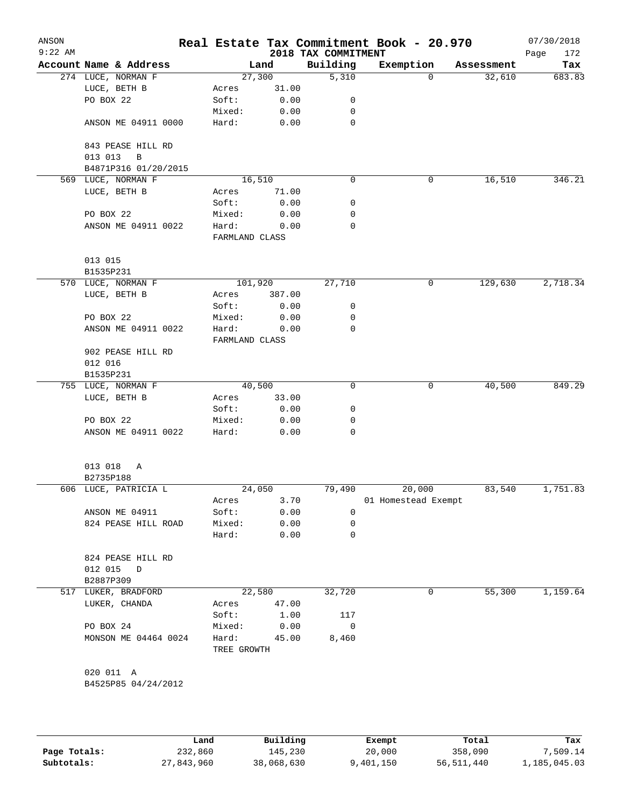| ANSON<br>$9:22$ AM |                                              |                |        | 2018 TAX COMMITMENT | Real Estate Tax Commitment Book - 20.970 |            | 07/30/2018<br>Page<br>172 |
|--------------------|----------------------------------------------|----------------|--------|---------------------|------------------------------------------|------------|---------------------------|
|                    | Account Name & Address                       |                | Land   | Building            | Exemption                                | Assessment | Tax                       |
|                    | 274 LUCE, NORMAN F                           |                | 27,300 | 5,310               | 0                                        | 32,610     | 683.83                    |
|                    | LUCE, BETH B                                 | Acres          | 31.00  |                     |                                          |            |                           |
|                    | PO BOX 22                                    | Soft:          | 0.00   | 0                   |                                          |            |                           |
|                    |                                              | Mixed:         | 0.00   | 0                   |                                          |            |                           |
|                    | ANSON ME 04911 0000                          | Hard:          | 0.00   | 0                   |                                          |            |                           |
|                    | 843 PEASE HILL RD<br>013 013<br>$\, {\bf B}$ |                |        |                     |                                          |            |                           |
|                    | B4871P316 01/20/2015                         |                |        |                     |                                          |            |                           |
| 569                | LUCE, NORMAN F                               |                | 16,510 | 0                   | 0                                        | 16,510     | 346.21                    |
|                    | LUCE, BETH B                                 | Acres          | 71.00  |                     |                                          |            |                           |
|                    |                                              | Soft:          | 0.00   | 0                   |                                          |            |                           |
|                    | PO BOX 22                                    | Mixed:         | 0.00   | 0                   |                                          |            |                           |
|                    | ANSON ME 04911 0022                          | Hard:          | 0.00   | 0                   |                                          |            |                           |
|                    |                                              | FARMLAND CLASS |        |                     |                                          |            |                           |
|                    | 013 015                                      |                |        |                     |                                          |            |                           |
|                    | B1535P231                                    |                |        |                     |                                          |            |                           |
|                    | 570 LUCE, NORMAN F                           | 101,920        |        | 27,710              | 0                                        | 129,630    | 2,718.34                  |
|                    | LUCE, BETH B                                 | Acres          | 387.00 |                     |                                          |            |                           |
|                    |                                              | Soft:          | 0.00   | 0                   |                                          |            |                           |
|                    | PO BOX 22                                    | Mixed:         | 0.00   | 0                   |                                          |            |                           |
|                    | ANSON ME 04911 0022                          | Hard:          | 0.00   | 0                   |                                          |            |                           |
|                    |                                              | FARMLAND CLASS |        |                     |                                          |            |                           |
|                    | 902 PEASE HILL RD                            |                |        |                     |                                          |            |                           |
|                    | 012 016                                      |                |        |                     |                                          |            |                           |
|                    | B1535P231                                    |                |        |                     |                                          |            |                           |
|                    | 755 LUCE, NORMAN F                           |                | 40,500 | 0                   | 0                                        | 40,500     | 849.29                    |
|                    | LUCE, BETH B                                 | Acres          | 33.00  |                     |                                          |            |                           |
|                    |                                              | Soft:          | 0.00   | 0                   |                                          |            |                           |
|                    | PO BOX 22                                    | Mixed:         | 0.00   | 0                   |                                          |            |                           |
|                    | ANSON ME 04911 0022                          | Hard:          | 0.00   | 0                   |                                          |            |                           |
|                    | 013 018<br>Α                                 |                |        |                     |                                          |            |                           |
|                    | B2735P188                                    |                |        |                     |                                          |            |                           |
|                    | 606 LUCE, PATRICIA L                         |                | 24,050 | 79,490              | 20,000                                   | 83,540     | 1,751.83                  |
|                    |                                              | Acres          | 3.70   |                     | 01 Homestead Exempt                      |            |                           |
|                    | ANSON ME 04911                               | Soft:          | 0.00   | 0                   |                                          |            |                           |
|                    | 824 PEASE HILL ROAD                          | Mixed:         | 0.00   | 0                   |                                          |            |                           |
|                    |                                              | Hard:          | 0.00   | 0                   |                                          |            |                           |
|                    | 824 PEASE HILL RD                            |                |        |                     |                                          |            |                           |
|                    | 012 015<br>D                                 |                |        |                     |                                          |            |                           |
|                    | B2887P309                                    |                |        |                     |                                          |            |                           |
|                    | 517 LUKER, BRADFORD                          |                | 22,580 | 32,720              | 0                                        | 55,300     | 1,159.64                  |
|                    | LUKER, CHANDA                                | Acres          | 47.00  |                     |                                          |            |                           |
|                    |                                              | Soft:          | 1.00   | 117                 |                                          |            |                           |
|                    | PO BOX 24                                    | Mixed:         | 0.00   | 0                   |                                          |            |                           |
|                    | MONSON ME 04464 0024                         | Hard:          | 45.00  | 8,460               |                                          |            |                           |
|                    |                                              | TREE GROWTH    |        |                     |                                          |            |                           |
|                    |                                              |                |        |                     |                                          |            |                           |
|                    | 020 011 A                                    |                |        |                     |                                          |            |                           |
|                    | B4525P85 04/24/2012                          |                |        |                     |                                          |            |                           |
|                    |                                              |                |        |                     |                                          |            |                           |
|                    |                                              |                |        |                     |                                          |            |                           |
|                    |                                              |                |        |                     |                                          |            |                           |
|                    |                                              |                |        |                     |                                          |            |                           |

|              | Land       | Building   | Exempt    | Total      | Tax          |
|--------------|------------|------------|-----------|------------|--------------|
| Page Totals: | 232,860    | 145,230    | 20,000    | 358,090    | 7,509.14     |
| Subtotals:   | 27,843,960 | 38,068,630 | 9,401,150 | 56,511,440 | 1,185,045.03 |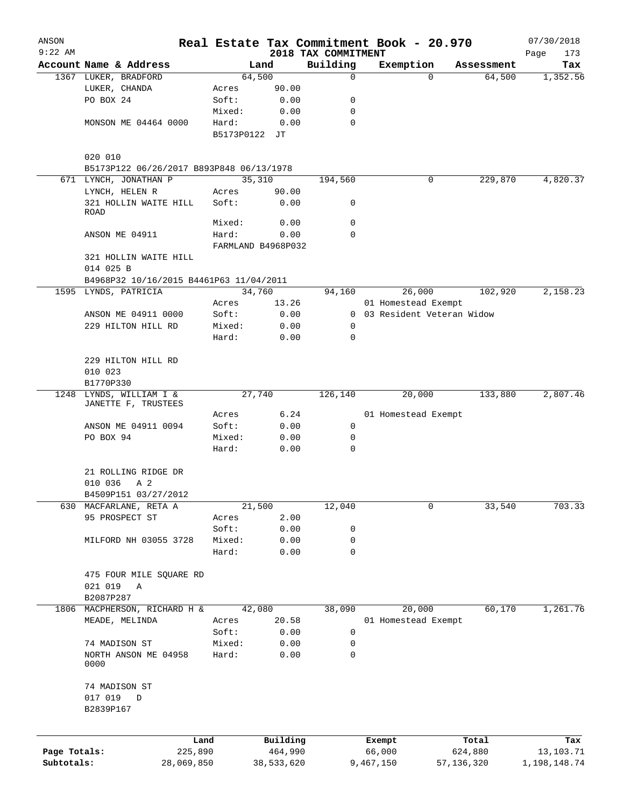| ANSON        |                                          |                 |                    |                     |                     | Real Estate Tax Commitment Book - 20.970 |                  | 07/30/2018       |
|--------------|------------------------------------------|-----------------|--------------------|---------------------|---------------------|------------------------------------------|------------------|------------------|
| $9:22$ AM    |                                          |                 |                    |                     | 2018 TAX COMMITMENT |                                          |                  | Page<br>173      |
|              | Account Name & Address                   |                 |                    | Land                | Building            | Exemption                                | Assessment       | Tax              |
|              | 1367 LUKER, BRADFORD                     |                 | 64,500             |                     | 0                   | $\Omega$                                 | 64,500           | 1,352.56         |
|              | LUKER, CHANDA                            |                 | Acres              | 90.00               |                     |                                          |                  |                  |
|              | PO BOX 24                                |                 | Soft:              | 0.00                | 0                   |                                          |                  |                  |
|              |                                          |                 | Mixed:             | 0.00                | 0                   |                                          |                  |                  |
|              | MONSON ME 04464 0000                     |                 | Hard:              | 0.00                | $\mathbf 0$         |                                          |                  |                  |
|              |                                          |                 | B5173P0122 JT      |                     |                     |                                          |                  |                  |
|              | 020 010                                  |                 |                    |                     |                     |                                          |                  |                  |
|              | B5173P122 06/26/2017 B893P848 06/13/1978 |                 |                    |                     |                     |                                          |                  |                  |
|              | 671 LYNCH, JONATHAN P                    |                 | 35,310             |                     | 194,560             | 0                                        | 229,870          | 4,820.37         |
|              | LYNCH, HELEN R                           |                 | Acres              | 90.00               |                     |                                          |                  |                  |
|              | 321 HOLLIN WAITE HILL                    |                 | Soft:              | 0.00                | 0                   |                                          |                  |                  |
|              | ROAD                                     |                 |                    |                     |                     |                                          |                  |                  |
|              |                                          |                 | Mixed:             | 0.00                | $\mathbf 0$         |                                          |                  |                  |
|              | ANSON ME 04911                           |                 | Hard:              | 0.00                | $\Omega$            |                                          |                  |                  |
|              |                                          |                 | FARMLAND B4968P032 |                     |                     |                                          |                  |                  |
|              | 321 HOLLIN WAITE HILL                    |                 |                    |                     |                     |                                          |                  |                  |
|              | 014 025 B                                |                 |                    |                     |                     |                                          |                  |                  |
|              | B4968P32 10/16/2015 B4461P63 11/04/2011  |                 |                    |                     |                     |                                          |                  |                  |
|              | 1595 LYNDS, PATRICIA                     |                 | 34,760             |                     | 94,160              | 26,000                                   | 102,920          | 2,158.23         |
|              |                                          |                 | Acres              | 13.26               |                     | 01 Homestead Exempt                      |                  |                  |
|              | ANSON ME 04911 0000                      |                 | Soft:              | 0.00                |                     | 0 03 Resident Veteran Widow              |                  |                  |
|              | 229 HILTON HILL RD                       |                 | Mixed:             | 0.00                | 0                   |                                          |                  |                  |
|              |                                          |                 | Hard:              | 0.00                | 0                   |                                          |                  |                  |
|              |                                          |                 |                    |                     |                     |                                          |                  |                  |
|              | 229 HILTON HILL RD                       |                 |                    |                     |                     |                                          |                  |                  |
|              | 010 023                                  |                 |                    |                     |                     |                                          |                  |                  |
|              | B1770P330                                |                 |                    |                     |                     |                                          |                  |                  |
| 1248         | LYNDS, WILLIAM I &                       |                 | 27,740             |                     | 126,140             | 20,000                                   | 133,880          | 2,807.46         |
|              | JANETTE F, TRUSTEES                      |                 |                    |                     |                     |                                          |                  |                  |
|              |                                          |                 | Acres              | 6.24                |                     | 01 Homestead Exempt                      |                  |                  |
|              | ANSON ME 04911 0094                      |                 | Soft:              | 0.00                | 0                   |                                          |                  |                  |
|              | PO BOX 94                                |                 | Mixed:<br>Hard:    | 0.00<br>0.00        | 0<br>0              |                                          |                  |                  |
|              |                                          |                 |                    |                     |                     |                                          |                  |                  |
|              | 21 ROLLING RIDGE DR                      |                 |                    |                     |                     |                                          |                  |                  |
|              | 010 036<br>A 2                           |                 |                    |                     |                     |                                          |                  |                  |
|              | B4509P151 03/27/2012                     |                 |                    |                     |                     |                                          |                  |                  |
| 630          | MACFARLANE, RETA A                       |                 | 21,500             |                     | 12,040              | 0                                        | 33,540           | 703.33           |
|              | 95 PROSPECT ST                           |                 | Acres              | 2.00                |                     |                                          |                  |                  |
|              |                                          |                 | Soft:              | 0.00                | 0                   |                                          |                  |                  |
|              | MILFORD NH 03055 3728                    |                 | Mixed:             | 0.00                | 0                   |                                          |                  |                  |
|              |                                          |                 | Hard:              | 0.00                | 0                   |                                          |                  |                  |
|              |                                          |                 |                    |                     |                     |                                          |                  |                  |
|              | 475 FOUR MILE SQUARE RD                  |                 |                    |                     |                     |                                          |                  |                  |
|              | 021 019<br>Α                             |                 |                    |                     |                     |                                          |                  |                  |
|              | B2087P287                                |                 |                    |                     |                     |                                          |                  |                  |
| 1806         | MACPHERSON, RICHARD H &                  |                 | 42,080             |                     | 38,090              | 20,000                                   | 60,170           | 1,261.76         |
|              | MEADE, MELINDA                           |                 | Acres              | 20.58               |                     | 01 Homestead Exempt                      |                  |                  |
|              |                                          |                 | Soft:              | 0.00                | 0                   |                                          |                  |                  |
|              | 74 MADISON ST                            |                 | Mixed:             | 0.00                | 0                   |                                          |                  |                  |
|              | NORTH ANSON ME 04958                     |                 | Hard:              | 0.00                | 0                   |                                          |                  |                  |
|              | 0000                                     |                 |                    |                     |                     |                                          |                  |                  |
|              |                                          |                 |                    |                     |                     |                                          |                  |                  |
|              | 74 MADISON ST                            |                 |                    |                     |                     |                                          |                  |                  |
|              | 017 019<br>D                             |                 |                    |                     |                     |                                          |                  |                  |
|              | B2839P167                                |                 |                    |                     |                     |                                          |                  |                  |
|              |                                          |                 |                    |                     |                     |                                          |                  |                  |
|              |                                          |                 |                    |                     |                     |                                          |                  |                  |
| Page Totals: |                                          | Land<br>225,890 |                    | Building<br>464,990 |                     | Exempt<br>66,000                         | Total<br>624,880 | Tax<br>13,103.71 |
| Subtotals:   | 28,069,850                               |                 |                    | 38,533,620          |                     | 9,467,150                                | 57, 136, 320     | 1,198,148.74     |
|              |                                          |                 |                    |                     |                     |                                          |                  |                  |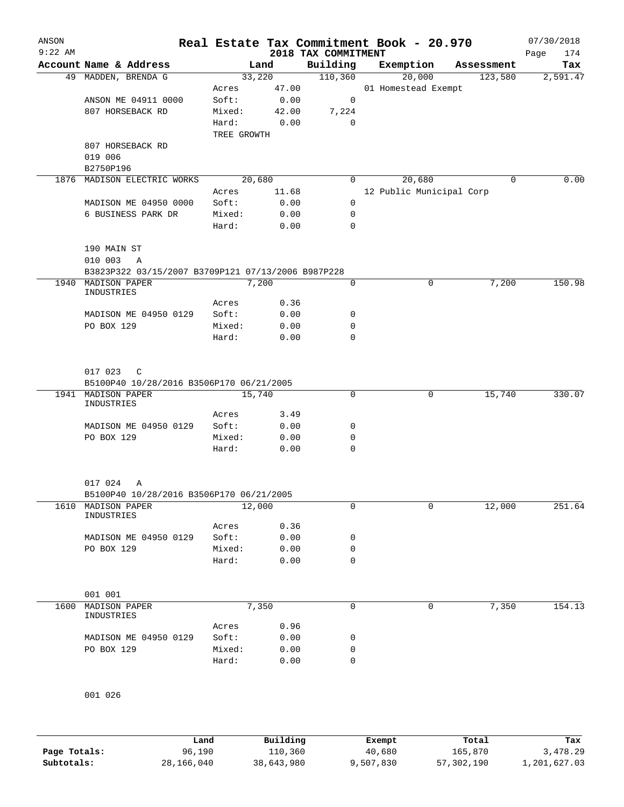| ANSON     |                                                           |                 |              |                                 | Real Estate Tax Commitment Book - 20.970 |        |            | 07/30/2018         |
|-----------|-----------------------------------------------------------|-----------------|--------------|---------------------------------|------------------------------------------|--------|------------|--------------------|
| $9:22$ AM | Account Name & Address                                    |                 | Land         | 2018 TAX COMMITMENT<br>Building | Exemption                                |        | Assessment | 174<br>Page<br>Tax |
|           | 49 MADDEN, BRENDA G                                       |                 | 33,220       | 110,360                         | 20,000                                   |        | 123,580    | 2,591.47           |
|           |                                                           | Acres           | 47.00        |                                 | 01 Homestead Exempt                      |        |            |                    |
|           | ANSON ME 04911 0000                                       | Soft:           | 0.00         | 0                               |                                          |        |            |                    |
|           | 807 HORSEBACK RD                                          | Mixed:          | 42.00        | 7,224                           |                                          |        |            |                    |
|           |                                                           | Hard:           | 0.00         | $\mathbf 0$                     |                                          |        |            |                    |
|           |                                                           | TREE GROWTH     |              |                                 |                                          |        |            |                    |
|           | 807 HORSEBACK RD                                          |                 |              |                                 |                                          |        |            |                    |
|           | 019 006                                                   |                 |              |                                 |                                          |        |            |                    |
|           | B2750P196                                                 |                 |              |                                 |                                          |        |            |                    |
|           | 1876 MADISON ELECTRIC WORKS                               |                 | 20,680       | 0                               |                                          | 20,680 | 0          | 0.00               |
|           |                                                           | Acres           | 11.68        |                                 | 12 Public Municipal Corp                 |        |            |                    |
|           | MADISON ME 04950 0000<br>6 BUSINESS PARK DR               | Soft:<br>Mixed: | 0.00<br>0.00 | 0<br>0                          |                                          |        |            |                    |
|           |                                                           | Hard:           | 0.00         | $\mathbf 0$                     |                                          |        |            |                    |
|           |                                                           |                 |              |                                 |                                          |        |            |                    |
|           | 190 MAIN ST                                               |                 |              |                                 |                                          |        |            |                    |
|           | 010 003<br>A                                              |                 |              |                                 |                                          |        |            |                    |
|           | B3823P322 03/15/2007 B3709P121 07/13/2006 B987P228        |                 |              |                                 |                                          |        |            |                    |
| 1940      | MADISON PAPER                                             |                 | 7,200        | $\mathbf 0$                     |                                          | 0      | 7,200      | 150.98             |
|           | INDUSTRIES                                                |                 |              |                                 |                                          |        |            |                    |
|           |                                                           | Acres<br>Soft:  | 0.36<br>0.00 | 0                               |                                          |        |            |                    |
|           | MADISON ME 04950 0129<br>PO BOX 129                       | Mixed:          | 0.00         | 0                               |                                          |        |            |                    |
|           |                                                           | Hard:           | 0.00         | $\mathbf 0$                     |                                          |        |            |                    |
|           |                                                           |                 |              |                                 |                                          |        |            |                    |
|           |                                                           |                 |              |                                 |                                          |        |            |                    |
|           | 017 023 C                                                 |                 |              |                                 |                                          |        |            |                    |
| 1941      | B5100P40 10/28/2016 B3506P170 06/21/2005<br>MADISON PAPER |                 | 15,740       | $\mathbf 0$                     |                                          | 0      | 15,740     | 330.07             |
|           | INDUSTRIES                                                |                 |              |                                 |                                          |        |            |                    |
|           |                                                           | Acres           | 3.49         |                                 |                                          |        |            |                    |
|           | MADISON ME 04950 0129                                     | Soft:           | 0.00         | 0                               |                                          |        |            |                    |
|           | PO BOX 129                                                | Mixed:          | 0.00         | 0                               |                                          |        |            |                    |
|           |                                                           | Hard:           | 0.00         | $\mathbf 0$                     |                                          |        |            |                    |
|           |                                                           |                 |              |                                 |                                          |        |            |                    |
|           | 017 024<br>Α                                              |                 |              |                                 |                                          |        |            |                    |
|           | B5100P40 10/28/2016 B3506P170 06/21/2005                  |                 |              |                                 |                                          |        |            |                    |
|           | 1610 MADISON PAPER                                        |                 | 12,000       | 0                               |                                          | 0      | 12,000     | 251.64             |
|           | INDUSTRIES                                                |                 |              |                                 |                                          |        |            |                    |
|           |                                                           | Acres           | 0.36         |                                 |                                          |        |            |                    |
|           | MADISON ME 04950 0129<br>PO BOX 129                       | Soft:<br>Mixed: | 0.00<br>0.00 | 0<br>0                          |                                          |        |            |                    |
|           |                                                           | Hard:           | 0.00         | $\mathbf 0$                     |                                          |        |            |                    |
|           |                                                           |                 |              |                                 |                                          |        |            |                    |
|           |                                                           |                 |              |                                 |                                          |        |            |                    |
|           | 001 001                                                   |                 |              |                                 |                                          |        |            |                    |
| 1600      | MADISON PAPER<br>INDUSTRIES                               |                 | 7,350        | 0                               |                                          | 0      | 7,350      | 154.13             |
|           |                                                           | Acres           | 0.96         |                                 |                                          |        |            |                    |
|           | MADISON ME 04950 0129                                     | Soft:           | 0.00         | 0                               |                                          |        |            |                    |
|           | PO BOX 129                                                | Mixed:          | 0.00         | 0                               |                                          |        |            |                    |
|           |                                                           | Hard:           | 0.00         | $\mathbf 0$                     |                                          |        |            |                    |
|           |                                                           |                 |              |                                 |                                          |        |            |                    |
|           |                                                           |                 |              |                                 |                                          |        |            |                    |
|           | 001 026                                                   |                 |              |                                 |                                          |        |            |                    |

|              | Land       | Building   | Exempt    | Total      | Tax          |
|--------------|------------|------------|-----------|------------|--------------|
| Page Totals: | 96,190     | 110,360    | 40,680    | 165,870    | 3,478.29     |
| Subtotals:   | 28,166,040 | 38,643,980 | 9,507,830 | 57,302,190 | 1,201,627.03 |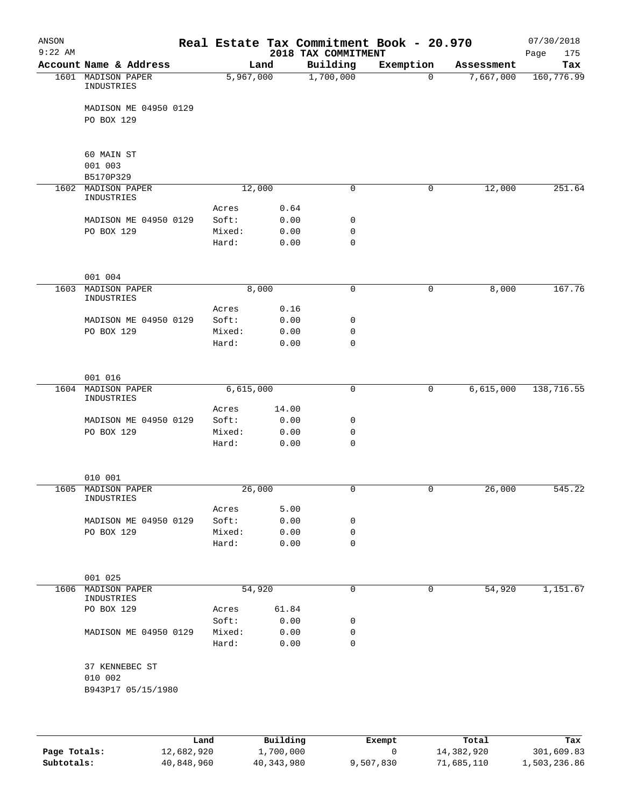| ANSON<br>$9:22$ AM |                                                 |                 |               | 2018 TAX COMMITMENT | Real Estate Tax Commitment Book - 20.970 |            | 07/30/2018<br>175<br>Page |
|--------------------|-------------------------------------------------|-----------------|---------------|---------------------|------------------------------------------|------------|---------------------------|
|                    | Account Name & Address                          | Land            |               | Building            | Exemption                                | Assessment | Tax                       |
|                    | 1601 MADISON PAPER<br>INDUSTRIES                | 5,967,000       |               | 1,700,000           | $\mathbf 0$                              | 7,667,000  | 160, 776.99               |
|                    | MADISON ME 04950 0129<br>PO BOX 129             |                 |               |                     |                                          |            |                           |
|                    |                                                 |                 |               |                     |                                          |            |                           |
|                    | 60 MAIN ST                                      |                 |               |                     |                                          |            |                           |
|                    | 001 003<br>B5170P329                            |                 |               |                     |                                          |            |                           |
| 1602               | MADISON PAPER<br>INDUSTRIES                     | 12,000          |               | 0                   | 0                                        | 12,000     | 251.64                    |
|                    |                                                 | Acres           | 0.64          |                     |                                          |            |                           |
|                    | MADISON ME 04950 0129                           | Soft:           | 0.00          | 0                   |                                          |            |                           |
|                    | PO BOX 129                                      | Mixed:          | 0.00          | 0                   |                                          |            |                           |
|                    |                                                 | Hard:           | 0.00          | $\mathbf 0$         |                                          |            |                           |
|                    | 001 004                                         |                 |               |                     |                                          |            |                           |
| 1603               | <b>MADISON PAPER</b>                            | 8,000           |               | 0                   | 0                                        | 8,000      | 167.76                    |
|                    | INDUSTRIES                                      |                 |               |                     |                                          |            |                           |
|                    |                                                 | Acres           | 0.16          |                     |                                          |            |                           |
|                    | MADISON ME 04950 0129                           | Soft:           | 0.00          | 0<br>$\mathbf 0$    |                                          |            |                           |
|                    | PO BOX 129                                      | Mixed:<br>Hard: | 0.00<br>0.00  | $\mathbf 0$         |                                          |            |                           |
|                    |                                                 |                 |               |                     |                                          |            |                           |
|                    | 001 016                                         |                 |               |                     |                                          |            |                           |
|                    | 1604 MADISON PAPER<br>INDUSTRIES                | 6,615,000       |               | 0                   | 0                                        | 6,615,000  | 138, 716.55               |
|                    |                                                 | Acres           | 14.00         |                     |                                          |            |                           |
|                    | MADISON ME 04950 0129                           | Soft:           | 0.00          | 0                   |                                          |            |                           |
|                    | PO BOX 129                                      | Mixed:          | 0.00          | 0                   |                                          |            |                           |
|                    |                                                 | Hard:           | 0.00          | $\mathbf 0$         |                                          |            |                           |
|                    | 010 001                                         |                 |               |                     |                                          |            |                           |
| 1605               | <b>MADISON PAPER</b>                            | 26,000          |               | 0                   | 0                                        | 26,000     | 545.22                    |
|                    | INDUSTRIES                                      |                 |               |                     |                                          |            |                           |
|                    |                                                 | Acres           | 5.00          |                     |                                          |            |                           |
|                    | MADISON ME 04950 0129                           | Soft:           | 0.00          | 0                   |                                          |            |                           |
|                    | PO BOX 129                                      | Mixed:          | 0.00          | 0                   |                                          |            |                           |
|                    |                                                 | Hard:           | 0.00          | 0                   |                                          |            |                           |
|                    | 001 025                                         |                 |               |                     |                                          |            |                           |
|                    | 1606 MADISON PAPER                              | 54,920          |               | 0                   | 0                                        | 54,920     | 1,151.67                  |
|                    | INDUSTRIES                                      |                 |               |                     |                                          |            |                           |
|                    | PO BOX 129                                      | Acres<br>Soft:  | 61.84<br>0.00 | 0                   |                                          |            |                           |
|                    | MADISON ME 04950 0129                           | Mixed:          | 0.00          | 0                   |                                          |            |                           |
|                    |                                                 | Hard:           | 0.00          | 0                   |                                          |            |                           |
|                    | 37 KENNEBEC ST<br>010 002<br>B943P17 05/15/1980 |                 |               |                     |                                          |            |                           |
|                    |                                                 |                 |               |                     |                                          |            |                           |

|              | Land       | Building   | Exempt    | Total      | Tax          |
|--------------|------------|------------|-----------|------------|--------------|
| Page Totals: | 12,682,920 | 1,700,000  |           | 14,382,920 | 301,609.83   |
| Subtotals:   | 40,848,960 | 40,343,980 | 9,507,830 | 71,685,110 | 1,503,236.86 |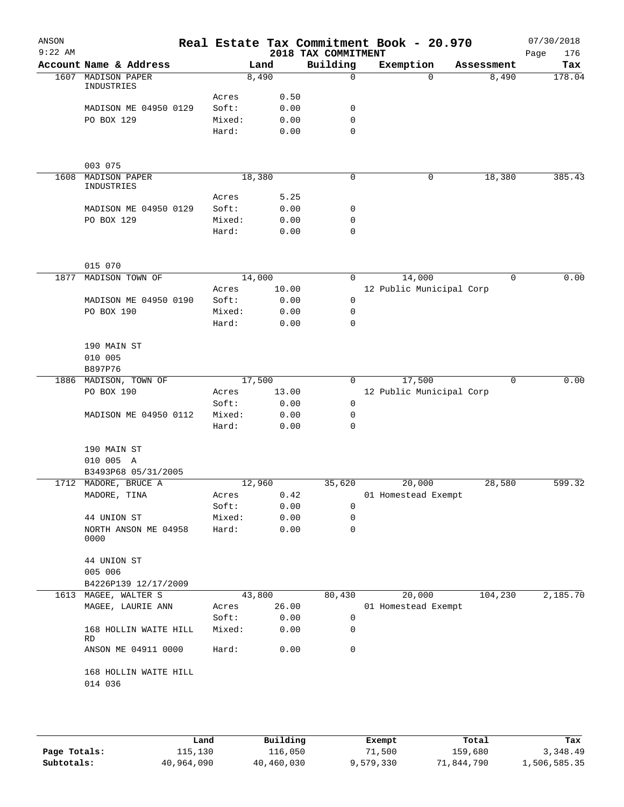| ANSON<br>$9:22$ AM |                                             |                 |        |              | Real Estate Tax Commitment Book - 20.970<br>2018 TAX COMMITMENT |                          |             | 07/30/2018<br>176<br>Page |
|--------------------|---------------------------------------------|-----------------|--------|--------------|-----------------------------------------------------------------|--------------------------|-------------|---------------------------|
|                    | Account Name & Address                      |                 | Land   |              | Building                                                        | Exemption                | Assessment  | Tax                       |
|                    | 1607 MADISON PAPER<br>INDUSTRIES            |                 | 8,490  |              | 0                                                               | $\Omega$                 | 8,490       | 178.04                    |
|                    |                                             | Acres           |        | 0.50         |                                                                 |                          |             |                           |
|                    | MADISON ME 04950 0129                       | Soft:           |        | 0.00         | 0                                                               |                          |             |                           |
|                    | PO BOX 129                                  | Mixed:          |        | 0.00         | $\mathbf 0$                                                     |                          |             |                           |
|                    |                                             | Hard:           |        | 0.00         | $\mathbf 0$                                                     |                          |             |                           |
|                    | 003 075                                     |                 |        |              |                                                                 |                          |             |                           |
| 1608               | MADISON PAPER                               |                 | 18,380 |              | 0                                                               | 0                        | 18,380      | 385.43                    |
|                    | INDUSTRIES                                  |                 |        |              |                                                                 |                          |             |                           |
|                    |                                             | Acres           |        | 5.25         |                                                                 |                          |             |                           |
|                    | MADISON ME 04950 0129                       | Soft:           |        | 0.00         | 0                                                               |                          |             |                           |
|                    | PO BOX 129                                  | Mixed:<br>Hard: |        | 0.00<br>0.00 | 0<br>0                                                          |                          |             |                           |
|                    |                                             |                 |        |              |                                                                 |                          |             |                           |
|                    | 015 070                                     |                 |        |              |                                                                 |                          |             |                           |
| 1877               | MADISON TOWN OF                             |                 | 14,000 |              | $\mathbf 0$                                                     | 14,000                   | $\mathbf 0$ | 0.00                      |
|                    |                                             | Acres           |        | 10.00        |                                                                 | 12 Public Municipal Corp |             |                           |
|                    | MADISON ME 04950 0190                       | Soft:           |        | 0.00         | 0                                                               |                          |             |                           |
|                    | PO BOX 190                                  | Mixed:          |        | 0.00         | 0                                                               |                          |             |                           |
|                    |                                             | Hard:           |        | 0.00         | 0                                                               |                          |             |                           |
|                    | 190 MAIN ST                                 |                 |        |              |                                                                 |                          |             |                           |
|                    | 010 005                                     |                 |        |              |                                                                 |                          |             |                           |
|                    | B897P76                                     |                 |        |              |                                                                 |                          |             |                           |
| 1886               | MADISON, TOWN OF                            |                 | 17,500 |              | 0                                                               | 17,500                   | $\mathbf 0$ | 0.00                      |
|                    | PO BOX 190                                  | Acres           |        | 13.00        |                                                                 | 12 Public Municipal Corp |             |                           |
|                    |                                             | Soft:           |        | 0.00         | 0                                                               |                          |             |                           |
|                    | MADISON ME 04950 0112                       | Mixed:          |        | 0.00         | 0                                                               |                          |             |                           |
|                    |                                             | Hard:           |        | 0.00         | $\mathbf 0$                                                     |                          |             |                           |
|                    |                                             |                 |        |              |                                                                 |                          |             |                           |
|                    | 190 MAIN ST<br>010 005 A                    |                 |        |              |                                                                 |                          |             |                           |
|                    |                                             |                 |        |              |                                                                 |                          |             |                           |
|                    | B3493P68 05/31/2005<br>1712 MADORE, BRUCE A |                 |        |              | 35,620                                                          |                          |             | 599.32                    |
|                    |                                             |                 | 12,960 |              |                                                                 | 20,000                   | 28,580      |                           |
|                    | MADORE, TINA                                | Acres           |        | 0.42         |                                                                 | 01 Homestead Exempt      |             |                           |
|                    |                                             | Soft:           |        | 0.00         | 0                                                               |                          |             |                           |
|                    | 44 UNION ST                                 | Mixed:          |        | 0.00         | 0                                                               |                          |             |                           |
|                    | NORTH ANSON ME 04958<br>0000                | Hard:           |        | 0.00         | 0                                                               |                          |             |                           |
|                    | 44 UNION ST                                 |                 |        |              |                                                                 |                          |             |                           |
|                    | 005 006                                     |                 |        |              |                                                                 |                          |             |                           |
|                    | B4226P139 12/17/2009                        |                 |        |              |                                                                 |                          |             |                           |
| 1613               | MAGEE, WALTER S                             |                 | 43,800 |              | 80,430                                                          | 20,000                   | 104,230     | 2,185.70                  |
|                    | MAGEE, LAURIE ANN                           | Acres           |        | 26.00        |                                                                 | 01 Homestead Exempt      |             |                           |
|                    |                                             | Soft:           |        | 0.00         | 0                                                               |                          |             |                           |
|                    | 168 HOLLIN WAITE HILL                       | Mixed:          |        | 0.00         | 0                                                               |                          |             |                           |
|                    | RD                                          |                 |        |              |                                                                 |                          |             |                           |
|                    | ANSON ME 04911 0000                         | Hard:           |        | 0.00         | 0                                                               |                          |             |                           |
|                    | 168 HOLLIN WAITE HILL                       |                 |        |              |                                                                 |                          |             |                           |
|                    | 014 036                                     |                 |        |              |                                                                 |                          |             |                           |
|                    |                                             |                 |        |              |                                                                 |                          |             |                           |
|                    |                                             |                 |        |              |                                                                 |                          |             |                           |
|                    |                                             |                 |        |              |                                                                 |                          |             |                           |

|              | Land       | Building   | Exempt    | Total      | Tax          |
|--------------|------------|------------|-----------|------------|--------------|
| Page Totals: | 115,130    | 116,050    | 71,500    | 159,680    | 3,348.49     |
| Subtotals:   | 40,964,090 | 40,460,030 | 9,579,330 | 71,844,790 | 1,506,585.35 |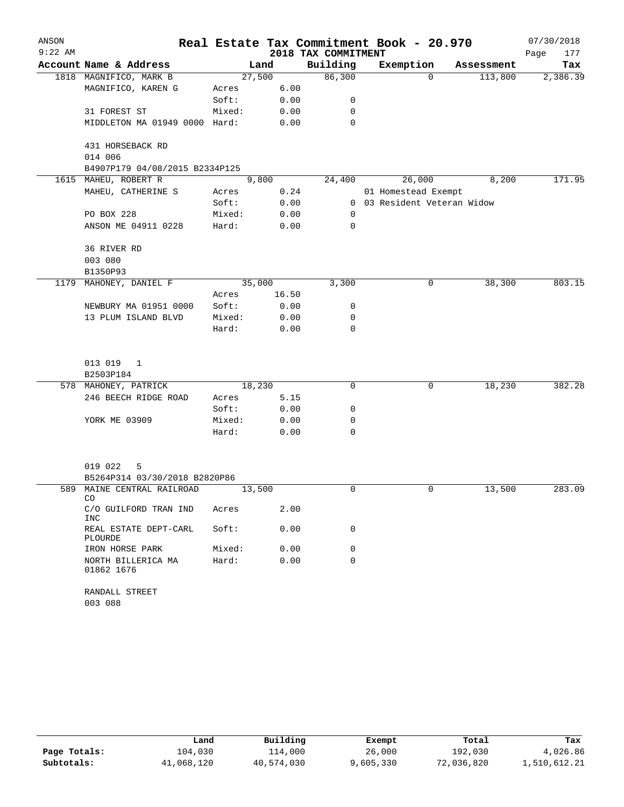| ANSON     |                                         |        |        |                     | Real Estate Tax Commitment Book - 20.970 |            | 07/30/2018  |
|-----------|-----------------------------------------|--------|--------|---------------------|------------------------------------------|------------|-------------|
| $9:22$ AM |                                         |        |        | 2018 TAX COMMITMENT |                                          |            | Page<br>177 |
|           | Account Name & Address                  |        | Land   | Building            | Exemption                                | Assessment | Tax         |
|           | 1818 MAGNIFICO, MARK B                  |        | 27,500 | 86,300              | $\Omega$                                 | 113,800    | 2,386.39    |
|           | MAGNIFICO, KAREN G                      | Acres  | 6.00   |                     |                                          |            |             |
|           |                                         | Soft:  | 0.00   | 0                   |                                          |            |             |
|           | 31 FOREST ST                            | Mixed: | 0.00   | 0                   |                                          |            |             |
|           | MIDDLETON MA 01949 0000 Hard:           |        | 0.00   | 0                   |                                          |            |             |
|           | 431 HORSEBACK RD                        |        |        |                     |                                          |            |             |
|           | 014 006                                 |        |        |                     |                                          |            |             |
|           | B4907P179 04/08/2015 B2334P125          |        |        |                     |                                          |            |             |
|           | 1615 MAHEU, ROBERT R                    |        | 9,800  | 24,400              | 26,000                                   | 8,200      | 171.95      |
|           | MAHEU, CATHERINE S                      | Acres  | 0.24   |                     | 01 Homestead Exempt                      |            |             |
|           |                                         | Soft:  | 0.00   |                     | 0 03 Resident Veteran Widow              |            |             |
|           | PO BOX 228                              | Mixed: | 0.00   | 0                   |                                          |            |             |
|           | ANSON ME 04911 0228                     | Hard:  | 0.00   | 0                   |                                          |            |             |
|           | 36 RIVER RD                             |        |        |                     |                                          |            |             |
|           | 003 080                                 |        |        |                     |                                          |            |             |
|           | B1350P93                                |        |        |                     |                                          |            |             |
| 1179      | MAHONEY, DANIEL F                       |        | 35,000 | 3,300               | 0                                        | 38,300     | 803.15      |
|           |                                         | Acres  | 16.50  |                     |                                          |            |             |
|           | NEWBURY MA 01951 0000                   | Soft:  | 0.00   | 0                   |                                          |            |             |
|           | 13 PLUM ISLAND BLVD                     | Mixed: | 0.00   | 0                   |                                          |            |             |
|           |                                         | Hard:  | 0.00   | 0                   |                                          |            |             |
|           | 013 019<br>1                            |        |        |                     |                                          |            |             |
|           | B2503P184                               |        |        |                     |                                          |            |             |
|           | 578 MAHONEY, PATRICK                    |        | 18,230 | 0                   | 0                                        | 18,230     | 382.28      |
|           | 246 BEECH RIDGE ROAD                    | Acres  | 5.15   |                     |                                          |            |             |
|           |                                         | Soft:  | 0.00   | 0                   |                                          |            |             |
|           | YORK ME 03909                           | Mixed: | 0.00   | 0                   |                                          |            |             |
|           |                                         |        |        | $\Omega$            |                                          |            |             |
|           |                                         | Hard:  | 0.00   |                     |                                          |            |             |
|           | 019 022<br>5                            |        |        |                     |                                          |            |             |
|           | B5264P314 03/30/2018 B2820P86           |        |        |                     |                                          |            |             |
|           | 589 MAINE CENTRAL RAILROAD<br>CO        |        | 13,500 | 0                   | 0                                        | 13,500     | 283.09      |
|           | C/O GUILFORD TRAN IND<br><b>INC</b>     | Acres  | 2.00   |                     |                                          |            |             |
|           | REAL ESTATE DEPT-CARL<br><b>PLOURDE</b> | Soft:  | 0.00   | 0                   |                                          |            |             |
|           | IRON HORSE PARK                         | Mixed: | 0.00   | 0                   |                                          |            |             |
|           | NORTH BILLERICA MA<br>01862 1676        | Hard:  | 0.00   | 0                   |                                          |            |             |
|           | RANDALL STREET<br>003 088               |        |        |                     |                                          |            |             |

|              | Land       | Building   | Exempt    | Total      | Tax          |
|--------------|------------|------------|-----------|------------|--------------|
| Page Totals: | 104,030    | 114,000    | 26,000    | 192,030    | 4,026.86     |
| Subtotals:   | 41,068,120 | 40,574,030 | 9,605,330 | 72,036,820 | 1,510,612.21 |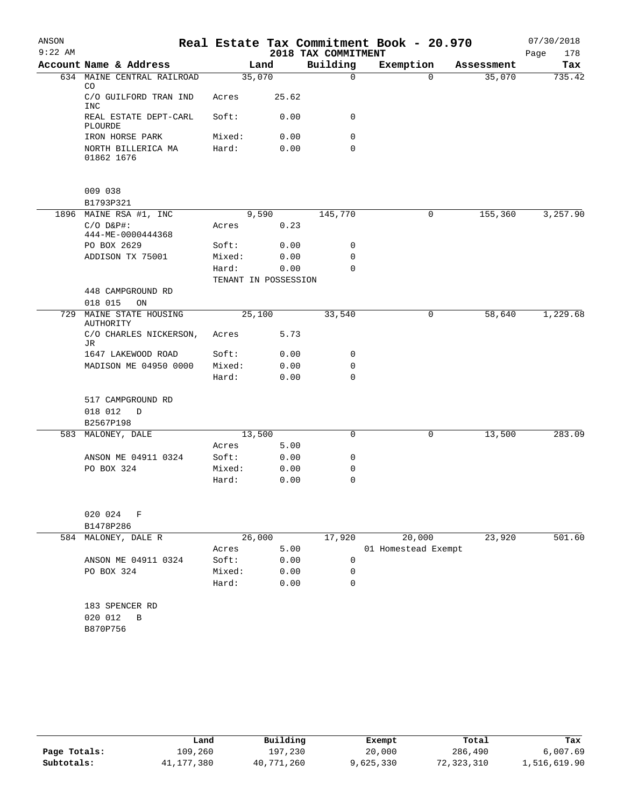| ANSON     |                                      |                 |                      |                     | Real Estate Tax Commitment Book - 20.970 |            | 07/30/2018  |
|-----------|--------------------------------------|-----------------|----------------------|---------------------|------------------------------------------|------------|-------------|
| $9:22$ AM |                                      |                 |                      | 2018 TAX COMMITMENT |                                          |            | Page<br>178 |
|           | Account Name & Address               |                 | Land                 | Building            | Exemption                                | Assessment | Tax         |
|           | 634 MAINE CENTRAL RAILROAD<br>CO.    |                 | 35,070               | $\Omega$            | $\Omega$                                 | 35,070     | 735.42      |
|           | C/O GUILFORD TRAN IND<br><b>INC</b>  | Acres           | 25.62                |                     |                                          |            |             |
|           | REAL ESTATE DEPT-CARL<br>PLOURDE     | Soft:           | 0.00                 | 0                   |                                          |            |             |
|           | IRON HORSE PARK                      | Mixed:          | 0.00                 | 0                   |                                          |            |             |
|           | NORTH BILLERICA MA<br>01862 1676     | Hard:           | 0.00                 | 0                   |                                          |            |             |
|           | 009 038                              |                 |                      |                     |                                          |            |             |
|           | B1793P321                            |                 |                      |                     |                                          |            |             |
|           | 1896 MAINE RSA #1, INC               |                 | 9,590                | 145,770             | 0                                        | 155,360    | 3,257.90    |
|           | $C/O$ $D&P$ #:<br>444-ME-0000444368  | Acres           | 0.23                 |                     |                                          |            |             |
|           | PO BOX 2629                          | Soft:           | 0.00                 | 0                   |                                          |            |             |
|           | ADDISON TX 75001                     | Mixed:          | 0.00                 | 0                   |                                          |            |             |
|           |                                      | Hard:           | 0.00                 | 0                   |                                          |            |             |
|           |                                      |                 | TENANT IN POSSESSION |                     |                                          |            |             |
|           | 448 CAMPGROUND RD                    |                 |                      |                     |                                          |            |             |
| 729       | 018 015<br>ON<br>MAINE STATE HOUSING |                 | 25,100               | 33,540              | 0                                        | 58,640     | 1,229.68    |
|           | AUTHORITY<br>C/O CHARLES NICKERSON,  | Acres           | 5.73                 |                     |                                          |            |             |
|           | JR                                   |                 |                      |                     |                                          |            |             |
|           | 1647 LAKEWOOD ROAD                   | Soft:           | 0.00                 | 0                   |                                          |            |             |
|           | MADISON ME 04950 0000                | Mixed:          | 0.00                 | 0                   |                                          |            |             |
|           |                                      | Hard:           | 0.00                 | $\mathbf 0$         |                                          |            |             |
|           | 517 CAMPGROUND RD                    |                 |                      |                     |                                          |            |             |
|           | 018 012<br>D                         |                 |                      |                     |                                          |            |             |
|           | B2567P198                            |                 |                      |                     |                                          |            |             |
| 583       | MALONEY, DALE                        |                 | 13,500               | 0                   | 0                                        | 13,500     | 283.09      |
|           |                                      | Acres           | 5.00                 |                     |                                          |            |             |
|           | ANSON ME 04911 0324<br>PO BOX 324    | Soft:<br>Mixed: | 0.00<br>0.00         | 0<br>0              |                                          |            |             |
|           |                                      | Hard:           | 0.00                 | 0                   |                                          |            |             |
|           |                                      |                 |                      |                     |                                          |            |             |
|           | 020 024<br>F                         |                 |                      |                     |                                          |            |             |
|           | B1478P286                            |                 |                      |                     |                                          |            |             |
| 584       | MALONEY, DALE R                      |                 | 26,000               | 17,920              | 20,000                                   | 23,920     | 501.60      |
|           |                                      | Acres           | 5.00                 |                     | 01 Homestead Exempt                      |            |             |
|           | ANSON ME 04911 0324                  | Soft:           | 0.00                 | $\mathbf 0$         |                                          |            |             |
|           | PO BOX 324                           | Mixed:          | 0.00                 | 0                   |                                          |            |             |
|           |                                      | Hard:           | 0.00                 | $\mathbf 0$         |                                          |            |             |
|           | 183 SPENCER RD                       |                 |                      |                     |                                          |            |             |
|           | 020 012<br>В                         |                 |                      |                     |                                          |            |             |
|           | B870P756                             |                 |                      |                     |                                          |            |             |
|           |                                      |                 |                      |                     |                                          |            |             |

|              | Land         | Building   | Exempt    | Total      | Tax          |
|--------------|--------------|------------|-----------|------------|--------------|
| Page Totals: | 109,260      | 197,230    | 20,000    | 286,490    | 6,007.69     |
| Subtotals:   | 41, 177, 380 | 40,771,260 | 9,625,330 | 72,323,310 | 1,516,619.90 |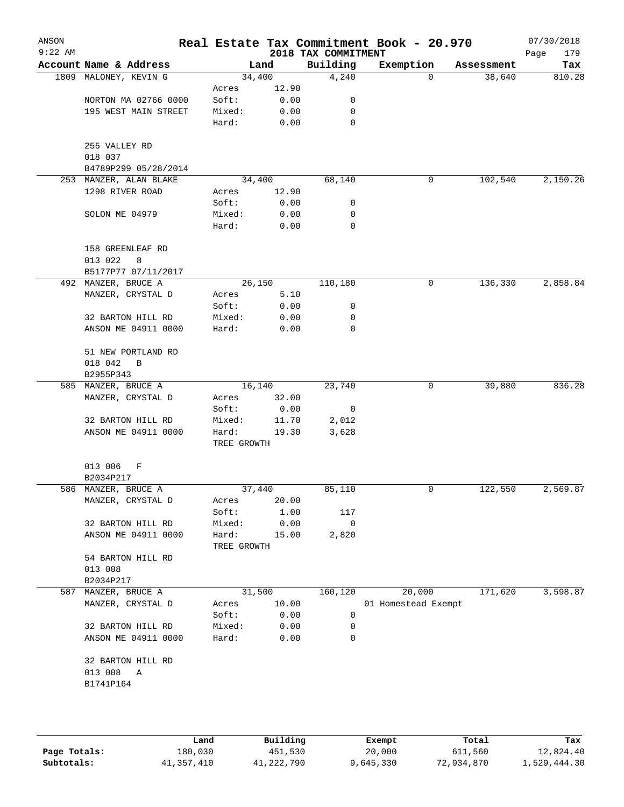| ANSON<br>$9:22$ AM |                          |                      |       | 2018 TAX COMMITMENT | Real Estate Tax Commitment Book - 20.970 |            | 07/30/2018<br>Page<br>179 |
|--------------------|--------------------------|----------------------|-------|---------------------|------------------------------------------|------------|---------------------------|
|                    | Account Name & Address   |                      | Land  | Building            | Exemption                                | Assessment | Tax                       |
|                    | 1809 MALONEY, KEVIN G    | 34,400               |       | 4,240               | 0                                        | 38,640     | 810.28                    |
|                    |                          | Acres                | 12.90 |                     |                                          |            |                           |
|                    | NORTON MA 02766 0000     | Soft:                | 0.00  | 0                   |                                          |            |                           |
|                    | 195 WEST MAIN STREET     | Mixed:               | 0.00  | 0                   |                                          |            |                           |
|                    |                          | Hard:                | 0.00  | $\mathbf 0$         |                                          |            |                           |
|                    | 255 VALLEY RD<br>018 037 |                      |       |                     |                                          |            |                           |
|                    | B4789P299 05/28/2014     |                      |       |                     |                                          |            |                           |
|                    | 253 MANZER, ALAN BLAKE   | 34,400               |       | 68,140              | 0                                        | 102,540    | 2,150.26                  |
|                    | 1298 RIVER ROAD          | Acres                | 12.90 |                     |                                          |            |                           |
|                    |                          | Soft:                | 0.00  | 0                   |                                          |            |                           |
|                    | SOLON ME 04979           | Mixed:               | 0.00  | 0                   |                                          |            |                           |
|                    |                          | Hard:                | 0.00  | 0                   |                                          |            |                           |
|                    | 158 GREENLEAF RD         |                      |       |                     |                                          |            |                           |
|                    | 013 022<br>8             |                      |       |                     |                                          |            |                           |
|                    | B5177P77 07/11/2017      |                      |       |                     |                                          |            |                           |
|                    | 492 MANZER, BRUCE A      | 26,150               |       | 110,180             | 0                                        | 136,330    | 2,858.84                  |
|                    | MANZER, CRYSTAL D        | Acres                | 5.10  |                     |                                          |            |                           |
|                    |                          | Soft:                | 0.00  | 0                   |                                          |            |                           |
|                    | 32 BARTON HILL RD        | Mixed:               | 0.00  | 0                   |                                          |            |                           |
|                    | ANSON ME 04911 0000      | Hard:                | 0.00  | 0                   |                                          |            |                           |
|                    | 51 NEW PORTLAND RD       |                      |       |                     |                                          |            |                           |
|                    | 018 042<br>B             |                      |       |                     |                                          |            |                           |
|                    | B2955P343                |                      |       |                     |                                          |            |                           |
|                    | 585 MANZER, BRUCE A      | 16,140               |       | 23,740              | 0                                        | 39,880     | 836.28                    |
|                    | MANZER, CRYSTAL D        | Acres                | 32.00 |                     |                                          |            |                           |
|                    |                          | Soft:                | 0.00  | 0                   |                                          |            |                           |
|                    | 32 BARTON HILL RD        | Mixed:               | 11.70 | 2,012               |                                          |            |                           |
|                    | ANSON ME 04911 0000      | Hard:<br>TREE GROWTH | 19.30 | 3,628               |                                          |            |                           |
|                    | 013 006<br>F             |                      |       |                     |                                          |            |                           |
|                    | B2034P217                |                      |       |                     |                                          |            |                           |
|                    | 586 MANZER, BRUCE A      | 37,440               |       | 85,110              | 0                                        | 122,550    | 2,569.87                  |
|                    | MANZER, CRYSTAL D        | Acres                | 20.00 |                     |                                          |            |                           |
|                    |                          | Soft:                | 1.00  | 117                 |                                          |            |                           |
|                    | 32 BARTON HILL RD        | Mixed:               | 0.00  | 0                   |                                          |            |                           |
|                    | ANSON ME 04911 0000      | Hard:<br>TREE GROWTH | 15.00 | 2,820               |                                          |            |                           |
|                    | 54 BARTON HILL RD        |                      |       |                     |                                          |            |                           |
|                    | 013 008                  |                      |       |                     |                                          |            |                           |
|                    | B2034P217                |                      |       |                     |                                          |            |                           |
| 587                | MANZER, BRUCE A          | 31,500               |       | 160,120             | 20,000                                   | 171,620    | 3,598.87                  |
|                    | MANZER, CRYSTAL D        | Acres                | 10.00 |                     | 01 Homestead Exempt                      |            |                           |
|                    |                          | Soft:                | 0.00  | 0                   |                                          |            |                           |
|                    | 32 BARTON HILL RD        | Mixed:               | 0.00  | 0                   |                                          |            |                           |
|                    | ANSON ME 04911 0000      | Hard:                | 0.00  | 0                   |                                          |            |                           |
|                    | 32 BARTON HILL RD        |                      |       |                     |                                          |            |                           |
|                    | 013 008<br>Α             |                      |       |                     |                                          |            |                           |
|                    | B1741P164                |                      |       |                     |                                          |            |                           |
|                    |                          |                      |       |                     |                                          |            |                           |
|                    |                          |                      |       |                     |                                          |            |                           |
|                    |                          |                      |       |                     |                                          |            |                           |

|              | Land       | Building   | Exempt    | Total      | Tax          |
|--------------|------------|------------|-----------|------------|--------------|
| Page Totals: | 180,030    | 451,530    | 20,000    | 611,560    | 12,824.40    |
| Subtotals:   | 41,357,410 | 41,222,790 | 9,645,330 | 72,934,870 | 1,529,444.30 |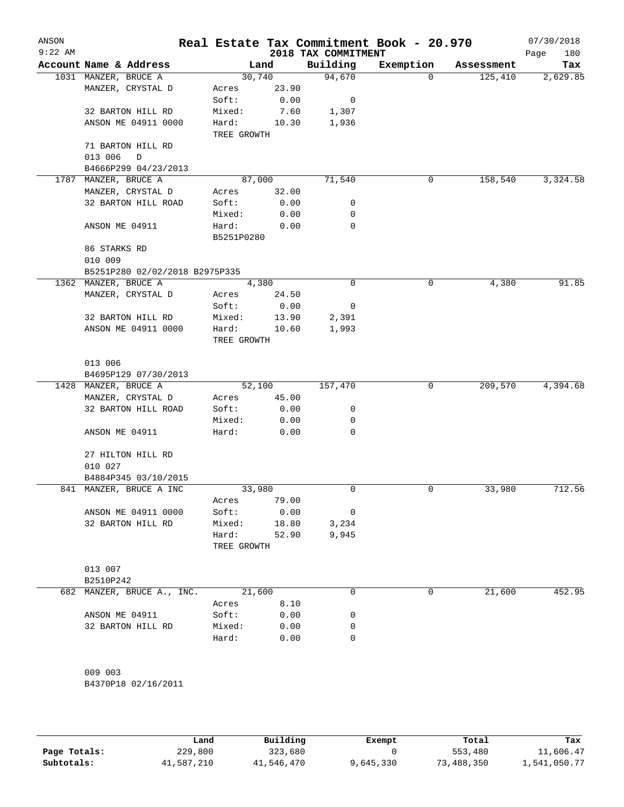| ANSON<br>$9:22$ AM |                                |                |               | 2018 TAX COMMITMENT | Real Estate Tax Commitment Book - 20.970 |            | 07/30/2018<br>Page<br>180 |
|--------------------|--------------------------------|----------------|---------------|---------------------|------------------------------------------|------------|---------------------------|
|                    | Account Name & Address         |                | Land          | Building            | Exemption                                | Assessment | Tax                       |
|                    | 1031 MANZER, BRUCE A           |                | 30,740        | 94,670              | 0                                        | 125,410    | 2,629.85                  |
|                    | MANZER, CRYSTAL D              | Acres          | 23.90         |                     |                                          |            |                           |
|                    |                                | Soft:          | 0.00          | 0                   |                                          |            |                           |
|                    | 32 BARTON HILL RD              | Mixed:         | 7.60          | 1,307               |                                          |            |                           |
|                    | ANSON ME 04911 0000            | Hard:          | 10.30         | 1,936               |                                          |            |                           |
|                    |                                | TREE GROWTH    |               |                     |                                          |            |                           |
|                    | 71 BARTON HILL RD              |                |               |                     |                                          |            |                           |
|                    | 013 006<br>$\mathbb D$         |                |               |                     |                                          |            |                           |
|                    | B4666P299 04/23/2013           |                |               |                     |                                          |            |                           |
|                    | 1787 MANZER, BRUCE A           |                | 87,000        | 71,540              | 0                                        | 158,540    | 3,324.58                  |
|                    | MANZER, CRYSTAL D              | Acres          | 32.00         |                     |                                          |            |                           |
|                    | 32 BARTON HILL ROAD            | Soft:          | 0.00          | 0                   |                                          |            |                           |
|                    |                                | Mixed:         | 0.00          | 0                   |                                          |            |                           |
|                    | ANSON ME 04911                 | Hard:          | 0.00          | $\mathbf 0$         |                                          |            |                           |
|                    |                                | B5251P0280     |               |                     |                                          |            |                           |
|                    | 86 STARKS RD                   |                |               |                     |                                          |            |                           |
|                    | 010 009                        |                |               |                     |                                          |            |                           |
|                    | B5251P280 02/02/2018 B2975P335 |                |               | 0                   | 0                                        |            | 91.85                     |
|                    | 1362 MANZER, BRUCE A           |                | 4,380         |                     |                                          | 4,380      |                           |
|                    | MANZER, CRYSTAL D              | Acres<br>Soft: | 24.50         | 0                   |                                          |            |                           |
|                    | 32 BARTON HILL RD              | Mixed:         | 0.00<br>13.90 | 2,391               |                                          |            |                           |
|                    | ANSON ME 04911 0000            | Hard:          | 10.60         | 1,993               |                                          |            |                           |
|                    |                                | TREE GROWTH    |               |                     |                                          |            |                           |
|                    |                                |                |               |                     |                                          |            |                           |
|                    | 013 006                        |                |               |                     |                                          |            |                           |
|                    | B4695P129 07/30/2013           |                |               |                     |                                          |            |                           |
|                    | 1428 MANZER, BRUCE A           |                | 52,100        | 157,470             | 0                                        | 209,570    | 4,394.68                  |
|                    | MANZER, CRYSTAL D              | Acres          | 45.00         |                     |                                          |            |                           |
|                    | 32 BARTON HILL ROAD            | Soft:          | 0.00          | 0                   |                                          |            |                           |
|                    |                                | Mixed:         | 0.00          | 0                   |                                          |            |                           |
|                    | ANSON ME 04911                 | Hard:          | 0.00          | 0                   |                                          |            |                           |
|                    |                                |                |               |                     |                                          |            |                           |
|                    | 27 HILTON HILL RD              |                |               |                     |                                          |            |                           |
|                    | 010 027                        |                |               |                     |                                          |            |                           |
|                    | B4884P345 03/10/2015           |                |               |                     |                                          |            |                           |
|                    | 841 MANZER, BRUCE A INC        |                | 33,980        | 0                   | 0                                        | 33,980     | 712.56                    |
|                    |                                | Acres          | 79.00         |                     |                                          |            |                           |
|                    | ANSON ME 04911 0000            | Soft:          | 0.00          | 0                   |                                          |            |                           |
|                    | 32 BARTON HILL RD              | Mixed:         | 18.80         | 3,234               |                                          |            |                           |
|                    |                                | Hard:          | 52.90         | 9,945               |                                          |            |                           |
|                    |                                | TREE GROWTH    |               |                     |                                          |            |                           |
|                    |                                |                |               |                     |                                          |            |                           |
|                    | 013 007                        |                |               |                     |                                          |            |                           |
|                    | B2510P242                      |                |               |                     |                                          |            |                           |
| 682                | MANZER, BRUCE A., INC.         | 21,600         |               | 0                   | 0                                        | 21,600     | 452.95                    |
|                    |                                | Acres          | 8.10          |                     |                                          |            |                           |
|                    | ANSON ME 04911                 | Soft:          | 0.00          | 0                   |                                          |            |                           |
|                    | 32 BARTON HILL RD              | Mixed:         | 0.00          | 0                   |                                          |            |                           |
|                    |                                | Hard:          | 0.00          | 0                   |                                          |            |                           |
|                    |                                |                |               |                     |                                          |            |                           |
|                    | 009 003                        |                |               |                     |                                          |            |                           |
|                    | B4370P18 02/16/2011            |                |               |                     |                                          |            |                           |
|                    |                                |                |               |                     |                                          |            |                           |

|              | Land       | Building   | Exempt    | Total      | Tax          |
|--------------|------------|------------|-----------|------------|--------------|
| Page Totals: | 229,800    | 323,680    |           | 553,480    | 11,606.47    |
| Subtotals:   | 41,587,210 | 41,546,470 | 9,645,330 | 73,488,350 | 1,541,050.77 |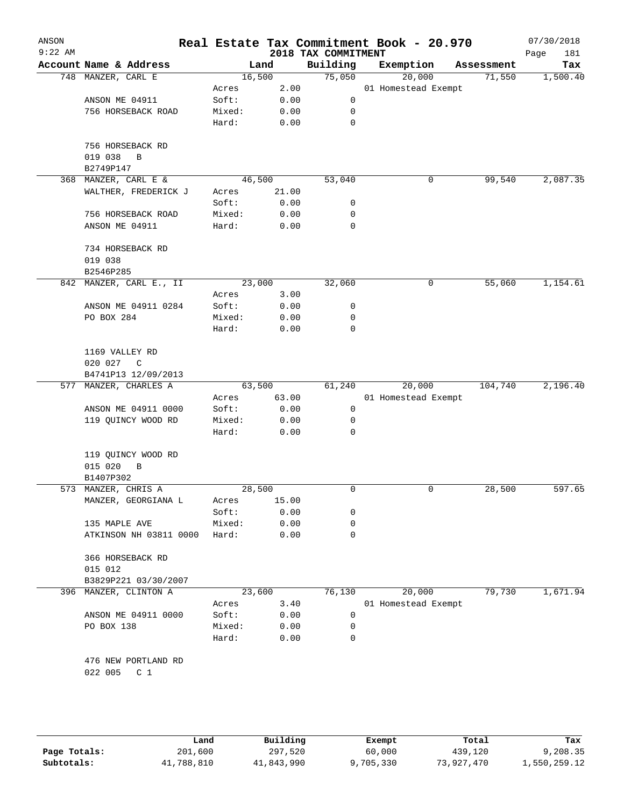| ANSON<br>$9:22$ AM |                           |        |        | Real Estate Tax Commitment Book - 20.970<br>2018 TAX COMMITMENT |                     |        |            | 07/30/2018<br>Page<br>181 |
|--------------------|---------------------------|--------|--------|-----------------------------------------------------------------|---------------------|--------|------------|---------------------------|
|                    | Account Name & Address    |        | Land   | Building                                                        | Exemption           |        | Assessment | Tax                       |
|                    | 748 MANZER, CARL E        |        | 16,500 | 75,050                                                          |                     | 20,000 | 71,550     | 1,500.40                  |
|                    |                           | Acres  | 2.00   |                                                                 | 01 Homestead Exempt |        |            |                           |
|                    | ANSON ME 04911            | Soft:  | 0.00   | 0                                                               |                     |        |            |                           |
|                    | 756 HORSEBACK ROAD        | Mixed: | 0.00   | 0                                                               |                     |        |            |                           |
|                    |                           | Hard:  | 0.00   | 0                                                               |                     |        |            |                           |
|                    | 756 HORSEBACK RD          |        |        |                                                                 |                     |        |            |                           |
|                    | 019 038<br>B              |        |        |                                                                 |                     |        |            |                           |
|                    | B2749P147                 |        |        |                                                                 |                     |        |            |                           |
| 368                | MANZER, CARL E &          |        | 46,500 | 53,040                                                          |                     | 0      | 99,540     | 2,087.35                  |
|                    | WALTHER, FREDERICK J      | Acres  | 21.00  |                                                                 |                     |        |            |                           |
|                    |                           | Soft:  | 0.00   | 0                                                               |                     |        |            |                           |
|                    | 756 HORSEBACK ROAD        | Mixed: | 0.00   | 0                                                               |                     |        |            |                           |
|                    | ANSON ME 04911            | Hard:  | 0.00   | 0                                                               |                     |        |            |                           |
|                    | 734 HORSEBACK RD          |        |        |                                                                 |                     |        |            |                           |
|                    | 019 038                   |        |        |                                                                 |                     |        |            |                           |
|                    | B2546P285                 |        |        |                                                                 |                     |        |            |                           |
|                    | 842 MANZER, CARL E., II   |        | 23,000 | 32,060                                                          |                     | 0      | 55,060     | 1,154.61                  |
|                    |                           | Acres  | 3.00   |                                                                 |                     |        |            |                           |
|                    | ANSON ME 04911 0284       | Soft:  | 0.00   | 0                                                               |                     |        |            |                           |
|                    | PO BOX 284                | Mixed: | 0.00   | 0                                                               |                     |        |            |                           |
|                    |                           | Hard:  | 0.00   | 0                                                               |                     |        |            |                           |
|                    | 1169 VALLEY RD            |        |        |                                                                 |                     |        |            |                           |
|                    | 020 027<br>C              |        |        |                                                                 |                     |        |            |                           |
|                    | B4741P13 12/09/2013       |        |        |                                                                 |                     |        |            |                           |
|                    | 577 MANZER, CHARLES A     |        | 63,500 | 61,240                                                          |                     | 20,000 | 104,740    | 2,196.40                  |
|                    |                           | Acres  | 63.00  |                                                                 | 01 Homestead Exempt |        |            |                           |
|                    | ANSON ME 04911 0000       | Soft:  | 0.00   | 0                                                               |                     |        |            |                           |
|                    | 119 QUINCY WOOD RD        | Mixed: | 0.00   | 0                                                               |                     |        |            |                           |
|                    |                           | Hard:  | 0.00   | 0                                                               |                     |        |            |                           |
|                    | 119 QUINCY WOOD RD        |        |        |                                                                 |                     |        |            |                           |
|                    | 015 020<br>В              |        |        |                                                                 |                     |        |            |                           |
|                    | B1407P302                 |        |        |                                                                 |                     |        |            |                           |
|                    | 573 MANZER, CHRIS A       |        | 28,500 | 0                                                               |                     | 0      | 28,500     | 597.65                    |
|                    | MANZER, GEORGIANA L       | Acres  | 15.00  |                                                                 |                     |        |            |                           |
|                    |                           | Soft:  | 0.00   | 0                                                               |                     |        |            |                           |
|                    | 135 MAPLE AVE             | Mixed: | 0.00   | 0                                                               |                     |        |            |                           |
|                    | ATKINSON NH 03811 0000    | Hard:  | 0.00   | 0                                                               |                     |        |            |                           |
|                    | 366 HORSEBACK RD          |        |        |                                                                 |                     |        |            |                           |
|                    | 015 012                   |        |        |                                                                 |                     |        |            |                           |
|                    | B3829P221 03/30/2007      |        |        |                                                                 |                     |        |            |                           |
| 396                | MANZER, CLINTON A         |        | 23,600 | 76,130                                                          |                     | 20,000 | 79,730     | 1,671.94                  |
|                    |                           | Acres  | 3.40   |                                                                 | 01 Homestead Exempt |        |            |                           |
|                    | ANSON ME 04911 0000       | Soft:  | 0.00   | 0                                                               |                     |        |            |                           |
|                    | PO BOX 138                | Mixed: | 0.00   | 0                                                               |                     |        |            |                           |
|                    |                           | Hard:  | 0.00   | 0                                                               |                     |        |            |                           |
|                    | 476 NEW PORTLAND RD       |        |        |                                                                 |                     |        |            |                           |
|                    | 022 005<br>C <sub>1</sub> |        |        |                                                                 |                     |        |            |                           |
|                    |                           |        |        |                                                                 |                     |        |            |                           |
|                    |                           |        |        |                                                                 |                     |        |            |                           |
|                    |                           |        |        |                                                                 |                     |        |            |                           |

|              | Land       | Building   | Exempt    | Total      | Tax          |
|--------------|------------|------------|-----------|------------|--------------|
| Page Totals: | 201,600    | 297,520    | 60,000    | 439,120    | 9,208.35     |
| Subtotals:   | 41,788,810 | 41,843,990 | 9,705,330 | 73,927,470 | 1,550,259.12 |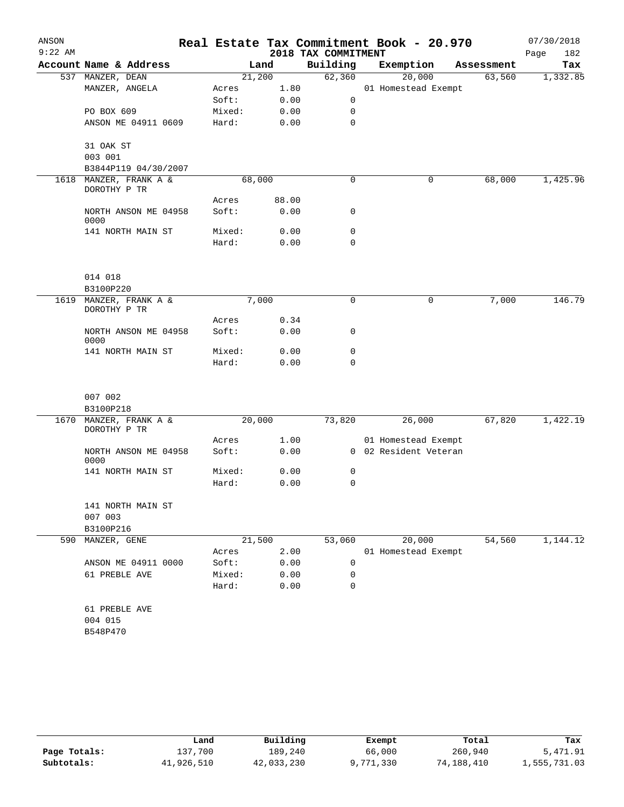| ANSON     |                                        |        |       |                     | Real Estate Tax Commitment Book - 20.970 |            | 07/30/2018  |
|-----------|----------------------------------------|--------|-------|---------------------|------------------------------------------|------------|-------------|
| $9:22$ AM |                                        |        |       | 2018 TAX COMMITMENT |                                          |            | Page<br>182 |
|           | Account Name & Address                 |        | Land  | Building            | Exemption                                | Assessment | Tax         |
|           | 537 MANZER, DEAN                       | 21,200 |       | 62,360              | 20,000                                   | 63,560     | 1,332.85    |
|           | MANZER, ANGELA                         | Acres  | 1.80  |                     | 01 Homestead Exempt                      |            |             |
|           |                                        | Soft:  | 0.00  | 0                   |                                          |            |             |
|           | PO BOX 609                             | Mixed: | 0.00  | 0                   |                                          |            |             |
|           | ANSON ME 04911 0609                    | Hard:  | 0.00  | 0                   |                                          |            |             |
|           | 31 OAK ST                              |        |       |                     |                                          |            |             |
|           | 003 001                                |        |       |                     |                                          |            |             |
|           | B3844P119 04/30/2007                   |        |       |                     |                                          |            |             |
| 1618      | MANZER, FRANK A &<br>DOROTHY P TR      | 68,000 |       | 0                   | 0                                        | 68,000     | 1,425.96    |
|           |                                        | Acres  | 88.00 |                     |                                          |            |             |
|           | NORTH ANSON ME 04958<br>0000           | Soft:  | 0.00  | 0                   |                                          |            |             |
|           | 141 NORTH MAIN ST                      | Mixed: | 0.00  | 0                   |                                          |            |             |
|           |                                        | Hard:  | 0.00  | 0                   |                                          |            |             |
|           | 014 018                                |        |       |                     |                                          |            |             |
|           | B3100P220                              |        |       |                     |                                          |            |             |
| 1619      | MANZER, FRANK A &<br>DOROTHY P TR      | 7,000  |       | 0                   | 0                                        | 7,000      | 146.79      |
|           |                                        | Acres  | 0.34  |                     |                                          |            |             |
|           | NORTH ANSON ME 04958<br>0000           | Soft:  | 0.00  | 0                   |                                          |            |             |
|           | 141 NORTH MAIN ST                      | Mixed: | 0.00  | 0                   |                                          |            |             |
|           |                                        | Hard:  | 0.00  | 0                   |                                          |            |             |
|           | 007 002                                |        |       |                     |                                          |            |             |
|           | B3100P218                              |        |       |                     |                                          |            |             |
|           | 1670 MANZER, FRANK A &<br>DOROTHY P TR | 20,000 |       | 73,820              | 26,000                                   | 67,820     | 1,422.19    |
|           |                                        | Acres  | 1.00  |                     | 01 Homestead Exempt                      |            |             |
|           | NORTH ANSON ME 04958<br>0000           | Soft:  | 0.00  |                     | 0 02 Resident Veteran                    |            |             |
|           | 141 NORTH MAIN ST                      | Mixed: | 0.00  | 0                   |                                          |            |             |
|           |                                        | Hard:  | 0.00  | 0                   |                                          |            |             |
|           | 141 NORTH MAIN ST                      |        |       |                     |                                          |            |             |
|           | 007 003                                |        |       |                     |                                          |            |             |
|           | B3100P216                              |        |       |                     |                                          |            |             |
| 590       | MANZER, GENE                           | 21,500 |       | 53,060              | 20,000                                   | 54,560     | 1,144.12    |
|           |                                        | Acres  | 2.00  |                     | 01 Homestead Exempt                      |            |             |
|           | ANSON ME 04911 0000                    | Soft:  | 0.00  | 0                   |                                          |            |             |
|           | 61 PREBLE AVE                          | Mixed: | 0.00  | 0                   |                                          |            |             |
|           |                                        | Hard:  | 0.00  | 0                   |                                          |            |             |
|           | 61 PREBLE AVE                          |        |       |                     |                                          |            |             |
|           | 004 015                                |        |       |                     |                                          |            |             |
|           | B548P470                               |        |       |                     |                                          |            |             |
|           |                                        |        |       |                     |                                          |            |             |

|              | Land       | Building   | Exempt    | Total      | Tax          |
|--------------|------------|------------|-----------|------------|--------------|
| Page Totals: | 137,700    | 189,240    | 66,000    | 260,940    | 5,471.91     |
| Subtotals:   | 41,926,510 | 42,033,230 | 9,771,330 | 74,188,410 | 1,555,731.03 |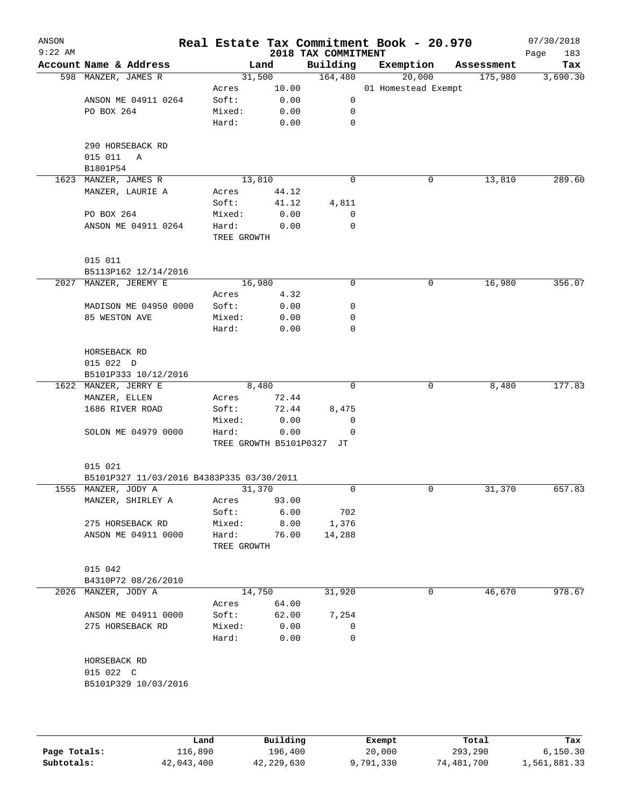| $9:22$ AM |                                                                  |                        |       | 2018 TAX COMMITMENT |                     |            | 183<br>Page |
|-----------|------------------------------------------------------------------|------------------------|-------|---------------------|---------------------|------------|-------------|
|           | Account Name & Address                                           |                        | Land  | Building            | Exemption           | Assessment | Tax         |
|           | 598 MANZER, JAMES R                                              | 31,500                 |       | 164,480             | 20,000              | 175,980    | 3,690.30    |
|           |                                                                  | Acres                  | 10.00 |                     | 01 Homestead Exempt |            |             |
|           | ANSON ME 04911 0264                                              | Soft:                  | 0.00  | 0                   |                     |            |             |
|           | PO BOX 264                                                       | Mixed:                 | 0.00  | 0                   |                     |            |             |
|           |                                                                  | Hard:                  | 0.00  | 0                   |                     |            |             |
|           | 290 HORSEBACK RD                                                 |                        |       |                     |                     |            |             |
|           | 015 011<br>Α                                                     |                        |       |                     |                     |            |             |
|           | B1801P54                                                         |                        |       |                     |                     |            |             |
|           | 1623 MANZER, JAMES R                                             | 13,810                 |       | 0                   | 0                   | 13,810     | 289.60      |
|           | MANZER, LAURIE A                                                 | Acres                  | 44.12 |                     |                     |            |             |
|           |                                                                  | Soft:                  | 41.12 | 4,811               |                     |            |             |
|           | PO BOX 264                                                       | Mixed:                 | 0.00  | 0                   |                     |            |             |
|           | ANSON ME 04911 0264                                              | Hard:<br>TREE GROWTH   | 0.00  | 0                   |                     |            |             |
|           | 015 011                                                          |                        |       |                     |                     |            |             |
|           | B5113P162 12/14/2016                                             |                        |       |                     |                     |            |             |
|           | 2027 MANZER, JEREMY E                                            | 16,980                 |       | 0                   | 0                   | 16,980     | 356.07      |
|           |                                                                  | Acres                  | 4.32  |                     |                     |            |             |
|           | MADISON ME 04950 0000                                            | Soft:                  | 0.00  | 0                   |                     |            |             |
|           | 85 WESTON AVE                                                    | Mixed:                 | 0.00  | 0                   |                     |            |             |
|           |                                                                  | Hard:                  | 0.00  | 0                   |                     |            |             |
|           | HORSEBACK RD                                                     |                        |       |                     |                     |            |             |
|           | 015 022 D                                                        |                        |       |                     |                     |            |             |
|           | B5101P333 10/12/2016                                             |                        |       |                     |                     |            |             |
|           | 1622 MANZER, JERRY E                                             |                        | 8,480 | $\mathbf 0$         | 0                   | 8,480      | 177.83      |
|           | MANZER, ELLEN                                                    | Acres                  | 72.44 |                     |                     |            |             |
|           | 1686 RIVER ROAD                                                  | Soft:                  | 72.44 | 8,475               |                     |            |             |
|           |                                                                  | Mixed:                 | 0.00  | 0                   |                     |            |             |
|           | SOLON ME 04979 0000                                              | Hard:                  | 0.00  | 0                   |                     |            |             |
|           |                                                                  | TREE GROWTH B5101P0327 |       | JT                  |                     |            |             |
|           | 015 021                                                          |                        |       |                     |                     |            |             |
|           | B5101P327 11/03/2016 B4383P335 03/30/2011<br>1555 MANZER, JODY A | 31,370                 |       | 0                   | 0                   | 31,370     | 657.83      |
|           | MANZER, SHIRLEY A                                                | Acres                  | 93.00 |                     |                     |            |             |
|           |                                                                  | Soft:                  | 6.00  | 702                 |                     |            |             |
|           | 275 HORSEBACK RD                                                 | Mixed:                 | 8.00  | 1,376               |                     |            |             |
|           | ANSON ME 04911 0000                                              | Hard:                  | 76.00 | 14,288              |                     |            |             |
|           |                                                                  | TREE GROWTH            |       |                     |                     |            |             |
|           | 015 042                                                          |                        |       |                     |                     |            |             |
|           | B4310P72 08/26/2010                                              |                        |       |                     |                     |            |             |
|           | 2026 MANZER, JODY A                                              | 14,750                 |       | 31,920              | 0                   | 46,670     | 978.67      |
|           |                                                                  | Acres                  | 64.00 |                     |                     |            |             |
|           | ANSON ME 04911 0000                                              | Soft:                  | 62.00 | 7,254               |                     |            |             |
|           | 275 HORSEBACK RD                                                 | Mixed:                 | 0.00  | 0                   |                     |            |             |
|           |                                                                  | Hard:                  | 0.00  | 0                   |                     |            |             |
|           | HORSEBACK RD                                                     |                        |       |                     |                     |            |             |
|           | 015 022 C                                                        |                        |       |                     |                     |            |             |
|           | B5101P329 10/03/2016                                             |                        |       |                     |                     |            |             |
|           |                                                                  |                        |       |                     |                     |            |             |
|           |                                                                  |                        |       |                     |                     |            |             |

|              | Land       | Building   | Exempt    | Total      | Tax          |
|--------------|------------|------------|-----------|------------|--------------|
| Page Totals: | 116,890    | 196,400    | 20,000    | 293,290    | 6.150.30     |
| Subtotals:   | 42,043,400 | 42,229,630 | 9,791,330 | 74,481,700 | 1,561,881.33 |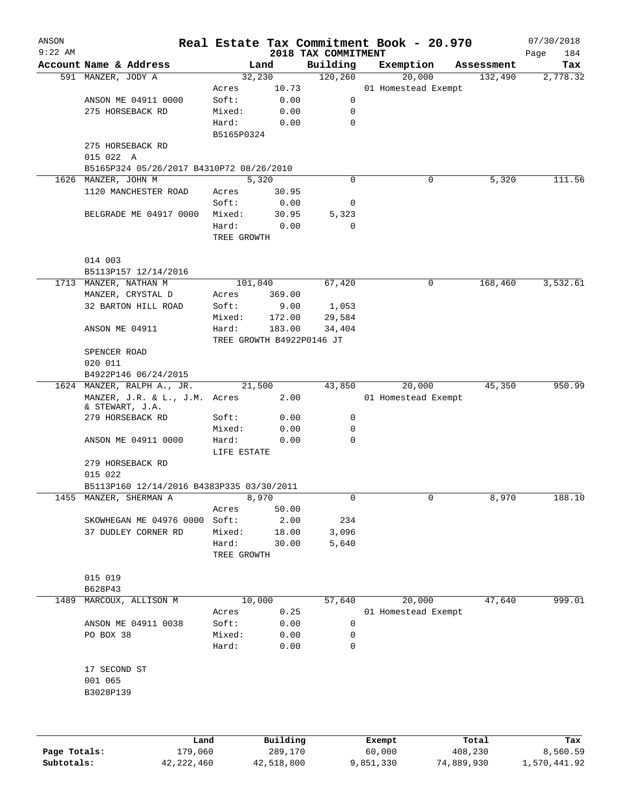| ANSON<br>$9:22$ AM |                                                  |             |                           | 2018 TAX COMMITMENT | Real Estate Tax Commitment Book - 20.970 |            | 07/30/2018<br>184<br>Page |
|--------------------|--------------------------------------------------|-------------|---------------------------|---------------------|------------------------------------------|------------|---------------------------|
|                    | Account Name & Address                           |             | Land                      | Building            | Exemption                                | Assessment | Tax                       |
|                    | 591 MANZER, JODY A                               |             | 32,230                    | 120,260             | 20,000                                   | 132,490    | 2,778.32                  |
|                    |                                                  | Acres       | 10.73                     |                     | 01 Homestead Exempt                      |            |                           |
|                    | ANSON ME 04911 0000                              | Soft:       | 0.00                      | 0                   |                                          |            |                           |
|                    | 275 HORSEBACK RD                                 | Mixed:      | 0.00                      | 0                   |                                          |            |                           |
|                    |                                                  | Hard:       | 0.00                      | $\mathbf 0$         |                                          |            |                           |
|                    |                                                  | B5165P0324  |                           |                     |                                          |            |                           |
|                    | 275 HORSEBACK RD                                 |             |                           |                     |                                          |            |                           |
|                    | 015 022 A                                        |             |                           |                     |                                          |            |                           |
|                    | B5165P324 05/26/2017 B4310P72 08/26/2010         |             |                           |                     |                                          |            |                           |
|                    | 1626 MANZER, JOHN M                              |             | 5,320                     | 0                   | 0                                        | 5,320      | 111.56                    |
|                    | 1120 MANCHESTER ROAD                             | Acres       | 30.95                     |                     |                                          |            |                           |
|                    |                                                  | Soft:       | 0.00                      | 0                   |                                          |            |                           |
|                    | BELGRADE ME 04917 0000                           | Mixed:      | 30.95                     | 5,323               |                                          |            |                           |
|                    |                                                  | Hard:       | 0.00                      | $\mathbf 0$         |                                          |            |                           |
|                    |                                                  | TREE GROWTH |                           |                     |                                          |            |                           |
|                    | 014 003                                          |             |                           |                     |                                          |            |                           |
|                    | B5113P157 12/14/2016                             |             |                           |                     |                                          |            |                           |
|                    | 1713 MANZER, NATHAN M                            |             | 101,040                   | 67,420              | 0                                        | 168,460    | 3,532.61                  |
|                    | MANZER, CRYSTAL D                                | Acres       | 369.00                    |                     |                                          |            |                           |
|                    | 32 BARTON HILL ROAD                              | Soft:       | 9.00                      | 1,053               |                                          |            |                           |
|                    |                                                  | Mixed:      | 172.00                    | 29,584              |                                          |            |                           |
|                    | ANSON ME 04911                                   | Hard:       | 183.00                    | 34,404              |                                          |            |                           |
|                    |                                                  |             | TREE GROWTH B4922P0146 JT |                     |                                          |            |                           |
|                    | SPENCER ROAD                                     |             |                           |                     |                                          |            |                           |
|                    | 020 011                                          |             |                           |                     |                                          |            |                           |
|                    | B4922P146 06/24/2015                             |             |                           |                     |                                          |            |                           |
|                    | 1624 MANZER, RALPH A., JR.                       |             | 21,500                    | 43,850              | 20,000                                   | 45,350     | 950.99                    |
|                    | MANZER, J.R. & L., J.M. Acres<br>& STEWART, J.A. |             | 2.00                      |                     | 01 Homestead Exempt                      |            |                           |
|                    | 279 HORSEBACK RD                                 | Soft:       | 0.00                      | 0                   |                                          |            |                           |
|                    |                                                  | Mixed:      | 0.00                      | 0                   |                                          |            |                           |
|                    | ANSON ME 04911 0000                              | Hard:       | 0.00                      | $\mathbf 0$         |                                          |            |                           |
|                    |                                                  | LIFE ESTATE |                           |                     |                                          |            |                           |
|                    | 279 HORSEBACK RD<br>015 022                      |             |                           |                     |                                          |            |                           |
|                    | B5113P160 12/14/2016 B4383P335 03/30/2011        |             |                           |                     |                                          |            |                           |
|                    | 1455 MANZER, SHERMAN A                           |             | 8,970                     | 0                   | 0                                        | 8,970      | 188.10                    |
|                    |                                                  | Acres       | 50.00                     |                     |                                          |            |                           |
|                    | SKOWHEGAN ME 04976 0000                          | Soft:       | 2.00                      | 234                 |                                          |            |                           |
|                    | 37 DUDLEY CORNER RD                              | Mixed:      | 18.00                     | 3,096               |                                          |            |                           |
|                    |                                                  | Hard:       | 30.00                     | 5,640               |                                          |            |                           |
|                    |                                                  | TREE GROWTH |                           |                     |                                          |            |                           |
|                    |                                                  |             |                           |                     |                                          |            |                           |
|                    | 015 019<br>B628P43                               |             |                           |                     |                                          |            |                           |
| 1489               | MARCOUX, ALLISON M                               |             | 10,000                    | 57,640              | 20,000                                   | 47,640     | 999.01                    |
|                    |                                                  | Acres       | 0.25                      |                     | 01 Homestead Exempt                      |            |                           |
|                    | ANSON ME 04911 0038                              | Soft:       | 0.00                      | 0                   |                                          |            |                           |
|                    | PO BOX 38                                        | Mixed:      | 0.00                      | 0                   |                                          |            |                           |
|                    |                                                  | Hard:       | 0.00                      | 0                   |                                          |            |                           |
|                    |                                                  |             |                           |                     |                                          |            |                           |
|                    | 17 SECOND ST                                     |             |                           |                     |                                          |            |                           |
|                    | 001 065                                          |             |                           |                     |                                          |            |                           |
|                    | B3028P139                                        |             |                           |                     |                                          |            |                           |
|                    |                                                  |             |                           |                     |                                          |            |                           |
|                    |                                                  |             |                           |                     |                                          |            |                           |
|                    | Land                                             |             | Building                  |                     | Exempt                                   | Total      | Tax                       |

|              | Land         | Building   | Exempt    | Total      | Tax          |
|--------------|--------------|------------|-----------|------------|--------------|
| Page Totals: | 179,060      | 289,170    | 60,000    | 408,230    | 8,560.59     |
| Subtotals:   | 42, 222, 460 | 42,518,800 | 9,851,330 | 74,889,930 | 1,570,441.92 |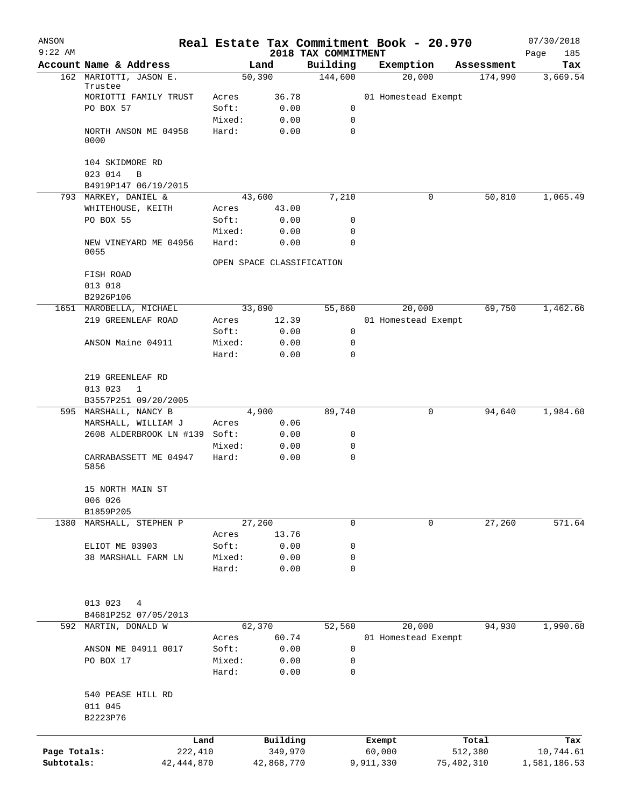| ANSON<br>$9:22$ AM |                                             |                 |                           | 2018 TAX COMMITMENT | Real Estate Tax Commitment Book - 20.970 |            |            | 07/30/2018         |
|--------------------|---------------------------------------------|-----------------|---------------------------|---------------------|------------------------------------------|------------|------------|--------------------|
|                    | Account Name & Address                      |                 | Land                      | Building            | Exemption                                |            | Assessment | 185<br>Page<br>Tax |
|                    | 162 MARIOTTI, JASON E.                      |                 | 50,390                    | 144,600             | 20,000                                   |            | 174,990    | 3,669.54           |
|                    | Trustee<br>MORIOTTI FAMILY TRUST            | Acres           | 36.78                     |                     | 01 Homestead Exempt                      |            |            |                    |
|                    | PO BOX 57                                   | Soft:           | 0.00                      | 0                   |                                          |            |            |                    |
|                    |                                             | Mixed:          | 0.00                      | 0                   |                                          |            |            |                    |
|                    | NORTH ANSON ME 04958<br>0000                | Hard:           | 0.00                      | $\mathbf 0$         |                                          |            |            |                    |
|                    | 104 SKIDMORE RD<br>023 014<br>B             |                 |                           |                     |                                          |            |            |                    |
|                    | B4919P147 06/19/2015                        |                 |                           |                     |                                          |            |            |                    |
|                    | 793 MARKEY, DANIEL &                        |                 | 43,600                    | 7,210               |                                          | 0          | 50,810     | 1,065.49           |
|                    | WHITEHOUSE, KEITH                           | Acres           | 43.00                     |                     |                                          |            |            |                    |
|                    | PO BOX 55                                   | Soft:           | 0.00                      | 0                   |                                          |            |            |                    |
|                    |                                             | Mixed:          | 0.00                      | 0                   |                                          |            |            |                    |
|                    | NEW VINEYARD ME 04956<br>0055               | Hard:           | 0.00                      | $\Omega$            |                                          |            |            |                    |
|                    |                                             |                 | OPEN SPACE CLASSIFICATION |                     |                                          |            |            |                    |
|                    | FISH ROAD                                   |                 |                           |                     |                                          |            |            |                    |
|                    | 013 018                                     |                 |                           |                     |                                          |            |            |                    |
|                    | B2926P106                                   |                 |                           |                     |                                          |            |            |                    |
|                    | 1651 MAROBELLA, MICHAEL                     |                 | 33,890                    | 55,860              | 20,000                                   |            | 69,750     | 1,462.66           |
|                    | 219 GREENLEAF ROAD                          | Acres           | 12.39                     |                     | 01 Homestead Exempt                      |            |            |                    |
|                    |                                             | Soft:           | 0.00                      | $\mathbf 0$         |                                          |            |            |                    |
|                    | ANSON Maine 04911                           | Mixed:          | 0.00                      | 0                   |                                          |            |            |                    |
|                    |                                             | Hard:           | 0.00                      | $\mathbf 0$         |                                          |            |            |                    |
|                    | 219 GREENLEAF RD<br>013 023<br>$\mathbf{1}$ |                 |                           |                     |                                          |            |            |                    |
|                    | B3557P251 09/20/2005                        |                 |                           |                     |                                          |            |            |                    |
|                    | 595 MARSHALL, NANCY B                       |                 | 4,900                     | 89,740              |                                          | 0          | 94,640     | 1,984.60           |
|                    | MARSHALL, WILLIAM J                         | Acres           | 0.06                      |                     |                                          |            |            |                    |
|                    | 2608 ALDERBROOK LN #139 Soft:               |                 | 0.00                      | 0                   |                                          |            |            |                    |
|                    |                                             | Mixed:          | 0.00                      | 0                   |                                          |            |            |                    |
|                    | CARRABASSETT ME 04947<br>5856               | Hard:           | 0.00                      | 0                   |                                          |            |            |                    |
|                    | 15 NORTH MAIN ST                            |                 |                           |                     |                                          |            |            |                    |
|                    | 006 026                                     |                 |                           |                     |                                          |            |            |                    |
|                    | B1859P205                                   |                 |                           |                     |                                          |            |            |                    |
| 1380               | MARSHALL, STEPHEN P                         |                 | 27,260                    | 0                   |                                          | 0          | 27,260     | 571.64             |
|                    |                                             | Acres           | 13.76                     |                     |                                          |            |            |                    |
|                    | ELIOT ME 03903                              | Soft:           | 0.00                      | 0                   |                                          |            |            |                    |
|                    | 38 MARSHALL FARM LN                         | Mixed:<br>Hard: | 0.00<br>0.00              | 0<br>0              |                                          |            |            |                    |
|                    |                                             |                 |                           |                     |                                          |            |            |                    |
|                    | 013 023<br>4                                |                 |                           |                     |                                          |            |            |                    |
|                    | B4681P252 07/05/2013                        |                 |                           |                     |                                          |            |            |                    |
| 592                | MARTIN, DONALD W                            |                 | 62,370                    | 52,560              | 20,000                                   |            | 94,930     | 1,990.68           |
|                    |                                             | Acres           | 60.74                     |                     | 01 Homestead Exempt                      |            |            |                    |
|                    | ANSON ME 04911 0017                         | Soft:           | 0.00                      | 0                   |                                          |            |            |                    |
|                    | PO BOX 17                                   | Mixed:          | 0.00                      | 0                   |                                          |            |            |                    |
|                    |                                             | Hard:           | 0.00                      | 0                   |                                          |            |            |                    |
|                    | 540 PEASE HILL RD<br>011 045<br>B2223P76    |                 |                           |                     |                                          |            |            |                    |
|                    |                                             |                 |                           |                     |                                          |            |            |                    |
|                    |                                             | Land            | Building                  |                     | Exempt                                   |            | Total      | Tax                |
| Page Totals:       |                                             | 222,410         | 349,970                   |                     | 60,000                                   |            | 512,380    | 10,744.61          |
| Subtotals:         | 42,444,870                                  |                 | 42,868,770                |                     | 9,911,330                                | 75,402,310 |            | 1,581,186.53       |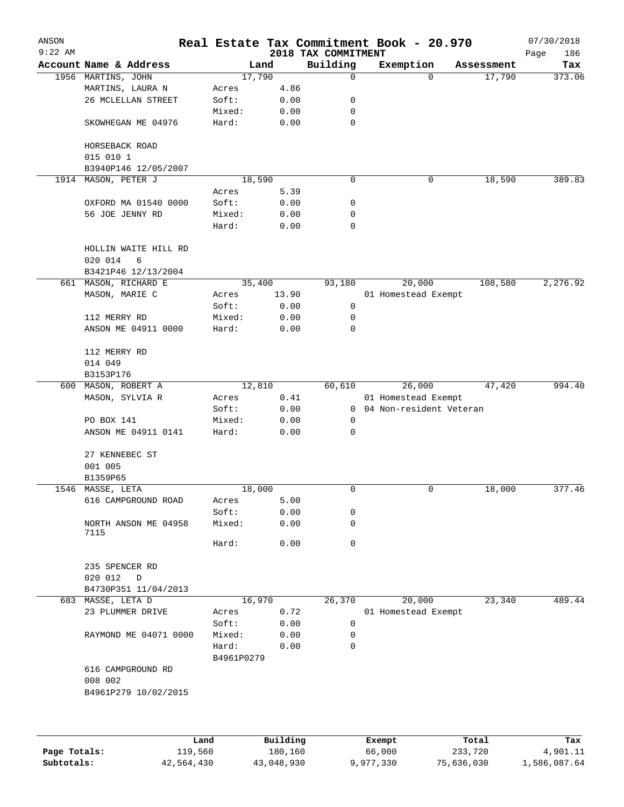| ANSON        |                                      |                     |              |                                 | Real Estate Tax Commitment Book - 20.970 |            | 07/30/2018         |
|--------------|--------------------------------------|---------------------|--------------|---------------------------------|------------------------------------------|------------|--------------------|
| $9:22$ AM    | Account Name & Address               |                     | Land         | 2018 TAX COMMITMENT<br>Building | Exemption                                | Assessment | 186<br>Page<br>Tax |
|              | 1956 MARTINS, JOHN                   |                     | 17,790       | 0                               | $\Omega$                                 | 17,790     | 373.06             |
|              | MARTINS, LAURA N                     | Acres               | 4.86         |                                 |                                          |            |                    |
|              | 26 MCLELLAN STREET                   | Soft:               | 0.00         | 0                               |                                          |            |                    |
|              |                                      | Mixed:              | 0.00         | 0                               |                                          |            |                    |
|              | SKOWHEGAN ME 04976                   | Hard:               | 0.00         | 0                               |                                          |            |                    |
|              | HORSEBACK ROAD                       |                     |              |                                 |                                          |            |                    |
|              | 015 010 1                            |                     |              |                                 |                                          |            |                    |
|              | B3940P146 12/05/2007                 |                     |              |                                 |                                          |            |                    |
|              | 1914 MASON, PETER J                  |                     | 18,590       | 0                               | 0                                        | 18,590     | 389.83             |
|              |                                      | Acres               | 5.39         |                                 |                                          |            |                    |
|              | OXFORD MA 01540 0000                 | Soft:               | 0.00         | 0                               |                                          |            |                    |
|              | 56 JOE JENNY RD                      | Mixed:              | 0.00         | 0                               |                                          |            |                    |
|              |                                      | Hard:               | 0.00         | 0                               |                                          |            |                    |
|              | HOLLIN WAITE HILL RD<br>6<br>020 014 |                     |              |                                 |                                          |            |                    |
|              | B3421P46 12/13/2004                  |                     |              |                                 |                                          |            |                    |
|              | 661 MASON, RICHARD E                 |                     | 35,400       | 93,180                          | 20,000                                   | 108,580    | 2,276.92           |
|              | MASON, MARIE C                       | Acres               | 13.90        |                                 | 01 Homestead Exempt                      |            |                    |
|              |                                      | Soft:               | 0.00         | 0                               |                                          |            |                    |
|              | 112 MERRY RD                         | Mixed:              | 0.00         | 0                               |                                          |            |                    |
|              | ANSON ME 04911 0000                  | Hard:               | 0.00         | 0                               |                                          |            |                    |
|              | 112 MERRY RD                         |                     |              |                                 |                                          |            |                    |
|              | 014 049                              |                     |              |                                 |                                          |            |                    |
|              | B3153P176                            |                     |              |                                 |                                          |            |                    |
|              | 600 MASON, ROBERT A                  |                     | 12,810       | 60,610                          | 26,000                                   | 47,420     | 994.40             |
|              | MASON, SYLVIA R                      | Acres               | $0.41\,$     |                                 | 01 Homestead Exempt                      |            |                    |
|              |                                      | Soft:               | 0.00         |                                 | 0 04 Non-resident Veteran                |            |                    |
|              | PO BOX 141                           | Mixed:              | 0.00         | $\mathbf 0$                     |                                          |            |                    |
|              | ANSON ME 04911 0141                  | Hard:               | 0.00         | 0                               |                                          |            |                    |
|              |                                      |                     |              |                                 |                                          |            |                    |
|              | 27 KENNEBEC ST<br>001 005            |                     |              |                                 |                                          |            |                    |
|              | B1359P65                             |                     |              |                                 |                                          |            |                    |
|              | 1546 MASSE, LETA                     |                     | 18,000       | 0                               | 0                                        | 18,000     | 377.46             |
|              |                                      |                     |              |                                 |                                          |            |                    |
|              | 616 CAMPGROUND ROAD                  | Acres<br>Soft:      | 5.00         |                                 |                                          |            |                    |
|              | NORTH ANSON ME 04958                 | Mixed:              | 0.00<br>0.00 | 0<br>0                          |                                          |            |                    |
|              | 7115                                 |                     |              |                                 |                                          |            |                    |
|              |                                      | Hard:               | 0.00         | 0                               |                                          |            |                    |
|              | 235 SPENCER RD                       |                     |              |                                 |                                          |            |                    |
|              | 020 012<br>D                         |                     |              |                                 |                                          |            |                    |
|              | B4730P351 11/04/2013                 |                     |              |                                 |                                          |            |                    |
| 683          | MASSE, LETA D                        |                     | 16,970       | 26,370                          | 20,000                                   | 23,340     | 489.44             |
|              | 23 PLUMMER DRIVE                     | Acres               | 0.72         |                                 | 01 Homestead Exempt                      |            |                    |
|              |                                      | Soft:               | 0.00         | 0                               |                                          |            |                    |
|              | RAYMOND ME 04071 0000                | Mixed:              | 0.00         | 0                               |                                          |            |                    |
|              |                                      | Hard:<br>B4961P0279 | 0.00         | 0                               |                                          |            |                    |
|              | 616 CAMPGROUND RD                    |                     |              |                                 |                                          |            |                    |
|              | 008 002<br>B4961P279 10/02/2015      |                     |              |                                 |                                          |            |                    |
|              |                                      |                     |              |                                 |                                          |            |                    |
|              |                                      |                     |              |                                 |                                          |            |                    |
|              | Land                                 |                     | Building     |                                 | Exempt                                   | Total      | Tax                |
| Page Totals: | 119,560                              |                     | 180,160      |                                 | 66,000                                   | 233,720    | 4,901.11           |

**Subtotals:** 42,564,430 43,048,930 9,977,330 75,636,030 1,586,087.64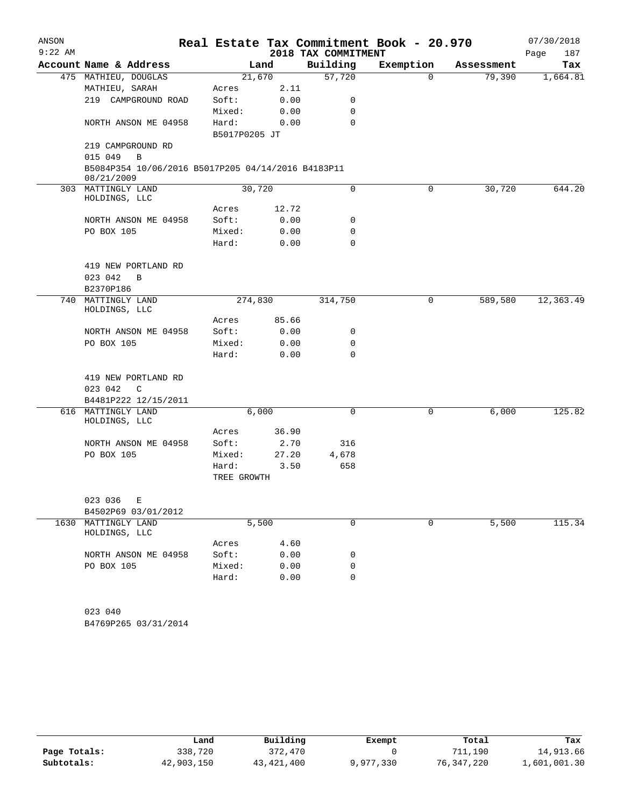| ANSON<br>$9:22$ AM |                                                                  |                        |              | 2018 TAX COMMITMENT | Real Estate Tax Commitment Book - 20.970 |            | 07/30/2018<br>187<br>Page |
|--------------------|------------------------------------------------------------------|------------------------|--------------|---------------------|------------------------------------------|------------|---------------------------|
|                    | Account Name & Address                                           |                        | Land         | Building            | Exemption                                | Assessment | Tax                       |
|                    | 475 MATHIEU, DOUGLAS                                             |                        | 21,670       | 57,720              | $\mathbf 0$                              | 79,390     | 1,664.81                  |
|                    | MATHIEU, SARAH                                                   | Acres                  | 2.11         |                     |                                          |            |                           |
|                    | 219 CAMPGROUND ROAD                                              | Soft:                  | 0.00         | 0                   |                                          |            |                           |
|                    |                                                                  | Mixed:                 | 0.00         | 0                   |                                          |            |                           |
|                    | NORTH ANSON ME 04958                                             | Hard:<br>B5017P0205 JT | 0.00         | $\Omega$            |                                          |            |                           |
|                    | 219 CAMPGROUND RD                                                |                        |              |                     |                                          |            |                           |
|                    | 015 049<br>$\mathbf B$                                           |                        |              |                     |                                          |            |                           |
|                    | B5084P354 10/06/2016 B5017P205 04/14/2016 B4183P11<br>08/21/2009 |                        |              |                     |                                          |            |                           |
|                    | 303 MATTINGLY LAND                                               |                        | 30,720       | $\mathbf 0$         | $\mathbf 0$                              | 30,720     | 644.20                    |
|                    | HOLDINGS, LLC                                                    | Acres                  | 12.72        |                     |                                          |            |                           |
|                    | NORTH ANSON ME 04958                                             | Soft:                  | 0.00         | 0                   |                                          |            |                           |
|                    | PO BOX 105                                                       | Mixed:                 | 0.00         | 0                   |                                          |            |                           |
|                    |                                                                  | Hard:                  | 0.00         | 0                   |                                          |            |                           |
|                    |                                                                  |                        |              |                     |                                          |            |                           |
|                    | 419 NEW PORTLAND RD                                              |                        |              |                     |                                          |            |                           |
|                    | 023 042<br>B                                                     |                        |              |                     |                                          |            |                           |
|                    | B2370P186                                                        |                        |              |                     |                                          |            |                           |
|                    | 740 MATTINGLY LAND<br>HOLDINGS, LLC                              | 274,830                |              | 314,750             | 0                                        | 589,580    | 12,363.49                 |
|                    |                                                                  | Acres                  | 85.66        |                     |                                          |            |                           |
|                    | NORTH ANSON ME 04958                                             | Soft:                  | 0.00         | 0<br>$\mathbf 0$    |                                          |            |                           |
|                    | PO BOX 105                                                       | Mixed:<br>Hard:        | 0.00<br>0.00 | 0                   |                                          |            |                           |
|                    |                                                                  |                        |              |                     |                                          |            |                           |
|                    | 419 NEW PORTLAND RD                                              |                        |              |                     |                                          |            |                           |
|                    | 023 042<br>C                                                     |                        |              |                     |                                          |            |                           |
|                    | B4481P222 12/15/2011                                             |                        |              |                     |                                          |            | 125.82                    |
|                    | 616 MATTINGLY LAND<br>HOLDINGS, LLC                              |                        | 6,000        | $\mathbf 0$         | 0                                        | 6,000      |                           |
|                    |                                                                  | Acres                  | 36.90        |                     |                                          |            |                           |
|                    | NORTH ANSON ME 04958                                             | Soft:                  | 2.70         | 316                 |                                          |            |                           |
|                    | PO BOX 105                                                       | Mixed:                 | 27.20        | 4,678               |                                          |            |                           |
|                    |                                                                  | Hard:<br>TREE GROWTH   | 3.50         | 658                 |                                          |            |                           |
|                    | 023 036<br>Е                                                     |                        |              |                     |                                          |            |                           |
|                    | B4502P69 03/01/2012                                              |                        |              |                     |                                          |            |                           |
|                    | 1630 MATTINGLY LAND<br>HOLDINGS, LLC                             |                        | 5,500        | 0                   | 0                                        | 5,500      | 115.34                    |
|                    |                                                                  | Acres                  | 4.60         |                     |                                          |            |                           |
|                    | NORTH ANSON ME 04958                                             | Soft:                  | 0.00         | 0                   |                                          |            |                           |
|                    | PO BOX 105                                                       | Mixed:                 | 0.00         | 0                   |                                          |            |                           |
|                    |                                                                  | Hard:                  | 0.00         | 0                   |                                          |            |                           |
|                    |                                                                  |                        |              |                     |                                          |            |                           |
|                    | 023 040                                                          |                        |              |                     |                                          |            |                           |
|                    |                                                                  |                        |              |                     |                                          |            |                           |

B4769P265 03/31/2014

|              | Land       | Building   | Exempt    | Total      | Tax          |
|--------------|------------|------------|-----------|------------|--------------|
| Page Totals: | 338,720    | 372,470    |           | 711,190    | 14,913.66    |
| Subtotals:   | 42,903,150 | 43,421,400 | 9,977,330 | 76,347,220 | 1,601,001.30 |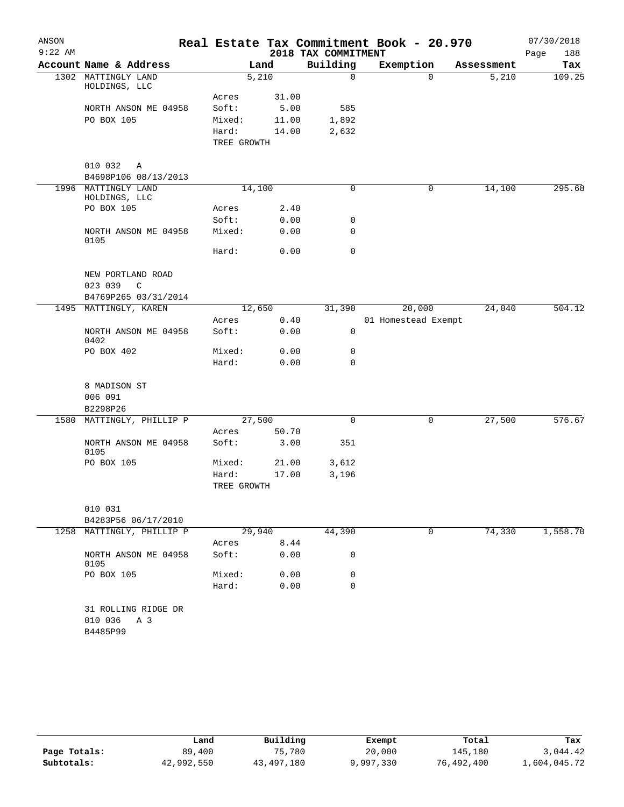| ANSON     |                                      |                      |        |                     | Real Estate Tax Commitment Book - 20.970 |            | 07/30/2018  |
|-----------|--------------------------------------|----------------------|--------|---------------------|------------------------------------------|------------|-------------|
| $9:22$ AM |                                      |                      |        | 2018 TAX COMMITMENT |                                          |            | 188<br>Page |
|           | Account Name & Address               |                      | Land   | Building            | Exemption                                | Assessment | Tax         |
| 1302      | MATTINGLY LAND<br>HOLDINGS, LLC      |                      | 5,210  | $\mathbf 0$         | $\mathbf 0$                              | 5,210      | 109.25      |
|           |                                      | Acres                | 31.00  |                     |                                          |            |             |
|           | NORTH ANSON ME 04958                 | Soft:                | 5.00   | 585                 |                                          |            |             |
|           | PO BOX 105                           | Mixed:               | 11.00  | 1,892               |                                          |            |             |
|           |                                      | Hard:<br>TREE GROWTH | 14.00  | 2,632               |                                          |            |             |
|           | 010 032<br>Α                         |                      |        |                     |                                          |            |             |
|           | B4698P106 08/13/2013                 |                      |        |                     |                                          |            |             |
|           | 1996 MATTINGLY LAND<br>HOLDINGS, LLC |                      | 14,100 | 0                   | 0                                        | 14,100     | 295.68      |
|           | PO BOX 105                           | Acres                | 2.40   |                     |                                          |            |             |
|           |                                      | Soft:                | 0.00   | 0                   |                                          |            |             |
|           | NORTH ANSON ME 04958<br>0105         | Mixed:               | 0.00   | 0                   |                                          |            |             |
|           |                                      | Hard:                | 0.00   | 0                   |                                          |            |             |
|           | NEW PORTLAND ROAD                    |                      |        |                     |                                          |            |             |
|           | 023 039<br>C                         |                      |        |                     |                                          |            |             |
|           | B4769P265 03/31/2014                 |                      |        |                     |                                          |            |             |
|           | 1495 MATTINGLY, KAREN                |                      | 12,650 | 31,390              | 20,000                                   | 24,040     | 504.12      |
|           |                                      | Acres                | 0.40   |                     | 01 Homestead Exempt                      |            |             |
|           | NORTH ANSON ME 04958<br>0402         | Soft:                | 0.00   | 0                   |                                          |            |             |
|           | PO BOX 402                           | Mixed:               | 0.00   | 0                   |                                          |            |             |
|           |                                      | Hard:                | 0.00   | $\Omega$            |                                          |            |             |
|           | 8 MADISON ST                         |                      |        |                     |                                          |            |             |
|           | 006 091<br>B2298P26                  |                      |        |                     |                                          |            |             |
|           | 1580 MATTINGLY, PHILLIP P            |                      | 27,500 | $\mathbf 0$         | 0                                        | 27,500     | 576.67      |
|           |                                      | Acres                | 50.70  |                     |                                          |            |             |
|           | NORTH ANSON ME 04958<br>0105         | Soft:                | 3.00   | 351                 |                                          |            |             |
|           | PO BOX 105                           | Mixed:               | 21.00  | 3,612               |                                          |            |             |
|           |                                      | Hard:                | 17.00  | 3,196               |                                          |            |             |
|           |                                      | TREE GROWTH          |        |                     |                                          |            |             |
|           | 010 031                              |                      |        |                     |                                          |            |             |
|           | B4283P56 06/17/2010                  |                      |        |                     |                                          |            |             |
|           | 1258 MATTINGLY, PHILLIP P            |                      | 29,940 | 44,390              | 0                                        | 74,330     | 1,558.70    |
|           |                                      | Acres                | 8.44   |                     |                                          |            |             |
|           | NORTH ANSON ME 04958<br>0105         | Soft:                | 0.00   | 0                   |                                          |            |             |
|           | PO BOX 105                           | Mixed:               | 0.00   | 0                   |                                          |            |             |
|           |                                      | Hard:                | 0.00   | 0                   |                                          |            |             |
|           | 31 ROLLING RIDGE DR                  |                      |        |                     |                                          |            |             |
|           | 010 036<br>A 3                       |                      |        |                     |                                          |            |             |
|           | B4485P99                             |                      |        |                     |                                          |            |             |

|              | Land       | Building   | Exempt    | Total      | Tax          |
|--------------|------------|------------|-----------|------------|--------------|
| Page Totals: | 89,400     | 75,780     | 20,000    | 145,180    | 3,044.42     |
| Subtotals:   | 42,992,550 | 43,497,180 | 9,997,330 | 76,492,400 | 1,604,045.72 |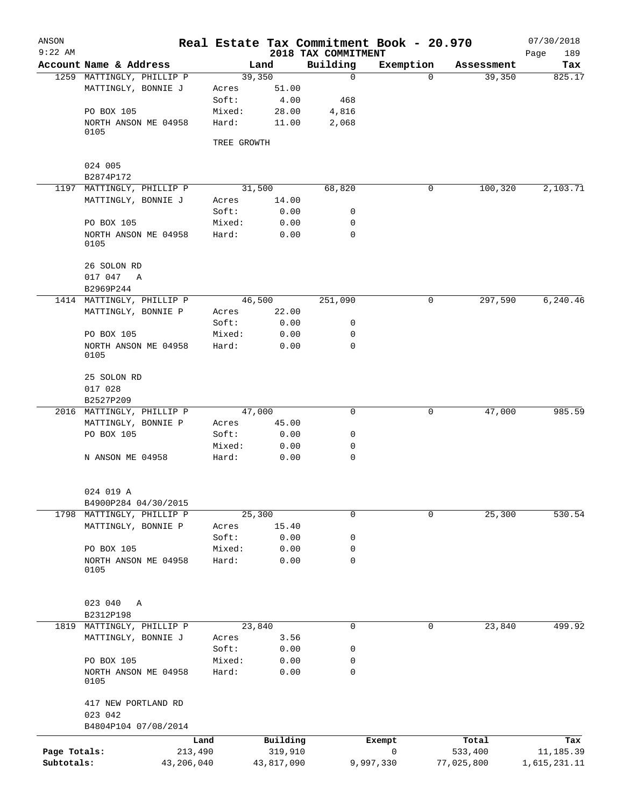| ANSON<br>$9:22$ AM         |                                   |             |                       | Real Estate Tax Commitment Book - 20.970<br>2018 TAX COMMITMENT |                |                       | 07/30/2018<br>Page<br>189 |
|----------------------------|-----------------------------------|-------------|-----------------------|-----------------------------------------------------------------|----------------|-----------------------|---------------------------|
|                            | Account Name & Address            |             | Land                  | Building                                                        | Exemption      | Assessment            | Tax                       |
|                            | 1259 MATTINGLY, PHILLIP P         |             | 39,350                | $\mathbf 0$                                                     | 0              | 39,350                | 825.17                    |
|                            | MATTINGLY, BONNIE J               | Acres       | 51.00                 |                                                                 |                |                       |                           |
|                            |                                   | Soft:       | 4.00                  | 468                                                             |                |                       |                           |
|                            | PO BOX 105                        | Mixed:      | 28.00                 | 4,816                                                           |                |                       |                           |
|                            | NORTH ANSON ME 04958<br>0105      | Hard:       | 11.00                 | 2,068                                                           |                |                       |                           |
|                            |                                   | TREE GROWTH |                       |                                                                 |                |                       |                           |
|                            | 024 005                           |             |                       |                                                                 |                |                       |                           |
|                            | B2874P172                         |             |                       |                                                                 |                |                       |                           |
|                            | 1197 MATTINGLY, PHILLIP P         |             | 31,500                | 68,820                                                          | 0              | 100,320               | 2,103.71                  |
|                            | MATTINGLY, BONNIE J               | Acres       | 14.00                 |                                                                 |                |                       |                           |
|                            |                                   | Soft:       | 0.00                  | 0                                                               |                |                       |                           |
|                            | PO BOX 105                        | Mixed:      | 0.00                  | 0                                                               |                |                       |                           |
|                            | NORTH ANSON ME 04958<br>0105      | Hard:       | 0.00                  | 0                                                               |                |                       |                           |
|                            | 26 SOLON RD                       |             |                       |                                                                 |                |                       |                           |
|                            | 017 047 A                         |             |                       |                                                                 |                |                       |                           |
|                            | B2969P244                         |             |                       |                                                                 |                |                       |                           |
|                            | 1414 MATTINGLY, PHILLIP P         |             | 46,500                | 251,090                                                         | 0              | 297,590               | 6,240.46                  |
|                            | MATTINGLY, BONNIE P               | Acres       | 22.00                 |                                                                 |                |                       |                           |
|                            |                                   | Soft:       | 0.00                  | 0                                                               |                |                       |                           |
|                            | PO BOX 105                        | Mixed:      | 0.00                  | 0                                                               |                |                       |                           |
|                            | NORTH ANSON ME 04958<br>0105      | Hard:       | 0.00                  | 0                                                               |                |                       |                           |
|                            | 25 SOLON RD                       |             |                       |                                                                 |                |                       |                           |
|                            | 017 028                           |             |                       |                                                                 |                |                       |                           |
|                            | B2527P209                         |             |                       |                                                                 |                |                       |                           |
|                            | 2016 MATTINGLY, PHILLIP P         |             | 47,000                | 0                                                               | 0              | 47,000                | 985.59                    |
|                            | MATTINGLY, BONNIE P               | Acres       | 45.00                 |                                                                 |                |                       |                           |
|                            | PO BOX 105                        | Soft:       | 0.00                  | 0                                                               |                |                       |                           |
|                            |                                   | Mixed:      | 0.00                  | 0                                                               |                |                       |                           |
|                            | N ANSON ME 04958                  | Hard:       | 0.00                  | $\mathbf 0$                                                     |                |                       |                           |
|                            | 024 019 A                         |             |                       |                                                                 |                |                       |                           |
|                            | B4900P284 04/30/2015              |             |                       |                                                                 |                |                       |                           |
|                            | 1798 MATTINGLY, PHILLIP P         |             | 25,300                | $\mathbf 0$                                                     | 0              | 25,300                | 530.54                    |
|                            | MATTINGLY, BONNIE P               | Acres       | 15.40                 |                                                                 |                |                       |                           |
|                            |                                   | Soft:       | 0.00                  | 0                                                               |                |                       |                           |
|                            | PO BOX 105                        | Mixed:      | 0.00                  | 0                                                               |                |                       |                           |
|                            | NORTH ANSON ME 04958<br>0105      | Hard:       | 0.00                  | 0                                                               |                |                       |                           |
|                            | 023 040<br>Α                      |             |                       |                                                                 |                |                       |                           |
| 1819                       | B2312P198<br>MATTINGLY, PHILLIP P |             | 23,840                | 0                                                               | $\mathbf 0$    | 23,840                | 499.92                    |
|                            | MATTINGLY, BONNIE J               | Acres       | 3.56                  |                                                                 |                |                       |                           |
|                            |                                   | Soft:       | 0.00                  | 0                                                               |                |                       |                           |
|                            | PO BOX 105                        | Mixed:      | 0.00                  | 0                                                               |                |                       |                           |
|                            | NORTH ANSON ME 04958<br>0105      | Hard:       | 0.00                  | $\mathbf 0$                                                     |                |                       |                           |
|                            | 417 NEW PORTLAND RD<br>023 042    |             |                       |                                                                 |                |                       |                           |
|                            | B4804P104 07/08/2014              |             |                       |                                                                 |                |                       |                           |
|                            | Land                              |             | Building              |                                                                 | Exempt         | Total                 | Tax                       |
| Page Totals:<br>Subtotals: | 213,490<br>43,206,040             |             | 319,910<br>43,817,090 |                                                                 | 0<br>9,997,330 | 533,400<br>77,025,800 | 11,185.39<br>1,615,231.11 |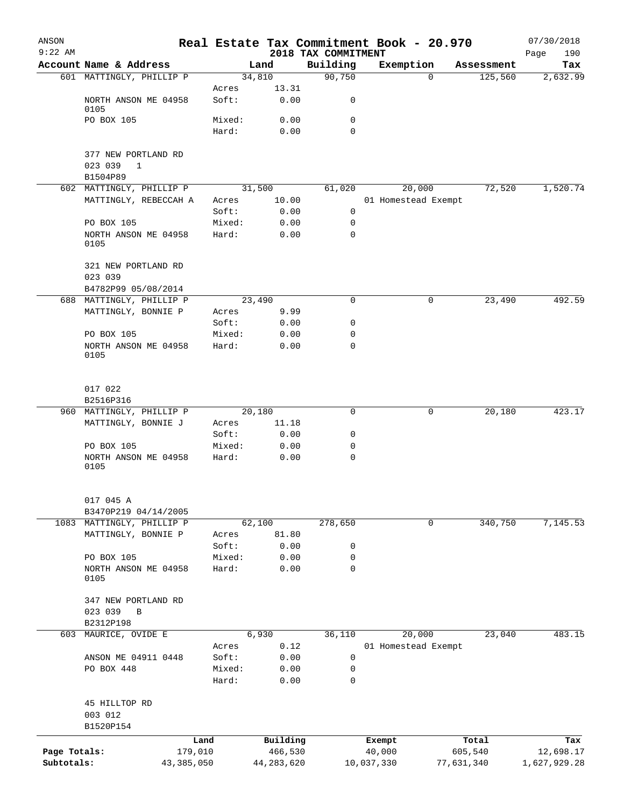| ANSON<br>$9:22$ AM |                              |            |                 |              |                                 | Real Estate Tax Commitment Book - 20.970 |            |            | 07/30/2018         |
|--------------------|------------------------------|------------|-----------------|--------------|---------------------------------|------------------------------------------|------------|------------|--------------------|
|                    | Account Name & Address       |            |                 | Land         | 2018 TAX COMMITMENT<br>Building | Exemption                                |            | Assessment | 190<br>Page<br>Tax |
|                    | 601 MATTINGLY, PHILLIP P     |            |                 | 34,810       | 90,750                          |                                          | $\Omega$   | 125,560    | 2,632.99           |
|                    |                              |            | Acres           | 13.31        |                                 |                                          |            |            |                    |
|                    | NORTH ANSON ME 04958<br>0105 |            | Soft:           | 0.00         | 0                               |                                          |            |            |                    |
|                    | PO BOX 105                   |            | Mixed:          | 0.00         | 0                               |                                          |            |            |                    |
|                    |                              |            | Hard:           | 0.00         | 0                               |                                          |            |            |                    |
|                    | 377 NEW PORTLAND RD          |            |                 |              |                                 |                                          |            |            |                    |
|                    | 023 039<br>$\mathbf{1}$      |            |                 |              |                                 |                                          |            |            |                    |
|                    | B1504P89                     |            |                 |              |                                 |                                          |            |            |                    |
|                    | 602 MATTINGLY, PHILLIP P     |            |                 | 31,500       | 61,020                          | 20,000                                   |            | 72,520     | 1,520.74           |
|                    | MATTINGLY, REBECCAH A        |            | Acres           | 10.00        |                                 | 01 Homestead Exempt                      |            |            |                    |
|                    |                              |            | Soft:           | 0.00         | $\mathbf 0$                     |                                          |            |            |                    |
|                    | PO BOX 105                   |            | Mixed:          | 0.00         | 0                               |                                          |            |            |                    |
|                    | NORTH ANSON ME 04958<br>0105 |            | Hard:           | 0.00         | $\mathbf 0$                     |                                          |            |            |                    |
|                    | 321 NEW PORTLAND RD          |            |                 |              |                                 |                                          |            |            |                    |
|                    | 023 039                      |            |                 |              |                                 |                                          |            |            |                    |
|                    | B4782P99 05/08/2014          |            |                 |              |                                 |                                          |            |            |                    |
|                    | 688 MATTINGLY, PHILLIP P     |            |                 | 23,490       | 0                               |                                          | 0          | 23,490     | 492.59             |
|                    | MATTINGLY, BONNIE P          |            | Acres           | 9.99         |                                 |                                          |            |            |                    |
|                    |                              |            | Soft:           | 0.00         | 0                               |                                          |            |            |                    |
|                    | PO BOX 105                   |            | Mixed:          | 0.00         | 0                               |                                          |            |            |                    |
|                    | NORTH ANSON ME 04958<br>0105 |            | Hard:           | 0.00         | 0                               |                                          |            |            |                    |
|                    | 017 022                      |            |                 |              |                                 |                                          |            |            |                    |
|                    | B2516P316                    |            |                 |              |                                 |                                          |            |            |                    |
|                    | 960 MATTINGLY, PHILLIP P     |            |                 | 20,180       | 0                               |                                          | 0          | 20,180     | 423.17             |
|                    | MATTINGLY, BONNIE J          |            | Acres           | 11.18        |                                 |                                          |            |            |                    |
|                    |                              |            | Soft:           | 0.00         | 0                               |                                          |            |            |                    |
|                    | PO BOX 105                   |            | Mixed:          | 0.00         | 0                               |                                          |            |            |                    |
|                    | NORTH ANSON ME 04958<br>0105 |            | Hard:           | 0.00         | $\mathbf 0$                     |                                          |            |            |                    |
|                    | 017 045 A                    |            |                 |              |                                 |                                          |            |            |                    |
|                    | B3470P219 04/14/2005         |            |                 |              |                                 |                                          |            |            |                    |
| 1083               | MATTINGLY, PHILLIP P         |            |                 | 62,100       | 278,650                         |                                          | 0          | 340,750    | 7,145.53           |
|                    | MATTINGLY, BONNIE P          |            | Acres           | 81.80        |                                 |                                          |            |            |                    |
|                    |                              |            | Soft:           | 0.00         | 0                               |                                          |            |            |                    |
|                    | PO BOX 105                   |            | Mixed:          | 0.00         | 0                               |                                          |            |            |                    |
|                    | NORTH ANSON ME 04958<br>0105 |            | Hard:           | 0.00         | 0                               |                                          |            |            |                    |
|                    | 347 NEW PORTLAND RD          |            |                 |              |                                 |                                          |            |            |                    |
|                    | 023 039<br>B                 |            |                 |              |                                 |                                          |            |            |                    |
|                    | B2312P198                    |            |                 |              |                                 |                                          |            |            |                    |
| 603                | MAURICE, OVIDE E             |            |                 | 6,930        | 36,110                          | 20,000                                   |            | 23,040     | 483.15             |
|                    |                              |            | Acres           | 0.12         |                                 | 01 Homestead Exempt                      |            |            |                    |
|                    | ANSON ME 04911 0448          |            | Soft:           | 0.00         | 0                               |                                          |            |            |                    |
|                    | PO BOX 448                   |            | Mixed:<br>Hard: | 0.00<br>0.00 | 0<br>0                          |                                          |            |            |                    |
|                    | 45 HILLTOP RD                |            |                 |              |                                 |                                          |            |            |                    |
|                    | 003 012<br>B1520P154         |            |                 |              |                                 |                                          |            |            |                    |
|                    |                              | Land       |                 | Building     |                                 | Exempt                                   |            | Total      | Tax                |
| Page Totals:       |                              | 179,010    |                 | 466,530      |                                 | 40,000                                   |            | 605,540    | 12,698.17          |
| Subtotals:         |                              | 43,385,050 |                 | 44,283,620   |                                 | 10,037,330                               | 77,631,340 |            | 1,627,929.28       |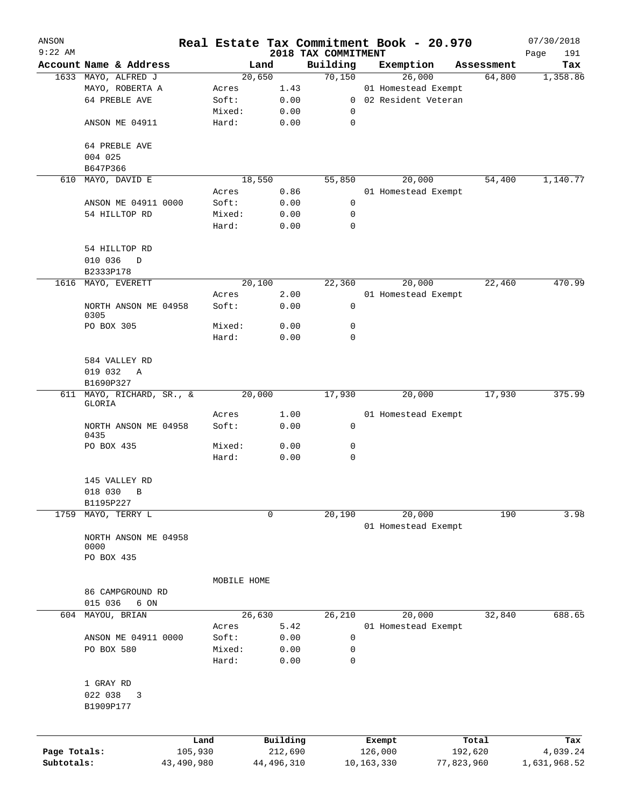| ANSON        |                        |            |                 |              |                                 |              | Real Estate Tax Commitment Book - 20.970 |            | 07/30/2018         |
|--------------|------------------------|------------|-----------------|--------------|---------------------------------|--------------|------------------------------------------|------------|--------------------|
| $9:22$ AM    | Account Name & Address |            |                 | Land         | 2018 TAX COMMITMENT<br>Building |              | Exemption                                | Assessment | Page<br>191<br>Tax |
|              | 1633 MAYO, ALFRED J    |            |                 | 20,650       | 70,150                          |              | 26,000                                   | 64,800     | 1,358.86           |
|              | MAYO, ROBERTA A        |            | Acres           | 1.43         |                                 |              | 01 Homestead Exempt                      |            |                    |
|              | 64 PREBLE AVE          |            | Soft:           | 0.00         |                                 |              | 0 02 Resident Veteran                    |            |                    |
|              |                        |            | Mixed:          | 0.00         | 0                               |              |                                          |            |                    |
|              | ANSON ME 04911         |            | Hard:           | 0.00         | 0                               |              |                                          |            |                    |
|              |                        |            |                 |              |                                 |              |                                          |            |                    |
|              | 64 PREBLE AVE          |            |                 |              |                                 |              |                                          |            |                    |
|              | 004 025                |            |                 |              |                                 |              |                                          |            |                    |
|              | B647P366               |            |                 |              |                                 |              |                                          |            |                    |
|              | 610 MAYO, DAVID E      |            |                 | 18,550       | 55,850                          |              | 20,000                                   | 54,400     | 1,140.77           |
|              |                        |            | Acres           | 0.86         |                                 |              | 01 Homestead Exempt                      |            |                    |
|              | ANSON ME 04911 0000    |            | Soft:           | 0.00         | 0                               |              |                                          |            |                    |
|              | 54 HILLTOP RD          |            | Mixed:          | 0.00         | 0                               |              |                                          |            |                    |
|              |                        |            | Hard:           | 0.00         | $\mathbf 0$                     |              |                                          |            |                    |
|              | 54 HILLTOP RD          |            |                 |              |                                 |              |                                          |            |                    |
|              | 010 036<br>D           |            |                 |              |                                 |              |                                          |            |                    |
|              | B2333P178              |            |                 |              |                                 |              |                                          |            |                    |
| 1616         | MAYO, EVERETT          |            |                 | 20,100       | 22,360                          |              | 20,000                                   | 22,460     | 470.99             |
|              |                        |            | Acres           | 2.00         |                                 |              | 01 Homestead Exempt                      |            |                    |
|              | NORTH ANSON ME 04958   |            | Soft:           | 0.00         | 0                               |              |                                          |            |                    |
|              | 0305                   |            |                 |              |                                 |              |                                          |            |                    |
|              | PO BOX 305             |            | Mixed:          | 0.00         | 0                               |              |                                          |            |                    |
|              |                        |            | Hard:           | 0.00         | $\mathbf 0$                     |              |                                          |            |                    |
|              | 584 VALLEY RD          |            |                 |              |                                 |              |                                          |            |                    |
|              | 019 032<br>$\mathbb A$ |            |                 |              |                                 |              |                                          |            |                    |
|              | B1690P327              |            |                 |              |                                 |              |                                          |            |                    |
| 611          | MAYO, RICHARD, SR., &  |            |                 | 20,000       | 17,930                          |              | 20,000                                   | 17,930     | 375.99             |
|              | GLORIA                 |            |                 |              |                                 |              |                                          |            |                    |
|              |                        |            | Acres           | 1.00         |                                 |              | 01 Homestead Exempt                      |            |                    |
|              | NORTH ANSON ME 04958   |            | Soft:           | 0.00         | 0                               |              |                                          |            |                    |
|              | 0435                   |            |                 | 0.00         | 0                               |              |                                          |            |                    |
|              | PO BOX 435             |            | Mixed:<br>Hard: | 0.00         | $\mathbf 0$                     |              |                                          |            |                    |
|              |                        |            |                 |              |                                 |              |                                          |            |                    |
|              | 145 VALLEY RD          |            |                 |              |                                 |              |                                          |            |                    |
|              | 018 030 B              |            |                 |              |                                 |              |                                          |            |                    |
|              | B1195P227              |            |                 |              |                                 |              |                                          |            |                    |
| 1759         | MAYO, TERRY L          |            |                 | 0            | 20,190                          |              | 20,000                                   | 190        | 3.98               |
|              |                        |            |                 |              |                                 |              | 01 Homestead Exempt                      |            |                    |
|              | NORTH ANSON ME 04958   |            |                 |              |                                 |              |                                          |            |                    |
|              | 0000                   |            |                 |              |                                 |              |                                          |            |                    |
|              | PO BOX 435             |            |                 |              |                                 |              |                                          |            |                    |
|              |                        |            | MOBILE HOME     |              |                                 |              |                                          |            |                    |
|              | 86 CAMPGROUND RD       |            |                 |              |                                 |              |                                          |            |                    |
|              | 015 036<br>6 ON        |            |                 |              |                                 |              |                                          |            |                    |
| 604          | MAYOU, BRIAN           |            |                 | 26,630       | 26,210                          |              | 20,000                                   | 32,840     | 688.65             |
|              |                        |            | Acres           | 5.42         |                                 |              | 01 Homestead Exempt                      |            |                    |
|              | ANSON ME 04911 0000    |            | Soft:           | 0.00         | 0                               |              |                                          |            |                    |
|              | PO BOX 580             |            | Mixed:          | 0.00         | 0                               |              |                                          |            |                    |
|              |                        |            | Hard:           | 0.00         | $\mathbf 0$                     |              |                                          |            |                    |
|              |                        |            |                 |              |                                 |              |                                          |            |                    |
|              | 1 GRAY RD              |            |                 |              |                                 |              |                                          |            |                    |
|              | 022 038<br>3           |            |                 |              |                                 |              |                                          |            |                    |
|              | B1909P177              |            |                 |              |                                 |              |                                          |            |                    |
|              |                        |            |                 |              |                                 |              |                                          |            |                    |
|              |                        | Land       |                 | Building     |                                 |              | Exempt                                   | Total      | Tax                |
| Page Totals: |                        | 105,930    |                 | 212,690      |                                 |              | 126,000                                  | 192,620    | 4,039.24           |
| Subtotals:   |                        | 43,490,980 |                 | 44, 496, 310 |                                 | 10, 163, 330 |                                          | 77,823,960 | 1,631,968.52       |
|              |                        |            |                 |              |                                 |              |                                          |            |                    |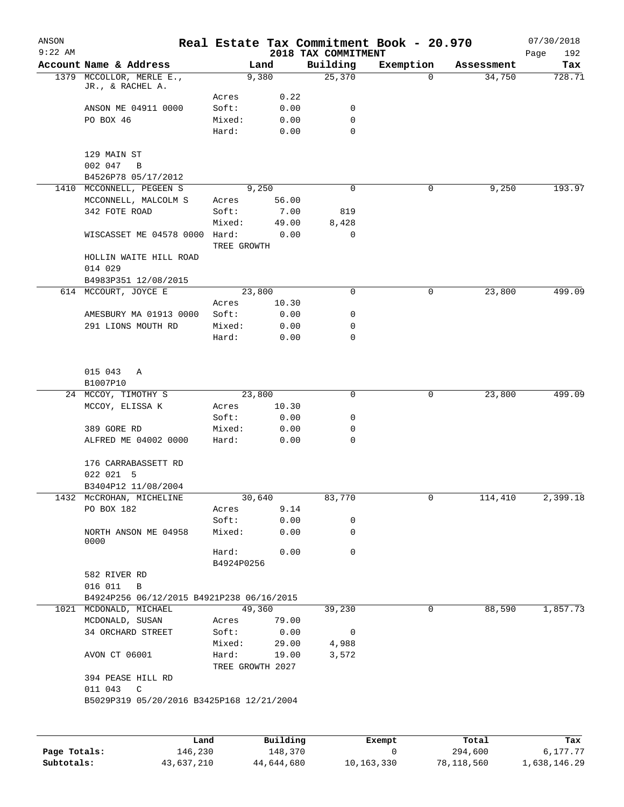| ANSON<br>$9:22$ AM |                                                        |                     |                  | 2018 TAX COMMITMENT | Real Estate Tax Commitment Book - 20.970 |            | 07/30/2018<br>Page<br>192 |
|--------------------|--------------------------------------------------------|---------------------|------------------|---------------------|------------------------------------------|------------|---------------------------|
|                    | Account Name & Address                                 |                     | Land             | Building            | Exemption                                | Assessment | Tax                       |
|                    | 1379 MCCOLLOR, MERLE E.,<br>JR., & RACHEL A.           |                     | 9,380            | 25,370              | $\mathbf 0$                              | 34,750     | 728.71                    |
|                    |                                                        | Acres               | 0.22             |                     |                                          |            |                           |
|                    | ANSON ME 04911 0000                                    | Soft:               | 0.00             | 0                   |                                          |            |                           |
|                    | PO BOX 46                                              | Mixed:              | 0.00             | 0                   |                                          |            |                           |
|                    |                                                        | Hard:               | 0.00             | 0                   |                                          |            |                           |
|                    | 129 MAIN ST                                            |                     |                  |                     |                                          |            |                           |
|                    | 002 047<br>B                                           |                     |                  |                     |                                          |            |                           |
|                    | B4526P78 05/17/2012                                    |                     |                  |                     |                                          |            |                           |
|                    | 1410 MCCONNELL, PEGEEN S                               |                     | 9,250            | 0                   | 0                                        | 9,250      | 193.97                    |
|                    | MCCONNELL, MALCOLM S                                   | Acres               | 56.00            |                     |                                          |            |                           |
|                    | 342 FOTE ROAD                                          | Soft:               | 7.00             | 819                 |                                          |            |                           |
|                    |                                                        | Mixed:              | 49.00            | 8,428               |                                          |            |                           |
|                    | WISCASSET ME 04578 0000                                | Hard:               | 0.00             | 0                   |                                          |            |                           |
|                    |                                                        | TREE GROWTH         |                  |                     |                                          |            |                           |
|                    | HOLLIN WAITE HILL ROAD                                 |                     |                  |                     |                                          |            |                           |
|                    | 014 029                                                |                     |                  |                     |                                          |            |                           |
|                    | B4983P351 12/08/2015                                   |                     |                  |                     |                                          |            |                           |
|                    | 614 MCCOURT, JOYCE E                                   |                     | 23,800           | 0                   | 0                                        | 23,800     | 499.09                    |
|                    |                                                        | Acres               | 10.30            |                     |                                          |            |                           |
|                    | AMESBURY MA 01913 0000                                 | Soft:               | 0.00             | 0                   |                                          |            |                           |
|                    | 291 LIONS MOUTH RD                                     | Mixed:              | 0.00             | 0                   |                                          |            |                           |
|                    |                                                        | Hard:               | 0.00             | 0                   |                                          |            |                           |
|                    |                                                        |                     |                  |                     |                                          |            |                           |
|                    | 015 043<br>Α                                           |                     |                  |                     |                                          |            |                           |
|                    | B1007P10                                               |                     |                  |                     |                                          |            |                           |
|                    | 24 MCCOY, TIMOTHY S                                    |                     | 23,800           | 0                   | 0                                        | 23,800     | 499.09                    |
|                    | MCCOY, ELISSA K                                        | Acres               | 10.30            |                     |                                          |            |                           |
|                    |                                                        | Soft:               | 0.00             | 0                   |                                          |            |                           |
|                    | 389 GORE RD                                            | Mixed:              | 0.00             | 0                   |                                          |            |                           |
|                    | ALFRED ME 04002 0000                                   | Hard:               | 0.00             | 0                   |                                          |            |                           |
|                    | 176 CARRABASSETT RD                                    |                     |                  |                     |                                          |            |                           |
|                    | 022 021 5                                              |                     |                  |                     |                                          |            |                           |
|                    | B3404P12 11/08/2004                                    |                     |                  |                     |                                          |            |                           |
|                    | 1432 MCCROHAN, MICHELINE                               |                     | 30,640           | 83,770              | 0                                        | 114,410    | 2,399.18                  |
|                    | PO BOX 182                                             | Acres               | 9.14             |                     |                                          |            |                           |
|                    |                                                        | Soft:               | 0.00             | 0                   |                                          |            |                           |
|                    | NORTH ANSON ME 04958<br>0000                           | Mixed:              | 0.00             | 0                   |                                          |            |                           |
|                    |                                                        | Hard:<br>B4924P0256 | 0.00             | 0                   |                                          |            |                           |
|                    | 582 RIVER RD                                           |                     |                  |                     |                                          |            |                           |
|                    | 016 011 B                                              |                     |                  |                     |                                          |            |                           |
|                    | B4924P256 06/12/2015 B4921P238 06/16/2015              |                     |                  |                     |                                          |            |                           |
|                    | 1021 MCDONALD, MICHAEL                                 |                     | 49,360           | 39,230              | $\mathbf 0$                              | 88,590     | 1,857.73                  |
|                    | MCDONALD, SUSAN                                        | Acres               | 79.00            |                     |                                          |            |                           |
|                    | 34 ORCHARD STREET                                      | Soft:               | 0.00             | 0                   |                                          |            |                           |
|                    |                                                        | Mixed:              | 29.00            | 4,988               |                                          |            |                           |
|                    | AVON CT 06001                                          | Hard:               | 19.00            | 3,572               |                                          |            |                           |
|                    |                                                        |                     | TREE GROWTH 2027 |                     |                                          |            |                           |
|                    | 394 PEASE HILL RD                                      |                     |                  |                     |                                          |            |                           |
|                    | 011 043 C<br>B5029P319 05/20/2016 B3425P168 12/21/2004 |                     |                  |                     |                                          |            |                           |
|                    |                                                        |                     |                  |                     |                                          |            |                           |
|                    |                                                        |                     |                  |                     |                                          |            |                           |

|              | Land       | Building   | Exempt     | Total      | Tax          |
|--------------|------------|------------|------------|------------|--------------|
| Page Totals: | 146,230    | 148,370    |            | 294,600    | 6,177.77     |
| Subtotals:   | 43,637,210 | 44,644,680 | 10,163,330 | 78,118,560 | 1,638,146.29 |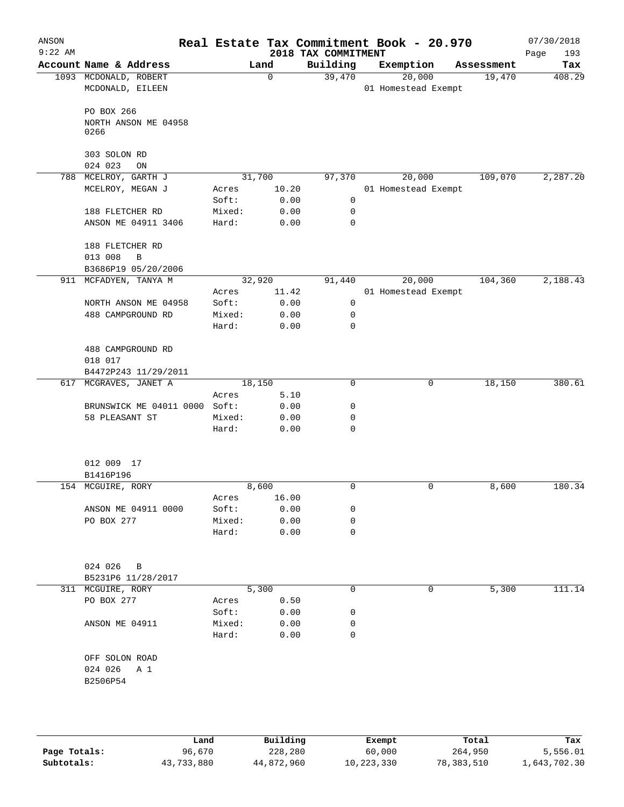| ANSON<br>$9:22$ AM |                                            |                 |              | 2018 TAX COMMITMENT | Real Estate Tax Commitment Book - 20.970 |            | 07/30/2018<br>193<br>Page |
|--------------------|--------------------------------------------|-----------------|--------------|---------------------|------------------------------------------|------------|---------------------------|
|                    | Account Name & Address                     |                 | Land         | Building            | Exemption                                | Assessment | Tax                       |
|                    | 1093 MCDONALD, ROBERT<br>MCDONALD, EILEEN  |                 | $\Omega$     | 39,470              | 20,000<br>01 Homestead Exempt            | 19,470     | 408.29                    |
|                    | PO BOX 266<br>NORTH ANSON ME 04958<br>0266 |                 |              |                     |                                          |            |                           |
|                    | 303 SOLON RD<br>024 023<br>ON              |                 |              |                     |                                          |            |                           |
| 788                | MCELROY, GARTH J                           |                 | 31,700       | 97,370              | 20,000                                   | 109,070    | 2,287.20                  |
|                    | MCELROY, MEGAN J                           | Acres           | 10.20        |                     | 01 Homestead Exempt                      |            |                           |
|                    |                                            | Soft:           | 0.00         | $\mathbf 0$         |                                          |            |                           |
|                    | 188 FLETCHER RD                            | Mixed:          | 0.00         | 0                   |                                          |            |                           |
|                    | ANSON ME 04911 3406                        | Hard:           | 0.00         | 0                   |                                          |            |                           |
|                    | 188 FLETCHER RD<br>013 008<br>B            |                 |              |                     |                                          |            |                           |
|                    | B3686P19 05/20/2006                        |                 |              |                     |                                          |            |                           |
|                    | 911 MCFADYEN, TANYA M                      |                 | 32,920       | 91,440              | 20,000                                   | 104,360    | 2,188.43                  |
|                    |                                            | Acres           | 11.42        |                     | 01 Homestead Exempt                      |            |                           |
|                    | NORTH ANSON ME 04958                       | Soft:           | 0.00         | 0                   |                                          |            |                           |
|                    | 488 CAMPGROUND RD                          | Mixed:<br>Hard: | 0.00<br>0.00 | 0<br>0              |                                          |            |                           |
|                    | 488 CAMPGROUND RD<br>018 017               |                 |              |                     |                                          |            |                           |
|                    | B4472P243 11/29/2011                       |                 |              |                     |                                          |            |                           |
|                    | 617 MCGRAVES, JANET A                      |                 | 18,150       | 0                   | 0                                        | 18,150     | 380.61                    |
|                    |                                            | Acres           | 5.10         |                     |                                          |            |                           |
|                    | BRUNSWICK ME 04011 0000                    | Soft:           | 0.00         | 0                   |                                          |            |                           |
|                    | 58 PLEASANT ST                             | Mixed:          | 0.00         | 0                   |                                          |            |                           |
|                    |                                            | Hard:           | 0.00         | 0                   |                                          |            |                           |
|                    | 012 009 17<br>B1416P196                    |                 |              |                     |                                          |            |                           |
|                    | 154 MCGUIRE, RORY                          |                 | 8,600        | 0                   | 0                                        | 8,600      | 180.34                    |
|                    |                                            | Acres           | 16.00        |                     |                                          |            |                           |
|                    | ANSON ME 04911 0000                        | Soft:           | 0.00         | 0                   |                                          |            |                           |
|                    | PO BOX 277                                 | Mixed:          | 0.00         | 0                   |                                          |            |                           |
|                    |                                            | Hard:           | 0.00         | 0                   |                                          |            |                           |
|                    | 024 026<br>B<br>B5231P6 11/28/2017         |                 |              |                     |                                          |            |                           |
| 311                | MCGUIRE, RORY                              |                 | 5,300        | 0                   | 0                                        | 5,300      | 111.14                    |
|                    | PO BOX 277                                 | Acres           | 0.50         |                     |                                          |            |                           |
|                    |                                            | Soft:           | 0.00         | 0                   |                                          |            |                           |
|                    | ANSON ME 04911                             | Mixed:          | 0.00         | 0                   |                                          |            |                           |
|                    |                                            | Hard:           | 0.00         | 0                   |                                          |            |                           |
|                    | OFF SOLON ROAD                             |                 |              |                     |                                          |            |                           |
|                    | 024 026<br>A 1                             |                 |              |                     |                                          |            |                           |
|                    | B2506P54                                   |                 |              |                     |                                          |            |                           |
|                    |                                            |                 |              |                     |                                          |            |                           |
|                    |                                            |                 |              |                     |                                          |            |                           |
|                    |                                            |                 |              |                     |                                          |            |                           |

|              | Land       | Building   | Exempt     | Total      | Tax          |
|--------------|------------|------------|------------|------------|--------------|
| Page Totals: | 96,670     | 228,280    | 60,000     | 264,950    | 5,556.01     |
| Subtotals:   | 43,733,880 | 44,872,960 | 10,223,330 | 78,383,510 | 1,643,702.30 |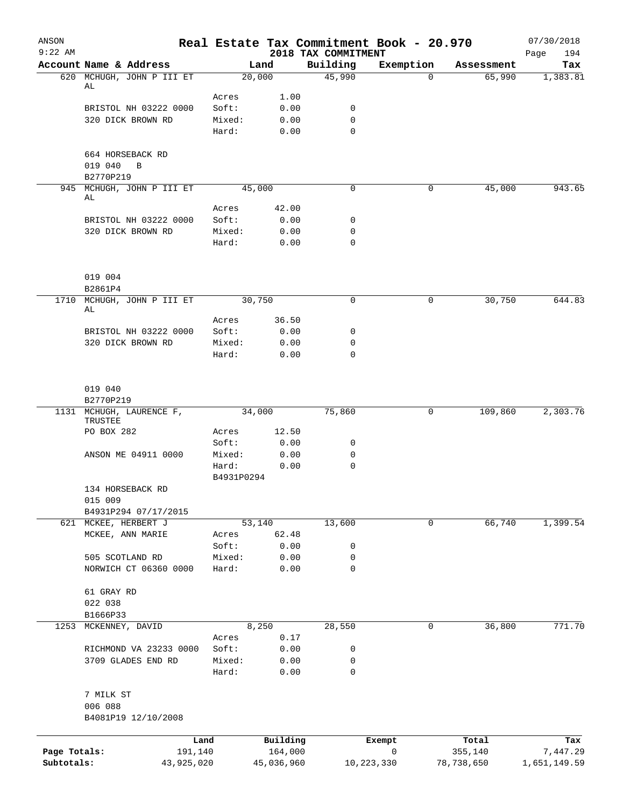| ANSON<br>$9:22$ AM |                                            |                 |              | 2018 TAX COMMITMENT | Real Estate Tax Commitment Book - 20.970 |            | 07/30/2018<br>194<br>Page |
|--------------------|--------------------------------------------|-----------------|--------------|---------------------|------------------------------------------|------------|---------------------------|
|                    | Account Name & Address                     |                 | Land         | Building            | Exemption                                | Assessment | Tax                       |
|                    | 620 MCHUGH, JOHN P III ET                  | 20,000          |              | 45,990              | $\Omega$                                 | 65,990     | 1,383.81                  |
|                    | AL                                         |                 |              |                     |                                          |            |                           |
|                    |                                            | Acres           | 1.00         |                     |                                          |            |                           |
|                    | BRISTOL NH 03222 0000<br>320 DICK BROWN RD | Soft:<br>Mixed: | 0.00<br>0.00 | 0<br>$\mathbf 0$    |                                          |            |                           |
|                    |                                            | Hard:           | 0.00         | $\mathbf 0$         |                                          |            |                           |
|                    |                                            |                 |              |                     |                                          |            |                           |
|                    | 664 HORSEBACK RD<br>019 040<br>B           |                 |              |                     |                                          |            |                           |
|                    | B2770P219                                  |                 |              |                     |                                          |            |                           |
|                    | 945 MCHUGH, JOHN P III ET                  | 45,000          |              | $\mathbf 0$         | 0                                        | 45,000     | 943.65                    |
|                    | AL                                         |                 |              |                     |                                          |            |                           |
|                    |                                            | Acres           | 42.00        |                     |                                          |            |                           |
|                    | BRISTOL NH 03222 0000                      | Soft:           | 0.00         | 0                   |                                          |            |                           |
|                    | 320 DICK BROWN RD                          | Mixed:          | 0.00         | $\mathbf 0$         |                                          |            |                           |
|                    |                                            | Hard:           | 0.00         | $\mathbf 0$         |                                          |            |                           |
|                    | 019 004                                    |                 |              |                     |                                          |            |                           |
|                    | B2861P4                                    |                 |              |                     |                                          |            |                           |
| 1710               | MCHUGH, JOHN P III ET                      | 30,750          |              | $\mathbf 0$         | 0                                        | 30,750     | 644.83                    |
|                    | AL                                         | Acres           | 36.50        |                     |                                          |            |                           |
|                    | BRISTOL NH 03222 0000                      | Soft:           | 0.00         | 0                   |                                          |            |                           |
|                    | 320 DICK BROWN RD                          | Mixed:          | 0.00         | 0                   |                                          |            |                           |
|                    |                                            | Hard:           | 0.00         | $\mathbf 0$         |                                          |            |                           |
|                    |                                            |                 |              |                     |                                          |            |                           |
|                    | 019 040                                    |                 |              |                     |                                          |            |                           |
|                    | B2770P219                                  |                 |              |                     |                                          |            |                           |
|                    | 1131 MCHUGH, LAURENCE F,<br>TRUSTEE        | 34,000          |              | 75,860              | 0                                        | 109,860    | 2,303.76                  |
|                    | PO BOX 282                                 | Acres           | 12.50        |                     |                                          |            |                           |
|                    |                                            | Soft:           | 0.00         | 0                   |                                          |            |                           |
|                    | ANSON ME 04911 0000                        | Mixed:          | 0.00         | 0                   |                                          |            |                           |
|                    |                                            | Hard:           | 0.00         | 0                   |                                          |            |                           |
|                    |                                            | B4931P0294      |              |                     |                                          |            |                           |
|                    | 134 HORSEBACK RD                           |                 |              |                     |                                          |            |                           |
|                    | 015 009                                    |                 |              |                     |                                          |            |                           |
|                    | B4931P294 07/17/2015                       |                 |              |                     |                                          |            |                           |
|                    | 621 MCKEE, HERBERT J                       | 53,140          |              | 13,600              | 0                                        | 66,740     | 1,399.54                  |
|                    | MCKEE, ANN MARIE                           | Acres           | 62.48        |                     |                                          |            |                           |
|                    |                                            | Soft:           | 0.00         | 0                   |                                          |            |                           |
|                    | 505 SCOTLAND RD<br>NORWICH CT 06360 0000   | Mixed:          | 0.00         | 0                   |                                          |            |                           |
|                    |                                            | Hard:           | 0.00         | $\mathbf 0$         |                                          |            |                           |
|                    | 61 GRAY RD                                 |                 |              |                     |                                          |            |                           |
|                    | 022 038                                    |                 |              |                     |                                          |            |                           |
| 1253               | B1666P33<br>MCKENNEY, DAVID                |                 | 8,250        | 28,550              | 0                                        | 36,800     | 771.70                    |
|                    |                                            | Acres           | 0.17         |                     |                                          |            |                           |
|                    | RICHMOND VA 23233 0000                     | Soft:           | 0.00         | 0                   |                                          |            |                           |
|                    | 3709 GLADES END RD                         | Mixed:          | 0.00         | 0                   |                                          |            |                           |
|                    |                                            | Hard:           | 0.00         | $\mathbf 0$         |                                          |            |                           |
|                    | 7 MILK ST                                  |                 |              |                     |                                          |            |                           |
|                    | 006 088                                    |                 |              |                     |                                          |            |                           |
|                    | B4081P19 12/10/2008                        |                 |              |                     |                                          |            |                           |
|                    |                                            |                 |              |                     |                                          |            |                           |
|                    | Land                                       |                 | Building     |                     | Exempt                                   | Total      | Tax                       |
| Page Totals:       | 191,140                                    |                 | 164,000      |                     | 0                                        | 355,140    | 7,447.29                  |
| Subtotals:         | 43,925,020                                 |                 | 45,036,960   | 10,223,330          |                                          | 78,738,650 | 1,651,149.59              |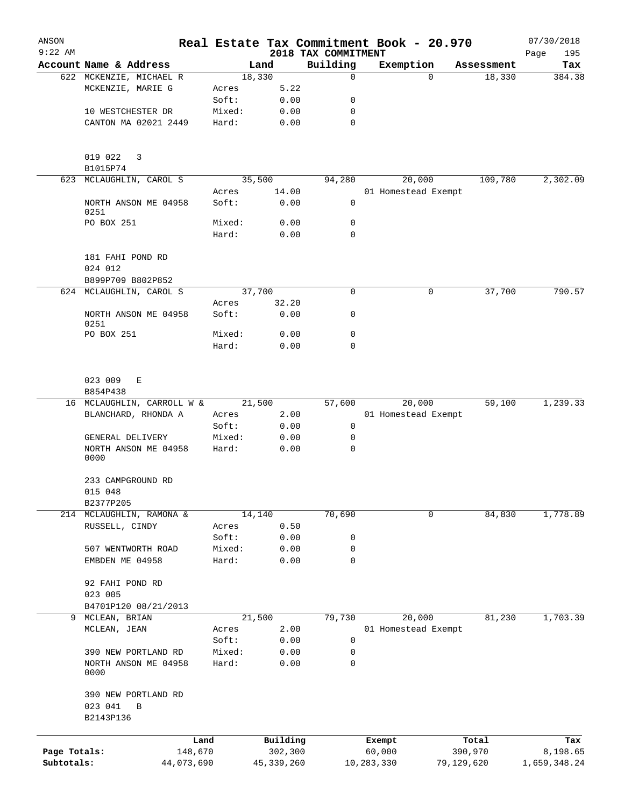| ANSON<br>$9:22$ AM |                              |            |        |              |                                 | Real Estate Tax Commitment Book - 20.970 |            |            | 07/30/2018         |
|--------------------|------------------------------|------------|--------|--------------|---------------------------------|------------------------------------------|------------|------------|--------------------|
|                    | Account Name & Address       |            |        | Land         | 2018 TAX COMMITMENT<br>Building | Exemption                                |            | Assessment | Page<br>195<br>Tax |
|                    | 622 MCKENZIE, MICHAEL R      |            | 18,330 |              | 0                               |                                          | $\Omega$   | 18,330     | 384.38             |
|                    | MCKENZIE, MARIE G            | Acres      |        | 5.22         |                                 |                                          |            |            |                    |
|                    |                              | Soft:      |        | 0.00         | 0                               |                                          |            |            |                    |
|                    | 10 WESTCHESTER DR            |            | Mixed: | 0.00         | 0                               |                                          |            |            |                    |
|                    | CANTON MA 02021 2449         | Hard:      |        | 0.00         | $\mathbf 0$                     |                                          |            |            |                    |
|                    |                              |            |        |              |                                 |                                          |            |            |                    |
|                    | 019 022<br>3                 |            |        |              |                                 |                                          |            |            |                    |
|                    | B1015P74                     |            |        |              |                                 |                                          |            |            |                    |
|                    | 623 MCLAUGHLIN, CAROL S      |            | 35,500 |              | 94,280                          | 20,000                                   |            | 109,780    | 2,302.09           |
|                    |                              | Acres      |        | 14.00        |                                 | 01 Homestead Exempt                      |            |            |                    |
|                    | NORTH ANSON ME 04958<br>0251 | Soft:      |        | 0.00         | 0                               |                                          |            |            |                    |
|                    | PO BOX 251                   |            | Mixed: | 0.00         | $\mathbf 0$                     |                                          |            |            |                    |
|                    |                              | Hard:      |        | 0.00         | $\mathbf 0$                     |                                          |            |            |                    |
|                    | 181 FAHI POND RD             |            |        |              |                                 |                                          |            |            |                    |
|                    | 024 012                      |            |        |              |                                 |                                          |            |            |                    |
|                    | B899P709 B802P852            |            |        |              |                                 |                                          |            |            |                    |
|                    | 624 MCLAUGHLIN, CAROL S      |            | 37,700 |              | $\mathbf 0$                     |                                          | 0          | 37,700     | 790.57             |
|                    |                              | Acres      |        | 32.20        |                                 |                                          |            |            |                    |
|                    | NORTH ANSON ME 04958<br>0251 | Soft:      |        | 0.00         | 0                               |                                          |            |            |                    |
|                    | PO BOX 251                   |            | Mixed: | 0.00         | 0                               |                                          |            |            |                    |
|                    |                              | Hard:      |        | 0.00         | 0                               |                                          |            |            |                    |
|                    | 023 009<br>Е                 |            |        |              |                                 |                                          |            |            |                    |
|                    | B854P438                     |            |        |              |                                 |                                          |            |            |                    |
|                    | 16 MCLAUGHLIN, CARROLL W &   |            | 21,500 |              | 57,600                          | 20,000                                   |            | 59,100     | 1,239.33           |
|                    | BLANCHARD, RHONDA A          | Acres      |        | 2.00         |                                 | 01 Homestead Exempt                      |            |            |                    |
|                    |                              | Soft:      |        | 0.00         | 0                               |                                          |            |            |                    |
|                    | GENERAL DELIVERY             |            | Mixed: | 0.00         | 0                               |                                          |            |            |                    |
|                    | NORTH ANSON ME 04958<br>0000 | Hard:      |        | 0.00         | 0                               |                                          |            |            |                    |
|                    | 233 CAMPGROUND RD            |            |        |              |                                 |                                          |            |            |                    |
|                    | 015 048                      |            |        |              |                                 |                                          |            |            |                    |
|                    | B2377P205                    |            |        |              |                                 |                                          |            |            |                    |
|                    | 214 MCLAUGHLIN, RAMONA &     |            | 14,140 |              | 70,690                          |                                          | 0          | 84,830     | 1,778.89           |
|                    | RUSSELL, CINDY               | Acres      |        | 0.50         |                                 |                                          |            |            |                    |
|                    |                              | Soft:      |        | 0.00         | 0                               |                                          |            |            |                    |
|                    | 507 WENTWORTH ROAD           |            | Mixed: | 0.00         | 0                               |                                          |            |            |                    |
|                    | EMBDEN ME 04958              | Hard:      |        | 0.00         | 0                               |                                          |            |            |                    |
|                    | 92 FAHI POND RD              |            |        |              |                                 |                                          |            |            |                    |
|                    | 023 005                      |            |        |              |                                 |                                          |            |            |                    |
|                    | B4701P120 08/21/2013         |            |        |              |                                 |                                          |            |            |                    |
|                    | 9 MCLEAN, BRIAN              |            | 21,500 |              | 79,730                          | 20,000                                   |            | 81,230     | 1,703.39           |
|                    | MCLEAN, JEAN                 | Acres      |        | 2.00         |                                 | 01 Homestead Exempt                      |            |            |                    |
|                    |                              | Soft:      |        | 0.00         | $\mathbf 0$                     |                                          |            |            |                    |
|                    | 390 NEW PORTLAND RD          |            | Mixed: | 0.00         | 0                               |                                          |            |            |                    |
|                    | NORTH ANSON ME 04958<br>0000 | Hard:      |        | 0.00         | 0                               |                                          |            |            |                    |
|                    | 390 NEW PORTLAND RD          |            |        |              |                                 |                                          |            |            |                    |
|                    | 023 041<br>B                 |            |        |              |                                 |                                          |            |            |                    |
|                    | B2143P136                    |            |        |              |                                 |                                          |            |            |                    |
|                    |                              |            |        |              |                                 |                                          |            |            |                    |
|                    |                              | Land       |        | Building     |                                 | Exempt                                   |            | Total      | Tax                |
| Page Totals:       |                              | 148,670    |        | 302,300      |                                 | 60,000                                   |            | 390,970    | 8,198.65           |
| Subtotals:         |                              | 44,073,690 |        | 45, 339, 260 |                                 | 10,283,330                               | 79,129,620 |            | 1,659,348.24       |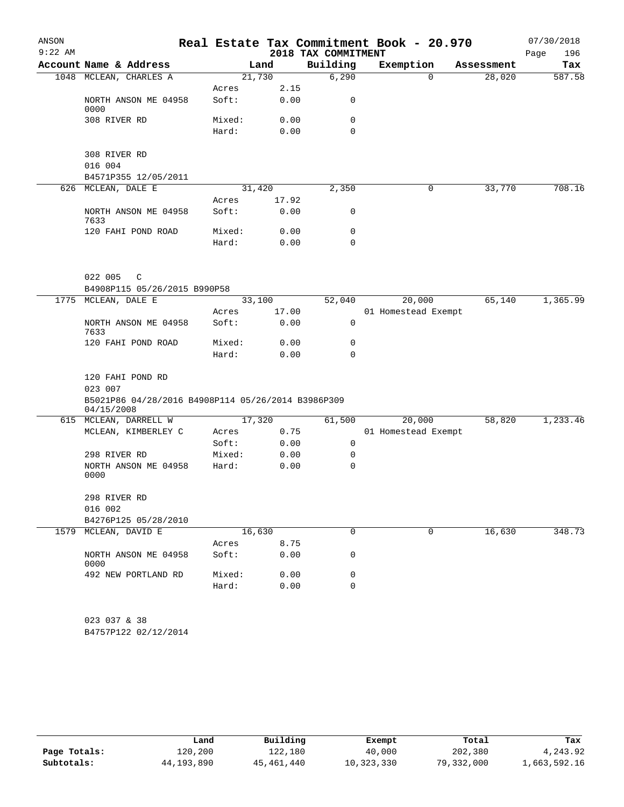| ANSON     |                                                               |        |        |                     | Real Estate Tax Commitment Book - 20.970 |            | 07/30/2018  |
|-----------|---------------------------------------------------------------|--------|--------|---------------------|------------------------------------------|------------|-------------|
| $9:22$ AM |                                                               |        |        | 2018 TAX COMMITMENT |                                          |            | 196<br>Page |
|           | Account Name & Address                                        |        | Land   | Building            | Exemption                                | Assessment | Tax         |
|           | 1048 MCLEAN, CHARLES A                                        | 21,730 |        | 6,290               | $\Omega$                                 | 28,020     | 587.58      |
|           |                                                               | Acres  | 2.15   |                     |                                          |            |             |
|           | NORTH ANSON ME 04958<br>0000                                  | Soft:  | 0.00   | 0                   |                                          |            |             |
|           | 308 RIVER RD                                                  | Mixed: | 0.00   | 0                   |                                          |            |             |
|           |                                                               | Hard:  | 0.00   | $\Omega$            |                                          |            |             |
|           | 308 RIVER RD                                                  |        |        |                     |                                          |            |             |
|           | 016 004                                                       |        |        |                     |                                          |            |             |
|           | B4571P355 12/05/2011                                          |        |        |                     |                                          |            |             |
|           | 626 MCLEAN, DALE E                                            |        | 31,420 | 2,350               | 0                                        | 33,770     | 708.16      |
|           |                                                               | Acres  | 17.92  |                     |                                          |            |             |
|           | NORTH ANSON ME 04958<br>7633                                  | Soft:  | 0.00   | 0                   |                                          |            |             |
|           | 120 FAHI POND ROAD                                            | Mixed: | 0.00   | 0                   |                                          |            |             |
|           |                                                               | Hard:  | 0.00   | $\Omega$            |                                          |            |             |
|           | 022 005<br>$\mathsf{C}$                                       |        |        |                     |                                          |            |             |
|           | B4908P115 05/26/2015 B990P58                                  |        |        |                     |                                          |            |             |
| 1775      | MCLEAN, DALE E                                                | 33,100 |        | 52,040              | 20,000                                   | 65,140     | 1,365.99    |
|           |                                                               | Acres  | 17.00  |                     | 01 Homestead Exempt                      |            |             |
|           | NORTH ANSON ME 04958<br>7633                                  | Soft:  | 0.00   | 0                   |                                          |            |             |
|           | 120 FAHI POND ROAD                                            | Mixed: | 0.00   | 0                   |                                          |            |             |
|           |                                                               | Hard:  | 0.00   | $\Omega$            |                                          |            |             |
|           | 120 FAHI POND RD                                              |        |        |                     |                                          |            |             |
|           | 023 007<br>B5021P86 04/28/2016 B4908P114 05/26/2014 B3986P309 |        |        |                     |                                          |            |             |
|           | 04/15/2008<br>615 MCLEAN, DARRELL W                           |        | 17,320 | 61,500              | 20,000                                   | 58,820     | 1,233.46    |
|           | MCLEAN, KIMBERLEY C                                           | Acres  | 0.75   |                     | 01 Homestead Exempt                      |            |             |
|           |                                                               | Soft:  | 0.00   | $\mathbf 0$         |                                          |            |             |
|           | 298 RIVER RD                                                  | Mixed: | 0.00   | 0                   |                                          |            |             |
|           | NORTH ANSON ME 04958                                          | Hard:  | 0.00   | 0                   |                                          |            |             |
|           | 0000                                                          |        |        |                     |                                          |            |             |
|           | 298 RIVER RD                                                  |        |        |                     |                                          |            |             |
|           | 016 002                                                       |        |        |                     |                                          |            |             |
|           | B4276P125 05/28/2010                                          |        |        |                     |                                          |            |             |
|           | 1579 MCLEAN, DAVID E                                          | 16,630 |        | $\mathbf 0$         | 0                                        | 16,630     | 348.73      |
|           |                                                               | Acres  | 8.75   |                     |                                          |            |             |
|           | NORTH ANSON ME 04958<br>0000                                  | Soft:  | 0.00   | 0                   |                                          |            |             |
|           | 492 NEW PORTLAND RD                                           | Mixed: | 0.00   | 0                   |                                          |            |             |
|           |                                                               | Hard:  | 0.00   | 0                   |                                          |            |             |
|           | 023 037 & 38                                                  |        |        |                     |                                          |            |             |
|           | B4757P122 02/12/2014                                          |        |        |                     |                                          |            |             |
|           |                                                               |        |        |                     |                                          |            |             |

|              | Land       | Building   | Exempt     | Total      | Tax          |
|--------------|------------|------------|------------|------------|--------------|
| Page Totals: | 120,200    | 122,180    | 40,000     | 202,380    | 4,243.92     |
| Subtotals:   | 44,193,890 | 45,461,440 | 10,323,330 | 79,332,000 | 1,663,592.16 |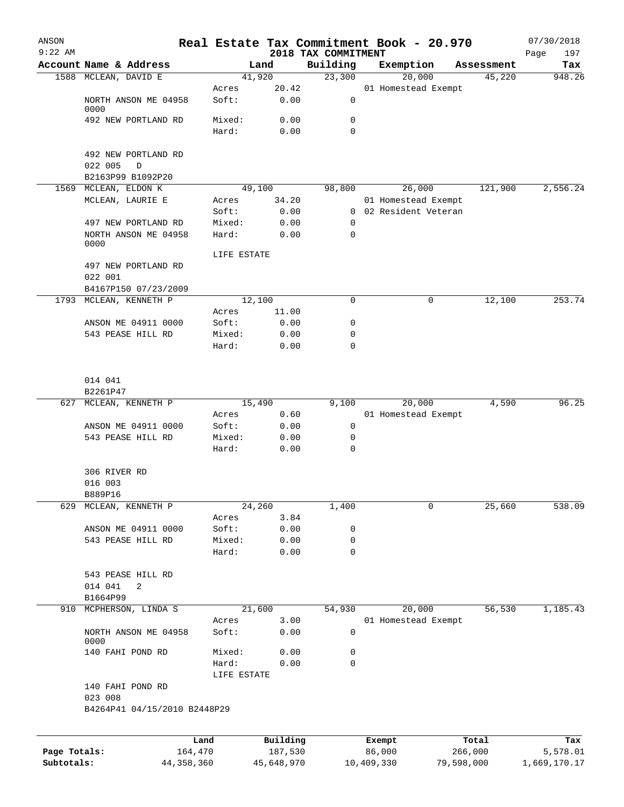| ANSON<br>$9:22$ AM |                                         |              |                |              |                                 | Real Estate Tax Commitment Book - 20.970 |            |            | 07/30/2018         |
|--------------------|-----------------------------------------|--------------|----------------|--------------|---------------------------------|------------------------------------------|------------|------------|--------------------|
|                    | Account Name & Address                  |              |                | Land         | 2018 TAX COMMITMENT<br>Building | Exemption                                |            | Assessment | 197<br>Page<br>Tax |
|                    | 1588 MCLEAN, DAVID E                    |              |                | 41,920       | 23,300                          | 20,000                                   |            | 45,220     | 948.26             |
|                    |                                         |              | Acres          | 20.42        |                                 | 01 Homestead Exempt                      |            |            |                    |
|                    | NORTH ANSON ME 04958<br>0000            |              | Soft:          | 0.00         | 0                               |                                          |            |            |                    |
|                    | 492 NEW PORTLAND RD                     |              | Mixed:         | 0.00         | 0                               |                                          |            |            |                    |
|                    |                                         |              | Hard:          | 0.00         | 0                               |                                          |            |            |                    |
|                    | 492 NEW PORTLAND RD                     |              |                |              |                                 |                                          |            |            |                    |
|                    | 022 005<br>D                            |              |                |              |                                 |                                          |            |            |                    |
|                    | B2163P99 B1092P20                       |              |                |              |                                 |                                          |            |            |                    |
|                    | 1569 MCLEAN, ELDON K                    |              |                | 49,100       | 98,800                          | 26,000                                   |            | 121,900    | 2,556.24           |
|                    | MCLEAN, LAURIE E                        |              | Acres          | 34.20        |                                 | 01 Homestead Exempt                      |            |            |                    |
|                    |                                         |              | Soft:          | 0.00         | $\overline{0}$                  | 02 Resident Veteran                      |            |            |                    |
|                    | 497 NEW PORTLAND RD                     |              | Mixed:         | 0.00         | 0                               |                                          |            |            |                    |
|                    | NORTH ANSON ME 04958<br>0000            |              | Hard:          | 0.00         | 0                               |                                          |            |            |                    |
|                    |                                         |              | LIFE ESTATE    |              |                                 |                                          |            |            |                    |
|                    | 497 NEW PORTLAND RD                     |              |                |              |                                 |                                          |            |            |                    |
|                    | 022 001                                 |              |                |              |                                 |                                          |            |            |                    |
|                    | B4167P150 07/23/2009                    |              |                |              |                                 |                                          |            |            |                    |
|                    | 1793 MCLEAN, KENNETH P                  |              |                | 12,100       | 0                               |                                          | 0          | 12,100     | 253.74             |
|                    |                                         |              | Acres          | 11.00        |                                 |                                          |            |            |                    |
|                    | ANSON ME 04911 0000                     |              | Soft:          | 0.00         | 0                               |                                          |            |            |                    |
|                    | 543 PEASE HILL RD                       |              | Mixed:         | 0.00         | 0                               |                                          |            |            |                    |
|                    |                                         |              | Hard:          | 0.00         | 0                               |                                          |            |            |                    |
|                    | 014 041                                 |              |                |              |                                 |                                          |            |            |                    |
|                    | B2261P47                                |              |                |              |                                 |                                          |            |            |                    |
| 627                | MCLEAN, KENNETH P                       |              |                | 15,490       | 9,100                           | 20,000                                   |            | 4,590      | 96.25              |
|                    |                                         |              | Acres          | 0.60         |                                 | 01 Homestead Exempt                      |            |            |                    |
|                    | ANSON ME 04911 0000                     |              | Soft:          | 0.00         | 0                               |                                          |            |            |                    |
|                    | 543 PEASE HILL RD                       |              | Mixed:         | 0.00         | 0                               |                                          |            |            |                    |
|                    |                                         |              | Hard:          | 0.00         | 0                               |                                          |            |            |                    |
|                    | 306 RIVER RD                            |              |                |              |                                 |                                          |            |            |                    |
|                    | 016 003                                 |              |                |              |                                 |                                          |            |            |                    |
|                    | B889P16                                 |              |                |              |                                 |                                          |            |            |                    |
| 629                | MCLEAN, KENNETH P                       |              |                | 24,260       | 1,400                           |                                          | 0          | 25,660     | 538.09             |
|                    |                                         |              | Acres          | 3.84         |                                 |                                          |            |            |                    |
|                    | ANSON ME 04911 0000                     |              | Soft:          | 0.00         | 0                               |                                          |            |            |                    |
|                    | 543 PEASE HILL RD                       |              | Mixed:         | 0.00         | 0                               |                                          |            |            |                    |
|                    |                                         |              | Hard:          | 0.00         | $\mathbf 0$                     |                                          |            |            |                    |
|                    | 543 PEASE HILL RD                       |              |                |              |                                 |                                          |            |            |                    |
|                    | 014 041<br>2                            |              |                |              |                                 |                                          |            |            |                    |
|                    | B1664P99                                |              |                |              |                                 |                                          |            |            |                    |
| 910                | MCPHERSON, LINDA S                      |              |                | 21,600       | 54,930                          | 20,000                                   |            | 56,530     | 1,185.43           |
|                    | NORTH ANSON ME 04958                    |              | Acres<br>Soft: | 3.00<br>0.00 | 0                               | 01 Homestead Exempt                      |            |            |                    |
|                    | 0000<br>140 FAHI POND RD                |              | Mixed:         | 0.00         | 0                               |                                          |            |            |                    |
|                    |                                         |              | Hard:          | 0.00         | 0                               |                                          |            |            |                    |
|                    | 140 FAHI POND RD                        |              | LIFE ESTATE    |              |                                 |                                          |            |            |                    |
|                    | 023 008<br>B4264P41 04/15/2010 B2448P29 |              |                |              |                                 |                                          |            |            |                    |
|                    |                                         |              |                |              |                                 |                                          |            |            |                    |
|                    |                                         | Land         |                | Building     |                                 | Exempt                                   |            | Total      | Tax                |
| Page Totals:       |                                         | 164,470      |                | 187,530      |                                 | 86,000                                   |            | 266,000    | 5,578.01           |
| Subtotals:         |                                         | 44, 358, 360 |                | 45,648,970   |                                 | 10,409,330                               | 79,598,000 |            | 1,669,170.17       |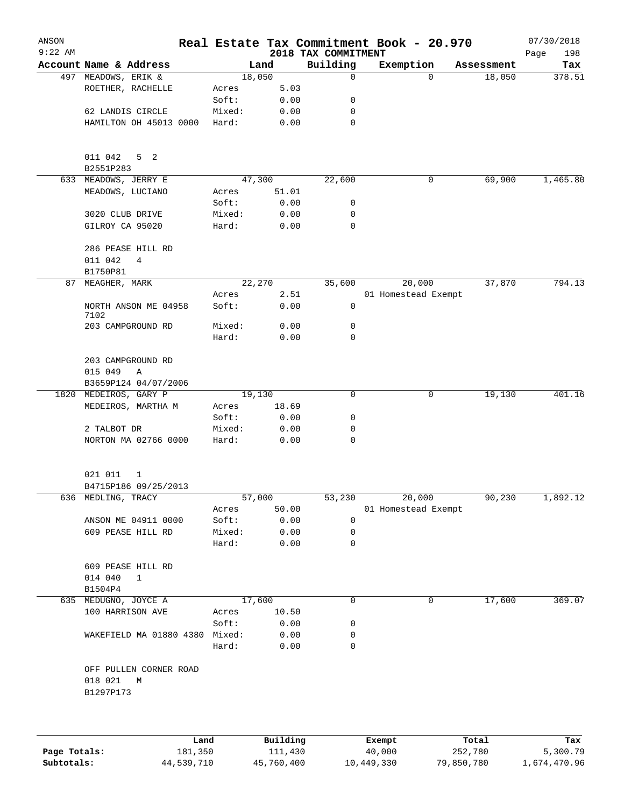| ANSON<br>$9:22$ AM |                                              |        |              | 2018 TAX COMMITMENT | Real Estate Tax Commitment Book - 20.970 |                    | 07/30/2018<br>198<br>Page |
|--------------------|----------------------------------------------|--------|--------------|---------------------|------------------------------------------|--------------------|---------------------------|
|                    | Account Name & Address                       |        | Land         | Building            | Exemption                                | Assessment         | Tax                       |
|                    | 497 MEADOWS, ERIK &                          |        | 18,050       | 0                   |                                          | $\Omega$<br>18,050 | 378.51                    |
|                    | ROETHER, RACHELLE                            | Acres  | 5.03         |                     |                                          |                    |                           |
|                    |                                              | Soft:  | 0.00         | 0                   |                                          |                    |                           |
|                    | 62 LANDIS CIRCLE                             | Mixed: | 0.00         | 0                   |                                          |                    |                           |
|                    | HAMILTON OH 45013 0000                       | Hard:  | 0.00         | 0                   |                                          |                    |                           |
|                    | 011 042<br>5 <sub>2</sub><br>B2551P283       |        |              |                     |                                          |                    |                           |
| 633                | MEADOWS, JERRY E                             |        | 47,300       | 22,600              |                                          | 69,900<br>0        | 1,465.80                  |
|                    | MEADOWS, LUCIANO                             | Acres  | 51.01        |                     |                                          |                    |                           |
|                    |                                              | Soft:  | 0.00         | 0                   |                                          |                    |                           |
|                    | 3020 CLUB DRIVE                              | Mixed: | 0.00         | 0                   |                                          |                    |                           |
|                    | GILROY CA 95020                              | Hard:  | 0.00         | 0                   |                                          |                    |                           |
|                    | 286 PEASE HILL RD<br>011 042<br>4            |        |              |                     |                                          |                    |                           |
|                    | B1750P81                                     |        |              |                     |                                          |                    |                           |
| 87                 | MEAGHER, MARK                                |        | 22,270       | 35,600              | 20,000                                   | 37,870             | 794.13                    |
|                    |                                              | Acres  | 2.51         |                     | 01 Homestead Exempt                      |                    |                           |
|                    | NORTH ANSON ME 04958<br>7102                 | Soft:  | 0.00         | 0                   |                                          |                    |                           |
|                    | 203 CAMPGROUND RD                            | Mixed: | 0.00         | 0                   |                                          |                    |                           |
|                    |                                              | Hard:  | 0.00         | 0                   |                                          |                    |                           |
|                    | 203 CAMPGROUND RD<br>015 049<br>Α            |        |              |                     |                                          |                    |                           |
|                    | B3659P124 04/07/2006                         |        |              |                     |                                          |                    |                           |
| 1820               | MEDEIROS, GARY P                             |        | 19,130       | 0                   |                                          | 19,130<br>0        | 401.16                    |
|                    | MEDEIROS, MARTHA M                           | Acres  | 18.69        |                     |                                          |                    |                           |
|                    |                                              | Soft:  | 0.00         | 0                   |                                          |                    |                           |
|                    | 2 TALBOT DR                                  | Mixed: | 0.00         | 0                   |                                          |                    |                           |
|                    | NORTON MA 02766 0000                         | Hard:  | 0.00         | 0                   |                                          |                    |                           |
|                    | 021 011<br>1                                 |        |              |                     |                                          |                    |                           |
|                    | B4715P186 09/25/2013                         |        |              |                     |                                          |                    |                           |
|                    | 636 MEDLING, TRACY                           |        | 57,000       | 53,230              | 20,000                                   | 90,230             | 1,892.12                  |
|                    |                                              | Acres  | 50.00        |                     | 01 Homestead Exempt                      |                    |                           |
|                    | ANSON ME 04911 0000                          | Soft:  | 0.00         | 0                   |                                          |                    |                           |
|                    | 609 PEASE HILL RD                            | Mixed: | 0.00         | 0                   |                                          |                    |                           |
|                    |                                              | Hard:  | 0.00         | 0                   |                                          |                    |                           |
|                    | 609 PEASE HILL RD<br>014 040<br>$\mathbf{1}$ |        |              |                     |                                          |                    |                           |
|                    | B1504P4                                      |        |              |                     |                                          |                    |                           |
|                    | 635 MEDUGNO, JOYCE A                         |        | 17,600       | 0                   |                                          | 17,600<br>0        | 369.07                    |
|                    | 100 HARRISON AVE                             | Acres  | 10.50        |                     |                                          |                    |                           |
|                    |                                              | Soft:  | 0.00         | 0                   |                                          |                    |                           |
|                    | WAKEFIELD MA 01880 4380 Mixed:               | Hard:  | 0.00<br>0.00 | 0<br>0              |                                          |                    |                           |
|                    | OFF PULLEN CORNER ROAD                       |        |              |                     |                                          |                    |                           |
|                    | 018 021<br>M<br>B1297P173                    |        |              |                     |                                          |                    |                           |
|                    |                                              |        |              |                     |                                          |                    |                           |
|                    |                                              |        |              |                     |                                          |                    |                           |
|                    | Land                                         |        | Building     |                     | Exempt                                   | Total              | Tax                       |

|              | Land       | Building   | Exempt     | Total      | Tax          |
|--------------|------------|------------|------------|------------|--------------|
| Page Totals: | 181,350    | 111,430    | 40,000     | 252,780    | 5,300.79     |
| Subtotals:   | 44,539,710 | 45,760,400 | 10,449,330 | 79,850,780 | 1,674,470.96 |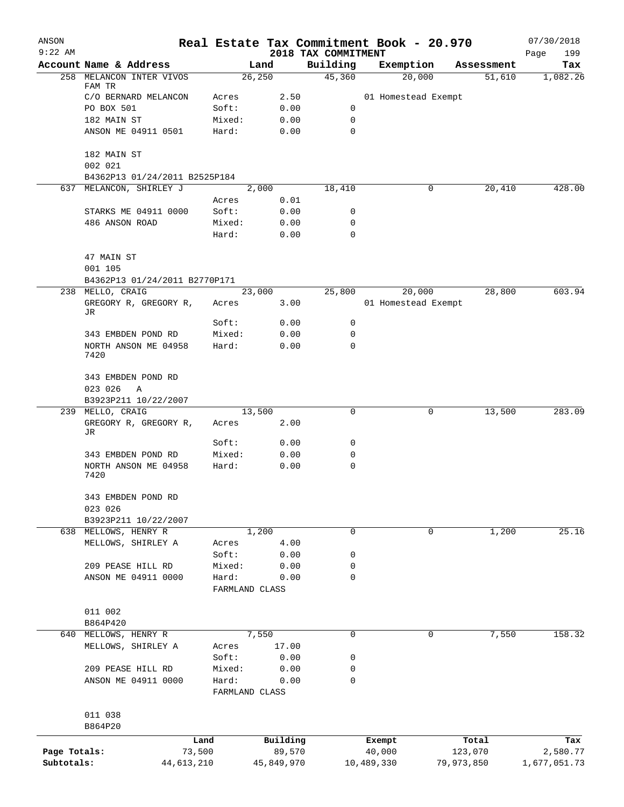| ANSON        |                                    |        |                |                                 | Real Estate Tax Commitment Book - 20.970 |             | 07/30/2018         |
|--------------|------------------------------------|--------|----------------|---------------------------------|------------------------------------------|-------------|--------------------|
| $9:22$ AM    | Account Name & Address             |        | Land           | 2018 TAX COMMITMENT<br>Building | Exemption                                | Assessment  | 199<br>Page<br>Tax |
|              | 258 MELANCON INTER VIVOS           |        | 26, 250        | 45,360                          | 20,000                                   | 51,610      | 1,082.26           |
|              | FAM TR                             |        |                |                                 |                                          |             |                    |
|              | C/O BERNARD MELANCON               | Acres  | 2.50           |                                 | 01 Homestead Exempt                      |             |                    |
|              | PO BOX 501                         | Soft:  | 0.00           | 0                               |                                          |             |                    |
|              | 182 MAIN ST                        | Mixed: | 0.00           | 0                               |                                          |             |                    |
|              | ANSON ME 04911 0501                | Hard:  | 0.00           | 0                               |                                          |             |                    |
|              | 182 MAIN ST                        |        |                |                                 |                                          |             |                    |
|              | 002 021                            |        |                |                                 |                                          |             |                    |
|              | B4362P13 01/24/2011 B2525P184      |        |                |                                 |                                          |             |                    |
|              | 637 MELANCON, SHIRLEY J            |        | 2,000          | 18,410                          |                                          | 20,410<br>0 | 428.00             |
|              |                                    | Acres  | 0.01           |                                 |                                          |             |                    |
|              | STARKS ME 04911 0000               | Soft:  | 0.00           | 0                               |                                          |             |                    |
|              | 486 ANSON ROAD                     | Mixed: | 0.00           | 0                               |                                          |             |                    |
|              |                                    | Hard:  | 0.00           | 0                               |                                          |             |                    |
|              | 47 MAIN ST                         |        |                |                                 |                                          |             |                    |
|              | 001 105                            |        |                |                                 |                                          |             |                    |
|              | B4362P13 01/24/2011 B2770P171      |        |                |                                 |                                          |             |                    |
| 238          | MELLO, CRAIG                       |        | 23,000         | 25,800                          | 20,000                                   | 28,800      | 603.94             |
|              | GREGORY R, GREGORY R,              | Acres  | 3.00           |                                 | 01 Homestead Exempt                      |             |                    |
|              | JR                                 |        |                |                                 |                                          |             |                    |
|              |                                    | Soft:  | 0.00           | 0                               |                                          |             |                    |
|              | 343 EMBDEN POND RD                 | Mixed: | 0.00           | 0                               |                                          |             |                    |
|              | NORTH ANSON ME 04958<br>7420       | Hard:  | 0.00           | 0                               |                                          |             |                    |
|              | 343 EMBDEN POND RD<br>023 026<br>Α |        |                |                                 |                                          |             |                    |
|              | B3923P211 10/22/2007               |        |                |                                 |                                          |             |                    |
|              | 239 MELLO, CRAIG                   |        | 13,500         | 0                               |                                          | 13,500<br>0 | 283.09             |
|              | GREGORY R, GREGORY R,              | Acres  | 2.00           |                                 |                                          |             |                    |
|              | JR                                 |        |                |                                 |                                          |             |                    |
|              |                                    | Soft:  | 0.00           | 0                               |                                          |             |                    |
|              | 343 EMBDEN POND RD                 | Mixed: | 0.00           | 0                               |                                          |             |                    |
|              | NORTH ANSON ME 04958<br>7420       | Hard:  | 0.00           | 0                               |                                          |             |                    |
|              | 343 EMBDEN POND RD                 |        |                |                                 |                                          |             |                    |
|              | 023 026                            |        |                |                                 |                                          |             |                    |
|              | B3923P211 10/22/2007               |        |                |                                 |                                          |             |                    |
|              | 638 MELLOWS, HENRY R               |        | 1,200          | $\mathbf 0$                     |                                          | 1,200<br>0  | 25.16              |
|              | MELLOWS, SHIRLEY A                 | Acres  | 4.00           |                                 |                                          |             |                    |
|              |                                    | Soft:  | 0.00           | 0                               |                                          |             |                    |
|              | 209 PEASE HILL RD                  | Mixed: | 0.00           | 0                               |                                          |             |                    |
|              | ANSON ME 04911 0000                | Hard:  | 0.00           | 0                               |                                          |             |                    |
|              |                                    |        | FARMLAND CLASS |                                 |                                          |             |                    |
|              |                                    |        |                |                                 |                                          |             |                    |
|              | 011 002                            |        |                |                                 |                                          |             |                    |
| 640          | B864P420<br>MELLOWS, HENRY R       |        | 7,550          | $\mathbf 0$                     |                                          | 7,550<br>0  | 158.32             |
|              | MELLOWS, SHIRLEY A                 | Acres  | 17.00          |                                 |                                          |             |                    |
|              |                                    | Soft:  | 0.00           | 0                               |                                          |             |                    |
|              | 209 PEASE HILL RD                  | Mixed: | 0.00           | 0                               |                                          |             |                    |
|              | ANSON ME 04911 0000                | Hard:  | 0.00           | 0                               |                                          |             |                    |
|              |                                    |        | FARMLAND CLASS |                                 |                                          |             |                    |
|              |                                    |        |                |                                 |                                          |             |                    |
|              | 011 038                            |        |                |                                 |                                          |             |                    |
|              | B864P20                            |        |                |                                 |                                          |             |                    |
|              | Land                               |        | Building       |                                 | Exempt                                   | Total       | Tax                |
| Page Totals: | 73,500                             |        | 89,570         |                                 | 40,000                                   | 123,070     | 2,580.77           |
| Subtotals:   | 44,613,210                         |        | 45,849,970     |                                 | 10,489,330                               | 79,973,850  | 1,677,051.73       |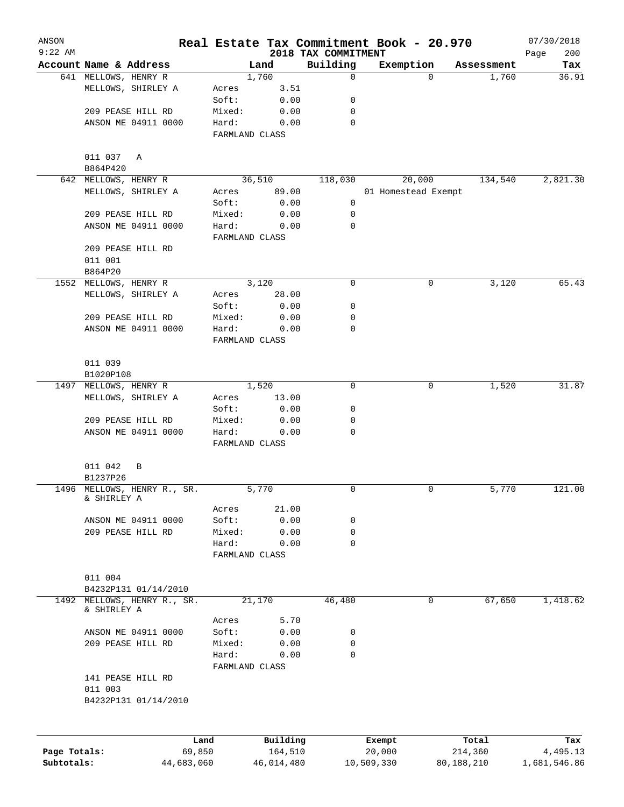| ANSON        |                                            |                         |          |                                 | Real Estate Tax Commitment Book - 20.970 |          |            | 07/30/2018         |
|--------------|--------------------------------------------|-------------------------|----------|---------------------------------|------------------------------------------|----------|------------|--------------------|
| $9:22$ AM    | Account Name & Address                     |                         | Land     | 2018 TAX COMMITMENT<br>Building | Exemption                                |          | Assessment | 200<br>Page<br>Tax |
|              | 641 MELLOWS, HENRY R                       |                         | 1,760    | $\mathbf 0$                     |                                          | $\Omega$ | 1,760      | 36.91              |
|              | MELLOWS, SHIRLEY A                         | Acres                   | 3.51     |                                 |                                          |          |            |                    |
|              |                                            | Soft:                   | 0.00     | 0                               |                                          |          |            |                    |
|              | 209 PEASE HILL RD                          | Mixed:                  | 0.00     | 0                               |                                          |          |            |                    |
|              | ANSON ME 04911 0000                        | Hard:                   | 0.00     | $\mathbf 0$                     |                                          |          |            |                    |
|              |                                            | FARMLAND CLASS          |          |                                 |                                          |          |            |                    |
|              | 011 037 A                                  |                         |          |                                 |                                          |          |            |                    |
|              | B864P420                                   |                         |          |                                 |                                          |          |            |                    |
|              | 642 MELLOWS, HENRY R                       |                         | 36,510   | 118,030                         | 20,000                                   |          | 134,540    | 2,821.30           |
|              | MELLOWS, SHIRLEY A                         | Acres                   | 89.00    |                                 | 01 Homestead Exempt                      |          |            |                    |
|              |                                            | Soft:                   | 0.00     | 0                               |                                          |          |            |                    |
|              | 209 PEASE HILL RD                          | Mixed:                  | 0.00     | 0                               |                                          |          |            |                    |
|              | ANSON ME 04911 0000                        | Hard:<br>FARMLAND CLASS | 0.00     | 0                               |                                          |          |            |                    |
|              | 209 PEASE HILL RD                          |                         |          |                                 |                                          |          |            |                    |
|              | 011 001                                    |                         |          |                                 |                                          |          |            |                    |
|              | B864P20                                    |                         |          |                                 |                                          |          |            |                    |
|              | 1552 MELLOWS, HENRY R                      |                         | 3,120    | 0                               |                                          | 0        | 3,120      | 65.43              |
|              | MELLOWS, SHIRLEY A                         | Acres                   | 28.00    |                                 |                                          |          |            |                    |
|              |                                            | Soft:                   | 0.00     | 0                               |                                          |          |            |                    |
|              | 209 PEASE HILL RD                          | Mixed:                  | 0.00     | 0                               |                                          |          |            |                    |
|              | ANSON ME 04911 0000                        | Hard:                   | 0.00     | $\mathbf 0$                     |                                          |          |            |                    |
|              |                                            | FARMLAND CLASS          |          |                                 |                                          |          |            |                    |
|              | 011 039                                    |                         |          |                                 |                                          |          |            |                    |
|              | B1020P108                                  |                         |          |                                 |                                          |          |            |                    |
|              | 1497 MELLOWS, HENRY R                      |                         | 1,520    | 0                               |                                          | 0        | 1,520      | 31.87              |
|              | MELLOWS, SHIRLEY A                         | Acres<br>Soft:          | 13.00    | 0                               |                                          |          |            |                    |
|              |                                            |                         | 0.00     |                                 |                                          |          |            |                    |
|              | 209 PEASE HILL RD                          | Mixed:                  | 0.00     | 0<br>0                          |                                          |          |            |                    |
|              | ANSON ME 04911 0000                        | Hard:<br>FARMLAND CLASS | 0.00     |                                 |                                          |          |            |                    |
|              | 011 042<br>B                               |                         |          |                                 |                                          |          |            |                    |
|              | B1237P26                                   |                         |          |                                 |                                          |          |            |                    |
|              | 1496 MELLOWS, HENRY R., SR.<br>& SHIRLEY A |                         | 5,770    | 0                               |                                          | 0        | 5,770      | 121.00             |
|              |                                            | Acres                   | 21.00    |                                 |                                          |          |            |                    |
|              | ANSON ME 04911 0000                        | Soft:                   | 0.00     | 0                               |                                          |          |            |                    |
|              | 209 PEASE HILL RD                          | Mixed:                  | 0.00     | 0                               |                                          |          |            |                    |
|              |                                            | Hard:                   | 0.00     | 0                               |                                          |          |            |                    |
|              |                                            | FARMLAND CLASS          |          |                                 |                                          |          |            |                    |
|              | 011 004                                    |                         |          |                                 |                                          |          |            |                    |
|              | B4232P131 01/14/2010                       |                         |          |                                 |                                          |          |            |                    |
| 1492         | MELLOWS, HENRY R., SR.<br>& SHIRLEY A      |                         | 21,170   | 46,480                          |                                          | 0        | 67,650     | 1,418.62           |
|              |                                            | Acres                   | 5.70     |                                 |                                          |          |            |                    |
|              | ANSON ME 04911 0000                        | Soft:                   | 0.00     | 0                               |                                          |          |            |                    |
|              | 209 PEASE HILL RD                          | Mixed:                  | 0.00     | 0                               |                                          |          |            |                    |
|              |                                            | Hard:<br>FARMLAND CLASS | 0.00     | $\mathbf 0$                     |                                          |          |            |                    |
|              | 141 PEASE HILL RD                          |                         |          |                                 |                                          |          |            |                    |
|              | 011 003<br>B4232P131 01/14/2010            |                         |          |                                 |                                          |          |            |                    |
|              |                                            |                         |          |                                 |                                          |          |            |                    |
|              | Land                                       |                         | Building |                                 | Exempt                                   |          | Total      | Tax                |
| Page Totals: | 69,850                                     |                         | 164,510  |                                 | 20,000                                   |          | 214,360    | 4,495.13           |

**Subtotals:** 44,683,060 46,014,480 10,509,330 80,188,210 1,681,546.86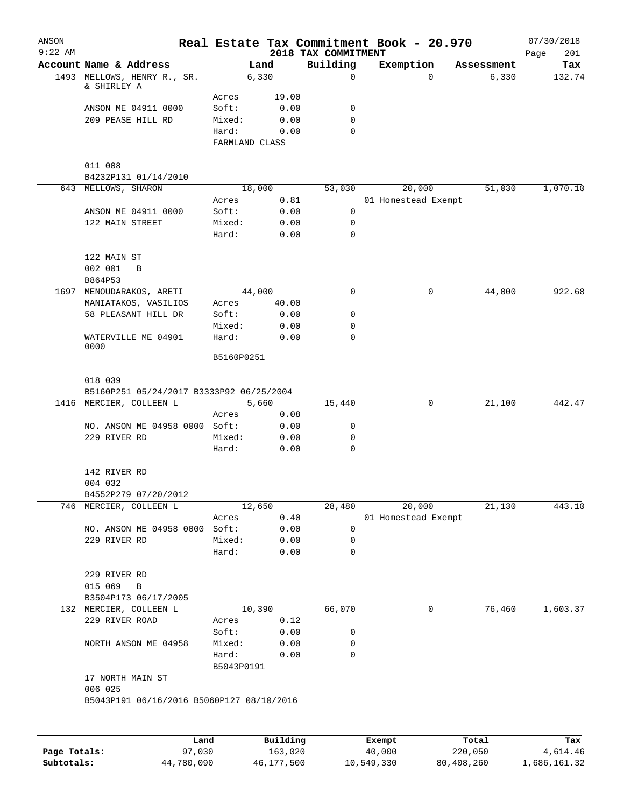| ANSON<br>$9:22$ AM |                                           |                |               | 2018 TAX COMMITMENT | Real Estate Tax Commitment Book - 20.970 |          |            | 07/30/2018<br>201<br>Page |
|--------------------|-------------------------------------------|----------------|---------------|---------------------|------------------------------------------|----------|------------|---------------------------|
|                    | Account Name & Address                    |                | Land          | Building            | Exemption                                |          | Assessment | Tax                       |
|                    | 1493 MELLOWS, HENRY R., SR.               |                | 6,330         | $\mathbf 0$         |                                          | $\Omega$ | 6,330      | 132.74                    |
|                    | & SHIRLEY A                               |                |               |                     |                                          |          |            |                           |
|                    | ANSON ME 04911 0000                       | Acres<br>Soft: | 19.00<br>0.00 | 0                   |                                          |          |            |                           |
|                    | 209 PEASE HILL RD                         | Mixed:         | 0.00          | $\mathbf 0$         |                                          |          |            |                           |
|                    |                                           | Hard:          | 0.00          | $\Omega$            |                                          |          |            |                           |
|                    |                                           | FARMLAND CLASS |               |                     |                                          |          |            |                           |
|                    |                                           |                |               |                     |                                          |          |            |                           |
|                    | 011 008                                   |                |               |                     |                                          |          |            |                           |
|                    | B4232P131 01/14/2010                      |                |               |                     |                                          |          |            |                           |
|                    | 643 MELLOWS, SHARON                       | 18,000         |               | 53,030              |                                          | 20,000   | 51,030     | 1,070.10                  |
|                    |                                           | Acres          | 0.81          |                     | 01 Homestead Exempt                      |          |            |                           |
|                    | ANSON ME 04911 0000                       | Soft:          | 0.00          | $\mathbf 0$         |                                          |          |            |                           |
|                    | 122 MAIN STREET                           | Mixed:         | 0.00          | 0                   |                                          |          |            |                           |
|                    |                                           | Hard:          | 0.00          | 0                   |                                          |          |            |                           |
|                    |                                           |                |               |                     |                                          |          |            |                           |
|                    | 122 MAIN ST                               |                |               |                     |                                          |          |            |                           |
|                    | 002 001<br>B                              |                |               |                     |                                          |          |            |                           |
|                    | B864P53                                   |                |               |                     |                                          |          |            |                           |
|                    | 1697 MENOUDARAKOS, ARETI                  | 44,000         |               | $\mathbf 0$         |                                          | 0        | 44,000     | 922.68                    |
|                    | MANIATAKOS, VASILIOS                      | Acres          | 40.00         |                     |                                          |          |            |                           |
|                    | 58 PLEASANT HILL DR                       | Soft:          | 0.00          | 0                   |                                          |          |            |                           |
|                    |                                           | Mixed:         | 0.00          | 0                   |                                          |          |            |                           |
|                    | WATERVILLE ME 04901<br>0000               | Hard:          | 0.00          | 0                   |                                          |          |            |                           |
|                    |                                           | B5160P0251     |               |                     |                                          |          |            |                           |
|                    |                                           |                |               |                     |                                          |          |            |                           |
|                    | 018 039                                   |                |               |                     |                                          |          |            |                           |
|                    | B5160P251 05/24/2017 B3333P92 06/25/2004  |                |               |                     |                                          |          |            |                           |
|                    | 1416 MERCIER, COLLEEN L                   |                | 5,660         | 15,440              |                                          | 0        | 21,100     | 442.47                    |
|                    |                                           | Acres          | 0.08          |                     |                                          |          |            |                           |
|                    | NO. ANSON ME 04958 0000 Soft:             |                | 0.00          | 0                   |                                          |          |            |                           |
|                    | 229 RIVER RD                              | Mixed:         | 0.00          | 0                   |                                          |          |            |                           |
|                    |                                           | Hard:          | 0.00          | $\mathbf 0$         |                                          |          |            |                           |
|                    |                                           |                |               |                     |                                          |          |            |                           |
|                    | 142 RIVER RD                              |                |               |                     |                                          |          |            |                           |
|                    | 004 032                                   |                |               |                     |                                          |          |            |                           |
|                    | B4552P279 07/20/2012                      |                |               |                     |                                          |          |            |                           |
| 746                | MERCIER, COLLEEN L                        | 12,650         |               | 28,480              | 20,000                                   |          | 21,130     | 443.10                    |
|                    |                                           | Acres          | 0.40          |                     | 01 Homestead Exempt                      |          |            |                           |
|                    | NO. ANSON ME 04958 0000                   | Soft:          | 0.00          | 0                   |                                          |          |            |                           |
|                    | 229 RIVER RD                              | Mixed:         | 0.00          | 0                   |                                          |          |            |                           |
|                    |                                           | Hard:          | 0.00          | 0                   |                                          |          |            |                           |
|                    |                                           |                |               |                     |                                          |          |            |                           |
|                    | 229 RIVER RD                              |                |               |                     |                                          |          |            |                           |
|                    | 015 069<br>B                              |                |               |                     |                                          |          |            |                           |
|                    | B3504P173 06/17/2005                      |                |               |                     |                                          |          |            |                           |
|                    | 132 MERCIER, COLLEEN L                    | 10,390         |               | 66,070              |                                          | 0        | 76,460     | 1,603.37                  |
|                    | 229 RIVER ROAD                            | Acres          | 0.12          |                     |                                          |          |            |                           |
|                    |                                           | Soft:          | 0.00          | 0                   |                                          |          |            |                           |
|                    | NORTH ANSON ME 04958                      | Mixed:         | 0.00          | 0                   |                                          |          |            |                           |
|                    |                                           | Hard:          | 0.00          | 0                   |                                          |          |            |                           |
|                    |                                           | B5043P0191     |               |                     |                                          |          |            |                           |
|                    | 17 NORTH MAIN ST                          |                |               |                     |                                          |          |            |                           |
|                    | 006 025                                   |                |               |                     |                                          |          |            |                           |
|                    | B5043P191 06/16/2016 B5060P127 08/10/2016 |                |               |                     |                                          |          |            |                           |
|                    |                                           |                |               |                     |                                          |          |            |                           |
|                    |                                           |                |               |                     |                                          |          |            |                           |
|                    | Land                                      |                | Building      |                     | Exempt                                   |          | Total      | Tax                       |
| Page Totals:       | 97,030                                    |                | 163,020       |                     | 40,000                                   |          | 220,050    | 4,614.46                  |

**Subtotals:** 44,780,090 46,177,500 10,549,330 80,408,260 1,686,161.32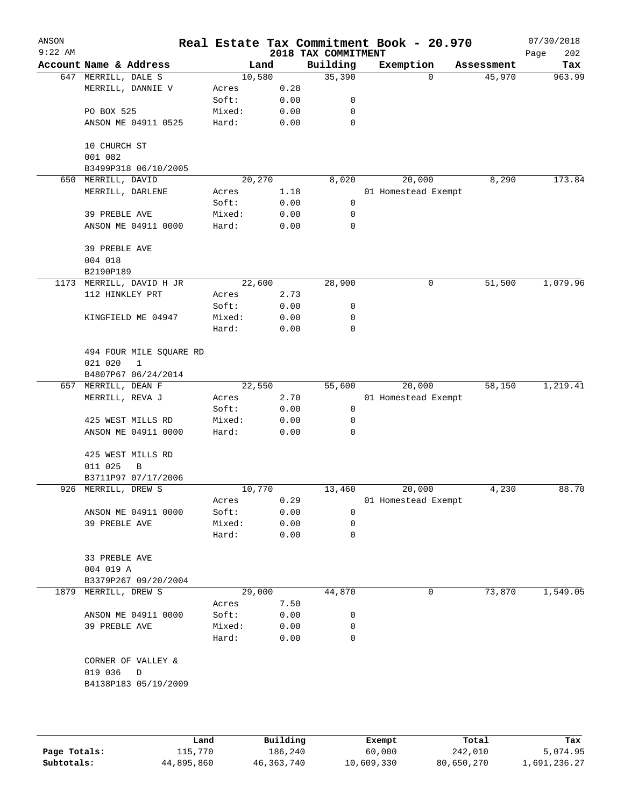| ANSON<br>$9:22$ AM |                          |        |      | 2018 TAX COMMITMENT | Real Estate Tax Commitment Book - 20.970 |            | 07/30/2018<br>202<br>Page |
|--------------------|--------------------------|--------|------|---------------------|------------------------------------------|------------|---------------------------|
|                    | Account Name & Address   | Land   |      | Building            | Exemption                                | Assessment | Tax                       |
|                    | 647 MERRILL, DALE S      | 10,580 |      | 35,390              | 0                                        | 45,970     | 963.99                    |
|                    | MERRILL, DANNIE V        | Acres  | 0.28 |                     |                                          |            |                           |
|                    |                          | Soft:  | 0.00 | 0                   |                                          |            |                           |
|                    | PO BOX 525               | Mixed: | 0.00 | 0                   |                                          |            |                           |
|                    | ANSON ME 04911 0525      | Hard:  | 0.00 | $\mathbf 0$         |                                          |            |                           |
|                    | 10 CHURCH ST             |        |      |                     |                                          |            |                           |
|                    | 001 082                  |        |      |                     |                                          |            |                           |
|                    | B3499P318 06/10/2005     |        |      |                     |                                          |            |                           |
|                    | 650 MERRILL, DAVID       | 20,270 |      | 8,020               | 20,000                                   | 8,290      | 173.84                    |
|                    | MERRILL, DARLENE         | Acres  | 1.18 |                     | 01 Homestead Exempt                      |            |                           |
|                    |                          | Soft:  | 0.00 | 0                   |                                          |            |                           |
|                    | 39 PREBLE AVE            | Mixed: | 0.00 | 0                   |                                          |            |                           |
|                    | ANSON ME 04911 0000      | Hard:  | 0.00 | 0                   |                                          |            |                           |
|                    | 39 PREBLE AVE<br>004 018 |        |      |                     |                                          |            |                           |
|                    | B2190P189                |        |      |                     |                                          |            |                           |
|                    | 1173 MERRILL, DAVID H JR | 22,600 |      | 28,900              | 0                                        | 51,500     | 1,079.96                  |
|                    | 112 HINKLEY PRT          | Acres  | 2.73 |                     |                                          |            |                           |
|                    |                          | Soft:  | 0.00 | 0                   |                                          |            |                           |
|                    | KINGFIELD ME 04947       | Mixed: | 0.00 | 0                   |                                          |            |                           |
|                    |                          | Hard:  | 0.00 | 0                   |                                          |            |                           |
|                    | 494 FOUR MILE SQUARE RD  |        |      |                     |                                          |            |                           |
|                    | 021 020<br>$\mathbf{1}$  |        |      |                     |                                          |            |                           |
|                    | B4807P67 06/24/2014      |        |      |                     |                                          |            |                           |
|                    | 657 MERRILL, DEAN F      | 22,550 |      | 55,600              | 20,000                                   | 58,150     | 1,219.41                  |
|                    | MERRILL, REVA J          | Acres  | 2.70 |                     | 01 Homestead Exempt                      |            |                           |
|                    |                          | Soft:  | 0.00 | 0                   |                                          |            |                           |
|                    | 425 WEST MILLS RD        | Mixed: | 0.00 | 0                   |                                          |            |                           |
|                    | ANSON ME 04911 0000      | Hard:  | 0.00 | 0                   |                                          |            |                           |
|                    |                          |        |      |                     |                                          |            |                           |
|                    | 425 WEST MILLS RD        |        |      |                     |                                          |            |                           |
|                    | 011 025<br>В             |        |      |                     |                                          |            |                           |
|                    | B3711P97 07/17/2006      |        |      |                     |                                          |            |                           |
|                    | 926 MERRILL, DREW S      | 10,770 |      | 13,460              | 20,000                                   | 4,230      | 88.70                     |
|                    |                          | Acres  | 0.29 |                     | 01 Homestead Exempt                      |            |                           |
|                    | ANSON ME 04911 0000      | Soft:  | 0.00 | 0                   |                                          |            |                           |
|                    | 39 PREBLE AVE            | Mixed: | 0.00 | 0                   |                                          |            |                           |
|                    |                          | Hard:  | 0.00 | 0                   |                                          |            |                           |
|                    | 33 PREBLE AVE            |        |      |                     |                                          |            |                           |
|                    | 004 019 A                |        |      |                     |                                          |            |                           |
|                    | B3379P267 09/20/2004     |        |      |                     |                                          |            |                           |
|                    | 1879 MERRILL, DREW S     | 29,000 |      | 44,870              | 0                                        | 73,870     | 1,549.05                  |
|                    |                          | Acres  | 7.50 |                     |                                          |            |                           |
|                    | ANSON ME 04911 0000      | Soft:  | 0.00 | 0                   |                                          |            |                           |
|                    | 39 PREBLE AVE            | Mixed: | 0.00 | 0                   |                                          |            |                           |
|                    |                          | Hard:  | 0.00 | 0                   |                                          |            |                           |
|                    | CORNER OF VALLEY &       |        |      |                     |                                          |            |                           |
|                    | 019 036<br>D             |        |      |                     |                                          |            |                           |
|                    | B4138P183 05/19/2009     |        |      |                     |                                          |            |                           |
|                    |                          |        |      |                     |                                          |            |                           |
|                    |                          |        |      |                     |                                          |            |                           |
|                    |                          |        |      |                     |                                          |            |                           |

|              | Land       | Building   | Exempt     | Total      | Tax          |
|--------------|------------|------------|------------|------------|--------------|
| Page Totals: | 115,770    | 186,240    | 60,000     | 242,010    | 5,074.95     |
| Subtotals:   | 44,895,860 | 46,363,740 | 10,609,330 | 80,650,270 | 1,691,236.27 |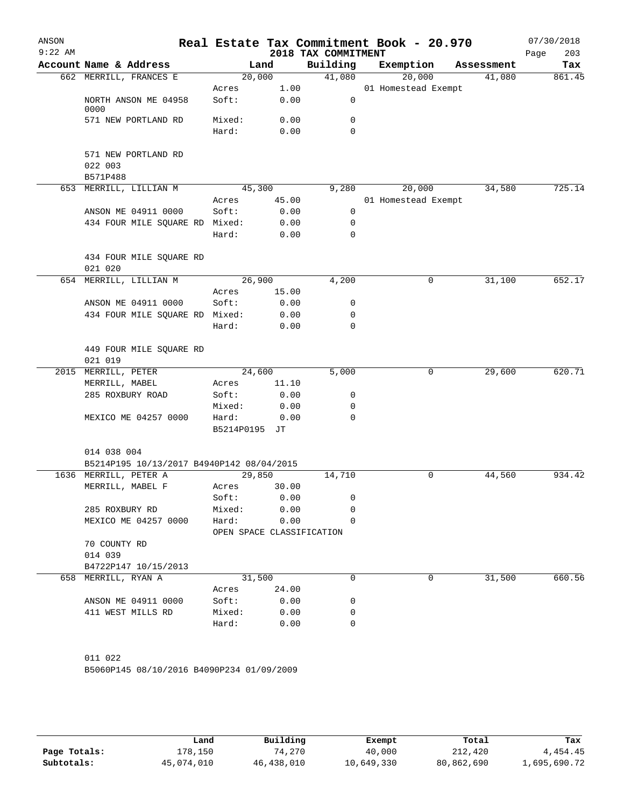| ANSON<br>$9:22$ AM |                                            |                                    |              | 2018 TAX COMMITMENT | Real Estate Tax Commitment Book - 20.970 |            | 07/30/2018<br>203<br>Page |
|--------------------|--------------------------------------------|------------------------------------|--------------|---------------------|------------------------------------------|------------|---------------------------|
|                    | Account Name & Address                     | Land                               |              | Building            | Exemption                                | Assessment | Tax                       |
|                    | 662 MERRILL, FRANCES E                     | 20,000                             |              | 41,080              | 20,000                                   | 41,080     | 861.45                    |
|                    | NORTH ANSON ME 04958                       | Acres<br>Soft:                     | 1.00<br>0.00 | 0                   | 01 Homestead Exempt                      |            |                           |
|                    | 0000                                       |                                    |              |                     |                                          |            |                           |
|                    | 571 NEW PORTLAND RD                        | Mixed:<br>Hard:                    | 0.00<br>0.00 | 0<br>$\Omega$       |                                          |            |                           |
|                    |                                            |                                    |              |                     |                                          |            |                           |
|                    | 571 NEW PORTLAND RD<br>022 003<br>B571P488 |                                    |              |                     |                                          |            |                           |
|                    | 653 MERRILL, LILLIAN M                     | 45,300                             |              | 9,280               | 20,000                                   | 34,580     | 725.14                    |
|                    |                                            | Acres                              | 45.00        |                     | 01 Homestead Exempt                      |            |                           |
|                    | ANSON ME 04911 0000                        | Soft:                              | 0.00         | 0                   |                                          |            |                           |
|                    | 434 FOUR MILE SQUARE RD Mixed:             |                                    | 0.00         | $\mathbf 0$         |                                          |            |                           |
|                    |                                            | Hard:                              | 0.00         | $\mathbf 0$         |                                          |            |                           |
|                    | 434 FOUR MILE SQUARE RD<br>021 020         |                                    |              |                     |                                          |            |                           |
|                    | 654 MERRILL, LILLIAN M                     | 26,900                             |              | 4,200               | 0                                        | 31,100     | 652.17                    |
|                    |                                            | Acres                              | 15.00        |                     |                                          |            |                           |
|                    | ANSON ME 04911 0000                        | Soft:                              | 0.00         | 0                   |                                          |            |                           |
|                    | 434 FOUR MILE SQUARE RD Mixed:             |                                    | 0.00         | 0                   |                                          |            |                           |
|                    |                                            | Hard:                              | 0.00         | $\Omega$            |                                          |            |                           |
|                    | 449 FOUR MILE SQUARE RD<br>021 019         |                                    |              |                     |                                          |            |                           |
|                    | 2015 MERRILL, PETER                        | 24,600                             |              | 5,000               | 0                                        | 29,600     | 620.71                    |
|                    | MERRILL, MABEL                             | Acres                              | 11.10        |                     |                                          |            |                           |
|                    | 285 ROXBURY ROAD                           | Soft:                              | 0.00         | 0                   |                                          |            |                           |
|                    |                                            | Mixed:                             | 0.00         | $\mathbf 0$         |                                          |            |                           |
|                    | MEXICO ME 04257 0000                       | Hard:                              | 0.00         | $\mathbf 0$         |                                          |            |                           |
|                    |                                            | B5214P0195 JT                      |              |                     |                                          |            |                           |
|                    | 014 038 004                                |                                    |              |                     |                                          |            |                           |
|                    | B5214P195 10/13/2017 B4940P142 08/04/2015  |                                    |              |                     |                                          |            |                           |
|                    | 1636 MERRILL, PETER A                      | 29,850                             |              | 14,710              | 0                                        | 44,560     | 934.42                    |
|                    | MERRILL, MABEL F                           | Acres                              | 30.00        |                     |                                          |            |                           |
|                    |                                            | Soft:                              | 0.00         | 0                   |                                          |            |                           |
|                    | 285 ROXBURY RD                             | Mixed:                             | 0.00         | 0                   |                                          |            |                           |
|                    | MEXICO ME 04257 0000                       | Hard:<br>OPEN SPACE CLASSIFICATION | 0.00         | 0                   |                                          |            |                           |
|                    | 70 COUNTY RD                               |                                    |              |                     |                                          |            |                           |
|                    | 014 039                                    |                                    |              |                     |                                          |            |                           |
|                    | B4722P147 10/15/2013                       |                                    |              |                     |                                          |            |                           |
|                    | 658 MERRILL, RYAN A                        | 31,500                             |              | 0                   | $\Omega$                                 | 31,500     | 660.56                    |
|                    |                                            | Acres                              | 24.00        |                     |                                          |            |                           |
|                    | ANSON ME 04911 0000                        | Soft:                              | 0.00         | 0                   |                                          |            |                           |
|                    | 411 WEST MILLS RD                          | Mixed:                             | 0.00         | 0                   |                                          |            |                           |
|                    |                                            | Hard:                              | 0.00         | 0                   |                                          |            |                           |
|                    |                                            |                                    |              |                     |                                          |            |                           |
|                    | 011 022                                    |                                    |              |                     |                                          |            |                           |
|                    | B5060P145 08/10/2016 B4090P234 01/09/2009  |                                    |              |                     |                                          |            |                           |
|                    |                                            |                                    |              |                     |                                          |            |                           |

|              | Land       | Building   | Exempt     | Total      | Tax          |
|--------------|------------|------------|------------|------------|--------------|
| Page Totals: | 178,150    | 74,270     | 40,000     | 212,420    | 4,454.45     |
| Subtotals:   | 45,074,010 | 46,438,010 | 10,649,330 | 80,862,690 | l,695,690.72 |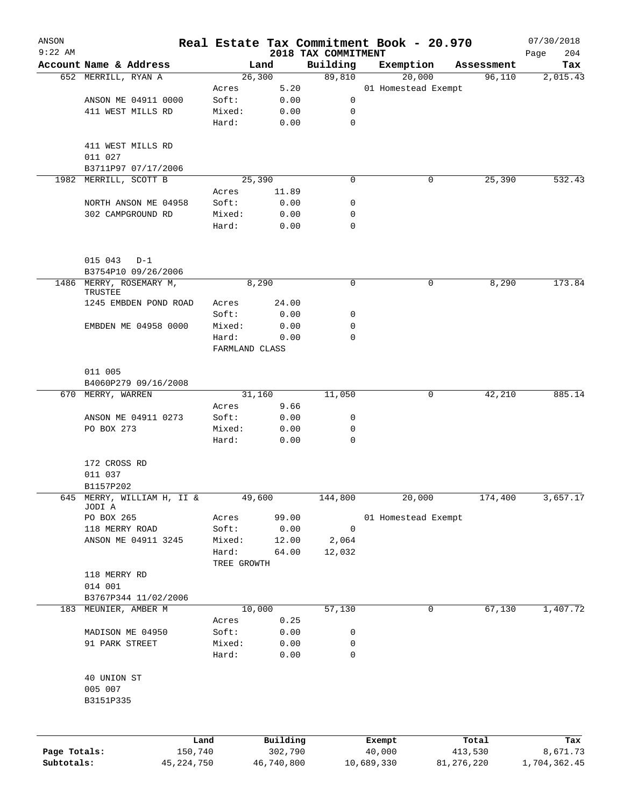| ANSON        |                                          |              |                |                        |                                 | Real Estate Tax Commitment Book - 20.970 |                      | 07/30/2018         |
|--------------|------------------------------------------|--------------|----------------|------------------------|---------------------------------|------------------------------------------|----------------------|--------------------|
| $9:22$ AM    | Account Name & Address                   |              |                | Land                   | 2018 TAX COMMITMENT<br>Building | Exemption                                |                      | 204<br>Page<br>Tax |
|              | 652 MERRILL, RYAN A                      |              |                | 26,300                 | 89,810                          | 20,000                                   | Assessment<br>96,110 | 2,015.43           |
|              |                                          |              | Acres          | 5.20                   |                                 | 01 Homestead Exempt                      |                      |                    |
|              | ANSON ME 04911 0000                      |              | Soft:          | 0.00                   | 0                               |                                          |                      |                    |
|              | 411 WEST MILLS RD                        |              | Mixed:         | 0.00                   | 0                               |                                          |                      |                    |
|              |                                          |              | Hard:          | 0.00                   | $\mathbf 0$                     |                                          |                      |                    |
|              | 411 WEST MILLS RD                        |              |                |                        |                                 |                                          |                      |                    |
|              | 011 027                                  |              |                |                        |                                 |                                          |                      |                    |
|              | B3711P97 07/17/2006                      |              |                |                        |                                 |                                          |                      |                    |
| 1982         | MERRILL, SCOTT B                         |              |                | 25,390                 | 0                               | 0                                        | 25,390               | 532.43             |
|              | NORTH ANSON ME 04958                     |              | Acres<br>Soft: | 11.89<br>0.00          | 0                               |                                          |                      |                    |
|              | 302 CAMPGROUND RD                        |              | Mixed:         | 0.00                   | 0                               |                                          |                      |                    |
|              |                                          |              | Hard:          | 0.00                   | 0                               |                                          |                      |                    |
|              | 015 043<br>$D-1$                         |              |                |                        |                                 |                                          |                      |                    |
|              | B3754P10 09/26/2006                      |              |                |                        |                                 |                                          |                      |                    |
|              | 1486 MERRY, ROSEMARY M,<br>TRUSTEE       |              |                | 8,290                  | 0                               | 0                                        | 8,290                | 173.84             |
|              | 1245 EMBDEN POND ROAD                    |              | Acres          | 24.00                  |                                 |                                          |                      |                    |
|              |                                          |              | Soft:          | 0.00                   | 0                               |                                          |                      |                    |
|              | EMBDEN ME 04958 0000                     |              | Mixed:         | 0.00                   | 0                               |                                          |                      |                    |
|              |                                          |              | Hard:          | 0.00<br>FARMLAND CLASS | 0                               |                                          |                      |                    |
|              | 011 005                                  |              |                |                        |                                 |                                          |                      |                    |
|              | B4060P279 09/16/2008                     |              |                |                        |                                 |                                          |                      |                    |
|              | 670 MERRY, WARREN                        |              |                | 31,160                 | 11,050                          | 0                                        | 42, 210              | 885.14             |
|              |                                          |              | Acres          | 9.66                   |                                 |                                          |                      |                    |
|              | ANSON ME 04911 0273                      |              | Soft:          | 0.00                   | 0                               |                                          |                      |                    |
|              | PO BOX 273                               |              | Mixed:         | 0.00                   | 0                               |                                          |                      |                    |
|              |                                          |              | Hard:          | 0.00                   | 0                               |                                          |                      |                    |
|              | 172 CROSS RD<br>011 037                  |              |                |                        |                                 |                                          |                      |                    |
|              | B1157P202                                |              |                |                        |                                 |                                          |                      |                    |
| 645          | MERRY, WILLIAM H, II &<br>JODI A         |              |                | 49,600                 | 144,800                         | 20,000                                   | 174,400              | 3,657.17           |
|              | PO BOX 265                               |              | Acres          | 99.00                  |                                 | 01 Homestead Exempt                      |                      |                    |
|              | 118 MERRY ROAD                           |              | Soft:          | 0.00                   | 0                               |                                          |                      |                    |
|              | ANSON ME 04911 3245                      |              | Mixed:         | 12.00                  | 2,064                           |                                          |                      |                    |
|              |                                          |              | Hard:          | 64.00                  | 12,032                          |                                          |                      |                    |
|              |                                          |              | TREE GROWTH    |                        |                                 |                                          |                      |                    |
|              | 118 MERRY RD                             |              |                |                        |                                 |                                          |                      |                    |
|              | 014 001                                  |              |                |                        |                                 |                                          |                      |                    |
| 183          | B3767P344 11/02/2006<br>MEUNIER, AMBER M |              |                | 10,000                 | 57,130                          | 0                                        | 67,130               | 1,407.72           |
|              |                                          |              | Acres          | 0.25                   |                                 |                                          |                      |                    |
|              | MADISON ME 04950                         |              | Soft:          | 0.00                   | 0                               |                                          |                      |                    |
|              | 91 PARK STREET                           |              | Mixed:         | 0.00                   | 0                               |                                          |                      |                    |
|              |                                          |              | Hard:          | 0.00                   | 0                               |                                          |                      |                    |
|              | 40 UNION ST                              |              |                |                        |                                 |                                          |                      |                    |
|              | 005 007<br>B3151P335                     |              |                |                        |                                 |                                          |                      |                    |
|              |                                          |              |                |                        |                                 |                                          |                      |                    |
|              |                                          | Land         |                | Building               |                                 | Exempt                                   | Total                | Tax                |
| Page Totals: |                                          | 150,740      |                | 302,790                |                                 | 40,000                                   | 413,530              | 8,671.73           |
| Subtotals:   |                                          | 45, 224, 750 |                | 46,740,800             |                                 | 10,689,330                               | 81,276,220           | 1,704,362.45       |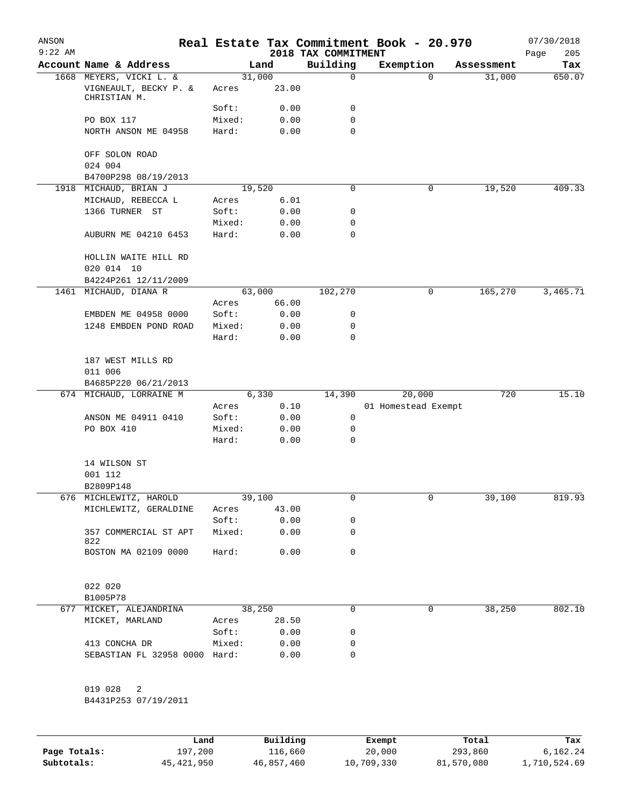| ANSON<br>$9:22$ AM |                                                 |        |          |                                 | Real Estate Tax Commitment Book - 20.970 |            | 07/30/2018         |
|--------------------|-------------------------------------------------|--------|----------|---------------------------------|------------------------------------------|------------|--------------------|
|                    | Account Name & Address                          |        | Land     | 2018 TAX COMMITMENT<br>Building | Exemption                                | Assessment | 205<br>Page<br>Tax |
|                    | 1668 MEYERS, VICKI L. &                         |        | 31,000   | 0                               | $\Omega$                                 | 31,000     | 650.07             |
|                    | VIGNEAULT, BECKY P. &<br>CHRISTIAN M.           | Acres  | 23.00    |                                 |                                          |            |                    |
|                    |                                                 | Soft:  | 0.00     | 0                               |                                          |            |                    |
|                    | PO BOX 117                                      | Mixed: | 0.00     | $\mathbf 0$                     |                                          |            |                    |
|                    | NORTH ANSON ME 04958                            | Hard:  | 0.00     | 0                               |                                          |            |                    |
|                    | OFF SOLON ROAD                                  |        |          |                                 |                                          |            |                    |
|                    | 024 004<br>B4700P298 08/19/2013                 |        |          |                                 |                                          |            |                    |
| 1918               | MICHAUD, BRIAN J                                |        | 19,520   | $\mathbf 0$                     | 0                                        | 19,520     | 409.33             |
|                    | MICHAUD, REBECCA L                              | Acres  | 6.01     |                                 |                                          |            |                    |
|                    | 1366 TURNER ST                                  | Soft:  | 0.00     | 0                               |                                          |            |                    |
|                    |                                                 | Mixed: | 0.00     | 0                               |                                          |            |                    |
|                    | AUBURN ME 04210 6453                            | Hard:  | 0.00     | $\mathbf 0$                     |                                          |            |                    |
|                    | HOLLIN WAITE HILL RD                            |        |          |                                 |                                          |            |                    |
|                    | 020 014 10                                      |        |          |                                 |                                          |            |                    |
|                    | B4224P261 12/11/2009                            |        |          |                                 |                                          |            |                    |
| 1461               | MICHAUD, DIANA R                                |        | 63,000   | 102,270                         | 0                                        | 165,270    | 3,465.71           |
|                    |                                                 | Acres  | 66.00    |                                 |                                          |            |                    |
|                    | EMBDEN ME 04958 0000                            | Soft:  | 0.00     | 0                               |                                          |            |                    |
|                    | 1248 EMBDEN POND ROAD                           | Mixed: | 0.00     | 0                               |                                          |            |                    |
|                    |                                                 | Hard:  | 0.00     | 0                               |                                          |            |                    |
|                    | 187 WEST MILLS RD                               |        |          |                                 |                                          |            |                    |
|                    | 011 006                                         |        |          |                                 |                                          |            |                    |
|                    | B4685P220 06/21/2013<br>674 MICHAUD, LORRAINE M |        | 6,330    | 14,390                          | 20,000                                   | 720        | 15.10              |
|                    |                                                 | Acres  | 0.10     |                                 | 01 Homestead Exempt                      |            |                    |
|                    | ANSON ME 04911 0410                             | Soft:  | 0.00     | 0                               |                                          |            |                    |
|                    | PO BOX 410                                      | Mixed: | 0.00     | 0                               |                                          |            |                    |
|                    |                                                 | Hard:  | 0.00     | 0                               |                                          |            |                    |
|                    |                                                 |        |          |                                 |                                          |            |                    |
|                    | 14 WILSON ST                                    |        |          |                                 |                                          |            |                    |
|                    | 001 112                                         |        |          |                                 |                                          |            |                    |
|                    | B2809P148                                       |        |          |                                 |                                          |            |                    |
|                    | 676 MICHLEWITZ, HAROLD                          |        | 39,100   | 0                               | 0                                        | 39,100     | 819.93             |
|                    | MICHLEWITZ, GERALDINE                           | Acres  | 43.00    |                                 |                                          |            |                    |
|                    | 357 COMMERCIAL ST APT                           | Soft:  | 0.00     | 0<br>0                          |                                          |            |                    |
|                    | 822                                             | Mixed: | 0.00     |                                 |                                          |            |                    |
|                    | BOSTON MA 02109 0000                            | Hard:  | 0.00     | 0                               |                                          |            |                    |
|                    | 022 020                                         |        |          |                                 |                                          |            |                    |
|                    | B1005P78                                        |        |          |                                 |                                          |            |                    |
|                    | 677 MICKET, ALEJANDRINA                         |        | 38,250   | $\mathbf 0$                     | 0                                        | 38,250     | 802.10             |
|                    | MICKET, MARLAND                                 | Acres  | 28.50    |                                 |                                          |            |                    |
|                    |                                                 | Soft:  | 0.00     | 0                               |                                          |            |                    |
|                    | 413 CONCHA DR                                   | Mixed: | 0.00     | 0                               |                                          |            |                    |
|                    | SEBASTIAN FL 32958 0000 Hard:                   |        | 0.00     | 0                               |                                          |            |                    |
|                    | 019 028<br>2                                    |        |          |                                 |                                          |            |                    |
|                    | B4431P253 07/19/2011                            |        |          |                                 |                                          |            |                    |
|                    | Land                                            |        | Building |                                 | Exempt                                   | Total      | Tax                |
|                    |                                                 |        |          |                                 |                                          |            |                    |

|              | Land       | Building   | Exempt     | Total      | тах          |
|--------------|------------|------------|------------|------------|--------------|
| Page Totals: | 197,200    | 116,660    | 20,000     | 293,860    | 6,162.24     |
| Subtotals:   | 45,421,950 | 46,857,460 | 10,709,330 | 81,570,080 | 1,710,524.69 |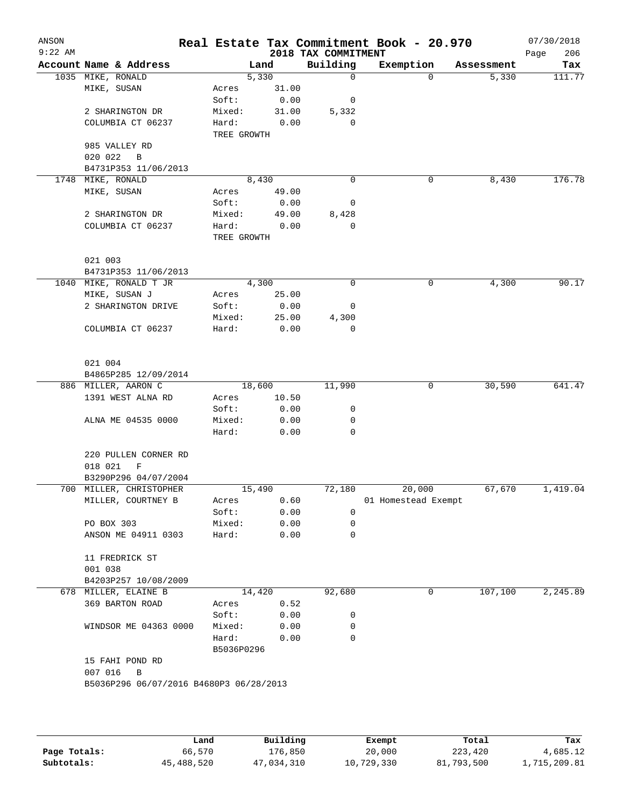| ANSON<br>$9:22$ AM |                                         |                |                | 2018 TAX COMMITMENT | Real Estate Tax Commitment Book - 20.970 |            | 07/30/2018<br>206<br>Page |
|--------------------|-----------------------------------------|----------------|----------------|---------------------|------------------------------------------|------------|---------------------------|
|                    | Account Name & Address                  |                | Land           | Building            | Exemption                                | Assessment | Tax                       |
|                    | 1035 MIKE, RONALD                       |                | 5,330          | $\mathbf 0$         | $\Omega$                                 | 5,330      | 111.77                    |
|                    | MIKE, SUSAN                             | Acres          | 31.00          |                     |                                          |            |                           |
|                    |                                         | Soft:          | 0.00           | 0                   |                                          |            |                           |
|                    | 2 SHARINGTON DR                         | Mixed:         | 31.00          | 5,332               |                                          |            |                           |
|                    | COLUMBIA CT 06237                       | Hard:          | 0.00           | 0                   |                                          |            |                           |
|                    |                                         | TREE GROWTH    |                |                     |                                          |            |                           |
|                    | 985 VALLEY RD                           |                |                |                     |                                          |            |                           |
|                    | 020 022<br>B                            |                |                |                     |                                          |            |                           |
|                    | B4731P353 11/06/2013                    |                |                | 0                   | 0                                        |            | 176.78                    |
| 1748               | MIKE, RONALD                            |                | 8,430<br>49.00 |                     |                                          | 8,430      |                           |
|                    | MIKE, SUSAN                             | Acres<br>Soft: | 0.00           | 0                   |                                          |            |                           |
|                    | 2 SHARINGTON DR                         | Mixed:         | 49.00          | 8,428               |                                          |            |                           |
|                    | COLUMBIA CT 06237                       | Hard:          | 0.00           | 0                   |                                          |            |                           |
|                    |                                         | TREE GROWTH    |                |                     |                                          |            |                           |
|                    |                                         |                |                |                     |                                          |            |                           |
|                    | 021 003                                 |                |                |                     |                                          |            |                           |
|                    | B4731P353 11/06/2013                    |                |                |                     |                                          |            |                           |
|                    | 1040 MIKE, RONALD T JR                  |                | 4,300          | 0                   | 0                                        | 4,300      | 90.17                     |
|                    | MIKE, SUSAN J                           | Acres          | 25.00          |                     |                                          |            |                           |
|                    | 2 SHARINGTON DRIVE                      | Soft:          | 0.00           | 0                   |                                          |            |                           |
|                    |                                         | Mixed:         | 25.00          | 4,300               |                                          |            |                           |
|                    | COLUMBIA CT 06237                       | Hard:          | 0.00           | 0                   |                                          |            |                           |
|                    |                                         |                |                |                     |                                          |            |                           |
|                    |                                         |                |                |                     |                                          |            |                           |
|                    | 021 004                                 |                |                |                     |                                          |            |                           |
|                    | B4865P285 12/09/2014                    |                |                |                     |                                          |            |                           |
|                    | 886 MILLER, AARON C                     |                | 18,600         | 11,990              | 0                                        | 30,590     | 641.47                    |
|                    | 1391 WEST ALNA RD                       | Acres          | 10.50          |                     |                                          |            |                           |
|                    |                                         | Soft:          | 0.00           | 0                   |                                          |            |                           |
|                    | ALNA ME 04535 0000                      | Mixed:         | 0.00           | 0<br>0              |                                          |            |                           |
|                    |                                         | Hard:          | 0.00           |                     |                                          |            |                           |
|                    | 220 PULLEN CORNER RD                    |                |                |                     |                                          |            |                           |
|                    | 018 021<br>F                            |                |                |                     |                                          |            |                           |
|                    | B3290P296 04/07/2004                    |                |                |                     |                                          |            |                           |
|                    | 700 MILLER, CHRISTOPHER                 |                | 15,490         | 72,180              | 20,000                                   | 67,670     | 1,419.04                  |
|                    | MILLER, COURTNEY B                      | Acres          | 0.60           |                     | 01 Homestead Exempt                      |            |                           |
|                    |                                         | Soft:          | 0.00           | 0                   |                                          |            |                           |
|                    | PO BOX 303                              | Mixed:         | 0.00           | 0                   |                                          |            |                           |
|                    | ANSON ME 04911 0303                     | Hard:          | 0.00           | 0                   |                                          |            |                           |
|                    |                                         |                |                |                     |                                          |            |                           |
|                    | 11 FREDRICK ST                          |                |                |                     |                                          |            |                           |
|                    | 001 038                                 |                |                |                     |                                          |            |                           |
|                    | B4203P257 10/08/2009                    |                |                |                     |                                          |            |                           |
|                    | 678 MILLER, ELAINE B                    |                | 14,420         | 92,680              | 0                                        | 107,100    | 2,245.89                  |
|                    | 369 BARTON ROAD                         | Acres          | 0.52           |                     |                                          |            |                           |
|                    |                                         | Soft:          | 0.00           | 0                   |                                          |            |                           |
|                    | WINDSOR ME 04363 0000                   | Mixed:         | 0.00           | 0                   |                                          |            |                           |
|                    |                                         | Hard:          | 0.00           | 0                   |                                          |            |                           |
|                    |                                         | B5036P0296     |                |                     |                                          |            |                           |
|                    | 15 FAHI POND RD                         |                |                |                     |                                          |            |                           |
|                    | 007 016<br>B                            |                |                |                     |                                          |            |                           |
|                    | B5036P296 06/07/2016 B4680P3 06/28/2013 |                |                |                     |                                          |            |                           |
|                    |                                         |                |                |                     |                                          |            |                           |
|                    |                                         |                |                |                     |                                          |            |                           |
|                    |                                         |                |                |                     |                                          |            |                           |

|              | Land       | Building   | Exempt     | Total      | Tax          |
|--------------|------------|------------|------------|------------|--------------|
| Page Totals: | 66,570     | 176,850    | 20,000     | 223,420    | 4,685.12     |
| Subtotals:   | 45,488,520 | 47,034,310 | 10,729,330 | 81,793,500 | 1,715,209.81 |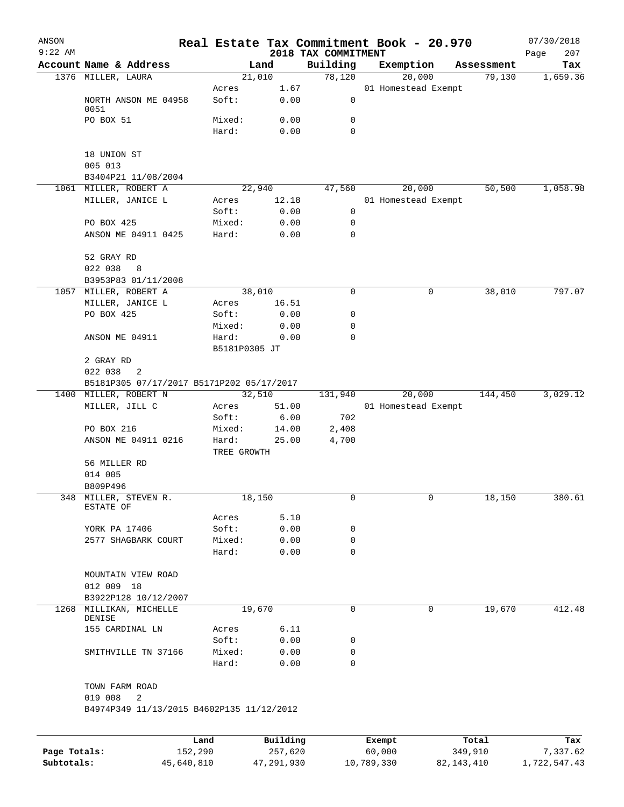| ANSON<br>$9:22$ AM |                                           |               |          | 2018 TAX COMMITMENT | Real Estate Tax Commitment Book - 20.970 |              |            | 07/30/2018<br>207<br>Page |
|--------------------|-------------------------------------------|---------------|----------|---------------------|------------------------------------------|--------------|------------|---------------------------|
|                    | Account Name & Address                    |               | Land     | Building            | Exemption                                |              | Assessment | Tax                       |
|                    | 1376 MILLER, LAURA                        |               | 21,010   | 78,120              | 20,000                                   |              | 79,130     | 1,659.36                  |
|                    |                                           | Acres         | 1.67     |                     | 01 Homestead Exempt                      |              |            |                           |
|                    | NORTH ANSON ME 04958<br>0051              | Soft:         | 0.00     | 0                   |                                          |              |            |                           |
|                    | PO BOX 51                                 | Mixed:        | 0.00     | 0                   |                                          |              |            |                           |
|                    |                                           | Hard:         | 0.00     | 0                   |                                          |              |            |                           |
|                    | 18 UNION ST                               |               |          |                     |                                          |              |            |                           |
|                    | 005 013<br>B3404P21 11/08/2004            |               |          |                     |                                          |              |            |                           |
|                    | 1061 MILLER, ROBERT A                     |               | 22,940   | 47,560              | 20,000                                   |              | 50,500     | 1,058.98                  |
|                    | MILLER, JANICE L                          | Acres         | 12.18    |                     | 01 Homestead Exempt                      |              |            |                           |
|                    |                                           | Soft:         | 0.00     | 0                   |                                          |              |            |                           |
|                    | PO BOX 425                                | Mixed:        | 0.00     | 0                   |                                          |              |            |                           |
|                    | ANSON ME 04911 0425                       | Hard:         | 0.00     | 0                   |                                          |              |            |                           |
|                    | 52 GRAY RD                                |               |          |                     |                                          |              |            |                           |
|                    | 022 038<br>8                              |               |          |                     |                                          |              |            |                           |
|                    | B3953P83 01/11/2008<br>MILLER, ROBERT A   |               | 38,010   | $\mathbf 0$         |                                          | $\mathsf{O}$ | 38,010     | 797.07                    |
| 1057               | MILLER, JANICE L                          | Acres         | 16.51    |                     |                                          |              |            |                           |
|                    | PO BOX 425                                | Soft:         | 0.00     | 0                   |                                          |              |            |                           |
|                    |                                           | Mixed:        | 0.00     | 0                   |                                          |              |            |                           |
|                    | ANSON ME 04911                            | Hard:         | 0.00     | 0                   |                                          |              |            |                           |
|                    |                                           | B5181P0305 JT |          |                     |                                          |              |            |                           |
|                    | 2 GRAY RD                                 |               |          |                     |                                          |              |            |                           |
|                    | 022 038<br>2                              |               |          |                     |                                          |              |            |                           |
|                    | B5181P305 07/17/2017 B5171P202 05/17/2017 |               |          |                     |                                          |              |            |                           |
| 1400               | MILLER, ROBERT N                          |               | 32,510   | 131,940             | 20,000                                   |              | 144,450    | 3,029.12                  |
|                    | MILLER, JILL C                            | Acres         | 51.00    |                     | 01 Homestead Exempt                      |              |            |                           |
|                    |                                           | Soft:         | 6.00     | 702                 |                                          |              |            |                           |
|                    | PO BOX 216                                | Mixed:        | 14.00    | 2,408               |                                          |              |            |                           |
|                    | ANSON ME 04911 0216                       | Hard:         | 25.00    | 4,700               |                                          |              |            |                           |
|                    |                                           | TREE GROWTH   |          |                     |                                          |              |            |                           |
|                    | 56 MILLER RD                              |               |          |                     |                                          |              |            |                           |
|                    | 014 005                                   |               |          |                     |                                          |              |            |                           |
|                    | B809P496                                  |               |          |                     |                                          |              |            |                           |
|                    | 348 MILLER, STEVEN R.<br>ESTATE OF        |               | 18,150   | 0                   |                                          | 0            | 18,150     | 380.61                    |
|                    |                                           | Acres         | 5.10     |                     |                                          |              |            |                           |
|                    | YORK PA 17406                             | Soft:         | 0.00     | 0                   |                                          |              |            |                           |
|                    | 2577 SHAGBARK COURT                       | Mixed:        | 0.00     | 0                   |                                          |              |            |                           |
|                    |                                           | Hard:         | 0.00     | 0                   |                                          |              |            |                           |
|                    | MOUNTAIN VIEW ROAD                        |               |          |                     |                                          |              |            |                           |
|                    | 012 009 18                                |               |          |                     |                                          |              |            |                           |
|                    | B3922P128 10/12/2007                      |               |          |                     |                                          |              |            |                           |
|                    | 1268 MILLIKAN, MICHELLE<br>DENISE         |               | 19,670   | 0                   |                                          | $\mathbf 0$  | 19,670     | 412.48                    |
|                    | 155 CARDINAL LN                           | Acres         | 6.11     |                     |                                          |              |            |                           |
|                    |                                           | Soft:         | 0.00     | 0                   |                                          |              |            |                           |
|                    | SMITHVILLE TN 37166                       | Mixed:        | 0.00     | 0                   |                                          |              |            |                           |
|                    |                                           | Hard:         | 0.00     | $\Omega$            |                                          |              |            |                           |
|                    | TOWN FARM ROAD<br>019 008<br>2            |               |          |                     |                                          |              |            |                           |
|                    | B4974P349 11/13/2015 B4602P135 11/12/2012 |               |          |                     |                                          |              |            |                           |
|                    |                                           |               |          |                     |                                          |              |            |                           |
|                    |                                           | Land          | Building |                     | Exempt                                   |              | Total      | Tax                       |
| Page Totals:       |                                           | 152,290       | 257,620  |                     | 60,000                                   |              | 349,910    | 7,337.62                  |

**Subtotals:** 45,640,810 47,291,930 10,789,330 82,143,410 1,722,547.43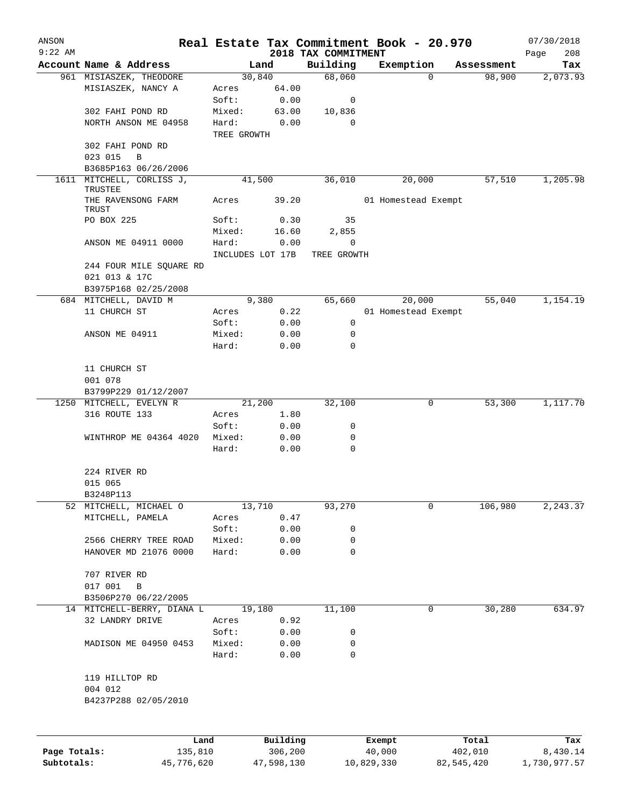| ANSON        |                                               |                  |                 |                     | Real Estate Tax Commitment Book - 20.970 |   |            | 07/30/2018  |
|--------------|-----------------------------------------------|------------------|-----------------|---------------------|------------------------------------------|---|------------|-------------|
| $9:22$ AM    |                                               |                  |                 | 2018 TAX COMMITMENT |                                          |   |            | 208<br>Page |
|              | Account Name & Address                        |                  | Land            | Building            | Exemption                                |   | Assessment | Tax         |
|              | 961 MISIASZEK, THEODORE<br>MISIASZEK, NANCY A | Acres            | 30,840<br>64.00 | 68,060              |                                          | 0 | 98,900     | 2,073.93    |
|              |                                               | Soft:            | 0.00            | 0                   |                                          |   |            |             |
|              | 302 FAHI POND RD                              | Mixed:           | 63.00           | 10,836              |                                          |   |            |             |
|              | NORTH ANSON ME 04958                          | Hard:            | 0.00            | $\Omega$            |                                          |   |            |             |
|              |                                               | TREE GROWTH      |                 |                     |                                          |   |            |             |
|              | 302 FAHI POND RD                              |                  |                 |                     |                                          |   |            |             |
|              | 023 015<br>B                                  |                  |                 |                     |                                          |   |            |             |
|              | B3685P163 06/26/2006                          |                  |                 |                     |                                          |   |            |             |
| 1611         | MITCHELL, CORLISS J,                          |                  | 41,500          | 36,010              | 20,000                                   |   | 57,510     | 1,205.98    |
|              | TRUSTEE<br>THE RAVENSONG FARM                 | Acres            | 39.20           |                     | 01 Homestead Exempt                      |   |            |             |
|              | TRUST                                         |                  |                 |                     |                                          |   |            |             |
|              | PO BOX 225                                    | Soft:            | 0.30            | 35                  |                                          |   |            |             |
|              |                                               | Mixed:           | 16.60           | 2,855<br>0          |                                          |   |            |             |
|              | ANSON ME 04911 0000                           | Hard:            | 0.00            |                     |                                          |   |            |             |
|              |                                               | INCLUDES LOT 17B |                 | TREE GROWTH         |                                          |   |            |             |
|              | 244 FOUR MILE SQUARE RD<br>021 013 & 17C      |                  |                 |                     |                                          |   |            |             |
|              | B3975P168 02/25/2008                          |                  |                 |                     |                                          |   |            |             |
|              | 684 MITCHELL, DAVID M                         |                  | 9,380           | 65,660              | 20,000                                   |   | 55,040     | 1,154.19    |
|              | 11 CHURCH ST                                  | Acres            | 0.22            |                     | 01 Homestead Exempt                      |   |            |             |
|              |                                               | Soft:            | 0.00            | 0                   |                                          |   |            |             |
|              | ANSON ME 04911                                | Mixed:           | 0.00            | 0                   |                                          |   |            |             |
|              |                                               | Hard:            | 0.00            | 0                   |                                          |   |            |             |
|              |                                               |                  |                 |                     |                                          |   |            |             |
|              | 11 CHURCH ST                                  |                  |                 |                     |                                          |   |            |             |
|              | 001 078                                       |                  |                 |                     |                                          |   |            |             |
|              | B3799P229 01/12/2007                          |                  |                 |                     |                                          |   |            |             |
|              | 1250 MITCHELL, EVELYN R                       |                  | 21,200          | 32,100              |                                          | 0 | 53,300     | 1,117.70    |
|              | 316 ROUTE 133                                 | Acres            | 1.80            |                     |                                          |   |            |             |
|              |                                               | Soft:            | 0.00            | 0                   |                                          |   |            |             |
|              | WINTHROP ME 04364 4020                        | Mixed:           | 0.00            | 0                   |                                          |   |            |             |
|              |                                               | Hard:            | 0.00            | 0                   |                                          |   |            |             |
|              |                                               |                  |                 |                     |                                          |   |            |             |
|              | 224 RIVER RD                                  |                  |                 |                     |                                          |   |            |             |
|              | 015 065                                       |                  |                 |                     |                                          |   |            |             |
|              | B3248P113                                     |                  |                 |                     |                                          |   |            |             |
|              | 52 MITCHELL, MICHAEL O                        |                  | 13,710          | 93,270              |                                          | 0 | 106,980    | 2,243.37    |
|              | MITCHELL, PAMELA                              | Acres            | $0.47\,$        |                     |                                          |   |            |             |
|              |                                               | Soft:            | 0.00            | 0                   |                                          |   |            |             |
|              | 2566 CHERRY TREE ROAD                         | Mixed:           | 0.00            | 0                   |                                          |   |            |             |
|              | HANOVER MD 21076 0000                         | Hard:            | 0.00            | 0                   |                                          |   |            |             |
|              |                                               |                  |                 |                     |                                          |   |            |             |
|              | 707 RIVER RD                                  |                  |                 |                     |                                          |   |            |             |
|              | 017 001<br>$\, {\bf B}$                       |                  |                 |                     |                                          |   |            |             |
|              | B3506P270 06/22/2005                          |                  |                 |                     |                                          |   |            |             |
|              | 14 MITCHELL-BERRY, DIANA L                    |                  | 19,180          | 11,100              |                                          | 0 | 30,280     | 634.97      |
|              | 32 LANDRY DRIVE                               | Acres            | 0.92            |                     |                                          |   |            |             |
|              |                                               | Soft:            | 0.00            | 0                   |                                          |   |            |             |
|              | MADISON ME 04950 0453                         | Mixed:           | 0.00            | 0                   |                                          |   |            |             |
|              |                                               | Hard:            | 0.00            | $\mathbf 0$         |                                          |   |            |             |
|              |                                               |                  |                 |                     |                                          |   |            |             |
|              | 119 HILLTOP RD                                |                  |                 |                     |                                          |   |            |             |
|              | 004 012                                       |                  |                 |                     |                                          |   |            |             |
|              | B4237P288 02/05/2010                          |                  |                 |                     |                                          |   |            |             |
|              |                                               |                  |                 |                     |                                          |   |            |             |
|              |                                               |                  |                 |                     |                                          |   |            |             |
|              | Land                                          |                  | Building        |                     | Exempt                                   |   | Total      | Tax         |
| Page Totals: | 135,810                                       |                  | 306,200         |                     | 40,000                                   |   | 402,010    | 8,430.14    |

**Subtotals:** 45,776,620 47,598,130 10,829,330 82,545,420 1,730,977.57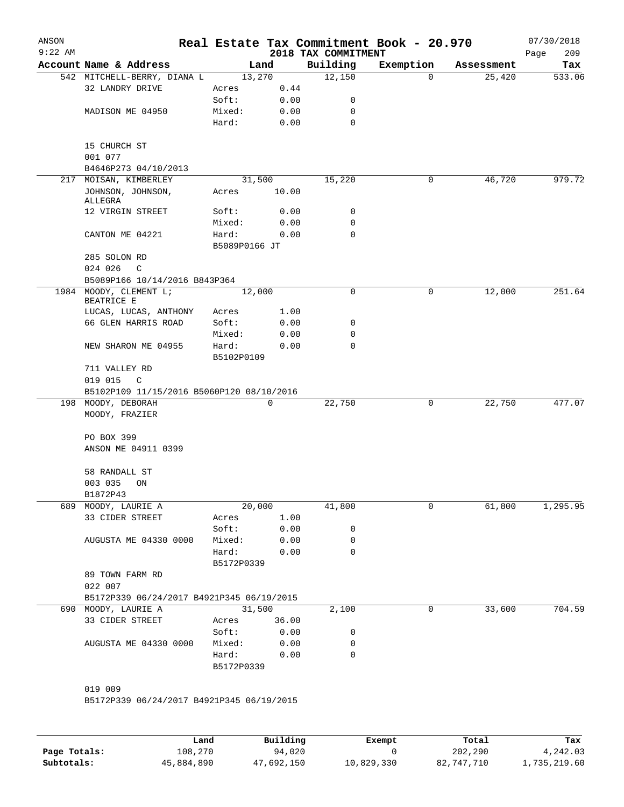| ANSON<br>$9:22$ AM |                                           |               |        | 2018 TAX COMMITMENT | Real Estate Tax Commitment Book - 20.970 |            | 07/30/2018<br>209<br>Page |
|--------------------|-------------------------------------------|---------------|--------|---------------------|------------------------------------------|------------|---------------------------|
|                    | Account Name & Address                    | Land          |        | Building            | Exemption                                | Assessment | Tax                       |
|                    | 542 MITCHELL-BERRY, DIANA L               | 13,270        |        | 12,150              | 0                                        | 25,420     | 533.06                    |
|                    | 32 LANDRY DRIVE                           | Acres         | 0.44   |                     |                                          |            |                           |
|                    |                                           | Soft:         | 0.00   | 0                   |                                          |            |                           |
|                    | MADISON ME 04950                          | Mixed:        | 0.00   | 0                   |                                          |            |                           |
|                    |                                           | Hard:         | 0.00   | $\mathbf 0$         |                                          |            |                           |
|                    | 15 CHURCH ST                              |               |        |                     |                                          |            |                           |
|                    | 001 077                                   |               |        |                     |                                          |            |                           |
|                    | B4646P273 04/10/2013                      |               |        |                     |                                          |            |                           |
|                    | 217 MOISAN, KIMBERLEY                     | 31,500        |        | 15,220              | 0                                        | 46,720     | 979.72                    |
|                    | JOHNSON, JOHNSON,                         | Acres         | 10.00  |                     |                                          |            |                           |
|                    | ALLEGRA                                   |               |        |                     |                                          |            |                           |
|                    | 12 VIRGIN STREET                          | Soft:         | 0.00   | 0                   |                                          |            |                           |
|                    |                                           | Mixed:        | 0.00   | 0                   |                                          |            |                           |
|                    | CANTON ME 04221                           | Hard:         | 0.00   | 0                   |                                          |            |                           |
|                    | 285 SOLON RD                              | B5089P0166 JT |        |                     |                                          |            |                           |
|                    | 024 026<br>C                              |               |        |                     |                                          |            |                           |
|                    | B5089P166 10/14/2016 B843P364             |               |        |                     |                                          |            |                           |
|                    | 1984 MOODY, CLEMENT L;                    | 12,000        |        | $\mathbf 0$         | 0                                        | 12,000     | 251.64                    |
|                    | BEATRICE E                                |               |        |                     |                                          |            |                           |
|                    | LUCAS, LUCAS, ANTHONY                     | Acres         | 1.00   |                     |                                          |            |                           |
|                    | 66 GLEN HARRIS ROAD                       | Soft:         | 0.00   | 0                   |                                          |            |                           |
|                    |                                           | Mixed:        | 0.00   | 0                   |                                          |            |                           |
|                    | NEW SHARON ME 04955                       | Hard:         | 0.00   | 0                   |                                          |            |                           |
|                    |                                           | B5102P0109    |        |                     |                                          |            |                           |
|                    | 711 VALLEY RD                             |               |        |                     |                                          |            |                           |
|                    | 019 015<br>$\mathbb{C}$                   |               |        |                     |                                          |            |                           |
|                    | B5102P109 11/15/2016 B5060P120 08/10/2016 |               |        |                     |                                          |            |                           |
|                    | 198 MOODY, DEBORAH                        |               | 0      | 22,750              | 0                                        | 22,750     | 477.07                    |
|                    | MOODY, FRAZIER                            |               |        |                     |                                          |            |                           |
|                    | PO BOX 399                                |               |        |                     |                                          |            |                           |
|                    | ANSON ME 04911 0399                       |               |        |                     |                                          |            |                           |
|                    |                                           |               |        |                     |                                          |            |                           |
|                    | 58 RANDALL ST                             |               |        |                     |                                          |            |                           |
|                    | 003 035<br>ON                             |               |        |                     |                                          |            |                           |
|                    | B1872P43                                  |               |        |                     |                                          |            |                           |
|                    | 689 MOODY, LAURIE A                       | 20,000        |        | 41,800              | 0                                        | 61,800     | 1,295.95                  |
|                    | 33 CIDER STREET                           | Acres         | 1.00   |                     |                                          |            |                           |
|                    |                                           | Soft:         | 0.00   | 0                   |                                          |            |                           |
|                    | AUGUSTA ME 04330 0000                     | Mixed:        | 0.00   | 0                   |                                          |            |                           |
|                    |                                           | Hard:         | 0.00   | 0                   |                                          |            |                           |
|                    |                                           | B5172P0339    |        |                     |                                          |            |                           |
|                    | 89 TOWN FARM RD                           |               |        |                     |                                          |            |                           |
|                    | 022 007                                   |               |        |                     |                                          |            |                           |
|                    | B5172P339 06/24/2017 B4921P345 06/19/2015 |               |        |                     |                                          |            |                           |
|                    | 690 MOODY, LAURIE A                       |               | 31,500 | 2,100               | 0                                        | 33,600     | 704.59                    |
|                    | 33 CIDER STREET                           | Acres 36.00   |        |                     |                                          |            |                           |
|                    |                                           | Soft:         | 0.00   | 0                   |                                          |            |                           |
|                    | AUGUSTA ME 04330 0000                     | Mixed:        | 0.00   | 0                   |                                          |            |                           |
|                    |                                           | Hard:         | 0.00   | 0                   |                                          |            |                           |
|                    |                                           | B5172P0339    |        |                     |                                          |            |                           |
|                    |                                           |               |        |                     |                                          |            |                           |
|                    | 019 009                                   |               |        |                     |                                          |            |                           |
|                    | B5172P339 06/24/2017 B4921P345 06/19/2015 |               |        |                     |                                          |            |                           |
|                    |                                           |               |        |                     |                                          |            |                           |
|                    |                                           |               |        |                     |                                          |            |                           |

|              | Land       | Building   | Exempt     | Total      | Tax          |
|--------------|------------|------------|------------|------------|--------------|
| Page Totals: | 108,270    | 94,020     |            | 202,290    | 4,242.03     |
| Subtotals:   | 45,884,890 | 47,692,150 | 10,829,330 | 82,747,710 | l,735,219.60 |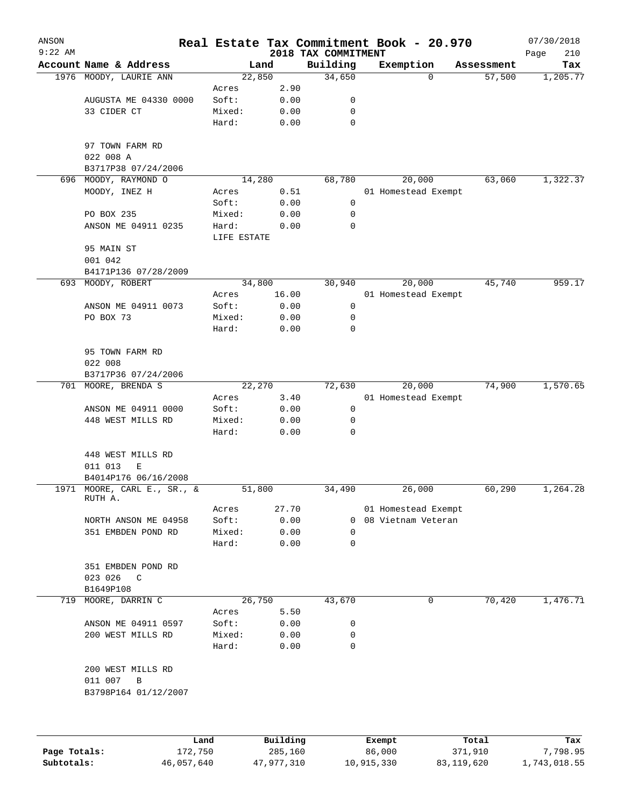| ANSON        |                                        |                      |                     |                                 | Real Estate Tax Commitment Book - 20.970 |                  | 07/30/2018         |
|--------------|----------------------------------------|----------------------|---------------------|---------------------------------|------------------------------------------|------------------|--------------------|
| $9:22$ AM    | Account Name & Address                 |                      | Land                | 2018 TAX COMMITMENT<br>Building | Exemption                                | Assessment       | Page<br>210<br>Tax |
|              | 1976 MOODY, LAURIE ANN                 |                      | 22,850              | 34,650                          | $\Omega$                                 | 57,500           | 1,205.77           |
|              |                                        | Acres                | 2.90                |                                 |                                          |                  |                    |
|              | AUGUSTA ME 04330 0000                  | Soft:                | 0.00                | 0                               |                                          |                  |                    |
|              | 33 CIDER CT                            | Mixed:               | 0.00                | 0                               |                                          |                  |                    |
|              |                                        | Hard:                | 0.00                | 0                               |                                          |                  |                    |
|              | 97 TOWN FARM RD                        |                      |                     |                                 |                                          |                  |                    |
|              | 022 008 A                              |                      |                     |                                 |                                          |                  |                    |
|              | B3717P38 07/24/2006                    |                      |                     |                                 |                                          |                  |                    |
|              | 696 MOODY, RAYMOND O                   |                      | 14,280              | 68,780                          | 20,000                                   | 63,060           | 1,322.37           |
|              | MOODY, INEZ H                          | Acres                | 0.51                |                                 | 01 Homestead Exempt                      |                  |                    |
|              |                                        | Soft:                | 0.00                | 0                               |                                          |                  |                    |
|              | PO BOX 235                             | Mixed:               | 0.00                | 0                               |                                          |                  |                    |
|              | ANSON ME 04911 0235                    | Hard:<br>LIFE ESTATE | 0.00                | 0                               |                                          |                  |                    |
|              | 95 MAIN ST<br>001 042                  |                      |                     |                                 |                                          |                  |                    |
|              | B4171P136 07/28/2009                   |                      |                     |                                 |                                          |                  |                    |
|              | 693 MOODY, ROBERT                      |                      | 34,800              | 30,940                          | 20,000                                   | 45,740           | 959.17             |
|              |                                        | Acres                | 16.00               |                                 | 01 Homestead Exempt                      |                  |                    |
|              | ANSON ME 04911 0073                    | Soft:                | 0.00                | 0                               |                                          |                  |                    |
|              | PO BOX 73                              | Mixed:               | 0.00                | 0                               |                                          |                  |                    |
|              |                                        | Hard:                | 0.00                | 0                               |                                          |                  |                    |
|              | 95 TOWN FARM RD                        |                      |                     |                                 |                                          |                  |                    |
|              | 022 008                                |                      |                     |                                 |                                          |                  |                    |
|              | B3717P36 07/24/2006                    |                      |                     |                                 |                                          |                  |                    |
|              | 701 MOORE, BRENDA S                    |                      | 22,270              | 72,630                          | 20,000                                   | 74,900           | 1,570.65           |
|              |                                        | Acres                | 3.40                |                                 | 01 Homestead Exempt                      |                  |                    |
|              | ANSON ME 04911 0000                    | Soft:                | 0.00                | 0                               |                                          |                  |                    |
|              | 448 WEST MILLS RD                      | Mixed:               | 0.00                | 0                               |                                          |                  |                    |
|              |                                        | Hard:                | 0.00                | 0                               |                                          |                  |                    |
|              | 448 WEST MILLS RD                      |                      |                     |                                 |                                          |                  |                    |
|              | 011 013<br>Е                           |                      |                     |                                 |                                          |                  |                    |
|              | B4014P176 06/16/2008                   |                      |                     |                                 |                                          |                  |                    |
|              | 1971 MOORE, CARL E., SR., &<br>RUTH A. |                      | 51,800              | 34,490                          | 26,000                                   | 60,290           | 1,264.28           |
|              |                                        | Acres                | 27.70               |                                 | 01 Homestead Exempt                      |                  |                    |
|              | NORTH ANSON ME 04958                   | Soft:                | 0.00                | 0                               | 08 Vietnam Veteran                       |                  |                    |
|              | 351 EMBDEN POND RD                     | Mixed:               | 0.00                | 0                               |                                          |                  |                    |
|              |                                        | Hard:                | 0.00                | 0                               |                                          |                  |                    |
|              | 351 EMBDEN POND RD                     |                      |                     |                                 |                                          |                  |                    |
|              | 023 026<br>$\mathsf{C}$                |                      |                     |                                 |                                          |                  |                    |
|              | B1649P108                              |                      |                     |                                 |                                          |                  |                    |
| 719          | MOORE, DARRIN C                        |                      | 26,750              | 43,670                          | 0                                        | 70,420           | 1,476.71           |
|              |                                        | Acres                | 5.50                |                                 |                                          |                  |                    |
|              | ANSON ME 04911 0597                    | Soft:                | 0.00                | 0                               |                                          |                  |                    |
|              | 200 WEST MILLS RD                      | Mixed:<br>Hard:      | 0.00<br>0.00        | 0<br>0                          |                                          |                  |                    |
|              |                                        |                      |                     |                                 |                                          |                  |                    |
|              | 200 WEST MILLS RD<br>011 007<br>В      |                      |                     |                                 |                                          |                  |                    |
|              | B3798P164 01/12/2007                   |                      |                     |                                 |                                          |                  |                    |
|              |                                        |                      |                     |                                 |                                          |                  |                    |
|              |                                        |                      |                     |                                 |                                          |                  |                    |
| Page Totals: | Land<br>172,750                        |                      | Building<br>285,160 |                                 | Exempt<br>86,000                         | Total<br>371,910 | Tax<br>7,798.95    |

**Subtotals:** 46,057,640 47,977,310 10,915,330 83,119,620 1,743,018.55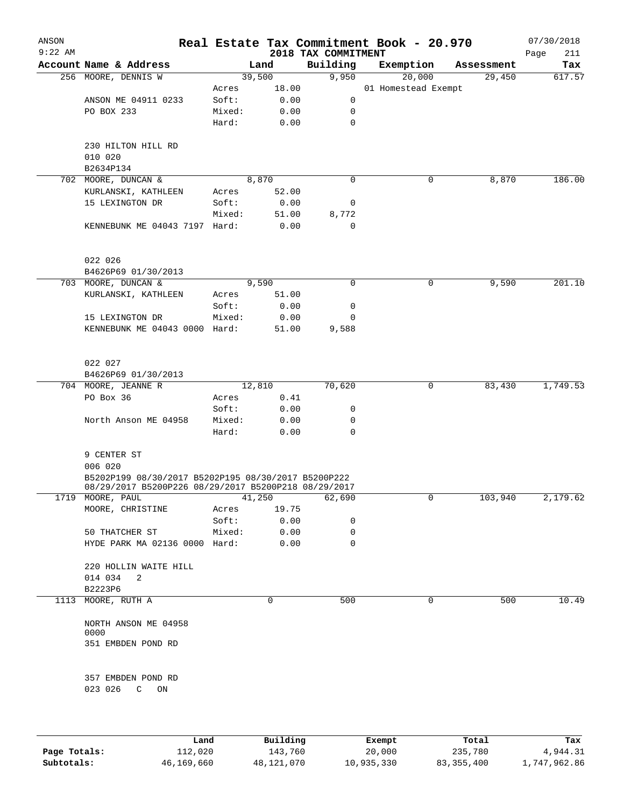| ANSON<br>$9:22$ AM |                                                                                                             |        |          | 2018 TAX COMMITMENT | Real Estate Tax Commitment Book - 20.970 |            | 07/30/2018<br>211<br>Page |
|--------------------|-------------------------------------------------------------------------------------------------------------|--------|----------|---------------------|------------------------------------------|------------|---------------------------|
|                    | Account Name & Address                                                                                      |        | Land     | Building            | Exemption                                | Assessment | Tax                       |
|                    | 256 MOORE, DENNIS W                                                                                         |        | 39,500   | 9,950               | 20,000                                   | 29,450     | 617.57                    |
|                    |                                                                                                             | Acres  | 18.00    |                     | 01 Homestead Exempt                      |            |                           |
|                    | ANSON ME 04911 0233                                                                                         | Soft:  | 0.00     | 0                   |                                          |            |                           |
|                    | PO BOX 233                                                                                                  | Mixed: | 0.00     | 0                   |                                          |            |                           |
|                    |                                                                                                             | Hard:  | 0.00     | 0                   |                                          |            |                           |
|                    | 230 HILTON HILL RD<br>010 020                                                                               |        |          |                     |                                          |            |                           |
|                    | B2634P134                                                                                                   |        |          |                     |                                          |            |                           |
|                    | 702 MOORE, DUNCAN &                                                                                         |        | 8,870    | $\mathbf 0$         | 0                                        | 8,870      | 186.00                    |
|                    | KURLANSKI, KATHLEEN                                                                                         | Acres  | 52.00    |                     |                                          |            |                           |
|                    | 15 LEXINGTON DR                                                                                             | Soft:  | 0.00     | 0                   |                                          |            |                           |
|                    |                                                                                                             | Mixed: | 51.00    | 8,772               |                                          |            |                           |
|                    | KENNEBUNK ME 04043 7197 Hard:                                                                               |        | 0.00     | $\mathbf 0$         |                                          |            |                           |
|                    | 022 026                                                                                                     |        |          |                     |                                          |            |                           |
|                    | B4626P69 01/30/2013                                                                                         |        |          |                     |                                          |            |                           |
|                    | 703 MOORE, DUNCAN &                                                                                         |        | 9,590    | 0                   | 0                                        | 9,590      | 201.10                    |
|                    | KURLANSKI, KATHLEEN                                                                                         | Acres  | 51.00    |                     |                                          |            |                           |
|                    |                                                                                                             | Soft:  | 0.00     | 0                   |                                          |            |                           |
|                    | 15 LEXINGTON DR                                                                                             | Mixed: | 0.00     | 0                   |                                          |            |                           |
|                    | KENNEBUNK ME 04043 0000 Hard:                                                                               |        | 51.00    | 9,588               |                                          |            |                           |
|                    | 022 027                                                                                                     |        |          |                     |                                          |            |                           |
|                    | B4626P69 01/30/2013                                                                                         |        |          |                     |                                          |            |                           |
|                    | 704 MOORE, JEANNE R                                                                                         |        | 12,810   | 70,620              | 0                                        | 83,430     | 1,749.53                  |
|                    | PO Box 36                                                                                                   | Acres  | 0.41     |                     |                                          |            |                           |
|                    |                                                                                                             | Soft:  | 0.00     | 0                   |                                          |            |                           |
|                    | North Anson ME 04958                                                                                        | Mixed: | 0.00     | 0                   |                                          |            |                           |
|                    |                                                                                                             | Hard:  | 0.00     | 0                   |                                          |            |                           |
|                    | 9 CENTER ST                                                                                                 |        |          |                     |                                          |            |                           |
|                    | 006 020                                                                                                     |        |          |                     |                                          |            |                           |
|                    | B5202P199 08/30/2017 B5202P195 08/30/2017 B5200P222<br>08/29/2017 B5200P226 08/29/2017 B5200P218 08/29/2017 |        |          |                     |                                          |            |                           |
| 1719               | MOORE, PAUL                                                                                                 |        | 41,250   | 62,690              | 0                                        | 103,940    | 2,179.62                  |
|                    | MOORE, CHRISTINE                                                                                            | Acres  | 19.75    |                     |                                          |            |                           |
|                    |                                                                                                             | Soft:  | 0.00     | 0                   |                                          |            |                           |
|                    | 50 THATCHER ST                                                                                              | Mixed: | 0.00     | 0                   |                                          |            |                           |
|                    | HYDE PARK MA 02136 0000 Hard:                                                                               |        | 0.00     | 0                   |                                          |            |                           |
|                    | 220 HOLLIN WAITE HILL                                                                                       |        |          |                     |                                          |            |                           |
|                    | 014 034<br>2                                                                                                |        |          |                     |                                          |            |                           |
|                    | B2223P6                                                                                                     |        |          |                     |                                          |            |                           |
| 1113               | MOORE, RUTH A                                                                                               |        | $\Omega$ | 500                 | 0                                        | 500        | 10.49                     |
|                    | NORTH ANSON ME 04958<br>0000                                                                                |        |          |                     |                                          |            |                           |
|                    | 351 EMBDEN POND RD                                                                                          |        |          |                     |                                          |            |                           |
|                    |                                                                                                             |        |          |                     |                                          |            |                           |
|                    | 357 EMBDEN POND RD<br>023 026<br>$\mathbb{C}$<br>ON                                                         |        |          |                     |                                          |            |                           |
|                    |                                                                                                             |        |          |                     |                                          |            |                           |
|                    |                                                                                                             |        |          |                     |                                          |            |                           |

|              | Land       | Building   | Exempt     | Total        | Tax          |
|--------------|------------|------------|------------|--------------|--------------|
| Page Totals: | 112,020    | 143,760    | 20,000     | 235,780      | 4,944.31     |
| Subtotals:   | 46,169,660 | 48,121,070 | 10,935,330 | 83, 355, 400 | 1,747,962.86 |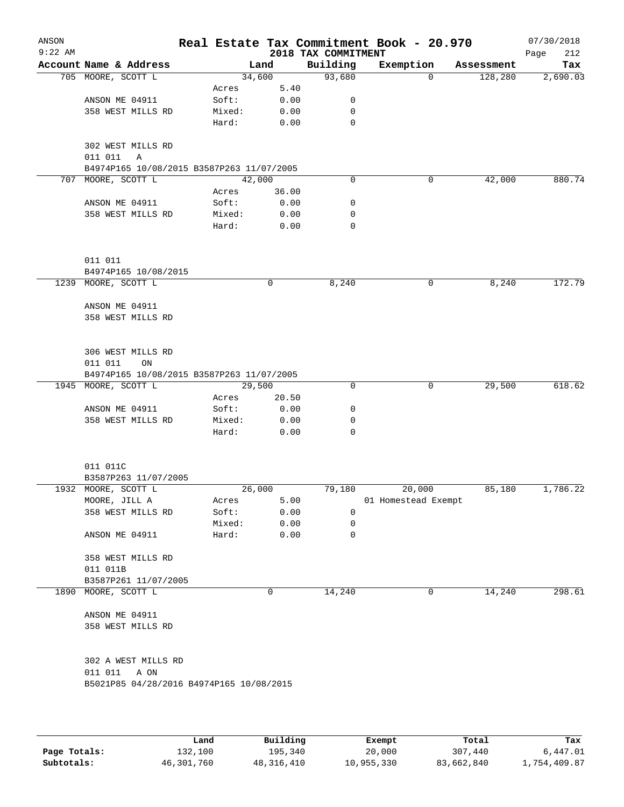| ANSON<br>$9:22$ AM |                                                             |        |        |       | 2018 TAX COMMITMENT | Real Estate Tax Commitment Book - 20.970 |            | 07/30/2018<br>Page<br>212 |
|--------------------|-------------------------------------------------------------|--------|--------|-------|---------------------|------------------------------------------|------------|---------------------------|
|                    | Account Name & Address                                      |        | Land   |       | Building            | Exemption                                | Assessment | Tax                       |
|                    | 705 MOORE, SCOTT L                                          |        | 34,600 |       | 93,680              | $\Omega$                                 | 128,280    | 2,690.03                  |
|                    |                                                             | Acres  |        | 5.40  |                     |                                          |            |                           |
|                    | ANSON ME 04911                                              | Soft:  |        | 0.00  | 0                   |                                          |            |                           |
|                    | 358 WEST MILLS RD                                           | Mixed: |        | 0.00  | 0                   |                                          |            |                           |
|                    |                                                             | Hard:  |        | 0.00  | 0                   |                                          |            |                           |
|                    | 302 WEST MILLS RD<br>011 011<br>Α                           |        |        |       |                     |                                          |            |                           |
|                    | B4974P165 10/08/2015 B3587P263 11/07/2005                   |        |        |       |                     |                                          |            |                           |
| 707                | MOORE, SCOTT L                                              |        | 42,000 |       | 0                   | 0                                        | 42,000     | 880.74                    |
|                    |                                                             | Acres  |        | 36.00 |                     |                                          |            |                           |
|                    | ANSON ME 04911                                              | Soft:  |        | 0.00  | 0                   |                                          |            |                           |
|                    | 358 WEST MILLS RD                                           | Mixed: |        | 0.00  | 0                   |                                          |            |                           |
|                    |                                                             | Hard:  |        | 0.00  | 0                   |                                          |            |                           |
|                    | 011 011                                                     |        |        |       |                     |                                          |            |                           |
|                    | B4974P165 10/08/2015                                        |        |        |       |                     |                                          |            |                           |
| 1239               | MOORE, SCOTT L                                              |        |        | 0     | 8,240               | 0                                        | 8,240      | 172.79                    |
|                    | ANSON ME 04911                                              |        |        |       |                     |                                          |            |                           |
|                    | 358 WEST MILLS RD                                           |        |        |       |                     |                                          |            |                           |
|                    |                                                             |        |        |       |                     |                                          |            |                           |
|                    | 306 WEST MILLS RD                                           |        |        |       |                     |                                          |            |                           |
|                    | 011 011<br>ON                                               |        |        |       |                     |                                          |            |                           |
| 1945               | B4974P165 10/08/2015 B3587P263 11/07/2005<br>MOORE, SCOTT L |        | 29,500 |       | 0                   | 0                                        | 29,500     | 618.62                    |
|                    |                                                             | Acres  |        | 20.50 |                     |                                          |            |                           |
|                    | ANSON ME 04911                                              | Soft:  |        | 0.00  | 0                   |                                          |            |                           |
|                    | 358 WEST MILLS RD                                           | Mixed: |        | 0.00  | 0                   |                                          |            |                           |
|                    |                                                             | Hard:  |        | 0.00  | $\Omega$            |                                          |            |                           |
|                    |                                                             |        |        |       |                     |                                          |            |                           |
|                    | 011 011C                                                    |        |        |       |                     |                                          |            |                           |
|                    | B3587P263 11/07/2005                                        |        |        |       |                     |                                          |            |                           |
|                    | 1932 MOORE, SCOTT L                                         |        | 26,000 |       | 79,180              | 20,000                                   | 85,180     | 1,786.22                  |
|                    | MOORE, JILL A                                               | Acres  |        | 5.00  |                     | 01 Homestead Exempt                      |            |                           |
|                    | 358 WEST MILLS RD                                           | Soft:  |        | 0.00  | 0                   |                                          |            |                           |
|                    |                                                             | Mixed: |        | 0.00  | 0                   |                                          |            |                           |
|                    | ANSON ME 04911                                              | Hard:  |        | 0.00  | 0                   |                                          |            |                           |
|                    | 358 WEST MILLS RD                                           |        |        |       |                     |                                          |            |                           |
|                    | 011 011B                                                    |        |        |       |                     |                                          |            |                           |
|                    | B3587P261 11/07/2005                                        |        |        |       |                     |                                          |            |                           |
|                    | 1890 MOORE, SCOTT L                                         |        |        | 0     | 14,240              | 0                                        | 14,240     | 298.61                    |
|                    | ANSON ME 04911                                              |        |        |       |                     |                                          |            |                           |
|                    | 358 WEST MILLS RD                                           |        |        |       |                     |                                          |            |                           |
|                    | 302 A WEST MILLS RD                                         |        |        |       |                     |                                          |            |                           |
|                    | 011 011 A ON                                                |        |        |       |                     |                                          |            |                           |
|                    | B5021P85 04/28/2016 B4974P165 10/08/2015                    |        |        |       |                     |                                          |            |                           |
|                    |                                                             |        |        |       |                     |                                          |            |                           |
|                    |                                                             |        |        |       |                     |                                          |            |                           |

|              | Land       | Building     | Exempt     | Total      | Tax          |
|--------------|------------|--------------|------------|------------|--------------|
| Page Totals: | 132,100    | 195,340      | 20,000     | 307,440    | 6,447.01     |
| Subtotals:   | 46,301,760 | 48, 316, 410 | 10,955,330 | 83,662,840 | 1,754,409.87 |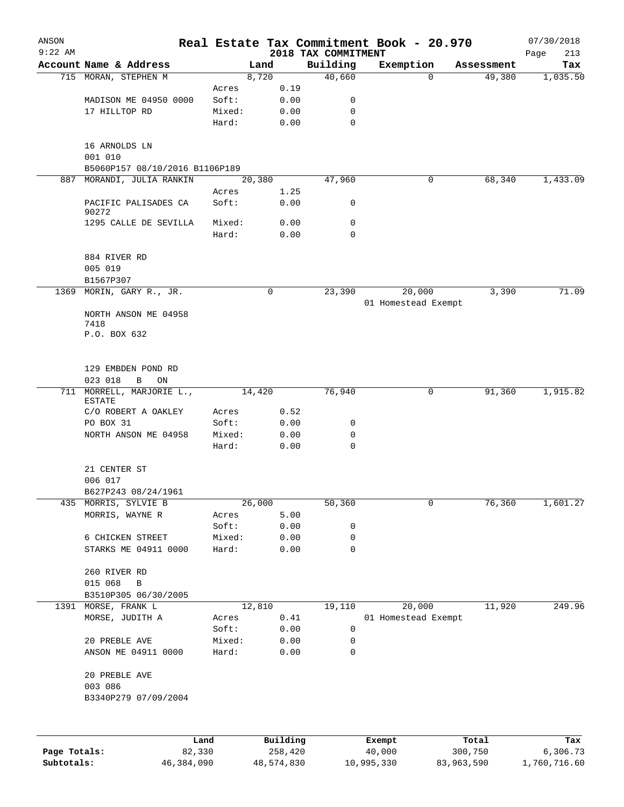| ANSON        |                                                             |                 |                |                                 | Real Estate Tax Commitment Book - 20.970 |            | 07/30/2018         |
|--------------|-------------------------------------------------------------|-----------------|----------------|---------------------------------|------------------------------------------|------------|--------------------|
| $9:22$ AM    | Account Name & Address                                      |                 | Land           | 2018 TAX COMMITMENT<br>Building | Exemption                                | Assessment | Page<br>213<br>Tax |
|              | 715 MORAN, STEPHEN M                                        |                 | 8,720          | 40,660                          | 0                                        | 49,380     | 1,035.50           |
|              |                                                             | Acres           | 0.19           |                                 |                                          |            |                    |
|              | MADISON ME 04950 0000                                       | Soft:           | 0.00           | 0                               |                                          |            |                    |
|              | 17 HILLTOP RD                                               | Mixed:          | 0.00           | $\mathbf 0$                     |                                          |            |                    |
|              |                                                             | Hard:           | 0.00           | $\mathbf 0$                     |                                          |            |                    |
|              | 16 ARNOLDS LN<br>001 010                                    |                 |                |                                 |                                          |            |                    |
|              | B5060P157 08/10/2016 B1106P189<br>887 MORANDI, JULIA RANKIN |                 | 20,380         | 47,960                          | 0                                        | 68,340     | 1,433.09           |
|              |                                                             | Acres           | 1.25           |                                 |                                          |            |                    |
|              | PACIFIC PALISADES CA<br>90272                               | Soft:           | 0.00           | 0                               |                                          |            |                    |
|              | 1295 CALLE DE SEVILLA                                       | Mixed:          | 0.00           | $\mathbf 0$                     |                                          |            |                    |
|              |                                                             | Hard:           | 0.00           | $\mathbf 0$                     |                                          |            |                    |
|              | 884 RIVER RD<br>005 019                                     |                 |                |                                 |                                          |            |                    |
|              | B1567P307                                                   |                 |                |                                 |                                          |            |                    |
|              | 1369 MORIN, GARY R., JR.                                    |                 | 0              | 23,390                          | 20,000<br>01 Homestead Exempt            | 3,390      | 71.09              |
|              | NORTH ANSON ME 04958                                        |                 |                |                                 |                                          |            |                    |
|              | 7418<br>P.O. BOX 632                                        |                 |                |                                 |                                          |            |                    |
|              | 129 EMBDEN POND RD                                          |                 |                |                                 |                                          |            |                    |
|              | 023 018<br>В<br>ON                                          |                 |                |                                 |                                          |            |                    |
|              | 711 MORRELL, MARJORIE L.,<br><b>ESTATE</b>                  |                 | 14,420         | 76,940                          | 0                                        | 91,360     | 1,915.82           |
|              | C/O ROBERT A OAKLEY                                         | Acres           | 0.52           |                                 |                                          |            |                    |
|              | PO BOX 31                                                   | Soft:           | 0.00           | 0                               |                                          |            |                    |
|              | NORTH ANSON ME 04958                                        | Mixed:<br>Hard: | 0.00<br>0.00   | 0<br>$\mathbf 0$                |                                          |            |                    |
|              | 21 CENTER ST                                                |                 |                |                                 |                                          |            |                    |
|              | 006 017                                                     |                 |                |                                 |                                          |            |                    |
|              | B627P243 08/24/1961                                         |                 |                |                                 |                                          |            |                    |
| 435          | MORRIS, SYLVIE B<br>MORRIS, WAYNE R                         | Acres           | 26,000<br>5.00 | 50,360                          | 0                                        | 76,360     | 1,601.27           |
|              |                                                             | Soft:           | 0.00           | 0                               |                                          |            |                    |
|              | 6 CHICKEN STREET                                            | Mixed:          | 0.00           | 0                               |                                          |            |                    |
|              | STARKS ME 04911 0000                                        | Hard:           | 0.00           | 0                               |                                          |            |                    |
|              | 260 RIVER RD                                                |                 |                |                                 |                                          |            |                    |
|              | 015 068<br>B                                                |                 |                |                                 |                                          |            |                    |
|              | B3510P305 06/30/2005                                        |                 |                |                                 |                                          |            |                    |
|              | 1391 MORSE, FRANK L<br>MORSE, JUDITH A                      |                 | 12,810         | 19,110                          | 20,000                                   | 11,920     | 249.96             |
|              |                                                             | Acres<br>Soft:  | 0.41<br>0.00   | 0                               | 01 Homestead Exempt                      |            |                    |
|              | 20 PREBLE AVE                                               | Mixed:          | 0.00           | 0                               |                                          |            |                    |
|              | ANSON ME 04911 0000                                         | Hard:           | 0.00           | 0                               |                                          |            |                    |
|              | 20 PREBLE AVE                                               |                 |                |                                 |                                          |            |                    |
|              | 003 086<br>B3340P279 07/09/2004                             |                 |                |                                 |                                          |            |                    |
|              |                                                             |                 |                |                                 |                                          |            |                    |
|              | Land                                                        |                 | Building       |                                 | Exempt                                   | Total      | Tax                |
| Page Totals: | 82,330                                                      |                 | 258,420        |                                 | 40,000                                   | 300,750    | 6,306.73           |

**Subtotals:** 46,384,090 48,574,830 10,995,330 83,963,590 1,760,716.60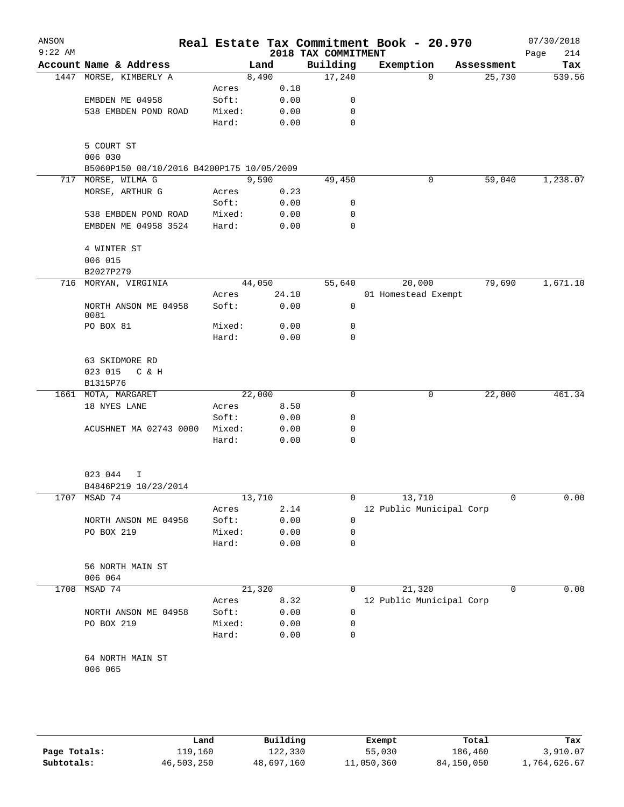| ANSON<br>$9:22$ AM |                                           |        |        |      | Real Estate Tax Commitment Book - 20.970<br>2018 TAX COMMITMENT |                          |             |            | 07/30/2018<br>214 |
|--------------------|-------------------------------------------|--------|--------|------|-----------------------------------------------------------------|--------------------------|-------------|------------|-------------------|
|                    | Account Name & Address                    |        | Land   |      | Building                                                        | Exemption                |             | Assessment | Page<br>Tax       |
|                    | 1447 MORSE, KIMBERLY A                    |        | 8,490  |      | 17,240                                                          |                          | $\Omega$    | 25,730     | 539.56            |
|                    |                                           | Acres  |        | 0.18 |                                                                 |                          |             |            |                   |
|                    | EMBDEN ME 04958                           | Soft:  |        | 0.00 | 0                                                               |                          |             |            |                   |
|                    | 538 EMBDEN POND ROAD                      | Mixed: |        | 0.00 | 0                                                               |                          |             |            |                   |
|                    |                                           | Hard:  |        | 0.00 | $\mathbf 0$                                                     |                          |             |            |                   |
|                    | 5 COURT ST                                |        |        |      |                                                                 |                          |             |            |                   |
|                    | 006 030                                   |        |        |      |                                                                 |                          |             |            |                   |
|                    | B5060P150 08/10/2016 B4200P175 10/05/2009 |        |        |      |                                                                 |                          |             |            |                   |
| 717                | MORSE, WILMA G                            |        | 9,590  |      | 49,450                                                          |                          | 0           | 59,040     | 1,238.07          |
|                    | MORSE, ARTHUR G                           | Acres  |        | 0.23 |                                                                 |                          |             |            |                   |
|                    |                                           | Soft:  |        | 0.00 | 0                                                               |                          |             |            |                   |
|                    | 538 EMBDEN POND ROAD                      | Mixed: |        | 0.00 | 0                                                               |                          |             |            |                   |
|                    | EMBDEN ME 04958 3524                      | Hard:  |        | 0.00 | 0                                                               |                          |             |            |                   |
|                    | 4 WINTER ST                               |        |        |      |                                                                 |                          |             |            |                   |
|                    | 006 015                                   |        |        |      |                                                                 |                          |             |            |                   |
|                    | B2027P279                                 |        |        |      |                                                                 |                          |             |            |                   |
|                    | 716 MORYAN, VIRGINIA                      |        | 44,050 |      | 55,640                                                          |                          | 20,000      | 79,690     | 1,671.10          |
|                    |                                           | Acres  | 24.10  |      |                                                                 | 01 Homestead Exempt      |             |            |                   |
|                    | NORTH ANSON ME 04958<br>0081              | Soft:  |        | 0.00 | 0                                                               |                          |             |            |                   |
|                    | PO BOX 81                                 | Mixed: |        | 0.00 | 0                                                               |                          |             |            |                   |
|                    |                                           | Hard:  |        | 0.00 | 0                                                               |                          |             |            |                   |
|                    | 63 SKIDMORE RD                            |        |        |      |                                                                 |                          |             |            |                   |
|                    | 023 015<br>C & H                          |        |        |      |                                                                 |                          |             |            |                   |
|                    | B1315P76                                  |        |        |      |                                                                 |                          |             |            |                   |
|                    | 1661 MOTA, MARGARET                       |        | 22,000 |      | 0                                                               |                          | $\mathbf 0$ | 22,000     | 461.34            |
|                    | 18 NYES LANE                              | Acres  |        | 8.50 |                                                                 |                          |             |            |                   |
|                    |                                           | Soft:  |        | 0.00 | 0                                                               |                          |             |            |                   |
|                    | ACUSHNET MA 02743 0000                    | Mixed: |        | 0.00 | 0                                                               |                          |             |            |                   |
|                    |                                           | Hard:  |        | 0.00 | 0                                                               |                          |             |            |                   |
|                    | 023 044<br>I                              |        |        |      |                                                                 |                          |             |            |                   |
|                    | B4846P219 10/23/2014                      |        |        |      |                                                                 |                          |             |            |                   |
|                    | 1707 MSAD 74                              |        | 13,710 |      | 0                                                               |                          | 13,710      | 0          | 0.00              |
|                    |                                           | Acres  |        | 2.14 |                                                                 | 12 Public Municipal Corp |             |            |                   |
|                    | NORTH ANSON ME 04958                      | Soft:  |        | 0.00 | 0                                                               |                          |             |            |                   |
|                    | PO BOX 219                                | Mixed: |        | 0.00 | 0                                                               |                          |             |            |                   |
|                    |                                           | Hard:  |        | 0.00 | 0                                                               |                          |             |            |                   |
|                    | 56 NORTH MAIN ST                          |        |        |      |                                                                 |                          |             |            |                   |
|                    | 006 064                                   |        |        |      |                                                                 |                          |             |            |                   |
| 1708               | MSAD 74                                   |        | 21,320 |      | 0                                                               |                          | 21,320      | 0          | 0.00              |
|                    |                                           | Acres  |        | 8.32 |                                                                 | 12 Public Municipal Corp |             |            |                   |
|                    | NORTH ANSON ME 04958                      | Soft:  |        | 0.00 | 0                                                               |                          |             |            |                   |
|                    | PO BOX 219                                | Mixed: |        | 0.00 | 0                                                               |                          |             |            |                   |
|                    |                                           | Hard:  |        | 0.00 | 0                                                               |                          |             |            |                   |
|                    | 64 NORTH MAIN ST                          |        |        |      |                                                                 |                          |             |            |                   |
|                    | 006 065                                   |        |        |      |                                                                 |                          |             |            |                   |
|                    |                                           |        |        |      |                                                                 |                          |             |            |                   |
|                    |                                           |        |        |      |                                                                 |                          |             |            |                   |

|              | Land       | Building   | Exempt     | Total      | Tax          |
|--------------|------------|------------|------------|------------|--------------|
| Page Totals: | 119,160    | 122,330    | 55,030     | 186,460    | 3,910.07     |
| Subtotals:   | 46,503,250 | 48,697,160 | 11,050,360 | 84,150,050 | 1,764,626.67 |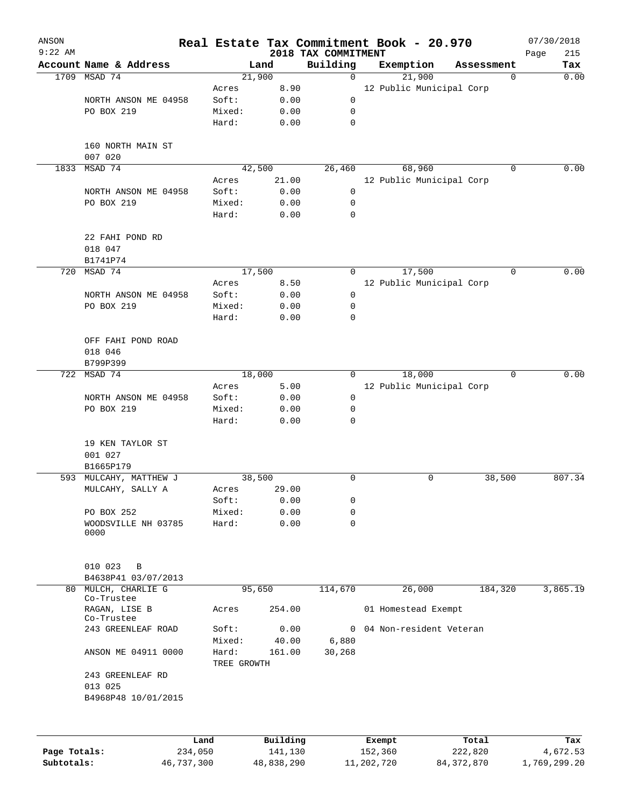| ANSON<br>$9:22$ AM |                                                |                 |                 | Real Estate Tax Commitment Book - 20.970<br>2018 TAX COMMITMENT |           |                          |            | 07/30/2018<br>215 |
|--------------------|------------------------------------------------|-----------------|-----------------|-----------------------------------------------------------------|-----------|--------------------------|------------|-------------------|
|                    | Account Name & Address                         |                 | Land            | Building                                                        | Exemption |                          | Assessment | Page<br>Tax       |
|                    | 1709 MSAD 74                                   |                 | 21,900          | $\mathbf 0$                                                     |           | 21,900                   | 0          | 0.00              |
|                    |                                                | Acres           | 8.90            |                                                                 |           | 12 Public Municipal Corp |            |                   |
|                    | NORTH ANSON ME 04958                           | Soft:           | 0.00            | 0                                                               |           |                          |            |                   |
|                    | PO BOX 219                                     | Mixed:          | 0.00            | 0                                                               |           |                          |            |                   |
|                    |                                                | Hard:           | 0.00            | 0                                                               |           |                          |            |                   |
|                    | 160 NORTH MAIN ST<br>007 020                   |                 |                 |                                                                 |           |                          |            |                   |
| 1833               | MSAD 74                                        |                 | 42,500          | 26,460                                                          |           | 68,960                   | $\Omega$   | 0.00              |
|                    |                                                | Acres           | 21.00           |                                                                 |           | 12 Public Municipal Corp |            |                   |
|                    | NORTH ANSON ME 04958                           | Soft:           | 0.00            | 0                                                               |           |                          |            |                   |
|                    | PO BOX 219                                     | Mixed:          | 0.00            | 0                                                               |           |                          |            |                   |
|                    |                                                | Hard:           | 0.00            | 0                                                               |           |                          |            |                   |
|                    | 22 FAHI POND RD                                |                 |                 |                                                                 |           |                          |            |                   |
|                    | 018 047                                        |                 |                 |                                                                 |           |                          |            |                   |
|                    | B1741P74                                       |                 |                 |                                                                 |           |                          |            |                   |
| 720                | MSAD 74                                        |                 | 17,500          | 0                                                               |           | 17,500                   | 0          | 0.00              |
|                    |                                                | Acres           | 8.50            |                                                                 |           | 12 Public Municipal Corp |            |                   |
|                    | NORTH ANSON ME 04958                           | Soft:           | 0.00            | 0                                                               |           |                          |            |                   |
|                    | PO BOX 219                                     | Mixed:          | 0.00            | 0                                                               |           |                          |            |                   |
|                    |                                                | Hard:           | 0.00            | 0                                                               |           |                          |            |                   |
|                    | OFF FAHI POND ROAD<br>018 046                  |                 |                 |                                                                 |           |                          |            |                   |
|                    | B799P399                                       |                 |                 |                                                                 |           |                          |            |                   |
| 722                | MSAD 74                                        |                 | 18,000          | 0                                                               |           | 18,000                   | 0          | 0.00              |
|                    |                                                | Acres           | 5.00            |                                                                 |           | 12 Public Municipal Corp |            |                   |
|                    | NORTH ANSON ME 04958                           | Soft:           | 0.00            | 0                                                               |           |                          |            |                   |
|                    | PO BOX 219                                     | Mixed:          | 0.00            | 0                                                               |           |                          |            |                   |
|                    |                                                | Hard:           | 0.00            | 0                                                               |           |                          |            |                   |
|                    | 19 KEN TAYLOR ST<br>001 027                    |                 |                 |                                                                 |           |                          |            |                   |
|                    | B1665P179                                      |                 |                 |                                                                 |           |                          |            |                   |
|                    | 593 MULCAHY, MATTHEW J                         |                 | 38,500          | 0                                                               |           | 0                        | 38,500     | 807.34            |
|                    | MULCAHY, SALLY A                               | Acres           | 29.00           |                                                                 |           |                          |            |                   |
|                    |                                                | Soft:           | 0.00            | 0                                                               |           |                          |            |                   |
|                    | PO BOX 252                                     | Mixed:          | 0.00            | 0                                                               |           |                          |            |                   |
|                    | WOODSVILLE NH 03785<br>0000                    | Hard:           | 0.00            | $\mathbf 0$                                                     |           |                          |            |                   |
|                    | 010 023<br>$\, {\bf B}$<br>B4638P41 03/07/2013 |                 |                 |                                                                 |           |                          |            |                   |
|                    | 80 MULCH, CHARLIE G<br>Co-Trustee              |                 | 95,650          | 114,670                                                         |           | 26,000                   | 184,320    | 3,865.19          |
|                    | RAGAN, LISE B<br>Co-Trustee                    | Acres           | 254.00          |                                                                 |           | 01 Homestead Exempt      |            |                   |
|                    | 243 GREENLEAF ROAD                             | Soft:           | 0.00            | 0                                                               |           | 04 Non-resident Veteran  |            |                   |
|                    | ANSON ME 04911 0000                            | Mixed:<br>Hard: | 40.00<br>161.00 | 6,880<br>30,268                                                 |           |                          |            |                   |
|                    | 243 GREENLEAF RD                               | TREE GROWTH     |                 |                                                                 |           |                          |            |                   |
|                    | 013 025<br>B4968P48 10/01/2015                 |                 |                 |                                                                 |           |                          |            |                   |
|                    |                                                |                 |                 |                                                                 |           |                          |            |                   |
|                    | Land                                           |                 | Building        |                                                                 | Exempt    |                          | Total      | Tax               |
| Page Totals:       | 234,050                                        |                 | 141,130         |                                                                 | 152,360   |                          | 222,820    | 4,672.53          |

**Subtotals:** 46,737,300 48,838,290 11,202,720 84,372,870 1,769,299.20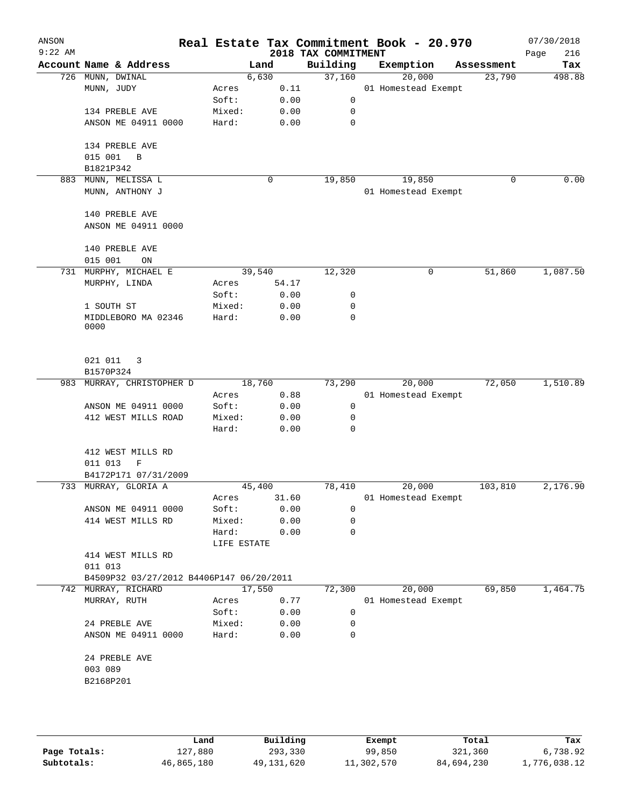| ANSON<br>$9:22$ AM |                                          |                 |        |              | 2018 TAX COMMITMENT | Real Estate Tax Commitment Book - 20.970 |             | 07/30/2018<br>216<br>Page |
|--------------------|------------------------------------------|-----------------|--------|--------------|---------------------|------------------------------------------|-------------|---------------------------|
|                    | Account Name & Address                   |                 | Land   |              | Building            | Exemption                                | Assessment  | Tax                       |
|                    | 726 MUNN, DWINAL                         |                 | 6,630  |              | 37,160              | 20,000                                   | 23,790      | 498.88                    |
|                    | MUNN, JUDY                               | Acres           |        | 0.11         |                     | 01 Homestead Exempt                      |             |                           |
|                    |                                          | Soft:           |        | 0.00         | $\mathbf 0$         |                                          |             |                           |
|                    | 134 PREBLE AVE                           | Mixed:          |        | 0.00         | 0                   |                                          |             |                           |
|                    | ANSON ME 04911 0000                      | Hard:           |        | 0.00         | $\mathbf 0$         |                                          |             |                           |
|                    |                                          |                 |        |              |                     |                                          |             |                           |
|                    | 134 PREBLE AVE                           |                 |        |              |                     |                                          |             |                           |
|                    | 015 001<br>B                             |                 |        |              |                     |                                          |             |                           |
|                    | B1821P342                                |                 |        |              |                     |                                          |             |                           |
| 883                | MUNN, MELISSA L                          |                 | 0      |              | 19,850              | 19,850                                   | $\mathbf 0$ | 0.00                      |
|                    | MUNN, ANTHONY J                          |                 |        |              |                     | 01 Homestead Exempt                      |             |                           |
|                    | 140 PREBLE AVE                           |                 |        |              |                     |                                          |             |                           |
|                    | ANSON ME 04911 0000                      |                 |        |              |                     |                                          |             |                           |
|                    | 140 PREBLE AVE                           |                 |        |              |                     |                                          |             |                           |
|                    | 015 001<br>ON                            |                 |        |              |                     |                                          |             |                           |
| 731                | MURPHY, MICHAEL E                        |                 | 39,540 |              | 12,320              | 0                                        | 51,860      | 1,087.50                  |
|                    |                                          |                 |        |              |                     |                                          |             |                           |
|                    | MURPHY, LINDA                            | Acres           |        | 54.17        |                     |                                          |             |                           |
|                    |                                          | Soft:           |        | 0.00         | 0                   |                                          |             |                           |
|                    | 1 SOUTH ST                               | Mixed:          |        | 0.00         | 0                   |                                          |             |                           |
|                    | MIDDLEBORO MA 02346<br>0000              | Hard:           |        | 0.00         | $\mathbf 0$         |                                          |             |                           |
|                    | 021 011<br>3                             |                 |        |              |                     |                                          |             |                           |
|                    | B1570P324                                |                 |        |              |                     |                                          |             |                           |
|                    | 983 MURRAY, CHRISTOPHER D                |                 | 18,760 |              | 73,290              | 20,000                                   | 72,050      | 1,510.89                  |
|                    |                                          |                 |        |              |                     |                                          |             |                           |
|                    |                                          | Acres           |        | 0.88         |                     | 01 Homestead Exempt                      |             |                           |
|                    | ANSON ME 04911 0000                      | Soft:           |        | 0.00         | 0                   |                                          |             |                           |
|                    | 412 WEST MILLS ROAD                      | Mixed:<br>Hard: |        | 0.00<br>0.00 | 0<br>$\mathbf 0$    |                                          |             |                           |
|                    |                                          |                 |        |              |                     |                                          |             |                           |
|                    | 412 WEST MILLS RD                        |                 |        |              |                     |                                          |             |                           |
|                    | 011 013<br>$\mathbf F$                   |                 |        |              |                     |                                          |             |                           |
|                    | B4172P171 07/31/2009                     |                 |        |              |                     |                                          |             |                           |
|                    | 733 MURRAY, GLORIA A                     |                 | 45,400 |              | 78,410              | 20,000                                   | 103,810     | 2,176.90                  |
|                    |                                          | Acres           |        | 31.60        |                     | 01 Homestead Exempt                      |             |                           |
|                    | ANSON ME 04911 0000                      | Soft:           |        | 0.00         | 0                   |                                          |             |                           |
|                    | 414 WEST MILLS RD                        | Mixed:          |        | 0.00         | 0                   |                                          |             |                           |
|                    |                                          | Hard:           |        | 0.00         | $\mathbf 0$         |                                          |             |                           |
|                    |                                          | LIFE ESTATE     |        |              |                     |                                          |             |                           |
|                    | 414 WEST MILLS RD                        |                 |        |              |                     |                                          |             |                           |
|                    | 011 013                                  |                 |        |              |                     |                                          |             |                           |
|                    | B4509P32 03/27/2012 B4406P147 06/20/2011 |                 |        |              |                     |                                          |             |                           |
| 742                | MURRAY, RICHARD                          |                 | 17,550 |              | 72,300              | 20,000                                   | 69,850      | 1,464.75                  |
|                    |                                          |                 |        |              |                     |                                          |             |                           |
|                    | MURRAY, RUTH                             | Acres           |        | 0.77         |                     | 01 Homestead Exempt                      |             |                           |
|                    |                                          | Soft:           |        | 0.00         | 0                   |                                          |             |                           |
|                    | 24 PREBLE AVE                            | Mixed:          |        | 0.00         | 0                   |                                          |             |                           |
|                    | ANSON ME 04911 0000                      | Hard:           |        | 0.00         | 0                   |                                          |             |                           |
|                    | 24 PREBLE AVE                            |                 |        |              |                     |                                          |             |                           |
|                    | 003 089                                  |                 |        |              |                     |                                          |             |                           |
|                    | B2168P201                                |                 |        |              |                     |                                          |             |                           |
|                    |                                          |                 |        |              |                     |                                          |             |                           |
|                    |                                          |                 |        |              |                     |                                          |             |                           |
|                    |                                          |                 |        |              |                     |                                          |             |                           |

|              | Land       | Building   | Exempt     | Total      | Tax          |
|--------------|------------|------------|------------|------------|--------------|
| Page Totals: | 127,880    | 293,330    | 99,850     | 321,360    | 6,738.92     |
| Subtotals:   | 46,865,180 | 49,131,620 | 11,302,570 | 84,694,230 | 1,776,038.12 |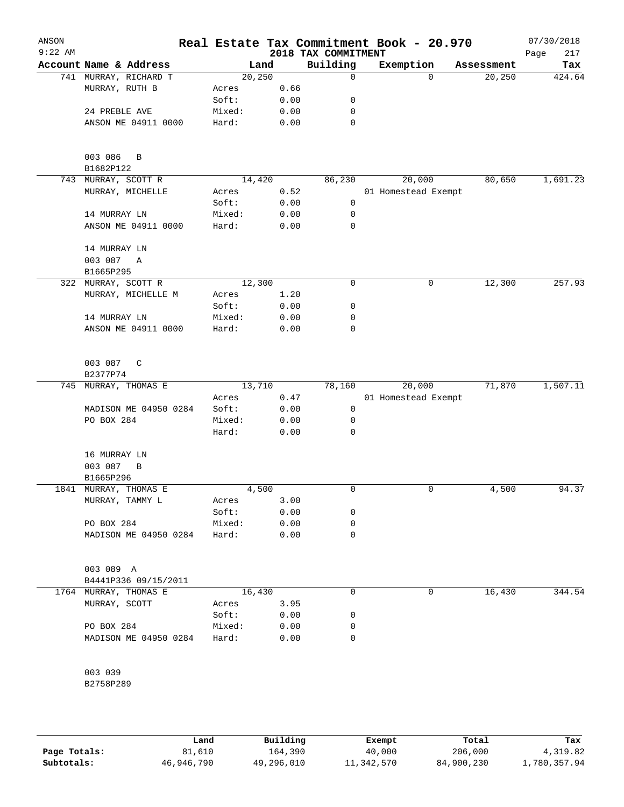| Account Name & Address<br>Building<br>Exemption<br>Land<br>Assessment<br>20, 250<br>741 MURRAY, RICHARD T<br>0<br>20,250<br>$\Omega$<br>MURRAY, RUTH B<br>0.66<br>Acres<br>Soft:<br>0.00<br>0<br>24 PREBLE AVE<br>Mixed:<br>0.00<br>0<br>ANSON ME 04911 0000<br>Hard:<br>0.00<br>0<br>003 086<br>B<br>B1682P122<br>743 MURRAY, SCOTT R<br>14,420<br>86,230<br>80,650<br>20,000<br>MURRAY, MICHELLE<br>Acres<br>0.52<br>01 Homestead Exempt<br>Soft:<br>0.00<br>0<br>14 MURRAY LN<br>Mixed:<br>0.00<br>0<br>ANSON ME 04911 0000<br>Hard:<br>0.00<br>0<br>14 MURRAY LN<br>003 087<br>Α<br>B1665P295<br>12,300<br>0<br>12,300<br>257.93<br>322 MURRAY, SCOTT R<br>0<br>MURRAY, MICHELLE M<br>Acres<br>1.20<br>Soft:<br>0<br>0.00<br>14 MURRAY LN<br>Mixed:<br>0.00<br>0<br>0<br>ANSON ME 04911 0000<br>Hard:<br>0.00<br>003 087<br>C<br>B2377P74<br>13,710<br>78,160<br>20,000<br>71,870<br>745 MURRAY, THOMAS E<br>0.47<br>01 Homestead Exempt<br>Acres<br>MADISON ME 04950 0284<br>Soft:<br>0.00<br>0<br>PO BOX 284<br>Mixed:<br>0.00<br>0<br>Hard:<br>0.00<br>0<br>16 MURRAY LN<br>003 087<br>B<br>B1665P296<br>1841 MURRAY, THOMAS E<br>4,500<br>4,500<br>94.37<br>0<br>0<br>MURRAY, TAMMY L<br>3.00<br>Acres<br>Soft:<br>0.00<br>0<br>PO BOX 284<br>Mixed:<br>0.00<br>0<br>MADISON ME 04950 0284<br>Hard:<br>0.00<br>0<br>003 089 A<br>B4441P336 09/15/2011<br>0<br>1764 MURRAY, THOMAS E<br>16,430<br>0<br>16,430<br>3.95<br>MURRAY, SCOTT<br>Acres<br>Soft:<br>0.00<br>0<br>PO BOX 284<br>Mixed:<br>0.00<br>0<br>MADISON ME 04950 0284<br>0<br>Hard:<br>0.00<br>003 039<br>B2758P289 | ANSON<br>$9:22$ AM |  | 2018 TAX COMMITMENT | Real Estate Tax Commitment Book - 20.970 |  | 07/30/2018<br>217<br>Page |
|------------------------------------------------------------------------------------------------------------------------------------------------------------------------------------------------------------------------------------------------------------------------------------------------------------------------------------------------------------------------------------------------------------------------------------------------------------------------------------------------------------------------------------------------------------------------------------------------------------------------------------------------------------------------------------------------------------------------------------------------------------------------------------------------------------------------------------------------------------------------------------------------------------------------------------------------------------------------------------------------------------------------------------------------------------------------------------------------------------------------------------------------------------------------------------------------------------------------------------------------------------------------------------------------------------------------------------------------------------------------------------------------------------------------------------------------------------------------------------------------------------------------------------------------------------------------------------------|--------------------|--|---------------------|------------------------------------------|--|---------------------------|
|                                                                                                                                                                                                                                                                                                                                                                                                                                                                                                                                                                                                                                                                                                                                                                                                                                                                                                                                                                                                                                                                                                                                                                                                                                                                                                                                                                                                                                                                                                                                                                                          |                    |  |                     |                                          |  | Tax                       |
|                                                                                                                                                                                                                                                                                                                                                                                                                                                                                                                                                                                                                                                                                                                                                                                                                                                                                                                                                                                                                                                                                                                                                                                                                                                                                                                                                                                                                                                                                                                                                                                          |                    |  |                     |                                          |  | 424.64                    |
|                                                                                                                                                                                                                                                                                                                                                                                                                                                                                                                                                                                                                                                                                                                                                                                                                                                                                                                                                                                                                                                                                                                                                                                                                                                                                                                                                                                                                                                                                                                                                                                          |                    |  |                     |                                          |  |                           |
|                                                                                                                                                                                                                                                                                                                                                                                                                                                                                                                                                                                                                                                                                                                                                                                                                                                                                                                                                                                                                                                                                                                                                                                                                                                                                                                                                                                                                                                                                                                                                                                          |                    |  |                     |                                          |  |                           |
|                                                                                                                                                                                                                                                                                                                                                                                                                                                                                                                                                                                                                                                                                                                                                                                                                                                                                                                                                                                                                                                                                                                                                                                                                                                                                                                                                                                                                                                                                                                                                                                          |                    |  |                     |                                          |  |                           |
|                                                                                                                                                                                                                                                                                                                                                                                                                                                                                                                                                                                                                                                                                                                                                                                                                                                                                                                                                                                                                                                                                                                                                                                                                                                                                                                                                                                                                                                                                                                                                                                          |                    |  |                     |                                          |  |                           |
|                                                                                                                                                                                                                                                                                                                                                                                                                                                                                                                                                                                                                                                                                                                                                                                                                                                                                                                                                                                                                                                                                                                                                                                                                                                                                                                                                                                                                                                                                                                                                                                          |                    |  |                     |                                          |  |                           |
|                                                                                                                                                                                                                                                                                                                                                                                                                                                                                                                                                                                                                                                                                                                                                                                                                                                                                                                                                                                                                                                                                                                                                                                                                                                                                                                                                                                                                                                                                                                                                                                          |                    |  |                     |                                          |  |                           |
|                                                                                                                                                                                                                                                                                                                                                                                                                                                                                                                                                                                                                                                                                                                                                                                                                                                                                                                                                                                                                                                                                                                                                                                                                                                                                                                                                                                                                                                                                                                                                                                          |                    |  |                     |                                          |  | 1,691.23                  |
|                                                                                                                                                                                                                                                                                                                                                                                                                                                                                                                                                                                                                                                                                                                                                                                                                                                                                                                                                                                                                                                                                                                                                                                                                                                                                                                                                                                                                                                                                                                                                                                          |                    |  |                     |                                          |  |                           |
|                                                                                                                                                                                                                                                                                                                                                                                                                                                                                                                                                                                                                                                                                                                                                                                                                                                                                                                                                                                                                                                                                                                                                                                                                                                                                                                                                                                                                                                                                                                                                                                          |                    |  |                     |                                          |  |                           |
|                                                                                                                                                                                                                                                                                                                                                                                                                                                                                                                                                                                                                                                                                                                                                                                                                                                                                                                                                                                                                                                                                                                                                                                                                                                                                                                                                                                                                                                                                                                                                                                          |                    |  |                     |                                          |  |                           |
|                                                                                                                                                                                                                                                                                                                                                                                                                                                                                                                                                                                                                                                                                                                                                                                                                                                                                                                                                                                                                                                                                                                                                                                                                                                                                                                                                                                                                                                                                                                                                                                          |                    |  |                     |                                          |  |                           |
|                                                                                                                                                                                                                                                                                                                                                                                                                                                                                                                                                                                                                                                                                                                                                                                                                                                                                                                                                                                                                                                                                                                                                                                                                                                                                                                                                                                                                                                                                                                                                                                          |                    |  |                     |                                          |  |                           |
|                                                                                                                                                                                                                                                                                                                                                                                                                                                                                                                                                                                                                                                                                                                                                                                                                                                                                                                                                                                                                                                                                                                                                                                                                                                                                                                                                                                                                                                                                                                                                                                          |                    |  |                     |                                          |  |                           |
|                                                                                                                                                                                                                                                                                                                                                                                                                                                                                                                                                                                                                                                                                                                                                                                                                                                                                                                                                                                                                                                                                                                                                                                                                                                                                                                                                                                                                                                                                                                                                                                          |                    |  |                     |                                          |  |                           |
|                                                                                                                                                                                                                                                                                                                                                                                                                                                                                                                                                                                                                                                                                                                                                                                                                                                                                                                                                                                                                                                                                                                                                                                                                                                                                                                                                                                                                                                                                                                                                                                          |                    |  |                     |                                          |  |                           |
|                                                                                                                                                                                                                                                                                                                                                                                                                                                                                                                                                                                                                                                                                                                                                                                                                                                                                                                                                                                                                                                                                                                                                                                                                                                                                                                                                                                                                                                                                                                                                                                          |                    |  |                     |                                          |  |                           |
|                                                                                                                                                                                                                                                                                                                                                                                                                                                                                                                                                                                                                                                                                                                                                                                                                                                                                                                                                                                                                                                                                                                                                                                                                                                                                                                                                                                                                                                                                                                                                                                          |                    |  |                     |                                          |  |                           |
|                                                                                                                                                                                                                                                                                                                                                                                                                                                                                                                                                                                                                                                                                                                                                                                                                                                                                                                                                                                                                                                                                                                                                                                                                                                                                                                                                                                                                                                                                                                                                                                          |                    |  |                     |                                          |  |                           |
|                                                                                                                                                                                                                                                                                                                                                                                                                                                                                                                                                                                                                                                                                                                                                                                                                                                                                                                                                                                                                                                                                                                                                                                                                                                                                                                                                                                                                                                                                                                                                                                          |                    |  |                     |                                          |  |                           |
|                                                                                                                                                                                                                                                                                                                                                                                                                                                                                                                                                                                                                                                                                                                                                                                                                                                                                                                                                                                                                                                                                                                                                                                                                                                                                                                                                                                                                                                                                                                                                                                          |                    |  |                     |                                          |  |                           |
|                                                                                                                                                                                                                                                                                                                                                                                                                                                                                                                                                                                                                                                                                                                                                                                                                                                                                                                                                                                                                                                                                                                                                                                                                                                                                                                                                                                                                                                                                                                                                                                          |                    |  |                     |                                          |  | 1,507.11                  |
|                                                                                                                                                                                                                                                                                                                                                                                                                                                                                                                                                                                                                                                                                                                                                                                                                                                                                                                                                                                                                                                                                                                                                                                                                                                                                                                                                                                                                                                                                                                                                                                          |                    |  |                     |                                          |  |                           |
|                                                                                                                                                                                                                                                                                                                                                                                                                                                                                                                                                                                                                                                                                                                                                                                                                                                                                                                                                                                                                                                                                                                                                                                                                                                                                                                                                                                                                                                                                                                                                                                          |                    |  |                     |                                          |  |                           |
|                                                                                                                                                                                                                                                                                                                                                                                                                                                                                                                                                                                                                                                                                                                                                                                                                                                                                                                                                                                                                                                                                                                                                                                                                                                                                                                                                                                                                                                                                                                                                                                          |                    |  |                     |                                          |  |                           |
|                                                                                                                                                                                                                                                                                                                                                                                                                                                                                                                                                                                                                                                                                                                                                                                                                                                                                                                                                                                                                                                                                                                                                                                                                                                                                                                                                                                                                                                                                                                                                                                          |                    |  |                     |                                          |  |                           |
|                                                                                                                                                                                                                                                                                                                                                                                                                                                                                                                                                                                                                                                                                                                                                                                                                                                                                                                                                                                                                                                                                                                                                                                                                                                                                                                                                                                                                                                                                                                                                                                          |                    |  |                     |                                          |  |                           |
|                                                                                                                                                                                                                                                                                                                                                                                                                                                                                                                                                                                                                                                                                                                                                                                                                                                                                                                                                                                                                                                                                                                                                                                                                                                                                                                                                                                                                                                                                                                                                                                          |                    |  |                     |                                          |  |                           |
|                                                                                                                                                                                                                                                                                                                                                                                                                                                                                                                                                                                                                                                                                                                                                                                                                                                                                                                                                                                                                                                                                                                                                                                                                                                                                                                                                                                                                                                                                                                                                                                          |                    |  |                     |                                          |  |                           |
|                                                                                                                                                                                                                                                                                                                                                                                                                                                                                                                                                                                                                                                                                                                                                                                                                                                                                                                                                                                                                                                                                                                                                                                                                                                                                                                                                                                                                                                                                                                                                                                          |                    |  |                     |                                          |  |                           |
|                                                                                                                                                                                                                                                                                                                                                                                                                                                                                                                                                                                                                                                                                                                                                                                                                                                                                                                                                                                                                                                                                                                                                                                                                                                                                                                                                                                                                                                                                                                                                                                          |                    |  |                     |                                          |  |                           |
|                                                                                                                                                                                                                                                                                                                                                                                                                                                                                                                                                                                                                                                                                                                                                                                                                                                                                                                                                                                                                                                                                                                                                                                                                                                                                                                                                                                                                                                                                                                                                                                          |                    |  |                     |                                          |  |                           |
|                                                                                                                                                                                                                                                                                                                                                                                                                                                                                                                                                                                                                                                                                                                                                                                                                                                                                                                                                                                                                                                                                                                                                                                                                                                                                                                                                                                                                                                                                                                                                                                          |                    |  |                     |                                          |  |                           |
|                                                                                                                                                                                                                                                                                                                                                                                                                                                                                                                                                                                                                                                                                                                                                                                                                                                                                                                                                                                                                                                                                                                                                                                                                                                                                                                                                                                                                                                                                                                                                                                          |                    |  |                     |                                          |  |                           |
|                                                                                                                                                                                                                                                                                                                                                                                                                                                                                                                                                                                                                                                                                                                                                                                                                                                                                                                                                                                                                                                                                                                                                                                                                                                                                                                                                                                                                                                                                                                                                                                          |                    |  |                     |                                          |  |                           |
|                                                                                                                                                                                                                                                                                                                                                                                                                                                                                                                                                                                                                                                                                                                                                                                                                                                                                                                                                                                                                                                                                                                                                                                                                                                                                                                                                                                                                                                                                                                                                                                          |                    |  |                     |                                          |  |                           |
|                                                                                                                                                                                                                                                                                                                                                                                                                                                                                                                                                                                                                                                                                                                                                                                                                                                                                                                                                                                                                                                                                                                                                                                                                                                                                                                                                                                                                                                                                                                                                                                          |                    |  |                     |                                          |  | 344.54                    |
|                                                                                                                                                                                                                                                                                                                                                                                                                                                                                                                                                                                                                                                                                                                                                                                                                                                                                                                                                                                                                                                                                                                                                                                                                                                                                                                                                                                                                                                                                                                                                                                          |                    |  |                     |                                          |  |                           |
|                                                                                                                                                                                                                                                                                                                                                                                                                                                                                                                                                                                                                                                                                                                                                                                                                                                                                                                                                                                                                                                                                                                                                                                                                                                                                                                                                                                                                                                                                                                                                                                          |                    |  |                     |                                          |  |                           |
|                                                                                                                                                                                                                                                                                                                                                                                                                                                                                                                                                                                                                                                                                                                                                                                                                                                                                                                                                                                                                                                                                                                                                                                                                                                                                                                                                                                                                                                                                                                                                                                          |                    |  |                     |                                          |  |                           |
|                                                                                                                                                                                                                                                                                                                                                                                                                                                                                                                                                                                                                                                                                                                                                                                                                                                                                                                                                                                                                                                                                                                                                                                                                                                                                                                                                                                                                                                                                                                                                                                          |                    |  |                     |                                          |  |                           |
|                                                                                                                                                                                                                                                                                                                                                                                                                                                                                                                                                                                                                                                                                                                                                                                                                                                                                                                                                                                                                                                                                                                                                                                                                                                                                                                                                                                                                                                                                                                                                                                          |                    |  |                     |                                          |  |                           |
|                                                                                                                                                                                                                                                                                                                                                                                                                                                                                                                                                                                                                                                                                                                                                                                                                                                                                                                                                                                                                                                                                                                                                                                                                                                                                                                                                                                                                                                                                                                                                                                          |                    |  |                     |                                          |  |                           |
|                                                                                                                                                                                                                                                                                                                                                                                                                                                                                                                                                                                                                                                                                                                                                                                                                                                                                                                                                                                                                                                                                                                                                                                                                                                                                                                                                                                                                                                                                                                                                                                          |                    |  |                     |                                          |  |                           |
|                                                                                                                                                                                                                                                                                                                                                                                                                                                                                                                                                                                                                                                                                                                                                                                                                                                                                                                                                                                                                                                                                                                                                                                                                                                                                                                                                                                                                                                                                                                                                                                          |                    |  |                     |                                          |  |                           |

|              | Land       | Building   | Exempt     | Total      | Tax          |
|--------------|------------|------------|------------|------------|--------------|
| Page Totals: | 81,610     | 164,390    | 40,000     | 206,000    | 4,319.82     |
| Subtotals:   | 46,946,790 | 49,296,010 | 11,342,570 | 84,900,230 | 1,780,357.94 |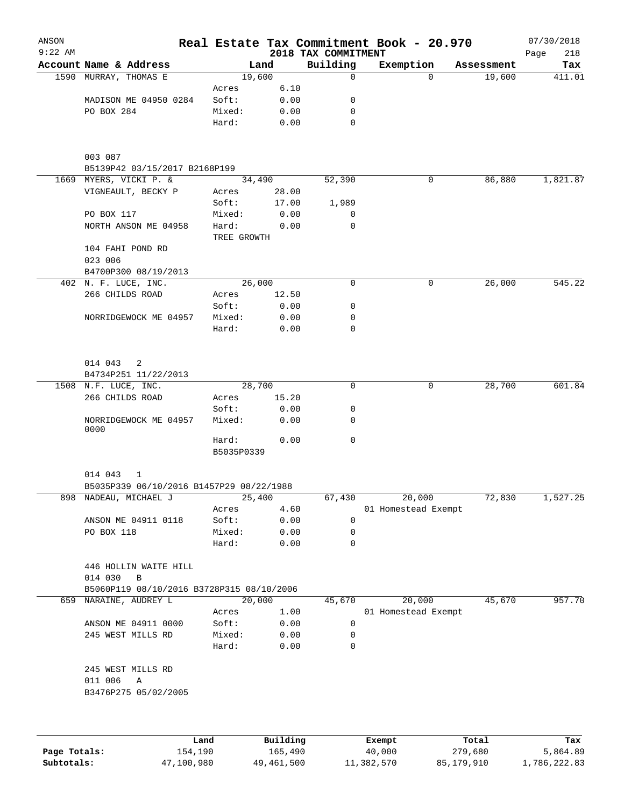| ANSON<br>$9:22$ AM |                                                  |                     |       | 2018 TAX COMMITMENT | Real Estate Tax Commitment Book - 20.970 |            | 07/30/2018<br>218<br>Page |
|--------------------|--------------------------------------------------|---------------------|-------|---------------------|------------------------------------------|------------|---------------------------|
|                    | Account Name & Address                           |                     | Land  | Building            | Exemption                                | Assessment | Tax                       |
|                    | 1590 MURRAY, THOMAS E                            | 19,600              |       | 0                   | $\Omega$                                 | 19,600     | 411.01                    |
|                    |                                                  | Acres               | 6.10  |                     |                                          |            |                           |
|                    | MADISON ME 04950 0284                            | Soft:               | 0.00  | 0                   |                                          |            |                           |
|                    | PO BOX 284                                       | Mixed:              | 0.00  | 0                   |                                          |            |                           |
|                    |                                                  | Hard:               | 0.00  | 0                   |                                          |            |                           |
|                    | 003 087                                          |                     |       |                     |                                          |            |                           |
|                    | B5139P42 03/15/2017 B2168P199                    |                     |       |                     |                                          |            |                           |
|                    | 1669 MYERS, VICKI P. &                           | 34,490              |       | 52,390              | 0                                        | 86,880     | 1,821.87                  |
|                    | VIGNEAULT, BECKY P                               | Acres               | 28.00 |                     |                                          |            |                           |
|                    |                                                  | Soft:               | 17.00 | 1,989               |                                          |            |                           |
|                    | PO BOX 117                                       | Mixed:              | 0.00  | 0                   |                                          |            |                           |
|                    | NORTH ANSON ME 04958                             | Hard:               | 0.00  | 0                   |                                          |            |                           |
|                    |                                                  | TREE GROWTH         |       |                     |                                          |            |                           |
|                    | 104 FAHI POND RD                                 |                     |       |                     |                                          |            |                           |
|                    | 023 006                                          |                     |       |                     |                                          |            |                           |
|                    | B4700P300 08/19/2013                             |                     |       |                     |                                          |            |                           |
|                    | 402 N. F. LUCE, INC.                             | 26,000              |       | 0                   | 0                                        | 26,000     | 545.22                    |
|                    | 266 CHILDS ROAD                                  | Acres               | 12.50 |                     |                                          |            |                           |
|                    |                                                  | Soft:               | 0.00  | 0                   |                                          |            |                           |
|                    | NORRIDGEWOCK ME 04957                            | Mixed:              | 0.00  | 0                   |                                          |            |                           |
|                    |                                                  | Hard:               | 0.00  | 0                   |                                          |            |                           |
|                    | 014 043<br>2                                     |                     |       |                     |                                          |            |                           |
|                    | B4734P251 11/22/2013                             |                     |       |                     |                                          |            |                           |
|                    | 1508 N.F. LUCE, INC.                             | 28,700              |       | 0                   | 0                                        | 28,700     | 601.84                    |
|                    | 266 CHILDS ROAD                                  | Acres               | 15.20 |                     |                                          |            |                           |
|                    |                                                  | Soft:               | 0.00  | 0                   |                                          |            |                           |
|                    | NORRIDGEWOCK ME 04957<br>0000                    | Mixed:              | 0.00  | 0<br>0              |                                          |            |                           |
|                    |                                                  | Hard:<br>B5035P0339 | 0.00  |                     |                                          |            |                           |
|                    | 014 043<br>1                                     |                     |       |                     |                                          |            |                           |
|                    | B5035P339 06/10/2016 B1457P29 08/22/1988         |                     |       |                     |                                          | 72,830     |                           |
|                    | 898 NADEAU, MICHAEL J                            | 25,400              |       | 67,430              | 20,000                                   |            | 1,527.25                  |
|                    |                                                  | Acres               | 4.60  |                     | 01 Homestead Exempt                      |            |                           |
|                    | ANSON ME 04911 0118                              | Soft:               | 0.00  | 0                   |                                          |            |                           |
|                    | PO BOX 118                                       | Mixed:              | 0.00  | 0                   |                                          |            |                           |
|                    |                                                  | Hard:               | 0.00  | 0                   |                                          |            |                           |
|                    | 446 HOLLIN WAITE HILL<br>014 030<br>$\, {\bf B}$ |                     |       |                     |                                          |            |                           |
|                    | B5060P119 08/10/2016 B3728P315 08/10/2006        |                     |       |                     |                                          |            |                           |
| 659                | NARAINE, AUDREY L                                | 20,000              |       | 45,670              | 20,000                                   | 45,670     | 957.70                    |
|                    |                                                  | Acres               | 1.00  |                     | 01 Homestead Exempt                      |            |                           |
|                    | ANSON ME 04911 0000                              | Soft:               | 0.00  | 0                   |                                          |            |                           |
|                    | 245 WEST MILLS RD                                | Mixed:              | 0.00  | 0                   |                                          |            |                           |
|                    |                                                  | Hard:               | 0.00  | 0                   |                                          |            |                           |
|                    | 245 WEST MILLS RD                                |                     |       |                     |                                          |            |                           |
|                    | 011 006<br>Α<br>B3476P275 05/02/2005             |                     |       |                     |                                          |            |                           |
|                    |                                                  |                     |       |                     |                                          |            |                           |
|                    |                                                  |                     |       |                     |                                          |            |                           |

|              | Land       | Building   | Exempt     | Total      | Tax          |
|--------------|------------|------------|------------|------------|--------------|
| Page Totals: | 154,190    | 165,490    | 40,000     | 279,680    | 5,864.89     |
| Subtotals:   | 47,100,980 | 49,461,500 | 11,382,570 | 85,179,910 | 1,786,222.83 |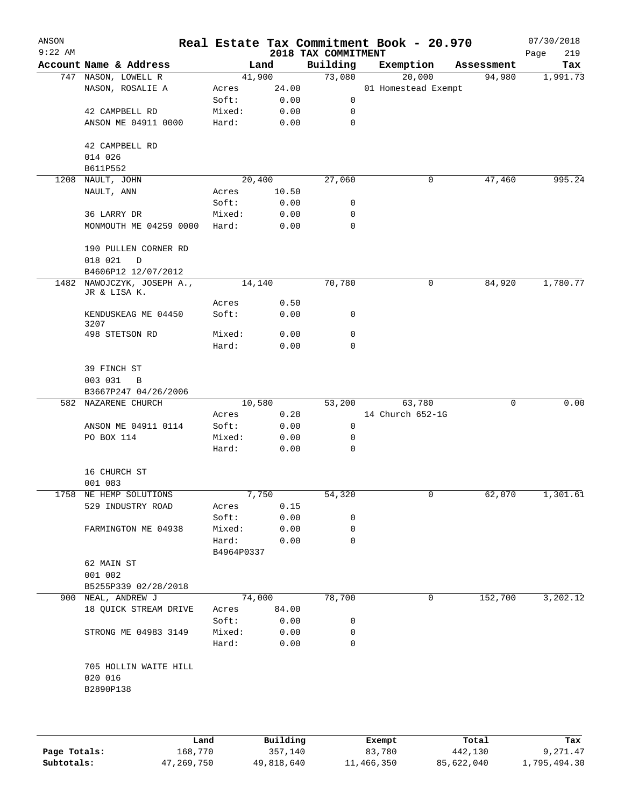| ANSON<br>$9:22$ AM |                                             |                     |                     | 2018 TAX COMMITMENT | Real Estate Tax Commitment Book - 20.970 |            | 07/30/2018<br>219<br>Page |
|--------------------|---------------------------------------------|---------------------|---------------------|---------------------|------------------------------------------|------------|---------------------------|
|                    | Account Name & Address                      |                     | Land                | Building            | Exemption                                | Assessment | Tax                       |
|                    | 747 NASON, LOWELL R                         |                     | 41,900              | 73,080              | 20,000                                   | 94,980     | 1,991.73                  |
|                    | NASON, ROSALIE A                            | Acres               | 24.00               |                     | 01 Homestead Exempt                      |            |                           |
|                    |                                             | Soft:               | 0.00                | 0                   |                                          |            |                           |
|                    | 42 CAMPBELL RD                              | Mixed:              | 0.00                | 0                   |                                          |            |                           |
|                    | ANSON ME 04911 0000                         | Hard:               | 0.00                | $\mathbf 0$         |                                          |            |                           |
|                    | 42 CAMPBELL RD                              |                     |                     |                     |                                          |            |                           |
|                    | 014 026                                     |                     |                     |                     |                                          |            |                           |
|                    | B611P552                                    |                     |                     |                     |                                          |            |                           |
| 1208               | NAULT, JOHN                                 |                     | $\overline{20,400}$ | 27,060              | 0                                        | 47,460     | 995.24                    |
|                    | NAULT, ANN                                  | Acres               | 10.50               |                     |                                          |            |                           |
|                    |                                             | Soft:               | 0.00                | 0                   |                                          |            |                           |
|                    | 36 LARRY DR                                 | Mixed:              | 0.00                | 0                   |                                          |            |                           |
|                    | MONMOUTH ME 04259 0000                      | Hard:               | 0.00                | $\mathbf 0$         |                                          |            |                           |
|                    | 190 PULLEN CORNER RD                        |                     |                     |                     |                                          |            |                           |
|                    | 018 021<br>D                                |                     |                     |                     |                                          |            |                           |
|                    | B4606P12 12/07/2012                         |                     |                     |                     |                                          |            |                           |
|                    | 1482 NAWOJCZYK, JOSEPH A.,<br>JR & LISA K.  |                     | 14,140              | 70,780              | 0                                        | 84,920     | 1,780.77                  |
|                    |                                             | Acres               | 0.50                |                     |                                          |            |                           |
|                    | KENDUSKEAG ME 04450<br>3207                 | Soft:               | 0.00                | 0                   |                                          |            |                           |
|                    | 498 STETSON RD                              | Mixed:              | 0.00                | 0                   |                                          |            |                           |
|                    |                                             | Hard:               | 0.00                | $\mathbf 0$         |                                          |            |                           |
|                    | 39 FINCH ST                                 |                     |                     |                     |                                          |            |                           |
|                    | 003 031<br>B                                |                     |                     |                     |                                          |            |                           |
|                    | B3667P247 04/26/2006                        |                     |                     |                     |                                          |            |                           |
|                    | 582 NAZARENE CHURCH                         |                     | 10,580              | 53,200              | 63,780                                   | 0          | 0.00                      |
|                    |                                             | Acres               | 0.28                |                     | 14 Church 652-1G                         |            |                           |
|                    | ANSON ME 04911 0114                         | Soft:               | 0.00                | 0                   |                                          |            |                           |
|                    | PO BOX 114                                  | Mixed:              | 0.00                | 0                   |                                          |            |                           |
|                    |                                             | Hard:               | 0.00                | 0                   |                                          |            |                           |
|                    | 16 CHURCH ST                                |                     |                     |                     |                                          |            |                           |
|                    | 001 083                                     |                     |                     |                     |                                          |            |                           |
|                    | 1758 NE HEMP SOLUTIONS                      |                     | 7,750               | 54,320              | 0                                        | 62,070     | 1,301.61                  |
|                    | 529 INDUSTRY ROAD                           | Acres               | 0.15                |                     |                                          |            |                           |
|                    |                                             | Soft:               | 0.00                | 0                   |                                          |            |                           |
|                    | FARMINGTON ME 04938                         | Mixed:              | 0.00                | 0                   |                                          |            |                           |
|                    |                                             | Hard:<br>B4964P0337 | 0.00                | 0                   |                                          |            |                           |
|                    |                                             |                     |                     |                     |                                          |            |                           |
|                    | 62 MAIN ST<br>001 002                       |                     |                     |                     |                                          |            |                           |
|                    |                                             |                     |                     |                     |                                          |            |                           |
|                    | B5255P339 02/28/2018                        |                     | 74,000              | 78,700              | 0                                        | 152,700    | 3,202.12                  |
|                    | 900 NEAL, ANDREW J<br>18 QUICK STREAM DRIVE |                     |                     |                     |                                          |            |                           |
|                    |                                             |                     | Acres 84.00         |                     |                                          |            |                           |
|                    |                                             |                     | Soft: 0.00          | 0                   |                                          |            |                           |
|                    | STRONG ME 04983 3149                        | Mixed:<br>Hard:     | 0.00<br>0.00        | 0<br>0              |                                          |            |                           |
|                    | 705 HOLLIN WAITE HILL                       |                     |                     |                     |                                          |            |                           |
|                    | 020 016                                     |                     |                     |                     |                                          |            |                           |
|                    | B2890P138                                   |                     |                     |                     |                                          |            |                           |
|                    |                                             |                     |                     |                     |                                          |            |                           |
|                    |                                             |                     |                     |                     |                                          |            |                           |
|                    |                                             |                     |                     |                     |                                          |            |                           |

|              | Land       | Building   | Exempt     | Total      | Tax          |
|--------------|------------|------------|------------|------------|--------------|
| Page Totals: | 168,770    | 357,140    | 83,780     | 442,130    | 9,271.47     |
| Subtotals:   | 47,269,750 | 49,818,640 | 11,466,350 | 85,622,040 | 1,795,494.30 |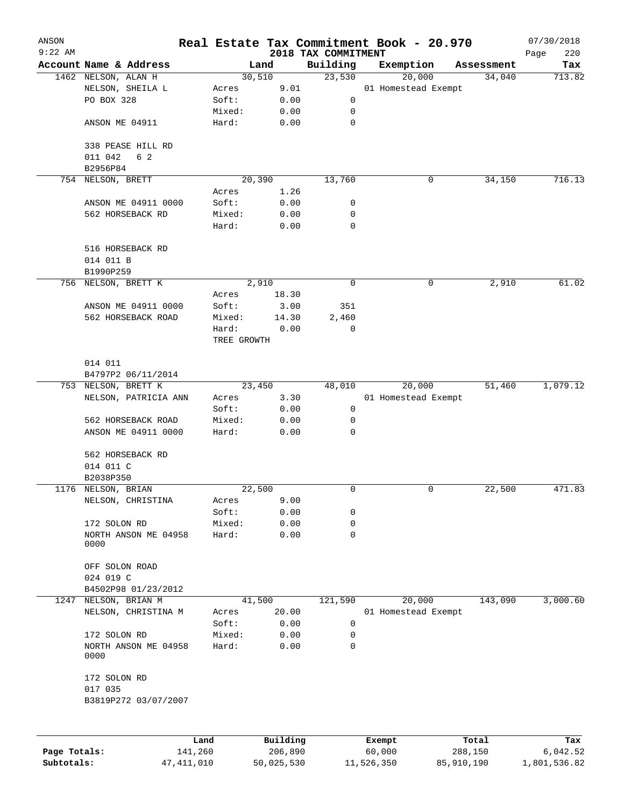| ANSON<br>$9:22$ AM |                        |             |          |                                 | Real Estate Tax Commitment Book - 20.970 |            | 07/30/2018         |
|--------------------|------------------------|-------------|----------|---------------------------------|------------------------------------------|------------|--------------------|
|                    | Account Name & Address |             | Land     | 2018 TAX COMMITMENT<br>Building | Exemption                                | Assessment | Page<br>220<br>Tax |
|                    | 1462 NELSON, ALAN H    |             | 30,510   | 23,530                          | 20,000                                   | 34,040     | 713.82             |
|                    | NELSON, SHEILA L       | Acres       | 9.01     |                                 | 01 Homestead Exempt                      |            |                    |
|                    | PO BOX 328             | Soft:       | 0.00     | 0                               |                                          |            |                    |
|                    |                        | Mixed:      | 0.00     | 0                               |                                          |            |                    |
|                    | ANSON ME 04911         | Hard:       | 0.00     | $\mathbf 0$                     |                                          |            |                    |
|                    |                        |             |          |                                 |                                          |            |                    |
|                    | 338 PEASE HILL RD      |             |          |                                 |                                          |            |                    |
|                    | 011 042<br>6 2         |             |          |                                 |                                          |            |                    |
|                    | B2956P84               |             |          |                                 |                                          |            |                    |
| 754                | NELSON, BRETT          |             | 20,390   | 13,760                          | 0                                        | 34,150     | 716.13             |
|                    |                        | Acres       | 1.26     |                                 |                                          |            |                    |
|                    | ANSON ME 04911 0000    | Soft:       | 0.00     | 0                               |                                          |            |                    |
|                    | 562 HORSEBACK RD       | Mixed:      | 0.00     | 0                               |                                          |            |                    |
|                    |                        | Hard:       | 0.00     | 0                               |                                          |            |                    |
|                    | 516 HORSEBACK RD       |             |          |                                 |                                          |            |                    |
|                    | 014 011 B              |             |          |                                 |                                          |            |                    |
|                    | B1990P259              |             |          |                                 |                                          |            |                    |
| 756                | NELSON, BRETT K        |             | 2,910    | $\mathbf 0$                     | 0                                        | 2,910      | 61.02              |
|                    |                        | Acres       | 18.30    |                                 |                                          |            |                    |
|                    | ANSON ME 04911 0000    | Soft:       | 3.00     | 351                             |                                          |            |                    |
|                    | 562 HORSEBACK ROAD     | Mixed:      | 14.30    | 2,460                           |                                          |            |                    |
|                    |                        | Hard:       | 0.00     | 0                               |                                          |            |                    |
|                    |                        | TREE GROWTH |          |                                 |                                          |            |                    |
|                    | 014 011                |             |          |                                 |                                          |            |                    |
|                    | B4797P2 06/11/2014     |             |          |                                 |                                          |            |                    |
|                    | 753 NELSON, BRETT K    |             | 23,450   | 48,010                          | 20,000                                   | 51,460     | 1,079.12           |
|                    | NELSON, PATRICIA ANN   | Acres       | 3.30     |                                 | 01 Homestead Exempt                      |            |                    |
|                    |                        | Soft:       | 0.00     | 0                               |                                          |            |                    |
|                    | 562 HORSEBACK ROAD     | Mixed:      | 0.00     | 0                               |                                          |            |                    |
|                    | ANSON ME 04911 0000    | Hard:       | 0.00     | 0                               |                                          |            |                    |
|                    | 562 HORSEBACK RD       |             |          |                                 |                                          |            |                    |
|                    | 014 011 C              |             |          |                                 |                                          |            |                    |
|                    | B2038P350              |             |          |                                 |                                          |            |                    |
|                    | 1176 NELSON, BRIAN     |             | 22,500   | 0                               | 0                                        | 22,500     | 471.83             |
|                    | NELSON, CHRISTINA      | Acres       | 9.00     |                                 |                                          |            |                    |
|                    |                        | Soft:       | 0.00     | 0                               |                                          |            |                    |
|                    | 172 SOLON RD           | Mixed:      | 0.00     | 0                               |                                          |            |                    |
|                    | NORTH ANSON ME 04958   | Hard:       | 0.00     | 0                               |                                          |            |                    |
|                    | 0000                   |             |          |                                 |                                          |            |                    |
|                    | OFF SOLON ROAD         |             |          |                                 |                                          |            |                    |
|                    | 024 019 C              |             |          |                                 |                                          |            |                    |
|                    | B4502P98 01/23/2012    |             |          |                                 |                                          |            |                    |
| 1247               | NELSON, BRIAN M        |             | 41,500   | 121,590                         | 20,000                                   | 143,090    | 3,000.60           |
|                    | NELSON, CHRISTINA M    | Acres       | 20.00    |                                 | 01 Homestead Exempt                      |            |                    |
|                    |                        | Soft:       | 0.00     | 0                               |                                          |            |                    |
|                    | 172 SOLON RD           | Mixed:      | 0.00     | 0                               |                                          |            |                    |
|                    | NORTH ANSON ME 04958   | Hard:       | 0.00     | 0                               |                                          |            |                    |
|                    | 0000                   |             |          |                                 |                                          |            |                    |
|                    | 172 SOLON RD           |             |          |                                 |                                          |            |                    |
|                    | 017 035                |             |          |                                 |                                          |            |                    |
|                    | B3819P272 03/07/2007   |             |          |                                 |                                          |            |                    |
|                    |                        |             |          |                                 |                                          |            |                    |
|                    | Land                   |             | Building |                                 | Exempt                                   | Total      | Tax                |
| Page Totals:       | 141,260                |             | 206,890  |                                 | 60,000                                   | 288,150    | 6,042.52           |

**Subtotals:** 47,411,010 50,025,530 11,526,350 85,910,190 1,801,536.82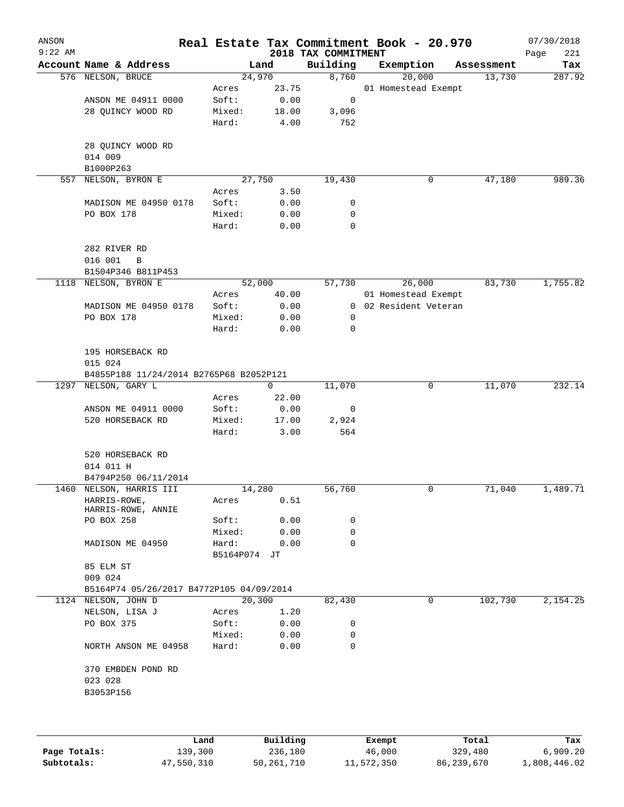| ANSON<br>$9:22$ AM |                                                 |                 |              | 2018 TAX COMMITMENT | Real Estate Tax Commitment Book - 20.970 |            | 07/30/2018<br>Page<br>221 |
|--------------------|-------------------------------------------------|-----------------|--------------|---------------------|------------------------------------------|------------|---------------------------|
|                    | Account Name & Address                          |                 | Land         | Building            | Exemption                                | Assessment | Tax                       |
|                    | 576 NELSON, BRUCE                               |                 | 24,970       | 8,760               | 20,000                                   | 13,730     | 287.92                    |
|                    |                                                 | Acres           | 23.75        |                     | 01 Homestead Exempt                      |            |                           |
|                    | ANSON ME 04911 0000                             | Soft:           | 0.00         | 0                   |                                          |            |                           |
|                    | 28 QUINCY WOOD RD                               | Mixed:          | 18.00        | 3,096               |                                          |            |                           |
|                    |                                                 | Hard:           | 4.00         | 752                 |                                          |            |                           |
|                    | 28 QUINCY WOOD RD<br>014 009                    |                 |              |                     |                                          |            |                           |
|                    | B1000P263                                       |                 |              |                     |                                          |            |                           |
| 557                | NELSON, BYRON E                                 |                 | 27,750       | 19,430              | 0                                        | 47,180     | 989.36                    |
|                    |                                                 | Acres           | 3.50         |                     |                                          |            |                           |
|                    | MADISON ME 04950 0178                           | Soft:           | 0.00         | 0                   |                                          |            |                           |
|                    | PO BOX 178                                      | Mixed:<br>Hard: | 0.00<br>0.00 | 0<br>0              |                                          |            |                           |
|                    |                                                 |                 |              |                     |                                          |            |                           |
|                    | 282 RIVER RD<br>016 001<br>$\mathbf B$          |                 |              |                     |                                          |            |                           |
|                    | B1504P346 B811P453                              |                 |              |                     |                                          |            |                           |
| 1118               | NELSON, BYRON E                                 |                 | 52,000       | 57,730              | 26,000                                   | 83,730     | 1,755.82                  |
|                    |                                                 | Acres           | 40.00        |                     | 01 Homestead Exempt                      |            |                           |
|                    | MADISON ME 04950 0178                           | Soft:           | 0.00         | $\overline{0}$      | 02 Resident Veteran                      |            |                           |
|                    | PO BOX 178                                      | Mixed:          | 0.00         | 0                   |                                          |            |                           |
|                    |                                                 | Hard:           | 0.00         | 0                   |                                          |            |                           |
|                    | 195 HORSEBACK RD<br>015 024                     |                 |              |                     |                                          |            |                           |
|                    | B4855P188 11/24/2014 B2765P68 B2052P121         |                 |              |                     |                                          |            |                           |
| 1297               | NELSON, GARY L                                  |                 | $\mathbf 0$  | 11,070              | 0                                        | 11,070     | 232.14                    |
|                    |                                                 | Acres           | 22.00        |                     |                                          |            |                           |
|                    | ANSON ME 04911 0000                             | Soft:           | 0.00         | 0                   |                                          |            |                           |
|                    | 520 HORSEBACK RD                                | Mixed:          | 17.00        | 2,924               |                                          |            |                           |
|                    |                                                 | Hard:           | 3.00         | 564                 |                                          |            |                           |
|                    | 520 HORSEBACK RD                                |                 |              |                     |                                          |            |                           |
|                    | 014 011 H                                       |                 |              |                     |                                          |            |                           |
|                    | B4794P250 06/11/2014<br>1460 NELSON, HARRIS III |                 | 14,280       | 56,760              | 0                                        | 71,040     | 1,489.71                  |
|                    | HARRIS-ROWE,<br>HARRIS-ROWE, ANNIE              | Acres           | 0.51         |                     |                                          |            |                           |
|                    | PO BOX 258                                      | Soft:           | 0.00         | 0                   |                                          |            |                           |
|                    |                                                 | Mixed:          | 0.00         | 0                   |                                          |            |                           |
|                    | MADISON ME 04950                                | Hard:           | 0.00         | 0                   |                                          |            |                           |
|                    | 85 ELM ST<br>009 024                            | B5164P074 JT    |              |                     |                                          |            |                           |
|                    | B5164P74 05/26/2017 B4772P105 04/09/2014        |                 |              |                     |                                          |            |                           |
|                    | 1124 NELSON, JOHN D                             |                 | 20,300       | 82,430              | 0                                        | 102,730    | 2,154.25                  |
|                    | NELSON, LISA J                                  | Acres           | 1.20         |                     |                                          |            |                           |
|                    | PO BOX 375                                      | Soft:           | 0.00         | 0                   |                                          |            |                           |
|                    |                                                 | Mixed:          | 0.00         | 0                   |                                          |            |                           |
|                    | NORTH ANSON ME 04958                            | Hard:           | 0.00         | 0                   |                                          |            |                           |
|                    | 370 EMBDEN POND RD<br>023 028                   |                 |              |                     |                                          |            |                           |
|                    | B3053P156                                       |                 |              |                     |                                          |            |                           |
|                    |                                                 |                 |              |                     |                                          |            |                           |
|                    |                                                 |                 |              |                     |                                          |            |                           |
|                    |                                                 |                 | n 1 44 -     |                     |                                          | m. 1       |                           |

|              | Land       | Building   | Exempt     | Total      | Tax          |
|--------------|------------|------------|------------|------------|--------------|
| Page Totals: | 139,300    | 236,180    | 46,000     | 329,480    | 6,909.20     |
| Subtotals:   | 47,550,310 | 50,261,710 | 11,572,350 | 86,239,670 | 1,808,446.02 |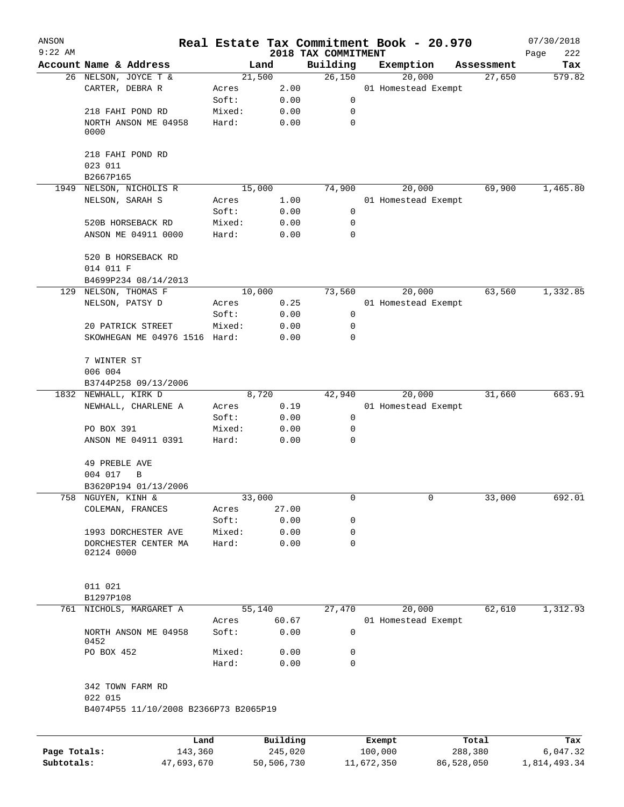| ANSON        |                                                  |         |                |                       | Real Estate Tax Commitment Book - 20.970 |            |                               |                      | 07/30/2018    |
|--------------|--------------------------------------------------|---------|----------------|-----------------------|------------------------------------------|------------|-------------------------------|----------------------|---------------|
| $9:22$ AM    | Account Name & Address                           |         |                |                       | 2018 TAX COMMITMENT                      |            |                               |                      | Page<br>222   |
|              |                                                  |         | Land<br>21,500 |                       | Building<br>26,150                       | Exemption  |                               | Assessment<br>27,650 | Tax<br>579.82 |
|              | 26 NELSON, JOYCE T &<br>CARTER, DEBRA R          |         | Acres          | 2.00                  |                                          |            | 20,000<br>01 Homestead Exempt |                      |               |
|              |                                                  |         | Soft:          | 0.00                  | 0                                        |            |                               |                      |               |
|              | 218 FAHI POND RD                                 |         | Mixed:         | 0.00                  | 0                                        |            |                               |                      |               |
|              | NORTH ANSON ME 04958                             |         | Hard:          | 0.00                  | $\mathbf 0$                              |            |                               |                      |               |
|              | 0000                                             |         |                |                       |                                          |            |                               |                      |               |
|              | 218 FAHI POND RD                                 |         |                |                       |                                          |            |                               |                      |               |
|              | 023 011                                          |         |                |                       |                                          |            |                               |                      |               |
|              | B2667P165                                        |         |                |                       |                                          |            |                               |                      |               |
| 1949         | NELSON, NICHOLIS R                               |         | 15,000         |                       | 74,900                                   |            | 20,000                        | 69,900               | 1,465.80      |
|              | NELSON, SARAH S                                  |         | Acres          | 1.00                  |                                          |            | 01 Homestead Exempt           |                      |               |
|              |                                                  |         | Soft:          | 0.00                  | 0                                        |            |                               |                      |               |
|              | 520B HORSEBACK RD                                |         | Mixed:         | 0.00                  | 0                                        |            |                               |                      |               |
|              | ANSON ME 04911 0000                              |         | Hard:          | 0.00                  | $\mathbf 0$                              |            |                               |                      |               |
|              | 520 B HORSEBACK RD                               |         |                |                       |                                          |            |                               |                      |               |
|              | 014 011 F                                        |         |                |                       |                                          |            |                               |                      |               |
| 129          | B4699P234 08/14/2013<br>NELSON, THOMAS F         |         | 10,000         |                       | 73,560                                   |            | 20,000                        | 63,560               | 1,332.85      |
|              | NELSON, PATSY D                                  |         | Acres          | 0.25                  |                                          |            | 01 Homestead Exempt           |                      |               |
|              |                                                  |         | Soft:          | 0.00                  | 0                                        |            |                               |                      |               |
|              | 20 PATRICK STREET                                |         | Mixed:         | 0.00                  | 0                                        |            |                               |                      |               |
|              | SKOWHEGAN ME 04976 1516 Hard:                    |         |                | 0.00                  | 0                                        |            |                               |                      |               |
|              |                                                  |         |                |                       |                                          |            |                               |                      |               |
|              | 7 WINTER ST                                      |         |                |                       |                                          |            |                               |                      |               |
|              | 006 004                                          |         |                |                       |                                          |            |                               |                      |               |
|              | B3744P258 09/13/2006<br>1832 NEWHALL, KIRK D     |         | 8,720          |                       |                                          |            |                               |                      | 663.91        |
|              |                                                  |         |                |                       | 42,940                                   |            | 20,000                        | 31,660               |               |
|              | NEWHALL, CHARLENE A                              |         | Acres          | 0.19                  |                                          |            | 01 Homestead Exempt           |                      |               |
|              |                                                  |         | Soft:          | 0.00                  | 0                                        |            |                               |                      |               |
|              | PO BOX 391                                       |         | Mixed:         | 0.00                  | 0<br>0                                   |            |                               |                      |               |
|              | ANSON ME 04911 0391                              |         | Hard:          | 0.00                  |                                          |            |                               |                      |               |
|              | 49 PREBLE AVE                                    |         |                |                       |                                          |            |                               |                      |               |
|              | 004 017<br>B                                     |         |                |                       |                                          |            |                               |                      |               |
|              | B3620P194 01/13/2006                             |         |                |                       |                                          |            |                               |                      |               |
|              | 758 NGUYEN, KINH &                               |         | 33,000         |                       | 0                                        |            | 0                             | 33,000               | 692.01        |
|              | COLEMAN, FRANCES                                 |         | Acres          | 27.00                 |                                          |            |                               |                      |               |
|              |                                                  |         | Soft:          | 0.00                  | 0                                        |            |                               |                      |               |
|              | 1993 DORCHESTER AVE                              |         | Mixed:         | 0.00                  | 0                                        |            |                               |                      |               |
|              | DORCHESTER CENTER MA<br>02124 0000               |         | Hard:          | 0.00                  | 0                                        |            |                               |                      |               |
|              |                                                  |         |                |                       |                                          |            |                               |                      |               |
|              | 011 021                                          |         |                |                       |                                          |            |                               |                      |               |
| 761          | B1297P108<br>NICHOLS, MARGARET A                 |         | 55,140         |                       | 27,470                                   |            | 20,000                        | 62,610               | 1,312.93      |
|              |                                                  |         | Acres          | 60.67                 |                                          |            | 01 Homestead Exempt           |                      |               |
|              | NORTH ANSON ME 04958<br>0452                     |         | Soft:          | 0.00                  | 0                                        |            |                               |                      |               |
|              | PO BOX 452                                       |         | Mixed:         | 0.00                  | 0                                        |            |                               |                      |               |
|              |                                                  |         | Hard:          | 0.00                  | 0                                        |            |                               |                      |               |
|              | 342 TOWN FARM RD                                 |         |                |                       |                                          |            |                               |                      |               |
|              | 022 015<br>B4074P55 11/10/2008 B2366P73 B2065P19 |         |                |                       |                                          |            |                               |                      |               |
|              |                                                  |         |                |                       |                                          |            |                               |                      |               |
|              |                                                  | Land    |                | Building              |                                          | Exempt     |                               | Total                | Tax           |
| Page Totals: |                                                  | 143,360 |                | 245,020<br>50,506,730 |                                          | 100,000    |                               | 288,380              | 6,047.32      |
| Subtotals:   | 47,693,670                                       |         |                |                       |                                          | 11,672,350 |                               | 86,528,050           | 1,814,493.34  |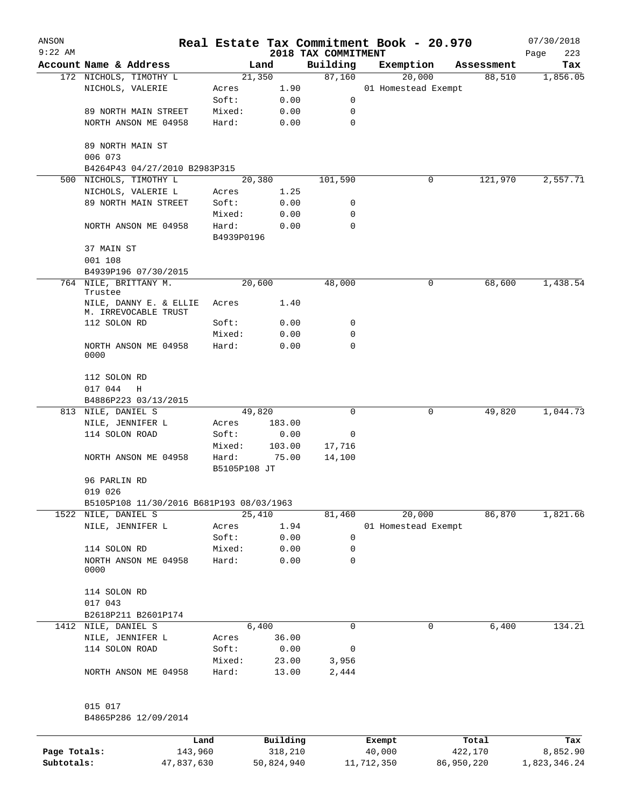| ANSON        |                                                |                     |          |                                 | Real Estate Tax Commitment Book - 20.970 |         |            | 07/30/2018         |
|--------------|------------------------------------------------|---------------------|----------|---------------------------------|------------------------------------------|---------|------------|--------------------|
| $9:22$ AM    | Account Name & Address                         |                     | Land     | 2018 TAX COMMITMENT<br>Building | Exemption                                |         | Assessment | 223<br>Page<br>Tax |
|              | 172 NICHOLS, TIMOTHY L                         |                     | 21,350   | 87,160                          | 20,000                                   |         | 88,510     | 1,856.05           |
|              | NICHOLS, VALERIE                               | Acres               | 1.90     |                                 | 01 Homestead Exempt                      |         |            |                    |
|              |                                                | Soft:               | 0.00     | 0                               |                                          |         |            |                    |
|              | 89 NORTH MAIN STREET                           | Mixed:              | 0.00     | 0                               |                                          |         |            |                    |
|              | NORTH ANSON ME 04958                           | Hard:               | 0.00     | $\mathbf 0$                     |                                          |         |            |                    |
|              | 89 NORTH MAIN ST<br>006 073                    |                     |          |                                 |                                          |         |            |                    |
|              | B4264P43 04/27/2010 B2983P315                  |                     |          |                                 |                                          |         |            |                    |
| 500          | NICHOLS, TIMOTHY L                             |                     | 20,380   | 101,590                         |                                          | 0       | 121,970    | 2,557.71           |
|              | NICHOLS, VALERIE L                             | Acres               | 1.25     |                                 |                                          |         |            |                    |
|              | 89 NORTH MAIN STREET                           | Soft:               | 0.00     | 0                               |                                          |         |            |                    |
|              |                                                | Mixed:              | 0.00     | 0                               |                                          |         |            |                    |
|              | NORTH ANSON ME 04958                           | Hard:<br>B4939P0196 | 0.00     | 0                               |                                          |         |            |                    |
|              | 37 MAIN ST                                     |                     |          |                                 |                                          |         |            |                    |
|              | 001 108                                        |                     |          |                                 |                                          |         |            |                    |
|              | B4939P196 07/30/2015                           |                     |          |                                 |                                          |         |            |                    |
|              | 764 NILE, BRITTANY M.<br>Trustee               |                     | 20,600   | 48,000                          |                                          | 0       | 68,600     | 1,438.54           |
|              | NILE, DANNY E. & ELLIE<br>M. IRREVOCABLE TRUST | Acres               | 1.40     |                                 |                                          |         |            |                    |
|              | 112 SOLON RD                                   | Soft:               | 0.00     | 0                               |                                          |         |            |                    |
|              |                                                | Mixed:              | 0.00     | 0                               |                                          |         |            |                    |
|              | NORTH ANSON ME 04958<br>0000                   | Hard:               | 0.00     | 0                               |                                          |         |            |                    |
|              | 112 SOLON RD<br>017 044<br>Н                   |                     |          |                                 |                                          |         |            |                    |
|              | B4886P223 03/13/2015                           |                     |          |                                 |                                          |         |            |                    |
|              | 813 NILE, DANIEL S                             |                     | 49,820   | 0                               |                                          | 0       | 49,820     | 1,044.73           |
|              | NILE, JENNIFER L                               | Acres               | 183.00   |                                 |                                          |         |            |                    |
|              | 114 SOLON ROAD                                 | Soft:               | 0.00     | 0                               |                                          |         |            |                    |
|              |                                                | Mixed:              | 103.00   | 17,716                          |                                          |         |            |                    |
|              | NORTH ANSON ME 04958                           | Hard:               | 75.00    | 14,100                          |                                          |         |            |                    |
|              |                                                | B5105P108 JT        |          |                                 |                                          |         |            |                    |
|              | 96 PARLIN RD<br>019 026                        |                     |          |                                 |                                          |         |            |                    |
|              | B5105P108 11/30/2016 B681P193 08/03/1963       |                     |          |                                 |                                          |         |            |                    |
|              | 1522 NILE, DANIEL S                            |                     | 25,410   | 81,460                          | 20,000                                   |         | 86,870     | 1,821.66           |
|              | NILE, JENNIFER L                               | Acres               | 1.94     |                                 | 01 Homestead Exempt                      |         |            |                    |
|              |                                                | Soft:               | 0.00     | 0                               |                                          |         |            |                    |
|              | 114 SOLON RD                                   | Mixed:              | 0.00     | 0                               |                                          |         |            |                    |
|              | NORTH ANSON ME 04958<br>0000                   | Hard:               | 0.00     | 0                               |                                          |         |            |                    |
|              | 114 SOLON RD                                   |                     |          |                                 |                                          |         |            |                    |
|              | 017 043                                        |                     |          |                                 |                                          |         |            |                    |
|              | B2618P211 B2601P174                            |                     |          |                                 |                                          |         |            |                    |
| 1412         | NILE, DANIEL S                                 |                     | 6,400    | 0                               |                                          | 0       | 6,400      | 134.21             |
|              | NILE, JENNIFER L                               | Acres               | 36.00    |                                 |                                          |         |            |                    |
|              | 114 SOLON ROAD                                 | Soft:               | 0.00     | 0                               |                                          |         |            |                    |
|              |                                                | Mixed:              | 23.00    | 3,956                           |                                          |         |            |                    |
|              | NORTH ANSON ME 04958                           | Hard:               | 13.00    | 2,444                           |                                          |         |            |                    |
|              | 015 017                                        |                     |          |                                 |                                          |         |            |                    |
|              | B4865P286 12/09/2014                           |                     |          |                                 |                                          |         |            |                    |
|              |                                                | Land                | Building |                                 | Exempt                                   |         | Total      | Tax                |
| Page Totals: | 143,960                                        |                     | 318,210  |                                 | 40,000                                   | 422,170 |            | 8,852.90           |

**Subtotals:** 47,837,630 50,824,940 11,712,350 86,950,220 1,823,346.24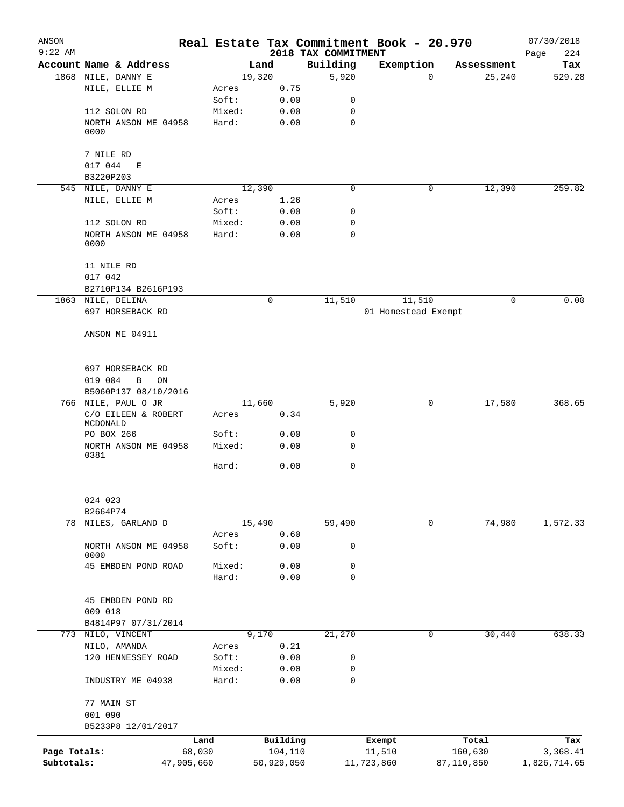| ANSON        |                                      |                 |                |                     | Real Estate Tax Commitment Book - 20.970 |                    | 07/30/2018   |
|--------------|--------------------------------------|-----------------|----------------|---------------------|------------------------------------------|--------------------|--------------|
| $9:22$ AM    |                                      |                 |                | 2018 TAX COMMITMENT |                                          |                    | 224<br>Page  |
|              | Account Name & Address               |                 | Land           | Building            | Exemption                                | Assessment         | Tax          |
|              | 1868 NILE, DANNY E                   |                 | 19,320         | 5,920               |                                          | $\Omega$<br>25,240 | 529.28       |
|              | NILE, ELLIE M                        | Acres<br>Soft:  | 0.75<br>0.00   | 0                   |                                          |                    |              |
|              |                                      |                 |                | 0                   |                                          |                    |              |
|              | 112 SOLON RD<br>NORTH ANSON ME 04958 | Mixed:<br>Hard: | 0.00<br>0.00   | 0                   |                                          |                    |              |
|              | 0000                                 |                 |                |                     |                                          |                    |              |
|              | 7 NILE RD                            |                 |                |                     |                                          |                    |              |
|              | 017 044 E                            |                 |                |                     |                                          |                    |              |
|              | B3220P203                            |                 |                |                     |                                          |                    |              |
|              | 545 NILE, DANNY E                    |                 | 12,390         | 0                   |                                          | 0<br>12,390        | 259.82       |
|              | NILE, ELLIE M                        | Acres           | 1.26           |                     |                                          |                    |              |
|              |                                      | Soft:           | 0.00           | 0                   |                                          |                    |              |
|              | 112 SOLON RD                         | Mixed:          | 0.00           | $\mathbf 0$         |                                          |                    |              |
|              | NORTH ANSON ME 04958<br>0000         | Hard:           | 0.00           | 0                   |                                          |                    |              |
|              | 11 NILE RD                           |                 |                |                     |                                          |                    |              |
|              | 017 042                              |                 |                |                     |                                          |                    |              |
|              | B2710P134 B2616P193                  |                 |                |                     |                                          |                    |              |
|              | 1863 NILE, DELINA                    |                 | 0              | 11,510              | 11,510                                   | 0                  | 0.00         |
|              | 697 HORSEBACK RD                     |                 |                |                     | 01 Homestead Exempt                      |                    |              |
|              | ANSON ME 04911                       |                 |                |                     |                                          |                    |              |
|              | 697 HORSEBACK RD                     |                 |                |                     |                                          |                    |              |
|              | 019 004<br>B<br>ON                   |                 |                |                     |                                          |                    |              |
|              | B5060P137 08/10/2016                 |                 |                |                     |                                          |                    |              |
|              | 766 NILE, PAUL O JR                  |                 | 11,660         | 5,920               |                                          | 17,580<br>0        | 368.65       |
|              | C/O EILEEN & ROBERT<br>MCDONALD      | Acres           | 0.34           |                     |                                          |                    |              |
|              | PO BOX 266                           | Soft:           | 0.00           | 0                   |                                          |                    |              |
|              | NORTH ANSON ME 04958<br>0381         | Mixed:          | 0.00           | 0                   |                                          |                    |              |
|              |                                      | Hard:           | 0.00           | $\mathbf 0$         |                                          |                    |              |
|              | 024 023                              |                 |                |                     |                                          |                    |              |
|              | B2664P74                             |                 |                |                     |                                          | $\mathbf 0$        |              |
| 78           | NILES, GARLAND D                     |                 | 15,490<br>0.60 | 59,490              |                                          | 74,980             | 1,572.33     |
|              | NORTH ANSON ME 04958                 | Acres<br>Soft:  | 0.00           | 0                   |                                          |                    |              |
|              | 0000                                 |                 |                |                     |                                          |                    |              |
|              | 45 EMBDEN POND ROAD                  | Mixed:          | 0.00           | 0                   |                                          |                    |              |
|              |                                      | Hard:           | 0.00           | $\mathbf 0$         |                                          |                    |              |
|              | 45 EMBDEN POND RD                    |                 |                |                     |                                          |                    |              |
|              | 009 018                              |                 |                |                     |                                          |                    |              |
|              | B4814P97 07/31/2014                  |                 |                |                     |                                          |                    |              |
|              | 773 NILO, VINCENT                    |                 | 9,170          | 21,270              |                                          | 0<br>30,440        | 638.33       |
|              | NILO, AMANDA                         | Acres           | 0.21           |                     |                                          |                    |              |
|              | 120 HENNESSEY ROAD                   | Soft:           | 0.00           | 0                   |                                          |                    |              |
|              |                                      | Mixed:          | 0.00           | 0                   |                                          |                    |              |
|              | INDUSTRY ME 04938                    | Hard:           | 0.00           | 0                   |                                          |                    |              |
|              | 77 MAIN ST<br>001 090                |                 |                |                     |                                          |                    |              |
|              | B5233P8 12/01/2017                   |                 |                |                     |                                          |                    |              |
|              |                                      | Land            | Building       |                     | Exempt                                   | Total              | Tax          |
| Page Totals: |                                      | 68,030          | 104,110        |                     | 11,510                                   | 160,630            | 3,368.41     |
| Subtotals:   | 47,905,660                           |                 | 50,929,050     |                     | 11,723,860                               | 87,110,850         | 1,826,714.65 |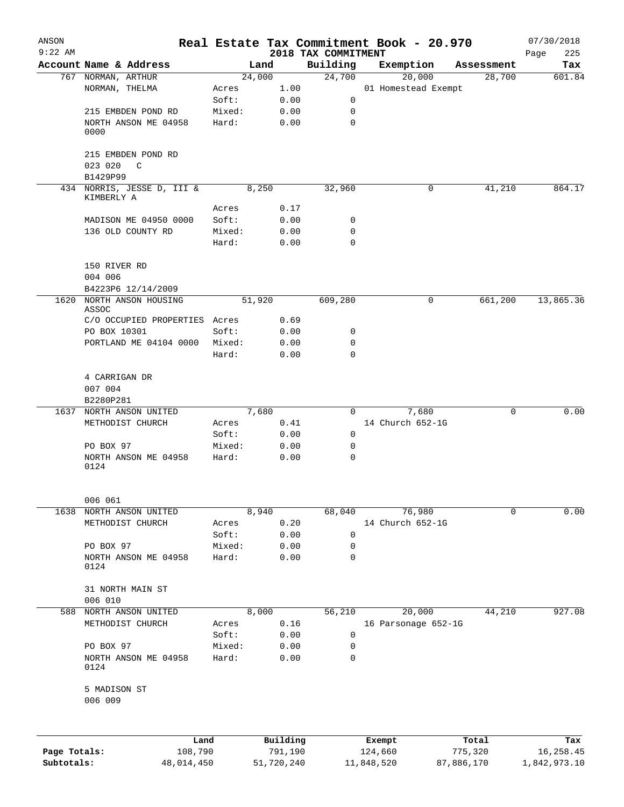| ANSON<br>$9:22$ AM         |                               |        |                       | 2018 TAX COMMITMENT | Real Estate Tax Commitment Book - 20.970 |                       | 07/30/2018<br>225<br>Page |
|----------------------------|-------------------------------|--------|-----------------------|---------------------|------------------------------------------|-----------------------|---------------------------|
|                            | Account Name & Address        |        | Land                  | Building            | Exemption                                | Assessment            | Tax                       |
|                            | 767 NORMAN, ARTHUR            |        | 24,000                | 24,700              | 20,000                                   | 28,700                | 601.84                    |
|                            | NORMAN, THELMA                | Acres  | 1.00                  |                     | 01 Homestead Exempt                      |                       |                           |
|                            |                               | Soft:  | 0.00                  | 0                   |                                          |                       |                           |
|                            | 215 EMBDEN POND RD            | Mixed: | 0.00                  | 0                   |                                          |                       |                           |
|                            | NORTH ANSON ME 04958<br>0000  | Hard:  | 0.00                  | $\mathbf 0$         |                                          |                       |                           |
|                            | 215 EMBDEN POND RD<br>023 020 |        |                       |                     |                                          |                       |                           |
|                            | C<br>B1429P99                 |        |                       |                     |                                          |                       |                           |
|                            | 434 NORRIS, JESSE D, III &    |        | 8,250                 | 32,960              | 0                                        | 41,210                | 864.17                    |
|                            | KIMBERLY A                    |        |                       |                     |                                          |                       |                           |
|                            |                               | Acres  | 0.17                  |                     |                                          |                       |                           |
|                            | MADISON ME 04950 0000         | Soft:  | 0.00                  | 0                   |                                          |                       |                           |
|                            | 136 OLD COUNTY RD             | Mixed: | 0.00                  | 0                   |                                          |                       |                           |
|                            |                               | Hard:  | 0.00                  | $\Omega$            |                                          |                       |                           |
|                            | 150 RIVER RD                  |        |                       |                     |                                          |                       |                           |
|                            | 004 006                       |        |                       |                     |                                          |                       |                           |
|                            | B4223P6 12/14/2009            |        |                       |                     |                                          |                       |                           |
| 1620                       | NORTH ANSON HOUSING<br>ASSOC  |        | 51,920                | 609,280             | 0                                        | 661,200               | 13,865.36                 |
|                            | C/O OCCUPIED PROPERTIES Acres |        | 0.69                  |                     |                                          |                       |                           |
|                            | PO BOX 10301                  | Soft:  | 0.00                  | 0                   |                                          |                       |                           |
|                            | PORTLAND ME 04104 0000        | Mixed: | 0.00                  | 0                   |                                          |                       |                           |
|                            |                               | Hard:  | 0.00                  | 0                   |                                          |                       |                           |
|                            | 4 CARRIGAN DR<br>007 004      |        |                       |                     |                                          |                       |                           |
|                            | B2280P281                     |        |                       |                     |                                          |                       |                           |
| 1637                       | NORTH ANSON UNITED            |        | 7,680                 | $\Omega$            | 7,680                                    | 0                     | 0.00                      |
|                            | METHODIST CHURCH              | Acres  | 0.41                  |                     | 14 Church 652-1G                         |                       |                           |
|                            |                               | Soft:  | 0.00                  | 0                   |                                          |                       |                           |
|                            | PO BOX 97                     | Mixed: | 0.00                  | 0                   |                                          |                       |                           |
|                            | NORTH ANSON ME 04958<br>0124  | Hard:  | 0.00                  | $\mathbf 0$         |                                          |                       |                           |
|                            | 006 061                       |        |                       |                     |                                          |                       |                           |
| 1638                       | NORTH ANSON UNITED            |        | 8,940                 | 68,040              | 76,980                                   | 0                     | 0.00                      |
|                            | METHODIST CHURCH              | Acres  | 0.20                  |                     | 14 Church 652-1G                         |                       |                           |
|                            |                               | Soft:  | 0.00                  | 0                   |                                          |                       |                           |
|                            | PO BOX 97                     | Mixed: | 0.00                  | 0                   |                                          |                       |                           |
|                            | NORTH ANSON ME 04958<br>0124  | Hard:  | 0.00                  | 0                   |                                          |                       |                           |
|                            | 31 NORTH MAIN ST<br>006 010   |        |                       |                     |                                          |                       |                           |
| 588                        | NORTH ANSON UNITED            |        | 8,000                 | 56,210              | 20,000                                   | 44,210                | 927.08                    |
|                            | METHODIST CHURCH              | Acres  | 0.16                  |                     | 16 Parsonage 652-1G                      |                       |                           |
|                            |                               | Soft:  | 0.00                  | $\mathsf 0$         |                                          |                       |                           |
|                            | PO BOX 97                     | Mixed: | 0.00                  | 0                   |                                          |                       |                           |
|                            | NORTH ANSON ME 04958<br>0124  | Hard:  | 0.00                  | $\mathbf 0$         |                                          |                       |                           |
|                            | 5 MADISON ST<br>006 009       |        |                       |                     |                                          |                       |                           |
|                            |                               |        |                       |                     |                                          |                       |                           |
|                            | Land                          |        | Building              |                     | Exempt                                   | Total                 | Tax                       |
| Page Totals:<br>Subtotals: | 108,790<br>48,014,450         |        | 791,190<br>51,720,240 |                     | 124,660<br>11,848,520                    | 775,320<br>87,886,170 | 16,258.45<br>1,842,973.10 |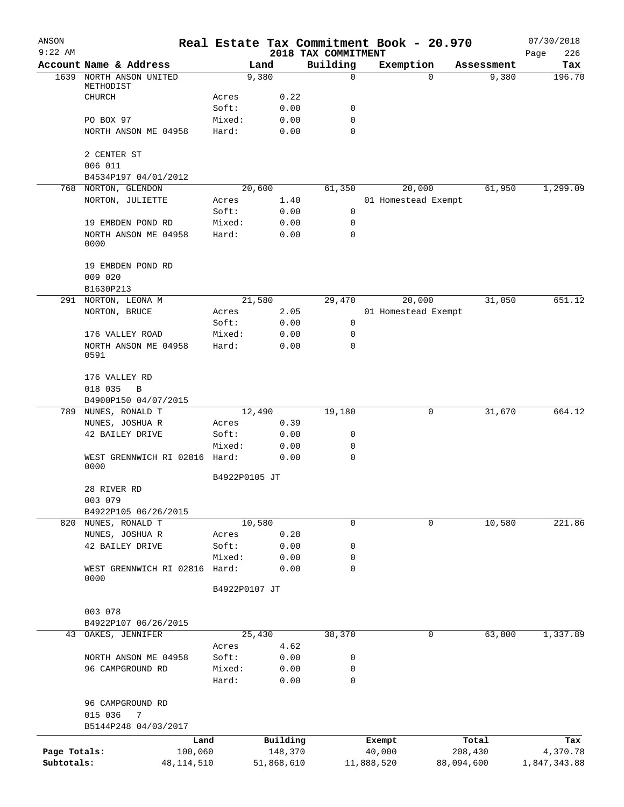| ANSON        |                                    |                 |              | Real Estate Tax Commitment Book - 20.970 |            |                     |            | 07/30/2018         |
|--------------|------------------------------------|-----------------|--------------|------------------------------------------|------------|---------------------|------------|--------------------|
| $9:22$ AM    | Account Name & Address             |                 | Land         | 2018 TAX COMMITMENT<br>Building          | Exemption  |                     | Assessment | 226<br>Page<br>Tax |
| 1639         | NORTH ANSON UNITED                 |                 | 9,380        | $\mathbf 0$                              |            | 0                   | 9,380      | 196.70             |
|              | METHODIST                          |                 |              |                                          |            |                     |            |                    |
|              | CHURCH                             | Acres           | 0.22         |                                          |            |                     |            |                    |
|              |                                    | Soft:           | 0.00         | 0                                        |            |                     |            |                    |
|              | PO BOX 97                          | Mixed:          | 0.00         | 0                                        |            |                     |            |                    |
|              | NORTH ANSON ME 04958               | Hard:           | 0.00         | 0                                        |            |                     |            |                    |
|              | 2 CENTER ST                        |                 |              |                                          |            |                     |            |                    |
|              | 006 011                            |                 |              |                                          |            |                     |            |                    |
|              | B4534P197 04/01/2012               |                 |              |                                          |            |                     |            |                    |
| 768          | NORTON, GLENDON                    |                 | 20,600       | 61,350                                   |            | 20,000              | 61,950     | 1,299.09           |
|              | NORTON, JULIETTE                   | Acres           | 1.40         |                                          |            | 01 Homestead Exempt |            |                    |
|              |                                    | Soft:           | 0.00         | $\mathbf 0$                              |            |                     |            |                    |
|              | 19 EMBDEN POND RD                  | Mixed:          | 0.00         | 0                                        |            |                     |            |                    |
|              | NORTH ANSON ME 04958<br>0000       | Hard:           | 0.00         | 0                                        |            |                     |            |                    |
|              | 19 EMBDEN POND RD                  |                 |              |                                          |            |                     |            |                    |
|              | 009 020                            |                 |              |                                          |            |                     |            |                    |
|              | B1630P213                          |                 |              |                                          |            |                     |            |                    |
|              | 291 NORTON, LEONA M                |                 | 21,580       | 29,470                                   |            | 20,000              | 31,050     | 651.12             |
|              | NORTON, BRUCE                      | Acres           | 2.05         |                                          |            | 01 Homestead Exempt |            |                    |
|              |                                    | Soft:           | 0.00         | $\mathbf 0$                              |            |                     |            |                    |
|              | 176 VALLEY ROAD                    | Mixed:          | 0.00         | 0                                        |            |                     |            |                    |
|              | NORTH ANSON ME 04958<br>0591       | Hard:           | 0.00         | 0                                        |            |                     |            |                    |
|              | 176 VALLEY RD                      |                 |              |                                          |            |                     |            |                    |
|              | 018 035<br>B                       |                 |              |                                          |            |                     |            |                    |
|              | B4900P150 04/07/2015               |                 |              |                                          |            |                     |            |                    |
| 789          | NUNES, RONALD T                    |                 | 12,490       | 19,180                                   |            | 0                   | 31,670     | 664.12             |
|              | NUNES, JOSHUA R<br>42 BAILEY DRIVE | Acres<br>Soft:  | 0.39<br>0.00 | 0                                        |            |                     |            |                    |
|              |                                    | Mixed:          | 0.00         | 0                                        |            |                     |            |                    |
|              | WEST GRENNWICH RI 02816            | Hard:           | 0.00         | $\mathbf 0$                              |            |                     |            |                    |
|              | 0000                               |                 |              |                                          |            |                     |            |                    |
|              |                                    | B4922P0105 JT   |              |                                          |            |                     |            |                    |
|              | 28 RIVER RD                        |                 |              |                                          |            |                     |            |                    |
|              | 003 079                            |                 |              |                                          |            |                     |            |                    |
|              | B4922P105 06/26/2015               |                 |              |                                          |            |                     |            |                    |
| 820          | NUNES, RONALD T                    |                 | 10,580       | 0                                        |            | 0                   | 10,580     | 221.86             |
|              | NUNES, JOSHUA R                    | Acres           | 0.28         |                                          |            |                     |            |                    |
|              | 42 BAILEY DRIVE                    | Soft:           | 0.00         | 0                                        |            |                     |            |                    |
|              |                                    | Mixed:          | 0.00         | 0                                        |            |                     |            |                    |
|              | WEST GRENNWICH RI 02816<br>0000    | Hard:           | 0.00         | 0                                        |            |                     |            |                    |
|              |                                    | B4922P0107 JT   |              |                                          |            |                     |            |                    |
|              | 003 078                            |                 |              |                                          |            |                     |            |                    |
|              | B4922P107 06/26/2015               |                 |              |                                          |            |                     |            |                    |
| 43           | OAKES, JENNIFER                    |                 | 25,430       | 38,370                                   |            | 0                   | 63,800     | 1,337.89           |
|              |                                    | Acres           | 4.62         |                                          |            |                     |            |                    |
|              | NORTH ANSON ME 04958               | Soft:           | 0.00         | 0                                        |            |                     |            |                    |
|              | 96 CAMPGROUND RD                   | Mixed:<br>Hard: | 0.00<br>0.00 | 0<br>0                                   |            |                     |            |                    |
|              | 96 CAMPGROUND RD                   |                 |              |                                          |            |                     |            |                    |
|              | 015 036<br>7                       |                 |              |                                          |            |                     |            |                    |
|              | B5144P248 04/03/2017               |                 |              |                                          |            |                     |            |                    |
|              | Land                               |                 | Building     |                                          | Exempt     |                     | Total      | Tax                |
| Page Totals: | 100,060                            |                 | 148,370      |                                          | 40,000     |                     | 208,430    | 4,370.78           |
| Subtotals:   | 48,114,510                         |                 | 51,868,610   |                                          | 11,888,520 |                     | 88,094,600 | 1,847,343.88       |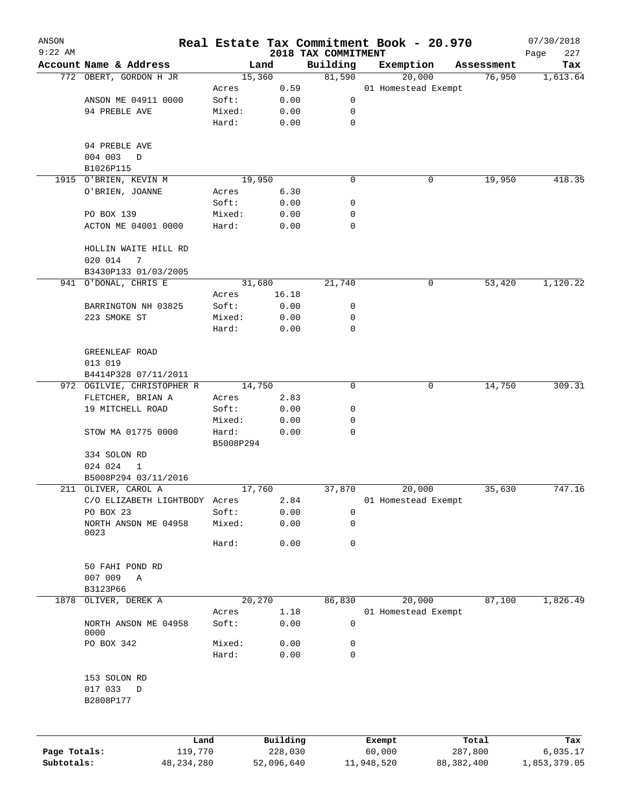| ANSON        |                               |              |           |                |                     | Real Estate Tax Commitment Book - 20.970 |                      | 07/30/2018      |
|--------------|-------------------------------|--------------|-----------|----------------|---------------------|------------------------------------------|----------------------|-----------------|
| $9:22$ AM    | Account Name & Address        |              |           |                | 2018 TAX COMMITMENT |                                          |                      | 227<br>Page     |
|              | 772 OBERT, GORDON H JR        |              |           | Land<br>15,360 | Building<br>81,590  | Exemption<br>20,000                      | Assessment<br>76,950 | Tax<br>1,613.64 |
|              |                               |              | Acres     | 0.59           |                     | 01 Homestead Exempt                      |                      |                 |
|              | ANSON ME 04911 0000           |              | Soft:     | 0.00           | 0                   |                                          |                      |                 |
|              | 94 PREBLE AVE                 |              | Mixed:    | 0.00           | 0                   |                                          |                      |                 |
|              |                               |              | Hard:     | 0.00           | 0                   |                                          |                      |                 |
|              |                               |              |           |                |                     |                                          |                      |                 |
|              | 94 PREBLE AVE                 |              |           |                |                     |                                          |                      |                 |
|              | 004 003<br>$\mathbf D$        |              |           |                |                     |                                          |                      |                 |
|              | B1026P115                     |              |           |                |                     |                                          |                      |                 |
|              | 1915 O'BRIEN, KEVIN M         |              |           | 19,950         | 0                   | 0                                        | 19,950               | 418.35          |
|              | O'BRIEN, JOANNE               |              | Acres     | 6.30           |                     |                                          |                      |                 |
|              |                               |              | Soft:     | 0.00           | 0                   |                                          |                      |                 |
|              | PO BOX 139                    |              | Mixed:    | 0.00           | 0                   |                                          |                      |                 |
|              | ACTON ME 04001 0000           |              | Hard:     | 0.00           | $\Omega$            |                                          |                      |                 |
|              |                               |              |           |                |                     |                                          |                      |                 |
|              | HOLLIN WAITE HILL RD          |              |           |                |                     |                                          |                      |                 |
|              | 020 014<br>7                  |              |           |                |                     |                                          |                      |                 |
|              | B3430P133 01/03/2005          |              |           |                |                     |                                          |                      |                 |
|              | 941 O'DONAL, CHRIS E          |              |           | 31,680         | 21,740              | 0                                        | 53,420               | 1,120.22        |
|              |                               |              | Acres     | 16.18          |                     |                                          |                      |                 |
|              | BARRINGTON NH 03825           |              | Soft:     | 0.00           | 0                   |                                          |                      |                 |
|              | 223 SMOKE ST                  |              | Mixed:    | 0.00           | 0                   |                                          |                      |                 |
|              |                               |              | Hard:     | 0.00           | 0                   |                                          |                      |                 |
|              |                               |              |           |                |                     |                                          |                      |                 |
|              | GREENLEAF ROAD                |              |           |                |                     |                                          |                      |                 |
|              | 013 019                       |              |           |                |                     |                                          |                      |                 |
|              | B4414P328 07/11/2011          |              |           |                |                     |                                          |                      |                 |
|              | 972 OGILVIE, CHRISTOPHER R    |              |           | 14,750         | 0                   | $\mathbf 0$                              | 14,750               | 309.31          |
|              | FLETCHER, BRIAN A             |              | Acres     | 2.83           |                     |                                          |                      |                 |
|              | 19 MITCHELL ROAD              |              | Soft:     | 0.00           | 0                   |                                          |                      |                 |
|              |                               |              | Mixed:    | 0.00           | 0                   |                                          |                      |                 |
|              | STOW MA 01775 0000            |              | Hard:     | 0.00           | 0                   |                                          |                      |                 |
|              |                               |              | B5008P294 |                |                     |                                          |                      |                 |
|              | 334 SOLON RD                  |              |           |                |                     |                                          |                      |                 |
|              | 024 024<br>1                  |              |           |                |                     |                                          |                      |                 |
|              | B5008P294 03/11/2016          |              |           |                |                     |                                          |                      |                 |
|              | 211 OLIVER, CAROL A           |              |           | 17,760         | 37,870              | 20,000                                   | 35,630               | 747.16          |
|              | C/O ELIZABETH LIGHTBODY Acres |              |           | 2.84           |                     | 01 Homestead Exempt                      |                      |                 |
|              | PO BOX 23                     |              | Soft:     | 0.00           | 0                   |                                          |                      |                 |
|              | NORTH ANSON ME 04958          |              | Mixed:    | 0.00           | 0                   |                                          |                      |                 |
|              | 0023                          |              |           |                |                     |                                          |                      |                 |
|              |                               |              | Hard:     | 0.00           | 0                   |                                          |                      |                 |
|              |                               |              |           |                |                     |                                          |                      |                 |
|              | 50 FAHI POND RD               |              |           |                |                     |                                          |                      |                 |
|              | 007 009<br>Α                  |              |           |                |                     |                                          |                      |                 |
|              | B3123P66                      |              |           |                |                     |                                          |                      |                 |
| 1878         | OLIVER, DEREK A               |              |           | 20,270         | 86,830              | 20,000                                   | 87,100               | 1,826.49        |
|              |                               |              | Acres     | 1.18           |                     | 01 Homestead Exempt                      |                      |                 |
|              | NORTH ANSON ME 04958          |              | Soft:     | 0.00           | 0                   |                                          |                      |                 |
|              | 0000                          |              |           |                |                     |                                          |                      |                 |
|              | PO BOX 342                    |              | Mixed:    | 0.00           | 0                   |                                          |                      |                 |
|              |                               |              | Hard:     | 0.00           | 0                   |                                          |                      |                 |
|              |                               |              |           |                |                     |                                          |                      |                 |
|              | 153 SOLON RD                  |              |           |                |                     |                                          |                      |                 |
|              | 017 033<br>$\mathbb D$        |              |           |                |                     |                                          |                      |                 |
|              | B2808P177                     |              |           |                |                     |                                          |                      |                 |
|              |                               |              |           |                |                     |                                          |                      |                 |
|              |                               |              |           |                |                     |                                          |                      |                 |
|              |                               | Land         |           | Building       |                     | Exempt                                   | Total                | Tax             |
| Page Totals: |                               | 119,770      |           | 228,030        |                     | 60,000                                   | 287,800              | 6,035.17        |
| Subtotals:   |                               | 48, 234, 280 |           | 52,096,640     |                     | 11,948,520                               | 88, 382, 400         | 1,853,379.05    |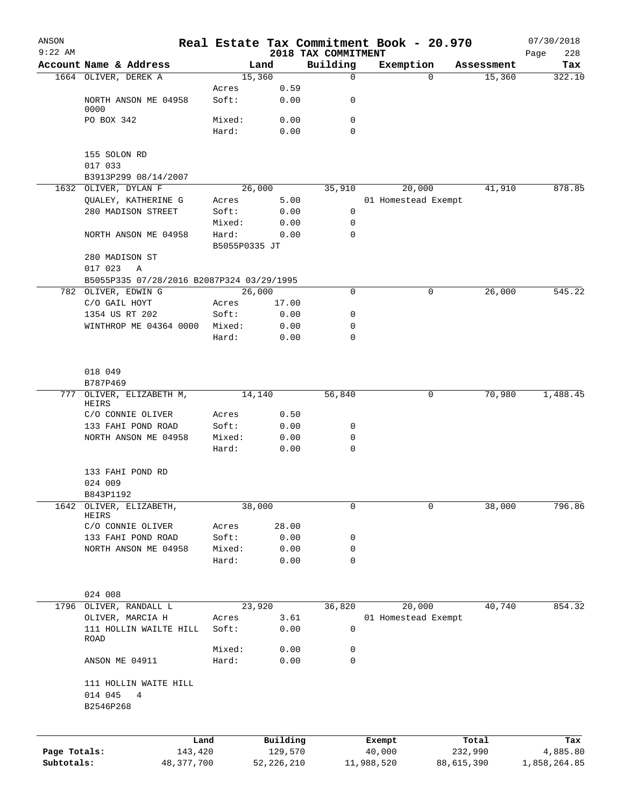| ANSON        |                                           |               |                |                         | Real Estate Tax Commitment Book - 20.970 |            |                      | 07/30/2018    |
|--------------|-------------------------------------------|---------------|----------------|-------------------------|------------------------------------------|------------|----------------------|---------------|
| $9:22$ AM    | Account Name & Address                    |               |                | 2018 TAX COMMITMENT     |                                          |            |                      | 228<br>Page   |
|              | 1664 OLIVER, DEREK A                      |               | Land<br>15,360 | Building<br>$\mathbf 0$ | Exemption                                | 0          | Assessment<br>15,360 | Tax<br>322.10 |
|              |                                           | Acres         | 0.59           |                         |                                          |            |                      |               |
|              | NORTH ANSON ME 04958<br>0000              | Soft:         | 0.00           | 0                       |                                          |            |                      |               |
|              | PO BOX 342                                | Mixed:        | 0.00           | 0                       |                                          |            |                      |               |
|              |                                           | Hard:         | 0.00           | 0                       |                                          |            |                      |               |
|              | 155 SOLON RD                              |               |                |                         |                                          |            |                      |               |
|              | 017 033                                   |               |                |                         |                                          |            |                      |               |
|              | B3913P299 08/14/2007                      |               |                |                         |                                          |            |                      |               |
|              | 1632 OLIVER, DYLAN F                      |               | 26,000         | 35,910                  | 20,000                                   |            | 41,910               | 878.85        |
|              | QUALEY, KATHERINE G                       | Acres         | 5.00           |                         | 01 Homestead Exempt                      |            |                      |               |
|              | 280 MADISON STREET                        | Soft:         | 0.00           | 0                       |                                          |            |                      |               |
|              |                                           | Mixed:        | 0.00           | 0                       |                                          |            |                      |               |
|              | NORTH ANSON ME 04958                      | Hard:         | 0.00           | 0                       |                                          |            |                      |               |
|              |                                           | B5055P0335 JT |                |                         |                                          |            |                      |               |
|              | 280 MADISON ST                            |               |                |                         |                                          |            |                      |               |
|              | 017 023<br>Α                              |               |                |                         |                                          |            |                      |               |
|              | B5055P335 07/28/2016 B2087P324 03/29/1995 |               |                |                         |                                          |            |                      |               |
|              | 782 OLIVER, EDWIN G                       |               | 26,000         | $\mathbf 0$             |                                          | 0          | 26,000               | 545.22        |
|              | C/O GAIL HOYT                             | Acres         | 17.00          |                         |                                          |            |                      |               |
|              | 1354 US RT 202                            | Soft:         | 0.00           | 0                       |                                          |            |                      |               |
|              |                                           |               |                | 0                       |                                          |            |                      |               |
|              | WINTHROP ME 04364 0000                    | Mixed:        | 0.00           |                         |                                          |            |                      |               |
|              |                                           | Hard:         | 0.00           | 0                       |                                          |            |                      |               |
|              | 018 049                                   |               |                |                         |                                          |            |                      |               |
|              | B787P469                                  |               |                |                         |                                          |            |                      |               |
| 777          | OLIVER, ELIZABETH M,<br>HEIRS             |               | 14,140         | 56,840                  |                                          | 0          | 70,980               | 1,488.45      |
|              | C/O CONNIE OLIVER                         | Acres         | 0.50           |                         |                                          |            |                      |               |
|              | 133 FAHI POND ROAD                        | Soft:         | 0.00           | 0                       |                                          |            |                      |               |
|              | NORTH ANSON ME 04958                      | Mixed:        | 0.00           | 0                       |                                          |            |                      |               |
|              |                                           | Hard:         | 0.00           | 0                       |                                          |            |                      |               |
|              | 133 FAHI POND RD                          |               |                |                         |                                          |            |                      |               |
|              | 024 009                                   |               |                |                         |                                          |            |                      |               |
|              | B843P1192                                 |               |                |                         |                                          |            |                      |               |
| 1642         | OLIVER, ELIZABETH,<br>HEIRS               |               | 38,000         | 0                       |                                          | 0          | 38,000               | 796.86        |
|              | C/O CONNIE OLIVER                         | Acres         | 28.00          |                         |                                          |            |                      |               |
|              | 133 FAHI POND ROAD                        | Soft:         | 0.00           | 0                       |                                          |            |                      |               |
|              | NORTH ANSON ME 04958                      | Mixed:        | 0.00           | 0                       |                                          |            |                      |               |
|              |                                           | Hard:         | 0.00           | 0                       |                                          |            |                      |               |
|              | 024 008                                   |               |                |                         |                                          |            |                      |               |
| 1796         | OLIVER, RANDALL L                         |               | 23,920         | 36,820                  | 20,000                                   |            | 40,740               | 854.32        |
|              | OLIVER, MARCIA H                          | Acres         | 3.61           |                         | 01 Homestead Exempt                      |            |                      |               |
|              | 111 HOLLIN WAILTE HILL                    | Soft:         | 0.00           | 0                       |                                          |            |                      |               |
|              | ROAD                                      |               |                |                         |                                          |            |                      |               |
|              |                                           | Mixed:        | 0.00           | 0                       |                                          |            |                      |               |
|              | ANSON ME 04911                            | Hard:         | 0.00           | $\mathbf 0$             |                                          |            |                      |               |
|              | 111 HOLLIN WAITE HILL                     |               |                |                         |                                          |            |                      |               |
|              | 014 045<br>4<br>B2546P268                 |               |                |                         |                                          |            |                      |               |
|              |                                           |               |                |                         |                                          |            |                      |               |
|              | Land                                      |               | Building       |                         | Exempt                                   |            | Total                | Tax           |
| Page Totals: | 143,420                                   |               | 129,570        |                         | 40,000                                   |            | 232,990              | 4,885.80      |
| Subtotals:   | 48, 377, 700                              |               | 52, 226, 210   |                         | 11,988,520                               | 88,615,390 |                      | 1,858,264.85  |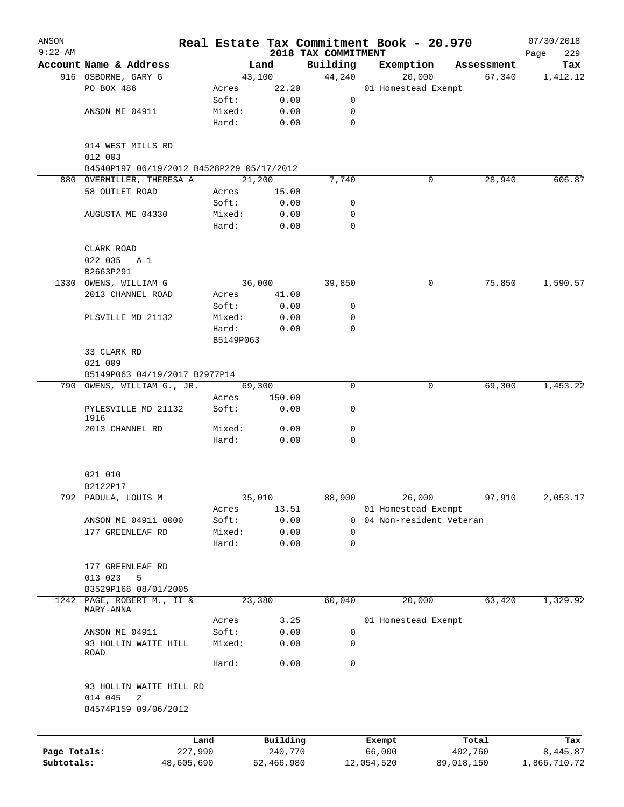| ANSON<br>$9:22$ AM |                                           |                |               |                                 | Real Estate Tax Commitment Book - 20.970 |            | 07/30/2018         |
|--------------------|-------------------------------------------|----------------|---------------|---------------------------------|------------------------------------------|------------|--------------------|
|                    | Account Name & Address                    |                | Land          | 2018 TAX COMMITMENT<br>Building | Exemption                                | Assessment | 229<br>Page<br>Tax |
|                    | 916 OSBORNE, GARY G                       |                | 43,100        | 44,240                          | 20,000                                   | 67,340     | 1,412.12           |
|                    | PO BOX 486                                | Acres          | 22.20         |                                 | 01 Homestead Exempt                      |            |                    |
|                    |                                           | Soft:          | 0.00          | 0                               |                                          |            |                    |
|                    | ANSON ME 04911                            | Mixed:         | 0.00          | 0                               |                                          |            |                    |
|                    |                                           | Hard:          | 0.00          | 0                               |                                          |            |                    |
|                    | 914 WEST MILLS RD<br>012 003              |                |               |                                 |                                          |            |                    |
|                    | B4540P197 06/19/2012 B4528P229 05/17/2012 |                |               |                                 |                                          |            |                    |
|                    | 880 OVERMILLER, THERESA A                 |                | 21,200        | 7,740                           | 0                                        | 28,940     | 606.87             |
|                    | 58 OUTLET ROAD                            | Acres<br>Soft: | 15.00<br>0.00 | 0                               |                                          |            |                    |
|                    | AUGUSTA ME 04330                          | Mixed:         | 0.00          | 0                               |                                          |            |                    |
|                    |                                           | Hard:          | 0.00          | 0                               |                                          |            |                    |
|                    | CLARK ROAD                                |                |               |                                 |                                          |            |                    |
|                    | 022 035 A 1<br>B2663P291                  |                |               |                                 |                                          |            |                    |
|                    | 1330 OWENS, WILLIAM G                     |                | 36,000        | 39,850                          | 0                                        | 75,850     | 1,590.57           |
|                    | 2013 CHANNEL ROAD                         | Acres          | 41.00         |                                 |                                          |            |                    |
|                    |                                           | Soft:          | 0.00          | 0                               |                                          |            |                    |
|                    | PLSVILLE MD 21132                         | Mixed:         | 0.00          | 0                               |                                          |            |                    |
|                    |                                           | Hard:          | 0.00          | $\mathbf 0$                     |                                          |            |                    |
|                    | 33 CLARK RD                               | B5149P063      |               |                                 |                                          |            |                    |
|                    | 021 009                                   |                |               |                                 |                                          |            |                    |
|                    | B5149P063 04/19/2017 B2977P14             |                |               |                                 |                                          |            |                    |
|                    | 790 OWENS, WILLIAM G., JR.                |                | 69,300        | 0                               | 0                                        | 69,300     | 1,453.22           |
|                    |                                           | Acres          | 150.00        |                                 |                                          |            |                    |
|                    | PYLESVILLE MD 21132<br>1916               | Soft:          | 0.00          | 0                               |                                          |            |                    |
|                    | 2013 CHANNEL RD                           | Mixed:         | 0.00          | 0                               |                                          |            |                    |
|                    |                                           | Hard:          | 0.00          | $\mathbf 0$                     |                                          |            |                    |
|                    | 021 010                                   |                |               |                                 |                                          |            |                    |
|                    | B2122P17                                  |                |               |                                 |                                          |            |                    |
|                    | 792 PADULA, LOUIS M                       |                | 35,010        | 88,900                          | 26,000                                   | 97,910     | 2,053.17           |
|                    |                                           | Acres          | 13.51         |                                 | 01 Homestead Exempt                      |            |                    |
|                    | ANSON ME 04911 0000                       | Soft:          | 0.00          | 0                               | 04 Non-resident Veteran                  |            |                    |
|                    | 177 GREENLEAF RD                          | Mixed:         | 0.00          | 0                               |                                          |            |                    |
|                    |                                           | Hard:          | 0.00          | 0                               |                                          |            |                    |
|                    | 177 GREENLEAF RD                          |                |               |                                 |                                          |            |                    |
|                    | 013 023<br>5                              |                |               |                                 |                                          |            |                    |
|                    | B3529P168 08/01/2005                      |                |               |                                 |                                          |            |                    |
|                    | 1242 PAGE, ROBERT M., II &<br>MARY-ANNA   |                | 23,380        | 60,040                          | 20,000                                   | 63,420     | 1,329.92           |
|                    |                                           | Acres          | 3.25          |                                 | 01 Homestead Exempt                      |            |                    |
|                    | ANSON ME 04911                            | Soft:          | 0.00          | 0                               |                                          |            |                    |
|                    | 93 HOLLIN WAITE HILL<br>ROAD              | Mixed:         | 0.00          | 0                               |                                          |            |                    |
|                    |                                           | Hard:          | 0.00          | $\mathbf 0$                     |                                          |            |                    |
|                    | 93 HOLLIN WAITE HILL RD                   |                |               |                                 |                                          |            |                    |
|                    | 014 045<br>2                              |                |               |                                 |                                          |            |                    |
|                    | B4574P159 09/06/2012                      |                |               |                                 |                                          |            |                    |
|                    |                                           | Land           | Building      |                                 | Exempt                                   | Total      | Tax                |
| Page Totals:       |                                           | 227,990        | 240,770       |                                 | 66,000                                   | 402,760    | 8,445.87           |
| Subtotals:         |                                           | 48,605,690     | 52,466,980    |                                 | 12,054,520                               | 89,018,150 | 1,866,710.72       |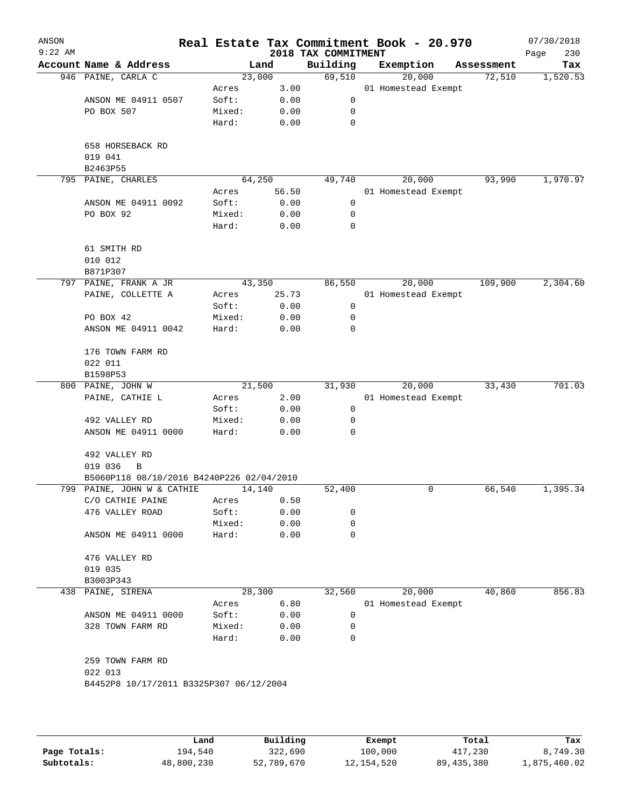| ANSON<br>$9:22$ AM |                                           |                 |              | 2018 TAX COMMITMENT | Real Estate Tax Commitment Book - 20.970 |            | 07/30/2018<br>230<br>Page |
|--------------------|-------------------------------------------|-----------------|--------------|---------------------|------------------------------------------|------------|---------------------------|
|                    | Account Name & Address                    |                 | Land         | Building            | Exemption                                | Assessment | Tax                       |
|                    | 946 PAINE, CARLA C                        | 23,000          |              | 69,510              | 20,000                                   | 72,510     | 1,520.53                  |
|                    |                                           | Acres           | 3.00         |                     | 01 Homestead Exempt                      |            |                           |
|                    | ANSON ME 04911 0507                       | Soft:           | 0.00         | 0                   |                                          |            |                           |
|                    | PO BOX 507                                | Mixed:          | 0.00         | 0                   |                                          |            |                           |
|                    |                                           | Hard:           | 0.00         | $\mathbf 0$         |                                          |            |                           |
|                    | 658 HORSEBACK RD                          |                 |              |                     |                                          |            |                           |
|                    | 019 041                                   |                 |              |                     |                                          |            |                           |
|                    | B2463P55                                  | 64,250          |              |                     | 20,000                                   |            | 1,970.97                  |
|                    | 795 PAINE, CHARLES                        | Acres           | 56.50        | 49,740              | 01 Homestead Exempt                      | 93,990     |                           |
|                    |                                           | Soft:           |              |                     |                                          |            |                           |
|                    | ANSON ME 04911 0092                       |                 | 0.00         | 0                   |                                          |            |                           |
|                    | PO BOX 92                                 | Mixed:<br>Hard: | 0.00<br>0.00 | 0<br>0              |                                          |            |                           |
|                    |                                           |                 |              |                     |                                          |            |                           |
|                    | 61 SMITH RD                               |                 |              |                     |                                          |            |                           |
|                    | 010 012                                   |                 |              |                     |                                          |            |                           |
|                    | B871P307                                  |                 |              |                     |                                          |            |                           |
|                    | 797 PAINE, FRANK A JR                     | 43,350          |              | 86,550              | 20,000                                   | 109,900    | 2,304.60                  |
|                    | PAINE, COLLETTE A                         | Acres           | 25.73        |                     | 01 Homestead Exempt                      |            |                           |
|                    |                                           | Soft:           | 0.00         | 0                   |                                          |            |                           |
|                    | PO BOX 42                                 | Mixed:          | 0.00         | 0                   |                                          |            |                           |
|                    | ANSON ME 04911 0042                       | Hard:           | 0.00         | 0                   |                                          |            |                           |
|                    | 176 TOWN FARM RD                          |                 |              |                     |                                          |            |                           |
|                    | 022 011                                   |                 |              |                     |                                          |            |                           |
|                    | B1598P53                                  |                 |              |                     |                                          |            |                           |
|                    | 800 PAINE, JOHN W                         | 21,500          |              | 31,930              | 20,000                                   | 33,430     | 701.03                    |
|                    | PAINE, CATHIE L                           | Acres           | 2.00         |                     | 01 Homestead Exempt                      |            |                           |
|                    |                                           | Soft:           | 0.00         | 0                   |                                          |            |                           |
|                    | 492 VALLEY RD                             | Mixed:          | 0.00         | 0                   |                                          |            |                           |
|                    | ANSON ME 04911 0000                       | Hard:           | 0.00         | 0                   |                                          |            |                           |
|                    | 492 VALLEY RD                             |                 |              |                     |                                          |            |                           |
|                    | 019 036<br>B                              |                 |              |                     |                                          |            |                           |
|                    | B5060P118 08/10/2016 B4240P226 02/04/2010 |                 |              |                     |                                          |            |                           |
|                    | 799 PAINE, JOHN W & CATHIE                | 14,140          |              | 52,400              | 0                                        | 66,540     | 1,395.34                  |
|                    | C/O CATHIE PAINE                          | Acres           | 0.50         |                     |                                          |            |                           |
|                    | 476 VALLEY ROAD                           | Soft:           | 0.00         | 0                   |                                          |            |                           |
|                    |                                           | Mixed:          | 0.00         | 0                   |                                          |            |                           |
|                    | ANSON ME 04911 0000                       | Hard:           | 0.00         | 0                   |                                          |            |                           |
|                    | 476 VALLEY RD                             |                 |              |                     |                                          |            |                           |
|                    | 019 035                                   |                 |              |                     |                                          |            |                           |
|                    | B3003P343                                 |                 |              |                     |                                          |            |                           |
| 438                | PAINE, SIRENA                             | 28,300          |              | 32,560              | 20,000                                   | 40,860     | 856.83                    |
|                    |                                           | Acres           | 6.80         |                     | 01 Homestead Exempt                      |            |                           |
|                    | ANSON ME 04911 0000                       | Soft:           | 0.00         | 0                   |                                          |            |                           |
|                    | 328 TOWN FARM RD                          | Mixed:          | 0.00         | 0                   |                                          |            |                           |
|                    |                                           | Hard:           | 0.00         | 0                   |                                          |            |                           |
|                    | 259 TOWN FARM RD                          |                 |              |                     |                                          |            |                           |
|                    | 022 013                                   |                 |              |                     |                                          |            |                           |
|                    |                                           |                 |              |                     |                                          |            |                           |
|                    | B4452P8 10/17/2011 B3325P307 06/12/2004   |                 |              |                     |                                          |            |                           |
|                    |                                           |                 |              |                     |                                          |            |                           |
|                    |                                           |                 |              |                     |                                          |            |                           |
|                    |                                           |                 |              |                     |                                          |            |                           |

|              | Land       | Building   | Exempt       | Total      | Tax          |
|--------------|------------|------------|--------------|------------|--------------|
| Page Totals: | 194,540    | 322,690    | 100,000      | 417,230    | 8,749.30     |
| Subtotals:   | 48,800,230 | 52,789,670 | 12, 154, 520 | 89,435,380 | 1,875,460.02 |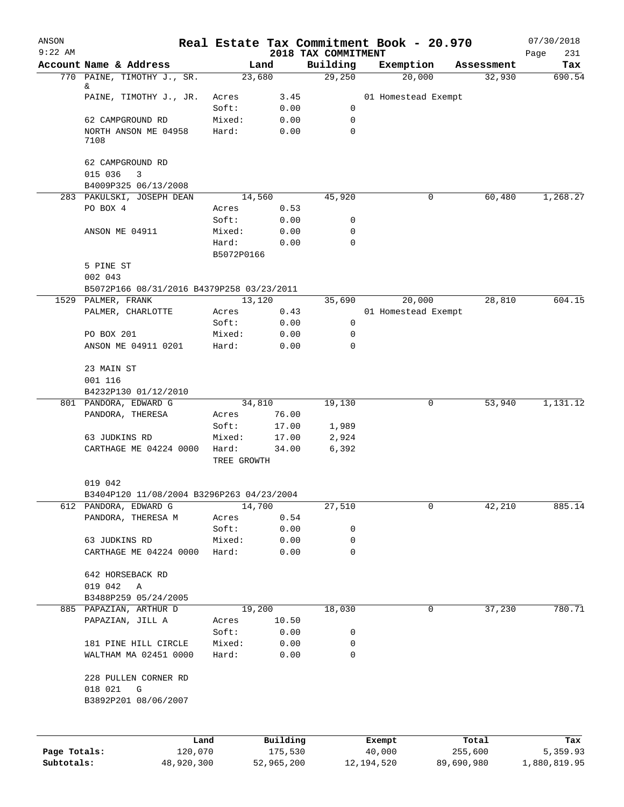| ANSON        |                                                      |                      |              |                                 | Real Estate Tax Commitment Book - 20.970 |            |            | 07/30/2018         |
|--------------|------------------------------------------------------|----------------------|--------------|---------------------------------|------------------------------------------|------------|------------|--------------------|
| $9:22$ AM    | Account Name & Address                               |                      | Land         | 2018 TAX COMMITMENT<br>Building | Exemption                                |            | Assessment | 231<br>Page<br>Tax |
|              | 770 PAINE, TIMOTHY J., SR.                           |                      | 23,680       | 29,250                          | 20,000                                   |            | 32,930     | 690.54             |
|              | &                                                    |                      |              |                                 |                                          |            |            |                    |
|              | PAINE, TIMOTHY J., JR.                               | Acres<br>Soft:       | 3.45<br>0.00 | 0                               | 01 Homestead Exempt                      |            |            |                    |
|              | 62 CAMPGROUND RD                                     | Mixed:               | 0.00         | 0                               |                                          |            |            |                    |
|              | NORTH ANSON ME 04958                                 | Hard:                | 0.00         | $\mathbf 0$                     |                                          |            |            |                    |
|              | 7108                                                 |                      |              |                                 |                                          |            |            |                    |
|              | 62 CAMPGROUND RD<br>015 036<br>3                     |                      |              |                                 |                                          |            |            |                    |
|              | B4009P325 06/13/2008                                 |                      |              |                                 |                                          |            |            |                    |
|              | 283 PAKULSKI, JOSEPH DEAN                            |                      | 14,560       | 45,920                          |                                          | 0          | 60,480     | 1,268.27           |
|              | PO BOX 4                                             | Acres                | 0.53         |                                 |                                          |            |            |                    |
|              |                                                      | Soft:                | 0.00         | 0                               |                                          |            |            |                    |
|              | ANSON ME 04911                                       | Mixed:               | 0.00         | 0                               |                                          |            |            |                    |
|              |                                                      | Hard:<br>B5072P0166  | 0.00         | $\mathbf 0$                     |                                          |            |            |                    |
|              | 5 PINE ST                                            |                      |              |                                 |                                          |            |            |                    |
|              | 002 043                                              |                      |              |                                 |                                          |            |            |                    |
|              | B5072P166 08/31/2016 B4379P258 03/23/2011            |                      |              |                                 |                                          |            |            |                    |
|              | 1529 PALMER, FRANK                                   |                      | 13,120       | 35,690                          | 20,000                                   |            | 28,810     | 604.15             |
|              | PALMER, CHARLOTTE                                    | Acres                | 0.43         |                                 | 01 Homestead Exempt                      |            |            |                    |
|              |                                                      | Soft:                | 0.00         | 0                               |                                          |            |            |                    |
|              | PO BOX 201                                           | Mixed:               | 0.00         | $\mathbf 0$                     |                                          |            |            |                    |
|              | ANSON ME 04911 0201                                  | Hard:                | 0.00         | $\mathbf 0$                     |                                          |            |            |                    |
|              | 23 MAIN ST                                           |                      |              |                                 |                                          |            |            |                    |
|              | 001 116                                              |                      |              |                                 |                                          |            |            |                    |
|              | B4232P130 01/12/2010                                 |                      |              |                                 |                                          |            |            |                    |
|              | 801 PANDORA, EDWARD G                                |                      | 34,810       | 19,130                          |                                          | 0          | 53,940     | 1,131.12           |
|              | PANDORA, THERESA                                     | Acres                | 76.00        |                                 |                                          |            |            |                    |
|              |                                                      | Soft:                | 17.00        | 1,989                           |                                          |            |            |                    |
|              | 63 JUDKINS RD                                        | Mixed:               | 17.00        | 2,924                           |                                          |            |            |                    |
|              | CARTHAGE ME 04224 0000                               | Hard:<br>TREE GROWTH | 34.00        | 6,392                           |                                          |            |            |                    |
|              |                                                      |                      |              |                                 |                                          |            |            |                    |
|              | 019 042<br>B3404P120 11/08/2004 B3296P263 04/23/2004 |                      |              |                                 |                                          |            |            |                    |
|              | 612 PANDORA, EDWARD G                                |                      | 14,700       | 27,510                          |                                          | 0          | 42,210     | 885.14             |
|              | PANDORA, THERESA M                                   | Acres                | 0.54         |                                 |                                          |            |            |                    |
|              |                                                      | Soft:                | 0.00         | 0                               |                                          |            |            |                    |
|              | 63 JUDKINS RD                                        | Mixed:               | 0.00         | $\mathbf 0$                     |                                          |            |            |                    |
|              | CARTHAGE ME 04224 0000                               | Hard:                | 0.00         | $\mathbf 0$                     |                                          |            |            |                    |
|              |                                                      |                      |              |                                 |                                          |            |            |                    |
|              | 642 HORSEBACK RD<br>019 042<br>A                     |                      |              |                                 |                                          |            |            |                    |
|              | B3488P259 05/24/2005                                 |                      |              |                                 |                                          |            |            |                    |
|              | 885 PAPAZIAN, ARTHUR D                               |                      | 19,200       | 18,030                          |                                          | 0          | 37,230     | 780.71             |
|              | PAPAZIAN, JILL A                                     | Acres                | 10.50        |                                 |                                          |            |            |                    |
|              |                                                      | Soft:                | 0.00         | 0                               |                                          |            |            |                    |
|              | 181 PINE HILL CIRCLE                                 | Mixed:               | 0.00         | 0                               |                                          |            |            |                    |
|              | WALTHAM MA 02451 0000                                | Hard:                | 0.00         | 0                               |                                          |            |            |                    |
|              | 228 PULLEN CORNER RD                                 |                      |              |                                 |                                          |            |            |                    |
|              | 018 021<br>G                                         |                      |              |                                 |                                          |            |            |                    |
|              | B3892P201 08/06/2007                                 |                      |              |                                 |                                          |            |            |                    |
|              |                                                      |                      |              |                                 |                                          |            |            |                    |
|              |                                                      | Land                 | Building     |                                 | Exempt                                   |            | Total      | Tax                |
| Page Totals: | 120,070                                              |                      | 175,530      |                                 | 40,000                                   |            | 255,600    | 5,359.93           |
| Subtotals:   | 48,920,300                                           |                      | 52,965,200   |                                 | 12, 194, 520                             | 89,690,980 |            | 1,880,819.95       |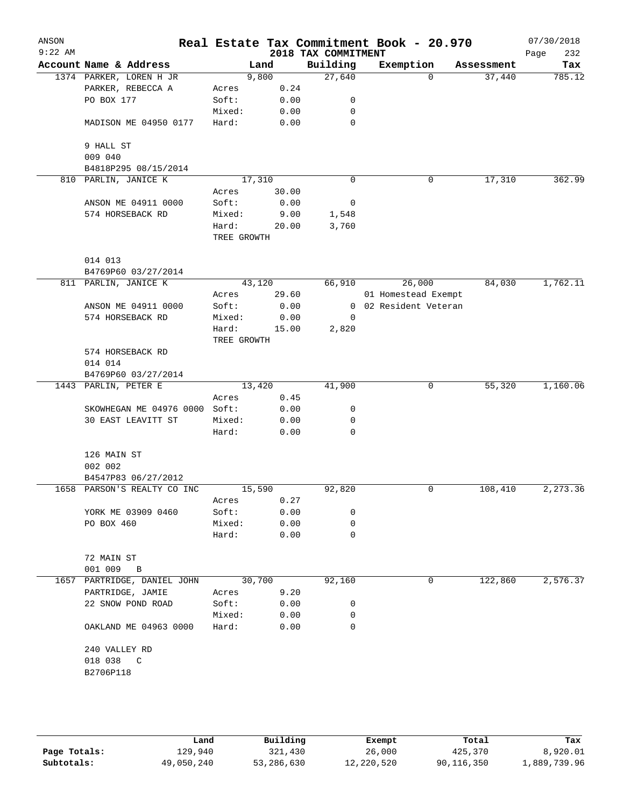| ANSON<br>$9:22$ AM |                                             |                      |        | 2018 TAX COMMITMENT | Real Estate Tax Commitment Book - 20.970 |            | 07/30/2018<br>232<br>Page |
|--------------------|---------------------------------------------|----------------------|--------|---------------------|------------------------------------------|------------|---------------------------|
|                    | Account Name & Address                      |                      | Land   | Building            | Exemption                                | Assessment | Tax                       |
|                    | 1374 PARKER, LOREN H JR                     |                      | 9,800  | 27,640              | $\Omega$                                 | 37,440     | 785.12                    |
|                    | PARKER, REBECCA A                           | Acres                | 0.24   |                     |                                          |            |                           |
|                    | PO BOX 177                                  | Soft:                | 0.00   | 0                   |                                          |            |                           |
|                    |                                             | Mixed:               | 0.00   | 0                   |                                          |            |                           |
|                    | MADISON ME 04950 0177                       | Hard:                | 0.00   | $\mathbf 0$         |                                          |            |                           |
|                    | 9 HALL ST                                   |                      |        |                     |                                          |            |                           |
|                    | 009 040                                     |                      |        |                     |                                          |            |                           |
|                    | B4818P295 08/15/2014                        |                      |        |                     |                                          |            |                           |
| 810                | PARLIN, JANICE K                            |                      | 17,310 | $\mathbf 0$         | 0                                        | 17,310     | 362.99                    |
|                    |                                             | Acres                | 30.00  |                     |                                          |            |                           |
|                    | ANSON ME 04911 0000                         | Soft:                | 0.00   | 0                   |                                          |            |                           |
|                    | 574 HORSEBACK RD                            | Mixed:               | 9.00   | 1,548               |                                          |            |                           |
|                    |                                             | Hard:<br>TREE GROWTH | 20.00  | 3,760               |                                          |            |                           |
|                    |                                             |                      |        |                     |                                          |            |                           |
|                    | 014 013                                     |                      |        |                     |                                          |            |                           |
|                    | B4769P60 03/27/2014<br>811 PARLIN, JANICE K |                      | 43,120 | 66,910              | 26,000                                   | 84,030     | 1,762.11                  |
|                    |                                             | Acres                | 29.60  |                     | 01 Homestead Exempt                      |            |                           |
|                    | ANSON ME 04911 0000                         | Soft:                | 0.00   | $\mathbf{0}$        | 02 Resident Veteran                      |            |                           |
|                    | 574 HORSEBACK RD                            | Mixed:               | 0.00   | 0                   |                                          |            |                           |
|                    |                                             | Hard:                | 15.00  | 2,820               |                                          |            |                           |
|                    |                                             | TREE GROWTH          |        |                     |                                          |            |                           |
|                    | 574 HORSEBACK RD                            |                      |        |                     |                                          |            |                           |
|                    | 014 014                                     |                      |        |                     |                                          |            |                           |
|                    | B4769P60 03/27/2014                         |                      |        |                     |                                          |            |                           |
| 1443               | PARLIN, PETER E                             |                      | 13,420 | 41,900              | 0                                        | 55,320     | 1,160.06                  |
|                    |                                             | Acres                | 0.45   |                     |                                          |            |                           |
|                    | SKOWHEGAN ME 04976 0000                     | Soft:                | 0.00   | 0                   |                                          |            |                           |
|                    | 30 EAST LEAVITT ST                          | Mixed:               | 0.00   | 0                   |                                          |            |                           |
|                    |                                             | Hard:                | 0.00   | 0                   |                                          |            |                           |
|                    | 126 MAIN ST                                 |                      |        |                     |                                          |            |                           |
|                    | 002 002                                     |                      |        |                     |                                          |            |                           |
|                    | B4547P83 06/27/2012                         |                      |        |                     |                                          |            |                           |
|                    | 1658 PARSON'S REALTY CO INC                 |                      | 15,590 | 92,820              | 0                                        | 108,410    | 2,273.36                  |
|                    |                                             | Acres                | 0.27   |                     |                                          |            |                           |
|                    | YORK ME 03909 0460                          | Soft:                | 0.00   | 0                   |                                          |            |                           |
|                    | PO BOX 460                                  | Mixed:               | 0.00   | 0                   |                                          |            |                           |
|                    |                                             | Hard:                | 0.00   | 0                   |                                          |            |                           |
|                    | 72 MAIN ST                                  |                      |        |                     |                                          |            |                           |
|                    | 001 009<br>B                                |                      |        |                     |                                          |            |                           |
|                    | 1657 PARTRIDGE, DANIEL JOHN                 |                      | 30,700 | 92,160              | 0                                        | 122,860    | 2,576.37                  |
|                    | PARTRIDGE, JAMIE                            | Acres                | 9.20   |                     |                                          |            |                           |
|                    | 22 SNOW POND ROAD                           | Soft:                | 0.00   | 0                   |                                          |            |                           |
|                    |                                             | Mixed:               | 0.00   | 0                   |                                          |            |                           |
|                    | OAKLAND ME 04963 0000                       | Hard:                | 0.00   | 0                   |                                          |            |                           |
|                    | 240 VALLEY RD                               |                      |        |                     |                                          |            |                           |
|                    | 018 038 C                                   |                      |        |                     |                                          |            |                           |
|                    | B2706P118                                   |                      |        |                     |                                          |            |                           |
|                    |                                             |                      |        |                     |                                          |            |                           |
|                    |                                             |                      |        |                     |                                          |            |                           |

|              | Land       | Building   | Exempt     | Total      | Tax          |
|--------------|------------|------------|------------|------------|--------------|
| Page Totals: | 129,940    | 321,430    | 26,000     | 425,370    | 8,920.01     |
| Subtotals:   | 49,050,240 | 53,286,630 | 12,220,520 | 90,116,350 | L,889,739.96 |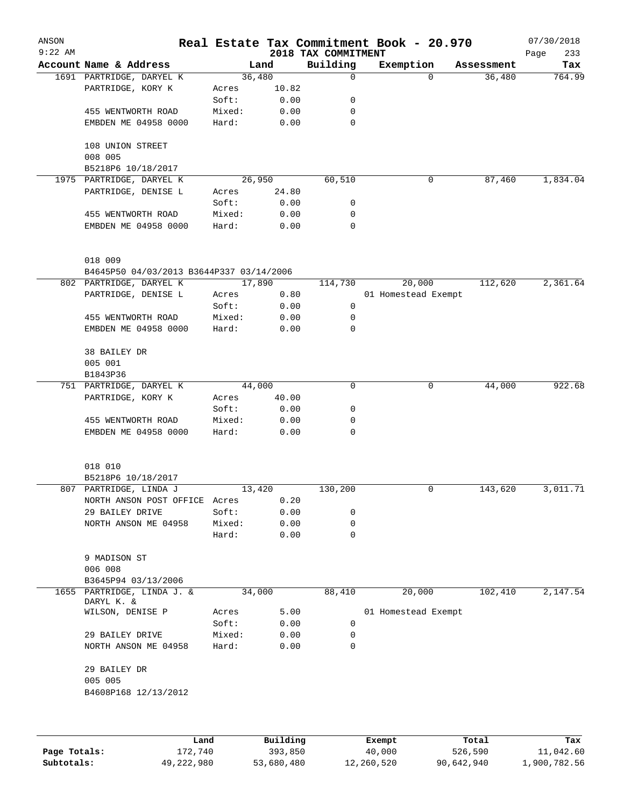| ANSON<br>$9:22$ AM |                                            |                 |              | 2018 TAX COMMITMENT | Real Estate Tax Commitment Book - 20.970 |            | 07/30/2018<br>Page<br>233 |
|--------------------|--------------------------------------------|-----------------|--------------|---------------------|------------------------------------------|------------|---------------------------|
|                    | Account Name & Address                     |                 | Land         | Building            | Exemption                                | Assessment | Tax                       |
|                    | 1691 PARTRIDGE, DARYEL K                   |                 | 36,480       | $\mathbf 0$         | $\Omega$                                 | 36,480     | 764.99                    |
|                    | PARTRIDGE, KORY K                          | Acres           | 10.82        |                     |                                          |            |                           |
|                    |                                            | Soft:           | 0.00         | 0                   |                                          |            |                           |
|                    | 455 WENTWORTH ROAD                         | Mixed:          | 0.00         | 0                   |                                          |            |                           |
|                    | EMBDEN ME 04958 0000                       | Hard:           | 0.00         | $\mathbf 0$         |                                          |            |                           |
|                    | 108 UNION STREET<br>008 005                |                 |              |                     |                                          |            |                           |
|                    | B5218P6 10/18/2017                         |                 |              |                     |                                          |            |                           |
|                    | 1975 PARTRIDGE, DARYEL K                   |                 | 26,950       | 60,510              | 0                                        | 87,460     | 1,834.04                  |
|                    | PARTRIDGE, DENISE L                        | Acres           | 24.80        |                     |                                          |            |                           |
|                    |                                            | Soft:           | 0.00         | 0                   |                                          |            |                           |
|                    | 455 WENTWORTH ROAD                         | Mixed:          | 0.00         | 0                   |                                          |            |                           |
|                    | EMBDEN ME 04958 0000                       | Hard:           | 0.00         | 0                   |                                          |            |                           |
|                    | 018 009                                    |                 |              |                     |                                          |            |                           |
|                    | B4645P50 04/03/2013 B3644P337 03/14/2006   |                 |              |                     |                                          |            |                           |
|                    | 802 PARTRIDGE, DARYEL K                    |                 | 17,890       | 114,730             | 20,000                                   | 112,620    | 2,361.64                  |
|                    | PARTRIDGE, DENISE L                        | Acres           | 0.80         |                     | 01 Homestead Exempt                      |            |                           |
|                    |                                            | Soft:           | 0.00         | 0                   |                                          |            |                           |
|                    | 455 WENTWORTH ROAD                         | Mixed:          | 0.00         | 0                   |                                          |            |                           |
|                    | EMBDEN ME 04958 0000                       | Hard:           | 0.00         | 0                   |                                          |            |                           |
|                    | 38 BAILEY DR                               |                 |              |                     |                                          |            |                           |
|                    | 005 001                                    |                 |              |                     |                                          |            |                           |
|                    | B1843P36                                   |                 |              |                     |                                          |            |                           |
|                    | 751 PARTRIDGE, DARYEL K                    |                 | 44,000       | 0                   | 0                                        | 44,000     | 922.68                    |
|                    | PARTRIDGE, KORY K                          | Acres           | 40.00        |                     |                                          |            |                           |
|                    |                                            | Soft:           | 0.00         | 0                   |                                          |            |                           |
|                    | 455 WENTWORTH ROAD<br>EMBDEN ME 04958 0000 | Mixed:<br>Hard: | 0.00<br>0.00 | 0<br>$\Omega$       |                                          |            |                           |
|                    |                                            |                 |              |                     |                                          |            |                           |
|                    | 018 010                                    |                 |              |                     |                                          |            |                           |
|                    | B5218P6 10/18/2017                         |                 |              |                     |                                          |            |                           |
|                    | 807 PARTRIDGE, LINDA J                     |                 | 13,420       | 130,200             | 0                                        | 143,620    | 3,011.71                  |
|                    | NORTH ANSON POST OFFICE                    | Acres           | 0.20         |                     |                                          |            |                           |
|                    | 29 BAILEY DRIVE                            | Soft:           | 0.00         | 0                   |                                          |            |                           |
|                    | NORTH ANSON ME 04958                       | Mixed:          | 0.00         | 0                   |                                          |            |                           |
|                    |                                            | Hard:           | 0.00         | 0                   |                                          |            |                           |
|                    | 9 MADISON ST                               |                 |              |                     |                                          |            |                           |
|                    | 006 008                                    |                 |              |                     |                                          |            |                           |
|                    | B3645P94 03/13/2006                        |                 |              |                     |                                          |            |                           |
|                    | 1655 PARTRIDGE, LINDA J. &                 |                 | 34,000       | 88,410              | 20,000                                   | 102,410    | 2,147.54                  |
|                    | DARYL K. &<br>WILSON, DENISE P             | Acres           | 5.00         |                     | 01 Homestead Exempt                      |            |                           |
|                    |                                            | Soft:           | 0.00         | 0                   |                                          |            |                           |
|                    | 29 BAILEY DRIVE                            | Mixed:          | 0.00         | 0                   |                                          |            |                           |
|                    | NORTH ANSON ME 04958                       | Hard:           | 0.00         | 0                   |                                          |            |                           |
|                    | 29 BAILEY DR                               |                 |              |                     |                                          |            |                           |
|                    | 005 005                                    |                 |              |                     |                                          |            |                           |
|                    | B4608P168 12/13/2012                       |                 |              |                     |                                          |            |                           |
|                    |                                            |                 |              |                     |                                          |            |                           |
|                    | Land                                       |                 | Building     |                     | <b>Exempt</b>                            | Total      | Tax                       |

|              | Land       | Building   | Exempt     | Total      | Tax          |
|--------------|------------|------------|------------|------------|--------------|
| Page Totals: | 172,740    | 393,850    | 40,000     | 526,590    | 11,042.60    |
| Subtotals:   | 49,222,980 | 53,680,480 | 12,260,520 | 90,642,940 | 1,900,782.56 |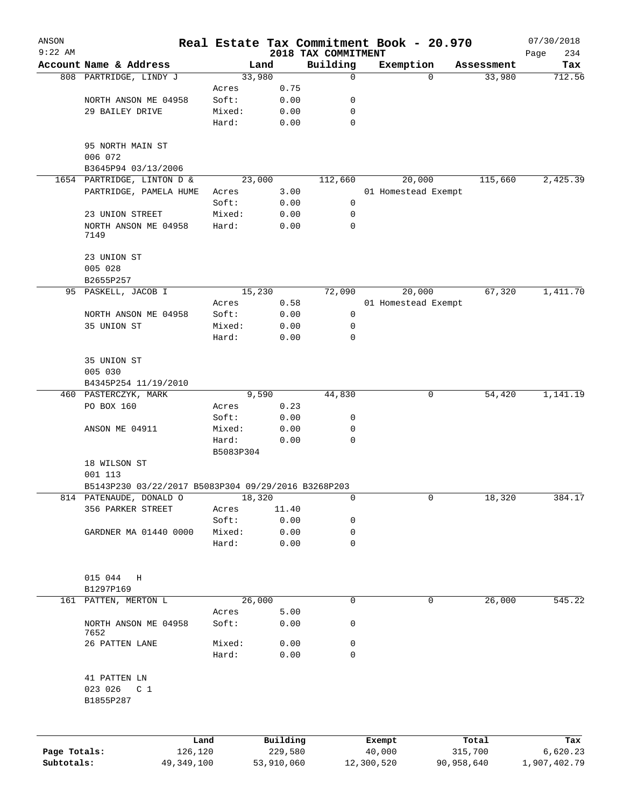| ANSON<br>$9:22$ AM |                                                     |                 |                |                     |                                 | Real Estate Tax Commitment Book - 20.970 |            |                  | 07/30/2018         |
|--------------------|-----------------------------------------------------|-----------------|----------------|---------------------|---------------------------------|------------------------------------------|------------|------------------|--------------------|
|                    | Account Name & Address                              |                 |                | Land                | 2018 TAX COMMITMENT<br>Building | Exemption                                |            | Assessment       | Page<br>234<br>Tax |
|                    | 808 PARTRIDGE, LINDY J                              |                 |                | 33,980              | 0                               |                                          | $\Omega$   | 33,980           | 712.56             |
|                    |                                                     |                 | Acres          | 0.75                |                                 |                                          |            |                  |                    |
|                    | NORTH ANSON ME 04958                                |                 | Soft:          | 0.00                | 0                               |                                          |            |                  |                    |
|                    | 29 BAILEY DRIVE                                     |                 | Mixed:         | 0.00                | $\mathbf 0$                     |                                          |            |                  |                    |
|                    |                                                     |                 | Hard:          | 0.00                | $\mathbf 0$                     |                                          |            |                  |                    |
|                    | 95 NORTH MAIN ST                                    |                 |                |                     |                                 |                                          |            |                  |                    |
|                    | 006 072                                             |                 |                |                     |                                 |                                          |            |                  |                    |
|                    | B3645P94 03/13/2006                                 |                 |                |                     |                                 |                                          |            |                  |                    |
|                    | 1654 PARTRIDGE, LINTON D &                          |                 |                | 23,000              | 112,660                         | 20,000                                   |            | 115,660          | 2,425.39           |
|                    | PARTRIDGE, PAMELA HUME                              |                 | Acres          | 3.00                |                                 | 01 Homestead Exempt                      |            |                  |                    |
|                    |                                                     |                 | Soft:          | 0.00                | 0                               |                                          |            |                  |                    |
|                    | 23 UNION STREET                                     |                 | Mixed:         | 0.00                | 0                               |                                          |            |                  |                    |
|                    | NORTH ANSON ME 04958<br>7149                        |                 | Hard:          | 0.00                | 0                               |                                          |            |                  |                    |
|                    | 23 UNION ST                                         |                 |                |                     |                                 |                                          |            |                  |                    |
|                    | 005 028                                             |                 |                |                     |                                 |                                          |            |                  |                    |
|                    | B2655P257                                           |                 |                |                     |                                 |                                          |            |                  |                    |
|                    | 95 PASKELL, JACOB I                                 |                 |                | 15,230              | 72,090                          | 20,000                                   |            | 67,320           | 1,411.70           |
|                    |                                                     |                 | Acres          | 0.58                |                                 | 01 Homestead Exempt                      |            |                  |                    |
|                    | NORTH ANSON ME 04958                                |                 | Soft:          | 0.00                | 0                               |                                          |            |                  |                    |
|                    | 35 UNION ST                                         |                 | Mixed:         | 0.00                | 0                               |                                          |            |                  |                    |
|                    |                                                     |                 | Hard:          | 0.00                | 0                               |                                          |            |                  |                    |
|                    | 35 UNION ST                                         |                 |                |                     |                                 |                                          |            |                  |                    |
|                    | 005 030                                             |                 |                |                     |                                 |                                          |            |                  |                    |
|                    | B4345P254 11/19/2010                                |                 |                |                     |                                 |                                          |            |                  |                    |
|                    | 460 PASTERCZYK, MARK                                |                 |                | 9,590               | 44,830                          |                                          | 0          | 54,420           | 1,141.19           |
|                    | PO BOX 160                                          |                 | Acres          | 0.23                |                                 |                                          |            |                  |                    |
|                    |                                                     |                 | Soft:          | 0.00                | 0                               |                                          |            |                  |                    |
|                    | ANSON ME 04911                                      |                 | Mixed:         | 0.00                | 0                               |                                          |            |                  |                    |
|                    |                                                     |                 | Hard:          | 0.00                | 0                               |                                          |            |                  |                    |
|                    |                                                     |                 | B5083P304      |                     |                                 |                                          |            |                  |                    |
|                    | 18 WILSON ST<br>001 113                             |                 |                |                     |                                 |                                          |            |                  |                    |
|                    | B5143P230 03/22/2017 B5083P304 09/29/2016 B3268P203 |                 |                |                     |                                 |                                          |            |                  |                    |
|                    |                                                     |                 |                |                     |                                 |                                          |            |                  |                    |
|                    | 814 PATENAUDE, DONALD O                             |                 |                | 18,320              | 0                               |                                          | 0          | 18,320           | 384.17             |
|                    | 356 PARKER STREET                                   |                 | Acres<br>Soft: | 11.40<br>0.00       | 0                               |                                          |            |                  |                    |
|                    | GARDNER MA 01440 0000                               |                 | Mixed:         | 0.00                | 0                               |                                          |            |                  |                    |
|                    |                                                     |                 | Hard:          | 0.00                | 0                               |                                          |            |                  |                    |
|                    |                                                     |                 |                |                     |                                 |                                          |            |                  |                    |
|                    | 015 044<br>Η                                        |                 |                |                     |                                 |                                          |            |                  |                    |
|                    | B1297P169                                           |                 |                |                     |                                 |                                          |            |                  |                    |
| 161                | PATTEN, MERTON L                                    |                 |                | 26,000              | 0                               |                                          | 0          | 26,000           | 545.22             |
|                    |                                                     |                 | Acres          | 5.00                |                                 |                                          |            |                  |                    |
|                    | NORTH ANSON ME 04958<br>7652                        |                 | Soft:          | 0.00                | 0                               |                                          |            |                  |                    |
|                    | 26 PATTEN LANE                                      |                 | Mixed:         | 0.00                | 0                               |                                          |            |                  |                    |
|                    |                                                     |                 | Hard:          | 0.00                | 0                               |                                          |            |                  |                    |
|                    | 41 PATTEN LN                                        |                 |                |                     |                                 |                                          |            |                  |                    |
|                    | 023 026<br>C <sub>1</sub>                           |                 |                |                     |                                 |                                          |            |                  |                    |
|                    | B1855P287                                           |                 |                |                     |                                 |                                          |            |                  |                    |
|                    |                                                     |                 |                |                     |                                 |                                          |            |                  |                    |
| Page Totals:       |                                                     | Land<br>126,120 |                | Building<br>229,580 |                                 | Exempt<br>40,000                         |            | Total<br>315,700 | Tax<br>6,620.23    |
| Subtotals:         |                                                     | 49, 349, 100    |                | 53,910,060          |                                 | 12,300,520                               | 90,958,640 |                  | 1,907,402.79       |
|                    |                                                     |                 |                |                     |                                 |                                          |            |                  |                    |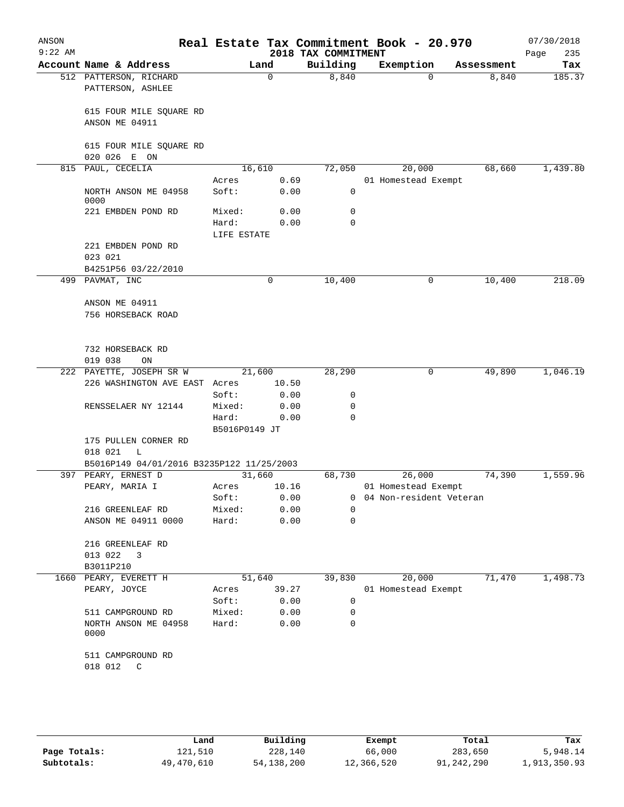| ANSON<br>$9:22$ AM |                                             |                      |        | 2018 TAX COMMITMENT | Real Estate Tax Commitment Book - 20.970 |                   | 07/30/2018<br>235<br>Page |
|--------------------|---------------------------------------------|----------------------|--------|---------------------|------------------------------------------|-------------------|---------------------------|
|                    | Account Name & Address                      |                      | Land   | Building            | Exemption                                | Assessment        | Tax                       |
|                    | 512 PATTERSON, RICHARD<br>PATTERSON, ASHLEE |                      | 0      | 8,840               |                                          | 8,840<br>$\Omega$ | 185.37                    |
|                    | 615 FOUR MILE SQUARE RD<br>ANSON ME 04911   |                      |        |                     |                                          |                   |                           |
|                    | 615 FOUR MILE SQUARE RD<br>020 026 E ON     |                      |        |                     |                                          |                   |                           |
| 815                | PAUL, CECELIA                               | 16,610               |        | 72,050              | 20,000                                   | 68,660            | 1,439.80                  |
|                    |                                             | Acres                | 0.69   |                     | 01 Homestead Exempt                      |                   |                           |
|                    | NORTH ANSON ME 04958<br>0000                | Soft:                | 0.00   | $\mathbf 0$         |                                          |                   |                           |
|                    | 221 EMBDEN POND RD                          | Mixed:               | 0.00   | 0                   |                                          |                   |                           |
|                    |                                             | Hard:<br>LIFE ESTATE | 0.00   | $\mathbf 0$         |                                          |                   |                           |
|                    | 221 EMBDEN POND RD<br>023 021               |                      |        |                     |                                          |                   |                           |
|                    | B4251P56 03/22/2010                         |                      |        |                     |                                          |                   |                           |
|                    | 499 PAVMAT, INC                             |                      | 0      | 10,400              |                                          | 10,400<br>0       | 218.09                    |
|                    | ANSON ME 04911<br>756 HORSEBACK ROAD        |                      |        |                     |                                          |                   |                           |
|                    | 732 HORSEBACK RD<br>019 038<br>ON           |                      |        |                     |                                          |                   |                           |
|                    | 222 PAYETTE, JOSEPH SR W                    |                      | 21,600 | 28,290              |                                          | 0<br>49,890       | 1,046.19                  |
|                    | 226 WASHINGTON AVE EAST Acres               |                      | 10.50  |                     |                                          |                   |                           |
|                    |                                             | Soft:                | 0.00   | 0                   |                                          |                   |                           |
|                    | RENSSELAER NY 12144                         | Mixed:               | 0.00   | 0                   |                                          |                   |                           |
|                    |                                             | Hard:                | 0.00   | $\mathbf 0$         |                                          |                   |                           |
|                    | 175 PULLEN CORNER RD                        | B5016P0149 JT        |        |                     |                                          |                   |                           |
|                    | 018 021<br>L                                |                      |        |                     |                                          |                   |                           |
|                    | B5016P149 04/01/2016 B3235P122 11/25/2003   |                      |        |                     |                                          |                   |                           |
|                    | 397 PEARY, ERNEST D                         | 31,660               |        | 68,730              | 26,000                                   | 74,390            | 1,559.96                  |
|                    | PEARY, MARIA I                              | Acres                | 10.16  |                     | 01 Homestead Exempt                      |                   |                           |
|                    |                                             | Soft:                | 0.00   | 0                   | 04 Non-resident Veteran                  |                   |                           |
|                    | 216 GREENLEAF RD                            | Mixed:               | 0.00   | $\Omega$            |                                          |                   |                           |
|                    | ANSON ME 04911 0000                         | Hard:                | 0.00   | $\Omega$            |                                          |                   |                           |
|                    | 216 GREENLEAF RD                            |                      |        |                     |                                          |                   |                           |
|                    | 013 022<br>3                                |                      |        |                     |                                          |                   |                           |
|                    | B3011P210                                   |                      |        |                     |                                          |                   |                           |
| 1660               | PEARY, EVERETT H                            | 51,640               |        | 39,830              | 20,000                                   | 71,470            | 1,498.73                  |
|                    | PEARY, JOYCE                                | Acres                | 39.27  |                     | 01 Homestead Exempt                      |                   |                           |
|                    |                                             | Soft:                | 0.00   | 0                   |                                          |                   |                           |
|                    | 511 CAMPGROUND RD                           | Mixed:               | 0.00   | 0                   |                                          |                   |                           |
|                    | NORTH ANSON ME 04958<br>0000                | Hard:                | 0.00   | 0                   |                                          |                   |                           |
|                    | 511 CAMPGROUND RD                           |                      |        |                     |                                          |                   |                           |
|                    | 018 012<br>C                                |                      |        |                     |                                          |                   |                           |

|              | Land       | Building   | Exempt     | Total      | Tax          |
|--------------|------------|------------|------------|------------|--------------|
| Page Totals: | 121,510    | 228,140    | 66,000     | 283,650    | 5,948.14     |
| Subtotals:   | 49,470,610 | 54,138,200 | 12,366,520 | 91,242,290 | 1,913,350.93 |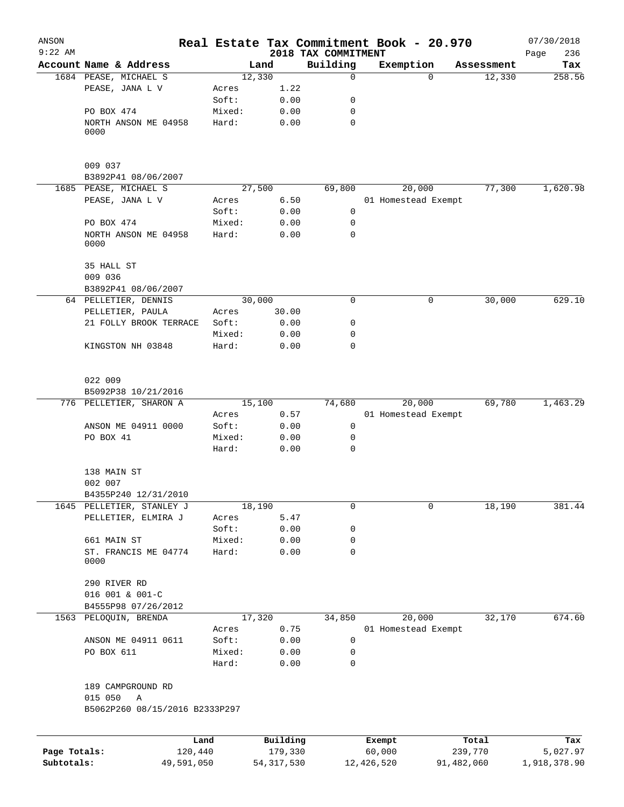| ANSON<br>$9:22$ AM |                                     |        |              |                                 | Real Estate Tax Commitment Book - 20.970 |             |            | 07/30/2018         |
|--------------------|-------------------------------------|--------|--------------|---------------------------------|------------------------------------------|-------------|------------|--------------------|
|                    | Account Name & Address              |        | Land         | 2018 TAX COMMITMENT<br>Building | Exemption                                |             | Assessment | 236<br>Page<br>Tax |
|                    | 1684 PEASE, MICHAEL S               |        | 12,330       | 0                               |                                          | $\Omega$    | 12,330     | 258.56             |
|                    | PEASE, JANA L V                     | Acres  | 1.22         |                                 |                                          |             |            |                    |
|                    |                                     | Soft:  | 0.00         | 0                               |                                          |             |            |                    |
|                    | PO BOX 474                          | Mixed: | 0.00         | 0                               |                                          |             |            |                    |
|                    | NORTH ANSON ME 04958                | Hard:  | 0.00         | 0                               |                                          |             |            |                    |
|                    | 0000                                |        |              |                                 |                                          |             |            |                    |
|                    | 009 037                             |        |              |                                 |                                          |             |            |                    |
|                    | B3892P41 08/06/2007                 |        |              |                                 |                                          |             |            |                    |
|                    | 1685 PEASE, MICHAEL S               |        | 27,500       | 69,800                          | 20,000                                   |             | 77,300     | 1,620.98           |
|                    | PEASE, JANA L V                     | Acres  | 6.50         |                                 | 01 Homestead Exempt                      |             |            |                    |
|                    |                                     | Soft:  | 0.00         | $\mathbf 0$                     |                                          |             |            |                    |
|                    | PO BOX 474                          | Mixed: | 0.00         | 0                               |                                          |             |            |                    |
|                    | NORTH ANSON ME 04958<br>0000        | Hard:  | 0.00         | 0                               |                                          |             |            |                    |
|                    | 35 HALL ST                          |        |              |                                 |                                          |             |            |                    |
|                    | 009 036                             |        |              |                                 |                                          |             |            |                    |
|                    | B3892P41 08/06/2007                 |        |              |                                 |                                          |             |            |                    |
|                    | 64 PELLETIER, DENNIS                |        | 30,000       | $\Omega$                        |                                          | 0           | 30,000     | 629.10             |
|                    | PELLETIER, PAULA                    | Acres  | 30.00        |                                 |                                          |             |            |                    |
|                    | 21 FOLLY BROOK TERRACE              | Soft:  | 0.00         | 0                               |                                          |             |            |                    |
|                    |                                     | Mixed: | 0.00         | 0                               |                                          |             |            |                    |
|                    | KINGSTON NH 03848                   | Hard:  | 0.00         | 0                               |                                          |             |            |                    |
|                    | 022 009                             |        |              |                                 |                                          |             |            |                    |
|                    | B5092P38 10/21/2016                 |        |              |                                 |                                          |             |            |                    |
|                    | 776 PELLETIER, SHARON A             |        | 15,100       | 74,680                          | 20,000                                   |             | 69,780     | 1,463.29           |
|                    |                                     | Acres  | 0.57         |                                 | 01 Homestead Exempt                      |             |            |                    |
|                    | ANSON ME 04911 0000                 | Soft:  | 0.00         | 0                               |                                          |             |            |                    |
|                    | PO BOX 41                           | Mixed: | 0.00         | 0                               |                                          |             |            |                    |
|                    |                                     | Hard:  | 0.00         | $\mathbf 0$                     |                                          |             |            |                    |
|                    | 138 MAIN ST<br>002 007              |        |              |                                 |                                          |             |            |                    |
|                    | B4355P240 12/31/2010                |        |              |                                 |                                          |             |            |                    |
| 1645               | PELLETIER, STANLEY J                |        | 18,190       | 0                               |                                          | $\mathbf 0$ | 18,190     | 381.44             |
|                    | PELLETIER, ELMIRA J                 | Acres  | 5.47         |                                 |                                          |             |            |                    |
|                    |                                     | Soft:  | 0.00         | 0                               |                                          |             |            |                    |
|                    | 661 MAIN ST                         | Mixed: | 0.00         | 0                               |                                          |             |            |                    |
|                    | ST. FRANCIS ME 04774                | Hard:  | 0.00         | $\mathbf 0$                     |                                          |             |            |                    |
|                    | 0000                                |        |              |                                 |                                          |             |            |                    |
|                    | 290 RIVER RD                        |        |              |                                 |                                          |             |            |                    |
|                    | 016 001 & 001-C                     |        |              |                                 |                                          |             |            |                    |
|                    | B4555P98 07/26/2012                 |        |              |                                 |                                          |             |            |                    |
|                    | 1563 PELOQUIN, BRENDA               |        | 17,320       | 34,850                          | 20,000                                   |             | 32,170     | 674.60             |
|                    |                                     | Acres  | 0.75         |                                 | 01 Homestead Exempt                      |             |            |                    |
|                    | ANSON ME 04911 0611                 | Soft:  | 0.00         | $\mathsf{O}$                    |                                          |             |            |                    |
|                    | PO BOX 611                          | Mixed: | 0.00         | 0                               |                                          |             |            |                    |
|                    |                                     | Hard:  | 0.00         | 0                               |                                          |             |            |                    |
|                    | 189 CAMPGROUND RD<br>015 050        |        |              |                                 |                                          |             |            |                    |
|                    | Α<br>B5062P260 08/15/2016 B2333P297 |        |              |                                 |                                          |             |            |                    |
|                    |                                     | Land   | Building     |                                 | Exempt                                   |             | Total      | Tax                |
| Page Totals:       | 120,440                             |        | 179,330      |                                 | 60,000                                   |             | 239,770    | 5,027.97           |
| Subtotals:         | 49,591,050                          |        | 54, 317, 530 |                                 | 12,426,520                               | 91,482,060  |            | 1,918,378.90       |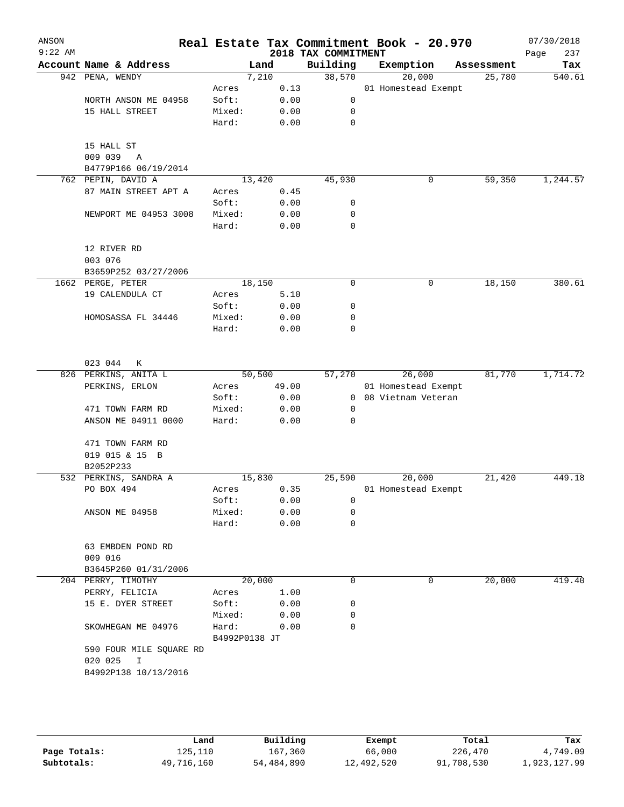| ANSON<br>$9:22$ AM |                                        |               |       | 2018 TAX COMMITMENT | Real Estate Tax Commitment Book - 20.970 |            | 07/30/2018<br>237<br>Page |
|--------------------|----------------------------------------|---------------|-------|---------------------|------------------------------------------|------------|---------------------------|
|                    | Account Name & Address                 | Land          |       | Building            | Exemption                                | Assessment | Tax                       |
|                    | 942 PENA, WENDY                        | 7,210         |       | 38,570              | 20,000                                   | 25,780     | 540.61                    |
|                    |                                        | Acres         | 0.13  |                     | 01 Homestead Exempt                      |            |                           |
|                    | NORTH ANSON ME 04958                   | Soft:         | 0.00  | $\mathsf{O}$        |                                          |            |                           |
|                    | 15 HALL STREET                         | Mixed:        | 0.00  | 0                   |                                          |            |                           |
|                    |                                        | Hard:         | 0.00  | $\mathbf 0$         |                                          |            |                           |
|                    | 15 HALL ST                             |               |       |                     |                                          |            |                           |
|                    | 009 039<br>$\overline{A}$              |               |       |                     |                                          |            |                           |
|                    | B4779P166 06/19/2014                   |               |       |                     |                                          |            |                           |
|                    | 762 PEPIN, DAVID A                     | 13,420        |       | 45,930              | 0                                        | 59,350     | 1,244.57                  |
|                    | 87 MAIN STREET APT A                   | Acres         | 0.45  |                     |                                          |            |                           |
|                    |                                        | Soft:         | 0.00  | 0                   |                                          |            |                           |
|                    | NEWPORT ME 04953 3008                  | Mixed:        | 0.00  | 0                   |                                          |            |                           |
|                    |                                        | Hard:         | 0.00  | 0                   |                                          |            |                           |
|                    | 12 RIVER RD                            |               |       |                     |                                          |            |                           |
|                    | 003 076                                |               |       |                     |                                          |            |                           |
|                    | B3659P252 03/27/2006                   |               |       |                     |                                          |            |                           |
|                    | 1662 PERGE, PETER                      | 18,150        |       | 0                   | 0                                        | 18,150     | 380.61                    |
|                    | 19 CALENDULA CT                        | Acres         | 5.10  |                     |                                          |            |                           |
|                    |                                        | Soft:         | 0.00  | 0                   |                                          |            |                           |
|                    | HOMOSASSA FL 34446                     | Mixed:        | 0.00  | 0                   |                                          |            |                           |
|                    |                                        | Hard:         | 0.00  | $\mathbf 0$         |                                          |            |                           |
|                    |                                        |               |       |                     |                                          |            |                           |
|                    | 023 044<br>К                           | 50,500        |       | 57,270              |                                          | 81,770     | 1,714.72                  |
|                    | 826 PERKINS, ANITA L<br>PERKINS, ERLON | Acres         | 49.00 |                     | 26,000<br>01 Homestead Exempt            |            |                           |
|                    |                                        | Soft:         | 0.00  |                     | 0 08 Vietnam Veteran                     |            |                           |
|                    | 471 TOWN FARM RD                       | Mixed:        | 0.00  | 0                   |                                          |            |                           |
|                    | ANSON ME 04911 0000                    | Hard:         | 0.00  | 0                   |                                          |            |                           |
|                    |                                        |               |       |                     |                                          |            |                           |
|                    | 471 TOWN FARM RD                       |               |       |                     |                                          |            |                           |
|                    | 019 015 & 15 B                         |               |       |                     |                                          |            |                           |
|                    | B2052P233                              |               |       |                     |                                          |            |                           |
|                    | 532 PERKINS, SANDRA A                  | 15,830        |       | 25,590              | 20,000                                   | 21,420     | 449.18                    |
|                    | PO BOX 494                             | Acres         | 0.35  |                     | 01 Homestead Exempt                      |            |                           |
|                    |                                        | Soft:         | 0.00  | 0                   |                                          |            |                           |
|                    | ANSON ME 04958                         | Mixed:        | 0.00  | 0                   |                                          |            |                           |
|                    |                                        | Hard:         | 0.00  | $\mathbf 0$         |                                          |            |                           |
|                    | 63 EMBDEN POND RD                      |               |       |                     |                                          |            |                           |
|                    | 009 016                                |               |       |                     |                                          |            |                           |
|                    | B3645P260 01/31/2006                   |               |       |                     |                                          |            |                           |
|                    | 204 PERRY, TIMOTHY                     | 20,000        |       | 0                   | 0                                        | 20,000     | 419.40                    |
|                    | PERRY, FELICIA                         | Acres         | 1.00  |                     |                                          |            |                           |
|                    | 15 E. DYER STREET                      | Soft:         | 0.00  | 0                   |                                          |            |                           |
|                    |                                        | Mixed:        | 0.00  | 0                   |                                          |            |                           |
|                    | SKOWHEGAN ME 04976                     | Hard:         | 0.00  | 0                   |                                          |            |                           |
|                    |                                        | B4992P0138 JT |       |                     |                                          |            |                           |
|                    | 590 FOUR MILE SQUARE RD                |               |       |                     |                                          |            |                           |
|                    | 020 025<br>$\mathbf{I}$                |               |       |                     |                                          |            |                           |
|                    | B4992P138 10/13/2016                   |               |       |                     |                                          |            |                           |
|                    |                                        |               |       |                     |                                          |            |                           |
|                    |                                        |               |       |                     |                                          |            |                           |
|                    |                                        |               |       |                     |                                          |            |                           |
|                    |                                        |               |       |                     |                                          |            |                           |

|              | Land       | Building   | Exempt     | Total      | Tax          |
|--------------|------------|------------|------------|------------|--------------|
| Page Totals: | 125,110    | 167,360    | 66,000     | 226,470    | 4,749.09     |
| Subtotals:   | 49,716,160 | 54,484,890 | 12,492,520 | 91,708,530 | 1,923,127.99 |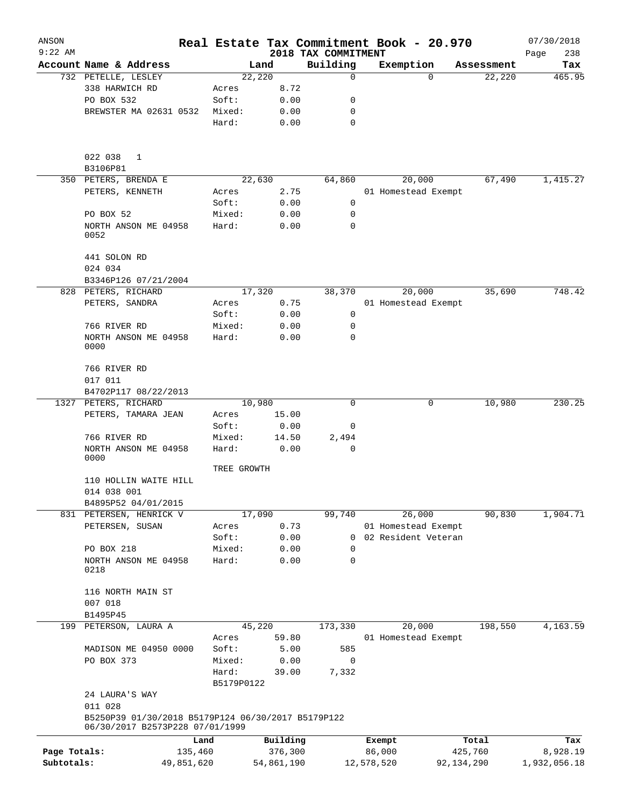| ANSON        |                                                                                       |                     |                |                         | Real Estate Tax Commitment Book - 20.970 |                      | 07/30/2018    |
|--------------|---------------------------------------------------------------------------------------|---------------------|----------------|-------------------------|------------------------------------------|----------------------|---------------|
| $9:22$ AM    | Account Name & Address                                                                |                     |                | 2018 TAX COMMITMENT     |                                          |                      | Page<br>238   |
|              | 732 PETELLE, LESLEY                                                                   |                     | Land<br>22,220 | Building<br>$\mathbf 0$ | Exemption<br>$\Omega$                    | Assessment<br>22,220 | Tax<br>465.95 |
|              | 338 HARWICH RD                                                                        | Acres               | 8.72           |                         |                                          |                      |               |
|              | PO BOX 532                                                                            | Soft:               | 0.00           | 0                       |                                          |                      |               |
|              | BREWSTER MA 02631 0532                                                                | Mixed:              | 0.00           | 0                       |                                          |                      |               |
|              |                                                                                       | Hard:               | 0.00           | $\mathbf 0$             |                                          |                      |               |
|              |                                                                                       |                     |                |                         |                                          |                      |               |
|              | 022 038<br>1                                                                          |                     |                |                         |                                          |                      |               |
|              | B3106P81                                                                              |                     |                |                         |                                          |                      |               |
|              | 350 PETERS, BRENDA E                                                                  |                     | 22,630         | 64,860                  | 20,000                                   | 67,490               | 1,415.27      |
|              | PETERS, KENNETH                                                                       | Acres               | 2.75           |                         | 01 Homestead Exempt                      |                      |               |
|              |                                                                                       | Soft:               | 0.00           | 0                       |                                          |                      |               |
|              | PO BOX 52                                                                             | Mixed:              | 0.00           | 0                       |                                          |                      |               |
|              | NORTH ANSON ME 04958<br>0052                                                          | Hard:               | 0.00           | $\Omega$                |                                          |                      |               |
|              | 441 SOLON RD                                                                          |                     |                |                         |                                          |                      |               |
|              | 024 034                                                                               |                     |                |                         |                                          |                      |               |
|              | B3346P126 07/21/2004                                                                  |                     |                |                         |                                          |                      |               |
|              | 828 PETERS, RICHARD                                                                   |                     | 17,320         | 38,370                  | 20,000                                   | 35,690               | 748.42        |
|              | PETERS, SANDRA                                                                        | Acres               | 0.75           |                         | 01 Homestead Exempt                      |                      |               |
|              |                                                                                       | Soft:               | 0.00           | 0                       |                                          |                      |               |
|              | 766 RIVER RD                                                                          | Mixed:              | 0.00           | 0                       |                                          |                      |               |
|              | NORTH ANSON ME 04958<br>0000                                                          | Hard:               | 0.00           | 0                       |                                          |                      |               |
|              | 766 RIVER RD                                                                          |                     |                |                         |                                          |                      |               |
|              | 017 011                                                                               |                     |                |                         |                                          |                      |               |
|              | B4702P117 08/22/2013                                                                  |                     |                |                         |                                          |                      |               |
|              | 1327 PETERS, RICHARD                                                                  |                     | 10,980         | 0                       | 0                                        | 10,980               | 230.25        |
|              | PETERS, TAMARA JEAN                                                                   | Acres               | 15.00          |                         |                                          |                      |               |
|              |                                                                                       | Soft:               | 0.00           | 0                       |                                          |                      |               |
|              | 766 RIVER RD                                                                          | Mixed:              | 14.50          | 2,494                   |                                          |                      |               |
|              | NORTH ANSON ME 04958<br>0000                                                          | Hard:               | 0.00           | 0                       |                                          |                      |               |
|              |                                                                                       | TREE GROWTH         |                |                         |                                          |                      |               |
|              | 110 HOLLIN WAITE HILL<br>014 038 001                                                  |                     |                |                         |                                          |                      |               |
|              | B4895P52 04/01/2015                                                                   |                     |                |                         |                                          |                      |               |
|              | 831 PETERSEN, HENRICK V                                                               |                     | 17,090         | 99,740                  | 26,000                                   | 90,830               | 1,904.71      |
|              | PETERSEN, SUSAN                                                                       | Acres               | 0.73           |                         | 01 Homestead Exempt                      |                      |               |
|              |                                                                                       | Soft:               | 0.00           | 0                       | 02 Resident Veteran                      |                      |               |
|              | PO BOX 218                                                                            | Mixed:<br>Hard:     | 0.00           | 0                       |                                          |                      |               |
|              | NORTH ANSON ME 04958<br>0218                                                          |                     | 0.00           | 0                       |                                          |                      |               |
|              | 116 NORTH MAIN ST                                                                     |                     |                |                         |                                          |                      |               |
|              | 007 018                                                                               |                     |                |                         |                                          |                      |               |
|              | B1495P45                                                                              |                     |                |                         |                                          |                      |               |
| 199          | PETERSON, LAURA A                                                                     |                     | 45,220         | 173,330                 | 20,000                                   | 198,550              | 4,163.59      |
|              |                                                                                       | Acres               | 59.80          |                         | 01 Homestead Exempt                      |                      |               |
|              | MADISON ME 04950 0000                                                                 | Soft:               | 5.00           | 585                     |                                          |                      |               |
|              | PO BOX 373                                                                            | Mixed:              | 0.00           | $\mathbf 0$             |                                          |                      |               |
|              |                                                                                       | Hard:<br>B5179P0122 | 39.00          | 7,332                   |                                          |                      |               |
|              | 24 LAURA'S WAY<br>011 028                                                             |                     |                |                         |                                          |                      |               |
|              | B5250P39 01/30/2018 B5179P124 06/30/2017 B5179P122<br>06/30/2017 B2573P228 07/01/1999 |                     |                |                         |                                          |                      |               |
|              | Land                                                                                  |                     | Building       |                         | Exempt                                   | Total                | Tax           |
| Page Totals: | 135,460                                                                               |                     | 376,300        |                         | 86,000                                   | 425,760              | 8,928.19      |
| Subtotals:   | 49,851,620                                                                            |                     | 54,861,190     |                         | 12,578,520                               | 92, 134, 290         | 1,932,056.18  |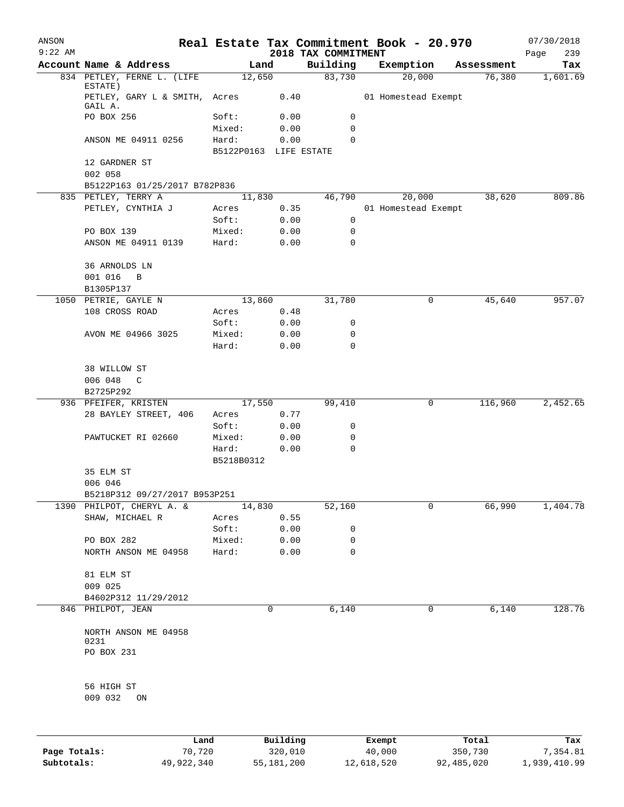| ANSON<br>$9:22$ AM |                                          |                        |              | 2018 TAX COMMITMENT | Real Estate Tax Commitment Book - 20.970 |            | 07/30/2018<br>239<br>Page |
|--------------------|------------------------------------------|------------------------|--------------|---------------------|------------------------------------------|------------|---------------------------|
|                    | Account Name & Address                   | Land                   |              | Building            | Exemption                                | Assessment | Tax                       |
|                    | 834 PETLEY, FERNE L. (LIFE               | 12,650                 |              | 83,730              | 20,000                                   | 76,380     | 1,601.69                  |
|                    | ESTATE)<br>PETLEY, GARY L & SMITH, Acres |                        | 0.40         |                     | 01 Homestead Exempt                      |            |                           |
|                    | GAIL A.                                  |                        |              | 0                   |                                          |            |                           |
|                    | PO BOX 256                               | Soft:<br>Mixed:        | 0.00<br>0.00 | 0                   |                                          |            |                           |
|                    | ANSON ME 04911 0256                      | Hard:                  | 0.00         | $\Omega$            |                                          |            |                           |
|                    |                                          | B5122P0163 LIFE ESTATE |              |                     |                                          |            |                           |
|                    | 12 GARDNER ST<br>002 058                 |                        |              |                     |                                          |            |                           |
|                    | B5122P163 01/25/2017 B782P836            |                        |              |                     |                                          |            |                           |
|                    | 835 PETLEY, TERRY A                      | 11,830                 |              | 46,790              | 20,000                                   | 38,620     | 809.86                    |
|                    | PETLEY, CYNTHIA J                        | Acres                  | 0.35         |                     | 01 Homestead Exempt                      |            |                           |
|                    |                                          | Soft:                  | 0.00         | 0                   |                                          |            |                           |
|                    | PO BOX 139                               | Mixed:                 | 0.00         | 0                   |                                          |            |                           |
|                    | ANSON ME 04911 0139                      | Hard:                  | 0.00         | 0                   |                                          |            |                           |
|                    | 36 ARNOLDS LN<br>001 016<br>$\mathbf B$  |                        |              |                     |                                          |            |                           |
|                    | B1305P137                                |                        |              |                     |                                          |            |                           |
|                    | 1050 PETRIE, GAYLE N                     | 13,860                 |              | 31,780              | 0                                        | 45,640     | 957.07                    |
|                    | 108 CROSS ROAD                           | Acres                  | 0.48         |                     |                                          |            |                           |
|                    |                                          | Soft:                  | 0.00         | 0                   |                                          |            |                           |
|                    | AVON ME 04966 3025                       | Mixed:                 | 0.00         | 0                   |                                          |            |                           |
|                    |                                          | Hard:                  | 0.00         | 0                   |                                          |            |                           |
|                    | 38 WILLOW ST<br>006 048<br>C             |                        |              |                     |                                          |            |                           |
|                    | B2725P292                                |                        |              |                     |                                          |            |                           |
|                    | 936 PFEIFER, KRISTEN                     | 17,550                 |              | 99,410              | 0                                        | 116,960    | 2,452.65                  |
|                    | 28 BAYLEY STREET, 406                    | Acres                  | 0.77         |                     |                                          |            |                           |
|                    |                                          | Soft:                  | 0.00         | 0                   |                                          |            |                           |
|                    | PAWTUCKET RI 02660                       | Mixed:                 | 0.00         | 0                   |                                          |            |                           |
|                    |                                          | Hard:                  | 0.00         | 0                   |                                          |            |                           |
|                    |                                          | B5218B0312             |              |                     |                                          |            |                           |
|                    | 35 ELM ST<br>006 046                     |                        |              |                     |                                          |            |                           |
|                    | B5218P312 09/27/2017 B953P251            |                        |              |                     |                                          |            |                           |
|                    | 1390 PHILPOT, CHERYL A. &                | 14,830                 |              | 52,160              | 0                                        | 66,990     | 1,404.78                  |
|                    | SHAW, MICHAEL R                          | Acres                  | 0.55         |                     |                                          |            |                           |
|                    |                                          | Soft:                  | 0.00         | 0                   |                                          |            |                           |
|                    | PO BOX 282                               | Mixed:                 | 0.00         | 0                   |                                          |            |                           |
|                    | NORTH ANSON ME 04958                     | Hard:                  | 0.00         | 0                   |                                          |            |                           |
|                    | 81 ELM ST<br>009 025                     |                        |              |                     |                                          |            |                           |
|                    | B4602P312 11/29/2012                     |                        |              |                     |                                          |            |                           |
|                    | 846 PHILPOT, JEAN                        |                        | 0            | 6,140               | 0                                        | 6,140      | 128.76                    |
|                    |                                          |                        |              |                     |                                          |            |                           |
|                    | NORTH ANSON ME 04958<br>0231             |                        |              |                     |                                          |            |                           |
|                    | PO BOX 231                               |                        |              |                     |                                          |            |                           |
|                    | 56 HIGH ST                               |                        |              |                     |                                          |            |                           |
|                    | 009 032<br>ON                            |                        |              |                     |                                          |            |                           |
|                    |                                          |                        |              |                     |                                          |            |                           |
|                    |                                          | Land,                  | Building     |                     | Exempt                                   | Total      | Tax                       |

|              | Land       | Building   | Exempt     | Total      | Tax          |
|--------------|------------|------------|------------|------------|--------------|
| Page Totals: | 70,720     | 320,010    | 40,000     | 350,730    | 7.354.81     |
| Subtotals:   | 49,922,340 | 55,181,200 | 12,618,520 | 92,485,020 | 1,939,410.99 |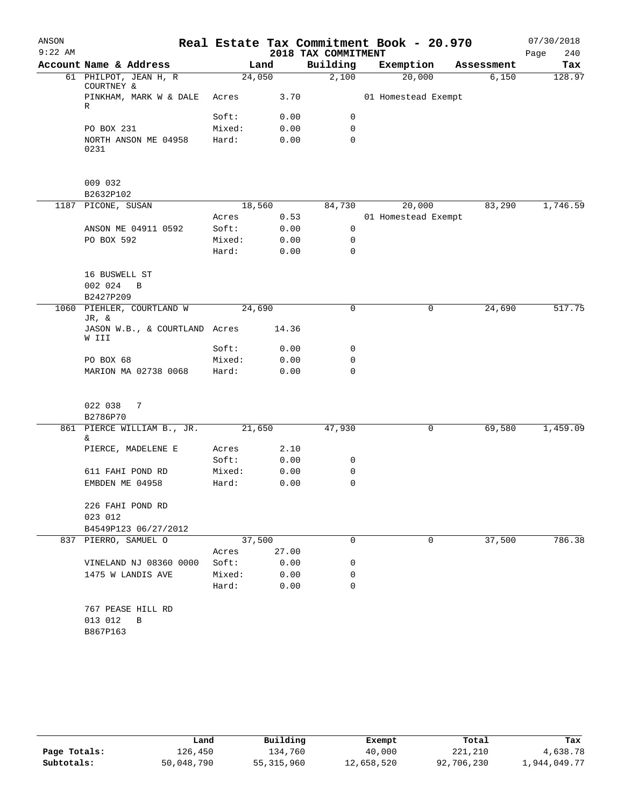| ANSON<br>$9:22$ AM |                                               |                 |       | 2018 TAX COMMITMENT | Real Estate Tax Commitment Book - 20.970 |   |            | 07/30/2018<br>Page<br>240 |
|--------------------|-----------------------------------------------|-----------------|-------|---------------------|------------------------------------------|---|------------|---------------------------|
|                    | Account Name & Address                        | Land            |       | Building            | Exemption                                |   | Assessment | Tax                       |
|                    | 61 PHILPOT, JEAN H, R<br>COURTNEY &           | 24,050          |       | 2,100               | 20,000                                   |   | 6,150      | 128.97                    |
|                    | PINKHAM, MARK W & DALE<br>R                   | Acres           | 3.70  |                     | 01 Homestead Exempt                      |   |            |                           |
|                    |                                               | Soft:           | 0.00  | 0                   |                                          |   |            |                           |
|                    | PO BOX 231                                    | Mixed:          | 0.00  | 0                   |                                          |   |            |                           |
|                    | NORTH ANSON ME 04958<br>0231                  | Hard:           | 0.00  | $\mathbf 0$         |                                          |   |            |                           |
|                    | 009 032                                       |                 |       |                     |                                          |   |            |                           |
|                    | B2632P102                                     |                 |       |                     |                                          |   |            |                           |
|                    | 1187 PICONE, SUSAN                            | 18,560          |       | 84,730              | 20,000                                   |   | 83,290     | 1,746.59                  |
|                    |                                               | Acres           | 0.53  |                     | 01 Homestead Exempt                      |   |            |                           |
|                    | ANSON ME 04911 0592                           | Soft:           | 0.00  | 0                   |                                          |   |            |                           |
|                    | PO BOX 592                                    | Mixed:<br>Hard: | 0.00  | 0<br>0              |                                          |   |            |                           |
|                    |                                               |                 | 0.00  |                     |                                          |   |            |                           |
|                    | 16 BUSWELL ST                                 |                 |       |                     |                                          |   |            |                           |
|                    | 002 024<br>B                                  |                 |       |                     |                                          |   |            |                           |
|                    | B2427P209                                     |                 |       |                     |                                          |   |            |                           |
|                    | 1060 PIEHLER, COURTLAND W<br>JR, &            | 24,690          |       | 0                   |                                          | 0 | 24,690     | 517.75                    |
|                    | JASON W.B., & COURTLAND Acres<br>W III        |                 | 14.36 |                     |                                          |   |            |                           |
|                    |                                               | Soft:           | 0.00  | 0                   |                                          |   |            |                           |
|                    | PO BOX 68                                     | Mixed:          | 0.00  | 0                   |                                          |   |            |                           |
|                    | MARION MA 02738 0068                          | Hard:           | 0.00  | 0                   |                                          |   |            |                           |
|                    | 022 038<br>7                                  |                 |       |                     |                                          |   |            |                           |
|                    | B2786P70                                      |                 |       |                     |                                          |   |            |                           |
|                    | 861 PIERCE WILLIAM B., JR.<br>&               | 21,650          |       | 47,930              |                                          | 0 | 69,580     | 1,459.09                  |
|                    | PIERCE, MADELENE E                            | Acres           | 2.10  |                     |                                          |   |            |                           |
|                    |                                               | Soft:           | 0.00  | 0                   |                                          |   |            |                           |
|                    | 611 FAHI POND RD                              | Mixed:          | 0.00  | 0                   |                                          |   |            |                           |
|                    | EMBDEN ME 04958                               | Hard:           | 0.00  | 0                   |                                          |   |            |                           |
|                    | 226 FAHI POND RD                              |                 |       |                     |                                          |   |            |                           |
|                    | 023 012                                       |                 |       |                     |                                          |   |            |                           |
|                    | B4549P123 06/27/2012                          |                 |       |                     |                                          |   |            |                           |
|                    | 837 PIERRO, SAMUEL O                          | 37,500          |       | $\Omega$            |                                          | 0 | 37,500     | 786.38                    |
|                    |                                               | Acres           | 27.00 |                     |                                          |   |            |                           |
|                    | VINELAND NJ 08360 0000                        | Soft:           | 0.00  | 0                   |                                          |   |            |                           |
|                    | 1475 W LANDIS AVE                             | Mixed:          | 0.00  | 0                   |                                          |   |            |                           |
|                    |                                               | Hard:           | 0.00  | $\Omega$            |                                          |   |            |                           |
|                    | 767 PEASE HILL RD<br>013 012<br>B<br>B867P163 |                 |       |                     |                                          |   |            |                           |

|              | Land       | Building     | Exempt     | Total      | Tax          |
|--------------|------------|--------------|------------|------------|--------------|
| Page Totals: | 126,450    | 134,760      | 40,000     | 221,210    | 4,638.78     |
| Subtotals:   | 50,048,790 | 55, 315, 960 | 12,658,520 | 92,706,230 | 1,944,049.77 |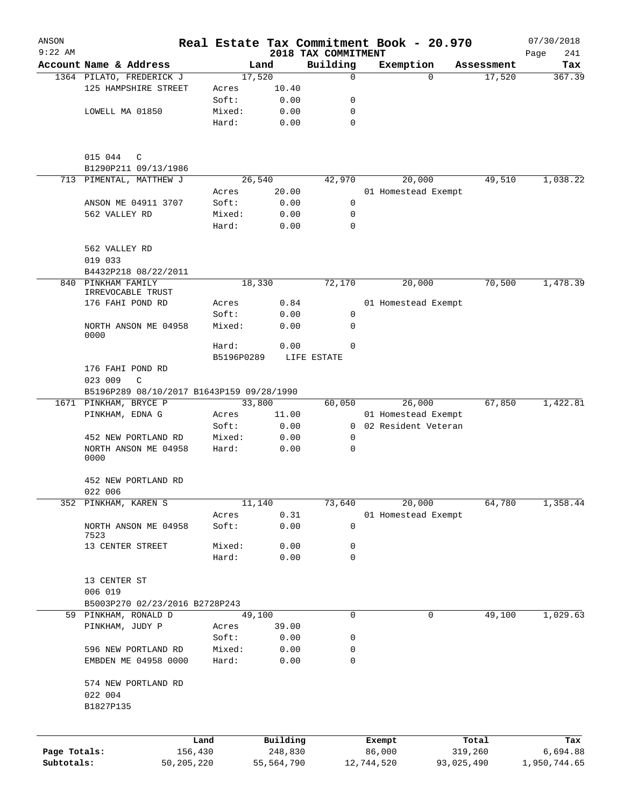| ANSON<br>$9:22$ AM |                                           |                     |              | 2018 TAX COMMITMENT | Real Estate Tax Commitment Book - 20.970 |            | 07/30/2018         |
|--------------------|-------------------------------------------|---------------------|--------------|---------------------|------------------------------------------|------------|--------------------|
|                    | Account Name & Address                    |                     | Land         | Building            | Exemption                                | Assessment | Page<br>241<br>Tax |
|                    | 1364 PILATO, FREDERICK J                  |                     | 17,520       | 0                   | $\Omega$                                 | 17,520     | 367.39             |
|                    | 125 HAMPSHIRE STREET                      | Acres               | 10.40        |                     |                                          |            |                    |
|                    |                                           | Soft:               | 0.00         | 0                   |                                          |            |                    |
|                    | LOWELL MA 01850                           | Mixed:              | 0.00         | $\mathbf 0$         |                                          |            |                    |
|                    |                                           | Hard:               | 0.00         | $\mathbf 0$         |                                          |            |                    |
|                    | 015 044<br>C                              |                     |              |                     |                                          |            |                    |
|                    | B1290P211 09/13/1986                      |                     |              |                     |                                          |            |                    |
|                    | 713 PIMENTAL, MATTHEW J                   |                     | 26,540       | 42,970              | 20,000                                   | 49,510     | 1,038.22           |
|                    |                                           | Acres               | 20.00        |                     | 01 Homestead Exempt                      |            |                    |
|                    | ANSON ME 04911 3707                       | Soft:               | 0.00         | 0                   |                                          |            |                    |
|                    | 562 VALLEY RD                             | Mixed:              | 0.00         | 0                   |                                          |            |                    |
|                    |                                           | Hard:               | 0.00         | 0                   |                                          |            |                    |
|                    | 562 VALLEY RD                             |                     |              |                     |                                          |            |                    |
|                    | 019 033                                   |                     |              |                     |                                          |            |                    |
| 840                | B4432P218 08/22/2011<br>PINKHAM FAMILY    |                     | 18,330       | 72,170              | 20,000                                   | 70,500     | 1,478.39           |
|                    | IRREVOCABLE TRUST                         |                     |              |                     |                                          |            |                    |
|                    | 176 FAHI POND RD                          | Acres               | 0.84         |                     | 01 Homestead Exempt                      |            |                    |
|                    |                                           | Soft:               | 0.00         | 0                   |                                          |            |                    |
|                    | NORTH ANSON ME 04958<br>0000              | Mixed:              | 0.00         | 0                   |                                          |            |                    |
|                    |                                           | Hard:<br>B5196P0289 | 0.00         | 0<br>LIFE ESTATE    |                                          |            |                    |
|                    | 176 FAHI POND RD                          |                     |              |                     |                                          |            |                    |
|                    | 023 009<br>C                              |                     |              |                     |                                          |            |                    |
|                    | B5196P289 08/10/2017 B1643P159 09/28/1990 |                     |              |                     |                                          |            |                    |
|                    | 1671 PINKHAM, BRYCE P                     |                     | 33,800       | 60,050              | 26,000                                   | 67,850     | 1,422.81           |
|                    | PINKHAM, EDNA G                           |                     | 11.00        |                     | 01 Homestead Exempt                      |            |                    |
|                    |                                           | Acres<br>Soft:      | 0.00         | $\mathbf{0}$        | 02 Resident Veteran                      |            |                    |
|                    | 452 NEW PORTLAND RD                       | Mixed:              | 0.00         | 0                   |                                          |            |                    |
|                    | NORTH ANSON ME 04958<br>0000              | Hard:               | 0.00         | 0                   |                                          |            |                    |
|                    | 452 NEW PORTLAND RD                       |                     |              |                     |                                          |            |                    |
|                    | 022 006                                   |                     |              |                     |                                          |            |                    |
|                    | 352 PINKHAM, KAREN S                      |                     | 11,140       | 73,640              | 20,000                                   | 64,780     | 1,358.44           |
|                    | NORTH ANSON ME 04958                      | Acres<br>Soft:      | 0.31<br>0.00 | 0                   | 01 Homestead Exempt                      |            |                    |
|                    | 7523<br>13 CENTER STREET                  | Mixed:              | 0.00         | 0                   |                                          |            |                    |
|                    |                                           | Hard:               | 0.00         | 0                   |                                          |            |                    |
|                    | 13 CENTER ST                              |                     |              |                     |                                          |            |                    |
|                    | 006 019                                   |                     |              |                     |                                          |            |                    |
|                    | B5003P270 02/23/2016 B2728P243            |                     |              |                     |                                          |            |                    |
|                    | 59 PINKHAM, RONALD D                      |                     | 49,100       | 0                   | 0                                        | 49,100     | 1,029.63           |
|                    | PINKHAM, JUDY P                           | Acres               | 39.00        |                     |                                          |            |                    |
|                    |                                           | Soft:               | 0.00         | 0                   |                                          |            |                    |
|                    | 596 NEW PORTLAND RD                       | Mixed:              | 0.00         | 0                   |                                          |            |                    |
|                    | EMBDEN ME 04958 0000                      | Hard:               | 0.00         | 0                   |                                          |            |                    |
|                    | 574 NEW PORTLAND RD                       |                     |              |                     |                                          |            |                    |
|                    | 022 004                                   |                     |              |                     |                                          |            |                    |
|                    | B1827P135                                 |                     |              |                     |                                          |            |                    |
|                    |                                           | Land                | Building     |                     | Exempt                                   | Total      | Tax                |
| Page Totals:       |                                           | 156,430             | 248,830      |                     | 86,000                                   | 319,260    | 6,694.88           |
| Subtotals:         | 50,205,220                                |                     | 55,564,790   |                     | 12,744,520                               | 93,025,490 | 1,950,744.65       |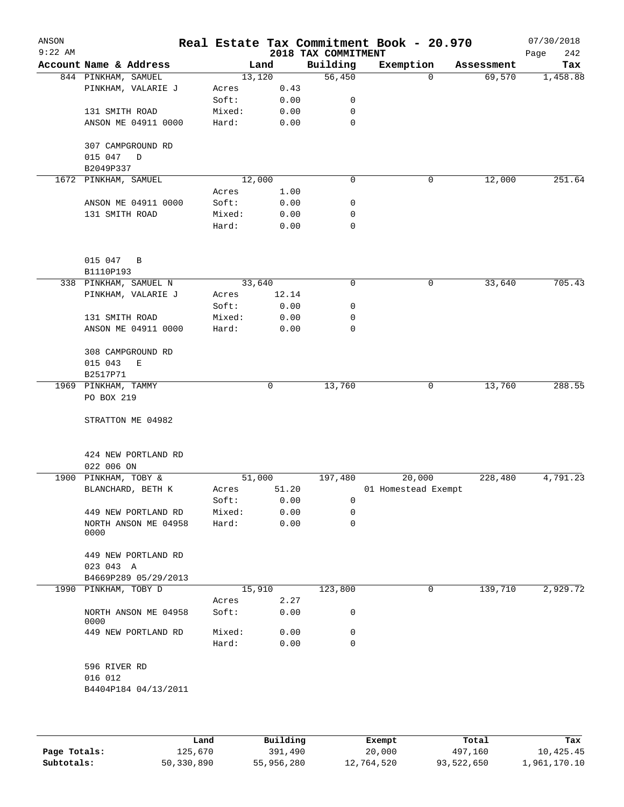| ANSON<br>$9:22$ AM |                                |        |         |       | 2018 TAX COMMITMENT | Real Estate Tax Commitment Book - 20.970 |            | 07/30/2018<br>242<br>Page |
|--------------------|--------------------------------|--------|---------|-------|---------------------|------------------------------------------|------------|---------------------------|
|                    | Account Name & Address         |        | Land    |       | Building            | Exemption                                | Assessment | Tax                       |
|                    | 844 PINKHAM, SAMUEL            |        | 13, 120 |       | 56,450              | $\Omega$                                 | 69,570     | 1,458.88                  |
|                    | PINKHAM, VALARIE J             | Acres  |         | 0.43  |                     |                                          |            |                           |
|                    |                                | Soft:  |         | 0.00  | 0                   |                                          |            |                           |
|                    | 131 SMITH ROAD                 | Mixed: |         | 0.00  | 0                   |                                          |            |                           |
|                    | ANSON ME 04911 0000            | Hard:  |         | 0.00  | 0                   |                                          |            |                           |
|                    | 307 CAMPGROUND RD<br>015 047 D |        |         |       |                     |                                          |            |                           |
|                    | B2049P337                      |        |         |       |                     |                                          |            |                           |
|                    | 1672 PINKHAM, SAMUEL           |        | 12,000  |       | 0                   | 0                                        | 12,000     | 251.64                    |
|                    |                                | Acres  |         | 1.00  |                     |                                          |            |                           |
|                    | ANSON ME 04911 0000            | Soft:  |         | 0.00  | 0                   |                                          |            |                           |
|                    | 131 SMITH ROAD                 | Mixed: |         | 0.00  | 0                   |                                          |            |                           |
|                    |                                | Hard:  |         | 0.00  | 0                   |                                          |            |                           |
|                    | 015 047 B                      |        |         |       |                     |                                          |            |                           |
|                    | B1110P193                      |        |         |       |                     |                                          |            |                           |
|                    | 338 PINKHAM, SAMUEL N          |        | 33,640  |       | 0                   | 0                                        | 33,640     | 705.43                    |
|                    | PINKHAM, VALARIE J             | Acres  |         | 12.14 |                     |                                          |            |                           |
|                    |                                | Soft:  |         | 0.00  | 0                   |                                          |            |                           |
|                    | 131 SMITH ROAD                 | Mixed: |         | 0.00  | 0                   |                                          |            |                           |
|                    | ANSON ME 04911 0000            | Hard:  |         | 0.00  | 0                   |                                          |            |                           |
|                    | 308 CAMPGROUND RD              |        |         |       |                     |                                          |            |                           |
|                    | 015 043<br>E                   |        |         |       |                     |                                          |            |                           |
|                    | B2517P71                       |        |         |       |                     |                                          |            |                           |
|                    | 1969 PINKHAM, TAMMY            |        | 0       |       | 13,760              | 0                                        | 13,760     | 288.55                    |
|                    | PO BOX 219                     |        |         |       |                     |                                          |            |                           |
|                    | STRATTON ME 04982              |        |         |       |                     |                                          |            |                           |
|                    | 424 NEW PORTLAND RD            |        |         |       |                     |                                          |            |                           |
|                    | 022 006 ON                     |        |         |       |                     |                                          |            |                           |
|                    | 1900 PINKHAM, TOBY &           |        | 51,000  |       | 197,480             | 20,000                                   | 228,480    | 4,791.23                  |
|                    | BLANCHARD, BETH K              | Acres  |         | 51.20 |                     | 01 Homestead Exempt                      |            |                           |
|                    |                                | Soft:  |         | 0.00  | 0                   |                                          |            |                           |
|                    | 449 NEW PORTLAND RD            | Mixed: |         | 0.00  | 0                   |                                          |            |                           |
|                    | NORTH ANSON ME 04958           | Hard:  |         | 0.00  | 0                   |                                          |            |                           |
|                    | 0000                           |        |         |       |                     |                                          |            |                           |
|                    | 449 NEW PORTLAND RD            |        |         |       |                     |                                          |            |                           |
|                    | 023 043 A                      |        |         |       |                     |                                          |            |                           |
|                    | B4669P289 05/29/2013           |        |         |       |                     |                                          |            |                           |
| 1990               | PINKHAM, TOBY D                |        | 15,910  |       | 123,800             | 0                                        | 139,710    | 2,929.72                  |
|                    |                                | Acres  |         | 2.27  |                     |                                          |            |                           |
|                    | NORTH ANSON ME 04958<br>0000   | Soft:  |         | 0.00  | 0                   |                                          |            |                           |
|                    | 449 NEW PORTLAND RD            | Mixed: |         | 0.00  | 0                   |                                          |            |                           |
|                    |                                | Hard:  |         | 0.00  | 0                   |                                          |            |                           |
|                    | 596 RIVER RD                   |        |         |       |                     |                                          |            |                           |
|                    | 016 012                        |        |         |       |                     |                                          |            |                           |
|                    | B4404P184 04/13/2011           |        |         |       |                     |                                          |            |                           |
|                    |                                |        |         |       |                     |                                          |            |                           |
|                    |                                |        |         |       |                     |                                          |            |                           |

|              | Land       | Building   | Exempt     | Total      | Tax          |
|--------------|------------|------------|------------|------------|--------------|
| Page Totals: | 125,670    | 391,490    | 20,000     | 497,160    | 10,425.45    |
| Subtotals:   | 50,330,890 | 55,956,280 | 12,764,520 | 93,522,650 | 1,961,170.10 |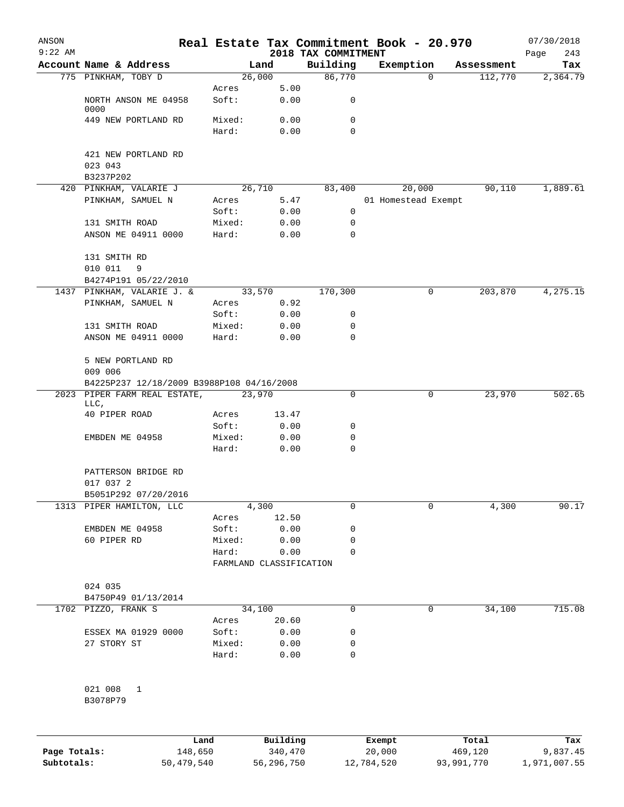| ANSON        |                                             |            |                         |            | Real Estate Tax Commitment Book - 20.970 |            |                               |                       | 07/30/2018      |
|--------------|---------------------------------------------|------------|-------------------------|------------|------------------------------------------|------------|-------------------------------|-----------------------|-----------------|
| $9:22$ AM    | Account Name & Address                      |            |                         | Land       | 2018 TAX COMMITMENT<br>Building          |            |                               |                       | 243<br>Page     |
|              | 775 PINKHAM, TOBY D                         |            | 26,000                  |            | 86,770                                   |            | Exemption<br>$\Omega$         | Assessment<br>112,770 | Tax<br>2,364.79 |
|              |                                             |            | Acres                   | 5.00       |                                          |            |                               |                       |                 |
|              | NORTH ANSON ME 04958<br>0000                |            | Soft:                   | 0.00       | 0                                        |            |                               |                       |                 |
|              | 449 NEW PORTLAND RD                         |            | Mixed:                  | 0.00       | $\mathbf 0$                              |            |                               |                       |                 |
|              |                                             |            | Hard:                   | 0.00       | $\Omega$                                 |            |                               |                       |                 |
|              | 421 NEW PORTLAND RD                         |            |                         |            |                                          |            |                               |                       |                 |
|              | 023 043                                     |            |                         |            |                                          |            |                               |                       |                 |
|              | B3237P202                                   |            | 26,710                  |            |                                          |            |                               | 90,110                | 1,889.61        |
|              | 420 PINKHAM, VALARIE J<br>PINKHAM, SAMUEL N |            | Acres                   | 5.47       | 83,400                                   |            | 20,000<br>01 Homestead Exempt |                       |                 |
|              |                                             |            | Soft:                   | 0.00       | 0                                        |            |                               |                       |                 |
|              | 131 SMITH ROAD                              |            | Mixed:                  | 0.00       | 0                                        |            |                               |                       |                 |
|              | ANSON ME 04911 0000                         |            | Hard:                   | 0.00       | $\mathbf 0$                              |            |                               |                       |                 |
|              | 131 SMITH RD                                |            |                         |            |                                          |            |                               |                       |                 |
|              | 010 011<br>9                                |            |                         |            |                                          |            |                               |                       |                 |
|              | B4274P191 05/22/2010                        |            |                         |            |                                          |            |                               |                       |                 |
| 1437         | PINKHAM, VALARIE J. &                       |            | 33,570                  |            | 170,300                                  |            | 0                             | 203,870               | 4,275.15        |
|              | PINKHAM, SAMUEL N                           |            | Acres                   | 0.92       |                                          |            |                               |                       |                 |
|              |                                             |            | Soft:                   | 0.00       | 0                                        |            |                               |                       |                 |
|              | 131 SMITH ROAD                              |            | Mixed:                  | 0.00       | 0                                        |            |                               |                       |                 |
|              | ANSON ME 04911 0000                         |            | Hard:                   | 0.00       | 0                                        |            |                               |                       |                 |
|              | 5 NEW PORTLAND RD<br>009 006                |            |                         |            |                                          |            |                               |                       |                 |
|              | B4225P237 12/18/2009 B3988P108 04/16/2008   |            |                         |            |                                          |            |                               |                       |                 |
| 2023         | PIPER FARM REAL ESTATE,<br>LLC,             |            | 23,970                  |            | 0                                        |            | 0                             | 23,970                | 502.65          |
|              | 40 PIPER ROAD                               |            | Acres                   | 13.47      |                                          |            |                               |                       |                 |
|              |                                             |            | Soft:                   | 0.00       | 0                                        |            |                               |                       |                 |
|              | EMBDEN ME 04958                             |            | Mixed:                  | 0.00       | 0                                        |            |                               |                       |                 |
|              |                                             |            | Hard:                   | 0.00       | 0                                        |            |                               |                       |                 |
|              | PATTERSON BRIDGE RD<br>017 037 2            |            |                         |            |                                          |            |                               |                       |                 |
|              | B5051P292 07/20/2016                        |            |                         |            |                                          |            |                               |                       |                 |
| 1313         | PIPER HAMILTON, LLC                         |            |                         | 4,300      | 0                                        |            | 0                             | 4,300                 | 90.17           |
|              |                                             |            | Acres                   | 12.50      |                                          |            |                               |                       |                 |
|              | EMBDEN ME 04958                             |            | Soft:                   | 0.00       | 0                                        |            |                               |                       |                 |
|              | 60 PIPER RD                                 |            | Mixed:                  | 0.00       | 0                                        |            |                               |                       |                 |
|              |                                             |            | Hard:                   | 0.00       | 0                                        |            |                               |                       |                 |
|              |                                             |            | FARMLAND CLASSIFICATION |            |                                          |            |                               |                       |                 |
|              | 024 035                                     |            |                         |            |                                          |            |                               |                       |                 |
|              | B4750P49 01/13/2014                         |            |                         |            |                                          |            |                               |                       |                 |
| 1702         | PIZZO, FRANK S                              |            | 34,100                  |            | 0                                        |            | 0                             | 34,100                | 715.08          |
|              |                                             |            | Acres                   | 20.60      |                                          |            |                               |                       |                 |
|              | ESSEX MA 01929 0000                         |            | Soft:                   | 0.00       | 0                                        |            |                               |                       |                 |
|              | 27 STORY ST                                 |            | Mixed:                  | 0.00       | 0                                        |            |                               |                       |                 |
|              |                                             |            | Hard:                   | 0.00       | 0                                        |            |                               |                       |                 |
|              | 021 008<br>1                                |            |                         |            |                                          |            |                               |                       |                 |
|              | B3078P79                                    |            |                         |            |                                          |            |                               |                       |                 |
|              |                                             | Land       |                         | Building   |                                          | Exempt     |                               | Total                 | Tax             |
| Page Totals: |                                             | 148,650    |                         | 340,470    |                                          | 20,000     |                               | 469,120               | 9,837.45        |
| Subtotals:   |                                             | 50,479,540 |                         | 56,296,750 |                                          | 12,784,520 |                               | 93,991,770            | 1,971,007.55    |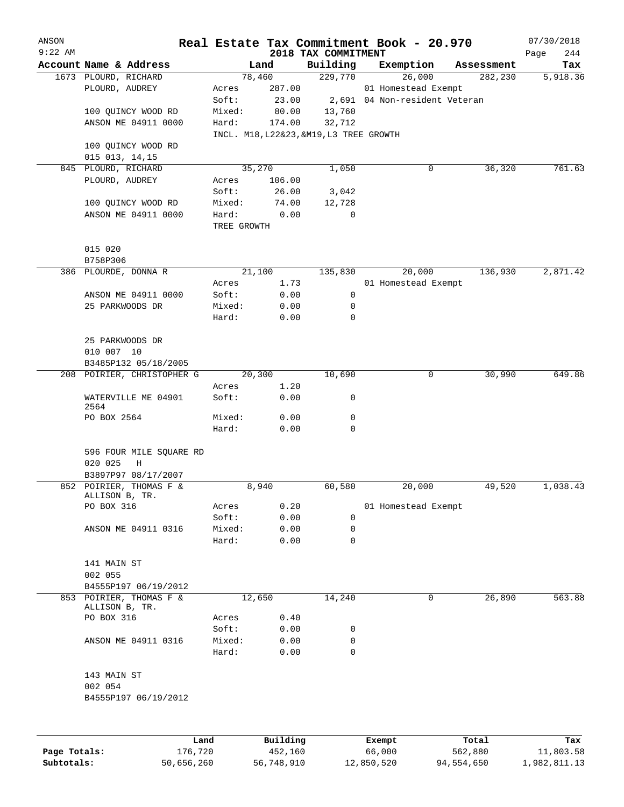| ANSON<br>$9:22$ AM |                              |             |          | 2018 TAX COMMITMENT                     | Real Estate Tax Commitment Book - 20.970 |            | 07/30/2018<br>244<br>Page |
|--------------------|------------------------------|-------------|----------|-----------------------------------------|------------------------------------------|------------|---------------------------|
|                    | Account Name & Address       |             | Land     | Building                                | Exemption                                | Assessment | Tax                       |
|                    | 1673 PLOURD, RICHARD         | 78,460      |          | 229,770                                 | 26,000                                   | 282,230    | 5,918.36                  |
|                    | PLOURD, AUDREY               | Acres       | 287.00   |                                         | 01 Homestead Exempt                      |            |                           |
|                    |                              | Soft:       | 23.00    |                                         | 2,691 04 Non-resident Veteran            |            |                           |
|                    | 100 QUINCY WOOD RD           | Mixed:      | 80.00    | 13,760                                  |                                          |            |                           |
|                    | ANSON ME 04911 0000          | Hard:       | 174.00   | 32,712                                  |                                          |            |                           |
|                    |                              |             |          | INCL. M18, L22&23, &M19, L3 TREE GROWTH |                                          |            |                           |
|                    | 100 QUINCY WOOD RD           |             |          |                                         |                                          |            |                           |
|                    | 015 013, 14, 15              |             |          |                                         |                                          |            |                           |
| 845                | PLOURD, RICHARD              | 35,270      |          | 1,050                                   | 0                                        | 36,320     | 761.63                    |
|                    | PLOURD, AUDREY               | Acres       | 106.00   |                                         |                                          |            |                           |
|                    |                              | Soft:       | 26.00    | 3,042                                   |                                          |            |                           |
|                    | 100 QUINCY WOOD RD           | Mixed:      | 74.00    | 12,728                                  |                                          |            |                           |
|                    | ANSON ME 04911 0000          | Hard:       | 0.00     | 0                                       |                                          |            |                           |
|                    |                              | TREE GROWTH |          |                                         |                                          |            |                           |
|                    | 015 020                      |             |          |                                         |                                          |            |                           |
|                    | B758P306                     |             |          |                                         |                                          |            |                           |
|                    | 386 PLOURDE, DONNA R         | 21,100      |          | 135,830                                 | 20,000                                   | 136,930    | 2,871.42                  |
|                    |                              | Acres       | 1.73     |                                         | 01 Homestead Exempt                      |            |                           |
|                    | ANSON ME 04911 0000          | Soft:       | 0.00     | 0                                       |                                          |            |                           |
|                    | 25 PARKWOODS DR              | Mixed:      | 0.00     | 0                                       |                                          |            |                           |
|                    |                              | Hard:       | 0.00     | 0                                       |                                          |            |                           |
|                    | 25 PARKWOODS DR              |             |          |                                         |                                          |            |                           |
|                    | 010 007 10                   |             |          |                                         |                                          |            |                           |
|                    | B3485P132 05/18/2005         |             |          |                                         |                                          |            |                           |
|                    | 208 POIRIER, CHRISTOPHER G   | 20,300      |          | 10,690                                  | 0                                        | 30,990     | 649.86                    |
|                    |                              | Acres       | 1.20     |                                         |                                          |            |                           |
|                    | WATERVILLE ME 04901<br>2564  | Soft:       | 0.00     | 0                                       |                                          |            |                           |
|                    | PO BOX 2564                  | Mixed:      | 0.00     | 0                                       |                                          |            |                           |
|                    |                              | Hard:       | 0.00     | 0                                       |                                          |            |                           |
|                    | 596 FOUR MILE SQUARE RD      |             |          |                                         |                                          |            |                           |
|                    | 020 025<br>Η                 |             |          |                                         |                                          |            |                           |
|                    | B3897P97 08/17/2007          |             |          |                                         |                                          |            |                           |
|                    | 852 POIRIER, THOMAS F &      |             | 8,940    | 60,580                                  | 20,000                                   | 49,520     | 1,038.43                  |
|                    | ALLISON B, TR.               |             |          |                                         |                                          |            |                           |
|                    | PO BOX 316                   | Acres       | 0.20     |                                         | 01 Homestead Exempt                      |            |                           |
|                    |                              | Soft:       | 0.00     | 0                                       |                                          |            |                           |
|                    | ANSON ME 04911 0316          | Mixed:      | 0.00     | 0                                       |                                          |            |                           |
|                    |                              | Hard:       | 0.00     | 0                                       |                                          |            |                           |
|                    | 141 MAIN ST                  |             |          |                                         |                                          |            |                           |
|                    | 002 055                      |             |          |                                         |                                          |            |                           |
|                    | B4555P197 06/19/2012         |             |          |                                         |                                          |            |                           |
|                    | 853 POIRIER, THOMAS F &      | 12,650      |          | 14,240                                  | 0                                        | 26,890     | 563.88                    |
|                    | ALLISON B, TR.<br>PO BOX 316 | Acres       | 0.40     |                                         |                                          |            |                           |
|                    |                              | Soft:       | 0.00     | 0                                       |                                          |            |                           |
|                    | ANSON ME 04911 0316          | Mixed:      | 0.00     | 0                                       |                                          |            |                           |
|                    |                              | Hard:       | 0.00     | 0                                       |                                          |            |                           |
|                    | 143 MAIN ST                  |             |          |                                         |                                          |            |                           |
|                    | 002 054                      |             |          |                                         |                                          |            |                           |
|                    | B4555P197 06/19/2012         |             |          |                                         |                                          |            |                           |
|                    |                              |             |          |                                         |                                          |            |                           |
|                    |                              |             |          |                                         |                                          |            |                           |
|                    |                              | Land        | Building |                                         | Exempt                                   | Total      | Tax                       |

**Page Totals:** 176,720 452,160 66,000 562,880 11,803.58 **Subtotals:** 50,656,260 56,748,910 12,850,520 94,554,650 1,982,811.13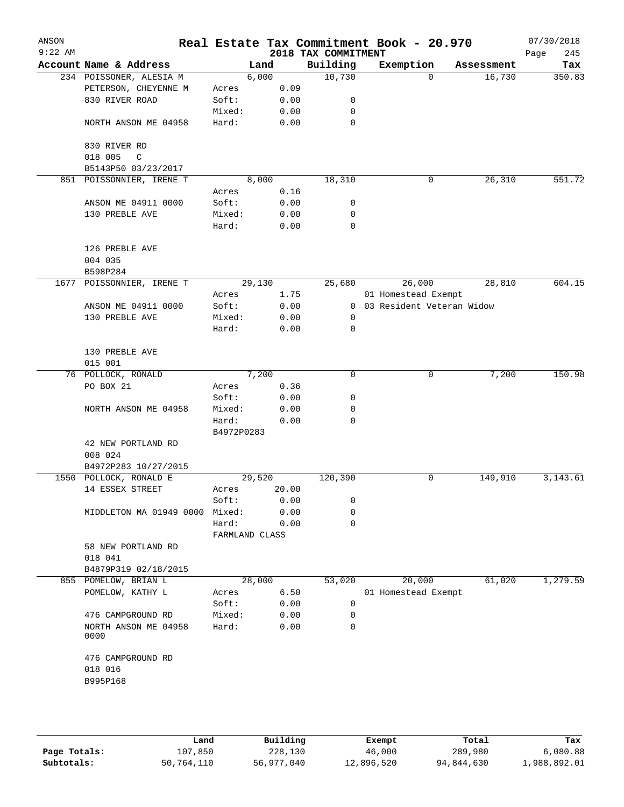| ANSON<br>$9:22$ AM |                                                   |                     |        |              | 2018 TAX COMMITMENT | Real Estate Tax Commitment Book - 20.970 |            | 07/30/2018<br>245<br>Page |
|--------------------|---------------------------------------------------|---------------------|--------|--------------|---------------------|------------------------------------------|------------|---------------------------|
|                    | Account Name & Address                            |                     | Land   |              | Building            | Exemption                                | Assessment | Tax                       |
|                    | 234 POISSONER, ALESIA M                           |                     | 6,000  |              | 10,730              | $\Omega$                                 | 16,730     | 350.83                    |
|                    | PETERSON, CHEYENNE M                              | Acres               |        | 0.09         |                     |                                          |            |                           |
|                    | 830 RIVER ROAD                                    | Soft:               |        | 0.00         | 0                   |                                          |            |                           |
|                    |                                                   | Mixed:              |        | 0.00         | 0                   |                                          |            |                           |
|                    | NORTH ANSON ME 04958                              | Hard:               |        | 0.00         | 0                   |                                          |            |                           |
|                    | 830 RIVER RD                                      |                     |        |              |                     |                                          |            |                           |
|                    | 018 005<br>$\mathsf{C}$<br>B5143P50 03/23/2017    |                     |        |              |                     |                                          |            |                           |
|                    | 851 POISSONNIER, IRENE T                          |                     | 8,000  |              | 18,310              | 0                                        | 26,310     | 551.72                    |
|                    |                                                   | Acres               |        | 0.16         |                     |                                          |            |                           |
|                    | ANSON ME 04911 0000                               | Soft:               |        | 0.00         | 0                   |                                          |            |                           |
|                    | 130 PREBLE AVE                                    | Mixed:              |        | 0.00         | 0                   |                                          |            |                           |
|                    |                                                   | Hard:               |        | 0.00         | 0                   |                                          |            |                           |
|                    | 126 PREBLE AVE                                    |                     |        |              |                     |                                          |            |                           |
|                    | 004 035                                           |                     |        |              |                     |                                          |            |                           |
|                    | B598P284                                          |                     |        |              |                     |                                          |            |                           |
| 1677               | POISSONNIER, IRENE T                              |                     | 29,130 |              | 25,680              | 26,000                                   | 28,810     | 604.15                    |
|                    |                                                   | Acres               |        | 1.75         |                     | 01 Homestead Exempt                      |            |                           |
|                    | ANSON ME 04911 0000                               | Soft:               |        | 0.00         | $\overline{0}$      | 03 Resident Veteran Widow                |            |                           |
|                    | 130 PREBLE AVE                                    | Mixed:              |        | 0.00         | 0                   |                                          |            |                           |
|                    |                                                   | Hard:               |        | 0.00         | $\mathbf 0$         |                                          |            |                           |
|                    | 130 PREBLE AVE                                    |                     |        |              |                     |                                          |            |                           |
|                    | 015 001                                           |                     |        |              |                     |                                          |            |                           |
|                    | 76 POLLOCK, RONALD                                |                     | 7,200  |              | 0                   | 0                                        | 7,200      | 150.98                    |
|                    | PO BOX 21                                         | Acres               |        | 0.36         |                     |                                          |            |                           |
|                    |                                                   | Soft:               |        | 0.00         | 0                   |                                          |            |                           |
|                    | NORTH ANSON ME 04958                              | Mixed:              |        | 0.00         | 0                   |                                          |            |                           |
|                    |                                                   | Hard:<br>B4972P0283 |        | 0.00         | $\Omega$            |                                          |            |                           |
|                    | 42 NEW PORTLAND RD                                |                     |        |              |                     |                                          |            |                           |
|                    | 008 024                                           |                     |        |              |                     |                                          |            |                           |
|                    | B4972P283 10/27/2015                              |                     |        |              |                     |                                          |            |                           |
|                    | 1550 POLLOCK, RONALD E                            |                     | 29,520 |              | 120,390             | 0                                        | 149,910    | 3, 143.61                 |
|                    | 14 ESSEX STREET                                   | Acres               |        | 20.00        |                     |                                          |            |                           |
|                    |                                                   | Soft:               |        | 0.00         | 0                   |                                          |            |                           |
|                    | MIDDLETON MA 01949 0000                           | Mixed:              |        | 0.00         | 0                   |                                          |            |                           |
|                    |                                                   | Hard:               |        | 0.00         | 0                   |                                          |            |                           |
|                    |                                                   | FARMLAND CLASS      |        |              |                     |                                          |            |                           |
|                    | 58 NEW PORTLAND RD                                |                     |        |              |                     |                                          |            |                           |
|                    | 018 041                                           |                     |        |              |                     |                                          |            |                           |
|                    | B4879P319 02/18/2015                              |                     |        |              |                     |                                          |            |                           |
|                    | 855 POMELOW, BRIAN L                              |                     | 28,000 |              | 53,020              | 20,000                                   | 61,020     | 1,279.59                  |
|                    | POMELOW, KATHY L                                  | Acres               |        | 6.50         |                     | 01 Homestead Exempt                      |            |                           |
|                    |                                                   |                     |        | 0.00         | $\mathbf 0$         |                                          |            |                           |
|                    |                                                   | Soft:               |        |              |                     |                                          |            |                           |
|                    | 476 CAMPGROUND RD<br>NORTH ANSON ME 04958<br>0000 | Mixed:<br>Hard:     |        | 0.00<br>0.00 | $\mathbf 0$<br>0    |                                          |            |                           |
|                    |                                                   |                     |        |              |                     |                                          |            |                           |
|                    | 476 CAMPGROUND RD                                 |                     |        |              |                     |                                          |            |                           |
|                    | 018 016                                           |                     |        |              |                     |                                          |            |                           |
|                    | B995P168                                          |                     |        |              |                     |                                          |            |                           |
|                    |                                                   |                     |        |              |                     |                                          |            |                           |
|                    |                                                   |                     |        |              |                     |                                          |            |                           |
|                    |                                                   |                     |        |              |                     |                                          |            |                           |

|              | Land       | Building   | Exempt     | Total      | Tax          |
|--------------|------------|------------|------------|------------|--------------|
| Page Totals: | 107,850    | 228,130    | 46,000     | 289,980    | 6,080.88     |
| Subtotals:   | 50,764,110 | 56,977,040 | 12,896,520 | 94,844,630 | 1,988,892.01 |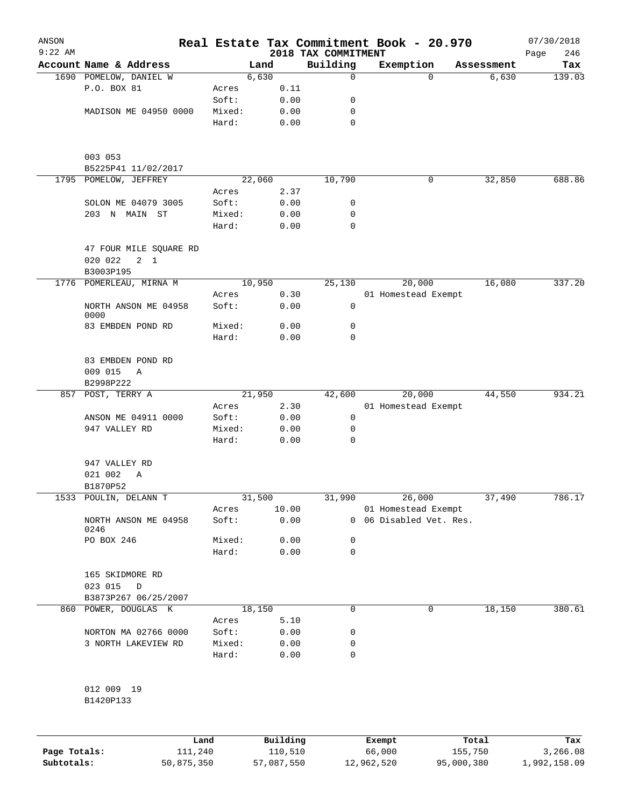| ANSON        |                                                  |        |        |          |                                 | Real Estate Tax Commitment Book - 20.970 |                     | 07/30/2018    |
|--------------|--------------------------------------------------|--------|--------|----------|---------------------------------|------------------------------------------|---------------------|---------------|
| $9:22$ AM    | Account Name & Address                           |        | Land   |          | 2018 TAX COMMITMENT<br>Building | Exemption                                |                     | 246<br>Page   |
|              | 1690 POMELOW, DANIEL W                           |        | 6,630  |          | 0                               | $\Omega$                                 | Assessment<br>6,630 | Tax<br>139.03 |
|              | P.O. BOX 81                                      | Acres  |        | 0.11     |                                 |                                          |                     |               |
|              |                                                  | Soft:  |        | 0.00     | 0                               |                                          |                     |               |
|              | MADISON ME 04950 0000                            | Mixed: |        | 0.00     | 0                               |                                          |                     |               |
|              |                                                  |        |        |          | 0                               |                                          |                     |               |
|              |                                                  | Hard:  |        | 0.00     |                                 |                                          |                     |               |
|              | 003 053<br>B5225P41 11/02/2017                   |        |        |          |                                 |                                          |                     |               |
|              | 1795 POMELOW, JEFFREY                            |        | 22,060 |          | 10,790                          | 0                                        | 32,850              | 688.86        |
|              |                                                  | Acres  |        | 2.37     |                                 |                                          |                     |               |
|              | SOLON ME 04079 3005                              | Soft:  |        | 0.00     | 0                               |                                          |                     |               |
|              | 203 N MAIN ST                                    | Mixed: |        | 0.00     | 0                               |                                          |                     |               |
|              |                                                  | Hard:  |        | 0.00     | 0                               |                                          |                     |               |
|              | 47 FOUR MILE SQUARE RD<br>020 022<br>$2 \quad 1$ |        |        |          |                                 |                                          |                     |               |
|              | B3003P195                                        |        |        |          |                                 |                                          |                     |               |
|              | 1776 POMERLEAU, MIRNA M                          |        | 10,950 |          | 25,130                          | 20,000                                   | 16,080              | 337.20        |
|              |                                                  | Acres  |        | 0.30     |                                 | 01 Homestead Exempt                      |                     |               |
|              | NORTH ANSON ME 04958<br>0000                     | Soft:  |        | 0.00     | 0                               |                                          |                     |               |
|              | 83 EMBDEN POND RD                                | Mixed: |        | 0.00     | 0                               |                                          |                     |               |
|              |                                                  | Hard:  |        | 0.00     | 0                               |                                          |                     |               |
|              | 83 EMBDEN POND RD                                |        |        |          |                                 |                                          |                     |               |
|              | 009 015<br>Α                                     |        |        |          |                                 |                                          |                     |               |
|              | B2998P222                                        |        |        |          |                                 |                                          |                     |               |
| 857          | POST, TERRY A                                    |        | 21,950 |          | 42,600                          | 20,000                                   | 44,550              | 934.21        |
|              |                                                  | Acres  |        | 2.30     |                                 | 01 Homestead Exempt                      |                     |               |
|              | ANSON ME 04911 0000                              | Soft:  |        | 0.00     | 0                               |                                          |                     |               |
|              | 947 VALLEY RD                                    | Mixed: |        | 0.00     | 0                               |                                          |                     |               |
|              |                                                  | Hard:  |        | 0.00     | $\mathbf 0$                     |                                          |                     |               |
|              | 947 VALLEY RD                                    |        |        |          |                                 |                                          |                     |               |
|              | 021 002<br>Α                                     |        |        |          |                                 |                                          |                     |               |
|              | B1870P52                                         |        |        |          |                                 |                                          |                     |               |
|              | 1533 POULIN, DELANN T                            |        | 31,500 |          | 31,990                          | 26,000                                   | 37,490              | 786.17        |
|              |                                                  | Acres  |        | 10.00    |                                 | 01 Homestead Exempt                      |                     |               |
|              | NORTH ANSON ME 04958                             | Soft:  |        | 0.00     | $\overline{0}$                  | 06 Disabled Vet. Res.                    |                     |               |
|              | 0246                                             | Mixed: |        | 0.00     |                                 |                                          |                     |               |
|              | PO BOX 246                                       |        |        |          | 0                               |                                          |                     |               |
|              |                                                  | Hard:  |        | 0.00     | 0                               |                                          |                     |               |
|              | 165 SKIDMORE RD<br>023 015<br>D                  |        |        |          |                                 |                                          |                     |               |
|              | B3873P267 06/25/2007                             |        |        |          |                                 |                                          |                     |               |
| 860          | POWER, DOUGLAS K                                 |        | 18,150 |          | $\mathbf 0$                     | $\mathbf 0$                              | 18,150              | 380.61        |
|              |                                                  | Acres  |        | 5.10     |                                 |                                          |                     |               |
|              | NORTON MA 02766 0000                             | Soft:  |        | 0.00     | 0                               |                                          |                     |               |
|              | 3 NORTH LAKEVIEW RD                              | Mixed: |        | 0.00     | 0                               |                                          |                     |               |
|              |                                                  | Hard:  |        | 0.00     | $\mathbf 0$                     |                                          |                     |               |
|              | 012 009 19                                       |        |        |          |                                 |                                          |                     |               |
|              | B1420P133                                        |        |        |          |                                 |                                          |                     |               |
|              |                                                  |        |        |          |                                 |                                          |                     |               |
|              | Land                                             |        |        | Building |                                 | Exempt                                   | Total               | Tax           |
| Page Totals: | 111,240                                          |        |        | 110,510  |                                 | 66,000                                   | 155,750             | 3,266.08      |

**Subtotals:** 50,875,350 57,087,550 12,962,520 95,000,380 1,992,158.09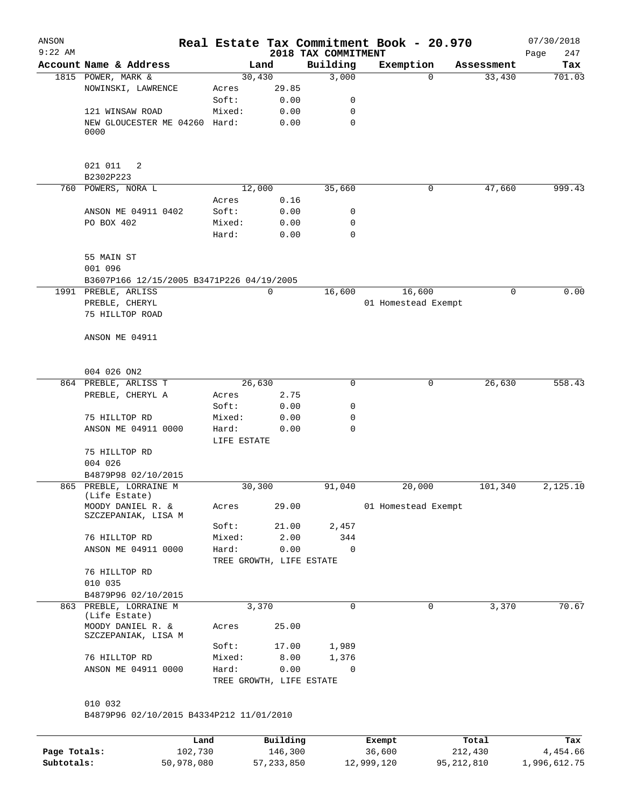| ANSON<br>$9:22$ AM |                                           |                          |       | 2018 TAX COMMITMENT | Real Estate Tax Commitment Book - 20.970 |            | 07/30/2018<br>247<br>Page |
|--------------------|-------------------------------------------|--------------------------|-------|---------------------|------------------------------------------|------------|---------------------------|
|                    | Account Name & Address                    |                          | Land  | Building            | Exemption                                | Assessment | Tax                       |
|                    | 1815 POWER, MARK &                        | 30,430                   |       | 3,000               | $\Omega$                                 | 33,430     | 701.03                    |
|                    | NOWINSKI, LAWRENCE                        | Acres                    | 29.85 |                     |                                          |            |                           |
|                    |                                           | Soft:                    | 0.00  | 0                   |                                          |            |                           |
|                    | 121 WINSAW ROAD                           | Mixed:                   | 0.00  | 0                   |                                          |            |                           |
|                    | NEW GLOUCESTER ME 04260 Hard:<br>0000     |                          | 0.00  | 0                   |                                          |            |                           |
|                    | 021 011<br>2                              |                          |       |                     |                                          |            |                           |
|                    | B2302P223                                 |                          |       |                     |                                          |            |                           |
|                    | 760 POWERS, NORA L                        | 12,000                   |       | 35,660              | 0                                        | 47,660     | 999.43                    |
|                    |                                           | Acres                    | 0.16  |                     |                                          |            |                           |
|                    | ANSON ME 04911 0402                       | Soft:                    | 0.00  | 0                   |                                          |            |                           |
|                    | PO BOX 402                                | Mixed:                   | 0.00  | 0                   |                                          |            |                           |
|                    |                                           | Hard:                    | 0.00  | $\mathbf 0$         |                                          |            |                           |
|                    | 55 MAIN ST                                |                          |       |                     |                                          |            |                           |
|                    | 001 096                                   |                          |       |                     |                                          |            |                           |
|                    | B3607P166 12/15/2005 B3471P226 04/19/2005 |                          |       |                     |                                          |            |                           |
|                    | 1991 PREBLE, ARLISS                       |                          | 0     | 16,600              | 16,600                                   | 0          | 0.00                      |
|                    | PREBLE, CHERYL                            |                          |       |                     | 01 Homestead Exempt                      |            |                           |
|                    | 75 HILLTOP ROAD                           |                          |       |                     |                                          |            |                           |
|                    |                                           |                          |       |                     |                                          |            |                           |
|                    | ANSON ME 04911                            |                          |       |                     |                                          |            |                           |
|                    | 004 026 ON2                               |                          |       |                     |                                          |            |                           |
|                    | 864 PREBLE, ARLISS T                      | 26,630                   |       | 0                   | 0                                        | 26,630     | 558.43                    |
|                    | PREBLE, CHERYL A                          | Acres                    | 2.75  |                     |                                          |            |                           |
|                    |                                           | Soft:                    | 0.00  | 0                   |                                          |            |                           |
|                    | 75 HILLTOP RD                             | Mixed:                   | 0.00  | 0                   |                                          |            |                           |
|                    | ANSON ME 04911 0000                       | Hard:                    | 0.00  | 0                   |                                          |            |                           |
|                    |                                           | LIFE ESTATE              |       |                     |                                          |            |                           |
|                    | 75 HILLTOP RD                             |                          |       |                     |                                          |            |                           |
|                    | 004 026                                   |                          |       |                     |                                          |            |                           |
|                    | B4879P98 02/10/2015                       |                          |       |                     |                                          |            |                           |
|                    | 865 PREBLE, LORRAINE M<br>(Life Estate)   | 30,300                   |       | 91,040              | 20,000                                   | 101,340    | 2,125.10                  |
|                    | MOODY DANIEL R. &<br>SZCZEPANIAK, LISA M  | Acres                    | 29.00 |                     | 01 Homestead Exempt                      |            |                           |
|                    |                                           | Soft:                    | 21.00 | 2,457               |                                          |            |                           |
|                    | 76 HILLTOP RD                             | Mixed:                   | 2.00  | 344                 |                                          |            |                           |
|                    | ANSON ME 04911 0000                       | Hard:                    | 0.00  | $\mathbf 0$         |                                          |            |                           |
|                    |                                           | TREE GROWTH, LIFE ESTATE |       |                     |                                          |            |                           |
|                    | 76 HILLTOP RD                             |                          |       |                     |                                          |            |                           |
|                    | 010 035                                   |                          |       |                     |                                          |            |                           |
|                    | B4879P96 02/10/2015                       |                          |       |                     |                                          |            |                           |
|                    | 863 PREBLE, LORRAINE M                    |                          | 3,370 | 0                   | 0                                        | 3,370      | 70.67                     |
|                    | (Life Estate)                             |                          |       |                     |                                          |            |                           |
|                    | MOODY DANIEL R. &<br>SZCZEPANIAK, LISA M  | Acres                    | 25.00 |                     |                                          |            |                           |
|                    |                                           | Soft:                    | 17.00 | 1,989               |                                          |            |                           |
|                    | 76 HILLTOP RD                             | Mixed:                   | 8.00  | 1,376               |                                          |            |                           |
|                    | ANSON ME 04911 0000                       | Hard:                    | 0.00  | 0                   |                                          |            |                           |
|                    |                                           | TREE GROWTH, LIFE ESTATE |       |                     |                                          |            |                           |
|                    |                                           |                          |       |                     |                                          |            |                           |
|                    | 010 032                                   |                          |       |                     |                                          |            |                           |
|                    | B4879P96 02/10/2015 B4334P212 11/01/2010  |                          |       |                     |                                          |            |                           |
|                    |                                           |                          |       |                     |                                          |            |                           |

|              | Land       | Building   | Exempt     | Total      | Tax          |
|--------------|------------|------------|------------|------------|--------------|
| Page Totals: | 102,730    | 146,300    | 36,600     | 212,430    | 4,454.66     |
| Subtotals:   | 50,978,080 | 57,233,850 | 12,999,120 | 95,212,810 | 1,996,612.75 |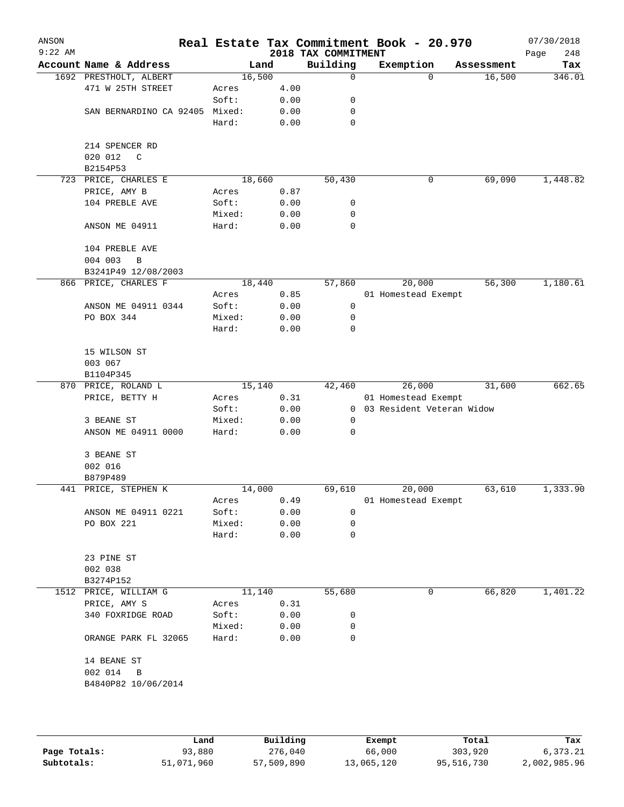| ANSON<br>$9:22$ AM |                         |        |      | 2018 TAX COMMITMENT | Real Estate Tax Commitment Book - 20.970 |            | 07/30/2018<br>248<br>Page |
|--------------------|-------------------------|--------|------|---------------------|------------------------------------------|------------|---------------------------|
|                    | Account Name & Address  | Land   |      | Building            | Exemption                                | Assessment | Tax                       |
|                    | 1692 PRESTHOLT, ALBERT  | 16,500 |      | $\mathbf 0$         | $\Omega$                                 | 16,500     | 346.01                    |
|                    | 471 W 25TH STREET       | Acres  | 4.00 |                     |                                          |            |                           |
|                    |                         | Soft:  | 0.00 | 0                   |                                          |            |                           |
|                    | SAN BERNARDINO CA 92405 | Mixed: | 0.00 | 0                   |                                          |            |                           |
|                    |                         | Hard:  | 0.00 | 0                   |                                          |            |                           |
|                    | 214 SPENCER RD          |        |      |                     |                                          |            |                           |
|                    | 020 012<br>C            |        |      |                     |                                          |            |                           |
|                    | B2154P53                |        |      |                     |                                          |            |                           |
| 723                | PRICE, CHARLES E        | 18,660 |      | 50, 430             | 0                                        | 69,090     | 1,448.82                  |
|                    | PRICE, AMY B            | Acres  | 0.87 |                     |                                          |            |                           |
|                    | 104 PREBLE AVE          | Soft:  | 0.00 | 0                   |                                          |            |                           |
|                    |                         | Mixed: | 0.00 | 0                   |                                          |            |                           |
|                    | ANSON ME 04911          | Hard:  | 0.00 | 0                   |                                          |            |                           |
|                    | 104 PREBLE AVE          |        |      |                     |                                          |            |                           |
|                    | 004 003<br>B            |        |      |                     |                                          |            |                           |
|                    | B3241P49 12/08/2003     |        |      |                     |                                          |            |                           |
|                    | 866 PRICE, CHARLES F    | 18,440 |      | 57,860              | 20,000                                   | 56,300     | 1,180.61                  |
|                    |                         | Acres  | 0.85 |                     | 01 Homestead Exempt                      |            |                           |
|                    | ANSON ME 04911 0344     | Soft:  | 0.00 | 0                   |                                          |            |                           |
|                    | PO BOX 344              | Mixed: | 0.00 | 0                   |                                          |            |                           |
|                    |                         | Hard:  | 0.00 | 0                   |                                          |            |                           |
|                    | 15 WILSON ST            |        |      |                     |                                          |            |                           |
|                    | 003 067                 |        |      |                     |                                          |            |                           |
|                    | B1104P345               |        |      |                     |                                          |            |                           |
|                    | 870 PRICE, ROLAND L     | 15,140 |      | 42,460              | 26,000                                   | 31,600     | 662.65                    |
|                    | PRICE, BETTY H          | Acres  | 0.31 |                     | 01 Homestead Exempt                      |            |                           |
|                    |                         | Soft:  | 0.00 | $\mathbf{0}$        | 03 Resident Veteran Widow                |            |                           |
|                    | 3 BEANE ST              | Mixed: | 0.00 | 0                   |                                          |            |                           |
|                    | ANSON ME 04911 0000     | Hard:  | 0.00 | $\mathbf 0$         |                                          |            |                           |
|                    | 3 BEANE ST              |        |      |                     |                                          |            |                           |
|                    | 002 016                 |        |      |                     |                                          |            |                           |
|                    | B879P489                |        |      |                     |                                          |            |                           |
|                    | 441 PRICE, STEPHEN K    | 14,000 |      | 69,610              | 20,000                                   | 63,610     | 1,333.90                  |
|                    |                         | Acres  | 0.49 |                     | 01 Homestead Exempt                      |            |                           |
|                    | ANSON ME 04911 0221     | Soft:  | 0.00 | 0                   |                                          |            |                           |
|                    | PO BOX 221              | Mixed: | 0.00 | 0                   |                                          |            |                           |
|                    |                         | Hard:  | 0.00 | 0                   |                                          |            |                           |
|                    | 23 PINE ST              |        |      |                     |                                          |            |                           |
|                    | 002 038                 |        |      |                     |                                          |            |                           |
|                    | B3274P152               |        |      |                     |                                          |            |                           |
|                    | 1512 PRICE, WILLIAM G   | 11,140 |      | 55,680              | 0                                        | 66,820     | 1,401.22                  |
|                    | PRICE, AMY S            | Acres  | 0.31 |                     |                                          |            |                           |
|                    | 340 FOXRIDGE ROAD       | Soft:  | 0.00 | 0                   |                                          |            |                           |
|                    |                         | Mixed: | 0.00 | 0                   |                                          |            |                           |
|                    | ORANGE PARK FL 32065    | Hard:  | 0.00 | 0                   |                                          |            |                           |
|                    | 14 BEANE ST             |        |      |                     |                                          |            |                           |
|                    | 002 014<br>B            |        |      |                     |                                          |            |                           |
|                    | B4840P82 10/06/2014     |        |      |                     |                                          |            |                           |
|                    |                         |        |      |                     |                                          |            |                           |
|                    |                         |        |      |                     |                                          |            |                           |
|                    |                         |        |      |                     |                                          |            |                           |

|              | Land       | Building   | Exempt     | Total      | Tax          |
|--------------|------------|------------|------------|------------|--------------|
| Page Totals: | 93,880     | 276,040    | 66,000     | 303,920    | 6,373.21     |
| Subtotals:   | 51,071,960 | 57,509,890 | 13,065,120 | 95,516,730 | 2,002,985.96 |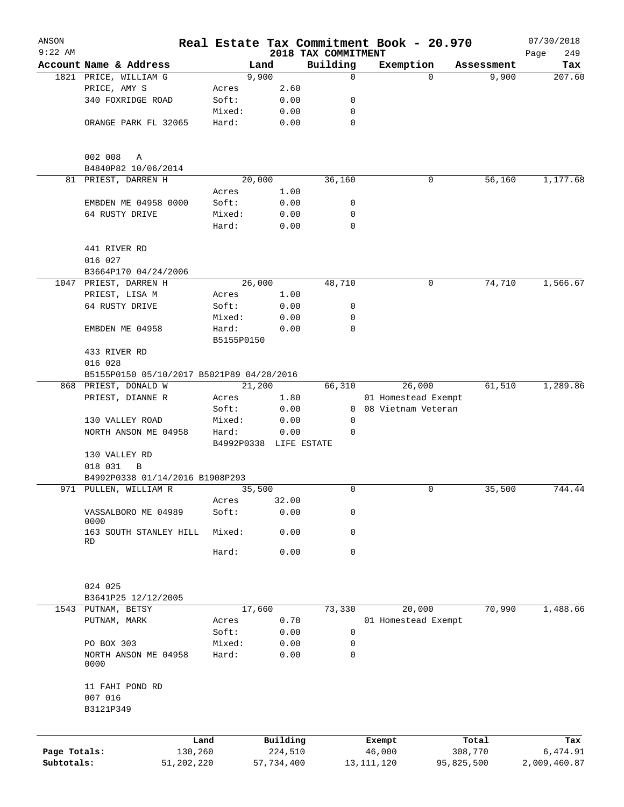| ANSON        |                                           |                     |                        |                                 | Real Estate Tax Commitment Book - 20.970 |            | 07/30/2018         |
|--------------|-------------------------------------------|---------------------|------------------------|---------------------------------|------------------------------------------|------------|--------------------|
| $9:22$ AM    | Account Name & Address                    |                     | Land                   | 2018 TAX COMMITMENT<br>Building | Exemption                                | Assessment | Page<br>249<br>Tax |
|              | 1821 PRICE, WILLIAM G                     |                     | 9,900                  | 0                               | $\Omega$                                 | 9,900      | 207.60             |
|              | PRICE, AMY S                              | Acres               | 2.60                   |                                 |                                          |            |                    |
|              | 340 FOXRIDGE ROAD                         | Soft:               | 0.00                   | 0                               |                                          |            |                    |
|              |                                           | Mixed:              | 0.00                   | $\mathbf 0$                     |                                          |            |                    |
|              | ORANGE PARK FL 32065                      | Hard:               | 0.00                   | $\mathbf 0$                     |                                          |            |                    |
|              |                                           |                     |                        |                                 |                                          |            |                    |
|              | 002 008<br>Α                              |                     |                        |                                 |                                          |            |                    |
|              | B4840P82 10/06/2014                       |                     |                        |                                 |                                          |            |                    |
|              | 81 PRIEST, DARREN H                       |                     | 20,000                 | 36,160                          | 0                                        | 56,160     | 1,177.68           |
|              |                                           | Acres               | 1.00                   |                                 |                                          |            |                    |
|              | EMBDEN ME 04958 0000                      | Soft:               | 0.00                   | 0                               |                                          |            |                    |
|              | 64 RUSTY DRIVE                            | Mixed:              | 0.00                   | 0                               |                                          |            |                    |
|              |                                           | Hard:               | 0.00                   | 0                               |                                          |            |                    |
|              | 441 RIVER RD                              |                     |                        |                                 |                                          |            |                    |
|              | 016 027                                   |                     |                        |                                 |                                          |            |                    |
|              | B3664P170 04/24/2006                      |                     |                        |                                 |                                          |            |                    |
|              | 1047 PRIEST, DARREN H                     |                     | 26,000                 | 48,710                          | 0                                        | 74,710     | 1,566.67           |
|              | PRIEST, LISA M                            | Acres               | 1.00                   |                                 |                                          |            |                    |
|              | 64 RUSTY DRIVE                            | Soft:               | 0.00                   | 0                               |                                          |            |                    |
|              |                                           | Mixed:              | 0.00                   | 0                               |                                          |            |                    |
|              | EMBDEN ME 04958                           | Hard:<br>B5155P0150 | 0.00                   | $\Omega$                        |                                          |            |                    |
|              | 433 RIVER RD                              |                     |                        |                                 |                                          |            |                    |
|              | 016 028                                   |                     |                        |                                 |                                          |            |                    |
|              | B5155P0150 05/10/2017 B5021P89 04/28/2016 |                     |                        |                                 |                                          |            |                    |
|              | 868 PRIEST, DONALD W                      |                     | 21,200                 | 66,310                          | 26,000                                   | 61,510     | 1,289.86           |
|              | PRIEST, DIANNE R                          | Acres               | 1.80                   |                                 | 01 Homestead Exempt                      |            |                    |
|              |                                           | Soft:               | 0.00                   | 0                               | 08 Vietnam Veteran                       |            |                    |
|              | 130 VALLEY ROAD                           | Mixed:              | 0.00                   | 0                               |                                          |            |                    |
|              | NORTH ANSON ME 04958                      | Hard:               | 0.00                   | 0                               |                                          |            |                    |
|              |                                           |                     |                        |                                 |                                          |            |                    |
|              | 130 VALLEY RD                             |                     | B4992P0338 LIFE ESTATE |                                 |                                          |            |                    |
|              |                                           |                     |                        |                                 |                                          |            |                    |
|              | 018 031<br>В                              |                     |                        |                                 |                                          |            |                    |
|              | B4992P0338 01/14/2016 B1908P293           |                     |                        |                                 |                                          |            |                    |
|              | 971 PULLEN, WILLIAM R                     |                     | 35,500                 | 0                               | 0                                        | 35,500     | 744.44             |
|              |                                           | Acres               | 32.00                  |                                 |                                          |            |                    |
|              | VASSALBORO ME 04989<br>0000               | Soft:               | 0.00                   | 0                               |                                          |            |                    |
|              | 163 SOUTH STANLEY HILL<br>RD              | Mixed:              | 0.00                   | 0                               |                                          |            |                    |
|              |                                           | Hard:               | 0.00                   | $\mathbf 0$                     |                                          |            |                    |
|              | 024 025                                   |                     |                        |                                 |                                          |            |                    |
|              | B3641P25 12/12/2005                       |                     |                        |                                 |                                          |            |                    |
|              | 1543 PUTNAM, BETSY                        |                     | 17,660                 | 73,330                          | 20,000                                   | 70,990     | 1,488.66           |
|              | PUTNAM, MARK                              |                     | 0.78                   |                                 | 01 Homestead Exempt                      |            |                    |
|              |                                           | Acres               |                        |                                 |                                          |            |                    |
|              |                                           | Soft:               | 0.00                   | 0                               |                                          |            |                    |
|              | PO BOX 303                                | Mixed:              | 0.00                   | 0                               |                                          |            |                    |
|              | NORTH ANSON ME 04958<br>0000              | Hard:               | 0.00                   | $\mathbf 0$                     |                                          |            |                    |
|              | 11 FAHI POND RD                           |                     |                        |                                 |                                          |            |                    |
|              | 007 016<br>B3121P349                      |                     |                        |                                 |                                          |            |                    |
|              |                                           |                     |                        |                                 |                                          |            |                    |
|              |                                           | Land                | Building               |                                 | Exempt                                   | Total      | Tax                |
| Page Totals: |                                           | 130,260             | 224,510                |                                 | 46,000                                   | 308,770    | 6,474.91           |
| Subtotals:   |                                           | 51,202,220          | 57,734,400             |                                 | 13, 111, 120                             | 95,825,500 | 2,009,460.87       |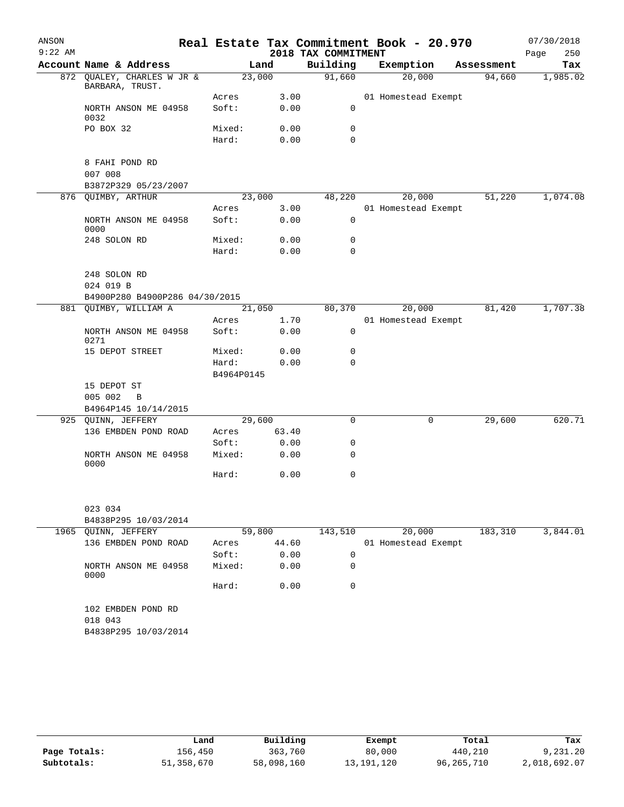| ANSON     |                           |                                |                     |       |                     | Real Estate Tax Commitment Book - 20.970 |            | 07/30/2018  |
|-----------|---------------------------|--------------------------------|---------------------|-------|---------------------|------------------------------------------|------------|-------------|
| $9:22$ AM |                           |                                |                     |       | 2018 TAX COMMITMENT |                                          |            | 250<br>Page |
|           |                           | Account Name & Address         |                     | Land  | Building            | Exemption                                | Assessment | Tax         |
|           | BARBARA, TRUST.           | 872 QUALEY, CHARLES W JR &     | 23,000              |       | 91,660              | 20,000                                   | 94,660     | 1,985.02    |
|           |                           |                                | Acres               | 3.00  |                     | 01 Homestead Exempt                      |            |             |
|           | 0032                      | NORTH ANSON ME 04958           | Soft:               | 0.00  | 0                   |                                          |            |             |
|           | PO BOX 32                 |                                | Mixed:              | 0.00  | 0                   |                                          |            |             |
|           |                           |                                | Hard:               | 0.00  | $\Omega$            |                                          |            |             |
|           | 8 FAHI POND RD<br>007 008 |                                |                     |       |                     |                                          |            |             |
|           |                           | B3872P329 05/23/2007           |                     |       |                     |                                          |            |             |
|           | 876 QUIMBY, ARTHUR        |                                | 23,000              |       | 48,220              | 20,000                                   | 51,220     | 1,074.08    |
|           |                           |                                | Acres               | 3.00  |                     | 01 Homestead Exempt                      |            |             |
|           | 0000                      | NORTH ANSON ME 04958           | Soft:               | 0.00  | $\mathbf 0$         |                                          |            |             |
|           | 248 SOLON RD              |                                | Mixed:              | 0.00  | 0                   |                                          |            |             |
|           |                           |                                | Hard:               | 0.00  | $\Omega$            |                                          |            |             |
|           | 248 SOLON RD<br>024 019 B |                                |                     |       |                     |                                          |            |             |
|           |                           | B4900P280 B4900P286 04/30/2015 |                     |       |                     |                                          |            |             |
|           |                           | 881 QUIMBY, WILLIAM A          | 21,050              |       | 80,370              | 20,000                                   | 81,420     | 1,707.38    |
|           |                           |                                | Acres               | 1.70  |                     | 01 Homestead Exempt                      |            |             |
|           | 0271                      | NORTH ANSON ME 04958           | Soft:               | 0.00  | $\mathbf 0$         |                                          |            |             |
|           |                           | 15 DEPOT STREET                | Mixed:              | 0.00  | 0                   |                                          |            |             |
|           |                           |                                | Hard:<br>B4964P0145 | 0.00  | $\Omega$            |                                          |            |             |
|           | 15 DEPOT ST               |                                |                     |       |                     |                                          |            |             |
|           | 005 002                   | $\overline{B}$                 |                     |       |                     |                                          |            |             |
|           |                           | B4964P145 10/14/2015           |                     |       |                     |                                          |            |             |
|           | 925 QUINN, JEFFERY        |                                | 29,600              |       | $\mathbf 0$         | 0                                        | 29,600     | 620.71      |
|           |                           | 136 EMBDEN POND ROAD           | Acres               | 63.40 |                     |                                          |            |             |
|           |                           |                                | Soft:               | 0.00  | 0                   |                                          |            |             |
|           | 0000                      | NORTH ANSON ME 04958           | Mixed:              | 0.00  | 0                   |                                          |            |             |
|           |                           |                                | Hard:               | 0.00  | $\mathbf 0$         |                                          |            |             |
|           | 023 034                   |                                |                     |       |                     |                                          |            |             |
|           |                           | B4838P295 10/03/2014           |                     |       |                     |                                          |            |             |
|           | 1965 QUINN, JEFFERY       |                                | 59,800              |       | 143,510             | 20,000                                   | 183,310    | 3,844.01    |
|           |                           | 136 EMBDEN POND ROAD           | Acres               | 44.60 |                     | 01 Homestead Exempt                      |            |             |
|           |                           |                                | Soft:               | 0.00  | 0                   |                                          |            |             |
|           | 0000                      | NORTH ANSON ME 04958           | Mixed:              | 0.00  | 0                   |                                          |            |             |
|           |                           |                                | Hard:               | 0.00  | 0                   |                                          |            |             |
|           | 018 043                   | 102 EMBDEN POND RD             |                     |       |                     |                                          |            |             |
|           |                           | B4838P295 10/03/2014           |                     |       |                     |                                          |            |             |
|           |                           |                                |                     |       |                     |                                          |            |             |

|              | Land       | Building   | Exempt     | Total        | Tax          |
|--------------|------------|------------|------------|--------------|--------------|
| Page Totals: | 156,450    | 363,760    | 80,000     | 440,210      | 9,231.20     |
| Subtotals:   | 51,358,670 | 58,098,160 | 13,191,120 | 96, 265, 710 | 2,018,692.07 |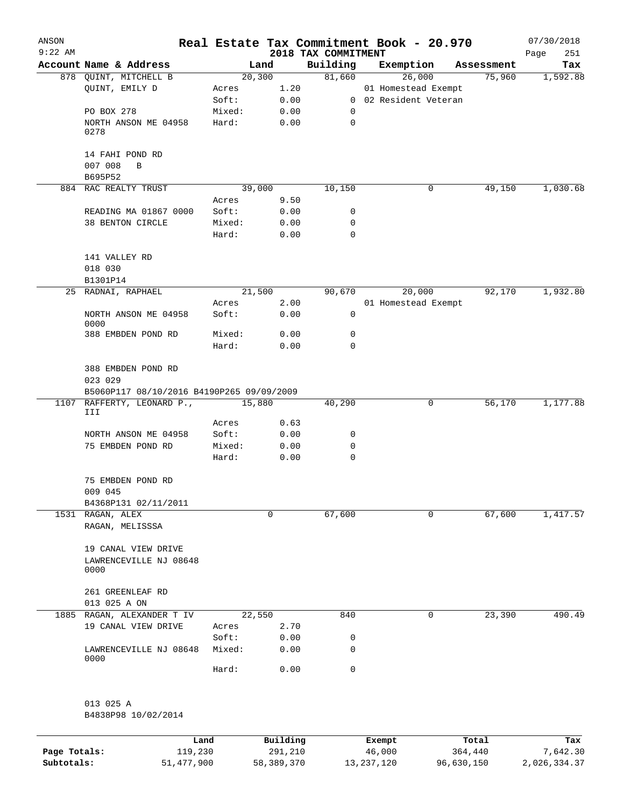| ANSON<br>$9:22$ AM |                                            |                 |              | 2018 TAX COMMITMENT | Real Estate Tax Commitment Book - 20.970 |            | 07/30/2018<br>251 |
|--------------------|--------------------------------------------|-----------------|--------------|---------------------|------------------------------------------|------------|-------------------|
|                    | Account Name & Address                     |                 | Land         | Building            | Exemption                                | Assessment | Page<br>Tax       |
|                    | 878 QUINT, MITCHELL B                      |                 | 20, 300      | 81,660              | 26,000                                   | 75,960     | 1,592.88          |
|                    | QUINT, EMILY D                             | Acres           | 1.20         |                     | 01 Homestead Exempt                      |            |                   |
|                    |                                            | Soft:           | 0.00         |                     | 0 02 Resident Veteran                    |            |                   |
|                    | PO BOX 278                                 | Mixed:          | 0.00         | 0                   |                                          |            |                   |
|                    | NORTH ANSON ME 04958<br>0278               | Hard:           | 0.00         | 0                   |                                          |            |                   |
|                    | 14 FAHI POND RD<br>007 008<br>B<br>B695P52 |                 |              |                     |                                          |            |                   |
|                    | 884 RAC REALTY TRUST                       |                 | 39,000       | 10,150              | 0                                        | 49,150     | 1,030.68          |
|                    |                                            | Acres           | 9.50         |                     |                                          |            |                   |
|                    | READING MA 01867 0000                      | Soft:           | 0.00         | 0                   |                                          |            |                   |
|                    | 38 BENTON CIRCLE                           | Mixed:          | 0.00         | 0                   |                                          |            |                   |
|                    |                                            | Hard:           | 0.00         | 0                   |                                          |            |                   |
|                    | 141 VALLEY RD                              |                 |              |                     |                                          |            |                   |
|                    | 018 030                                    |                 |              |                     |                                          |            |                   |
|                    | B1301P14                                   |                 |              |                     |                                          |            |                   |
|                    | 25 RADNAI, RAPHAEL                         |                 | 21,500       | 90,670              | 20,000                                   | 92,170     | 1,932.80          |
|                    |                                            | Acres           | 2.00         |                     | 01 Homestead Exempt                      |            |                   |
|                    | NORTH ANSON ME 04958<br>0000               | Soft:           | 0.00         | 0                   |                                          |            |                   |
|                    | 388 EMBDEN POND RD                         | Mixed:          | 0.00         | 0                   |                                          |            |                   |
|                    |                                            | Hard:           | 0.00         | $\Omega$            |                                          |            |                   |
|                    | 388 EMBDEN POND RD<br>023 029              |                 |              |                     |                                          |            |                   |
|                    | B5060P117 08/10/2016 B4190P265 09/09/2009  |                 |              |                     |                                          |            |                   |
|                    | 1107 RAFFERTY, LEONARD P.,<br>III          |                 | 15,880       | 40,290              | 0                                        | 56,170     | 1,177.88          |
|                    |                                            | Acres           | 0.63         |                     |                                          |            |                   |
|                    | NORTH ANSON ME 04958                       | Soft:           | 0.00         | 0                   |                                          |            |                   |
|                    | 75 EMBDEN POND RD                          | Mixed:          | 0.00         | 0                   |                                          |            |                   |
|                    |                                            | Hard:           | 0.00         | $\mathbf 0$         |                                          |            |                   |
|                    | 75 EMBDEN POND RD<br>009 045               |                 |              |                     |                                          |            |                   |
|                    | B4368P131 02/11/2011                       |                 |              |                     |                                          |            |                   |
|                    | 1531 RAGAN, ALEX<br>RAGAN, MELISSSA        |                 | 0            | 67,600              | 0                                        | 67,600     | 1,417.57          |
|                    | 19 CANAL VIEW DRIVE                        |                 |              |                     |                                          |            |                   |
|                    | LAWRENCEVILLE NJ 08648<br>0000             |                 |              |                     |                                          |            |                   |
|                    | 261 GREENLEAF RD                           |                 |              |                     |                                          |            |                   |
|                    | 013 025 A ON                               |                 |              |                     |                                          |            |                   |
|                    | 1885 RAGAN, ALEXANDER T IV                 |                 | 22,550       | 840                 | 0                                        | 23,390     | 490.49            |
|                    | 19 CANAL VIEW DRIVE                        | Acres           | 2.70         |                     |                                          |            |                   |
|                    | LAWRENCEVILLE NJ 08648                     | Soft:<br>Mixed: | 0.00<br>0.00 | 0<br>0              |                                          |            |                   |
|                    | 0000                                       | Hard:           | 0.00         | 0                   |                                          |            |                   |
|                    |                                            |                 |              |                     |                                          |            |                   |
|                    | 013 025 A                                  |                 |              |                     |                                          |            |                   |
|                    | B4838P98 10/02/2014                        |                 |              |                     |                                          |            |                   |
|                    |                                            |                 |              |                     |                                          |            |                   |
|                    |                                            |                 |              |                     |                                          |            |                   |

|              | Land       | Building   | Exempt       | Total      | Tax          |
|--------------|------------|------------|--------------|------------|--------------|
| Page Totals: | 119,230    | 291,210    | 46,000       | 364,440    | 7,642.30     |
| Subtotals:   | 51,477,900 | 58,389,370 | 13, 237, 120 | 96,630,150 | 2,026,334.37 |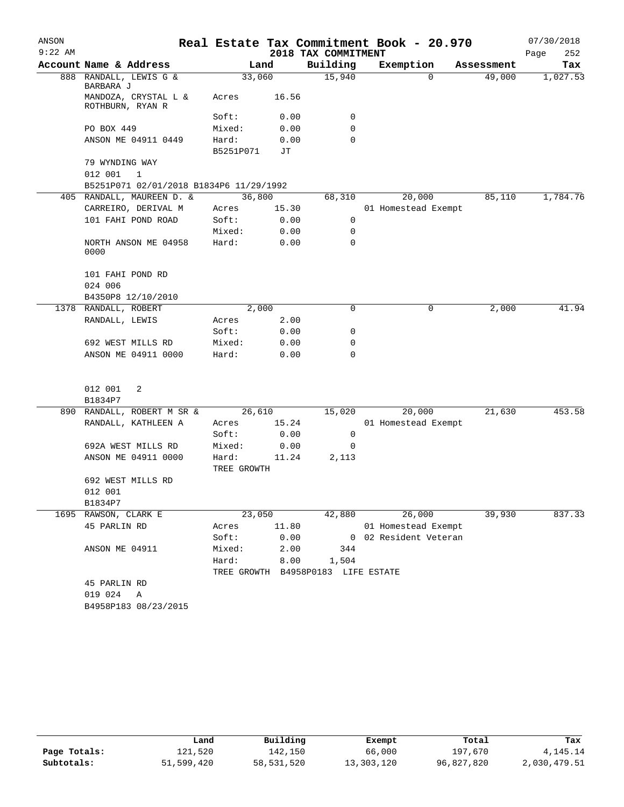| ANSON     |                                          |                      |            |                                    | Real Estate Tax Commitment Book - 20.970 |            | 07/30/2018  |
|-----------|------------------------------------------|----------------------|------------|------------------------------------|------------------------------------------|------------|-------------|
| $9:22$ AM |                                          |                      |            | 2018 TAX COMMITMENT                |                                          |            | 252<br>Page |
|           | Account Name & Address                   |                      | Land       | Building                           | Exemption                                | Assessment | Tax         |
| 888       | RANDALL, LEWIS G &<br>BARBARA J          | 33,060               |            | 15,940                             | $\Omega$                                 | 49,000     | 1,027.53    |
|           | MANDOZA, CRYSTAL L &<br>ROTHBURN, RYAN R | Acres                | 16.56      |                                    |                                          |            |             |
|           |                                          | Soft:                | 0.00       | 0                                  |                                          |            |             |
|           | PO BOX 449                               | Mixed:               | 0.00       | 0                                  |                                          |            |             |
|           | ANSON ME 04911 0449                      | Hard:<br>B5251P071   | 0.00<br>JТ | 0                                  |                                          |            |             |
|           | 79 WYNDING WAY<br>012 001<br>1           |                      |            |                                    |                                          |            |             |
|           | B5251P071 02/01/2018 B1834P6 11/29/1992  |                      |            |                                    |                                          |            |             |
|           | 405 RANDALL, MAUREEN D. &                | 36,800               |            | 68,310                             | 20,000                                   | 85,110     | 1,784.76    |
|           | CARREIRO, DERIVAL M                      | Acres                | 15.30      |                                    | 01 Homestead Exempt                      |            |             |
|           | 101 FAHI POND ROAD                       | Soft:                | 0.00       | 0                                  |                                          |            |             |
|           |                                          | Mixed:               | 0.00       | 0                                  |                                          |            |             |
|           | NORTH ANSON ME 04958<br>0000             | Hard:                | 0.00       | $\mathbf 0$                        |                                          |            |             |
|           | 101 FAHI POND RD<br>024 006              |                      |            |                                    |                                          |            |             |
|           | B4350P8 12/10/2010                       |                      |            |                                    |                                          |            |             |
|           | 1378 RANDALL, ROBERT                     |                      | 2,000      | 0                                  | 0                                        | 2,000      | 41.94       |
|           | RANDALL, LEWIS                           | Acres                | 2.00       |                                    |                                          |            |             |
|           |                                          | Soft:                | 0.00       | 0                                  |                                          |            |             |
|           | 692 WEST MILLS RD                        | Mixed:               | 0.00       | 0                                  |                                          |            |             |
|           | ANSON ME 04911 0000                      | Hard:                | 0.00       | 0                                  |                                          |            |             |
|           | 012 001<br>2                             |                      |            |                                    |                                          |            |             |
|           | B1834P7                                  |                      |            |                                    |                                          |            |             |
|           | 890 RANDALL, ROBERT M SR &               | 26,610               |            | 15,020                             | 20,000                                   | 21,630     | 453.58      |
|           | RANDALL, KATHLEEN A                      | Acres                | 15.24      |                                    | 01 Homestead Exempt                      |            |             |
|           |                                          | Soft:                | 0.00       | 0                                  |                                          |            |             |
|           | 692A WEST MILLS RD                       | Mixed:               | 0.00       | 0                                  |                                          |            |             |
|           | ANSON ME 04911 0000                      | Hard:<br>TREE GROWTH | 11.24      | 2,113                              |                                          |            |             |
|           | 692 WEST MILLS RD                        |                      |            |                                    |                                          |            |             |
|           | 012 001                                  |                      |            |                                    |                                          |            |             |
|           | B1834P7                                  |                      |            |                                    |                                          |            |             |
|           | 1695 RAWSON, CLARK E                     | 23,050               |            | 42,880                             | 26,000                                   | 39,930     | 837.33      |
|           | 45 PARLIN RD                             | Acres                | 11.80      |                                    | 01 Homestead Exempt                      |            |             |
|           |                                          | Soft:                | 0.00       |                                    | 0 02 Resident Veteran                    |            |             |
|           | ANSON ME 04911                           | Mixed:               | 2.00       | 344                                |                                          |            |             |
|           |                                          | Hard:                | 8.00       | 1,504                              |                                          |            |             |
|           |                                          |                      |            | TREE GROWTH B4958P0183 LIFE ESTATE |                                          |            |             |
|           | 45 PARLIN RD                             |                      |            |                                    |                                          |            |             |
|           | 019 024 A                                |                      |            |                                    |                                          |            |             |
|           | B4958P183 08/23/2015                     |                      |            |                                    |                                          |            |             |

|              | Land       | Building   | Exempt     | Total      | Tax          |
|--------------|------------|------------|------------|------------|--------------|
| Page Totals: | 121,520    | 142.150    | 66,000     | 197,670    | 4, 145. 14   |
| Subtotals:   | 51,599,420 | 58,531,520 | 13,303,120 | 96,827,820 | 2,030,479.51 |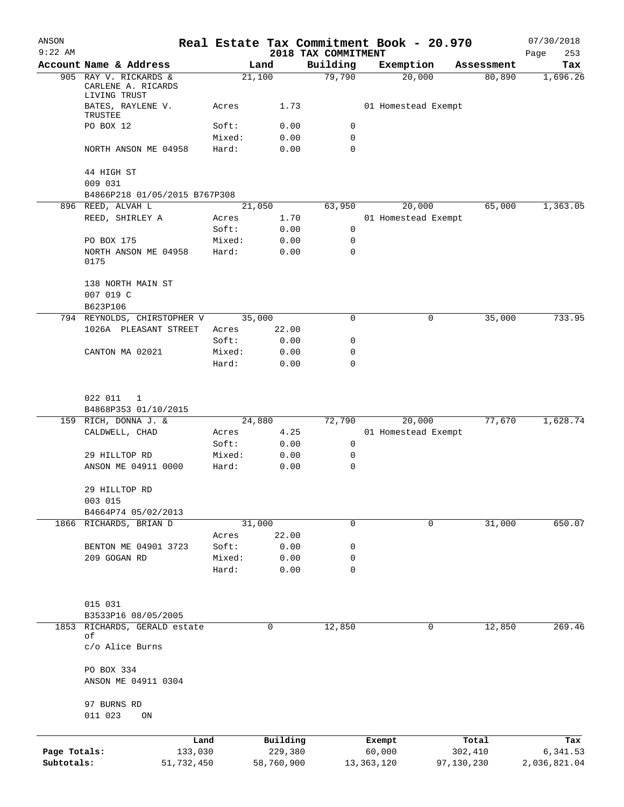| ANSON<br>$9:22$ AM |                                                  |                       |                     | 2018 TAX COMMITMENT | Real Estate Tax Commitment Book - 20.970 |             |                  | 07/30/2018<br>Page<br>253 |
|--------------------|--------------------------------------------------|-----------------------|---------------------|---------------------|------------------------------------------|-------------|------------------|---------------------------|
|                    | Account Name & Address                           |                       | Land                | Building            | Exemption                                |             | Assessment       | Tax                       |
|                    | 905 RAY V. RICKARDS &<br>CARLENE A. RICARDS      |                       | 21,100              | 79,790              | 20,000                                   |             | 80,890           | 1,696.26                  |
|                    | LIVING TRUST<br>BATES, RAYLENE V.<br>TRUSTEE     | Acres                 | 1.73                |                     | 01 Homestead Exempt                      |             |                  |                           |
|                    | PO BOX 12                                        | Soft:                 | 0.00                | 0                   |                                          |             |                  |                           |
|                    |                                                  | Mixed:                | 0.00                | $\mathbf 0$         |                                          |             |                  |                           |
|                    | NORTH ANSON ME 04958                             | Hard:                 | 0.00                | $\mathbf 0$         |                                          |             |                  |                           |
|                    | 44 HIGH ST<br>009 031                            |                       |                     |                     |                                          |             |                  |                           |
|                    | B4866P218 01/05/2015 B767P308                    |                       |                     |                     |                                          |             |                  |                           |
|                    | 896 REED, ALVAH L                                |                       | 21,050              | 63,950              | 20,000                                   |             | 65,000           | 1,363.05                  |
|                    | REED, SHIRLEY A                                  | Acres                 | 1.70                |                     | 01 Homestead Exempt                      |             |                  |                           |
|                    |                                                  | Soft:                 | 0.00                | 0                   |                                          |             |                  |                           |
|                    | PO BOX 175                                       | Mixed:                | 0.00                | $\mathbf 0$         |                                          |             |                  |                           |
|                    | NORTH ANSON ME 04958<br>0175                     | Hard:                 | 0.00                | 0                   |                                          |             |                  |                           |
|                    | 138 NORTH MAIN ST<br>007 019 C<br>B623P106       |                       |                     |                     |                                          |             |                  |                           |
|                    | 794 REYNOLDS, CHIRSTOPHER V                      |                       | 35,000              | 0                   |                                          | 0           | 35,000           | 733.95                    |
|                    | 1026A PLEASANT STREET                            | Acres                 | 22.00               |                     |                                          |             |                  |                           |
|                    |                                                  | Soft:                 | 0.00                | 0                   |                                          |             |                  |                           |
|                    | CANTON MA 02021                                  | Mixed:                | 0.00                | 0                   |                                          |             |                  |                           |
|                    |                                                  | Hard:                 | 0.00                | 0                   |                                          |             |                  |                           |
|                    | 022 011<br>1                                     |                       |                     |                     |                                          |             |                  |                           |
|                    | B4868P353 01/10/2015                             |                       |                     |                     |                                          |             |                  |                           |
|                    | 159 RICH, DONNA J. &                             |                       | 24,880              | 72,790              | 20,000                                   |             | 77,670           | 1,628.74                  |
|                    | CALDWELL, CHAD                                   | Acres                 | 4.25                |                     | 01 Homestead Exempt                      |             |                  |                           |
|                    |                                                  | Soft:                 | 0.00                | $\mathbf 0$         |                                          |             |                  |                           |
|                    | 29 HILLTOP RD<br>ANSON ME 04911 0000             | Mixed:<br>Hard:       | 0.00<br>0.00        | 0<br>$\mathbf 0$    |                                          |             |                  |                           |
|                    |                                                  |                       |                     |                     |                                          |             |                  |                           |
|                    | 29 HILLTOP RD<br>003 015                         |                       |                     |                     |                                          |             |                  |                           |
|                    | B4664P74 05/02/2013                              |                       |                     |                     |                                          |             |                  |                           |
|                    | 1866 RICHARDS, BRIAN D                           |                       | 31,000              | $\mathbf 0$         |                                          | $\mathbf 0$ | 31,000           | 650.07                    |
|                    |                                                  | Acres                 | 22.00               |                     |                                          |             |                  |                           |
|                    | BENTON ME 04901 3723                             | Soft:                 | 0.00                | 0                   |                                          |             |                  |                           |
|                    | 209 GOGAN RD                                     | Mixed:                | 0.00                | 0                   |                                          |             |                  |                           |
|                    |                                                  | Hard:                 | 0.00                | 0                   |                                          |             |                  |                           |
|                    | 015 031                                          |                       |                     |                     |                                          |             |                  |                           |
|                    | B3533P16 08/05/2005                              |                       |                     |                     |                                          |             |                  |                           |
| 1853               | RICHARDS, GERALD estate<br>оf<br>c/o Alice Burns |                       | 0                   | 12,850              |                                          | 0           | 12,850           | 269.46                    |
|                    | PO BOX 334                                       |                       |                     |                     |                                          |             |                  |                           |
|                    | ANSON ME 04911 0304                              |                       |                     |                     |                                          |             |                  |                           |
|                    | 97 BURNS RD                                      |                       |                     |                     |                                          |             |                  |                           |
|                    | 011 023<br>ON                                    |                       |                     |                     |                                          |             |                  |                           |
| Page Totals:       |                                                  | Land                  | Building<br>229,380 |                     | Exempt<br>60,000                         |             | Total<br>302,410 | Tax<br>6,341.53           |
| Subtotals:         |                                                  | 133,030<br>51,732,450 | 58,760,900          |                     | 13, 363, 120                             |             | 97,130,230       | 2,036,821.04              |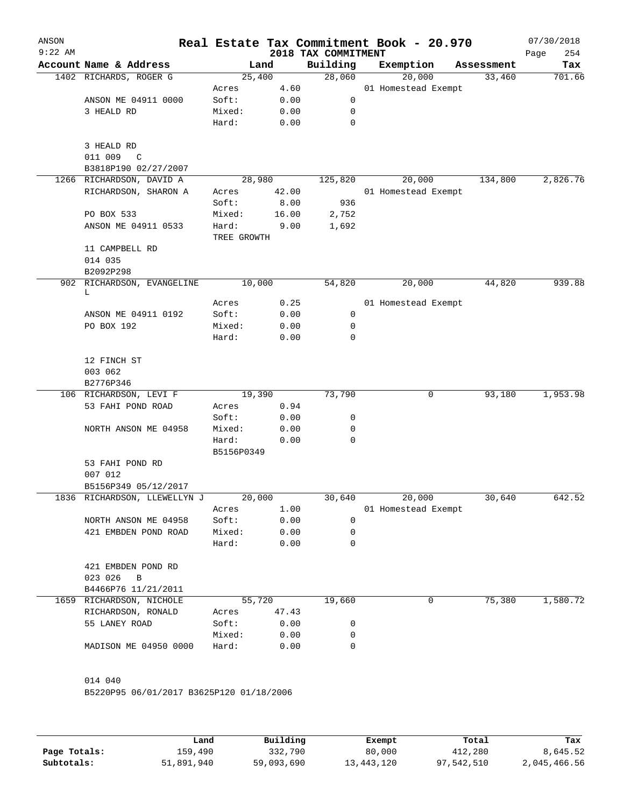| ANSON<br>$9:22$ AM |                                                 |                 |              | 2018 TAX COMMITMENT | Real Estate Tax Commitment Book - 20.970 |            | 07/30/2018<br>254<br>Page |
|--------------------|-------------------------------------------------|-----------------|--------------|---------------------|------------------------------------------|------------|---------------------------|
|                    | Account Name & Address                          |                 | Land         | Building            | Exemption                                | Assessment | Tax                       |
|                    | 1402 RICHARDS, ROGER G                          | 25,400          |              | 28,060              | 20,000                                   | 33,460     | 701.66                    |
|                    |                                                 | Acres           | 4.60         |                     | 01 Homestead Exempt                      |            |                           |
|                    | ANSON ME 04911 0000                             | Soft:           | 0.00         | 0                   |                                          |            |                           |
|                    | 3 HEALD RD                                      | Mixed:          | 0.00         | 0                   |                                          |            |                           |
|                    |                                                 | Hard:           | 0.00         | 0                   |                                          |            |                           |
|                    | 3 HEALD RD                                      |                 |              |                     |                                          |            |                           |
|                    | 011 009<br>C                                    |                 |              |                     |                                          |            |                           |
|                    | B3818P190 02/27/2007                            |                 |              |                     |                                          |            |                           |
|                    | 1266 RICHARDSON, DAVID A                        | 28,980          |              | 125,820             | 20,000                                   | 134,800    | 2,826.76                  |
|                    | RICHARDSON, SHARON A                            | Acres           | 42.00        |                     | 01 Homestead Exempt                      |            |                           |
|                    |                                                 | Soft:           | 8.00         | 936                 |                                          |            |                           |
|                    | PO BOX 533                                      | Mixed:          | 16.00        | 2,752               |                                          |            |                           |
|                    | ANSON ME 04911 0533                             | Hard:           | 9.00         | 1,692               |                                          |            |                           |
|                    |                                                 | TREE GROWTH     |              |                     |                                          |            |                           |
|                    | 11 CAMPBELL RD                                  |                 |              |                     |                                          |            |                           |
|                    | 014 035                                         |                 |              |                     |                                          |            |                           |
|                    | B2092P298                                       |                 |              |                     |                                          |            |                           |
|                    | 902 RICHARDSON, EVANGELINE<br>L                 | 10,000          |              | 54,820              | 20,000                                   | 44,820     | 939.88                    |
|                    |                                                 | Acres           | 0.25         |                     | 01 Homestead Exempt                      |            |                           |
|                    | ANSON ME 04911 0192                             | Soft:           | 0.00         | 0                   |                                          |            |                           |
|                    | PO BOX 192                                      | Mixed:          | 0.00         | 0                   |                                          |            |                           |
|                    |                                                 | Hard:           | 0.00         | 0                   |                                          |            |                           |
|                    |                                                 |                 |              |                     |                                          |            |                           |
|                    | 12 FINCH ST                                     |                 |              |                     |                                          |            |                           |
|                    | 003 062                                         |                 |              |                     |                                          |            |                           |
|                    | B2776P346                                       |                 |              |                     |                                          |            |                           |
|                    | 106 RICHARDSON, LEVI F                          | 19,390          |              | 73,790              | 0                                        | 93,180     | 1,953.98                  |
|                    | 53 FAHI POND ROAD                               | Acres           | 0.94         |                     |                                          |            |                           |
|                    | NORTH ANSON ME 04958                            | Soft:<br>Mixed: | 0.00<br>0.00 | 0<br>0              |                                          |            |                           |
|                    |                                                 | Hard:           | 0.00         | 0                   |                                          |            |                           |
|                    |                                                 | B5156P0349      |              |                     |                                          |            |                           |
|                    | 53 FAHI POND RD                                 |                 |              |                     |                                          |            |                           |
|                    | 007 012                                         |                 |              |                     |                                          |            |                           |
|                    | B5156P349 05/12/2017                            |                 |              |                     |                                          |            |                           |
|                    | 1836 RICHARDSON, LLEWELLYN J                    | 20,000          |              | 30,640              | 20,000                                   | 30,640     | 642.52                    |
|                    |                                                 | Acres           | 1.00         |                     | 01 Homestead Exempt                      |            |                           |
|                    | NORTH ANSON ME 04958                            | Soft:           | 0.00         | 0                   |                                          |            |                           |
|                    | 421 EMBDEN POND ROAD                            | Mixed:          | 0.00         | 0                   |                                          |            |                           |
|                    |                                                 | Hard:           | 0.00         | $\mathbf 0$         |                                          |            |                           |
|                    |                                                 |                 |              |                     |                                          |            |                           |
|                    | 421 EMBDEN POND RD                              |                 |              |                     |                                          |            |                           |
|                    | 023 026<br>$\mathbf B$                          |                 |              |                     |                                          |            |                           |
|                    | B4466P76 11/21/2011<br>1659 RICHARDSON, NICHOLE | 55,720          |              | 19,660              | 0                                        | 75,380     | 1,580.72                  |
|                    | RICHARDSON, RONALD                              | Acres           | 47.43        |                     |                                          |            |                           |
|                    | 55 LANEY ROAD                                   | Soft:           | 0.00         | 0                   |                                          |            |                           |
|                    |                                                 | Mixed:          | 0.00         | 0                   |                                          |            |                           |
|                    | MADISON ME 04950 0000                           | Hard:           | 0.00         | 0                   |                                          |            |                           |
|                    |                                                 |                 |              |                     |                                          |            |                           |
|                    |                                                 |                 |              |                     |                                          |            |                           |
|                    | 014 040                                         |                 |              |                     |                                          |            |                           |
|                    | B5220P95 06/01/2017 B3625P120 01/18/2006        |                 |              |                     |                                          |            |                           |
|                    |                                                 |                 |              |                     |                                          |            |                           |
|                    |                                                 |                 |              |                     |                                          |            |                           |

|              | Land       | Building   | Exempt     | Total      | Tax          |
|--------------|------------|------------|------------|------------|--------------|
| Page Totals: | 159,490    | 332,790    | 80,000     | 412,280    | 8,645.52     |
| Subtotals:   | 51,891,940 | 59,093,690 | 13,443,120 | 97,542,510 | 2,045,466.56 |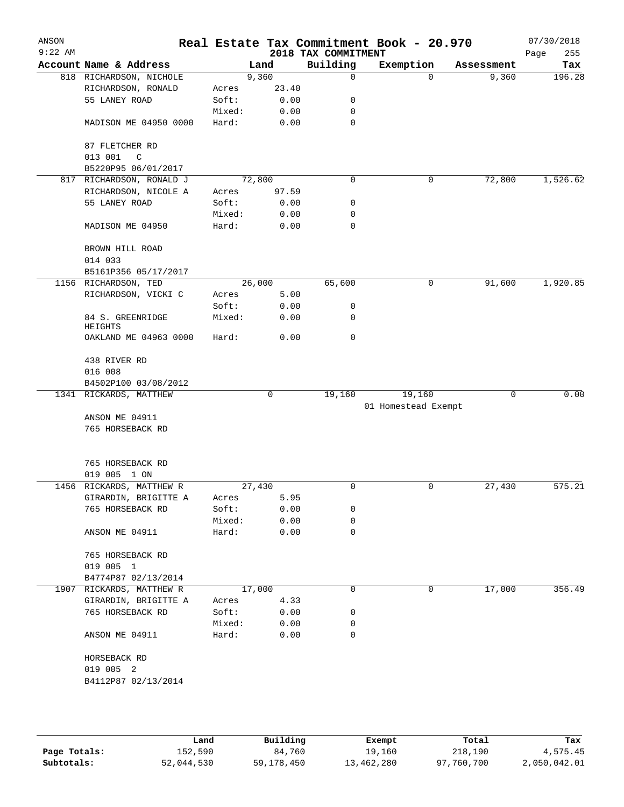| ANSON<br>$9:22$ AM |                                     |        |        | 2018 TAX COMMITMENT | Real Estate Tax Commitment Book - 20.970 |            | 07/30/2018<br>Page<br>255 |
|--------------------|-------------------------------------|--------|--------|---------------------|------------------------------------------|------------|---------------------------|
|                    | Account Name & Address              |        | Land   | Building            | Exemption                                | Assessment | Tax                       |
|                    | 818 RICHARDSON, NICHOLE             |        | 9,360  | 0                   | $\Omega$                                 | 9,360      | 196.28                    |
|                    | RICHARDSON, RONALD                  | Acres  | 23.40  |                     |                                          |            |                           |
|                    | 55 LANEY ROAD                       | Soft:  | 0.00   | 0                   |                                          |            |                           |
|                    |                                     | Mixed: | 0.00   | 0                   |                                          |            |                           |
|                    | MADISON ME 04950 0000               | Hard:  | 0.00   | 0                   |                                          |            |                           |
|                    | 87 FLETCHER RD                      |        |        |                     |                                          |            |                           |
|                    | 013 001<br>C<br>B5220P95 06/01/2017 |        |        |                     |                                          |            |                           |
|                    | 817 RICHARDSON, RONALD J            |        | 72,800 | 0                   | 0                                        | 72,800     | 1,526.62                  |
|                    | RICHARDSON, NICOLE A                | Acres  | 97.59  |                     |                                          |            |                           |
|                    | 55 LANEY ROAD                       | Soft:  | 0.00   | 0                   |                                          |            |                           |
|                    |                                     | Mixed: | 0.00   | 0                   |                                          |            |                           |
|                    | MADISON ME 04950                    | Hard:  | 0.00   | 0                   |                                          |            |                           |
|                    | BROWN HILL ROAD                     |        |        |                     |                                          |            |                           |
|                    | 014 033                             |        |        |                     |                                          |            |                           |
|                    | B5161P356 05/17/2017                |        |        |                     |                                          |            |                           |
|                    | 1156 RICHARDSON, TED                |        | 26,000 | 65,600              | 0                                        | 91,600     | 1,920.85                  |
|                    | RICHARDSON, VICKI C                 | Acres  | 5.00   |                     |                                          |            |                           |
|                    |                                     | Soft:  | 0.00   | 0                   |                                          |            |                           |
|                    | 84 S. GREENRIDGE<br><b>HEIGHTS</b>  | Mixed: | 0.00   | 0                   |                                          |            |                           |
|                    | OAKLAND ME 04963 0000               | Hard:  | 0.00   | 0                   |                                          |            |                           |
|                    | 438 RIVER RD                        |        |        |                     |                                          |            |                           |
|                    | 016 008                             |        |        |                     |                                          |            |                           |
|                    | B4502P100 03/08/2012                |        |        |                     |                                          |            |                           |
|                    | 1341 RICKARDS, MATTHEW              |        | 0      | 19,160              | 19,160                                   | 0          | 0.00                      |
|                    |                                     |        |        |                     | 01 Homestead Exempt                      |            |                           |
|                    | ANSON ME 04911                      |        |        |                     |                                          |            |                           |
|                    | 765 HORSEBACK RD                    |        |        |                     |                                          |            |                           |
|                    | 765 HORSEBACK RD                    |        |        |                     |                                          |            |                           |
|                    | 019 005 1 ON                        |        |        |                     |                                          |            |                           |
|                    | 1456 RICKARDS, MATTHEW R            |        | 27,430 | 0                   | 0                                        | 27,430     | 575.21                    |
|                    | GIRARDIN, BRIGITTE A                | Acres  | 5.95   |                     |                                          |            |                           |
|                    | 765 HORSEBACK RD                    | Soft:  | 0.00   | 0                   |                                          |            |                           |
|                    |                                     | Mixed: | 0.00   | 0                   |                                          |            |                           |
|                    | ANSON ME 04911                      | Hard:  | 0.00   | 0                   |                                          |            |                           |
|                    | 765 HORSEBACK RD                    |        |        |                     |                                          |            |                           |
|                    | 019 005 1                           |        |        |                     |                                          |            |                           |
|                    | B4774P87 02/13/2014                 |        |        |                     |                                          |            |                           |
|                    | 1907 RICKARDS, MATTHEW R            |        | 17,000 | 0                   | 0                                        | 17,000     | 356.49                    |
|                    | GIRARDIN, BRIGITTE A                | Acres  | 4.33   |                     |                                          |            |                           |
|                    | 765 HORSEBACK RD                    | Soft:  | 0.00   | 0                   |                                          |            |                           |
|                    |                                     | Mixed: | 0.00   | 0                   |                                          |            |                           |
|                    | ANSON ME 04911                      | Hard:  | 0.00   | 0                   |                                          |            |                           |
|                    | HORSEBACK RD                        |        |        |                     |                                          |            |                           |
|                    | 019 005 2                           |        |        |                     |                                          |            |                           |
|                    | B4112P87 02/13/2014                 |        |        |                     |                                          |            |                           |
|                    |                                     |        |        |                     |                                          |            |                           |
|                    |                                     |        |        |                     |                                          |            |                           |

|              | Land       | Building   | Exempt     | Total      | Tax          |
|--------------|------------|------------|------------|------------|--------------|
| Page Totals: | 152,590    | 84,760     | 19,160     | 218,190    | 4,575.45     |
| Subtotals:   | 52,044,530 | 59,178,450 | 13,462,280 | 97,760,700 | 2,050,042.01 |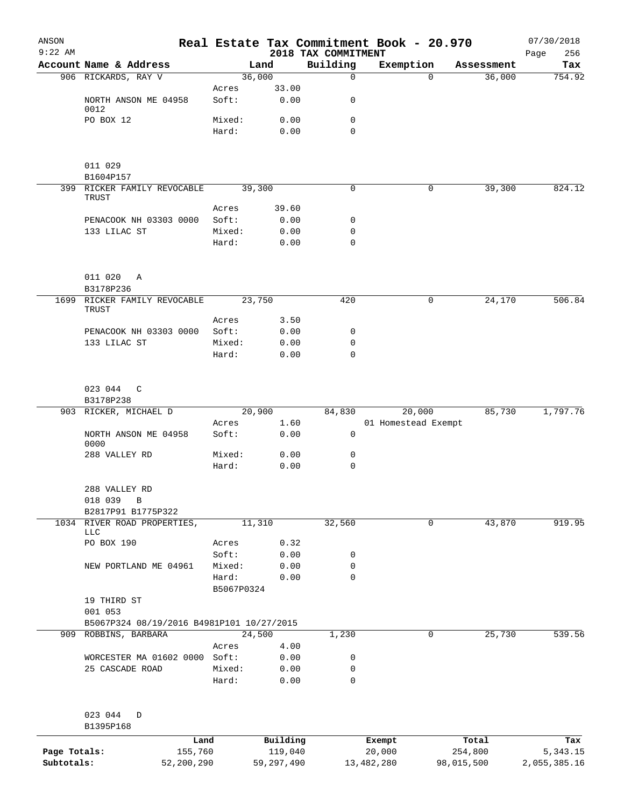| ANSON<br>$9:22$ AM |                                           |                 |                     | 2018 TAX COMMITMENT | Real Estate Tax Commitment Book - 20.970 |          |                  | 07/30/2018<br>256<br>Page |
|--------------------|-------------------------------------------|-----------------|---------------------|---------------------|------------------------------------------|----------|------------------|---------------------------|
|                    | Account Name & Address                    | Land            |                     | Building            | Exemption                                |          | Assessment       | Tax                       |
|                    | 906 RICKARDS, RAY V                       | 36,000          |                     | $\mathbf 0$         |                                          | $\Omega$ | 36,000           | 754.92                    |
|                    |                                           | Acres           | 33.00               |                     |                                          |          |                  |                           |
|                    | NORTH ANSON ME 04958                      | Soft:           | 0.00                | 0                   |                                          |          |                  |                           |
|                    | 0012                                      |                 |                     |                     |                                          |          |                  |                           |
|                    | PO BOX 12                                 | Mixed:<br>Hard: | 0.00<br>0.00        | 0<br>$\mathbf 0$    |                                          |          |                  |                           |
|                    |                                           |                 |                     |                     |                                          |          |                  |                           |
|                    |                                           |                 |                     |                     |                                          |          |                  |                           |
|                    | 011 029                                   |                 |                     |                     |                                          |          |                  |                           |
|                    | B1604P157                                 |                 |                     |                     |                                          |          |                  |                           |
|                    | 399 RICKER FAMILY REVOCABLE               | 39,300          |                     | $\mathbf 0$         |                                          | 0        | 39,300           | 824.12                    |
|                    | TRUST                                     | Acres           | 39.60               |                     |                                          |          |                  |                           |
|                    | PENACOOK NH 03303 0000                    | Soft:           | 0.00                | 0                   |                                          |          |                  |                           |
|                    | 133 LILAC ST                              | Mixed:          | 0.00                | 0                   |                                          |          |                  |                           |
|                    |                                           | Hard:           | 0.00                | $\mathbf 0$         |                                          |          |                  |                           |
|                    |                                           |                 |                     |                     |                                          |          |                  |                           |
|                    |                                           |                 |                     |                     |                                          |          |                  |                           |
|                    | 011 020<br>Α                              |                 |                     |                     |                                          |          |                  |                           |
|                    | B3178P236                                 |                 |                     |                     |                                          |          |                  |                           |
|                    | 1699 RICKER FAMILY REVOCABLE<br>TRUST     | 23,750          |                     | 420                 |                                          | 0        | 24,170           | 506.84                    |
|                    |                                           | Acres           | 3.50                |                     |                                          |          |                  |                           |
|                    | PENACOOK NH 03303 0000                    | Soft:           | 0.00                | 0                   |                                          |          |                  |                           |
|                    | 133 LILAC ST                              | Mixed:          | 0.00                | $\mathbf 0$         |                                          |          |                  |                           |
|                    |                                           | Hard:           | 0.00                | $\mathbf 0$         |                                          |          |                  |                           |
|                    |                                           |                 |                     |                     |                                          |          |                  |                           |
|                    |                                           |                 |                     |                     |                                          |          |                  |                           |
|                    | 023 044<br>C                              |                 |                     |                     |                                          |          |                  |                           |
|                    | B3178P238<br>903 RICKER, MICHAEL D        | 20,900          |                     | 84,830              | 20,000                                   |          | 85,730           | 1,797.76                  |
|                    |                                           | Acres           | 1.60                |                     | 01 Homestead Exempt                      |          |                  |                           |
|                    | NORTH ANSON ME 04958                      | Soft:           | 0.00                | 0                   |                                          |          |                  |                           |
|                    | 0000                                      |                 |                     |                     |                                          |          |                  |                           |
|                    | 288 VALLEY RD                             | Mixed:          | 0.00                | 0                   |                                          |          |                  |                           |
|                    |                                           | Hard:           | 0.00                | 0                   |                                          |          |                  |                           |
|                    |                                           |                 |                     |                     |                                          |          |                  |                           |
|                    | 288 VALLEY RD<br>018 039<br>В             |                 |                     |                     |                                          |          |                  |                           |
|                    | B2817P91 B1775P322                        |                 |                     |                     |                                          |          |                  |                           |
|                    | 1034 RIVER ROAD PROPERTIES,               | 11,310          |                     | 32,560              |                                          | 0        | 43,870           | 919.95                    |
|                    | LLC                                       |                 |                     |                     |                                          |          |                  |                           |
|                    | PO BOX 190                                | Acres           | 0.32                |                     |                                          |          |                  |                           |
|                    |                                           | Soft:           | 0.00                | 0                   |                                          |          |                  |                           |
|                    | NEW PORTLAND ME 04961                     | Mixed:          | 0.00                | $\mathbf 0$         |                                          |          |                  |                           |
|                    |                                           | Hard:           | 0.00                | $\mathbf 0$         |                                          |          |                  |                           |
|                    | 19 THIRD ST                               | B5067P0324      |                     |                     |                                          |          |                  |                           |
|                    | 001 053                                   |                 |                     |                     |                                          |          |                  |                           |
|                    | B5067P324 08/19/2016 B4981P101 10/27/2015 |                 |                     |                     |                                          |          |                  |                           |
|                    | 909 ROBBINS, BARBARA                      | 24,500          |                     | 1,230               |                                          | 0        | 25,730           | 539.56                    |
|                    |                                           | Acres           | 4.00                |                     |                                          |          |                  |                           |
|                    | WORCESTER MA 01602 0000 Soft:             |                 | 0.00                | 0                   |                                          |          |                  |                           |
|                    | 25 CASCADE ROAD                           | Mixed:          | 0.00                | 0                   |                                          |          |                  |                           |
|                    |                                           | Hard:           | 0.00                | 0                   |                                          |          |                  |                           |
|                    |                                           |                 |                     |                     |                                          |          |                  |                           |
|                    |                                           |                 |                     |                     |                                          |          |                  |                           |
|                    | 023 044<br>D                              |                 |                     |                     |                                          |          |                  |                           |
|                    | B1395P168                                 |                 |                     |                     |                                          |          |                  |                           |
| Page Totals:       | Land<br>155,760                           |                 | Building<br>119,040 |                     | Exempt<br>20,000                         |          | Total<br>254,800 | Tax<br>5, 343. 15         |
|                    |                                           |                 |                     |                     |                                          |          |                  |                           |

**Subtotals:** 52,200,290 59,297,490 13,482,280 98,015,500 2,055,385.16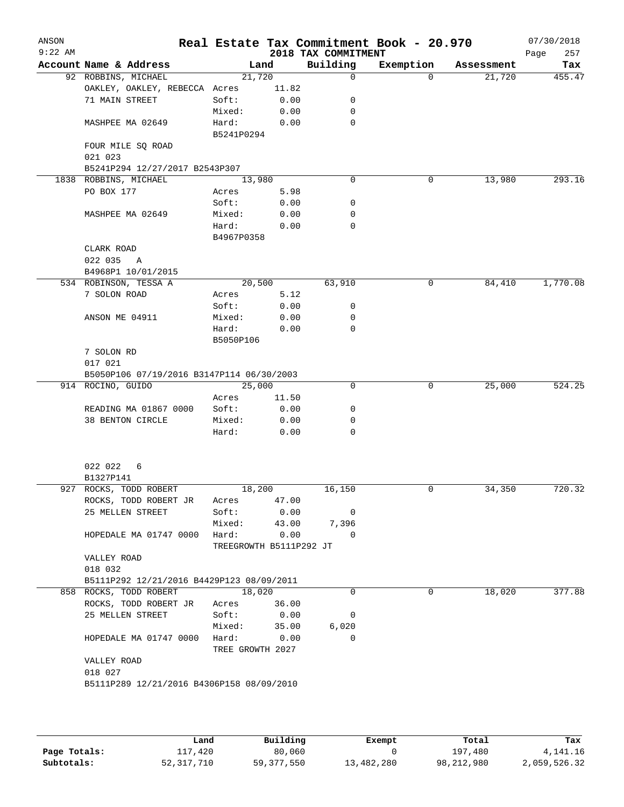| ANSON<br>$9:22$ AM |                                           |                     |                         | 2018 TAX COMMITMENT | Real Estate Tax Commitment Book - 20.970 |            | 07/30/2018<br>Page<br>257 |  |
|--------------------|-------------------------------------------|---------------------|-------------------------|---------------------|------------------------------------------|------------|---------------------------|--|
|                    | Account Name & Address                    |                     | Land                    | Building            | Exemption                                | Assessment | Tax                       |  |
|                    | 92 ROBBINS, MICHAEL                       |                     | 21,720                  | 0                   | $\Omega$                                 | 21,720     | 455.47                    |  |
|                    | OAKLEY, OAKLEY, REBECCA Acres             |                     | 11.82                   |                     |                                          |            |                           |  |
|                    | 71 MAIN STREET                            | Soft:               | 0.00                    | 0                   |                                          |            |                           |  |
|                    |                                           | Mixed:              | 0.00                    | 0                   |                                          |            |                           |  |
|                    | MASHPEE MA 02649                          | Hard:<br>B5241P0294 | 0.00                    | 0                   |                                          |            |                           |  |
|                    | FOUR MILE SQ ROAD                         |                     |                         |                     |                                          |            |                           |  |
|                    | 021 023                                   |                     |                         |                     |                                          |            |                           |  |
|                    | B5241P294 12/27/2017 B2543P307            |                     |                         |                     |                                          |            |                           |  |
|                    | 1838 ROBBINS, MICHAEL                     |                     | 13,980                  | $\Omega$            | 0                                        | 13,980     | 293.16                    |  |
|                    | PO BOX 177                                | Acres               | 5.98                    |                     |                                          |            |                           |  |
|                    |                                           | Soft:               | 0.00                    | 0                   |                                          |            |                           |  |
|                    | MASHPEE MA 02649                          | Mixed:              | 0.00                    | 0                   |                                          |            |                           |  |
|                    |                                           | Hard:<br>B4967P0358 | 0.00                    | 0                   |                                          |            |                           |  |
|                    | CLARK ROAD                                |                     |                         |                     |                                          |            |                           |  |
|                    | 022 035<br>A                              |                     |                         |                     |                                          |            |                           |  |
|                    | B4968P1 10/01/2015                        |                     |                         |                     |                                          |            |                           |  |
|                    | 534 ROBINSON, TESSA A                     |                     | 20,500                  | 63,910              | 0                                        | 84,410     | 1,770.08                  |  |
|                    | 7 SOLON ROAD                              | Acres               | 5.12                    |                     |                                          |            |                           |  |
|                    |                                           | Soft:               | 0.00                    | 0                   |                                          |            |                           |  |
|                    | ANSON ME 04911                            | Mixed:              | 0.00                    | 0                   |                                          |            |                           |  |
|                    |                                           | Hard:               | 0.00                    | $\Omega$            |                                          |            |                           |  |
|                    |                                           | B5050P106           |                         |                     |                                          |            |                           |  |
|                    | 7 SOLON RD                                |                     |                         |                     |                                          |            |                           |  |
|                    | 017 021                                   |                     |                         |                     |                                          |            |                           |  |
|                    | B5050P106 07/19/2016 B3147P114 06/30/2003 |                     |                         |                     |                                          |            |                           |  |
|                    | 914 ROCINO, GUIDO                         |                     | 25,000                  | 0                   | 0                                        | 25,000     | 524.25                    |  |
|                    |                                           | Acres               | 11.50                   |                     |                                          |            |                           |  |
|                    | READING MA 01867 0000                     | Soft:               | 0.00                    | 0                   |                                          |            |                           |  |
|                    | 38 BENTON CIRCLE                          | Mixed:<br>Hard:     | 0.00<br>0.00            | 0<br>0              |                                          |            |                           |  |
|                    |                                           |                     |                         |                     |                                          |            |                           |  |
|                    | 022 022<br>6                              |                     |                         |                     |                                          |            |                           |  |
|                    | B1327P141                                 |                     |                         |                     |                                          |            | 720.32                    |  |
|                    | 927 ROCKS, TODD ROBERT                    |                     | 18,200                  | 16,150              | 0                                        | 34,350     |                           |  |
|                    | ROCKS, TODD ROBERT JR<br>25 MELLEN STREET | Acres<br>Soft:      | 47.00<br>0.00           | 0                   |                                          |            |                           |  |
|                    |                                           | Mixed:              | 43.00                   | 7,396               |                                          |            |                           |  |
|                    | HOPEDALE MA 01747 0000                    | Hard:               | 0.00                    | $\Omega$            |                                          |            |                           |  |
|                    |                                           |                     | TREEGROWTH B5111P292 JT |                     |                                          |            |                           |  |
|                    | VALLEY ROAD                               |                     |                         |                     |                                          |            |                           |  |
|                    | 018 032                                   |                     |                         |                     |                                          |            |                           |  |
|                    | B5111P292 12/21/2016 B4429P123 08/09/2011 |                     |                         |                     |                                          |            |                           |  |
|                    | 858 ROCKS, TODD ROBERT                    |                     | 18,020                  | $\Omega$            | 0                                        | 18,020     | 377.88                    |  |
|                    | ROCKS, TODD ROBERT JR                     | Acres               | 36.00                   |                     |                                          |            |                           |  |
|                    | 25 MELLEN STREET                          | Soft:               | 0.00                    | 0                   |                                          |            |                           |  |
|                    |                                           | Mixed:              | 35.00                   | 6,020<br>$\Omega$   |                                          |            |                           |  |
|                    | HOPEDALE MA 01747 0000                    | Hard:               | 0.00                    |                     |                                          |            |                           |  |
|                    | VALLEY ROAD                               |                     | TREE GROWTH 2027        |                     |                                          |            |                           |  |
|                    | 018 027                                   |                     |                         |                     |                                          |            |                           |  |
|                    | B5111P289 12/21/2016 B4306P158 08/09/2010 |                     |                         |                     |                                          |            |                           |  |
|                    |                                           |                     |                         |                     |                                          |            |                           |  |
|                    |                                           |                     |                         |                     |                                          |            |                           |  |

|              | Land         | Building     | Exempt     | Total        | Tax          |
|--------------|--------------|--------------|------------|--------------|--------------|
| Page Totals: | 117,420      | 80,060       |            | 197,480      | 4,141.16     |
| Subtotals:   | 52, 317, 710 | 59, 377, 550 | 13,482,280 | 98, 212, 980 | 2,059,526.32 |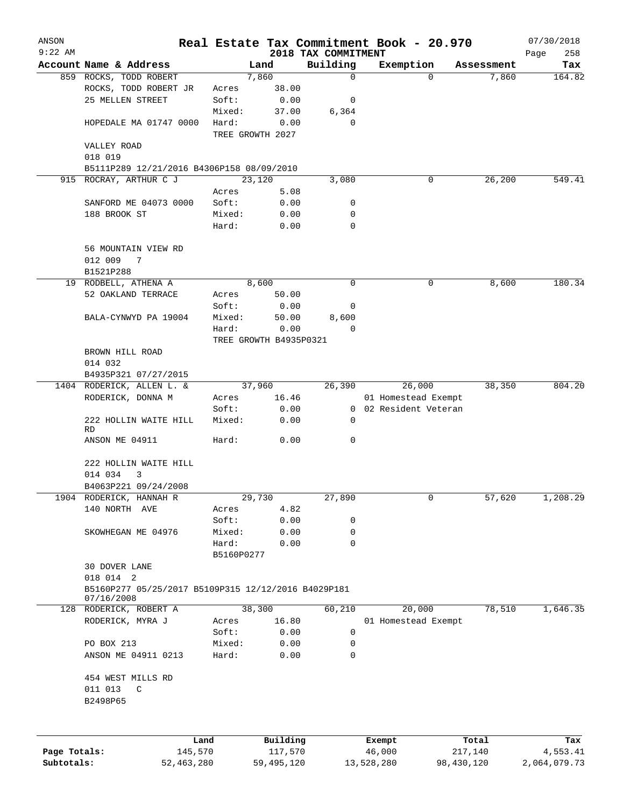| ANSON        |                                                                   |                 |            |        |                        | Real Estate Tax Commitment Book - 20.970 |                       |          |                  | 07/30/2018         |
|--------------|-------------------------------------------------------------------|-----------------|------------|--------|------------------------|------------------------------------------|-----------------------|----------|------------------|--------------------|
| $9:22$ AM    | Account Name & Address                                            |                 |            | Land   |                        | 2018 TAX COMMITMENT<br>Building          | Exemption             |          | Assessment       | Page<br>258<br>Tax |
|              | 859 ROCKS, TODD ROBERT                                            |                 |            | 7,860  |                        | $\mathbf 0$                              |                       | $\Omega$ | 7,860            | 164.82             |
|              | ROCKS, TODD ROBERT JR                                             |                 | Acres      |        | 38.00                  |                                          |                       |          |                  |                    |
|              | 25 MELLEN STREET                                                  |                 | Soft:      |        | 0.00                   | 0                                        |                       |          |                  |                    |
|              |                                                                   |                 | Mixed:     |        | 37.00                  | 6,364                                    |                       |          |                  |                    |
|              | HOPEDALE MA 01747 0000                                            |                 | Hard:      |        | 0.00                   | $\mathbf 0$                              |                       |          |                  |                    |
|              |                                                                   |                 |            |        | TREE GROWTH 2027       |                                          |                       |          |                  |                    |
|              | VALLEY ROAD                                                       |                 |            |        |                        |                                          |                       |          |                  |                    |
|              | 018 019                                                           |                 |            |        |                        |                                          |                       |          |                  |                    |
|              | B5111P289 12/21/2016 B4306P158 08/09/2010                         |                 |            |        |                        |                                          |                       |          |                  |                    |
|              | 915 ROCRAY, ARTHUR C J                                            |                 |            | 23,120 |                        | 3,080                                    |                       | 0        | 26,200           | 549.41             |
|              |                                                                   |                 | Acres      |        | 5.08                   |                                          |                       |          |                  |                    |
|              | SANFORD ME 04073 0000                                             |                 | Soft:      |        | 0.00                   | 0                                        |                       |          |                  |                    |
|              | 188 BROOK ST                                                      |                 | Mixed:     |        | 0.00                   | 0                                        |                       |          |                  |                    |
|              |                                                                   |                 | Hard:      |        | 0.00                   | $\Omega$                                 |                       |          |                  |                    |
|              | 56 MOUNTAIN VIEW RD                                               |                 |            |        |                        |                                          |                       |          |                  |                    |
|              | 012 009<br>7                                                      |                 |            |        |                        |                                          |                       |          |                  |                    |
|              | B1521P288                                                         |                 |            |        |                        |                                          |                       |          |                  |                    |
|              | 19 RODBELL, ATHENA A                                              |                 |            | 8,600  |                        | 0                                        |                       | 0        | 8,600            | 180.34             |
|              | 52 OAKLAND TERRACE                                                |                 | Acres      |        | 50.00                  |                                          |                       |          |                  |                    |
|              |                                                                   |                 | Soft:      |        | 0.00                   | 0                                        |                       |          |                  |                    |
|              | BALA-CYNWYD PA 19004                                              |                 | Mixed:     |        | 50.00                  | 8,600                                    |                       |          |                  |                    |
|              |                                                                   |                 | Hard:      |        | 0.00                   | $\mathbf 0$                              |                       |          |                  |                    |
|              |                                                                   |                 |            |        | TREE GROWTH B4935P0321 |                                          |                       |          |                  |                    |
|              | BROWN HILL ROAD                                                   |                 |            |        |                        |                                          |                       |          |                  |                    |
|              | 014 032                                                           |                 |            |        |                        |                                          |                       |          |                  |                    |
|              | B4935P321 07/27/2015                                              |                 |            |        |                        |                                          |                       |          |                  |                    |
|              | 1404 RODERICK, ALLEN L. &                                         |                 |            | 37,960 |                        | 26,390                                   |                       | 26,000   | 38,350           | 804.20             |
|              | RODERICK, DONNA M                                                 |                 | Acres      |        | 16.46                  |                                          | 01 Homestead Exempt   |          |                  |                    |
|              |                                                                   |                 | Soft:      |        | 0.00                   |                                          | 0 02 Resident Veteran |          |                  |                    |
|              | 222 HOLLIN WAITE HILL<br>RD.                                      |                 | Mixed:     |        | 0.00                   | 0                                        |                       |          |                  |                    |
|              | ANSON ME 04911                                                    |                 | Hard:      |        | 0.00                   | 0                                        |                       |          |                  |                    |
|              | 222 HOLLIN WAITE HILL                                             |                 |            |        |                        |                                          |                       |          |                  |                    |
|              | 014 034<br>3                                                      |                 |            |        |                        |                                          |                       |          |                  |                    |
|              | B4063P221 09/24/2008                                              |                 |            |        |                        |                                          |                       |          |                  |                    |
|              | 1904 RODERICK, HANNAH R                                           |                 |            | 29,730 |                        | 27,890                                   |                       | 0        | 57,620           | 1,208.29           |
|              | 140 NORTH AVE                                                     |                 | Acres      |        | 4.82                   |                                          |                       |          |                  |                    |
|              |                                                                   |                 | Soft:      |        | 0.00                   | 0                                        |                       |          |                  |                    |
|              | SKOWHEGAN ME 04976                                                |                 | Mixed:     |        | 0.00                   | 0                                        |                       |          |                  |                    |
|              |                                                                   |                 | Hard:      |        | 0.00                   | $\mathbf 0$                              |                       |          |                  |                    |
|              |                                                                   |                 | B5160P0277 |        |                        |                                          |                       |          |                  |                    |
|              | 30 DOVER LANE                                                     |                 |            |        |                        |                                          |                       |          |                  |                    |
|              | 018 014 2                                                         |                 |            |        |                        |                                          |                       |          |                  |                    |
|              | B5160P277 05/25/2017 B5109P315 12/12/2016 B4029P181<br>07/16/2008 |                 |            |        |                        |                                          |                       |          |                  |                    |
|              | 128 RODERICK, ROBERT A                                            |                 |            | 38,300 |                        | 60,210                                   |                       | 20,000   | 78,510           | 1,646.35           |
|              | RODERICK, MYRA J                                                  |                 | Acres      |        | 16.80                  |                                          | 01 Homestead Exempt   |          |                  |                    |
|              |                                                                   |                 | Soft:      |        | 0.00                   | 0                                        |                       |          |                  |                    |
|              | PO BOX 213                                                        |                 | Mixed:     |        | 0.00                   | 0                                        |                       |          |                  |                    |
|              | ANSON ME 04911 0213                                               |                 | Hard:      |        | 0.00                   | 0                                        |                       |          |                  |                    |
|              | 454 WEST MILLS RD                                                 |                 |            |        |                        |                                          |                       |          |                  |                    |
|              | 011 013<br>$\mathsf C$                                            |                 |            |        |                        |                                          |                       |          |                  |                    |
|              | B2498P65                                                          |                 |            |        |                        |                                          |                       |          |                  |                    |
|              |                                                                   |                 |            |        |                        |                                          |                       |          |                  |                    |
| Page Totals: |                                                                   | Land<br>145,570 |            |        | Building<br>117,570    |                                          | Exempt<br>46,000      |          | Total<br>217,140 | Tax<br>4,553.41    |
| Subtotals:   |                                                                   | 52, 463, 280    |            |        | 59,495,120             |                                          | 13,528,280            |          | 98,430,120       | 2,064,079.73       |
|              |                                                                   |                 |            |        |                        |                                          |                       |          |                  |                    |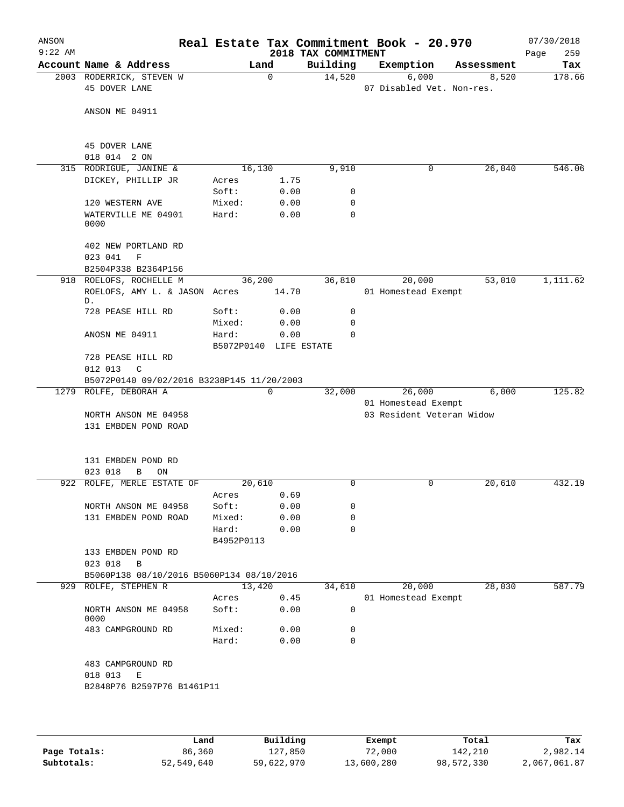| ANSON<br>$9:22$ AM |                                                                 |                                 |              | 2018 TAX COMMITMENT | Real Estate Tax Commitment Book - 20.970 |            | 07/30/2018<br>259<br>Page |
|--------------------|-----------------------------------------------------------------|---------------------------------|--------------|---------------------|------------------------------------------|------------|---------------------------|
|                    | Account Name & Address                                          |                                 | Land         | Building            | Exemption                                | Assessment | Tax                       |
|                    | 2003 RODERRICK, STEVEN W<br>45 DOVER LANE                       |                                 | $\Omega$     | 14,520              | 6,000<br>07 Disabled Vet. Non-res.       | 8,520      | 178.66                    |
|                    | ANSON ME 04911                                                  |                                 |              |                     |                                          |            |                           |
|                    | 45 DOVER LANE<br>018 014 2 ON                                   |                                 |              |                     |                                          |            |                           |
|                    | 315 RODRIGUE, JANINE &                                          | 16,130                          |              | 9,910               | 0                                        | 26,040     | 546.06                    |
|                    | DICKEY, PHILLIP JR                                              | Acres<br>Soft:                  | 1.75<br>0.00 | 0                   |                                          |            |                           |
|                    | 120 WESTERN AVE                                                 | Mixed:                          | 0.00         | 0                   |                                          |            |                           |
|                    | WATERVILLE ME 04901<br>0000                                     | Hard:                           | 0.00         | $\mathbf 0$         |                                          |            |                           |
|                    | 402 NEW PORTLAND RD<br>023 041<br>F<br>B2504P338 B2364P156      |                                 |              |                     |                                          |            |                           |
|                    | 918 ROELOFS, ROCHELLE M                                         | 36,200                          |              | 36,810              | 20,000                                   | 53,010     | 1,111.62                  |
|                    | ROELOFS, AMY L. & JASON Acres<br>D.                             |                                 | 14.70        |                     | 01 Homestead Exempt                      |            |                           |
|                    | 728 PEASE HILL RD                                               | Soft:                           | 0.00         | 0                   |                                          |            |                           |
|                    |                                                                 | Mixed:                          | 0.00         | $\mathbf 0$         |                                          |            |                           |
|                    | ANOSN ME 04911                                                  | Hard:<br>B5072P0140 LIFE ESTATE | 0.00         | $\Omega$            |                                          |            |                           |
|                    | 728 PEASE HILL RD<br>012 013<br>$\mathcal{C}$                   |                                 |              |                     |                                          |            |                           |
|                    | B5072P0140 09/02/2016 B3238P145 11/20/2003                      |                                 |              |                     |                                          |            |                           |
|                    | 1279 ROLFE, DEBORAH A                                           |                                 | $\mathbf 0$  | 32,000              | 26,000<br>01 Homestead Exempt            | 6,000      | 125.82                    |
|                    | NORTH ANSON ME 04958<br>131 EMBDEN POND ROAD                    |                                 |              |                     | 03 Resident Veteran Widow                |            |                           |
|                    | 131 EMBDEN POND RD<br>023 018<br>В<br>ON                        |                                 |              |                     |                                          |            |                           |
|                    | 922 ROLFE, MERLE ESTATE OF                                      | 20,610                          |              | 0                   | 0                                        | 20,610     | 432.19                    |
|                    |                                                                 | Acres                           | 0.69         |                     |                                          |            |                           |
|                    | NORTH ANSON ME 04958                                            | Soft:                           | 0.00         | 0                   |                                          |            |                           |
|                    | 131 EMBDEN POND ROAD                                            | Mixed:<br>Hard:<br>B4952P0113   | 0.00<br>0.00 | 0<br>$\Omega$       |                                          |            |                           |
|                    | 133 EMBDEN POND RD<br>023 018<br>B                              |                                 |              |                     |                                          |            |                           |
|                    | B5060P138 08/10/2016 B5060P134 08/10/2016                       |                                 |              |                     |                                          |            |                           |
|                    | 929 ROLFE, STEPHEN R                                            | 13,420                          |              | 34,610              | 20,000                                   | 28,030     | 587.79                    |
|                    | NORTH ANSON ME 04958                                            | Acres<br>Soft:                  | 0.45<br>0.00 | 0                   | 01 Homestead Exempt                      |            |                           |
|                    | 0000                                                            |                                 |              |                     |                                          |            |                           |
|                    | 483 CAMPGROUND RD                                               | Mixed:<br>Hard:                 | 0.00<br>0.00 | 0<br>0              |                                          |            |                           |
|                    | 483 CAMPGROUND RD<br>018 013<br>Е<br>B2848P76 B2597P76 B1461P11 |                                 |              |                     |                                          |            |                           |
|                    |                                                                 |                                 |              |                     |                                          |            |                           |

|              | Land       | Building   | Exempt     | Total      | Tax          |
|--------------|------------|------------|------------|------------|--------------|
| Page Totals: | 86,360     | 127,850    | 72,000     | 142,210    | 2,982.14     |
| Subtotals:   | 52,549,640 | 59,622,970 | 13,600,280 | 98,572,330 | 2,067,061.87 |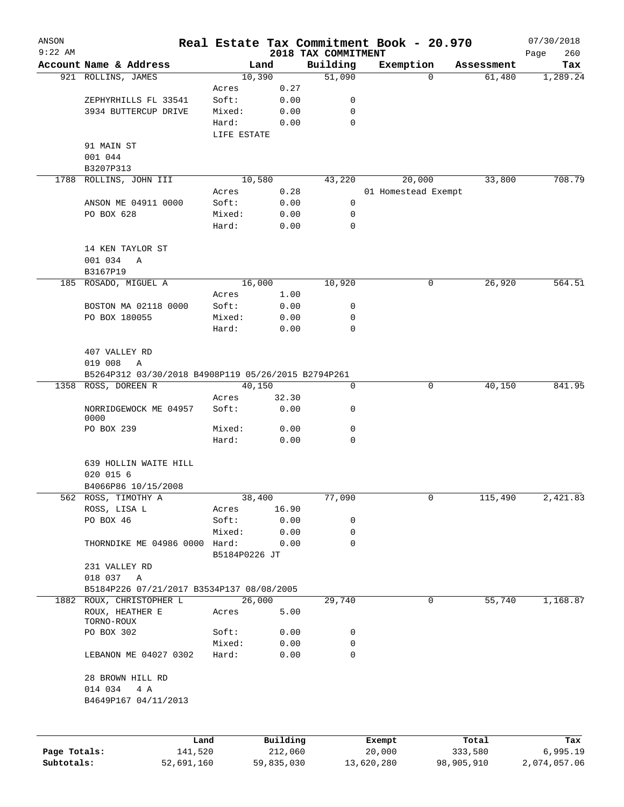| ANSON        |                                                     |                 |          |                                 | Real Estate Tax Commitment Book - 20.970 |          |            | 07/30/2018         |  |
|--------------|-----------------------------------------------------|-----------------|----------|---------------------------------|------------------------------------------|----------|------------|--------------------|--|
| $9:22$ AM    | Account Name & Address                              | Land            |          | 2018 TAX COMMITMENT<br>Building | Exemption                                |          | Assessment | 260<br>Page<br>Tax |  |
|              | 921 ROLLINS, JAMES                                  | 10,390          |          | 51,090                          |                                          | $\Omega$ | 61,480     | 1,289.24           |  |
|              |                                                     | Acres           | 0.27     |                                 |                                          |          |            |                    |  |
|              | ZEPHYRHILLS FL 33541                                | Soft:           | 0.00     | 0                               |                                          |          |            |                    |  |
|              | 3934 BUTTERCUP DRIVE                                | Mixed:          | 0.00     | $\mathbf 0$                     |                                          |          |            |                    |  |
|              |                                                     | Hard:           | 0.00     | $\mathbf 0$                     |                                          |          |            |                    |  |
|              | 91 MAIN ST                                          | LIFE ESTATE     |          |                                 |                                          |          |            |                    |  |
|              | 001 044                                             |                 |          |                                 |                                          |          |            |                    |  |
|              | B3207P313                                           |                 |          |                                 |                                          |          |            |                    |  |
|              | 1788 ROLLINS, JOHN III                              | 10,580          |          | 43,220                          | 20,000                                   |          | 33,800     | 708.79             |  |
|              |                                                     | Acres           | 0.28     |                                 | 01 Homestead Exempt                      |          |            |                    |  |
|              | ANSON ME 04911 0000                                 | Soft:           | 0.00     | 0                               |                                          |          |            |                    |  |
|              | PO BOX 628                                          | Mixed:          | 0.00     | 0                               |                                          |          |            |                    |  |
|              |                                                     | Hard:           | 0.00     | $\mathbf 0$                     |                                          |          |            |                    |  |
|              | 14 KEN TAYLOR ST                                    |                 |          |                                 |                                          |          |            |                    |  |
|              | 001 034<br>Α                                        |                 |          |                                 |                                          |          |            |                    |  |
|              | B3167P19                                            |                 |          |                                 |                                          |          |            |                    |  |
|              | 185 ROSADO, MIGUEL A                                | 16,000          |          | 10,920                          |                                          | 0        | 26,920     | 564.51             |  |
|              |                                                     | Acres           | 1.00     |                                 |                                          |          |            |                    |  |
|              | BOSTON MA 02118 0000                                | Soft:           | 0.00     | 0                               |                                          |          |            |                    |  |
|              | PO BOX 180055                                       | Mixed:          | 0.00     | 0                               |                                          |          |            |                    |  |
|              |                                                     | Hard:           | 0.00     | 0                               |                                          |          |            |                    |  |
|              | 407 VALLEY RD                                       |                 |          |                                 |                                          |          |            |                    |  |
|              | 019 008<br>$\mathbb{A}$                             |                 |          |                                 |                                          |          |            |                    |  |
|              | B5264P312 03/30/2018 B4908P119 05/26/2015 B2794P261 |                 |          |                                 |                                          |          |            |                    |  |
|              | 1358 ROSS, DOREEN R                                 | 40,150          |          | 0                               |                                          | 0        | 40,150     | 841.95             |  |
|              |                                                     | Acres           | 32.30    |                                 |                                          |          |            |                    |  |
|              | NORRIDGEWOCK ME 04957<br>0000                       | Soft:           | 0.00     | 0                               |                                          |          |            |                    |  |
|              | PO BOX 239                                          | Mixed:          | 0.00     | 0                               |                                          |          |            |                    |  |
|              |                                                     | Hard:           | 0.00     | 0                               |                                          |          |            |                    |  |
|              | 639 HOLLIN WAITE HILL                               |                 |          |                                 |                                          |          |            |                    |  |
|              | 020 015 6                                           |                 |          |                                 |                                          |          |            |                    |  |
|              | B4066P86 10/15/2008                                 |                 |          |                                 |                                          |          |            |                    |  |
|              | 562 ROSS, TIMOTHY A                                 | 38,400          |          | 77,090                          |                                          | 0        | 115,490    | 2,421.83           |  |
|              | ROSS, LISA L                                        | Acres           | 16.90    |                                 |                                          |          |            |                    |  |
|              | PO BOX 46                                           | Soft:           | 0.00     | 0                               |                                          |          |            |                    |  |
|              |                                                     | Mixed:          | 0.00     | 0                               |                                          |          |            |                    |  |
|              | THORNDIKE ME 04986 0000 Hard:                       |                 | 0.00     | 0                               |                                          |          |            |                    |  |
|              |                                                     | B5184P0226 JT   |          |                                 |                                          |          |            |                    |  |
|              | 231 VALLEY RD                                       |                 |          |                                 |                                          |          |            |                    |  |
|              | 018 037<br>A                                        |                 |          |                                 |                                          |          |            |                    |  |
|              | B5184P226 07/21/2017 B3534P137 08/08/2005           |                 |          |                                 |                                          |          |            |                    |  |
|              | 1882 ROUX, CHRISTOPHER L<br>ROUX, HEATHER E         | 26,000<br>Acres | 5.00     | 29,740                          |                                          | 0        | 55,740     | 1,168.87           |  |
|              | TORNO-ROUX<br>PO BOX 302                            | Soft:           | 0.00     | 0                               |                                          |          |            |                    |  |
|              |                                                     | Mixed:          | 0.00     | 0                               |                                          |          |            |                    |  |
|              | LEBANON ME 04027 0302                               | Hard:           | 0.00     | 0                               |                                          |          |            |                    |  |
|              | 28 BROWN HILL RD                                    |                 |          |                                 |                                          |          |            |                    |  |
|              | 014 034<br>4 A                                      |                 |          |                                 |                                          |          |            |                    |  |
|              | B4649P167 04/11/2013                                |                 |          |                                 |                                          |          |            |                    |  |
|              |                                                     |                 |          |                                 |                                          |          |            |                    |  |
|              | Land                                                |                 | Building |                                 | Exempt                                   |          | Total      | Tax                |  |
| Page Totals: | 141,520                                             |                 | 212,060  |                                 | 20,000                                   |          | 333,580    | 6,995.19           |  |

**Subtotals:** 52,691,160 59,835,030 13,620,280 98,905,910 2,074,057.06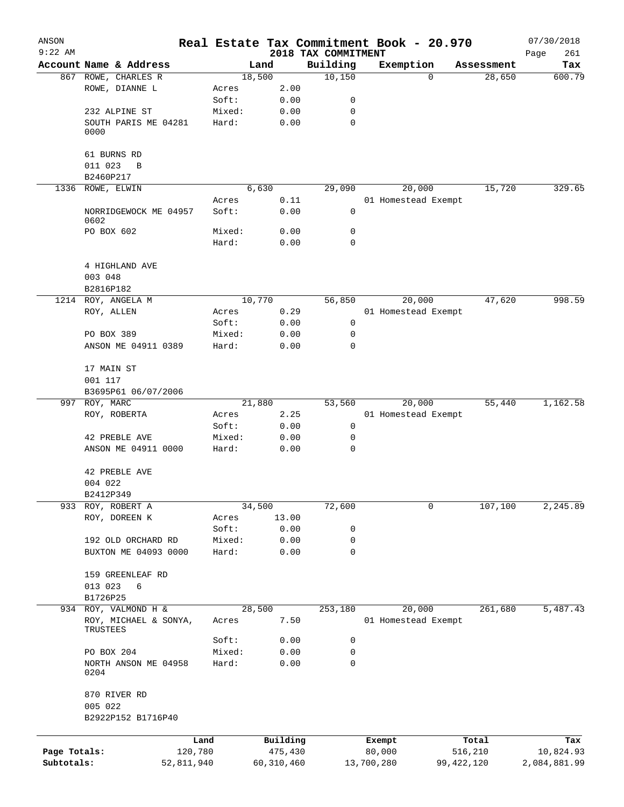| ANSON        |                               |            |        |              |                                 |            | Real Estate Tax Commitment Book - 20.970 |              | 07/30/2018         |
|--------------|-------------------------------|------------|--------|--------------|---------------------------------|------------|------------------------------------------|--------------|--------------------|
| $9:22$ AM    | Account Name & Address        |            | Land   |              | 2018 TAX COMMITMENT<br>Building |            | Exemption                                | Assessment   | 261<br>Page<br>Tax |
|              | 867 ROWE, CHARLES R           |            | 18,500 |              | 10,150                          |            | $\Omega$                                 | 28,650       | 600.79             |
|              | ROWE, DIANNE L                |            | Acres  | 2.00         |                                 |            |                                          |              |                    |
|              |                               |            | Soft:  | 0.00         | 0                               |            |                                          |              |                    |
|              | 232 ALPINE ST                 |            | Mixed: | 0.00         | 0                               |            |                                          |              |                    |
|              | SOUTH PARIS ME 04281          |            | Hard:  | 0.00         | 0                               |            |                                          |              |                    |
|              | 0000                          |            |        |              |                                 |            |                                          |              |                    |
|              | 61 BURNS RD                   |            |        |              |                                 |            |                                          |              |                    |
|              | 011 023<br>B                  |            |        |              |                                 |            |                                          |              |                    |
|              | B2460P217<br>1336 ROWE, ELWIN |            | 6,630  |              | 29,090                          |            | 20,000                                   | 15,720       | 329.65             |
|              |                               |            | Acres  | 0.11         |                                 |            | 01 Homestead Exempt                      |              |                    |
|              | NORRIDGEWOCK ME 04957         |            | Soft:  | 0.00         | 0                               |            |                                          |              |                    |
|              | 0602                          |            |        |              |                                 |            |                                          |              |                    |
|              | PO BOX 602                    |            | Mixed: | 0.00         | 0                               |            |                                          |              |                    |
|              |                               |            | Hard:  | 0.00         | 0                               |            |                                          |              |                    |
|              | 4 HIGHLAND AVE                |            |        |              |                                 |            |                                          |              |                    |
|              | 003 048                       |            |        |              |                                 |            |                                          |              |                    |
|              | B2816P182                     |            |        |              |                                 |            |                                          |              |                    |
|              | 1214 ROY, ANGELA M            |            | 10,770 |              | 56,850                          |            | 20,000                                   | 47,620       | 998.59             |
|              | ROY, ALLEN                    |            | Acres  | 0.29         |                                 |            | 01 Homestead Exempt                      |              |                    |
|              |                               |            | Soft:  | 0.00         | 0                               |            |                                          |              |                    |
|              | PO BOX 389                    |            | Mixed: | 0.00         | 0                               |            |                                          |              |                    |
|              | ANSON ME 04911 0389           |            | Hard:  | 0.00         | $\mathbf 0$                     |            |                                          |              |                    |
|              | 17 MAIN ST                    |            |        |              |                                 |            |                                          |              |                    |
|              | 001 117                       |            |        |              |                                 |            |                                          |              |                    |
|              | B3695P61 06/07/2006           |            |        |              |                                 |            |                                          |              |                    |
|              | 997 ROY, MARC                 |            | 21,880 |              | 53,560                          |            | 20,000                                   | 55,440       | 1,162.58           |
|              | ROY, ROBERTA                  |            | Acres  | 2.25         |                                 |            | 01 Homestead Exempt                      |              |                    |
|              |                               |            | Soft:  | 0.00         | 0                               |            |                                          |              |                    |
|              | 42 PREBLE AVE                 |            | Mixed: | 0.00         | 0                               |            |                                          |              |                    |
|              | ANSON ME 04911 0000           |            | Hard:  | 0.00         | 0                               |            |                                          |              |                    |
|              | 42 PREBLE AVE                 |            |        |              |                                 |            |                                          |              |                    |
|              | 004 022                       |            |        |              |                                 |            |                                          |              |                    |
|              | B2412P349                     |            |        |              |                                 |            |                                          |              |                    |
|              | 933 ROY, ROBERT A             |            | 34,500 |              | 72,600                          |            | 0                                        | 107,100      | 2,245.89           |
|              | ROY, DOREEN K                 |            | Acres  | 13.00        |                                 |            |                                          |              |                    |
|              |                               |            | Soft:  | 0.00         | 0                               |            |                                          |              |                    |
|              | 192 OLD ORCHARD RD            |            | Mixed: | 0.00         | 0                               |            |                                          |              |                    |
|              | BUXTON ME 04093 0000          |            | Hard:  | 0.00         | 0                               |            |                                          |              |                    |
|              | 159 GREENLEAF RD              |            |        |              |                                 |            |                                          |              |                    |
|              | 013 023<br>6                  |            |        |              |                                 |            |                                          |              |                    |
|              | B1726P25                      |            |        |              |                                 |            |                                          |              |                    |
| 934          | ROY, VALMOND H &              |            | 28,500 |              | 253,180                         |            | 20,000                                   | 261,680      | 5,487.43           |
|              | ROY, MICHAEL & SONYA,         |            | Acres  | 7.50         |                                 |            | 01 Homestead Exempt                      |              |                    |
|              | TRUSTEES                      |            | Soft:  | 0.00         | 0                               |            |                                          |              |                    |
|              | PO BOX 204                    |            | Mixed: | 0.00         | 0                               |            |                                          |              |                    |
|              | NORTH ANSON ME 04958          |            | Hard:  | 0.00         | 0                               |            |                                          |              |                    |
|              | 0204                          |            |        |              |                                 |            |                                          |              |                    |
|              | 870 RIVER RD                  |            |        |              |                                 |            |                                          |              |                    |
|              | 005 022                       |            |        |              |                                 |            |                                          |              |                    |
|              | B2922P152 B1716P40            |            |        |              |                                 |            |                                          |              |                    |
|              |                               | Land       |        | Building     |                                 | Exempt     |                                          | Total        | Tax                |
| Page Totals: |                               | 120,780    |        | 475,430      |                                 | 80,000     |                                          | 516,210      | 10,824.93          |
| Subtotals:   |                               | 52,811,940 |        | 60, 310, 460 |                                 | 13,700,280 |                                          | 99, 422, 120 | 2,084,881.99       |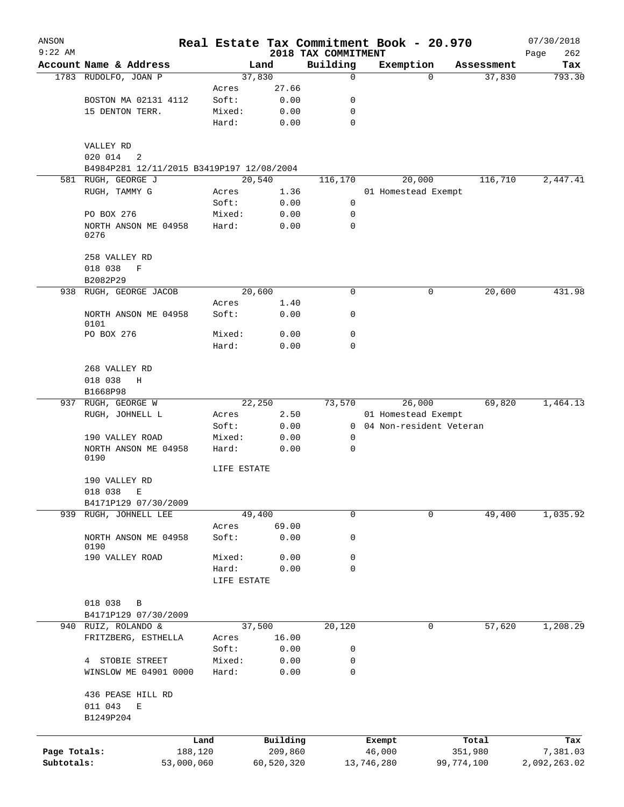| ANSON        |                                           |             |            |                                 | Real Estate Tax Commitment Book - 20.970 |            |            | 07/30/2018         |
|--------------|-------------------------------------------|-------------|------------|---------------------------------|------------------------------------------|------------|------------|--------------------|
| $9:22$ AM    | Account Name & Address                    |             | Land       | 2018 TAX COMMITMENT<br>Building | Exemption                                |            | Assessment | 262<br>Page<br>Tax |
|              | 1783 RUDOLFO, JOAN P                      |             | 37,830     | 0                               |                                          | 0          | 37,830     | 793.30             |
|              |                                           | Acres       | 27.66      |                                 |                                          |            |            |                    |
|              | BOSTON MA 02131 4112                      | Soft:       | 0.00       | 0                               |                                          |            |            |                    |
|              | 15 DENTON TERR.                           | Mixed:      | 0.00       | 0                               |                                          |            |            |                    |
|              |                                           | Hard:       | 0.00       | $\mathbf 0$                     |                                          |            |            |                    |
|              | VALLEY RD                                 |             |            |                                 |                                          |            |            |                    |
|              | 020 014<br>2                              |             |            |                                 |                                          |            |            |                    |
|              | B4984P281 12/11/2015 B3419P197 12/08/2004 |             |            |                                 |                                          |            |            |                    |
| 581          | RUGH, GEORGE J                            |             | 20,540     | 116,170                         | 20,000                                   |            | 116,710    | 2,447.41           |
|              | RUGH, TAMMY G                             | Acres       | 1.36       |                                 | 01 Homestead Exempt                      |            |            |                    |
|              |                                           | Soft:       | 0.00       | 0                               |                                          |            |            |                    |
|              | PO BOX 276                                | Mixed:      | 0.00       | 0                               |                                          |            |            |                    |
|              | NORTH ANSON ME 04958<br>0276              | Hard:       | 0.00       | $\mathbf 0$                     |                                          |            |            |                    |
|              | 258 VALLEY RD                             |             |            |                                 |                                          |            |            |                    |
|              | 018 038<br>$\mathbf F$                    |             |            |                                 |                                          |            |            |                    |
|              | B2082P29                                  |             |            |                                 |                                          |            |            |                    |
| 938          | RUGH, GEORGE JACOB                        |             | 20,600     | $\mathbf 0$                     |                                          | 0          | 20,600     | 431.98             |
|              |                                           | Acres       | 1.40       |                                 |                                          |            |            |                    |
|              | NORTH ANSON ME 04958<br>0101              | Soft:       | 0.00       | 0                               |                                          |            |            |                    |
|              | PO BOX 276                                | Mixed:      | 0.00       | $\mathbf 0$                     |                                          |            |            |                    |
|              |                                           | Hard:       | 0.00       | $\Omega$                        |                                          |            |            |                    |
|              | 268 VALLEY RD                             |             |            |                                 |                                          |            |            |                    |
|              | 018 038<br>Η                              |             |            |                                 |                                          |            |            |                    |
|              | B1668P98<br>937 RUGH, GEORGE W            |             | 22,250     | 73,570                          | 26,000                                   |            | 69,820     | 1,464.13           |
|              | RUGH, JOHNELL L                           | Acres       | 2.50       |                                 | 01 Homestead Exempt                      |            |            |                    |
|              |                                           | Soft:       | 0.00       | $\Omega$                        | 04 Non-resident Veteran                  |            |            |                    |
|              | 190 VALLEY ROAD                           | Mixed:      | 0.00       | 0                               |                                          |            |            |                    |
|              | NORTH ANSON ME 04958<br>0190              | Hard:       | 0.00       | 0                               |                                          |            |            |                    |
|              |                                           | LIFE ESTATE |            |                                 |                                          |            |            |                    |
|              | 190 VALLEY RD                             |             |            |                                 |                                          |            |            |                    |
|              | 018 038<br>Е                              |             |            |                                 |                                          |            |            |                    |
|              | B4171P129 07/30/2009                      |             |            |                                 |                                          |            |            |                    |
|              | 939 RUGH, JOHNELL LEE                     |             | 49,400     | 0                               |                                          | 0          | 49,400     | 1,035.92           |
|              |                                           | Acres       | 69.00      |                                 |                                          |            |            |                    |
|              | NORTH ANSON ME 04958<br>0190              | Soft:       | 0.00       | 0                               |                                          |            |            |                    |
|              | 190 VALLEY ROAD                           | Mixed:      | 0.00       | 0                               |                                          |            |            |                    |
|              |                                           | Hard:       | 0.00       | 0                               |                                          |            |            |                    |
|              |                                           | LIFE ESTATE |            |                                 |                                          |            |            |                    |
|              |                                           |             |            |                                 |                                          |            |            |                    |
|              | 018 038<br>B                              |             |            |                                 |                                          |            |            |                    |
| 940          | B4171P129 07/30/2009<br>RUIZ, ROLANDO &   |             | 37,500     | 20,120                          |                                          | 0          | 57,620     | 1,208.29           |
|              | FRITZBERG, ESTHELLA                       | Acres       | 16.00      |                                 |                                          |            |            |                    |
|              |                                           | Soft:       | 0.00       | 0                               |                                          |            |            |                    |
|              | STOBIE STREET<br>4                        | Mixed:      | 0.00       | 0                               |                                          |            |            |                    |
|              | WINSLOW ME 04901 0000                     | Hard:       | 0.00       | $\mathbf 0$                     |                                          |            |            |                    |
|              | 436 PEASE HILL RD                         |             |            |                                 |                                          |            |            |                    |
|              | 011 043<br>Е                              |             |            |                                 |                                          |            |            |                    |
|              | B1249P204                                 |             |            |                                 |                                          |            |            |                    |
|              |                                           |             |            |                                 |                                          |            |            |                    |
|              |                                           | Land        | Building   |                                 | Exempt                                   |            | Total      | Tax                |
| Page Totals: |                                           | 188,120     | 209,860    |                                 | 46,000                                   | 351,980    |            | 7,381.03           |
| Subtotals:   |                                           | 53,000,060  | 60,520,320 |                                 | 13,746,280                               | 99,774,100 |            | 2,092,263.02       |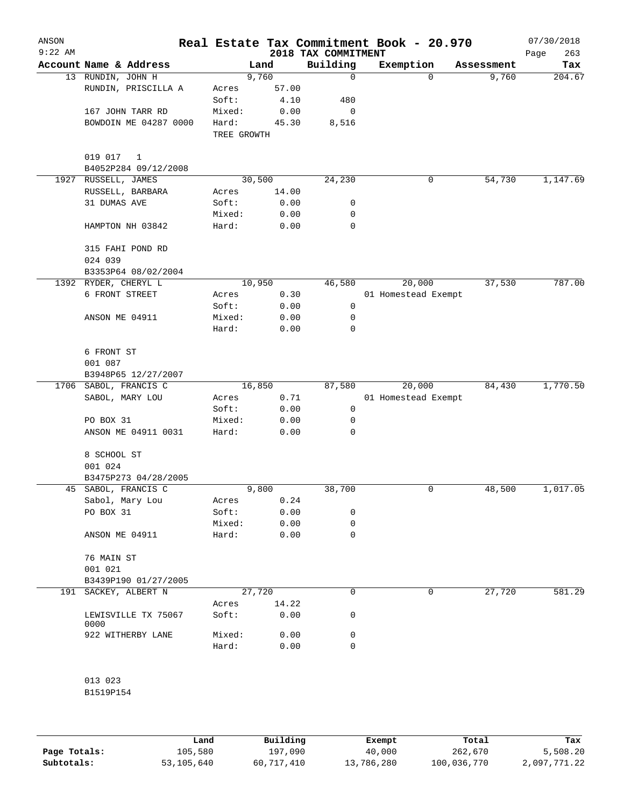| ANSON<br>$9:22$ AM |                                      |             |        | 2018 TAX COMMITMENT | Real Estate Tax Commitment Book - 20.970 |            | 07/30/2018<br>263<br>Page |
|--------------------|--------------------------------------|-------------|--------|---------------------|------------------------------------------|------------|---------------------------|
|                    | Account Name & Address               |             | Land   | Building            | Exemption                                | Assessment | Tax                       |
|                    | 13 RUNDIN, JOHN H                    |             | 9,760  | $\mathbf 0$         | $\Omega$                                 |            | 9,760<br>204.67           |
|                    | RUNDIN, PRISCILLA A                  | Acres       | 57.00  |                     |                                          |            |                           |
|                    |                                      | Soft:       | 4.10   | 480                 |                                          |            |                           |
|                    | 167 JOHN TARR RD                     | Mixed:      | 0.00   | 0                   |                                          |            |                           |
|                    | BOWDOIN ME 04287 0000                | Hard:       | 45.30  | 8,516               |                                          |            |                           |
|                    |                                      | TREE GROWTH |        |                     |                                          |            |                           |
|                    | 019 017<br>1<br>B4052P284 09/12/2008 |             |        |                     |                                          |            |                           |
| 1927               | RUSSELL, JAMES                       |             | 30,500 | 24,230              | 0                                        |            | 54,730<br>1,147.69        |
|                    | RUSSELL, BARBARA                     | Acres       | 14.00  |                     |                                          |            |                           |
|                    | 31 DUMAS AVE                         | Soft:       | 0.00   | 0                   |                                          |            |                           |
|                    |                                      |             |        |                     |                                          |            |                           |
|                    |                                      | Mixed:      | 0.00   | 0                   |                                          |            |                           |
|                    | HAMPTON NH 03842                     | Hard:       | 0.00   | $\mathbf 0$         |                                          |            |                           |
|                    | 315 FAHI POND RD<br>024 039          |             |        |                     |                                          |            |                           |
|                    | B3353P64 08/02/2004                  |             |        |                     |                                          |            |                           |
|                    | 1392 RYDER, CHERYL L                 |             | 10,950 | 46,580              | 20,000                                   |            | 787.00<br>37,530          |
|                    | 6 FRONT STREET                       | Acres       | 0.30   |                     | 01 Homestead Exempt                      |            |                           |
|                    |                                      | Soft:       | 0.00   | $\mathbf 0$         |                                          |            |                           |
|                    | ANSON ME 04911                       |             |        | 0                   |                                          |            |                           |
|                    |                                      | Mixed:      | 0.00   |                     |                                          |            |                           |
|                    |                                      | Hard:       | 0.00   | 0                   |                                          |            |                           |
|                    | 6 FRONT ST<br>001 087                |             |        |                     |                                          |            |                           |
|                    | B3948P65 12/27/2007                  |             |        |                     |                                          |            |                           |
|                    | 1706 SABOL, FRANCIS C                |             | 16,850 | 87,580              | 20,000                                   |            | 1,770.50<br>84,430        |
|                    |                                      |             | 0.71   |                     |                                          |            |                           |
|                    | SABOL, MARY LOU                      | Acres       |        |                     | 01 Homestead Exempt                      |            |                           |
|                    |                                      | Soft:       | 0.00   | $\mathbf 0$         |                                          |            |                           |
|                    | PO BOX 31                            | Mixed:      | 0.00   | 0                   |                                          |            |                           |
|                    | ANSON ME 04911 0031                  | Hard:       | 0.00   | 0                   |                                          |            |                           |
|                    | 8 SCHOOL ST                          |             |        |                     |                                          |            |                           |
|                    | 001 024                              |             |        |                     |                                          |            |                           |
|                    | B3475P273 04/28/2005                 |             |        |                     |                                          |            |                           |
|                    | 45 SABOL, FRANCIS C                  |             | 9,800  | 38,700              | 0                                        |            | 48,500<br>1,017.05        |
|                    | Sabol, Mary Lou                      | Acres       | 0.24   |                     |                                          |            |                           |
|                    | PO BOX 31                            | Soft:       | 0.00   | 0                   |                                          |            |                           |
|                    |                                      | Mixed:      | 0.00   | 0                   |                                          |            |                           |
|                    | ANSON ME 04911                       | Hard:       | 0.00   | 0                   |                                          |            |                           |
|                    | 76 MAIN ST                           |             |        |                     |                                          |            |                           |
|                    | 001 021                              |             |        |                     |                                          |            |                           |
|                    | B3439P190 01/27/2005                 |             |        |                     |                                          |            |                           |
|                    | 191 SACKEY, ALBERT N                 |             | 27,720 | 0                   | 0                                        |            | 581.29                    |
|                    |                                      |             |        |                     |                                          |            | 27,720                    |
|                    |                                      | Acres       | 14.22  |                     |                                          |            |                           |
|                    | LEWISVILLE TX 75067<br>0000          | Soft:       | 0.00   | 0                   |                                          |            |                           |
|                    | 922 WITHERBY LANE                    | Mixed:      | 0.00   | 0                   |                                          |            |                           |
|                    |                                      | Hard:       | 0.00   | 0                   |                                          |            |                           |
|                    |                                      |             |        |                     |                                          |            |                           |
|                    | 013 023                              |             |        |                     |                                          |            |                           |
|                    | B1519P154                            |             |        |                     |                                          |            |                           |
|                    |                                      |             |        |                     |                                          |            |                           |

|              | Land       | Building   | Exempt     | Total       | Tax          |
|--------------|------------|------------|------------|-------------|--------------|
| Page Totals: | 105,580    | 197,090    | 40,000     | 262,670     | 5,508.20     |
| Subtotals:   | 53,105,640 | 60,717,410 | 13,786,280 | 100,036,770 | 2,097,771.22 |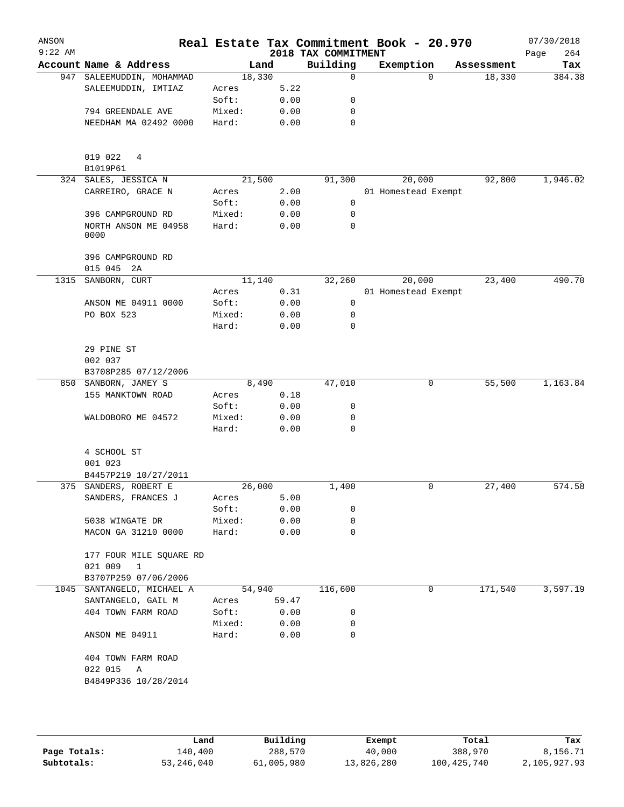| ANSON<br>$9:22$ AM |                                                            |        |       | 2018 TAX COMMITMENT | Real Estate Tax Commitment Book - 20.970 |            | 07/30/2018<br>264<br>Page |
|--------------------|------------------------------------------------------------|--------|-------|---------------------|------------------------------------------|------------|---------------------------|
|                    | Account Name & Address                                     | Land   |       | Building            | Exemption                                | Assessment | Tax                       |
|                    | 947 SALEEMUDDIN, MOHAMMAD                                  | 18,330 |       | 0                   | $\Omega$                                 | 18,330     | 384.38                    |
|                    | SALEEMUDDIN, IMTIAZ                                        | Acres  | 5.22  |                     |                                          |            |                           |
|                    |                                                            | Soft:  | 0.00  | 0                   |                                          |            |                           |
|                    | 794 GREENDALE AVE                                          | Mixed: | 0.00  | 0                   |                                          |            |                           |
|                    | NEEDHAM MA 02492 0000                                      | Hard:  | 0.00  | 0                   |                                          |            |                           |
|                    | 019 022<br>4<br>B1019P61                                   |        |       |                     |                                          |            |                           |
|                    | 324 SALES, JESSICA N                                       | 21,500 |       | 91,300              | 20,000                                   | 92,800     | 1,946.02                  |
|                    | CARREIRO, GRACE N                                          | Acres  | 2.00  |                     | 01 Homestead Exempt                      |            |                           |
|                    |                                                            | Soft:  | 0.00  | 0                   |                                          |            |                           |
|                    | 396 CAMPGROUND RD                                          | Mixed: | 0.00  | 0                   |                                          |            |                           |
|                    | NORTH ANSON ME 04958<br>0000                               | Hard:  | 0.00  | 0                   |                                          |            |                           |
|                    | 396 CAMPGROUND RD<br>015 045 2A                            |        |       |                     |                                          |            |                           |
| 1315               | SANBORN, CURT                                              | 11,140 |       | 32,260              | 20,000                                   | 23,400     | 490.70                    |
|                    |                                                            | Acres  | 0.31  |                     | 01 Homestead Exempt                      |            |                           |
|                    | ANSON ME 04911 0000                                        | Soft:  | 0.00  | 0                   |                                          |            |                           |
|                    | PO BOX 523                                                 | Mixed: | 0.00  | 0                   |                                          |            |                           |
|                    |                                                            | Hard:  | 0.00  | 0                   |                                          |            |                           |
|                    | 29 PINE ST<br>002 037                                      |        |       |                     |                                          |            |                           |
|                    | B3708P285 07/12/2006                                       |        |       |                     |                                          |            |                           |
| 850                | SANBORN, JAMEY S                                           | 8,490  |       | 47,010              | 0                                        | 55,500     | 1,163.84                  |
|                    | 155 MANKTOWN ROAD                                          | Acres  | 0.18  |                     |                                          |            |                           |
|                    |                                                            | Soft:  | 0.00  | 0                   |                                          |            |                           |
|                    | WALDOBORO ME 04572                                         | Mixed: | 0.00  | 0                   |                                          |            |                           |
|                    |                                                            | Hard:  | 0.00  | 0                   |                                          |            |                           |
|                    | 4 SCHOOL ST                                                |        |       |                     |                                          |            |                           |
|                    | 001 023                                                    |        |       |                     |                                          |            |                           |
|                    | B4457P219 10/27/2011                                       |        |       |                     |                                          |            |                           |
|                    | 375 SANDERS, ROBERT E                                      | 26,000 |       | 1,400               | 0                                        | 27,400     | 574.58                    |
|                    | SANDERS, FRANCES J                                         | Acres  | 5.00  |                     |                                          |            |                           |
|                    |                                                            | Soft:  | 0.00  | 0                   |                                          |            |                           |
|                    | 5038 WINGATE DR                                            | Mixed: | 0.00  | 0                   |                                          |            |                           |
|                    | MACON GA 31210 0000                                        | Hard:  | 0.00  | 0                   |                                          |            |                           |
|                    | 177 FOUR MILE SQUARE RD                                    |        |       |                     |                                          |            |                           |
|                    | 021 009<br>$\mathbf{1}$                                    |        |       |                     |                                          |            |                           |
|                    | B3707P259 07/06/2006                                       |        |       |                     |                                          |            |                           |
|                    | 1045 SANTANGELO, MICHAEL A                                 | 54,940 |       | 116,600             | 0                                        | 171,540    | 3,597.19                  |
|                    | SANTANGELO, GAIL M                                         | Acres  | 59.47 |                     |                                          |            |                           |
|                    | 404 TOWN FARM ROAD                                         | Soft:  | 0.00  | 0                   |                                          |            |                           |
|                    |                                                            | Mixed: | 0.00  | 0                   |                                          |            |                           |
|                    | ANSON ME 04911                                             | Hard:  | 0.00  | 0                   |                                          |            |                           |
|                    | 404 TOWN FARM ROAD<br>022 015<br>Α<br>B4849P336 10/28/2014 |        |       |                     |                                          |            |                           |
|                    |                                                            |        |       |                     |                                          |            |                           |

|              | Land       | Building   | Exempt     | Total       | Tax          |
|--------------|------------|------------|------------|-------------|--------------|
| Page Totals: | 140,400    | 288,570    | 40,000     | 388,970     | 8,156.71     |
| Subtotals:   | 53,246,040 | 61,005,980 | 13,826,280 | 100,425,740 | 2,105,927.93 |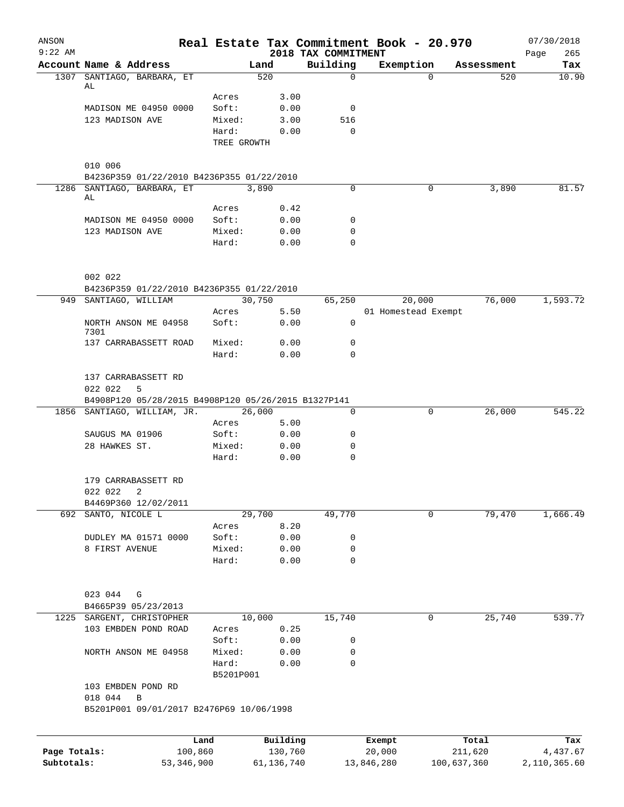| ANSON<br>$9:22$ AM         |                                                      |                    |                         | 2018 TAX COMMITMENT        | Real Estate Tax Commitment Book - 20.970 |             |            | 07/30/2018               |
|----------------------------|------------------------------------------------------|--------------------|-------------------------|----------------------------|------------------------------------------|-------------|------------|--------------------------|
|                            | Account Name & Address                               |                    | Land                    | Building                   | Exemption                                |             | Assessment | 265<br>Page<br>Tax       |
|                            | 1307 SANTIAGO, BARBARA, ET                           |                    | 520                     | $\Omega$                   |                                          | $\Omega$    | 520        | 10.90                    |
|                            | AL                                                   |                    |                         |                            |                                          |             |            |                          |
|                            | MADISON ME 04950 0000                                | Acres<br>Soft:     | 3.00<br>0.00            | 0                          |                                          |             |            |                          |
|                            | 123 MADISON AVE                                      | Mixed:             | 3.00                    | 516                        |                                          |             |            |                          |
|                            |                                                      | Hard:              | 0.00                    | $\Omega$                   |                                          |             |            |                          |
|                            |                                                      | TREE GROWTH        |                         |                            |                                          |             |            |                          |
|                            |                                                      |                    |                         |                            |                                          |             |            |                          |
|                            | 010 006<br>B4236P359 01/22/2010 B4236P355 01/22/2010 |                    |                         |                            |                                          |             |            |                          |
|                            | 1286 SANTIAGO, BARBARA, ET                           |                    | 3,890                   | 0                          |                                          | 0           | 3,890      | 81.57                    |
|                            | AL                                                   |                    |                         |                            |                                          |             |            |                          |
|                            |                                                      | Acres              | 0.42                    |                            |                                          |             |            |                          |
|                            | MADISON ME 04950 0000                                | Soft:              | 0.00                    | 0                          |                                          |             |            |                          |
|                            | 123 MADISON AVE                                      | Mixed:<br>Hard:    | 0.00<br>0.00            | $\mathbf 0$<br>$\mathbf 0$ |                                          |             |            |                          |
|                            |                                                      |                    |                         |                            |                                          |             |            |                          |
|                            | 002 022                                              |                    |                         |                            |                                          |             |            |                          |
|                            | B4236P359 01/22/2010 B4236P355 01/22/2010            |                    |                         |                            |                                          |             |            |                          |
|                            | 949 SANTIAGO, WILLIAM                                |                    | 30,750                  | 65,250                     | 20,000                                   |             | 76,000     | 1,593.72                 |
|                            |                                                      | Acres              | 5.50                    |                            | 01 Homestead Exempt                      |             |            |                          |
|                            | NORTH ANSON ME 04958<br>7301                         | Soft:              | 0.00                    | 0                          |                                          |             |            |                          |
|                            | 137 CARRABASSETT ROAD                                | Mixed:             | 0.00                    | $\mathbf 0$                |                                          |             |            |                          |
|                            |                                                      | Hard:              | 0.00                    | $\mathbf 0$                |                                          |             |            |                          |
|                            | 137 CARRABASSETT RD                                  |                    |                         |                            |                                          |             |            |                          |
|                            | 022 022<br>5                                         |                    |                         |                            |                                          |             |            |                          |
|                            | B4908P120 05/28/2015 B4908P120 05/26/2015 B1327P141  |                    |                         |                            |                                          |             |            |                          |
|                            | 1856 SANTIAGO, WILLIAM, JR.                          |                    | 26,000                  | 0                          |                                          | 0           | 26,000     | 545.22                   |
|                            |                                                      | Acres              | 5.00                    |                            |                                          |             |            |                          |
|                            | SAUGUS MA 01906                                      | Soft:              | 0.00                    | 0                          |                                          |             |            |                          |
|                            | 28 HAWKES ST.                                        | Mixed:             | 0.00                    | 0                          |                                          |             |            |                          |
|                            |                                                      | Hard:              | 0.00                    | $\mathbf 0$                |                                          |             |            |                          |
|                            | 179 CARRABASSETT RD                                  |                    |                         |                            |                                          |             |            |                          |
|                            | 022 022<br>2                                         |                    |                         |                            |                                          |             |            |                          |
|                            | B4469P360 12/02/2011                                 |                    |                         |                            |                                          |             |            |                          |
|                            | 692 SANTO, NICOLE L                                  |                    | 29,700                  | 49,770                     |                                          | 0           | 79,470     | 1,666.49                 |
|                            | DUDLEY MA 01571 0000                                 | Acres              | 8.20                    |                            |                                          |             |            |                          |
|                            | 8 FIRST AVENUE                                       | Soft:<br>Mixed:    | 0.00<br>0.00            | 0<br>$\mathbf 0$           |                                          |             |            |                          |
|                            |                                                      | Hard:              | 0.00                    | $\mathsf{O}$               |                                          |             |            |                          |
|                            |                                                      |                    |                         |                            |                                          |             |            |                          |
|                            | 023 044<br>G                                         |                    |                         |                            |                                          |             |            |                          |
|                            | B4665P39 05/23/2013                                  |                    |                         |                            |                                          |             |            |                          |
|                            | 1225 SARGENT, CHRISTOPHER                            |                    | 10,000                  | 15,740                     |                                          | 0           | 25,740     | 539.77                   |
|                            | 103 EMBDEN POND ROAD                                 | Acres              | 0.25                    |                            |                                          |             |            |                          |
|                            |                                                      | Soft:              | 0.00                    | 0                          |                                          |             |            |                          |
|                            | NORTH ANSON ME 04958                                 | Mixed:             | 0.00                    | 0                          |                                          |             |            |                          |
|                            |                                                      | Hard:<br>B5201P001 | 0.00                    | $\mathbf 0$                |                                          |             |            |                          |
|                            | 103 EMBDEN POND RD                                   |                    |                         |                            |                                          |             |            |                          |
|                            | 018 044<br>B                                         |                    |                         |                            |                                          |             |            |                          |
|                            | B5201P001 09/01/2017 B2476P69 10/06/1998             |                    |                         |                            |                                          |             |            |                          |
|                            |                                                      |                    |                         |                            |                                          |             |            |                          |
|                            |                                                      | Land               | Building                |                            | Exempt                                   |             | Total      | Tax                      |
| Page Totals:<br>Subtotals: | 100,860<br>53, 346, 900                              |                    | 130,760<br>61, 136, 740 |                            | 20,000<br>13,846,280                     | 100,637,360 | 211,620    | 4,437.67<br>2,110,365.60 |
|                            |                                                      |                    |                         |                            |                                          |             |            |                          |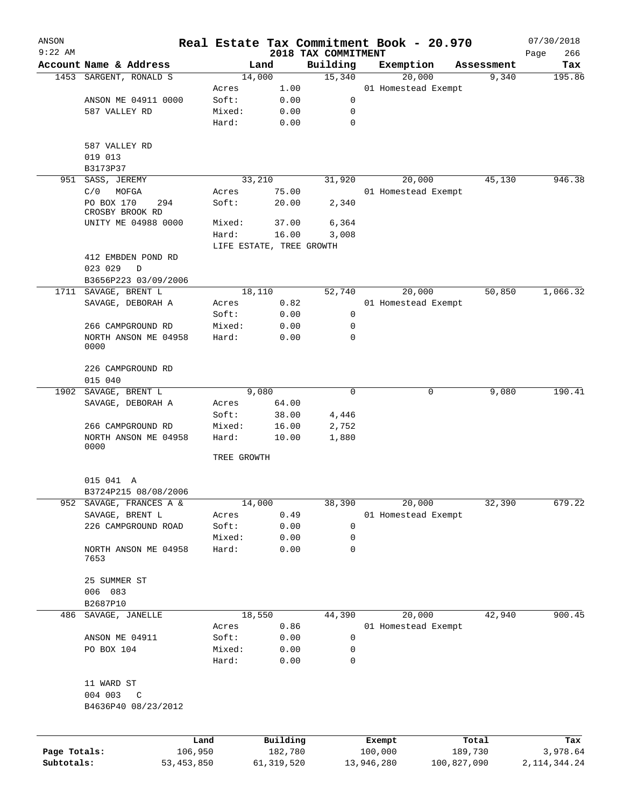| ANSON        |                              |              |                          | Real Estate Tax Commitment Book - 20.970 |            |                     |                     | 07/30/2018      |
|--------------|------------------------------|--------------|--------------------------|------------------------------------------|------------|---------------------|---------------------|-----------------|
| $9:22$ AM    | Account Name & Address       |              | Land                     | 2018 TAX COMMITMENT<br>Building          |            |                     |                     | Page<br>266     |
|              | 1453 SARGENT, RONALD S       |              | 14,000                   | 15,340                                   |            | Exemption<br>20,000 | Assessment<br>9,340 | Tax<br>195.86   |
|              |                              | Acres        | 1.00                     |                                          |            | 01 Homestead Exempt |                     |                 |
|              | ANSON ME 04911 0000          | Soft:        | 0.00                     | 0                                        |            |                     |                     |                 |
|              | 587 VALLEY RD                | Mixed:       | 0.00                     | 0                                        |            |                     |                     |                 |
|              |                              | Hard:        | 0.00                     | $\mathbf 0$                              |            |                     |                     |                 |
|              |                              |              |                          |                                          |            |                     |                     |                 |
|              | 587 VALLEY RD                |              |                          |                                          |            |                     |                     |                 |
|              | 019 013                      |              |                          |                                          |            |                     |                     |                 |
|              | B3173P37                     |              |                          |                                          |            |                     |                     |                 |
| 951          | SASS, JEREMY                 |              | 33,210                   | 31,920                                   |            | 20,000              | 45,130              | 946.38          |
|              | C/0<br>MOFGA                 | Acres        | 75.00                    |                                          |            | 01 Homestead Exempt |                     |                 |
|              | PO BOX 170<br>294            | Soft:        | 20.00                    | 2,340                                    |            |                     |                     |                 |
|              | CROSBY BROOK RD              |              |                          |                                          |            |                     |                     |                 |
|              | UNITY ME 04988 0000          | Mixed:       | 37.00                    | 6,364                                    |            |                     |                     |                 |
|              |                              | Hard:        | 16.00                    | 3,008                                    |            |                     |                     |                 |
|              |                              |              | LIFE ESTATE, TREE GROWTH |                                          |            |                     |                     |                 |
|              | 412 EMBDEN POND RD           |              |                          |                                          |            |                     |                     |                 |
|              | 023 029<br>D                 |              |                          |                                          |            |                     |                     |                 |
|              | B3656P223 03/09/2006         |              |                          |                                          |            |                     |                     |                 |
| 1711         | SAVAGE, BRENT L              |              | 18,110                   | 52,740                                   |            | 20,000              | 50,850              | 1,066.32        |
|              | SAVAGE, DEBORAH A            | Acres        | 0.82                     |                                          |            | 01 Homestead Exempt |                     |                 |
|              |                              | Soft:        | 0.00                     | 0                                        |            |                     |                     |                 |
|              | 266 CAMPGROUND RD            | Mixed:       | 0.00                     | 0                                        |            |                     |                     |                 |
|              | NORTH ANSON ME 04958<br>0000 | Hard:        | 0.00                     | 0                                        |            |                     |                     |                 |
|              |                              |              |                          |                                          |            |                     |                     |                 |
|              | 226 CAMPGROUND RD            |              |                          |                                          |            |                     |                     |                 |
|              | 015 040                      |              |                          |                                          |            |                     |                     |                 |
|              | 1902 SAVAGE, BRENT L         |              | 9,080                    | 0                                        |            | 0                   | 9,080               | 190.41          |
|              | SAVAGE, DEBORAH A            | Acres        | 64.00                    |                                          |            |                     |                     |                 |
|              |                              | Soft:        | 38.00                    | 4,446                                    |            |                     |                     |                 |
|              | 266 CAMPGROUND RD            | Mixed:       | 16.00                    | 2,752                                    |            |                     |                     |                 |
|              | NORTH ANSON ME 04958<br>0000 | Hard:        | 10.00                    | 1,880                                    |            |                     |                     |                 |
|              |                              |              | TREE GROWTH              |                                          |            |                     |                     |                 |
|              | 015 041 A                    |              |                          |                                          |            |                     |                     |                 |
|              | B3724P215 08/08/2006         |              |                          |                                          |            |                     |                     |                 |
| 952          | SAVAGE, FRANCES A &          |              | 14,000                   | 38,390                                   |            | 20,000              | 32,390              | 679.22          |
|              | SAVAGE, BRENT L              | Acres        | 0.49                     |                                          |            | 01 Homestead Exempt |                     |                 |
|              | 226 CAMPGROUND ROAD          | Soft:        | 0.00                     | 0                                        |            |                     |                     |                 |
|              |                              | Mixed:       | 0.00                     | 0                                        |            |                     |                     |                 |
|              | NORTH ANSON ME 04958<br>7653 | Hard:        | 0.00                     | $\mathbf 0$                              |            |                     |                     |                 |
|              | 25 SUMMER ST                 |              |                          |                                          |            |                     |                     |                 |
|              | 006 083                      |              |                          |                                          |            |                     |                     |                 |
|              | B2687P10                     |              |                          |                                          |            |                     |                     |                 |
| 486          | SAVAGE, JANELLE              |              | 18,550                   | 44,390                                   |            | 20,000              | 42,940              | 900.45          |
|              |                              | Acres        | 0.86                     |                                          |            | 01 Homestead Exempt |                     |                 |
|              | ANSON ME 04911               | Soft:        | 0.00                     | 0                                        |            |                     |                     |                 |
|              | PO BOX 104                   | Mixed:       | 0.00                     | 0                                        |            |                     |                     |                 |
|              |                              | Hard:        | 0.00                     | 0                                        |            |                     |                     |                 |
|              | 11 WARD ST                   |              |                          |                                          |            |                     |                     |                 |
|              | 004 003<br>C                 |              |                          |                                          |            |                     |                     |                 |
|              | B4636P40 08/23/2012          |              |                          |                                          |            |                     |                     |                 |
|              |                              | Land         | Building                 |                                          | Exempt     |                     | Total               | Tax             |
| Page Totals: |                              | 106,950      | 182,780                  |                                          | 100,000    |                     | 189,730             | 3,978.64        |
| Subtotals:   |                              | 53, 453, 850 | 61, 319, 520             |                                          | 13,946,280 | 100,827,090         |                     | 2, 114, 344. 24 |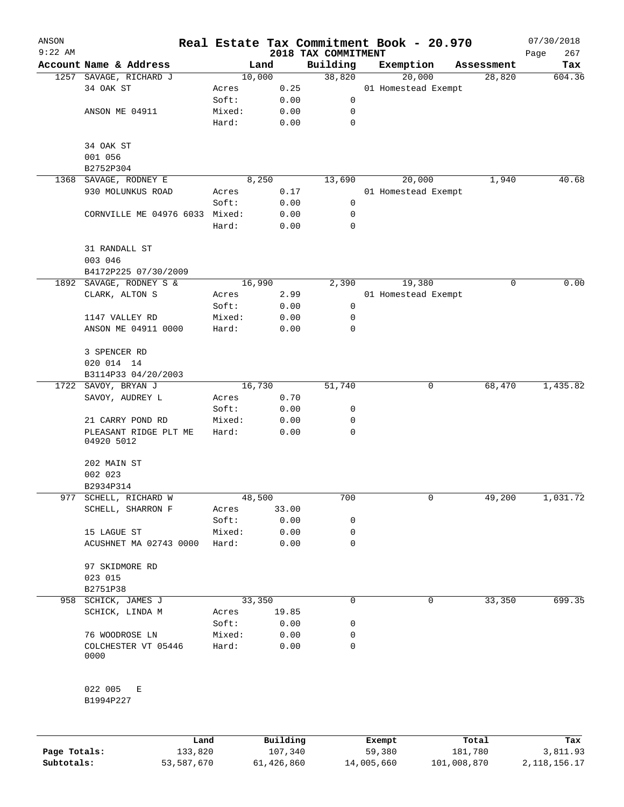| ANSON        |                                     |        |          |                                 | Real Estate Tax Commitment Book - 20.970 |             | 07/30/2018         |
|--------------|-------------------------------------|--------|----------|---------------------------------|------------------------------------------|-------------|--------------------|
| $9:22$ AM    | Account Name & Address              |        | Land     | 2018 TAX COMMITMENT<br>Building | Exemption                                | Assessment  | Page<br>267<br>Tax |
|              | 1257 SAVAGE, RICHARD J              |        | 10,000   | 38,820                          | 20,000                                   | 28,820      | 604.36             |
|              | 34 OAK ST                           | Acres  | 0.25     |                                 | 01 Homestead Exempt                      |             |                    |
|              |                                     | Soft:  | 0.00     | 0                               |                                          |             |                    |
|              | ANSON ME 04911                      | Mixed: | 0.00     | 0                               |                                          |             |                    |
|              |                                     | Hard:  | 0.00     | 0                               |                                          |             |                    |
|              | 34 OAK ST                           |        |          |                                 |                                          |             |                    |
|              | 001 056                             |        |          |                                 |                                          |             |                    |
|              | B2752P304                           |        |          |                                 |                                          |             |                    |
| 1368         | SAVAGE, RODNEY E                    |        | 8,250    | 13,690                          | 20,000                                   | 1,940       | 40.68              |
|              | 930 MOLUNKUS ROAD                   | Acres  | 0.17     |                                 | 01 Homestead Exempt                      |             |                    |
|              |                                     | Soft:  | 0.00     | 0                               |                                          |             |                    |
|              | CORNVILLE ME 04976 6033 Mixed:      |        | 0.00     | 0                               |                                          |             |                    |
|              |                                     | Hard:  | 0.00     | 0                               |                                          |             |                    |
|              | 31 RANDALL ST<br>003 046            |        |          |                                 |                                          |             |                    |
|              | B4172P225 07/30/2009                |        |          |                                 |                                          |             |                    |
|              | 1892 SAVAGE, RODNEY S &             |        | 16,990   | 2,390                           | 19,380                                   |             | 0.00<br>0          |
|              | CLARK, ALTON S                      | Acres  | 2.99     |                                 | 01 Homestead Exempt                      |             |                    |
|              |                                     | Soft:  | 0.00     | 0                               |                                          |             |                    |
|              | 1147 VALLEY RD                      | Mixed: | 0.00     | 0                               |                                          |             |                    |
|              | ANSON ME 04911 0000                 | Hard:  | 0.00     | 0                               |                                          |             |                    |
|              | 3 SPENCER RD                        |        |          |                                 |                                          |             |                    |
|              | 020 014 14                          |        |          |                                 |                                          |             |                    |
|              | B3114P33 04/20/2003                 |        |          |                                 |                                          |             |                    |
|              | 1722 SAVOY, BRYAN J                 |        | 16,730   | 51,740                          |                                          | 0<br>68,470 | 1,435.82           |
|              | SAVOY, AUDREY L                     | Acres  | 0.70     |                                 |                                          |             |                    |
|              |                                     | Soft:  | 0.00     | 0                               |                                          |             |                    |
|              | 21 CARRY POND RD                    | Mixed: | 0.00     | 0                               |                                          |             |                    |
|              | PLEASANT RIDGE PLT ME<br>04920 5012 | Hard:  | 0.00     | 0                               |                                          |             |                    |
|              | 202 MAIN ST                         |        |          |                                 |                                          |             |                    |
|              | 002 023                             |        |          |                                 |                                          |             |                    |
|              | B2934P314                           |        |          |                                 |                                          |             |                    |
| 977          | SCHELL, RICHARD W                   |        | 48,500   | 700                             |                                          | 0<br>49,200 | 1,031.72           |
|              | SCHELL, SHARRON F                   | Acres  | 33.00    |                                 |                                          |             |                    |
|              |                                     | Soft:  | 0.00     | 0                               |                                          |             |                    |
|              | 15 LAGUE ST                         | Mixed: | 0.00     | 0                               |                                          |             |                    |
|              | ACUSHNET MA 02743 0000              | Hard:  | 0.00     | 0                               |                                          |             |                    |
|              | 97 SKIDMORE RD                      |        |          |                                 |                                          |             |                    |
|              | 023 015                             |        |          |                                 |                                          |             |                    |
|              | B2751P38                            |        |          |                                 |                                          |             |                    |
|              | 958 SCHICK, JAMES J                 |        | 33,350   | 0                               |                                          | 0<br>33,350 | 699.35             |
|              | SCHICK, LINDA M                     | Acres  | 19.85    |                                 |                                          |             |                    |
|              |                                     | Soft:  | 0.00     | 0                               |                                          |             |                    |
|              | 76 WOODROSE LN                      | Mixed: | 0.00     | 0                               |                                          |             |                    |
|              | COLCHESTER VT 05446<br>0000         | Hard:  | 0.00     | 0                               |                                          |             |                    |
|              | 022 005<br>Е<br>B1994P227           |        |          |                                 |                                          |             |                    |
|              | Land                                |        | Building |                                 | Exempt                                   | Total       | Tax                |
| Page Totals: | 133,820                             |        | 107,340  |                                 | 59,380                                   | 181,780     | 3,811.93           |

**Subtotals:** 53,587,670 61,426,860 14,005,660 101,008,870 2,118,156.17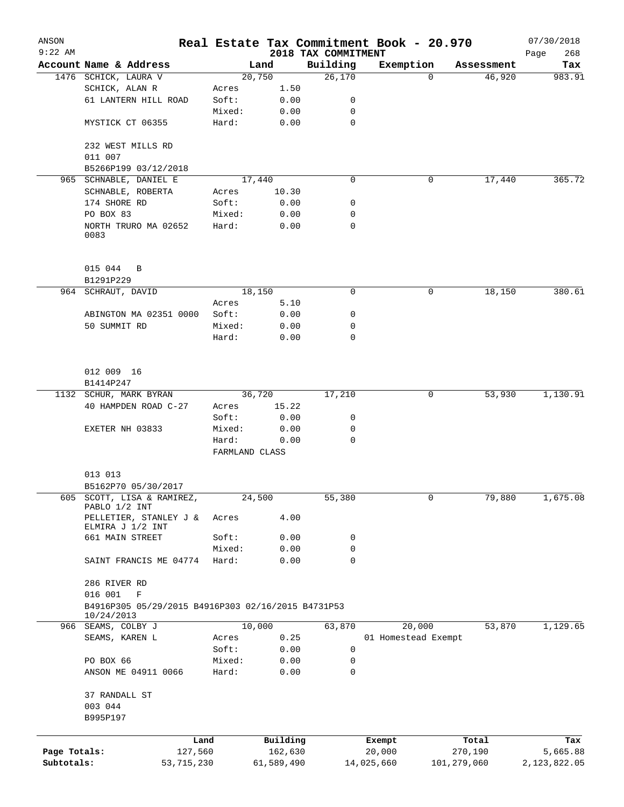| ANSON                      |                                                                              |                 |                        |                                 | Real Estate Tax Commitment Book - 20.970 |                        | 07/30/2018               |
|----------------------------|------------------------------------------------------------------------------|-----------------|------------------------|---------------------------------|------------------------------------------|------------------------|--------------------------|
| $9:22$ AM                  | Account Name & Address                                                       |                 | Land                   | 2018 TAX COMMITMENT<br>Building | Exemption                                | Assessment             | 268<br>Page<br>Tax       |
|                            | 1476 SCHICK, LAURA V                                                         |                 | 20,750                 | 26,170                          |                                          | 46,920<br>$\Omega$     | 983.91                   |
|                            | SCHICK, ALAN R                                                               | Acres           | 1.50                   |                                 |                                          |                        |                          |
|                            | 61 LANTERN HILL ROAD                                                         | Soft:           | 0.00                   | 0                               |                                          |                        |                          |
|                            |                                                                              | Mixed:          | 0.00                   | 0                               |                                          |                        |                          |
|                            | MYSTICK CT 06355                                                             | Hard:           | 0.00                   | 0                               |                                          |                        |                          |
|                            | 232 WEST MILLS RD<br>011 007                                                 |                 |                        |                                 |                                          |                        |                          |
|                            | B5266P199 03/12/2018                                                         |                 |                        |                                 |                                          |                        |                          |
|                            | 965 SCHNABLE, DANIEL E                                                       |                 | 17,440                 | $\mathbf 0$                     |                                          | 17,440<br>0            | 365.72                   |
|                            | SCHNABLE, ROBERTA                                                            | Acres           | 10.30                  |                                 |                                          |                        |                          |
|                            | 174 SHORE RD                                                                 | Soft:           | 0.00                   | 0                               |                                          |                        |                          |
|                            | PO BOX 83                                                                    | Mixed:          | 0.00                   | 0                               |                                          |                        |                          |
|                            | NORTH TRURO MA 02652<br>0083                                                 | Hard:           | 0.00                   | 0                               |                                          |                        |                          |
|                            | 015 044<br>B<br>B1291P229                                                    |                 |                        |                                 |                                          |                        |                          |
|                            | 964 SCHRAUT, DAVID                                                           |                 | 18,150                 | $\mathbf 0$                     | 0                                        | 18,150                 | 380.61                   |
|                            |                                                                              | Acres           | 5.10                   |                                 |                                          |                        |                          |
|                            | ABINGTON MA 02351 0000                                                       | Soft:           | 0.00                   | 0                               |                                          |                        |                          |
|                            | 50 SUMMIT RD                                                                 | Mixed:          | 0.00                   | 0                               |                                          |                        |                          |
|                            |                                                                              | Hard:           | 0.00                   | 0                               |                                          |                        |                          |
|                            | 012 009 16                                                                   |                 |                        |                                 |                                          |                        |                          |
|                            | B1414P247                                                                    |                 |                        |                                 |                                          |                        |                          |
|                            | 1132 SCHUR, MARK BYRAN                                                       |                 | 36,720                 | 17,210                          |                                          | 0<br>53,930            | 1,130.91                 |
|                            | 40 HAMPDEN ROAD C-27                                                         | Acres           | 15.22                  |                                 |                                          |                        |                          |
|                            |                                                                              | Soft:           | 0.00                   | 0                               |                                          |                        |                          |
|                            | EXETER NH 03833                                                              | Mixed:          | 0.00                   | 0                               |                                          |                        |                          |
|                            |                                                                              | Hard:           | 0.00<br>FARMLAND CLASS | 0                               |                                          |                        |                          |
|                            | 013 013                                                                      |                 |                        |                                 |                                          |                        |                          |
|                            | B5162P70 05/30/2017                                                          |                 |                        |                                 |                                          |                        |                          |
| 605                        | SCOTT, LISA & RAMIREZ,<br>PABLO 1/2 INT                                      |                 | 24,500                 | 55,380                          |                                          | 0<br>79,880            | 1,675.08                 |
|                            | PELLETIER, STANLEY J &<br>ELMIRA J 1/2 INT                                   | Acres           | 4.00                   |                                 |                                          |                        |                          |
|                            | 661 MAIN STREET                                                              | Soft:           | 0.00                   | 0                               |                                          |                        |                          |
|                            | SAINT FRANCIS ME 04774                                                       | Mixed:<br>Hard: | 0.00<br>0.00           | 0<br>$\mathbf 0$                |                                          |                        |                          |
|                            | 286 RIVER RD                                                                 |                 |                        |                                 |                                          |                        |                          |
|                            | 016 001<br>$\mathbf F$<br>B4916P305 05/29/2015 B4916P303 02/16/2015 B4731P53 |                 |                        |                                 |                                          |                        |                          |
|                            | 10/24/2013                                                                   |                 |                        |                                 |                                          |                        |                          |
| 966                        | SEAMS, COLBY J                                                               |                 | 10,000                 | 63,870                          | 20,000                                   | 53,870                 | 1,129.65                 |
|                            | SEAMS, KAREN L                                                               | Acres           | 0.25                   |                                 | 01 Homestead Exempt                      |                        |                          |
|                            |                                                                              | Soft:           | 0.00                   | 0                               |                                          |                        |                          |
|                            | PO BOX 66<br>ANSON ME 04911 0066                                             | Mixed:<br>Hard: | 0.00<br>0.00           | 0<br>$\mathbf 0$                |                                          |                        |                          |
|                            | 37 RANDALL ST                                                                |                 |                        |                                 |                                          |                        |                          |
|                            | 003 044<br>B995P197                                                          |                 |                        |                                 |                                          |                        |                          |
|                            |                                                                              |                 |                        |                                 |                                          |                        |                          |
|                            |                                                                              | Land            | Building               |                                 | Exempt                                   | Total                  | Tax                      |
| Page Totals:<br>Subtotals: | 127,560<br>53, 715, 230                                                      |                 | 162,630<br>61,589,490  |                                 | 20,000<br>14,025,660                     | 270,190<br>101,279,060 | 5,665.88<br>2,123,822.05 |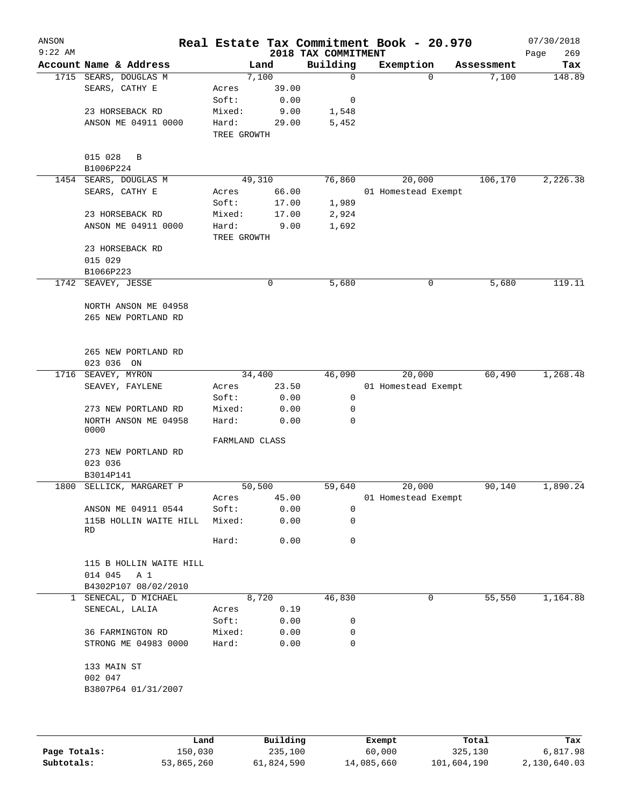| ANSON<br>$9:22$ AM |                              |                |       | 2018 TAX COMMITMENT | Real Estate Tax Commitment Book - 20.970 |            | 07/30/2018<br>269<br>Page |
|--------------------|------------------------------|----------------|-------|---------------------|------------------------------------------|------------|---------------------------|
|                    | Account Name & Address       |                | Land  | Building            | Exemption                                | Assessment | Tax                       |
|                    | 1715 SEARS, DOUGLAS M        | 7,100          |       | $\mathbf 0$         | $\Omega$                                 | 7,100      | 148.89                    |
|                    | SEARS, CATHY E               | Acres          | 39.00 |                     |                                          |            |                           |
|                    |                              | Soft:          | 0.00  | 0                   |                                          |            |                           |
|                    | 23 HORSEBACK RD              | Mixed:         | 9.00  | 1,548               |                                          |            |                           |
|                    | ANSON ME 04911 0000          | Hard:          | 29.00 | 5,452               |                                          |            |                           |
|                    |                              | TREE GROWTH    |       |                     |                                          |            |                           |
|                    |                              |                |       |                     |                                          |            |                           |
|                    | 015 028<br>B                 |                |       |                     |                                          |            |                           |
|                    | B1006P224                    |                |       |                     |                                          |            |                           |
| 1454               | SEARS, DOUGLAS M             | 49,310         |       | 76,860              | 20,000                                   | 106,170    | 2,226.38                  |
|                    | SEARS, CATHY E               | Acres          | 66.00 |                     | 01 Homestead Exempt                      |            |                           |
|                    |                              | Soft:          | 17.00 | 1,989               |                                          |            |                           |
|                    | 23 HORSEBACK RD              | Mixed:         | 17.00 | 2,924               |                                          |            |                           |
|                    | ANSON ME 04911 0000          | Hard:          | 9.00  | 1,692               |                                          |            |                           |
|                    |                              | TREE GROWTH    |       |                     |                                          |            |                           |
|                    | 23 HORSEBACK RD              |                |       |                     |                                          |            |                           |
|                    | 015 029                      |                |       |                     |                                          |            |                           |
|                    | B1066P223                    |                |       |                     |                                          |            |                           |
| 1742               | SEAVEY, JESSE                |                | 0     | 5,680               | 0                                        | 5,680      | 119.11                    |
|                    |                              |                |       |                     |                                          |            |                           |
|                    | NORTH ANSON ME 04958         |                |       |                     |                                          |            |                           |
|                    | 265 NEW PORTLAND RD          |                |       |                     |                                          |            |                           |
|                    |                              |                |       |                     |                                          |            |                           |
|                    |                              |                |       |                     |                                          |            |                           |
|                    | 265 NEW PORTLAND RD          |                |       |                     |                                          |            |                           |
|                    | 023 036 ON                   |                |       |                     |                                          |            |                           |
| 1716               | SEAVEY, MYRON                | 34,400         |       | 46,090              | 20,000                                   | 60,490     | 1,268.48                  |
|                    | SEAVEY, FAYLENE              | Acres          | 23.50 |                     | 01 Homestead Exempt                      |            |                           |
|                    |                              | Soft:          | 0.00  | 0                   |                                          |            |                           |
|                    | 273 NEW PORTLAND RD          | Mixed:         | 0.00  | 0                   |                                          |            |                           |
|                    | NORTH ANSON ME 04958<br>0000 | Hard:          | 0.00  | $\Omega$            |                                          |            |                           |
|                    |                              | FARMLAND CLASS |       |                     |                                          |            |                           |
|                    | 273 NEW PORTLAND RD          |                |       |                     |                                          |            |                           |
|                    | 023 036                      |                |       |                     |                                          |            |                           |
|                    | B3014P141                    |                |       |                     |                                          |            |                           |
| 1800               | SELLICK, MARGARET P          | 50,500         |       | 59,640              | 20,000                                   | 90,140     | 1,890.24                  |
|                    |                              | Acres          | 45.00 |                     | 01 Homestead Exempt                      |            |                           |
|                    | ANSON ME 04911 0544          | Soft:          | 0.00  | 0                   |                                          |            |                           |
|                    | 115B HOLLIN WAITE HILL       | Mixed:         | 0.00  | 0                   |                                          |            |                           |
|                    | RD                           |                |       |                     |                                          |            |                           |
|                    |                              | Hard:          | 0.00  | $\mathbf 0$         |                                          |            |                           |
|                    |                              |                |       |                     |                                          |            |                           |
|                    | 115 B HOLLIN WAITE HILL      |                |       |                     |                                          |            |                           |
|                    | 014 045<br>A 1               |                |       |                     |                                          |            |                           |
|                    | B4302P107 08/02/2010         |                |       |                     |                                          |            |                           |
| $\mathbf{1}$       | SENECAL, D MICHAEL           | 8,720          |       | 46,830              | 0                                        | 55,550     | 1,164.88                  |
|                    | SENECAL, LALIA               | Acres          | 0.19  |                     |                                          |            |                           |
|                    |                              | Soft:          | 0.00  | 0                   |                                          |            |                           |
|                    | 36 FARMINGTON RD             | Mixed:         | 0.00  | 0                   |                                          |            |                           |
|                    | STRONG ME 04983 0000         | Hard:          | 0.00  | 0                   |                                          |            |                           |
|                    |                              |                |       |                     |                                          |            |                           |
|                    | 133 MAIN ST                  |                |       |                     |                                          |            |                           |
|                    | 002 047                      |                |       |                     |                                          |            |                           |
|                    | B3807P64 01/31/2007          |                |       |                     |                                          |            |                           |
|                    |                              |                |       |                     |                                          |            |                           |
|                    |                              |                |       |                     |                                          |            |                           |
|                    |                              |                |       |                     |                                          |            |                           |

|              | Land       | Building   | Exempt     | Total       | Tax          |
|--------------|------------|------------|------------|-------------|--------------|
| Page Totals: | 150,030    | 235,100    | 60,000     | 325,130     | 6,817.98     |
| Subtotals:   | 53,865,260 | 61,824,590 | 14,085,660 | 101,604,190 | 2,130,640.03 |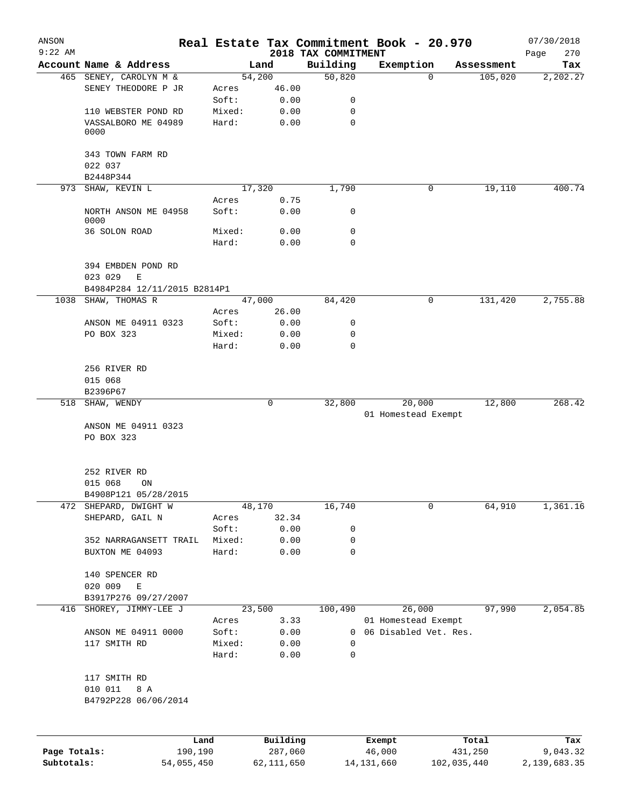| ANSON<br>$9:22$ AM |                                           |                 |                     | 2018 TAX COMMITMENT | Real Estate Tax Commitment Book - 20.970 |                  | 07/30/2018<br>270<br>Page |
|--------------------|-------------------------------------------|-----------------|---------------------|---------------------|------------------------------------------|------------------|---------------------------|
|                    | Account Name & Address                    |                 | Land                | Building            | Exemption                                | Assessment       | Tax                       |
|                    | 465 SENEY, CAROLYN M &                    |                 | 54,200              | 50,820              | $\mathbf 0$                              | 105,020          | 2,202.27                  |
|                    | SENEY THEODORE P JR                       | Acres           | 46.00               |                     |                                          |                  |                           |
|                    |                                           | Soft:           | 0.00                | 0                   |                                          |                  |                           |
|                    | 110 WEBSTER POND RD                       | Mixed:          | 0.00                | 0                   |                                          |                  |                           |
|                    | VASSALBORO ME 04989<br>0000               | Hard:           | 0.00                | $\mathbf 0$         |                                          |                  |                           |
|                    | 343 TOWN FARM RD<br>022 037               |                 |                     |                     |                                          |                  |                           |
|                    | B2448P344                                 |                 |                     |                     |                                          |                  |                           |
|                    | 973 SHAW, KEVIN L                         |                 | 17,320              | 1,790               | 0                                        | 19,110           | 400.74                    |
|                    | NORTH ANSON ME 04958<br>0000              | Acres<br>Soft:  | 0.75<br>0.00        | 0                   |                                          |                  |                           |
|                    | 36 SOLON ROAD                             | Mixed:          | 0.00                | $\mathbf 0$         |                                          |                  |                           |
|                    |                                           | Hard:           | 0.00                | $\mathbf 0$         |                                          |                  |                           |
|                    | 394 EMBDEN POND RD<br>023 029<br>E        |                 |                     |                     |                                          |                  |                           |
|                    | B4984P284 12/11/2015 B2814P1              |                 |                     |                     |                                          |                  |                           |
|                    | 1038 SHAW, THOMAS R                       |                 | 47,000              | 84,420              | 0                                        | 131,420          | 2,755.88                  |
|                    |                                           | Acres           | 26.00               |                     |                                          |                  |                           |
|                    | ANSON ME 04911 0323                       | Soft:           | 0.00                | 0                   |                                          |                  |                           |
|                    | PO BOX 323                                | Mixed:<br>Hard: | 0.00<br>0.00        | 0<br>$\mathbf 0$    |                                          |                  |                           |
|                    | 256 RIVER RD<br>015 068                   |                 |                     |                     |                                          |                  |                           |
|                    | B2396P67                                  |                 |                     |                     |                                          |                  |                           |
|                    | 518 SHAW, WENDY                           |                 | $\mathbf 0$         | 32,800              | 20,000                                   | 12,800           | 268.42                    |
|                    | ANSON ME 04911 0323                       |                 |                     |                     | 01 Homestead Exempt                      |                  |                           |
|                    | PO BOX 323                                |                 |                     |                     |                                          |                  |                           |
|                    |                                           |                 |                     |                     |                                          |                  |                           |
|                    | 252 RIVER RD                              |                 |                     |                     |                                          |                  |                           |
|                    | 015 068<br>ON                             |                 |                     |                     |                                          |                  |                           |
|                    | B4908P121 05/28/2015                      |                 |                     |                     |                                          |                  |                           |
| 472                | SHEPARD, DWIGHT W                         |                 | 48,170              | 16,740              | 0                                        | 64,910           | 1,361.16                  |
|                    | SHEPARD, GAIL N                           | Acres           | 32.34               |                     |                                          |                  |                           |
|                    |                                           | Soft:           | 0.00                | 0<br>0              |                                          |                  |                           |
|                    | 352 NARRAGANSETT TRAIL<br>BUXTON ME 04093 | Mixed:<br>Hard: | 0.00<br>0.00        | 0                   |                                          |                  |                           |
|                    | 140 SPENCER RD                            |                 |                     |                     |                                          |                  |                           |
|                    | 020 009<br>Ε                              |                 |                     |                     |                                          |                  |                           |
|                    | B3917P276 09/27/2007                      |                 |                     |                     |                                          |                  |                           |
| 416                | SHOREY, JIMMY-LEE J                       |                 | 23,500              | 100,490             | 26,000                                   | 97,990           | 2,054.85                  |
|                    |                                           | Acres           | 3.33                |                     | 01 Homestead Exempt                      |                  |                           |
|                    | ANSON ME 04911 0000                       | Soft:           | 0.00                | 0                   | 06 Disabled Vet. Res.                    |                  |                           |
|                    | 117 SMITH RD                              | Mixed:          | 0.00                | 0                   |                                          |                  |                           |
|                    |                                           | Hard:           | 0.00                | $\mathbf 0$         |                                          |                  |                           |
|                    | 117 SMITH RD                              |                 |                     |                     |                                          |                  |                           |
|                    | 010 011<br>8 A                            |                 |                     |                     |                                          |                  |                           |
|                    | B4792P228 06/06/2014                      |                 |                     |                     |                                          |                  |                           |
|                    |                                           |                 |                     |                     |                                          |                  |                           |
| Page Totals:       | Land<br>190,190                           |                 | Building<br>287,060 |                     | Exempt<br>46,000                         | Total<br>431,250 | Tax<br>9,043.32           |

**Subtotals:** 54,055,450 62,111,650 14,131,660 102,035,440 2,139,683.35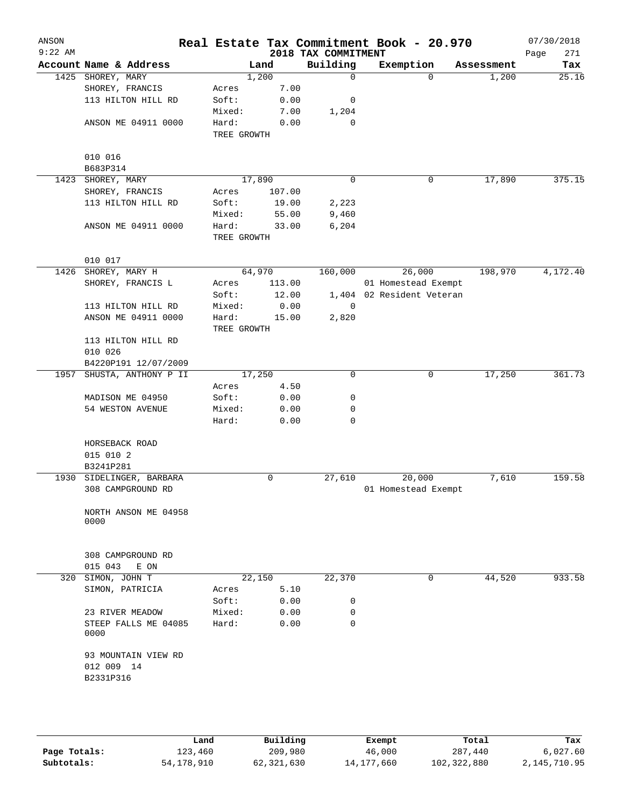| ANSON<br>$9:22$ AM |                                       |                      |        | 2018 TAX COMMITMENT | Real Estate Tax Commitment Book - 20.970 |            | 07/30/2018<br>271<br>Page |
|--------------------|---------------------------------------|----------------------|--------|---------------------|------------------------------------------|------------|---------------------------|
|                    | Account Name & Address                |                      | Land   | Building            | Exemption                                | Assessment | Tax                       |
|                    | 1425 SHOREY, MARY                     |                      | 1,200  | $\mathbf 0$         | 0                                        | 1,200      | 25.16                     |
|                    | SHOREY, FRANCIS                       | Acres                | 7.00   |                     |                                          |            |                           |
|                    | 113 HILTON HILL RD                    | Soft:                | 0.00   | 0                   |                                          |            |                           |
|                    |                                       | Mixed:               | 7.00   | 1,204               |                                          |            |                           |
|                    | ANSON ME 04911 0000                   | Hard:<br>TREE GROWTH | 0.00   | $\mathbf 0$         |                                          |            |                           |
|                    | 010 016                               |                      |        |                     |                                          |            |                           |
|                    | B683P314                              |                      |        |                     |                                          |            |                           |
| 1423               | SHOREY, MARY                          |                      | 17,890 | 0                   | 0                                        | 17,890     | 375.15                    |
|                    | SHOREY, FRANCIS                       | Acres                | 107.00 |                     |                                          |            |                           |
|                    | 113 HILTON HILL RD                    | Soft:                | 19.00  | 2,223               |                                          |            |                           |
|                    |                                       | Mixed:               | 55.00  | 9,460               |                                          |            |                           |
|                    | ANSON ME 04911 0000                   | Hard:<br>TREE GROWTH | 33.00  | 6,204               |                                          |            |                           |
|                    | 010 017                               |                      |        |                     |                                          |            |                           |
| 1426               | SHOREY, MARY H                        |                      | 64,970 | 160,000             | 26,000                                   | 198,970    | 4,172.40                  |
|                    | SHOREY, FRANCIS L                     | Acres                | 113.00 |                     | 01 Homestead Exempt                      |            |                           |
|                    |                                       | Soft:                | 12.00  |                     | 1,404 02 Resident Veteran                |            |                           |
|                    | 113 HILTON HILL RD                    | Mixed:               | 0.00   | 0                   |                                          |            |                           |
|                    | ANSON ME 04911 0000                   | Hard:<br>TREE GROWTH | 15.00  | 2,820               |                                          |            |                           |
|                    | 113 HILTON HILL RD                    |                      |        |                     |                                          |            |                           |
|                    | 010 026                               |                      |        |                     |                                          |            |                           |
|                    | B4220P191 12/07/2009                  |                      |        |                     |                                          |            |                           |
| 1957               | SHUSTA, ANTHONY P II                  |                      | 17,250 | $\mathbf 0$         | 0                                        | 17,250     | 361.73                    |
|                    |                                       | Acres                | 4.50   |                     |                                          |            |                           |
|                    | MADISON ME 04950                      | Soft:                | 0.00   | 0                   |                                          |            |                           |
|                    | 54 WESTON AVENUE                      | Mixed:               | 0.00   | 0                   |                                          |            |                           |
|                    |                                       | Hard:                | 0.00   | 0                   |                                          |            |                           |
|                    | HORSEBACK ROAD                        |                      |        |                     |                                          |            |                           |
|                    | 015 010 2                             |                      |        |                     |                                          |            |                           |
|                    | B3241P281<br>1930 SIDELINGER, BARBARA |                      | 0      | 27,610              | 20,000                                   |            | 159.58                    |
|                    | 308 CAMPGROUND RD                     |                      |        |                     | 01 Homestead Exempt                      | 7,610      |                           |
|                    | NORTH ANSON ME 04958<br>0000          |                      |        |                     |                                          |            |                           |
|                    | 308 CAMPGROUND RD<br>015 043<br>E ON  |                      |        |                     |                                          |            |                           |
| 320                | SIMON, JOHN T                         |                      | 22,150 | 22,370              | 0                                        | 44,520     | 933.58                    |
|                    | SIMON, PATRICIA                       | Acres                | 5.10   |                     |                                          |            |                           |
|                    |                                       | Soft:                | 0.00   | 0                   |                                          |            |                           |
|                    | 23 RIVER MEADOW                       | Mixed:               | 0.00   | 0                   |                                          |            |                           |
|                    | STEEP FALLS ME 04085<br>0000          | Hard:                | 0.00   | 0                   |                                          |            |                           |
|                    | 93 MOUNTAIN VIEW RD<br>012 009 14     |                      |        |                     |                                          |            |                           |
|                    | B2331P316                             |                      |        |                     |                                          |            |                           |
|                    |                                       |                      |        |                     |                                          |            |                           |
|                    |                                       |                      |        |                     |                                          |            |                           |

|              | Land       | Building   | Exempt       | Total       | Tax          |
|--------------|------------|------------|--------------|-------------|--------------|
| Page Totals: | 123,460    | 209,980    | 46,000       | 287,440     | 6.027.60     |
| Subtotals:   | 54,178,910 | 62,321,630 | 14, 177, 660 | 102,322,880 | 2,145,710.95 |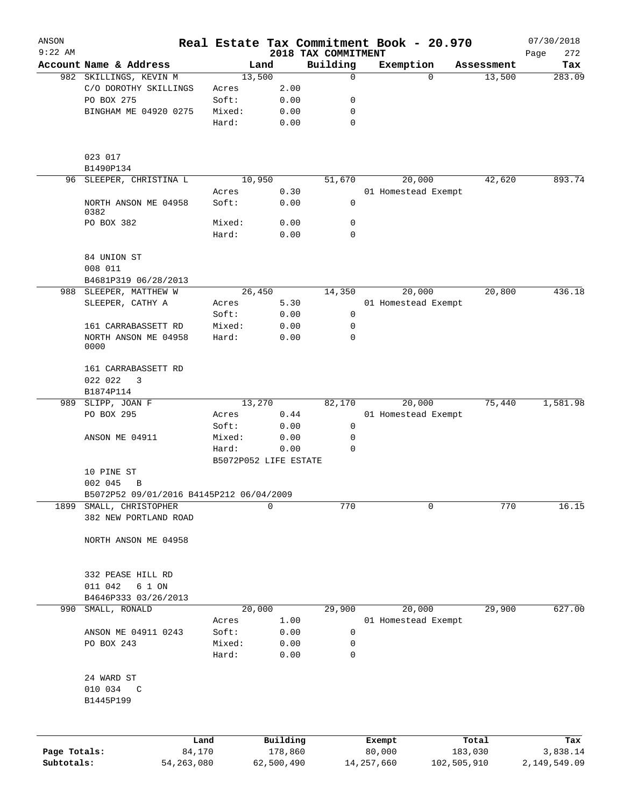| ANSON<br>$9:22$ AM |                                             |              |                 |                       |                                 | Real Estate Tax Commitment Book - 20.970 |                    | 07/30/2018         |
|--------------------|---------------------------------------------|--------------|-----------------|-----------------------|---------------------------------|------------------------------------------|--------------------|--------------------|
|                    | Account Name & Address                      |              |                 | Land                  | 2018 TAX COMMITMENT<br>Building | Exemption                                | Assessment         | 272<br>Page<br>Tax |
|                    | 982 SKILLINGS, KEVIN M                      |              | 13,500          |                       | $\mathbf 0$                     |                                          | 13,500<br>$\Omega$ | 283.09             |
|                    | C/O DOROTHY SKILLINGS                       |              | Acres           | 2.00                  |                                 |                                          |                    |                    |
|                    | PO BOX 275                                  |              | Soft:           | 0.00                  | 0                               |                                          |                    |                    |
|                    | BINGHAM ME 04920 0275                       |              |                 |                       |                                 |                                          |                    |                    |
|                    |                                             |              | Mixed:<br>Hard: | 0.00<br>0.00          | 0<br>0                          |                                          |                    |                    |
|                    |                                             |              |                 |                       |                                 |                                          |                    |                    |
|                    | 023 017                                     |              |                 |                       |                                 |                                          |                    |                    |
|                    | B1490P134                                   |              |                 | 10,950                |                                 |                                          |                    |                    |
|                    | 96 SLEEPER, CHRISTINA L                     |              |                 |                       | 51,670                          | 20,000                                   | 42,620             | 893.74             |
|                    | NORTH ANSON ME 04958                        |              | Acres<br>Soft:  | 0.30<br>0.00          | $\mathsf{O}$                    | 01 Homestead Exempt                      |                    |                    |
|                    | 0382                                        |              |                 |                       |                                 |                                          |                    |                    |
|                    | PO BOX 382                                  |              | Mixed:          | 0.00                  | 0                               |                                          |                    |                    |
|                    |                                             |              | Hard:           | 0.00                  | 0                               |                                          |                    |                    |
|                    | 84 UNION ST                                 |              |                 |                       |                                 |                                          |                    |                    |
|                    | 008 011                                     |              |                 |                       |                                 |                                          |                    |                    |
|                    | B4681P319 06/28/2013                        |              |                 |                       |                                 |                                          |                    |                    |
| 988                | SLEEPER, MATTHEW W                          |              |                 | 26,450                | 14,350                          | 20,000                                   | 20,800             | 436.18             |
|                    | SLEEPER, CATHY A                            |              | Acres           | 5.30                  |                                 | 01 Homestead Exempt                      |                    |                    |
|                    |                                             |              | Soft:           | 0.00                  | $\mathsf{O}$                    |                                          |                    |                    |
|                    | 161 CARRABASSETT RD                         |              | Mixed:          | 0.00                  | 0                               |                                          |                    |                    |
|                    | NORTH ANSON ME 04958<br>0000                |              | Hard:           | 0.00                  | 0                               |                                          |                    |                    |
|                    | 161 CARRABASSETT RD                         |              |                 |                       |                                 |                                          |                    |                    |
|                    | 022 022<br>3                                |              |                 |                       |                                 |                                          |                    |                    |
|                    | B1874P114                                   |              |                 |                       |                                 |                                          |                    |                    |
|                    | 989 SLIPP, JOAN F                           |              |                 | 13,270                | 82,170                          | 20,000                                   | 75,440             | 1,581.98           |
|                    | PO BOX 295                                  |              | Acres           | 0.44                  |                                 | 01 Homestead Exempt                      |                    |                    |
|                    |                                             |              | Soft:           | 0.00                  | 0                               |                                          |                    |                    |
|                    | ANSON ME 04911                              |              | Mixed:          | 0.00                  | 0                               |                                          |                    |                    |
|                    |                                             |              | Hard:           | 0.00                  | $\Omega$                        |                                          |                    |                    |
|                    |                                             |              |                 | B5072P052 LIFE ESTATE |                                 |                                          |                    |                    |
|                    | 10 PINE ST                                  |              |                 |                       |                                 |                                          |                    |                    |
|                    | 002 045<br>B                                |              |                 |                       |                                 |                                          |                    |                    |
|                    | B5072P52 09/01/2016 B4145P212 06/04/2009    |              |                 |                       |                                 |                                          |                    |                    |
| 1899               | SMALL, CHRISTOPHER<br>382 NEW PORTLAND ROAD |              |                 | 0                     | 770                             |                                          | 0                  | 770<br>16.15       |
|                    | NORTH ANSON ME 04958                        |              |                 |                       |                                 |                                          |                    |                    |
|                    |                                             |              |                 |                       |                                 |                                          |                    |                    |
|                    | 332 PEASE HILL RD                           |              |                 |                       |                                 |                                          |                    |                    |
|                    | 011 042<br>6 1 ON                           |              |                 |                       |                                 |                                          |                    |                    |
|                    | B4646P333 03/26/2013                        |              |                 |                       |                                 |                                          |                    |                    |
| 990                | SMALL, RONALD                               |              |                 | 20,000                | 29,900                          | 20,000                                   | 29,900             | 627.00             |
|                    |                                             |              | Acres           | 1.00                  |                                 | 01 Homestead Exempt                      |                    |                    |
|                    | ANSON ME 04911 0243                         |              | Soft:           | 0.00                  | 0                               |                                          |                    |                    |
|                    | PO BOX 243                                  |              | Mixed:          | 0.00                  | 0                               |                                          |                    |                    |
|                    |                                             |              | Hard:           | 0.00                  | 0                               |                                          |                    |                    |
|                    | 24 WARD ST                                  |              |                 |                       |                                 |                                          |                    |                    |
|                    | 010 034<br>C                                |              |                 |                       |                                 |                                          |                    |                    |
|                    | B1445P199                                   |              |                 |                       |                                 |                                          |                    |                    |
|                    |                                             |              |                 |                       |                                 |                                          |                    |                    |
|                    |                                             | Land         |                 | Building              |                                 | Exempt                                   | Total              | Tax                |
| Page Totals:       |                                             | 84,170       |                 | 178,860               |                                 | 80,000                                   | 183,030            | 3,838.14           |
| Subtotals:         |                                             | 54, 263, 080 |                 | 62,500,490            |                                 | 14, 257, 660                             | 102,505,910        | 2,149,549.09       |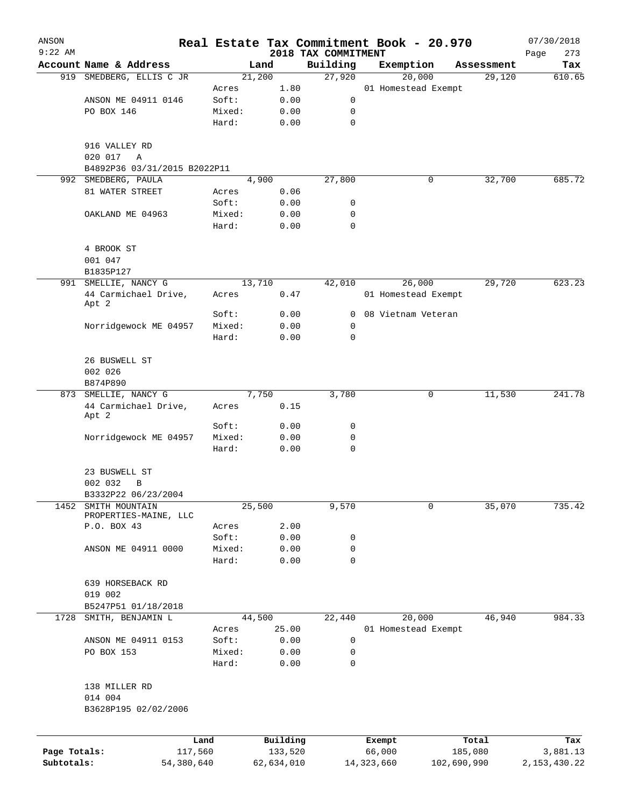| ANSON        |                                                    |            |        |            |                     | Real Estate Tax Commitment Book - 20.970 |             |                      | 07/30/2018     |
|--------------|----------------------------------------------------|------------|--------|------------|---------------------|------------------------------------------|-------------|----------------------|----------------|
| $9:22$ AM    |                                                    |            |        |            | 2018 TAX COMMITMENT |                                          |             |                      | 273<br>Page    |
|              | Account Name & Address<br>919 SMEDBERG, ELLIS C JR |            | 21,200 | Land       | Building<br>27,920  | Exemption<br>20,000                      |             | Assessment<br>29,120 | Tax<br>610.65  |
|              |                                                    | Acres      |        | 1.80       |                     | 01 Homestead Exempt                      |             |                      |                |
|              | ANSON ME 04911 0146                                | Soft:      |        | 0.00       | 0                   |                                          |             |                      |                |
|              | PO BOX 146                                         |            | Mixed: | 0.00       | 0                   |                                          |             |                      |                |
|              |                                                    | Hard:      |        | 0.00       | $\mathbf 0$         |                                          |             |                      |                |
|              |                                                    |            |        |            |                     |                                          |             |                      |                |
|              | 916 VALLEY RD                                      |            |        |            |                     |                                          |             |                      |                |
|              | 020 017<br>Α                                       |            |        |            |                     |                                          |             |                      |                |
|              | B4892P36 03/31/2015 B2022P11                       |            |        |            |                     |                                          |             |                      |                |
|              | 992 SMEDBERG, PAULA                                |            | 4,900  |            | 27,800              |                                          | 0           | 32,700               | 685.72         |
|              | 81 WATER STREET                                    | Acres      |        | 0.06       |                     |                                          |             |                      |                |
|              |                                                    | Soft:      |        | 0.00       | 0                   |                                          |             |                      |                |
|              | OAKLAND ME 04963                                   |            | Mixed: | 0.00       | 0                   |                                          |             |                      |                |
|              |                                                    | Hard:      |        | 0.00       | $\mathbf 0$         |                                          |             |                      |                |
|              |                                                    |            |        |            |                     |                                          |             |                      |                |
|              | 4 BROOK ST                                         |            |        |            |                     |                                          |             |                      |                |
|              | 001 047                                            |            |        |            |                     |                                          |             |                      |                |
|              | B1835P127                                          |            |        |            |                     |                                          |             |                      |                |
|              | 991 SMELLIE, NANCY G                               |            | 13,710 |            | 42,010              | 26,000                                   |             | 29,720               | 623.23         |
|              | 44 Carmichael Drive,<br>Apt 2                      | Acres      |        | 0.47       |                     | 01 Homestead Exempt                      |             |                      |                |
|              |                                                    | Soft:      |        | 0.00       | 0                   | 08 Vietnam Veteran                       |             |                      |                |
|              | Norridgewock ME 04957                              |            | Mixed: | 0.00       | 0                   |                                          |             |                      |                |
|              |                                                    | Hard:      |        | 0.00       | 0                   |                                          |             |                      |                |
|              |                                                    |            |        |            |                     |                                          |             |                      |                |
|              | 26 BUSWELL ST                                      |            |        |            |                     |                                          |             |                      |                |
|              | 002 026                                            |            |        |            |                     |                                          |             |                      |                |
|              | B874P890                                           |            |        |            |                     |                                          |             |                      |                |
| 873          | SMELLIE, NANCY G                                   |            | 7,750  |            | 3,780               |                                          | 0           | 11,530               | 241.78         |
|              | 44 Carmichael Drive,<br>Apt 2                      | Acres      |        | 0.15       |                     |                                          |             |                      |                |
|              |                                                    | Soft:      |        | 0.00       | 0                   |                                          |             |                      |                |
|              | Norridgewock ME 04957                              |            | Mixed: | 0.00       | 0                   |                                          |             |                      |                |
|              |                                                    | Hard:      |        | 0.00       | 0                   |                                          |             |                      |                |
|              | 23 BUSWELL ST                                      |            |        |            |                     |                                          |             |                      |                |
|              | 002 032<br>B                                       |            |        |            |                     |                                          |             |                      |                |
|              | B3332P22 06/23/2004                                |            |        |            |                     |                                          |             |                      |                |
| 1452         | SMITH MOUNTAIN                                     |            | 25,500 |            | 9,570               |                                          | 0           | 35,070               | 735.42         |
|              | PROPERTIES-MAINE, LLC                              |            |        |            |                     |                                          |             |                      |                |
|              | P.O. BOX 43                                        | Acres      |        | 2.00       |                     |                                          |             |                      |                |
|              |                                                    | Soft:      |        | 0.00       | 0                   |                                          |             |                      |                |
|              | ANSON ME 04911 0000                                |            | Mixed: | 0.00       | 0                   |                                          |             |                      |                |
|              |                                                    | Hard:      |        | 0.00       | 0                   |                                          |             |                      |                |
|              |                                                    |            |        |            |                     |                                          |             |                      |                |
|              | 639 HORSEBACK RD                                   |            |        |            |                     |                                          |             |                      |                |
|              | 019 002                                            |            |        |            |                     |                                          |             |                      |                |
|              | B5247P51 01/18/2018                                |            |        |            |                     |                                          |             |                      |                |
| 1728         | SMITH, BENJAMIN L                                  |            | 44,500 |            | 22,440              | 20,000                                   |             | 46,940               | 984.33         |
|              |                                                    | Acres      |        | 25.00      |                     | 01 Homestead Exempt                      |             |                      |                |
|              | ANSON ME 04911 0153<br>PO BOX 153                  | Soft:      |        | 0.00       | 0<br>0              |                                          |             |                      |                |
|              |                                                    | Hard:      | Mixed: | 0.00       | 0                   |                                          |             |                      |                |
|              |                                                    |            |        | 0.00       |                     |                                          |             |                      |                |
|              | 138 MILLER RD                                      |            |        |            |                     |                                          |             |                      |                |
|              | 014 004                                            |            |        |            |                     |                                          |             |                      |                |
|              | B3628P195 02/02/2006                               |            |        |            |                     |                                          |             |                      |                |
|              |                                                    |            |        |            |                     |                                          |             |                      |                |
|              |                                                    | Land       |        | Building   |                     | Exempt                                   |             | Total                | Tax            |
| Page Totals: |                                                    | 117,560    |        | 133,520    |                     | 66,000                                   |             | 185,080              | 3,881.13       |
| Subtotals:   |                                                    | 54,380,640 |        | 62,634,010 |                     | 14,323,660                               | 102,690,990 |                      | 2, 153, 430.22 |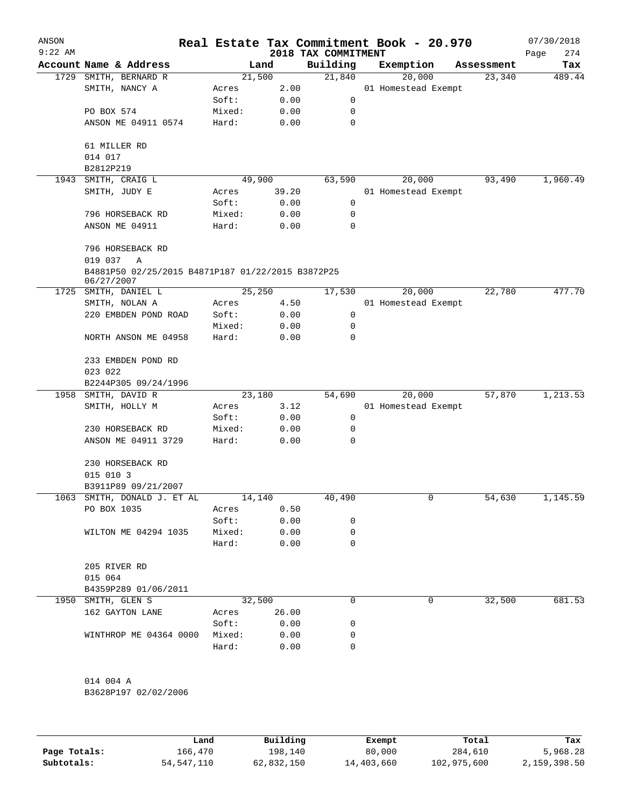| ANSON<br>$9:22$ AM |                                                                 |                |        | 2018 TAX COMMITMENT | Real Estate Tax Commitment Book - 20.970 |            | 07/30/2018<br>Page<br>274 |
|--------------------|-----------------------------------------------------------------|----------------|--------|---------------------|------------------------------------------|------------|---------------------------|
|                    | Account Name & Address                                          |                | Land   | Building            | Exemption                                | Assessment | Tax                       |
| 1729               | SMITH, BERNARD R                                                |                | 21,500 | 21,840              | 20,000                                   | 23,340     | 489.44                    |
|                    | SMITH, NANCY A                                                  | Acres          | 2.00   |                     | 01 Homestead Exempt                      |            |                           |
|                    |                                                                 | Soft:          | 0.00   | 0                   |                                          |            |                           |
|                    | PO BOX 574                                                      | Mixed:         | 0.00   | 0                   |                                          |            |                           |
|                    | ANSON ME 04911 0574                                             | Hard:          | 0.00   | 0                   |                                          |            |                           |
|                    | 61 MILLER RD                                                    |                |        |                     |                                          |            |                           |
|                    | 014 017                                                         |                |        |                     |                                          |            |                           |
|                    | B2812P219                                                       |                |        |                     |                                          |            |                           |
| 1943               | SMITH, CRAIG L                                                  |                | 49,900 | 63,590              | 20,000                                   | 93,490     | 1,960.49                  |
|                    | SMITH, JUDY E                                                   | Acres<br>Soft: | 39.20  | 0                   | 01 Homestead Exempt                      |            |                           |
|                    |                                                                 |                | 0.00   |                     |                                          |            |                           |
|                    | 796 HORSEBACK RD                                                | Mixed:         | 0.00   | 0                   |                                          |            |                           |
|                    | ANSON ME 04911                                                  | Hard:          | 0.00   | 0                   |                                          |            |                           |
|                    | 796 HORSEBACK RD<br>019 037<br>Α                                |                |        |                     |                                          |            |                           |
|                    | B4881P50 02/25/2015 B4871P187 01/22/2015 B3872P25<br>06/27/2007 |                |        |                     |                                          |            |                           |
| 1725               | SMITH, DANIEL L                                                 |                | 25,250 | 17,530              | 20,000                                   | 22,780     | 477.70                    |
|                    | SMITH, NOLAN A                                                  | Acres          | 4.50   |                     | 01 Homestead Exempt                      |            |                           |
|                    | 220 EMBDEN POND ROAD                                            | Soft:          | 0.00   | 0                   |                                          |            |                           |
|                    |                                                                 | Mixed:         | 0.00   | 0                   |                                          |            |                           |
|                    | NORTH ANSON ME 04958                                            | Hard:          | 0.00   | 0                   |                                          |            |                           |
|                    | 233 EMBDEN POND RD                                              |                |        |                     |                                          |            |                           |
|                    | 023 022                                                         |                |        |                     |                                          |            |                           |
|                    | B2244P305 09/24/1996                                            |                |        |                     |                                          |            |                           |
| 1958               | SMITH, DAVID R                                                  |                | 23,180 | 54,690              | 20,000                                   | 57,870     | 1,213.53                  |
|                    | SMITH, HOLLY M                                                  | Acres          | 3.12   |                     | 01 Homestead Exempt                      |            |                           |
|                    |                                                                 | Soft:          | 0.00   | 0                   |                                          |            |                           |
|                    | 230 HORSEBACK RD                                                | Mixed:         | 0.00   | 0                   |                                          |            |                           |
|                    | ANSON ME 04911 3729                                             | Hard:          | 0.00   | 0                   |                                          |            |                           |
|                    | 230 HORSEBACK RD                                                |                |        |                     |                                          |            |                           |
|                    | 015 010 3                                                       |                |        |                     |                                          |            |                           |
|                    |                                                                 |                |        |                     |                                          |            |                           |
|                    | B3911P89 09/21/2007<br>1063 SMITH, DONALD J. ET AL              |                | 14,140 |                     | 0                                        |            |                           |
|                    | PO BOX 1035                                                     | Acres          | 0.50   | 40,490              |                                          | 54,630     | 1,145.59                  |
|                    |                                                                 | Soft:          | 0.00   | 0                   |                                          |            |                           |
|                    | WILTON ME 04294 1035                                            | Mixed:         | 0.00   | 0                   |                                          |            |                           |
|                    |                                                                 | Hard:          | 0.00   | $\Omega$            |                                          |            |                           |
|                    | 205 RIVER RD                                                    |                |        |                     |                                          |            |                           |
|                    | 015 064                                                         |                |        |                     |                                          |            |                           |
|                    |                                                                 |                |        |                     |                                          |            |                           |
|                    | B4359P289 01/06/2011                                            |                |        |                     |                                          |            |                           |
|                    | 1950 SMITH, GLEN S                                              |                | 32,500 | 0                   | 0                                        | 32,500     | 681.53                    |
|                    | 162 GAYTON LANE                                                 | Acres          | 26.00  |                     |                                          |            |                           |
|                    |                                                                 | Soft:          | 0.00   | 0                   |                                          |            |                           |
|                    | WINTHROP ME 04364 0000                                          | Mixed:         | 0.00   | 0                   |                                          |            |                           |
|                    |                                                                 | Hard:          | 0.00   | 0                   |                                          |            |                           |
|                    |                                                                 |                |        |                     |                                          |            |                           |
|                    | 014 004 A                                                       |                |        |                     |                                          |            |                           |
|                    | B3628P197 02/02/2006                                            |                |        |                     |                                          |            |                           |

|              | Land       | Building   | Exempt     | Total       | Tax          |
|--------------|------------|------------|------------|-------------|--------------|
| Page Totals: | 166.470    | 198,140    | 80,000     | 284,610     | 5,968.28     |
| Subtotals:   | 54,547,110 | 62,832,150 | 14,403,660 | 102,975,600 | 2,159,398.50 |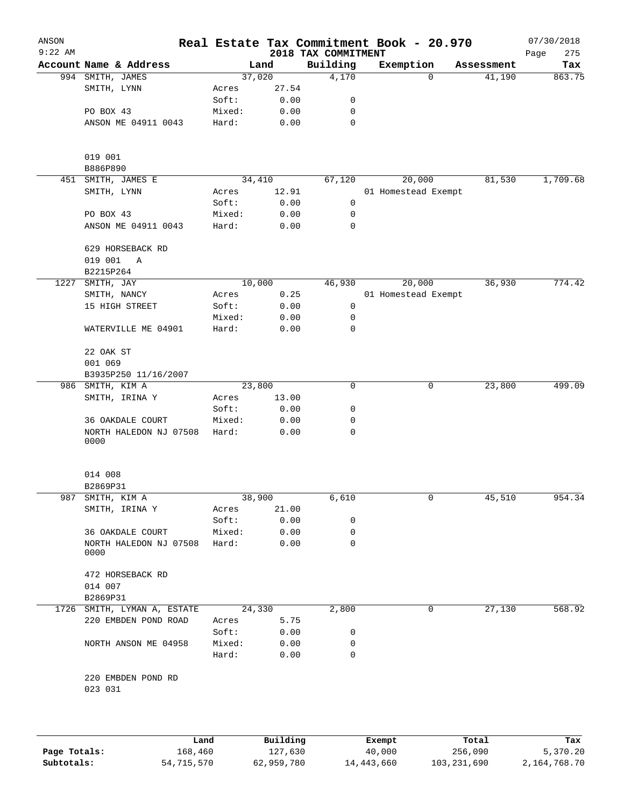| ANSON<br>$9:22$ AM |                                  |        |          |                                 | Real Estate Tax Commitment Book - 20.970 |   |            | 07/30/2018         |
|--------------------|----------------------------------|--------|----------|---------------------------------|------------------------------------------|---|------------|--------------------|
|                    | Account Name & Address           |        | Land     | 2018 TAX COMMITMENT<br>Building | Exemption                                |   | Assessment | Page<br>275<br>Tax |
|                    | 994 SMITH, JAMES                 |        | 37,020   | 4,170                           |                                          | 0 | 41,190     | 863.75             |
|                    | SMITH, LYNN                      | Acres  | 27.54    |                                 |                                          |   |            |                    |
|                    |                                  | Soft:  | 0.00     | 0                               |                                          |   |            |                    |
|                    | PO BOX 43                        | Mixed: | 0.00     | 0                               |                                          |   |            |                    |
|                    | ANSON ME 04911 0043              | Hard:  | 0.00     | $\mathbf 0$                     |                                          |   |            |                    |
|                    |                                  |        |          |                                 |                                          |   |            |                    |
|                    | 019 001                          |        |          |                                 |                                          |   |            |                    |
|                    | B886P890                         |        |          |                                 |                                          |   |            |                    |
| 451                | SMITH, JAMES E                   |        | 34,410   | 67,120                          | 20,000                                   |   | 81,530     | 1,709.68           |
|                    | SMITH, LYNN                      | Acres  | 12.91    |                                 | 01 Homestead Exempt                      |   |            |                    |
|                    |                                  | Soft:  | 0.00     | 0                               |                                          |   |            |                    |
|                    | PO BOX 43                        | Mixed: | 0.00     | 0                               |                                          |   |            |                    |
|                    | ANSON ME 04911 0043              | Hard:  | 0.00     | 0                               |                                          |   |            |                    |
|                    | 629 HORSEBACK RD<br>019 001<br>Α |        |          |                                 |                                          |   |            |                    |
|                    | B2215P264                        |        |          |                                 |                                          |   |            |                    |
| 1227               | SMITH, JAY                       |        | 10,000   | 46,930                          | 20,000                                   |   | 36,930     | 774.42             |
|                    | SMITH, NANCY                     | Acres  | 0.25     |                                 | 01 Homestead Exempt                      |   |            |                    |
|                    | 15 HIGH STREET                   | Soft:  | 0.00     | $\mathsf 0$                     |                                          |   |            |                    |
|                    |                                  | Mixed: | 0.00     | 0                               |                                          |   |            |                    |
|                    | WATERVILLE ME 04901              | Hard:  | 0.00     | 0                               |                                          |   |            |                    |
|                    | 22 OAK ST                        |        |          |                                 |                                          |   |            |                    |
|                    | 001 069                          |        |          |                                 |                                          |   |            |                    |
|                    | B3935P250 11/16/2007             |        |          |                                 |                                          |   |            |                    |
| 986                | SMITH, KIM A                     |        | 23,800   | 0                               |                                          | 0 | 23,800     | 499.09             |
|                    | SMITH, IRINA Y                   | Acres  | 13.00    |                                 |                                          |   |            |                    |
|                    |                                  | Soft:  | 0.00     | 0                               |                                          |   |            |                    |
|                    | 36 OAKDALE COURT                 | Mixed: | 0.00     | 0                               |                                          |   |            |                    |
|                    | NORTH HALEDON NJ 07508<br>0000   | Hard:  | 0.00     | 0                               |                                          |   |            |                    |
|                    |                                  |        |          |                                 |                                          |   |            |                    |
|                    | 014 008                          |        |          |                                 |                                          |   |            |                    |
|                    | B2869P31                         |        |          |                                 |                                          |   |            |                    |
| 987                | SMITH, KIM A                     |        | 38,900   | 6,610                           |                                          | 0 | 45,510     | 954.34             |
|                    | SMITH, IRINA Y                   | Acres  | 21.00    |                                 |                                          |   |            |                    |
|                    |                                  | Soft:  | 0.00     | 0                               |                                          |   |            |                    |
|                    | 36 OAKDALE COURT                 | Mixed: | 0.00     | 0                               |                                          |   |            |                    |
|                    | NORTH HALEDON NJ 07508<br>0000   | Hard:  | 0.00     | 0                               |                                          |   |            |                    |
|                    | 472 HORSEBACK RD                 |        |          |                                 |                                          |   |            |                    |
|                    | 014 007                          |        |          |                                 |                                          |   |            |                    |
|                    | B2869P31                         |        |          |                                 |                                          |   |            |                    |
|                    | 1726 SMITH, LYMAN A, ESTATE      |        | 24,330   | 2,800                           |                                          | 0 | 27,130     | 568.92             |
|                    | 220 EMBDEN POND ROAD             | Acres  | 5.75     |                                 |                                          |   |            |                    |
|                    |                                  | Soft:  | 0.00     | 0                               |                                          |   |            |                    |
|                    | NORTH ANSON ME 04958             | Mixed: | 0.00     | 0                               |                                          |   |            |                    |
|                    |                                  | Hard:  | 0.00     | $\mathbf 0$                     |                                          |   |            |                    |
|                    | 220 EMBDEN POND RD               |        |          |                                 |                                          |   |            |                    |
|                    | 023 031                          |        |          |                                 |                                          |   |            |                    |
|                    |                                  |        |          |                                 |                                          |   |            |                    |
|                    | Land                             |        | Building |                                 | Exempt                                   |   | Total      | Tax                |

|              | Land       | Building   | Exempt     | Total       | Tax          |
|--------------|------------|------------|------------|-------------|--------------|
| Page Totals: | 168,460    | 127,630    | 40,000     | 256,090     | 5,370.20     |
| Subtotals:   | 54,715,570 | 62,959,780 | 14,443,660 | 103,231,690 | 2,164,768.70 |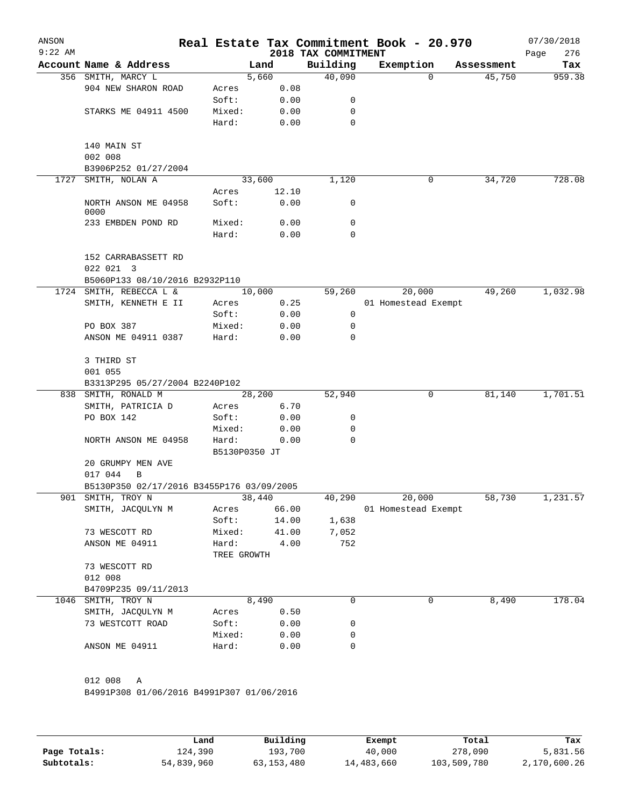| ANSON<br>$9:22$ AM |                                             |                      |        |       | Real Estate Tax Commitment Book - 20.970<br>2018 TAX COMMITMENT |           |             |                     |            | 07/30/2018<br>276<br>Page |
|--------------------|---------------------------------------------|----------------------|--------|-------|-----------------------------------------------------------------|-----------|-------------|---------------------|------------|---------------------------|
|                    | Account Name & Address                      |                      | Land   |       | Building                                                        | Exemption |             |                     | Assessment | Tax                       |
|                    | 356 SMITH, MARCY L                          |                      | 5,660  |       | 40,090                                                          |           | $\Omega$    |                     | 45,750     | 959.38                    |
|                    | 904 NEW SHARON ROAD                         | Acres                |        | 0.08  |                                                                 |           |             |                     |            |                           |
|                    |                                             | Soft:                |        | 0.00  | 0                                                               |           |             |                     |            |                           |
|                    | STARKS ME 04911 4500                        | Mixed:               |        | 0.00  | 0                                                               |           |             |                     |            |                           |
|                    |                                             | Hard:                |        | 0.00  | 0                                                               |           |             |                     |            |                           |
|                    | 140 MAIN ST                                 |                      |        |       |                                                                 |           |             |                     |            |                           |
|                    | 002 008                                     |                      |        |       |                                                                 |           |             |                     |            |                           |
|                    | B3906P252 01/27/2004                        |                      |        |       |                                                                 |           |             |                     |            |                           |
| 1727               | SMITH, NOLAN A                              |                      | 33,600 |       | 1,120                                                           |           | $\mathbf 0$ |                     | 34,720     | 728.08                    |
|                    |                                             | Acres                |        | 12.10 |                                                                 |           |             |                     |            |                           |
|                    | NORTH ANSON ME 04958<br>0000                | Soft:                |        | 0.00  | 0                                                               |           |             |                     |            |                           |
|                    | 233 EMBDEN POND RD                          | Mixed:               |        | 0.00  | 0                                                               |           |             |                     |            |                           |
|                    |                                             | Hard:                |        | 0.00  | 0                                                               |           |             |                     |            |                           |
|                    | 152 CARRABASSETT RD                         |                      |        |       |                                                                 |           |             |                     |            |                           |
|                    | 022 021 3<br>B5060P133 08/10/2016 B2932P110 |                      |        |       |                                                                 |           |             |                     |            |                           |
| 1724               | SMITH, REBECCA L &                          |                      | 10,000 |       | 59, 260                                                         |           | 20,000      |                     | 49,260     | 1,032.98                  |
|                    | SMITH, KENNETH E II                         | Acres                |        | 0.25  |                                                                 |           |             | 01 Homestead Exempt |            |                           |
|                    |                                             | Soft:                |        | 0.00  | 0                                                               |           |             |                     |            |                           |
|                    | PO BOX 387                                  | Mixed:               |        | 0.00  | 0                                                               |           |             |                     |            |                           |
|                    | ANSON ME 04911 0387                         | Hard:                |        | 0.00  | 0                                                               |           |             |                     |            |                           |
|                    | 3 THIRD ST                                  |                      |        |       |                                                                 |           |             |                     |            |                           |
|                    | 001 055                                     |                      |        |       |                                                                 |           |             |                     |            |                           |
|                    | B3313P295 05/27/2004 B2240P102              |                      |        |       |                                                                 |           |             |                     |            |                           |
|                    | 838 SMITH, RONALD M                         |                      | 28,200 |       | 52,940                                                          |           | 0           |                     | 81,140     | 1,701.51                  |
|                    | SMITH, PATRICIA D                           | Acres                |        | 6.70  |                                                                 |           |             |                     |            |                           |
|                    | PO BOX 142                                  | Soft:                |        | 0.00  | 0                                                               |           |             |                     |            |                           |
|                    |                                             | Mixed:               |        | 0.00  | 0                                                               |           |             |                     |            |                           |
|                    | NORTH ANSON ME 04958                        | Hard:                |        | 0.00  | 0                                                               |           |             |                     |            |                           |
|                    |                                             | B5130P0350 JT        |        |       |                                                                 |           |             |                     |            |                           |
|                    | 20 GRUMPY MEN AVE<br>017 044<br>B           |                      |        |       |                                                                 |           |             |                     |            |                           |
|                    | B5130P350 02/17/2016 B3455P176 03/09/2005   |                      |        |       |                                                                 |           |             |                     |            |                           |
| 901                | SMITH, TROY N                               |                      | 38,440 |       | 40,290                                                          |           | 20,000      |                     | 58,730     | 1,231.57                  |
|                    | SMITH, JACQULYN M                           | Acres                |        | 66.00 |                                                                 |           |             | 01 Homestead Exempt |            |                           |
|                    |                                             | Soft:                |        | 14.00 | 1,638                                                           |           |             |                     |            |                           |
|                    |                                             |                      |        | 41.00 |                                                                 |           |             |                     |            |                           |
|                    | 73 WESCOTT RD                               | Mixed:               |        |       | 7,052                                                           |           |             |                     |            |                           |
|                    | ANSON ME 04911                              | Hard:<br>TREE GROWTH |        | 4.00  | 752                                                             |           |             |                     |            |                           |
|                    | 73 WESCOTT RD                               |                      |        |       |                                                                 |           |             |                     |            |                           |
|                    | 012 008                                     |                      |        |       |                                                                 |           |             |                     |            |                           |
|                    | B4709P235 09/11/2013                        |                      |        |       |                                                                 |           |             |                     |            |                           |
|                    | 1046 SMITH, TROY N                          |                      | 8,490  |       | 0                                                               |           | 0           |                     | 8,490      | 178.04                    |
|                    | SMITH, JACQULYN M                           | Acres                |        | 0.50  |                                                                 |           |             |                     |            |                           |
|                    | 73 WESTCOTT ROAD                            | Soft:                |        | 0.00  | 0                                                               |           |             |                     |            |                           |
|                    |                                             | Mixed:               |        | 0.00  | 0                                                               |           |             |                     |            |                           |
|                    | ANSON ME 04911                              | Hard:                |        | 0.00  | 0                                                               |           |             |                     |            |                           |
|                    |                                             |                      |        |       |                                                                 |           |             |                     |            |                           |
|                    | 012 008<br>Α                                |                      |        |       |                                                                 |           |             |                     |            |                           |
|                    | B4991P308 01/06/2016 B4991P307 01/06/2016   |                      |        |       |                                                                 |           |             |                     |            |                           |
|                    |                                             |                      |        |       |                                                                 |           |             |                     |            |                           |
|                    |                                             |                      |        |       |                                                                 |           |             |                     |            |                           |

|              | Land       | Building   | Exempt     | Total       | Tax          |
|--------------|------------|------------|------------|-------------|--------------|
| Page Totals: | 124,390    | 193,700    | 40,000     | 278,090     | 5,831.56     |
| Subtotals:   | 54,839,960 | 63,153,480 | 14,483,660 | 103,509,780 | 2,170,600.26 |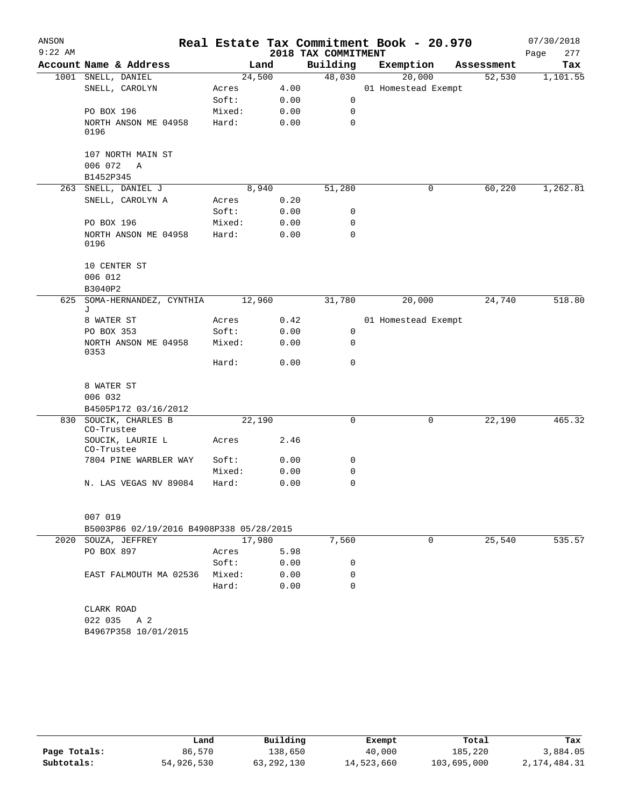| ANSON     |                                          |        |      |                     | Real Estate Tax Commitment Book - 20.970 |            | 07/30/2018  |
|-----------|------------------------------------------|--------|------|---------------------|------------------------------------------|------------|-------------|
| $9:22$ AM |                                          |        |      | 2018 TAX COMMITMENT |                                          |            | 277<br>Page |
|           | Account Name & Address                   | Land   |      | Building            | Exemption                                | Assessment | Tax         |
|           | 1001 SNELL, DANIEL                       | 24,500 |      | 48,030              | 20,000                                   | 52,530     | 1,101.55    |
|           | SNELL, CAROLYN                           | Acres  | 4.00 |                     | 01 Homestead Exempt                      |            |             |
|           |                                          | Soft:  | 0.00 | $\mathbf 0$         |                                          |            |             |
|           | PO BOX 196                               | Mixed: | 0.00 | 0                   |                                          |            |             |
|           | NORTH ANSON ME 04958<br>0196             | Hard:  | 0.00 | 0                   |                                          |            |             |
|           | 107 NORTH MAIN ST<br>006 072<br>Α        |        |      |                     |                                          |            |             |
|           | B1452P345                                |        |      |                     |                                          |            |             |
|           | 263 SNELL, DANIEL J                      | 8,940  |      | 51,280              | 0                                        | 60,220     | 1,262.81    |
|           | SNELL, CAROLYN A                         | Acres  | 0.20 |                     |                                          |            |             |
|           |                                          | Soft:  | 0.00 | 0                   |                                          |            |             |
|           | PO BOX 196                               | Mixed: | 0.00 | 0                   |                                          |            |             |
|           | NORTH ANSON ME 04958<br>0196             | Hard:  | 0.00 | 0                   |                                          |            |             |
|           | 10 CENTER ST<br>006 012<br>B3040P2       |        |      |                     |                                          |            |             |
|           | 625 SOMA-HERNANDEZ, CYNTHIA              | 12,960 |      | 31,780              | 20,000                                   | 24,740     | 518.80      |
|           | J                                        |        |      |                     |                                          |            |             |
|           | 8 WATER ST                               | Acres  | 0.42 |                     | 01 Homestead Exempt                      |            |             |
|           | PO BOX 353                               | Soft:  | 0.00 | 0                   |                                          |            |             |
|           | NORTH ANSON ME 04958<br>0353             | Mixed: | 0.00 | $\mathbf 0$         |                                          |            |             |
|           |                                          | Hard:  | 0.00 | 0                   |                                          |            |             |
|           | 8 WATER ST                               |        |      |                     |                                          |            |             |
|           | 006 032                                  |        |      |                     |                                          |            |             |
|           | B4505P172 03/16/2012                     |        |      |                     |                                          |            |             |
|           | 830 SOUCIK, CHARLES B                    | 22,190 |      | 0                   | 0                                        | 22,190     | 465.32      |
|           | CO-Trustee                               |        |      |                     |                                          |            |             |
|           | SOUCIK, LAURIE L<br>CO-Trustee           | Acres  | 2.46 |                     |                                          |            |             |
|           | 7804 PINE WARBLER WAY                    | Soft:  | 0.00 | 0                   |                                          |            |             |
|           |                                          | Mixed: | 0.00 | 0                   |                                          |            |             |
|           | N. LAS VEGAS NV 89084                    | Hard:  | 0.00 | 0                   |                                          |            |             |
|           | 007 019                                  |        |      |                     |                                          |            |             |
|           | B5003P86 02/19/2016 B4908P338 05/28/2015 |        |      |                     |                                          |            |             |
|           | 2020 SOUZA, JEFFREY                      | 17,980 |      | 7,560               | 0                                        | 25,540     | 535.57      |
|           | PO BOX 897                               | Acres  | 5.98 |                     |                                          |            |             |
|           |                                          | Soft:  | 0.00 | 0                   |                                          |            |             |
|           | EAST FALMOUTH MA 02536                   | Mixed: | 0.00 | 0                   |                                          |            |             |
|           |                                          | Hard:  | 0.00 | $\Omega$            |                                          |            |             |
|           | CLARK ROAD                               |        |      |                     |                                          |            |             |
|           | 022 035 A 2                              |        |      |                     |                                          |            |             |
|           | B4967P358 10/01/2015                     |        |      |                     |                                          |            |             |
|           |                                          |        |      |                     |                                          |            |             |
|           |                                          |        |      |                     |                                          |            |             |

|              | Land       | Building     | Exempt     | Total       | Tax          |
|--------------|------------|--------------|------------|-------------|--------------|
| Page Totals: | 86,570     | 138,650      | 40,000     | 185,220     | 3,884.05     |
| Subtotals:   | 54,926,530 | 63, 292, 130 | 14,523,660 | 103,695,000 | 2,174,484.31 |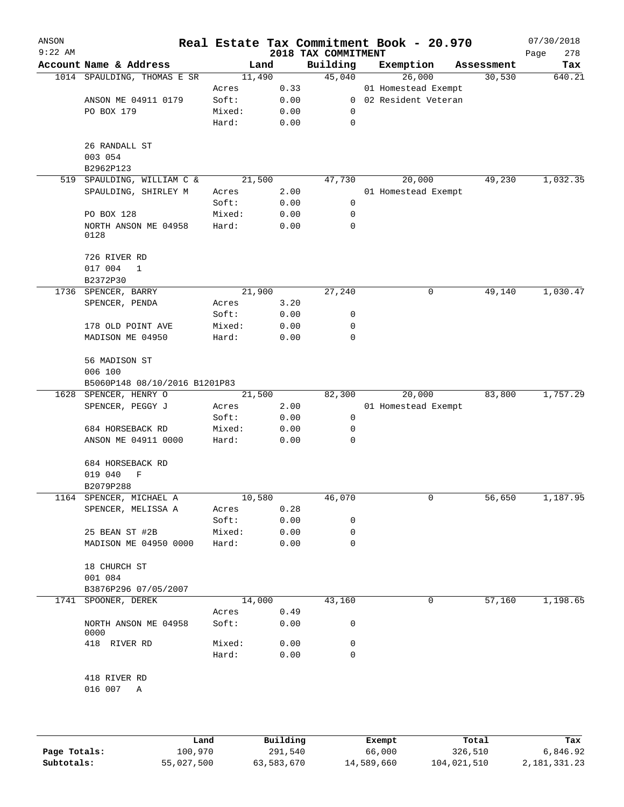| ANSON<br>$9:22$ AM |                               |                |              | 2018 TAX COMMITMENT | Real Estate Tax Commitment Book - 20.970 |            | 07/30/2018<br>278<br>Page |
|--------------------|-------------------------------|----------------|--------------|---------------------|------------------------------------------|------------|---------------------------|
|                    | Account Name & Address        | Land           |              | Building            | Exemption                                | Assessment | Tax                       |
|                    | 1014 SPAULDING, THOMAS E SR   | 11,490         |              | 45,040              | 26,000                                   | 30,530     | 640.21                    |
|                    |                               | Acres          | 0.33         |                     | 01 Homestead Exempt                      |            |                           |
|                    | ANSON ME 04911 0179           | Soft:          | 0.00         | $\overline{0}$      | 02 Resident Veteran                      |            |                           |
|                    | PO BOX 179                    | Mixed:         | 0.00         | 0                   |                                          |            |                           |
|                    |                               | Hard:          | 0.00         | $\mathbf 0$         |                                          |            |                           |
|                    | 26 RANDALL ST                 |                |              |                     |                                          |            |                           |
|                    | 003 054                       |                |              |                     |                                          |            |                           |
|                    | B2962P123                     |                |              |                     |                                          |            |                           |
| 519                | SPAULDING, WILLIAM C &        | 21,500         |              | 47,730              | 20,000                                   | 49,230     | 1,032.35                  |
|                    | SPAULDING, SHIRLEY M          | Acres          | 2.00         |                     | 01 Homestead Exempt                      |            |                           |
|                    |                               | Soft:          | 0.00         | 0                   |                                          |            |                           |
|                    | PO BOX 128                    | Mixed:         | 0.00         | 0                   |                                          |            |                           |
|                    | NORTH ANSON ME 04958<br>0128  | Hard:          | 0.00         | 0                   |                                          |            |                           |
|                    | 726 RIVER RD                  |                |              |                     |                                          |            |                           |
|                    | 017 004<br>$\mathbf 1$        |                |              |                     |                                          |            |                           |
|                    | B2372P30                      |                |              |                     |                                          |            |                           |
| 1736               | SPENCER, BARRY                | 21,900         |              | 27,240              | 0                                        | 49,140     | 1,030.47                  |
|                    | SPENCER, PENDA                | Acres          | 3.20         |                     |                                          |            |                           |
|                    |                               | Soft:          | 0.00         | 0                   |                                          |            |                           |
|                    | 178 OLD POINT AVE             | Mixed:         | 0.00         | 0                   |                                          |            |                           |
|                    | MADISON ME 04950              | Hard:          | 0.00         | 0                   |                                          |            |                           |
|                    | 56 MADISON ST                 |                |              |                     |                                          |            |                           |
|                    | 006 100                       |                |              |                     |                                          |            |                           |
|                    | B5060P148 08/10/2016 B1201P83 |                |              |                     |                                          |            |                           |
| 1628               | SPENCER, HENRY O              | 21,500         |              | 82,300              | 20,000                                   | 83,800     | 1,757.29                  |
|                    | SPENCER, PEGGY J              | Acres          | 2.00         |                     | 01 Homestead Exempt                      |            |                           |
|                    |                               | Soft:          | 0.00         | 0                   |                                          |            |                           |
|                    | 684 HORSEBACK RD              | Mixed:         | 0.00         | 0                   |                                          |            |                           |
|                    | ANSON ME 04911 0000           | Hard:          | 0.00         | 0                   |                                          |            |                           |
|                    | 684 HORSEBACK RD              |                |              |                     |                                          |            |                           |
|                    | 019 040<br>F                  |                |              |                     |                                          |            |                           |
|                    | B2079P288                     |                |              |                     |                                          |            |                           |
| 1164               | SPENCER, MICHAEL A            | 10,580         |              | 46,070              | 0                                        | 56,650     | 1,187.95                  |
|                    | SPENCER, MELISSA A            | Acres          | 0.28         |                     |                                          |            |                           |
|                    |                               | Soft:          | 0.00         | 0                   |                                          |            |                           |
|                    | 25 BEAN ST #2B                | Mixed:         | 0.00         | 0                   |                                          |            |                           |
|                    | MADISON ME 04950 0000         | Hard:          | 0.00         | $\Omega$            |                                          |            |                           |
|                    | 18 CHURCH ST                  |                |              |                     |                                          |            |                           |
|                    | 001 084                       |                |              |                     |                                          |            |                           |
|                    | B3876P296 07/05/2007          |                |              |                     |                                          |            |                           |
|                    | 1741 SPOONER, DEREK           | 14,000         |              | 43,160              | 0                                        | 57,160     | 1,198.65                  |
|                    | NORTH ANSON ME 04958<br>0000  | Acres<br>Soft: | 0.49<br>0.00 | 0                   |                                          |            |                           |
|                    |                               | Mixed:         | 0.00         | 0                   |                                          |            |                           |
|                    | 418 RIVER RD                  | Hard:          | 0.00         | $\mathbf 0$         |                                          |            |                           |
|                    | 418 RIVER RD                  |                |              |                     |                                          |            |                           |
|                    | 016 007<br>A                  |                |              |                     |                                          |            |                           |
|                    |                               |                |              |                     |                                          |            |                           |
|                    |                               |                |              |                     |                                          |            |                           |
|                    |                               |                |              |                     |                                          |            | m.                        |

|              | Land       | Building   | Exempt     | Total       | Tax          |
|--------------|------------|------------|------------|-------------|--------------|
| Page Totals: | 100,970    | 291,540    | 66,000     | 326,510     | 6,846.92     |
| Subtotals:   | 55,027,500 | 63,583,670 | 14,589,660 | 104,021,510 | 2,181,331.23 |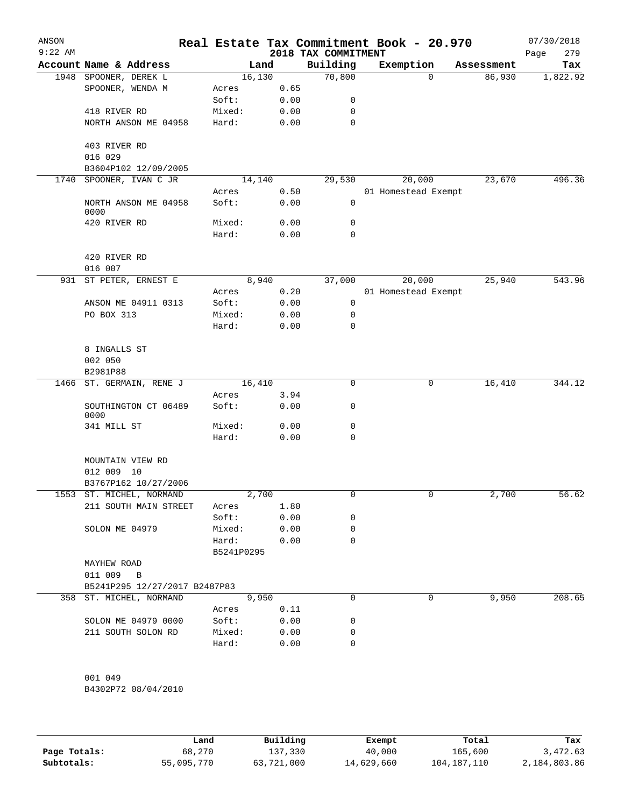| ANSON<br>$9:22$ AM |                               | Real Estate Tax Commitment Book - 20.970 |      | 2018 TAX COMMITMENT |                     |            | 07/30/2018<br>279<br>Page |
|--------------------|-------------------------------|------------------------------------------|------|---------------------|---------------------|------------|---------------------------|
|                    | Account Name & Address        | Land                                     |      | Building            | Exemption           | Assessment | Tax                       |
|                    | 1948 SPOONER, DEREK L         | 16,130                                   |      | 70,800              | $\mathbf 0$         | 86,930     | 1,822.92                  |
|                    | SPOONER, WENDA M              | Acres                                    | 0.65 |                     |                     |            |                           |
|                    |                               | Soft:                                    | 0.00 | 0                   |                     |            |                           |
|                    | 418 RIVER RD                  | Mixed:                                   | 0.00 | 0                   |                     |            |                           |
|                    | NORTH ANSON ME 04958          | Hard:                                    | 0.00 | $\mathbf 0$         |                     |            |                           |
|                    | 403 RIVER RD<br>016 029       |                                          |      |                     |                     |            |                           |
|                    | B3604P102 12/09/2005          |                                          |      |                     |                     |            |                           |
| 1740               | SPOONER, IVAN C JR            | 14,140                                   |      | 29,530              | 20,000              | 23,670     | 496.36                    |
|                    |                               | Acres                                    | 0.50 |                     | 01 Homestead Exempt |            |                           |
|                    | NORTH ANSON ME 04958<br>0000  | Soft:                                    | 0.00 | 0                   |                     |            |                           |
|                    | 420 RIVER RD                  | Mixed:                                   | 0.00 | $\mathbf 0$         |                     |            |                           |
|                    |                               | Hard:                                    | 0.00 | 0                   |                     |            |                           |
|                    | 420 RIVER RD<br>016 007       |                                          |      |                     |                     |            |                           |
| 931                | ST PETER, ERNEST E            | 8,940                                    |      | 37,000              | 20,000              | 25,940     | 543.96                    |
|                    |                               | Acres                                    | 0.20 |                     | 01 Homestead Exempt |            |                           |
|                    | ANSON ME 04911 0313           | Soft:                                    | 0.00 | 0                   |                     |            |                           |
|                    | PO BOX 313                    | Mixed:                                   | 0.00 | 0                   |                     |            |                           |
|                    |                               | Hard:                                    | 0.00 | 0                   |                     |            |                           |
|                    |                               |                                          |      |                     |                     |            |                           |
|                    | 8 INGALLS ST<br>002 050       |                                          |      |                     |                     |            |                           |
|                    | B2981P88                      |                                          |      |                     |                     |            |                           |
| 1466               | ST. GERMAIN, RENE J           | 16,410                                   |      | $\mathbf 0$         | 0                   | 16,410     | 344.12                    |
|                    |                               | Acres                                    | 3.94 |                     |                     |            |                           |
|                    | SOUTHINGTON CT 06489<br>0000  | Soft:                                    | 0.00 | 0                   |                     |            |                           |
|                    | 341 MILL ST                   | Mixed:                                   | 0.00 | 0                   |                     |            |                           |
|                    |                               | Hard:                                    | 0.00 | 0                   |                     |            |                           |
|                    | MOUNTAIN VIEW RD              |                                          |      |                     |                     |            |                           |
|                    | 012 009 10                    |                                          |      |                     |                     |            |                           |
|                    | B3767P162 10/27/2006          |                                          |      |                     |                     |            |                           |
|                    | 1553 ST. MICHEL, NORMAND      | 2,700                                    |      |                     |                     | 2,700      | 56.62                     |
|                    | 211 SOUTH MAIN STREET         | Acres                                    | 1.80 |                     |                     |            |                           |
|                    |                               | Soft:                                    | 0.00 | 0                   |                     |            |                           |
|                    | SOLON ME 04979                | Mixed:                                   | 0.00 | 0                   |                     |            |                           |
|                    |                               | Hard:<br>B5241P0295                      | 0.00 | 0                   |                     |            |                           |
|                    | MAYHEW ROAD                   |                                          |      |                     |                     |            |                           |
|                    | 011 009 B                     |                                          |      |                     |                     |            |                           |
|                    | B5241P295 12/27/2017 B2487P83 |                                          |      |                     |                     |            |                           |
|                    | 358 ST. MICHEL, NORMAND       | 9,950                                    |      | 0                   | 0                   | 9,950      | 208.65                    |
|                    |                               | Acres                                    | 0.11 |                     |                     |            |                           |
|                    | SOLON ME 04979 0000           | Soft:                                    | 0.00 | 0                   |                     |            |                           |
|                    | 211 SOUTH SOLON RD            | Mixed:                                   | 0.00 | 0                   |                     |            |                           |
|                    |                               | Hard:                                    | 0.00 | 0                   |                     |            |                           |
|                    |                               |                                          |      |                     |                     |            |                           |
|                    |                               |                                          |      |                     |                     |            |                           |
|                    | 001 049                       |                                          |      |                     |                     |            |                           |

B4302P72 08/04/2010

|              | Land       | Building   | Exempt     | Total       | Tax          |
|--------------|------------|------------|------------|-------------|--------------|
| Page Totals: | 68,270     | 137,330    | 40,000     | 165,600     | 3,472.63     |
| Subtotals:   | 55,095,770 | 63,721,000 | 14,629,660 | 104,187,110 | 2,184,803.86 |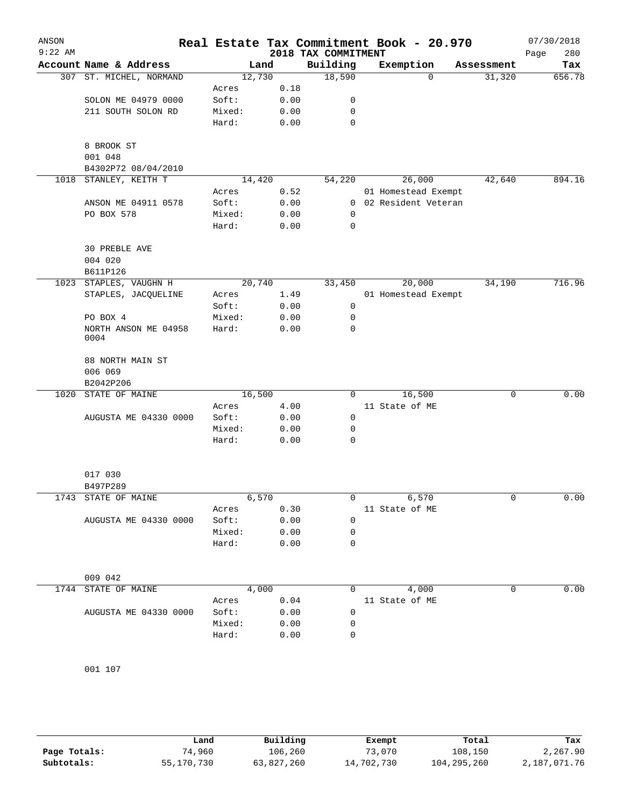| ANSON<br>$9:22$ AM |                              |                |               | 2018 TAX COMMITMENT | Real Estate Tax Commitment Book - 20.970 |            | 07/30/2018<br>280<br>Page |
|--------------------|------------------------------|----------------|---------------|---------------------|------------------------------------------|------------|---------------------------|
|                    | Account Name & Address       |                | Land          | Building            | Exemption                                | Assessment | Tax                       |
|                    | 307 ST. MICHEL, NORMAND      | 12,730         |               | 18,590              | $\mathbf 0$                              | 31,320     | 656.78                    |
|                    |                              | Acres          | 0.18          |                     |                                          |            |                           |
|                    | SOLON ME 04979 0000          | Soft:          | 0.00          | 0                   |                                          |            |                           |
|                    | 211 SOUTH SOLON RD           | Mixed:         | 0.00          | 0                   |                                          |            |                           |
|                    |                              | Hard:          | 0.00          | 0                   |                                          |            |                           |
|                    | 8 BROOK ST                   |                |               |                     |                                          |            |                           |
|                    | 001 048                      |                |               |                     |                                          |            |                           |
|                    | B4302P72 08/04/2010          |                |               |                     |                                          |            |                           |
| 1018               | STANLEY, KEITH T             | 14,420         |               | 54,220              | 26,000                                   | 42,640     | 894.16                    |
|                    |                              | Acres          | 0.52          |                     | 01 Homestead Exempt                      |            |                           |
|                    | ANSON ME 04911 0578          | Soft:          | 0.00          | 0                   | 02 Resident Veteran                      |            |                           |
|                    | PO BOX 578                   | Mixed:         | 0.00          | 0                   |                                          |            |                           |
|                    |                              | Hard:          | 0.00          | 0                   |                                          |            |                           |
|                    | <b>30 PREBLE AVE</b>         |                |               |                     |                                          |            |                           |
|                    | 004 020                      |                |               |                     |                                          |            |                           |
|                    | B611P126                     |                |               |                     |                                          |            |                           |
|                    | 1023 STAPLES, VAUGHN H       | 20,740         |               | 33,450              | 20,000                                   | 34,190     | 716.96                    |
|                    | STAPLES, JACQUELINE          | Acres          | 1.49          |                     | 01 Homestead Exempt                      |            |                           |
|                    |                              | Soft:          | 0.00          | 0                   |                                          |            |                           |
|                    | PO BOX 4                     | Mixed:         | 0.00          | 0                   |                                          |            |                           |
|                    | NORTH ANSON ME 04958<br>0004 | Hard:          | 0.00          | 0                   |                                          |            |                           |
|                    |                              |                |               |                     |                                          |            |                           |
|                    | 88 NORTH MAIN ST             |                |               |                     |                                          |            |                           |
|                    | 006 069                      |                |               |                     |                                          |            |                           |
|                    | B2042P206                    |                |               |                     |                                          |            |                           |
| 1020               | STATE OF MAINE               | 16,500         |               | 0                   | 16,500                                   | 0          | 0.00                      |
|                    |                              | Acres          | 4.00          |                     | 11 State of ME                           |            |                           |
|                    | AUGUSTA ME 04330 0000        | Soft:          | 0.00          | 0                   |                                          |            |                           |
|                    |                              | Mixed:         | 0.00          | 0                   |                                          |            |                           |
|                    |                              | Hard:          | 0.00          | 0                   |                                          |            |                           |
|                    |                              |                |               |                     |                                          |            |                           |
|                    | 017 030<br>B497P289          |                |               |                     |                                          |            |                           |
|                    | 1743 STATE OF MAINE          |                | 6,570         | 0                   | 6,570                                    | 0          | 0.00                      |
|                    |                              | Acres          | 0.30          |                     | 11 State of ME                           |            |                           |
|                    | AUGUSTA ME 04330 0000        | Soft:          | 0.00          | 0                   |                                          |            |                           |
|                    |                              | Mixed:         | 0.00          | 0                   |                                          |            |                           |
|                    |                              | Hard:          | 0.00          | 0                   |                                          |            |                           |
|                    |                              |                |               |                     |                                          |            |                           |
|                    | 009 042                      |                |               |                     |                                          |            |                           |
|                    | 1744 STATE OF MAINE          |                | 4,000<br>0.04 | 0                   | 4,000<br>11 State of ME                  | 0          | 0.00                      |
|                    | AUGUSTA ME 04330 0000        | Acres<br>Soft: | 0.00          | 0                   |                                          |            |                           |
|                    |                              | Mixed:         | 0.00          | 0                   |                                          |            |                           |
|                    |                              | Hard:          | 0.00          | 0                   |                                          |            |                           |
|                    |                              |                |               |                     |                                          |            |                           |
|                    |                              |                |               |                     |                                          |            |                           |
|                    | 001 107                      |                |               |                     |                                          |            |                           |

|              | Land       | Building   | Exempt     | Total       | Tax          |
|--------------|------------|------------|------------|-------------|--------------|
| Page Totals: | 74,960     | 106,260    | 73,070     | 108.150     | 2,267.90     |
| Subtotals:   | 55,170,730 | 63,827,260 | 14,702,730 | 104,295,260 | 2,187,071.76 |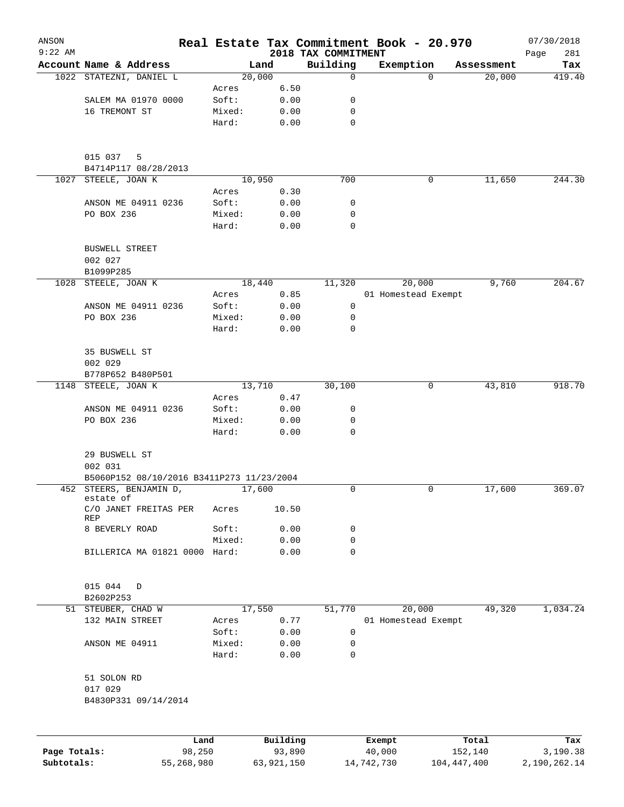| ANSON                      |                                           |                 |                      |                                 | Real Estate Tax Commitment Book - 20.970 |                          | 07/30/2018               |
|----------------------------|-------------------------------------------|-----------------|----------------------|---------------------------------|------------------------------------------|--------------------------|--------------------------|
| $9:22$ AM                  | Account Name & Address                    |                 | Land                 | 2018 TAX COMMITMENT<br>Building | Exemption                                | Assessment               | 281<br>Page<br>Tax       |
|                            | 1022 STATEZNI, DANIEL L                   |                 | 20,000               | 0                               | $\Omega$                                 | 20,000                   | 419.40                   |
|                            |                                           | Acres           | 6.50                 |                                 |                                          |                          |                          |
|                            | SALEM MA 01970 0000                       | Soft:           | 0.00                 | 0                               |                                          |                          |                          |
|                            | 16 TREMONT ST                             | Mixed:          | 0.00                 | 0                               |                                          |                          |                          |
|                            |                                           | Hard:           | 0.00                 | 0                               |                                          |                          |                          |
|                            | 015 037<br>5                              |                 |                      |                                 |                                          |                          |                          |
|                            | B4714P117 08/28/2013                      |                 |                      |                                 |                                          |                          |                          |
| 1027                       | STEELE, JOAN K                            |                 | 10,950               | 700                             | 0                                        | 11,650                   | 244.30                   |
|                            |                                           | Acres           | 0.30                 |                                 |                                          |                          |                          |
|                            | ANSON ME 04911 0236                       | Soft:           | 0.00                 | 0                               |                                          |                          |                          |
|                            | PO BOX 236                                | Mixed:<br>Hard: | 0.00<br>0.00         | $\mathbf 0$<br>0                |                                          |                          |                          |
|                            | <b>BUSWELL STREET</b>                     |                 |                      |                                 |                                          |                          |                          |
|                            | 002 027<br>B1099P285                      |                 |                      |                                 |                                          |                          |                          |
| 1028                       | STEELE, JOAN K                            |                 | 18,440               | 11,320                          | 20,000                                   | 9,760                    | 204.67                   |
|                            |                                           | Acres           | 0.85                 |                                 | 01 Homestead Exempt                      |                          |                          |
|                            | ANSON ME 04911 0236                       | Soft:           | 0.00                 | 0                               |                                          |                          |                          |
|                            | PO BOX 236                                | Mixed:          | 0.00                 | 0                               |                                          |                          |                          |
|                            |                                           | Hard:           | 0.00                 | 0                               |                                          |                          |                          |
|                            | 35 BUSWELL ST                             |                 |                      |                                 |                                          |                          |                          |
|                            | 002 029                                   |                 |                      |                                 |                                          |                          |                          |
|                            | B778P652 B480P501                         |                 |                      |                                 |                                          |                          |                          |
|                            | 1148 STEELE, JOAN K                       |                 | 13,710               | 30,100                          | 0                                        | 43,810                   | 918.70                   |
|                            |                                           | Acres           | 0.47                 |                                 |                                          |                          |                          |
|                            | ANSON ME 04911 0236                       | Soft:           | 0.00                 | 0                               |                                          |                          |                          |
|                            | PO BOX 236                                | Mixed:<br>Hard: | 0.00<br>0.00         | 0<br>0                          |                                          |                          |                          |
|                            | 29 BUSWELL ST                             |                 |                      |                                 |                                          |                          |                          |
|                            | 002 031                                   |                 |                      |                                 |                                          |                          |                          |
|                            | B5060P152 08/10/2016 B3411P273 11/23/2004 |                 |                      |                                 |                                          |                          |                          |
|                            | 452 STEERS, BENJAMIN D,<br>estate of      |                 | 17,600               | 0                               | 0                                        | 17,600                   | 369.07                   |
|                            | C/O JANET FREITAS PER<br><b>REP</b>       | Acres           | 10.50                |                                 |                                          |                          |                          |
|                            | 8 BEVERLY ROAD                            | Soft:           | 0.00                 | 0                               |                                          |                          |                          |
|                            |                                           | Mixed:          | 0.00                 | 0                               |                                          |                          |                          |
|                            | BILLERICA MA 01821 0000 Hard:             |                 | 0.00                 | 0                               |                                          |                          |                          |
|                            | 015 044<br>D                              |                 |                      |                                 |                                          |                          |                          |
|                            | B2602P253                                 |                 |                      |                                 |                                          |                          |                          |
|                            | 51 STEUBER, CHAD W                        |                 | 17,550               | 51,770                          | 20,000                                   | 49,320                   | 1,034.24                 |
|                            | 132 MAIN STREET                           | Acres           | 0.77                 |                                 | 01 Homestead Exempt                      |                          |                          |
|                            |                                           | Soft:           | 0.00                 | 0                               |                                          |                          |                          |
|                            | ANSON ME 04911                            | Mixed:          | 0.00                 | 0                               |                                          |                          |                          |
|                            |                                           | Hard:           | 0.00                 | 0                               |                                          |                          |                          |
|                            | 51 SOLON RD<br>017 029                    |                 |                      |                                 |                                          |                          |                          |
|                            | B4830P331 09/14/2014                      |                 |                      |                                 |                                          |                          |                          |
|                            |                                           |                 |                      |                                 |                                          |                          |                          |
|                            |                                           | Land            | Building             |                                 | Exempt                                   | Total                    | Tax                      |
| Page Totals:<br>Subtotals: | 98,250<br>55,268,980                      |                 | 93,890<br>63,921,150 |                                 | 40,000<br>14,742,730                     | 152,140<br>104, 447, 400 | 3,190.38<br>2,190,262.14 |
|                            |                                           |                 |                      |                                 |                                          |                          |                          |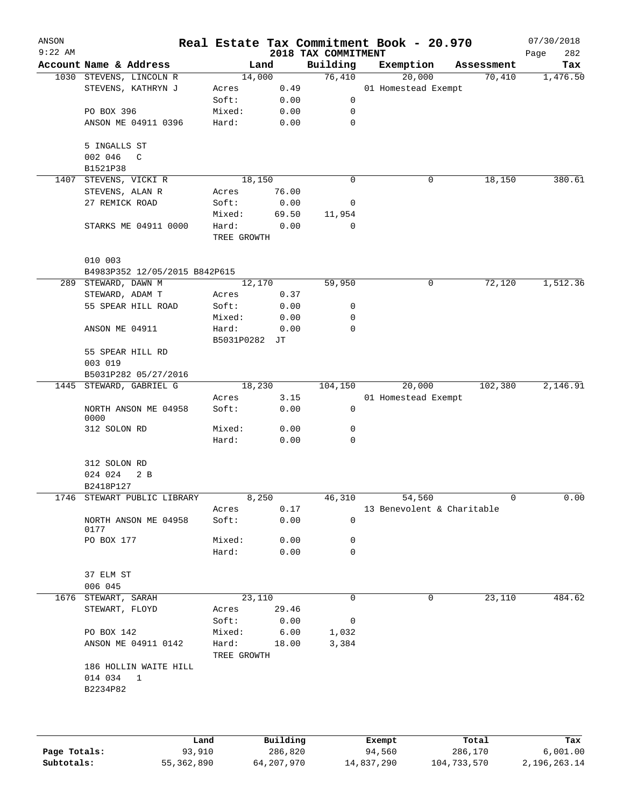| $9:22$ AM |                               |                      |               | 2018 TAX COMMITMENT | Real Estate Tax Commitment Book - 20.970 |            | 07/30/2018<br>282<br>Page |
|-----------|-------------------------------|----------------------|---------------|---------------------|------------------------------------------|------------|---------------------------|
|           | Account Name & Address        |                      | Land          | Building            | Exemption                                | Assessment | Tax                       |
|           | 1030 STEVENS, LINCOLN R       |                      | 14,000        | 76,410              | 20,000                                   | 70,410     | 1,476.50                  |
|           | STEVENS, KATHRYN J            | Acres                | 0.49          |                     | 01 Homestead Exempt                      |            |                           |
|           |                               | Soft:                | 0.00          | 0                   |                                          |            |                           |
|           | PO BOX 396                    | Mixed:               | 0.00          | 0                   |                                          |            |                           |
|           | ANSON ME 04911 0396           | Hard:                | 0.00          | 0                   |                                          |            |                           |
|           | 5 INGALLS ST                  |                      |               |                     |                                          |            |                           |
|           | 002 046<br>C                  |                      |               |                     |                                          |            |                           |
| 1407      | B1521P38<br>STEVENS, VICKI R  |                      | 18, 150       | 0                   | 0                                        | 18,150     | 380.61                    |
|           | STEVENS, ALAN R               | Acres                | 76.00         |                     |                                          |            |                           |
|           | 27 REMICK ROAD                | Soft:                | 0.00          | 0                   |                                          |            |                           |
|           |                               |                      |               |                     |                                          |            |                           |
|           |                               | Mixed:               | 69.50         | 11,954              |                                          |            |                           |
|           | STARKS ME 04911 0000          | Hard:<br>TREE GROWTH | 0.00          | 0                   |                                          |            |                           |
|           | 010 003                       |                      |               |                     |                                          |            |                           |
|           | B4983P352 12/05/2015 B842P615 |                      |               |                     |                                          |            |                           |
|           | 289 STEWARD, DAWN M           |                      | 12,170        | 59,950              | 0                                        | 72,120     | 1,512.36                  |
|           | STEWARD, ADAM T               | Acres                | 0.37          |                     |                                          |            |                           |
|           | 55 SPEAR HILL ROAD            | Soft:                | 0.00          | 0                   |                                          |            |                           |
|           |                               | Mixed:               | 0.00          | 0                   |                                          |            |                           |
|           | ANSON ME 04911                | Hard:                | 0.00          | $\mathbf 0$         |                                          |            |                           |
|           |                               | B5031P0282 JT        |               |                     |                                          |            |                           |
|           | 55 SPEAR HILL RD              |                      |               |                     |                                          |            |                           |
|           | 003 019                       |                      |               |                     |                                          |            |                           |
|           | B5031P282 05/27/2016          |                      |               |                     |                                          |            |                           |
|           | 1445 STEWARD, GABRIEL G       |                      | 18,230        | 104,150             | 20,000                                   | 102,380    | 2,146.91                  |
|           |                               | Acres                | 3.15          |                     | 01 Homestead Exempt                      |            |                           |
|           | NORTH ANSON ME 04958<br>0000  | Soft:                | 0.00          | 0                   |                                          |            |                           |
|           | 312 SOLON RD                  | Mixed:               | 0.00          | 0                   |                                          |            |                           |
|           |                               | Hard:                | 0.00          | 0                   |                                          |            |                           |
|           | 312 SOLON RD                  |                      |               |                     |                                          |            |                           |
|           | 024 024<br>2 B                |                      |               |                     |                                          |            |                           |
|           | B2418P127                     |                      |               |                     |                                          |            |                           |
|           | 1746 STEWART PUBLIC LIBRARY   |                      | 8,250         | 46,310              | 54,560                                   | 0          | 0.00                      |
|           |                               | Acres                | 0.17          |                     | 13 Benevolent & Charitable               |            |                           |
|           | NORTH ANSON ME 04958<br>0177  | Soft:                | 0.00          | 0                   |                                          |            |                           |
|           | PO BOX 177                    | Mixed:               | 0.00          | 0                   |                                          |            |                           |
|           |                               | Hard:                | 0.00          | 0                   |                                          |            |                           |
|           | 37 ELM ST                     |                      |               |                     |                                          |            |                           |
|           | 006 045                       |                      |               |                     |                                          |            |                           |
| 1676      | STEWART, SARAH                |                      | 23,110        | 0                   | 0                                        | 23,110     | 484.62                    |
|           | STEWART, FLOYD                | Acres<br>Soft:       | 29.46<br>0.00 | 0                   |                                          |            |                           |
|           | PO BOX 142                    | Mixed:               | 6.00          | 1,032               |                                          |            |                           |
|           | ANSON ME 04911 0142           | Hard:<br>TREE GROWTH | 18.00         | 3,384               |                                          |            |                           |
|           | 186 HOLLIN WAITE HILL         |                      |               |                     |                                          |            |                           |
|           | 014 034 1                     |                      |               |                     |                                          |            |                           |
|           | B2234P82                      |                      |               |                     |                                          |            |                           |
|           |                               |                      |               |                     |                                          |            |                           |

|              | Land       | Building   | Exempt     | Total       | Tax          |
|--------------|------------|------------|------------|-------------|--------------|
| Page Totals: | 93,910     | 286,820    | 94,560     | 286,170     | 6,001.00     |
| Subtotals:   | 55,362,890 | 64,207,970 | 14,837,290 | 104,733,570 | 2,196,263.14 |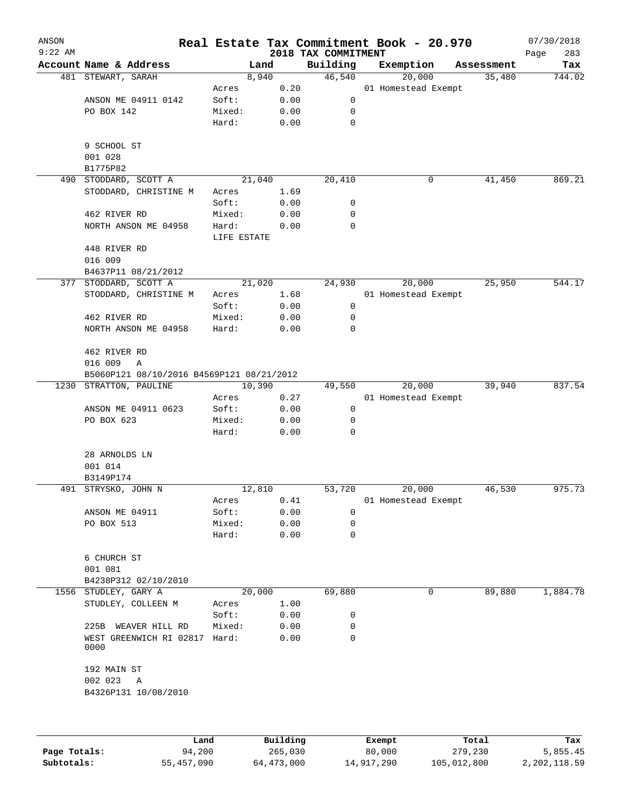| ANSON     |                                           | Real Estate Tax Commitment Book - 20.970 |      |                                 |                     |            | 07/30/2018         |
|-----------|-------------------------------------------|------------------------------------------|------|---------------------------------|---------------------|------------|--------------------|
| $9:22$ AM | Account Name & Address                    | Land                                     |      | 2018 TAX COMMITMENT<br>Building | Exemption           | Assessment | Page<br>283<br>Tax |
|           | 481 STEWART, SARAH                        | 8,940                                    |      | 46,540                          | 20,000              | 35,480     | 744.02             |
|           |                                           | Acres                                    | 0.20 |                                 | 01 Homestead Exempt |            |                    |
|           | ANSON ME 04911 0142                       | Soft:                                    | 0.00 | 0                               |                     |            |                    |
|           | PO BOX 142                                | Mixed:                                   | 0.00 | 0                               |                     |            |                    |
|           |                                           | Hard:                                    | 0.00 | $\mathbf 0$                     |                     |            |                    |
|           | 9 SCHOOL ST                               |                                          |      |                                 |                     |            |                    |
|           | 001 028                                   |                                          |      |                                 |                     |            |                    |
|           | B1775P82                                  |                                          |      |                                 |                     |            |                    |
|           | 490 STODDARD, SCOTT A                     | 21,040                                   |      | 20,410                          | 0                   | 41,450     | 869.21             |
|           | STODDARD, CHRISTINE M                     | Acres                                    | 1.69 |                                 |                     |            |                    |
|           |                                           | Soft:                                    | 0.00 | 0                               |                     |            |                    |
|           | 462 RIVER RD                              | Mixed:                                   | 0.00 | 0                               |                     |            |                    |
|           | NORTH ANSON ME 04958                      | Hard:                                    | 0.00 | 0                               |                     |            |                    |
|           | 448 RIVER RD                              | LIFE ESTATE                              |      |                                 |                     |            |                    |
|           | 016 009                                   |                                          |      |                                 |                     |            |                    |
|           | B4637P11 08/21/2012                       |                                          |      |                                 |                     |            |                    |
|           | 377 STODDARD, SCOTT A                     | 21,020                                   |      | 24,930                          | 20,000              | 25,950     | 544.17             |
|           | STODDARD, CHRISTINE M                     | Acres                                    | 1.68 |                                 | 01 Homestead Exempt |            |                    |
|           |                                           | Soft:                                    | 0.00 | $\mathsf 0$                     |                     |            |                    |
|           | 462 RIVER RD                              | Mixed:                                   | 0.00 | 0                               |                     |            |                    |
|           | NORTH ANSON ME 04958                      | Hard:                                    | 0.00 | 0                               |                     |            |                    |
|           |                                           |                                          |      |                                 |                     |            |                    |
|           | 462 RIVER RD                              |                                          |      |                                 |                     |            |                    |
|           | 016 009<br>Α                              |                                          |      |                                 |                     |            |                    |
|           | B5060P121 08/10/2016 B4569P121 08/21/2012 |                                          |      |                                 |                     |            |                    |
|           | 1230 STRATTON, PAULINE                    | 10,390                                   |      | 49,550                          | 20,000              | 39,940     | 837.54             |
|           |                                           | Acres                                    | 0.27 |                                 | 01 Homestead Exempt |            |                    |
|           | ANSON ME 04911 0623                       | Soft:                                    | 0.00 | $\mathbf 0$                     |                     |            |                    |
|           | PO BOX 623                                | Mixed:                                   | 0.00 | 0                               |                     |            |                    |
|           |                                           | Hard:                                    | 0.00 | 0                               |                     |            |                    |
|           | 28 ARNOLDS LN                             |                                          |      |                                 |                     |            |                    |
|           | 001 014                                   |                                          |      |                                 |                     |            |                    |
|           | B3149P174                                 |                                          |      |                                 |                     |            |                    |
|           | 491 STRYSKO, JOHN N                       | 12,810                                   |      | 53,720                          | 20,000              | 46,530     | 975.73             |
|           |                                           | Acres                                    | 0.41 |                                 | 01 Homestead Exempt |            |                    |
|           | ANSON ME 04911                            | Soft:                                    | 0.00 | 0                               |                     |            |                    |
|           | PO BOX 513                                | Mixed:                                   | 0.00 | 0                               |                     |            |                    |
|           |                                           | Hard:                                    | 0.00 | 0                               |                     |            |                    |
|           | 6 CHURCH ST                               |                                          |      |                                 |                     |            |                    |
|           | 001 081                                   |                                          |      |                                 |                     |            |                    |
|           | B4238P312 02/10/2010                      |                                          |      |                                 |                     |            |                    |
|           | 1556 STUDLEY, GARY A                      | 20,000                                   |      | 69,880                          | 0                   | 89,880     | 1,884.78           |
|           | STUDLEY, COLLEEN M                        | Acres                                    | 1.00 |                                 |                     |            |                    |
|           |                                           | Soft:                                    | 0.00 | 0                               |                     |            |                    |
|           | 225B<br>WEAVER HILL RD                    | Mixed:                                   | 0.00 | 0                               |                     |            |                    |
|           | WEST GREENWICH RI 02817 Hard:<br>0000     |                                          | 0.00 | 0                               |                     |            |                    |
|           | 192 MAIN ST                               |                                          |      |                                 |                     |            |                    |
|           | 002 023<br>Α                              |                                          |      |                                 |                     |            |                    |
|           | B4326P131 10/08/2010                      |                                          |      |                                 |                     |            |                    |
|           |                                           |                                          |      |                                 |                     |            |                    |
|           |                                           |                                          |      |                                 |                     |            |                    |
|           |                                           |                                          |      |                                 |                     |            |                    |
|           |                                           |                                          |      |                                 |                     |            |                    |

|              | Land       | Building   | Exempt     | Total       | Tax          |
|--------------|------------|------------|------------|-------------|--------------|
| Page Totals: | 94,200     | 265,030    | 80,000     | 279,230     | 5,855.45     |
| Subtotals:   | 55,457,090 | 64,473,000 | 14,917,290 | 105,012,800 | 2,202,118.59 |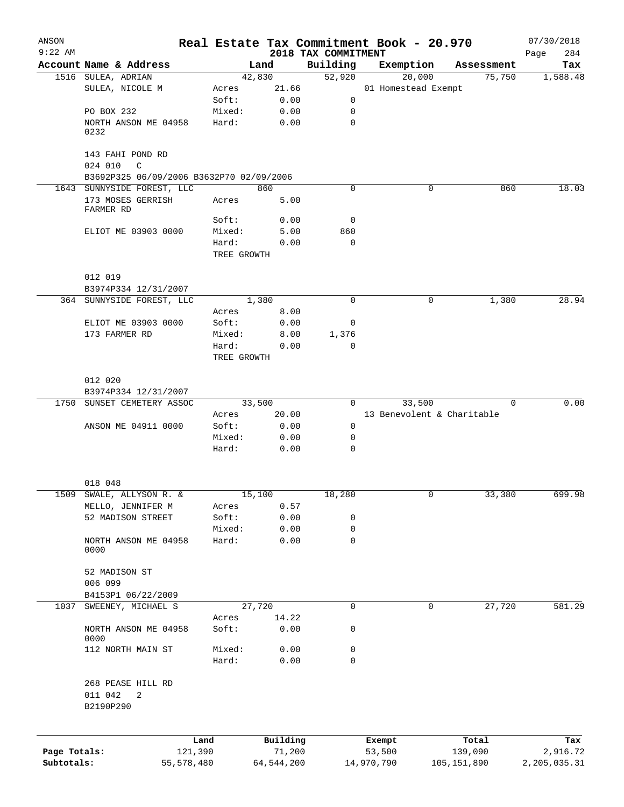| ANSON        |                                              |             |                |                     | Real Estate Tax Commitment Book - 20.970 |                      | 07/30/2018      |
|--------------|----------------------------------------------|-------------|----------------|---------------------|------------------------------------------|----------------------|-----------------|
| $9:22$ AM    |                                              |             |                | 2018 TAX COMMITMENT |                                          |                      | 284<br>Page     |
|              | Account Name & Address<br>1516 SULEA, ADRIAN |             | Land<br>42,830 | Building<br>52,920  | Exemption<br>20,000                      | Assessment<br>75,750 | Tax<br>1,588.48 |
|              | SULEA, NICOLE M                              | Acres       | 21.66          |                     | 01 Homestead Exempt                      |                      |                 |
|              |                                              | Soft:       | 0.00           | 0                   |                                          |                      |                 |
|              | PO BOX 232                                   | Mixed:      | 0.00           | 0                   |                                          |                      |                 |
|              | NORTH ANSON ME 04958                         | Hard:       | 0.00           | $\mathbf 0$         |                                          |                      |                 |
|              | 0232                                         |             |                |                     |                                          |                      |                 |
|              | 143 FAHI POND RD                             |             |                |                     |                                          |                      |                 |
|              | 024 010<br>C                                 |             |                |                     |                                          |                      |                 |
|              | B3692P325 06/09/2006 B3632P70 02/09/2006     |             |                |                     |                                          |                      |                 |
|              | 1643 SUNNYSIDE FOREST, LLC                   |             | 860            | $\Omega$            | 0                                        | 860                  | 18.03           |
|              | 173 MOSES GERRISH<br>FARMER RD               | Acres       | 5.00           |                     |                                          |                      |                 |
|              |                                              | Soft:       | 0.00           | 0                   |                                          |                      |                 |
|              | ELIOT ME 03903 0000                          | Mixed:      | 5.00           | 860                 |                                          |                      |                 |
|              |                                              | Hard:       | 0.00           | $\mathbf 0$         |                                          |                      |                 |
|              |                                              | TREE GROWTH |                |                     |                                          |                      |                 |
|              | 012 019                                      |             |                |                     |                                          |                      |                 |
|              | B3974P334 12/31/2007                         |             |                |                     |                                          |                      |                 |
|              | 364 SUNNYSIDE FOREST, LLC                    |             | 1,380          | 0                   | 0                                        | 1,380                | 28.94           |
|              |                                              | Acres       | 8.00           |                     |                                          |                      |                 |
|              | ELIOT ME 03903 0000                          | Soft:       | 0.00           | 0                   |                                          |                      |                 |
|              | 173 FARMER RD                                | Mixed:      | 8.00           | 1,376               |                                          |                      |                 |
|              |                                              | Hard:       | 0.00           | $\mathbf 0$         |                                          |                      |                 |
|              |                                              | TREE GROWTH |                |                     |                                          |                      |                 |
|              | 012 020                                      |             |                |                     |                                          |                      |                 |
|              | B3974P334 12/31/2007                         |             |                |                     |                                          |                      |                 |
|              | 1750 SUNSET CEMETERY ASSOC                   |             | 33,500         | $\Omega$            | 33,500                                   | $\Omega$             | 0.00            |
|              |                                              | Acres       | 20.00          |                     | 13 Benevolent & Charitable               |                      |                 |
|              | ANSON ME 04911 0000                          | Soft:       | 0.00           | 0                   |                                          |                      |                 |
|              |                                              | Mixed:      | 0.00           | 0                   |                                          |                      |                 |
|              |                                              | Hard:       | 0.00           | $\Omega$            |                                          |                      |                 |
|              |                                              |             |                |                     |                                          |                      |                 |
|              | 018 048                                      |             |                |                     |                                          |                      |                 |
| 1509         | SWALE, ALLYSON R. &                          |             | 15,100         | 18,280              |                                          | 33,380               | 699.98          |
|              | MELLO, JENNIFER M                            | Acres       | 0.57           |                     |                                          |                      |                 |
|              | 52 MADISON STREET                            | Soft:       | 0.00           | 0                   |                                          |                      |                 |
|              |                                              | Mixed:      | 0.00           | 0                   |                                          |                      |                 |
|              | NORTH ANSON ME 04958<br>0000                 | Hard:       | 0.00           | 0                   |                                          |                      |                 |
|              | 52 MADISON ST                                |             |                |                     |                                          |                      |                 |
|              | 006 099                                      |             |                |                     |                                          |                      |                 |
|              | B4153P1 06/22/2009                           |             |                |                     |                                          |                      |                 |
| 1037         | SWEENEY, MICHAEL S                           |             | 27,720         | 0                   | 0                                        | 27,720               | 581.29          |
|              |                                              | Acres       | 14.22          |                     |                                          |                      |                 |
|              | NORTH ANSON ME 04958<br>0000                 | Soft:       | 0.00           | 0                   |                                          |                      |                 |
|              | 112 NORTH MAIN ST                            | Mixed:      | 0.00           | 0                   |                                          |                      |                 |
|              |                                              | Hard:       | 0.00           | 0                   |                                          |                      |                 |
|              | 268 PEASE HILL RD                            |             |                |                     |                                          |                      |                 |
|              | 011 042<br>2<br>B2190P290                    |             |                |                     |                                          |                      |                 |
|              |                                              | Land        | Building       |                     | Exempt                                   | Total                | Tax             |
| Page Totals: |                                              | 121,390     | 71,200         |                     | 53,500                                   | 139,090              | 2,916.72        |
| Subtotals:   | 55,578,480                                   |             | 64, 544, 200   |                     | 14,970,790                               | 105, 151, 890        | 2,205,035.31    |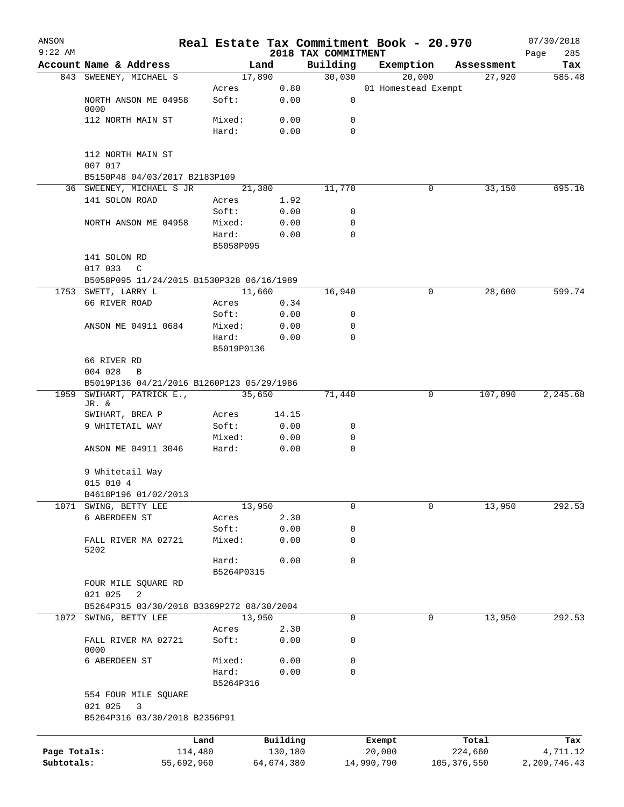| ANSON        |                                           |                    |            |                                 | Real Estate Tax Commitment Book - 20.970 |               | 07/30/2018         |  |
|--------------|-------------------------------------------|--------------------|------------|---------------------------------|------------------------------------------|---------------|--------------------|--|
| $9:22$ AM    | Account Name & Address                    |                    | Land       | 2018 TAX COMMITMENT<br>Building | Exemption                                | Assessment    | 285<br>Page<br>Tax |  |
|              | 843 SWEENEY, MICHAEL S                    |                    | 17,890     | 30,030                          | 20,000                                   | 27,920        | 585.48             |  |
|              |                                           | Acres              | 0.80       |                                 | 01 Homestead Exempt                      |               |                    |  |
|              | NORTH ANSON ME 04958<br>0000              | Soft:              | 0.00       | 0                               |                                          |               |                    |  |
|              | 112 NORTH MAIN ST                         | Mixed:             | 0.00       | 0                               |                                          |               |                    |  |
|              |                                           | Hard:              | 0.00       | $\mathbf 0$                     |                                          |               |                    |  |
|              | 112 NORTH MAIN ST                         |                    |            |                                 |                                          |               |                    |  |
|              | 007 017                                   |                    |            |                                 |                                          |               |                    |  |
|              | B5150P48 04/03/2017 B2183P109             |                    |            |                                 |                                          |               |                    |  |
|              | 36 SWEENEY, MICHAEL S JR                  |                    | 21,380     | 11,770                          | 0                                        | 33,150        | 695.16             |  |
|              | 141 SOLON ROAD                            | Acres              | 1.92       |                                 |                                          |               |                    |  |
|              |                                           | Soft:              | 0.00       | 0                               |                                          |               |                    |  |
|              | NORTH ANSON ME 04958                      | Mixed:             | 0.00       | 0                               |                                          |               |                    |  |
|              |                                           | Hard:              | 0.00       | 0                               |                                          |               |                    |  |
|              | 141 SOLON RD                              | B5058P095          |            |                                 |                                          |               |                    |  |
|              | 017 033<br>$\mathbb{C}$                   |                    |            |                                 |                                          |               |                    |  |
|              | B5058P095 11/24/2015 B1530P328 06/16/1989 |                    |            |                                 |                                          |               |                    |  |
|              | 1753 SWETT, LARRY L                       |                    | 11,660     | 16,940                          | 0                                        | 28,600        | 599.74             |  |
|              | 66 RIVER ROAD                             | Acres              | 0.34       |                                 |                                          |               |                    |  |
|              |                                           | Soft:              | 0.00       | 0                               |                                          |               |                    |  |
|              | ANSON ME 04911 0684                       | Mixed:             | 0.00       | 0                               |                                          |               |                    |  |
|              |                                           | Hard:              | 0.00       | 0                               |                                          |               |                    |  |
|              |                                           | B5019P0136         |            |                                 |                                          |               |                    |  |
|              | 66 RIVER RD                               |                    |            |                                 |                                          |               |                    |  |
|              | 004 028<br>B                              |                    |            |                                 |                                          |               |                    |  |
|              | B5019P136 04/21/2016 B1260P123 05/29/1986 |                    |            |                                 |                                          |               |                    |  |
| 1959         | SWIHART, PATRICK E.,<br>JR. &             |                    | 35,650     | 71,440                          | 0                                        | 107,090       | 2,245.68           |  |
|              | SWIHART, BREA P                           | Acres              | 14.15      |                                 |                                          |               |                    |  |
|              | 9 WHITETAIL WAY                           | Soft:              | 0.00       | 0                               |                                          |               |                    |  |
|              |                                           | Mixed:             | 0.00       | 0                               |                                          |               |                    |  |
|              | ANSON ME 04911 3046                       | Hard:              | 0.00       | 0                               |                                          |               |                    |  |
|              | 9 Whitetail Way                           |                    |            |                                 |                                          |               |                    |  |
|              | 015 010 4                                 |                    |            |                                 |                                          |               |                    |  |
|              | B4618P196 01/02/2013                      |                    |            |                                 |                                          |               |                    |  |
| 1071         | SWING, BETTY LEE                          |                    | 13,950     | 0                               | 0                                        | 13,950        | 292.53             |  |
|              | 6 ABERDEEN ST                             | Acres              | 2.30       |                                 |                                          |               |                    |  |
|              |                                           | Soft:              | 0.00       | 0                               |                                          |               |                    |  |
|              | FALL RIVER MA 02721<br>5202               | Mixed:             | 0.00       | 0                               |                                          |               |                    |  |
|              |                                           | Hard:              | 0.00       | $\mathbf 0$                     |                                          |               |                    |  |
|              |                                           | B5264P0315         |            |                                 |                                          |               |                    |  |
|              | FOUR MILE SQUARE RD                       |                    |            |                                 |                                          |               |                    |  |
|              | 021 025<br>2                              |                    |            |                                 |                                          |               |                    |  |
|              | B5264P315 03/30/2018 B3369P272 08/30/2004 |                    |            |                                 |                                          |               |                    |  |
|              | 1072 SWING, BETTY LEE                     |                    | 13,950     | 0                               | 0                                        | 13,950        | 292.53             |  |
|              |                                           | Acres              | 2.30       |                                 |                                          |               |                    |  |
|              | FALL RIVER MA 02721<br>0000               | Soft:              | 0.00       | 0                               |                                          |               |                    |  |
|              | 6 ABERDEEN ST                             | Mixed:             | 0.00       | 0                               |                                          |               |                    |  |
|              |                                           | Hard:<br>B5264P316 | 0.00       | $\mathbf 0$                     |                                          |               |                    |  |
|              | 554 FOUR MILE SQUARE                      |                    |            |                                 |                                          |               |                    |  |
|              | 021 025<br>3                              |                    |            |                                 |                                          |               |                    |  |
|              | B5264P316 03/30/2018 B2356P91             |                    |            |                                 |                                          |               |                    |  |
|              |                                           | Land               | Building   |                                 | Exempt                                   | Total         | Tax                |  |
| Page Totals: |                                           | 114,480            | 130,180    |                                 | 20,000                                   | 224,660       | 4,711.12           |  |
| Subtotals:   | 55,692,960                                |                    | 64,674,380 |                                 | 14,990,790                               | 105, 376, 550 | 2,209,746.43       |  |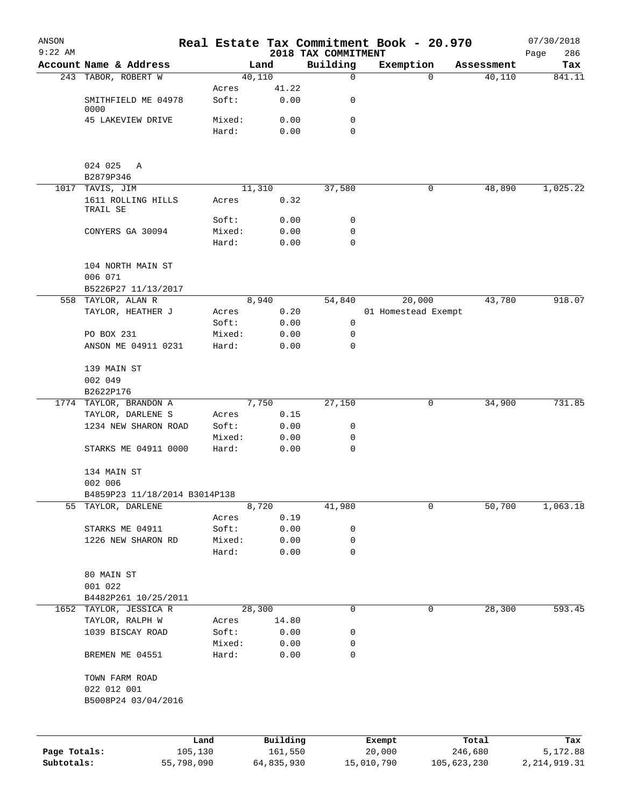| ANSON<br>$9:22$ AM |                                       |            |        |                | 2018 TAX COMMITMENT | Real Estate Tax Commitment Book - 20.970 |             |            | 07/30/2018<br>286<br>Page |
|--------------------|---------------------------------------|------------|--------|----------------|---------------------|------------------------------------------|-------------|------------|---------------------------|
|                    | Account Name & Address                |            |        | Land           | Building            | Exemption                                |             | Assessment | Tax                       |
|                    | 243 TABOR, ROBERT W                   |            |        | 40,110         | $\mathbf 0$         |                                          | $\Omega$    | 40,110     | 841.11                    |
|                    |                                       |            | Acres  | 41.22          |                     |                                          |             |            |                           |
|                    | SMITHFIELD ME 04978                   |            | Soft:  | 0.00           | 0                   |                                          |             |            |                           |
|                    | 0000<br>45 LAKEVIEW DRIVE             |            | Mixed: | 0.00           | 0                   |                                          |             |            |                           |
|                    |                                       |            | Hard:  | 0.00           | 0                   |                                          |             |            |                           |
|                    |                                       |            |        |                |                     |                                          |             |            |                           |
|                    |                                       |            |        |                |                     |                                          |             |            |                           |
|                    | 024 025<br>A                          |            |        |                |                     |                                          |             |            |                           |
|                    | B2879P346                             |            |        |                |                     |                                          | 0           |            | 1,025.22                  |
|                    | 1017 TAVIS, JIM<br>1611 ROLLING HILLS |            | Acres  | 11,310<br>0.32 | 37,580              |                                          |             | 48,890     |                           |
|                    | TRAIL SE                              |            |        |                |                     |                                          |             |            |                           |
|                    |                                       |            | Soft:  | 0.00           | 0                   |                                          |             |            |                           |
|                    | CONYERS GA 30094                      |            | Mixed: | 0.00           | 0                   |                                          |             |            |                           |
|                    |                                       |            | Hard:  | 0.00           | 0                   |                                          |             |            |                           |
|                    | 104 NORTH MAIN ST                     |            |        |                |                     |                                          |             |            |                           |
|                    | 006 071                               |            |        |                |                     |                                          |             |            |                           |
|                    | B5226P27 11/13/2017                   |            |        |                |                     |                                          |             |            |                           |
|                    | 558 TAYLOR, ALAN R                    |            |        | 8,940          | 54,840              | 20,000                                   |             | 43,780     | 918.07                    |
|                    | TAYLOR, HEATHER J                     |            | Acres  | 0.20           |                     | 01 Homestead Exempt                      |             |            |                           |
|                    |                                       |            | Soft:  | 0.00           | 0                   |                                          |             |            |                           |
|                    | PO BOX 231                            |            | Mixed: | 0.00           | 0                   |                                          |             |            |                           |
|                    | ANSON ME 04911 0231                   |            | Hard:  | 0.00           | 0                   |                                          |             |            |                           |
|                    |                                       |            |        |                |                     |                                          |             |            |                           |
|                    | 139 MAIN ST<br>002 049                |            |        |                |                     |                                          |             |            |                           |
|                    | B2622P176                             |            |        |                |                     |                                          |             |            |                           |
|                    | 1774 TAYLOR, BRANDON A                |            |        | 7,750          | 27,150              |                                          | 0           | 34,900     | 731.85                    |
|                    | TAYLOR, DARLENE S                     |            | Acres  | 0.15           |                     |                                          |             |            |                           |
|                    | 1234 NEW SHARON ROAD                  |            | Soft:  | 0.00           | 0                   |                                          |             |            |                           |
|                    |                                       |            | Mixed: | 0.00           | 0                   |                                          |             |            |                           |
|                    | STARKS ME 04911 0000                  |            | Hard:  | 0.00           | $\mathbf 0$         |                                          |             |            |                           |
|                    | 134 MAIN ST                           |            |        |                |                     |                                          |             |            |                           |
|                    | 002 006                               |            |        |                |                     |                                          |             |            |                           |
|                    | B4859P23 11/18/2014 B3014P138         |            |        |                |                     |                                          |             |            |                           |
|                    | 55 TAYLOR, DARLENE                    |            |        | 8,720          | 41,980              |                                          | 0           | 50,700     | 1,063.18                  |
|                    |                                       |            | Acres  | 0.19           |                     |                                          |             |            |                           |
|                    | STARKS ME 04911                       |            | Soft:  | 0.00           | 0                   |                                          |             |            |                           |
|                    | 1226 NEW SHARON RD                    |            | Mixed: | 0.00           | 0                   |                                          |             |            |                           |
|                    |                                       |            | Hard:  | 0.00           | 0                   |                                          |             |            |                           |
|                    | 80 MAIN ST                            |            |        |                |                     |                                          |             |            |                           |
|                    | 001 022                               |            |        |                |                     |                                          |             |            |                           |
|                    | B4482P261 10/25/2011                  |            |        |                |                     |                                          |             |            |                           |
|                    | 1652 TAYLOR, JESSICA R                |            |        | 28,300         | 0                   |                                          | 0           | 28,300     | 593.45                    |
|                    | TAYLOR, RALPH W                       |            | Acres  | 14.80          |                     |                                          |             |            |                           |
|                    | 1039 BISCAY ROAD                      |            | Soft:  | 0.00           | 0                   |                                          |             |            |                           |
|                    |                                       |            | Mixed: | 0.00           | 0                   |                                          |             |            |                           |
|                    | BREMEN ME 04551                       |            | Hard:  | 0.00           | 0                   |                                          |             |            |                           |
|                    |                                       |            |        |                |                     |                                          |             |            |                           |
|                    | TOWN FARM ROAD<br>022 012 001         |            |        |                |                     |                                          |             |            |                           |
|                    | B5008P24 03/04/2016                   |            |        |                |                     |                                          |             |            |                           |
|                    |                                       |            |        |                |                     |                                          |             |            |                           |
|                    |                                       |            |        |                |                     |                                          |             |            |                           |
|                    |                                       | Land       |        | Building       |                     | Exempt                                   |             | Total      | Tax                       |
| Page Totals:       |                                       | 105,130    |        | 161,550        |                     | 20,000                                   |             | 246,680    | 5,172.88                  |
| Subtotals:         |                                       | 55,798,090 |        | 64,835,930     |                     | 15,010,790                               | 105,623,230 |            | 2, 214, 919.31            |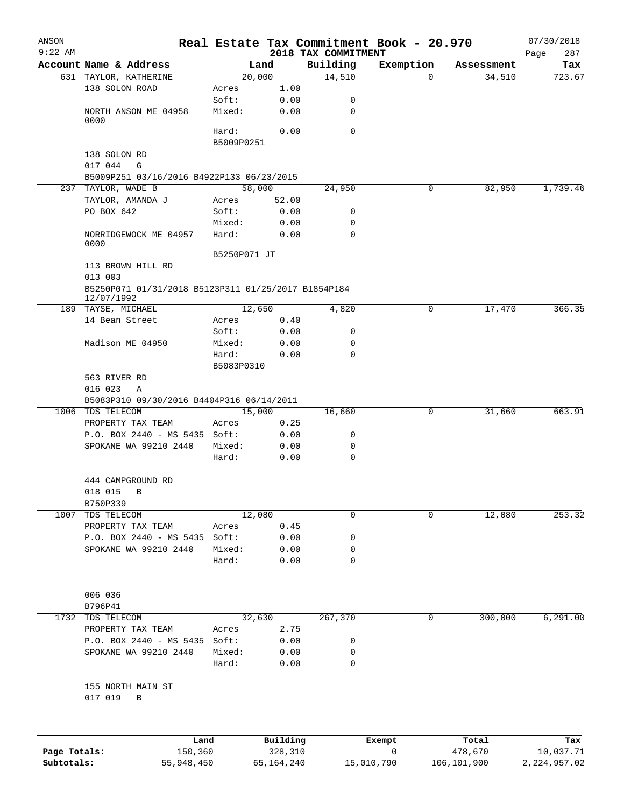| ANSON        |                                                     |                 |               | Real Estate Tax Commitment Book - 20.970 |            |   |                      | 07/30/2018     |  |
|--------------|-----------------------------------------------------|-----------------|---------------|------------------------------------------|------------|---|----------------------|----------------|--|
| $9:22$ AM    | Account Name & Address                              |                 |               | 2018 TAX COMMITMENT                      |            |   |                      | 287<br>Page    |  |
|              | 631 TAYLOR, KATHERINE                               | 20,000          | Land          | Building<br>14,510                       | Exemption  | 0 | Assessment<br>34,510 | Tax<br>723.67  |  |
|              | 138 SOLON ROAD                                      | Acres           | 1.00          |                                          |            |   |                      |                |  |
|              |                                                     | Soft:           | 0.00          | 0                                        |            |   |                      |                |  |
|              | NORTH ANSON ME 04958                                | Mixed:          | 0.00          | 0                                        |            |   |                      |                |  |
|              | 0000                                                |                 |               |                                          |            |   |                      |                |  |
|              |                                                     | Hard:           | 0.00          | $\mathbf 0$                              |            |   |                      |                |  |
|              |                                                     | B5009P0251      |               |                                          |            |   |                      |                |  |
|              | 138 SOLON RD                                        |                 |               |                                          |            |   |                      |                |  |
|              | 017 044<br>G                                        |                 |               |                                          |            |   |                      |                |  |
|              | B5009P251 03/16/2016 B4922P133 06/23/2015           |                 |               |                                          |            |   |                      |                |  |
|              | 237 TAYLOR, WADE B                                  | 58,000          |               | 24,950                                   |            | 0 | 82,950               | 1,739.46       |  |
|              | TAYLOR, AMANDA J<br>PO BOX 642                      | Acres<br>Soft:  | 52.00<br>0.00 | 0                                        |            |   |                      |                |  |
|              |                                                     | Mixed:          | 0.00          | 0                                        |            |   |                      |                |  |
|              | NORRIDGEWOCK ME 04957                               | Hard:           | 0.00          | 0                                        |            |   |                      |                |  |
|              | 0000                                                |                 |               |                                          |            |   |                      |                |  |
|              |                                                     | B5250P071 JT    |               |                                          |            |   |                      |                |  |
|              | 113 BROWN HILL RD                                   |                 |               |                                          |            |   |                      |                |  |
|              | 013 003                                             |                 |               |                                          |            |   |                      |                |  |
|              | B5250P071 01/31/2018 B5123P311 01/25/2017 B1854P184 |                 |               |                                          |            |   |                      |                |  |
|              | 12/07/1992                                          |                 |               |                                          |            |   |                      |                |  |
|              | 189 TAYSE, MICHAEL                                  | 12,650          |               | 4,820                                    |            | 0 | 17,470               | 366.35         |  |
|              | 14 Bean Street                                      | Acres<br>Soft:  | 0.40<br>0.00  | 0                                        |            |   |                      |                |  |
|              | Madison ME 04950                                    | Mixed:          | 0.00          | 0                                        |            |   |                      |                |  |
|              |                                                     | Hard:           | 0.00          | $\Omega$                                 |            |   |                      |                |  |
|              |                                                     |                 |               |                                          |            |   |                      |                |  |
|              | B5083P0310<br>563 RIVER RD                          |                 |               |                                          |            |   |                      |                |  |
|              | 016 023<br>Α                                        |                 |               |                                          |            |   |                      |                |  |
|              | B5083P310 09/30/2016 B4404P316 06/14/2011           |                 |               |                                          |            |   |                      |                |  |
|              | 1006 TDS TELECOM                                    | 15,000          |               | 16,660                                   |            | 0 | 31,660               | 663.91         |  |
|              | PROPERTY TAX TEAM                                   | Acres           | 0.25          |                                          |            |   |                      |                |  |
|              | P.O. BOX 2440 - MS 5435 Soft:                       |                 | 0.00          | 0                                        |            |   |                      |                |  |
|              | SPOKANE WA 99210 2440                               | Mixed:          | 0.00          | 0                                        |            |   |                      |                |  |
|              |                                                     | Hard:           | 0.00          | $\mathbf 0$                              |            |   |                      |                |  |
|              |                                                     |                 |               |                                          |            |   |                      |                |  |
|              | 444 CAMPGROUND RD                                   |                 |               |                                          |            |   |                      |                |  |
|              | 018 015<br>B                                        |                 |               |                                          |            |   |                      |                |  |
|              | B750P339                                            |                 |               |                                          |            |   |                      |                |  |
| 1007         | TDS TELECOM                                         | 12,080          |               | 0                                        |            | 0 | 12,080               | 253.32         |  |
|              | PROPERTY TAX TEAM                                   | Acres           | 0.45          |                                          |            |   |                      |                |  |
|              | P.O. BOX 2440 - MS 5435                             | Soft:           | 0.00          | 0                                        |            |   |                      |                |  |
|              | SPOKANE WA 99210 2440                               | Mixed:<br>Hard: | 0.00<br>0.00  | 0<br>$\mathbf 0$                         |            |   |                      |                |  |
|              |                                                     |                 |               |                                          |            |   |                      |                |  |
|              |                                                     |                 |               |                                          |            |   |                      |                |  |
|              | 006 036                                             |                 |               |                                          |            |   |                      |                |  |
|              | B796P41                                             |                 |               |                                          |            |   |                      |                |  |
|              | 1732 TDS TELECOM                                    | 32,630          |               | 267,370                                  |            | 0 | 300,000              | 6, 291.00      |  |
|              | PROPERTY TAX TEAM                                   | Acres           | 2.75          |                                          |            |   |                      |                |  |
|              | P.O. BOX 2440 - MS 5435                             | Soft:           | 0.00          | 0                                        |            |   |                      |                |  |
|              | SPOKANE WA 99210 2440                               | Mixed:          | 0.00          | 0                                        |            |   |                      |                |  |
|              |                                                     | Hard:           | 0.00          | 0                                        |            |   |                      |                |  |
|              |                                                     |                 |               |                                          |            |   |                      |                |  |
|              | 155 NORTH MAIN ST                                   |                 |               |                                          |            |   |                      |                |  |
|              | 017 019<br>B                                        |                 |               |                                          |            |   |                      |                |  |
|              |                                                     |                 |               |                                          |            |   |                      |                |  |
|              | Land                                                |                 | Building      |                                          | Exempt     |   | Total                | Tax            |  |
| Page Totals: | 150,360                                             |                 | 328,310       |                                          | 0          |   | 478,670              | 10,037.71      |  |
| Subtotals:   | 55,948,450                                          |                 | 65, 164, 240  |                                          | 15,010,790 |   | 106,101,900          | 2, 224, 957.02 |  |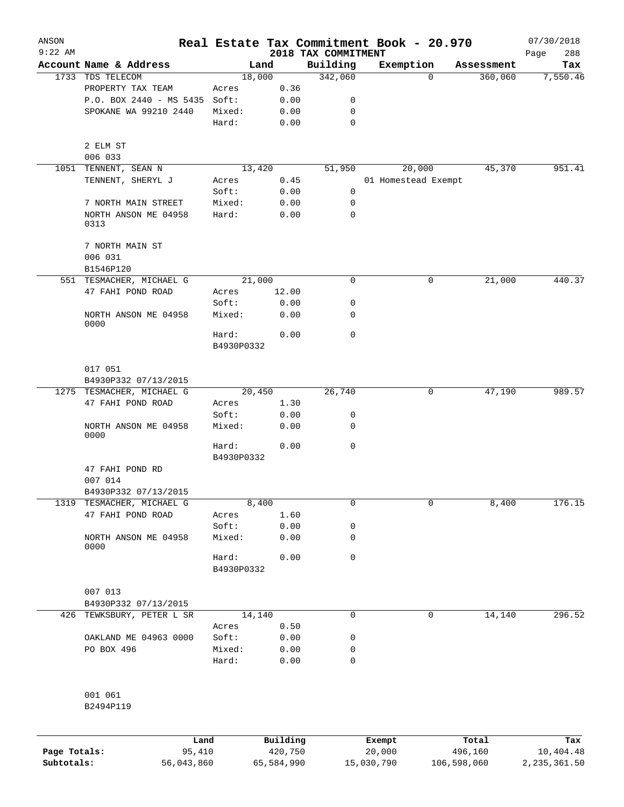| ANSON        |                                 |                     |                     |                                 | Real Estate Tax Commitment Book - 20.970 |                  | 07/30/2018         |
|--------------|---------------------------------|---------------------|---------------------|---------------------------------|------------------------------------------|------------------|--------------------|
| $9:22$ AM    | Account Name & Address          |                     | Land                | 2018 TAX COMMITMENT<br>Building | Exemption                                | Assessment       | 288<br>Page<br>Tax |
|              | 1733 TDS TELECOM                | 18,000              |                     | 342,060                         | $\Omega$                                 | 360,060          | 7,550.46           |
|              | PROPERTY TAX TEAM               | Acres               | 0.36                |                                 |                                          |                  |                    |
|              | P.O. BOX 2440 - MS 5435         | Soft:               | 0.00                | 0                               |                                          |                  |                    |
|              | SPOKANE WA 99210 2440           | Mixed:              | 0.00                | 0                               |                                          |                  |                    |
|              |                                 | Hard:               | 0.00                | $\mathbf 0$                     |                                          |                  |                    |
|              | 2 ELM ST                        |                     |                     |                                 |                                          |                  |                    |
|              | 006 033                         |                     |                     |                                 |                                          |                  |                    |
| 1051         | TENNENT, SEAN N                 | 13,420              |                     | 51,950                          | 20,000                                   | 45,370           | 951.41             |
|              | TENNENT, SHERYL J               | Acres               | 0.45                |                                 | 01 Homestead Exempt                      |                  |                    |
|              |                                 | Soft:               | 0.00                | 0                               |                                          |                  |                    |
|              | 7 NORTH MAIN STREET             | Mixed:              | 0.00                | 0                               |                                          |                  |                    |
|              | NORTH ANSON ME 04958<br>0313    | Hard:               | 0.00                | $\mathbf 0$                     |                                          |                  |                    |
|              | 7 NORTH MAIN ST                 |                     |                     |                                 |                                          |                  |                    |
|              | 006 031<br>B1546P120            |                     |                     |                                 |                                          |                  |                    |
|              | 551 TESMACHER, MICHAEL G        | 21,000              |                     | $\mathbf 0$                     | 0                                        | 21,000           | 440.37             |
|              | 47 FAHI POND ROAD               | Acres               | 12.00               |                                 |                                          |                  |                    |
|              |                                 | Soft:               | 0.00                | 0                               |                                          |                  |                    |
|              | NORTH ANSON ME 04958<br>0000    | Mixed:              | 0.00                | 0                               |                                          |                  |                    |
|              |                                 | Hard:               | 0.00                | $\mathbf 0$                     |                                          |                  |                    |
|              |                                 | B4930P0332          |                     |                                 |                                          |                  |                    |
|              | 017 051                         |                     |                     |                                 |                                          |                  |                    |
|              | B4930P332 07/13/2015            |                     |                     |                                 |                                          |                  |                    |
|              | 1275 TESMACHER, MICHAEL G       | 20,450              |                     | 26,740                          | 0                                        | 47,190           | 989.57             |
|              | 47 FAHI POND ROAD               | Acres               | 1.30                |                                 |                                          |                  |                    |
|              |                                 | Soft:               | 0.00                | 0                               |                                          |                  |                    |
|              | NORTH ANSON ME 04958<br>0000    | Mixed:              | 0.00                | 0                               |                                          |                  |                    |
|              |                                 | Hard:<br>B4930P0332 | 0.00                | $\mathbf 0$                     |                                          |                  |                    |
|              | 47 FAHI POND RD                 |                     |                     |                                 |                                          |                  |                    |
|              | 007 014                         |                     |                     |                                 |                                          |                  |                    |
|              | B4930P332 07/13/2015            |                     |                     |                                 |                                          |                  |                    |
| 1319         | TESMACHER, MICHAEL G            | 8,400               |                     | 0                               | 0                                        | 8,400            | 176.15             |
|              | 47 FAHI POND ROAD               | Acres               | 1.60                |                                 |                                          |                  |                    |
|              |                                 | Soft:               | 0.00                | 0                               |                                          |                  |                    |
|              | NORTH ANSON ME 04958<br>0000    | Mixed:              | 0.00                | 0                               |                                          |                  |                    |
|              |                                 | Hard:<br>B4930P0332 | 0.00                | 0                               |                                          |                  |                    |
|              |                                 |                     |                     |                                 |                                          |                  |                    |
|              | 007 013<br>B4930P332 07/13/2015 |                     |                     |                                 |                                          |                  |                    |
| 426          | TEWKSBURY, PETER L SR           | 14,140              |                     | $\mathbf 0$                     | 0                                        | 14,140           | 296.52             |
|              |                                 | Acres               | 0.50                |                                 |                                          |                  |                    |
|              | OAKLAND ME 04963 0000           | Soft:               | 0.00                | 0                               |                                          |                  |                    |
|              | PO BOX 496                      | Mixed:              | 0.00                | 0                               |                                          |                  |                    |
|              |                                 | Hard:               | 0.00                | 0                               |                                          |                  |                    |
|              | 001 061                         |                     |                     |                                 |                                          |                  |                    |
|              | B2494P119                       |                     |                     |                                 |                                          |                  |                    |
|              |                                 |                     |                     |                                 |                                          |                  |                    |
| Page Totals: | Land<br>95,410                  |                     | Building<br>420,750 |                                 | Exempt<br>20,000                         | Total<br>496,160 | Tax<br>10,404.48   |

**Subtotals:** 56,043,860 65,584,990 15,030,790 106,598,060 2,235,361.50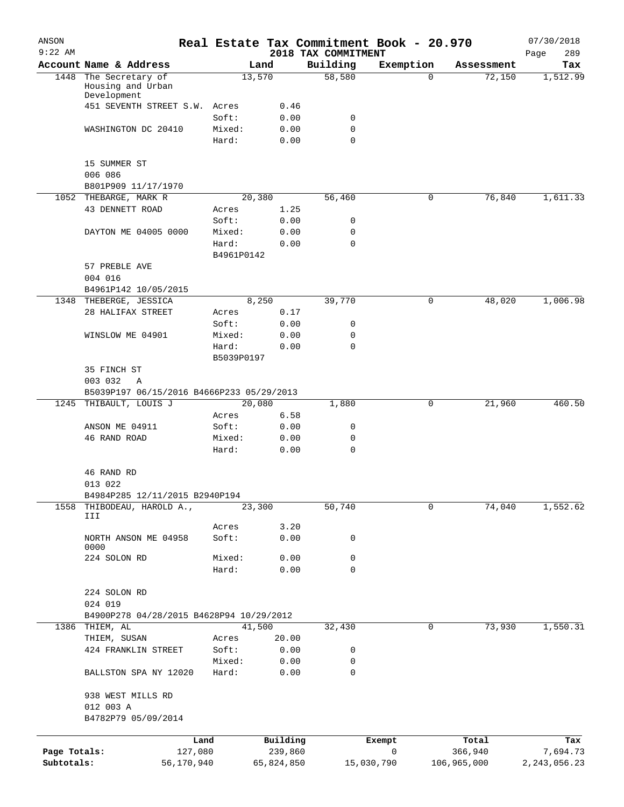| ANSON<br>$9:22$ AM |                                                       |                     |            | 2018 TAX COMMITMENT | Real Estate Tax Commitment Book - 20.970 |             | 07/30/2018<br>289<br>Page |
|--------------------|-------------------------------------------------------|---------------------|------------|---------------------|------------------------------------------|-------------|---------------------------|
|                    | Account Name & Address                                |                     | Land       | Building            | Exemption                                | Assessment  | Tax                       |
| 1448               | The Secretary of<br>Housing and Urban                 |                     | 13,570     | 58,580              | 0                                        | 72,150      | 1,512.99                  |
|                    | Development<br>451 SEVENTH STREET S.W.                | Acres               | 0.46       |                     |                                          |             |                           |
|                    |                                                       | Soft:               | 0.00       | 0                   |                                          |             |                           |
|                    | WASHINGTON DC 20410                                   | Mixed:              | 0.00       | 0                   |                                          |             |                           |
|                    |                                                       | Hard:               | 0.00       | $\mathbf 0$         |                                          |             |                           |
|                    | 15 SUMMER ST<br>006 086                               |                     |            |                     |                                          |             |                           |
|                    | B801P909 11/17/1970                                   |                     |            |                     |                                          |             |                           |
|                    | 1052 THEBARGE, MARK R                                 |                     | 20,380     | 56,460              | 0                                        | 76,840      | 1,611.33                  |
|                    | 43 DENNETT ROAD                                       | Acres               | 1.25       |                     |                                          |             |                           |
|                    |                                                       | Soft:               | 0.00       | 0                   |                                          |             |                           |
|                    | DAYTON ME 04005 0000                                  | Mixed:              | 0.00       | 0                   |                                          |             |                           |
|                    |                                                       | Hard:<br>B4961P0142 | 0.00       | $\mathbf 0$         |                                          |             |                           |
|                    | 57 PREBLE AVE                                         |                     |            |                     |                                          |             |                           |
|                    | 004 016                                               |                     |            |                     |                                          |             |                           |
|                    | B4961P142 10/05/2015                                  |                     |            |                     |                                          |             |                           |
|                    | 1348 THEBERGE, JESSICA                                |                     | 8,250      | 39,770              | 0                                        | 48,020      | 1,006.98                  |
|                    | 28 HALIFAX STREET                                     | Acres               | 0.17       |                     |                                          |             |                           |
|                    |                                                       | Soft:               | 0.00       | 0                   |                                          |             |                           |
|                    | WINSLOW ME 04901                                      | Mixed:              | 0.00       | 0                   |                                          |             |                           |
|                    |                                                       | Hard:               | 0.00       | $\mathbf 0$         |                                          |             |                           |
|                    |                                                       | B5039P0197          |            |                     |                                          |             |                           |
|                    | 35 FINCH ST<br>003 032<br>Α                           |                     |            |                     |                                          |             |                           |
|                    | B5039P197 06/15/2016 B4666P233 05/29/2013             |                     |            |                     |                                          |             |                           |
| 1245               | THIBAULT, LOUIS J                                     |                     | 20,080     | 1,880               | 0                                        | 21,960      | 460.50                    |
|                    |                                                       | Acres               | 6.58       |                     |                                          |             |                           |
|                    | ANSON ME 04911                                        | Soft:               | 0.00       | 0                   |                                          |             |                           |
|                    | 46 RAND ROAD                                          | Mixed:              | 0.00       | $\mathbf 0$         |                                          |             |                           |
|                    |                                                       | Hard:               | 0.00       | $\mathbf 0$         |                                          |             |                           |
|                    | 46 RAND RD<br>013 022                                 |                     |            |                     |                                          |             |                           |
|                    | B4984P285 12/11/2015 B2940P194                        |                     |            |                     |                                          |             |                           |
| 1558               | THIBODEAU, HAROLD A.,                                 |                     | 23,300     | 50,740              | 0                                        | 74,040      | 1,552.62                  |
|                    | III                                                   |                     |            |                     |                                          |             |                           |
|                    |                                                       | Acres               | 3.20       |                     |                                          |             |                           |
|                    | NORTH ANSON ME 04958<br>0000                          | Soft:               | 0.00       | 0                   |                                          |             |                           |
|                    | 224 SOLON RD                                          | Mixed:              | 0.00       | 0                   |                                          |             |                           |
|                    |                                                       | Hard:               | 0.00       | $\mathbf 0$         |                                          |             |                           |
|                    | 224 SOLON RD                                          |                     |            |                     |                                          |             |                           |
|                    | 024 019                                               |                     |            |                     |                                          |             |                           |
| 1386               | B4900P278 04/28/2015 B4628P94 10/29/2012<br>THIEM, AL |                     | 41,500     | 32,430              | 0                                        | 73,930      | 1,550.31                  |
|                    | THIEM, SUSAN                                          | Acres               | 20.00      |                     |                                          |             |                           |
|                    | 424 FRANKLIN STREET                                   | Soft:               | 0.00       | 0                   |                                          |             |                           |
|                    |                                                       | Mixed:              | 0.00       | 0                   |                                          |             |                           |
|                    | BALLSTON SPA NY 12020                                 | Hard:               | 0.00       | $\mathbf 0$         |                                          |             |                           |
|                    | 938 WEST MILLS RD<br>012 003 A                        |                     |            |                     |                                          |             |                           |
|                    | B4782P79 05/09/2014                                   |                     |            |                     |                                          |             |                           |
|                    |                                                       | Land                | Building   |                     | Exempt                                   | Total       | Tax                       |
| Page Totals:       | 127,080                                               |                     | 239,860    |                     | 0                                        | 366,940     | 7,694.73                  |
| Subtotals:         | 56,170,940                                            |                     | 65,824,850 |                     | 15,030,790                               | 106,965,000 | 2, 243, 056.23            |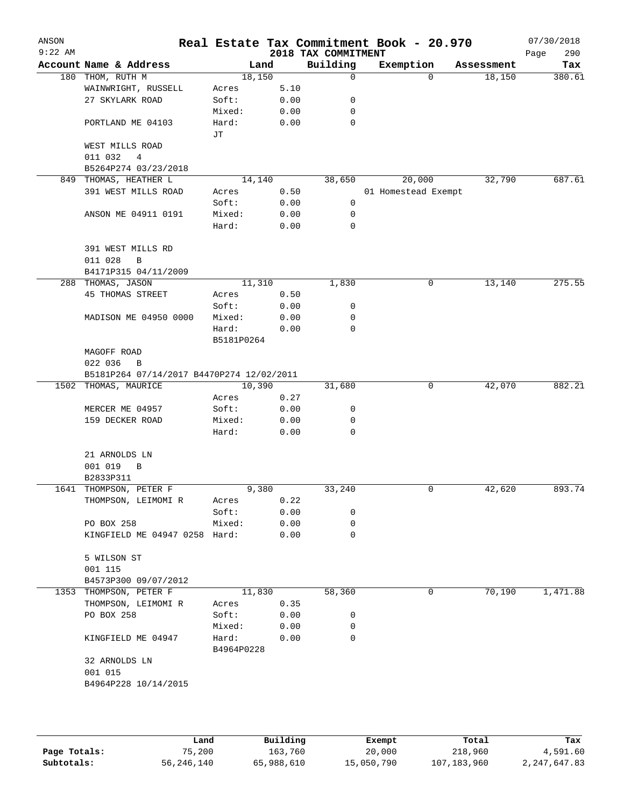| $9:22$ AM |                                           |                     |      | 2018 TAX COMMITMENT | Real Estate Tax Commitment Book - 20.970 |            | 07/30/2018<br>290<br>Page |
|-----------|-------------------------------------------|---------------------|------|---------------------|------------------------------------------|------------|---------------------------|
|           | Account Name & Address                    | Land                |      | Building            | Exemption                                | Assessment | Tax                       |
|           | 180 THOM, RUTH M                          | 18,150              |      | 0                   | $\Omega$                                 | 18,150     | 380.61                    |
|           | WAINWRIGHT, RUSSELL                       | Acres               | 5.10 |                     |                                          |            |                           |
|           | 27 SKYLARK ROAD                           | Soft:               | 0.00 | 0                   |                                          |            |                           |
|           |                                           | Mixed:              | 0.00 | 0                   |                                          |            |                           |
|           | PORTLAND ME 04103                         | Hard:               | 0.00 | $\mathbf 0$         |                                          |            |                           |
|           |                                           | JТ                  |      |                     |                                          |            |                           |
|           | WEST MILLS ROAD                           |                     |      |                     |                                          |            |                           |
|           | 011 032<br>4                              |                     |      |                     |                                          |            |                           |
|           | B5264P274 03/23/2018                      |                     |      |                     |                                          |            |                           |
|           | 849 THOMAS, HEATHER L                     | 14,140              |      | 38,650              | 20,000                                   | 32,790     | 687.61                    |
|           | 391 WEST MILLS ROAD                       | Acres               | 0.50 |                     | 01 Homestead Exempt                      |            |                           |
|           |                                           | Soft:               | 0.00 | 0                   |                                          |            |                           |
|           | ANSON ME 04911 0191                       | Mixed:              | 0.00 | 0                   |                                          |            |                           |
|           |                                           | Hard:               | 0.00 | 0                   |                                          |            |                           |
|           | 391 WEST MILLS RD                         |                     |      |                     |                                          |            |                           |
|           | 011 028<br>B                              |                     |      |                     |                                          |            |                           |
|           | B4171P315 04/11/2009                      |                     |      |                     |                                          |            |                           |
|           | 288 THOMAS, JASON                         | 11,310              |      | 1,830               | 0                                        | 13,140     | 275.55                    |
|           | 45 THOMAS STREET                          | Acres               | 0.50 |                     |                                          |            |                           |
|           |                                           | Soft:               | 0.00 | 0                   |                                          |            |                           |
|           | MADISON ME 04950 0000                     | Mixed:              | 0.00 | 0                   |                                          |            |                           |
|           |                                           | Hard:               | 0.00 | 0                   |                                          |            |                           |
|           |                                           | B5181P0264          |      |                     |                                          |            |                           |
|           | MAGOFF ROAD                               |                     |      |                     |                                          |            |                           |
|           | 022 036<br>B                              |                     |      |                     |                                          |            |                           |
|           | B5181P264 07/14/2017 B4470P274 12/02/2011 |                     |      |                     |                                          |            |                           |
|           | 1502 THOMAS, MAURICE                      | 10,390              |      | 31,680              | 0                                        | 42,070     | 882.21                    |
|           |                                           | Acres               | 0.27 |                     |                                          |            |                           |
|           | MERCER ME 04957                           | Soft:               | 0.00 | 0                   |                                          |            |                           |
|           | 159 DECKER ROAD                           | Mixed:              | 0.00 | 0                   |                                          |            |                           |
|           |                                           | Hard:               | 0.00 | 0                   |                                          |            |                           |
|           | 21 ARNOLDS LN                             |                     |      |                     |                                          |            |                           |
|           | 001 019<br>B                              |                     |      |                     |                                          |            |                           |
|           | B2833P311                                 |                     |      |                     |                                          |            |                           |
|           | 1641 THOMPSON, PETER F                    | 9,380               |      | 33,240              | 0                                        | 42,620     | 893.74                    |
|           | THOMPSON, LEIMOMI R                       | Acres               | 0.22 |                     |                                          |            |                           |
|           |                                           | Soft:               | 0.00 | 0                   |                                          |            |                           |
|           | PO BOX 258                                | Mixed:              | 0.00 | 0                   |                                          |            |                           |
|           | KINGFIELD ME 04947 0258 Hard:             |                     | 0.00 | 0                   |                                          |            |                           |
|           | 5 WILSON ST                               |                     |      |                     |                                          |            |                           |
|           | 001 115                                   |                     |      |                     |                                          |            |                           |
|           | B4573P300 09/07/2012                      |                     |      |                     |                                          |            |                           |
|           | 1353 THOMPSON, PETER F                    | 11,830              |      | 58,360              | 0                                        | 70,190     | 1,471.88                  |
|           | THOMPSON, LEIMOMI R                       | Acres               | 0.35 |                     |                                          |            |                           |
|           | PO BOX 258                                | Soft:               | 0.00 | 0                   |                                          |            |                           |
|           |                                           | Mixed:              | 0.00 | 0                   |                                          |            |                           |
|           | KINGFIELD ME 04947                        | Hard:<br>B4964P0228 | 0.00 | 0                   |                                          |            |                           |
|           | 32 ARNOLDS LN                             |                     |      |                     |                                          |            |                           |
|           |                                           |                     |      |                     |                                          |            |                           |
|           |                                           |                     |      |                     |                                          |            |                           |
|           | 001 015<br>B4964P228 10/14/2015           |                     |      |                     |                                          |            |                           |

|              | Land       | Building   | Exempt     | Total       | Tax          |
|--------------|------------|------------|------------|-------------|--------------|
| Page Totals: | 75,200     | 163,760    | 20,000     | 218,960     | 4,591.60     |
| Subtotals:   | 56,246,140 | 65,988,610 | 15,050,790 | 107,183,960 | 2,247,647.83 |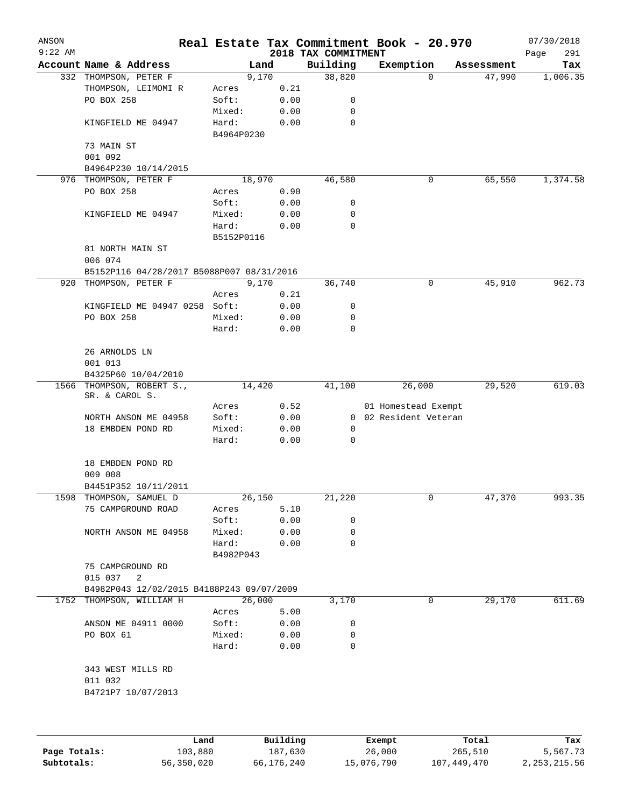| ANSON     |                                              |               |      |                     | Real Estate Tax Commitment Book - 20.970 |                      | 07/30/2018      |
|-----------|----------------------------------------------|---------------|------|---------------------|------------------------------------------|----------------------|-----------------|
| $9:22$ AM |                                              |               |      | 2018 TAX COMMITMENT |                                          |                      | Page<br>291     |
|           | Account Name & Address                       | Land<br>9,170 |      | Building<br>38,820  | Exemption<br>0                           | Assessment<br>47,990 | Tax<br>1,006.35 |
|           | 332 THOMPSON, PETER F<br>THOMPSON, LEIMOMI R | Acres         | 0.21 |                     |                                          |                      |                 |
|           | PO BOX 258                                   | Soft:         | 0.00 | 0                   |                                          |                      |                 |
|           |                                              | Mixed:        |      | 0                   |                                          |                      |                 |
|           |                                              |               | 0.00 | 0                   |                                          |                      |                 |
|           | KINGFIELD ME 04947                           | Hard:         | 0.00 |                     |                                          |                      |                 |
|           | 73 MAIN ST                                   | B4964P0230    |      |                     |                                          |                      |                 |
|           | 001 092                                      |               |      |                     |                                          |                      |                 |
|           | B4964P230 10/14/2015                         |               |      |                     |                                          |                      |                 |
|           | 976 THOMPSON, PETER F                        | 18,970        |      | 46,580              | 0                                        | 65,550               | 1,374.58        |
|           | PO BOX 258                                   | Acres         | 0.90 |                     |                                          |                      |                 |
|           |                                              | Soft:         | 0.00 | 0                   |                                          |                      |                 |
|           | KINGFIELD ME 04947                           | Mixed:        | 0.00 | 0                   |                                          |                      |                 |
|           |                                              | Hard:         | 0.00 | $\mathbf 0$         |                                          |                      |                 |
|           |                                              | B5152P0116    |      |                     |                                          |                      |                 |
|           | 81 NORTH MAIN ST                             |               |      |                     |                                          |                      |                 |
|           | 006 074                                      |               |      |                     |                                          |                      |                 |
|           | B5152P116 04/28/2017 B5088P007 08/31/2016    |               |      |                     |                                          |                      |                 |
|           | 920 THOMPSON, PETER F                        | 9,170         |      | 36,740              | 0                                        | 45,910               | 962.73          |
|           |                                              | Acres         | 0.21 |                     |                                          |                      |                 |
|           | KINGFIELD ME 04947 0258 Soft:                |               | 0.00 | 0                   |                                          |                      |                 |
|           | PO BOX 258                                   | Mixed:        | 0.00 | 0                   |                                          |                      |                 |
|           |                                              | Hard:         | 0.00 | $\mathbf 0$         |                                          |                      |                 |
|           |                                              |               |      |                     |                                          |                      |                 |
|           | 26 ARNOLDS LN                                |               |      |                     |                                          |                      |                 |
|           | 001 013                                      |               |      |                     |                                          |                      |                 |
|           | B4325P60 10/04/2010                          |               |      |                     |                                          |                      |                 |
|           | 1566 THOMPSON, ROBERT S.,<br>SR. & CAROL S.  | 14,420        |      | 41,100              | 26,000                                   | 29,520               | 619.03          |
|           |                                              | Acres         | 0.52 |                     | 01 Homestead Exempt                      |                      |                 |
|           | NORTH ANSON ME 04958                         | Soft:         | 0.00 | $\overline{0}$      | 02 Resident Veteran                      |                      |                 |
|           | 18 EMBDEN POND RD                            | Mixed:        | 0.00 | 0                   |                                          |                      |                 |
|           |                                              | Hard:         | 0.00 | $\mathbf 0$         |                                          |                      |                 |
|           |                                              |               |      |                     |                                          |                      |                 |
|           | 18 EMBDEN POND RD                            |               |      |                     |                                          |                      |                 |
|           | 009 008                                      |               |      |                     |                                          |                      |                 |
|           | B4451P352 10/11/2011                         |               |      |                     |                                          |                      |                 |
| 1598      | THOMPSON, SAMUEL D                           | 26,150        |      | 21,220              | 0                                        | 47,370               | 993.35          |
|           | 75 CAMPGROUND ROAD                           | Acres         | 5.10 |                     |                                          |                      |                 |
|           |                                              | Soft:         | 0.00 | 0                   |                                          |                      |                 |
|           | NORTH ANSON ME 04958                         | Mixed:        | 0.00 | 0                   |                                          |                      |                 |
|           |                                              | Hard:         | 0.00 | $\Omega$            |                                          |                      |                 |
|           |                                              | B4982P043     |      |                     |                                          |                      |                 |
|           | 75 CAMPGROUND RD                             |               |      |                     |                                          |                      |                 |
|           | 015 037<br>$\overline{\phantom{0}}^2$        |               |      |                     |                                          |                      |                 |
|           | B4982P043 12/02/2015 B4188P243 09/07/2009    |               |      |                     |                                          |                      |                 |
|           | 1752 THOMPSON, WILLIAM H                     | 26,000        |      | 3,170               | 0                                        | 29,170               | 611.69          |
|           |                                              | Acres         | 5.00 |                     |                                          |                      |                 |
|           | ANSON ME 04911 0000                          | Soft:         | 0.00 | 0                   |                                          |                      |                 |
|           | PO BOX 61                                    | Mixed:        | 0.00 | $\mathbf 0$         |                                          |                      |                 |
|           |                                              | Hard:         | 0.00 | 0                   |                                          |                      |                 |
|           | 343 WEST MILLS RD                            |               |      |                     |                                          |                      |                 |
|           | 011 032                                      |               |      |                     |                                          |                      |                 |
|           | B4721P7 10/07/2013                           |               |      |                     |                                          |                      |                 |
|           |                                              |               |      |                     |                                          |                      |                 |
|           |                                              |               |      |                     |                                          |                      |                 |
|           |                                              |               |      |                     |                                          |                      |                 |
|           |                                              |               |      |                     |                                          |                      |                 |

|              | Land       | Building   | Exempt     | Total       | Tax            |
|--------------|------------|------------|------------|-------------|----------------|
| Page Totals: | 103,880    | 187,630    | 26,000     | 265,510     | 5,567.73       |
| Subtotals:   | 56,350,020 | 66,176,240 | 15,076,790 | 107,449,470 | 2, 253, 215.56 |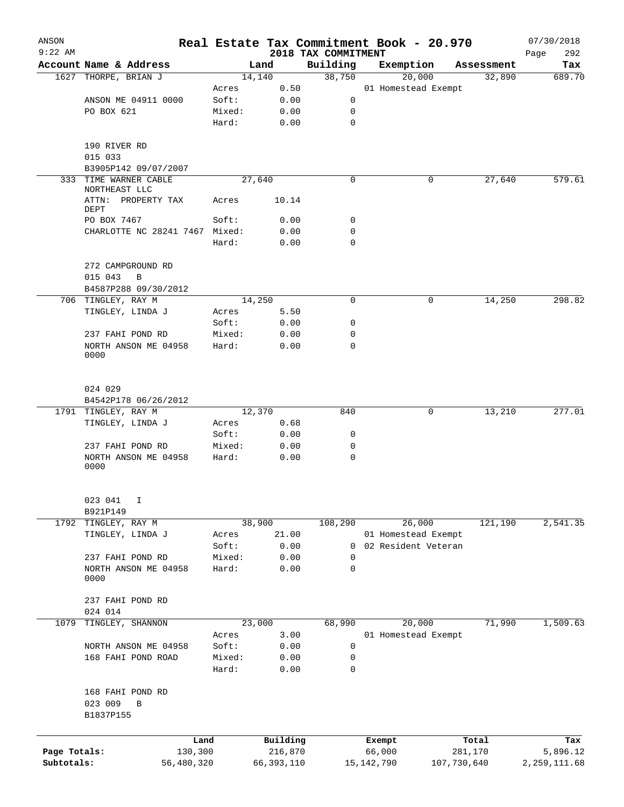| ANSON<br>$9:22$ AM |                                               |                 |              | 2018 TAX COMMITMENT |              | Real Estate Tax Commitment Book - 20.970 |            | 07/30/2018<br>292 |
|--------------------|-----------------------------------------------|-----------------|--------------|---------------------|--------------|------------------------------------------|------------|-------------------|
|                    | Account Name & Address                        |                 | Land         | Building            |              | Exemption                                | Assessment | Page<br>Tax       |
|                    | 1627 THORPE, BRIAN J                          |                 | 14,140       | 38,750              |              | 20,000                                   | 32,890     | 689.70            |
|                    |                                               | Acres           | 0.50         |                     |              | 01 Homestead Exempt                      |            |                   |
|                    | ANSON ME 04911 0000                           | Soft:           | 0.00         | 0                   |              |                                          |            |                   |
|                    | PO BOX 621                                    | Mixed:          | 0.00         | 0                   |              |                                          |            |                   |
|                    |                                               | Hard:           | 0.00         | 0                   |              |                                          |            |                   |
|                    | 190 RIVER RD                                  |                 |              |                     |              |                                          |            |                   |
|                    | 015 033                                       |                 |              |                     |              |                                          |            |                   |
|                    | B3905P142 09/07/2007                          |                 |              |                     |              |                                          |            |                   |
| 333                | TIME WARNER CABLE<br>NORTHEAST LLC            |                 | 27,640       | 0                   |              | 0                                        | 27,640     | 579.61            |
|                    | ATTN: PROPERTY TAX<br>DEPT                    | Acres           | 10.14        |                     |              |                                          |            |                   |
|                    | PO BOX 7467                                   | Soft:           | 0.00         | 0                   |              |                                          |            |                   |
|                    | CHARLOTTE NC 28241 7467 Mixed:                |                 | 0.00         | 0                   |              |                                          |            |                   |
|                    |                                               | Hard:           | 0.00         | 0                   |              |                                          |            |                   |
|                    | 272 CAMPGROUND RD                             |                 |              |                     |              |                                          |            |                   |
|                    | 015 043<br>B                                  |                 |              |                     |              |                                          |            |                   |
|                    | B4587P288 09/30/2012                          |                 |              |                     |              |                                          |            |                   |
|                    | 706 TINGLEY, RAY M                            |                 | 14,250       | 0                   |              | 0                                        | 14,250     | 298.82            |
|                    | TINGLEY, LINDA J                              | Acres           | 5.50         |                     |              |                                          |            |                   |
|                    |                                               | Soft:           | 0.00         | 0                   |              |                                          |            |                   |
|                    | 237 FAHI POND RD                              | Mixed:          | 0.00         | 0                   |              |                                          |            |                   |
|                    | NORTH ANSON ME 04958<br>0000                  | Hard:           | 0.00         | 0                   |              |                                          |            |                   |
|                    | 024 029                                       |                 |              |                     |              |                                          |            |                   |
|                    | B4542P178 06/26/2012                          |                 |              |                     |              |                                          |            |                   |
|                    | 1791 TINGLEY, RAY M                           |                 | 12,370       | 840                 |              | 0                                        | 13,210     | 277.01            |
|                    | TINGLEY, LINDA J                              | Acres           | 0.68         |                     |              |                                          |            |                   |
|                    |                                               | Soft:           | 0.00         | 0                   |              |                                          |            |                   |
|                    | 237 FAHI POND RD                              | Mixed:          | 0.00         | 0                   |              |                                          |            |                   |
|                    | NORTH ANSON ME 04958<br>0000                  | Hard:           | 0.00         | 0                   |              |                                          |            |                   |
|                    | 023 041<br>Ι                                  |                 |              |                     |              |                                          |            |                   |
|                    | B921P149                                      |                 |              |                     |              |                                          |            |                   |
| 1792               | TINGLEY, RAY M                                |                 | 38,900       | 108,290             |              | 26,000                                   | 121,190    | 2,541.35          |
|                    | TINGLEY, LINDA J                              | Acres           | 21.00        |                     |              | 01 Homestead Exempt                      |            |                   |
|                    |                                               | Soft:           | 0.00         | 0                   |              | 02 Resident Veteran                      |            |                   |
|                    | 237 FAHI POND RD                              | Mixed:          | 0.00         | 0                   |              |                                          |            |                   |
|                    | NORTH ANSON ME 04958                          | Hard:           | 0.00         | 0                   |              |                                          |            |                   |
|                    | 0000                                          |                 |              |                     |              |                                          |            |                   |
|                    | 237 FAHI POND RD                              |                 |              |                     |              |                                          |            |                   |
|                    | 024 014                                       |                 |              |                     |              |                                          |            |                   |
| 1079               | TINGLEY, SHANNON                              |                 | 23,000       | 68,990              |              | 20,000                                   | 71,990     | 1,509.63          |
|                    |                                               | Acres           | 3.00         |                     |              | 01 Homestead Exempt                      |            |                   |
|                    | NORTH ANSON ME 04958                          | Soft:           | 0.00         | 0                   |              |                                          |            |                   |
|                    | 168 FAHI POND ROAD                            | Mixed:<br>Hard: | 0.00<br>0.00 | 0<br>0              |              |                                          |            |                   |
|                    |                                               |                 |              |                     |              |                                          |            |                   |
|                    | 168 FAHI POND RD<br>023 009<br>B<br>B1837P155 |                 |              |                     |              |                                          |            |                   |
|                    |                                               |                 |              |                     |              |                                          |            |                   |
|                    | Land                                          |                 | Building     |                     | Exempt       |                                          | Total      | Tax               |
| Page Totals:       | 130,300                                       |                 | 216,870      |                     | 66,000       |                                          | 281,170    | 5,896.12          |
| Subtotals:         | 56,480,320                                    |                 | 66, 393, 110 |                     | 15, 142, 790 | 107,730,640                              |            | 2, 259, 111.68    |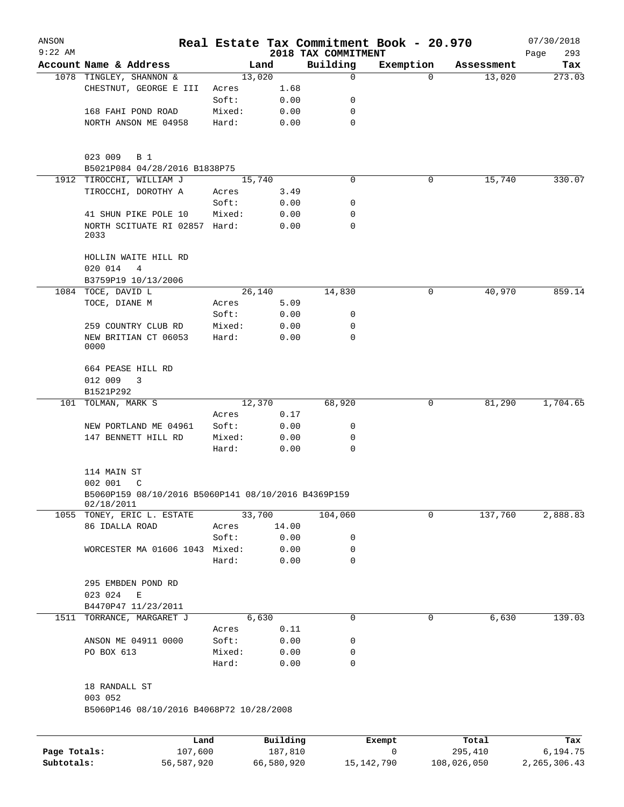| ANSON                      |                                                                   |                 |                       |                                 | Real Estate Tax Commitment Book - 20.970 |                        | 07/30/2018                 |
|----------------------------|-------------------------------------------------------------------|-----------------|-----------------------|---------------------------------|------------------------------------------|------------------------|----------------------------|
| $9:22$ AM                  | Account Name & Address                                            |                 | Land                  | 2018 TAX COMMITMENT<br>Building | Exemption                                | Assessment             | 293<br>Page<br>Tax         |
|                            | 1078 TINGLEY, SHANNON &                                           |                 | 13,020                | $\mathbf 0$                     | $\Omega$                                 | 13,020                 | 273.03                     |
|                            | CHESTNUT, GEORGE E III                                            | Acres           | 1.68                  |                                 |                                          |                        |                            |
|                            |                                                                   | Soft:           | 0.00                  | 0                               |                                          |                        |                            |
|                            | 168 FAHI POND ROAD                                                | Mixed:          | 0.00                  | 0                               |                                          |                        |                            |
|                            | NORTH ANSON ME 04958                                              | Hard:           | 0.00                  | 0                               |                                          |                        |                            |
|                            | 023 009<br><b>B</b> 1                                             |                 |                       |                                 |                                          |                        |                            |
|                            | B5021P084 04/28/2016 B1838P75                                     |                 |                       |                                 |                                          |                        |                            |
|                            | 1912 TIROCCHI, WILLIAM J                                          |                 | 15,740                | $\Omega$                        | 0                                        | 15,740                 | 330.07                     |
|                            | TIROCCHI, DOROTHY A                                               | Acres           | 3.49                  |                                 |                                          |                        |                            |
|                            |                                                                   | Soft:           | 0.00                  | 0                               |                                          |                        |                            |
|                            | 41 SHUN PIKE POLE 10<br>NORTH SCITUATE RI 02857 Hard:<br>2033     | Mixed:          | 0.00<br>0.00          | 0<br>0                          |                                          |                        |                            |
|                            | HOLLIN WAITE HILL RD<br>020 014<br>$\overline{4}$                 |                 |                       |                                 |                                          |                        |                            |
|                            | B3759P19 10/13/2006                                               |                 |                       |                                 |                                          |                        |                            |
|                            | 1084 TOCE, DAVID L                                                |                 | 26,140                | 14,830                          | 0                                        | 40,970                 | 859.14                     |
|                            | TOCE, DIANE M                                                     | Acres           | 5.09                  |                                 |                                          |                        |                            |
|                            |                                                                   | Soft:           | 0.00                  | 0                               |                                          |                        |                            |
|                            | 259 COUNTRY CLUB RD<br>NEW BRITIAN CT 06053<br>0000               | Mixed:<br>Hard: | 0.00<br>0.00          | 0<br>0                          |                                          |                        |                            |
|                            | 664 PEASE HILL RD                                                 |                 |                       |                                 |                                          |                        |                            |
|                            | 012 009<br>3<br>B1521P292                                         |                 |                       |                                 |                                          |                        |                            |
| 101                        | TOLMAN, MARK S                                                    |                 | 12,370                | 68,920                          | 0                                        | 81,290                 | 1,704.65                   |
|                            |                                                                   | Acres           | 0.17                  |                                 |                                          |                        |                            |
|                            | NEW PORTLAND ME 04961                                             | Soft:           | 0.00                  | 0                               |                                          |                        |                            |
|                            | 147 BENNETT HILL RD                                               | Mixed:          | 0.00                  | 0                               |                                          |                        |                            |
|                            |                                                                   | Hard:           | 0.00                  | $\Omega$                        |                                          |                        |                            |
|                            | 114 MAIN ST<br>002 001<br>C                                       |                 |                       |                                 |                                          |                        |                            |
|                            | B5060P159 08/10/2016 B5060P141 08/10/2016 B4369P159<br>02/18/2011 |                 |                       |                                 |                                          |                        |                            |
|                            | 1055 TONEY, ERIC L. ESTATE                                        |                 | 33,700                | 104,060                         | 0                                        | 137,760                | 2,888.83                   |
|                            | 86 IDALLA ROAD                                                    | Acres           | 14.00                 |                                 |                                          |                        |                            |
|                            |                                                                   | Soft:           | 0.00                  | 0                               |                                          |                        |                            |
|                            | WORCESTER MA 01606 1043 Mixed:                                    |                 | 0.00                  | 0                               |                                          |                        |                            |
|                            |                                                                   | Hard:           | 0.00                  | $\mathbf 0$                     |                                          |                        |                            |
|                            | 295 EMBDEN POND RD                                                |                 |                       |                                 |                                          |                        |                            |
|                            | 023 024<br>E                                                      |                 |                       |                                 |                                          |                        |                            |
|                            | B4470P47 11/23/2011                                               |                 |                       |                                 |                                          |                        |                            |
|                            | 1511 TORRANCE, MARGARET J                                         |                 | 6,630                 | 0                               | 0                                        | 6,630                  | 139.03                     |
|                            |                                                                   | Acres           | 0.11                  |                                 |                                          |                        |                            |
|                            | ANSON ME 04911 0000                                               | Soft:           | 0.00                  | 0                               |                                          |                        |                            |
|                            | PO BOX 613                                                        | Mixed:<br>Hard: | 0.00<br>0.00          | 0<br>0                          |                                          |                        |                            |
|                            | 18 RANDALL ST<br>003 052                                          |                 |                       |                                 |                                          |                        |                            |
|                            | B5060P146 08/10/2016 B4068P72 10/28/2008                          |                 |                       |                                 |                                          |                        |                            |
|                            | Land                                                              |                 | Building              |                                 | Exempt                                   | Total                  | Tax                        |
| Page Totals:<br>Subtotals: | 107,600<br>56,587,920                                             |                 | 187,810<br>66,580,920 |                                 | 0<br>15,142,790                          | 295,410<br>108,026,050 | 6,194.75<br>2, 265, 306.43 |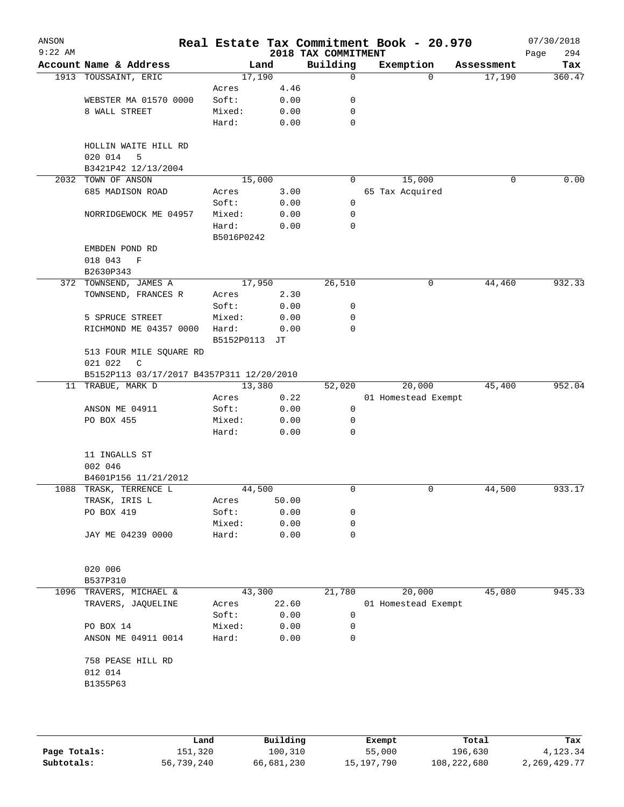| ANSON<br>$9:22$ AM |                                           |                     |       | 2018 TAX COMMITMENT | Real Estate Tax Commitment Book - 20.970 |            | 07/30/2018<br>294<br>Page |
|--------------------|-------------------------------------------|---------------------|-------|---------------------|------------------------------------------|------------|---------------------------|
|                    | Account Name & Address                    | Land                |       | Building            | Exemption                                | Assessment | Tax                       |
|                    | 1913 TOUSSAINT, ERIC                      | 17,190              |       | 0                   | $\Omega$                                 | 17,190     | 360.47                    |
|                    |                                           | Acres               | 4.46  |                     |                                          |            |                           |
|                    | WEBSTER MA 01570 0000                     | Soft:               | 0.00  | 0                   |                                          |            |                           |
|                    | 8 WALL STREET                             | Mixed:              | 0.00  | 0                   |                                          |            |                           |
|                    |                                           | Hard:               | 0.00  | $\mathbf 0$         |                                          |            |                           |
|                    | HOLLIN WAITE HILL RD<br>020 014<br>5      |                     |       |                     |                                          |            |                           |
|                    | B3421P42 12/13/2004                       |                     |       |                     |                                          |            |                           |
| 2032               | TOWN OF ANSON                             | 15,000              |       | 0                   | 15,000                                   | 0          | 0.00                      |
|                    | 685 MADISON ROAD                          | Acres               | 3.00  |                     | 65 Tax Acquired                          |            |                           |
|                    |                                           | Soft:               | 0.00  | 0                   |                                          |            |                           |
|                    | NORRIDGEWOCK ME 04957                     | Mixed:              | 0.00  | 0                   |                                          |            |                           |
|                    |                                           | Hard:<br>B5016P0242 | 0.00  | 0                   |                                          |            |                           |
|                    | EMBDEN POND RD                            |                     |       |                     |                                          |            |                           |
|                    | 018 043<br>$\mathbf F$                    |                     |       |                     |                                          |            |                           |
|                    | B2630P343                                 |                     |       |                     |                                          |            |                           |
|                    | 372 TOWNSEND, JAMES A                     | 17,950              |       | 26,510              | 0                                        | 44,460     | 932.33                    |
|                    | TOWNSEND, FRANCES R                       | Acres               | 2.30  |                     |                                          |            |                           |
|                    |                                           | Soft:               | 0.00  | 0                   |                                          |            |                           |
|                    | 5 SPRUCE STREET                           | Mixed:              | 0.00  | 0                   |                                          |            |                           |
|                    | RICHMOND ME 04357 0000                    | Hard:               | 0.00  | 0                   |                                          |            |                           |
|                    |                                           | B5152P0113          | JТ    |                     |                                          |            |                           |
|                    | 513 FOUR MILE SQUARE RD<br>021 022<br>C   |                     |       |                     |                                          |            |                           |
|                    | B5152P113 03/17/2017 B4357P311 12/20/2010 |                     |       |                     |                                          |            |                           |
|                    | 11 TRABUE, MARK D                         | 13,380              |       | 52,020              | 20,000                                   | 45,400     | 952.04                    |
|                    |                                           | Acres               | 0.22  |                     | 01 Homestead Exempt                      |            |                           |
|                    | ANSON ME 04911                            | Soft:               | 0.00  | 0                   |                                          |            |                           |
|                    | PO BOX 455                                | Mixed:              | 0.00  | 0                   |                                          |            |                           |
|                    |                                           | Hard:               | 0.00  | 0                   |                                          |            |                           |
|                    | 11 INGALLS ST<br>002 046                  |                     |       |                     |                                          |            |                           |
|                    | B4601P156 11/21/2012                      |                     |       |                     |                                          |            |                           |
|                    | 1088 TRASK, TERRENCE L                    | 44,500              |       | 0                   | 0                                        | 44,500     | 933.17                    |
|                    | TRASK, IRIS L                             | Acres               | 50.00 |                     |                                          |            |                           |
|                    | PO BOX 419                                | Soft:               | 0.00  | 0                   |                                          |            |                           |
|                    |                                           | Mixed:              | 0.00  | 0                   |                                          |            |                           |
|                    | JAY ME 04239 0000                         | Hard:               | 0.00  | 0                   |                                          |            |                           |
|                    |                                           |                     |       |                     |                                          |            |                           |
|                    | 020 006                                   |                     |       |                     |                                          |            |                           |
|                    | B537P310                                  |                     |       |                     |                                          |            |                           |
| 1096               | TRAVERS, MICHAEL &                        | 43,300              |       | 21,780              | 20,000                                   | 45,080     | 945.33                    |
|                    | TRAVERS, JAQUELINE                        | Acres               | 22.60 |                     | 01 Homestead Exempt                      |            |                           |
|                    |                                           | Soft:               | 0.00  | 0                   |                                          |            |                           |
|                    | PO BOX 14                                 | Mixed:              | 0.00  | 0                   |                                          |            |                           |
|                    | ANSON ME 04911 0014                       | Hard:               | 0.00  | 0                   |                                          |            |                           |
|                    | 758 PEASE HILL RD                         |                     |       |                     |                                          |            |                           |
|                    | 012 014                                   |                     |       |                     |                                          |            |                           |
|                    | B1355P63                                  |                     |       |                     |                                          |            |                           |
|                    |                                           |                     |       |                     |                                          |            |                           |
|                    |                                           |                     |       |                     |                                          |            |                           |
|                    |                                           |                     |       |                     |                                          |            |                           |

|              | Land       | Building   | Exempt     | Total       | Tax          |
|--------------|------------|------------|------------|-------------|--------------|
| Page Totals: | 151,320    | 100,310    | 55,000     | 196,630     | 4,123.34     |
| Subtotals:   | 56,739,240 | 66,681,230 | 15,197,790 | 108,222,680 | 2,269,429.77 |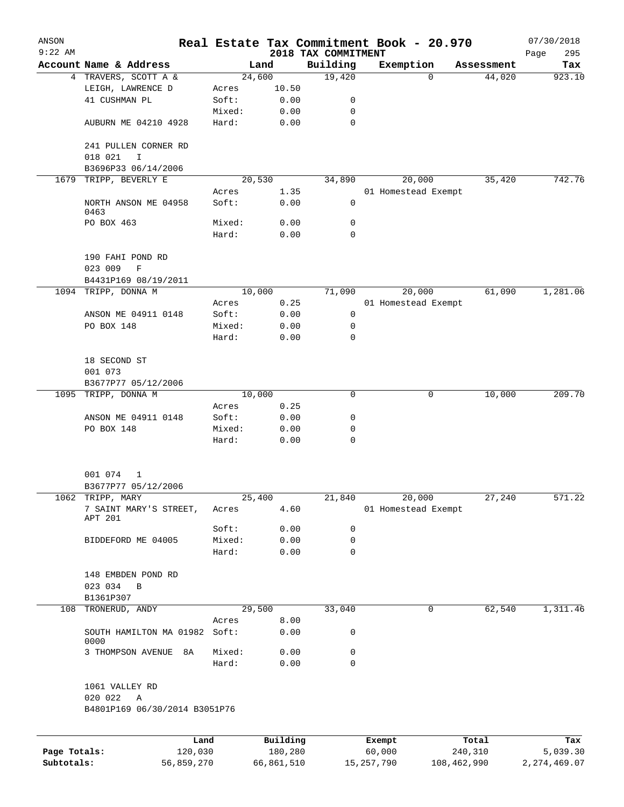| ANSON<br>$9:22$ AM         |                                                |        |                       | 2018 TAX COMMITMENT | Real Estate Tax Commitment Book - 20.970 |                        |            | 07/30/2018<br>295<br>Page  |
|----------------------------|------------------------------------------------|--------|-----------------------|---------------------|------------------------------------------|------------------------|------------|----------------------------|
|                            | Account Name & Address                         |        | Land                  | Building            | Exemption                                |                        | Assessment | Tax                        |
|                            | 4 TRAVERS, SCOTT A &                           |        | 24,600                | 19,420              |                                          | $\Omega$               | 44,020     | 923.10                     |
|                            | LEIGH, LAWRENCE D                              | Acres  | 10.50                 |                     |                                          |                        |            |                            |
|                            | 41 CUSHMAN PL                                  | Soft:  | 0.00                  | 0                   |                                          |                        |            |                            |
|                            |                                                | Mixed: | 0.00                  | 0                   |                                          |                        |            |                            |
|                            | AUBURN ME 04210 4928                           | Hard:  | 0.00                  | 0                   |                                          |                        |            |                            |
|                            | 241 PULLEN CORNER RD<br>018 021<br>$\mathbf I$ |        |                       |                     |                                          |                        |            |                            |
|                            | B3696P33 06/14/2006                            |        |                       |                     |                                          |                        |            |                            |
| 1679                       | TRIPP, BEVERLY E                               |        | 20,530                | 34,890              | 20,000                                   |                        | 35,420     | 742.76                     |
|                            |                                                | Acres  | 1.35                  |                     | 01 Homestead Exempt                      |                        |            |                            |
|                            | NORTH ANSON ME 04958<br>0463                   | Soft:  | 0.00                  | 0                   |                                          |                        |            |                            |
|                            | PO BOX 463                                     | Mixed: | 0.00                  | 0                   |                                          |                        |            |                            |
|                            |                                                | Hard:  | 0.00                  | $\mathbf 0$         |                                          |                        |            |                            |
|                            | 190 FAHI POND RD<br>023 009<br>$\mathbf F$     |        |                       |                     |                                          |                        |            |                            |
|                            | B4431P169 08/19/2011                           |        |                       |                     |                                          |                        |            |                            |
|                            | 1094 TRIPP, DONNA M                            |        | 10,000                | 71,090              | 20,000                                   |                        | 61,090     | 1,281.06                   |
|                            |                                                | Acres  | 0.25                  |                     | 01 Homestead Exempt                      |                        |            |                            |
|                            | ANSON ME 04911 0148                            | Soft:  | 0.00                  | 0                   |                                          |                        |            |                            |
|                            | PO BOX 148                                     | Mixed: | 0.00                  | 0                   |                                          |                        |            |                            |
|                            |                                                | Hard:  | 0.00                  | 0                   |                                          |                        |            |                            |
|                            | 18 SECOND ST<br>001 073                        |        |                       |                     |                                          |                        |            |                            |
|                            | B3677P77 05/12/2006                            |        |                       |                     |                                          |                        |            |                            |
|                            | 1095 TRIPP, DONNA M                            |        | 10,000                | 0                   |                                          | 0                      | 10,000     | 209.70                     |
|                            |                                                | Acres  | 0.25                  |                     |                                          |                        |            |                            |
|                            | ANSON ME 04911 0148                            | Soft:  | 0.00                  | 0                   |                                          |                        |            |                            |
|                            | PO BOX 148                                     | Mixed: | 0.00                  | 0                   |                                          |                        |            |                            |
|                            |                                                | Hard:  | 0.00                  | $\mathbf 0$         |                                          |                        |            |                            |
|                            | 001 074<br>1                                   |        |                       |                     |                                          |                        |            |                            |
|                            | B3677P77 05/12/2006                            |        |                       |                     |                                          |                        |            |                            |
|                            | 1062 TRIPP, MARY                               |        | 25,400                | 21,840              | 20,000                                   |                        | 27,240     | 571.22                     |
|                            | 7 SAINT MARY'S STREET,<br>APT 201              | Acres  | 4.60                  |                     | 01 Homestead Exempt                      |                        |            |                            |
|                            |                                                | Soft:  | 0.00                  | 0                   |                                          |                        |            |                            |
|                            | BIDDEFORD ME 04005                             | Mixed: | 0.00                  | 0                   |                                          |                        |            |                            |
|                            |                                                | Hard:  | 0.00                  | $\mathbf 0$         |                                          |                        |            |                            |
|                            | 148 EMBDEN POND RD                             |        |                       |                     |                                          |                        |            |                            |
|                            | 023 034<br>B                                   |        |                       |                     |                                          |                        |            |                            |
|                            | B1361P307                                      |        |                       |                     |                                          |                        |            |                            |
| 108                        | TRONERUD, ANDY                                 |        | 29,500                | 33,040              |                                          | 0                      | 62,540     | 1,311.46                   |
|                            |                                                | Acres  | 8.00                  |                     |                                          |                        |            |                            |
|                            | SOUTH HAMILTON MA 01982<br>0000                | Soft:  | 0.00                  | 0                   |                                          |                        |            |                            |
|                            | 3 THOMPSON AVENUE<br>8A                        | Mixed: | 0.00                  | 0                   |                                          |                        |            |                            |
|                            |                                                | Hard:  | 0.00                  | $\mathbf 0$         |                                          |                        |            |                            |
|                            | 1061 VALLEY RD<br>020 022<br>Α                 |        |                       |                     |                                          |                        |            |                            |
|                            | B4801P169 06/30/2014 B3051P76                  |        |                       |                     |                                          |                        |            |                            |
|                            |                                                |        |                       |                     |                                          |                        |            |                            |
|                            |                                                | Land   | Building              |                     | Exempt                                   |                        | Total      | Tax                        |
| Page Totals:<br>Subtotals: | 120,030<br>56,859,270                          |        | 180,280<br>66,861,510 |                     | 60,000<br>15, 257, 790                   | 240,310<br>108,462,990 |            | 5,039.30<br>2, 274, 469.07 |
|                            |                                                |        |                       |                     |                                          |                        |            |                            |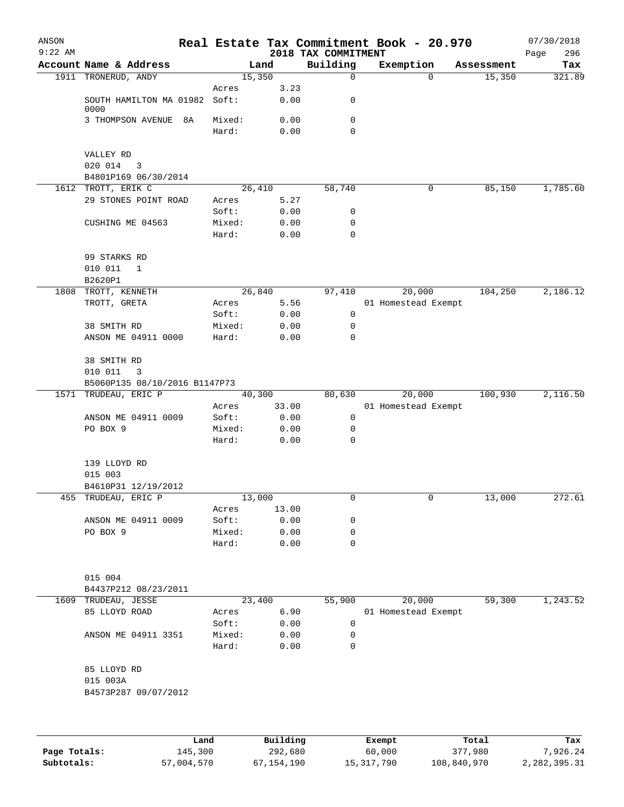| ANSON<br>$9:22$ AM |                                    |                 |          |              | 2018 TAX COMMITMENT | Real Estate Tax Commitment Book - 20.970 |            | 07/30/2018<br>296<br>Page |
|--------------------|------------------------------------|-----------------|----------|--------------|---------------------|------------------------------------------|------------|---------------------------|
|                    | Account Name & Address             |                 | Land     |              | Building            | Exemption                                | Assessment | Tax                       |
|                    | 1911 TRONERUD, ANDY                |                 | 15,350   |              | 0                   | $\Omega$                                 | 15,350     | 321.89                    |
|                    |                                    | Acres           |          | 3.23         |                     |                                          |            |                           |
|                    | SOUTH HAMILTON MA 01982            | Soft:           |          | 0.00         | 0                   |                                          |            |                           |
|                    | 0000<br>3 THOMPSON AVENUE<br>8A    | Mixed:          |          | 0.00         | 0                   |                                          |            |                           |
|                    |                                    | Hard:           |          | 0.00         | 0                   |                                          |            |                           |
|                    |                                    |                 |          |              |                     |                                          |            |                           |
|                    | VALLEY RD                          |                 |          |              |                     |                                          |            |                           |
|                    | 020 014<br>3                       |                 |          |              |                     |                                          |            |                           |
|                    | B4801P169 06/30/2014               |                 |          |              |                     |                                          |            |                           |
|                    | 1612 TROTT, ERIK C                 |                 | 26,410   |              | 58,740              | 0                                        | 85,150     | 1,785.60                  |
|                    | 29 STONES POINT ROAD               | Acres<br>Soft:  |          | 5.27         | 0                   |                                          |            |                           |
|                    | CUSHING ME 04563                   | Mixed:          |          | 0.00<br>0.00 | 0                   |                                          |            |                           |
|                    |                                    | Hard:           |          | 0.00         | 0                   |                                          |            |                           |
|                    |                                    |                 |          |              |                     |                                          |            |                           |
|                    | 99 STARKS RD                       |                 |          |              |                     |                                          |            |                           |
|                    | 010 011<br>$\mathbf{1}$            |                 |          |              |                     |                                          |            |                           |
|                    | B2620P1                            |                 |          |              |                     |                                          |            |                           |
| 1808               | TROTT, KENNETH                     |                 | 26,840   |              | 97,410              | 20,000                                   | 104,250    | 2,186.12                  |
|                    | TROTT, GRETA                       | Acres           |          | 5.56         |                     | 01 Homestead Exempt                      |            |                           |
|                    |                                    | Soft:           |          | 0.00         | 0                   |                                          |            |                           |
|                    | 38 SMITH RD<br>ANSON ME 04911 0000 | Mixed:<br>Hard: |          | 0.00<br>0.00 | 0<br>0              |                                          |            |                           |
|                    |                                    |                 |          |              |                     |                                          |            |                           |
|                    | 38 SMITH RD                        |                 |          |              |                     |                                          |            |                           |
|                    | 010 011<br>3                       |                 |          |              |                     |                                          |            |                           |
|                    | B5060P135 08/10/2016 B1147P73      |                 |          |              |                     |                                          |            |                           |
| 1571               | TRUDEAU, ERIC P                    |                 | 40,300   |              | 80,630              | 20,000                                   | 100,930    | 2,116.50                  |
|                    |                                    | Acres           | 33.00    |              |                     | 01 Homestead Exempt                      |            |                           |
|                    | ANSON ME 04911 0009                | Soft:           |          | 0.00         | 0                   |                                          |            |                           |
|                    | PO BOX 9                           | Mixed:          |          | 0.00         | 0<br>0              |                                          |            |                           |
|                    |                                    | Hard:           |          | 0.00         |                     |                                          |            |                           |
|                    | 139 LLOYD RD                       |                 |          |              |                     |                                          |            |                           |
|                    | 015 003                            |                 |          |              |                     |                                          |            |                           |
|                    | B4610P31 12/19/2012                |                 |          |              |                     |                                          |            |                           |
| $\overline{455}$   | TRUDEAU, ERIC P                    |                 | 13,000   |              | 0                   | 0                                        | 13,000     | 272.61                    |
|                    |                                    | Acres           | 13.00    |              |                     |                                          |            |                           |
|                    | ANSON ME 04911 0009                | Soft:           |          | 0.00         | 0                   |                                          |            |                           |
|                    | PO BOX 9                           | Mixed:          |          | 0.00         | 0                   |                                          |            |                           |
|                    |                                    | Hard:           |          | 0.00         | 0                   |                                          |            |                           |
|                    |                                    |                 |          |              |                     |                                          |            |                           |
|                    | 015 004                            |                 |          |              |                     |                                          |            |                           |
|                    | B4437P212 08/23/2011               |                 |          |              |                     |                                          |            |                           |
|                    | 1609 TRUDEAU, JESSE                |                 | 23,400   |              | 55,900              | 20,000                                   | 59,300     | 1,243.52                  |
|                    | 85 LLOYD ROAD                      | Acres           |          | 6.90         |                     | 01 Homestead Exempt                      |            |                           |
|                    |                                    | Soft:           |          | 0.00         | 0                   |                                          |            |                           |
|                    | ANSON ME 04911 3351                | Mixed:          |          | 0.00         | 0                   |                                          |            |                           |
|                    |                                    | Hard:           |          | 0.00         | 0                   |                                          |            |                           |
|                    | 85 LLOYD RD                        |                 |          |              |                     |                                          |            |                           |
|                    | 015 003A                           |                 |          |              |                     |                                          |            |                           |
|                    | B4573P287 09/07/2012               |                 |          |              |                     |                                          |            |                           |
|                    |                                    |                 |          |              |                     |                                          |            |                           |
|                    |                                    |                 |          |              |                     |                                          |            |                           |
|                    |                                    |                 |          |              |                     |                                          |            |                           |
|                    |                                    | Land            | Building |              |                     | Exempt                                   | Total      | Tax                       |

|              | Land       | Building   | Exempt     | Total       | тах          |
|--------------|------------|------------|------------|-------------|--------------|
| Page Totals: | 145,300    | 292,680    | 60,000     | 377,980     | 7.926.24     |
| Subtotals:   | 57,004,570 | 67,154,190 | 15,317,790 | 108,840,970 | 2,282,395.31 |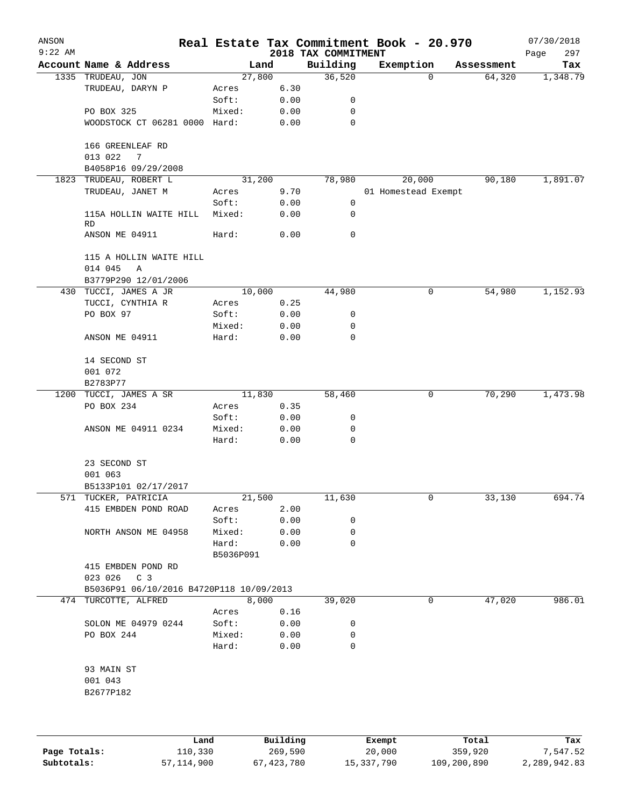| ANSON<br>$9:22$ AM |                                          |                 |              | 2018 TAX COMMITMENT | Real Estate Tax Commitment Book - 20.970 |            | 07/30/2018<br>297<br>Page |
|--------------------|------------------------------------------|-----------------|--------------|---------------------|------------------------------------------|------------|---------------------------|
|                    | Account Name & Address                   |                 | Land         | Building            | Exemption                                | Assessment | Tax                       |
|                    | 1335 TRUDEAU, JON                        | 27,800          |              | 36,520              | 0                                        | 64,320     | 1,348.79                  |
|                    | TRUDEAU, DARYN P                         | Acres           | 6.30         |                     |                                          |            |                           |
|                    |                                          | Soft:           | 0.00         | 0                   |                                          |            |                           |
|                    | PO BOX 325                               | Mixed:          | 0.00         | 0                   |                                          |            |                           |
|                    | WOODSTOCK CT 06281 0000 Hard:            |                 | 0.00         | $\mathbf 0$         |                                          |            |                           |
|                    | 166 GREENLEAF RD<br>013 022<br>7         |                 |              |                     |                                          |            |                           |
|                    | B4058P16 09/29/2008                      |                 |              |                     |                                          |            |                           |
|                    | 1823 TRUDEAU, ROBERT L                   | 31,200          |              | 78,980              | 20,000                                   | 90,180     | 1,891.07                  |
|                    | TRUDEAU, JANET M                         | Acres           | 9.70         |                     | 01 Homestead Exempt                      |            |                           |
|                    |                                          | Soft:           | 0.00         | 0                   |                                          |            |                           |
|                    | 115A HOLLIN WAITE HILL<br>RD             | Mixed:          | 0.00         | 0                   |                                          |            |                           |
|                    | ANSON ME 04911                           | Hard:           | 0.00         | 0                   |                                          |            |                           |
|                    | 115 A HOLLIN WAITE HILL                  |                 |              |                     |                                          |            |                           |
|                    | 014 045<br>Α                             |                 |              |                     |                                          |            |                           |
|                    | B3779P290 12/01/2006                     |                 |              |                     |                                          |            |                           |
| 430                | TUCCI, JAMES A JR                        | 10,000          |              | 44,980              | 0                                        | 54,980     | 1,152.93                  |
|                    | TUCCI, CYNTHIA R                         | Acres           | 0.25         |                     |                                          |            |                           |
|                    | PO BOX 97                                | Soft:           | 0.00         | 0                   |                                          |            |                           |
|                    |                                          | Mixed:          | 0.00         | 0                   |                                          |            |                           |
|                    | ANSON ME 04911                           | Hard:           | 0.00         | $\mathbf 0$         |                                          |            |                           |
|                    | 14 SECOND ST                             |                 |              |                     |                                          |            |                           |
|                    | 001 072<br>B2783P77                      |                 |              |                     |                                          |            |                           |
| 1200               | TUCCI, JAMES A SR                        | 11,830          |              | 58,460              | 0                                        | 70,290     | 1,473.98                  |
|                    | PO BOX 234                               |                 | 0.35         |                     |                                          |            |                           |
|                    |                                          | Acres           |              |                     |                                          |            |                           |
|                    |                                          | Soft:           | 0.00         | 0                   |                                          |            |                           |
|                    | ANSON ME 04911 0234                      | Mixed:<br>Hard: | 0.00<br>0.00 | 0<br>$\mathbf 0$    |                                          |            |                           |
|                    | 23 SECOND ST<br>001 063                  |                 |              |                     |                                          |            |                           |
|                    | B5133P101 02/17/2017                     |                 |              |                     |                                          |            |                           |
|                    | 571 TUCKER, PATRICIA                     | 21,500          |              |                     | 0                                        |            | 694.74                    |
|                    | 415 EMBDEN POND ROAD                     |                 |              | 11,630              |                                          | 33,130     |                           |
|                    |                                          | Acres<br>Soft:  | 2.00<br>0.00 | 0                   |                                          |            |                           |
|                    |                                          |                 |              | 0                   |                                          |            |                           |
|                    | NORTH ANSON ME 04958                     | Mixed:<br>Hard: | 0.00<br>0.00 | 0                   |                                          |            |                           |
|                    | 415 EMBDEN POND RD                       | B5036P091       |              |                     |                                          |            |                           |
|                    | 023 026<br>$\mathbb{C}$ 3                |                 |              |                     |                                          |            |                           |
|                    | B5036P91 06/10/2016 B4720P118 10/09/2013 |                 |              |                     |                                          |            |                           |
|                    | 474 TURCOTTE, ALFRED                     |                 | 8,000        | 39,020              | 0                                        | 47,020     | 986.01                    |
|                    |                                          | Acres           | 0.16         |                     |                                          |            |                           |
|                    | SOLON ME 04979 0244                      | Soft:           | 0.00         | 0                   |                                          |            |                           |
|                    | PO BOX 244                               | Mixed:          | 0.00         | 0                   |                                          |            |                           |
|                    |                                          | Hard:           | 0.00         | 0                   |                                          |            |                           |
|                    | 93 MAIN ST                               |                 |              |                     |                                          |            |                           |
|                    | 001 043<br>B2677P182                     |                 |              |                     |                                          |            |                           |
|                    |                                          |                 |              |                     |                                          |            |                           |
|                    |                                          |                 |              |                     |                                          |            |                           |
|                    |                                          |                 |              |                     |                                          |            |                           |

|              | Land       | Building   | Exempt     | Total       | Tax          |
|--------------|------------|------------|------------|-------------|--------------|
| Page Totals: | 110,330    | 269,590    | 20,000     | 359,920     | 7.547.52     |
| Subtotals:   | 57,114,900 | 67,423,780 | 15,337,790 | 109,200,890 | 2,289,942.83 |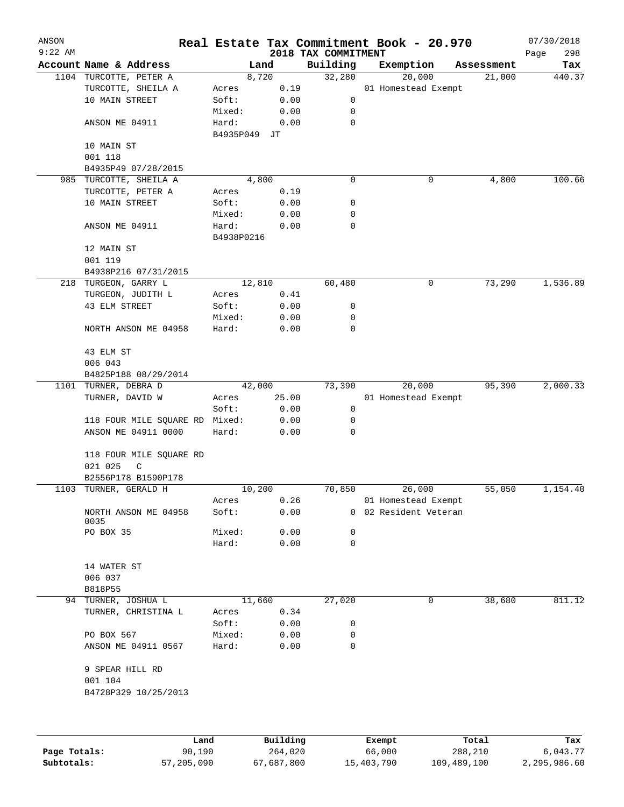| ANSON<br>$9:22$ AM |                                |            |          | 2018 TAX COMMITMENT | Real Estate Tax Commitment Book - 20.970     |            | 07/30/2018<br>298 |
|--------------------|--------------------------------|------------|----------|---------------------|----------------------------------------------|------------|-------------------|
|                    | Account Name & Address         |            | Land     | Building            | Exemption                                    | Assessment | Page<br>Tax       |
|                    | 1104 TURCOTTE, PETER A         |            | 8,720    | 32,280              | 20,000                                       | 21,000     | 440.37            |
|                    | TURCOTTE, SHEILA A             | Acres      | 0.19     |                     | 01 Homestead Exempt                          |            |                   |
|                    | 10 MAIN STREET                 | Soft:      | 0.00     | 0                   |                                              |            |                   |
|                    |                                | Mixed:     | 0.00     | 0                   |                                              |            |                   |
|                    | ANSON ME 04911                 | Hard:      | 0.00     | $\mathbf 0$         |                                              |            |                   |
|                    |                                | B4935P049  | JТ       |                     |                                              |            |                   |
|                    | 10 MAIN ST                     |            |          |                     |                                              |            |                   |
|                    | 001 118                        |            |          |                     |                                              |            |                   |
|                    | B4935P49 07/28/2015            |            |          |                     |                                              |            |                   |
|                    | 985 TURCOTTE, SHEILA A         |            | 4,800    | 0                   | 0                                            | 4,800      | 100.66            |
|                    | TURCOTTE, PETER A              | Acres      | 0.19     |                     |                                              |            |                   |
|                    | 10 MAIN STREET                 | Soft:      | 0.00     | 0                   |                                              |            |                   |
|                    |                                | Mixed:     | 0.00     | 0                   |                                              |            |                   |
|                    | ANSON ME 04911                 | Hard:      | 0.00     | 0                   |                                              |            |                   |
|                    |                                | B4938P0216 |          |                     |                                              |            |                   |
|                    | 12 MAIN ST                     |            |          |                     |                                              |            |                   |
|                    | 001 119                        |            |          |                     |                                              |            |                   |
|                    | B4938P216 07/31/2015           |            |          |                     |                                              |            |                   |
|                    | 218 TURGEON, GARRY L           |            | 12,810   | 60,480              | 0                                            | 73,290     | 1,536.89          |
|                    | TURGEON, JUDITH L              | Acres      | 0.41     |                     |                                              |            |                   |
|                    | 43 ELM STREET                  | Soft:      | 0.00     | 0                   |                                              |            |                   |
|                    |                                | Mixed:     | 0.00     | 0                   |                                              |            |                   |
|                    | NORTH ANSON ME 04958           | Hard:      | 0.00     | 0                   |                                              |            |                   |
|                    |                                |            |          |                     |                                              |            |                   |
|                    | 43 ELM ST                      |            |          |                     |                                              |            |                   |
|                    | 006 043                        |            |          |                     |                                              |            |                   |
|                    | B4825P188 08/29/2014           |            |          |                     |                                              |            |                   |
|                    | 1101 TURNER, DEBRA D           |            | 42,000   | 73,390              | 20,000                                       | 95,390     | 2,000.33          |
|                    | TURNER, DAVID W                | Acres      | 25.00    |                     | 01 Homestead Exempt                          |            |                   |
|                    |                                | Soft:      | 0.00     | 0                   |                                              |            |                   |
|                    | 118 FOUR MILE SQUARE RD Mixed: |            | 0.00     | 0                   |                                              |            |                   |
|                    | ANSON ME 04911 0000            | Hard:      | 0.00     | 0                   |                                              |            |                   |
|                    |                                |            |          |                     |                                              |            |                   |
|                    | 118 FOUR MILE SQUARE RD        |            |          |                     |                                              |            |                   |
|                    | 021 025<br>$\mathsf C$         |            |          |                     |                                              |            |                   |
|                    | B2556P178 B1590P178            |            |          |                     |                                              |            |                   |
|                    | 1103 TURNER, GERALD H          |            | 10,200   | 70,850              | 26,000                                       | 55,050     | 1,154.40          |
|                    |                                |            | 0.26     |                     |                                              |            |                   |
|                    |                                | Acres      | 0.00     |                     | 01 Homestead Exempt<br>0 02 Resident Veteran |            |                   |
|                    | NORTH ANSON ME 04958<br>0035   | Soft:      |          |                     |                                              |            |                   |
|                    | PO BOX 35                      | Mixed:     | 0.00     | 0                   |                                              |            |                   |
|                    |                                | Hard:      | 0.00     | 0                   |                                              |            |                   |
|                    |                                |            |          |                     |                                              |            |                   |
|                    | 14 WATER ST                    |            |          |                     |                                              |            |                   |
|                    | 006 037                        |            |          |                     |                                              |            |                   |
|                    | B818P55                        |            |          |                     |                                              |            |                   |
|                    | 94 TURNER, JOSHUA L            |            | 11,660   | 27,020              | 0                                            | 38,680     | 811.12            |
|                    | TURNER, CHRISTINA L            | Acres      | 0.34     |                     |                                              |            |                   |
|                    |                                | Soft:      | 0.00     | 0                   |                                              |            |                   |
|                    | PO BOX 567                     | Mixed:     | 0.00     | 0                   |                                              |            |                   |
|                    | ANSON ME 04911 0567            | Hard:      | 0.00     | 0                   |                                              |            |                   |
|                    |                                |            |          |                     |                                              |            |                   |
|                    | 9 SPEAR HILL RD                |            |          |                     |                                              |            |                   |
|                    | 001 104                        |            |          |                     |                                              |            |                   |
|                    | B4728P329 10/25/2013           |            |          |                     |                                              |            |                   |
|                    |                                |            |          |                     |                                              |            |                   |
|                    |                                |            |          |                     |                                              |            |                   |
|                    |                                |            |          |                     |                                              |            |                   |
|                    |                                |            | Building |                     |                                              | Total      |                   |
|                    | Land                           |            |          |                     | Exempt                                       |            | Tax               |

|              | Lanu       | <b>Building</b> | вхешрс     | TOLAT       | 1 ax         |
|--------------|------------|-----------------|------------|-------------|--------------|
| Page Totals: | 90,190     | 264,020         | 66,000     | 288,210     | 6,043.77     |
| Subtotals:   | 57,205,090 | 67,687,800      | 15,403,790 | 109,489,100 | 2,295,986.60 |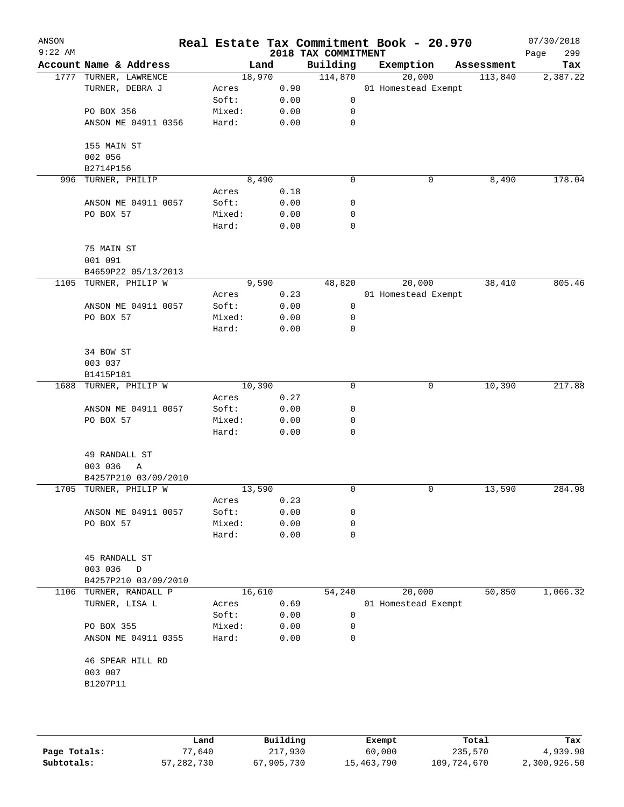| ANSON<br>$9:22$ AM |                        |        |        | 2018 TAX COMMITMENT | Real Estate Tax Commitment Book - 20.970 |            | 07/30/2018<br>299<br>Page |
|--------------------|------------------------|--------|--------|---------------------|------------------------------------------|------------|---------------------------|
|                    | Account Name & Address |        | Land   | Building            | Exemption                                | Assessment | Tax                       |
|                    | 1777 TURNER, LAWRENCE  |        | 18,970 | 114,870             | 20,000                                   | 113,840    | 2,387.22                  |
|                    | TURNER, DEBRA J        | Acres  | 0.90   |                     | 01 Homestead Exempt                      |            |                           |
|                    |                        | Soft:  | 0.00   | 0                   |                                          |            |                           |
|                    | PO BOX 356             | Mixed: | 0.00   | 0                   |                                          |            |                           |
|                    | ANSON ME 04911 0356    | Hard:  | 0.00   | 0                   |                                          |            |                           |
|                    | 155 MAIN ST            |        |        |                     |                                          |            |                           |
|                    | 002 056                |        |        |                     |                                          |            |                           |
|                    | B2714P156              |        |        |                     |                                          |            |                           |
| 996                | TURNER, PHILIP         |        | 8,490  | 0                   | 0                                        | 8,490      | 178.04                    |
|                    |                        | Acres  | 0.18   |                     |                                          |            |                           |
|                    | ANSON ME 04911 0057    | Soft:  | 0.00   | 0                   |                                          |            |                           |
|                    | PO BOX 57              | Mixed: | 0.00   | 0                   |                                          |            |                           |
|                    |                        | Hard:  | 0.00   | $\mathbf 0$         |                                          |            |                           |
|                    | 75 MAIN ST             |        |        |                     |                                          |            |                           |
|                    | 001 091                |        |        |                     |                                          |            |                           |
|                    | B4659P22 05/13/2013    |        |        |                     |                                          |            |                           |
|                    | 1105 TURNER, PHILIP W  |        | 9,590  | 48,820              | 20,000                                   | 38,410     | 805.46                    |
|                    |                        | Acres  | 0.23   |                     | 01 Homestead Exempt                      |            |                           |
|                    | ANSON ME 04911 0057    | Soft:  | 0.00   | 0                   |                                          |            |                           |
|                    | PO BOX 57              | Mixed: | 0.00   | 0                   |                                          |            |                           |
|                    |                        | Hard:  | 0.00   | 0                   |                                          |            |                           |
|                    | 34 BOW ST              |        |        |                     |                                          |            |                           |
|                    | 003 037                |        |        |                     |                                          |            |                           |
|                    | B1415P181              |        |        |                     |                                          |            |                           |
|                    | 1688 TURNER, PHILIP W  |        | 10,390 | 0                   | 0                                        | 10,390     | 217.88                    |
|                    |                        | Acres  | 0.27   |                     |                                          |            |                           |
|                    | ANSON ME 04911 0057    | Soft:  | 0.00   | 0                   |                                          |            |                           |
|                    | PO BOX 57              | Mixed: | 0.00   | 0                   |                                          |            |                           |
|                    |                        | Hard:  | 0.00   | $\mathbf 0$         |                                          |            |                           |
|                    | 49 RANDALL ST          |        |        |                     |                                          |            |                           |
|                    | 003 036<br>Α           |        |        |                     |                                          |            |                           |
|                    | B4257P210 03/09/2010   |        |        |                     |                                          |            |                           |
|                    | 1705 TURNER, PHILIP W  |        | 13,590 | 0                   | 0                                        | 13,590     | 284.98                    |
|                    |                        | Acres  | 0.23   |                     |                                          |            |                           |
|                    | ANSON ME 04911 0057    | Soft:  | 0.00   | 0                   |                                          |            |                           |
|                    | PO BOX 57              | Mixed: | 0.00   | 0                   |                                          |            |                           |
|                    |                        | Hard:  | 0.00   | 0                   |                                          |            |                           |
|                    | 45 RANDALL ST          |        |        |                     |                                          |            |                           |
|                    | 003 036<br>D           |        |        |                     |                                          |            |                           |
|                    | B4257P210 03/09/2010   |        |        |                     |                                          |            |                           |
|                    | 1106 TURNER, RANDALL P |        | 16,610 | 54,240              | 20,000                                   | 50,850     | 1,066.32                  |
|                    | TURNER, LISA L         | Acres  | 0.69   |                     | 01 Homestead Exempt                      |            |                           |
|                    |                        | Soft:  | 0.00   | 0                   |                                          |            |                           |
|                    | PO BOX 355             | Mixed: | 0.00   | 0                   |                                          |            |                           |
|                    | ANSON ME 04911 0355    | Hard:  | 0.00   | 0                   |                                          |            |                           |
|                    | 46 SPEAR HILL RD       |        |        |                     |                                          |            |                           |
|                    | 003 007                |        |        |                     |                                          |            |                           |
|                    | B1207P11               |        |        |                     |                                          |            |                           |
|                    |                        |        |        |                     |                                          |            |                           |
|                    |                        |        |        |                     |                                          |            |                           |
|                    |                        |        |        |                     |                                          |            |                           |

|              | Land         | Building   | Exempt     | Total       | Tax          |
|--------------|--------------|------------|------------|-------------|--------------|
| Page Totals: | 77,640       | 217,930    | 60,000     | 235,570     | 4,939.90     |
| Subtotals:   | 57, 282, 730 | 67,905,730 | 15,463,790 | 109,724,670 | 2,300,926.50 |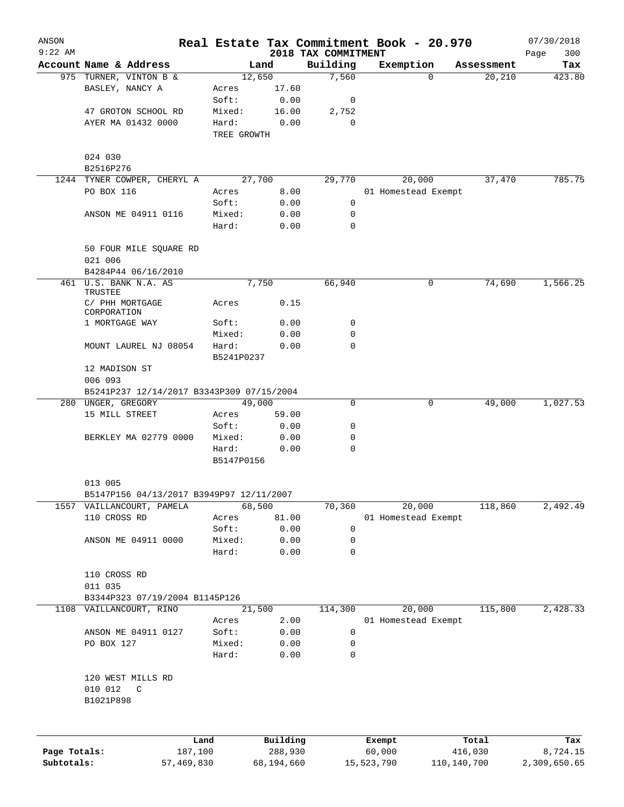| ANSON<br>$9:22$ AM |                                           |            |                     |            |                                 | Real Estate Tax Commitment Book - 20.970 |             |            | 07/30/2018         |
|--------------------|-------------------------------------------|------------|---------------------|------------|---------------------------------|------------------------------------------|-------------|------------|--------------------|
|                    | Account Name & Address                    |            |                     | Land       | 2018 TAX COMMITMENT<br>Building | Exemption                                |             | Assessment | 300<br>Page<br>Tax |
|                    | 975 TURNER, VINTON B &                    |            | 12,650              |            | 7,560                           |                                          | $\Omega$    | 20, 210    | 423.80             |
|                    | BASLEY, NANCY A                           |            | Acres               | 17.60      |                                 |                                          |             |            |                    |
|                    |                                           |            | Soft:               | 0.00       | 0                               |                                          |             |            |                    |
|                    | 47 GROTON SCHOOL RD                       |            | Mixed:              | 16.00      | 2,752                           |                                          |             |            |                    |
|                    | AYER MA 01432 0000                        |            | Hard:               | 0.00       | 0                               |                                          |             |            |                    |
|                    |                                           |            | TREE GROWTH         |            |                                 |                                          |             |            |                    |
|                    | 024 030                                   |            |                     |            |                                 |                                          |             |            |                    |
|                    | B2516P276                                 |            |                     |            |                                 |                                          |             |            |                    |
|                    | 1244 TYNER COWPER, CHERYL A               |            | 27,700              |            | 29,770                          | 20,000                                   |             | 37,470     | 785.75             |
|                    | PO BOX 116                                |            | Acres               | 8.00       |                                 | 01 Homestead Exempt                      |             |            |                    |
|                    |                                           |            | Soft:               | 0.00       | 0                               |                                          |             |            |                    |
|                    | ANSON ME 04911 0116                       |            | Mixed:              | 0.00       | 0                               |                                          |             |            |                    |
|                    |                                           |            | Hard:               | 0.00       | $\Omega$                        |                                          |             |            |                    |
|                    | 50 FOUR MILE SQUARE RD                    |            |                     |            |                                 |                                          |             |            |                    |
|                    | 021 006                                   |            |                     |            |                                 |                                          |             |            |                    |
|                    | B4284P44 06/16/2010                       |            |                     |            |                                 |                                          |             |            |                    |
|                    | 461 U.S. BANK N.A. AS<br>TRUSTEE          |            |                     | 7,750      | 66,940                          |                                          | 0           | 74,690     | 1,566.25           |
|                    | C/ PHH MORTGAGE                           |            | Acres               | 0.15       |                                 |                                          |             |            |                    |
|                    | CORPORATION<br>1 MORTGAGE WAY             |            | Soft:               | 0.00       | 0                               |                                          |             |            |                    |
|                    |                                           |            | Mixed:              | 0.00       | 0                               |                                          |             |            |                    |
|                    |                                           |            |                     |            |                                 |                                          |             |            |                    |
|                    | MOUNT LAUREL NJ 08054                     |            | Hard:<br>B5241P0237 | 0.00       | $\mathbf 0$                     |                                          |             |            |                    |
|                    | 12 MADISON ST                             |            |                     |            |                                 |                                          |             |            |                    |
|                    | 006 093                                   |            |                     |            |                                 |                                          |             |            |                    |
|                    | B5241P237 12/14/2017 B3343P309 07/15/2004 |            |                     |            |                                 |                                          |             |            |                    |
|                    | 280 UNGER, GREGORY                        |            | 49,000              |            | 0                               |                                          | 0           | 49,000     | 1,027.53           |
|                    | 15 MILL STREET                            |            | Acres               | 59.00      |                                 |                                          |             |            |                    |
|                    |                                           |            | Soft:               | 0.00       | 0                               |                                          |             |            |                    |
|                    | BERKLEY MA 02779 0000                     |            | Mixed:              | 0.00       | 0                               |                                          |             |            |                    |
|                    |                                           |            | Hard:               | 0.00       | 0                               |                                          |             |            |                    |
|                    |                                           |            | B5147P0156          |            |                                 |                                          |             |            |                    |
|                    | 013 005                                   |            |                     |            |                                 |                                          |             |            |                    |
|                    | B5147P156 04/13/2017 B3949P97 12/11/2007  |            |                     |            |                                 |                                          |             |            |                    |
| 1557               | VAILLANCOURT, PAMELA                      |            | 68,500              |            | 70,360                          | 20,000                                   |             | 118,860    | 2,492.49           |
|                    | 110 CROSS RD                              |            | Acres               | 81.00      |                                 | 01 Homestead Exempt                      |             |            |                    |
|                    |                                           |            | Soft:               | 0.00       | 0                               |                                          |             |            |                    |
|                    | ANSON ME 04911 0000                       |            | Mixed:              | 0.00       | 0                               |                                          |             |            |                    |
|                    |                                           |            | Hard:               | 0.00       | 0                               |                                          |             |            |                    |
|                    | 110 CROSS RD                              |            |                     |            |                                 |                                          |             |            |                    |
|                    | 011 035                                   |            |                     |            |                                 |                                          |             |            |                    |
|                    | B3344P323 07/19/2004 B1145P126            |            |                     |            |                                 |                                          |             |            |                    |
|                    | 1108 VAILLANCOURT, RINO                   |            | 21,500              |            | 114,300                         | 20,000                                   |             | 115,800    | 2,428.33           |
|                    |                                           |            | Acres               | 2.00       |                                 | 01 Homestead Exempt                      |             |            |                    |
|                    | ANSON ME 04911 0127                       |            | Soft:               | 0.00       | 0                               |                                          |             |            |                    |
|                    | PO BOX 127                                |            | Mixed:              | 0.00       | 0                               |                                          |             |            |                    |
|                    |                                           |            | Hard:               | 0.00       | 0                               |                                          |             |            |                    |
|                    | 120 WEST MILLS RD                         |            |                     |            |                                 |                                          |             |            |                    |
|                    | 010 012<br>C<br>B1021P898                 |            |                     |            |                                 |                                          |             |            |                    |
|                    |                                           |            |                     |            |                                 |                                          |             |            |                    |
|                    |                                           | Land       |                     | Building   |                                 | Exempt                                   |             | Total      | Tax                |
| Page Totals:       |                                           | 187,100    |                     | 288,930    |                                 | 60,000                                   |             | 416,030    | 8,724.15           |
| Subtotals:         |                                           | 57,469,830 |                     | 68,194,660 |                                 | 15,523,790                               | 110,140,700 |            | 2,309,650.65       |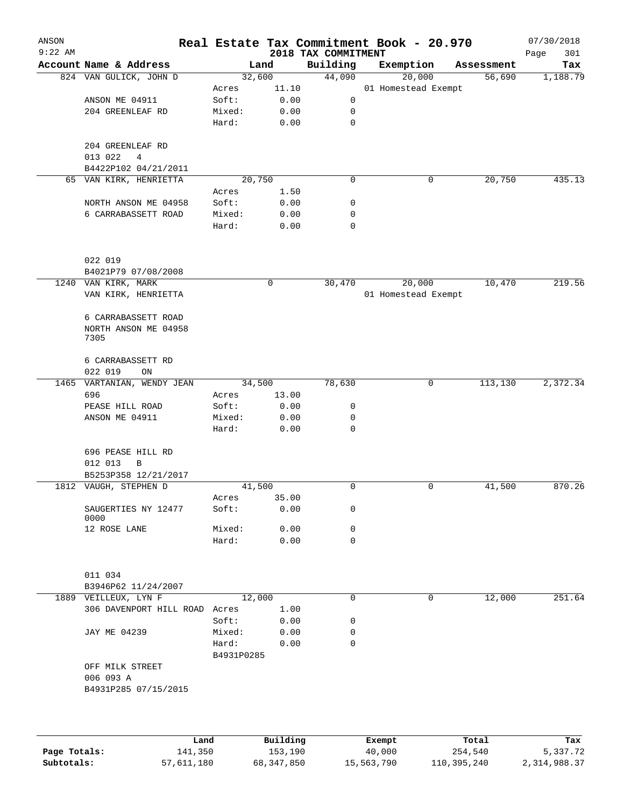| ANSON     |                             |                 |              |                                 | Real Estate Tax Commitment Book - 20.970 |            | 07/30/2018         |
|-----------|-----------------------------|-----------------|--------------|---------------------------------|------------------------------------------|------------|--------------------|
| $9:22$ AM | Account Name & Address      | Land            |              | 2018 TAX COMMITMENT<br>Building | Exemption                                | Assessment | Page<br>301<br>Tax |
|           | 824 VAN GULICK, JOHN D      | 32,600          |              | 44,090                          | 20,000                                   | 56,690     | 1,188.79           |
|           |                             | Acres           | 11.10        |                                 | 01 Homestead Exempt                      |            |                    |
|           | ANSON ME 04911              | Soft:           | 0.00         | 0                               |                                          |            |                    |
|           | 204 GREENLEAF RD            | Mixed:          | 0.00         | 0                               |                                          |            |                    |
|           |                             | Hard:           | 0.00         | 0                               |                                          |            |                    |
|           | 204 GREENLEAF RD            |                 |              |                                 |                                          |            |                    |
|           | 013 022<br>4                |                 |              |                                 |                                          |            |                    |
|           | B4422P102 04/21/2011        |                 |              |                                 |                                          |            |                    |
|           | 65 VAN KIRK, HENRIETTA      | 20,750          |              | 0                               | 0                                        | 20,750     | 435.13             |
|           |                             | Acres           | 1.50         |                                 |                                          |            |                    |
|           | NORTH ANSON ME 04958        | Soft:           | 0.00         | 0                               |                                          |            |                    |
|           | 6 CARRABASSETT ROAD         | Mixed:<br>Hard: | 0.00<br>0.00 | 0<br>$\mathbf 0$                |                                          |            |                    |
|           |                             |                 |              |                                 |                                          |            |                    |
|           | 022 019                     |                 |              |                                 |                                          |            |                    |
|           | B4021P79 07/08/2008         |                 |              |                                 |                                          |            |                    |
|           | 1240 VAN KIRK, MARK         |                 | 0            | 30,470                          | 20,000                                   | 10,470     | 219.56             |
|           | VAN KIRK, HENRIETTA         |                 |              |                                 | 01 Homestead Exempt                      |            |                    |
|           | 6 CARRABASSETT ROAD         |                 |              |                                 |                                          |            |                    |
|           | NORTH ANSON ME 04958        |                 |              |                                 |                                          |            |                    |
|           | 7305                        |                 |              |                                 |                                          |            |                    |
|           |                             |                 |              |                                 |                                          |            |                    |
|           | 6 CARRABASSETT RD           |                 |              |                                 |                                          |            |                    |
|           | 022 019<br>ON               |                 |              |                                 |                                          |            |                    |
| 1465      | VARTANIAN, WENDY JEAN       | 34,500          |              | 78,630                          | 0                                        | 113,130    | 2,372.34           |
|           | 696                         | Acres           | 13.00        |                                 |                                          |            |                    |
|           | PEASE HILL ROAD             | Soft:           | 0.00         | 0                               |                                          |            |                    |
|           | ANSON ME 04911              | Mixed:<br>Hard: | 0.00<br>0.00 | 0<br>$\mathbf 0$                |                                          |            |                    |
|           |                             |                 |              |                                 |                                          |            |                    |
|           | 696 PEASE HILL RD           |                 |              |                                 |                                          |            |                    |
|           | 012 013<br>B                |                 |              |                                 |                                          |            |                    |
|           | B5253P358 12/21/2017        |                 |              |                                 |                                          |            |                    |
|           | 1812 VAUGH, STEPHEN D       | 41,500          |              | 0                               | 0                                        | 41,500     | 870.26             |
|           |                             | Acres           | 35.00        |                                 |                                          |            |                    |
|           | SAUGERTIES NY 12477<br>0000 | Soft:           | 0.00         | 0                               |                                          |            |                    |
|           | 12 ROSE LANE                | Mixed:          | 0.00         | $\mathbf 0$                     |                                          |            |                    |
|           |                             | Hard:           | 0.00         | $\mathbf 0$                     |                                          |            |                    |
|           |                             |                 |              |                                 |                                          |            |                    |
|           | 011 034                     |                 |              |                                 |                                          |            |                    |
|           | B3946P62 11/24/2007         |                 |              |                                 |                                          |            |                    |
|           | 1889 VEILLEUX, LYN F        | 12,000          |              | 0                               | 0                                        | 12,000     | 251.64             |
|           | 306 DAVENPORT HILL ROAD     | Acres           | 1.00         |                                 |                                          |            |                    |
|           |                             | Soft:           | 0.00         | 0                               |                                          |            |                    |
|           | JAY ME 04239                | Mixed:          | 0.00         | 0                               |                                          |            |                    |
|           |                             | Hard:           | 0.00         | 0                               |                                          |            |                    |
|           | OFF MILK STREET             | B4931P0285      |              |                                 |                                          |            |                    |
|           | 006 093 A                   |                 |              |                                 |                                          |            |                    |
|           | B4931P285 07/15/2015        |                 |              |                                 |                                          |            |                    |
|           |                             |                 |              |                                 |                                          |            |                    |
|           |                             |                 |              |                                 |                                          |            |                    |
|           | Land                        |                 | Building     |                                 | Exempt                                   | Total      | Tax                |

|              | Land       | Building   | Exempt     | Total       | Tax          |
|--------------|------------|------------|------------|-------------|--------------|
| Page Totals: | 141,350    | 153,190    | 40,000     | 254,540     | 5,337.72     |
| Subtotals:   | 57,611,180 | 68,347,850 | 15,563,790 | 110,395,240 | 2,314,988.37 |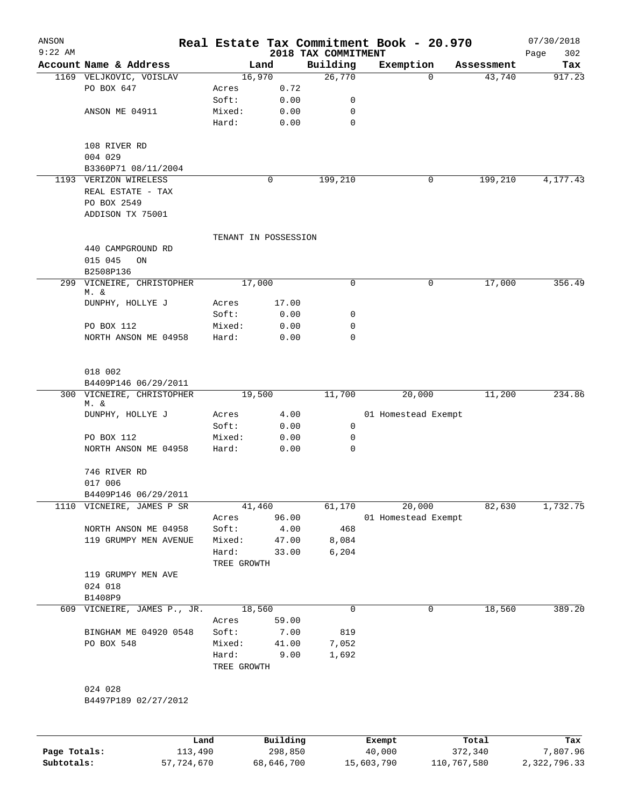| ANSON<br>$9:22$ AM |                                   |             |                      | 2018 TAX COMMITMENT | Real Estate Tax Commitment Book - 20.970 |             |            | 07/30/2018<br>302<br>Page |
|--------------------|-----------------------------------|-------------|----------------------|---------------------|------------------------------------------|-------------|------------|---------------------------|
|                    | Account Name & Address            |             | Land                 | Building            | Exemption                                |             | Assessment | Tax                       |
|                    | 1169 VELJKOVIC, VOISLAV           |             | 16,970               | 26,770              |                                          | $\Omega$    | 43,740     | 917.23                    |
|                    | PO BOX 647                        | Acres       | 0.72                 |                     |                                          |             |            |                           |
|                    |                                   | Soft:       | 0.00                 | 0                   |                                          |             |            |                           |
|                    | ANSON ME 04911                    | Mixed:      | 0.00                 | 0                   |                                          |             |            |                           |
|                    |                                   | Hard:       | 0.00                 | 0                   |                                          |             |            |                           |
|                    | 108 RIVER RD                      |             |                      |                     |                                          |             |            |                           |
|                    | 004 029                           |             |                      |                     |                                          |             |            |                           |
|                    | B3360P71 08/11/2004               |             |                      |                     |                                          |             |            |                           |
|                    | 1193 VERIZON WIRELESS             |             | 0                    | 199,210             |                                          | 0           | 199,210    | 4,177.43                  |
|                    | REAL ESTATE - TAX<br>PO BOX 2549  |             |                      |                     |                                          |             |            |                           |
|                    | ADDISON TX 75001                  |             |                      |                     |                                          |             |            |                           |
|                    |                                   |             | TENANT IN POSSESSION |                     |                                          |             |            |                           |
|                    | 440 CAMPGROUND RD                 |             |                      |                     |                                          |             |            |                           |
|                    | 015 045<br>ON                     |             |                      |                     |                                          |             |            |                           |
|                    | B2508P136                         |             |                      |                     |                                          |             |            |                           |
|                    | 299 VICNEIRE, CHRISTOPHER<br>M. & |             | 17,000               | 0                   |                                          | 0           | 17,000     | 356.49                    |
|                    | DUNPHY, HOLLYE J                  | Acres       | 17.00                |                     |                                          |             |            |                           |
|                    |                                   | Soft:       | 0.00                 | 0                   |                                          |             |            |                           |
|                    | PO BOX 112                        | Mixed:      | 0.00                 | 0                   |                                          |             |            |                           |
|                    | NORTH ANSON ME 04958              | Hard:       | 0.00                 | $\Omega$            |                                          |             |            |                           |
|                    | 018 002                           |             |                      |                     |                                          |             |            |                           |
|                    | B4409P146 06/29/2011              |             |                      |                     |                                          |             |            |                           |
|                    | 300 VICNEIRE, CHRISTOPHER         |             | 19,500               | 11,700              | 20,000                                   |             | 11,200     | 234.86                    |
|                    | M. &                              |             |                      |                     |                                          |             |            |                           |
|                    | DUNPHY, HOLLYE J                  | Acres       | 4.00                 |                     | 01 Homestead Exempt                      |             |            |                           |
|                    |                                   | Soft:       | 0.00                 | 0                   |                                          |             |            |                           |
|                    | PO BOX 112                        | Mixed:      | 0.00                 | 0                   |                                          |             |            |                           |
|                    | NORTH ANSON ME 04958              | Hard:       | 0.00                 | 0                   |                                          |             |            |                           |
|                    | 746 RIVER RD                      |             |                      |                     |                                          |             |            |                           |
|                    | 017 006                           |             |                      |                     |                                          |             |            |                           |
|                    | B4409P146 06/29/2011              |             |                      |                     |                                          |             |            |                           |
|                    | 1110 VICNEIRE, JAMES P SR         |             | 41,460               | 61,170              | 20,000                                   |             | 82,630     | 1,732.75                  |
|                    |                                   | Acres       | 96.00                |                     | 01 Homestead Exempt                      |             |            |                           |
|                    | NORTH ANSON ME 04958              | Soft:       | 4.00                 | 468                 |                                          |             |            |                           |
|                    | 119 GRUMPY MEN AVENUE             | Mixed:      | 47.00                | 8,084               |                                          |             |            |                           |
|                    |                                   | Hard:       | 33.00                | 6,204               |                                          |             |            |                           |
|                    |                                   | TREE GROWTH |                      |                     |                                          |             |            |                           |
|                    | 119 GRUMPY MEN AVE                |             |                      |                     |                                          |             |            |                           |
|                    | 024 018                           |             |                      |                     |                                          |             |            |                           |
|                    | B1408P9                           |             |                      |                     |                                          |             |            |                           |
|                    | 609 VICNEIRE, JAMES P., JR.       |             | 18,560               | 0                   |                                          | 0           | 18,560     | 389.20                    |
|                    |                                   | Acres       | 59.00                |                     |                                          |             |            |                           |
|                    | BINGHAM ME 04920 0548             | Soft:       | 7.00                 | 819                 |                                          |             |            |                           |
|                    | PO BOX 548                        | Mixed:      | 41.00                | 7,052               |                                          |             |            |                           |
|                    |                                   | Hard:       | 9.00                 | 1,692               |                                          |             |            |                           |
|                    |                                   | TREE GROWTH |                      |                     |                                          |             |            |                           |
|                    | 024 028                           |             |                      |                     |                                          |             |            |                           |
|                    | B4497P189 02/27/2012              |             |                      |                     |                                          |             |            |                           |
|                    | Land                              |             | Building             |                     | Exempt                                   |             | Total      | Tax                       |
| Page Totals:       | 113,490                           |             | 298,850              |                     | 40,000                                   |             | 372,340    | 7,807.96                  |
| Subtotals:         | 57,724,670                        |             | 68,646,700           |                     | 15,603,790                               | 110,767,580 |            | 2,322,796.33              |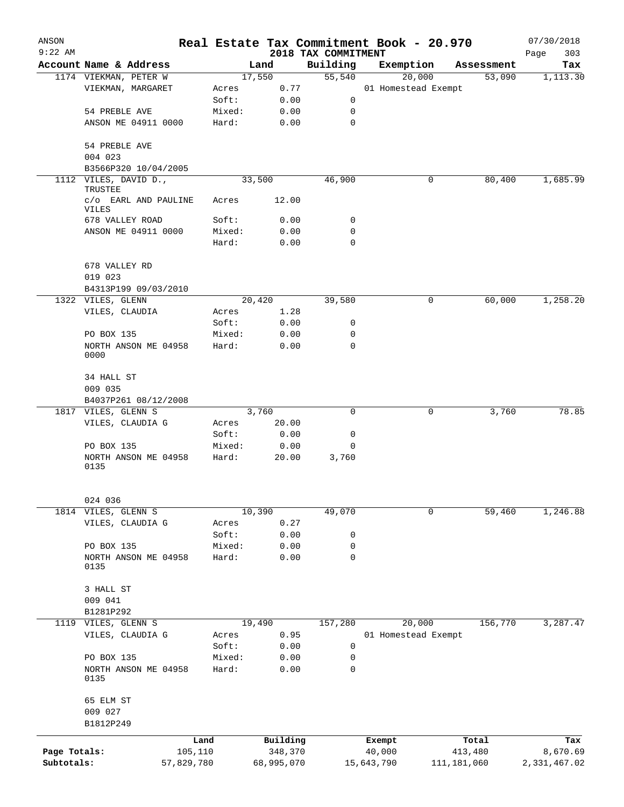| ANSON        |                                                 |            |        |                |                     | Real Estate Tax Commitment Book - 20.970 |                          | 07/30/2018      |
|--------------|-------------------------------------------------|------------|--------|----------------|---------------------|------------------------------------------|--------------------------|-----------------|
| $9:22$ AM    |                                                 |            |        |                | 2018 TAX COMMITMENT |                                          | Assessment               | Page<br>303     |
|              | Account Name & Address<br>1174 VIEKMAN, PETER W |            |        | Land<br>17,550 | Building<br>55,540  | Exemption<br>20,000                      | 53,090                   | Tax<br>1,113.30 |
|              | VIEKMAN, MARGARET                               |            | Acres  | 0.77           |                     | 01 Homestead Exempt                      |                          |                 |
|              |                                                 |            | Soft:  | 0.00           | 0                   |                                          |                          |                 |
|              | 54 PREBLE AVE                                   |            | Mixed: | 0.00           | 0                   |                                          |                          |                 |
|              | ANSON ME 04911 0000                             |            | Hard:  | 0.00           | $\mathbf 0$         |                                          |                          |                 |
|              | 54 PREBLE AVE                                   |            |        |                |                     |                                          |                          |                 |
|              | 004 023                                         |            |        |                |                     |                                          |                          |                 |
|              | B3566P320 10/04/2005                            |            |        |                |                     |                                          |                          |                 |
|              | 1112 VILES, DAVID D.,<br>TRUSTEE                |            |        | 33,500         | 46,900              | 0                                        | 80,400                   | 1,685.99        |
|              | c/o EARL AND PAULINE<br>VILES                   |            | Acres  | 12.00          |                     |                                          |                          |                 |
|              | 678 VALLEY ROAD                                 |            | Soft:  | 0.00           | 0                   |                                          |                          |                 |
|              | ANSON ME 04911 0000                             |            | Mixed: | 0.00           | 0                   |                                          |                          |                 |
|              |                                                 |            | Hard:  | 0.00           | $\mathbf 0$         |                                          |                          |                 |
|              | 678 VALLEY RD                                   |            |        |                |                     |                                          |                          |                 |
|              | 019 023                                         |            |        |                |                     |                                          |                          |                 |
|              | B4313P199 09/03/2010                            |            |        |                |                     |                                          |                          |                 |
|              | 1322 VILES, GLENN                               |            |        | 20,420         | 39,580              | 0                                        | 60,000                   | 1,258.20        |
|              | VILES, CLAUDIA                                  |            | Acres  | 1.28           |                     |                                          |                          |                 |
|              |                                                 |            | Soft:  | 0.00           | 0                   |                                          |                          |                 |
|              | PO BOX 135                                      |            | Mixed: | 0.00           | 0                   |                                          |                          |                 |
|              | NORTH ANSON ME 04958<br>0000                    |            | Hard:  | 0.00           | $\mathbf 0$         |                                          |                          |                 |
|              | 34 HALL ST<br>009 035                           |            |        |                |                     |                                          |                          |                 |
|              | B4037P261 08/12/2008                            |            |        |                |                     |                                          |                          |                 |
|              | 1817 VILES, GLENN S                             |            |        | 3,760          | 0                   | 0                                        | 3,760                    | 78.85           |
|              | VILES, CLAUDIA G                                |            | Acres  | 20.00          |                     |                                          |                          |                 |
|              |                                                 |            | Soft:  | 0.00           | 0                   |                                          |                          |                 |
|              | PO BOX 135                                      |            | Mixed: | 0.00           | $\mathbf 0$         |                                          |                          |                 |
|              | NORTH ANSON ME 04958<br>0135                    |            | Hard:  | 20.00          | 3,760               |                                          |                          |                 |
|              | 024 036                                         |            |        |                |                     |                                          |                          |                 |
| 1814         | VILES, GLENN S                                  |            |        | 10,390         | 49,070              | $\mathbf 0$                              | 59,460                   | 1,246.88        |
|              | VILES, CLAUDIA G                                |            | Acres  | 0.27           |                     |                                          |                          |                 |
|              |                                                 |            | Soft:  | 0.00           | 0                   |                                          |                          |                 |
|              | PO BOX 135                                      |            | Mixed: | 0.00           | 0                   |                                          |                          |                 |
|              | NORTH ANSON ME 04958                            |            | Hard:  | 0.00           | 0                   |                                          |                          |                 |
|              | 0135                                            |            |        |                |                     |                                          |                          |                 |
|              | 3 HALL ST                                       |            |        |                |                     |                                          |                          |                 |
|              | 009 041                                         |            |        |                |                     |                                          |                          |                 |
|              | B1281P292                                       |            |        |                |                     |                                          |                          |                 |
|              | 1119 VILES, GLENN S                             |            |        | 19,490         | 157,280             | 20,000                                   | 156,770                  | 3,287.47        |
|              | VILES, CLAUDIA G                                |            | Acres  | 0.95           |                     | 01 Homestead Exempt                      |                          |                 |
|              |                                                 |            | Soft:  | 0.00           | 0                   |                                          |                          |                 |
|              | PO BOX 135                                      |            | Mixed: | 0.00           | 0                   |                                          |                          |                 |
|              | NORTH ANSON ME 04958<br>0135                    |            | Hard:  | 0.00           | 0                   |                                          |                          |                 |
|              | 65 ELM ST                                       |            |        |                |                     |                                          |                          |                 |
|              | 009 027<br>B1812P249                            |            |        |                |                     |                                          |                          |                 |
|              |                                                 | Land       |        | Building       |                     |                                          | Total                    |                 |
| Page Totals: |                                                 | 105,110    |        | 348,370        |                     | Exempt<br>40,000                         |                          | Tax<br>8,670.69 |
| Subtotals:   |                                                 | 57,829,780 |        | 68,995,070     |                     | 15,643,790                               | 413,480<br>111, 181, 060 | 2,331,467.02    |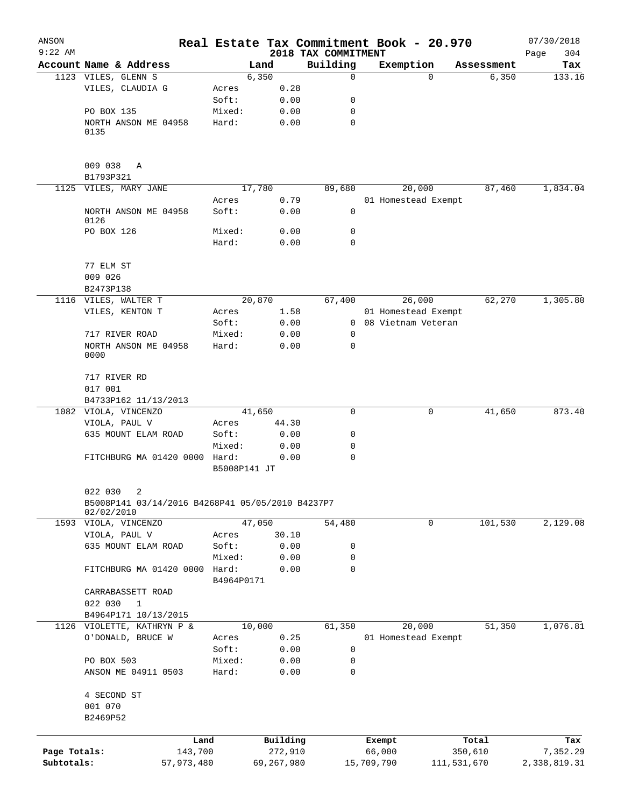| ANSON        |                                                                |                     |               | Real Estate Tax Commitment Book - 20.970 |            |                      |                     | 07/30/2018    |
|--------------|----------------------------------------------------------------|---------------------|---------------|------------------------------------------|------------|----------------------|---------------------|---------------|
| $9:22$ AM    | Account Name & Address                                         |                     |               | 2018 TAX COMMITMENT<br>Building          |            | Exemption            |                     | 304<br>Page   |
|              | 1123 VILES, GLENN S                                            |                     | Land<br>6,350 | $\mathbf 0$                              |            | $\Omega$             | Assessment<br>6,350 | Tax<br>133.16 |
|              | VILES, CLAUDIA G                                               | Acres               | 0.28          |                                          |            |                      |                     |               |
|              |                                                                | Soft:               | 0.00          | 0                                        |            |                      |                     |               |
|              | PO BOX 135                                                     | Mixed:              | 0.00          | 0                                        |            |                      |                     |               |
|              |                                                                |                     |               | 0                                        |            |                      |                     |               |
|              | NORTH ANSON ME 04958<br>0135                                   | Hard:               | 0.00          |                                          |            |                      |                     |               |
|              | 009 038<br>Α                                                   |                     |               |                                          |            |                      |                     |               |
|              | B1793P321                                                      |                     |               |                                          |            |                      |                     |               |
|              | 1125 VILES, MARY JANE                                          |                     | 17,780        | 89,680                                   |            | 20,000               | 87,460              | 1,834.04      |
|              |                                                                | Acres               | 0.79          |                                          |            | 01 Homestead Exempt  |                     |               |
|              | NORTH ANSON ME 04958<br>0126                                   | Soft:               | 0.00          | 0                                        |            |                      |                     |               |
|              | PO BOX 126                                                     | Mixed:              | 0.00          | 0                                        |            |                      |                     |               |
|              |                                                                | Hard:               | 0.00          | $\mathbf 0$                              |            |                      |                     |               |
|              | 77 ELM ST                                                      |                     |               |                                          |            |                      |                     |               |
|              | 009 026                                                        |                     |               |                                          |            |                      |                     |               |
|              | B2473P138                                                      |                     |               |                                          |            |                      |                     |               |
|              | 1116 VILES, WALTER T                                           |                     | 20,870        | 67,400                                   |            | 26,000               | 62,270              | 1,305.80      |
|              | VILES, KENTON T                                                | Acres               | 1.58          |                                          |            | 01 Homestead Exempt  |                     |               |
|              |                                                                | Soft:               | 0.00          |                                          |            | 0 08 Vietnam Veteran |                     |               |
|              | 717 RIVER ROAD                                                 | Mixed:              | 0.00          | 0                                        |            |                      |                     |               |
|              | NORTH ANSON ME 04958<br>0000                                   | Hard:               | 0.00          | $\Omega$                                 |            |                      |                     |               |
|              | 717 RIVER RD                                                   |                     |               |                                          |            |                      |                     |               |
|              | 017 001                                                        |                     |               |                                          |            |                      |                     |               |
|              | B4733P162 11/13/2013                                           |                     |               |                                          |            |                      |                     |               |
|              | 1082 VIOLA, VINCENZO                                           |                     | 41,650        | 0                                        |            | 0                    | 41,650              | 873.40        |
|              | VIOLA, PAUL V                                                  | Acres               | 44.30         |                                          |            |                      |                     |               |
|              | 635 MOUNT ELAM ROAD                                            | Soft:               | 0.00          | 0                                        |            |                      |                     |               |
|              |                                                                | Mixed:              | 0.00          | 0                                        |            |                      |                     |               |
|              | FITCHBURG MA 01420 0000 Hard:                                  | B5008P141 JT        | 0.00          | $\mathbf 0$                              |            |                      |                     |               |
|              | 022 030<br>2                                                   |                     |               |                                          |            |                      |                     |               |
|              | B5008P141 03/14/2016 B4268P41 05/05/2010 B4237P7<br>02/02/2010 |                     |               |                                          |            |                      |                     |               |
|              | 1593 VIOLA, VINCENZO                                           |                     | 47,050        | 54,480                                   |            | 0                    | 101,530             | 2,129.08      |
|              | VIOLA, PAUL V                                                  | Acres               | 30.10         |                                          |            |                      |                     |               |
|              | 635 MOUNT ELAM ROAD                                            | Soft:               | 0.00          | 0                                        |            |                      |                     |               |
|              |                                                                | Mixed:              | 0.00          | 0                                        |            |                      |                     |               |
|              | FITCHBURG MA 01420 0000                                        | Hard:<br>B4964P0171 | 0.00          | 0                                        |            |                      |                     |               |
|              | CARRABASSETT ROAD                                              |                     |               |                                          |            |                      |                     |               |
|              | 022 030<br>$\mathbf{1}$                                        |                     |               |                                          |            |                      |                     |               |
|              | B4964P171 10/13/2015                                           |                     |               |                                          |            |                      |                     |               |
|              | 1126 VIOLETTE, KATHRYN P &                                     |                     | 10,000        | 61,350                                   |            | 20,000               | 51,350              | 1,076.81      |
|              | O'DONALD, BRUCE W                                              | Acres               | 0.25          |                                          |            | 01 Homestead Exempt  |                     |               |
|              |                                                                | Soft:               | 0.00          | 0                                        |            |                      |                     |               |
|              | PO BOX 503                                                     | Mixed:              | 0.00          | 0                                        |            |                      |                     |               |
|              | ANSON ME 04911 0503                                            | Hard:               | 0.00          | 0                                        |            |                      |                     |               |
|              | 4 SECOND ST<br>001 070                                         |                     |               |                                          |            |                      |                     |               |
|              | B2469P52                                                       |                     |               |                                          |            |                      |                     |               |
|              |                                                                |                     |               |                                          |            |                      |                     |               |
|              |                                                                | Land                | Building      |                                          | Exempt     |                      | Total               | Tax           |
| Page Totals: | 143,700                                                        |                     | 272,910       |                                          | 66,000     |                      | 350,610             | 7,352.29      |
| Subtotals:   | 57,973,480                                                     |                     | 69,267,980    |                                          | 15,709,790 |                      | 111,531,670         | 2,338,819.31  |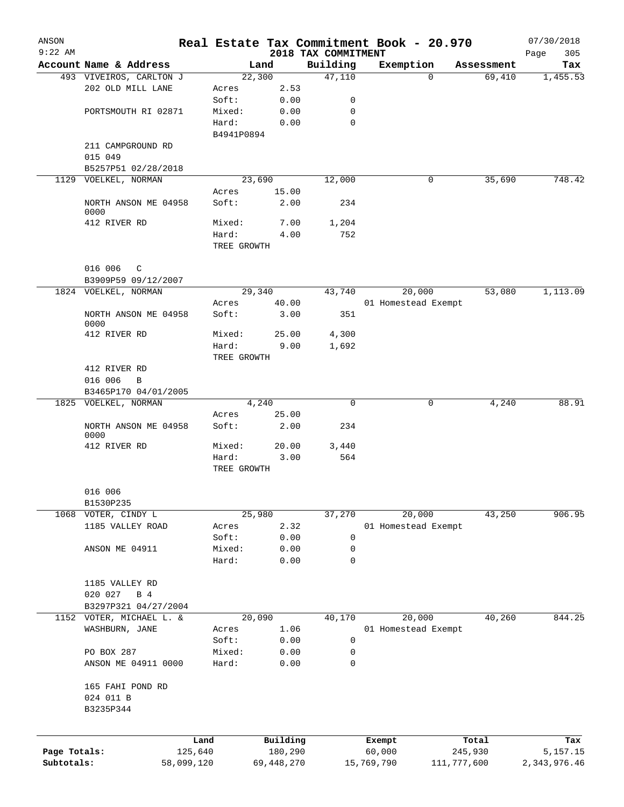| ANSON        |                                              |            |                |              |                     | Real Estate Tax Commitment Book - 20.970 |             |            | 07/30/2018   |
|--------------|----------------------------------------------|------------|----------------|--------------|---------------------|------------------------------------------|-------------|------------|--------------|
| $9:22$ AM    |                                              |            |                |              | 2018 TAX COMMITMENT |                                          |             |            | 305<br>Page  |
|              | Account Name & Address                       |            |                | Land         | Building            | Exemption                                |             | Assessment | Tax          |
|              | 493 VIVEIROS, CARLTON J<br>202 OLD MILL LANE |            |                | 22,300       | 47,110              |                                          | 0           | 69,410     | 1,455.53     |
|              |                                              |            | Acres<br>Soft: | 2.53<br>0.00 | 0                   |                                          |             |            |              |
|              | PORTSMOUTH RI 02871                          |            | Mixed:         | 0.00         | $\mathbf 0$         |                                          |             |            |              |
|              |                                              |            | Hard:          | 0.00         | $\mathbf 0$         |                                          |             |            |              |
|              |                                              |            | B4941P0894     |              |                     |                                          |             |            |              |
|              | 211 CAMPGROUND RD                            |            |                |              |                     |                                          |             |            |              |
|              | 015 049                                      |            |                |              |                     |                                          |             |            |              |
|              | B5257P51 02/28/2018                          |            |                |              |                     |                                          |             |            |              |
|              | 1129 VOELKEL, NORMAN                         |            |                | 23,690       | 12,000              |                                          | 0           | 35,690     | 748.42       |
|              |                                              |            | Acres          | 15.00        |                     |                                          |             |            |              |
|              | NORTH ANSON ME 04958                         |            | Soft:          | 2.00         | 234                 |                                          |             |            |              |
|              | 0000                                         |            |                |              |                     |                                          |             |            |              |
|              | 412 RIVER RD                                 |            | Mixed:         | 7.00         | 1,204               |                                          |             |            |              |
|              |                                              |            | Hard:          | 4.00         | 752                 |                                          |             |            |              |
|              |                                              |            | TREE GROWTH    |              |                     |                                          |             |            |              |
|              |                                              |            |                |              |                     |                                          |             |            |              |
|              | 016 006<br>$\mathbb{C}$                      |            |                |              |                     |                                          |             |            |              |
|              | B3909P59 09/12/2007                          |            |                |              |                     |                                          |             |            |              |
|              | 1824 VOELKEL, NORMAN                         |            |                | 29,340       | 43,740              | 20,000                                   |             | 53,080     | 1,113.09     |
|              |                                              |            | Acres          | 40.00        |                     | 01 Homestead Exempt                      |             |            |              |
|              | NORTH ANSON ME 04958                         |            | Soft:          | 3.00         | 351                 |                                          |             |            |              |
|              | 0000                                         |            |                |              |                     |                                          |             |            |              |
|              | 412 RIVER RD                                 |            | Mixed:         | 25.00        | 4,300               |                                          |             |            |              |
|              |                                              |            | Hard:          | 9.00         | 1,692               |                                          |             |            |              |
|              |                                              |            | TREE GROWTH    |              |                     |                                          |             |            |              |
|              | 412 RIVER RD                                 |            |                |              |                     |                                          |             |            |              |
|              | 016 006<br>B                                 |            |                |              |                     |                                          |             |            |              |
|              | B3465P170 04/01/2005<br>1825 VOELKEL, NORMAN |            |                | 4,240        | 0                   |                                          | 0           |            | 88.91        |
|              |                                              |            | Acres          | 25.00        |                     |                                          |             | 4,240      |              |
|              | NORTH ANSON ME 04958                         |            | Soft:          | 2.00         | 234                 |                                          |             |            |              |
|              | 0000                                         |            |                |              |                     |                                          |             |            |              |
|              | 412 RIVER RD                                 |            | Mixed:         | 20.00        | 3,440               |                                          |             |            |              |
|              |                                              |            | Hard:          | 3.00         | 564                 |                                          |             |            |              |
|              |                                              |            | TREE GROWTH    |              |                     |                                          |             |            |              |
|              |                                              |            |                |              |                     |                                          |             |            |              |
|              | 016 006                                      |            |                |              |                     |                                          |             |            |              |
|              | B1530P235                                    |            |                |              |                     |                                          |             |            |              |
|              | 1068 VOTER, CINDY L                          |            |                | 25,980       | 37,270              | 20,000                                   |             | 43,250     | 906.95       |
|              | 1185 VALLEY ROAD                             |            | Acres          | 2.32         |                     | 01 Homestead Exempt                      |             |            |              |
|              |                                              |            | Soft:          | 0.00         | $\mathbf 0$         |                                          |             |            |              |
|              | ANSON ME 04911                               |            | Mixed:         | 0.00         | $\mathbf 0$         |                                          |             |            |              |
|              |                                              |            | Hard:          | 0.00         | $\mathbf 0$         |                                          |             |            |              |
|              |                                              |            |                |              |                     |                                          |             |            |              |
|              | 1185 VALLEY RD                               |            |                |              |                     |                                          |             |            |              |
|              | 020 027<br>B 4                               |            |                |              |                     |                                          |             |            |              |
|              | B3297P321 04/27/2004                         |            |                |              |                     |                                          |             |            |              |
|              | 1152 VOTER, MICHAEL L. &                     |            |                | 20,090       | 40,170              | 20,000                                   |             | 40,260     | 844.25       |
|              | WASHBURN, JANE                               |            | Acres          | 1.06         |                     | 01 Homestead Exempt                      |             |            |              |
|              |                                              |            | Soft:          | 0.00         | 0                   |                                          |             |            |              |
|              | PO BOX 287                                   |            | Mixed:         | 0.00         | 0                   |                                          |             |            |              |
|              | ANSON ME 04911 0000                          |            | Hard:          | 0.00         | 0                   |                                          |             |            |              |
|              |                                              |            |                |              |                     |                                          |             |            |              |
|              | 165 FAHI POND RD                             |            |                |              |                     |                                          |             |            |              |
|              | 024 011 B                                    |            |                |              |                     |                                          |             |            |              |
|              | B3235P344                                    |            |                |              |                     |                                          |             |            |              |
|              |                                              |            |                |              |                     |                                          |             |            |              |
|              |                                              | Land       |                | Building     |                     | Exempt                                   |             | Total      | Tax          |
| Page Totals: |                                              | 125,640    |                | 180,290      |                     | 60,000                                   |             | 245,930    | 5,157.15     |
| Subtotals:   |                                              | 58,099,120 |                | 69, 448, 270 |                     | 15,769,790                               | 111,777,600 |            | 2,343,976.46 |
|              |                                              |            |                |              |                     |                                          |             |            |              |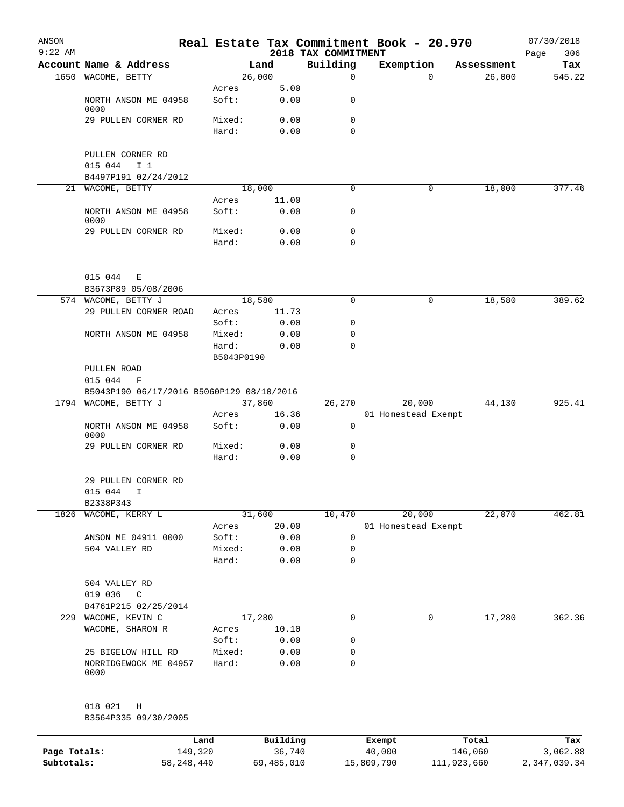| ANSON<br>$9:22$ AM |                                                   |            |          | 2018 TAX COMMITMENT | Real Estate Tax Commitment Book - 20.970 |            | 07/30/2018<br>306<br>Page |
|--------------------|---------------------------------------------------|------------|----------|---------------------|------------------------------------------|------------|---------------------------|
|                    | Account Name & Address                            |            | Land     | Building            | Exemption                                | Assessment | Tax                       |
|                    | 1650 WACOME, BETTY                                |            | 26,000   | $\mathbf 0$         | $\Omega$                                 | 26,000     | 545.22                    |
|                    |                                                   | Acres      | 5.00     |                     |                                          |            |                           |
|                    | NORTH ANSON ME 04958<br>0000                      | Soft:      | 0.00     | 0                   |                                          |            |                           |
|                    | 29 PULLEN CORNER RD                               | Mixed:     | 0.00     | 0                   |                                          |            |                           |
|                    |                                                   | Hard:      | 0.00     | 0                   |                                          |            |                           |
|                    | PULLEN CORNER RD                                  |            |          |                     |                                          |            |                           |
|                    | 015 044<br>I <sub>1</sub><br>B4497P191 02/24/2012 |            |          |                     |                                          |            |                           |
|                    | 21 WACOME, BETTY                                  |            | 18,000   | 0                   | 0                                        | 18,000     | 377.46                    |
|                    |                                                   | Acres      | 11.00    |                     |                                          |            |                           |
|                    | NORTH ANSON ME 04958<br>0000                      | Soft:      | 0.00     | 0                   |                                          |            |                           |
|                    | 29 PULLEN CORNER RD                               | Mixed:     | 0.00     | 0                   |                                          |            |                           |
|                    |                                                   | Hard:      | 0.00     | 0                   |                                          |            |                           |
|                    | 015 044<br>Е                                      |            |          |                     |                                          |            |                           |
|                    | B3673P89 05/08/2006                               |            |          |                     |                                          |            |                           |
|                    | 574 WACOME, BETTY J                               |            | 18,580   | 0                   | 0                                        | 18,580     | 389.62                    |
|                    | 29 PULLEN CORNER ROAD                             | Acres      | 11.73    |                     |                                          |            |                           |
|                    |                                                   | Soft:      | 0.00     | 0                   |                                          |            |                           |
|                    | NORTH ANSON ME 04958                              | Mixed:     | 0.00     | 0                   |                                          |            |                           |
|                    |                                                   | Hard:      | 0.00     | 0                   |                                          |            |                           |
|                    |                                                   | B5043P0190 |          |                     |                                          |            |                           |
|                    | PULLEN ROAD<br>015 044<br>F                       |            |          |                     |                                          |            |                           |
|                    | B5043P190 06/17/2016 B5060P129 08/10/2016         |            |          |                     |                                          |            |                           |
|                    | 1794 WACOME, BETTY J                              |            | 37,860   | 26,270              | 20,000                                   | 44,130     | 925.41                    |
|                    |                                                   | Acres      | 16.36    |                     | 01 Homestead Exempt                      |            |                           |
|                    | NORTH ANSON ME 04958<br>0000                      | Soft:      | 0.00     | 0                   |                                          |            |                           |
|                    | 29 PULLEN CORNER RD                               | Mixed:     | 0.00     | 0                   |                                          |            |                           |
|                    |                                                   | Hard:      | 0.00     | 0                   |                                          |            |                           |
|                    | 29 PULLEN CORNER RD                               |            |          |                     |                                          |            |                           |
|                    | 015 044<br>I                                      |            |          |                     |                                          |            |                           |
|                    | B2338P343                                         |            |          |                     |                                          |            |                           |
| 1826               | WACOME, KERRY L                                   |            | 31,600   | 10,470              | 20,000                                   | 22,070     | 462.81                    |
|                    |                                                   | Acres      | 20.00    |                     | 01 Homestead Exempt                      |            |                           |
|                    | ANSON ME 04911 0000                               | Soft:      | 0.00     | 0                   |                                          |            |                           |
|                    | 504 VALLEY RD                                     | Mixed:     | 0.00     | 0                   |                                          |            |                           |
|                    |                                                   | Hard:      | 0.00     | 0                   |                                          |            |                           |
|                    | 504 VALLEY RD                                     |            |          |                     |                                          |            |                           |
|                    | 019 036<br>C                                      |            |          |                     |                                          |            |                           |
|                    | B4761P215 02/25/2014                              |            |          |                     |                                          |            |                           |
|                    | 229 WACOME, KEVIN C                               |            | 17,280   | 0                   | 0                                        | 17,280     | 362.36                    |
|                    | WACOME, SHARON R                                  | Acres      | 10.10    |                     |                                          |            |                           |
|                    |                                                   | Soft:      | 0.00     | 0                   |                                          |            |                           |
|                    | 25 BIGELOW HILL RD                                | Mixed:     | 0.00     | 0                   |                                          |            |                           |
|                    | NORRIDGEWOCK ME 04957<br>0000                     | Hard:      | 0.00     | $\mathbf 0$         |                                          |            |                           |
|                    | 018 021<br>Η                                      |            |          |                     |                                          |            |                           |
|                    | B3564P335 09/30/2005                              |            |          |                     |                                          |            |                           |
|                    | Land                                              |            | Building |                     | Exempt                                   | Total      | Tax                       |
| Page Totals:       | 149,320                                           |            | 36,740   |                     | 40,000                                   | 146,060    | 3,062.88                  |

**Subtotals:** 58,248,440 69,485,010 15,809,790 111,923,660 2,347,039.34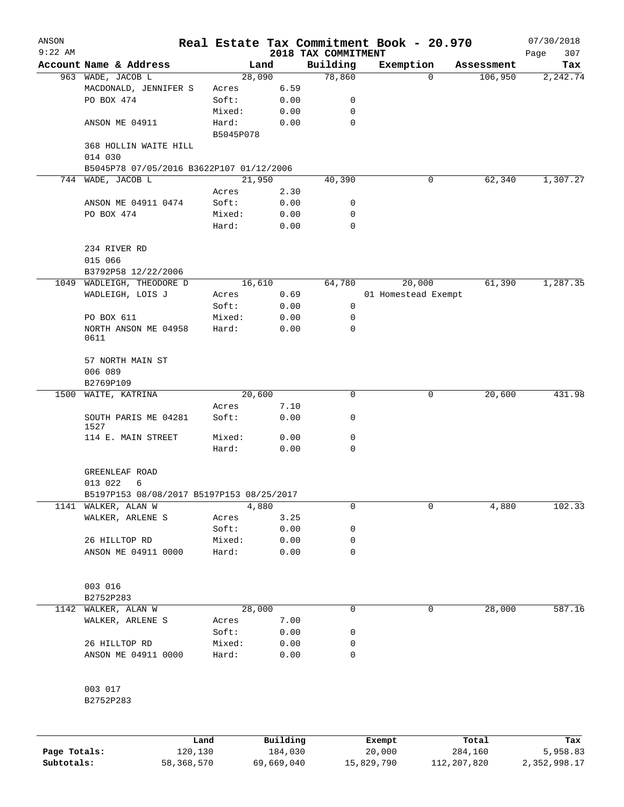| ANSON        |                                           |                    |                     |                                 | Real Estate Tax Commitment Book - 20.970 |         |            | 07/30/2018         |
|--------------|-------------------------------------------|--------------------|---------------------|---------------------------------|------------------------------------------|---------|------------|--------------------|
| $9:22$ AM    | Account Name & Address                    |                    | Land                | 2018 TAX COMMITMENT<br>Building | Exemption                                |         | Assessment | 307<br>Page<br>Tax |
|              | 963 WADE, JACOB L                         | 28,090             |                     | 78,860                          |                                          | 0       | 106,950    | 2,242.74           |
|              | MACDONALD, JENNIFER S                     | Acres              | 6.59                |                                 |                                          |         |            |                    |
|              | PO BOX 474                                | Soft:              | 0.00                | 0                               |                                          |         |            |                    |
|              |                                           | Mixed:             | 0.00                | 0                               |                                          |         |            |                    |
|              | ANSON ME 04911                            | Hard:<br>B5045P078 | 0.00                | 0                               |                                          |         |            |                    |
|              | 368 HOLLIN WAITE HILL<br>014 030          |                    |                     |                                 |                                          |         |            |                    |
|              | B5045P78 07/05/2016 B3622P107 01/12/2006  |                    |                     |                                 |                                          |         |            |                    |
|              | 744 WADE, JACOB L                         | 21,950             |                     | 40,390                          |                                          | 0       | 62,340     | 1,307.27           |
|              |                                           | Acres              | 2.30                |                                 |                                          |         |            |                    |
|              | ANSON ME 04911 0474                       | Soft:              | 0.00                | 0                               |                                          |         |            |                    |
|              | PO BOX 474                                | Mixed:<br>Hard:    | 0.00<br>0.00        | 0<br>0                          |                                          |         |            |                    |
|              | 234 RIVER RD<br>015 066                   |                    |                     |                                 |                                          |         |            |                    |
|              | B3792P58 12/22/2006                       |                    |                     |                                 |                                          |         |            |                    |
|              | 1049 WADLEIGH, THEODORE D                 | 16,610             |                     | 64,780                          | 20,000                                   |         | 61,390     | 1,287.35           |
|              | WADLEIGH, LOIS J                          | Acres              | 0.69                |                                 | 01 Homestead Exempt                      |         |            |                    |
|              | PO BOX 611                                | Soft:<br>Mixed:    | 0.00<br>0.00        | 0<br>0                          |                                          |         |            |                    |
|              | NORTH ANSON ME 04958<br>0611              | Hard:              | 0.00                | 0                               |                                          |         |            |                    |
|              | 57 NORTH MAIN ST<br>006 089               |                    |                     |                                 |                                          |         |            |                    |
|              | B2769P109                                 |                    |                     |                                 |                                          |         |            |                    |
| 1500         | WAITE, KATRINA                            | 20,600             | 7.10                | 0                               |                                          | 0       | 20,600     | 431.98             |
|              | SOUTH PARIS ME 04281<br>1527              | Acres<br>Soft:     | 0.00                | 0                               |                                          |         |            |                    |
|              | 114 E. MAIN STREET                        | Mixed:<br>Hard:    | 0.00<br>0.00        | 0<br>$\mathbf 0$                |                                          |         |            |                    |
|              | GREENLEAF ROAD<br>013 022<br>6            |                    |                     |                                 |                                          |         |            |                    |
|              | B5197P153 08/08/2017 B5197P153 08/25/2017 |                    |                     |                                 |                                          |         |            |                    |
| 1141         | WALKER, ALAN W                            |                    | 4,880               | 0                               |                                          | 0       | 4,880      | 102.33             |
|              | WALKER, ARLENE S                          | Acres              | 3.25                |                                 |                                          |         |            |                    |
|              |                                           | Soft:              | 0.00                | 0                               |                                          |         |            |                    |
|              | 26 HILLTOP RD                             | Mixed:             | 0.00                | 0                               |                                          |         |            |                    |
|              | ANSON ME 04911 0000                       | Hard:              | 0.00                | 0                               |                                          |         |            |                    |
|              | 003 016<br>B2752P283                      |                    |                     |                                 |                                          |         |            |                    |
| 1142         | WALKER, ALAN W                            | 28,000             |                     | 0                               |                                          | 0       | 28,000     | 587.16             |
|              | WALKER, ARLENE S                          | Acres              | 7.00                |                                 |                                          |         |            |                    |
|              |                                           | Soft:              | 0.00                | 0                               |                                          |         |            |                    |
|              | 26 HILLTOP RD                             | Mixed:             | 0.00                | 0                               |                                          |         |            |                    |
|              | ANSON ME 04911 0000                       | Hard:              | 0.00                | 0                               |                                          |         |            |                    |
|              | 003 017<br>B2752P283                      |                    |                     |                                 |                                          |         |            |                    |
|              |                                           |                    |                     |                                 |                                          |         |            |                    |
| Page Totals: | Land<br>120,130                           |                    | Building<br>184,030 |                                 | Exempt<br>20,000                         | 284,160 | Total      | Tax<br>5,958.83    |

**Subtotals:** 58,368,570 69,669,040 15,829,790 112,207,820 2,352,998.17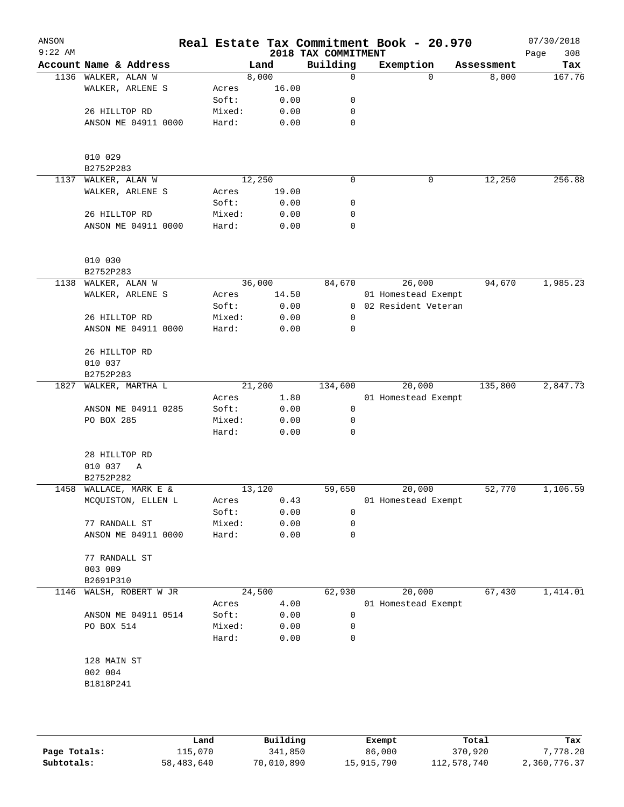| ANSON<br>$9:22$ AM |                         |        |        |       | 2018 TAX COMMITMENT | Real Estate Tax Commitment Book - 20.970 |            | 07/30/2018<br>308<br>Page |
|--------------------|-------------------------|--------|--------|-------|---------------------|------------------------------------------|------------|---------------------------|
|                    | Account Name & Address  |        | Land   |       | Building            | Exemption                                | Assessment | Tax                       |
|                    | 1136 WALKER, ALAN W     |        | 8,000  |       | $\mathbf 0$         | $\Omega$                                 | 8,000      | 167.76                    |
|                    | WALKER, ARLENE S        | Acres  |        | 16.00 |                     |                                          |            |                           |
|                    |                         | Soft:  |        | 0.00  | 0                   |                                          |            |                           |
|                    | 26 HILLTOP RD           | Mixed: |        | 0.00  | 0                   |                                          |            |                           |
|                    | ANSON ME 04911 0000     | Hard:  |        | 0.00  | $\mathbf 0$         |                                          |            |                           |
|                    |                         |        |        |       |                     |                                          |            |                           |
|                    |                         |        |        |       |                     |                                          |            |                           |
|                    | 010 029                 |        |        |       |                     |                                          |            |                           |
|                    | B2752P283               |        |        |       |                     |                                          |            |                           |
| 1137               | WALKER, ALAN W          |        | 12,250 |       | $\mathsf{O}$        | 0                                        | 12, 250    | 256.88                    |
|                    | WALKER, ARLENE S        | Acres  |        | 19.00 |                     |                                          |            |                           |
|                    |                         | Soft:  |        | 0.00  | 0                   |                                          |            |                           |
|                    | 26 HILLTOP RD           | Mixed: |        | 0.00  | 0                   |                                          |            |                           |
|                    | ANSON ME 04911 0000     | Hard:  |        | 0.00  | 0                   |                                          |            |                           |
|                    |                         |        |        |       |                     |                                          |            |                           |
|                    |                         |        |        |       |                     |                                          |            |                           |
|                    | 010 030                 |        |        |       |                     |                                          |            |                           |
|                    | B2752P283               |        |        |       |                     |                                          |            |                           |
| 1138               | WALKER, ALAN W          |        | 36,000 |       | 84,670              | 26,000                                   | 94,670     | 1,985.23                  |
|                    | WALKER, ARLENE S        | Acres  |        | 14.50 |                     | 01 Homestead Exempt                      |            |                           |
|                    |                         | Soft:  |        | 0.00  | 0                   | 02 Resident Veteran                      |            |                           |
|                    | 26 HILLTOP RD           | Mixed: |        | 0.00  | 0                   |                                          |            |                           |
|                    | ANSON ME 04911 0000     | Hard:  |        | 0.00  | $\mathbf 0$         |                                          |            |                           |
|                    |                         |        |        |       |                     |                                          |            |                           |
|                    | 26 HILLTOP RD           |        |        |       |                     |                                          |            |                           |
|                    | 010 037                 |        |        |       |                     |                                          |            |                           |
|                    | B2752P283               |        |        |       |                     |                                          |            |                           |
| 1827               | WALKER, MARTHA L        |        | 21,200 |       | 134,600             | 20,000                                   | 135,800    | 2,847.73                  |
|                    |                         | Acres  |        | 1.80  |                     | 01 Homestead Exempt                      |            |                           |
|                    | ANSON ME 04911 0285     | Soft:  |        | 0.00  | 0                   |                                          |            |                           |
|                    | PO BOX 285              | Mixed: |        | 0.00  | $\mathbf 0$         |                                          |            |                           |
|                    |                         | Hard:  |        | 0.00  | $\mathbf 0$         |                                          |            |                           |
|                    |                         |        |        |       |                     |                                          |            |                           |
|                    | 28 HILLTOP RD           |        |        |       |                     |                                          |            |                           |
|                    | 010 037<br>A            |        |        |       |                     |                                          |            |                           |
|                    | B2752P282               |        |        |       |                     |                                          |            |                           |
| 1458               | WALLACE, MARK E &       |        | 13,120 |       | 59,650              | 20,000                                   | 52,770     | 1,106.59                  |
|                    | MCQUISTON, ELLEN L      | Acres  |        | 0.43  |                     | 01 Homestead Exempt                      |            |                           |
|                    |                         | Soft:  |        | 0.00  | 0                   |                                          |            |                           |
|                    | 77 RANDALL ST           | Mixed: |        | 0.00  | 0                   |                                          |            |                           |
|                    | ANSON ME 04911 0000     | Hard:  |        | 0.00  | 0                   |                                          |            |                           |
|                    |                         |        |        |       |                     |                                          |            |                           |
|                    | 77 RANDALL ST           |        |        |       |                     |                                          |            |                           |
|                    | 003 009                 |        |        |       |                     |                                          |            |                           |
|                    | B2691P310               |        |        |       |                     |                                          |            |                           |
|                    |                         |        |        |       |                     |                                          |            |                           |
|                    | 1146 WALSH, ROBERT W JR |        | 24,500 |       | 62,930              | 20,000                                   | 67,430     | 1,414.01                  |
|                    |                         | Acres  |        | 4.00  |                     | 01 Homestead Exempt                      |            |                           |
|                    | ANSON ME 04911 0514     | Soft:  |        | 0.00  | 0                   |                                          |            |                           |
|                    | PO BOX 514              | Mixed: |        | 0.00  | 0                   |                                          |            |                           |
|                    |                         | Hard:  |        | 0.00  | 0                   |                                          |            |                           |
|                    |                         |        |        |       |                     |                                          |            |                           |
|                    | 128 MAIN ST             |        |        |       |                     |                                          |            |                           |
|                    | 002 004                 |        |        |       |                     |                                          |            |                           |
|                    | B1818P241               |        |        |       |                     |                                          |            |                           |
|                    |                         |        |        |       |                     |                                          |            |                           |
|                    |                         |        |        |       |                     |                                          |            |                           |
|                    |                         |        |        |       |                     |                                          |            |                           |

|              | Land       | Building   | Exempt     | Total       | Tax          |
|--------------|------------|------------|------------|-------------|--------------|
| Page Totals: | 115,070    | 341,850    | 86,000     | 370,920     | 7,778.20     |
| Subtotals:   | 58,483,640 | 70,010,890 | 15,915,790 | 112,578,740 | 2,360,776.37 |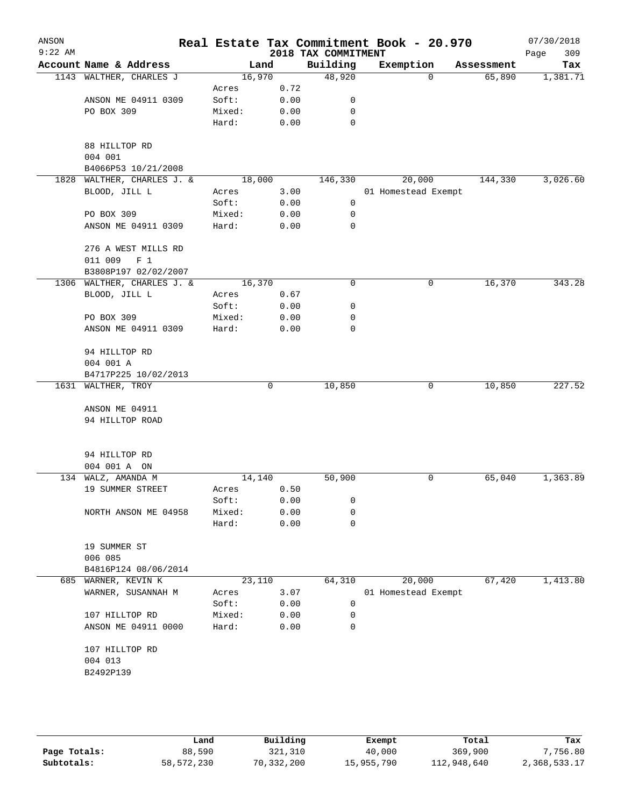| ANSON<br>$9:22$ AM |                               |        |      |                                 | Real Estate Tax Commitment Book - 20.970 |            | 07/30/2018         |
|--------------------|-------------------------------|--------|------|---------------------------------|------------------------------------------|------------|--------------------|
|                    | Account Name & Address        |        | Land | 2018 TAX COMMITMENT<br>Building | Exemption                                | Assessment | 309<br>Page<br>Tax |
|                    | 1143 WALTHER, CHARLES J       | 16,970 |      | 48,920                          | $\Omega$                                 | 65,890     | 1,381.71           |
|                    |                               | Acres  | 0.72 |                                 |                                          |            |                    |
|                    | ANSON ME 04911 0309           | Soft:  | 0.00 | 0                               |                                          |            |                    |
|                    | PO BOX 309                    | Mixed: | 0.00 | 0                               |                                          |            |                    |
|                    |                               | Hard:  | 0.00 | $\mathbf 0$                     |                                          |            |                    |
|                    | 88 HILLTOP RD                 |        |      |                                 |                                          |            |                    |
|                    | 004 001                       |        |      |                                 |                                          |            |                    |
|                    | B4066P53 10/21/2008           |        |      |                                 |                                          |            |                    |
| 1828               | WALTHER, CHARLES J. &         | 18,000 |      | 146,330                         | 20,000                                   | 144,330    | 3,026.60           |
|                    | BLOOD, JILL L                 | Acres  | 3.00 |                                 | 01 Homestead Exempt                      |            |                    |
|                    |                               | Soft:  | 0.00 | 0                               |                                          |            |                    |
|                    | PO BOX 309                    | Mixed: | 0.00 | 0                               |                                          |            |                    |
|                    | ANSON ME 04911 0309           | Hard:  | 0.00 | 0                               |                                          |            |                    |
|                    | 276 A WEST MILLS RD           |        |      |                                 |                                          |            |                    |
|                    | 011 009<br>$F_1$              |        |      |                                 |                                          |            |                    |
|                    | B3808P197 02/02/2007          |        |      |                                 |                                          |            |                    |
|                    | 1306 WALTHER, CHARLES J. &    | 16,370 |      | 0                               | 0                                        | 16,370     | 343.28             |
|                    | BLOOD, JILL L                 | Acres  | 0.67 |                                 |                                          |            |                    |
|                    |                               | Soft:  | 0.00 | 0                               |                                          |            |                    |
|                    | PO BOX 309                    | Mixed: | 0.00 | 0                               |                                          |            |                    |
|                    | ANSON ME 04911 0309           | Hard:  | 0.00 | 0                               |                                          |            |                    |
|                    | 94 HILLTOP RD                 |        |      |                                 |                                          |            |                    |
|                    | 004 001 A                     |        |      |                                 |                                          |            |                    |
|                    | B4717P225 10/02/2013          |        |      |                                 |                                          |            |                    |
|                    | 1631 WALTHER, TROY            |        | 0    | 10,850                          | 0                                        | 10,850     | 227.52             |
|                    | ANSON ME 04911                |        |      |                                 |                                          |            |                    |
|                    | 94 HILLTOP ROAD               |        |      |                                 |                                          |            |                    |
|                    |                               |        |      |                                 |                                          |            |                    |
|                    | 94 HILLTOP RD<br>004 001 A ON |        |      |                                 |                                          |            |                    |
|                    | 134 WALZ, AMANDA M            | 14,140 |      | 50,900                          | 0                                        | 65,040     | 1,363.89           |
|                    | 19 SUMMER STREET              | Acres  | 0.50 |                                 |                                          |            |                    |
|                    |                               | Soft:  | 0.00 | 0                               |                                          |            |                    |
|                    | NORTH ANSON ME 04958          | Mixed: | 0.00 | 0                               |                                          |            |                    |
|                    |                               | Hard:  | 0.00 | $\mathbf 0$                     |                                          |            |                    |
|                    | 19 SUMMER ST                  |        |      |                                 |                                          |            |                    |
|                    | 006 085                       |        |      |                                 |                                          |            |                    |
|                    | B4816P124 08/06/2014          |        |      |                                 |                                          |            |                    |
|                    | 685 WARNER, KEVIN K           | 23,110 |      | 64,310                          | 20,000                                   | 67,420     | 1,413.80           |
|                    | WARNER, SUSANNAH M            | Acres  | 3.07 |                                 | 01 Homestead Exempt                      |            |                    |
|                    |                               | Soft:  | 0.00 | 0                               |                                          |            |                    |
|                    | 107 HILLTOP RD                | Mixed: | 0.00 | 0                               |                                          |            |                    |
|                    | ANSON ME 04911 0000           | Hard:  | 0.00 | 0                               |                                          |            |                    |
|                    | 107 HILLTOP RD                |        |      |                                 |                                          |            |                    |
|                    | 004 013                       |        |      |                                 |                                          |            |                    |
|                    | B2492P139                     |        |      |                                 |                                          |            |                    |
|                    |                               |        |      |                                 |                                          |            |                    |
|                    |                               |        |      |                                 |                                          |            |                    |

|              | Land       | Building   | Exempt     | Total       | Tax          |
|--------------|------------|------------|------------|-------------|--------------|
| Page Totals: | 88,590     | 321,310    | 40,000     | 369,900     | 7,756.80     |
| Subtotals:   | 58,572,230 | 70,332,200 | 15,955,790 | 112,948,640 | 2,368,533.17 |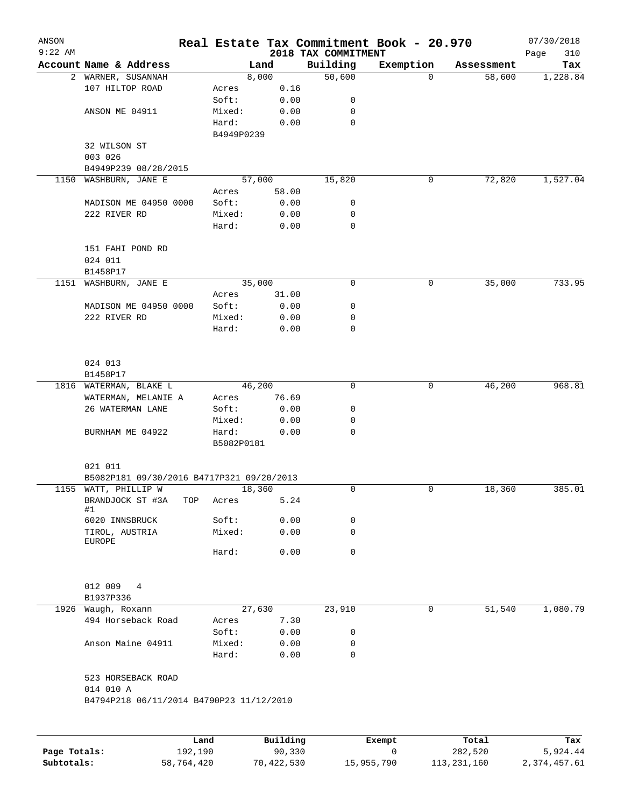| ANSON<br>$9:22$ AM |                                                       |      |            |          | 2018 TAX COMMITMENT | Real Estate Tax Commitment Book - 20.970 |            | 07/30/2018<br>Page<br>310 |  |  |
|--------------------|-------------------------------------------------------|------|------------|----------|---------------------|------------------------------------------|------------|---------------------------|--|--|
|                    | Account Name & Address                                |      | Land       |          | Building            | Exemption                                | Assessment | Tax                       |  |  |
|                    | 2 WARNER, SUSANNAH                                    |      | 8,000      |          | 50,600              | $\mathbf 0$                              | 58,600     | 1,228.84                  |  |  |
|                    | 107 HILTOP ROAD                                       |      | Acres      | 0.16     |                     |                                          |            |                           |  |  |
|                    |                                                       |      | Soft:      | 0.00     | 0                   |                                          |            |                           |  |  |
|                    | ANSON ME 04911                                        |      | Mixed:     | 0.00     | 0                   |                                          |            |                           |  |  |
|                    |                                                       |      | Hard:      | 0.00     | $\mathbf 0$         |                                          |            |                           |  |  |
|                    |                                                       |      | B4949P0239 |          |                     |                                          |            |                           |  |  |
|                    | 32 WILSON ST                                          |      |            |          |                     |                                          |            |                           |  |  |
|                    | 003 026                                               |      |            |          |                     |                                          |            |                           |  |  |
|                    | B4949P239 08/28/2015                                  |      |            |          |                     |                                          |            |                           |  |  |
| 1150               | WASHBURN, JANE E                                      |      | 57,000     |          | 15,820              | 0                                        | 72,820     | 1,527.04                  |  |  |
|                    |                                                       |      | Acres      | 58.00    |                     |                                          |            |                           |  |  |
|                    | MADISON ME 04950 0000                                 |      | Soft:      | 0.00     | 0                   |                                          |            |                           |  |  |
|                    | 222 RIVER RD                                          |      | Mixed:     | 0.00     | 0                   |                                          |            |                           |  |  |
|                    |                                                       |      | Hard:      | 0.00     | $\mathbf 0$         |                                          |            |                           |  |  |
|                    |                                                       |      |            |          |                     |                                          |            |                           |  |  |
|                    | 151 FAHI POND RD                                      |      |            |          |                     |                                          |            |                           |  |  |
|                    | 024 011                                               |      |            |          |                     |                                          |            |                           |  |  |
|                    | B1458P17                                              |      |            |          |                     |                                          |            |                           |  |  |
| 1151               | WASHBURN, JANE E                                      |      | 35,000     |          | 0                   | 0                                        | 35,000     | 733.95                    |  |  |
|                    |                                                       |      | Acres      | 31.00    |                     |                                          |            |                           |  |  |
|                    | MADISON ME 04950 0000                                 |      | Soft:      | 0.00     | 0                   |                                          |            |                           |  |  |
|                    | 222 RIVER RD                                          |      | Mixed:     | 0.00     | 0                   |                                          |            |                           |  |  |
|                    |                                                       |      | Hard:      | 0.00     | $\mathbf 0$         |                                          |            |                           |  |  |
|                    | 024 013                                               |      |            |          |                     |                                          |            |                           |  |  |
|                    | B1458P17                                              |      |            |          |                     |                                          |            |                           |  |  |
|                    | 1816 WATERMAN, BLAKE L                                |      | 46,200     |          | 0                   | 0                                        | 46,200     | 968.81                    |  |  |
|                    | WATERMAN, MELANIE A                                   |      | Acres      | 76.69    |                     |                                          |            |                           |  |  |
|                    | 26 WATERMAN LANE                                      |      | Soft:      | 0.00     | 0                   |                                          |            |                           |  |  |
|                    |                                                       |      | Mixed:     | 0.00     | 0                   |                                          |            |                           |  |  |
|                    | BURNHAM ME 04922                                      |      | Hard:      | 0.00     | $\mathbf 0$         |                                          |            |                           |  |  |
|                    |                                                       |      | B5082P0181 |          |                     |                                          |            |                           |  |  |
|                    | 021 011<br>B5082P181 09/30/2016 B4717P321 09/20/2013  |      |            |          |                     |                                          |            |                           |  |  |
|                    | 1155 WATT, PHILLIP W                                  |      | 18,360     |          | $\mathbf 0$         | 0                                        | 18,360     | 385.01                    |  |  |
|                    | BRANDJOCK ST #3A                                      | TOP  | Acres      | 5.24     |                     |                                          |            |                           |  |  |
|                    | #1                                                    |      |            |          |                     |                                          |            |                           |  |  |
|                    | 6020 INNSBRUCK                                        |      | Soft:      | 0.00     | 0                   |                                          |            |                           |  |  |
|                    | TIROL, AUSTRIA                                        |      | Mixed:     | 0.00     | 0                   |                                          |            |                           |  |  |
|                    | EUROPE                                                |      |            |          |                     |                                          |            |                           |  |  |
|                    |                                                       |      | Hard:      | 0.00     | 0                   |                                          |            |                           |  |  |
|                    | 012 009<br>4                                          |      |            |          |                     |                                          |            |                           |  |  |
|                    | B1937P336                                             |      |            |          |                     |                                          |            |                           |  |  |
|                    | 1926 Waugh, Roxann                                    |      | 27,630     |          | 23,910              | 0                                        | 51,540     | 1,080.79                  |  |  |
|                    | 494 Horseback Road                                    |      | Acres      | 7.30     |                     |                                          |            |                           |  |  |
|                    |                                                       |      | Soft:      | 0.00     | 0                   |                                          |            |                           |  |  |
|                    | Anson Maine 04911                                     |      | Mixed:     | 0.00     | 0                   |                                          |            |                           |  |  |
|                    |                                                       |      | Hard:      | 0.00     | 0                   |                                          |            |                           |  |  |
|                    | 523 HORSEBACK ROAD                                    |      |            |          |                     |                                          |            |                           |  |  |
|                    | 014 010 A<br>B4794P218 06/11/2014 B4790P23 11/12/2010 |      |            |          |                     |                                          |            |                           |  |  |
|                    |                                                       |      |            |          |                     |                                          |            |                           |  |  |
|                    |                                                       | Land |            | Building |                     | Exempt                                   | Total      | Tax                       |  |  |

**Page Totals:** 192,190 90,330 0 282,520 5,924.44 **Subtotals:** 58,764,420 70,422,530 15,955,790 113,231,160 2,374,457.61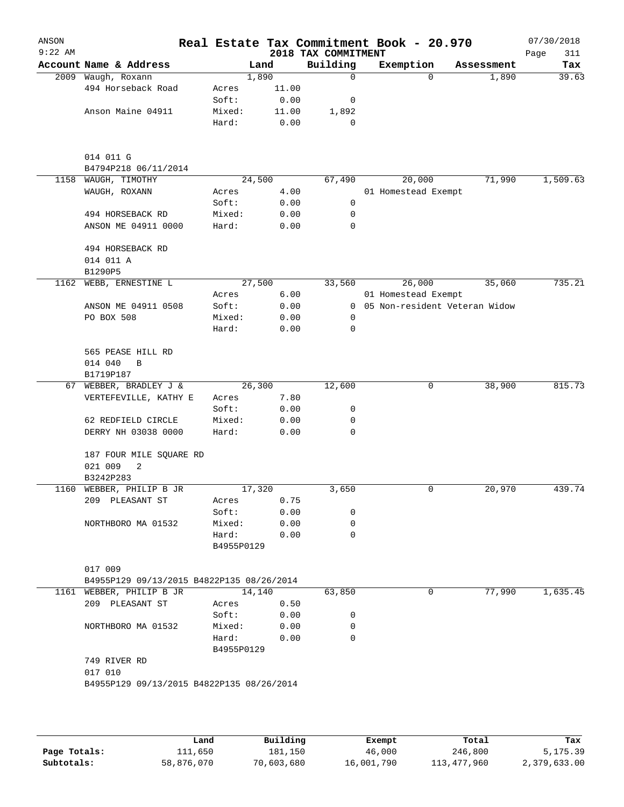| ANSON<br>$9:22$ AM |                                             |                     |        | 2018 TAX COMMITMENT | Real Estate Tax Commitment Book - 20.970 |            | 07/30/2018<br>Page<br>311 |
|--------------------|---------------------------------------------|---------------------|--------|---------------------|------------------------------------------|------------|---------------------------|
|                    | Account Name & Address                      |                     | Land   | Building            | Exemption                                | Assessment | Tax                       |
|                    | 2009 Waugh, Roxann                          |                     | 1,890  | $\mathbf 0$         | $\Omega$                                 | 1,890      | 39.63                     |
|                    | 494 Horseback Road                          | Acres               | 11.00  |                     |                                          |            |                           |
|                    |                                             | Soft:               | 0.00   | 0                   |                                          |            |                           |
|                    | Anson Maine 04911                           | Mixed:              | 11.00  | 1,892               |                                          |            |                           |
|                    |                                             | Hard:               | 0.00   | 0                   |                                          |            |                           |
|                    | 014 011 G                                   |                     |        |                     |                                          |            |                           |
|                    | B4794P218 06/11/2014                        |                     |        |                     |                                          |            |                           |
| 1158               | WAUGH, TIMOTHY                              |                     | 24,500 | 67,490              | 20,000                                   | 71,990     | 1,509.63                  |
|                    | WAUGH, ROXANN                               | Acres               | 4.00   |                     | 01 Homestead Exempt                      |            |                           |
|                    |                                             | Soft:               | 0.00   | 0                   |                                          |            |                           |
|                    | 494 HORSEBACK RD                            | Mixed:              | 0.00   | 0                   |                                          |            |                           |
|                    | ANSON ME 04911 0000                         | Hard:               | 0.00   | 0                   |                                          |            |                           |
|                    | 494 HORSEBACK RD                            |                     |        |                     |                                          |            |                           |
|                    | 014 011 A                                   |                     |        |                     |                                          |            |                           |
|                    | B1290P5                                     |                     |        |                     |                                          |            |                           |
| 1162               | WEBB, ERNESTINE L                           |                     | 27,500 | 33,560              | 26,000                                   | 35,060     | 735.21                    |
|                    |                                             | Acres               | 6.00   |                     | 01 Homestead Exempt                      |            |                           |
|                    | ANSON ME 04911 0508                         | Soft:               | 0.00   | $\overline{0}$      | 05 Non-resident Veteran Widow            |            |                           |
|                    | PO BOX 508                                  | Mixed:              | 0.00   | 0                   |                                          |            |                           |
|                    |                                             | Hard:               | 0.00   | 0                   |                                          |            |                           |
|                    | 565 PEASE HILL RD<br>014 040<br>$\mathbf B$ |                     |        |                     |                                          |            |                           |
|                    | B1719P187                                   |                     |        |                     |                                          |            |                           |
|                    | 67 WEBBER, BRADLEY J &                      |                     | 26,300 | 12,600              | 0                                        | 38,900     | 815.73                    |
|                    | VERTEFEVILLE, KATHY E                       | Acres               | 7.80   |                     |                                          |            |                           |
|                    |                                             | Soft:               | 0.00   | 0                   |                                          |            |                           |
|                    | 62 REDFIELD CIRCLE                          | Mixed:              | 0.00   | 0                   |                                          |            |                           |
|                    | DERRY NH 03038 0000                         | Hard:               | 0.00   | 0                   |                                          |            |                           |
|                    | 187 FOUR MILE SQUARE RD                     |                     |        |                     |                                          |            |                           |
|                    | 021 009<br>2                                |                     |        |                     |                                          |            |                           |
|                    | B3242P283                                   |                     |        |                     |                                          |            |                           |
|                    | 1160 WEBBER, PHILIP B JR                    |                     | 17,320 | 3,650               | 0                                        | 20,970     | 439.74                    |
|                    | 209 PLEASANT ST                             | Acres               | 0.75   |                     |                                          |            |                           |
|                    |                                             | Soft:               | 0.00   | 0                   |                                          |            |                           |
|                    | NORTHBORO MA 01532                          | Mixed:              | 0.00   | 0                   |                                          |            |                           |
|                    |                                             | Hard:<br>B4955P0129 | 0.00   | $\Omega$            |                                          |            |                           |
|                    | 017 009                                     |                     |        |                     |                                          |            |                           |
|                    | B4955P129 09/13/2015 B4822P135 08/26/2014   |                     |        |                     |                                          |            |                           |
|                    | 1161 WEBBER, PHILIP B JR                    |                     | 14,140 | 63,850              | 0                                        | 77,990     | 1,635.45                  |
|                    | 209 PLEASANT ST                             | Acres               | 0.50   |                     |                                          |            |                           |
|                    |                                             | Soft:               | 0.00   | 0                   |                                          |            |                           |
|                    | NORTHBORO MA 01532                          | Mixed:              | 0.00   | 0                   |                                          |            |                           |
|                    |                                             | Hard:               | 0.00   | $\Omega$            |                                          |            |                           |
|                    |                                             | B4955P0129          |        |                     |                                          |            |                           |
|                    | 749 RIVER RD                                |                     |        |                     |                                          |            |                           |
|                    | 017 010                                     |                     |        |                     |                                          |            |                           |
|                    | B4955P129 09/13/2015 B4822P135 08/26/2014   |                     |        |                     |                                          |            |                           |
|                    |                                             |                     |        |                     |                                          |            |                           |
|                    |                                             |                     |        |                     |                                          |            |                           |
|                    |                                             |                     |        |                     |                                          |            |                           |

|              | Land       | Building   | Exempt     | Total       | Tax          |
|--------------|------------|------------|------------|-------------|--------------|
| Page Totals: | ⊥11,650    | 181,150    | 46,000     | 246,800     | 5,175.39     |
| Subtotals:   | 58,876,070 | 70,603,680 | 16,001,790 | 113,477,960 | 2,379,633.00 |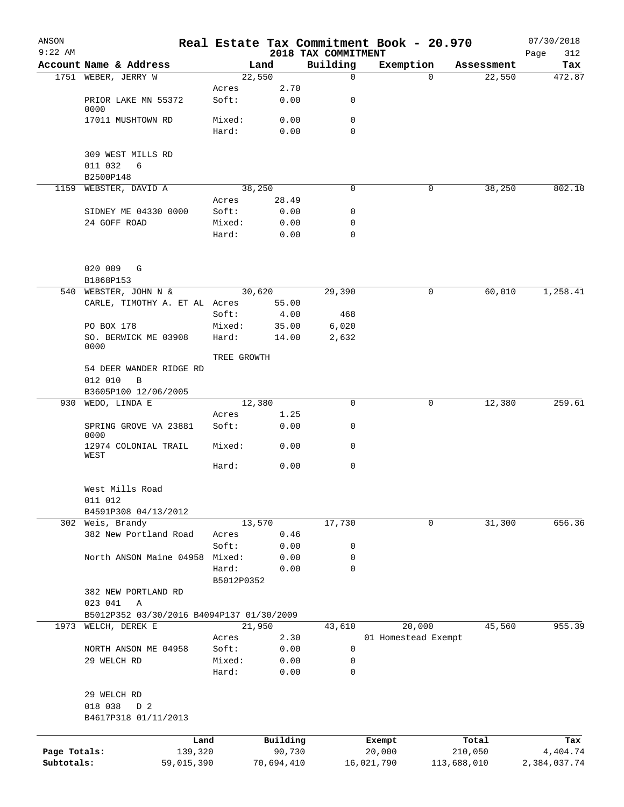| ANSON<br>$9:22$ AM |                                           |                 |                    | 2018 TAX COMMITMENT | Real Estate Tax Commitment Book - 20.970 |                  | 07/30/2018<br>Page<br>312 |
|--------------------|-------------------------------------------|-----------------|--------------------|---------------------|------------------------------------------|------------------|---------------------------|
|                    | Account Name & Address                    |                 | Land               | Building            | Exemption                                | Assessment       | Tax                       |
|                    | 1751 WEBER, JERRY W                       |                 | 22,550             | 0                   | $\Omega$                                 | 22,550           | 472.87                    |
|                    | PRIOR LAKE MN 55372                       | Acres<br>Soft:  | 2.70<br>0.00       | 0                   |                                          |                  |                           |
|                    | 0000                                      |                 |                    |                     |                                          |                  |                           |
|                    | 17011 MUSHTOWN RD                         | Mixed:<br>Hard: | 0.00<br>0.00       | 0<br>$\Omega$       |                                          |                  |                           |
|                    | 309 WEST MILLS RD<br>011 032<br>6         |                 |                    |                     |                                          |                  |                           |
|                    | B2500P148                                 |                 |                    |                     |                                          |                  |                           |
| 1159               | WEBSTER, DAVID A                          |                 | 38,250             | 0                   | 0                                        | 38,250           | 802.10                    |
|                    |                                           | Acres           | 28.49              |                     |                                          |                  |                           |
|                    | SIDNEY ME 04330 0000                      | Soft:           | 0.00               | 0                   |                                          |                  |                           |
|                    | 24 GOFF ROAD                              | Mixed:<br>Hard: | 0.00<br>0.00       | 0<br>0              |                                          |                  |                           |
|                    | 020 009<br>G                              |                 |                    |                     |                                          |                  |                           |
|                    | B1868P153                                 |                 |                    |                     |                                          |                  |                           |
| 540                | WEBSTER, JOHN N &                         |                 | 30,620             | 29,390              | 0                                        | 60,010           | 1,258.41                  |
|                    | CARLE, TIMOTHY A. ET AL Acres             | Soft:           | 55.00<br>4.00      | 468                 |                                          |                  |                           |
|                    | PO BOX 178                                | Mixed:          | 35.00              | 6,020               |                                          |                  |                           |
|                    | SO. BERWICK ME 03908<br>0000              | Hard:           | 14.00              | 2,632               |                                          |                  |                           |
|                    |                                           | TREE GROWTH     |                    |                     |                                          |                  |                           |
|                    | 54 DEER WANDER RIDGE RD<br>012 010<br>B   |                 |                    |                     |                                          |                  |                           |
|                    | B3605P100 12/06/2005                      |                 |                    |                     |                                          |                  |                           |
|                    | 930 WEDO, LINDA E                         | Acres           | 12,380<br>1.25     | 0                   | 0                                        | 12,380           | 259.61                    |
|                    | SPRING GROVE VA 23881<br>0000             | Soft:           | 0.00               | 0                   |                                          |                  |                           |
|                    | 12974 COLONIAL TRAIL<br>WEST              | Mixed:          | 0.00               | 0                   |                                          |                  |                           |
|                    |                                           | Hard:           | 0.00               | 0                   |                                          |                  |                           |
|                    | West Mills Road<br>011 012                |                 |                    |                     |                                          |                  |                           |
|                    | B4591P308 04/13/2012                      |                 |                    |                     |                                          |                  |                           |
|                    | 302 Weis, Brandy                          |                 | 13,570             | 17,730              | 0                                        | 31,300           | 656.36                    |
|                    | 382 New Portland Road                     | Acres<br>Soft:  | 0.46<br>0.00       | 0                   |                                          |                  |                           |
|                    | North ANSON Maine 04958                   | Mixed:          | 0.00               | 0                   |                                          |                  |                           |
|                    |                                           | Hard:           | 0.00               | 0                   |                                          |                  |                           |
|                    |                                           | B5012P0352      |                    |                     |                                          |                  |                           |
|                    | 382 NEW PORTLAND RD<br>023 041<br>Α       |                 |                    |                     |                                          |                  |                           |
|                    | B5012P352 03/30/2016 B4094P137 01/30/2009 |                 |                    |                     |                                          |                  |                           |
| 1973               | WELCH, DEREK E                            |                 | 21,950             | 43,610              | 20,000                                   | 45,560           | 955.39                    |
|                    |                                           | Acres           | 2.30               |                     | 01 Homestead Exempt                      |                  |                           |
|                    | NORTH ANSON ME 04958                      | Soft:           | 0.00               | 0                   |                                          |                  |                           |
|                    | 29 WELCH RD                               | Mixed:<br>Hard: | 0.00<br>0.00       | 0<br>0              |                                          |                  |                           |
|                    | 29 WELCH RD                               |                 |                    |                     |                                          |                  |                           |
|                    | 018 038<br>D 2                            |                 |                    |                     |                                          |                  |                           |
|                    | B4617P318 01/11/2013                      |                 |                    |                     |                                          |                  |                           |
|                    |                                           |                 |                    |                     |                                          |                  |                           |
| Page Totals:       | Land<br>139,320                           |                 | Building<br>90,730 |                     | Exempt<br>20,000                         | Total<br>210,050 | Tax<br>4,404.74           |
| Subtotals:         | 59,015,390                                |                 | 70,694,410         |                     | 16,021,790                               | 113,688,010      | 2,384,037.74              |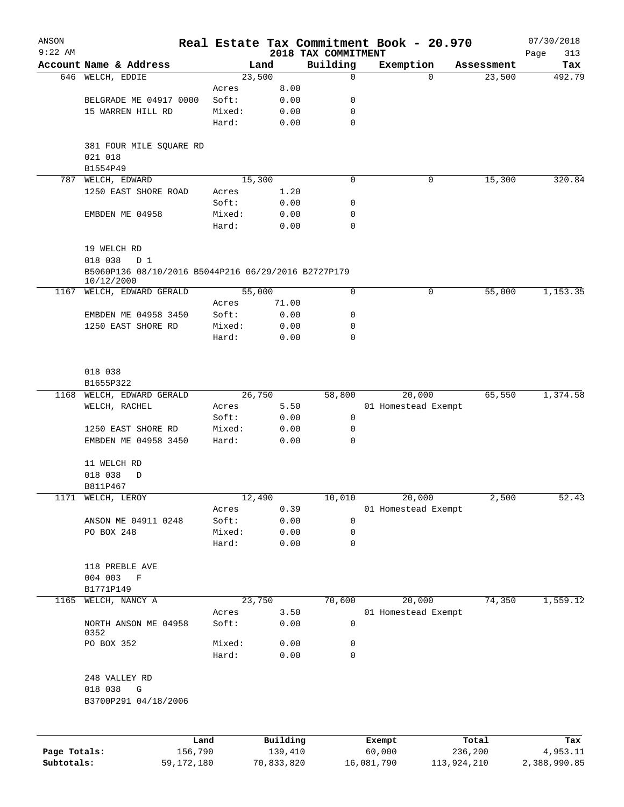| ANSON<br>$9:22$ AM |                                                                   |        |          | 2018 TAX COMMITMENT | Real Estate Tax Commitment Book - 20.970 |            | 07/30/2018<br>313<br>Page |
|--------------------|-------------------------------------------------------------------|--------|----------|---------------------|------------------------------------------|------------|---------------------------|
|                    | Account Name & Address                                            | Land   |          | Building            | Exemption                                | Assessment | Tax                       |
|                    | 646 WELCH, EDDIE                                                  | 23,500 |          | $\mathbf 0$         | $\Omega$                                 | 23,500     | 492.79                    |
|                    |                                                                   | Acres  | 8.00     |                     |                                          |            |                           |
|                    | BELGRADE ME 04917 0000                                            | Soft:  | 0.00     | 0                   |                                          |            |                           |
|                    | 15 WARREN HILL RD                                                 | Mixed: | 0.00     | 0                   |                                          |            |                           |
|                    |                                                                   | Hard:  | 0.00     | $\mathbf 0$         |                                          |            |                           |
|                    | 381 FOUR MILE SQUARE RD<br>021 018                                |        |          |                     |                                          |            |                           |
|                    | B1554P49                                                          |        |          |                     |                                          |            |                           |
| 787                | WELCH, EDWARD                                                     | 15,300 |          | $\mathbf 0$         | 0                                        | 15,300     | 320.84                    |
|                    | 1250 EAST SHORE ROAD                                              | Acres  | 1.20     |                     |                                          |            |                           |
|                    |                                                                   | Soft:  | 0.00     | 0                   |                                          |            |                           |
|                    | EMBDEN ME 04958                                                   | Mixed: | 0.00     | 0                   |                                          |            |                           |
|                    |                                                                   | Hard:  | 0.00     | $\mathbf 0$         |                                          |            |                           |
|                    | 19 WELCH RD                                                       |        |          |                     |                                          |            |                           |
|                    | 018 038<br>D 1                                                    |        |          |                     |                                          |            |                           |
|                    | B5060P136 08/10/2016 B5044P216 06/29/2016 B2727P179<br>10/12/2000 |        |          |                     |                                          |            |                           |
| 1167               | WELCH, EDWARD GERALD                                              | 55,000 |          | 0                   | 0                                        | 55,000     | 1,153.35                  |
|                    |                                                                   | Acres  | 71.00    |                     |                                          |            |                           |
|                    | EMBDEN ME 04958 3450                                              | Soft:  | 0.00     | 0                   |                                          |            |                           |
|                    | 1250 EAST SHORE RD                                                | Mixed: | 0.00     | 0                   |                                          |            |                           |
|                    |                                                                   | Hard:  | 0.00     | 0                   |                                          |            |                           |
|                    | 018 038<br>B1655P322                                              |        |          |                     |                                          |            |                           |
| 1168               | WELCH, EDWARD GERALD                                              | 26,750 |          | 58,800              | 20,000                                   | 65,550     | 1,374.58                  |
|                    | WELCH, RACHEL                                                     | Acres  | 5.50     |                     | 01 Homestead Exempt                      |            |                           |
|                    |                                                                   | Soft:  | 0.00     | 0                   |                                          |            |                           |
|                    | 1250 EAST SHORE RD                                                | Mixed: | 0.00     | 0                   |                                          |            |                           |
|                    | EMBDEN ME 04958 3450                                              | Hard:  | 0.00     | 0                   |                                          |            |                           |
|                    | 11 WELCH RD<br>018 038<br>D                                       |        |          |                     |                                          |            |                           |
|                    | B811P467                                                          |        |          |                     |                                          |            |                           |
|                    | 1171 WELCH, LEROY                                                 | 12,490 |          | 10,010              | 20,000                                   | 2,500      | $\overline{52.43}$        |
|                    |                                                                   | Acres  | 0.39     |                     | 01 Homestead Exempt                      |            |                           |
|                    | ANSON ME 04911 0248                                               | Soft:  | 0.00     | 0                   |                                          |            |                           |
|                    | PO BOX 248                                                        | Mixed: | 0.00     | 0                   |                                          |            |                           |
|                    |                                                                   | Hard:  | 0.00     | 0                   |                                          |            |                           |
|                    | 118 PREBLE AVE                                                    |        |          |                     |                                          |            |                           |
|                    | 004 003<br>$\mathbf F$                                            |        |          |                     |                                          |            |                           |
|                    | B1771P149                                                         |        |          |                     |                                          |            |                           |
| 1165               | WELCH, NANCY A                                                    | 23,750 |          | 70,600              | 20,000                                   | 74,350     | 1,559.12                  |
|                    |                                                                   | Acres  | 3.50     |                     | 01 Homestead Exempt                      |            |                           |
|                    | NORTH ANSON ME 04958<br>0352                                      | Soft:  | 0.00     | 0                   |                                          |            |                           |
|                    | PO BOX 352                                                        | Mixed: | 0.00     | 0                   |                                          |            |                           |
|                    |                                                                   | Hard:  | 0.00     | 0                   |                                          |            |                           |
|                    | 248 VALLEY RD<br>018 038<br>G<br>B3700P291 04/18/2006             |        |          |                     |                                          |            |                           |
|                    |                                                                   |        |          |                     |                                          |            |                           |
|                    | Land                                                              |        | Building |                     | Exempt                                   | Total      | Tax                       |
| Page Totals:       | 156,790                                                           |        | 139,410  |                     | 60,000                                   | 236,200    | 4,953.11                  |

**Subtotals:** 59,172,180 70,833,820 16,081,790 113,924,210 2,388,990.85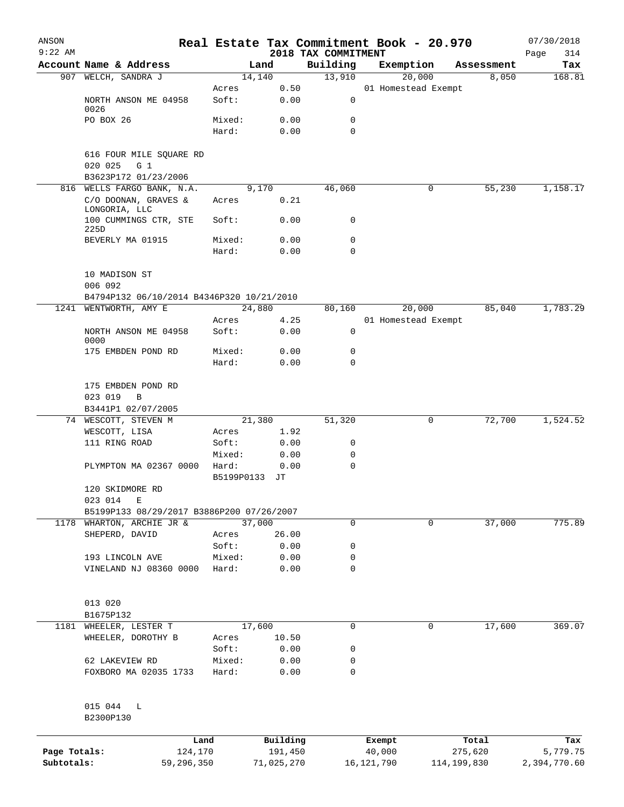| ANSON<br>$9:22$ AM         |                                                           |            |                       |                                 | Real Estate Tax Commitment Book - 20.970 |             |            | 07/30/2018               |
|----------------------------|-----------------------------------------------------------|------------|-----------------------|---------------------------------|------------------------------------------|-------------|------------|--------------------------|
|                            | Account Name & Address                                    |            | Land                  | 2018 TAX COMMITMENT<br>Building | Exemption                                |             | Assessment | Page<br>314<br>Tax       |
|                            | 907 WELCH, SANDRA J                                       |            | 14,140                | 13,910                          | 20,000                                   |             | 8,050      | 168.81                   |
|                            |                                                           | Acres      | 0.50                  |                                 | 01 Homestead Exempt                      |             |            |                          |
|                            | NORTH ANSON ME 04958<br>0026                              | Soft:      | 0.00                  | 0                               |                                          |             |            |                          |
|                            | PO BOX 26                                                 | Mixed:     | 0.00                  | 0                               |                                          |             |            |                          |
|                            |                                                           | Hard:      | 0.00                  | 0                               |                                          |             |            |                          |
|                            | 616 FOUR MILE SQUARE RD<br>020 025<br>G 1                 |            |                       |                                 |                                          |             |            |                          |
|                            | B3623P172 01/23/2006                                      |            |                       |                                 |                                          |             |            |                          |
|                            | 816 WELLS FARGO BANK, N.A.<br>C/O DOONAN, GRAVES &        | Acres      | 9,170<br>0.21         | 46,060                          |                                          | 0           | 55,230     | 1,158.17                 |
|                            | LONGORIA, LLC                                             |            |                       |                                 |                                          |             |            |                          |
|                            | 100 CUMMINGS CTR, STE<br>225D                             | Soft:      | 0.00                  | 0                               |                                          |             |            |                          |
|                            | BEVERLY MA 01915                                          | Mixed:     | 0.00                  | 0                               |                                          |             |            |                          |
|                            |                                                           | Hard:      | 0.00                  | 0                               |                                          |             |            |                          |
|                            | 10 MADISON ST<br>006 092                                  |            |                       |                                 |                                          |             |            |                          |
|                            | B4794P132 06/10/2014 B4346P320 10/21/2010                 |            |                       |                                 |                                          |             |            |                          |
|                            | 1241 WENTWORTH, AMY E                                     |            | 24,880                | 80,160                          | 20,000                                   |             | 85,040     | 1,783.29                 |
|                            |                                                           | Acres      | 4.25                  |                                 | 01 Homestead Exempt                      |             |            |                          |
|                            | NORTH ANSON ME 04958<br>0000                              | Soft:      | 0.00                  | 0                               |                                          |             |            |                          |
|                            | 175 EMBDEN POND RD                                        | Mixed:     | 0.00                  | 0                               |                                          |             |            |                          |
|                            |                                                           | Hard:      | 0.00                  | 0                               |                                          |             |            |                          |
|                            | 175 EMBDEN POND RD<br>023 019<br>B                        |            |                       |                                 |                                          |             |            |                          |
| 74                         | B3441P1 02/07/2005<br>WESCOTT, STEVEN M                   |            | 21,380                | 51,320                          |                                          | 0           | 72,700     | 1,524.52                 |
|                            | WESCOTT, LISA                                             | Acres      | 1.92                  |                                 |                                          |             |            |                          |
|                            | 111 RING ROAD                                             | Soft:      | 0.00                  | 0                               |                                          |             |            |                          |
|                            |                                                           | Mixed:     | 0.00                  | 0                               |                                          |             |            |                          |
|                            | PLYMPTON MA 02367 0000                                    | Hard:      | 0.00                  | 0                               |                                          |             |            |                          |
|                            |                                                           | B5199P0133 | JТ                    |                                 |                                          |             |            |                          |
|                            | 120 SKIDMORE RD                                           |            |                       |                                 |                                          |             |            |                          |
|                            | 023 014<br>Е<br>B5199P133 08/29/2017 B3886P200 07/26/2007 |            |                       |                                 |                                          |             |            |                          |
| 1178                       | WHARTON, ARCHIE JR &                                      |            | 37,000                | 0                               |                                          | 0           | 37,000     | 775.89                   |
|                            | SHEPERD, DAVID                                            | Acres      | 26.00                 |                                 |                                          |             |            |                          |
|                            |                                                           | Soft:      | 0.00                  | 0                               |                                          |             |            |                          |
|                            | 193 LINCOLN AVE                                           | Mixed:     | 0.00                  | 0                               |                                          |             |            |                          |
|                            | VINELAND NJ 08360 0000                                    | Hard:      | 0.00                  | 0                               |                                          |             |            |                          |
|                            |                                                           |            |                       |                                 |                                          |             |            |                          |
|                            | 013 020                                                   |            |                       |                                 |                                          |             |            |                          |
| 1181                       | B1675P132<br>WHEELER, LESTER T                            |            | 17,600                | 0                               |                                          | 0           | 17,600     | 369.07                   |
|                            | WHEELER, DOROTHY B                                        | Acres      | 10.50                 |                                 |                                          |             |            |                          |
|                            |                                                           | Soft:      | 0.00                  | 0                               |                                          |             |            |                          |
|                            | 62 LAKEVIEW RD                                            | Mixed:     | 0.00                  | 0                               |                                          |             |            |                          |
|                            | FOXBORO MA 02035 1733                                     | Hard:      | 0.00                  | 0                               |                                          |             |            |                          |
|                            | 015 044<br>L<br>B2300P130                                 |            |                       |                                 |                                          |             |            |                          |
|                            |                                                           |            |                       |                                 |                                          |             |            |                          |
|                            |                                                           | Land       | Building              |                                 | Exempt                                   |             | Total      | Tax                      |
| Page Totals:<br>Subtotals: | 124,170<br>59,296,350                                     |            | 191,450<br>71,025,270 |                                 | 40,000<br>16, 121, 790                   | 114,199,830 | 275,620    | 5,779.75<br>2,394,770.60 |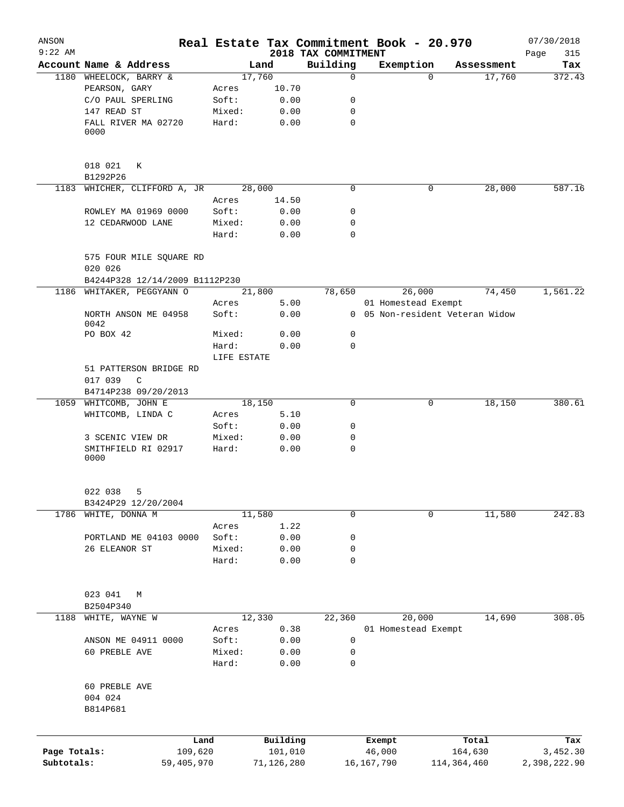| ANSON<br>$9:22$ AM |                                      |                      |            |                                 | Real Estate Tax Commitment Book - 20.970 |                                 | 07/30/2018         |
|--------------------|--------------------------------------|----------------------|------------|---------------------------------|------------------------------------------|---------------------------------|--------------------|
|                    | Account Name & Address               |                      | Land       | 2018 TAX COMMITMENT<br>Building | Exemption                                | Assessment                      | 315<br>Page<br>Tax |
|                    | 1180 WHEELOCK, BARRY &               |                      | 17,760     | $\mathbf 0$                     | $\Omega$                                 | 17,760                          | 372.43             |
|                    | PEARSON, GARY                        | Acres                | 10.70      |                                 |                                          |                                 |                    |
|                    | C/O PAUL SPERLING                    | Soft:                | 0.00       | 0                               |                                          |                                 |                    |
|                    | 147 READ ST                          | Mixed:               | 0.00       | 0                               |                                          |                                 |                    |
|                    | FALL RIVER MA 02720<br>0000          | Hard:                | 0.00       | $\mathbf 0$                     |                                          |                                 |                    |
|                    |                                      |                      |            |                                 |                                          |                                 |                    |
|                    | 018 021<br>К<br>B1292P26             |                      |            |                                 |                                          |                                 |                    |
|                    | 1183 WHICHER, CLIFFORD A, JR         |                      | 28,000     | 0                               | 0                                        | 28,000                          | 587.16             |
|                    |                                      | Acres                | 14.50      |                                 |                                          |                                 |                    |
|                    | ROWLEY MA 01969 0000                 | Soft:                | 0.00       | 0                               |                                          |                                 |                    |
|                    | 12 CEDARWOOD LANE                    | Mixed:               | 0.00       | 0                               |                                          |                                 |                    |
|                    |                                      | Hard:                | 0.00       | $\mathbf 0$                     |                                          |                                 |                    |
|                    | 575 FOUR MILE SQUARE RD<br>020 026   |                      |            |                                 |                                          |                                 |                    |
|                    | B4244P328 12/14/2009 B1112P230       |                      |            |                                 |                                          |                                 |                    |
|                    | 1186 WHITAKER, PEGGYANN O            |                      | 21,800     | 78,650                          | 26,000                                   | 74,450                          | 1,561.22           |
|                    |                                      | Acres                | 5.00       |                                 | 01 Homestead Exempt                      |                                 |                    |
|                    | NORTH ANSON ME 04958<br>0042         | Soft:                | 0.00       |                                 |                                          | 0 05 Non-resident Veteran Widow |                    |
|                    | PO BOX 42                            | Mixed:               | 0.00       | 0                               |                                          |                                 |                    |
|                    |                                      | Hard:<br>LIFE ESTATE | 0.00       | $\mathbf 0$                     |                                          |                                 |                    |
|                    | 51 PATTERSON BRIDGE RD               |                      |            |                                 |                                          |                                 |                    |
|                    | 017 039<br>C<br>B4714P238 09/20/2013 |                      |            |                                 |                                          |                                 |                    |
|                    | 1059 WHITCOMB, JOHN E                |                      | 18,150     | 0                               | 0                                        | 18,150                          | 380.61             |
|                    | WHITCOMB, LINDA C                    | Acres                | 5.10       |                                 |                                          |                                 |                    |
|                    |                                      | Soft:                | 0.00       | 0                               |                                          |                                 |                    |
|                    | 3 SCENIC VIEW DR                     | Mixed:               | 0.00       | 0                               |                                          |                                 |                    |
|                    | SMITHFIELD RI 02917                  | Hard:                | 0.00       | $\mathbf 0$                     |                                          |                                 |                    |
|                    | 0000                                 |                      |            |                                 |                                          |                                 |                    |
|                    | 022 038<br>5                         |                      |            |                                 |                                          |                                 |                    |
|                    | B3424P29 12/20/2004                  |                      |            |                                 |                                          |                                 |                    |
| 1786               | WHITE, DONNA M                       |                      | 11,580     | 0                               | 0                                        | 11,580                          | 242.83             |
|                    |                                      | Acres                | 1.22       |                                 |                                          |                                 |                    |
|                    | PORTLAND ME 04103 0000               | Soft:                | 0.00       | 0                               |                                          |                                 |                    |
|                    | 26 ELEANOR ST                        | Mixed:               | 0.00       | 0                               |                                          |                                 |                    |
|                    |                                      | Hard:                | 0.00       | 0                               |                                          |                                 |                    |
|                    | 023 041<br>М                         |                      |            |                                 |                                          |                                 |                    |
|                    | B2504P340                            |                      |            |                                 |                                          |                                 |                    |
| 1188               | WHITE, WAYNE W                       |                      | 12,330     | 22,360                          | 20,000                                   | 14,690                          | 308.05             |
|                    |                                      | Acres                | 0.38       |                                 | 01 Homestead Exempt                      |                                 |                    |
|                    | ANSON ME 04911 0000                  | Soft:                | 0.00       | 0                               |                                          |                                 |                    |
|                    | 60 PREBLE AVE                        | Mixed:               | 0.00       | 0                               |                                          |                                 |                    |
|                    |                                      | Hard:                | 0.00       | 0                               |                                          |                                 |                    |
|                    | 60 PREBLE AVE<br>004 024             |                      |            |                                 |                                          |                                 |                    |
|                    | B814P681                             |                      |            |                                 |                                          |                                 |                    |
|                    |                                      | Land                 | Building   |                                 | Exempt                                   | Total                           | Tax                |
| Page Totals:       |                                      | 109,620              | 101,010    |                                 | 46,000                                   | 164,630                         | 3,452.30           |
| Subtotals:         | 59,405,970                           |                      | 71,126,280 |                                 | 16,167,790                               | 114,364,460                     | 2,398,222.90       |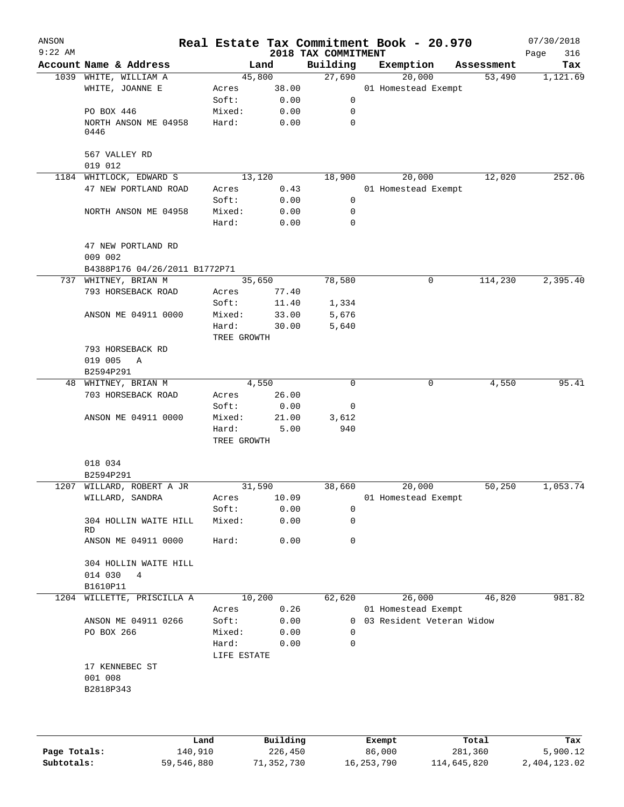| ANSON<br>$9:22$ AM |                               |                      |        | 2018 TAX COMMITMENT | Real Estate Tax Commitment Book - 20.970 |            | 07/30/2018<br>316<br>Page |
|--------------------|-------------------------------|----------------------|--------|---------------------|------------------------------------------|------------|---------------------------|
|                    | Account Name & Address        |                      | Land   | Building            | Exemption                                | Assessment | Tax                       |
|                    | 1039 WHITE, WILLIAM A         |                      | 45,800 | 27,690              | 20,000                                   | 53,490     | 1,121.69                  |
|                    | WHITE, JOANNE E               | Acres                | 38.00  |                     | 01 Homestead Exempt                      |            |                           |
|                    |                               | Soft:                | 0.00   | 0                   |                                          |            |                           |
|                    | PO BOX 446                    | Mixed:               | 0.00   | 0                   |                                          |            |                           |
|                    | NORTH ANSON ME 04958<br>0446  | Hard:                | 0.00   | $\mathbf 0$         |                                          |            |                           |
|                    | 567 VALLEY RD<br>019 012      |                      |        |                     |                                          |            |                           |
|                    | 1184 WHITLOCK, EDWARD S       |                      | 13,120 | 18,900              | 20,000                                   | 12,020     | 252.06                    |
|                    | 47 NEW PORTLAND ROAD          | Acres                | 0.43   |                     | 01 Homestead Exempt                      |            |                           |
|                    |                               | Soft:                | 0.00   | 0                   |                                          |            |                           |
|                    | NORTH ANSON ME 04958          | Mixed:               | 0.00   | 0                   |                                          |            |                           |
|                    |                               | Hard:                | 0.00   | $\mathbf 0$         |                                          |            |                           |
|                    | 47 NEW PORTLAND RD<br>009 002 |                      |        |                     |                                          |            |                           |
|                    | B4388P176 04/26/2011 B1772P71 |                      |        |                     |                                          |            |                           |
|                    | 737 WHITNEY, BRIAN M          |                      | 35,650 | 78,580              | 0                                        | 114,230    | 2,395.40                  |
|                    | 793 HORSEBACK ROAD            | Acres                | 77.40  |                     |                                          |            |                           |
|                    |                               | Soft:                | 11.40  | 1,334               |                                          |            |                           |
|                    | ANSON ME 04911 0000           | Mixed:               | 33.00  | 5,676               |                                          |            |                           |
|                    |                               | Hard:                | 30.00  | 5,640               |                                          |            |                           |
|                    |                               | TREE GROWTH          |        |                     |                                          |            |                           |
|                    | 793 HORSEBACK RD              |                      |        |                     |                                          |            |                           |
|                    | 019 005<br>A                  |                      |        |                     |                                          |            |                           |
|                    | B2594P291                     |                      |        |                     |                                          |            |                           |
|                    | 48 WHITNEY, BRIAN M           |                      | 4,550  | $\mathbf 0$         | $\mathbf 0$                              | 4,550      | 95.41                     |
|                    | 703 HORSEBACK ROAD            | Acres                | 26.00  |                     |                                          |            |                           |
|                    |                               | Soft:                | 0.00   | 0                   |                                          |            |                           |
|                    | ANSON ME 04911 0000           | Mixed:               | 21.00  | 3,612               |                                          |            |                           |
|                    |                               | Hard:<br>TREE GROWTH | 5.00   | 940                 |                                          |            |                           |
|                    | 018 034                       |                      |        |                     |                                          |            |                           |
|                    | B2594P291                     |                      |        |                     |                                          |            |                           |
|                    | 1207 WILLARD, ROBERT A JR     |                      | 31,590 | 38,660              | 20,000                                   | 50,250     | 1,053.74                  |
|                    | WILLARD, SANDRA               | Acres                | 10.09  |                     | 01 Homestead Exempt                      |            |                           |
|                    |                               | Soft:                | 0.00   | 0                   |                                          |            |                           |
|                    | 304 HOLLIN WAITE HILL<br>RD   | Mixed:               | 0.00   | 0                   |                                          |            |                           |
|                    | ANSON ME 04911 0000           | Hard:                | 0.00   | 0                   |                                          |            |                           |
|                    | 304 HOLLIN WAITE HILL         |                      |        |                     |                                          |            |                           |
|                    | 014 030<br>$\overline{4}$     |                      |        |                     |                                          |            |                           |
|                    | B1610P11                      |                      |        |                     |                                          |            |                           |
|                    | 1204 WILLETTE, PRISCILLA A    |                      | 10,200 | 62,620              | 26,000                                   | 46,820     | 981.82                    |
|                    |                               | Acres                | 0.26   |                     | 01 Homestead Exempt                      |            |                           |
|                    | ANSON ME 04911 0266           | Soft:                | 0.00   | 0                   | 03 Resident Veteran Widow                |            |                           |
|                    | PO BOX 266                    | Mixed:               | 0.00   | 0                   |                                          |            |                           |
|                    |                               | Hard:<br>LIFE ESTATE | 0.00   | 0                   |                                          |            |                           |
|                    | 17 KENNEBEC ST                |                      |        |                     |                                          |            |                           |
|                    | 001 008                       |                      |        |                     |                                          |            |                           |
|                    | B2818P343                     |                      |        |                     |                                          |            |                           |
|                    |                               |                      |        |                     |                                          |            |                           |
|                    |                               |                      |        |                     |                                          |            |                           |
|                    |                               |                      |        |                     |                                          |            |                           |

|              | Land       | Building   | Exempt     | Total       | Tax          |
|--------------|------------|------------|------------|-------------|--------------|
| Page Totals: | 140,910    | 226,450    | 86,000     | 281,360     | 5,900.12     |
| Subtotals:   | 59,546,880 | 71,352,730 | 16,253,790 | 114,645,820 | 2,404,123.02 |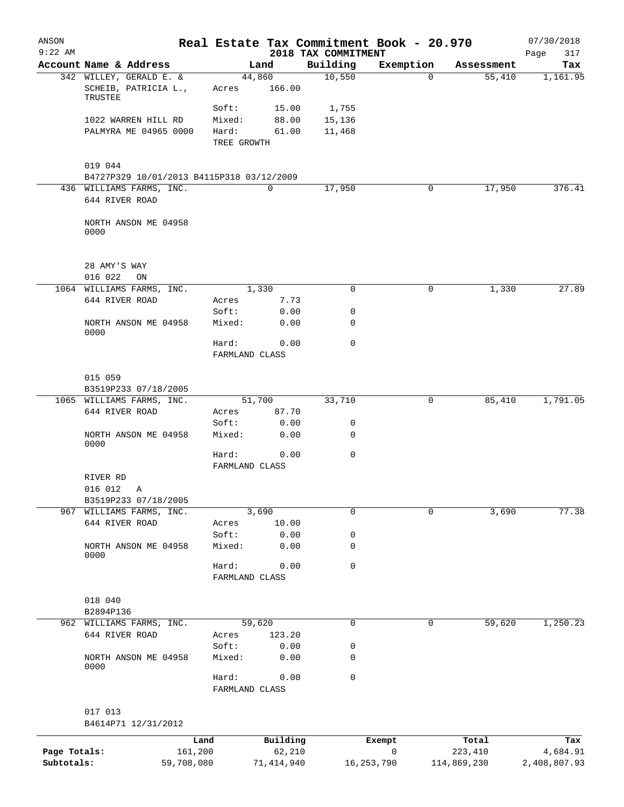| ANSON<br>$9:22$ AM |                                                      |            |                         |              | 2018 TAX COMMITMENT | Real Estate Tax Commitment Book - 20.970 |             | 07/30/2018<br>317<br>Page |
|--------------------|------------------------------------------------------|------------|-------------------------|--------------|---------------------|------------------------------------------|-------------|---------------------------|
|                    | Account Name & Address                               |            |                         | Land         | Building            | Exemption                                | Assessment  | Tax                       |
|                    | 342 WILLEY, GERALD E. &                              |            |                         | 44,860       | 10,550              | $\Omega$                                 | 55,410      | 1,161.95                  |
|                    | SCHEIB, PATRICIA L.,<br>TRUSTEE                      |            | Acres                   | 166.00       |                     |                                          |             |                           |
|                    |                                                      |            | Soft:                   | 15.00        | 1,755               |                                          |             |                           |
|                    | 1022 WARREN HILL RD                                  |            | Mixed:                  | 88.00        | 15,136              |                                          |             |                           |
|                    | PALMYRA ME 04965 0000                                |            | Hard:                   | 61.00        | 11,468              |                                          |             |                           |
|                    |                                                      |            | TREE GROWTH             |              |                     |                                          |             |                           |
|                    | 019 044<br>B4727P329 10/01/2013 B4115P318 03/12/2009 |            |                         |              |                     |                                          |             |                           |
|                    | 436 WILLIAMS FARMS, INC.                             |            |                         | 0            | 17,950              | $\mathbf 0$                              | 17,950      | 376.41                    |
|                    | 644 RIVER ROAD                                       |            |                         |              |                     |                                          |             |                           |
|                    | NORTH ANSON ME 04958<br>0000                         |            |                         |              |                     |                                          |             |                           |
|                    | 28 AMY'S WAY                                         |            |                         |              |                     |                                          |             |                           |
|                    | 016 022<br>ON                                        |            |                         |              |                     |                                          |             |                           |
|                    | 1064 WILLIAMS FARMS, INC.                            |            |                         | 1,330        | 0                   | 0                                        | 1,330       | 27.89                     |
|                    | 644 RIVER ROAD                                       |            | Acres                   | 7.73         |                     |                                          |             |                           |
|                    |                                                      |            | Soft:                   | 0.00         | 0                   |                                          |             |                           |
|                    | NORTH ANSON ME 04958<br>0000                         |            | Mixed:                  | 0.00         | 0                   |                                          |             |                           |
|                    |                                                      |            | Hard:<br>FARMLAND CLASS | 0.00         | $\mathbf 0$         |                                          |             |                           |
|                    | 015 059<br>B3519P233 07/18/2005                      |            |                         |              |                     |                                          |             |                           |
|                    | 1065 WILLIAMS FARMS, INC.                            |            |                         | 51,700       | 33,710              | 0                                        | 85,410      | 1,791.05                  |
|                    | 644 RIVER ROAD                                       |            | Acres                   | 87.70        |                     |                                          |             |                           |
|                    |                                                      |            | Soft:                   | 0.00         | 0                   |                                          |             |                           |
|                    | NORTH ANSON ME 04958<br>0000                         |            | Mixed:                  | 0.00         | 0                   |                                          |             |                           |
|                    |                                                      |            | Hard:<br>FARMLAND CLASS | 0.00         | $\mathbf 0$         |                                          |             |                           |
|                    | RIVER RD                                             |            |                         |              |                     |                                          |             |                           |
|                    | 016 012<br>Α                                         |            |                         |              |                     |                                          |             |                           |
|                    | B3519P233 07/18/2005                                 |            |                         |              |                     |                                          |             |                           |
|                    | 967 WILLIAMS FARMS, INC.                             |            |                         | 3,690        | 0                   | $\mathbf 0$                              | 3,690       | 77.38                     |
|                    | 644 RIVER ROAD                                       |            | Acres                   | 10.00        |                     |                                          |             |                           |
|                    |                                                      |            | Soft:                   | 0.00         | 0                   |                                          |             |                           |
|                    | NORTH ANSON ME 04958<br>0000                         |            | Mixed:                  | 0.00         | 0                   |                                          |             |                           |
|                    |                                                      |            | Hard:<br>FARMLAND CLASS | 0.00         | $\mathbf 0$         |                                          |             |                           |
|                    |                                                      |            |                         |              |                     |                                          |             |                           |
|                    | 018 040                                              |            |                         |              |                     |                                          |             |                           |
|                    | B2894P136                                            |            |                         |              |                     |                                          |             |                           |
|                    | 962 WILLIAMS FARMS, INC.                             |            |                         | 59,620       | 0                   | 0                                        | 59,620      | 1,250.23                  |
|                    | 644 RIVER ROAD                                       |            | Acres                   | 123.20       |                     |                                          |             |                           |
|                    |                                                      |            | Soft:                   | 0.00         | 0                   |                                          |             |                           |
|                    | NORTH ANSON ME 04958<br>0000                         |            | Mixed:                  | 0.00         | 0                   |                                          |             |                           |
|                    |                                                      |            | Hard:<br>FARMLAND CLASS | 0.00         | 0                   |                                          |             |                           |
|                    | 017 013<br>B4614P71 12/31/2012                       |            |                         |              |                     |                                          |             |                           |
|                    |                                                      | Land       |                         | Building     |                     | Exempt                                   | Total       | Tax                       |
| Page Totals:       |                                                      | 161,200    |                         | 62,210       |                     | 0                                        | 223,410     | 4,684.91                  |
| Subtotals:         |                                                      | 59,708,080 |                         | 71, 414, 940 |                     | 16, 253, 790                             | 114,869,230 | 2,408,807.93              |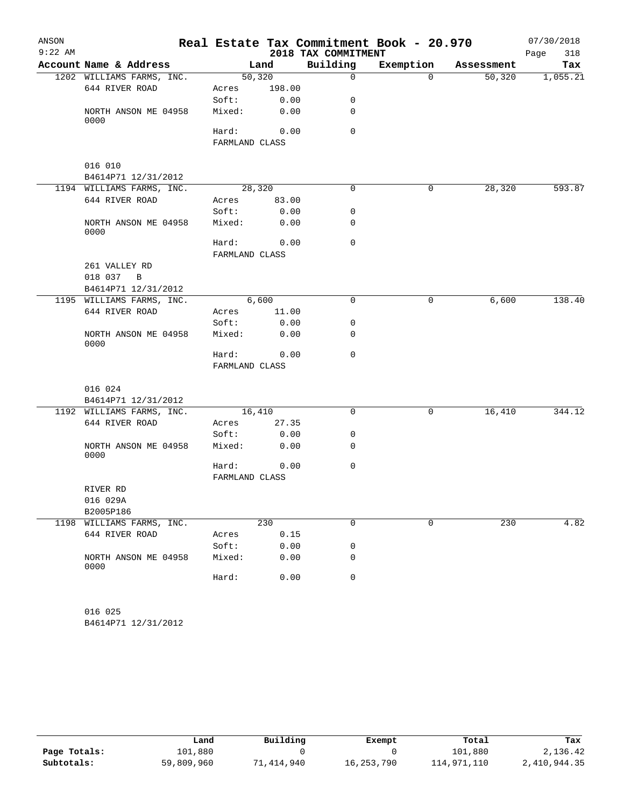| ANSON     |                              |                |        |                     | Real Estate Tax Commitment Book - 20.970 |            | 07/30/2018  |
|-----------|------------------------------|----------------|--------|---------------------|------------------------------------------|------------|-------------|
| $9:22$ AM |                              |                |        | 2018 TAX COMMITMENT |                                          |            | 318<br>Page |
|           | Account Name & Address       |                | Land   | Building            | Exemption                                | Assessment | Tax         |
|           | 1202 WILLIAMS FARMS, INC.    | 50,320         |        | 0                   | $\Omega$                                 | 50,320     | 1,055.21    |
|           | 644 RIVER ROAD               | Acres          | 198.00 |                     |                                          |            |             |
|           |                              | Soft:          | 0.00   | 0                   |                                          |            |             |
|           | NORTH ANSON ME 04958<br>0000 | Mixed:         | 0.00   | 0                   |                                          |            |             |
|           |                              | Hard:          | 0.00   | 0                   |                                          |            |             |
|           |                              | FARMLAND CLASS |        |                     |                                          |            |             |
|           | 016 010                      |                |        |                     |                                          |            |             |
|           | B4614P71 12/31/2012          |                |        |                     |                                          |            |             |
|           | 1194 WILLIAMS FARMS, INC.    | 28,320         |        | $\Omega$            | 0                                        | 28,320     | 593.87      |
|           | 644 RIVER ROAD               | Acres          | 83.00  |                     |                                          |            |             |
|           |                              | Soft:          | 0.00   | 0                   |                                          |            |             |
|           | NORTH ANSON ME 04958<br>0000 | Mixed:         | 0.00   | 0                   |                                          |            |             |
|           |                              | Hard:          | 0.00   | 0                   |                                          |            |             |
|           |                              | FARMLAND CLASS |        |                     |                                          |            |             |
|           | 261 VALLEY RD                |                |        |                     |                                          |            |             |
|           | 018 037<br>$\overline{B}$    |                |        |                     |                                          |            |             |
|           | B4614P71 12/31/2012          |                |        |                     |                                          |            |             |
|           | 1195 WILLIAMS FARMS, INC.    | 6,600          |        | $\mathbf 0$         | 0                                        | 6,600      | 138.40      |
|           | 644 RIVER ROAD               | Acres          | 11.00  |                     |                                          |            |             |
|           |                              | Soft:          | 0.00   | 0                   |                                          |            |             |
|           | NORTH ANSON ME 04958<br>0000 | Mixed:         | 0.00   | 0                   |                                          |            |             |
|           |                              | Hard:          | 0.00   | 0                   |                                          |            |             |
|           |                              | FARMLAND CLASS |        |                     |                                          |            |             |
|           |                              |                |        |                     |                                          |            |             |
|           | 016 024                      |                |        |                     |                                          |            |             |
|           | B4614P71 12/31/2012          |                |        | $\Omega$            |                                          |            |             |
|           | 1192 WILLIAMS FARMS, INC.    | 16,410         |        |                     | 0                                        | 16,410     | 344.12      |
|           | 644 RIVER ROAD               | Acres          | 27.35  |                     |                                          |            |             |
|           |                              | Soft:          | 0.00   | 0                   |                                          |            |             |
|           | NORTH ANSON ME 04958<br>0000 | Mixed:         | 0.00   | 0                   |                                          |            |             |
|           |                              | Hard:          | 0.00   | 0                   |                                          |            |             |
|           |                              | FARMLAND CLASS |        |                     |                                          |            |             |
|           | RIVER RD                     |                |        |                     |                                          |            |             |
|           | 016 029A<br>B2005P186        |                |        |                     |                                          |            |             |
|           | 1198 WILLIAMS FARMS, INC.    |                | 230    | 0                   | $\mathbf 0$                              | 230        | 4.82        |
|           | 644 RIVER ROAD               | Acres          | 0.15   |                     |                                          |            |             |
|           |                              | Soft:          | 0.00   | 0                   |                                          |            |             |
|           | NORTH ANSON ME 04958<br>0000 | Mixed:         | 0.00   | 0                   |                                          |            |             |
|           |                              | Hard:          | 0.00   | 0                   |                                          |            |             |
|           |                              |                |        |                     |                                          |            |             |
|           | 016 025                      |                |        |                     |                                          |            |             |

B4614P71 12/31/2012

|              | Land       | Building   | Exempt     | Total       | Tax          |
|--------------|------------|------------|------------|-------------|--------------|
| Page Totals: | 101,880    |            |            | 101,880     | 2,136.42     |
| Subtotals:   | 59,809,960 | 71,414,940 | 16,253,790 | 114,971,110 | 2,410,944.35 |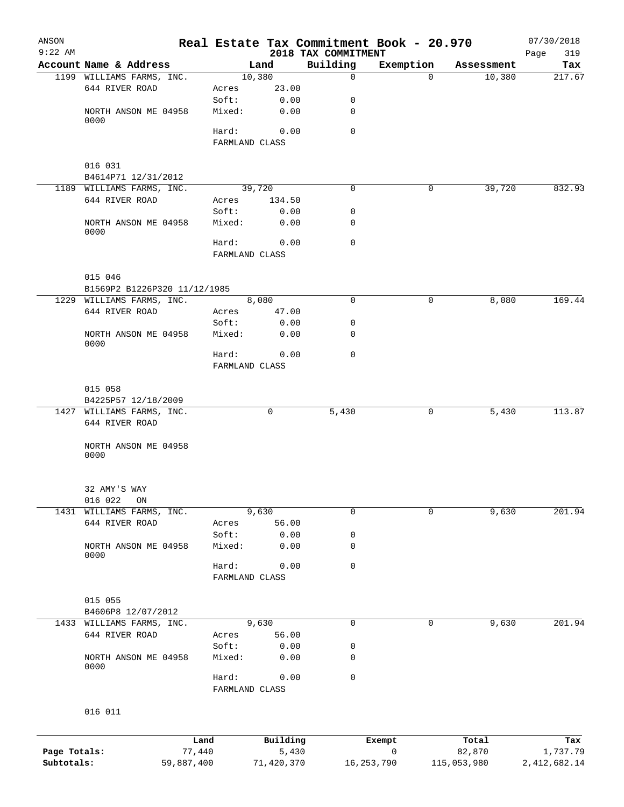| ANSON        |                                |                |                         |                   |                                 | Real Estate Tax Commitment Book - 20.970 |                 | 07/30/2018         |
|--------------|--------------------------------|----------------|-------------------------|-------------------|---------------------------------|------------------------------------------|-----------------|--------------------|
| $9:22$ AM    | Account Name & Address         |                |                         | Land              | 2018 TAX COMMITMENT<br>Building | Exemption                                | Assessment      | 319<br>Page<br>Tax |
|              | 1199 WILLIAMS FARMS, INC.      |                |                         | 10,380            | $\mathbf 0$                     | $\Omega$                                 | 10,380          | 217.67             |
|              | 644 RIVER ROAD                 |                | Acres                   | 23.00             |                                 |                                          |                 |                    |
|              |                                |                | Soft:                   | 0.00              | 0                               |                                          |                 |                    |
|              | NORTH ANSON ME 04958<br>0000   |                | Mixed:                  | 0.00              | 0                               |                                          |                 |                    |
|              |                                |                | Hard:<br>FARMLAND CLASS | 0.00              | $\Omega$                        |                                          |                 |                    |
|              |                                |                |                         |                   |                                 |                                          |                 |                    |
|              | 016 031<br>B4614P71 12/31/2012 |                |                         |                   |                                 |                                          |                 |                    |
|              | 1189 WILLIAMS FARMS, INC.      |                |                         | 39,720            | 0                               | 0                                        | 39,720          | 832.93             |
|              | 644 RIVER ROAD                 |                | Acres                   | 134.50            |                                 |                                          |                 |                    |
|              |                                |                | Soft:                   | 0.00              | 0                               |                                          |                 |                    |
|              | NORTH ANSON ME 04958<br>0000   |                | Mixed:                  | 0.00              | 0                               |                                          |                 |                    |
|              |                                |                | Hard:                   | 0.00              | $\mathbf 0$                     |                                          |                 |                    |
|              |                                |                | FARMLAND CLASS          |                   |                                 |                                          |                 |                    |
|              | 015 046                        |                |                         |                   |                                 |                                          |                 |                    |
|              | B1569P2 B1226P320 11/12/1985   |                |                         |                   |                                 |                                          |                 |                    |
|              | 1229 WILLIAMS FARMS, INC.      |                |                         | 8,080             | 0                               | 0                                        | 8,080           | 169.44             |
|              | 644 RIVER ROAD                 |                | Acres                   | 47.00             |                                 |                                          |                 |                    |
|              |                                |                | Soft:                   | 0.00              | 0                               |                                          |                 |                    |
|              | NORTH ANSON ME 04958<br>0000   |                | Mixed:                  | 0.00              | 0                               |                                          |                 |                    |
|              |                                |                | Hard:                   | 0.00              | $\mathbf 0$                     |                                          |                 |                    |
|              |                                |                | FARMLAND CLASS          |                   |                                 |                                          |                 |                    |
|              | 015 058                        |                |                         |                   |                                 |                                          |                 |                    |
|              | B4225P57 12/18/2009            |                |                         |                   |                                 |                                          |                 |                    |
|              | 1427 WILLIAMS FARMS, INC.      |                |                         | 0                 | 5,430                           | 0                                        | 5,430           | 113.87             |
|              | 644 RIVER ROAD                 |                |                         |                   |                                 |                                          |                 |                    |
|              | NORTH ANSON ME 04958<br>0000   |                |                         |                   |                                 |                                          |                 |                    |
|              |                                |                |                         |                   |                                 |                                          |                 |                    |
|              | 32 AMY'S WAY                   |                |                         |                   |                                 |                                          |                 |                    |
|              | 016 022<br>$\mathop{\rm ON}$   |                |                         |                   |                                 |                                          |                 |                    |
| 1431         | WILLIAMS FARMS, INC.           |                |                         | 9,630             | $\mathbf 0$                     | $\Omega$                                 | 9,630           | 201.94             |
|              | 644 RIVER ROAD                 |                | Acres                   | 56.00             |                                 |                                          |                 |                    |
|              |                                |                | Soft:                   | 0.00              | 0                               |                                          |                 |                    |
|              | NORTH ANSON ME 04958<br>0000   |                | Mixed:                  | 0.00              | 0                               |                                          |                 |                    |
|              |                                |                | Hard:                   | 0.00              | 0                               |                                          |                 |                    |
|              |                                |                | FARMLAND CLASS          |                   |                                 |                                          |                 |                    |
|              | 015 055                        |                |                         |                   |                                 |                                          |                 |                    |
|              | B4606P8 12/07/2012             |                |                         |                   |                                 |                                          |                 |                    |
|              | 1433 WILLIAMS FARMS, INC.      |                |                         | 9,630             | $\mathbf 0$                     | 0                                        | 9,630           | 201.94             |
|              | 644 RIVER ROAD                 |                | Acres                   | 56.00             |                                 |                                          |                 |                    |
|              |                                |                | Soft:                   | 0.00              | 0                               |                                          |                 |                    |
|              | NORTH ANSON ME 04958<br>0000   |                | Mixed:                  | 0.00              | 0                               |                                          |                 |                    |
|              |                                |                | Hard:                   | 0.00              | 0                               |                                          |                 |                    |
|              |                                |                | FARMLAND CLASS          |                   |                                 |                                          |                 |                    |
|              | 016 011                        |                |                         |                   |                                 |                                          |                 |                    |
|              |                                |                |                         |                   |                                 |                                          |                 |                    |
| Page Totals: |                                | Land<br>77,440 |                         | Building<br>5,430 |                                 | Exempt<br>0                              | Total<br>82,870 | Tax<br>1,737.79    |
| Subtotals:   |                                | 59,887,400     |                         | 71,420,370        |                                 | 16, 253, 790                             | 115,053,980     | 2, 412, 682.14     |
|              |                                |                |                         |                   |                                 |                                          |                 |                    |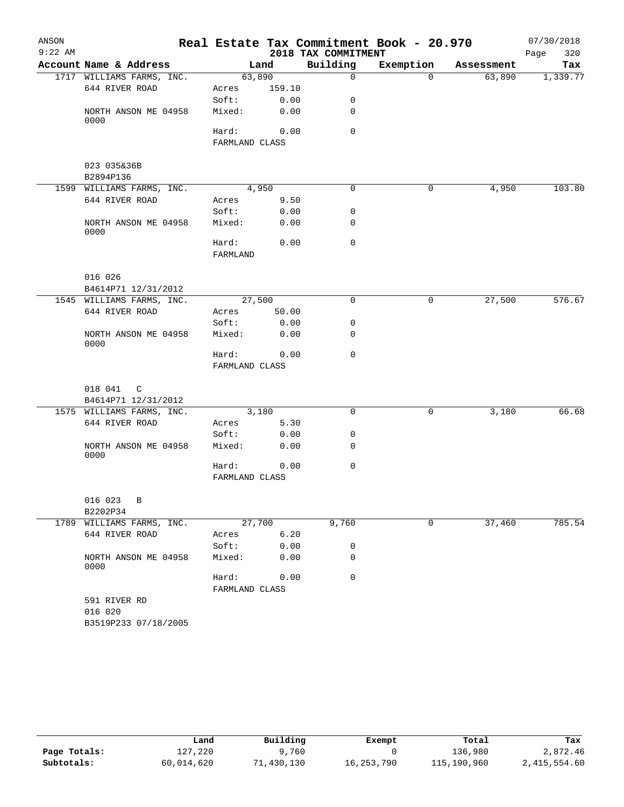| ANSON     |                              |                |        |                     | Real Estate Tax Commitment Book - 20.970 |            | 07/30/2018  |
|-----------|------------------------------|----------------|--------|---------------------|------------------------------------------|------------|-------------|
| $9:22$ AM |                              |                |        | 2018 TAX COMMITMENT |                                          |            | 320<br>Page |
|           | Account Name & Address       |                | Land   | Building            | Exemption                                | Assessment | Tax         |
|           | 1717 WILLIAMS FARMS, INC.    | 63,890         |        | $\Omega$            | $\Omega$                                 | 63,890     | 1,339.77    |
|           | 644 RIVER ROAD               | Acres          | 159.10 |                     |                                          |            |             |
|           |                              | Soft:          | 0.00   | 0                   |                                          |            |             |
|           | NORTH ANSON ME 04958<br>0000 | Mixed:         | 0.00   | 0                   |                                          |            |             |
|           |                              | Hard:          | 0.00   | $\Omega$            |                                          |            |             |
|           |                              | FARMLAND CLASS |        |                     |                                          |            |             |
|           | 023 035&36B                  |                |        |                     |                                          |            |             |
|           | B2894P136                    |                |        |                     |                                          |            |             |
|           | 1599 WILLIAMS FARMS, INC.    | 4,950          |        | 0                   | 0                                        | 4,950      | 103.80      |
|           | 644 RIVER ROAD               | Acres          | 9.50   |                     |                                          |            |             |
|           |                              | Soft:          | 0.00   | 0                   |                                          |            |             |
|           | NORTH ANSON ME 04958         | Mixed:         | 0.00   | 0                   |                                          |            |             |
|           | 0000                         |                |        |                     |                                          |            |             |
|           |                              | Hard:          | 0.00   | $\Omega$            |                                          |            |             |
|           |                              | FARMLAND       |        |                     |                                          |            |             |
|           | 016 026                      |                |        |                     |                                          |            |             |
|           | B4614P71 12/31/2012          |                |        |                     |                                          |            |             |
|           | 1545 WILLIAMS FARMS, INC.    | 27,500         |        | $\Omega$            | 0                                        | 27,500     | 576.67      |
|           | 644 RIVER ROAD               | Acres          | 50.00  |                     |                                          |            |             |
|           |                              | Soft:          | 0.00   | 0                   |                                          |            |             |
|           | NORTH ANSON ME 04958<br>0000 | Mixed:         | 0.00   | 0                   |                                          |            |             |
|           |                              | Hard:          | 0.00   | 0                   |                                          |            |             |
|           |                              | FARMLAND CLASS |        |                     |                                          |            |             |
|           | 018 041<br>C                 |                |        |                     |                                          |            |             |
|           | B4614P71 12/31/2012          |                |        |                     |                                          |            |             |
|           | 1575 WILLIAMS FARMS, INC.    | 3,180          |        | 0                   | $\mathsf{O}$                             | 3,180      | 66.68       |
|           | 644 RIVER ROAD               | Acres          | 5.30   |                     |                                          |            |             |
|           |                              | Soft:          | 0.00   | 0                   |                                          |            |             |
|           | NORTH ANSON ME 04958         | Mixed:         | 0.00   | 0                   |                                          |            |             |
|           | 0000                         |                |        |                     |                                          |            |             |
|           |                              | Hard:          | 0.00   | 0                   |                                          |            |             |
|           |                              | FARMLAND CLASS |        |                     |                                          |            |             |
|           | 016 023<br>B                 |                |        |                     |                                          |            |             |
|           | B2202P34                     |                |        |                     |                                          |            |             |
|           | 1789 WILLIAMS FARMS, INC.    | 27,700         |        | 9,760               | 0                                        | 37,460     | 785.54      |
|           | 644 RIVER ROAD               | Acres          | 6.20   |                     |                                          |            |             |
|           |                              | Soft:          | 0.00   | 0                   |                                          |            |             |
|           | NORTH ANSON ME 04958<br>0000 | Mixed:         | 0.00   | 0                   |                                          |            |             |
|           |                              | Hard:          | 0.00   | 0                   |                                          |            |             |
|           |                              | FARMLAND CLASS |        |                     |                                          |            |             |
|           | 591 RIVER RD                 |                |        |                     |                                          |            |             |
|           | 016 020                      |                |        |                     |                                          |            |             |
|           | B3519P233 07/18/2005         |                |        |                     |                                          |            |             |

|              | Land       | Building  | Exempt     | Total       | Tax          |
|--------------|------------|-----------|------------|-------------|--------------|
| Page Totals: | 127,220    | ,,760     |            | 136,980     | 2,872.46     |
| Subtotals:   | 60,014,620 | 1,430,130 | 16,253,790 | 115,190,960 | 2,415,554.60 |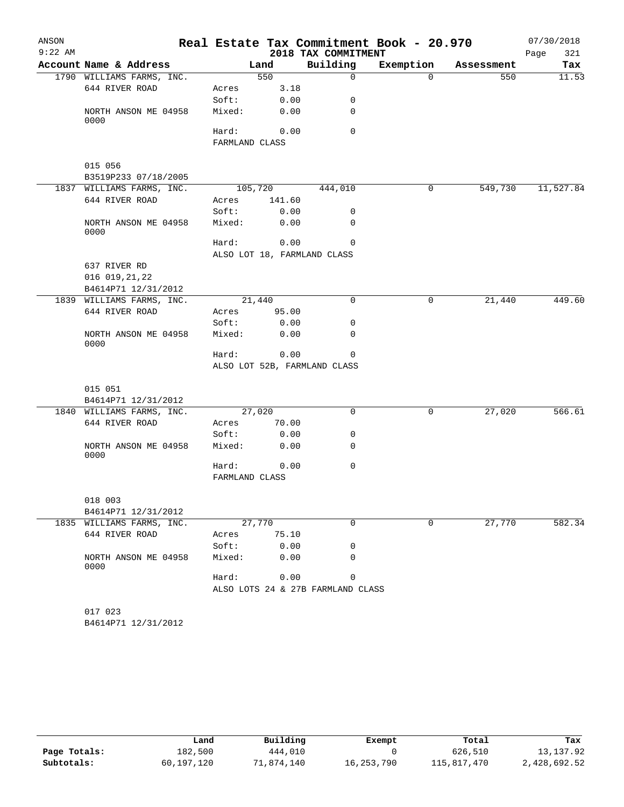| ANSON     |                              |                |         |                                   | Real Estate Tax Commitment Book - 20.970 |            | 07/30/2018  |
|-----------|------------------------------|----------------|---------|-----------------------------------|------------------------------------------|------------|-------------|
| $9:22$ AM |                              |                |         | 2018 TAX COMMITMENT               |                                          |            | Page<br>321 |
|           | Account Name & Address       |                | Land    | Building                          | Exemption                                | Assessment | Tax         |
|           | 1790 WILLIAMS FARMS, INC.    |                | 550     | 0                                 | $\Omega$                                 | 550        | 11.53       |
|           | 644 RIVER ROAD               | Acres          | 3.18    |                                   |                                          |            |             |
|           |                              | Soft:          | 0.00    | 0                                 |                                          |            |             |
|           | NORTH ANSON ME 04958<br>0000 | Mixed:         | 0.00    | 0                                 |                                          |            |             |
|           |                              | Hard:          | 0.00    | $\Omega$                          |                                          |            |             |
|           |                              | FARMLAND CLASS |         |                                   |                                          |            |             |
|           | 015 056                      |                |         |                                   |                                          |            |             |
|           | B3519P233 07/18/2005         |                |         |                                   |                                          |            |             |
|           | 1837 WILLIAMS FARMS, INC.    |                | 105,720 | 444,010                           | 0                                        | 549,730    | 11,527.84   |
|           | 644 RIVER ROAD               | Acres          | 141.60  |                                   |                                          |            |             |
|           |                              | Soft:          | 0.00    | 0                                 |                                          |            |             |
|           | NORTH ANSON ME 04958<br>0000 | Mixed:         | 0.00    | $\Omega$                          |                                          |            |             |
|           |                              | Hard:          | 0.00    | 0                                 |                                          |            |             |
|           |                              |                |         | ALSO LOT 18, FARMLAND CLASS       |                                          |            |             |
|           | 637 RIVER RD                 |                |         |                                   |                                          |            |             |
|           | 016 019, 21, 22              |                |         |                                   |                                          |            |             |
|           | B4614P71 12/31/2012          |                |         |                                   |                                          |            |             |
|           | 1839 WILLIAMS FARMS, INC.    |                | 21,440  | 0                                 | 0                                        | 21,440     | 449.60      |
|           | 644 RIVER ROAD               | Acres          | 95.00   |                                   |                                          |            |             |
|           |                              | Soft:          | 0.00    | 0                                 |                                          |            |             |
|           | NORTH ANSON ME 04958<br>0000 | Mixed:         | 0.00    | 0                                 |                                          |            |             |
|           |                              | Hard:          | 0.00    | $\Omega$                          |                                          |            |             |
|           |                              |                |         | ALSO LOT 52B, FARMLAND CLASS      |                                          |            |             |
|           | 015 051                      |                |         |                                   |                                          |            |             |
|           | B4614P71 12/31/2012          |                |         |                                   |                                          |            |             |
|           | 1840 WILLIAMS FARMS, INC.    |                | 27,020  | $\mathbf 0$                       | 0                                        | 27,020     | 566.61      |
|           | 644 RIVER ROAD               | Acres          | 70.00   |                                   |                                          |            |             |
|           |                              | Soft:          |         | 0                                 |                                          |            |             |
|           |                              |                | 0.00    |                                   |                                          |            |             |
|           | NORTH ANSON ME 04958<br>0000 | Mixed:         | 0.00    | 0                                 |                                          |            |             |
|           |                              | Hard:          | 0.00    | 0                                 |                                          |            |             |
|           |                              | FARMLAND CLASS |         |                                   |                                          |            |             |
|           | 018 003                      |                |         |                                   |                                          |            |             |
|           | B4614P71 12/31/2012          |                |         |                                   |                                          |            |             |
|           | 1835 WILLIAMS FARMS, INC.    |                | 27,770  | $\mathbf 0$                       | 0                                        | 27,770     | 582.34      |
|           | 644 RIVER ROAD               | Acres          | 75.10   |                                   |                                          |            |             |
|           |                              | Soft:          | 0.00    | 0                                 |                                          |            |             |
|           | NORTH ANSON ME 04958<br>0000 | Mixed:         | 0.00    | 0                                 |                                          |            |             |
|           |                              | Hard:          | 0.00    | 0                                 |                                          |            |             |
|           |                              |                |         | ALSO LOTS 24 & 27B FARMLAND CLASS |                                          |            |             |
|           | 017 023                      |                |         |                                   |                                          |            |             |
|           | B4614P71 12/31/2012          |                |         |                                   |                                          |            |             |
|           |                              |                |         |                                   |                                          |            |             |

|              | Land       | Building   | Exempt     | Total       | Tax          |
|--------------|------------|------------|------------|-------------|--------------|
| Page Totals: | 182,500    | 444,010    |            | 626,510     | 13,137.92    |
| Subtotals:   | 60,197,120 | 71,874,140 | 16,253,790 | 115,817,470 | 2,428,692.52 |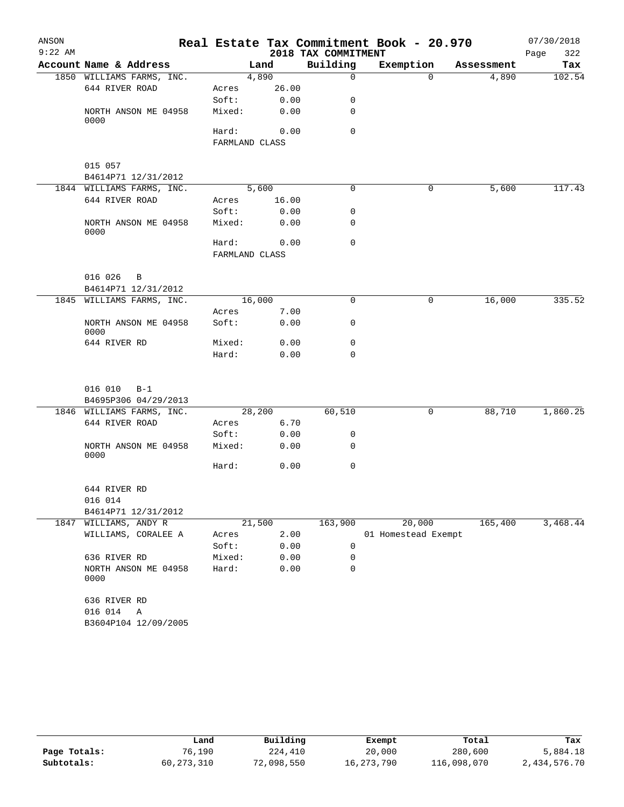| ANSON<br>$9:22$ AM |                              |        |                | 2018 TAX COMMITMENT | Real Estate Tax Commitment Book - 20.970 |            | 07/30/2018<br>322<br>Page |
|--------------------|------------------------------|--------|----------------|---------------------|------------------------------------------|------------|---------------------------|
|                    | Account Name & Address       |        | Land           | Building            | Exemption                                | Assessment | Tax                       |
|                    | 1850 WILLIAMS FARMS, INC.    |        | 4,890          | $\Omega$            | $\Omega$                                 | 4,890      | 102.54                    |
|                    | 644 RIVER ROAD               | Acres  | 26.00          |                     |                                          |            |                           |
|                    |                              | Soft:  | 0.00           | 0                   |                                          |            |                           |
|                    | NORTH ANSON ME 04958<br>0000 | Mixed: | 0.00           | $\Omega$            |                                          |            |                           |
|                    |                              | Hard:  | 0.00           | $\Omega$            |                                          |            |                           |
|                    |                              |        | FARMLAND CLASS |                     |                                          |            |                           |
|                    | 015 057                      |        |                |                     |                                          |            |                           |
|                    | B4614P71 12/31/2012          |        |                |                     |                                          |            |                           |
|                    | 1844 WILLIAMS FARMS, INC.    |        | 5,600          | 0                   | 0                                        | 5,600      | 117.43                    |
|                    | 644 RIVER ROAD               | Acres  | 16.00          |                     |                                          |            |                           |
|                    |                              | Soft:  | 0.00           | 0                   |                                          |            |                           |
|                    | NORTH ANSON ME 04958<br>0000 | Mixed: | 0.00           | 0                   |                                          |            |                           |
|                    |                              | Hard:  | 0.00           | $\Omega$            |                                          |            |                           |
|                    |                              |        | FARMLAND CLASS |                     |                                          |            |                           |
|                    | 016 026<br>$\mathbf B$       |        |                |                     |                                          |            |                           |
|                    | B4614P71 12/31/2012          |        |                |                     |                                          |            |                           |
|                    | 1845 WILLIAMS FARMS, INC.    |        | 16,000         | 0                   | 0                                        | 16,000     | 335.52                    |
|                    |                              | Acres  | 7.00           |                     |                                          |            |                           |
|                    | NORTH ANSON ME 04958<br>0000 | Soft:  | 0.00           | 0                   |                                          |            |                           |
|                    | 644 RIVER RD                 | Mixed: | 0.00           | 0                   |                                          |            |                           |
|                    |                              | Hard:  | 0.00           | $\Omega$            |                                          |            |                           |
|                    | 016 010<br>$B-1$             |        |                |                     |                                          |            |                           |
|                    | B4695P306 04/29/2013         |        |                |                     |                                          |            |                           |
|                    | 1846 WILLIAMS FARMS, INC.    |        | 28,200         | 60,510              | 0                                        | 88,710     | 1,860.25                  |
|                    | 644 RIVER ROAD               | Acres  | 6.70           |                     |                                          |            |                           |
|                    |                              | Soft:  | 0.00           | 0                   |                                          |            |                           |
|                    | NORTH ANSON ME 04958<br>0000 | Mixed: | 0.00           | 0                   |                                          |            |                           |
|                    |                              | Hard:  | 0.00           | 0                   |                                          |            |                           |
|                    | 644 RIVER RD                 |        |                |                     |                                          |            |                           |
|                    | 016 014                      |        |                |                     |                                          |            |                           |
|                    | B4614P71 12/31/2012          |        |                |                     |                                          |            |                           |
|                    | 1847 WILLIAMS, ANDY R        |        | 21,500         | 163,900             | 20,000                                   | 165,400    | 3,468.44                  |
|                    | WILLIAMS, CORALEE A          | Acres  | 2.00           |                     | 01 Homestead Exempt                      |            |                           |
|                    |                              | Soft:  | 0.00           | 0                   |                                          |            |                           |
|                    | 636 RIVER RD                 | Mixed: | 0.00           | 0                   |                                          |            |                           |
|                    | NORTH ANSON ME 04958<br>0000 | Hard:  | 0.00           | 0                   |                                          |            |                           |
|                    | 636 RIVER RD                 |        |                |                     |                                          |            |                           |
|                    | 016 014<br>Α                 |        |                |                     |                                          |            |                           |
|                    | B3604P104 12/09/2005         |        |                |                     |                                          |            |                           |

|              | Land         | Building   |            | Total       |              |
|--------------|--------------|------------|------------|-------------|--------------|
|              |              |            | Exempt     |             | Tax          |
| Page Totals: | 76,190       | 224,410    | 20,000     | 280,600     | 5,884.18     |
| Subtotals:   | 60, 273, 310 | 72,098,550 | 16,273,790 | 116,098,070 | 2,434,576.70 |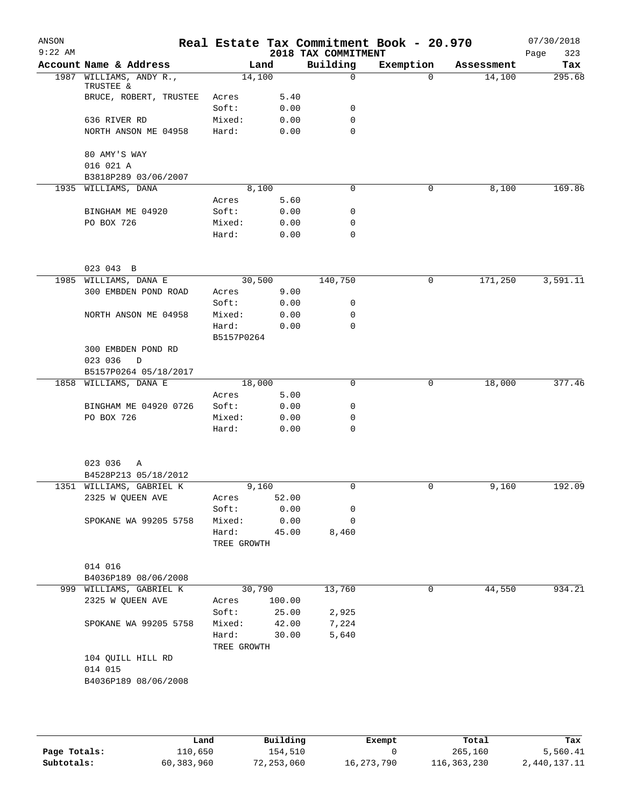| ANSON<br>$9:22$ AM |                                      |                      |                                        | 2018 TAX COMMITMENT | Real Estate Tax Commitment Book - 20.970 |            | 07/30/2018<br>Page<br>323 |
|--------------------|--------------------------------------|----------------------|----------------------------------------|---------------------|------------------------------------------|------------|---------------------------|
|                    | Account Name & Address               | Land                 |                                        | Building            | Exemption                                | Assessment | Tax                       |
|                    | 1987 WILLIAMS, ANDY R.,<br>TRUSTEE & | 14,100               |                                        | $\Omega$            | $\Omega$                                 | 14,100     | 295.68                    |
|                    | BRUCE, ROBERT, TRUSTEE               | Acres                | 5.40                                   |                     |                                          |            |                           |
|                    |                                      | Soft:                | 0.00                                   | 0                   |                                          |            |                           |
|                    | 636 RIVER RD                         | Mixed:               | 0.00                                   | 0                   |                                          |            |                           |
|                    | NORTH ANSON ME 04958                 | Hard:                | 0.00                                   | $\mathbf 0$         |                                          |            |                           |
|                    | 80 AMY'S WAY<br>016 021 A            |                      |                                        |                     |                                          |            |                           |
|                    | B3818P289 03/06/2007                 |                      |                                        |                     |                                          |            |                           |
|                    | 1935 WILLIAMS, DANA                  | 8,100                |                                        | $\mathbf 0$         | 0                                        | 8,100      | 169.86                    |
|                    |                                      | Acres                | 5.60                                   |                     |                                          |            |                           |
|                    | BINGHAM ME 04920                     | Soft:                | 0.00                                   | $\mathbf 0$         |                                          |            |                           |
|                    | PO BOX 726                           | Mixed:               | 0.00                                   | $\mathbf 0$         |                                          |            |                           |
|                    |                                      | Hard:                | 0.00                                   | $\mathbf 0$         |                                          |            |                           |
|                    | 023 043 B                            |                      |                                        |                     |                                          |            |                           |
|                    | 1985 WILLIAMS, DANA E                | 30,500               |                                        | 140,750             | 0                                        | 171,250    | 3,591.11                  |
|                    | 300 EMBDEN POND ROAD                 | Acres                | 9.00                                   |                     |                                          |            |                           |
|                    |                                      | Soft:                | 0.00                                   | 0                   |                                          |            |                           |
|                    | NORTH ANSON ME 04958                 | Mixed:               | 0.00                                   | $\mathbf 0$         |                                          |            |                           |
|                    |                                      | Hard:                | 0.00                                   | $\mathbf 0$         |                                          |            |                           |
|                    |                                      | B5157P0264           |                                        |                     |                                          |            |                           |
|                    | 300 EMBDEN POND RD                   |                      |                                        |                     |                                          |            |                           |
|                    | 023 036<br>D                         |                      |                                        |                     |                                          |            |                           |
|                    | B5157P0264 05/18/2017                |                      |                                        |                     |                                          |            |                           |
|                    | 1858 WILLIAMS, DANA E                | 18,000               |                                        | 0                   | 0                                        | 18,000     | 377.46                    |
|                    |                                      | Acres                | 5.00                                   |                     |                                          |            |                           |
|                    | BINGHAM ME 04920 0726                | Soft:                | 0.00                                   | 0                   |                                          |            |                           |
|                    | PO BOX 726                           | Mixed:               | 0.00                                   | 0                   |                                          |            |                           |
|                    |                                      | Hard:                | 0.00                                   | $\mathbf 0$         |                                          |            |                           |
|                    |                                      |                      |                                        |                     |                                          |            |                           |
|                    | 023 036<br>Α                         |                      |                                        |                     |                                          |            |                           |
|                    | B4528P213 05/18/2012                 |                      |                                        |                     |                                          |            |                           |
|                    | 1351 WILLIAMS, GABRIEL K             | 9,160                |                                        | 0                   | 0                                        | 9,160      | 192.09                    |
|                    | 2325 W QUEEN AVE                     | Acres                | 52.00                                  |                     |                                          |            |                           |
|                    |                                      | Soft:                | 0.00                                   | 0                   |                                          |            |                           |
|                    | SPOKANE WA 99205 5758                | Mixed:               | 0.00                                   | 0                   |                                          |            |                           |
|                    |                                      |                      | Hard:<br>45.00<br>8,460<br>TREE GROWTH |                     |                                          |            |                           |
|                    | 014 016                              |                      |                                        |                     |                                          |            |                           |
|                    | B4036P189 08/06/2008                 |                      |                                        |                     |                                          |            |                           |
|                    | 999 WILLIAMS, GABRIEL K              | 30,790               |                                        | 13,760              | 0                                        | 44,550     | 934.21                    |
|                    | 2325 W QUEEN AVE                     | Acres                | 100.00                                 |                     |                                          |            |                           |
|                    |                                      | Soft:                | 25.00                                  | 2,925               |                                          |            |                           |
|                    | SPOKANE WA 99205 5758                | Mixed:               | 42.00                                  | 7,224               |                                          |            |                           |
|                    |                                      | Hard:<br>TREE GROWTH | 30.00                                  | 5,640               |                                          |            |                           |
|                    | 104 QUILL HILL RD                    |                      |                                        |                     |                                          |            |                           |
|                    | 014 015                              |                      |                                        |                     |                                          |            |                           |
|                    | B4036P189 08/06/2008                 |                      |                                        |                     |                                          |            |                           |
|                    |                                      |                      |                                        |                     |                                          |            |                           |
|                    |                                      |                      |                                        |                     |                                          |            |                           |
|                    |                                      |                      |                                        |                     |                                          |            |                           |

|              | Land       | Building   | Exempt       | Total       | Tax          |
|--------------|------------|------------|--------------|-------------|--------------|
| Page Totals: | 110,650    | 154,510    |              | 265,160     | 5,560.41     |
| Subtotals:   | 60,383,960 | 72,253,060 | 16, 273, 790 | 116,363,230 | 2,440,137.11 |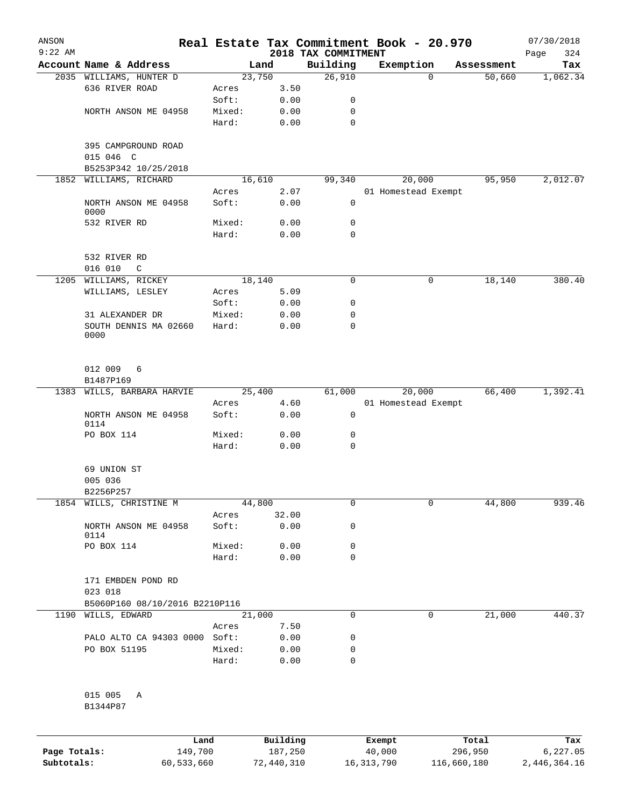| ANSON        |                                           |                 |                     |                     | Real Estate Tax Commitment Book - 20.970 |                  | 07/30/2018      |
|--------------|-------------------------------------------|-----------------|---------------------|---------------------|------------------------------------------|------------------|-----------------|
| $9:22$ AM    |                                           |                 |                     | 2018 TAX COMMITMENT |                                          |                  | 324<br>Page     |
|              | Account Name & Address                    |                 | Land                | Building            | Exemption                                | Assessment       | Tax             |
|              | 2035 WILLIAMS, HUNTER D<br>636 RIVER ROAD | Acres           | 23,750<br>3.50      | 26,910              |                                          | 50,660<br>0      | 1,062.34        |
|              |                                           | Soft:           | 0.00                | 0                   |                                          |                  |                 |
|              | NORTH ANSON ME 04958                      | Mixed:          | 0.00                | 0                   |                                          |                  |                 |
|              |                                           | Hard:           | 0.00                | $\mathbf 0$         |                                          |                  |                 |
|              | 395 CAMPGROUND ROAD                       |                 |                     |                     |                                          |                  |                 |
|              | 015 046 C                                 |                 |                     |                     |                                          |                  |                 |
|              | B5253P342 10/25/2018                      |                 |                     |                     |                                          |                  |                 |
| 1852         | WILLIAMS, RICHARD                         |                 | 16,610<br>2.07      | 99,340              | 20,000<br>01 Homestead Exempt            | 95,950           | 2,012.07        |
|              | NORTH ANSON ME 04958<br>0000              | Acres<br>Soft:  | 0.00                | 0                   |                                          |                  |                 |
|              | 532 RIVER RD                              | Mixed:          | 0.00                | 0                   |                                          |                  |                 |
|              |                                           | Hard:           | 0.00                | $\mathbf 0$         |                                          |                  |                 |
|              | 532 RIVER RD<br>016 010<br>$\mathsf{C}$   |                 |                     |                     |                                          |                  |                 |
| 1205         | WILLIAMS, RICKEY                          |                 | 18,140              | $\mathsf{O}$        |                                          | 0<br>18,140      | 380.40          |
|              | WILLIAMS, LESLEY                          | Acres           | 5.09                |                     |                                          |                  |                 |
|              |                                           | Soft:           | 0.00                | 0                   |                                          |                  |                 |
|              | 31 ALEXANDER DR                           | Mixed:          | 0.00                | 0                   |                                          |                  |                 |
|              | SOUTH DENNIS MA 02660<br>0000             | Hard:           | 0.00                | $\mathbf 0$         |                                          |                  |                 |
|              | 012 009<br>6<br>B1487P169                 |                 |                     |                     |                                          |                  |                 |
| 1383         | WILLS, BARBARA HARVIE                     |                 | 25,400              | 61,000              | 20,000                                   | 66,400           | 1,392.41        |
|              |                                           | Acres           | 4.60                |                     | 01 Homestead Exempt                      |                  |                 |
|              | NORTH ANSON ME 04958<br>0114              | Soft:           | 0.00                | 0                   |                                          |                  |                 |
|              | PO BOX 114                                | Mixed:<br>Hard: | 0.00<br>0.00        | 0<br>$\mathbf 0$    |                                          |                  |                 |
|              | 69 UNION ST                               |                 |                     |                     |                                          |                  |                 |
|              | 005 036                                   |                 |                     |                     |                                          |                  |                 |
|              | B2256P257                                 |                 |                     |                     |                                          |                  |                 |
|              | 1854 WILLS, CHRISTINE M                   |                 | 44,800              | 0                   |                                          | 44,800<br>0      | 939.46          |
|              |                                           | Acres           | 32.00               |                     |                                          |                  |                 |
|              | NORTH ANSON ME 04958<br>0114              | Soft:           | 0.00                | 0                   |                                          |                  |                 |
|              | PO BOX 114                                | Mixed:          | 0.00                | 0                   |                                          |                  |                 |
|              |                                           | Hard:           | 0.00                | 0                   |                                          |                  |                 |
|              | 171 EMBDEN POND RD<br>023 018             |                 |                     |                     |                                          |                  |                 |
|              | B5060P160 08/10/2016 B2210P116            |                 |                     |                     |                                          |                  |                 |
| 1190         | WILLS, EDWARD                             |                 | 21,000              | $\mathbf 0$         |                                          | 21,000<br>0      | 440.37          |
|              |                                           | Acres           | 7.50                |                     |                                          |                  |                 |
|              | PALO ALTO CA 94303 0000 Soft:             |                 | 0.00                | 0                   |                                          |                  |                 |
|              | PO BOX 51195                              | Mixed:          | 0.00                | 0                   |                                          |                  |                 |
|              |                                           | Hard:           | 0.00                | 0                   |                                          |                  |                 |
|              | 015 005<br>Α                              |                 |                     |                     |                                          |                  |                 |
|              | B1344P87                                  |                 |                     |                     |                                          |                  |                 |
|              |                                           |                 |                     |                     |                                          |                  |                 |
| Page Totals: | Land<br>149,700                           |                 | Building<br>187,250 |                     | Exempt<br>40,000                         | Total<br>296,950 | Tax<br>6,227.05 |
|              |                                           |                 |                     |                     |                                          |                  |                 |

**Subtotals:** 60,533,660 72,440,310 16,313,790 116,660,180 2,446,364.16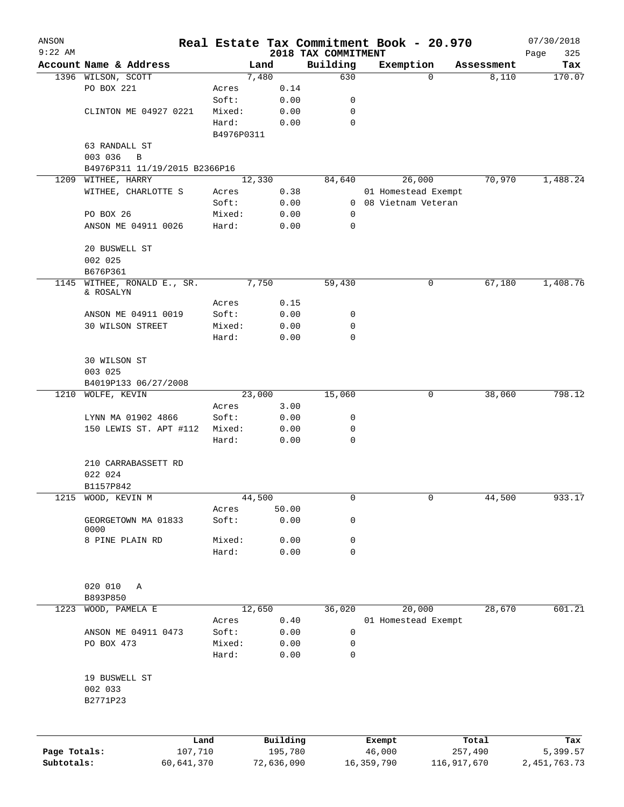| ANSON<br>$9:22$ AM |                               |            |            |            |      |                                 |            | Real Estate Tax Commitment Book - 20.970 |             | 07/30/2018         |
|--------------------|-------------------------------|------------|------------|------------|------|---------------------------------|------------|------------------------------------------|-------------|--------------------|
|                    | Account Name & Address        |            |            | Land       |      | 2018 TAX COMMITMENT<br>Building |            | Exemption                                | Assessment  | Page<br>325<br>Tax |
|                    | 1396 WILSON, SCOTT            |            |            | 7,480      |      | 630                             |            | 0                                        | 8,110       | 170.07             |
|                    | PO BOX 221                    |            | Acres      |            | 0.14 |                                 |            |                                          |             |                    |
|                    |                               |            | Soft:      |            | 0.00 | 0                               |            |                                          |             |                    |
|                    | CLINTON ME 04927 0221         |            | Mixed:     |            | 0.00 | $\mathbf 0$                     |            |                                          |             |                    |
|                    |                               |            | Hard:      |            | 0.00 | $\mathbf 0$                     |            |                                          |             |                    |
|                    |                               |            | B4976P0311 |            |      |                                 |            |                                          |             |                    |
|                    | 63 RANDALL ST                 |            |            |            |      |                                 |            |                                          |             |                    |
|                    | 003 036<br>B                  |            |            |            |      |                                 |            |                                          |             |                    |
|                    | B4976P311 11/19/2015 B2366P16 |            |            |            |      |                                 |            |                                          |             |                    |
| 1209               | WITHEE, HARRY                 |            |            | 12,330     |      | 84,640                          |            | 26,000                                   | 70,970      | 1,488.24           |
|                    | WITHEE, CHARLOTTE S           |            | Acres      |            | 0.38 |                                 |            | 01 Homestead Exempt                      |             |                    |
|                    |                               |            | Soft:      |            | 0.00 | $\mathbf{0}$                    |            | 08 Vietnam Veteran                       |             |                    |
|                    | PO BOX 26                     |            | Mixed:     |            | 0.00 | 0                               |            |                                          |             |                    |
|                    | ANSON ME 04911 0026           |            | Hard:      |            | 0.00 | 0                               |            |                                          |             |                    |
|                    | 20 BUSWELL ST                 |            |            |            |      |                                 |            |                                          |             |                    |
|                    | 002 025                       |            |            |            |      |                                 |            |                                          |             |                    |
|                    | B676P361                      |            |            |            |      |                                 |            |                                          |             |                    |
| 1145               | WITHEE, RONALD E., SR.        |            |            | 7,750      |      | 59,430                          |            | 0                                        | 67,180      | 1,408.76           |
|                    | & ROSALYN                     |            |            |            |      |                                 |            |                                          |             |                    |
|                    |                               |            | Acres      |            | 0.15 |                                 |            |                                          |             |                    |
|                    | ANSON ME 04911 0019           |            | Soft:      |            | 0.00 | 0                               |            |                                          |             |                    |
|                    | 30 WILSON STREET              |            | Mixed:     |            | 0.00 | 0                               |            |                                          |             |                    |
|                    |                               |            | Hard:      |            | 0.00 | $\mathbf 0$                     |            |                                          |             |                    |
|                    | 30 WILSON ST                  |            |            |            |      |                                 |            |                                          |             |                    |
|                    | 003 025                       |            |            |            |      |                                 |            |                                          |             |                    |
|                    | B4019P133 06/27/2008          |            |            |            |      |                                 |            |                                          |             |                    |
| 1210               | WOLFE, KEVIN                  |            |            | 23,000     |      | 15,060                          |            | 0                                        | 38,060      | 798.12             |
|                    |                               |            | Acres      |            | 3.00 |                                 |            |                                          |             |                    |
|                    | LYNN MA 01902 4866            |            | Soft:      |            | 0.00 | 0                               |            |                                          |             |                    |
|                    | 150 LEWIS ST. APT #112        |            | Mixed:     |            | 0.00 | 0                               |            |                                          |             |                    |
|                    |                               |            | Hard:      |            | 0.00 | 0                               |            |                                          |             |                    |
|                    | 210 CARRABASSETT RD           |            |            |            |      |                                 |            |                                          |             |                    |
|                    | 022 024                       |            |            |            |      |                                 |            |                                          |             |                    |
|                    | B1157P842                     |            |            |            |      |                                 |            |                                          |             |                    |
|                    | 1215 WOOD, KEVIN M            |            |            | 44,500     |      | 0                               |            | 0                                        | 44,500      | 933.17             |
|                    |                               |            | Acres      | 50.00      |      |                                 |            |                                          |             |                    |
|                    | GEORGETOWN MA 01833           |            | Soft:      |            | 0.00 | 0                               |            |                                          |             |                    |
|                    | 0000                          |            |            |            |      |                                 |            |                                          |             |                    |
|                    | 8 PINE PLAIN RD               |            | Mixed:     |            | 0.00 | 0                               |            |                                          |             |                    |
|                    |                               |            | Hard:      |            | 0.00 | 0                               |            |                                          |             |                    |
|                    |                               |            |            |            |      |                                 |            |                                          |             |                    |
|                    | 020 010<br>Α                  |            |            |            |      |                                 |            |                                          |             |                    |
|                    | B893P850                      |            |            |            |      |                                 |            |                                          |             |                    |
| 1223               | WOOD, PAMELA E                |            |            | 12,650     |      | 36,020                          |            | 20,000                                   | 28,670      | 601.21             |
|                    |                               |            | Acres      |            | 0.40 |                                 |            | 01 Homestead Exempt                      |             |                    |
|                    | ANSON ME 04911 0473           |            | Soft:      |            | 0.00 | 0                               |            |                                          |             |                    |
|                    | PO BOX 473                    |            | Mixed:     |            | 0.00 | 0                               |            |                                          |             |                    |
|                    |                               |            | Hard:      |            | 0.00 | $\mathbf 0$                     |            |                                          |             |                    |
|                    | 19 BUSWELL ST                 |            |            |            |      |                                 |            |                                          |             |                    |
|                    | 002 033                       |            |            |            |      |                                 |            |                                          |             |                    |
|                    | B2771P23                      |            |            |            |      |                                 |            |                                          |             |                    |
|                    |                               |            |            |            |      |                                 |            |                                          |             |                    |
|                    |                               | Land       |            | Building   |      |                                 |            | Exempt                                   | Total       | Tax                |
| Page Totals:       |                               | 107,710    |            | 195,780    |      |                                 |            | 46,000                                   | 257,490     | 5,399.57           |
| Subtotals:         |                               | 60,641,370 |            | 72,636,090 |      |                                 | 16,359,790 |                                          | 116,917,670 | 2, 451, 763. 73    |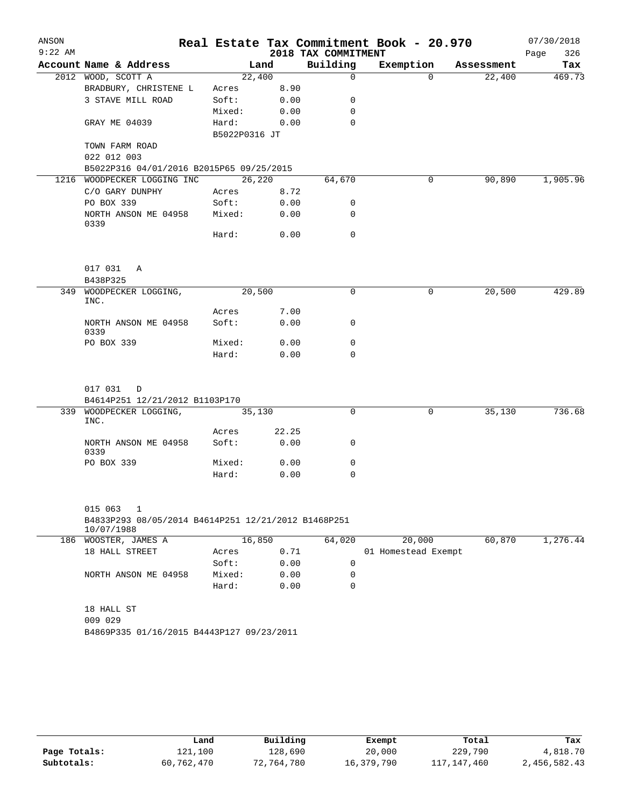| Account Name & Address<br>Building<br>Exemption Assessment<br>Land<br>2012 WOOD, SCOTT A<br>22,400<br>$\mathbf 0$<br>$\Omega$<br>22,400<br>BRADBURY, CHRISTENE L<br>8.90<br>Acres<br>3 STAVE MILL ROAD<br>Soft:<br>0.00<br>0<br>0.00<br>0<br>Mixed:<br>GRAY ME 04039<br>Hard:<br>0<br>0.00<br>B5022P0316 JT<br>TOWN FARM ROAD<br>022 012 003<br>B5022P316 04/01/2016 B2015P65 09/25/2015<br>26,220<br>90,890<br>1216 WOODPECKER LOGGING INC<br>64,670<br>0<br>C/O GARY DUNPHY<br>8.72<br>Acres<br>PO BOX 339<br>Soft:<br>0.00<br>0<br>NORTH ANSON ME 04958<br>Mixed:<br>0.00<br>0<br>0339<br>Hard:<br>0.00<br>0<br>017 031 A<br>B438P325<br>$\mathbf 0$<br>349 WOODPECKER LOGGING,<br>20,500<br>0<br>20,500<br>INC.<br>7.00<br>Acres<br>NORTH ANSON ME 04958<br>Soft:<br>0.00<br>0<br>0339 | ANSON<br>$9:22$ AM |  | 2018 TAX COMMITMENT | Real Estate Tax Commitment Book - 20.970 | 07/30/2018<br>Page<br>326 |
|--------------------------------------------------------------------------------------------------------------------------------------------------------------------------------------------------------------------------------------------------------------------------------------------------------------------------------------------------------------------------------------------------------------------------------------------------------------------------------------------------------------------------------------------------------------------------------------------------------------------------------------------------------------------------------------------------------------------------------------------------------------------------------------------|--------------------|--|---------------------|------------------------------------------|---------------------------|
|                                                                                                                                                                                                                                                                                                                                                                                                                                                                                                                                                                                                                                                                                                                                                                                            |                    |  |                     |                                          | Tax                       |
|                                                                                                                                                                                                                                                                                                                                                                                                                                                                                                                                                                                                                                                                                                                                                                                            |                    |  |                     |                                          | 469.73                    |
|                                                                                                                                                                                                                                                                                                                                                                                                                                                                                                                                                                                                                                                                                                                                                                                            |                    |  |                     |                                          |                           |
|                                                                                                                                                                                                                                                                                                                                                                                                                                                                                                                                                                                                                                                                                                                                                                                            |                    |  |                     |                                          |                           |
|                                                                                                                                                                                                                                                                                                                                                                                                                                                                                                                                                                                                                                                                                                                                                                                            |                    |  |                     |                                          |                           |
|                                                                                                                                                                                                                                                                                                                                                                                                                                                                                                                                                                                                                                                                                                                                                                                            |                    |  |                     |                                          |                           |
|                                                                                                                                                                                                                                                                                                                                                                                                                                                                                                                                                                                                                                                                                                                                                                                            |                    |  |                     |                                          |                           |
|                                                                                                                                                                                                                                                                                                                                                                                                                                                                                                                                                                                                                                                                                                                                                                                            |                    |  |                     |                                          |                           |
|                                                                                                                                                                                                                                                                                                                                                                                                                                                                                                                                                                                                                                                                                                                                                                                            |                    |  |                     |                                          |                           |
|                                                                                                                                                                                                                                                                                                                                                                                                                                                                                                                                                                                                                                                                                                                                                                                            |                    |  |                     |                                          | 1,905.96                  |
|                                                                                                                                                                                                                                                                                                                                                                                                                                                                                                                                                                                                                                                                                                                                                                                            |                    |  |                     |                                          |                           |
|                                                                                                                                                                                                                                                                                                                                                                                                                                                                                                                                                                                                                                                                                                                                                                                            |                    |  |                     |                                          |                           |
|                                                                                                                                                                                                                                                                                                                                                                                                                                                                                                                                                                                                                                                                                                                                                                                            |                    |  |                     |                                          |                           |
|                                                                                                                                                                                                                                                                                                                                                                                                                                                                                                                                                                                                                                                                                                                                                                                            |                    |  |                     |                                          |                           |
|                                                                                                                                                                                                                                                                                                                                                                                                                                                                                                                                                                                                                                                                                                                                                                                            |                    |  |                     |                                          |                           |
|                                                                                                                                                                                                                                                                                                                                                                                                                                                                                                                                                                                                                                                                                                                                                                                            |                    |  |                     |                                          |                           |
|                                                                                                                                                                                                                                                                                                                                                                                                                                                                                                                                                                                                                                                                                                                                                                                            |                    |  |                     |                                          | 429.89                    |
|                                                                                                                                                                                                                                                                                                                                                                                                                                                                                                                                                                                                                                                                                                                                                                                            |                    |  |                     |                                          |                           |
|                                                                                                                                                                                                                                                                                                                                                                                                                                                                                                                                                                                                                                                                                                                                                                                            |                    |  |                     |                                          |                           |
|                                                                                                                                                                                                                                                                                                                                                                                                                                                                                                                                                                                                                                                                                                                                                                                            |                    |  |                     |                                          |                           |
| PO BOX 339<br>Mixed:<br>0.00<br>0                                                                                                                                                                                                                                                                                                                                                                                                                                                                                                                                                                                                                                                                                                                                                          |                    |  |                     |                                          |                           |
| 0.00<br>Hard:<br>$\Omega$                                                                                                                                                                                                                                                                                                                                                                                                                                                                                                                                                                                                                                                                                                                                                                  |                    |  |                     |                                          |                           |
| 017 031 D                                                                                                                                                                                                                                                                                                                                                                                                                                                                                                                                                                                                                                                                                                                                                                                  |                    |  |                     |                                          |                           |
| B4614P251 12/21/2012 B1103P170<br>339 WOODPECKER LOGGING,<br>$\mathbf 0$<br>$\mathbf 0$<br>35,130<br>35,130                                                                                                                                                                                                                                                                                                                                                                                                                                                                                                                                                                                                                                                                                |                    |  |                     |                                          | 736.68                    |
| INC.                                                                                                                                                                                                                                                                                                                                                                                                                                                                                                                                                                                                                                                                                                                                                                                       |                    |  |                     |                                          |                           |
| 22.25<br>Acres                                                                                                                                                                                                                                                                                                                                                                                                                                                                                                                                                                                                                                                                                                                                                                             |                    |  |                     |                                          |                           |
| 0.00<br>Soft:<br>0<br>NORTH ANSON ME 04958<br>0339                                                                                                                                                                                                                                                                                                                                                                                                                                                                                                                                                                                                                                                                                                                                         |                    |  |                     |                                          |                           |
| Mixed:<br>0.00<br>0<br>PO BOX 339                                                                                                                                                                                                                                                                                                                                                                                                                                                                                                                                                                                                                                                                                                                                                          |                    |  |                     |                                          |                           |
| Hard:<br>0<br>0.00                                                                                                                                                                                                                                                                                                                                                                                                                                                                                                                                                                                                                                                                                                                                                                         |                    |  |                     |                                          |                           |
| 015 063<br>1<br>B4833P293 08/05/2014 B4614P251 12/21/2012 B1468P251                                                                                                                                                                                                                                                                                                                                                                                                                                                                                                                                                                                                                                                                                                                        |                    |  |                     |                                          |                           |
| 10/07/1988                                                                                                                                                                                                                                                                                                                                                                                                                                                                                                                                                                                                                                                                                                                                                                                 |                    |  |                     |                                          |                           |
| 16,850<br>20,000<br>60,870<br>186 WOOSTER, JAMES A<br>64,020                                                                                                                                                                                                                                                                                                                                                                                                                                                                                                                                                                                                                                                                                                                               |                    |  |                     |                                          | 1,276.44                  |
| 18 HALL STREET<br>0.71<br>01 Homestead Exempt<br>Acres                                                                                                                                                                                                                                                                                                                                                                                                                                                                                                                                                                                                                                                                                                                                     |                    |  |                     |                                          |                           |
| Soft:<br>0.00<br>$\mathbf 0$                                                                                                                                                                                                                                                                                                                                                                                                                                                                                                                                                                                                                                                                                                                                                               |                    |  |                     |                                          |                           |
| 0.00<br>NORTH ANSON ME 04958<br>Mixed:<br>0                                                                                                                                                                                                                                                                                                                                                                                                                                                                                                                                                                                                                                                                                                                                                |                    |  |                     |                                          |                           |
| Hard:<br>0.00<br>0                                                                                                                                                                                                                                                                                                                                                                                                                                                                                                                                                                                                                                                                                                                                                                         |                    |  |                     |                                          |                           |
| 18 HALL ST                                                                                                                                                                                                                                                                                                                                                                                                                                                                                                                                                                                                                                                                                                                                                                                 |                    |  |                     |                                          |                           |
| 009 029<br>B4869P335 01/16/2015 B4443P127 09/23/2011                                                                                                                                                                                                                                                                                                                                                                                                                                                                                                                                                                                                                                                                                                                                       |                    |  |                     |                                          |                           |
|                                                                                                                                                                                                                                                                                                                                                                                                                                                                                                                                                                                                                                                                                                                                                                                            |                    |  |                     |                                          |                           |
|                                                                                                                                                                                                                                                                                                                                                                                                                                                                                                                                                                                                                                                                                                                                                                                            |                    |  |                     |                                          |                           |

|              | Land       | Building   | Exempt     | Total       | Tax          |
|--------------|------------|------------|------------|-------------|--------------|
| Page Totals: | 121,100    | 128,690    | 20,000     | 229,790     | 4,818.70     |
| Subtotals:   | 60,762,470 | 72,764,780 | 16,379,790 | 117,147,460 | 2,456,582.43 |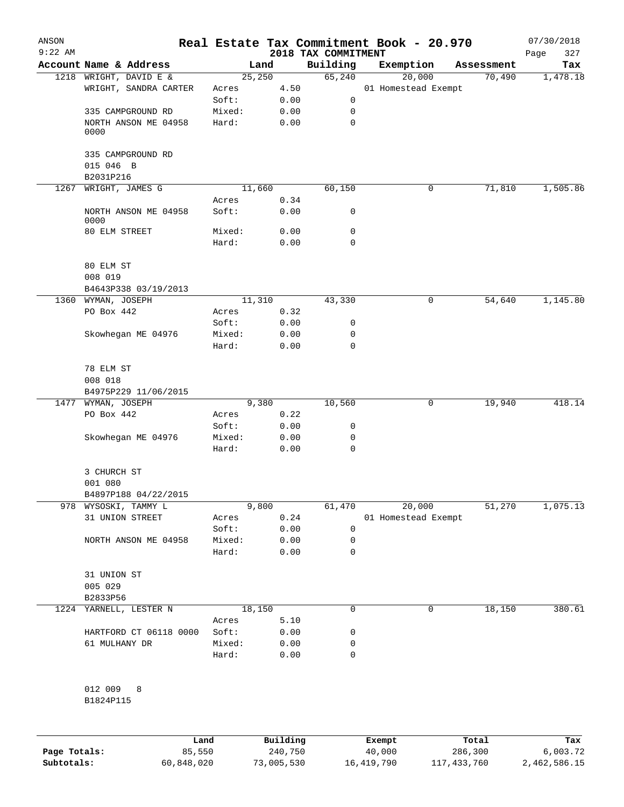| ANSON        |                                    |        |                     |                                 | Real Estate Tax Commitment Book - 20.970 |                  | 07/30/2018         |
|--------------|------------------------------------|--------|---------------------|---------------------------------|------------------------------------------|------------------|--------------------|
| $9:22$ AM    | Account Name & Address             | Land   |                     | 2018 TAX COMMITMENT<br>Building | Exemption                                | Assessment       | 327<br>Page<br>Tax |
|              | 1218 WRIGHT, DAVID E &             | 25,250 |                     | 65,240                          | 20,000                                   | 70,490           | 1,478.18           |
|              | WRIGHT, SANDRA CARTER              | Acres  | 4.50                |                                 | 01 Homestead Exempt                      |                  |                    |
|              |                                    | Soft:  | 0.00                | 0                               |                                          |                  |                    |
|              | 335 CAMPGROUND RD                  | Mixed: | 0.00                | 0                               |                                          |                  |                    |
|              | NORTH ANSON ME 04958<br>0000       | Hard:  | 0.00                | $\mathbf 0$                     |                                          |                  |                    |
|              | 335 CAMPGROUND RD                  |        |                     |                                 |                                          |                  |                    |
|              | 015 046 B<br>B2031P216             |        |                     |                                 |                                          |                  |                    |
| 1267         | WRIGHT, JAMES G                    | 11,660 |                     | 60,150                          | 0                                        | 71,810           | 1,505.86           |
|              |                                    | Acres  | 0.34                |                                 |                                          |                  |                    |
|              | NORTH ANSON ME 04958<br>0000       | Soft:  | 0.00                | 0                               |                                          |                  |                    |
|              | 80 ELM STREET                      | Mixed: | 0.00                | 0                               |                                          |                  |                    |
|              |                                    | Hard:  | 0.00                | $\mathbf 0$                     |                                          |                  |                    |
|              | 80 ELM ST                          |        |                     |                                 |                                          |                  |                    |
|              | 008 019<br>B4643P338 03/19/2013    |        |                     |                                 |                                          |                  |                    |
|              | 1360 WYMAN, JOSEPH                 | 11,310 |                     | 43,330                          | 0                                        | 54,640           | 1,145.80           |
|              | PO Box 442                         | Acres  | 0.32                |                                 |                                          |                  |                    |
|              |                                    | Soft:  | 0.00                | 0                               |                                          |                  |                    |
|              | Skowhegan ME 04976                 | Mixed: | 0.00                | 0                               |                                          |                  |                    |
|              |                                    | Hard:  | 0.00                | $\mathbf 0$                     |                                          |                  |                    |
|              | 78 ELM ST<br>008 018               |        |                     |                                 |                                          |                  |                    |
|              | B4975P229 11/06/2015               |        |                     |                                 |                                          |                  |                    |
|              | 1477 WYMAN, JOSEPH                 | 9,380  |                     | 10,560                          | 0                                        | 19,940           | 418.14             |
|              | PO Box 442                         | Acres  | 0.22                |                                 |                                          |                  |                    |
|              |                                    | Soft:  | 0.00                | 0                               |                                          |                  |                    |
|              | Skowhegan ME 04976                 | Mixed: | 0.00                | 0                               |                                          |                  |                    |
|              |                                    | Hard:  | 0.00                | 0                               |                                          |                  |                    |
|              | 3 CHURCH ST<br>001 080             |        |                     |                                 |                                          |                  |                    |
|              | B4897P188 04/22/2015               |        |                     |                                 |                                          |                  |                    |
| 978          | WYSOSKI, TAMMY L                   | 9,800  |                     | 61,470                          | 20,000                                   | 51,270           | 1,075.13           |
|              | 31 UNION STREET                    | Acres  | 0.24                |                                 | 01 Homestead Exempt                      |                  |                    |
|              |                                    | Soft:  | 0.00                | 0                               |                                          |                  |                    |
|              | NORTH ANSON ME 04958               | Mixed: | 0.00                | 0                               |                                          |                  |                    |
|              |                                    | Hard:  | 0.00                | 0                               |                                          |                  |                    |
|              | 31 UNION ST<br>005 029<br>B2833P56 |        |                     |                                 |                                          |                  |                    |
|              | 1224 YARNELL, LESTER N             | 18,150 |                     | 0                               | 0                                        | 18,150           | 380.61             |
|              |                                    | Acres  | 5.10                |                                 |                                          |                  |                    |
|              | HARTFORD CT 06118 0000             | Soft:  | 0.00                | 0                               |                                          |                  |                    |
|              | 61 MULHANY DR                      | Mixed: | 0.00                | 0                               |                                          |                  |                    |
|              |                                    | Hard:  | 0.00                | 0                               |                                          |                  |                    |
|              | 012 009<br>8<br>B1824P115          |        |                     |                                 |                                          |                  |                    |
|              |                                    |        |                     |                                 |                                          |                  |                    |
| Page Totals: | Land<br>85,550                     |        | Building<br>240,750 |                                 | Exempt<br>40,000                         | Total<br>286,300 | Tax<br>6,003.72    |

**Subtotals:** 60,848,020 73,005,530 16,419,790 117,433,760 2,462,586.15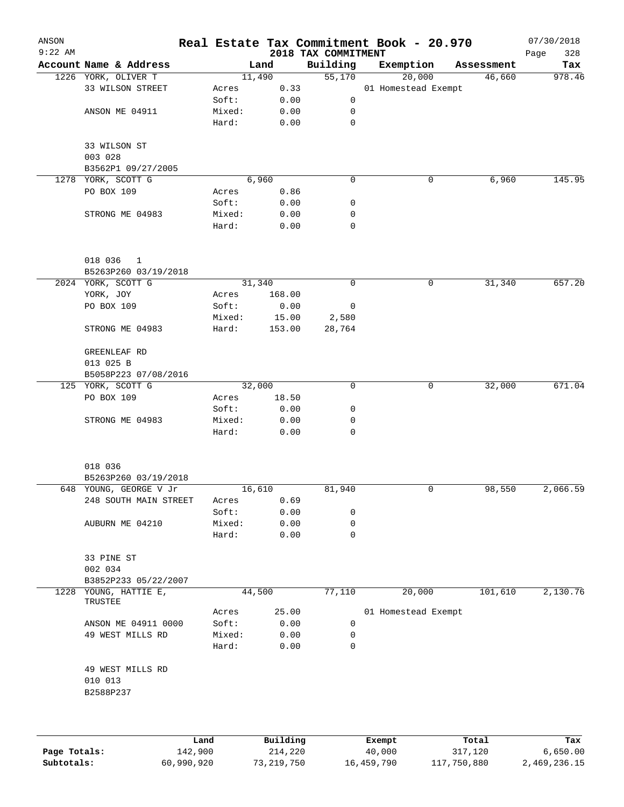| ANSON<br>$9:22$ AM |                                          |        |             | 2018 TAX COMMITMENT | Real Estate Tax Commitment Book - 20.970 |                | 07/30/2018<br>Page<br>328 |
|--------------------|------------------------------------------|--------|-------------|---------------------|------------------------------------------|----------------|---------------------------|
|                    | Account Name & Address                   |        | Land        | Building            | Exemption                                | Assessment     | Tax                       |
|                    | 1226 YORK, OLIVER T                      |        | 11,490      | 55,170              | 20,000                                   | 46,660         | 978.46                    |
|                    | 33 WILSON STREET                         | Acres  | 0.33        |                     | 01 Homestead Exempt                      |                |                           |
|                    |                                          | Soft:  | 0.00        | 0                   |                                          |                |                           |
|                    | ANSON ME 04911                           | Mixed: | 0.00        | 0                   |                                          |                |                           |
|                    |                                          | Hard:  | 0.00        | 0                   |                                          |                |                           |
|                    | 33 WILSON ST                             |        |             |                     |                                          |                |                           |
|                    | 003 028                                  |        |             |                     |                                          |                |                           |
|                    | B3562P1 09/27/2005                       |        |             |                     |                                          |                |                           |
|                    | 1278 YORK, SCOTT G                       |        | 6,960       | $\mathbf 0$         | 0                                        | 6,960          | 145.95                    |
|                    | PO BOX 109                               | Acres  | 0.86        |                     |                                          |                |                           |
|                    |                                          | Soft:  | 0.00        | 0                   |                                          |                |                           |
|                    | STRONG ME 04983                          | Mixed: | 0.00        | 0                   |                                          |                |                           |
|                    |                                          | Hard:  | 0.00        | $\mathbf 0$         |                                          |                |                           |
|                    | 018 036<br>$\mathbf{1}$                  |        |             |                     |                                          |                |                           |
|                    | B5263P260 03/19/2018                     |        |             |                     |                                          |                |                           |
|                    | 2024 YORK, SCOTT G                       |        | 31,340      | 0                   | 0                                        | 31,340         | 657.20                    |
|                    | YORK, JOY                                | Acres  | 168.00      |                     |                                          |                |                           |
|                    | PO BOX 109                               | Soft:  | 0.00        | 0                   |                                          |                |                           |
|                    |                                          | Mixed: | 15.00       | 2,580               |                                          |                |                           |
|                    | STRONG ME 04983                          | Hard:  | 153.00      | 28,764              |                                          |                |                           |
|                    | GREENLEAF RD                             |        |             |                     |                                          |                |                           |
|                    | 013 025 B                                |        |             |                     |                                          |                |                           |
|                    | B5058P223 07/08/2016                     |        |             |                     |                                          |                |                           |
|                    | 125 YORK, SCOTT G                        |        | 32,000      | $\mathbf 0$         | 0                                        | 32,000         | 671.04                    |
|                    | PO BOX 109                               | Acres  | 18.50       |                     |                                          |                |                           |
|                    |                                          | Soft:  | 0.00        | 0                   |                                          |                |                           |
|                    | STRONG ME 04983                          | Mixed: | 0.00        | 0                   |                                          |                |                           |
|                    |                                          | Hard:  | 0.00        | 0                   |                                          |                |                           |
|                    | 018 036                                  |        |             |                     |                                          |                |                           |
|                    | B5263P260 03/19/2018                     |        |             |                     |                                          |                |                           |
|                    | 648 YOUNG, GEORGE V Jr                   |        | 16,610      | 81,940              | $\mathsf{O}$                             | 98,550         | 2,066.59                  |
|                    | 248 SOUTH MAIN STREET                    | Acres  | 0.69        |                     |                                          |                |                           |
|                    |                                          | Soft:  | 0.00        | 0                   |                                          |                |                           |
|                    | AUBURN ME 04210                          | Mixed: | 0.00        | 0                   |                                          |                |                           |
|                    |                                          | Hard:  | 0.00        | 0                   |                                          |                |                           |
|                    | 33 PINE ST                               |        |             |                     |                                          |                |                           |
|                    | 002 034                                  |        |             |                     |                                          |                |                           |
|                    | B3852P233 05/22/2007                     |        |             |                     |                                          |                |                           |
| 1228               | YOUNG, HATTIE E,<br>TRUSTEE              |        | 44,500      | 77,110              | 20,000                                   | 101,610        | 2,130.76                  |
|                    |                                          | Acres  | 25.00       |                     | 01 Homestead Exempt                      |                |                           |
|                    | ANSON ME 04911 0000                      | Soft:  | 0.00        | 0                   |                                          |                |                           |
|                    | 49 WEST MILLS RD                         | Mixed: | 0.00        | 0                   |                                          |                |                           |
|                    |                                          | Hard:  | 0.00        | 0                   |                                          |                |                           |
|                    | 49 WEST MILLS RD<br>010 013<br>B2588P237 |        |             |                     |                                          |                |                           |
|                    |                                          |        |             |                     |                                          |                |                           |
|                    |                                          | Land.  | $P1$ ilding |                     | $F$ vomnt                                | $T \cap F = I$ |                           |

|              | Land       | Building   | Exempt     | Total       | Tax          |
|--------------|------------|------------|------------|-------------|--------------|
| Page Totals: | 142,900    | 214,220    | 40,000     | 317,120     | 6,650.00     |
| Subtotals:   | 60,990,920 | 73,219,750 | 16,459,790 | 117,750,880 | 2,469,236.15 |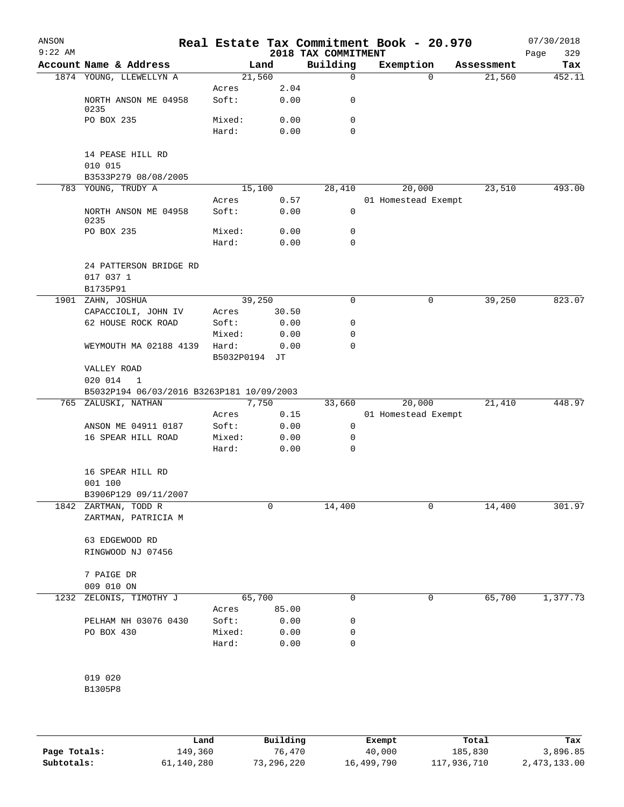| ANSON     |                                                     |                 |               |                                 | Real Estate Tax Commitment Book - 20.970 |            | 07/30/2018         |
|-----------|-----------------------------------------------------|-----------------|---------------|---------------------------------|------------------------------------------|------------|--------------------|
| $9:22$ AM | Account Name & Address                              |                 | Land          | 2018 TAX COMMITMENT<br>Building | Exemption                                | Assessment | 329<br>Page<br>Tax |
|           | 1874 YOUNG, LLEWELLYN A                             | 21,560          |               | 0                               | $\Omega$                                 | 21,560     | 452.11             |
|           |                                                     | Acres           | 2.04          |                                 |                                          |            |                    |
|           | NORTH ANSON ME 04958<br>0235                        | Soft:           | 0.00          | 0                               |                                          |            |                    |
|           | PO BOX 235                                          | Mixed:          | 0.00          | 0                               |                                          |            |                    |
|           |                                                     | Hard:           | 0.00          | 0                               |                                          |            |                    |
|           | 14 PEASE HILL RD<br>010 015                         |                 |               |                                 |                                          |            |                    |
|           | B3533P279 08/08/2005                                |                 |               |                                 |                                          |            |                    |
|           | 783 YOUNG, TRUDY A                                  | 15,100          |               | 28,410                          | 20,000                                   | 23,510     | 493.00             |
|           | NORTH ANSON ME 04958<br>0235                        | Acres<br>Soft:  | 0.57<br>0.00  | 0                               | 01 Homestead Exempt                      |            |                    |
|           | PO BOX 235                                          | Mixed:          | 0.00          | 0                               |                                          |            |                    |
|           |                                                     | Hard:           | 0.00          | 0                               |                                          |            |                    |
|           | 24 PATTERSON BRIDGE RD<br>017 037 1                 |                 |               |                                 |                                          |            |                    |
|           | B1735P91                                            |                 |               | $\Omega$                        |                                          |            |                    |
|           | 1901 ZAHN, JOSHUA<br>CAPACCIOLI, JOHN IV            | 39,250<br>Acres | 30.50         |                                 | 0                                        | 39,250     | 823.07             |
|           | 62 HOUSE ROCK ROAD                                  | Soft:           | 0.00          | 0                               |                                          |            |                    |
|           |                                                     | Mixed:          | 0.00          | 0                               |                                          |            |                    |
|           | WEYMOUTH MA 02188 4139                              | Hard:           | 0.00          | 0                               |                                          |            |                    |
|           |                                                     | B5032P0194 JT   |               |                                 |                                          |            |                    |
|           | VALLEY ROAD<br>020 014<br>-1                        |                 |               |                                 |                                          |            |                    |
|           | B5032P194 06/03/2016 B3263P181 10/09/2003           |                 |               |                                 |                                          |            |                    |
|           | 765 ZALUSKI, NATHAN                                 | Acres           | 7,750<br>0.15 | 33,660                          | 20,000<br>01 Homestead Exempt            | 21,410     | 448.97             |
|           | ANSON ME 04911 0187                                 | Soft:           | 0.00          | 0                               |                                          |            |                    |
|           | 16 SPEAR HILL ROAD                                  | Mixed:          | 0.00          | 0                               |                                          |            |                    |
|           |                                                     | Hard:           | 0.00          | 0                               |                                          |            |                    |
|           | 16 SPEAR HILL RD<br>001 100<br>B3906P129 09/11/2007 |                 |               |                                 |                                          |            |                    |
| 1842      | ZARTMAN, TODD R                                     |                 | 0             | 14,400                          | 0                                        | 14,400     | 301.97             |
|           | ZARTMAN, PATRICIA M                                 |                 |               |                                 |                                          |            |                    |
|           | 63 EDGEWOOD RD<br>RINGWOOD NJ 07456                 |                 |               |                                 |                                          |            |                    |
|           | 7 PAIGE DR                                          |                 |               |                                 |                                          |            |                    |
|           | 009 010 ON                                          |                 |               |                                 |                                          |            |                    |
| 1232      | ZELONIS, TIMOTHY J                                  | 65,700          |               | 0                               | 0                                        | 65,700     | 1,377.73           |
|           |                                                     | Acres           | 85.00         |                                 |                                          |            |                    |
|           | PELHAM NH 03076 0430                                | Soft:           | 0.00          | 0                               |                                          |            |                    |
|           | PO BOX 430                                          | Mixed:          | 0.00          | 0                               |                                          |            |                    |
|           |                                                     | Hard:           | 0.00          | 0                               |                                          |            |                    |
|           | 019 020                                             |                 |               |                                 |                                          |            |                    |
|           | B1305P8                                             |                 |               |                                 |                                          |            |                    |
|           |                                                     |                 |               |                                 |                                          |            |                    |
|           |                                                     |                 |               |                                 |                                          |            |                    |
|           |                                                     |                 |               |                                 |                                          |            |                    |

|              | Land       | Building   | Exempt     | Total       | Tax          |
|--------------|------------|------------|------------|-------------|--------------|
| Page Totals: | 149,360    | 76,470     | 40,000     | 185,830     | 3,896.85     |
| Subtotals:   | 61,140,280 | 73,296,220 | 16,499,790 | 117,936,710 | 2,473,133.00 |